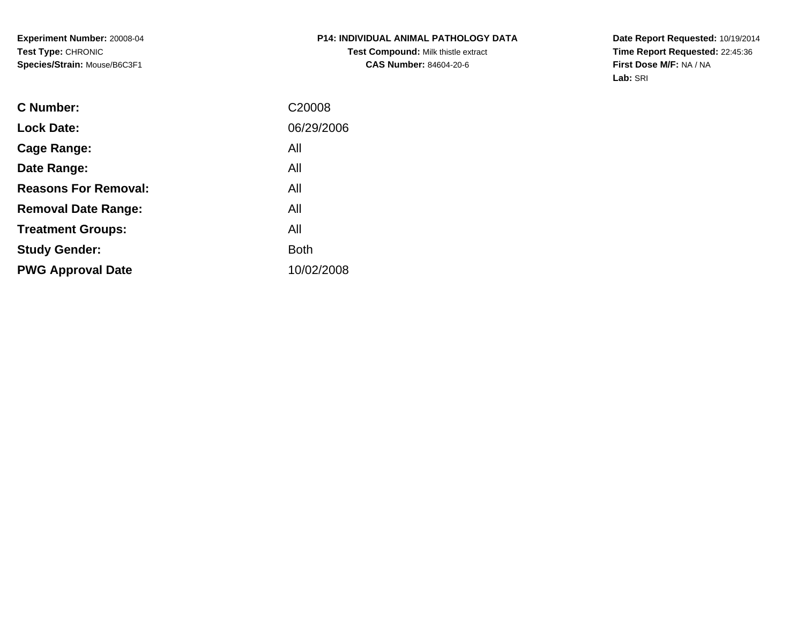**Experiment Number:** 20008-04**Test Type:** CHRONIC**Species/Strain:** Mouse/B6C3F1

**Date Report Requested:** 10/19/2014 **Time Report Requested:** 22:45:36**First Dose M/F:** NA / NA**Lab:** SRI

| C <sub>20008</sub> |
|--------------------|
| 06/29/2006         |
| All                |
| All                |
| All                |
| All                |
| All                |
| <b>Both</b>        |
| 10/02/2008         |
|                    |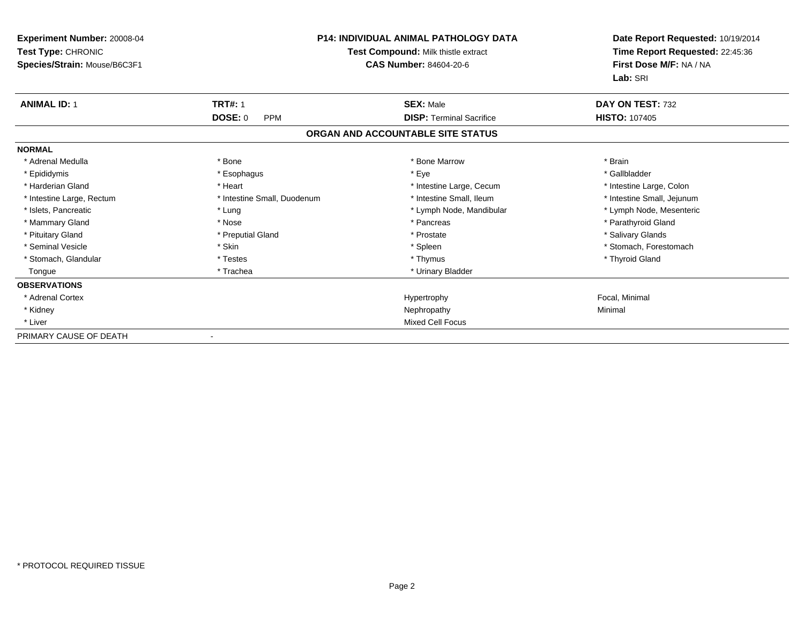| Experiment Number: 20008-04<br>Test Type: CHRONIC |                             | <b>P14: INDIVIDUAL ANIMAL PATHOLOGY DATA</b><br>Test Compound: Milk thistle extract | Date Report Requested: 10/19/2014<br>Time Report Requested: 22:45:36 |
|---------------------------------------------------|-----------------------------|-------------------------------------------------------------------------------------|----------------------------------------------------------------------|
| Species/Strain: Mouse/B6C3F1                      |                             | CAS Number: 84604-20-6                                                              | First Dose M/F: NA / NA<br>Lab: SRI                                  |
| <b>ANIMAL ID: 1</b>                               | <b>TRT#: 1</b>              | <b>SEX: Male</b>                                                                    | DAY ON TEST: 732                                                     |
|                                                   | DOSE: 0<br><b>PPM</b>       | <b>DISP: Terminal Sacrifice</b>                                                     | <b>HISTO: 107405</b>                                                 |
|                                                   |                             | ORGAN AND ACCOUNTABLE SITE STATUS                                                   |                                                                      |
| <b>NORMAL</b>                                     |                             |                                                                                     |                                                                      |
| * Adrenal Medulla                                 | * Bone                      | * Bone Marrow                                                                       | * Brain                                                              |
| * Epididymis                                      | * Esophagus                 | * Eye                                                                               | * Gallbladder                                                        |
| * Harderian Gland                                 | * Heart                     | * Intestine Large, Cecum                                                            | * Intestine Large, Colon                                             |
| * Intestine Large, Rectum                         | * Intestine Small, Duodenum | * Intestine Small, Ileum                                                            | * Intestine Small, Jejunum                                           |
| * Islets, Pancreatic                              | * Lung                      | * Lymph Node, Mandibular                                                            | * Lymph Node, Mesenteric                                             |
| * Mammary Gland                                   | * Nose                      | * Pancreas                                                                          | * Parathyroid Gland                                                  |
| * Pituitary Gland                                 | * Preputial Gland           | * Prostate                                                                          | * Salivary Glands                                                    |
| * Seminal Vesicle                                 | * Skin                      | * Spleen                                                                            | * Stomach, Forestomach                                               |
| * Stomach, Glandular                              | * Testes                    | * Thymus                                                                            | * Thyroid Gland                                                      |
| Tongue                                            | * Trachea                   | * Urinary Bladder                                                                   |                                                                      |
| <b>OBSERVATIONS</b>                               |                             |                                                                                     |                                                                      |
| * Adrenal Cortex                                  |                             | Hypertrophy                                                                         | Focal, Minimal                                                       |
| * Kidney                                          |                             | Nephropathy                                                                         | Minimal                                                              |
| * Liver                                           |                             | <b>Mixed Cell Focus</b>                                                             |                                                                      |
| PRIMARY CAUSE OF DEATH                            |                             |                                                                                     |                                                                      |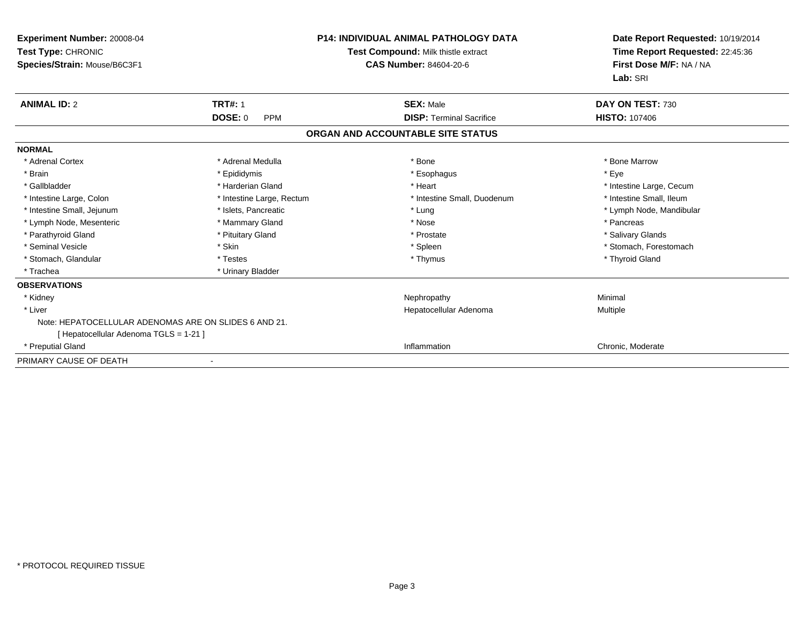| <b>Experiment Number: 20008-04</b><br>Test Type: CHRONIC<br>Species/Strain: Mouse/B6C3F1 |                              | <b>P14: INDIVIDUAL ANIMAL PATHOLOGY DATA</b><br>Test Compound: Milk thistle extract<br><b>CAS Number: 84604-20-6</b> | Date Report Requested: 10/19/2014<br>Time Report Requested: 22:45:36<br>First Dose M/F: NA / NA<br>Lab: SRI |
|------------------------------------------------------------------------------------------|------------------------------|----------------------------------------------------------------------------------------------------------------------|-------------------------------------------------------------------------------------------------------------|
| <b>ANIMAL ID: 2</b>                                                                      | <b>TRT#: 1</b>               | <b>SEX: Male</b>                                                                                                     | DAY ON TEST: 730                                                                                            |
|                                                                                          | <b>DOSE: 0</b><br><b>PPM</b> | <b>DISP: Terminal Sacrifice</b>                                                                                      | <b>HISTO: 107406</b>                                                                                        |
|                                                                                          |                              | ORGAN AND ACCOUNTABLE SITE STATUS                                                                                    |                                                                                                             |
| <b>NORMAL</b>                                                                            |                              |                                                                                                                      |                                                                                                             |
| * Adrenal Cortex                                                                         | * Adrenal Medulla            | * Bone                                                                                                               | * Bone Marrow                                                                                               |
| * Brain                                                                                  | * Epididymis                 | * Esophagus                                                                                                          | * Eye                                                                                                       |
| * Gallbladder                                                                            | * Harderian Gland            | * Heart                                                                                                              | * Intestine Large, Cecum                                                                                    |
| * Intestine Large, Colon                                                                 | * Intestine Large, Rectum    | * Intestine Small, Duodenum                                                                                          | * Intestine Small, Ileum                                                                                    |
| * Intestine Small, Jejunum                                                               | * Islets, Pancreatic         | * Lung                                                                                                               | * Lymph Node, Mandibular                                                                                    |
| * Lymph Node, Mesenteric                                                                 | * Mammary Gland              | * Nose                                                                                                               | * Pancreas                                                                                                  |
| * Parathyroid Gland                                                                      | * Pituitary Gland            | * Prostate                                                                                                           | * Salivary Glands                                                                                           |
| * Seminal Vesicle                                                                        | * Skin                       | * Spleen                                                                                                             | * Stomach, Forestomach                                                                                      |
| * Stomach, Glandular                                                                     | * Testes                     | * Thymus                                                                                                             | * Thyroid Gland                                                                                             |
| * Trachea                                                                                | * Urinary Bladder            |                                                                                                                      |                                                                                                             |
| <b>OBSERVATIONS</b>                                                                      |                              |                                                                                                                      |                                                                                                             |
| * Kidney                                                                                 |                              | Nephropathy                                                                                                          | Minimal                                                                                                     |
| * Liver                                                                                  |                              | Hepatocellular Adenoma                                                                                               | Multiple                                                                                                    |
| Note: HEPATOCELLULAR ADENOMAS ARE ON SLIDES 6 AND 21.                                    |                              |                                                                                                                      |                                                                                                             |
| [ Hepatocellular Adenoma TGLS = 1-21 ]                                                   |                              |                                                                                                                      |                                                                                                             |
| * Preputial Gland                                                                        |                              | Inflammation                                                                                                         | Chronic, Moderate                                                                                           |
| PRIMARY CAUSE OF DEATH                                                                   |                              |                                                                                                                      |                                                                                                             |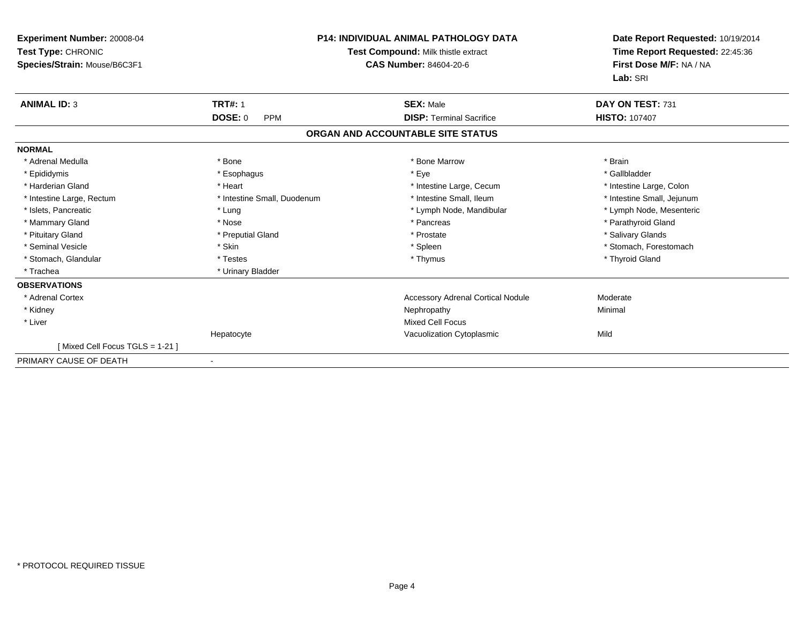| Experiment Number: 20008-04<br>Test Type: CHRONIC<br>Species/Strain: Mouse/B6C3F1 |                              | P14: INDIVIDUAL ANIMAL PATHOLOGY DATA<br>Test Compound: Milk thistle extract<br><b>CAS Number: 84604-20-6</b> | Date Report Requested: 10/19/2014<br>Time Report Requested: 22:45:36<br>First Dose M/F: NA / NA<br>Lab: SRI |
|-----------------------------------------------------------------------------------|------------------------------|---------------------------------------------------------------------------------------------------------------|-------------------------------------------------------------------------------------------------------------|
| <b>ANIMAL ID: 3</b>                                                               | <b>TRT#: 1</b>               | <b>SEX: Male</b>                                                                                              | DAY ON TEST: 731                                                                                            |
|                                                                                   | <b>DOSE: 0</b><br><b>PPM</b> | <b>DISP: Terminal Sacrifice</b>                                                                               | <b>HISTO: 107407</b>                                                                                        |
|                                                                                   |                              | ORGAN AND ACCOUNTABLE SITE STATUS                                                                             |                                                                                                             |
| <b>NORMAL</b>                                                                     |                              |                                                                                                               |                                                                                                             |
| * Adrenal Medulla                                                                 | * Bone                       | * Bone Marrow                                                                                                 | * Brain                                                                                                     |
| * Epididymis                                                                      | * Esophagus                  | * Eye                                                                                                         | * Gallbladder                                                                                               |
| * Harderian Gland                                                                 | * Heart                      | * Intestine Large, Cecum                                                                                      | * Intestine Large, Colon                                                                                    |
| * Intestine Large, Rectum                                                         | * Intestine Small, Duodenum  | * Intestine Small, Ileum                                                                                      | * Intestine Small, Jejunum                                                                                  |
| * Islets. Pancreatic                                                              | * Lung                       | * Lymph Node, Mandibular                                                                                      | * Lymph Node, Mesenteric                                                                                    |
| * Mammary Gland                                                                   | * Nose                       | * Pancreas                                                                                                    | * Parathyroid Gland                                                                                         |
| * Pituitary Gland                                                                 | * Preputial Gland            | * Prostate                                                                                                    | * Salivary Glands                                                                                           |
| * Seminal Vesicle                                                                 | * Skin                       | * Spleen                                                                                                      | * Stomach, Forestomach                                                                                      |
| * Stomach, Glandular                                                              | * Testes                     | * Thymus                                                                                                      | * Thyroid Gland                                                                                             |
| * Trachea                                                                         | * Urinary Bladder            |                                                                                                               |                                                                                                             |
| <b>OBSERVATIONS</b>                                                               |                              |                                                                                                               |                                                                                                             |
| * Adrenal Cortex                                                                  |                              | <b>Accessory Adrenal Cortical Nodule</b>                                                                      | Moderate                                                                                                    |
| * Kidney                                                                          |                              | Nephropathy                                                                                                   | Minimal                                                                                                     |
| * Liver                                                                           |                              | <b>Mixed Cell Focus</b>                                                                                       |                                                                                                             |
|                                                                                   | Hepatocyte                   | Vacuolization Cytoplasmic                                                                                     | Mild                                                                                                        |
| Mixed Cell Focus TGLS = 1-21 ]                                                    |                              |                                                                                                               |                                                                                                             |
| PRIMARY CAUSE OF DEATH                                                            | $\overline{\phantom{a}}$     |                                                                                                               |                                                                                                             |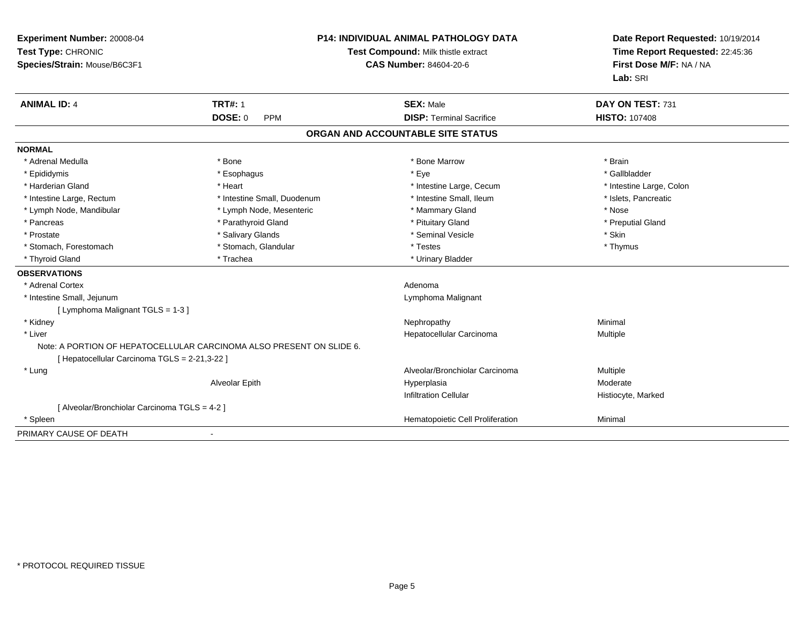| Experiment Number: 20008-04<br>Test Type: CHRONIC<br>Species/Strain: Mouse/B6C3F1 |                                                                      | <b>P14: INDIVIDUAL ANIMAL PATHOLOGY DATA</b><br>Test Compound: Milk thistle extract<br><b>CAS Number: 84604-20-6</b> | Date Report Requested: 10/19/2014<br>Time Report Requested: 22:45:36<br>First Dose M/F: NA / NA<br>Lab: SRI |
|-----------------------------------------------------------------------------------|----------------------------------------------------------------------|----------------------------------------------------------------------------------------------------------------------|-------------------------------------------------------------------------------------------------------------|
| <b>ANIMAL ID: 4</b>                                                               | <b>TRT#: 1</b>                                                       | <b>SEX: Male</b>                                                                                                     | DAY ON TEST: 731                                                                                            |
|                                                                                   | <b>DOSE: 0</b><br><b>PPM</b>                                         | <b>DISP: Terminal Sacrifice</b>                                                                                      | <b>HISTO: 107408</b>                                                                                        |
|                                                                                   |                                                                      | ORGAN AND ACCOUNTABLE SITE STATUS                                                                                    |                                                                                                             |
| <b>NORMAL</b>                                                                     |                                                                      |                                                                                                                      |                                                                                                             |
| * Adrenal Medulla                                                                 | * Bone                                                               | * Bone Marrow                                                                                                        | * Brain                                                                                                     |
| * Epididymis                                                                      | * Esophagus                                                          | * Eye                                                                                                                | * Gallbladder                                                                                               |
| * Harderian Gland                                                                 | * Heart                                                              | * Intestine Large, Cecum                                                                                             | * Intestine Large, Colon                                                                                    |
| * Intestine Large, Rectum                                                         | * Intestine Small, Duodenum                                          | * Intestine Small, Ileum                                                                                             | * Islets, Pancreatic                                                                                        |
| * Lymph Node, Mandibular                                                          | * Lymph Node, Mesenteric                                             | * Mammary Gland                                                                                                      | * Nose                                                                                                      |
| * Pancreas                                                                        | * Parathyroid Gland                                                  | * Pituitary Gland                                                                                                    | * Preputial Gland                                                                                           |
| * Prostate                                                                        | * Salivary Glands                                                    | * Seminal Vesicle                                                                                                    | * Skin                                                                                                      |
| * Stomach, Forestomach                                                            | * Stomach, Glandular                                                 | * Testes                                                                                                             | * Thymus                                                                                                    |
| * Thyroid Gland                                                                   | * Trachea                                                            | * Urinary Bladder                                                                                                    |                                                                                                             |
| <b>OBSERVATIONS</b>                                                               |                                                                      |                                                                                                                      |                                                                                                             |
| * Adrenal Cortex                                                                  |                                                                      | Adenoma                                                                                                              |                                                                                                             |
| * Intestine Small, Jejunum                                                        |                                                                      | Lymphoma Malignant                                                                                                   |                                                                                                             |
| [ Lymphoma Malignant TGLS = 1-3 ]                                                 |                                                                      |                                                                                                                      |                                                                                                             |
| * Kidney                                                                          |                                                                      | Nephropathy                                                                                                          | Minimal                                                                                                     |
| * Liver                                                                           |                                                                      | Hepatocellular Carcinoma                                                                                             | Multiple                                                                                                    |
|                                                                                   | Note: A PORTION OF HEPATOCELLULAR CARCINOMA ALSO PRESENT ON SLIDE 6. |                                                                                                                      |                                                                                                             |
| [ Hepatocellular Carcinoma TGLS = 2-21,3-22 ]                                     |                                                                      |                                                                                                                      |                                                                                                             |
| * Lung                                                                            |                                                                      | Alveolar/Bronchiolar Carcinoma                                                                                       | Multiple                                                                                                    |
|                                                                                   | Alveolar Epith                                                       | Hyperplasia                                                                                                          | Moderate                                                                                                    |
|                                                                                   |                                                                      | <b>Infiltration Cellular</b>                                                                                         | Histiocyte, Marked                                                                                          |
| [ Alveolar/Bronchiolar Carcinoma TGLS = 4-2 ]                                     |                                                                      |                                                                                                                      |                                                                                                             |
| * Spleen                                                                          |                                                                      | Hematopoietic Cell Proliferation                                                                                     | Minimal                                                                                                     |
| PRIMARY CAUSE OF DEATH                                                            |                                                                      |                                                                                                                      |                                                                                                             |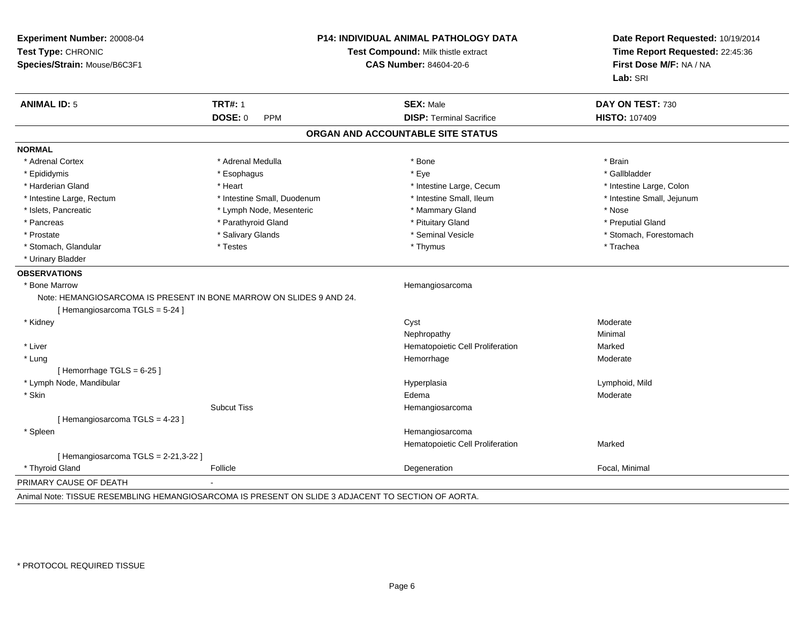| Experiment Number: 20008-04<br>Test Type: CHRONIC<br>Species/Strain: Mouse/B6C3F1 | P14: INDIVIDUAL ANIMAL PATHOLOGY DATA<br>Test Compound: Milk thistle extract<br><b>CAS Number: 84604-20-6</b> |                                   | Date Report Requested: 10/19/2014<br>Time Report Requested: 22:45:36<br>First Dose M/F: NA / NA<br>Lab: SRI |
|-----------------------------------------------------------------------------------|---------------------------------------------------------------------------------------------------------------|-----------------------------------|-------------------------------------------------------------------------------------------------------------|
| <b>ANIMAL ID: 5</b>                                                               | <b>TRT#: 1</b>                                                                                                | <b>SEX: Male</b>                  | DAY ON TEST: 730                                                                                            |
|                                                                                   | DOSE: 0<br>PPM                                                                                                | <b>DISP: Terminal Sacrifice</b>   | <b>HISTO: 107409</b>                                                                                        |
|                                                                                   |                                                                                                               | ORGAN AND ACCOUNTABLE SITE STATUS |                                                                                                             |
| <b>NORMAL</b>                                                                     |                                                                                                               |                                   |                                                                                                             |
| * Adrenal Cortex                                                                  | * Adrenal Medulla                                                                                             | * Bone                            | * Brain                                                                                                     |
| * Epididymis                                                                      | * Esophagus                                                                                                   | * Eye                             | * Gallbladder                                                                                               |
| * Harderian Gland                                                                 | * Heart                                                                                                       | * Intestine Large, Cecum          | * Intestine Large, Colon                                                                                    |
| * Intestine Large, Rectum                                                         | * Intestine Small, Duodenum                                                                                   | * Intestine Small, Ileum          | * Intestine Small, Jejunum                                                                                  |
| * Islets, Pancreatic                                                              | * Lymph Node, Mesenteric                                                                                      | * Mammary Gland                   | * Nose                                                                                                      |
| * Pancreas                                                                        | * Parathyroid Gland                                                                                           | * Pituitary Gland                 | * Preputial Gland                                                                                           |
| * Prostate                                                                        | * Salivary Glands                                                                                             | * Seminal Vesicle                 | * Stomach, Forestomach                                                                                      |
| * Stomach, Glandular                                                              | * Testes                                                                                                      | * Thymus                          | * Trachea                                                                                                   |
| * Urinary Bladder                                                                 |                                                                                                               |                                   |                                                                                                             |
| <b>OBSERVATIONS</b>                                                               |                                                                                                               |                                   |                                                                                                             |
| * Bone Marrow                                                                     |                                                                                                               | Hemangiosarcoma                   |                                                                                                             |
| Note: HEMANGIOSARCOMA IS PRESENT IN BONE MARROW ON SLIDES 9 AND 24.               |                                                                                                               |                                   |                                                                                                             |
| [Hemangiosarcoma TGLS = 5-24]                                                     |                                                                                                               |                                   |                                                                                                             |
| * Kidney                                                                          |                                                                                                               | Cyst                              | Moderate                                                                                                    |
|                                                                                   |                                                                                                               | Nephropathy                       | Minimal                                                                                                     |
| * Liver                                                                           |                                                                                                               | Hematopoietic Cell Proliferation  | Marked                                                                                                      |
| * Lung                                                                            |                                                                                                               | Hemorrhage                        | Moderate                                                                                                    |
| [Hemorrhage TGLS = 6-25]                                                          |                                                                                                               |                                   |                                                                                                             |
| * Lymph Node, Mandibular                                                          |                                                                                                               | Hyperplasia                       | Lymphoid, Mild                                                                                              |
| * Skin                                                                            |                                                                                                               | Edema                             | Moderate                                                                                                    |
|                                                                                   | <b>Subcut Tiss</b>                                                                                            | Hemangiosarcoma                   |                                                                                                             |
| [Hemangiosarcoma TGLS = 4-23]                                                     |                                                                                                               |                                   |                                                                                                             |
| * Spleen                                                                          |                                                                                                               | Hemangiosarcoma                   |                                                                                                             |
|                                                                                   |                                                                                                               | Hematopoietic Cell Proliferation  | Marked                                                                                                      |
| [Hemangiosarcoma TGLS = 2-21,3-22 ]                                               |                                                                                                               |                                   |                                                                                                             |
| * Thyroid Gland                                                                   | Follicle                                                                                                      | Degeneration                      | Focal, Minimal                                                                                              |
| PRIMARY CAUSE OF DEATH                                                            |                                                                                                               |                                   |                                                                                                             |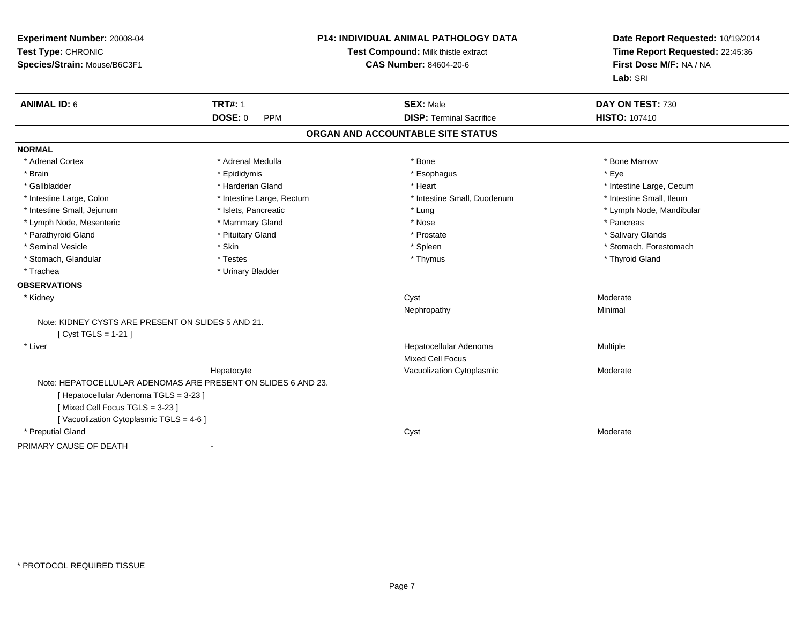| <b>ANIMAL ID: 6</b><br><b>TRT#: 1</b><br>DAY ON TEST: 730<br><b>SEX: Male</b><br>DOSE: 0<br><b>HISTO: 107410</b><br><b>DISP: Terminal Sacrifice</b><br><b>PPM</b><br>ORGAN AND ACCOUNTABLE SITE STATUS<br>* Adrenal Cortex<br>* Adrenal Medulla<br>* Bone<br>* Bone Marrow<br>* Eye<br>* Brain<br>* Epididymis<br>* Esophagus<br>* Gallbladder<br>* Harderian Gland<br>* Heart<br>* Intestine Large, Cecum<br>* Intestine Small, Duodenum<br>* Intestine Small, Ileum<br>* Intestine Large, Rectum<br>* Intestine Large, Colon<br>* Intestine Small, Jejunum<br>* Islets, Pancreatic<br>* Lymph Node, Mandibular<br>* Lung<br>* Mammary Gland<br>* Lymph Node, Mesenteric<br>* Nose<br>* Pancreas<br>* Parathyroid Gland<br>* Pituitary Gland<br>* Prostate<br>* Salivary Glands<br>* Seminal Vesicle<br>* Stomach, Forestomach<br>* Skin<br>* Spleen<br>* Thyroid Gland<br>* Stomach, Glandular<br>* Testes<br>* Thymus<br>* Trachea<br>* Urinary Bladder<br>* Kidney<br>Cyst<br>Moderate<br>Nephropathy<br>Minimal<br>Note: KIDNEY CYSTS ARE PRESENT ON SLIDES 5 AND 21.<br>[ Cyst TGLS = 1-21 ]<br>* Liver<br>Hepatocellular Adenoma<br>Multiple<br><b>Mixed Cell Focus</b><br>Hepatocyte<br>Vacuolization Cytoplasmic<br>Moderate<br>Note: HEPATOCELLULAR ADENOMAS ARE PRESENT ON SLIDES 6 AND 23.<br>[ Hepatocellular Adenoma TGLS = 3-23 ]<br>[Mixed Cell Focus TGLS = 3-23]<br>[Vacuolization Cytoplasmic TGLS = 4-6]<br>* Preputial Gland<br>Cyst<br>Moderate | Experiment Number: 20008-04<br>Test Type: CHRONIC<br>Species/Strain: Mouse/B6C3F1 | <b>P14: INDIVIDUAL ANIMAL PATHOLOGY DATA</b><br>Test Compound: Milk thistle extract<br><b>CAS Number: 84604-20-6</b> | Date Report Requested: 10/19/2014<br>Time Report Requested: 22:45:36<br>First Dose M/F: NA / NA<br>Lab: SRI |
|-----------------------------------------------------------------------------------------------------------------------------------------------------------------------------------------------------------------------------------------------------------------------------------------------------------------------------------------------------------------------------------------------------------------------------------------------------------------------------------------------------------------------------------------------------------------------------------------------------------------------------------------------------------------------------------------------------------------------------------------------------------------------------------------------------------------------------------------------------------------------------------------------------------------------------------------------------------------------------------------------------------------------------------------------------------------------------------------------------------------------------------------------------------------------------------------------------------------------------------------------------------------------------------------------------------------------------------------------------------------------------------------------------------------------------------------------------------------------|-----------------------------------------------------------------------------------|----------------------------------------------------------------------------------------------------------------------|-------------------------------------------------------------------------------------------------------------|
|                                                                                                                                                                                                                                                                                                                                                                                                                                                                                                                                                                                                                                                                                                                                                                                                                                                                                                                                                                                                                                                                                                                                                                                                                                                                                                                                                                                                                                                                       |                                                                                   |                                                                                                                      |                                                                                                             |
|                                                                                                                                                                                                                                                                                                                                                                                                                                                                                                                                                                                                                                                                                                                                                                                                                                                                                                                                                                                                                                                                                                                                                                                                                                                                                                                                                                                                                                                                       |                                                                                   |                                                                                                                      |                                                                                                             |
|                                                                                                                                                                                                                                                                                                                                                                                                                                                                                                                                                                                                                                                                                                                                                                                                                                                                                                                                                                                                                                                                                                                                                                                                                                                                                                                                                                                                                                                                       |                                                                                   |                                                                                                                      |                                                                                                             |
|                                                                                                                                                                                                                                                                                                                                                                                                                                                                                                                                                                                                                                                                                                                                                                                                                                                                                                                                                                                                                                                                                                                                                                                                                                                                                                                                                                                                                                                                       | <b>NORMAL</b>                                                                     |                                                                                                                      |                                                                                                             |
|                                                                                                                                                                                                                                                                                                                                                                                                                                                                                                                                                                                                                                                                                                                                                                                                                                                                                                                                                                                                                                                                                                                                                                                                                                                                                                                                                                                                                                                                       |                                                                                   |                                                                                                                      |                                                                                                             |
|                                                                                                                                                                                                                                                                                                                                                                                                                                                                                                                                                                                                                                                                                                                                                                                                                                                                                                                                                                                                                                                                                                                                                                                                                                                                                                                                                                                                                                                                       |                                                                                   |                                                                                                                      |                                                                                                             |
|                                                                                                                                                                                                                                                                                                                                                                                                                                                                                                                                                                                                                                                                                                                                                                                                                                                                                                                                                                                                                                                                                                                                                                                                                                                                                                                                                                                                                                                                       |                                                                                   |                                                                                                                      |                                                                                                             |
|                                                                                                                                                                                                                                                                                                                                                                                                                                                                                                                                                                                                                                                                                                                                                                                                                                                                                                                                                                                                                                                                                                                                                                                                                                                                                                                                                                                                                                                                       |                                                                                   |                                                                                                                      |                                                                                                             |
|                                                                                                                                                                                                                                                                                                                                                                                                                                                                                                                                                                                                                                                                                                                                                                                                                                                                                                                                                                                                                                                                                                                                                                                                                                                                                                                                                                                                                                                                       |                                                                                   |                                                                                                                      |                                                                                                             |
|                                                                                                                                                                                                                                                                                                                                                                                                                                                                                                                                                                                                                                                                                                                                                                                                                                                                                                                                                                                                                                                                                                                                                                                                                                                                                                                                                                                                                                                                       |                                                                                   |                                                                                                                      |                                                                                                             |
|                                                                                                                                                                                                                                                                                                                                                                                                                                                                                                                                                                                                                                                                                                                                                                                                                                                                                                                                                                                                                                                                                                                                                                                                                                                                                                                                                                                                                                                                       |                                                                                   |                                                                                                                      |                                                                                                             |
|                                                                                                                                                                                                                                                                                                                                                                                                                                                                                                                                                                                                                                                                                                                                                                                                                                                                                                                                                                                                                                                                                                                                                                                                                                                                                                                                                                                                                                                                       |                                                                                   |                                                                                                                      |                                                                                                             |
|                                                                                                                                                                                                                                                                                                                                                                                                                                                                                                                                                                                                                                                                                                                                                                                                                                                                                                                                                                                                                                                                                                                                                                                                                                                                                                                                                                                                                                                                       |                                                                                   |                                                                                                                      |                                                                                                             |
|                                                                                                                                                                                                                                                                                                                                                                                                                                                                                                                                                                                                                                                                                                                                                                                                                                                                                                                                                                                                                                                                                                                                                                                                                                                                                                                                                                                                                                                                       |                                                                                   |                                                                                                                      |                                                                                                             |
|                                                                                                                                                                                                                                                                                                                                                                                                                                                                                                                                                                                                                                                                                                                                                                                                                                                                                                                                                                                                                                                                                                                                                                                                                                                                                                                                                                                                                                                                       | <b>OBSERVATIONS</b>                                                               |                                                                                                                      |                                                                                                             |
|                                                                                                                                                                                                                                                                                                                                                                                                                                                                                                                                                                                                                                                                                                                                                                                                                                                                                                                                                                                                                                                                                                                                                                                                                                                                                                                                                                                                                                                                       |                                                                                   |                                                                                                                      |                                                                                                             |
|                                                                                                                                                                                                                                                                                                                                                                                                                                                                                                                                                                                                                                                                                                                                                                                                                                                                                                                                                                                                                                                                                                                                                                                                                                                                                                                                                                                                                                                                       |                                                                                   |                                                                                                                      |                                                                                                             |
|                                                                                                                                                                                                                                                                                                                                                                                                                                                                                                                                                                                                                                                                                                                                                                                                                                                                                                                                                                                                                                                                                                                                                                                                                                                                                                                                                                                                                                                                       |                                                                                   |                                                                                                                      |                                                                                                             |
|                                                                                                                                                                                                                                                                                                                                                                                                                                                                                                                                                                                                                                                                                                                                                                                                                                                                                                                                                                                                                                                                                                                                                                                                                                                                                                                                                                                                                                                                       |                                                                                   |                                                                                                                      |                                                                                                             |
|                                                                                                                                                                                                                                                                                                                                                                                                                                                                                                                                                                                                                                                                                                                                                                                                                                                                                                                                                                                                                                                                                                                                                                                                                                                                                                                                                                                                                                                                       |                                                                                   |                                                                                                                      |                                                                                                             |
|                                                                                                                                                                                                                                                                                                                                                                                                                                                                                                                                                                                                                                                                                                                                                                                                                                                                                                                                                                                                                                                                                                                                                                                                                                                                                                                                                                                                                                                                       |                                                                                   |                                                                                                                      |                                                                                                             |
|                                                                                                                                                                                                                                                                                                                                                                                                                                                                                                                                                                                                                                                                                                                                                                                                                                                                                                                                                                                                                                                                                                                                                                                                                                                                                                                                                                                                                                                                       |                                                                                   |                                                                                                                      |                                                                                                             |
|                                                                                                                                                                                                                                                                                                                                                                                                                                                                                                                                                                                                                                                                                                                                                                                                                                                                                                                                                                                                                                                                                                                                                                                                                                                                                                                                                                                                                                                                       |                                                                                   |                                                                                                                      |                                                                                                             |
|                                                                                                                                                                                                                                                                                                                                                                                                                                                                                                                                                                                                                                                                                                                                                                                                                                                                                                                                                                                                                                                                                                                                                                                                                                                                                                                                                                                                                                                                       |                                                                                   |                                                                                                                      |                                                                                                             |
|                                                                                                                                                                                                                                                                                                                                                                                                                                                                                                                                                                                                                                                                                                                                                                                                                                                                                                                                                                                                                                                                                                                                                                                                                                                                                                                                                                                                                                                                       |                                                                                   |                                                                                                                      |                                                                                                             |
|                                                                                                                                                                                                                                                                                                                                                                                                                                                                                                                                                                                                                                                                                                                                                                                                                                                                                                                                                                                                                                                                                                                                                                                                                                                                                                                                                                                                                                                                       |                                                                                   |                                                                                                                      |                                                                                                             |
|                                                                                                                                                                                                                                                                                                                                                                                                                                                                                                                                                                                                                                                                                                                                                                                                                                                                                                                                                                                                                                                                                                                                                                                                                                                                                                                                                                                                                                                                       |                                                                                   |                                                                                                                      |                                                                                                             |
|                                                                                                                                                                                                                                                                                                                                                                                                                                                                                                                                                                                                                                                                                                                                                                                                                                                                                                                                                                                                                                                                                                                                                                                                                                                                                                                                                                                                                                                                       | PRIMARY CAUSE OF DEATH                                                            |                                                                                                                      |                                                                                                             |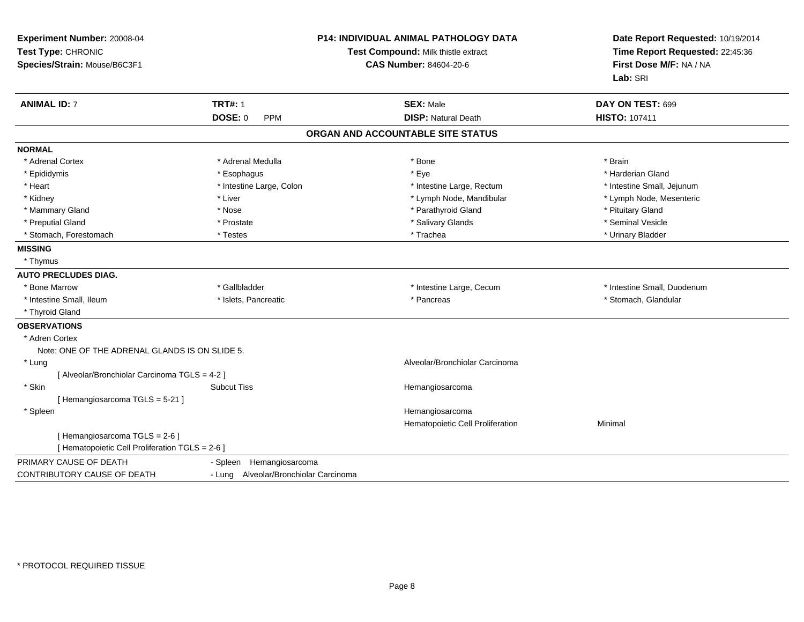| Experiment Number: 20008-04<br>Test Type: CHRONIC<br>Species/Strain: Mouse/B6C3F1 |                                       | <b>P14: INDIVIDUAL ANIMAL PATHOLOGY DATA</b><br>Test Compound: Milk thistle extract<br><b>CAS Number: 84604-20-6</b> | Date Report Requested: 10/19/2014<br>Time Report Requested: 22:45:36<br>First Dose M/F: NA / NA<br>Lab: SRI |
|-----------------------------------------------------------------------------------|---------------------------------------|----------------------------------------------------------------------------------------------------------------------|-------------------------------------------------------------------------------------------------------------|
| <b>ANIMAL ID: 7</b>                                                               | <b>TRT#: 1</b>                        | <b>SEX: Male</b>                                                                                                     | DAY ON TEST: 699                                                                                            |
|                                                                                   | <b>DOSE: 0</b><br>PPM                 | <b>DISP: Natural Death</b>                                                                                           | <b>HISTO: 107411</b>                                                                                        |
|                                                                                   |                                       | ORGAN AND ACCOUNTABLE SITE STATUS                                                                                    |                                                                                                             |
| <b>NORMAL</b>                                                                     |                                       |                                                                                                                      |                                                                                                             |
| * Adrenal Cortex                                                                  | * Adrenal Medulla                     | * Bone                                                                                                               | * Brain                                                                                                     |
| * Epididymis                                                                      | * Esophagus                           | * Eye                                                                                                                | * Harderian Gland                                                                                           |
| * Heart                                                                           | * Intestine Large, Colon              | * Intestine Large, Rectum                                                                                            | * Intestine Small, Jejunum                                                                                  |
| * Kidney                                                                          | * Liver                               | * Lymph Node, Mandibular                                                                                             | * Lymph Node, Mesenteric                                                                                    |
| * Mammary Gland                                                                   | * Nose                                | * Parathyroid Gland                                                                                                  | * Pituitary Gland                                                                                           |
| * Preputial Gland                                                                 | * Prostate                            | * Salivary Glands                                                                                                    | * Seminal Vesicle                                                                                           |
| * Stomach, Forestomach                                                            | * Testes                              | * Trachea                                                                                                            | * Urinary Bladder                                                                                           |
| <b>MISSING</b>                                                                    |                                       |                                                                                                                      |                                                                                                             |
| * Thymus                                                                          |                                       |                                                                                                                      |                                                                                                             |
| <b>AUTO PRECLUDES DIAG.</b>                                                       |                                       |                                                                                                                      |                                                                                                             |
| * Bone Marrow                                                                     | * Gallbladder                         | * Intestine Large, Cecum                                                                                             | * Intestine Small, Duodenum                                                                                 |
| * Intestine Small, Ileum                                                          | * Islets, Pancreatic                  | * Pancreas                                                                                                           | * Stomach, Glandular                                                                                        |
| * Thyroid Gland                                                                   |                                       |                                                                                                                      |                                                                                                             |
| <b>OBSERVATIONS</b>                                                               |                                       |                                                                                                                      |                                                                                                             |
| * Adren Cortex                                                                    |                                       |                                                                                                                      |                                                                                                             |
| Note: ONE OF THE ADRENAL GLANDS IS ON SLIDE 5.                                    |                                       |                                                                                                                      |                                                                                                             |
| * Lung                                                                            |                                       | Alveolar/Bronchiolar Carcinoma                                                                                       |                                                                                                             |
| [ Alveolar/Bronchiolar Carcinoma TGLS = 4-2 ]                                     |                                       |                                                                                                                      |                                                                                                             |
| * Skin                                                                            | <b>Subcut Tiss</b>                    | Hemangiosarcoma                                                                                                      |                                                                                                             |
| [Hemangiosarcoma TGLS = 5-21]                                                     |                                       |                                                                                                                      |                                                                                                             |
| * Spleen                                                                          |                                       | Hemangiosarcoma                                                                                                      |                                                                                                             |
|                                                                                   |                                       | Hematopoietic Cell Proliferation                                                                                     | Minimal                                                                                                     |
| [Hemangiosarcoma TGLS = 2-6]                                                      |                                       |                                                                                                                      |                                                                                                             |
| [ Hematopoietic Cell Proliferation TGLS = 2-6 ]                                   |                                       |                                                                                                                      |                                                                                                             |
| PRIMARY CAUSE OF DEATH                                                            | Hemangiosarcoma<br>- Spleen           |                                                                                                                      |                                                                                                             |
| <b>CONTRIBUTORY CAUSE OF DEATH</b>                                                | - Lung Alveolar/Bronchiolar Carcinoma |                                                                                                                      |                                                                                                             |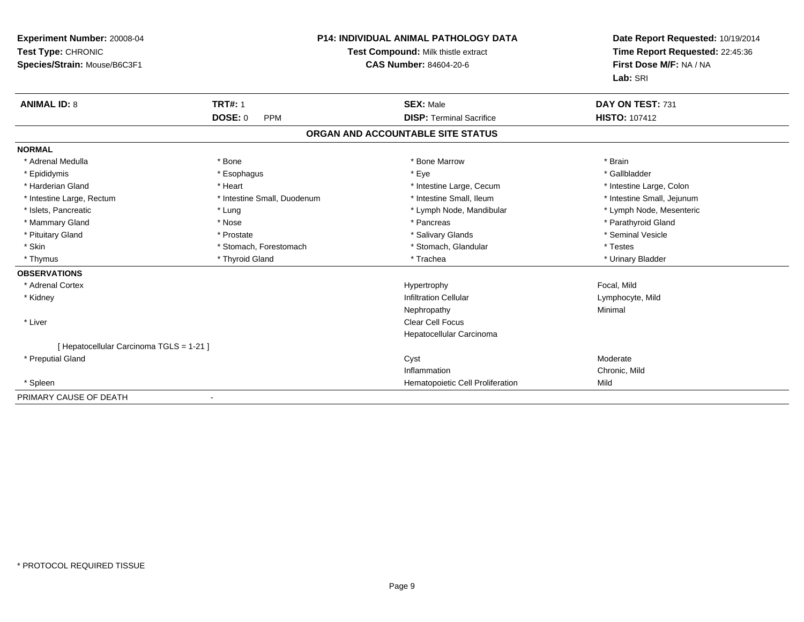| Experiment Number: 20008-04<br>Test Type: CHRONIC<br>Species/Strain: Mouse/B6C3F1 |                             | P14: INDIVIDUAL ANIMAL PATHOLOGY DATA<br>Test Compound: Milk thistle extract<br><b>CAS Number: 84604-20-6</b> | Date Report Requested: 10/19/2014<br>Time Report Requested: 22:45:36<br>First Dose M/F: NA / NA<br>Lab: SRI |
|-----------------------------------------------------------------------------------|-----------------------------|---------------------------------------------------------------------------------------------------------------|-------------------------------------------------------------------------------------------------------------|
| <b>ANIMAL ID: 8</b>                                                               | <b>TRT#: 1</b>              | <b>SEX: Male</b>                                                                                              | DAY ON TEST: 731                                                                                            |
|                                                                                   | DOSE: 0<br><b>PPM</b>       | <b>DISP: Terminal Sacrifice</b>                                                                               | <b>HISTO: 107412</b>                                                                                        |
|                                                                                   |                             | ORGAN AND ACCOUNTABLE SITE STATUS                                                                             |                                                                                                             |
| <b>NORMAL</b>                                                                     |                             |                                                                                                               |                                                                                                             |
| * Adrenal Medulla                                                                 | * Bone                      | * Bone Marrow                                                                                                 | * Brain                                                                                                     |
| * Epididymis                                                                      | * Esophagus                 | * Eye                                                                                                         | * Gallbladder                                                                                               |
| * Harderian Gland                                                                 | * Heart                     | * Intestine Large, Cecum                                                                                      | * Intestine Large, Colon                                                                                    |
| * Intestine Large, Rectum                                                         | * Intestine Small, Duodenum | * Intestine Small, Ileum                                                                                      | * Intestine Small, Jejunum                                                                                  |
| * Islets, Pancreatic                                                              | * Lung                      | * Lymph Node, Mandibular                                                                                      | * Lymph Node, Mesenteric                                                                                    |
| * Mammary Gland                                                                   | * Nose                      | * Pancreas                                                                                                    | * Parathyroid Gland                                                                                         |
| * Pituitary Gland                                                                 | * Prostate                  | * Salivary Glands                                                                                             | * Seminal Vesicle                                                                                           |
| * Skin                                                                            | * Stomach, Forestomach      | * Stomach, Glandular                                                                                          | * Testes                                                                                                    |
| * Thymus                                                                          | * Thyroid Gland             | * Trachea                                                                                                     | * Urinary Bladder                                                                                           |
| <b>OBSERVATIONS</b>                                                               |                             |                                                                                                               |                                                                                                             |
| * Adrenal Cortex                                                                  |                             | Hypertrophy                                                                                                   | Focal, Mild                                                                                                 |
| * Kidney                                                                          |                             | <b>Infiltration Cellular</b>                                                                                  | Lymphocyte, Mild                                                                                            |
|                                                                                   |                             | Nephropathy                                                                                                   | Minimal                                                                                                     |
| * Liver                                                                           |                             | <b>Clear Cell Focus</b>                                                                                       |                                                                                                             |
|                                                                                   |                             | Hepatocellular Carcinoma                                                                                      |                                                                                                             |
| [ Hepatocellular Carcinoma TGLS = 1-21 ]                                          |                             |                                                                                                               |                                                                                                             |
| * Preputial Gland                                                                 |                             | Cyst                                                                                                          | Moderate                                                                                                    |
|                                                                                   |                             | Inflammation                                                                                                  | Chronic, Mild                                                                                               |
| * Spleen                                                                          |                             | Hematopoietic Cell Proliferation                                                                              | Mild                                                                                                        |
| PRIMARY CAUSE OF DEATH                                                            |                             |                                                                                                               |                                                                                                             |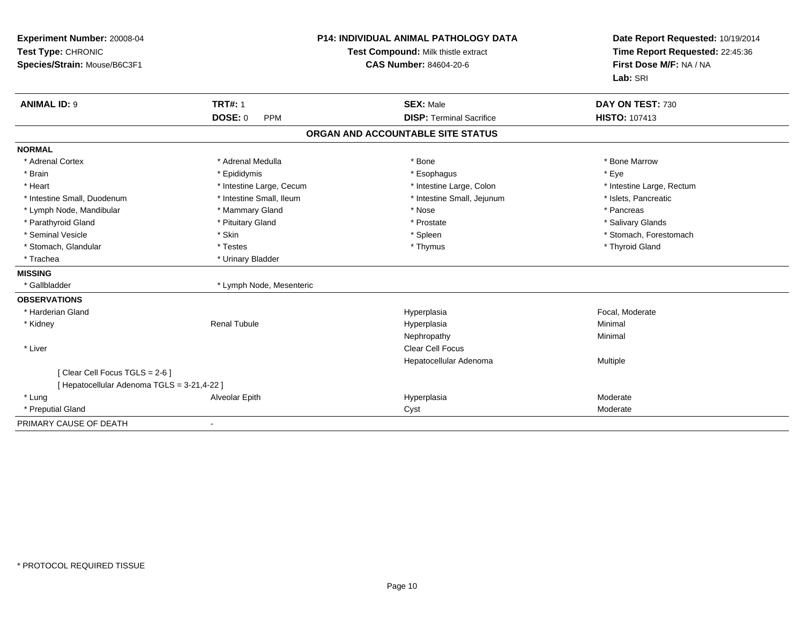| Experiment Number: 20008-04<br>Test Type: CHRONIC<br>Species/Strain: Mouse/B6C3F1 |                              | P14: INDIVIDUAL ANIMAL PATHOLOGY DATA<br>Test Compound: Milk thistle extract<br><b>CAS Number: 84604-20-6</b> | Date Report Requested: 10/19/2014<br>Time Report Requested: 22:45:36<br>First Dose M/F: NA / NA<br>Lab: SRI |
|-----------------------------------------------------------------------------------|------------------------------|---------------------------------------------------------------------------------------------------------------|-------------------------------------------------------------------------------------------------------------|
| <b>ANIMAL ID: 9</b>                                                               | <b>TRT#: 1</b>               | <b>SEX: Male</b>                                                                                              | DAY ON TEST: 730                                                                                            |
|                                                                                   | <b>DOSE: 0</b><br><b>PPM</b> | <b>DISP: Terminal Sacrifice</b>                                                                               | HISTO: 107413                                                                                               |
|                                                                                   |                              | ORGAN AND ACCOUNTABLE SITE STATUS                                                                             |                                                                                                             |
| <b>NORMAL</b>                                                                     |                              |                                                                                                               |                                                                                                             |
| * Adrenal Cortex                                                                  | * Adrenal Medulla            | $*$ Bone                                                                                                      | * Bone Marrow                                                                                               |
| * Brain                                                                           | * Epididymis                 | * Esophagus                                                                                                   | * Eye                                                                                                       |
| * Heart                                                                           | * Intestine Large, Cecum     | * Intestine Large, Colon                                                                                      | * Intestine Large, Rectum                                                                                   |
| * Intestine Small, Duodenum                                                       | * Intestine Small, Ileum     | * Intestine Small, Jejunum                                                                                    | * Islets, Pancreatic                                                                                        |
| * Lymph Node, Mandibular                                                          | * Mammary Gland              | * Nose                                                                                                        | * Pancreas                                                                                                  |
| * Parathyroid Gland                                                               | * Pituitary Gland            | * Prostate                                                                                                    | * Salivary Glands                                                                                           |
| * Seminal Vesicle                                                                 | * Skin                       | * Spleen                                                                                                      | * Stomach, Forestomach                                                                                      |
| * Stomach, Glandular                                                              | * Testes                     | * Thymus                                                                                                      | * Thyroid Gland                                                                                             |
| * Trachea                                                                         | * Urinary Bladder            |                                                                                                               |                                                                                                             |
| <b>MISSING</b>                                                                    |                              |                                                                                                               |                                                                                                             |
| * Gallbladder                                                                     | * Lymph Node, Mesenteric     |                                                                                                               |                                                                                                             |
| <b>OBSERVATIONS</b>                                                               |                              |                                                                                                               |                                                                                                             |
| * Harderian Gland                                                                 |                              | Hyperplasia                                                                                                   | Focal, Moderate                                                                                             |
| * Kidney                                                                          | <b>Renal Tubule</b>          | Hyperplasia                                                                                                   | Minimal                                                                                                     |
|                                                                                   |                              | Nephropathy                                                                                                   | Minimal                                                                                                     |
| * Liver                                                                           |                              | <b>Clear Cell Focus</b>                                                                                       |                                                                                                             |
|                                                                                   |                              | Hepatocellular Adenoma                                                                                        | Multiple                                                                                                    |
| [ Clear Cell Focus TGLS = 2-6 ]                                                   |                              |                                                                                                               |                                                                                                             |
| [ Hepatocellular Adenoma TGLS = 3-21,4-22 ]                                       |                              |                                                                                                               |                                                                                                             |
| * Lung                                                                            | Alveolar Epith               | Hyperplasia                                                                                                   | Moderate                                                                                                    |
| * Preputial Gland                                                                 |                              | Cyst                                                                                                          | Moderate                                                                                                    |
| PRIMARY CAUSE OF DEATH                                                            |                              |                                                                                                               |                                                                                                             |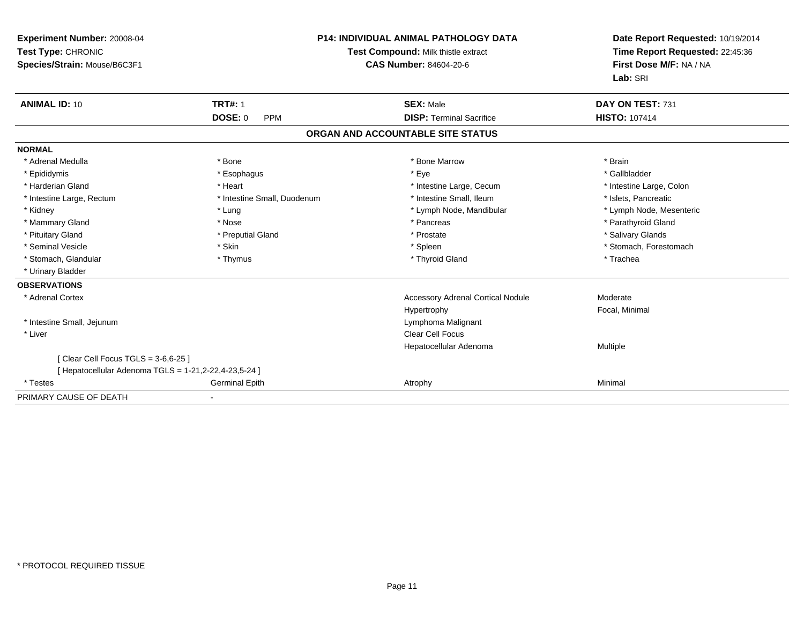| Experiment Number: 20008-04<br>Test Type: CHRONIC<br>Species/Strain: Mouse/B6C3F1 |                              | <b>P14: INDIVIDUAL ANIMAL PATHOLOGY DATA</b><br>Test Compound: Milk thistle extract<br>CAS Number: 84604-20-6 | Date Report Requested: 10/19/2014<br>Time Report Requested: 22:45:36<br>First Dose M/F: NA / NA<br>Lab: SRI |
|-----------------------------------------------------------------------------------|------------------------------|---------------------------------------------------------------------------------------------------------------|-------------------------------------------------------------------------------------------------------------|
| <b>ANIMAL ID: 10</b>                                                              | <b>TRT#: 1</b>               | <b>SEX: Male</b>                                                                                              | DAY ON TEST: 731                                                                                            |
|                                                                                   | <b>DOSE: 0</b><br><b>PPM</b> | <b>DISP: Terminal Sacrifice</b>                                                                               | <b>HISTO: 107414</b>                                                                                        |
|                                                                                   |                              | ORGAN AND ACCOUNTABLE SITE STATUS                                                                             |                                                                                                             |
| <b>NORMAL</b>                                                                     |                              |                                                                                                               |                                                                                                             |
| * Adrenal Medulla                                                                 | * Bone                       | * Bone Marrow                                                                                                 | * Brain                                                                                                     |
| * Epididymis                                                                      | * Esophagus                  | * Eye                                                                                                         | * Gallbladder                                                                                               |
| * Harderian Gland                                                                 | * Heart                      | * Intestine Large, Cecum                                                                                      | * Intestine Large, Colon                                                                                    |
| * Intestine Large, Rectum                                                         | * Intestine Small, Duodenum  | * Intestine Small, Ileum                                                                                      | * Islets, Pancreatic                                                                                        |
| * Kidney                                                                          | * Lung                       | * Lymph Node, Mandibular                                                                                      | * Lymph Node, Mesenteric                                                                                    |
| * Mammary Gland                                                                   | * Nose                       | * Pancreas                                                                                                    | * Parathyroid Gland                                                                                         |
| * Pituitary Gland                                                                 | * Preputial Gland            | * Prostate                                                                                                    | * Salivary Glands                                                                                           |
| * Seminal Vesicle                                                                 | * Skin                       | * Spleen                                                                                                      | * Stomach, Forestomach                                                                                      |
| * Stomach, Glandular                                                              | * Thymus                     | * Thyroid Gland                                                                                               | * Trachea                                                                                                   |
| * Urinary Bladder                                                                 |                              |                                                                                                               |                                                                                                             |
| <b>OBSERVATIONS</b>                                                               |                              |                                                                                                               |                                                                                                             |
| * Adrenal Cortex                                                                  |                              | <b>Accessory Adrenal Cortical Nodule</b>                                                                      | Moderate                                                                                                    |
|                                                                                   |                              | Hypertrophy                                                                                                   | Focal, Minimal                                                                                              |
| * Intestine Small, Jejunum                                                        |                              | Lymphoma Malignant                                                                                            |                                                                                                             |
| * Liver                                                                           |                              | Clear Cell Focus                                                                                              |                                                                                                             |
|                                                                                   |                              | Hepatocellular Adenoma                                                                                        | Multiple                                                                                                    |
| [ Clear Cell Focus TGLS = 3-6,6-25 ]                                              |                              |                                                                                                               |                                                                                                             |
| [ Hepatocellular Adenoma TGLS = 1-21, 2-22, 4-23, 5-24 ]                          |                              |                                                                                                               |                                                                                                             |
| * Testes                                                                          | <b>Germinal Epith</b>        | Atrophy                                                                                                       | Minimal                                                                                                     |
| PRIMARY CAUSE OF DEATH                                                            |                              |                                                                                                               |                                                                                                             |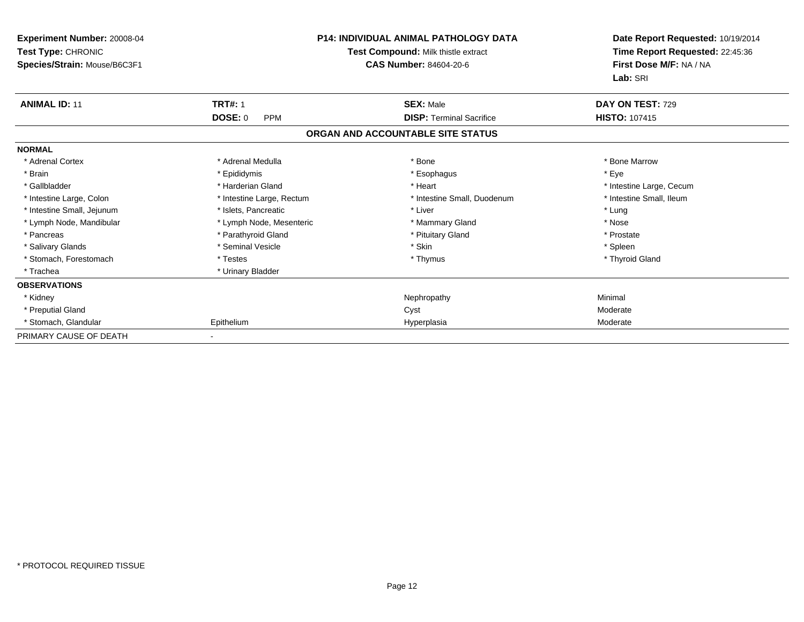| Experiment Number: 20008-04<br>Test Type: CHRONIC<br>Species/Strain: Mouse/B6C3F1 | <b>P14: INDIVIDUAL ANIMAL PATHOLOGY DATA</b><br>Test Compound: Milk thistle extract<br><b>CAS Number: 84604-20-6</b> |                                   | Date Report Requested: 10/19/2014<br>Time Report Requested: 22:45:36<br>First Dose M/F: NA / NA<br>Lab: SRI |
|-----------------------------------------------------------------------------------|----------------------------------------------------------------------------------------------------------------------|-----------------------------------|-------------------------------------------------------------------------------------------------------------|
| <b>ANIMAL ID: 11</b>                                                              | <b>TRT#: 1</b>                                                                                                       | <b>SEX: Male</b>                  | DAY ON TEST: 729                                                                                            |
|                                                                                   | <b>DOSE: 0</b><br><b>PPM</b>                                                                                         | <b>DISP: Terminal Sacrifice</b>   | <b>HISTO: 107415</b>                                                                                        |
|                                                                                   |                                                                                                                      | ORGAN AND ACCOUNTABLE SITE STATUS |                                                                                                             |
| <b>NORMAL</b>                                                                     |                                                                                                                      |                                   |                                                                                                             |
| * Adrenal Cortex                                                                  | * Adrenal Medulla                                                                                                    | * Bone                            | * Bone Marrow                                                                                               |
| * Brain                                                                           | * Epididymis                                                                                                         | * Esophagus                       | * Eye                                                                                                       |
| * Gallbladder                                                                     | * Harderian Gland                                                                                                    | * Heart                           | * Intestine Large, Cecum                                                                                    |
| * Intestine Large, Colon                                                          | * Intestine Large, Rectum                                                                                            | * Intestine Small, Duodenum       | * Intestine Small, Ileum                                                                                    |
| * Intestine Small, Jejunum                                                        | * Islets, Pancreatic                                                                                                 | * Liver                           | * Lung                                                                                                      |
| * Lymph Node, Mandibular                                                          | * Lymph Node, Mesenteric                                                                                             | * Mammary Gland                   | * Nose                                                                                                      |
| * Pancreas                                                                        | * Parathyroid Gland                                                                                                  | * Pituitary Gland                 | * Prostate                                                                                                  |
| * Salivary Glands                                                                 | * Seminal Vesicle                                                                                                    | * Skin                            | * Spleen                                                                                                    |
| * Stomach, Forestomach                                                            | * Testes                                                                                                             | * Thymus                          | * Thyroid Gland                                                                                             |
| * Trachea                                                                         | * Urinary Bladder                                                                                                    |                                   |                                                                                                             |
| <b>OBSERVATIONS</b>                                                               |                                                                                                                      |                                   |                                                                                                             |
| * Kidney                                                                          |                                                                                                                      | Nephropathy                       | Minimal                                                                                                     |
| * Preputial Gland                                                                 |                                                                                                                      | Cyst                              | Moderate                                                                                                    |
| * Stomach, Glandular                                                              | Epithelium                                                                                                           | Hyperplasia                       | Moderate                                                                                                    |
| PRIMARY CAUSE OF DEATH                                                            |                                                                                                                      |                                   |                                                                                                             |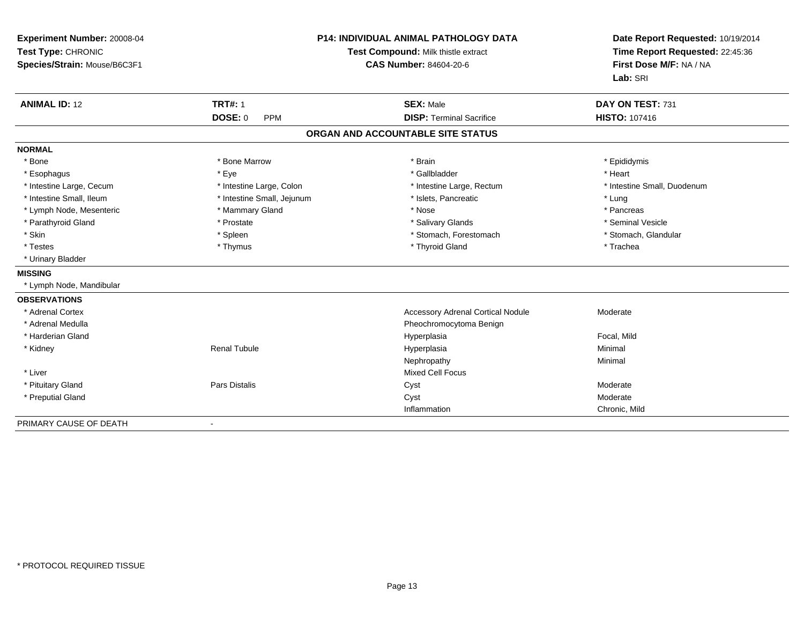| Experiment Number: 20008-04<br>Test Type: CHRONIC<br>Species/Strain: Mouse/B6C3F1 |                              | P14: INDIVIDUAL ANIMAL PATHOLOGY DATA<br>Test Compound: Milk thistle extract<br><b>CAS Number: 84604-20-6</b> | Date Report Requested: 10/19/2014<br>Time Report Requested: 22:45:36<br>First Dose M/F: NA / NA<br>Lab: SRI |  |
|-----------------------------------------------------------------------------------|------------------------------|---------------------------------------------------------------------------------------------------------------|-------------------------------------------------------------------------------------------------------------|--|
| <b>ANIMAL ID: 12</b>                                                              | <b>TRT#: 1</b>               | <b>SEX: Male</b>                                                                                              | DAY ON TEST: 731                                                                                            |  |
|                                                                                   | <b>DOSE: 0</b><br><b>PPM</b> | <b>DISP: Terminal Sacrifice</b>                                                                               | HISTO: 107416                                                                                               |  |
|                                                                                   |                              | ORGAN AND ACCOUNTABLE SITE STATUS                                                                             |                                                                                                             |  |
| <b>NORMAL</b>                                                                     |                              |                                                                                                               |                                                                                                             |  |
| * Bone                                                                            | * Bone Marrow                | * Brain                                                                                                       | * Epididymis                                                                                                |  |
| * Esophagus                                                                       | * Eye                        | * Gallbladder                                                                                                 | * Heart                                                                                                     |  |
| * Intestine Large, Cecum                                                          | * Intestine Large, Colon     | * Intestine Large, Rectum                                                                                     | * Intestine Small, Duodenum                                                                                 |  |
| * Intestine Small. Ileum                                                          | * Intestine Small, Jejunum   | * Islets, Pancreatic                                                                                          | * Lung                                                                                                      |  |
| * Lymph Node, Mesenteric                                                          | * Mammary Gland              | * Nose                                                                                                        | * Pancreas                                                                                                  |  |
| * Parathyroid Gland                                                               | * Prostate                   | * Salivary Glands                                                                                             | * Seminal Vesicle                                                                                           |  |
| * Skin                                                                            | * Spleen                     | * Stomach, Forestomach                                                                                        | * Stomach, Glandular                                                                                        |  |
| * Testes                                                                          | * Thymus                     | * Thyroid Gland                                                                                               | * Trachea                                                                                                   |  |
| * Urinary Bladder                                                                 |                              |                                                                                                               |                                                                                                             |  |
| <b>MISSING</b>                                                                    |                              |                                                                                                               |                                                                                                             |  |
| * Lymph Node, Mandibular                                                          |                              |                                                                                                               |                                                                                                             |  |
| <b>OBSERVATIONS</b>                                                               |                              |                                                                                                               |                                                                                                             |  |
| * Adrenal Cortex                                                                  |                              | <b>Accessory Adrenal Cortical Nodule</b>                                                                      | Moderate                                                                                                    |  |
| * Adrenal Medulla                                                                 |                              | Pheochromocytoma Benign                                                                                       |                                                                                                             |  |
| * Harderian Gland                                                                 |                              | Hyperplasia                                                                                                   | Focal, Mild                                                                                                 |  |
| * Kidney                                                                          | <b>Renal Tubule</b>          | Hyperplasia                                                                                                   | Minimal                                                                                                     |  |
|                                                                                   |                              | Nephropathy                                                                                                   | Minimal                                                                                                     |  |
| * Liver                                                                           |                              | <b>Mixed Cell Focus</b>                                                                                       |                                                                                                             |  |
| * Pituitary Gland                                                                 | Pars Distalis                | Cyst                                                                                                          | Moderate                                                                                                    |  |
| * Preputial Gland                                                                 |                              | Cyst                                                                                                          | Moderate                                                                                                    |  |
|                                                                                   |                              | Inflammation                                                                                                  | Chronic, Mild                                                                                               |  |
| PRIMARY CAUSE OF DEATH                                                            | $\blacksquare$               |                                                                                                               |                                                                                                             |  |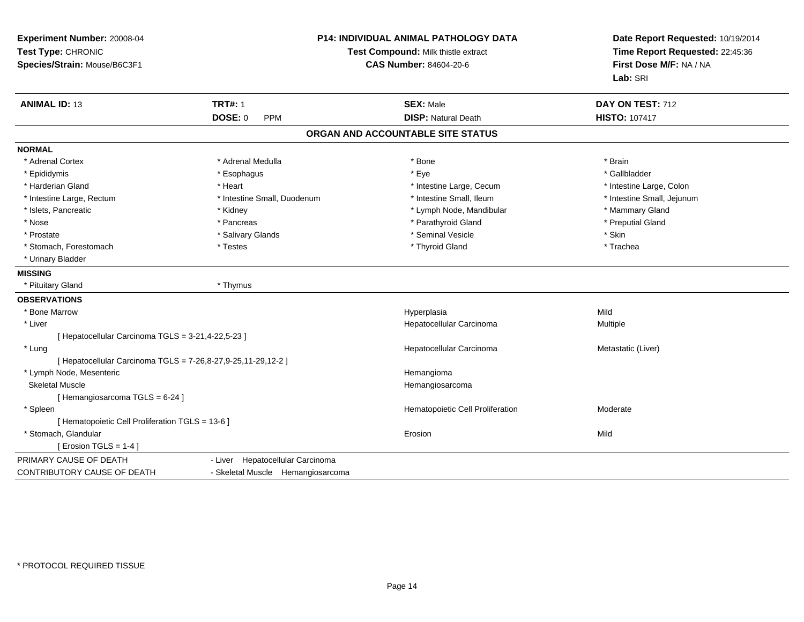| Experiment Number: 20008-04<br>Test Type: CHRONIC<br>Species/Strain: Mouse/B6C3F1 |                                   | P14: INDIVIDUAL ANIMAL PATHOLOGY DATA<br>Test Compound: Milk thistle extract<br><b>CAS Number: 84604-20-6</b> | Date Report Requested: 10/19/2014<br>Time Report Requested: 22:45:36<br>First Dose M/F: NA / NA<br>Lab: SRI |
|-----------------------------------------------------------------------------------|-----------------------------------|---------------------------------------------------------------------------------------------------------------|-------------------------------------------------------------------------------------------------------------|
| <b>ANIMAL ID: 13</b>                                                              | <b>TRT#: 1</b>                    | <b>SEX: Male</b>                                                                                              | DAY ON TEST: 712                                                                                            |
|                                                                                   | <b>DOSE: 0</b><br><b>PPM</b>      | <b>DISP: Natural Death</b>                                                                                    | <b>HISTO: 107417</b>                                                                                        |
|                                                                                   |                                   | ORGAN AND ACCOUNTABLE SITE STATUS                                                                             |                                                                                                             |
| <b>NORMAL</b>                                                                     |                                   |                                                                                                               |                                                                                                             |
| * Adrenal Cortex                                                                  | * Adrenal Medulla                 | * Bone                                                                                                        | * Brain                                                                                                     |
| * Epididymis                                                                      | * Esophagus                       | * Eye                                                                                                         | * Gallbladder                                                                                               |
| * Harderian Gland                                                                 | * Heart                           | * Intestine Large, Cecum                                                                                      | * Intestine Large, Colon                                                                                    |
| * Intestine Large, Rectum                                                         | * Intestine Small, Duodenum       | * Intestine Small, Ileum                                                                                      | * Intestine Small, Jejunum                                                                                  |
| * Islets, Pancreatic                                                              | * Kidney                          | * Lymph Node, Mandibular                                                                                      | * Mammary Gland                                                                                             |
| * Nose                                                                            | * Pancreas                        | * Parathyroid Gland                                                                                           | * Preputial Gland                                                                                           |
| * Prostate                                                                        | * Salivary Glands                 | * Seminal Vesicle                                                                                             | * Skin                                                                                                      |
| * Stomach, Forestomach                                                            | * Testes                          | * Thyroid Gland                                                                                               | * Trachea                                                                                                   |
| * Urinary Bladder                                                                 |                                   |                                                                                                               |                                                                                                             |
| <b>MISSING</b>                                                                    |                                   |                                                                                                               |                                                                                                             |
| * Pituitary Gland                                                                 | * Thymus                          |                                                                                                               |                                                                                                             |
| <b>OBSERVATIONS</b>                                                               |                                   |                                                                                                               |                                                                                                             |
| * Bone Marrow                                                                     |                                   | Hyperplasia                                                                                                   | Mild                                                                                                        |
| * Liver                                                                           |                                   | Hepatocellular Carcinoma                                                                                      | Multiple                                                                                                    |
| [ Hepatocellular Carcinoma TGLS = 3-21,4-22,5-23 ]                                |                                   |                                                                                                               |                                                                                                             |
| * Lung                                                                            |                                   | Hepatocellular Carcinoma                                                                                      | Metastatic (Liver)                                                                                          |
| [ Hepatocellular Carcinoma TGLS = 7-26,8-27,9-25,11-29,12-2 ]                     |                                   |                                                                                                               |                                                                                                             |
| * Lymph Node, Mesenteric                                                          |                                   | Hemangioma                                                                                                    |                                                                                                             |
| <b>Skeletal Muscle</b>                                                            |                                   | Hemangiosarcoma                                                                                               |                                                                                                             |
| [Hemangiosarcoma TGLS = 6-24]                                                     |                                   |                                                                                                               |                                                                                                             |
| * Spleen                                                                          |                                   | Hematopoietic Cell Proliferation                                                                              | Moderate                                                                                                    |
| [ Hematopoietic Cell Proliferation TGLS = 13-6 ]                                  |                                   |                                                                                                               |                                                                                                             |
| * Stomach, Glandular                                                              |                                   | Erosion                                                                                                       | Mild                                                                                                        |
| [ Erosion TGLS = $1-4$ ]                                                          |                                   |                                                                                                               |                                                                                                             |
| PRIMARY CAUSE OF DEATH                                                            | - Liver Hepatocellular Carcinoma  |                                                                                                               |                                                                                                             |
| CONTRIBUTORY CAUSE OF DEATH                                                       | - Skeletal Muscle Hemangiosarcoma |                                                                                                               |                                                                                                             |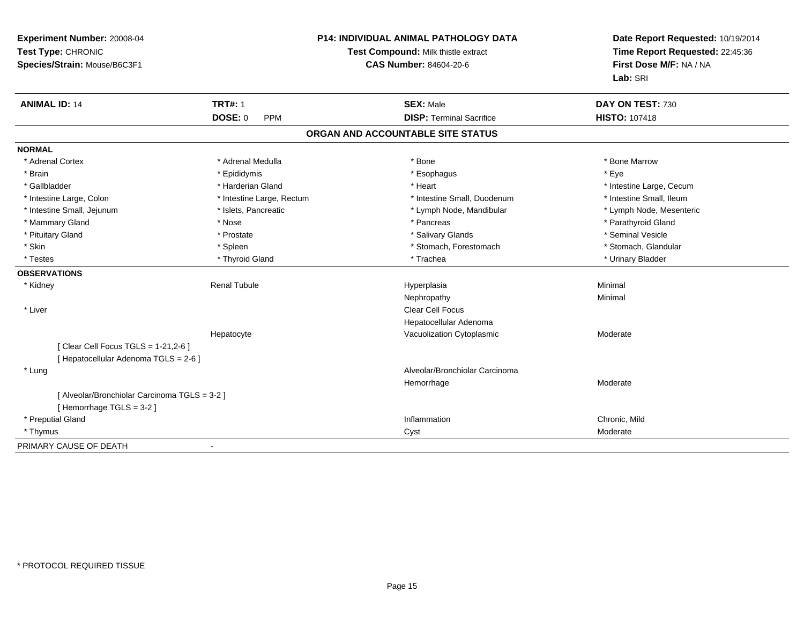| Experiment Number: 20008-04<br>Test Type: CHRONIC<br>Species/Strain: Mouse/B6C3F1 |                              | P14: INDIVIDUAL ANIMAL PATHOLOGY DATA<br>Test Compound: Milk thistle extract<br><b>CAS Number: 84604-20-6</b> | Date Report Requested: 10/19/2014<br>Time Report Requested: 22:45:36<br>First Dose M/F: NA / NA<br>Lab: SRI |
|-----------------------------------------------------------------------------------|------------------------------|---------------------------------------------------------------------------------------------------------------|-------------------------------------------------------------------------------------------------------------|
| <b>ANIMAL ID: 14</b>                                                              | <b>TRT#: 1</b>               | <b>SEX: Male</b>                                                                                              | DAY ON TEST: 730                                                                                            |
|                                                                                   | <b>DOSE: 0</b><br><b>PPM</b> | <b>DISP: Terminal Sacrifice</b>                                                                               | <b>HISTO: 107418</b>                                                                                        |
|                                                                                   |                              | ORGAN AND ACCOUNTABLE SITE STATUS                                                                             |                                                                                                             |
| <b>NORMAL</b>                                                                     |                              |                                                                                                               |                                                                                                             |
| * Adrenal Cortex                                                                  | * Adrenal Medulla            | * Bone                                                                                                        | * Bone Marrow                                                                                               |
| * Brain                                                                           | * Epididymis                 | * Esophagus                                                                                                   | * Eye                                                                                                       |
| * Gallbladder                                                                     | * Harderian Gland            | * Heart                                                                                                       | * Intestine Large, Cecum                                                                                    |
| * Intestine Large, Colon                                                          | * Intestine Large, Rectum    | * Intestine Small, Duodenum                                                                                   | * Intestine Small, Ileum                                                                                    |
| * Intestine Small, Jejunum                                                        | * Islets, Pancreatic         | * Lymph Node, Mandibular                                                                                      | * Lymph Node, Mesenteric                                                                                    |
| * Mammary Gland                                                                   | * Nose                       | * Pancreas                                                                                                    | * Parathyroid Gland                                                                                         |
| * Pituitary Gland                                                                 | * Prostate                   | * Salivary Glands                                                                                             | * Seminal Vesicle                                                                                           |
| * Skin                                                                            | * Spleen                     | * Stomach, Forestomach                                                                                        | * Stomach, Glandular                                                                                        |
| * Testes                                                                          | * Thyroid Gland              | * Trachea                                                                                                     | * Urinary Bladder                                                                                           |
| <b>OBSERVATIONS</b>                                                               |                              |                                                                                                               |                                                                                                             |
| * Kidney                                                                          | <b>Renal Tubule</b>          | Hyperplasia                                                                                                   | Minimal                                                                                                     |
|                                                                                   |                              | Nephropathy                                                                                                   | Minimal                                                                                                     |
| * Liver                                                                           |                              | <b>Clear Cell Focus</b>                                                                                       |                                                                                                             |
|                                                                                   |                              | Hepatocellular Adenoma                                                                                        |                                                                                                             |
|                                                                                   | Hepatocyte                   | Vacuolization Cytoplasmic                                                                                     | Moderate                                                                                                    |
| [ Clear Cell Focus TGLS = 1-21,2-6 ]                                              |                              |                                                                                                               |                                                                                                             |
| [ Hepatocellular Adenoma TGLS = 2-6 ]                                             |                              |                                                                                                               |                                                                                                             |
| * Lung                                                                            |                              | Alveolar/Bronchiolar Carcinoma                                                                                |                                                                                                             |
|                                                                                   |                              | Hemorrhage                                                                                                    | Moderate                                                                                                    |
| [ Alveolar/Bronchiolar Carcinoma TGLS = 3-2 ]                                     |                              |                                                                                                               |                                                                                                             |
| [Hemorrhage TGLS = 3-2]                                                           |                              |                                                                                                               |                                                                                                             |
| * Preputial Gland                                                                 |                              | Inflammation                                                                                                  | Chronic, Mild                                                                                               |
| * Thymus                                                                          |                              | Cyst                                                                                                          | Moderate                                                                                                    |
| PRIMARY CAUSE OF DEATH                                                            | $\blacksquare$               |                                                                                                               |                                                                                                             |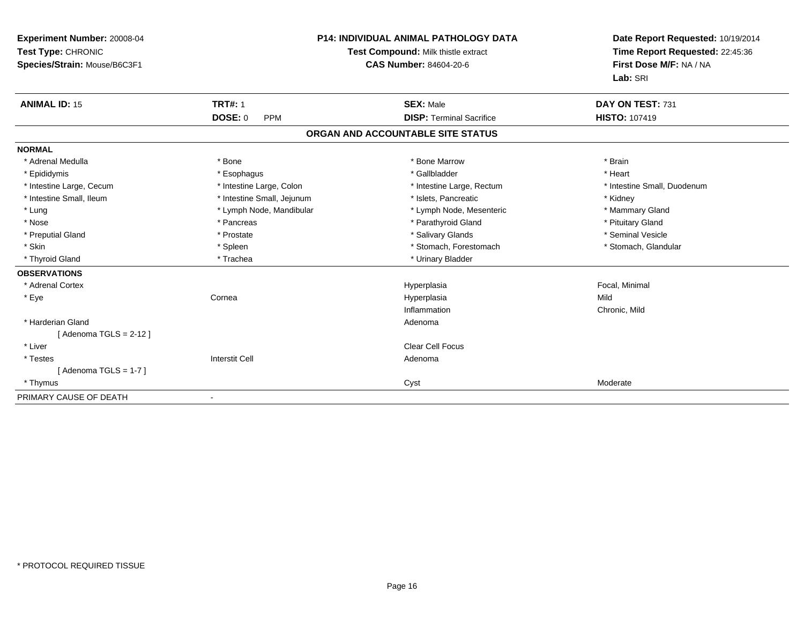| Experiment Number: 20008-04<br>Test Type: CHRONIC<br>Species/Strain: Mouse/B6C3F1 |                            | P14: INDIVIDUAL ANIMAL PATHOLOGY DATA<br>Test Compound: Milk thistle extract<br><b>CAS Number: 84604-20-6</b> | Date Report Requested: 10/19/2014<br>Time Report Requested: 22:45:36<br>First Dose M/F: NA / NA<br>Lab: SRI |  |
|-----------------------------------------------------------------------------------|----------------------------|---------------------------------------------------------------------------------------------------------------|-------------------------------------------------------------------------------------------------------------|--|
| <b>ANIMAL ID: 15</b>                                                              | <b>TRT#: 1</b>             | <b>SEX: Male</b>                                                                                              | DAY ON TEST: 731                                                                                            |  |
|                                                                                   | DOSE: 0<br><b>PPM</b>      | <b>DISP: Terminal Sacrifice</b>                                                                               | <b>HISTO: 107419</b>                                                                                        |  |
|                                                                                   |                            | ORGAN AND ACCOUNTABLE SITE STATUS                                                                             |                                                                                                             |  |
| <b>NORMAL</b>                                                                     |                            |                                                                                                               |                                                                                                             |  |
| * Adrenal Medulla                                                                 | * Bone                     | * Bone Marrow                                                                                                 | * Brain                                                                                                     |  |
| * Epididymis                                                                      | * Esophagus                | * Gallbladder                                                                                                 | * Heart                                                                                                     |  |
| * Intestine Large, Cecum                                                          | * Intestine Large, Colon   | * Intestine Large, Rectum                                                                                     | * Intestine Small, Duodenum                                                                                 |  |
| * Intestine Small, Ileum                                                          | * Intestine Small, Jejunum | * Islets, Pancreatic                                                                                          | * Kidney                                                                                                    |  |
| * Lung                                                                            | * Lymph Node, Mandibular   | * Lymph Node, Mesenteric                                                                                      | * Mammary Gland                                                                                             |  |
| * Nose                                                                            | * Pancreas                 | * Parathyroid Gland                                                                                           | * Pituitary Gland                                                                                           |  |
| * Preputial Gland                                                                 | * Prostate                 | * Salivary Glands                                                                                             | * Seminal Vesicle                                                                                           |  |
| * Skin                                                                            | * Spleen                   | * Stomach, Forestomach                                                                                        | * Stomach, Glandular                                                                                        |  |
| * Thyroid Gland                                                                   | * Trachea                  | * Urinary Bladder                                                                                             |                                                                                                             |  |
| <b>OBSERVATIONS</b>                                                               |                            |                                                                                                               |                                                                                                             |  |
| * Adrenal Cortex                                                                  |                            | Hyperplasia                                                                                                   | Focal, Minimal                                                                                              |  |
| * Eye                                                                             | Cornea                     | Hyperplasia                                                                                                   | Mild                                                                                                        |  |
|                                                                                   |                            | Inflammation                                                                                                  | Chronic, Mild                                                                                               |  |
| * Harderian Gland                                                                 |                            | Adenoma                                                                                                       |                                                                                                             |  |
| [Adenoma TGLS = $2-12$ ]                                                          |                            |                                                                                                               |                                                                                                             |  |
| * Liver                                                                           |                            | <b>Clear Cell Focus</b>                                                                                       |                                                                                                             |  |
| * Testes                                                                          | <b>Interstit Cell</b>      | Adenoma                                                                                                       |                                                                                                             |  |
| [ Adenoma TGLS = 1-7 ]                                                            |                            |                                                                                                               |                                                                                                             |  |
| * Thymus                                                                          |                            | Cyst                                                                                                          | Moderate                                                                                                    |  |
| PRIMARY CAUSE OF DEATH                                                            |                            |                                                                                                               |                                                                                                             |  |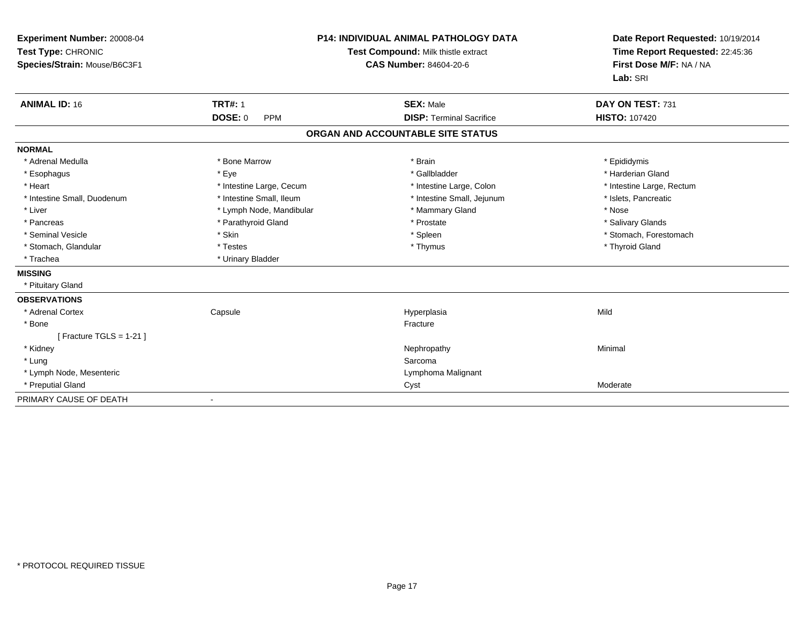| Experiment Number: 20008-04<br>Test Type: CHRONIC<br>Species/Strain: Mouse/B6C3F1<br><b>ANIMAL ID: 16</b> | <b>TRT#: 1</b><br><b>DOSE: 0</b><br><b>PPM</b> | <b>P14: INDIVIDUAL ANIMAL PATHOLOGY DATA</b><br>Test Compound: Milk thistle extract<br><b>CAS Number: 84604-20-6</b><br><b>SEX: Male</b><br><b>DISP: Terminal Sacrifice</b> | Date Report Requested: 10/19/2014<br>Time Report Requested: 22:45:36<br>First Dose M/F: NA / NA<br>Lab: SRI<br>DAY ON TEST: 731<br><b>HISTO: 107420</b> |
|-----------------------------------------------------------------------------------------------------------|------------------------------------------------|-----------------------------------------------------------------------------------------------------------------------------------------------------------------------------|---------------------------------------------------------------------------------------------------------------------------------------------------------|
|                                                                                                           |                                                | ORGAN AND ACCOUNTABLE SITE STATUS                                                                                                                                           |                                                                                                                                                         |
| <b>NORMAL</b>                                                                                             |                                                |                                                                                                                                                                             |                                                                                                                                                         |
| * Adrenal Medulla                                                                                         | * Bone Marrow                                  | * Brain                                                                                                                                                                     | * Epididymis                                                                                                                                            |
| * Esophagus                                                                                               | * Eye                                          | * Gallbladder                                                                                                                                                               | * Harderian Gland                                                                                                                                       |
| * Heart                                                                                                   | * Intestine Large, Cecum                       | * Intestine Large, Colon                                                                                                                                                    | * Intestine Large, Rectum                                                                                                                               |
| * Intestine Small, Duodenum                                                                               | * Intestine Small, Ileum                       | * Intestine Small, Jejunum                                                                                                                                                  | * Islets, Pancreatic                                                                                                                                    |
| * Liver                                                                                                   | * Lymph Node, Mandibular                       | * Mammary Gland                                                                                                                                                             | * Nose                                                                                                                                                  |
| * Pancreas                                                                                                | * Parathyroid Gland                            | * Prostate                                                                                                                                                                  | * Salivary Glands                                                                                                                                       |
| * Seminal Vesicle                                                                                         | * Skin                                         | * Spleen                                                                                                                                                                    | * Stomach, Forestomach                                                                                                                                  |
| * Stomach, Glandular                                                                                      | * Testes                                       | * Thymus                                                                                                                                                                    | * Thyroid Gland                                                                                                                                         |
| * Trachea                                                                                                 | * Urinary Bladder                              |                                                                                                                                                                             |                                                                                                                                                         |
| <b>MISSING</b>                                                                                            |                                                |                                                                                                                                                                             |                                                                                                                                                         |
| * Pituitary Gland                                                                                         |                                                |                                                                                                                                                                             |                                                                                                                                                         |
| <b>OBSERVATIONS</b>                                                                                       |                                                |                                                                                                                                                                             |                                                                                                                                                         |
| * Adrenal Cortex                                                                                          | Capsule                                        | Hyperplasia                                                                                                                                                                 | Mild                                                                                                                                                    |
| * Bone                                                                                                    |                                                | Fracture                                                                                                                                                                    |                                                                                                                                                         |
| [Fracture TGLS = $1-21$ ]                                                                                 |                                                |                                                                                                                                                                             |                                                                                                                                                         |
| * Kidney                                                                                                  |                                                | Nephropathy                                                                                                                                                                 | Minimal                                                                                                                                                 |
| * Lung                                                                                                    |                                                | Sarcoma                                                                                                                                                                     |                                                                                                                                                         |
| * Lymph Node, Mesenteric                                                                                  |                                                | Lymphoma Malignant                                                                                                                                                          |                                                                                                                                                         |
| * Preputial Gland                                                                                         |                                                | Cyst                                                                                                                                                                        | Moderate                                                                                                                                                |
| PRIMARY CAUSE OF DEATH                                                                                    |                                                |                                                                                                                                                                             |                                                                                                                                                         |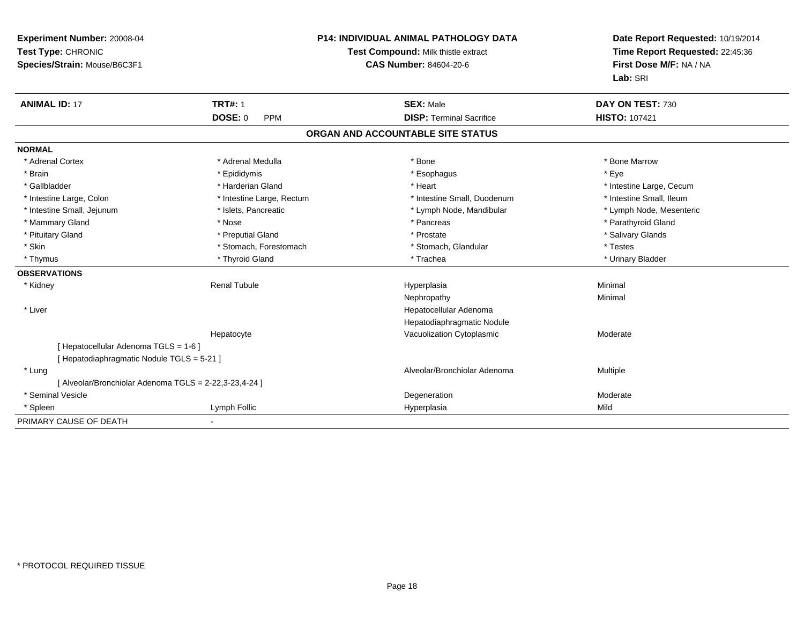| Experiment Number: 20008-04<br>Test Type: CHRONIC<br>Species/Strain: Mouse/B6C3F1 | P14: INDIVIDUAL ANIMAL PATHOLOGY DATA<br>Test Compound: Milk thistle extract<br>CAS Number: 84604-20-6 |                                   | Date Report Requested: 10/19/2014<br>Time Report Requested: 22:45:36<br>First Dose M/F: NA / NA<br>Lab: SRI |
|-----------------------------------------------------------------------------------|--------------------------------------------------------------------------------------------------------|-----------------------------------|-------------------------------------------------------------------------------------------------------------|
| <b>ANIMAL ID: 17</b>                                                              | <b>TRT#: 1</b>                                                                                         | <b>SEX: Male</b>                  | DAY ON TEST: 730                                                                                            |
|                                                                                   | <b>DOSE: 0</b><br><b>PPM</b>                                                                           | <b>DISP: Terminal Sacrifice</b>   | <b>HISTO: 107421</b>                                                                                        |
|                                                                                   |                                                                                                        | ORGAN AND ACCOUNTABLE SITE STATUS |                                                                                                             |
| <b>NORMAL</b>                                                                     |                                                                                                        |                                   |                                                                                                             |
| * Adrenal Cortex                                                                  | * Adrenal Medulla                                                                                      | * Bone                            | * Bone Marrow                                                                                               |
| * Brain                                                                           | * Epididymis                                                                                           | * Esophagus                       | * Eye                                                                                                       |
| * Gallbladder                                                                     | * Harderian Gland                                                                                      | * Heart                           | * Intestine Large, Cecum                                                                                    |
| * Intestine Large, Colon                                                          | * Intestine Large, Rectum                                                                              | * Intestine Small, Duodenum       | * Intestine Small. Ileum                                                                                    |
| * Intestine Small, Jejunum                                                        | * Islets, Pancreatic                                                                                   | * Lymph Node, Mandibular          | * Lymph Node, Mesenteric                                                                                    |
| * Mammary Gland                                                                   | * Nose                                                                                                 | * Pancreas                        | * Parathyroid Gland                                                                                         |
| * Pituitary Gland                                                                 | * Preputial Gland                                                                                      | * Prostate                        | * Salivary Glands                                                                                           |
| * Skin                                                                            | * Stomach, Forestomach                                                                                 | * Stomach, Glandular              | * Testes                                                                                                    |
| * Thymus                                                                          | * Thyroid Gland                                                                                        | * Trachea                         | * Urinary Bladder                                                                                           |
| <b>OBSERVATIONS</b>                                                               |                                                                                                        |                                   |                                                                                                             |
| * Kidney                                                                          | <b>Renal Tubule</b>                                                                                    | Hyperplasia                       | Minimal                                                                                                     |
|                                                                                   |                                                                                                        | Nephropathy                       | Minimal                                                                                                     |
| * Liver                                                                           |                                                                                                        | Hepatocellular Adenoma            |                                                                                                             |
|                                                                                   |                                                                                                        | Hepatodiaphragmatic Nodule        |                                                                                                             |
|                                                                                   | Hepatocyte                                                                                             | Vacuolization Cytoplasmic         | Moderate                                                                                                    |
| [ Hepatocellular Adenoma TGLS = 1-6 ]                                             |                                                                                                        |                                   |                                                                                                             |
| [ Hepatodiaphragmatic Nodule TGLS = 5-21 ]                                        |                                                                                                        |                                   |                                                                                                             |
| * Lung                                                                            |                                                                                                        | Alveolar/Bronchiolar Adenoma      | Multiple                                                                                                    |
| [ Alveolar/Bronchiolar Adenoma TGLS = 2-22,3-23,4-24 ]                            |                                                                                                        |                                   |                                                                                                             |
| * Seminal Vesicle                                                                 |                                                                                                        | Degeneration                      | Moderate                                                                                                    |
| * Spleen                                                                          | Lymph Follic                                                                                           | Hyperplasia                       | Mild                                                                                                        |
| PRIMARY CAUSE OF DEATH                                                            |                                                                                                        |                                   |                                                                                                             |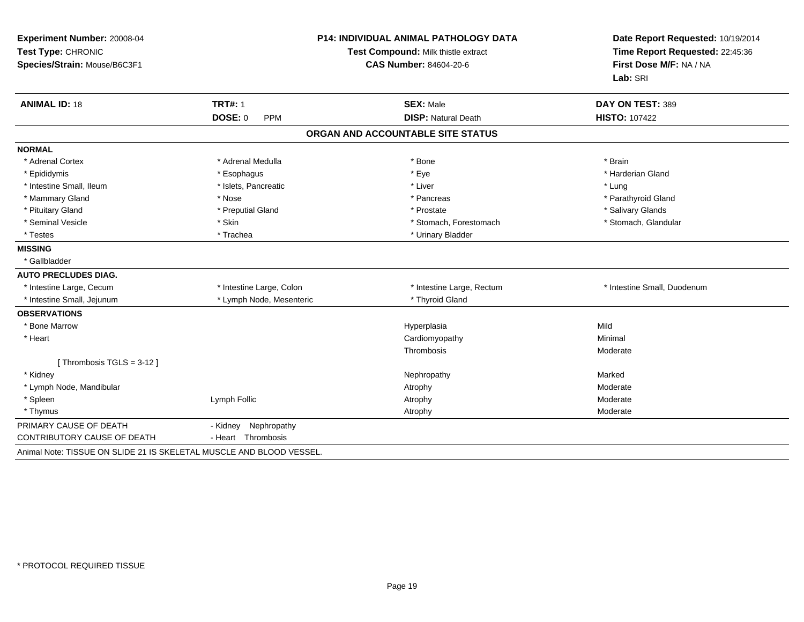| Experiment Number: 20008-04<br>Test Type: CHRONIC<br>Species/Strain: Mouse/B6C3F1 | <b>P14: INDIVIDUAL ANIMAL PATHOLOGY DATA</b><br>Test Compound: Milk thistle extract<br><b>CAS Number: 84604-20-6</b> |                                   | Date Report Requested: 10/19/2014<br>Time Report Requested: 22:45:36<br>First Dose M/F: NA / NA<br>Lab: SRI |
|-----------------------------------------------------------------------------------|----------------------------------------------------------------------------------------------------------------------|-----------------------------------|-------------------------------------------------------------------------------------------------------------|
| <b>ANIMAL ID: 18</b>                                                              | <b>TRT#: 1</b>                                                                                                       | <b>SEX: Male</b>                  | DAY ON TEST: 389                                                                                            |
|                                                                                   | <b>DOSE: 0</b><br><b>PPM</b>                                                                                         | <b>DISP: Natural Death</b>        | <b>HISTO: 107422</b>                                                                                        |
|                                                                                   |                                                                                                                      | ORGAN AND ACCOUNTABLE SITE STATUS |                                                                                                             |
| <b>NORMAL</b>                                                                     |                                                                                                                      |                                   |                                                                                                             |
| * Adrenal Cortex                                                                  | * Adrenal Medulla                                                                                                    | * Bone                            | * Brain                                                                                                     |
| * Epididymis                                                                      | * Esophagus                                                                                                          | * Eye                             | * Harderian Gland                                                                                           |
| * Intestine Small, Ileum                                                          | * Islets, Pancreatic                                                                                                 | * Liver                           | * Lung                                                                                                      |
| * Mammary Gland                                                                   | * Nose                                                                                                               | * Pancreas                        | * Parathyroid Gland                                                                                         |
| * Pituitary Gland                                                                 | * Preputial Gland                                                                                                    | * Prostate                        | * Salivary Glands                                                                                           |
| * Seminal Vesicle                                                                 | * Skin                                                                                                               | * Stomach, Forestomach            | * Stomach, Glandular                                                                                        |
| * Testes                                                                          | * Trachea                                                                                                            | * Urinary Bladder                 |                                                                                                             |
| <b>MISSING</b>                                                                    |                                                                                                                      |                                   |                                                                                                             |
| * Gallbladder                                                                     |                                                                                                                      |                                   |                                                                                                             |
| <b>AUTO PRECLUDES DIAG.</b>                                                       |                                                                                                                      |                                   |                                                                                                             |
| * Intestine Large, Cecum                                                          | * Intestine Large, Colon                                                                                             | * Intestine Large, Rectum         | * Intestine Small, Duodenum                                                                                 |
| * Intestine Small, Jejunum                                                        | * Lymph Node, Mesenteric                                                                                             | * Thyroid Gland                   |                                                                                                             |
| <b>OBSERVATIONS</b>                                                               |                                                                                                                      |                                   |                                                                                                             |
| * Bone Marrow                                                                     |                                                                                                                      | Hyperplasia                       | Mild                                                                                                        |
| * Heart                                                                           |                                                                                                                      | Cardiomyopathy                    | Minimal                                                                                                     |
|                                                                                   |                                                                                                                      | Thrombosis                        | Moderate                                                                                                    |
| [Thrombosis TGLS = 3-12]                                                          |                                                                                                                      |                                   |                                                                                                             |
| * Kidney                                                                          |                                                                                                                      | Nephropathy                       | Marked                                                                                                      |
| * Lymph Node, Mandibular                                                          |                                                                                                                      | Atrophy                           | Moderate                                                                                                    |
| * Spleen                                                                          | Lymph Follic                                                                                                         | Atrophy                           | Moderate                                                                                                    |
| * Thymus                                                                          |                                                                                                                      | Atrophy                           | Moderate                                                                                                    |
| PRIMARY CAUSE OF DEATH                                                            | Nephropathy<br>- Kidney                                                                                              |                                   |                                                                                                             |
| CONTRIBUTORY CAUSE OF DEATH                                                       | - Heart Thrombosis                                                                                                   |                                   |                                                                                                             |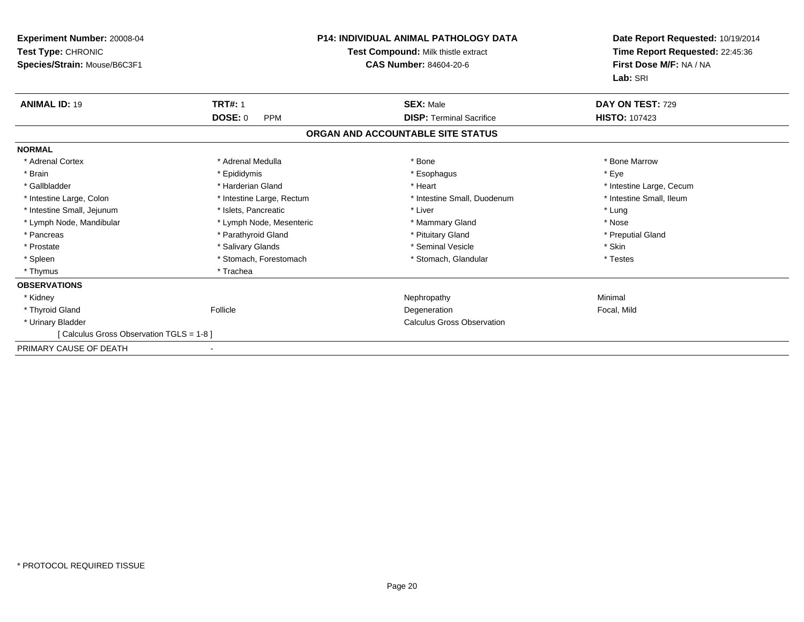| <b>Experiment Number: 20008-04</b><br>Test Type: CHRONIC<br>Species/Strain: Mouse/B6C3F1 | <b>P14: INDIVIDUAL ANIMAL PATHOLOGY DATA</b><br><b>Test Compound: Milk thistle extract</b><br><b>CAS Number: 84604-20-6</b> |                                   | Date Report Requested: 10/19/2014<br>Time Report Requested: 22:45:36<br>First Dose M/F: NA / NA<br>Lab: SRI |
|------------------------------------------------------------------------------------------|-----------------------------------------------------------------------------------------------------------------------------|-----------------------------------|-------------------------------------------------------------------------------------------------------------|
| <b>ANIMAL ID: 19</b>                                                                     | <b>TRT#: 1</b>                                                                                                              | <b>SEX: Male</b>                  | DAY ON TEST: 729                                                                                            |
|                                                                                          | <b>DOSE: 0</b><br><b>PPM</b>                                                                                                | <b>DISP: Terminal Sacrifice</b>   | <b>HISTO: 107423</b>                                                                                        |
|                                                                                          |                                                                                                                             | ORGAN AND ACCOUNTABLE SITE STATUS |                                                                                                             |
| <b>NORMAL</b>                                                                            |                                                                                                                             |                                   |                                                                                                             |
| * Adrenal Cortex                                                                         | * Adrenal Medulla                                                                                                           | * Bone                            | * Bone Marrow                                                                                               |
| * Brain                                                                                  | * Epididymis                                                                                                                | * Esophagus                       | * Eve                                                                                                       |
| * Gallbladder                                                                            | * Harderian Gland                                                                                                           | * Heart                           | * Intestine Large, Cecum                                                                                    |
| * Intestine Large, Colon                                                                 | * Intestine Large, Rectum                                                                                                   | * Intestine Small, Duodenum       | * Intestine Small, Ileum                                                                                    |
| * Intestine Small, Jejunum                                                               | * Islets, Pancreatic                                                                                                        | * Liver                           | * Lung                                                                                                      |
| * Lymph Node, Mandibular                                                                 | * Lymph Node, Mesenteric                                                                                                    | * Mammary Gland                   | * Nose                                                                                                      |
| * Pancreas                                                                               | * Parathyroid Gland                                                                                                         | * Pituitary Gland                 | * Preputial Gland                                                                                           |
| * Prostate                                                                               | * Salivary Glands                                                                                                           | * Seminal Vesicle                 | * Skin                                                                                                      |
| * Spleen                                                                                 | * Stomach, Forestomach                                                                                                      | * Stomach, Glandular              | * Testes                                                                                                    |
| * Thymus                                                                                 | * Trachea                                                                                                                   |                                   |                                                                                                             |
| <b>OBSERVATIONS</b>                                                                      |                                                                                                                             |                                   |                                                                                                             |
| * Kidney                                                                                 |                                                                                                                             | Nephropathy                       | Minimal                                                                                                     |
| * Thyroid Gland                                                                          | Follicle                                                                                                                    | Degeneration                      | Focal, Mild                                                                                                 |
| * Urinary Bladder                                                                        |                                                                                                                             | <b>Calculus Gross Observation</b> |                                                                                                             |
| [Calculus Gross Observation TGLS = 1-8]                                                  |                                                                                                                             |                                   |                                                                                                             |
| PRIMARY CAUSE OF DEATH                                                                   |                                                                                                                             |                                   |                                                                                                             |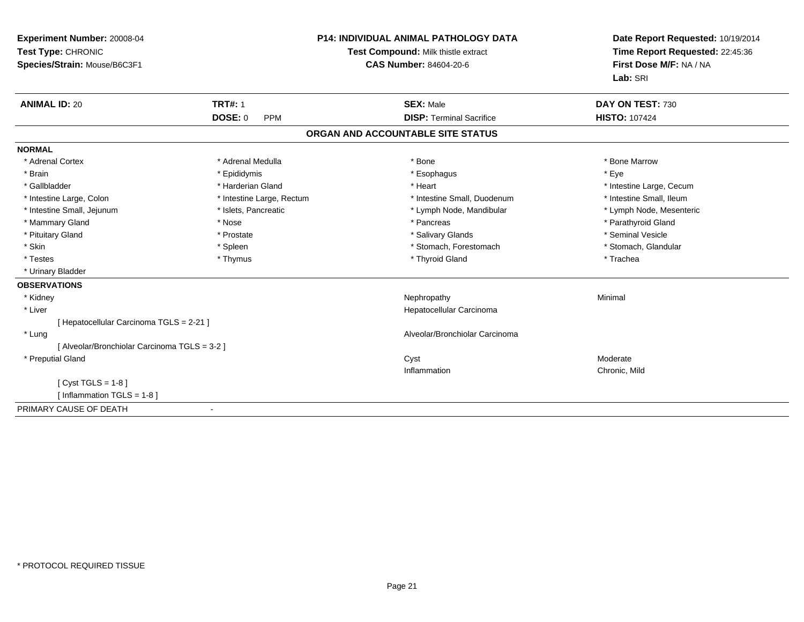| Experiment Number: 20008-04<br>Test Type: CHRONIC<br>Species/Strain: Mouse/B6C3F1 |                              | <b>P14: INDIVIDUAL ANIMAL PATHOLOGY DATA</b><br>Test Compound: Milk thistle extract<br><b>CAS Number: 84604-20-6</b> | Date Report Requested: 10/19/2014<br>Time Report Requested: 22:45:36<br>First Dose M/F: NA / NA<br>Lab: SRI |
|-----------------------------------------------------------------------------------|------------------------------|----------------------------------------------------------------------------------------------------------------------|-------------------------------------------------------------------------------------------------------------|
| <b>ANIMAL ID: 20</b>                                                              | <b>TRT#: 1</b>               | <b>SEX: Male</b>                                                                                                     | DAY ON TEST: 730                                                                                            |
|                                                                                   | <b>DOSE: 0</b><br><b>PPM</b> | <b>DISP: Terminal Sacrifice</b>                                                                                      | <b>HISTO: 107424</b>                                                                                        |
|                                                                                   |                              | ORGAN AND ACCOUNTABLE SITE STATUS                                                                                    |                                                                                                             |
| <b>NORMAL</b>                                                                     |                              |                                                                                                                      |                                                                                                             |
| * Adrenal Cortex                                                                  | * Adrenal Medulla            | * Bone                                                                                                               | * Bone Marrow                                                                                               |
| * Brain                                                                           | * Epididymis                 | * Esophagus                                                                                                          | * Eve                                                                                                       |
| * Gallbladder                                                                     | * Harderian Gland            | * Heart                                                                                                              | * Intestine Large, Cecum                                                                                    |
| * Intestine Large, Colon                                                          | * Intestine Large, Rectum    | * Intestine Small, Duodenum                                                                                          | * Intestine Small, Ileum                                                                                    |
| * Intestine Small, Jejunum                                                        | * Islets, Pancreatic         | * Lymph Node, Mandibular                                                                                             | * Lymph Node, Mesenteric                                                                                    |
| * Mammary Gland                                                                   | * Nose                       | * Pancreas                                                                                                           | * Parathyroid Gland                                                                                         |
| * Pituitary Gland                                                                 | * Prostate                   | * Salivary Glands                                                                                                    | * Seminal Vesicle                                                                                           |
| * Skin                                                                            | * Spleen                     | * Stomach, Forestomach                                                                                               | * Stomach, Glandular                                                                                        |
| * Testes                                                                          | * Thymus                     | * Thyroid Gland                                                                                                      | * Trachea                                                                                                   |
| * Urinary Bladder                                                                 |                              |                                                                                                                      |                                                                                                             |
| <b>OBSERVATIONS</b>                                                               |                              |                                                                                                                      |                                                                                                             |
| * Kidney                                                                          |                              | Nephropathy                                                                                                          | Minimal                                                                                                     |
| * Liver                                                                           |                              | Hepatocellular Carcinoma                                                                                             |                                                                                                             |
| [ Hepatocellular Carcinoma TGLS = 2-21 ]                                          |                              |                                                                                                                      |                                                                                                             |
| * Lung                                                                            |                              | Alveolar/Bronchiolar Carcinoma                                                                                       |                                                                                                             |
| [ Alveolar/Bronchiolar Carcinoma TGLS = 3-2 ]                                     |                              |                                                                                                                      |                                                                                                             |
| * Preputial Gland                                                                 |                              | Cyst                                                                                                                 | Moderate                                                                                                    |
|                                                                                   |                              | Inflammation                                                                                                         | Chronic, Mild                                                                                               |
| [ $Cyst TGLS = 1-8$ ]                                                             |                              |                                                                                                                      |                                                                                                             |
| [ Inflammation TGLS = 1-8 ]                                                       |                              |                                                                                                                      |                                                                                                             |
| PRIMARY CAUSE OF DEATH                                                            |                              |                                                                                                                      |                                                                                                             |

-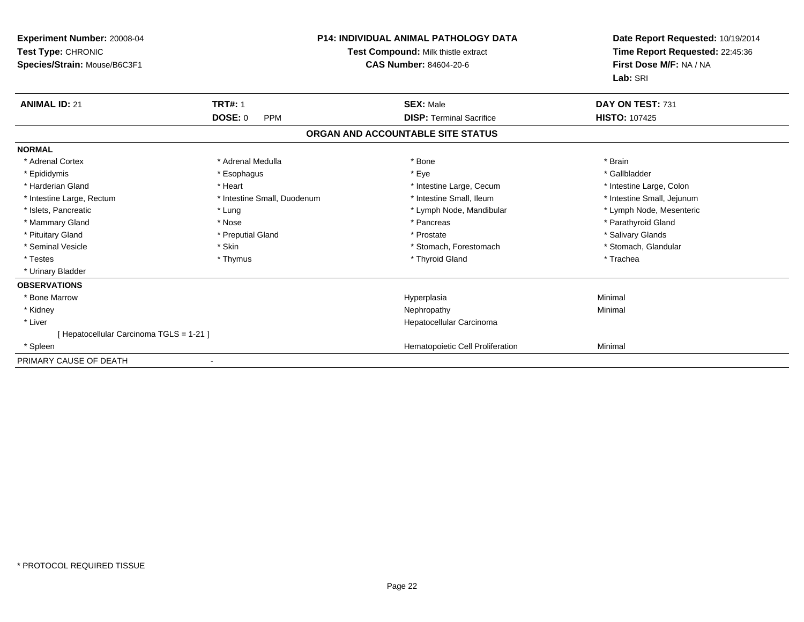| Experiment Number: 20008-04<br>Test Type: CHRONIC<br>Species/Strain: Mouse/B6C3F1 |                              | <b>P14: INDIVIDUAL ANIMAL PATHOLOGY DATA</b><br>Test Compound: Milk thistle extract<br><b>CAS Number: 84604-20-6</b> | Date Report Requested: 10/19/2014<br>Time Report Requested: 22:45:36<br>First Dose M/F: NA / NA<br>Lab: SRI |
|-----------------------------------------------------------------------------------|------------------------------|----------------------------------------------------------------------------------------------------------------------|-------------------------------------------------------------------------------------------------------------|
| <b>ANIMAL ID: 21</b>                                                              | <b>TRT#: 1</b>               | <b>SEX: Male</b>                                                                                                     | DAY ON TEST: 731                                                                                            |
|                                                                                   | <b>DOSE: 0</b><br><b>PPM</b> | <b>DISP: Terminal Sacrifice</b>                                                                                      | <b>HISTO: 107425</b>                                                                                        |
|                                                                                   |                              | ORGAN AND ACCOUNTABLE SITE STATUS                                                                                    |                                                                                                             |
| <b>NORMAL</b>                                                                     |                              |                                                                                                                      |                                                                                                             |
| * Adrenal Cortex                                                                  | * Adrenal Medulla            | * Bone                                                                                                               | * Brain                                                                                                     |
| * Epididymis                                                                      | * Esophagus                  | * Eye                                                                                                                | * Gallbladder                                                                                               |
| * Harderian Gland                                                                 | * Heart                      | * Intestine Large, Cecum                                                                                             | * Intestine Large, Colon                                                                                    |
| * Intestine Large, Rectum                                                         | * Intestine Small, Duodenum  | * Intestine Small. Ileum                                                                                             | * Intestine Small, Jejunum                                                                                  |
| * Islets, Pancreatic                                                              | * Lung                       | * Lymph Node, Mandibular                                                                                             | * Lymph Node, Mesenteric                                                                                    |
| * Mammary Gland                                                                   | * Nose                       | * Pancreas                                                                                                           | * Parathyroid Gland                                                                                         |
| * Pituitary Gland                                                                 | * Preputial Gland            | * Prostate                                                                                                           | * Salivary Glands                                                                                           |
| * Seminal Vesicle                                                                 | * Skin                       | * Stomach, Forestomach                                                                                               | * Stomach, Glandular                                                                                        |
| * Testes                                                                          | * Thymus                     | * Thyroid Gland                                                                                                      | * Trachea                                                                                                   |
| * Urinary Bladder                                                                 |                              |                                                                                                                      |                                                                                                             |
| <b>OBSERVATIONS</b>                                                               |                              |                                                                                                                      |                                                                                                             |
| * Bone Marrow                                                                     |                              | Hyperplasia                                                                                                          | Minimal                                                                                                     |
| * Kidney                                                                          |                              | Nephropathy                                                                                                          | Minimal                                                                                                     |
| * Liver                                                                           |                              | Hepatocellular Carcinoma                                                                                             |                                                                                                             |
| [ Hepatocellular Carcinoma TGLS = 1-21 ]                                          |                              |                                                                                                                      |                                                                                                             |
| * Spleen                                                                          |                              | Hematopoietic Cell Proliferation                                                                                     | Minimal                                                                                                     |
| PRIMARY CAUSE OF DEATH                                                            |                              |                                                                                                                      |                                                                                                             |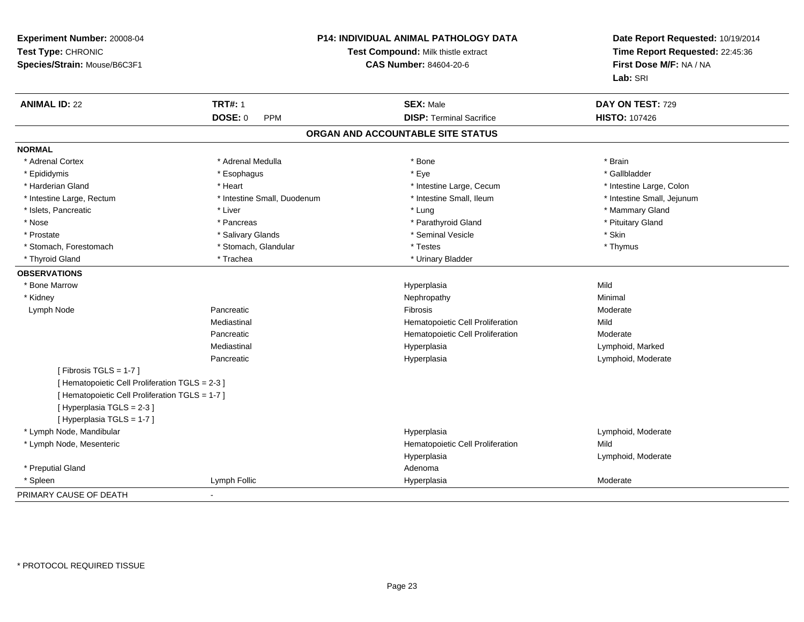| Experiment Number: 20008-04<br>Test Type: CHRONIC<br>Species/Strain: Mouse/B6C3F1 |                             | P14: INDIVIDUAL ANIMAL PATHOLOGY DATA<br>Test Compound: Milk thistle extract<br><b>CAS Number: 84604-20-6</b> | Date Report Requested: 10/19/2014<br>Time Report Requested: 22:45:36<br>First Dose M/F: NA / NA<br>Lab: SRI |
|-----------------------------------------------------------------------------------|-----------------------------|---------------------------------------------------------------------------------------------------------------|-------------------------------------------------------------------------------------------------------------|
| <b>ANIMAL ID: 22</b>                                                              | <b>TRT#: 1</b>              | <b>SEX: Male</b>                                                                                              | DAY ON TEST: 729                                                                                            |
|                                                                                   | DOSE: 0<br>PPM              | <b>DISP: Terminal Sacrifice</b>                                                                               | <b>HISTO: 107426</b>                                                                                        |
|                                                                                   |                             | ORGAN AND ACCOUNTABLE SITE STATUS                                                                             |                                                                                                             |
| <b>NORMAL</b>                                                                     |                             |                                                                                                               |                                                                                                             |
| * Adrenal Cortex                                                                  | * Adrenal Medulla           | * Bone                                                                                                        | * Brain                                                                                                     |
| * Epididymis                                                                      | * Esophagus                 | * Eye                                                                                                         | * Gallbladder                                                                                               |
| * Harderian Gland                                                                 | * Heart                     | * Intestine Large, Cecum                                                                                      | * Intestine Large, Colon                                                                                    |
| * Intestine Large, Rectum                                                         | * Intestine Small, Duodenum | * Intestine Small, Ileum                                                                                      | * Intestine Small, Jejunum                                                                                  |
| * Islets, Pancreatic                                                              | * Liver                     | * Lung                                                                                                        | * Mammary Gland                                                                                             |
| * Nose                                                                            | * Pancreas                  | * Parathyroid Gland                                                                                           | * Pituitary Gland                                                                                           |
| * Prostate                                                                        | * Salivary Glands           | * Seminal Vesicle                                                                                             | * Skin                                                                                                      |
| * Stomach, Forestomach                                                            | * Stomach, Glandular        | * Testes                                                                                                      | * Thymus                                                                                                    |
| * Thyroid Gland                                                                   | * Trachea                   | * Urinary Bladder                                                                                             |                                                                                                             |
| <b>OBSERVATIONS</b>                                                               |                             |                                                                                                               |                                                                                                             |
| * Bone Marrow                                                                     |                             | Hyperplasia                                                                                                   | Mild                                                                                                        |
| * Kidney                                                                          |                             | Nephropathy                                                                                                   | Minimal                                                                                                     |
| Lymph Node                                                                        | Pancreatic                  | Fibrosis                                                                                                      | Moderate                                                                                                    |
|                                                                                   | Mediastinal                 | Hematopoietic Cell Proliferation                                                                              | Mild                                                                                                        |
|                                                                                   | Pancreatic                  | Hematopoietic Cell Proliferation                                                                              | Moderate                                                                                                    |
|                                                                                   | Mediastinal                 | Hyperplasia                                                                                                   | Lymphoid, Marked                                                                                            |
|                                                                                   | Pancreatic                  | Hyperplasia                                                                                                   | Lymphoid, Moderate                                                                                          |
| [Fibrosis TGLS = $1-7$ ]                                                          |                             |                                                                                                               |                                                                                                             |
| [ Hematopoietic Cell Proliferation TGLS = 2-3 ]                                   |                             |                                                                                                               |                                                                                                             |
| [ Hematopoietic Cell Proliferation TGLS = 1-7 ]                                   |                             |                                                                                                               |                                                                                                             |
| [Hyperplasia TGLS = 2-3]                                                          |                             |                                                                                                               |                                                                                                             |
| [ Hyperplasia TGLS = 1-7 ]                                                        |                             |                                                                                                               |                                                                                                             |
| * Lymph Node, Mandibular                                                          |                             | Hyperplasia                                                                                                   | Lymphoid, Moderate                                                                                          |
| * Lymph Node, Mesenteric                                                          |                             | Hematopoietic Cell Proliferation                                                                              | Mild                                                                                                        |
|                                                                                   |                             | Hyperplasia                                                                                                   | Lymphoid, Moderate                                                                                          |
| * Preputial Gland                                                                 |                             | Adenoma                                                                                                       |                                                                                                             |
| * Spleen                                                                          | Lymph Follic                | Hyperplasia                                                                                                   | Moderate                                                                                                    |
| PRIMARY CAUSE OF DEATH                                                            |                             |                                                                                                               |                                                                                                             |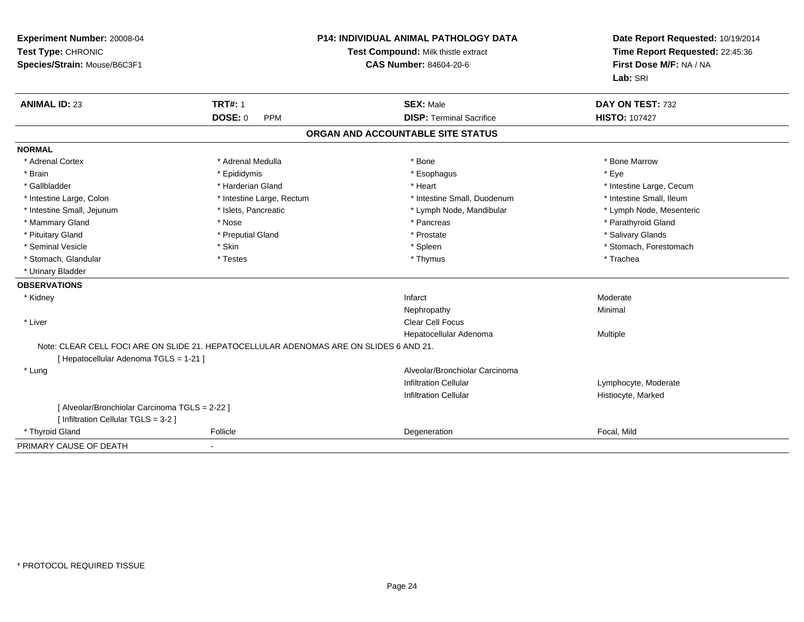| Experiment Number: 20008-04<br>Test Type: CHRONIC<br>Species/Strain: Mouse/B6C3F1 |                                                                                        | <b>P14: INDIVIDUAL ANIMAL PATHOLOGY DATA</b><br>Test Compound: Milk thistle extract<br><b>CAS Number: 84604-20-6</b> |                          |
|-----------------------------------------------------------------------------------|----------------------------------------------------------------------------------------|----------------------------------------------------------------------------------------------------------------------|--------------------------|
| <b>ANIMAL ID: 23</b>                                                              | <b>TRT#: 1</b>                                                                         | <b>SEX: Male</b>                                                                                                     | DAY ON TEST: 732         |
|                                                                                   | <b>DOSE: 0</b><br><b>PPM</b>                                                           | <b>DISP: Terminal Sacrifice</b>                                                                                      | <b>HISTO: 107427</b>     |
|                                                                                   |                                                                                        | ORGAN AND ACCOUNTABLE SITE STATUS                                                                                    |                          |
| <b>NORMAL</b>                                                                     |                                                                                        |                                                                                                                      |                          |
| * Adrenal Cortex                                                                  | * Adrenal Medulla                                                                      | * Bone                                                                                                               | * Bone Marrow            |
| * Brain                                                                           | * Epididymis                                                                           | * Esophagus                                                                                                          | * Eye                    |
| * Gallbladder                                                                     | * Harderian Gland                                                                      | * Heart                                                                                                              | * Intestine Large, Cecum |
| * Intestine Large, Colon                                                          | * Intestine Large, Rectum                                                              | * Intestine Small, Duodenum                                                                                          | * Intestine Small, Ileum |
| * Intestine Small, Jejunum                                                        | * Islets, Pancreatic                                                                   | * Lymph Node, Mandibular                                                                                             | * Lymph Node, Mesenteric |
| * Mammary Gland                                                                   | * Nose                                                                                 | * Pancreas                                                                                                           | * Parathyroid Gland      |
| * Pituitary Gland                                                                 | * Preputial Gland                                                                      | * Prostate                                                                                                           | * Salivary Glands        |
| * Seminal Vesicle                                                                 | * Skin                                                                                 | * Spleen                                                                                                             | * Stomach, Forestomach   |
| * Stomach, Glandular                                                              | * Testes                                                                               | * Thymus                                                                                                             | * Trachea                |
| * Urinary Bladder                                                                 |                                                                                        |                                                                                                                      |                          |
| <b>OBSERVATIONS</b>                                                               |                                                                                        |                                                                                                                      |                          |
| * Kidney                                                                          |                                                                                        | Infarct                                                                                                              | Moderate                 |
|                                                                                   |                                                                                        | Nephropathy                                                                                                          | Minimal                  |
| * Liver                                                                           |                                                                                        | <b>Clear Cell Focus</b>                                                                                              |                          |
|                                                                                   |                                                                                        | Hepatocellular Adenoma                                                                                               | Multiple                 |
|                                                                                   | Note: CLEAR CELL FOCI ARE ON SLIDE 21. HEPATOCELLULAR ADENOMAS ARE ON SLIDES 6 AND 21. |                                                                                                                      |                          |
| [ Hepatocellular Adenoma TGLS = 1-21 ]                                            |                                                                                        |                                                                                                                      |                          |
| * Lung                                                                            |                                                                                        | Alveolar/Bronchiolar Carcinoma                                                                                       |                          |
|                                                                                   |                                                                                        | <b>Infiltration Cellular</b>                                                                                         | Lymphocyte, Moderate     |
|                                                                                   |                                                                                        | <b>Infiltration Cellular</b>                                                                                         | Histiocyte, Marked       |
| [ Alveolar/Bronchiolar Carcinoma TGLS = 2-22 ]                                    |                                                                                        |                                                                                                                      |                          |
| [ Infiltration Cellular TGLS = 3-2 ]                                              |                                                                                        |                                                                                                                      |                          |
| * Thyroid Gland                                                                   | Follicle                                                                               | Degeneration                                                                                                         | Focal, Mild              |
| PRIMARY CAUSE OF DEATH                                                            | $\blacksquare$                                                                         |                                                                                                                      |                          |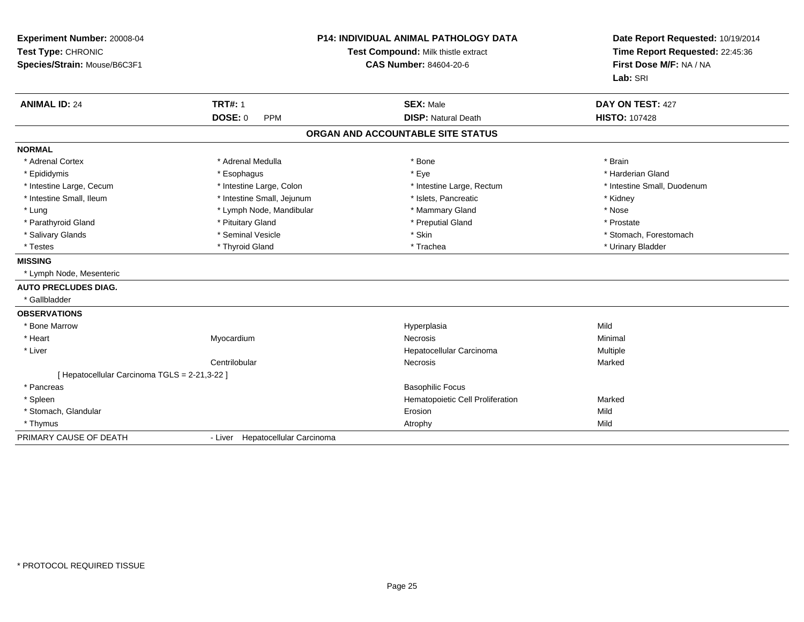| Experiment Number: 20008-04<br>Test Type: CHRONIC<br>Species/Strain: Mouse/B6C3F1<br><b>ANIMAL ID: 24</b> | <b>TRT#: 1</b><br><b>DOSE: 0</b><br><b>PPM</b> | <b>P14: INDIVIDUAL ANIMAL PATHOLOGY DATA</b><br>Test Compound: Milk thistle extract<br><b>CAS Number: 84604-20-6</b><br><b>SEX: Male</b><br><b>DISP: Natural Death</b> |                             |
|-----------------------------------------------------------------------------------------------------------|------------------------------------------------|------------------------------------------------------------------------------------------------------------------------------------------------------------------------|-----------------------------|
|                                                                                                           |                                                | ORGAN AND ACCOUNTABLE SITE STATUS                                                                                                                                      | <b>HISTO: 107428</b>        |
| <b>NORMAL</b>                                                                                             |                                                |                                                                                                                                                                        |                             |
| * Adrenal Cortex                                                                                          | * Adrenal Medulla                              | * Bone                                                                                                                                                                 | * Brain                     |
| * Epididymis                                                                                              | * Esophagus                                    | * Eye                                                                                                                                                                  | * Harderian Gland           |
| * Intestine Large, Cecum                                                                                  | * Intestine Large, Colon                       | * Intestine Large, Rectum                                                                                                                                              | * Intestine Small, Duodenum |
| * Intestine Small, Ileum                                                                                  | * Intestine Small, Jejunum                     | * Islets, Pancreatic                                                                                                                                                   | * Kidney                    |
| * Lung                                                                                                    | * Lymph Node, Mandibular                       | * Mammary Gland                                                                                                                                                        | * Nose                      |
| * Parathyroid Gland                                                                                       | * Pituitary Gland                              | * Preputial Gland                                                                                                                                                      | * Prostate                  |
| * Salivary Glands                                                                                         | * Seminal Vesicle                              | * Skin                                                                                                                                                                 | * Stomach, Forestomach      |
| * Testes                                                                                                  | * Thyroid Gland                                | * Trachea                                                                                                                                                              | * Urinary Bladder           |
| <b>MISSING</b>                                                                                            |                                                |                                                                                                                                                                        |                             |
| * Lymph Node, Mesenteric                                                                                  |                                                |                                                                                                                                                                        |                             |
| <b>AUTO PRECLUDES DIAG.</b>                                                                               |                                                |                                                                                                                                                                        |                             |
| * Gallbladder                                                                                             |                                                |                                                                                                                                                                        |                             |
| <b>OBSERVATIONS</b>                                                                                       |                                                |                                                                                                                                                                        |                             |
| * Bone Marrow                                                                                             |                                                | Hyperplasia                                                                                                                                                            | Mild                        |
| * Heart                                                                                                   | Myocardium                                     | Necrosis                                                                                                                                                               | Minimal                     |
| * Liver                                                                                                   |                                                | Hepatocellular Carcinoma                                                                                                                                               | Multiple                    |
|                                                                                                           | Centrilobular                                  | Necrosis                                                                                                                                                               | Marked                      |
| [ Hepatocellular Carcinoma TGLS = 2-21,3-22 ]                                                             |                                                |                                                                                                                                                                        |                             |
| * Pancreas                                                                                                |                                                | <b>Basophilic Focus</b>                                                                                                                                                |                             |
| * Spleen                                                                                                  |                                                | Hematopoietic Cell Proliferation                                                                                                                                       | Marked                      |
| * Stomach, Glandular                                                                                      |                                                | Erosion                                                                                                                                                                | Mild                        |
| * Thymus                                                                                                  |                                                | Atrophy                                                                                                                                                                | Mild                        |
| PRIMARY CAUSE OF DEATH                                                                                    | - Liver Hepatocellular Carcinoma               |                                                                                                                                                                        |                             |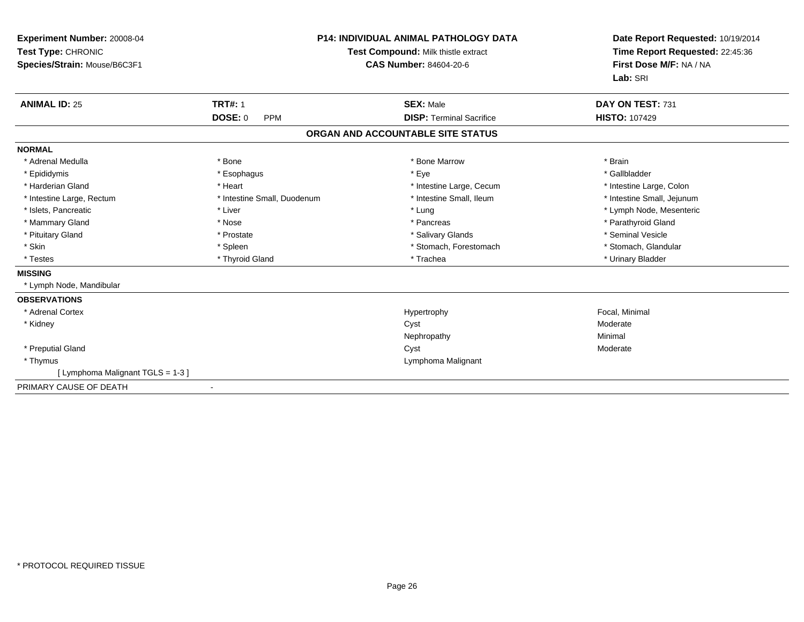| Experiment Number: 20008-04<br>Test Type: CHRONIC<br>Species/Strain: Mouse/B6C3F1<br><b>ANIMAL ID: 25</b> | <b>TRT#: 1</b>               | <b>P14: INDIVIDUAL ANIMAL PATHOLOGY DATA</b><br>Test Compound: Milk thistle extract<br><b>CAS Number: 84604-20-6</b><br><b>SEX: Male</b> | Date Report Requested: 10/19/2014<br>Time Report Requested: 22:45:36<br>First Dose M/F: NA / NA<br>Lab: SRI<br>DAY ON TEST: 731 |
|-----------------------------------------------------------------------------------------------------------|------------------------------|------------------------------------------------------------------------------------------------------------------------------------------|---------------------------------------------------------------------------------------------------------------------------------|
|                                                                                                           | <b>DOSE: 0</b><br><b>PPM</b> | <b>DISP: Terminal Sacrifice</b>                                                                                                          | <b>HISTO: 107429</b>                                                                                                            |
|                                                                                                           |                              | ORGAN AND ACCOUNTABLE SITE STATUS                                                                                                        |                                                                                                                                 |
| <b>NORMAL</b>                                                                                             |                              |                                                                                                                                          |                                                                                                                                 |
| * Adrenal Medulla                                                                                         | * Bone                       | * Bone Marrow                                                                                                                            | * Brain                                                                                                                         |
| * Epididymis                                                                                              | * Esophagus                  | * Eye                                                                                                                                    | * Gallbladder                                                                                                                   |
| * Harderian Gland                                                                                         | * Heart                      | * Intestine Large, Cecum                                                                                                                 | * Intestine Large, Colon                                                                                                        |
| * Intestine Large, Rectum                                                                                 | * Intestine Small, Duodenum  | * Intestine Small, Ileum                                                                                                                 | * Intestine Small, Jejunum                                                                                                      |
| * Islets, Pancreatic                                                                                      | * Liver                      | * Lung                                                                                                                                   | * Lymph Node, Mesenteric                                                                                                        |
| * Mammary Gland                                                                                           | * Nose                       | * Pancreas                                                                                                                               | * Parathyroid Gland                                                                                                             |
| * Pituitary Gland                                                                                         | * Prostate                   | * Salivary Glands                                                                                                                        | * Seminal Vesicle                                                                                                               |
| * Skin                                                                                                    | * Spleen                     | * Stomach, Forestomach                                                                                                                   | * Stomach. Glandular                                                                                                            |
| * Testes                                                                                                  | * Thyroid Gland              | * Trachea                                                                                                                                | * Urinary Bladder                                                                                                               |
| <b>MISSING</b>                                                                                            |                              |                                                                                                                                          |                                                                                                                                 |
| * Lymph Node, Mandibular                                                                                  |                              |                                                                                                                                          |                                                                                                                                 |
| <b>OBSERVATIONS</b>                                                                                       |                              |                                                                                                                                          |                                                                                                                                 |
| * Adrenal Cortex                                                                                          |                              | Hypertrophy                                                                                                                              | Focal, Minimal                                                                                                                  |
| * Kidney                                                                                                  |                              | Cyst                                                                                                                                     | Moderate                                                                                                                        |
|                                                                                                           |                              | Nephropathy                                                                                                                              | Minimal                                                                                                                         |
| * Preputial Gland                                                                                         |                              | Cyst                                                                                                                                     | Moderate                                                                                                                        |
| * Thymus                                                                                                  |                              | Lymphoma Malignant                                                                                                                       |                                                                                                                                 |
| [ Lymphoma Malignant TGLS = 1-3 ]                                                                         |                              |                                                                                                                                          |                                                                                                                                 |
| PRIMARY CAUSE OF DEATH                                                                                    | $\overline{\phantom{a}}$     |                                                                                                                                          |                                                                                                                                 |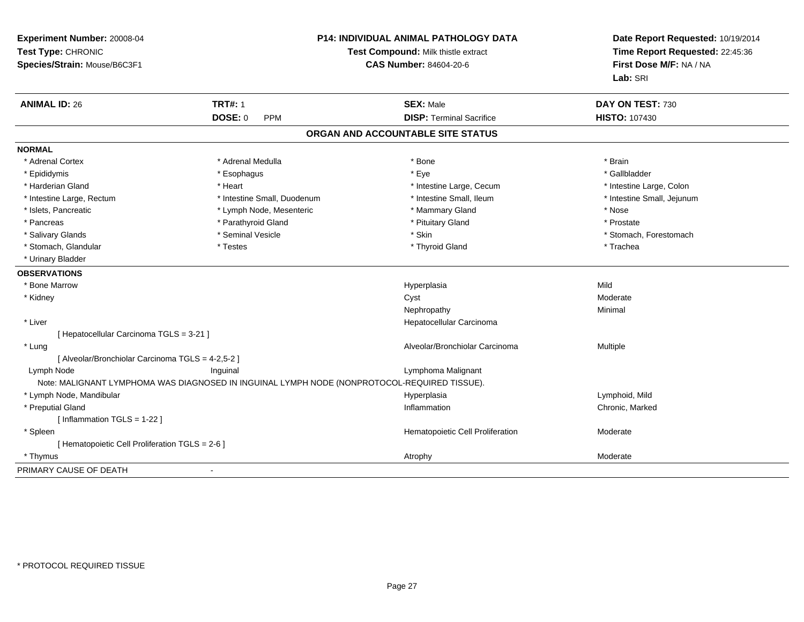| Experiment Number: 20008-04<br>Test Type: CHRONIC<br>Species/Strain: Mouse/B6C3F1 |                                                                                              | P14: INDIVIDUAL ANIMAL PATHOLOGY DATA<br>Test Compound: Milk thistle extract<br>CAS Number: 84604-20-6 | Date Report Requested: 10/19/2014<br>Time Report Requested: 22:45:36<br>First Dose M/F: NA / NA<br>Lab: SRI |  |
|-----------------------------------------------------------------------------------|----------------------------------------------------------------------------------------------|--------------------------------------------------------------------------------------------------------|-------------------------------------------------------------------------------------------------------------|--|
| <b>ANIMAL ID: 26</b>                                                              | <b>TRT#: 1</b>                                                                               | <b>SEX: Male</b>                                                                                       | DAY ON TEST: 730                                                                                            |  |
|                                                                                   | <b>DOSE: 0</b><br><b>PPM</b>                                                                 | <b>DISP: Terminal Sacrifice</b>                                                                        | <b>HISTO: 107430</b>                                                                                        |  |
|                                                                                   |                                                                                              | ORGAN AND ACCOUNTABLE SITE STATUS                                                                      |                                                                                                             |  |
| <b>NORMAL</b>                                                                     |                                                                                              |                                                                                                        |                                                                                                             |  |
| * Adrenal Cortex                                                                  | * Adrenal Medulla                                                                            | * Bone                                                                                                 | * Brain                                                                                                     |  |
| * Epididymis                                                                      | * Esophagus                                                                                  | * Eye                                                                                                  | * Gallbladder                                                                                               |  |
| * Harderian Gland                                                                 | * Heart                                                                                      | * Intestine Large, Cecum                                                                               | * Intestine Large, Colon                                                                                    |  |
| * Intestine Large, Rectum                                                         | * Intestine Small, Duodenum                                                                  | * Intestine Small, Ileum                                                                               | * Intestine Small, Jejunum                                                                                  |  |
| * Islets, Pancreatic                                                              | * Lymph Node, Mesenteric                                                                     | * Mammary Gland                                                                                        | * Nose                                                                                                      |  |
| * Pancreas                                                                        | * Parathyroid Gland                                                                          | * Pituitary Gland                                                                                      | * Prostate                                                                                                  |  |
| * Salivary Glands                                                                 | * Seminal Vesicle                                                                            | * Skin                                                                                                 | * Stomach, Forestomach                                                                                      |  |
| * Stomach, Glandular                                                              | * Testes                                                                                     | * Thyroid Gland                                                                                        | * Trachea                                                                                                   |  |
| * Urinary Bladder                                                                 |                                                                                              |                                                                                                        |                                                                                                             |  |
| <b>OBSERVATIONS</b>                                                               |                                                                                              |                                                                                                        |                                                                                                             |  |
| * Bone Marrow                                                                     |                                                                                              | Hyperplasia                                                                                            | Mild                                                                                                        |  |
| * Kidney                                                                          |                                                                                              | Cyst                                                                                                   | Moderate                                                                                                    |  |
|                                                                                   |                                                                                              | Nephropathy                                                                                            | Minimal                                                                                                     |  |
| * Liver                                                                           |                                                                                              | Hepatocellular Carcinoma                                                                               |                                                                                                             |  |
| [ Hepatocellular Carcinoma TGLS = 3-21 ]                                          |                                                                                              |                                                                                                        |                                                                                                             |  |
| * Lung                                                                            |                                                                                              | Alveolar/Bronchiolar Carcinoma                                                                         | Multiple                                                                                                    |  |
| [ Alveolar/Bronchiolar Carcinoma TGLS = 4-2,5-2 ]                                 |                                                                                              |                                                                                                        |                                                                                                             |  |
| Lymph Node                                                                        | Inguinal                                                                                     | Lymphoma Malignant                                                                                     |                                                                                                             |  |
|                                                                                   | Note: MALIGNANT LYMPHOMA WAS DIAGNOSED IN INGUINAL LYMPH NODE (NONPROTOCOL-REQUIRED TISSUE). |                                                                                                        |                                                                                                             |  |
| * Lymph Node, Mandibular                                                          |                                                                                              | Hyperplasia                                                                                            | Lymphoid, Mild                                                                                              |  |
| * Preputial Gland                                                                 |                                                                                              | Inflammation                                                                                           | Chronic, Marked                                                                                             |  |
| [Inflammation $TGLS = 1-22$ ]                                                     |                                                                                              |                                                                                                        |                                                                                                             |  |
| * Spleen                                                                          |                                                                                              | Hematopoietic Cell Proliferation                                                                       | Moderate                                                                                                    |  |
| [ Hematopoietic Cell Proliferation TGLS = 2-6 ]                                   |                                                                                              |                                                                                                        |                                                                                                             |  |
| * Thymus                                                                          |                                                                                              | Atrophy                                                                                                | Moderate                                                                                                    |  |
| PRIMARY CAUSE OF DEATH                                                            | $\blacksquare$                                                                               |                                                                                                        |                                                                                                             |  |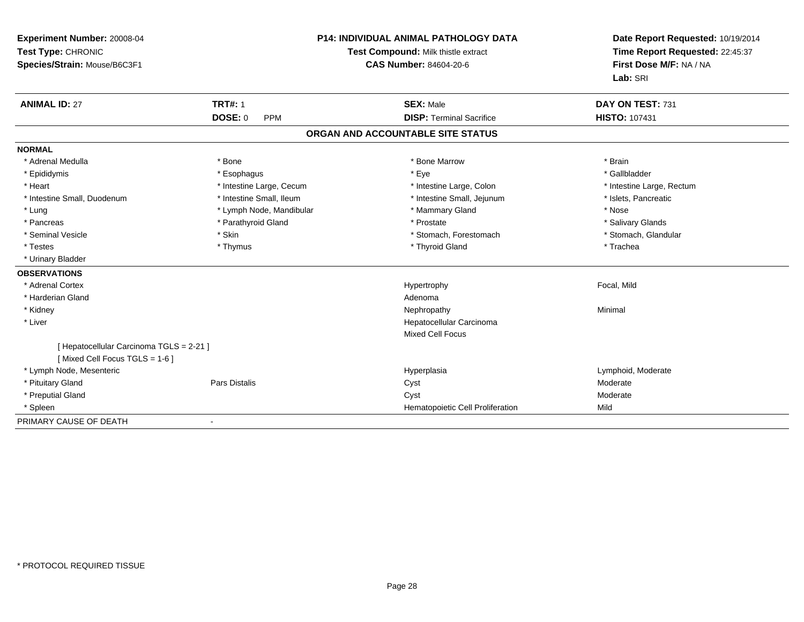| <b>Experiment Number: 20008-04</b><br>Test Type: CHRONIC<br>Species/Strain: Mouse/B6C3F1 |                              | <b>P14: INDIVIDUAL ANIMAL PATHOLOGY DATA</b><br>Test Compound: Milk thistle extract<br><b>CAS Number: 84604-20-6</b> | Date Report Requested: 10/19/2014<br>Time Report Requested: 22:45:37<br>First Dose M/F: NA / NA<br>Lab: SRI |
|------------------------------------------------------------------------------------------|------------------------------|----------------------------------------------------------------------------------------------------------------------|-------------------------------------------------------------------------------------------------------------|
| <b>ANIMAL ID: 27</b>                                                                     | <b>TRT#: 1</b>               | <b>SEX: Male</b>                                                                                                     | DAY ON TEST: 731                                                                                            |
|                                                                                          | <b>DOSE: 0</b><br><b>PPM</b> | <b>DISP: Terminal Sacrifice</b>                                                                                      | HISTO: 107431                                                                                               |
|                                                                                          |                              | ORGAN AND ACCOUNTABLE SITE STATUS                                                                                    |                                                                                                             |
| <b>NORMAL</b>                                                                            |                              |                                                                                                                      |                                                                                                             |
| * Adrenal Medulla                                                                        | * Bone                       | * Bone Marrow                                                                                                        | * Brain                                                                                                     |
| * Epididymis                                                                             | * Esophagus                  | * Eye                                                                                                                | * Gallbladder                                                                                               |
| * Heart                                                                                  | * Intestine Large, Cecum     | * Intestine Large, Colon                                                                                             | * Intestine Large, Rectum                                                                                   |
| * Intestine Small, Duodenum                                                              | * Intestine Small, Ileum     | * Intestine Small, Jejunum                                                                                           | * Islets, Pancreatic                                                                                        |
| * Lung                                                                                   | * Lymph Node, Mandibular     | * Mammary Gland                                                                                                      | * Nose                                                                                                      |
| * Pancreas                                                                               | * Parathyroid Gland          | * Prostate                                                                                                           | * Salivary Glands                                                                                           |
| * Seminal Vesicle                                                                        | * Skin                       | * Stomach, Forestomach                                                                                               | * Stomach, Glandular                                                                                        |
| * Testes                                                                                 | * Thymus                     | * Thyroid Gland                                                                                                      | * Trachea                                                                                                   |
| * Urinary Bladder                                                                        |                              |                                                                                                                      |                                                                                                             |
| <b>OBSERVATIONS</b>                                                                      |                              |                                                                                                                      |                                                                                                             |
| * Adrenal Cortex                                                                         |                              | Hypertrophy                                                                                                          | Focal, Mild                                                                                                 |
| * Harderian Gland                                                                        |                              | Adenoma                                                                                                              |                                                                                                             |
| * Kidney                                                                                 |                              | Nephropathy                                                                                                          | Minimal                                                                                                     |
| * Liver                                                                                  |                              | Hepatocellular Carcinoma                                                                                             |                                                                                                             |
|                                                                                          |                              | <b>Mixed Cell Focus</b>                                                                                              |                                                                                                             |
| [ Hepatocellular Carcinoma TGLS = 2-21 ]<br>[Mixed Cell Focus TGLS = 1-6]                |                              |                                                                                                                      |                                                                                                             |
| * Lymph Node, Mesenteric                                                                 |                              | Hyperplasia                                                                                                          | Lymphoid, Moderate                                                                                          |
| * Pituitary Gland                                                                        | Pars Distalis                | Cyst                                                                                                                 | Moderate                                                                                                    |
| * Preputial Gland                                                                        |                              | Cyst                                                                                                                 | Moderate                                                                                                    |
| * Spleen                                                                                 |                              | Hematopoietic Cell Proliferation                                                                                     | Mild                                                                                                        |
| PRIMARY CAUSE OF DEATH                                                                   |                              |                                                                                                                      |                                                                                                             |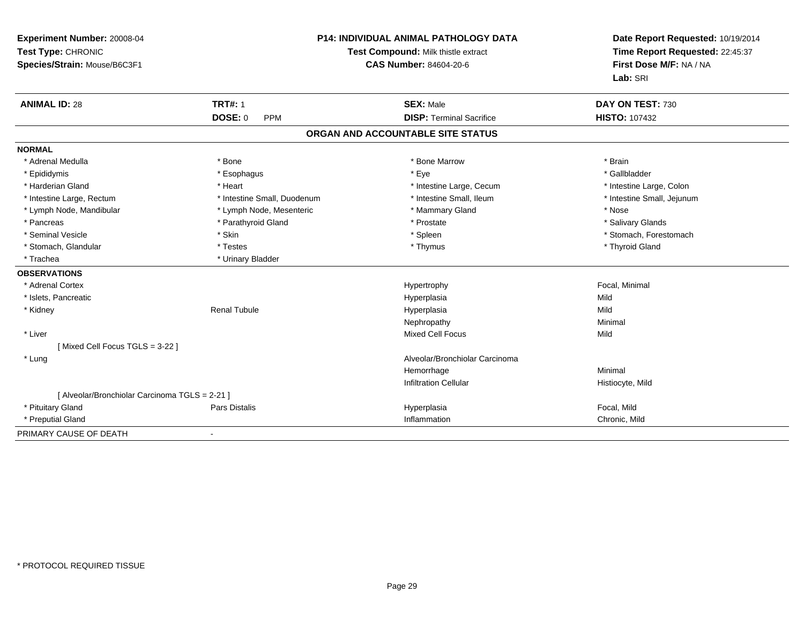| Experiment Number: 20008-04<br>Test Type: CHRONIC<br>Species/Strain: Mouse/B6C3F1 |                             | <b>P14: INDIVIDUAL ANIMAL PATHOLOGY DATA</b><br>Test Compound: Milk thistle extract<br><b>CAS Number: 84604-20-6</b> | Date Report Requested: 10/19/2014<br>Time Report Requested: 22:45:37<br>First Dose M/F: NA / NA<br>Lab: SRI |
|-----------------------------------------------------------------------------------|-----------------------------|----------------------------------------------------------------------------------------------------------------------|-------------------------------------------------------------------------------------------------------------|
| <b>ANIMAL ID: 28</b>                                                              | <b>TRT#: 1</b>              | <b>SEX: Male</b>                                                                                                     | DAY ON TEST: 730                                                                                            |
|                                                                                   | DOSE: 0<br><b>PPM</b>       | <b>DISP: Terminal Sacrifice</b>                                                                                      | <b>HISTO: 107432</b>                                                                                        |
|                                                                                   |                             | ORGAN AND ACCOUNTABLE SITE STATUS                                                                                    |                                                                                                             |
| <b>NORMAL</b>                                                                     |                             |                                                                                                                      |                                                                                                             |
| * Adrenal Medulla                                                                 | * Bone                      | * Bone Marrow                                                                                                        | * Brain                                                                                                     |
| * Epididymis                                                                      | * Esophagus                 | * Eye                                                                                                                | * Gallbladder                                                                                               |
| * Harderian Gland                                                                 | * Heart                     | * Intestine Large, Cecum                                                                                             | * Intestine Large, Colon                                                                                    |
| * Intestine Large, Rectum                                                         | * Intestine Small. Duodenum | * Intestine Small. Ileum                                                                                             | * Intestine Small, Jejunum                                                                                  |
| * Lymph Node, Mandibular                                                          | * Lymph Node, Mesenteric    | * Mammary Gland                                                                                                      | * Nose                                                                                                      |
| * Pancreas                                                                        | * Parathyroid Gland         | * Prostate                                                                                                           | * Salivary Glands                                                                                           |
| * Seminal Vesicle                                                                 | * Skin                      | * Spleen                                                                                                             | * Stomach, Forestomach                                                                                      |
| * Stomach, Glandular                                                              | * Testes                    | * Thymus                                                                                                             | * Thyroid Gland                                                                                             |
| * Trachea                                                                         | * Urinary Bladder           |                                                                                                                      |                                                                                                             |
| <b>OBSERVATIONS</b>                                                               |                             |                                                                                                                      |                                                                                                             |
| * Adrenal Cortex                                                                  |                             | Hypertrophy                                                                                                          | Focal, Minimal                                                                                              |
| * Islets, Pancreatic                                                              |                             | Hyperplasia                                                                                                          | Mild                                                                                                        |
| * Kidney                                                                          | <b>Renal Tubule</b>         | Hyperplasia                                                                                                          | Mild                                                                                                        |
|                                                                                   |                             | Nephropathy                                                                                                          | Minimal                                                                                                     |
| * Liver                                                                           |                             | <b>Mixed Cell Focus</b>                                                                                              | Mild                                                                                                        |
| [Mixed Cell Focus TGLS = 3-22]                                                    |                             |                                                                                                                      |                                                                                                             |
| * Lung                                                                            |                             | Alveolar/Bronchiolar Carcinoma                                                                                       |                                                                                                             |
|                                                                                   |                             | Hemorrhage                                                                                                           | Minimal                                                                                                     |
|                                                                                   |                             | <b>Infiltration Cellular</b>                                                                                         | Histiocyte, Mild                                                                                            |
| [ Alveolar/Bronchiolar Carcinoma TGLS = 2-21 ]                                    |                             |                                                                                                                      |                                                                                                             |
| * Pituitary Gland                                                                 | <b>Pars Distalis</b>        | Hyperplasia                                                                                                          | Focal, Mild                                                                                                 |
| * Preputial Gland                                                                 |                             | Inflammation                                                                                                         | Chronic, Mild                                                                                               |
| PRIMARY CAUSE OF DEATH                                                            |                             |                                                                                                                      |                                                                                                             |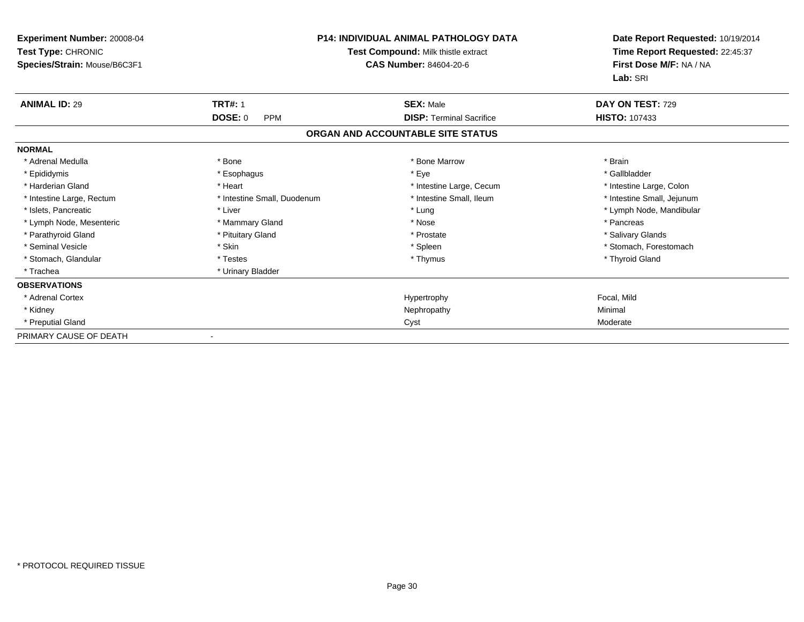| <b>Experiment Number: 20008-04</b><br>Test Type: CHRONIC |                              | <b>P14: INDIVIDUAL ANIMAL PATHOLOGY DATA</b><br>Test Compound: Milk thistle extract | Date Report Requested: 10/19/2014<br>Time Report Requested: 22:45:37<br>First Dose M/F: NA / NA<br>Lab: SRI |
|----------------------------------------------------------|------------------------------|-------------------------------------------------------------------------------------|-------------------------------------------------------------------------------------------------------------|
| Species/Strain: Mouse/B6C3F1                             |                              | <b>CAS Number: 84604-20-6</b>                                                       |                                                                                                             |
| <b>ANIMAL ID: 29</b>                                     | <b>TRT#: 1</b>               | <b>SEX: Male</b>                                                                    | DAY ON TEST: 729                                                                                            |
|                                                          | <b>DOSE: 0</b><br><b>PPM</b> | <b>DISP: Terminal Sacrifice</b>                                                     | <b>HISTO: 107433</b>                                                                                        |
|                                                          |                              | ORGAN AND ACCOUNTABLE SITE STATUS                                                   |                                                                                                             |
| <b>NORMAL</b>                                            |                              |                                                                                     |                                                                                                             |
| * Adrenal Medulla                                        | * Bone                       | * Bone Marrow                                                                       | * Brain                                                                                                     |
| * Epididymis                                             | * Esophagus                  | * Eye                                                                               | * Gallbladder                                                                                               |
| * Harderian Gland                                        | * Heart                      | * Intestine Large, Cecum                                                            | * Intestine Large, Colon                                                                                    |
| * Intestine Large, Rectum                                | * Intestine Small, Duodenum  | * Intestine Small, Ileum                                                            | * Intestine Small, Jejunum                                                                                  |
| * Islets, Pancreatic                                     | * Liver                      | * Lung                                                                              | * Lymph Node, Mandibular                                                                                    |
| * Lymph Node, Mesenteric                                 | * Mammary Gland              | * Nose                                                                              | * Pancreas                                                                                                  |
| * Parathyroid Gland                                      | * Pituitary Gland            | * Prostate                                                                          | * Salivary Glands                                                                                           |
| * Seminal Vesicle                                        | * Skin                       | * Spleen                                                                            | * Stomach, Forestomach                                                                                      |
| * Stomach, Glandular                                     | * Testes                     | * Thymus                                                                            | * Thyroid Gland                                                                                             |
| * Trachea                                                | * Urinary Bladder            |                                                                                     |                                                                                                             |
| <b>OBSERVATIONS</b>                                      |                              |                                                                                     |                                                                                                             |
| * Adrenal Cortex                                         |                              | Hypertrophy                                                                         | Focal, Mild                                                                                                 |
| * Kidney                                                 |                              | Nephropathy                                                                         | Minimal                                                                                                     |
| * Preputial Gland                                        |                              | Cyst                                                                                | Moderate                                                                                                    |
| PRIMARY CAUSE OF DEATH                                   | $\overline{\phantom{a}}$     |                                                                                     |                                                                                                             |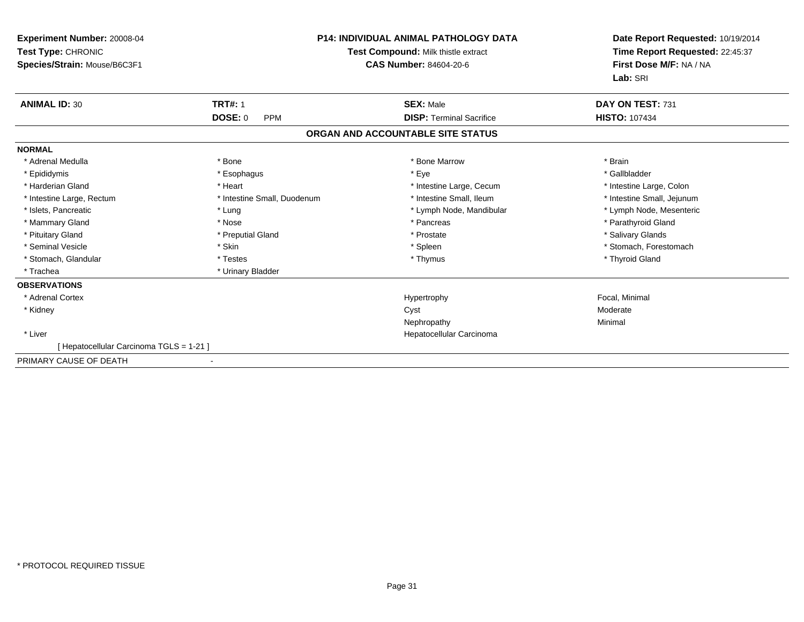| Experiment Number: 20008-04<br>Test Type: CHRONIC<br>Species/Strain: Mouse/B6C3F1 | <b>P14: INDIVIDUAL ANIMAL PATHOLOGY DATA</b><br>Test Compound: Milk thistle extract<br><b>CAS Number: 84604-20-6</b> |                                   | Date Report Requested: 10/19/2014<br>Time Report Requested: 22:45:37<br>First Dose M/F: NA / NA<br>Lab: SRI |
|-----------------------------------------------------------------------------------|----------------------------------------------------------------------------------------------------------------------|-----------------------------------|-------------------------------------------------------------------------------------------------------------|
| <b>ANIMAL ID: 30</b>                                                              | <b>TRT#: 1</b>                                                                                                       | <b>SEX: Male</b>                  | DAY ON TEST: 731                                                                                            |
|                                                                                   | <b>DOSE: 0</b><br><b>PPM</b>                                                                                         | <b>DISP: Terminal Sacrifice</b>   | <b>HISTO: 107434</b>                                                                                        |
|                                                                                   |                                                                                                                      | ORGAN AND ACCOUNTABLE SITE STATUS |                                                                                                             |
| <b>NORMAL</b>                                                                     |                                                                                                                      |                                   |                                                                                                             |
| * Adrenal Medulla                                                                 | * Bone                                                                                                               | * Bone Marrow                     | * Brain                                                                                                     |
| * Epididymis                                                                      | * Esophagus                                                                                                          | * Eye                             | * Gallbladder                                                                                               |
| * Harderian Gland                                                                 | * Heart                                                                                                              | * Intestine Large, Cecum          | * Intestine Large, Colon                                                                                    |
| * Intestine Large, Rectum                                                         | * Intestine Small, Duodenum                                                                                          | * Intestine Small. Ileum          | * Intestine Small, Jejunum                                                                                  |
| * Islets, Pancreatic                                                              | * Lung                                                                                                               | * Lymph Node, Mandibular          | * Lymph Node, Mesenteric                                                                                    |
| * Mammary Gland                                                                   | * Nose                                                                                                               | * Pancreas                        | * Parathyroid Gland                                                                                         |
| * Pituitary Gland                                                                 | * Preputial Gland                                                                                                    | * Prostate                        | * Salivary Glands                                                                                           |
| * Seminal Vesicle                                                                 | * Skin                                                                                                               | * Spleen                          | * Stomach. Forestomach                                                                                      |
| * Stomach, Glandular                                                              | * Testes                                                                                                             | * Thymus                          | * Thyroid Gland                                                                                             |
| * Trachea                                                                         | * Urinary Bladder                                                                                                    |                                   |                                                                                                             |
| <b>OBSERVATIONS</b>                                                               |                                                                                                                      |                                   |                                                                                                             |
| * Adrenal Cortex                                                                  |                                                                                                                      | Hypertrophy                       | Focal, Minimal                                                                                              |
| * Kidney                                                                          |                                                                                                                      | Cyst                              | Moderate                                                                                                    |
|                                                                                   |                                                                                                                      | Nephropathy                       | Minimal                                                                                                     |
| * Liver                                                                           |                                                                                                                      | Hepatocellular Carcinoma          |                                                                                                             |
| [Hepatocellular Carcinoma TGLS = 1-21]                                            |                                                                                                                      |                                   |                                                                                                             |
| PRIMARY CAUSE OF DEATH                                                            |                                                                                                                      |                                   |                                                                                                             |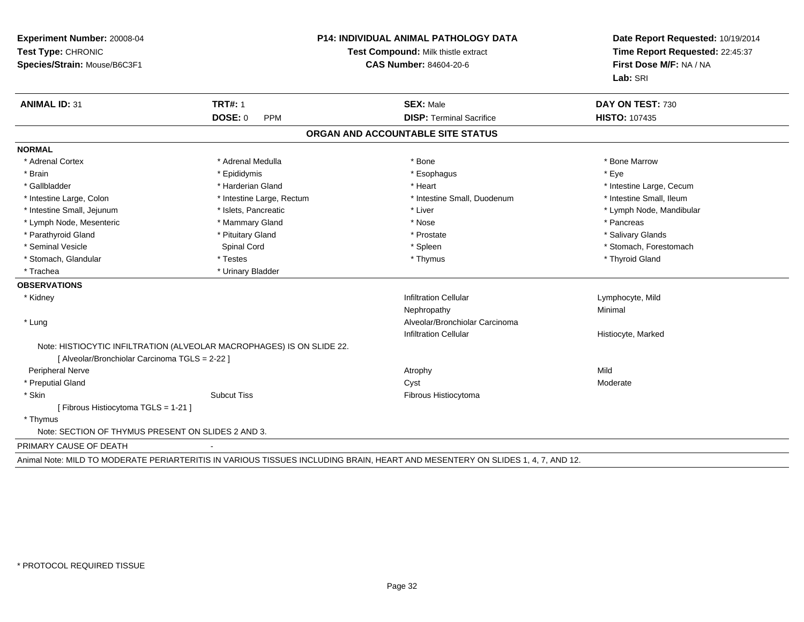| Experiment Number: 20008-04<br>Test Type: CHRONIC<br>Species/Strain: Mouse/B6C3F1 |                                                                       | <b>P14: INDIVIDUAL ANIMAL PATHOLOGY DATA</b><br>Test Compound: Milk thistle extract<br>CAS Number: 84604-20-6 |                              |
|-----------------------------------------------------------------------------------|-----------------------------------------------------------------------|---------------------------------------------------------------------------------------------------------------|------------------------------|
| <b>ANIMAL ID: 31</b>                                                              | <b>TRT#: 1</b>                                                        | <b>SEX: Male</b>                                                                                              | Lab: SRI<br>DAY ON TEST: 730 |
|                                                                                   | <b>DOSE: 0</b><br><b>PPM</b>                                          | <b>DISP: Terminal Sacrifice</b>                                                                               | <b>HISTO: 107435</b>         |
|                                                                                   |                                                                       | ORGAN AND ACCOUNTABLE SITE STATUS                                                                             |                              |
| <b>NORMAL</b>                                                                     |                                                                       |                                                                                                               |                              |
| * Adrenal Cortex                                                                  | * Adrenal Medulla                                                     | * Bone                                                                                                        | * Bone Marrow                |
| * Brain                                                                           | * Epididymis                                                          | * Esophagus                                                                                                   | * Eve                        |
| * Gallbladder                                                                     | * Harderian Gland                                                     | * Heart                                                                                                       | * Intestine Large, Cecum     |
| * Intestine Large, Colon                                                          | * Intestine Large, Rectum                                             | * Intestine Small, Duodenum                                                                                   | * Intestine Small, Ileum     |
| * Intestine Small, Jejunum                                                        | * Islets, Pancreatic                                                  | * Liver                                                                                                       | * Lymph Node, Mandibular     |
| * Lymph Node, Mesenteric                                                          | * Mammary Gland                                                       | * Nose                                                                                                        | * Pancreas                   |
| * Parathyroid Gland                                                               | * Pituitary Gland                                                     | * Prostate                                                                                                    | * Salivary Glands            |
| * Seminal Vesicle                                                                 | Spinal Cord                                                           | * Spleen                                                                                                      | * Stomach, Forestomach       |
| * Stomach, Glandular                                                              | * Testes                                                              | * Thymus                                                                                                      | * Thyroid Gland              |
| * Trachea                                                                         | * Urinary Bladder                                                     |                                                                                                               |                              |
| <b>OBSERVATIONS</b>                                                               |                                                                       |                                                                                                               |                              |
| * Kidney                                                                          |                                                                       | <b>Infiltration Cellular</b>                                                                                  | Lymphocyte, Mild             |
|                                                                                   |                                                                       | Nephropathy                                                                                                   | Minimal                      |
| * Lung                                                                            |                                                                       | Alveolar/Bronchiolar Carcinoma                                                                                |                              |
|                                                                                   |                                                                       | <b>Infiltration Cellular</b>                                                                                  | Histiocyte, Marked           |
|                                                                                   | Note: HISTIOCYTIC INFILTRATION (ALVEOLAR MACROPHAGES) IS ON SLIDE 22. |                                                                                                               |                              |
| [ Alveolar/Bronchiolar Carcinoma TGLS = 2-22 ]                                    |                                                                       |                                                                                                               |                              |
| <b>Peripheral Nerve</b>                                                           |                                                                       | Atrophy                                                                                                       | Mild                         |
| * Preputial Gland                                                                 |                                                                       | Cyst                                                                                                          | Moderate                     |
| * Skin                                                                            | <b>Subcut Tiss</b>                                                    | Fibrous Histiocytoma                                                                                          |                              |
| [ Fibrous Histiocytoma TGLS = 1-21 ]                                              |                                                                       |                                                                                                               |                              |
| * Thymus                                                                          |                                                                       |                                                                                                               |                              |
| Note: SECTION OF THYMUS PRESENT ON SLIDES 2 AND 3.                                |                                                                       |                                                                                                               |                              |
| PRIMARY CAUSE OF DEATH                                                            |                                                                       |                                                                                                               |                              |

Animal Note: MILD TO MODERATE PERIARTERITIS IN VARIOUS TISSUES INCLUDING BRAIN, HEART AND MESENTERY ON SLIDES 1, 4, 7, AND 12.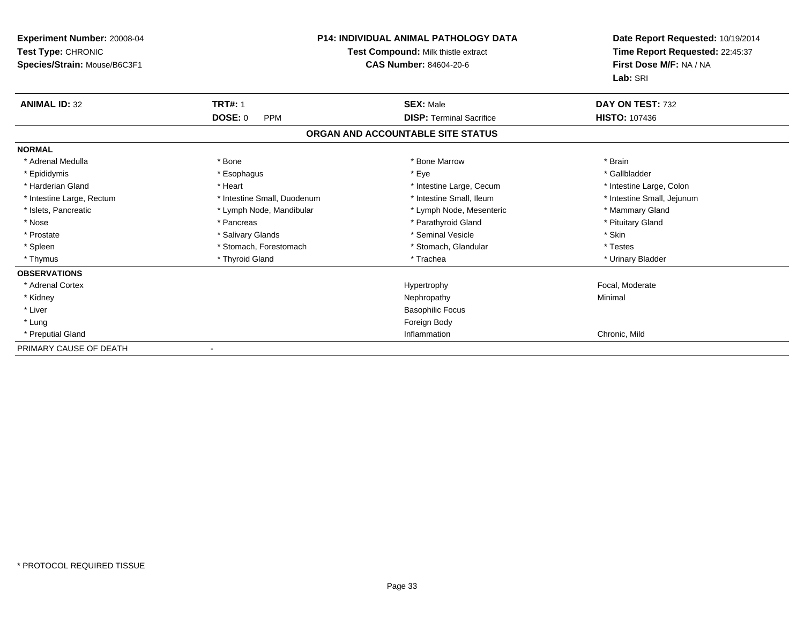| <b>Experiment Number: 20008-04</b><br>Test Type: CHRONIC<br>Species/Strain: Mouse/B6C3F1 | <b>P14: INDIVIDUAL ANIMAL PATHOLOGY DATA</b><br>Test Compound: Milk thistle extract<br><b>CAS Number: 84604-20-6</b> |                                   | Date Report Requested: 10/19/2014<br>Time Report Requested: 22:45:37<br>First Dose M/F: NA / NA<br>Lab: SRI |
|------------------------------------------------------------------------------------------|----------------------------------------------------------------------------------------------------------------------|-----------------------------------|-------------------------------------------------------------------------------------------------------------|
| <b>ANIMAL ID: 32</b>                                                                     | <b>TRT#: 1</b>                                                                                                       | <b>SEX: Male</b>                  | DAY ON TEST: 732                                                                                            |
|                                                                                          | <b>DOSE: 0</b><br><b>PPM</b>                                                                                         | <b>DISP: Terminal Sacrifice</b>   | <b>HISTO: 107436</b>                                                                                        |
|                                                                                          |                                                                                                                      | ORGAN AND ACCOUNTABLE SITE STATUS |                                                                                                             |
| <b>NORMAL</b>                                                                            |                                                                                                                      |                                   |                                                                                                             |
| * Adrenal Medulla                                                                        | * Bone                                                                                                               | * Bone Marrow                     | * Brain                                                                                                     |
| * Epididymis                                                                             | * Esophagus                                                                                                          | * Eye                             | * Gallbladder                                                                                               |
| * Harderian Gland                                                                        | * Heart                                                                                                              | * Intestine Large, Cecum          | * Intestine Large, Colon                                                                                    |
| * Intestine Large, Rectum                                                                | * Intestine Small, Duodenum                                                                                          | * Intestine Small, Ileum          | * Intestine Small, Jejunum                                                                                  |
| * Islets, Pancreatic                                                                     | * Lymph Node, Mandibular                                                                                             | * Lymph Node, Mesenteric          | * Mammary Gland                                                                                             |
| * Nose                                                                                   | * Pancreas                                                                                                           | * Parathyroid Gland               | * Pituitary Gland                                                                                           |
| * Prostate                                                                               | * Salivary Glands                                                                                                    | * Seminal Vesicle                 | * Skin                                                                                                      |
| * Spleen                                                                                 | * Stomach, Forestomach                                                                                               | * Stomach, Glandular              | * Testes                                                                                                    |
| * Thymus                                                                                 | * Thyroid Gland                                                                                                      | * Trachea                         | * Urinary Bladder                                                                                           |
| <b>OBSERVATIONS</b>                                                                      |                                                                                                                      |                                   |                                                                                                             |
| * Adrenal Cortex                                                                         |                                                                                                                      | Hypertrophy                       | Focal, Moderate                                                                                             |
| * Kidney                                                                                 |                                                                                                                      | Nephropathy                       | Minimal                                                                                                     |
| * Liver                                                                                  |                                                                                                                      | <b>Basophilic Focus</b>           |                                                                                                             |
| * Lung                                                                                   |                                                                                                                      | Foreign Body                      |                                                                                                             |
| * Preputial Gland                                                                        |                                                                                                                      | Inflammation                      | Chronic, Mild                                                                                               |
| PRIMARY CAUSE OF DEATH                                                                   |                                                                                                                      |                                   |                                                                                                             |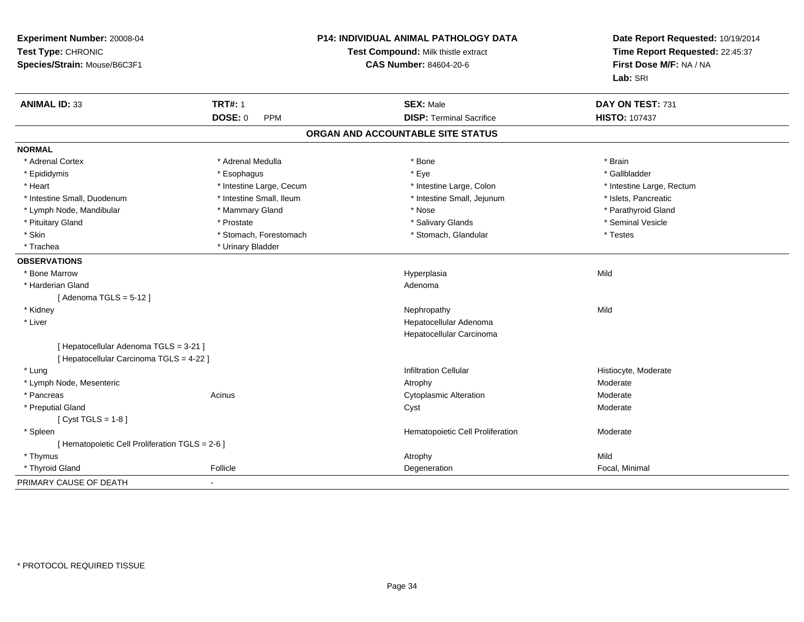| Experiment Number: 20008-04<br>Test Type: CHRONIC<br>Species/Strain: Mouse/B6C3F1 |                          | P14: INDIVIDUAL ANIMAL PATHOLOGY DATA<br>Test Compound: Milk thistle extract<br><b>CAS Number: 84604-20-6</b> | Date Report Requested: 10/19/2014<br>Time Report Requested: 22:45:37<br>First Dose M/F: NA / NA<br>Lab: SRI |
|-----------------------------------------------------------------------------------|--------------------------|---------------------------------------------------------------------------------------------------------------|-------------------------------------------------------------------------------------------------------------|
| <b>ANIMAL ID: 33</b>                                                              | <b>TRT#: 1</b>           | <b>SEX: Male</b>                                                                                              | DAY ON TEST: 731                                                                                            |
|                                                                                   | <b>DOSE: 0</b><br>PPM    | <b>DISP: Terminal Sacrifice</b>                                                                               | <b>HISTO: 107437</b>                                                                                        |
|                                                                                   |                          | ORGAN AND ACCOUNTABLE SITE STATUS                                                                             |                                                                                                             |
| <b>NORMAL</b>                                                                     |                          |                                                                                                               |                                                                                                             |
| * Adrenal Cortex                                                                  | * Adrenal Medulla        | * Bone                                                                                                        | * Brain                                                                                                     |
| * Epididymis                                                                      | * Esophagus              | * Eye                                                                                                         | * Gallbladder                                                                                               |
| * Heart                                                                           | * Intestine Large, Cecum | * Intestine Large, Colon                                                                                      | * Intestine Large, Rectum                                                                                   |
| * Intestine Small, Duodenum                                                       | * Intestine Small, Ileum | * Intestine Small, Jejunum                                                                                    | * Islets, Pancreatic                                                                                        |
| * Lymph Node, Mandibular                                                          | * Mammary Gland          | * Nose                                                                                                        | * Parathyroid Gland                                                                                         |
| * Pituitary Gland                                                                 | * Prostate               | * Salivary Glands                                                                                             | * Seminal Vesicle                                                                                           |
| * Skin                                                                            | * Stomach, Forestomach   | * Stomach, Glandular                                                                                          | * Testes                                                                                                    |
| * Trachea                                                                         | * Urinary Bladder        |                                                                                                               |                                                                                                             |
| <b>OBSERVATIONS</b>                                                               |                          |                                                                                                               |                                                                                                             |
| * Bone Marrow                                                                     |                          | Hyperplasia                                                                                                   | Mild                                                                                                        |
| * Harderian Gland                                                                 |                          | Adenoma                                                                                                       |                                                                                                             |
| [Adenoma TGLS = $5-12$ ]                                                          |                          |                                                                                                               |                                                                                                             |
| * Kidney                                                                          |                          | Nephropathy                                                                                                   | Mild                                                                                                        |
| * Liver                                                                           |                          | Hepatocellular Adenoma                                                                                        |                                                                                                             |
|                                                                                   |                          | Hepatocellular Carcinoma                                                                                      |                                                                                                             |
| [ Hepatocellular Adenoma TGLS = 3-21 ]                                            |                          |                                                                                                               |                                                                                                             |
| [ Hepatocellular Carcinoma TGLS = 4-22 ]                                          |                          |                                                                                                               |                                                                                                             |
| * Lung                                                                            |                          | <b>Infiltration Cellular</b>                                                                                  | Histiocyte, Moderate                                                                                        |
| * Lymph Node, Mesenteric                                                          |                          | Atrophy                                                                                                       | Moderate                                                                                                    |
| * Pancreas                                                                        | Acinus                   | <b>Cytoplasmic Alteration</b>                                                                                 | Moderate                                                                                                    |
| * Preputial Gland                                                                 |                          | Cyst                                                                                                          | Moderate                                                                                                    |
| [Cyst TGLS = $1-8$ ]                                                              |                          |                                                                                                               |                                                                                                             |
| * Spleen                                                                          |                          | Hematopoietic Cell Proliferation                                                                              | Moderate                                                                                                    |
| [ Hematopoietic Cell Proliferation TGLS = 2-6 ]                                   |                          |                                                                                                               |                                                                                                             |
| * Thymus                                                                          |                          | Atrophy                                                                                                       | Mild                                                                                                        |
| * Thyroid Gland                                                                   | Follicle                 | Degeneration                                                                                                  | Focal, Minimal                                                                                              |
| PRIMARY CAUSE OF DEATH                                                            | $\blacksquare$           |                                                                                                               |                                                                                                             |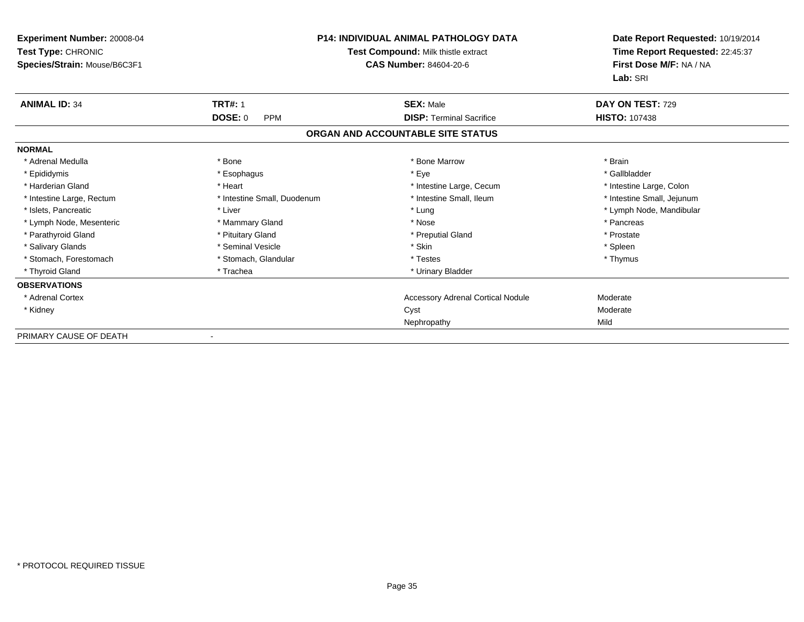| <b>Experiment Number: 20008-04</b><br>Test Type: CHRONIC<br>Species/Strain: Mouse/B6C3F1 | <b>P14: INDIVIDUAL ANIMAL PATHOLOGY DATA</b><br>Test Compound: Milk thistle extract<br><b>CAS Number: 84604-20-6</b> |                                          | Date Report Requested: 10/19/2014<br>Time Report Requested: 22:45:37<br>First Dose M/F: NA / NA<br>Lab: SRI |
|------------------------------------------------------------------------------------------|----------------------------------------------------------------------------------------------------------------------|------------------------------------------|-------------------------------------------------------------------------------------------------------------|
| <b>ANIMAL ID: 34</b>                                                                     | <b>TRT#: 1</b>                                                                                                       | <b>SEX: Male</b>                         | DAY ON TEST: 729                                                                                            |
|                                                                                          | <b>DOSE: 0</b><br><b>PPM</b>                                                                                         | <b>DISP: Terminal Sacrifice</b>          | <b>HISTO: 107438</b>                                                                                        |
|                                                                                          |                                                                                                                      | ORGAN AND ACCOUNTABLE SITE STATUS        |                                                                                                             |
| <b>NORMAL</b>                                                                            |                                                                                                                      |                                          |                                                                                                             |
| * Adrenal Medulla                                                                        | * Bone                                                                                                               | * Bone Marrow                            | * Brain                                                                                                     |
| * Epididymis                                                                             | * Esophagus                                                                                                          | * Eye                                    | * Gallbladder                                                                                               |
| * Harderian Gland                                                                        | * Heart                                                                                                              | * Intestine Large, Cecum                 | * Intestine Large, Colon                                                                                    |
| * Intestine Large, Rectum                                                                | * Intestine Small, Duodenum                                                                                          | * Intestine Small, Ileum                 | * Intestine Small, Jejunum                                                                                  |
| * Islets, Pancreatic                                                                     | * Liver                                                                                                              | * Lung                                   | * Lymph Node, Mandibular                                                                                    |
| * Lymph Node, Mesenteric                                                                 | * Mammary Gland                                                                                                      | * Nose                                   | * Pancreas                                                                                                  |
| * Parathyroid Gland                                                                      | * Pituitary Gland                                                                                                    | * Preputial Gland                        | * Prostate                                                                                                  |
| * Salivary Glands                                                                        | * Seminal Vesicle                                                                                                    | * Skin                                   | * Spleen                                                                                                    |
| * Stomach. Forestomach                                                                   | * Stomach, Glandular                                                                                                 | * Testes                                 | * Thymus                                                                                                    |
| * Thyroid Gland                                                                          | * Trachea                                                                                                            | * Urinary Bladder                        |                                                                                                             |
| <b>OBSERVATIONS</b>                                                                      |                                                                                                                      |                                          |                                                                                                             |
| * Adrenal Cortex                                                                         |                                                                                                                      | <b>Accessory Adrenal Cortical Nodule</b> | Moderate                                                                                                    |
| * Kidney                                                                                 |                                                                                                                      | Cyst                                     | Moderate                                                                                                    |
|                                                                                          |                                                                                                                      | Nephropathy                              | Mild                                                                                                        |
| PRIMARY CAUSE OF DEATH                                                                   | $\overline{\phantom{a}}$                                                                                             |                                          |                                                                                                             |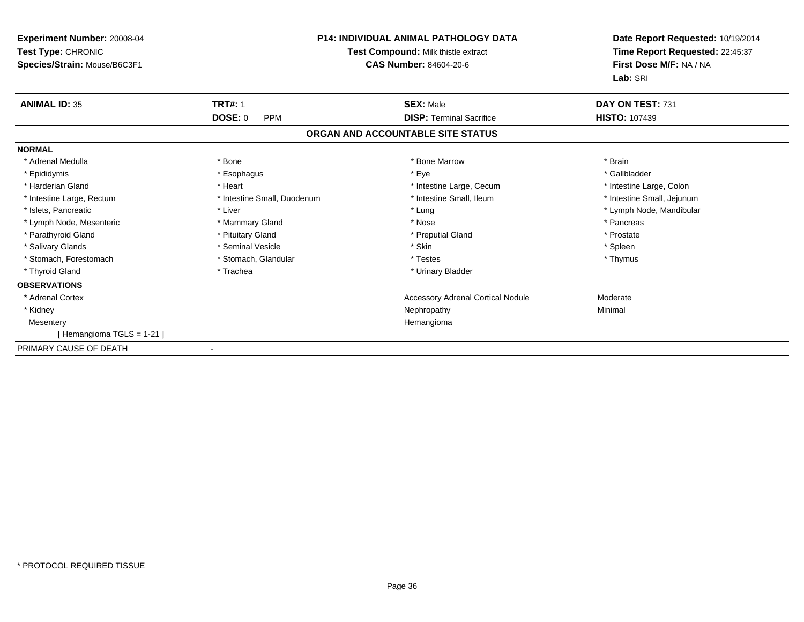| Experiment Number: 20008-04<br><b>Test Type: CHRONIC</b><br>Species/Strain: Mouse/B6C3F1 | <b>P14: INDIVIDUAL ANIMAL PATHOLOGY DATA</b><br>Test Compound: Milk thistle extract<br>CAS Number: 84604-20-6 |                                          | Date Report Requested: 10/19/2014<br>Time Report Requested: 22:45:37<br>First Dose M/F: NA / NA<br>Lab: SRI |
|------------------------------------------------------------------------------------------|---------------------------------------------------------------------------------------------------------------|------------------------------------------|-------------------------------------------------------------------------------------------------------------|
| <b>ANIMAL ID: 35</b>                                                                     | <b>TRT#: 1</b>                                                                                                | <b>SEX: Male</b>                         | DAY ON TEST: 731                                                                                            |
|                                                                                          | <b>DOSE: 0</b><br><b>PPM</b>                                                                                  | <b>DISP: Terminal Sacrifice</b>          | <b>HISTO: 107439</b>                                                                                        |
|                                                                                          |                                                                                                               | ORGAN AND ACCOUNTABLE SITE STATUS        |                                                                                                             |
| <b>NORMAL</b>                                                                            |                                                                                                               |                                          |                                                                                                             |
| * Adrenal Medulla                                                                        | * Bone                                                                                                        | * Bone Marrow                            | * Brain                                                                                                     |
| * Epididymis                                                                             | * Esophagus                                                                                                   | * Eye                                    | * Gallbladder                                                                                               |
| * Harderian Gland                                                                        | * Heart                                                                                                       | * Intestine Large, Cecum                 | * Intestine Large, Colon                                                                                    |
| * Intestine Large, Rectum                                                                | * Intestine Small, Duodenum                                                                                   | * Intestine Small, Ileum                 | * Intestine Small, Jejunum                                                                                  |
| * Islets, Pancreatic                                                                     | * Liver                                                                                                       | * Lung                                   | * Lymph Node, Mandibular                                                                                    |
| * Lymph Node, Mesenteric                                                                 | * Mammary Gland                                                                                               | * Nose                                   | * Pancreas                                                                                                  |
| * Parathyroid Gland                                                                      | * Pituitary Gland                                                                                             | * Preputial Gland                        | * Prostate                                                                                                  |
| * Salivary Glands                                                                        | * Seminal Vesicle                                                                                             | * Skin                                   | * Spleen                                                                                                    |
| * Stomach, Forestomach                                                                   | * Stomach, Glandular                                                                                          | * Testes                                 | * Thymus                                                                                                    |
| * Thyroid Gland                                                                          | * Trachea                                                                                                     | * Urinary Bladder                        |                                                                                                             |
| <b>OBSERVATIONS</b>                                                                      |                                                                                                               |                                          |                                                                                                             |
| * Adrenal Cortex                                                                         |                                                                                                               | <b>Accessory Adrenal Cortical Nodule</b> | Moderate                                                                                                    |
| * Kidney                                                                                 |                                                                                                               | Nephropathy                              | Minimal                                                                                                     |
| Mesentery                                                                                |                                                                                                               | Hemangioma                               |                                                                                                             |
| Hemangioma TGLS = 1-21 ]                                                                 |                                                                                                               |                                          |                                                                                                             |
| PRIMARY CAUSE OF DEATH                                                                   | $\overline{\phantom{a}}$                                                                                      |                                          |                                                                                                             |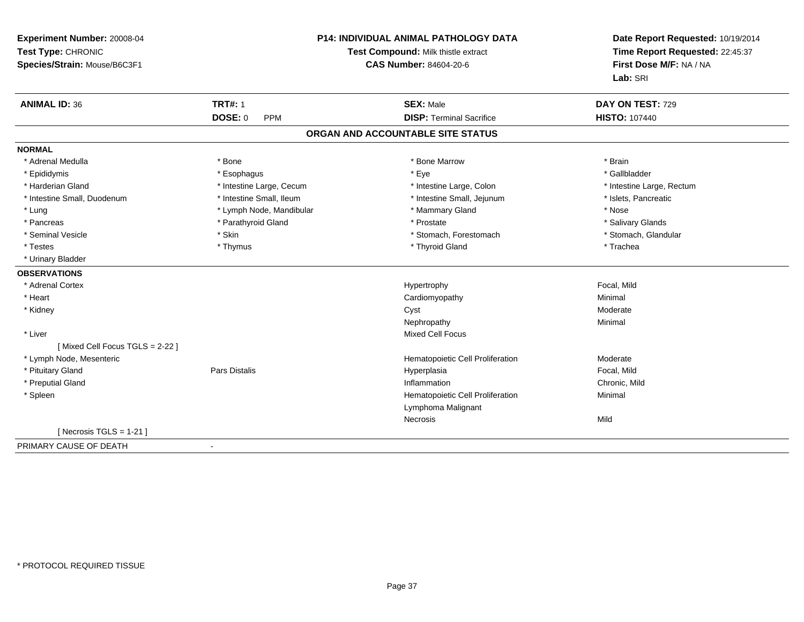| Experiment Number: 20008-04<br>Test Type: CHRONIC<br>Species/Strain: Mouse/B6C3F1 | P14: INDIVIDUAL ANIMAL PATHOLOGY DATA<br>Test Compound: Milk thistle extract<br><b>CAS Number: 84604-20-6</b> |                                                     | Date Report Requested: 10/19/2014<br>Time Report Requested: 22:45:37<br>First Dose M/F: NA / NA<br>Lab: SRI |
|-----------------------------------------------------------------------------------|---------------------------------------------------------------------------------------------------------------|-----------------------------------------------------|-------------------------------------------------------------------------------------------------------------|
| <b>ANIMAL ID: 36</b>                                                              | <b>TRT#: 1</b><br><b>DOSE: 0</b><br><b>PPM</b>                                                                | <b>SEX: Male</b><br><b>DISP: Terminal Sacrifice</b> | DAY ON TEST: 729<br><b>HISTO: 107440</b>                                                                    |
|                                                                                   |                                                                                                               |                                                     |                                                                                                             |
|                                                                                   |                                                                                                               | ORGAN AND ACCOUNTABLE SITE STATUS                   |                                                                                                             |
| <b>NORMAL</b>                                                                     |                                                                                                               |                                                     |                                                                                                             |
| * Adrenal Medulla                                                                 | * Bone                                                                                                        | * Bone Marrow                                       | * Brain                                                                                                     |
| * Epididymis                                                                      | * Esophagus                                                                                                   | * Eye                                               | * Gallbladder                                                                                               |
| * Harderian Gland                                                                 | * Intestine Large, Cecum                                                                                      | * Intestine Large, Colon                            | * Intestine Large, Rectum                                                                                   |
| * Intestine Small, Duodenum                                                       | * Intestine Small, Ileum                                                                                      | * Intestine Small, Jejunum                          | * Islets, Pancreatic                                                                                        |
| $*$ Lung                                                                          | * Lymph Node, Mandibular                                                                                      | * Mammary Gland                                     | * Nose                                                                                                      |
| * Pancreas                                                                        | * Parathyroid Gland                                                                                           | * Prostate                                          | * Salivary Glands                                                                                           |
| * Seminal Vesicle                                                                 | * Skin                                                                                                        | * Stomach, Forestomach                              | * Stomach, Glandular                                                                                        |
| * Testes                                                                          | * Thymus                                                                                                      | * Thyroid Gland                                     | * Trachea                                                                                                   |
| * Urinary Bladder                                                                 |                                                                                                               |                                                     |                                                                                                             |
| <b>OBSERVATIONS</b>                                                               |                                                                                                               |                                                     |                                                                                                             |
| * Adrenal Cortex                                                                  |                                                                                                               | Hypertrophy                                         | Focal, Mild                                                                                                 |
| * Heart                                                                           |                                                                                                               | Cardiomyopathy                                      | Minimal                                                                                                     |
| * Kidney                                                                          |                                                                                                               | Cyst                                                | Moderate                                                                                                    |
|                                                                                   |                                                                                                               | Nephropathy                                         | Minimal                                                                                                     |
| * Liver                                                                           |                                                                                                               | <b>Mixed Cell Focus</b>                             |                                                                                                             |
| [Mixed Cell Focus TGLS = 2-22]                                                    |                                                                                                               |                                                     |                                                                                                             |
| * Lymph Node, Mesenteric                                                          |                                                                                                               | Hematopoietic Cell Proliferation                    | Moderate                                                                                                    |
| * Pituitary Gland                                                                 | <b>Pars Distalis</b>                                                                                          | Hyperplasia                                         | Focal, Mild                                                                                                 |
| * Preputial Gland                                                                 |                                                                                                               | Inflammation                                        | Chronic, Mild                                                                                               |
| * Spleen                                                                          |                                                                                                               | Hematopoietic Cell Proliferation                    | Minimal                                                                                                     |
|                                                                                   |                                                                                                               | Lymphoma Malignant                                  |                                                                                                             |
|                                                                                   |                                                                                                               | Necrosis                                            | Mild                                                                                                        |
| [ Necrosis $TGLS = 1-21$ ]                                                        |                                                                                                               |                                                     |                                                                                                             |
| PRIMARY CAUSE OF DEATH                                                            | $\sim$                                                                                                        |                                                     |                                                                                                             |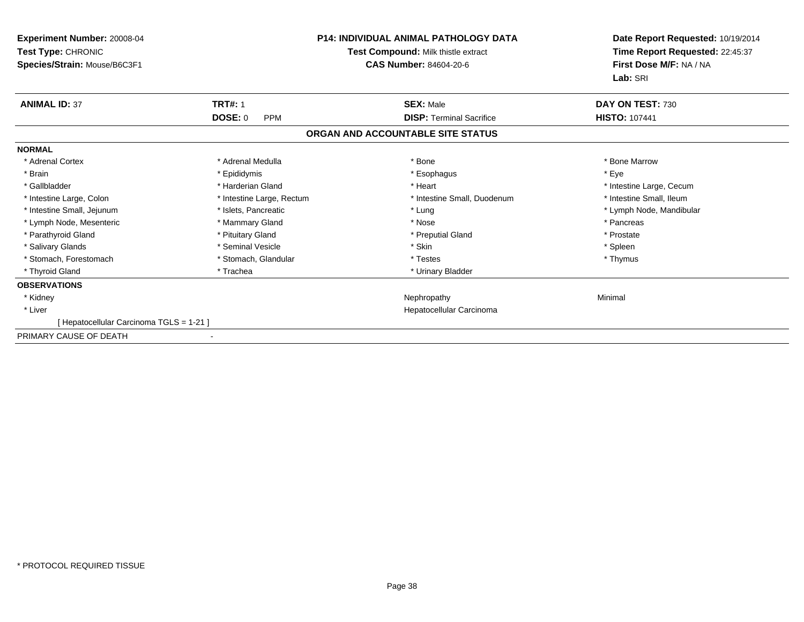| Experiment Number: 20008-04<br>Test Type: CHRONIC<br>Species/Strain: Mouse/B6C3F1 | <b>P14: INDIVIDUAL ANIMAL PATHOLOGY DATA</b><br>Test Compound: Milk thistle extract<br><b>CAS Number: 84604-20-6</b> |                                   | Date Report Requested: 10/19/2014<br>Time Report Requested: 22:45:37<br>First Dose M/F: NA / NA<br>Lab: SRI |  |
|-----------------------------------------------------------------------------------|----------------------------------------------------------------------------------------------------------------------|-----------------------------------|-------------------------------------------------------------------------------------------------------------|--|
| <b>ANIMAL ID: 37</b>                                                              | <b>TRT#: 1</b>                                                                                                       | <b>SEX: Male</b>                  | DAY ON TEST: 730                                                                                            |  |
|                                                                                   | <b>DOSE: 0</b><br><b>PPM</b>                                                                                         | <b>DISP: Terminal Sacrifice</b>   | <b>HISTO: 107441</b>                                                                                        |  |
|                                                                                   |                                                                                                                      | ORGAN AND ACCOUNTABLE SITE STATUS |                                                                                                             |  |
| <b>NORMAL</b>                                                                     |                                                                                                                      |                                   |                                                                                                             |  |
| * Adrenal Cortex                                                                  | * Adrenal Medulla                                                                                                    | * Bone                            | * Bone Marrow                                                                                               |  |
| * Brain                                                                           | * Epididymis                                                                                                         | * Esophagus                       | * Eve                                                                                                       |  |
| * Gallbladder                                                                     | * Harderian Gland                                                                                                    | * Heart                           | * Intestine Large, Cecum                                                                                    |  |
| * Intestine Large, Colon                                                          | * Intestine Large, Rectum                                                                                            | * Intestine Small, Duodenum       | * Intestine Small, Ileum                                                                                    |  |
| * Intestine Small, Jejunum                                                        | * Islets, Pancreatic                                                                                                 | * Lung                            | * Lymph Node, Mandibular                                                                                    |  |
| * Lymph Node, Mesenteric                                                          | * Mammary Gland                                                                                                      | * Nose                            | * Pancreas                                                                                                  |  |
| * Parathyroid Gland                                                               | * Pituitary Gland                                                                                                    | * Preputial Gland                 | * Prostate                                                                                                  |  |
| * Salivary Glands                                                                 | * Seminal Vesicle                                                                                                    | * Skin                            | * Spleen                                                                                                    |  |
| * Stomach, Forestomach                                                            | * Stomach, Glandular                                                                                                 | * Testes                          | * Thymus                                                                                                    |  |
| * Thyroid Gland                                                                   | * Trachea                                                                                                            | * Urinary Bladder                 |                                                                                                             |  |
| <b>OBSERVATIONS</b>                                                               |                                                                                                                      |                                   |                                                                                                             |  |
| * Kidney                                                                          |                                                                                                                      | Nephropathy                       | Minimal                                                                                                     |  |
| * Liver                                                                           |                                                                                                                      | Hepatocellular Carcinoma          |                                                                                                             |  |
| [ Hepatocellular Carcinoma TGLS = 1-21 ]                                          |                                                                                                                      |                                   |                                                                                                             |  |
| PRIMARY CAUSE OF DEATH                                                            | $\overline{\phantom{a}}$                                                                                             |                                   |                                                                                                             |  |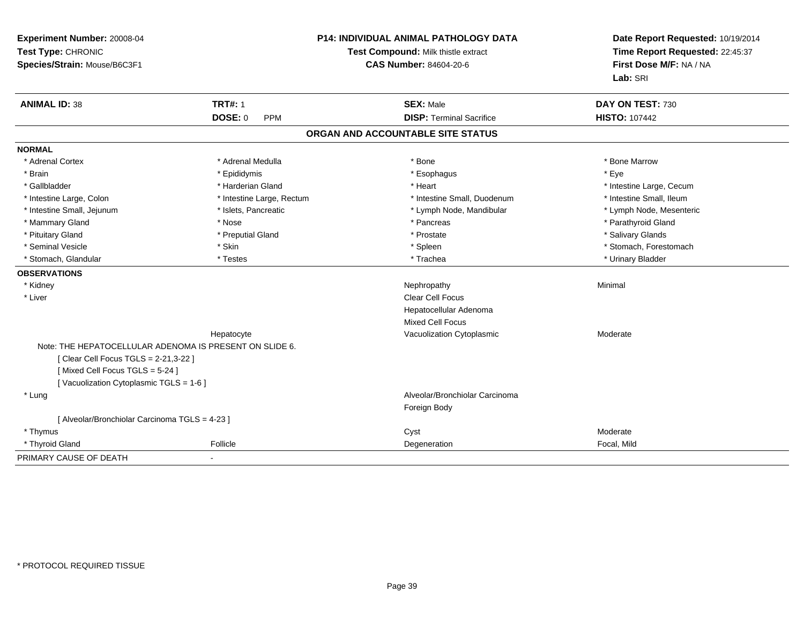| Experiment Number: 20008-04<br>Test Type: CHRONIC<br>Species/Strain: Mouse/B6C3F1 |                              | <b>P14: INDIVIDUAL ANIMAL PATHOLOGY DATA</b><br>Test Compound: Milk thistle extract<br><b>CAS Number: 84604-20-6</b> | Date Report Requested: 10/19/2014<br>Time Report Requested: 22:45:37<br>First Dose M/F: NA / NA<br>Lab: SRI |  |
|-----------------------------------------------------------------------------------|------------------------------|----------------------------------------------------------------------------------------------------------------------|-------------------------------------------------------------------------------------------------------------|--|
| <b>ANIMAL ID: 38</b>                                                              | <b>TRT#: 1</b>               | <b>SEX: Male</b>                                                                                                     | DAY ON TEST: 730                                                                                            |  |
|                                                                                   | <b>DOSE: 0</b><br><b>PPM</b> | <b>DISP: Terminal Sacrifice</b>                                                                                      | <b>HISTO: 107442</b>                                                                                        |  |
|                                                                                   |                              | ORGAN AND ACCOUNTABLE SITE STATUS                                                                                    |                                                                                                             |  |
| <b>NORMAL</b>                                                                     |                              |                                                                                                                      |                                                                                                             |  |
| * Adrenal Cortex                                                                  | * Adrenal Medulla            | * Bone                                                                                                               | * Bone Marrow                                                                                               |  |
| * Brain                                                                           | * Epididymis                 | * Esophagus                                                                                                          | * Eye                                                                                                       |  |
| * Gallbladder                                                                     | * Harderian Gland            | * Heart                                                                                                              | * Intestine Large, Cecum                                                                                    |  |
| * Intestine Large, Colon                                                          | * Intestine Large, Rectum    | * Intestine Small, Duodenum                                                                                          | * Intestine Small, Ileum                                                                                    |  |
| * Intestine Small, Jejunum                                                        | * Islets, Pancreatic         | * Lymph Node, Mandibular                                                                                             | * Lymph Node, Mesenteric                                                                                    |  |
| * Mammary Gland                                                                   | * Nose                       | * Pancreas                                                                                                           | * Parathyroid Gland                                                                                         |  |
| * Pituitary Gland                                                                 | * Preputial Gland            | * Prostate                                                                                                           | * Salivary Glands                                                                                           |  |
| * Seminal Vesicle                                                                 | * Skin                       | * Spleen                                                                                                             | * Stomach, Forestomach                                                                                      |  |
| * Stomach, Glandular                                                              | * Testes                     | * Trachea                                                                                                            | * Urinary Bladder                                                                                           |  |
| <b>OBSERVATIONS</b>                                                               |                              |                                                                                                                      |                                                                                                             |  |
| * Kidney                                                                          |                              | Nephropathy                                                                                                          | Minimal                                                                                                     |  |
| * Liver                                                                           |                              | <b>Clear Cell Focus</b>                                                                                              |                                                                                                             |  |
|                                                                                   |                              | Hepatocellular Adenoma                                                                                               |                                                                                                             |  |
|                                                                                   |                              | <b>Mixed Cell Focus</b>                                                                                              |                                                                                                             |  |
|                                                                                   | Hepatocyte                   | Vacuolization Cytoplasmic                                                                                            | Moderate                                                                                                    |  |
| Note: THE HEPATOCELLULAR ADENOMA IS PRESENT ON SLIDE 6.                           |                              |                                                                                                                      |                                                                                                             |  |
| [ Clear Cell Focus TGLS = 2-21,3-22 ]                                             |                              |                                                                                                                      |                                                                                                             |  |
| [Mixed Cell Focus TGLS = 5-24]                                                    |                              |                                                                                                                      |                                                                                                             |  |
| [Vacuolization Cytoplasmic TGLS = 1-6]                                            |                              |                                                                                                                      |                                                                                                             |  |
| * Lung                                                                            |                              | Alveolar/Bronchiolar Carcinoma                                                                                       |                                                                                                             |  |
|                                                                                   |                              | Foreign Body                                                                                                         |                                                                                                             |  |
| [ Alveolar/Bronchiolar Carcinoma TGLS = 4-23 ]                                    |                              |                                                                                                                      |                                                                                                             |  |
| * Thymus                                                                          |                              | Cyst                                                                                                                 | Moderate                                                                                                    |  |
| * Thyroid Gland                                                                   | Follicle                     | Degeneration                                                                                                         | Focal, Mild                                                                                                 |  |
| PRIMARY CAUSE OF DEATH                                                            |                              |                                                                                                                      |                                                                                                             |  |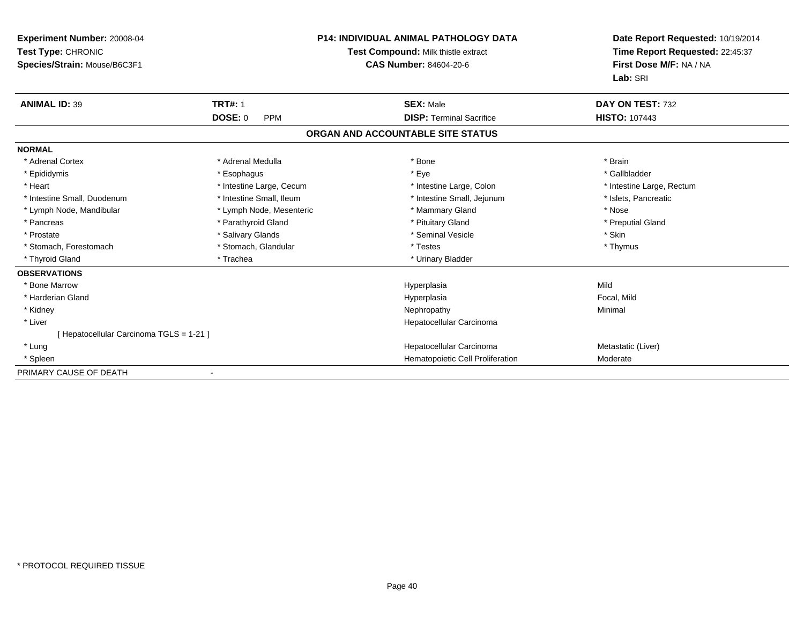| Experiment Number: 20008-04<br>Test Type: CHRONIC<br>Species/Strain: Mouse/B6C3F1 |                          | <b>P14: INDIVIDUAL ANIMAL PATHOLOGY DATA</b><br>Test Compound: Milk thistle extract<br><b>CAS Number: 84604-20-6</b> | Date Report Requested: 10/19/2014<br>Time Report Requested: 22:45:37<br>First Dose M/F: NA / NA |  |
|-----------------------------------------------------------------------------------|--------------------------|----------------------------------------------------------------------------------------------------------------------|-------------------------------------------------------------------------------------------------|--|
|                                                                                   |                          |                                                                                                                      | Lab: SRI                                                                                        |  |
| <b>ANIMAL ID: 39</b>                                                              | <b>TRT#: 1</b>           | <b>SEX: Male</b>                                                                                                     | DAY ON TEST: 732                                                                                |  |
|                                                                                   | DOSE: 0<br><b>PPM</b>    | <b>DISP: Terminal Sacrifice</b>                                                                                      | <b>HISTO: 107443</b>                                                                            |  |
|                                                                                   |                          | ORGAN AND ACCOUNTABLE SITE STATUS                                                                                    |                                                                                                 |  |
| <b>NORMAL</b>                                                                     |                          |                                                                                                                      |                                                                                                 |  |
| * Adrenal Cortex                                                                  | * Adrenal Medulla        | * Bone                                                                                                               | * Brain                                                                                         |  |
| * Epididymis                                                                      | * Esophagus              | * Eye                                                                                                                | * Gallbladder                                                                                   |  |
| * Heart                                                                           | * Intestine Large, Cecum | * Intestine Large, Colon                                                                                             | * Intestine Large, Rectum                                                                       |  |
| * Intestine Small, Duodenum                                                       | * Intestine Small, Ileum | * Intestine Small, Jejunum                                                                                           | * Islets, Pancreatic                                                                            |  |
| * Lymph Node, Mandibular                                                          | * Lymph Node, Mesenteric | * Mammary Gland                                                                                                      | * Nose                                                                                          |  |
| * Pancreas                                                                        | * Parathyroid Gland      | * Pituitary Gland                                                                                                    | * Preputial Gland                                                                               |  |
| * Prostate                                                                        | * Salivary Glands        | * Seminal Vesicle                                                                                                    | * Skin                                                                                          |  |
| * Stomach, Forestomach                                                            | * Stomach, Glandular     | * Testes                                                                                                             | * Thymus                                                                                        |  |
| * Thyroid Gland                                                                   | * Trachea                | * Urinary Bladder                                                                                                    |                                                                                                 |  |
| <b>OBSERVATIONS</b>                                                               |                          |                                                                                                                      |                                                                                                 |  |
| * Bone Marrow                                                                     |                          | Hyperplasia                                                                                                          | Mild                                                                                            |  |
| * Harderian Gland                                                                 |                          | Hyperplasia                                                                                                          | Focal, Mild                                                                                     |  |
| * Kidney                                                                          |                          | Nephropathy                                                                                                          | Minimal                                                                                         |  |
| * Liver                                                                           |                          | Hepatocellular Carcinoma                                                                                             |                                                                                                 |  |
| [Hepatocellular Carcinoma TGLS = 1-21]                                            |                          |                                                                                                                      |                                                                                                 |  |
| * Lung                                                                            |                          | Hepatocellular Carcinoma                                                                                             | Metastatic (Liver)                                                                              |  |
| * Spleen                                                                          |                          | Hematopoietic Cell Proliferation                                                                                     | Moderate                                                                                        |  |
| PRIMARY CAUSE OF DEATH                                                            |                          |                                                                                                                      |                                                                                                 |  |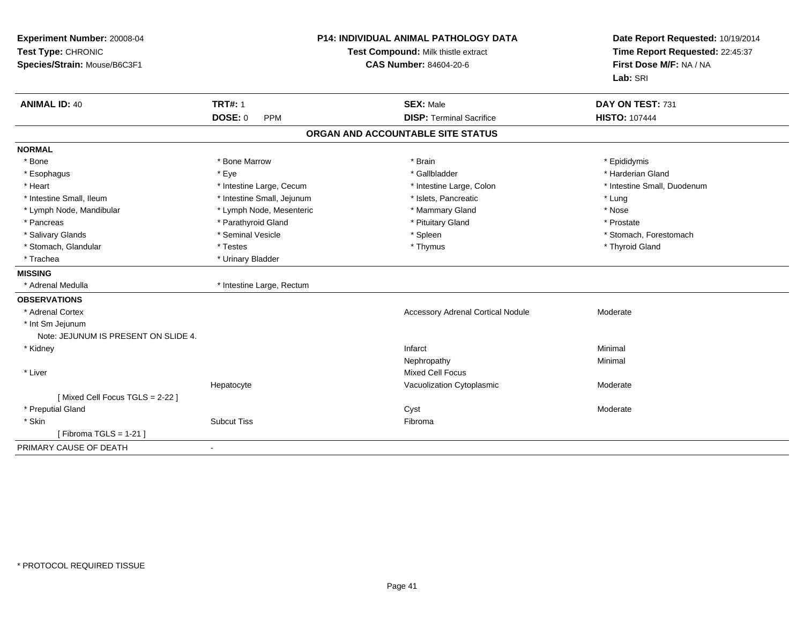| <b>ANIMAL ID: 40</b><br><b>TRT#: 1</b><br><b>SEX: Male</b><br>DAY ON TEST: 731<br>DOSE: 0<br><b>DISP: Terminal Sacrifice</b><br><b>HISTO: 107444</b><br><b>PPM</b><br>ORGAN AND ACCOUNTABLE SITE STATUS<br><b>NORMAL</b><br>* Bone<br>* Bone Marrow<br>* Brain<br>* Epididymis<br>* Gallbladder<br>* Eve<br>* Harderian Gland<br>* Esophagus<br>* Heart<br>* Intestine Large, Cecum<br>* Intestine Large, Colon<br>* Intestine Small, Duodenum<br>* Intestine Small, Jejunum<br>* Intestine Small, Ileum<br>* Islets. Pancreatic<br>* Lung<br>* Lymph Node, Mesenteric<br>* Mammary Gland<br>* Nose<br>* Lymph Node, Mandibular<br>* Parathyroid Gland<br>* Pancreas<br>* Pituitary Gland<br>* Prostate<br>* Seminal Vesicle<br>* Salivary Glands<br>* Spleen<br>* Stomach, Forestomach<br>* Stomach, Glandular<br>* Testes<br>* Thymus<br>* Thyroid Gland<br>* Trachea<br>* Urinary Bladder<br>* Adrenal Medulla<br>* Intestine Large, Rectum<br>* Adrenal Cortex<br><b>Accessory Adrenal Cortical Nodule</b><br>Moderate<br>* Int Sm Jejunum<br>Note: JEJUNUM IS PRESENT ON SLIDE 4.<br>* Kidney<br>Infarct<br>Minimal<br>Minimal<br>Nephropathy<br><b>Mixed Cell Focus</b><br>* Liver<br>Hepatocyte<br>Vacuolization Cytoplasmic<br>Moderate<br>[Mixed Cell Focus TGLS = 2-22]<br>* Preputial Gland<br>Cyst<br>Moderate<br>* Skin<br><b>Subcut Tiss</b><br>Fibroma<br>[Fibroma TGLS = $1-21$ ]<br>$\blacksquare$ | Experiment Number: 20008-04<br>Test Type: CHRONIC<br>Species/Strain: Mouse/B6C3F1 | <b>P14: INDIVIDUAL ANIMAL PATHOLOGY DATA</b><br>Test Compound: Milk thistle extract<br><b>CAS Number: 84604-20-6</b> |  | Date Report Requested: 10/19/2014<br>Time Report Requested: 22:45:37<br>First Dose M/F: NA / NA<br>Lab: SRI |
|---------------------------------------------------------------------------------------------------------------------------------------------------------------------------------------------------------------------------------------------------------------------------------------------------------------------------------------------------------------------------------------------------------------------------------------------------------------------------------------------------------------------------------------------------------------------------------------------------------------------------------------------------------------------------------------------------------------------------------------------------------------------------------------------------------------------------------------------------------------------------------------------------------------------------------------------------------------------------------------------------------------------------------------------------------------------------------------------------------------------------------------------------------------------------------------------------------------------------------------------------------------------------------------------------------------------------------------------------------------------------------------------------------------------|-----------------------------------------------------------------------------------|----------------------------------------------------------------------------------------------------------------------|--|-------------------------------------------------------------------------------------------------------------|
|                                                                                                                                                                                                                                                                                                                                                                                                                                                                                                                                                                                                                                                                                                                                                                                                                                                                                                                                                                                                                                                                                                                                                                                                                                                                                                                                                                                                                     |                                                                                   |                                                                                                                      |  |                                                                                                             |
|                                                                                                                                                                                                                                                                                                                                                                                                                                                                                                                                                                                                                                                                                                                                                                                                                                                                                                                                                                                                                                                                                                                                                                                                                                                                                                                                                                                                                     |                                                                                   |                                                                                                                      |  |                                                                                                             |
|                                                                                                                                                                                                                                                                                                                                                                                                                                                                                                                                                                                                                                                                                                                                                                                                                                                                                                                                                                                                                                                                                                                                                                                                                                                                                                                                                                                                                     |                                                                                   |                                                                                                                      |  |                                                                                                             |
|                                                                                                                                                                                                                                                                                                                                                                                                                                                                                                                                                                                                                                                                                                                                                                                                                                                                                                                                                                                                                                                                                                                                                                                                                                                                                                                                                                                                                     |                                                                                   |                                                                                                                      |  |                                                                                                             |
|                                                                                                                                                                                                                                                                                                                                                                                                                                                                                                                                                                                                                                                                                                                                                                                                                                                                                                                                                                                                                                                                                                                                                                                                                                                                                                                                                                                                                     |                                                                                   |                                                                                                                      |  |                                                                                                             |
|                                                                                                                                                                                                                                                                                                                                                                                                                                                                                                                                                                                                                                                                                                                                                                                                                                                                                                                                                                                                                                                                                                                                                                                                                                                                                                                                                                                                                     |                                                                                   |                                                                                                                      |  |                                                                                                             |
|                                                                                                                                                                                                                                                                                                                                                                                                                                                                                                                                                                                                                                                                                                                                                                                                                                                                                                                                                                                                                                                                                                                                                                                                                                                                                                                                                                                                                     |                                                                                   |                                                                                                                      |  |                                                                                                             |
|                                                                                                                                                                                                                                                                                                                                                                                                                                                                                                                                                                                                                                                                                                                                                                                                                                                                                                                                                                                                                                                                                                                                                                                                                                                                                                                                                                                                                     |                                                                                   |                                                                                                                      |  |                                                                                                             |
|                                                                                                                                                                                                                                                                                                                                                                                                                                                                                                                                                                                                                                                                                                                                                                                                                                                                                                                                                                                                                                                                                                                                                                                                                                                                                                                                                                                                                     |                                                                                   |                                                                                                                      |  |                                                                                                             |
|                                                                                                                                                                                                                                                                                                                                                                                                                                                                                                                                                                                                                                                                                                                                                                                                                                                                                                                                                                                                                                                                                                                                                                                                                                                                                                                                                                                                                     |                                                                                   |                                                                                                                      |  |                                                                                                             |
|                                                                                                                                                                                                                                                                                                                                                                                                                                                                                                                                                                                                                                                                                                                                                                                                                                                                                                                                                                                                                                                                                                                                                                                                                                                                                                                                                                                                                     |                                                                                   |                                                                                                                      |  |                                                                                                             |
|                                                                                                                                                                                                                                                                                                                                                                                                                                                                                                                                                                                                                                                                                                                                                                                                                                                                                                                                                                                                                                                                                                                                                                                                                                                                                                                                                                                                                     |                                                                                   |                                                                                                                      |  |                                                                                                             |
|                                                                                                                                                                                                                                                                                                                                                                                                                                                                                                                                                                                                                                                                                                                                                                                                                                                                                                                                                                                                                                                                                                                                                                                                                                                                                                                                                                                                                     |                                                                                   |                                                                                                                      |  |                                                                                                             |
|                                                                                                                                                                                                                                                                                                                                                                                                                                                                                                                                                                                                                                                                                                                                                                                                                                                                                                                                                                                                                                                                                                                                                                                                                                                                                                                                                                                                                     | <b>MISSING</b>                                                                    |                                                                                                                      |  |                                                                                                             |
|                                                                                                                                                                                                                                                                                                                                                                                                                                                                                                                                                                                                                                                                                                                                                                                                                                                                                                                                                                                                                                                                                                                                                                                                                                                                                                                                                                                                                     |                                                                                   |                                                                                                                      |  |                                                                                                             |
|                                                                                                                                                                                                                                                                                                                                                                                                                                                                                                                                                                                                                                                                                                                                                                                                                                                                                                                                                                                                                                                                                                                                                                                                                                                                                                                                                                                                                     | <b>OBSERVATIONS</b>                                                               |                                                                                                                      |  |                                                                                                             |
|                                                                                                                                                                                                                                                                                                                                                                                                                                                                                                                                                                                                                                                                                                                                                                                                                                                                                                                                                                                                                                                                                                                                                                                                                                                                                                                                                                                                                     |                                                                                   |                                                                                                                      |  |                                                                                                             |
|                                                                                                                                                                                                                                                                                                                                                                                                                                                                                                                                                                                                                                                                                                                                                                                                                                                                                                                                                                                                                                                                                                                                                                                                                                                                                                                                                                                                                     |                                                                                   |                                                                                                                      |  |                                                                                                             |
|                                                                                                                                                                                                                                                                                                                                                                                                                                                                                                                                                                                                                                                                                                                                                                                                                                                                                                                                                                                                                                                                                                                                                                                                                                                                                                                                                                                                                     |                                                                                   |                                                                                                                      |  |                                                                                                             |
|                                                                                                                                                                                                                                                                                                                                                                                                                                                                                                                                                                                                                                                                                                                                                                                                                                                                                                                                                                                                                                                                                                                                                                                                                                                                                                                                                                                                                     |                                                                                   |                                                                                                                      |  |                                                                                                             |
|                                                                                                                                                                                                                                                                                                                                                                                                                                                                                                                                                                                                                                                                                                                                                                                                                                                                                                                                                                                                                                                                                                                                                                                                                                                                                                                                                                                                                     |                                                                                   |                                                                                                                      |  |                                                                                                             |
|                                                                                                                                                                                                                                                                                                                                                                                                                                                                                                                                                                                                                                                                                                                                                                                                                                                                                                                                                                                                                                                                                                                                                                                                                                                                                                                                                                                                                     |                                                                                   |                                                                                                                      |  |                                                                                                             |
|                                                                                                                                                                                                                                                                                                                                                                                                                                                                                                                                                                                                                                                                                                                                                                                                                                                                                                                                                                                                                                                                                                                                                                                                                                                                                                                                                                                                                     |                                                                                   |                                                                                                                      |  |                                                                                                             |
|                                                                                                                                                                                                                                                                                                                                                                                                                                                                                                                                                                                                                                                                                                                                                                                                                                                                                                                                                                                                                                                                                                                                                                                                                                                                                                                                                                                                                     |                                                                                   |                                                                                                                      |  |                                                                                                             |
|                                                                                                                                                                                                                                                                                                                                                                                                                                                                                                                                                                                                                                                                                                                                                                                                                                                                                                                                                                                                                                                                                                                                                                                                                                                                                                                                                                                                                     |                                                                                   |                                                                                                                      |  |                                                                                                             |
|                                                                                                                                                                                                                                                                                                                                                                                                                                                                                                                                                                                                                                                                                                                                                                                                                                                                                                                                                                                                                                                                                                                                                                                                                                                                                                                                                                                                                     |                                                                                   |                                                                                                                      |  |                                                                                                             |
|                                                                                                                                                                                                                                                                                                                                                                                                                                                                                                                                                                                                                                                                                                                                                                                                                                                                                                                                                                                                                                                                                                                                                                                                                                                                                                                                                                                                                     |                                                                                   |                                                                                                                      |  |                                                                                                             |
|                                                                                                                                                                                                                                                                                                                                                                                                                                                                                                                                                                                                                                                                                                                                                                                                                                                                                                                                                                                                                                                                                                                                                                                                                                                                                                                                                                                                                     | PRIMARY CAUSE OF DEATH                                                            |                                                                                                                      |  |                                                                                                             |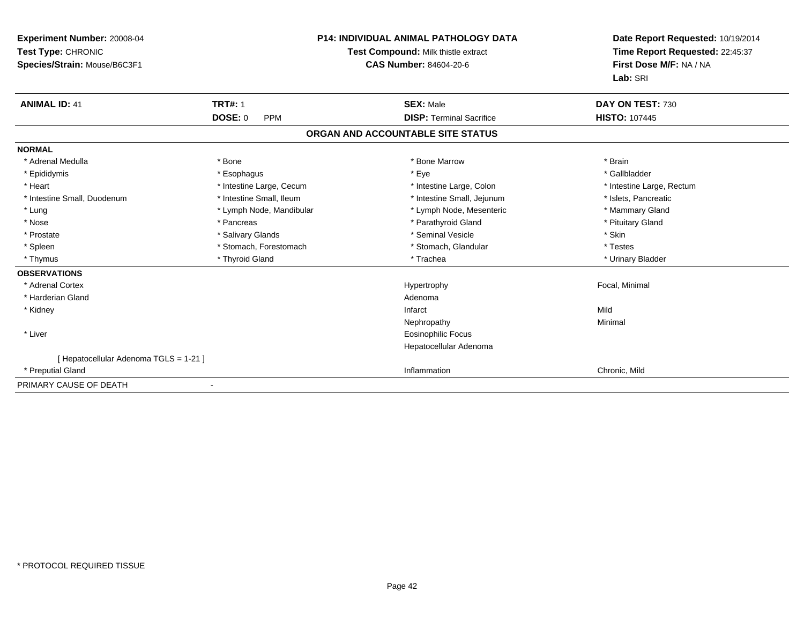| <b>Experiment Number: 20008-04</b><br>Test Type: CHRONIC<br>Species/Strain: Mouse/B6C3F1 |                              | <b>P14: INDIVIDUAL ANIMAL PATHOLOGY DATA</b><br>Test Compound: Milk thistle extract<br><b>CAS Number: 84604-20-6</b> |      | Date Report Requested: 10/19/2014<br>Time Report Requested: 22:45:37<br>First Dose M/F: NA / NA<br>Lab: SRI |
|------------------------------------------------------------------------------------------|------------------------------|----------------------------------------------------------------------------------------------------------------------|------|-------------------------------------------------------------------------------------------------------------|
| <b>ANIMAL ID: 41</b>                                                                     | <b>TRT#: 1</b>               | <b>SEX: Male</b>                                                                                                     |      | DAY ON TEST: 730                                                                                            |
|                                                                                          | <b>DOSE: 0</b><br><b>PPM</b> | <b>DISP: Terminal Sacrifice</b>                                                                                      |      | <b>HISTO: 107445</b>                                                                                        |
|                                                                                          |                              | ORGAN AND ACCOUNTABLE SITE STATUS                                                                                    |      |                                                                                                             |
| <b>NORMAL</b>                                                                            |                              |                                                                                                                      |      |                                                                                                             |
| * Adrenal Medulla                                                                        | * Bone                       | * Bone Marrow                                                                                                        |      | * Brain                                                                                                     |
| * Epididymis                                                                             | * Esophagus                  | * Eye                                                                                                                |      | * Gallbladder                                                                                               |
| * Heart                                                                                  | * Intestine Large, Cecum     | * Intestine Large, Colon                                                                                             |      | * Intestine Large, Rectum                                                                                   |
| * Intestine Small, Duodenum                                                              | * Intestine Small, Ileum     | * Intestine Small, Jejunum                                                                                           |      | * Islets, Pancreatic                                                                                        |
| * Lung                                                                                   | * Lymph Node, Mandibular     | * Lymph Node, Mesenteric                                                                                             |      | * Mammary Gland                                                                                             |
| * Nose                                                                                   | * Pancreas                   | * Parathyroid Gland                                                                                                  |      | * Pituitary Gland                                                                                           |
| * Prostate                                                                               | * Salivary Glands            | * Seminal Vesicle                                                                                                    |      | * Skin                                                                                                      |
| * Spleen                                                                                 | * Stomach, Forestomach       | * Stomach, Glandular                                                                                                 |      | * Testes                                                                                                    |
| * Thymus                                                                                 | * Thyroid Gland              | * Trachea                                                                                                            |      | * Urinary Bladder                                                                                           |
| <b>OBSERVATIONS</b>                                                                      |                              |                                                                                                                      |      |                                                                                                             |
| * Adrenal Cortex                                                                         |                              | Hypertrophy                                                                                                          |      | Focal, Minimal                                                                                              |
| * Harderian Gland                                                                        |                              | Adenoma                                                                                                              |      |                                                                                                             |
| * Kidney                                                                                 |                              | Infarct                                                                                                              | Mild |                                                                                                             |
|                                                                                          |                              | Nephropathy                                                                                                          |      | Minimal                                                                                                     |
| * Liver                                                                                  |                              | Eosinophilic Focus                                                                                                   |      |                                                                                                             |
|                                                                                          |                              | Hepatocellular Adenoma                                                                                               |      |                                                                                                             |
| [ Hepatocellular Adenoma TGLS = 1-21 ]                                                   |                              |                                                                                                                      |      |                                                                                                             |
| * Preputial Gland                                                                        |                              | Inflammation                                                                                                         |      | Chronic, Mild                                                                                               |
| PRIMARY CAUSE OF DEATH                                                                   |                              |                                                                                                                      |      |                                                                                                             |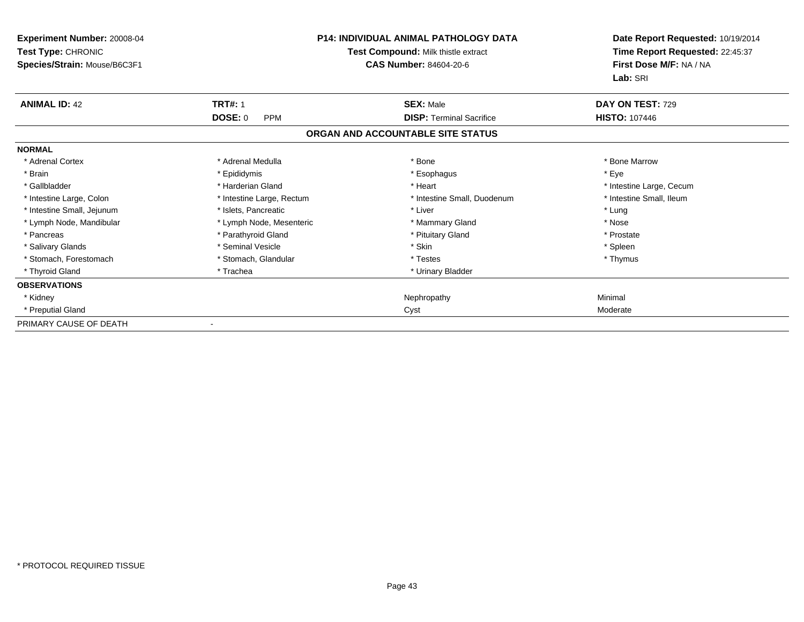| Experiment Number: 20008-04<br>Test Type: CHRONIC<br>Species/Strain: Mouse/B6C3F1 | <b>P14: INDIVIDUAL ANIMAL PATHOLOGY DATA</b><br>Test Compound: Milk thistle extract<br><b>CAS Number: 84604-20-6</b> |                                   | Date Report Requested: 10/19/2014<br>Time Report Requested: 22:45:37<br>First Dose M/F: NA / NA<br>Lab: SRI |
|-----------------------------------------------------------------------------------|----------------------------------------------------------------------------------------------------------------------|-----------------------------------|-------------------------------------------------------------------------------------------------------------|
| <b>ANIMAL ID: 42</b>                                                              | <b>TRT#: 1</b>                                                                                                       | <b>SEX: Male</b>                  | DAY ON TEST: 729                                                                                            |
|                                                                                   | <b>DOSE: 0</b><br><b>PPM</b>                                                                                         | <b>DISP: Terminal Sacrifice</b>   | <b>HISTO: 107446</b>                                                                                        |
|                                                                                   |                                                                                                                      | ORGAN AND ACCOUNTABLE SITE STATUS |                                                                                                             |
| <b>NORMAL</b>                                                                     |                                                                                                                      |                                   |                                                                                                             |
| * Adrenal Cortex                                                                  | * Adrenal Medulla                                                                                                    | * Bone                            | * Bone Marrow                                                                                               |
| * Brain                                                                           | * Epididymis                                                                                                         | * Esophagus                       | * Eye                                                                                                       |
| * Gallbladder                                                                     | * Harderian Gland                                                                                                    | * Heart                           | * Intestine Large, Cecum                                                                                    |
| * Intestine Large, Colon                                                          | * Intestine Large, Rectum                                                                                            | * Intestine Small, Duodenum       | * Intestine Small, Ileum                                                                                    |
| * Intestine Small, Jejunum                                                        | * Islets, Pancreatic                                                                                                 | * Liver                           | * Lung                                                                                                      |
| * Lymph Node, Mandibular                                                          | * Lymph Node, Mesenteric                                                                                             | * Mammary Gland                   | * Nose                                                                                                      |
| * Pancreas                                                                        | * Parathyroid Gland                                                                                                  | * Pituitary Gland                 | * Prostate                                                                                                  |
| * Salivary Glands                                                                 | * Seminal Vesicle                                                                                                    | * Skin                            | * Spleen                                                                                                    |
| * Stomach, Forestomach                                                            | * Stomach, Glandular                                                                                                 | * Testes                          | * Thymus                                                                                                    |
| * Thyroid Gland                                                                   | * Trachea                                                                                                            | * Urinary Bladder                 |                                                                                                             |
| <b>OBSERVATIONS</b>                                                               |                                                                                                                      |                                   |                                                                                                             |
| * Kidney                                                                          |                                                                                                                      | Nephropathy                       | Minimal                                                                                                     |
| * Preputial Gland                                                                 |                                                                                                                      | Cyst                              | Moderate                                                                                                    |
| PRIMARY CAUSE OF DEATH                                                            |                                                                                                                      |                                   |                                                                                                             |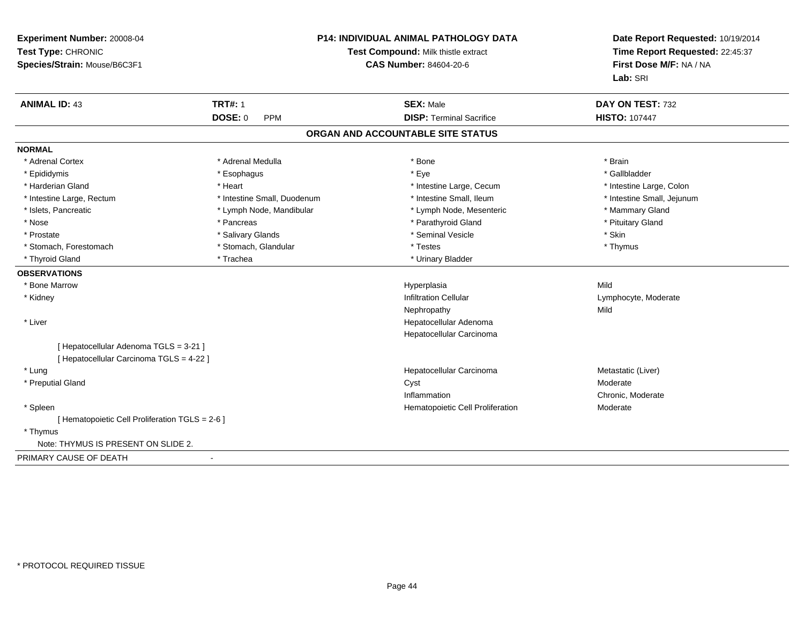| Experiment Number: 20008-04<br>Test Type: CHRONIC<br>Species/Strain: Mouse/B6C3F1 |                             | <b>P14: INDIVIDUAL ANIMAL PATHOLOGY DATA</b><br>Test Compound: Milk thistle extract<br><b>CAS Number: 84604-20-6</b> | Date Report Requested: 10/19/2014<br>Time Report Requested: 22:45:37<br>First Dose M/F: NA / NA<br>Lab: SRI |  |
|-----------------------------------------------------------------------------------|-----------------------------|----------------------------------------------------------------------------------------------------------------------|-------------------------------------------------------------------------------------------------------------|--|
| <b>ANIMAL ID: 43</b>                                                              | <b>TRT#: 1</b>              | <b>SEX: Male</b>                                                                                                     | DAY ON TEST: 732                                                                                            |  |
|                                                                                   | <b>DOSE: 0</b><br>PPM       | <b>DISP: Terminal Sacrifice</b>                                                                                      | <b>HISTO: 107447</b>                                                                                        |  |
|                                                                                   |                             | ORGAN AND ACCOUNTABLE SITE STATUS                                                                                    |                                                                                                             |  |
| <b>NORMAL</b>                                                                     |                             |                                                                                                                      |                                                                                                             |  |
| * Adrenal Cortex                                                                  | * Adrenal Medulla           | * Bone                                                                                                               | * Brain                                                                                                     |  |
| * Epididymis                                                                      | * Esophagus                 | * Eye                                                                                                                | * Gallbladder                                                                                               |  |
| * Harderian Gland                                                                 | * Heart                     | * Intestine Large, Cecum                                                                                             | * Intestine Large, Colon                                                                                    |  |
| * Intestine Large, Rectum                                                         | * Intestine Small, Duodenum | * Intestine Small, Ileum                                                                                             | * Intestine Small, Jejunum                                                                                  |  |
| * Islets, Pancreatic                                                              | * Lymph Node, Mandibular    | * Lymph Node, Mesenteric                                                                                             | * Mammary Gland                                                                                             |  |
| * Nose                                                                            | * Pancreas                  | * Parathyroid Gland                                                                                                  | * Pituitary Gland                                                                                           |  |
| * Prostate                                                                        | * Salivary Glands           | * Seminal Vesicle                                                                                                    | * Skin                                                                                                      |  |
| * Stomach, Forestomach                                                            | * Stomach, Glandular        | * Testes                                                                                                             | * Thymus                                                                                                    |  |
| * Thyroid Gland                                                                   | * Trachea                   | * Urinary Bladder                                                                                                    |                                                                                                             |  |
| <b>OBSERVATIONS</b>                                                               |                             |                                                                                                                      |                                                                                                             |  |
| * Bone Marrow                                                                     |                             | Hyperplasia                                                                                                          | Mild                                                                                                        |  |
| * Kidney                                                                          |                             | <b>Infiltration Cellular</b>                                                                                         | Lymphocyte, Moderate                                                                                        |  |
|                                                                                   |                             | Nephropathy                                                                                                          | Mild                                                                                                        |  |
| * Liver                                                                           |                             | Hepatocellular Adenoma                                                                                               |                                                                                                             |  |
|                                                                                   |                             | Hepatocellular Carcinoma                                                                                             |                                                                                                             |  |
| [ Hepatocellular Adenoma TGLS = 3-21 ]                                            |                             |                                                                                                                      |                                                                                                             |  |
| [ Hepatocellular Carcinoma TGLS = 4-22 ]                                          |                             |                                                                                                                      |                                                                                                             |  |
| * Lung                                                                            |                             | Hepatocellular Carcinoma                                                                                             | Metastatic (Liver)                                                                                          |  |
| * Preputial Gland                                                                 |                             | Cyst                                                                                                                 | Moderate                                                                                                    |  |
|                                                                                   |                             | Inflammation                                                                                                         | Chronic, Moderate                                                                                           |  |
| * Spleen                                                                          |                             | Hematopoietic Cell Proliferation                                                                                     | Moderate                                                                                                    |  |
| [ Hematopoietic Cell Proliferation TGLS = 2-6 ]                                   |                             |                                                                                                                      |                                                                                                             |  |
| * Thymus                                                                          |                             |                                                                                                                      |                                                                                                             |  |
| Note: THYMUS IS PRESENT ON SLIDE 2.                                               |                             |                                                                                                                      |                                                                                                             |  |
| PRIMARY CAUSE OF DEATH                                                            |                             |                                                                                                                      |                                                                                                             |  |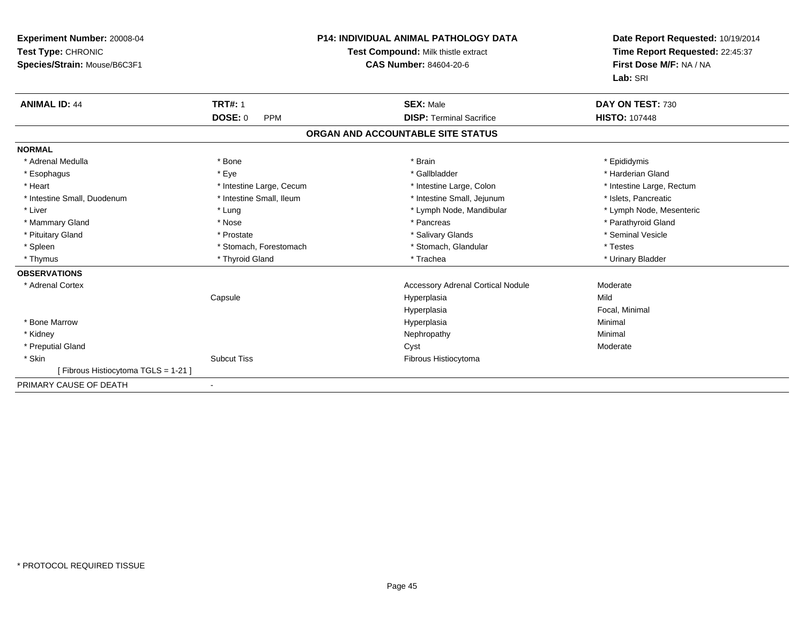| Experiment Number: 20008-04<br>Test Type: CHRONIC<br>Species/Strain: Mouse/B6C3F1 |                              | <b>P14: INDIVIDUAL ANIMAL PATHOLOGY DATA</b><br>Test Compound: Milk thistle extract<br><b>CAS Number: 84604-20-6</b> | Date Report Requested: 10/19/2014<br>Time Report Requested: 22:45:37<br>First Dose M/F: NA / NA<br>Lab: SRI |  |
|-----------------------------------------------------------------------------------|------------------------------|----------------------------------------------------------------------------------------------------------------------|-------------------------------------------------------------------------------------------------------------|--|
| <b>ANIMAL ID: 44</b>                                                              | <b>TRT#: 1</b>               | <b>SEX: Male</b>                                                                                                     | DAY ON TEST: 730                                                                                            |  |
|                                                                                   | <b>DOSE: 0</b><br><b>PPM</b> | <b>DISP: Terminal Sacrifice</b>                                                                                      | <b>HISTO: 107448</b>                                                                                        |  |
|                                                                                   |                              | ORGAN AND ACCOUNTABLE SITE STATUS                                                                                    |                                                                                                             |  |
| <b>NORMAL</b>                                                                     |                              |                                                                                                                      |                                                                                                             |  |
| * Adrenal Medulla                                                                 | * Bone                       | * Brain                                                                                                              | * Epididymis                                                                                                |  |
| * Esophagus                                                                       | * Eye                        | * Gallbladder                                                                                                        | * Harderian Gland                                                                                           |  |
| * Heart                                                                           | * Intestine Large, Cecum     | * Intestine Large, Colon                                                                                             | * Intestine Large, Rectum                                                                                   |  |
| * Intestine Small, Duodenum                                                       | * Intestine Small, Ileum     | * Intestine Small, Jejunum                                                                                           | * Islets, Pancreatic                                                                                        |  |
| * Liver                                                                           | * Lung                       | * Lymph Node, Mandibular                                                                                             | * Lymph Node, Mesenteric                                                                                    |  |
| * Mammary Gland                                                                   | * Nose                       | * Pancreas                                                                                                           | * Parathyroid Gland                                                                                         |  |
| * Pituitary Gland                                                                 | * Prostate                   | * Salivary Glands                                                                                                    | * Seminal Vesicle                                                                                           |  |
| * Spleen                                                                          | * Stomach, Forestomach       | * Stomach, Glandular                                                                                                 | * Testes                                                                                                    |  |
| * Thymus                                                                          | * Thyroid Gland              | * Trachea                                                                                                            | * Urinary Bladder                                                                                           |  |
| <b>OBSERVATIONS</b>                                                               |                              |                                                                                                                      |                                                                                                             |  |
| * Adrenal Cortex                                                                  |                              | <b>Accessory Adrenal Cortical Nodule</b>                                                                             | Moderate                                                                                                    |  |
|                                                                                   | Capsule                      | Hyperplasia                                                                                                          | Mild                                                                                                        |  |
|                                                                                   |                              | Hyperplasia                                                                                                          | Focal, Minimal                                                                                              |  |
| * Bone Marrow                                                                     |                              | Hyperplasia                                                                                                          | Minimal                                                                                                     |  |
| * Kidney                                                                          |                              | Nephropathy                                                                                                          | Minimal                                                                                                     |  |
| * Preputial Gland                                                                 |                              | Cyst                                                                                                                 | Moderate                                                                                                    |  |
| * Skin                                                                            | <b>Subcut Tiss</b>           | Fibrous Histiocytoma                                                                                                 |                                                                                                             |  |
| [Fibrous Histiocytoma TGLS = 1-21]                                                |                              |                                                                                                                      |                                                                                                             |  |
| PRIMARY CAUSE OF DEATH                                                            |                              |                                                                                                                      |                                                                                                             |  |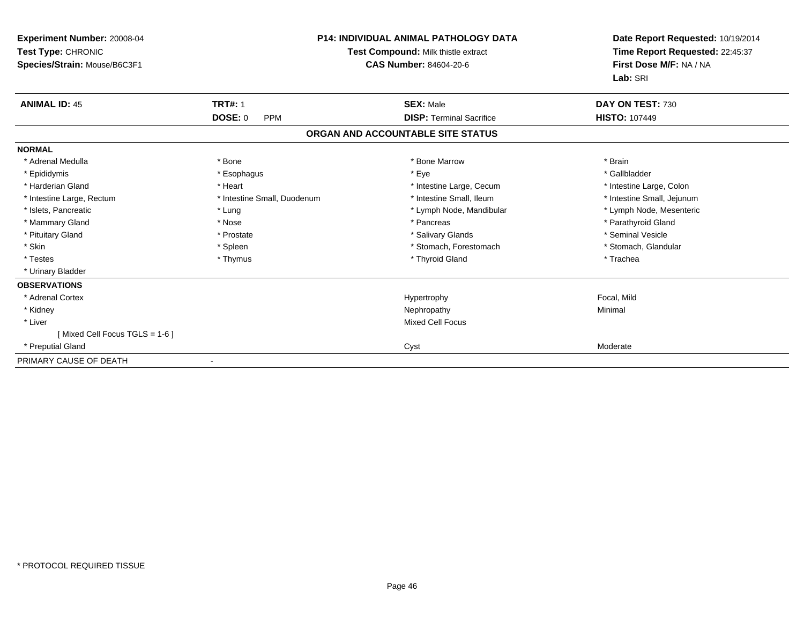| Experiment Number: 20008-04<br>Test Type: CHRONIC<br>Species/Strain: Mouse/B6C3F1 |                              | <b>P14: INDIVIDUAL ANIMAL PATHOLOGY DATA</b><br>Test Compound: Milk thistle extract<br><b>CAS Number: 84604-20-6</b> | Date Report Requested: 10/19/2014<br>Time Report Requested: 22:45:37<br>First Dose M/F: NA / NA<br>Lab: SRI |
|-----------------------------------------------------------------------------------|------------------------------|----------------------------------------------------------------------------------------------------------------------|-------------------------------------------------------------------------------------------------------------|
| <b>ANIMAL ID: 45</b>                                                              | <b>TRT#: 1</b>               | <b>SEX: Male</b>                                                                                                     | DAY ON TEST: 730                                                                                            |
|                                                                                   | <b>DOSE: 0</b><br><b>PPM</b> | <b>DISP: Terminal Sacrifice</b>                                                                                      | <b>HISTO: 107449</b>                                                                                        |
|                                                                                   |                              | ORGAN AND ACCOUNTABLE SITE STATUS                                                                                    |                                                                                                             |
| <b>NORMAL</b>                                                                     |                              |                                                                                                                      |                                                                                                             |
| * Adrenal Medulla                                                                 | * Bone                       | * Bone Marrow                                                                                                        | * Brain                                                                                                     |
| * Epididymis                                                                      | * Esophagus                  | * Eye                                                                                                                | * Gallbladder                                                                                               |
| * Harderian Gland                                                                 | * Heart                      | * Intestine Large, Cecum                                                                                             | * Intestine Large, Colon                                                                                    |
| * Intestine Large, Rectum                                                         | * Intestine Small, Duodenum  | * Intestine Small, Ileum                                                                                             | * Intestine Small, Jejunum                                                                                  |
| * Islets, Pancreatic                                                              | * Lung                       | * Lymph Node, Mandibular                                                                                             | * Lymph Node, Mesenteric                                                                                    |
| * Mammary Gland                                                                   | * Nose                       | * Pancreas                                                                                                           | * Parathyroid Gland                                                                                         |
| * Pituitary Gland                                                                 | * Prostate                   | * Salivary Glands                                                                                                    | * Seminal Vesicle                                                                                           |
| * Skin                                                                            | * Spleen                     | * Stomach, Forestomach                                                                                               | * Stomach, Glandular                                                                                        |
| * Testes                                                                          | * Thymus                     | * Thyroid Gland                                                                                                      | * Trachea                                                                                                   |
| * Urinary Bladder                                                                 |                              |                                                                                                                      |                                                                                                             |
| <b>OBSERVATIONS</b>                                                               |                              |                                                                                                                      |                                                                                                             |
| * Adrenal Cortex                                                                  |                              | Hypertrophy                                                                                                          | Focal, Mild                                                                                                 |
| * Kidney                                                                          |                              | Nephropathy                                                                                                          | Minimal                                                                                                     |
| * Liver                                                                           |                              | <b>Mixed Cell Focus</b>                                                                                              |                                                                                                             |
| [Mixed Cell Focus TGLS = 1-6 ]                                                    |                              |                                                                                                                      |                                                                                                             |
| * Preputial Gland                                                                 |                              | Cyst                                                                                                                 | Moderate                                                                                                    |
| PRIMARY CAUSE OF DEATH                                                            |                              |                                                                                                                      |                                                                                                             |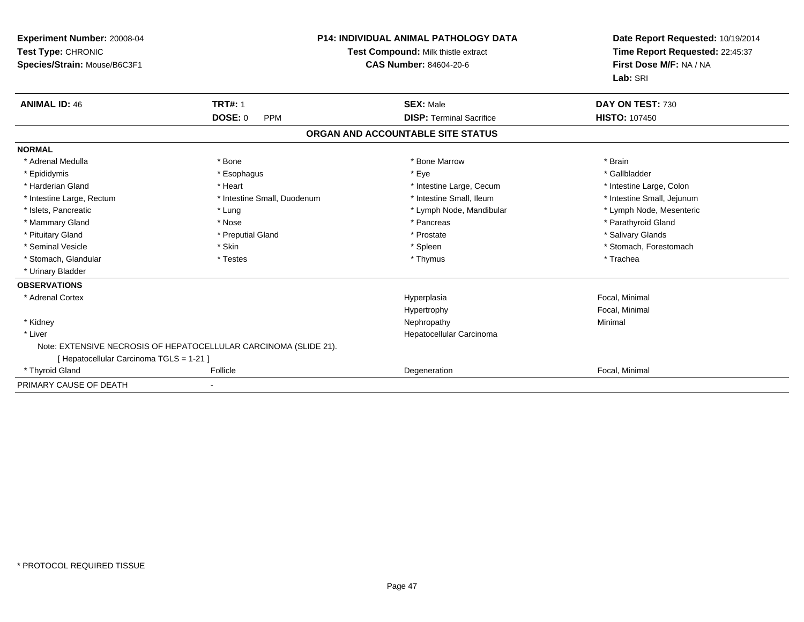| <b>Experiment Number: 20008-04</b><br>Test Type: CHRONIC<br>Species/Strain: Mouse/B6C3F1 |                                                                  | <b>P14: INDIVIDUAL ANIMAL PATHOLOGY DATA</b><br>Test Compound: Milk thistle extract<br><b>CAS Number: 84604-20-6</b> | Date Report Requested: 10/19/2014<br>Time Report Requested: 22:45:37<br>First Dose M/F: NA / NA<br>Lab: SRI |
|------------------------------------------------------------------------------------------|------------------------------------------------------------------|----------------------------------------------------------------------------------------------------------------------|-------------------------------------------------------------------------------------------------------------|
| <b>ANIMAL ID: 46</b>                                                                     | <b>TRT#: 1</b>                                                   | <b>SEX: Male</b>                                                                                                     | DAY ON TEST: 730                                                                                            |
|                                                                                          | <b>DOSE: 0</b><br><b>PPM</b>                                     | <b>DISP: Terminal Sacrifice</b>                                                                                      | <b>HISTO: 107450</b>                                                                                        |
|                                                                                          |                                                                  | ORGAN AND ACCOUNTABLE SITE STATUS                                                                                    |                                                                                                             |
| <b>NORMAL</b>                                                                            |                                                                  |                                                                                                                      |                                                                                                             |
| * Adrenal Medulla                                                                        | * Bone                                                           | * Bone Marrow                                                                                                        | * Brain                                                                                                     |
| * Epididymis                                                                             | * Esophagus                                                      | * Eye                                                                                                                | * Gallbladder                                                                                               |
| * Harderian Gland                                                                        | * Heart                                                          | * Intestine Large, Cecum                                                                                             | * Intestine Large, Colon                                                                                    |
| * Intestine Large, Rectum                                                                | * Intestine Small, Duodenum                                      | * Intestine Small, Ileum                                                                                             | * Intestine Small, Jejunum                                                                                  |
| * Islets, Pancreatic                                                                     | * Lung                                                           | * Lymph Node, Mandibular                                                                                             | * Lymph Node, Mesenteric                                                                                    |
| * Mammary Gland                                                                          | * Nose                                                           | * Pancreas                                                                                                           | * Parathyroid Gland                                                                                         |
| * Pituitary Gland                                                                        | * Preputial Gland                                                | * Prostate                                                                                                           | * Salivary Glands                                                                                           |
| * Seminal Vesicle                                                                        | * Skin                                                           | * Spleen                                                                                                             | * Stomach, Forestomach                                                                                      |
| * Stomach, Glandular                                                                     | * Testes                                                         | * Thymus                                                                                                             | * Trachea                                                                                                   |
| * Urinary Bladder                                                                        |                                                                  |                                                                                                                      |                                                                                                             |
| <b>OBSERVATIONS</b>                                                                      |                                                                  |                                                                                                                      |                                                                                                             |
| * Adrenal Cortex                                                                         |                                                                  | Hyperplasia                                                                                                          | Focal, Minimal                                                                                              |
|                                                                                          |                                                                  | Hypertrophy                                                                                                          | Focal, Minimal                                                                                              |
| * Kidney                                                                                 |                                                                  | Nephropathy                                                                                                          | Minimal                                                                                                     |
| * Liver                                                                                  |                                                                  | Hepatocellular Carcinoma                                                                                             |                                                                                                             |
|                                                                                          | Note: EXTENSIVE NECROSIS OF HEPATOCELLULAR CARCINOMA (SLIDE 21). |                                                                                                                      |                                                                                                             |
| [ Hepatocellular Carcinoma TGLS = 1-21 ]                                                 |                                                                  |                                                                                                                      |                                                                                                             |
| * Thyroid Gland                                                                          | Follicle                                                         | Degeneration                                                                                                         | Focal, Minimal                                                                                              |
| PRIMARY CAUSE OF DEATH                                                                   |                                                                  |                                                                                                                      |                                                                                                             |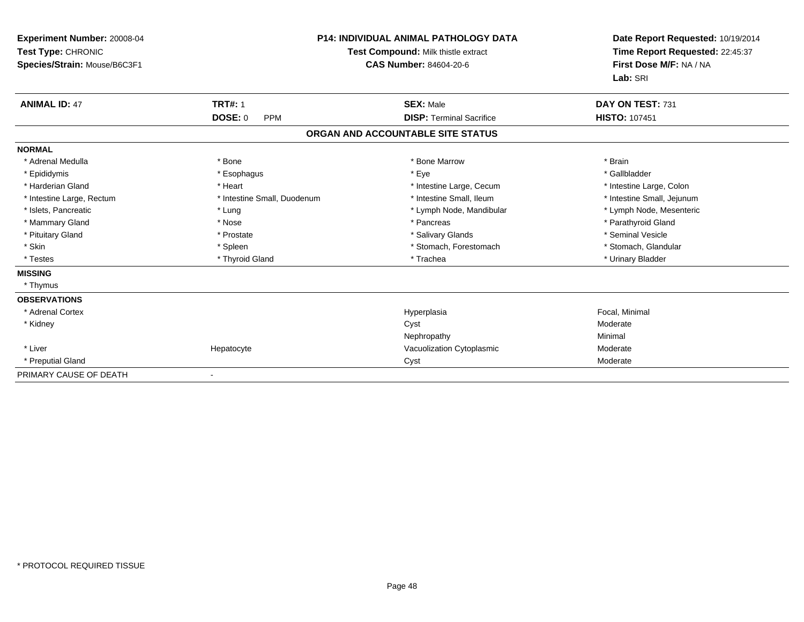| <b>Experiment Number: 20008-04</b><br>Test Type: CHRONIC<br>Species/Strain: Mouse/B6C3F1 | <b>P14: INDIVIDUAL ANIMAL PATHOLOGY DATA</b><br>Test Compound: Milk thistle extract<br>CAS Number: 84604-20-6 |                                   | Date Report Requested: 10/19/2014<br>Time Report Requested: 22:45:37<br>First Dose M/F: NA / NA<br>Lab: SRI |
|------------------------------------------------------------------------------------------|---------------------------------------------------------------------------------------------------------------|-----------------------------------|-------------------------------------------------------------------------------------------------------------|
| <b>ANIMAL ID: 47</b>                                                                     | <b>TRT#: 1</b>                                                                                                | <b>SEX: Male</b>                  | DAY ON TEST: 731                                                                                            |
|                                                                                          | <b>DOSE: 0</b><br><b>PPM</b>                                                                                  | <b>DISP: Terminal Sacrifice</b>   | <b>HISTO: 107451</b>                                                                                        |
|                                                                                          |                                                                                                               | ORGAN AND ACCOUNTABLE SITE STATUS |                                                                                                             |
| <b>NORMAL</b>                                                                            |                                                                                                               |                                   |                                                                                                             |
| * Adrenal Medulla                                                                        | * Bone                                                                                                        | * Bone Marrow                     | * Brain                                                                                                     |
| * Epididymis                                                                             | * Esophagus                                                                                                   | * Eye                             | * Gallbladder                                                                                               |
| * Harderian Gland                                                                        | * Heart                                                                                                       | * Intestine Large, Cecum          | * Intestine Large, Colon                                                                                    |
| * Intestine Large, Rectum                                                                | * Intestine Small, Duodenum                                                                                   | * Intestine Small, Ileum          | * Intestine Small, Jejunum                                                                                  |
| * Islets, Pancreatic                                                                     | * Lung                                                                                                        | * Lymph Node, Mandibular          | * Lymph Node, Mesenteric                                                                                    |
| * Mammary Gland                                                                          | * Nose                                                                                                        | * Pancreas                        | * Parathyroid Gland                                                                                         |
| * Pituitary Gland                                                                        | * Prostate                                                                                                    | * Salivary Glands                 | * Seminal Vesicle                                                                                           |
| * Skin                                                                                   | * Spleen                                                                                                      | * Stomach, Forestomach            | * Stomach, Glandular                                                                                        |
| * Testes                                                                                 | * Thyroid Gland                                                                                               | * Trachea                         | * Urinary Bladder                                                                                           |
| <b>MISSING</b>                                                                           |                                                                                                               |                                   |                                                                                                             |
| * Thymus                                                                                 |                                                                                                               |                                   |                                                                                                             |
| <b>OBSERVATIONS</b>                                                                      |                                                                                                               |                                   |                                                                                                             |
| * Adrenal Cortex                                                                         |                                                                                                               | Hyperplasia                       | Focal, Minimal                                                                                              |
| * Kidney                                                                                 |                                                                                                               | Cyst                              | Moderate                                                                                                    |
|                                                                                          |                                                                                                               | Nephropathy                       | Minimal                                                                                                     |
| * Liver                                                                                  | Hepatocyte                                                                                                    | Vacuolization Cytoplasmic         | Moderate                                                                                                    |
| * Preputial Gland                                                                        |                                                                                                               | Cyst                              | Moderate                                                                                                    |
| PRIMARY CAUSE OF DEATH                                                                   |                                                                                                               |                                   |                                                                                                             |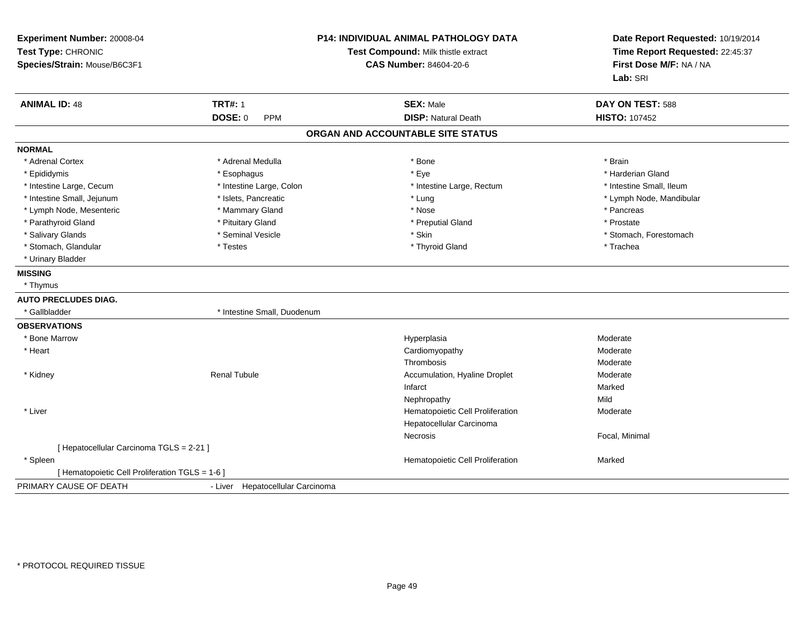| Experiment Number: 20008-04<br>Test Type: CHRONIC<br>Species/Strain: Mouse/B6C3F1 |                                  | P14: INDIVIDUAL ANIMAL PATHOLOGY DATA<br>Test Compound: Milk thistle extract<br><b>CAS Number: 84604-20-6</b> | Date Report Requested: 10/19/2014<br>Time Report Requested: 22:45:37<br>First Dose M/F: NA / NA<br>Lab: SRI |  |
|-----------------------------------------------------------------------------------|----------------------------------|---------------------------------------------------------------------------------------------------------------|-------------------------------------------------------------------------------------------------------------|--|
| <b>ANIMAL ID: 48</b>                                                              | <b>TRT#: 1</b>                   | <b>SEX: Male</b>                                                                                              | DAY ON TEST: 588                                                                                            |  |
|                                                                                   | DOSE: 0<br><b>PPM</b>            | <b>DISP: Natural Death</b>                                                                                    | <b>HISTO: 107452</b>                                                                                        |  |
|                                                                                   |                                  | ORGAN AND ACCOUNTABLE SITE STATUS                                                                             |                                                                                                             |  |
| <b>NORMAL</b>                                                                     |                                  |                                                                                                               |                                                                                                             |  |
| * Adrenal Cortex                                                                  | * Adrenal Medulla                | * Bone                                                                                                        | * Brain                                                                                                     |  |
| * Epididymis                                                                      | * Esophagus                      | * Eye                                                                                                         | * Harderian Gland                                                                                           |  |
| * Intestine Large, Cecum                                                          | * Intestine Large, Colon         | * Intestine Large, Rectum                                                                                     | * Intestine Small, Ileum                                                                                    |  |
| * Intestine Small, Jejunum                                                        | * Islets, Pancreatic             | * Lung                                                                                                        | * Lymph Node, Mandibular                                                                                    |  |
| * Lymph Node, Mesenteric                                                          | * Mammary Gland                  | * Nose                                                                                                        | * Pancreas                                                                                                  |  |
| * Parathyroid Gland                                                               | * Pituitary Gland                | * Preputial Gland                                                                                             | * Prostate                                                                                                  |  |
| * Salivary Glands                                                                 | * Seminal Vesicle                | * Skin                                                                                                        | * Stomach, Forestomach                                                                                      |  |
| * Stomach, Glandular                                                              | * Testes                         | * Thyroid Gland                                                                                               | * Trachea                                                                                                   |  |
| * Urinary Bladder                                                                 |                                  |                                                                                                               |                                                                                                             |  |
| <b>MISSING</b>                                                                    |                                  |                                                                                                               |                                                                                                             |  |
| * Thymus                                                                          |                                  |                                                                                                               |                                                                                                             |  |
| <b>AUTO PRECLUDES DIAG.</b>                                                       |                                  |                                                                                                               |                                                                                                             |  |
| * Gallbladder                                                                     | * Intestine Small, Duodenum      |                                                                                                               |                                                                                                             |  |
| <b>OBSERVATIONS</b>                                                               |                                  |                                                                                                               |                                                                                                             |  |
| * Bone Marrow                                                                     |                                  | Hyperplasia                                                                                                   | Moderate                                                                                                    |  |
| * Heart                                                                           |                                  | Cardiomyopathy                                                                                                | Moderate                                                                                                    |  |
|                                                                                   |                                  | Thrombosis                                                                                                    | Moderate                                                                                                    |  |
| * Kidney                                                                          | <b>Renal Tubule</b>              | Accumulation, Hyaline Droplet                                                                                 | Moderate                                                                                                    |  |
|                                                                                   |                                  | Infarct                                                                                                       | Marked                                                                                                      |  |
|                                                                                   |                                  | Nephropathy                                                                                                   | Mild                                                                                                        |  |
| * Liver                                                                           |                                  | Hematopoietic Cell Proliferation                                                                              | Moderate                                                                                                    |  |
|                                                                                   |                                  | Hepatocellular Carcinoma                                                                                      |                                                                                                             |  |
|                                                                                   |                                  | Necrosis                                                                                                      | Focal, Minimal                                                                                              |  |
| [ Hepatocellular Carcinoma TGLS = 2-21 ]                                          |                                  |                                                                                                               |                                                                                                             |  |
| * Spleen                                                                          |                                  | Hematopoietic Cell Proliferation                                                                              | Marked                                                                                                      |  |
| [ Hematopoietic Cell Proliferation TGLS = 1-6 ]                                   |                                  |                                                                                                               |                                                                                                             |  |
| PRIMARY CAUSE OF DEATH                                                            | - Liver Hepatocellular Carcinoma |                                                                                                               |                                                                                                             |  |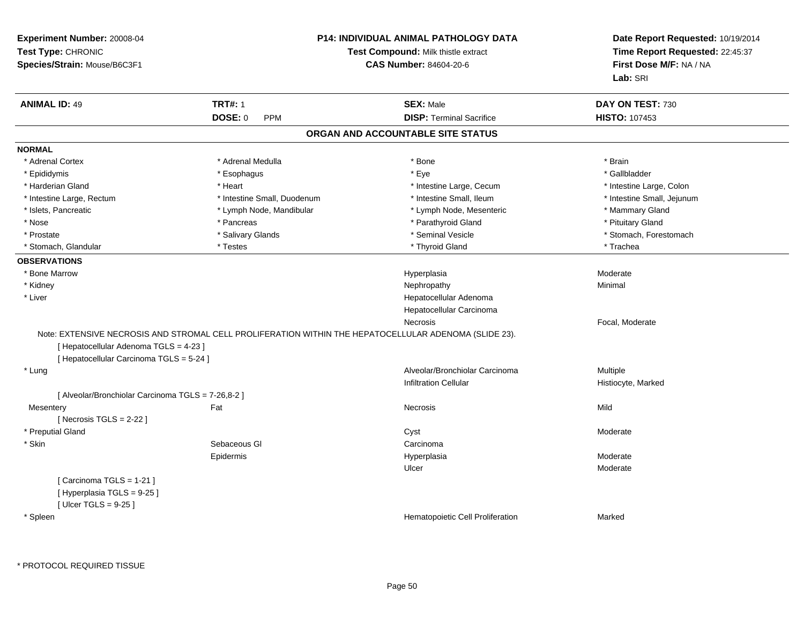| Experiment Number: 20008-04<br>Test Type: CHRONIC<br>Species/Strain: Mouse/B6C3F1  |                                                                                                       | <b>P14: INDIVIDUAL ANIMAL PATHOLOGY DATA</b><br>Test Compound: Milk thistle extract<br><b>CAS Number: 84604-20-6</b> | Date Report Requested: 10/19/2014<br>Time Report Requested: 22:45:37<br>First Dose M/F: NA / NA<br>Lab: SRI |
|------------------------------------------------------------------------------------|-------------------------------------------------------------------------------------------------------|----------------------------------------------------------------------------------------------------------------------|-------------------------------------------------------------------------------------------------------------|
| <b>ANIMAL ID: 49</b>                                                               | <b>TRT#: 1</b>                                                                                        | <b>SEX: Male</b>                                                                                                     | DAY ON TEST: 730                                                                                            |
|                                                                                    | DOSE: 0<br><b>PPM</b>                                                                                 | <b>DISP: Terminal Sacrifice</b>                                                                                      | HISTO: 107453                                                                                               |
|                                                                                    |                                                                                                       | ORGAN AND ACCOUNTABLE SITE STATUS                                                                                    |                                                                                                             |
| <b>NORMAL</b>                                                                      |                                                                                                       |                                                                                                                      |                                                                                                             |
| * Adrenal Cortex                                                                   | * Adrenal Medulla                                                                                     | * Bone                                                                                                               | * Brain                                                                                                     |
| * Epididymis                                                                       | * Esophagus                                                                                           | * Eye                                                                                                                | * Gallbladder                                                                                               |
| * Harderian Gland                                                                  | * Heart                                                                                               | * Intestine Large, Cecum                                                                                             | * Intestine Large, Colon                                                                                    |
| * Intestine Large, Rectum                                                          | * Intestine Small, Duodenum                                                                           | * Intestine Small, Ileum                                                                                             | * Intestine Small, Jejunum                                                                                  |
| * Islets, Pancreatic                                                               | * Lymph Node, Mandibular                                                                              | * Lymph Node, Mesenteric                                                                                             | * Mammary Gland                                                                                             |
| * Nose                                                                             | * Pancreas                                                                                            | * Parathyroid Gland                                                                                                  | * Pituitary Gland                                                                                           |
| * Prostate                                                                         | * Salivary Glands                                                                                     | * Seminal Vesicle                                                                                                    | * Stomach, Forestomach                                                                                      |
| * Stomach, Glandular                                                               | * Testes                                                                                              | * Thyroid Gland                                                                                                      | * Trachea                                                                                                   |
| <b>OBSERVATIONS</b>                                                                |                                                                                                       |                                                                                                                      |                                                                                                             |
| * Bone Marrow                                                                      |                                                                                                       | Hyperplasia                                                                                                          | Moderate                                                                                                    |
| * Kidney                                                                           |                                                                                                       | Nephropathy                                                                                                          | Minimal                                                                                                     |
| * Liver                                                                            |                                                                                                       | Hepatocellular Adenoma                                                                                               |                                                                                                             |
|                                                                                    |                                                                                                       | Hepatocellular Carcinoma                                                                                             |                                                                                                             |
|                                                                                    |                                                                                                       | Necrosis                                                                                                             | Focal, Moderate                                                                                             |
| [ Hepatocellular Adenoma TGLS = 4-23 ]<br>[ Hepatocellular Carcinoma TGLS = 5-24 ] | Note: EXTENSIVE NECROSIS AND STROMAL CELL PROLIFERATION WITHIN THE HEPATOCELLULAR ADENOMA (SLIDE 23). |                                                                                                                      |                                                                                                             |
| * Lung                                                                             |                                                                                                       | Alveolar/Bronchiolar Carcinoma                                                                                       | Multiple                                                                                                    |
|                                                                                    |                                                                                                       | <b>Infiltration Cellular</b>                                                                                         | Histiocyte, Marked                                                                                          |
| [ Alveolar/Bronchiolar Carcinoma TGLS = 7-26,8-2 ]                                 |                                                                                                       |                                                                                                                      |                                                                                                             |
| Mesentery                                                                          | Fat                                                                                                   | <b>Necrosis</b>                                                                                                      | Mild                                                                                                        |
| [Necrosis $TGLS = 2-22$ ]                                                          |                                                                                                       |                                                                                                                      |                                                                                                             |
| * Preputial Gland                                                                  |                                                                                                       | Cyst                                                                                                                 | Moderate                                                                                                    |
| * Skin                                                                             | Sebaceous GI                                                                                          | Carcinoma                                                                                                            |                                                                                                             |
|                                                                                    | Epidermis                                                                                             | Hyperplasia                                                                                                          | Moderate                                                                                                    |
|                                                                                    |                                                                                                       | Ulcer                                                                                                                | Moderate                                                                                                    |
| [Carcinoma TGLS = 1-21]<br>[Hyperplasia TGLS = 9-25]<br>[ $Ulcer TGLS = 9-25$ ]    |                                                                                                       |                                                                                                                      |                                                                                                             |
| * Spleen                                                                           |                                                                                                       | Hematopoietic Cell Proliferation                                                                                     | Marked                                                                                                      |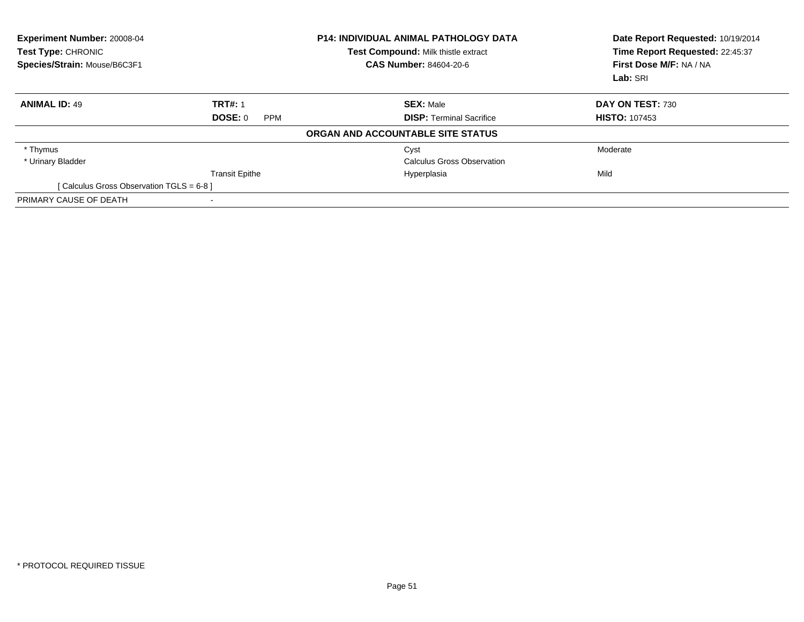| <b>Experiment Number: 20008-04</b><br>Test Type: CHRONIC<br>Species/Strain: Mouse/B6C3F1 |                              | <b>P14: INDIVIDUAL ANIMAL PATHOLOGY DATA</b><br>Test Compound: Milk thistle extract<br>CAS Number: 84604-20-6 | Date Report Requested: 10/19/2014<br>Time Report Requested: 22:45:37<br>First Dose M/F: NA / NA<br>Lab: SRI |
|------------------------------------------------------------------------------------------|------------------------------|---------------------------------------------------------------------------------------------------------------|-------------------------------------------------------------------------------------------------------------|
| <b>ANIMAL ID: 49</b>                                                                     | <b>TRT#: 1</b>               | <b>SEX: Male</b>                                                                                              | DAY ON TEST: 730                                                                                            |
|                                                                                          | <b>DOSE: 0</b><br><b>PPM</b> | <b>DISP:</b> Terminal Sacrifice                                                                               | <b>HISTO: 107453</b>                                                                                        |
|                                                                                          |                              | ORGAN AND ACCOUNTABLE SITE STATUS                                                                             |                                                                                                             |
| * Thymus                                                                                 |                              | Cyst                                                                                                          | Moderate                                                                                                    |
| * Urinary Bladder                                                                        |                              | Calculus Gross Observation                                                                                    |                                                                                                             |
|                                                                                          | <b>Transit Epithe</b>        | Hyperplasia                                                                                                   | Mild                                                                                                        |
| [Calculus Gross Observation TGLS = 6-8]                                                  |                              |                                                                                                               |                                                                                                             |
| PRIMARY CAUSE OF DEATH                                                                   |                              |                                                                                                               |                                                                                                             |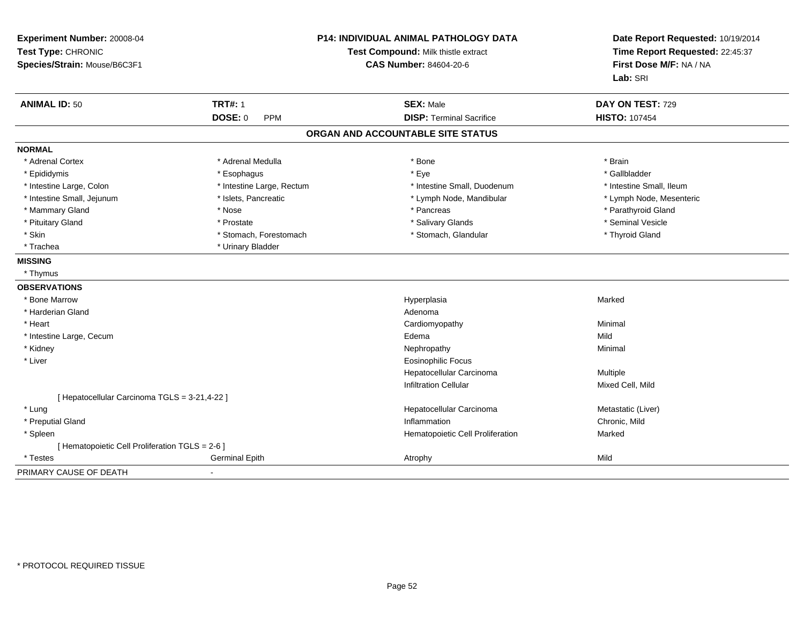| Experiment Number: 20008-04<br>Test Type: CHRONIC<br>Species/Strain: Mouse/B6C3F1 |                           | P14: INDIVIDUAL ANIMAL PATHOLOGY DATA<br>Test Compound: Milk thistle extract<br><b>CAS Number: 84604-20-6</b> | Date Report Requested: 10/19/2014<br>Time Report Requested: 22:45:37<br>First Dose M/F: NA / NA<br>Lab: SRI |  |
|-----------------------------------------------------------------------------------|---------------------------|---------------------------------------------------------------------------------------------------------------|-------------------------------------------------------------------------------------------------------------|--|
| <b>ANIMAL ID: 50</b>                                                              | <b>TRT#: 1</b>            | <b>SEX: Male</b>                                                                                              | DAY ON TEST: 729                                                                                            |  |
|                                                                                   | <b>DOSE: 0</b><br>PPM     | <b>DISP: Terminal Sacrifice</b>                                                                               | <b>HISTO: 107454</b>                                                                                        |  |
|                                                                                   |                           | ORGAN AND ACCOUNTABLE SITE STATUS                                                                             |                                                                                                             |  |
| <b>NORMAL</b>                                                                     |                           |                                                                                                               |                                                                                                             |  |
| * Adrenal Cortex                                                                  | * Adrenal Medulla         | * Bone                                                                                                        | * Brain                                                                                                     |  |
| * Epididymis                                                                      | * Esophagus               | * Eye                                                                                                         | * Gallbladder                                                                                               |  |
| * Intestine Large, Colon                                                          | * Intestine Large, Rectum | * Intestine Small, Duodenum                                                                                   | * Intestine Small, Ileum                                                                                    |  |
| * Intestine Small, Jejunum                                                        | * Islets, Pancreatic      | * Lymph Node, Mandibular                                                                                      | * Lymph Node, Mesenteric                                                                                    |  |
| * Mammary Gland                                                                   | * Nose                    | * Pancreas                                                                                                    | * Parathyroid Gland                                                                                         |  |
| * Pituitary Gland                                                                 | * Prostate                | * Salivary Glands                                                                                             | * Seminal Vesicle                                                                                           |  |
| * Skin                                                                            | * Stomach, Forestomach    | * Stomach, Glandular                                                                                          | * Thyroid Gland                                                                                             |  |
| * Trachea                                                                         | * Urinary Bladder         |                                                                                                               |                                                                                                             |  |
| <b>MISSING</b>                                                                    |                           |                                                                                                               |                                                                                                             |  |
| * Thymus                                                                          |                           |                                                                                                               |                                                                                                             |  |
| <b>OBSERVATIONS</b>                                                               |                           |                                                                                                               |                                                                                                             |  |
| * Bone Marrow                                                                     |                           | Hyperplasia                                                                                                   | Marked                                                                                                      |  |
| * Harderian Gland                                                                 |                           | Adenoma                                                                                                       |                                                                                                             |  |
| * Heart                                                                           |                           | Cardiomyopathy                                                                                                | Minimal                                                                                                     |  |
| * Intestine Large, Cecum                                                          |                           | Edema                                                                                                         | Mild                                                                                                        |  |
| * Kidney                                                                          |                           | Nephropathy                                                                                                   | Minimal                                                                                                     |  |
| * Liver                                                                           |                           | <b>Eosinophilic Focus</b>                                                                                     |                                                                                                             |  |
|                                                                                   |                           | Hepatocellular Carcinoma                                                                                      | Multiple                                                                                                    |  |
|                                                                                   |                           | <b>Infiltration Cellular</b>                                                                                  | Mixed Cell, Mild                                                                                            |  |
| [ Hepatocellular Carcinoma TGLS = 3-21,4-22 ]                                     |                           |                                                                                                               |                                                                                                             |  |
| * Lung                                                                            |                           | Hepatocellular Carcinoma                                                                                      | Metastatic (Liver)                                                                                          |  |
| * Preputial Gland                                                                 |                           | Inflammation                                                                                                  | Chronic, Mild                                                                                               |  |
| * Spleen                                                                          |                           | Hematopoietic Cell Proliferation                                                                              | Marked                                                                                                      |  |
| [ Hematopoietic Cell Proliferation TGLS = 2-6 ]                                   |                           |                                                                                                               |                                                                                                             |  |
| * Testes                                                                          | <b>Germinal Epith</b>     | Atrophy                                                                                                       | Mild                                                                                                        |  |
| PRIMARY CAUSE OF DEATH                                                            | $\overline{\phantom{0}}$  |                                                                                                               |                                                                                                             |  |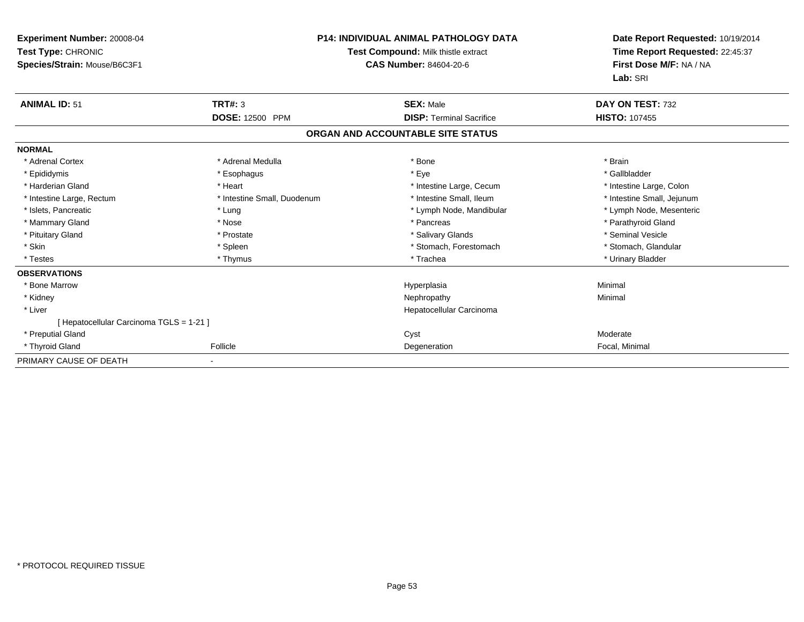| Experiment Number: 20008-04<br>Test Type: CHRONIC<br>Species/Strain: Mouse/B6C3F1 |                             | <b>P14: INDIVIDUAL ANIMAL PATHOLOGY DATA</b><br>Test Compound: Milk thistle extract<br>CAS Number: 84604-20-6 | Date Report Requested: 10/19/2014<br>Time Report Requested: 22:45:37<br>First Dose M/F: NA / NA<br>Lab: SRI |  |
|-----------------------------------------------------------------------------------|-----------------------------|---------------------------------------------------------------------------------------------------------------|-------------------------------------------------------------------------------------------------------------|--|
| <b>ANIMAL ID: 51</b>                                                              | <b>TRT#: 3</b>              | <b>SEX: Male</b>                                                                                              | DAY ON TEST: 732                                                                                            |  |
|                                                                                   | <b>DOSE: 12500 PPM</b>      | <b>DISP: Terminal Sacrifice</b>                                                                               | <b>HISTO: 107455</b>                                                                                        |  |
|                                                                                   |                             | ORGAN AND ACCOUNTABLE SITE STATUS                                                                             |                                                                                                             |  |
| <b>NORMAL</b>                                                                     |                             |                                                                                                               |                                                                                                             |  |
| * Adrenal Cortex                                                                  | * Adrenal Medulla           | * Bone                                                                                                        | * Brain                                                                                                     |  |
| * Epididymis                                                                      | * Esophagus                 | * Eye                                                                                                         | * Gallbladder                                                                                               |  |
| * Harderian Gland                                                                 | * Heart                     | * Intestine Large, Cecum                                                                                      | * Intestine Large, Colon                                                                                    |  |
| * Intestine Large, Rectum                                                         | * Intestine Small, Duodenum | * Intestine Small, Ileum                                                                                      | * Intestine Small, Jejunum                                                                                  |  |
| * Islets, Pancreatic                                                              | * Lung                      | * Lymph Node, Mandibular                                                                                      | * Lymph Node, Mesenteric                                                                                    |  |
| * Mammary Gland                                                                   | * Nose                      | * Pancreas                                                                                                    | * Parathyroid Gland                                                                                         |  |
| * Pituitary Gland                                                                 | * Prostate                  | * Salivary Glands                                                                                             | * Seminal Vesicle                                                                                           |  |
| * Skin                                                                            | * Spleen                    | * Stomach, Forestomach                                                                                        | * Stomach, Glandular                                                                                        |  |
| * Testes                                                                          | * Thymus                    | * Trachea                                                                                                     | * Urinary Bladder                                                                                           |  |
| <b>OBSERVATIONS</b>                                                               |                             |                                                                                                               |                                                                                                             |  |
| * Bone Marrow                                                                     |                             | Hyperplasia                                                                                                   | Minimal                                                                                                     |  |
| * Kidney                                                                          |                             | Nephropathy                                                                                                   | Minimal                                                                                                     |  |
| * Liver                                                                           |                             | Hepatocellular Carcinoma                                                                                      |                                                                                                             |  |
| [ Hepatocellular Carcinoma TGLS = 1-21 ]                                          |                             |                                                                                                               |                                                                                                             |  |
| * Preputial Gland                                                                 |                             | Cyst                                                                                                          | Moderate                                                                                                    |  |
| * Thyroid Gland                                                                   | Follicle                    | Degeneration                                                                                                  | Focal, Minimal                                                                                              |  |
| PRIMARY CAUSE OF DEATH                                                            |                             |                                                                                                               |                                                                                                             |  |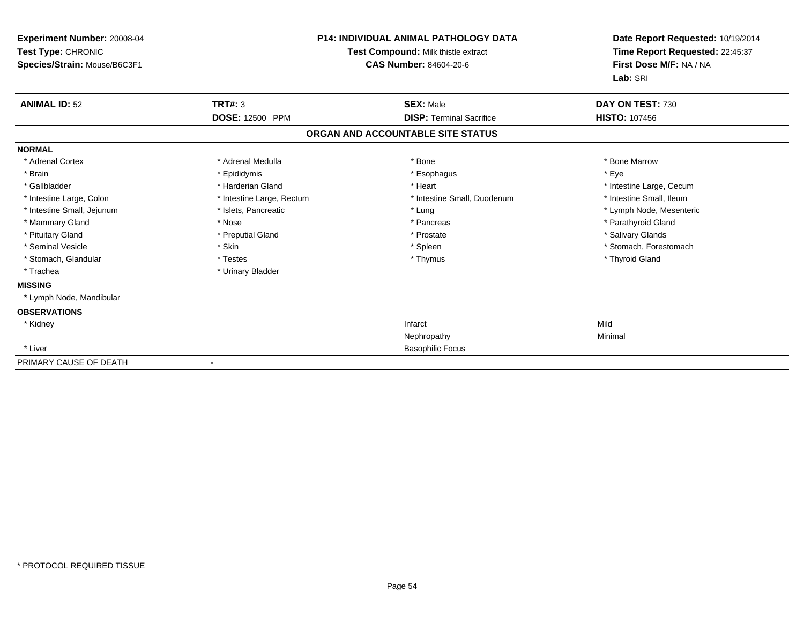| Experiment Number: 20008-04<br>Test Type: CHRONIC<br>Species/Strain: Mouse/B6C3F1 |                           | <b>P14: INDIVIDUAL ANIMAL PATHOLOGY DATA</b><br>Test Compound: Milk thistle extract<br>CAS Number: 84604-20-6 | Date Report Requested: 10/19/2014<br>Time Report Requested: 22:45:37<br>First Dose M/F: NA / NA<br>Lab: SRI |  |
|-----------------------------------------------------------------------------------|---------------------------|---------------------------------------------------------------------------------------------------------------|-------------------------------------------------------------------------------------------------------------|--|
| <b>ANIMAL ID: 52</b>                                                              | TRT#: 3                   | <b>SEX: Male</b>                                                                                              | DAY ON TEST: 730                                                                                            |  |
|                                                                                   | DOSE: 12500 PPM           | <b>DISP: Terminal Sacrifice</b>                                                                               | <b>HISTO: 107456</b>                                                                                        |  |
|                                                                                   |                           | ORGAN AND ACCOUNTABLE SITE STATUS                                                                             |                                                                                                             |  |
| <b>NORMAL</b>                                                                     |                           |                                                                                                               |                                                                                                             |  |
| * Adrenal Cortex                                                                  | * Adrenal Medulla         | * Bone                                                                                                        | * Bone Marrow                                                                                               |  |
| * Brain                                                                           | * Epididymis              | * Esophagus                                                                                                   | * Eye                                                                                                       |  |
| * Gallbladder                                                                     | * Harderian Gland         | * Heart                                                                                                       | * Intestine Large, Cecum                                                                                    |  |
| * Intestine Large, Colon                                                          | * Intestine Large, Rectum | * Intestine Small, Duodenum                                                                                   | * Intestine Small, Ileum                                                                                    |  |
| * Intestine Small, Jejunum                                                        | * Islets, Pancreatic      | * Lung                                                                                                        | * Lymph Node, Mesenteric                                                                                    |  |
| * Mammary Gland                                                                   | * Nose                    | * Pancreas                                                                                                    | * Parathyroid Gland                                                                                         |  |
| * Pituitary Gland                                                                 | * Preputial Gland         | * Prostate                                                                                                    | * Salivary Glands                                                                                           |  |
| * Seminal Vesicle                                                                 | * Skin                    | * Spleen                                                                                                      | * Stomach, Forestomach                                                                                      |  |
| * Stomach, Glandular                                                              | * Testes                  | * Thymus                                                                                                      | * Thyroid Gland                                                                                             |  |
| * Trachea                                                                         | * Urinary Bladder         |                                                                                                               |                                                                                                             |  |
| <b>MISSING</b>                                                                    |                           |                                                                                                               |                                                                                                             |  |
| * Lymph Node, Mandibular                                                          |                           |                                                                                                               |                                                                                                             |  |
| <b>OBSERVATIONS</b>                                                               |                           |                                                                                                               |                                                                                                             |  |
| * Kidney                                                                          |                           | Infarct                                                                                                       | Mild                                                                                                        |  |
|                                                                                   |                           | Nephropathy                                                                                                   | Minimal                                                                                                     |  |
| * Liver                                                                           |                           | <b>Basophilic Focus</b>                                                                                       |                                                                                                             |  |
| PRIMARY CAUSE OF DEATH                                                            |                           |                                                                                                               |                                                                                                             |  |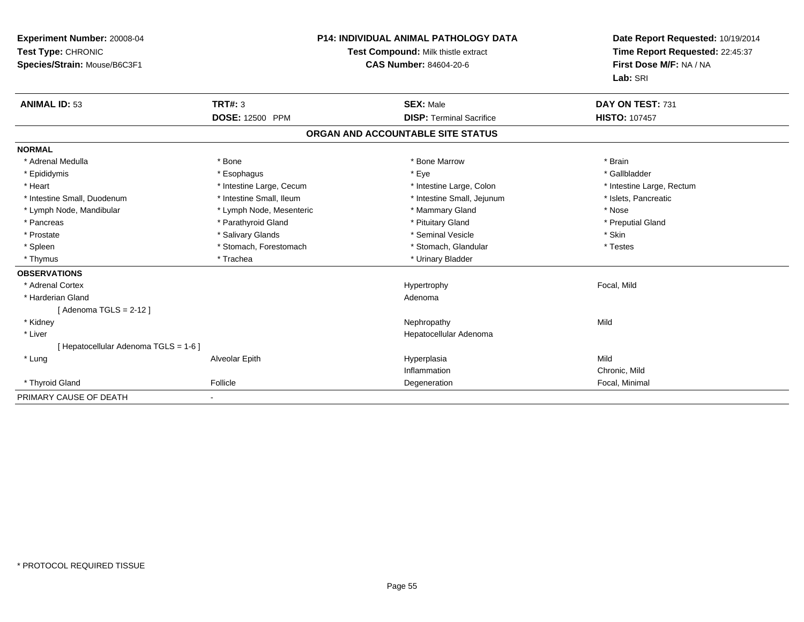| Experiment Number: 20008-04<br>Test Type: CHRONIC<br>Species/Strain: Mouse/B6C3F1 |                          | <b>P14: INDIVIDUAL ANIMAL PATHOLOGY DATA</b><br>Test Compound: Milk thistle extract<br><b>CAS Number: 84604-20-6</b> |                                   | Date Report Requested: 10/19/2014<br>Time Report Requested: 22:45:37<br>First Dose M/F: NA / NA<br>Lab: SRI |
|-----------------------------------------------------------------------------------|--------------------------|----------------------------------------------------------------------------------------------------------------------|-----------------------------------|-------------------------------------------------------------------------------------------------------------|
| <b>ANIMAL ID: 53</b>                                                              | <b>TRT#: 3</b>           |                                                                                                                      | <b>SEX: Male</b>                  | DAY ON TEST: 731                                                                                            |
|                                                                                   | <b>DOSE: 12500 PPM</b>   |                                                                                                                      | <b>DISP: Terminal Sacrifice</b>   | <b>HISTO: 107457</b>                                                                                        |
|                                                                                   |                          |                                                                                                                      | ORGAN AND ACCOUNTABLE SITE STATUS |                                                                                                             |
| <b>NORMAL</b>                                                                     |                          |                                                                                                                      |                                   |                                                                                                             |
| * Adrenal Medulla                                                                 | * Bone                   |                                                                                                                      | * Bone Marrow                     | * Brain                                                                                                     |
| * Epididymis                                                                      | * Esophagus              |                                                                                                                      | * Eye                             | * Gallbladder                                                                                               |
| * Heart                                                                           | * Intestine Large, Cecum |                                                                                                                      | * Intestine Large, Colon          | * Intestine Large, Rectum                                                                                   |
| * Intestine Small, Duodenum                                                       | * Intestine Small, Ileum |                                                                                                                      | * Intestine Small, Jejunum        | * Islets, Pancreatic                                                                                        |
| * Lymph Node, Mandibular                                                          | * Lymph Node, Mesenteric |                                                                                                                      | * Mammary Gland                   | * Nose                                                                                                      |
| * Pancreas                                                                        | * Parathyroid Gland      |                                                                                                                      | * Pituitary Gland                 | * Preputial Gland                                                                                           |
| * Prostate                                                                        | * Salivary Glands        |                                                                                                                      | * Seminal Vesicle                 | * Skin                                                                                                      |
| * Spleen                                                                          | * Stomach, Forestomach   |                                                                                                                      | * Stomach, Glandular              | * Testes                                                                                                    |
| * Thymus                                                                          | * Trachea                |                                                                                                                      | * Urinary Bladder                 |                                                                                                             |
| <b>OBSERVATIONS</b>                                                               |                          |                                                                                                                      |                                   |                                                                                                             |
| * Adrenal Cortex                                                                  |                          |                                                                                                                      | Hypertrophy                       | Focal, Mild                                                                                                 |
| * Harderian Gland                                                                 |                          |                                                                                                                      | Adenoma                           |                                                                                                             |
| [Adenoma TGLS = 2-12]                                                             |                          |                                                                                                                      |                                   |                                                                                                             |
| * Kidney                                                                          |                          |                                                                                                                      | Nephropathy                       | Mild                                                                                                        |
| * Liver                                                                           |                          |                                                                                                                      | Hepatocellular Adenoma            |                                                                                                             |
| [ Hepatocellular Adenoma TGLS = 1-6 ]                                             |                          |                                                                                                                      |                                   |                                                                                                             |
| * Lung                                                                            | Alveolar Epith           |                                                                                                                      | Hyperplasia                       | Mild                                                                                                        |
|                                                                                   |                          |                                                                                                                      | Inflammation                      | Chronic, Mild                                                                                               |
| * Thyroid Gland                                                                   | Follicle                 |                                                                                                                      | Degeneration                      | Focal, Minimal                                                                                              |
| PRIMARY CAUSE OF DEATH                                                            |                          |                                                                                                                      |                                   |                                                                                                             |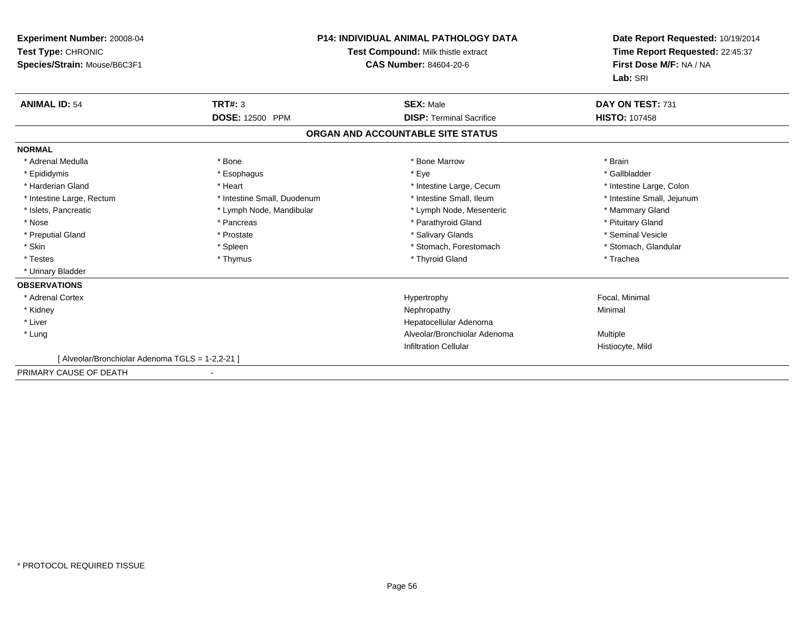| Experiment Number: 20008-04<br>Test Type: CHRONIC<br>Species/Strain: Mouse/B6C3F1 |                             | <b>P14: INDIVIDUAL ANIMAL PATHOLOGY DATA</b><br>Test Compound: Milk thistle extract<br><b>CAS Number: 84604-20-6</b> | Date Report Requested: 10/19/2014<br>Time Report Requested: 22:45:37<br>First Dose M/F: NA / NA<br>Lab: SRI |
|-----------------------------------------------------------------------------------|-----------------------------|----------------------------------------------------------------------------------------------------------------------|-------------------------------------------------------------------------------------------------------------|
| <b>ANIMAL ID: 54</b>                                                              | TRT#: 3                     | <b>SEX: Male</b>                                                                                                     | DAY ON TEST: 731                                                                                            |
|                                                                                   | <b>DOSE: 12500 PPM</b>      | <b>DISP: Terminal Sacrifice</b>                                                                                      | <b>HISTO: 107458</b>                                                                                        |
|                                                                                   |                             | ORGAN AND ACCOUNTABLE SITE STATUS                                                                                    |                                                                                                             |
| <b>NORMAL</b>                                                                     |                             |                                                                                                                      |                                                                                                             |
| * Adrenal Medulla                                                                 | * Bone                      | * Bone Marrow                                                                                                        | * Brain                                                                                                     |
| * Epididymis                                                                      | * Esophagus                 | * Eye                                                                                                                | * Gallbladder                                                                                               |
| * Harderian Gland                                                                 | * Heart                     | * Intestine Large, Cecum                                                                                             | * Intestine Large, Colon                                                                                    |
| * Intestine Large, Rectum                                                         | * Intestine Small, Duodenum | * Intestine Small. Ileum                                                                                             | * Intestine Small, Jejunum                                                                                  |
| * Islets, Pancreatic                                                              | * Lymph Node, Mandibular    | * Lymph Node, Mesenteric                                                                                             | * Mammary Gland                                                                                             |
| * Nose                                                                            | * Pancreas                  | * Parathyroid Gland                                                                                                  | * Pituitary Gland                                                                                           |
| * Preputial Gland                                                                 | * Prostate                  | * Salivary Glands                                                                                                    | * Seminal Vesicle                                                                                           |
| * Skin                                                                            | * Spleen                    | * Stomach, Forestomach                                                                                               | * Stomach, Glandular                                                                                        |
| * Testes                                                                          | * Thymus                    | * Thyroid Gland                                                                                                      | * Trachea                                                                                                   |
| * Urinary Bladder                                                                 |                             |                                                                                                                      |                                                                                                             |
| <b>OBSERVATIONS</b>                                                               |                             |                                                                                                                      |                                                                                                             |
| * Adrenal Cortex                                                                  |                             | Hypertrophy                                                                                                          | Focal, Minimal                                                                                              |
| * Kidney                                                                          |                             | Nephropathy                                                                                                          | Minimal                                                                                                     |
| * Liver                                                                           |                             | Hepatocellular Adenoma                                                                                               |                                                                                                             |
| * Lung                                                                            |                             | Alveolar/Bronchiolar Adenoma                                                                                         | <b>Multiple</b>                                                                                             |
|                                                                                   |                             | <b>Infiltration Cellular</b>                                                                                         | Histiocyte, Mild                                                                                            |
| [ Alveolar/Bronchiolar Adenoma TGLS = 1-2,2-21 ]                                  |                             |                                                                                                                      |                                                                                                             |
| PRIMARY CAUSE OF DEATH                                                            |                             |                                                                                                                      |                                                                                                             |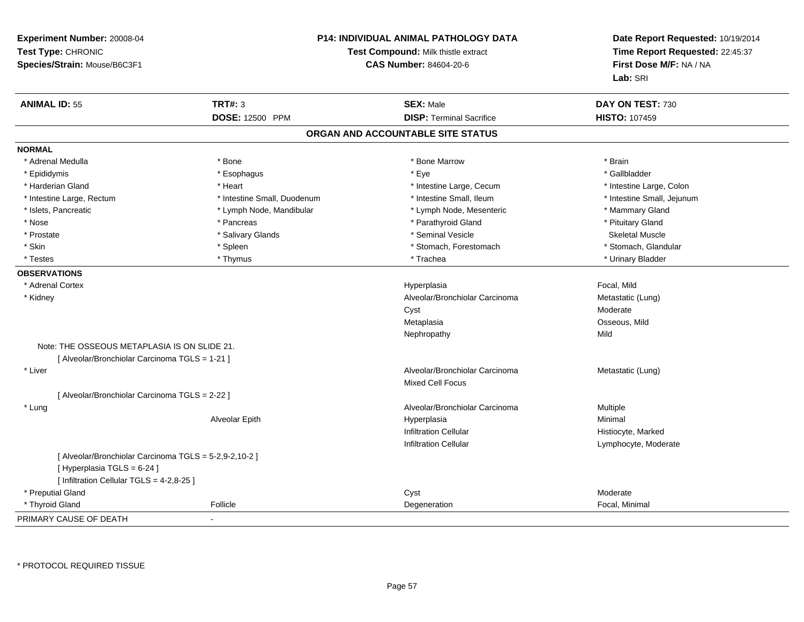| Experiment Number: 20008-04                            |                             | <b>P14: INDIVIDUAL ANIMAL PATHOLOGY DATA</b> | Date Report Requested: 10/19/2014 |  |
|--------------------------------------------------------|-----------------------------|----------------------------------------------|-----------------------------------|--|
| Test Type: CHRONIC                                     |                             | Test Compound: Milk thistle extract          | Time Report Requested: 22:45:37   |  |
| Species/Strain: Mouse/B6C3F1                           |                             | <b>CAS Number: 84604-20-6</b>                | First Dose M/F: NA / NA           |  |
|                                                        |                             |                                              | Lab: SRI                          |  |
| <b>ANIMAL ID: 55</b>                                   | <b>TRT#: 3</b>              | <b>SEX: Male</b>                             | DAY ON TEST: 730                  |  |
|                                                        | DOSE: 12500 PPM             | <b>DISP: Terminal Sacrifice</b>              | <b>HISTO: 107459</b>              |  |
|                                                        |                             | ORGAN AND ACCOUNTABLE SITE STATUS            |                                   |  |
| <b>NORMAL</b>                                          |                             |                                              |                                   |  |
| * Adrenal Medulla                                      | * Bone                      | * Bone Marrow                                | * Brain                           |  |
| * Epididymis                                           | * Esophagus                 | * Eye                                        | * Gallbladder                     |  |
| * Harderian Gland                                      | * Heart                     | * Intestine Large, Cecum                     | * Intestine Large, Colon          |  |
| * Intestine Large, Rectum                              | * Intestine Small, Duodenum | * Intestine Small, Ileum                     | * Intestine Small, Jejunum        |  |
| * Islets, Pancreatic                                   | * Lymph Node, Mandibular    | * Lymph Node, Mesenteric                     | * Mammary Gland                   |  |
| * Nose                                                 | * Pancreas                  | * Parathyroid Gland                          | * Pituitary Gland                 |  |
| * Prostate                                             | * Salivary Glands           | * Seminal Vesicle                            | <b>Skeletal Muscle</b>            |  |
| * Skin                                                 | * Spleen                    | * Stomach, Forestomach                       | * Stomach, Glandular              |  |
| * Testes                                               | * Thymus                    | * Trachea                                    | * Urinary Bladder                 |  |
| <b>OBSERVATIONS</b>                                    |                             |                                              |                                   |  |
| * Adrenal Cortex                                       |                             | Hyperplasia                                  | Focal, Mild                       |  |
| * Kidney                                               |                             | Alveolar/Bronchiolar Carcinoma               | Metastatic (Lung)                 |  |
|                                                        |                             | Cyst                                         | Moderate                          |  |
|                                                        |                             | Metaplasia                                   | Osseous, Mild                     |  |
|                                                        |                             | Nephropathy                                  | Mild                              |  |
| Note: THE OSSEOUS METAPLASIA IS ON SLIDE 21.           |                             |                                              |                                   |  |
| [ Alveolar/Bronchiolar Carcinoma TGLS = 1-21 ]         |                             |                                              |                                   |  |
| * Liver                                                |                             | Alveolar/Bronchiolar Carcinoma               | Metastatic (Lung)                 |  |
|                                                        |                             | Mixed Cell Focus                             |                                   |  |
| [ Alveolar/Bronchiolar Carcinoma TGLS = 2-22 ]         |                             |                                              |                                   |  |
| * Lung                                                 |                             | Alveolar/Bronchiolar Carcinoma               | Multiple                          |  |
|                                                        | Alveolar Epith              | Hyperplasia                                  | Minimal                           |  |
|                                                        |                             | <b>Infiltration Cellular</b>                 | Histiocyte, Marked                |  |
|                                                        |                             | Infiltration Cellular                        | Lymphocyte, Moderate              |  |
| [ Alveolar/Bronchiolar Carcinoma TGLS = 5-2,9-2,10-2 ] |                             |                                              |                                   |  |
| [Hyperplasia TGLS = 6-24]                              |                             |                                              |                                   |  |
| [ Infiltration Cellular TGLS = 4-2,8-25 ]              |                             |                                              |                                   |  |
| * Preputial Gland                                      |                             | Cyst                                         | Moderate                          |  |
| * Thyroid Gland                                        | Follicle                    | Degeneration                                 | Focal, Minimal                    |  |
| PRIMARY CAUSE OF DEATH                                 | ÷,                          |                                              |                                   |  |

\* PROTOCOL REQUIRED TISSUE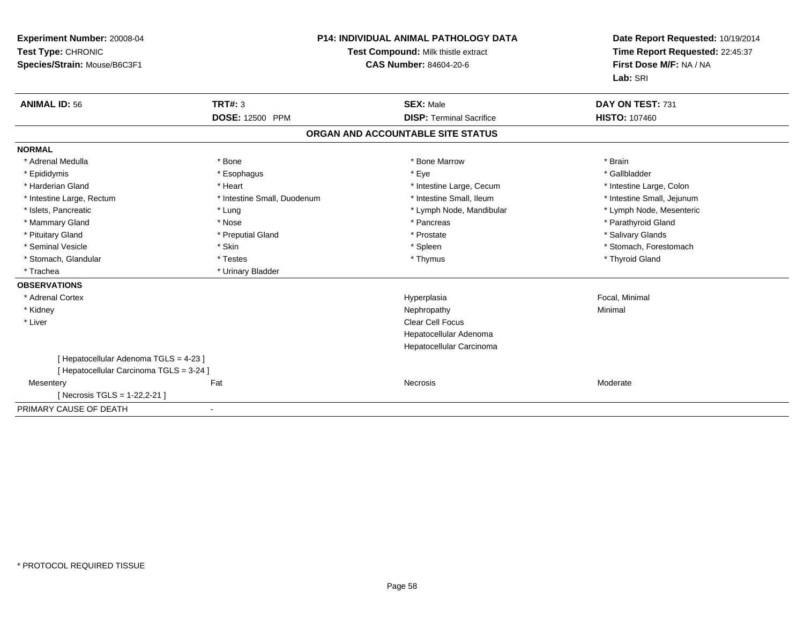| Experiment Number: 20008-04<br>Test Type: CHRONIC<br>Species/Strain: Mouse/B6C3F1 |                             | <b>P14: INDIVIDUAL ANIMAL PATHOLOGY DATA</b><br>Test Compound: Milk thistle extract<br><b>CAS Number: 84604-20-6</b> | Date Report Requested: 10/19/2014<br>Time Report Requested: 22:45:37<br>First Dose M/F: NA / NA<br>Lab: SRI |
|-----------------------------------------------------------------------------------|-----------------------------|----------------------------------------------------------------------------------------------------------------------|-------------------------------------------------------------------------------------------------------------|
| <b>ANIMAL ID: 56</b>                                                              | <b>TRT#: 3</b>              | <b>SEX: Male</b>                                                                                                     | DAY ON TEST: 731                                                                                            |
|                                                                                   | DOSE: 12500 PPM             | <b>DISP: Terminal Sacrifice</b>                                                                                      | <b>HISTO: 107460</b>                                                                                        |
|                                                                                   |                             | ORGAN AND ACCOUNTABLE SITE STATUS                                                                                    |                                                                                                             |
| <b>NORMAL</b>                                                                     |                             |                                                                                                                      |                                                                                                             |
| * Adrenal Medulla                                                                 | * Bone                      | * Bone Marrow                                                                                                        | * Brain                                                                                                     |
| * Epididymis                                                                      | * Esophagus                 | * Eye                                                                                                                | * Gallbladder                                                                                               |
| * Harderian Gland                                                                 | * Heart                     | * Intestine Large, Cecum                                                                                             | * Intestine Large, Colon                                                                                    |
| * Intestine Large, Rectum                                                         | * Intestine Small, Duodenum | * Intestine Small. Ileum                                                                                             | * Intestine Small, Jejunum                                                                                  |
| * Islets, Pancreatic                                                              | * Lung                      | * Lymph Node, Mandibular                                                                                             | * Lymph Node, Mesenteric                                                                                    |
| * Mammary Gland                                                                   | * Nose                      | * Pancreas                                                                                                           | * Parathyroid Gland                                                                                         |
| * Pituitary Gland                                                                 | * Preputial Gland           | * Prostate                                                                                                           | * Salivary Glands                                                                                           |
| * Seminal Vesicle                                                                 | * Skin                      | * Spleen                                                                                                             | * Stomach, Forestomach                                                                                      |
| * Stomach, Glandular                                                              | * Testes                    | * Thymus                                                                                                             | * Thyroid Gland                                                                                             |
| * Trachea                                                                         | * Urinary Bladder           |                                                                                                                      |                                                                                                             |
| <b>OBSERVATIONS</b>                                                               |                             |                                                                                                                      |                                                                                                             |
| * Adrenal Cortex                                                                  |                             | Hyperplasia                                                                                                          | Focal, Minimal                                                                                              |
| * Kidney                                                                          |                             | Nephropathy                                                                                                          | Minimal                                                                                                     |
| * Liver                                                                           |                             | <b>Clear Cell Focus</b>                                                                                              |                                                                                                             |
|                                                                                   |                             | Hepatocellular Adenoma                                                                                               |                                                                                                             |
|                                                                                   |                             | Hepatocellular Carcinoma                                                                                             |                                                                                                             |
| [ Hepatocellular Adenoma TGLS = 4-23 ]                                            |                             |                                                                                                                      |                                                                                                             |
| [ Hepatocellular Carcinoma TGLS = 3-24 ]                                          |                             |                                                                                                                      |                                                                                                             |
| Mesentery                                                                         | Fat                         | Necrosis                                                                                                             | Moderate                                                                                                    |
| [Necrosis TGLS = 1-22,2-21]                                                       |                             |                                                                                                                      |                                                                                                             |
| PRIMARY CAUSE OF DEATH                                                            |                             |                                                                                                                      |                                                                                                             |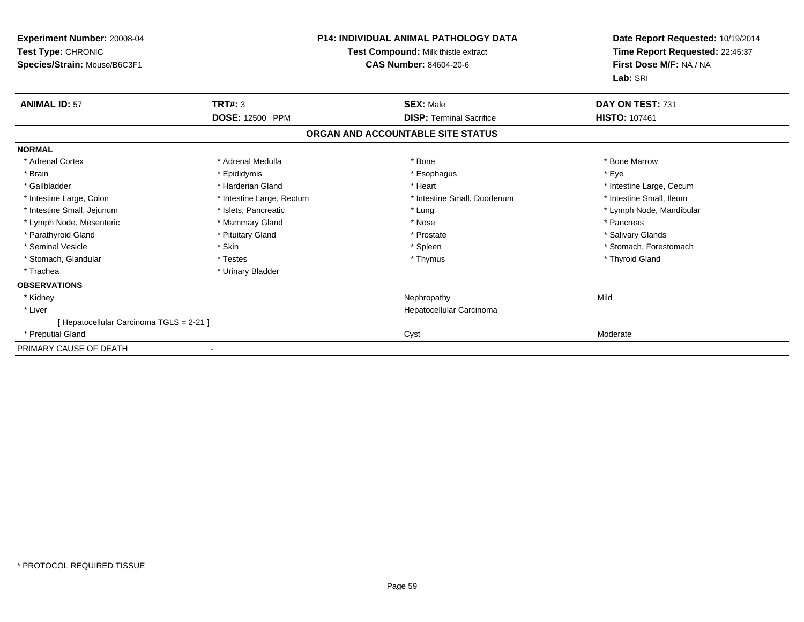| Experiment Number: 20008-04<br>Test Type: CHRONIC<br>Species/Strain: Mouse/B6C3F1 |                           | <b>P14: INDIVIDUAL ANIMAL PATHOLOGY DATA</b><br>Test Compound: Milk thistle extract<br>CAS Number: 84604-20-6 | Date Report Requested: 10/19/2014<br>Time Report Requested: 22:45:37<br>First Dose M/F: NA / NA<br>Lab: SRI |  |
|-----------------------------------------------------------------------------------|---------------------------|---------------------------------------------------------------------------------------------------------------|-------------------------------------------------------------------------------------------------------------|--|
| <b>ANIMAL ID: 57</b>                                                              | <b>TRT#: 3</b>            | <b>SEX: Male</b>                                                                                              | DAY ON TEST: 731                                                                                            |  |
|                                                                                   | <b>DOSE: 12500 PPM</b>    | <b>DISP: Terminal Sacrifice</b>                                                                               | <b>HISTO: 107461</b>                                                                                        |  |
|                                                                                   |                           | ORGAN AND ACCOUNTABLE SITE STATUS                                                                             |                                                                                                             |  |
| <b>NORMAL</b>                                                                     |                           |                                                                                                               |                                                                                                             |  |
| * Adrenal Cortex                                                                  | * Adrenal Medulla         | * Bone                                                                                                        | * Bone Marrow                                                                                               |  |
| * Brain                                                                           | * Epididymis              | * Esophagus                                                                                                   | * Eve                                                                                                       |  |
| * Gallbladder                                                                     | * Harderian Gland         | * Heart                                                                                                       | * Intestine Large, Cecum                                                                                    |  |
| * Intestine Large, Colon                                                          | * Intestine Large, Rectum | * Intestine Small, Duodenum                                                                                   | * Intestine Small, Ileum                                                                                    |  |
| * Intestine Small, Jejunum                                                        | * Islets, Pancreatic      | * Lung                                                                                                        | * Lymph Node, Mandibular                                                                                    |  |
| * Lymph Node, Mesenteric                                                          | * Mammary Gland           | * Nose                                                                                                        | * Pancreas                                                                                                  |  |
| * Parathyroid Gland                                                               | * Pituitary Gland         | * Prostate                                                                                                    | * Salivary Glands                                                                                           |  |
| * Seminal Vesicle                                                                 | * Skin                    | * Spleen                                                                                                      | * Stomach, Forestomach                                                                                      |  |
| * Stomach, Glandular                                                              | * Testes                  | * Thymus                                                                                                      | * Thyroid Gland                                                                                             |  |
| * Trachea                                                                         | * Urinary Bladder         |                                                                                                               |                                                                                                             |  |
| <b>OBSERVATIONS</b>                                                               |                           |                                                                                                               |                                                                                                             |  |
| * Kidney                                                                          |                           | Nephropathy                                                                                                   | Mild                                                                                                        |  |
| * Liver                                                                           |                           | Hepatocellular Carcinoma                                                                                      |                                                                                                             |  |
| [ Hepatocellular Carcinoma TGLS = 2-21 ]                                          |                           |                                                                                                               |                                                                                                             |  |
| * Preputial Gland                                                                 |                           | Cyst                                                                                                          | Moderate                                                                                                    |  |
| PRIMARY CAUSE OF DEATH                                                            |                           |                                                                                                               |                                                                                                             |  |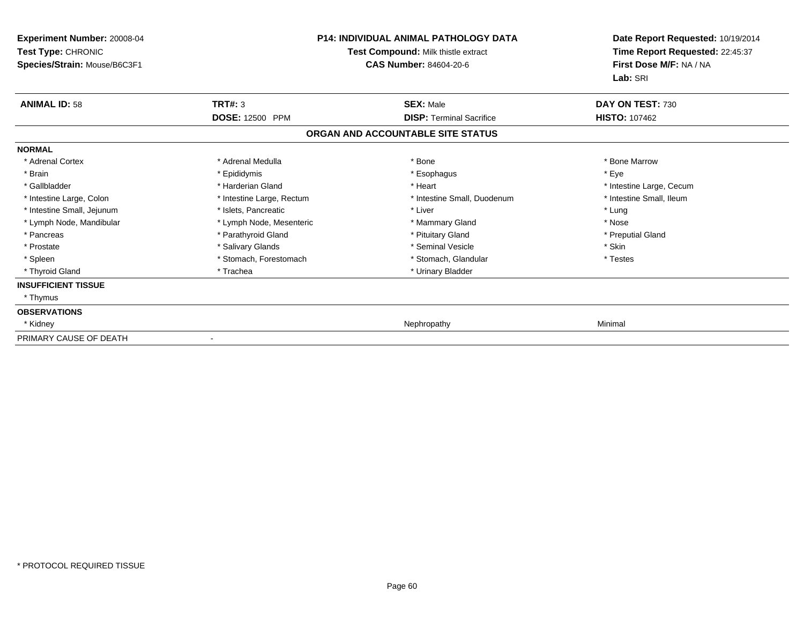| <b>Experiment Number: 20008-04</b><br>Test Type: CHRONIC<br>Species/Strain: Mouse/B6C3F1 | <b>P14: INDIVIDUAL ANIMAL PATHOLOGY DATA</b><br>Test Compound: Milk thistle extract<br><b>CAS Number: 84604-20-6</b> |                                   | Date Report Requested: 10/19/2014<br>Time Report Requested: 22:45:37<br>First Dose M/F: NA / NA<br>Lab: SRI |
|------------------------------------------------------------------------------------------|----------------------------------------------------------------------------------------------------------------------|-----------------------------------|-------------------------------------------------------------------------------------------------------------|
| <b>ANIMAL ID: 58</b>                                                                     | <b>TRT#: 3</b>                                                                                                       | <b>SEX: Male</b>                  | DAY ON TEST: 730                                                                                            |
|                                                                                          | <b>DOSE: 12500 PPM</b>                                                                                               | <b>DISP: Terminal Sacrifice</b>   | <b>HISTO: 107462</b>                                                                                        |
|                                                                                          |                                                                                                                      | ORGAN AND ACCOUNTABLE SITE STATUS |                                                                                                             |
| <b>NORMAL</b>                                                                            |                                                                                                                      |                                   |                                                                                                             |
| * Adrenal Cortex                                                                         | * Adrenal Medulla                                                                                                    | * Bone                            | * Bone Marrow                                                                                               |
| * Brain                                                                                  | * Epididymis                                                                                                         | * Esophagus                       | * Eye                                                                                                       |
| * Gallbladder                                                                            | * Harderian Gland                                                                                                    | * Heart                           | * Intestine Large, Cecum                                                                                    |
| * Intestine Large, Colon                                                                 | * Intestine Large, Rectum                                                                                            | * Intestine Small, Duodenum       | * Intestine Small, Ileum                                                                                    |
| * Intestine Small, Jejunum                                                               | * Islets, Pancreatic                                                                                                 | * Liver                           | * Lung                                                                                                      |
| * Lymph Node, Mandibular                                                                 | * Lymph Node, Mesenteric                                                                                             | * Mammary Gland                   | * Nose                                                                                                      |
| * Pancreas                                                                               | * Parathyroid Gland                                                                                                  | * Pituitary Gland                 | * Preputial Gland                                                                                           |
| * Prostate                                                                               | * Salivary Glands                                                                                                    | * Seminal Vesicle                 | * Skin                                                                                                      |
| * Spleen                                                                                 | * Stomach, Forestomach                                                                                               | * Stomach, Glandular              | * Testes                                                                                                    |
| * Thyroid Gland                                                                          | * Trachea                                                                                                            | * Urinary Bladder                 |                                                                                                             |
| <b>INSUFFICIENT TISSUE</b>                                                               |                                                                                                                      |                                   |                                                                                                             |
| * Thymus                                                                                 |                                                                                                                      |                                   |                                                                                                             |
| <b>OBSERVATIONS</b>                                                                      |                                                                                                                      |                                   |                                                                                                             |
| * Kidney                                                                                 |                                                                                                                      | Nephropathy                       | Minimal                                                                                                     |
| PRIMARY CAUSE OF DEATH                                                                   |                                                                                                                      |                                   |                                                                                                             |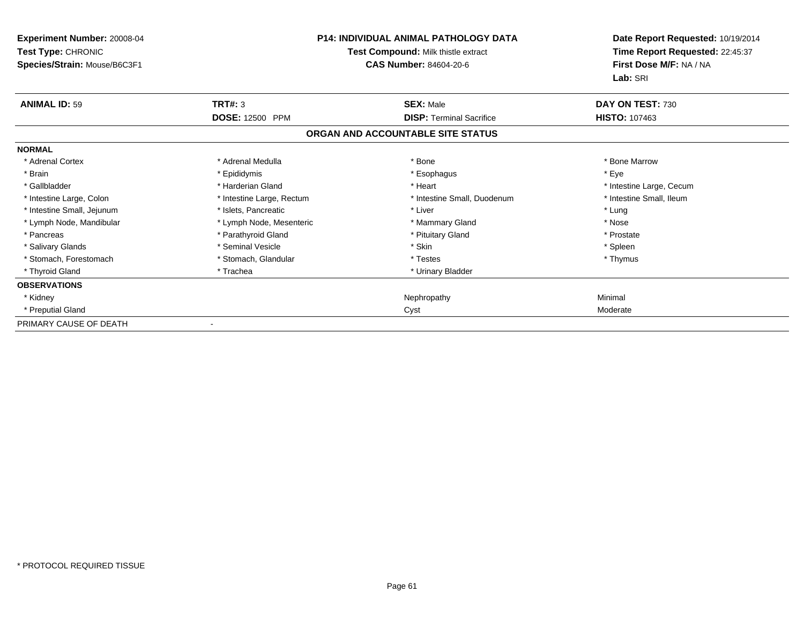| <b>Experiment Number: 20008-04</b><br>Test Type: CHRONIC<br>Species/Strain: Mouse/B6C3F1 | <b>P14: INDIVIDUAL ANIMAL PATHOLOGY DATA</b><br>Test Compound: Milk thistle extract<br><b>CAS Number: 84604-20-6</b> |                                   | Date Report Requested: 10/19/2014<br>Time Report Requested: 22:45:37<br>First Dose M/F: NA / NA<br>Lab: SRI |
|------------------------------------------------------------------------------------------|----------------------------------------------------------------------------------------------------------------------|-----------------------------------|-------------------------------------------------------------------------------------------------------------|
| <b>ANIMAL ID: 59</b>                                                                     | <b>TRT#: 3</b>                                                                                                       | <b>SEX: Male</b>                  | DAY ON TEST: 730                                                                                            |
|                                                                                          | DOSE: 12500 PPM                                                                                                      | <b>DISP: Terminal Sacrifice</b>   | <b>HISTO: 107463</b>                                                                                        |
|                                                                                          |                                                                                                                      | ORGAN AND ACCOUNTABLE SITE STATUS |                                                                                                             |
| <b>NORMAL</b>                                                                            |                                                                                                                      |                                   |                                                                                                             |
| * Adrenal Cortex                                                                         | * Adrenal Medulla                                                                                                    | * Bone                            | * Bone Marrow                                                                                               |
| * Brain                                                                                  | * Epididymis                                                                                                         | * Esophagus                       | * Eye                                                                                                       |
| * Gallbladder                                                                            | * Harderian Gland                                                                                                    | * Heart                           | * Intestine Large, Cecum                                                                                    |
| * Intestine Large, Colon                                                                 | * Intestine Large, Rectum                                                                                            | * Intestine Small, Duodenum       | * Intestine Small. Ileum                                                                                    |
| * Intestine Small, Jejunum                                                               | * Islets, Pancreatic                                                                                                 | * Liver                           | * Lung                                                                                                      |
| * Lymph Node, Mandibular                                                                 | * Lymph Node, Mesenteric                                                                                             | * Mammary Gland                   | * Nose                                                                                                      |
| * Pancreas                                                                               | * Parathyroid Gland                                                                                                  | * Pituitary Gland                 | * Prostate                                                                                                  |
| * Salivary Glands                                                                        | * Seminal Vesicle                                                                                                    | * Skin                            | * Spleen                                                                                                    |
| * Stomach, Forestomach                                                                   | * Stomach, Glandular                                                                                                 | * Testes                          | * Thymus                                                                                                    |
| * Thyroid Gland                                                                          | * Trachea                                                                                                            | * Urinary Bladder                 |                                                                                                             |
| <b>OBSERVATIONS</b>                                                                      |                                                                                                                      |                                   |                                                                                                             |
| * Kidney                                                                                 |                                                                                                                      | Nephropathy                       | Minimal                                                                                                     |
| * Preputial Gland                                                                        |                                                                                                                      | Cyst                              | Moderate                                                                                                    |
| PRIMARY CAUSE OF DEATH                                                                   |                                                                                                                      |                                   |                                                                                                             |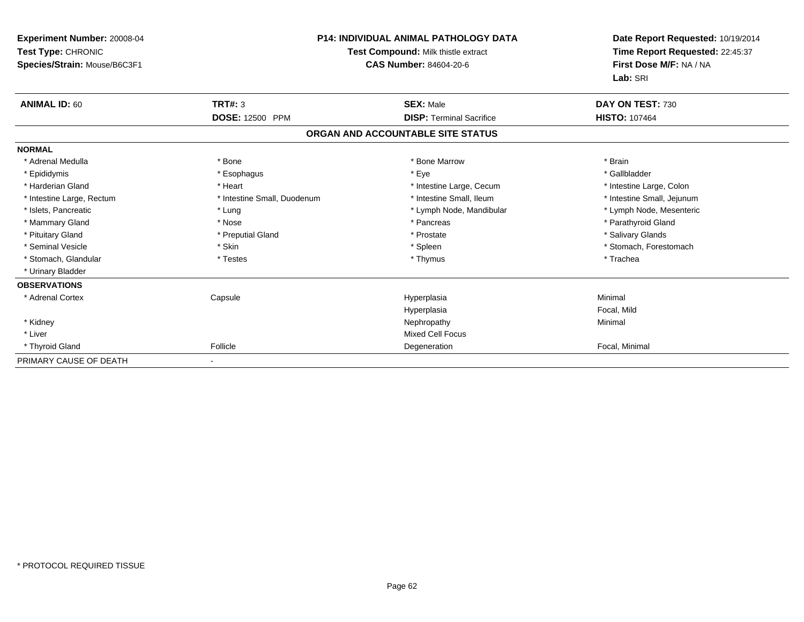| Experiment Number: 20008-04<br>Test Type: CHRONIC<br>Species/Strain: Mouse/B6C3F1 |                             | P14: INDIVIDUAL ANIMAL PATHOLOGY DATA<br><b>Test Compound: Milk thistle extract</b><br>CAS Number: 84604-20-6 | Date Report Requested: 10/19/2014<br>Time Report Requested: 22:45:37<br>First Dose M/F: NA / NA<br>Lab: SRI |
|-----------------------------------------------------------------------------------|-----------------------------|---------------------------------------------------------------------------------------------------------------|-------------------------------------------------------------------------------------------------------------|
| <b>ANIMAL ID: 60</b>                                                              | <b>TRT#: 3</b>              | <b>SEX: Male</b>                                                                                              | DAY ON TEST: 730                                                                                            |
|                                                                                   | <b>DOSE: 12500 PPM</b>      | <b>DISP: Terminal Sacrifice</b>                                                                               | <b>HISTO: 107464</b>                                                                                        |
|                                                                                   |                             | ORGAN AND ACCOUNTABLE SITE STATUS                                                                             |                                                                                                             |
| <b>NORMAL</b>                                                                     |                             |                                                                                                               |                                                                                                             |
| * Adrenal Medulla                                                                 | * Bone                      | * Bone Marrow                                                                                                 | * Brain                                                                                                     |
| * Epididymis                                                                      | * Esophagus                 | * Eye                                                                                                         | * Gallbladder                                                                                               |
| * Harderian Gland                                                                 | * Heart                     | * Intestine Large, Cecum                                                                                      | * Intestine Large, Colon                                                                                    |
| * Intestine Large, Rectum                                                         | * Intestine Small, Duodenum | * Intestine Small, Ileum                                                                                      | * Intestine Small, Jejunum                                                                                  |
| * Islets, Pancreatic                                                              | * Lung                      | * Lymph Node, Mandibular                                                                                      | * Lymph Node, Mesenteric                                                                                    |
| * Mammary Gland                                                                   | * Nose                      | * Pancreas                                                                                                    | * Parathyroid Gland                                                                                         |
| * Pituitary Gland                                                                 | * Preputial Gland           | * Prostate                                                                                                    | * Salivary Glands                                                                                           |
| * Seminal Vesicle                                                                 | * Skin                      | * Spleen                                                                                                      | * Stomach, Forestomach                                                                                      |
| * Stomach, Glandular                                                              | * Testes                    | * Thymus                                                                                                      | * Trachea                                                                                                   |
| * Urinary Bladder                                                                 |                             |                                                                                                               |                                                                                                             |
| <b>OBSERVATIONS</b>                                                               |                             |                                                                                                               |                                                                                                             |
| * Adrenal Cortex                                                                  | Capsule                     | Hyperplasia                                                                                                   | Minimal                                                                                                     |
|                                                                                   |                             | Hyperplasia                                                                                                   | Focal, Mild                                                                                                 |
| * Kidney                                                                          |                             | Nephropathy                                                                                                   | Minimal                                                                                                     |
| * Liver                                                                           |                             | <b>Mixed Cell Focus</b>                                                                                       |                                                                                                             |
| * Thyroid Gland                                                                   | Follicle                    | Degeneration                                                                                                  | Focal, Minimal                                                                                              |
| PRIMARY CAUSE OF DEATH                                                            |                             |                                                                                                               |                                                                                                             |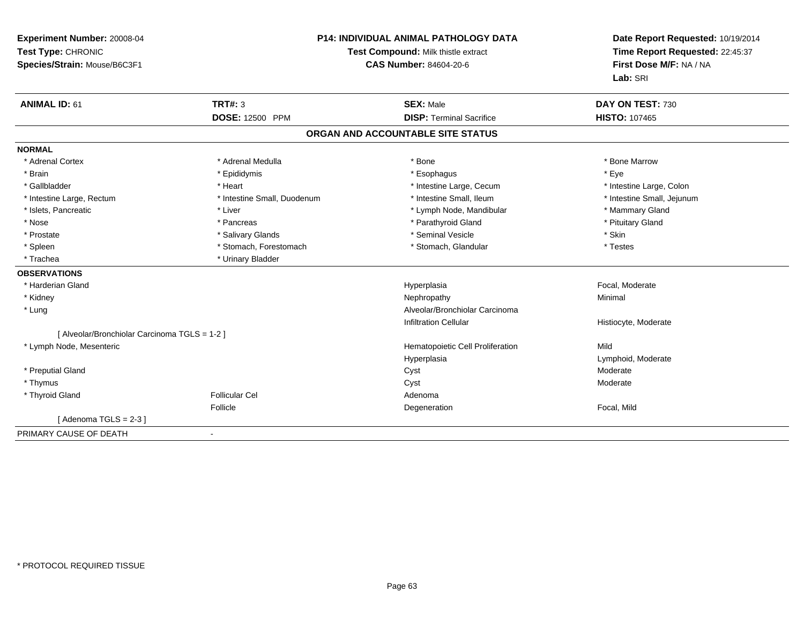| Experiment Number: 20008-04<br>Test Type: CHRONIC<br>Species/Strain: Mouse/B6C3F1 | P14: INDIVIDUAL ANIMAL PATHOLOGY DATA<br>Test Compound: Milk thistle extract<br><b>CAS Number: 84604-20-6</b> |                                   | Date Report Requested: 10/19/2014<br>Time Report Requested: 22:45:37<br>First Dose M/F: NA / NA<br>Lab: SRI |  |
|-----------------------------------------------------------------------------------|---------------------------------------------------------------------------------------------------------------|-----------------------------------|-------------------------------------------------------------------------------------------------------------|--|
| <b>ANIMAL ID: 61</b>                                                              | <b>TRT#: 3</b>                                                                                                | <b>SEX: Male</b>                  | DAY ON TEST: 730                                                                                            |  |
|                                                                                   | <b>DOSE: 12500 PPM</b>                                                                                        | <b>DISP: Terminal Sacrifice</b>   | <b>HISTO: 107465</b>                                                                                        |  |
|                                                                                   |                                                                                                               | ORGAN AND ACCOUNTABLE SITE STATUS |                                                                                                             |  |
| <b>NORMAL</b>                                                                     |                                                                                                               |                                   |                                                                                                             |  |
| * Adrenal Cortex                                                                  | * Adrenal Medulla                                                                                             | * Bone                            | * Bone Marrow                                                                                               |  |
| * Brain                                                                           | * Epididymis                                                                                                  | * Esophagus                       | * Eye                                                                                                       |  |
| * Gallbladder                                                                     | * Heart                                                                                                       | * Intestine Large, Cecum          | * Intestine Large, Colon                                                                                    |  |
| * Intestine Large, Rectum                                                         | * Intestine Small, Duodenum                                                                                   | * Intestine Small, Ileum          | * Intestine Small, Jejunum                                                                                  |  |
| * Islets, Pancreatic                                                              | * Liver                                                                                                       | * Lymph Node, Mandibular          | * Mammary Gland                                                                                             |  |
| * Nose                                                                            | * Pancreas                                                                                                    | * Parathyroid Gland               | * Pituitary Gland                                                                                           |  |
| * Prostate                                                                        | * Salivary Glands                                                                                             | * Seminal Vesicle                 | * Skin                                                                                                      |  |
| * Spleen                                                                          | * Stomach, Forestomach                                                                                        | * Stomach, Glandular              | * Testes                                                                                                    |  |
| * Trachea                                                                         | * Urinary Bladder                                                                                             |                                   |                                                                                                             |  |
| <b>OBSERVATIONS</b>                                                               |                                                                                                               |                                   |                                                                                                             |  |
| * Harderian Gland                                                                 |                                                                                                               | Hyperplasia                       | Focal, Moderate                                                                                             |  |
| * Kidney                                                                          |                                                                                                               | Nephropathy                       | Minimal                                                                                                     |  |
| * Lung                                                                            |                                                                                                               | Alveolar/Bronchiolar Carcinoma    |                                                                                                             |  |
|                                                                                   |                                                                                                               | <b>Infiltration Cellular</b>      | Histiocyte, Moderate                                                                                        |  |
| [ Alveolar/Bronchiolar Carcinoma TGLS = 1-2 ]                                     |                                                                                                               |                                   |                                                                                                             |  |
| * Lymph Node, Mesenteric                                                          |                                                                                                               | Hematopoietic Cell Proliferation  | Mild                                                                                                        |  |
|                                                                                   |                                                                                                               | Hyperplasia                       | Lymphoid, Moderate                                                                                          |  |
| * Preputial Gland                                                                 |                                                                                                               | Cyst                              | Moderate                                                                                                    |  |
| * Thymus                                                                          |                                                                                                               | Cyst                              | Moderate                                                                                                    |  |
| * Thyroid Gland                                                                   | <b>Follicular Cel</b>                                                                                         | Adenoma                           |                                                                                                             |  |
|                                                                                   | Follicle                                                                                                      | Degeneration                      | Focal, Mild                                                                                                 |  |
| [Adenoma TGLS = $2-3$ ]                                                           |                                                                                                               |                                   |                                                                                                             |  |
| PRIMARY CAUSE OF DEATH                                                            |                                                                                                               |                                   |                                                                                                             |  |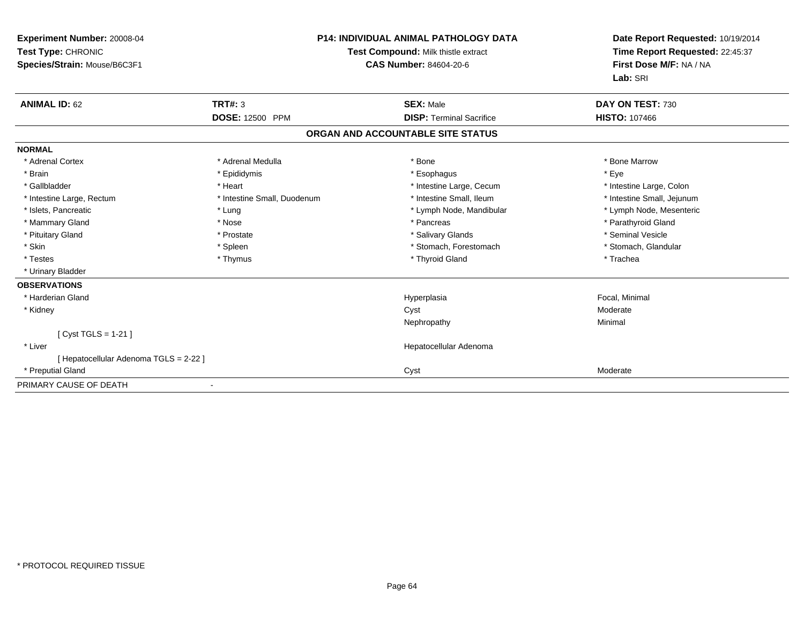| <b>P14: INDIVIDUAL ANIMAL PATHOLOGY DATA</b><br>Experiment Number: 20008-04<br>Test Type: CHRONIC<br>Test Compound: Milk thistle extract<br>Species/Strain: Mouse/B6C3F1<br>CAS Number: 84604-20-6 |                             | Date Report Requested: 10/19/2014<br>Time Report Requested: 22:45:37<br>First Dose M/F: NA / NA<br>Lab: SRI |                            |
|----------------------------------------------------------------------------------------------------------------------------------------------------------------------------------------------------|-----------------------------|-------------------------------------------------------------------------------------------------------------|----------------------------|
| <b>ANIMAL ID: 62</b>                                                                                                                                                                               | <b>TRT#: 3</b>              | <b>SEX: Male</b>                                                                                            | DAY ON TEST: 730           |
|                                                                                                                                                                                                    | <b>DOSE: 12500 PPM</b>      | <b>DISP: Terminal Sacrifice</b>                                                                             | <b>HISTO: 107466</b>       |
|                                                                                                                                                                                                    |                             | ORGAN AND ACCOUNTABLE SITE STATUS                                                                           |                            |
| <b>NORMAL</b>                                                                                                                                                                                      |                             |                                                                                                             |                            |
| * Adrenal Cortex                                                                                                                                                                                   | * Adrenal Medulla           | * Bone                                                                                                      | * Bone Marrow              |
| * Brain                                                                                                                                                                                            | * Epididymis                | * Esophagus                                                                                                 | * Eye                      |
| * Gallbladder                                                                                                                                                                                      | * Heart                     | * Intestine Large, Cecum                                                                                    | * Intestine Large, Colon   |
| * Intestine Large, Rectum                                                                                                                                                                          | * Intestine Small, Duodenum | * Intestine Small, Ileum                                                                                    | * Intestine Small, Jejunum |
| * Islets, Pancreatic                                                                                                                                                                               | * Lung                      | * Lymph Node, Mandibular                                                                                    | * Lymph Node, Mesenteric   |
| * Mammary Gland                                                                                                                                                                                    | * Nose                      | * Pancreas                                                                                                  | * Parathyroid Gland        |
| * Pituitary Gland                                                                                                                                                                                  | * Prostate                  | * Salivary Glands                                                                                           | * Seminal Vesicle          |
| * Skin                                                                                                                                                                                             | * Spleen                    | * Stomach, Forestomach                                                                                      | * Stomach, Glandular       |
| * Testes                                                                                                                                                                                           | * Thymus                    | * Thyroid Gland                                                                                             | * Trachea                  |
| * Urinary Bladder                                                                                                                                                                                  |                             |                                                                                                             |                            |
| <b>OBSERVATIONS</b>                                                                                                                                                                                |                             |                                                                                                             |                            |
| * Harderian Gland                                                                                                                                                                                  |                             | Hyperplasia                                                                                                 | Focal, Minimal             |
| * Kidney                                                                                                                                                                                           |                             | Cyst                                                                                                        | Moderate                   |
|                                                                                                                                                                                                    |                             | Nephropathy                                                                                                 | Minimal                    |
| [Cyst TGLS = 1-21]                                                                                                                                                                                 |                             |                                                                                                             |                            |
| * Liver                                                                                                                                                                                            |                             | Hepatocellular Adenoma                                                                                      |                            |
| [ Hepatocellular Adenoma TGLS = 2-22 ]                                                                                                                                                             |                             |                                                                                                             |                            |
| * Preputial Gland                                                                                                                                                                                  |                             | Cyst                                                                                                        | Moderate                   |
| PRIMARY CAUSE OF DEATH                                                                                                                                                                             |                             |                                                                                                             |                            |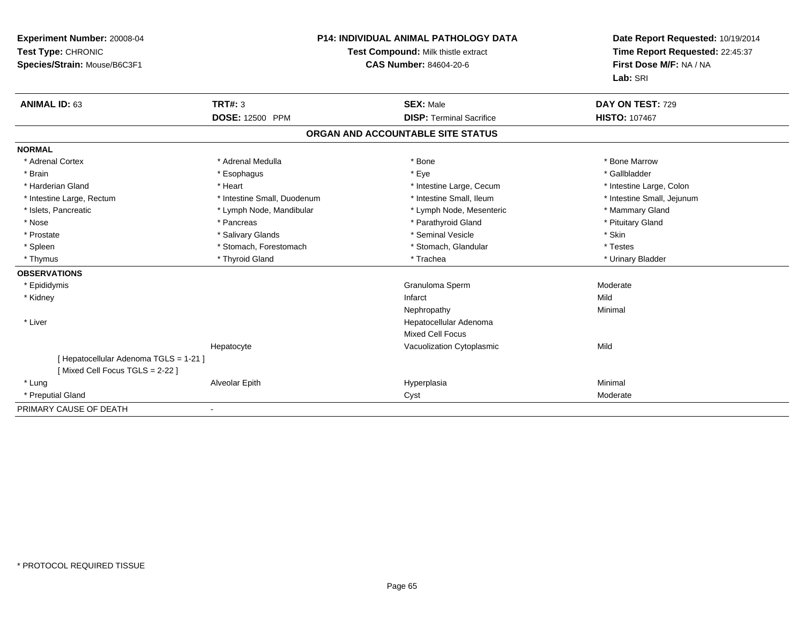| Experiment Number: 20008-04<br>Test Type: CHRONIC<br>Species/Strain: Mouse/B6C3F1 |                             | <b>P14: INDIVIDUAL ANIMAL PATHOLOGY DATA</b><br>Test Compound: Milk thistle extract<br><b>CAS Number: 84604-20-6</b> | Date Report Requested: 10/19/2014<br>Time Report Requested: 22:45:37<br>First Dose M/F: NA / NA |
|-----------------------------------------------------------------------------------|-----------------------------|----------------------------------------------------------------------------------------------------------------------|-------------------------------------------------------------------------------------------------|
|                                                                                   |                             |                                                                                                                      | Lab: SRI                                                                                        |
| <b>ANIMAL ID: 63</b>                                                              | <b>TRT#: 3</b>              | <b>SEX: Male</b>                                                                                                     | DAY ON TEST: 729                                                                                |
|                                                                                   | DOSE: 12500 PPM             | <b>DISP: Terminal Sacrifice</b>                                                                                      | <b>HISTO: 107467</b>                                                                            |
|                                                                                   |                             | ORGAN AND ACCOUNTABLE SITE STATUS                                                                                    |                                                                                                 |
| <b>NORMAL</b>                                                                     |                             |                                                                                                                      |                                                                                                 |
| * Adrenal Cortex                                                                  | * Adrenal Medulla           | * Bone                                                                                                               | * Bone Marrow                                                                                   |
| * Brain                                                                           | * Esophagus                 | * Eye                                                                                                                | * Gallbladder                                                                                   |
| * Harderian Gland                                                                 | * Heart                     | * Intestine Large, Cecum                                                                                             | * Intestine Large, Colon                                                                        |
| * Intestine Large, Rectum                                                         | * Intestine Small, Duodenum | * Intestine Small, Ileum                                                                                             | * Intestine Small, Jejunum                                                                      |
| * Islets, Pancreatic                                                              | * Lymph Node, Mandibular    | * Lymph Node, Mesenteric                                                                                             | * Mammary Gland                                                                                 |
| * Nose                                                                            | * Pancreas                  | * Parathyroid Gland                                                                                                  | * Pituitary Gland                                                                               |
| * Prostate                                                                        | * Salivary Glands           | * Seminal Vesicle                                                                                                    | * Skin                                                                                          |
| * Spleen                                                                          | * Stomach, Forestomach      | * Stomach, Glandular                                                                                                 | * Testes                                                                                        |
| * Thymus                                                                          | * Thyroid Gland             | * Trachea                                                                                                            | * Urinary Bladder                                                                               |
| <b>OBSERVATIONS</b>                                                               |                             |                                                                                                                      |                                                                                                 |
| * Epididymis                                                                      |                             | Granuloma Sperm                                                                                                      | Moderate                                                                                        |
| * Kidney                                                                          |                             | Infarct                                                                                                              | Mild                                                                                            |
|                                                                                   |                             | Nephropathy                                                                                                          | Minimal                                                                                         |
| * Liver                                                                           |                             | Hepatocellular Adenoma                                                                                               |                                                                                                 |
|                                                                                   |                             | <b>Mixed Cell Focus</b>                                                                                              |                                                                                                 |
|                                                                                   | Hepatocyte                  | Vacuolization Cytoplasmic                                                                                            | Mild                                                                                            |
| [ Hepatocellular Adenoma TGLS = 1-21 ]<br>[Mixed Cell Focus TGLS = 2-22]          |                             |                                                                                                                      |                                                                                                 |
| * Lung                                                                            | Alveolar Epith              | Hyperplasia                                                                                                          | Minimal                                                                                         |
| * Preputial Gland                                                                 |                             | Cyst                                                                                                                 | Moderate                                                                                        |
| PRIMARY CAUSE OF DEATH                                                            |                             |                                                                                                                      |                                                                                                 |

-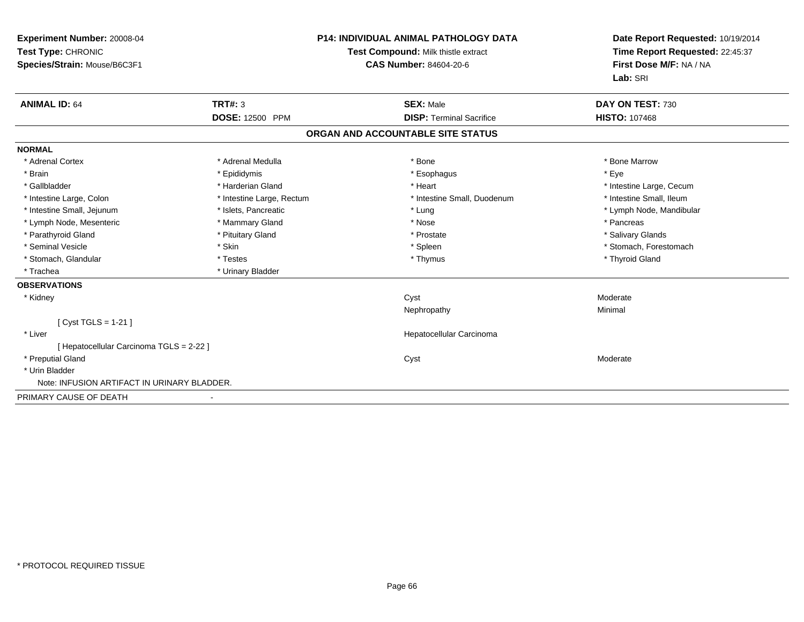| <b>Experiment Number: 20008-04</b><br>Test Type: CHRONIC<br>Species/Strain: Mouse/B6C3F1 | <b>P14: INDIVIDUAL ANIMAL PATHOLOGY DATA</b><br>Test Compound: Milk thistle extract<br><b>CAS Number: 84604-20-6</b> |                                   | Date Report Requested: 10/19/2014<br>Time Report Requested: 22:45:37<br>First Dose M/F: NA / NA<br>Lab: SRI |  |
|------------------------------------------------------------------------------------------|----------------------------------------------------------------------------------------------------------------------|-----------------------------------|-------------------------------------------------------------------------------------------------------------|--|
| <b>ANIMAL ID: 64</b>                                                                     | <b>TRT#: 3</b>                                                                                                       | <b>SEX: Male</b>                  | DAY ON TEST: 730                                                                                            |  |
|                                                                                          | <b>DOSE: 12500 PPM</b>                                                                                               | <b>DISP: Terminal Sacrifice</b>   | <b>HISTO: 107468</b>                                                                                        |  |
|                                                                                          |                                                                                                                      | ORGAN AND ACCOUNTABLE SITE STATUS |                                                                                                             |  |
| <b>NORMAL</b>                                                                            |                                                                                                                      |                                   |                                                                                                             |  |
| * Adrenal Cortex                                                                         | * Adrenal Medulla                                                                                                    | * Bone                            | * Bone Marrow                                                                                               |  |
| * Brain                                                                                  | * Epididymis                                                                                                         | * Esophagus                       | * Eye                                                                                                       |  |
| * Gallbladder                                                                            | * Harderian Gland                                                                                                    | * Heart                           | * Intestine Large, Cecum                                                                                    |  |
| * Intestine Large, Colon                                                                 | * Intestine Large, Rectum                                                                                            | * Intestine Small, Duodenum       | * Intestine Small, Ileum                                                                                    |  |
| * Intestine Small, Jejunum                                                               | * Islets, Pancreatic                                                                                                 | * Lung                            | * Lymph Node, Mandibular                                                                                    |  |
| * Lymph Node, Mesenteric                                                                 | * Mammary Gland                                                                                                      | * Nose                            | * Pancreas                                                                                                  |  |
| * Parathyroid Gland                                                                      | * Pituitary Gland                                                                                                    | * Prostate                        | * Salivary Glands                                                                                           |  |
| * Seminal Vesicle                                                                        | * Skin                                                                                                               | * Spleen                          | * Stomach, Forestomach                                                                                      |  |
| * Stomach, Glandular                                                                     | * Testes                                                                                                             | * Thymus                          | * Thyroid Gland                                                                                             |  |
| * Trachea                                                                                | * Urinary Bladder                                                                                                    |                                   |                                                                                                             |  |
| <b>OBSERVATIONS</b>                                                                      |                                                                                                                      |                                   |                                                                                                             |  |
| * Kidney                                                                                 |                                                                                                                      | Cyst                              | Moderate                                                                                                    |  |
|                                                                                          |                                                                                                                      | Nephropathy                       | Minimal                                                                                                     |  |
| [ Cyst TGLS = $1-21$ ]                                                                   |                                                                                                                      |                                   |                                                                                                             |  |
| * Liver                                                                                  |                                                                                                                      | Hepatocellular Carcinoma          |                                                                                                             |  |
| [ Hepatocellular Carcinoma TGLS = 2-22 ]                                                 |                                                                                                                      |                                   |                                                                                                             |  |
| * Preputial Gland                                                                        |                                                                                                                      | Cyst                              | Moderate                                                                                                    |  |
| * Urin Bladder                                                                           |                                                                                                                      |                                   |                                                                                                             |  |
| Note: INFUSION ARTIFACT IN URINARY BLADDER.                                              |                                                                                                                      |                                   |                                                                                                             |  |
| PRIMARY CAUSE OF DEATH                                                                   |                                                                                                                      |                                   |                                                                                                             |  |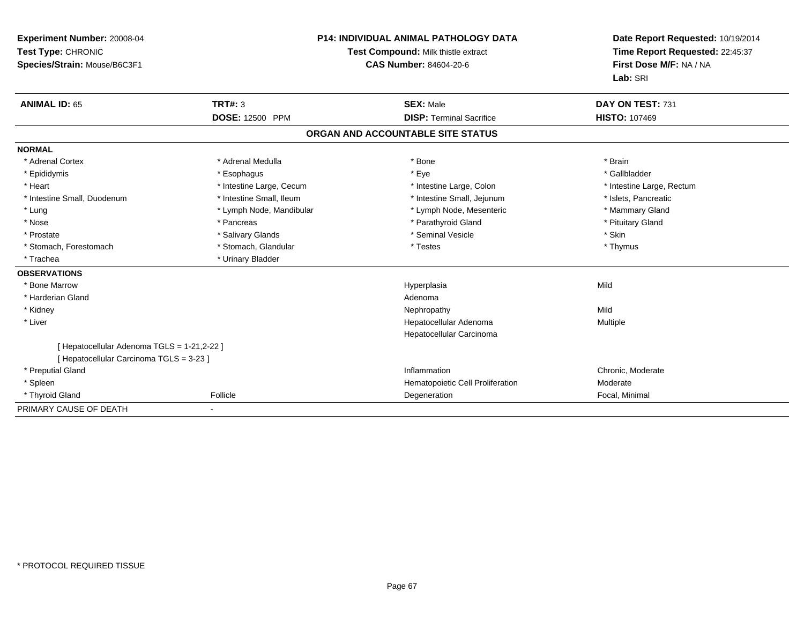| Experiment Number: 20008-04<br>Test Type: CHRONIC<br>Species/Strain: Mouse/B6C3F1<br><b>ANIMAL ID: 65</b> | <b>TRT#: 3</b>           | <b>P14: INDIVIDUAL ANIMAL PATHOLOGY DATA</b><br>Test Compound: Milk thistle extract<br><b>CAS Number: 84604-20-6</b><br><b>SEX: Male</b> | Date Report Requested: 10/19/2014<br>Time Report Requested: 22:45:37<br>First Dose M/F: NA / NA<br>Lab: SRI<br>DAY ON TEST: 731 |
|-----------------------------------------------------------------------------------------------------------|--------------------------|------------------------------------------------------------------------------------------------------------------------------------------|---------------------------------------------------------------------------------------------------------------------------------|
|                                                                                                           | DOSE: 12500 PPM          | <b>DISP: Terminal Sacrifice</b>                                                                                                          | <b>HISTO: 107469</b>                                                                                                            |
|                                                                                                           |                          | ORGAN AND ACCOUNTABLE SITE STATUS                                                                                                        |                                                                                                                                 |
| <b>NORMAL</b>                                                                                             |                          |                                                                                                                                          |                                                                                                                                 |
| * Adrenal Cortex                                                                                          | * Adrenal Medulla        | * Bone                                                                                                                                   | * Brain                                                                                                                         |
| * Epididymis                                                                                              | * Esophagus              | * Eye                                                                                                                                    | * Gallbladder                                                                                                                   |
| * Heart                                                                                                   | * Intestine Large, Cecum | * Intestine Large, Colon                                                                                                                 | * Intestine Large, Rectum                                                                                                       |
| * Intestine Small, Duodenum                                                                               | * Intestine Small, Ileum | * Intestine Small, Jejunum                                                                                                               | * Islets, Pancreatic                                                                                                            |
| * Lung                                                                                                    | * Lymph Node, Mandibular | * Lymph Node, Mesenteric                                                                                                                 | * Mammary Gland                                                                                                                 |
| * Nose                                                                                                    | * Pancreas               | * Parathyroid Gland                                                                                                                      | * Pituitary Gland                                                                                                               |
| * Prostate                                                                                                | * Salivary Glands        | * Seminal Vesicle                                                                                                                        | * Skin                                                                                                                          |
| * Stomach, Forestomach                                                                                    | * Stomach, Glandular     | * Testes                                                                                                                                 | * Thymus                                                                                                                        |
| * Trachea                                                                                                 | * Urinary Bladder        |                                                                                                                                          |                                                                                                                                 |
| <b>OBSERVATIONS</b>                                                                                       |                          |                                                                                                                                          |                                                                                                                                 |
| * Bone Marrow                                                                                             |                          | Hyperplasia                                                                                                                              | Mild                                                                                                                            |
| * Harderian Gland                                                                                         |                          | Adenoma                                                                                                                                  |                                                                                                                                 |
| * Kidney                                                                                                  |                          | Nephropathy                                                                                                                              | Mild                                                                                                                            |
| * Liver                                                                                                   |                          | Hepatocellular Adenoma                                                                                                                   | Multiple                                                                                                                        |
|                                                                                                           |                          | Hepatocellular Carcinoma                                                                                                                 |                                                                                                                                 |
| [ Hepatocellular Adenoma TGLS = 1-21,2-22 ]<br>[ Hepatocellular Carcinoma TGLS = 3-23 ]                   |                          |                                                                                                                                          |                                                                                                                                 |
| * Preputial Gland                                                                                         |                          | Inflammation                                                                                                                             | Chronic. Moderate                                                                                                               |
| * Spleen                                                                                                  |                          | Hematopoietic Cell Proliferation                                                                                                         | Moderate                                                                                                                        |
| * Thyroid Gland                                                                                           | Follicle                 | Degeneration                                                                                                                             | Focal, Minimal                                                                                                                  |
| PRIMARY CAUSE OF DEATH                                                                                    |                          |                                                                                                                                          |                                                                                                                                 |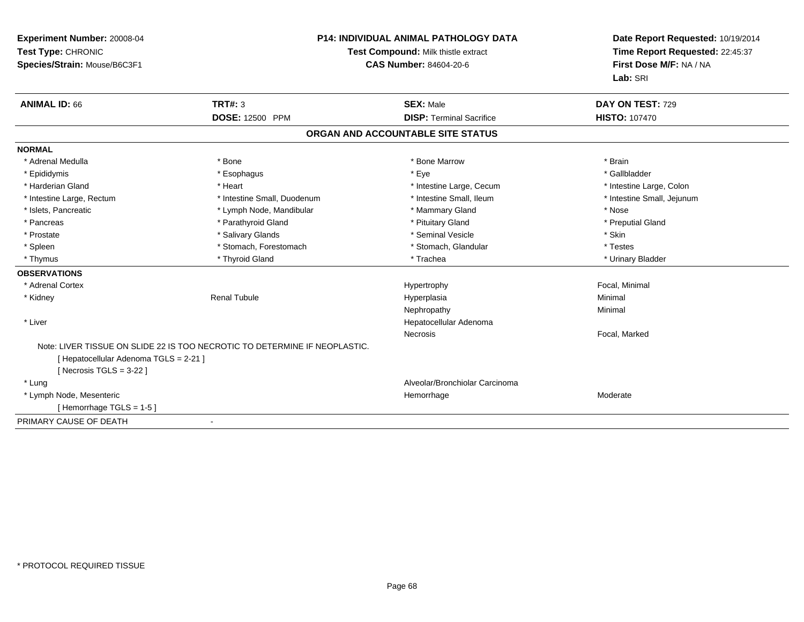| <b>Experiment Number: 20008-04</b><br>Test Type: CHRONIC<br>Species/Strain: Mouse/B6C3F1 |                                                                            | <b>P14: INDIVIDUAL ANIMAL PATHOLOGY DATA</b><br>Test Compound: Milk thistle extract<br><b>CAS Number: 84604-20-6</b> | Date Report Requested: 10/19/2014<br>Time Report Requested: 22:45:37<br>First Dose M/F: NA / NA<br>Lab: SRI |
|------------------------------------------------------------------------------------------|----------------------------------------------------------------------------|----------------------------------------------------------------------------------------------------------------------|-------------------------------------------------------------------------------------------------------------|
| <b>ANIMAL ID: 66</b>                                                                     | <b>TRT#: 3</b>                                                             | <b>SEX: Male</b>                                                                                                     | DAY ON TEST: 729                                                                                            |
|                                                                                          | <b>DOSE: 12500 PPM</b>                                                     | <b>DISP: Terminal Sacrifice</b>                                                                                      | <b>HISTO: 107470</b>                                                                                        |
|                                                                                          |                                                                            | ORGAN AND ACCOUNTABLE SITE STATUS                                                                                    |                                                                                                             |
| <b>NORMAL</b>                                                                            |                                                                            |                                                                                                                      |                                                                                                             |
| * Adrenal Medulla                                                                        | * Bone                                                                     | * Bone Marrow                                                                                                        | * Brain                                                                                                     |
| * Epididymis                                                                             | * Esophagus                                                                | * Eye                                                                                                                | * Gallbladder                                                                                               |
| * Harderian Gland                                                                        | * Heart                                                                    | * Intestine Large, Cecum                                                                                             | * Intestine Large, Colon                                                                                    |
| * Intestine Large, Rectum                                                                | * Intestine Small, Duodenum                                                | * Intestine Small, Ileum                                                                                             | * Intestine Small, Jejunum                                                                                  |
| * Islets, Pancreatic                                                                     | * Lymph Node, Mandibular                                                   | * Mammary Gland                                                                                                      | * Nose                                                                                                      |
| * Pancreas                                                                               | * Parathyroid Gland                                                        | * Pituitary Gland                                                                                                    | * Preputial Gland                                                                                           |
| * Prostate                                                                               | * Salivary Glands                                                          | * Seminal Vesicle                                                                                                    | * Skin                                                                                                      |
| * Spleen                                                                                 | * Stomach, Forestomach                                                     | * Stomach. Glandular                                                                                                 | * Testes                                                                                                    |
| * Thymus                                                                                 | * Thyroid Gland                                                            | * Trachea                                                                                                            | * Urinary Bladder                                                                                           |
| <b>OBSERVATIONS</b>                                                                      |                                                                            |                                                                                                                      |                                                                                                             |
| * Adrenal Cortex                                                                         |                                                                            | Hypertrophy                                                                                                          | Focal, Minimal                                                                                              |
| * Kidney                                                                                 | <b>Renal Tubule</b>                                                        | Hyperplasia                                                                                                          | Minimal                                                                                                     |
|                                                                                          |                                                                            | Nephropathy                                                                                                          | Minimal                                                                                                     |
| * Liver                                                                                  |                                                                            | Hepatocellular Adenoma                                                                                               |                                                                                                             |
|                                                                                          |                                                                            | Necrosis                                                                                                             | Focal, Marked                                                                                               |
|                                                                                          | Note: LIVER TISSUE ON SLIDE 22 IS TOO NECROTIC TO DETERMINE IF NEOPLASTIC. |                                                                                                                      |                                                                                                             |
| [ Hepatocellular Adenoma TGLS = 2-21 ]                                                   |                                                                            |                                                                                                                      |                                                                                                             |
| [ Necrosis TGLS = $3-22$ ]                                                               |                                                                            |                                                                                                                      |                                                                                                             |
| * Lung                                                                                   |                                                                            | Alveolar/Bronchiolar Carcinoma                                                                                       |                                                                                                             |
| * Lymph Node, Mesenteric                                                                 |                                                                            | Hemorrhage                                                                                                           | Moderate                                                                                                    |
| [Hemorrhage TGLS = $1-5$ ]                                                               |                                                                            |                                                                                                                      |                                                                                                             |
| PRIMARY CAUSE OF DEATH                                                                   |                                                                            |                                                                                                                      |                                                                                                             |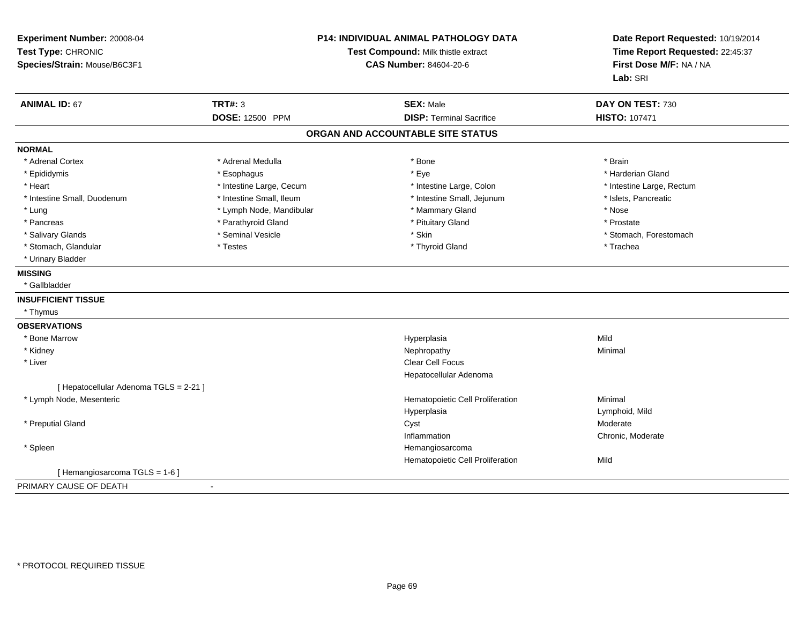| Experiment Number: 20008-04<br>Test Type: CHRONIC<br>Species/Strain: Mouse/B6C3F1 | P14: INDIVIDUAL ANIMAL PATHOLOGY DATA<br>Test Compound: Milk thistle extract<br><b>CAS Number: 84604-20-6</b> |                                   | Date Report Requested: 10/19/2014<br>Time Report Requested: 22:45:37<br>First Dose M/F: NA / NA<br>Lab: SRI |
|-----------------------------------------------------------------------------------|---------------------------------------------------------------------------------------------------------------|-----------------------------------|-------------------------------------------------------------------------------------------------------------|
| <b>ANIMAL ID: 67</b>                                                              | <b>TRT#: 3</b>                                                                                                | <b>SEX: Male</b>                  | DAY ON TEST: 730                                                                                            |
|                                                                                   | <b>DOSE: 12500 PPM</b>                                                                                        | <b>DISP: Terminal Sacrifice</b>   | <b>HISTO: 107471</b>                                                                                        |
|                                                                                   |                                                                                                               | ORGAN AND ACCOUNTABLE SITE STATUS |                                                                                                             |
| <b>NORMAL</b>                                                                     |                                                                                                               |                                   |                                                                                                             |
| * Adrenal Cortex                                                                  | * Adrenal Medulla                                                                                             | * Bone                            | * Brain                                                                                                     |
| * Epididymis                                                                      | * Esophagus                                                                                                   | * Eye                             | * Harderian Gland                                                                                           |
| * Heart                                                                           | * Intestine Large, Cecum                                                                                      | * Intestine Large, Colon          | * Intestine Large, Rectum                                                                                   |
| * Intestine Small, Duodenum                                                       | * Intestine Small, Ileum                                                                                      | * Intestine Small, Jejunum        | * Islets, Pancreatic                                                                                        |
| * Lung                                                                            | * Lymph Node, Mandibular                                                                                      | * Mammary Gland                   | * Nose                                                                                                      |
| * Pancreas                                                                        | * Parathyroid Gland                                                                                           | * Pituitary Gland                 | * Prostate                                                                                                  |
| * Salivary Glands                                                                 | * Seminal Vesicle                                                                                             | * Skin                            | * Stomach, Forestomach                                                                                      |
| * Stomach, Glandular                                                              | * Testes                                                                                                      | * Thyroid Gland                   | * Trachea                                                                                                   |
| * Urinary Bladder                                                                 |                                                                                                               |                                   |                                                                                                             |
| <b>MISSING</b>                                                                    |                                                                                                               |                                   |                                                                                                             |
| * Gallbladder                                                                     |                                                                                                               |                                   |                                                                                                             |
| <b>INSUFFICIENT TISSUE</b>                                                        |                                                                                                               |                                   |                                                                                                             |
| * Thymus                                                                          |                                                                                                               |                                   |                                                                                                             |
| <b>OBSERVATIONS</b>                                                               |                                                                                                               |                                   |                                                                                                             |
| * Bone Marrow                                                                     |                                                                                                               | Hyperplasia                       | Mild                                                                                                        |
| * Kidney                                                                          |                                                                                                               | Nephropathy                       | Minimal                                                                                                     |
| * Liver                                                                           |                                                                                                               | Clear Cell Focus                  |                                                                                                             |
|                                                                                   |                                                                                                               | Hepatocellular Adenoma            |                                                                                                             |
| [ Hepatocellular Adenoma TGLS = 2-21 ]                                            |                                                                                                               |                                   |                                                                                                             |
| * Lymph Node, Mesenteric                                                          |                                                                                                               | Hematopoietic Cell Proliferation  | Minimal                                                                                                     |
|                                                                                   |                                                                                                               | Hyperplasia                       | Lymphoid, Mild                                                                                              |
| * Preputial Gland                                                                 |                                                                                                               | Cyst                              | Moderate                                                                                                    |
|                                                                                   |                                                                                                               | Inflammation                      | Chronic, Moderate                                                                                           |
| * Spleen                                                                          |                                                                                                               | Hemangiosarcoma                   |                                                                                                             |
|                                                                                   |                                                                                                               | Hematopoietic Cell Proliferation  | Mild                                                                                                        |
| [Hemangiosarcoma TGLS = 1-6]                                                      |                                                                                                               |                                   |                                                                                                             |
| PRIMARY CAUSE OF DEATH                                                            | $\sim$                                                                                                        |                                   |                                                                                                             |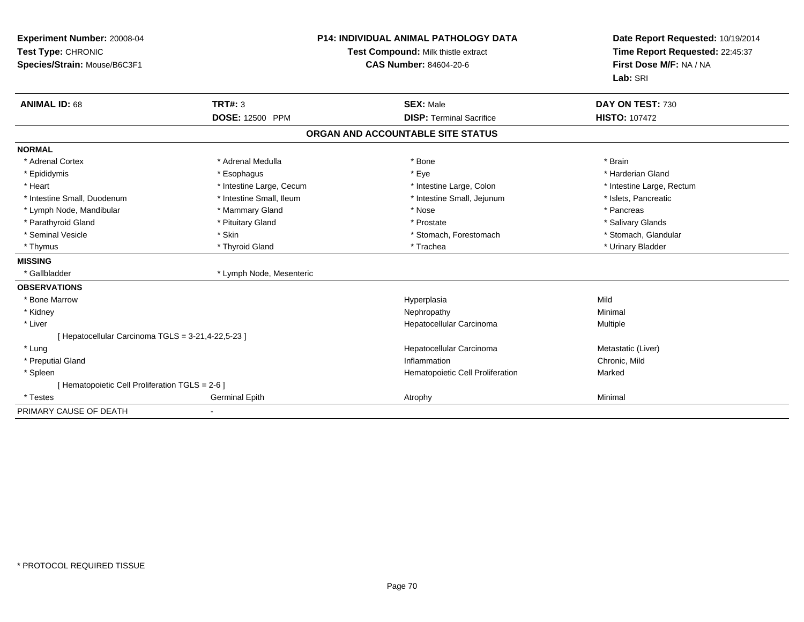| Experiment Number: 20008-04<br>Test Type: CHRONIC<br>Species/Strain: Mouse/B6C3F1<br><b>ANIMAL ID: 68</b> | TRT#: 3<br><b>DOSE: 12500 PPM</b> | <b>P14: INDIVIDUAL ANIMAL PATHOLOGY DATA</b><br>Test Compound: Milk thistle extract<br><b>CAS Number: 84604-20-6</b><br><b>SEX: Male</b><br><b>DISP: Terminal Sacrifice</b> | Date Report Requested: 10/19/2014<br>Time Report Requested: 22:45:37<br>First Dose M/F: NA / NA<br>Lab: SRI<br>DAY ON TEST: 730<br><b>HISTO: 107472</b> |
|-----------------------------------------------------------------------------------------------------------|-----------------------------------|-----------------------------------------------------------------------------------------------------------------------------------------------------------------------------|---------------------------------------------------------------------------------------------------------------------------------------------------------|
|                                                                                                           |                                   | ORGAN AND ACCOUNTABLE SITE STATUS                                                                                                                                           |                                                                                                                                                         |
|                                                                                                           |                                   |                                                                                                                                                                             |                                                                                                                                                         |
| <b>NORMAL</b>                                                                                             |                                   |                                                                                                                                                                             |                                                                                                                                                         |
| * Adrenal Cortex                                                                                          | * Adrenal Medulla                 | * Bone                                                                                                                                                                      | * Brain                                                                                                                                                 |
| * Epididymis                                                                                              | * Esophagus                       | * Eye                                                                                                                                                                       | * Harderian Gland                                                                                                                                       |
| * Heart                                                                                                   | * Intestine Large, Cecum          | * Intestine Large, Colon                                                                                                                                                    | * Intestine Large, Rectum                                                                                                                               |
| * Intestine Small, Duodenum                                                                               | * Intestine Small, Ileum          | * Intestine Small, Jejunum                                                                                                                                                  | * Islets, Pancreatic                                                                                                                                    |
| * Lymph Node, Mandibular                                                                                  | * Mammary Gland                   | * Nose                                                                                                                                                                      | * Pancreas                                                                                                                                              |
| * Parathyroid Gland                                                                                       | * Pituitary Gland                 | * Prostate                                                                                                                                                                  | * Salivary Glands                                                                                                                                       |
| * Seminal Vesicle                                                                                         | * Skin                            | * Stomach, Forestomach                                                                                                                                                      | * Stomach, Glandular                                                                                                                                    |
| * Thymus                                                                                                  | * Thyroid Gland                   | * Trachea                                                                                                                                                                   | * Urinary Bladder                                                                                                                                       |
| <b>MISSING</b>                                                                                            |                                   |                                                                                                                                                                             |                                                                                                                                                         |
| * Gallbladder                                                                                             | * Lymph Node, Mesenteric          |                                                                                                                                                                             |                                                                                                                                                         |
| <b>OBSERVATIONS</b>                                                                                       |                                   |                                                                                                                                                                             |                                                                                                                                                         |
| * Bone Marrow                                                                                             |                                   | Hyperplasia                                                                                                                                                                 | Mild                                                                                                                                                    |
| * Kidney                                                                                                  |                                   | Nephropathy                                                                                                                                                                 | Minimal                                                                                                                                                 |
| * Liver                                                                                                   |                                   | Hepatocellular Carcinoma                                                                                                                                                    | Multiple                                                                                                                                                |
| [ Hepatocellular Carcinoma TGLS = 3-21,4-22,5-23 ]                                                        |                                   |                                                                                                                                                                             |                                                                                                                                                         |
| * Lung                                                                                                    |                                   | Hepatocellular Carcinoma                                                                                                                                                    | Metastatic (Liver)                                                                                                                                      |
| * Preputial Gland                                                                                         |                                   | Inflammation                                                                                                                                                                | Chronic, Mild                                                                                                                                           |
| * Spleen                                                                                                  |                                   | Hematopoietic Cell Proliferation                                                                                                                                            | Marked                                                                                                                                                  |
| [ Hematopoietic Cell Proliferation TGLS = 2-6 ]                                                           |                                   |                                                                                                                                                                             |                                                                                                                                                         |
| * Testes                                                                                                  | <b>Germinal Epith</b>             | Atrophy                                                                                                                                                                     | Minimal                                                                                                                                                 |
| PRIMARY CAUSE OF DEATH                                                                                    |                                   |                                                                                                                                                                             |                                                                                                                                                         |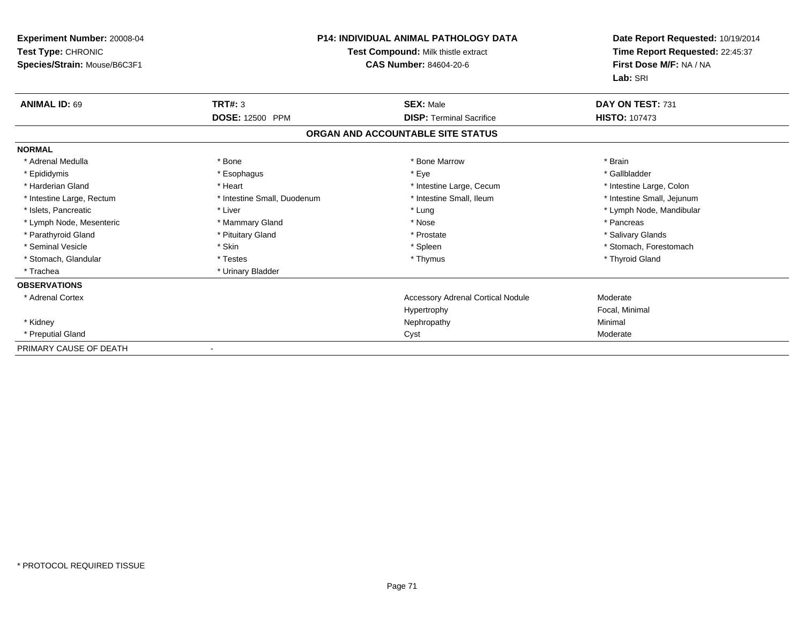| <b>Experiment Number: 20008-04</b><br>Test Type: CHRONIC<br>Species/Strain: Mouse/B6C3F1 |                             | <b>P14: INDIVIDUAL ANIMAL PATHOLOGY DATA</b><br>Test Compound: Milk thistle extract<br>CAS Number: 84604-20-6 | Date Report Requested: 10/19/2014<br>Time Report Requested: 22:45:37<br>First Dose M/F: NA / NA<br>Lab: SRI |
|------------------------------------------------------------------------------------------|-----------------------------|---------------------------------------------------------------------------------------------------------------|-------------------------------------------------------------------------------------------------------------|
| <b>ANIMAL ID: 69</b>                                                                     | TRT#: 3                     | <b>SEX: Male</b>                                                                                              | DAY ON TEST: 731                                                                                            |
|                                                                                          | <b>DOSE: 12500 PPM</b>      | <b>DISP: Terminal Sacrifice</b>                                                                               | <b>HISTO: 107473</b>                                                                                        |
|                                                                                          |                             | ORGAN AND ACCOUNTABLE SITE STATUS                                                                             |                                                                                                             |
| <b>NORMAL</b>                                                                            |                             |                                                                                                               |                                                                                                             |
| * Adrenal Medulla                                                                        | * Bone                      | * Bone Marrow                                                                                                 | * Brain                                                                                                     |
| * Epididymis                                                                             | * Esophagus                 | * Eye                                                                                                         | * Gallbladder                                                                                               |
| * Harderian Gland                                                                        | * Heart                     | * Intestine Large, Cecum                                                                                      | * Intestine Large, Colon                                                                                    |
| * Intestine Large, Rectum                                                                | * Intestine Small, Duodenum | * Intestine Small, Ileum                                                                                      | * Intestine Small, Jejunum                                                                                  |
| * Islets, Pancreatic                                                                     | * Liver                     | * Lung                                                                                                        | * Lymph Node, Mandibular                                                                                    |
| * Lymph Node, Mesenteric                                                                 | * Mammary Gland             | * Nose                                                                                                        | * Pancreas                                                                                                  |
| * Parathyroid Gland                                                                      | * Pituitary Gland           | * Prostate                                                                                                    | * Salivary Glands                                                                                           |
| * Seminal Vesicle                                                                        | * Skin                      | * Spleen                                                                                                      | * Stomach, Forestomach                                                                                      |
| * Stomach, Glandular                                                                     | * Testes                    | * Thymus                                                                                                      | * Thyroid Gland                                                                                             |
| * Trachea                                                                                | * Urinary Bladder           |                                                                                                               |                                                                                                             |
| <b>OBSERVATIONS</b>                                                                      |                             |                                                                                                               |                                                                                                             |
| * Adrenal Cortex                                                                         |                             | <b>Accessory Adrenal Cortical Nodule</b>                                                                      | Moderate                                                                                                    |
|                                                                                          |                             | Hypertrophy                                                                                                   | Focal, Minimal                                                                                              |
| * Kidney                                                                                 |                             | Nephropathy                                                                                                   | Minimal                                                                                                     |
| * Preputial Gland                                                                        |                             | Cyst                                                                                                          | Moderate                                                                                                    |
| PRIMARY CAUSE OF DEATH                                                                   | $\overline{\phantom{a}}$    |                                                                                                               |                                                                                                             |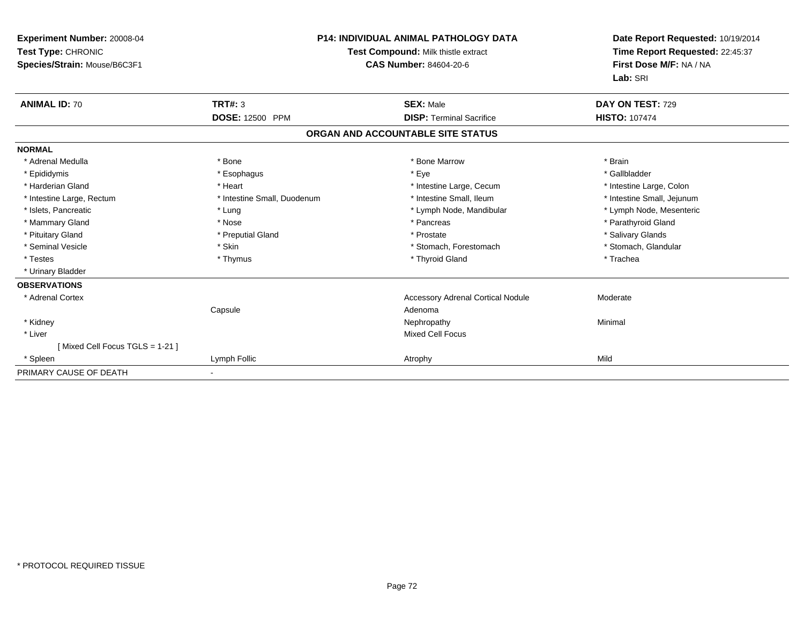| <b>Experiment Number: 20008-04</b><br>Test Type: CHRONIC<br>Species/Strain: Mouse/B6C3F1 |                             | <b>P14: INDIVIDUAL ANIMAL PATHOLOGY DATA</b><br>Test Compound: Milk thistle extract<br>CAS Number: 84604-20-6 | Date Report Requested: 10/19/2014<br>Time Report Requested: 22:45:37<br>First Dose M/F: NA / NA<br>Lab: SRI |
|------------------------------------------------------------------------------------------|-----------------------------|---------------------------------------------------------------------------------------------------------------|-------------------------------------------------------------------------------------------------------------|
| <b>ANIMAL ID: 70</b>                                                                     | TRT#: 3                     | <b>SEX: Male</b>                                                                                              | DAY ON TEST: 729                                                                                            |
|                                                                                          | DOSE: 12500 PPM             | <b>DISP: Terminal Sacrifice</b>                                                                               | <b>HISTO: 107474</b>                                                                                        |
|                                                                                          |                             | ORGAN AND ACCOUNTABLE SITE STATUS                                                                             |                                                                                                             |
| <b>NORMAL</b>                                                                            |                             |                                                                                                               |                                                                                                             |
| * Adrenal Medulla                                                                        | * Bone                      | * Bone Marrow                                                                                                 | * Brain                                                                                                     |
| * Epididymis                                                                             | * Esophagus                 | * Eye                                                                                                         | * Gallbladder                                                                                               |
| * Harderian Gland                                                                        | * Heart                     | * Intestine Large, Cecum                                                                                      | * Intestine Large, Colon                                                                                    |
| * Intestine Large, Rectum                                                                | * Intestine Small, Duodenum | * Intestine Small, Ileum                                                                                      | * Intestine Small, Jejunum                                                                                  |
| * Islets, Pancreatic                                                                     | * Lung                      | * Lymph Node, Mandibular                                                                                      | * Lymph Node, Mesenteric                                                                                    |
| * Mammary Gland                                                                          | * Nose                      | * Pancreas                                                                                                    | * Parathyroid Gland                                                                                         |
| * Pituitary Gland                                                                        | * Preputial Gland           | * Prostate                                                                                                    | * Salivary Glands                                                                                           |
| * Seminal Vesicle                                                                        | * Skin                      | * Stomach, Forestomach                                                                                        | * Stomach, Glandular                                                                                        |
| * Testes                                                                                 | * Thymus                    | * Thyroid Gland                                                                                               | * Trachea                                                                                                   |
| * Urinary Bladder                                                                        |                             |                                                                                                               |                                                                                                             |
| <b>OBSERVATIONS</b>                                                                      |                             |                                                                                                               |                                                                                                             |
| * Adrenal Cortex                                                                         |                             | <b>Accessory Adrenal Cortical Nodule</b>                                                                      | Moderate                                                                                                    |
|                                                                                          | Capsule                     | Adenoma                                                                                                       |                                                                                                             |
| * Kidney                                                                                 |                             | Nephropathy                                                                                                   | Minimal                                                                                                     |
| * Liver                                                                                  |                             | Mixed Cell Focus                                                                                              |                                                                                                             |
| [Mixed Cell Focus TGLS = 1-21]                                                           |                             |                                                                                                               |                                                                                                             |
| * Spleen                                                                                 | Lymph Follic                | Atrophy                                                                                                       | Mild                                                                                                        |
| PRIMARY CAUSE OF DEATH                                                                   |                             |                                                                                                               |                                                                                                             |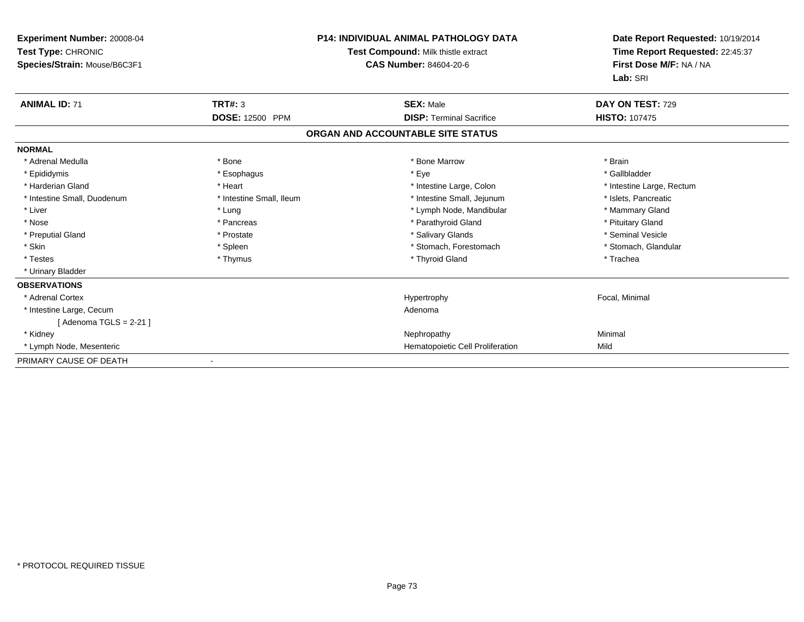| Experiment Number: 20008-04<br>Test Type: CHRONIC<br>Species/Strain: Mouse/B6C3F1 |                          | P14: INDIVIDUAL ANIMAL PATHOLOGY DATA<br>Test Compound: Milk thistle extract<br>CAS Number: 84604-20-6 | Date Report Requested: 10/19/2014<br>Time Report Requested: 22:45:37<br>First Dose M/F: NA / NA<br>Lab: SRI |
|-----------------------------------------------------------------------------------|--------------------------|--------------------------------------------------------------------------------------------------------|-------------------------------------------------------------------------------------------------------------|
| <b>ANIMAL ID: 71</b>                                                              | <b>TRT#: 3</b>           | <b>SEX: Male</b>                                                                                       | DAY ON TEST: 729                                                                                            |
|                                                                                   | DOSE: 12500 PPM          | <b>DISP: Terminal Sacrifice</b>                                                                        | <b>HISTO: 107475</b>                                                                                        |
|                                                                                   |                          | ORGAN AND ACCOUNTABLE SITE STATUS                                                                      |                                                                                                             |
| <b>NORMAL</b>                                                                     |                          |                                                                                                        |                                                                                                             |
| * Adrenal Medulla                                                                 | * Bone                   | * Bone Marrow                                                                                          | * Brain                                                                                                     |
| * Epididymis                                                                      | * Esophagus              | * Eye                                                                                                  | * Gallbladder                                                                                               |
| * Harderian Gland                                                                 | * Heart                  | * Intestine Large, Colon                                                                               | * Intestine Large, Rectum                                                                                   |
| * Intestine Small, Duodenum                                                       | * Intestine Small, Ileum | * Intestine Small, Jejunum                                                                             | * Islets, Pancreatic                                                                                        |
| * Liver                                                                           | * Lung                   | * Lymph Node, Mandibular                                                                               | * Mammary Gland                                                                                             |
| * Nose                                                                            | * Pancreas               | * Parathyroid Gland                                                                                    | * Pituitary Gland                                                                                           |
| * Preputial Gland                                                                 | * Prostate               | * Salivary Glands                                                                                      | * Seminal Vesicle                                                                                           |
| * Skin                                                                            | * Spleen                 | * Stomach, Forestomach                                                                                 | * Stomach, Glandular                                                                                        |
| * Testes                                                                          | * Thymus                 | * Thyroid Gland                                                                                        | * Trachea                                                                                                   |
| * Urinary Bladder                                                                 |                          |                                                                                                        |                                                                                                             |
| <b>OBSERVATIONS</b>                                                               |                          |                                                                                                        |                                                                                                             |
| * Adrenal Cortex                                                                  |                          | Hypertrophy                                                                                            | Focal, Minimal                                                                                              |
| * Intestine Large, Cecum                                                          |                          | Adenoma                                                                                                |                                                                                                             |
| [Adenoma TGLS = $2-21$ ]                                                          |                          |                                                                                                        |                                                                                                             |
| * Kidney                                                                          |                          | Nephropathy                                                                                            | Minimal                                                                                                     |
| * Lymph Node, Mesenteric                                                          |                          | Hematopoietic Cell Proliferation                                                                       | Mild                                                                                                        |
| PRIMARY CAUSE OF DEATH                                                            |                          |                                                                                                        |                                                                                                             |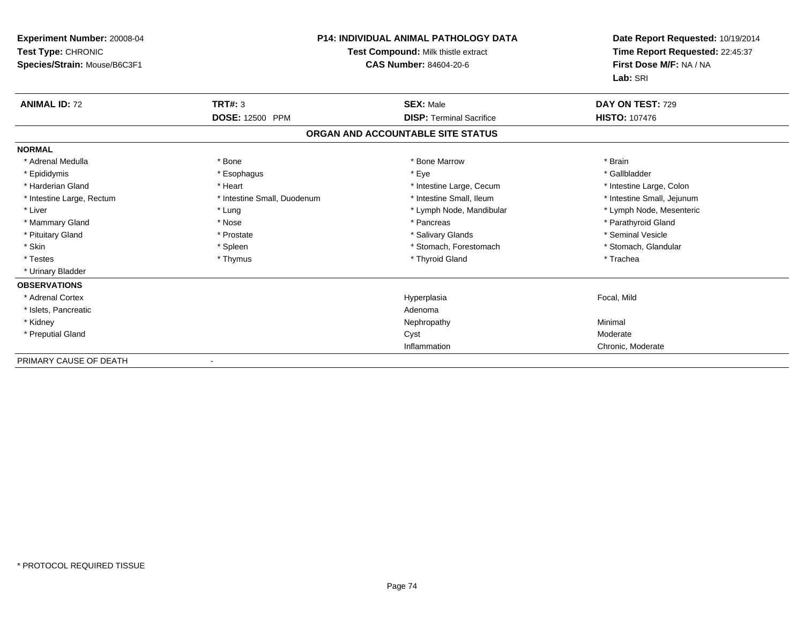| <b>Experiment Number: 20008-04</b><br>Test Type: CHRONIC<br>Species/Strain: Mouse/B6C3F1 |                             | <b>P14: INDIVIDUAL ANIMAL PATHOLOGY DATA</b><br>Test Compound: Milk thistle extract<br><b>CAS Number: 84604-20-6</b> | Date Report Requested: 10/19/2014<br>Time Report Requested: 22:45:37<br>First Dose M/F: NA / NA<br>Lab: SRI |
|------------------------------------------------------------------------------------------|-----------------------------|----------------------------------------------------------------------------------------------------------------------|-------------------------------------------------------------------------------------------------------------|
| <b>ANIMAL ID: 72</b>                                                                     | <b>TRT#: 3</b>              | <b>SEX: Male</b>                                                                                                     | DAY ON TEST: 729                                                                                            |
|                                                                                          | DOSE: 12500 PPM             | <b>DISP: Terminal Sacrifice</b>                                                                                      | <b>HISTO: 107476</b>                                                                                        |
|                                                                                          |                             | ORGAN AND ACCOUNTABLE SITE STATUS                                                                                    |                                                                                                             |
| <b>NORMAL</b>                                                                            |                             |                                                                                                                      |                                                                                                             |
| * Adrenal Medulla                                                                        | * Bone                      | * Bone Marrow                                                                                                        | * Brain                                                                                                     |
| * Epididymis                                                                             | * Esophagus                 | * Eye                                                                                                                | * Gallbladder                                                                                               |
| * Harderian Gland                                                                        | * Heart                     | * Intestine Large, Cecum                                                                                             | * Intestine Large, Colon                                                                                    |
| * Intestine Large, Rectum                                                                | * Intestine Small, Duodenum | * Intestine Small, Ileum                                                                                             | * Intestine Small, Jejunum                                                                                  |
| * Liver                                                                                  | * Lung                      | * Lymph Node, Mandibular                                                                                             | * Lymph Node, Mesenteric                                                                                    |
| * Mammary Gland                                                                          | * Nose                      | * Pancreas                                                                                                           | * Parathyroid Gland                                                                                         |
| * Pituitary Gland                                                                        | * Prostate                  | * Salivary Glands                                                                                                    | * Seminal Vesicle                                                                                           |
| * Skin                                                                                   | * Spleen                    | * Stomach, Forestomach                                                                                               | * Stomach, Glandular                                                                                        |
| * Testes                                                                                 | * Thymus                    | * Thyroid Gland                                                                                                      | * Trachea                                                                                                   |
| * Urinary Bladder                                                                        |                             |                                                                                                                      |                                                                                                             |
| <b>OBSERVATIONS</b>                                                                      |                             |                                                                                                                      |                                                                                                             |
| * Adrenal Cortex                                                                         |                             | Hyperplasia                                                                                                          | Focal, Mild                                                                                                 |
| * Islets, Pancreatic                                                                     |                             | Adenoma                                                                                                              |                                                                                                             |
| * Kidney                                                                                 |                             | Nephropathy                                                                                                          | Minimal                                                                                                     |
| * Preputial Gland                                                                        |                             | Cyst                                                                                                                 | Moderate                                                                                                    |
|                                                                                          |                             | Inflammation                                                                                                         | Chronic, Moderate                                                                                           |
| PRIMARY CAUSE OF DEATH                                                                   |                             |                                                                                                                      |                                                                                                             |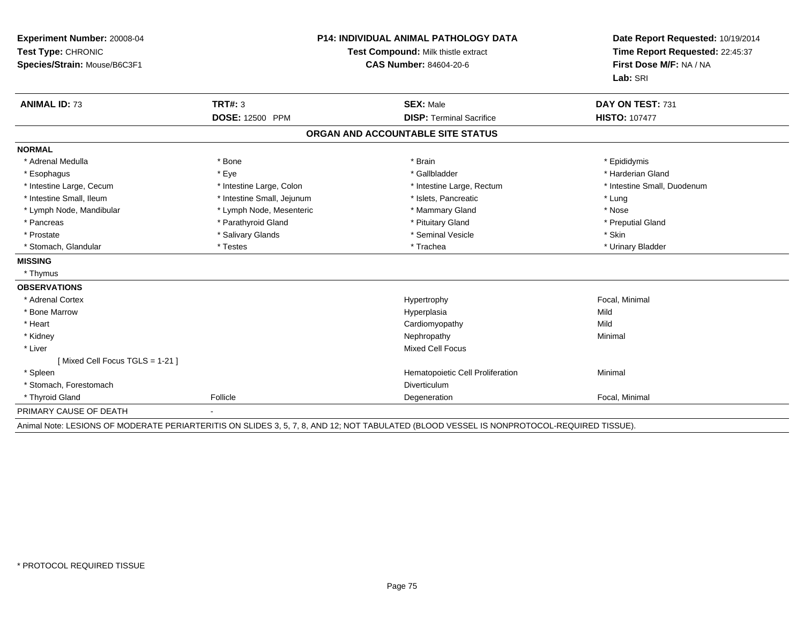| Experiment Number: 20008-04<br>Test Type: CHRONIC<br>Species/Strain: Mouse/B6C3F1 | <b>P14: INDIVIDUAL ANIMAL PATHOLOGY DATA</b><br>Test Compound: Milk thistle extract<br><b>CAS Number: 84604-20-6</b> |                                                     | Date Report Requested: 10/19/2014<br>Time Report Requested: 22:45:37<br>First Dose M/F: NA / NA<br>Lab: SRI |
|-----------------------------------------------------------------------------------|----------------------------------------------------------------------------------------------------------------------|-----------------------------------------------------|-------------------------------------------------------------------------------------------------------------|
| <b>ANIMAL ID: 73</b>                                                              | <b>TRT#: 3</b><br><b>DOSE: 12500 PPM</b>                                                                             | <b>SEX: Male</b><br><b>DISP: Terminal Sacrifice</b> | DAY ON TEST: 731<br><b>HISTO: 107477</b>                                                                    |
|                                                                                   |                                                                                                                      |                                                     |                                                                                                             |
|                                                                                   |                                                                                                                      | ORGAN AND ACCOUNTABLE SITE STATUS                   |                                                                                                             |
| <b>NORMAL</b>                                                                     |                                                                                                                      |                                                     |                                                                                                             |
| * Adrenal Medulla                                                                 | * Bone                                                                                                               | * Brain                                             | * Epididymis                                                                                                |
| * Esophagus                                                                       | * Eye                                                                                                                | * Gallbladder                                       | * Harderian Gland                                                                                           |
| * Intestine Large, Cecum                                                          | * Intestine Large, Colon                                                                                             | * Intestine Large, Rectum                           | * Intestine Small, Duodenum                                                                                 |
| * Intestine Small, Ileum                                                          | * Intestine Small, Jejunum                                                                                           | * Islets, Pancreatic                                | * Lung                                                                                                      |
| * Lymph Node, Mandibular                                                          | * Lymph Node, Mesenteric                                                                                             | * Mammary Gland                                     | * Nose                                                                                                      |
| * Pancreas                                                                        | * Parathyroid Gland                                                                                                  | * Pituitary Gland                                   | * Preputial Gland                                                                                           |
| * Prostate                                                                        | * Salivary Glands                                                                                                    | * Seminal Vesicle                                   | * Skin                                                                                                      |
| * Stomach, Glandular                                                              | * Testes                                                                                                             | * Trachea                                           | * Urinary Bladder                                                                                           |
| <b>MISSING</b>                                                                    |                                                                                                                      |                                                     |                                                                                                             |
| * Thymus                                                                          |                                                                                                                      |                                                     |                                                                                                             |
| <b>OBSERVATIONS</b>                                                               |                                                                                                                      |                                                     |                                                                                                             |
| * Adrenal Cortex                                                                  |                                                                                                                      | Hypertrophy                                         | Focal, Minimal                                                                                              |
| * Bone Marrow                                                                     |                                                                                                                      | Hyperplasia                                         | Mild                                                                                                        |
| * Heart                                                                           |                                                                                                                      | Cardiomyopathy                                      | Mild                                                                                                        |
| * Kidney                                                                          |                                                                                                                      | Nephropathy                                         | Minimal                                                                                                     |
| * Liver                                                                           |                                                                                                                      | Mixed Cell Focus                                    |                                                                                                             |
| [Mixed Cell Focus TGLS = 1-21]                                                    |                                                                                                                      |                                                     |                                                                                                             |
| * Spleen                                                                          |                                                                                                                      | Hematopoietic Cell Proliferation                    | Minimal                                                                                                     |
| * Stomach, Forestomach                                                            |                                                                                                                      | <b>Diverticulum</b>                                 |                                                                                                             |
| * Thyroid Gland                                                                   | Follicle                                                                                                             | Degeneration                                        | Focal, Minimal                                                                                              |
| PRIMARY CAUSE OF DEATH                                                            |                                                                                                                      |                                                     |                                                                                                             |

Animal Note: LESIONS OF MODERATE PERIARTERITIS ON SLIDES 3, 5, 7, 8, AND 12; NOT TABULATED (BLOOD VESSEL IS NONPROTOCOL-REQUIRED TISSUE).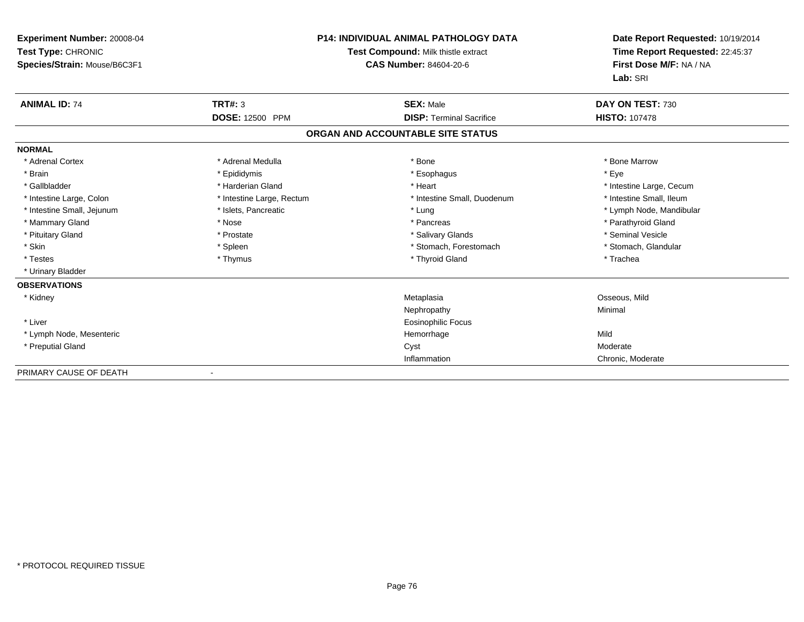| Experiment Number: 20008-04<br>Test Type: CHRONIC<br>Species/Strain: Mouse/B6C3F1 |                           | <b>P14: INDIVIDUAL ANIMAL PATHOLOGY DATA</b><br>Test Compound: Milk thistle extract<br>CAS Number: 84604-20-6 | Date Report Requested: 10/19/2014<br>Time Report Requested: 22:45:37<br>First Dose M/F: NA / NA<br>Lab: SRI |
|-----------------------------------------------------------------------------------|---------------------------|---------------------------------------------------------------------------------------------------------------|-------------------------------------------------------------------------------------------------------------|
| <b>ANIMAL ID: 74</b>                                                              | <b>TRT#: 3</b>            | <b>SEX: Male</b>                                                                                              | DAY ON TEST: 730                                                                                            |
|                                                                                   | <b>DOSE: 12500 PPM</b>    | <b>DISP: Terminal Sacrifice</b>                                                                               | <b>HISTO: 107478</b>                                                                                        |
|                                                                                   |                           | ORGAN AND ACCOUNTABLE SITE STATUS                                                                             |                                                                                                             |
| <b>NORMAL</b>                                                                     |                           |                                                                                                               |                                                                                                             |
| * Adrenal Cortex                                                                  | * Adrenal Medulla         | * Bone                                                                                                        | * Bone Marrow                                                                                               |
| * Brain                                                                           | * Epididymis              | * Esophagus                                                                                                   | * Eye                                                                                                       |
| * Gallbladder                                                                     | * Harderian Gland         | * Heart                                                                                                       | * Intestine Large, Cecum                                                                                    |
| * Intestine Large, Colon                                                          | * Intestine Large, Rectum | * Intestine Small, Duodenum                                                                                   | * Intestine Small, Ileum                                                                                    |
| * Intestine Small, Jejunum                                                        | * Islets, Pancreatic      | * Lung                                                                                                        | * Lymph Node, Mandibular                                                                                    |
| * Mammary Gland                                                                   | * Nose                    | * Pancreas                                                                                                    | * Parathyroid Gland                                                                                         |
| * Pituitary Gland                                                                 | * Prostate                | * Salivary Glands                                                                                             | * Seminal Vesicle                                                                                           |
| * Skin                                                                            | * Spleen                  | * Stomach, Forestomach                                                                                        | * Stomach, Glandular                                                                                        |
| * Testes                                                                          | * Thymus                  | * Thyroid Gland                                                                                               | * Trachea                                                                                                   |
| * Urinary Bladder                                                                 |                           |                                                                                                               |                                                                                                             |
| <b>OBSERVATIONS</b>                                                               |                           |                                                                                                               |                                                                                                             |
| * Kidney                                                                          |                           | Metaplasia                                                                                                    | Osseous, Mild                                                                                               |
|                                                                                   |                           | Nephropathy                                                                                                   | Minimal                                                                                                     |
| * Liver                                                                           |                           | Eosinophilic Focus                                                                                            |                                                                                                             |
| * Lymph Node, Mesenteric                                                          |                           | Hemorrhage                                                                                                    | Mild                                                                                                        |
| * Preputial Gland                                                                 |                           | Cyst                                                                                                          | Moderate                                                                                                    |
|                                                                                   |                           | Inflammation                                                                                                  | Chronic, Moderate                                                                                           |
| <b>DOILIADY OAUGE OF BEATU</b>                                                    |                           |                                                                                                               |                                                                                                             |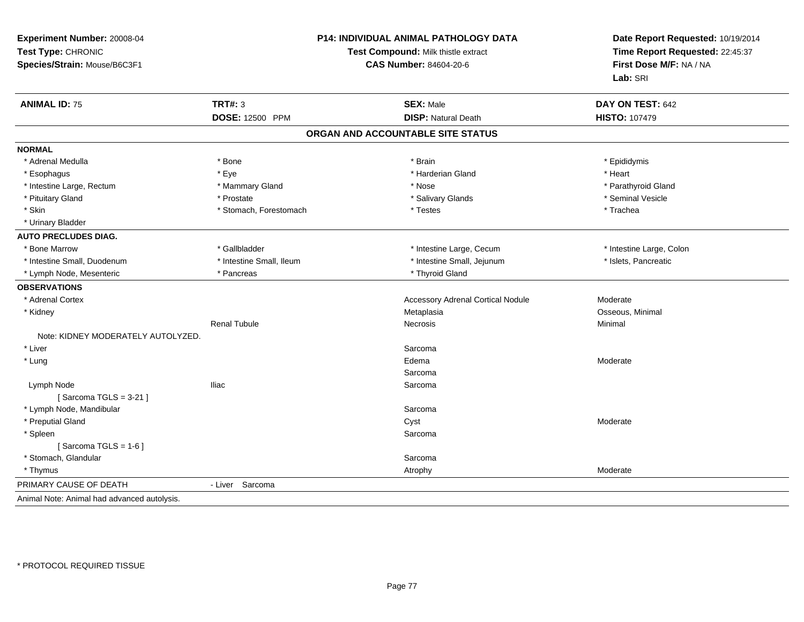| Experiment Number: 20008-04<br>Test Type: CHRONIC<br>Species/Strain: Mouse/B6C3F1 |                          | P14: INDIVIDUAL ANIMAL PATHOLOGY DATA<br>Test Compound: Milk thistle extract<br><b>CAS Number: 84604-20-6</b> | Date Report Requested: 10/19/2014<br>Time Report Requested: 22:45:37<br>First Dose M/F: NA / NA<br>Lab: SRI |
|-----------------------------------------------------------------------------------|--------------------------|---------------------------------------------------------------------------------------------------------------|-------------------------------------------------------------------------------------------------------------|
| <b>ANIMAL ID: 75</b>                                                              | <b>TRT#: 3</b>           | <b>SEX: Male</b>                                                                                              | DAY ON TEST: 642                                                                                            |
|                                                                                   | <b>DOSE: 12500 PPM</b>   | <b>DISP: Natural Death</b>                                                                                    | <b>HISTO: 107479</b>                                                                                        |
|                                                                                   |                          | ORGAN AND ACCOUNTABLE SITE STATUS                                                                             |                                                                                                             |
| <b>NORMAL</b>                                                                     |                          |                                                                                                               |                                                                                                             |
| * Adrenal Medulla                                                                 | * Bone                   | * Brain                                                                                                       | * Epididymis                                                                                                |
| * Esophagus                                                                       | * Eye                    | * Harderian Gland                                                                                             | * Heart                                                                                                     |
| * Intestine Large, Rectum                                                         | * Mammary Gland          | * Nose                                                                                                        | * Parathyroid Gland                                                                                         |
| * Pituitary Gland                                                                 | * Prostate               | * Salivary Glands                                                                                             | * Seminal Vesicle                                                                                           |
| * Skin                                                                            | * Stomach, Forestomach   | * Testes                                                                                                      | * Trachea                                                                                                   |
| * Urinary Bladder                                                                 |                          |                                                                                                               |                                                                                                             |
| <b>AUTO PRECLUDES DIAG.</b>                                                       |                          |                                                                                                               |                                                                                                             |
| * Bone Marrow                                                                     | * Gallbladder            | * Intestine Large, Cecum                                                                                      | * Intestine Large, Colon                                                                                    |
| * Intestine Small, Duodenum                                                       | * Intestine Small, Ileum | * Intestine Small, Jejunum                                                                                    | * Islets, Pancreatic                                                                                        |
| * Lymph Node, Mesenteric                                                          | * Pancreas               | * Thyroid Gland                                                                                               |                                                                                                             |
| <b>OBSERVATIONS</b>                                                               |                          |                                                                                                               |                                                                                                             |
| * Adrenal Cortex                                                                  |                          | <b>Accessory Adrenal Cortical Nodule</b>                                                                      | Moderate                                                                                                    |
| * Kidney                                                                          |                          | Metaplasia                                                                                                    | Osseous, Minimal                                                                                            |
|                                                                                   | <b>Renal Tubule</b>      | <b>Necrosis</b>                                                                                               | Minimal                                                                                                     |
| Note: KIDNEY MODERATELY AUTOLYZED.                                                |                          |                                                                                                               |                                                                                                             |
| * Liver                                                                           |                          | Sarcoma                                                                                                       |                                                                                                             |
| * Lung                                                                            |                          | Edema                                                                                                         | Moderate                                                                                                    |
|                                                                                   |                          | Sarcoma                                                                                                       |                                                                                                             |
| Lymph Node                                                                        | lliac                    | Sarcoma                                                                                                       |                                                                                                             |
| [Sarcoma TGLS = $3-21$ ]                                                          |                          |                                                                                                               |                                                                                                             |
| * Lymph Node, Mandibular                                                          |                          | Sarcoma                                                                                                       |                                                                                                             |
| * Preputial Gland                                                                 |                          | Cyst                                                                                                          | Moderate                                                                                                    |
| * Spleen                                                                          |                          | Sarcoma                                                                                                       |                                                                                                             |
| [Sarcoma TGLS = $1-6$ ]                                                           |                          |                                                                                                               |                                                                                                             |
| * Stomach, Glandular                                                              |                          | Sarcoma                                                                                                       |                                                                                                             |
| * Thymus                                                                          |                          | Atrophy                                                                                                       | Moderate                                                                                                    |
| PRIMARY CAUSE OF DEATH                                                            | - Liver Sarcoma          |                                                                                                               |                                                                                                             |
| Animal Note: Animal had advanced autolysis.                                       |                          |                                                                                                               |                                                                                                             |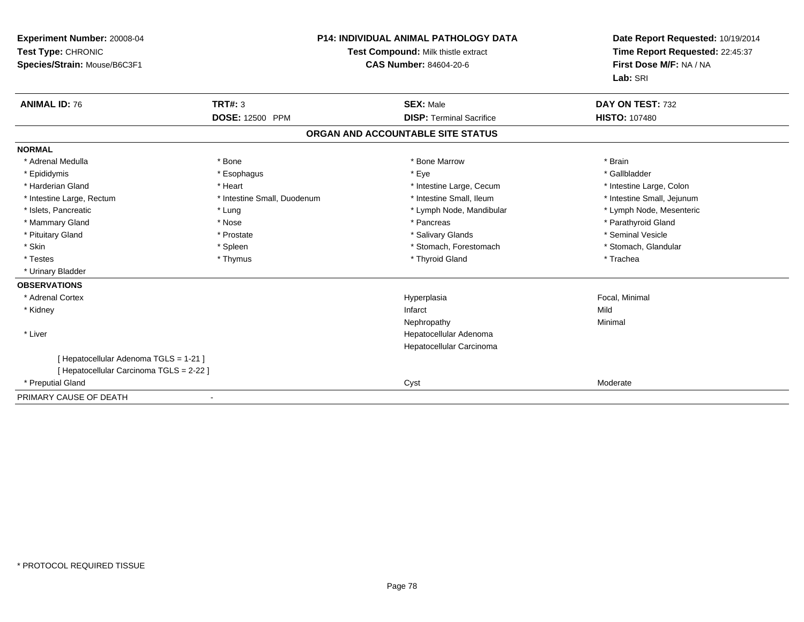| Experiment Number: 20008-04<br>Test Type: CHRONIC<br>Species/Strain: Mouse/B6C3F1<br><b>ANIMAL ID: 76</b> | <b>TRT#: 3</b>              | <b>P14: INDIVIDUAL ANIMAL PATHOLOGY DATA</b><br>Test Compound: Milk thistle extract<br><b>CAS Number: 84604-20-6</b><br><b>SEX: Male</b> | Date Report Requested: 10/19/2014<br>Time Report Requested: 22:45:37<br>First Dose M/F: NA / NA<br>Lab: SRI<br>DAY ON TEST: 732 |
|-----------------------------------------------------------------------------------------------------------|-----------------------------|------------------------------------------------------------------------------------------------------------------------------------------|---------------------------------------------------------------------------------------------------------------------------------|
|                                                                                                           | <b>DOSE: 12500 PPM</b>      | <b>DISP: Terminal Sacrifice</b>                                                                                                          | <b>HISTO: 107480</b>                                                                                                            |
|                                                                                                           |                             | ORGAN AND ACCOUNTABLE SITE STATUS                                                                                                        |                                                                                                                                 |
| <b>NORMAL</b>                                                                                             |                             |                                                                                                                                          |                                                                                                                                 |
| * Adrenal Medulla                                                                                         | * Bone                      | * Bone Marrow                                                                                                                            | * Brain                                                                                                                         |
| * Epididymis                                                                                              | * Esophagus                 | * Eye                                                                                                                                    | * Gallbladder                                                                                                                   |
| * Harderian Gland                                                                                         | * Heart                     | * Intestine Large, Cecum                                                                                                                 | * Intestine Large, Colon                                                                                                        |
| * Intestine Large, Rectum                                                                                 | * Intestine Small, Duodenum | * Intestine Small, Ileum                                                                                                                 | * Intestine Small, Jejunum                                                                                                      |
| * Islets, Pancreatic                                                                                      | * Lung                      | * Lymph Node, Mandibular                                                                                                                 | * Lymph Node, Mesenteric                                                                                                        |
| * Mammary Gland                                                                                           | * Nose                      | * Pancreas                                                                                                                               | * Parathyroid Gland                                                                                                             |
| * Pituitary Gland                                                                                         | * Prostate                  | * Salivary Glands                                                                                                                        | * Seminal Vesicle                                                                                                               |
| * Skin                                                                                                    | * Spleen                    | * Stomach, Forestomach                                                                                                                   | * Stomach, Glandular                                                                                                            |
| * Testes                                                                                                  | * Thymus                    | * Thyroid Gland                                                                                                                          | * Trachea                                                                                                                       |
| * Urinary Bladder                                                                                         |                             |                                                                                                                                          |                                                                                                                                 |
| <b>OBSERVATIONS</b>                                                                                       |                             |                                                                                                                                          |                                                                                                                                 |
| * Adrenal Cortex                                                                                          |                             | Hyperplasia                                                                                                                              | Focal, Minimal                                                                                                                  |
| * Kidney                                                                                                  |                             | Infarct                                                                                                                                  | Mild                                                                                                                            |
|                                                                                                           |                             | Nephropathy                                                                                                                              | Minimal                                                                                                                         |
| * Liver                                                                                                   |                             | Hepatocellular Adenoma                                                                                                                   |                                                                                                                                 |
|                                                                                                           |                             | Hepatocellular Carcinoma                                                                                                                 |                                                                                                                                 |
| [ Hepatocellular Adenoma TGLS = 1-21 ]                                                                    |                             |                                                                                                                                          |                                                                                                                                 |
| [ Hepatocellular Carcinoma TGLS = 2-22 ]                                                                  |                             |                                                                                                                                          |                                                                                                                                 |
| * Preputial Gland                                                                                         |                             | Cyst                                                                                                                                     | Moderate                                                                                                                        |
| PRIMARY CAUSE OF DEATH                                                                                    |                             |                                                                                                                                          |                                                                                                                                 |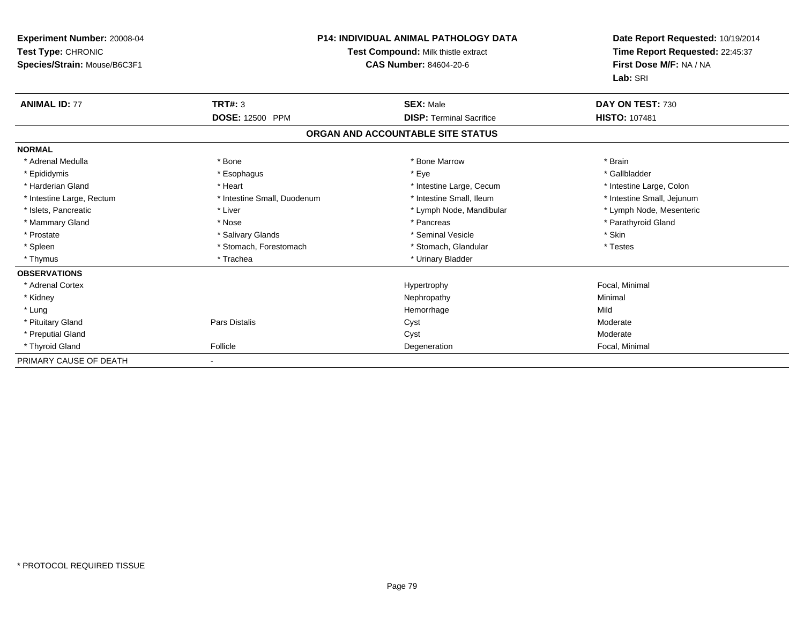| Experiment Number: 20008-04<br>Test Type: CHRONIC<br>Species/Strain: Mouse/B6C3F1 |                             | P14: INDIVIDUAL ANIMAL PATHOLOGY DATA<br>Test Compound: Milk thistle extract<br><b>CAS Number: 84604-20-6</b> | Date Report Requested: 10/19/2014<br>Time Report Requested: 22:45:37<br>First Dose M/F: NA / NA<br>Lab: SRI |
|-----------------------------------------------------------------------------------|-----------------------------|---------------------------------------------------------------------------------------------------------------|-------------------------------------------------------------------------------------------------------------|
| <b>ANIMAL ID: 77</b>                                                              | <b>TRT#: 3</b>              | <b>SEX: Male</b>                                                                                              | DAY ON TEST: 730                                                                                            |
|                                                                                   | <b>DOSE: 12500 PPM</b>      | <b>DISP: Terminal Sacrifice</b>                                                                               | <b>HISTO: 107481</b>                                                                                        |
|                                                                                   |                             | ORGAN AND ACCOUNTABLE SITE STATUS                                                                             |                                                                                                             |
| <b>NORMAL</b>                                                                     |                             |                                                                                                               |                                                                                                             |
| * Adrenal Medulla                                                                 | * Bone                      | * Bone Marrow                                                                                                 | * Brain                                                                                                     |
| * Epididymis                                                                      | * Esophagus                 | * Eye                                                                                                         | * Gallbladder                                                                                               |
| * Harderian Gland                                                                 | * Heart                     | * Intestine Large, Cecum                                                                                      | * Intestine Large, Colon                                                                                    |
| * Intestine Large, Rectum                                                         | * Intestine Small, Duodenum | * Intestine Small, Ileum                                                                                      | * Intestine Small, Jejunum                                                                                  |
| * Islets, Pancreatic                                                              | * Liver                     | * Lymph Node, Mandibular                                                                                      | * Lymph Node, Mesenteric                                                                                    |
| * Mammary Gland                                                                   | * Nose                      | * Pancreas                                                                                                    | * Parathyroid Gland                                                                                         |
| * Prostate                                                                        | * Salivary Glands           | * Seminal Vesicle                                                                                             | * Skin                                                                                                      |
| * Spleen                                                                          | * Stomach, Forestomach      | * Stomach, Glandular                                                                                          | * Testes                                                                                                    |
| * Thymus                                                                          | * Trachea                   | * Urinary Bladder                                                                                             |                                                                                                             |
| <b>OBSERVATIONS</b>                                                               |                             |                                                                                                               |                                                                                                             |
| * Adrenal Cortex                                                                  |                             | Hypertrophy                                                                                                   | Focal, Minimal                                                                                              |
| * Kidney                                                                          |                             | Nephropathy                                                                                                   | Minimal                                                                                                     |
| * Lung                                                                            |                             | Hemorrhage                                                                                                    | Mild                                                                                                        |
| * Pituitary Gland                                                                 | Pars Distalis               | Cyst                                                                                                          | Moderate                                                                                                    |
| * Preputial Gland                                                                 |                             | Cyst                                                                                                          | Moderate                                                                                                    |
| * Thyroid Gland                                                                   | Follicle                    | Degeneration                                                                                                  | Focal, Minimal                                                                                              |
| PRIMARY CAUSE OF DEATH                                                            |                             |                                                                                                               |                                                                                                             |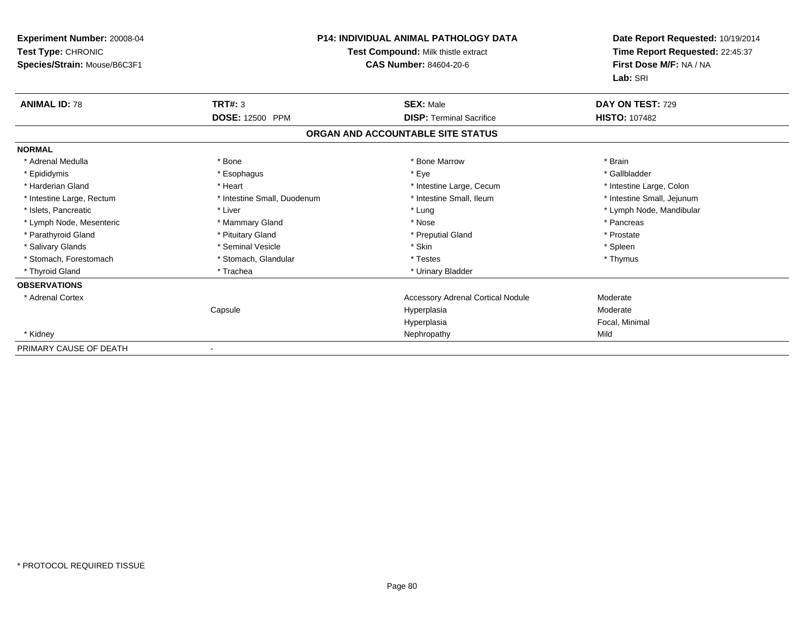| <b>Experiment Number: 20008-04</b><br>Test Type: CHRONIC<br>Species/Strain: Mouse/B6C3F1 |                             | <b>P14: INDIVIDUAL ANIMAL PATHOLOGY DATA</b><br>Test Compound: Milk thistle extract<br><b>CAS Number: 84604-20-6</b> | Date Report Requested: 10/19/2014<br>Time Report Requested: 22:45:37<br>First Dose M/F: NA / NA<br>Lab: SRI |
|------------------------------------------------------------------------------------------|-----------------------------|----------------------------------------------------------------------------------------------------------------------|-------------------------------------------------------------------------------------------------------------|
| <b>ANIMAL ID: 78</b>                                                                     | TRT#: 3                     | <b>SEX: Male</b>                                                                                                     | DAY ON TEST: 729                                                                                            |
|                                                                                          | DOSE: 12500 PPM             | <b>DISP: Terminal Sacrifice</b>                                                                                      | <b>HISTO: 107482</b>                                                                                        |
|                                                                                          |                             | ORGAN AND ACCOUNTABLE SITE STATUS                                                                                    |                                                                                                             |
| <b>NORMAL</b>                                                                            |                             |                                                                                                                      |                                                                                                             |
| * Adrenal Medulla                                                                        | * Bone                      | * Bone Marrow                                                                                                        | * Brain                                                                                                     |
| * Epididymis                                                                             | * Esophagus                 | * Eye                                                                                                                | * Gallbladder                                                                                               |
| * Harderian Gland                                                                        | * Heart                     | * Intestine Large, Cecum                                                                                             | * Intestine Large, Colon                                                                                    |
| * Intestine Large, Rectum                                                                | * Intestine Small, Duodenum | * Intestine Small, Ileum                                                                                             | * Intestine Small, Jejunum                                                                                  |
| * Islets, Pancreatic                                                                     | * Liver                     | * Lung                                                                                                               | * Lymph Node, Mandibular                                                                                    |
| * Lymph Node, Mesenteric                                                                 | * Mammary Gland             | * Nose                                                                                                               | * Pancreas                                                                                                  |
| * Parathyroid Gland                                                                      | * Pituitary Gland           | * Preputial Gland                                                                                                    | * Prostate                                                                                                  |
| * Salivary Glands                                                                        | * Seminal Vesicle           | * Skin                                                                                                               | * Spleen                                                                                                    |
| * Stomach, Forestomach                                                                   | * Stomach, Glandular        | * Testes                                                                                                             | * Thymus                                                                                                    |
| * Thyroid Gland                                                                          | * Trachea                   | * Urinary Bladder                                                                                                    |                                                                                                             |
| <b>OBSERVATIONS</b>                                                                      |                             |                                                                                                                      |                                                                                                             |
| * Adrenal Cortex                                                                         |                             | <b>Accessory Adrenal Cortical Nodule</b>                                                                             | Moderate                                                                                                    |
|                                                                                          | Capsule                     | Hyperplasia                                                                                                          | Moderate                                                                                                    |
|                                                                                          |                             | Hyperplasia                                                                                                          | Focal, Minimal                                                                                              |
| * Kidney                                                                                 |                             | Nephropathy                                                                                                          | Mild                                                                                                        |
| PRIMARY CAUSE OF DEATH                                                                   | $\blacksquare$              |                                                                                                                      |                                                                                                             |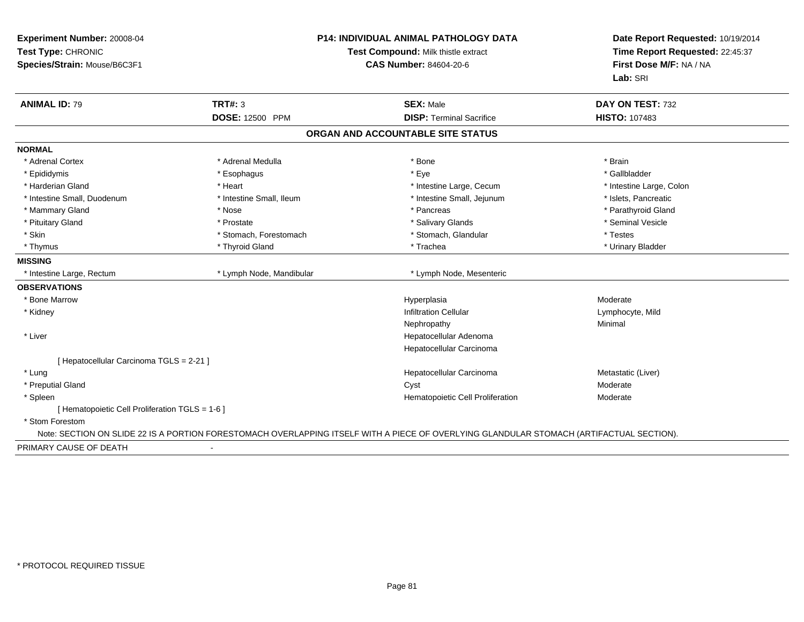| Species/Strain: Mouse/B6C3F1                                                                                                             | <b>CAS Number: 84604-20-6</b>     |                                                            |
|------------------------------------------------------------------------------------------------------------------------------------------|-----------------------------------|------------------------------------------------------------|
|                                                                                                                                          |                                   | Time Report Requested: 22:45:37<br>First Dose M/F: NA / NA |
|                                                                                                                                          |                                   | Lab: SRI                                                   |
| <b>ANIMAL ID: 79</b><br>TRT#: 3                                                                                                          | <b>SEX: Male</b>                  | DAY ON TEST: 732                                           |
| DOSE: 12500 PPM                                                                                                                          | <b>DISP: Terminal Sacrifice</b>   | <b>HISTO: 107483</b>                                       |
|                                                                                                                                          | ORGAN AND ACCOUNTABLE SITE STATUS |                                                            |
| <b>NORMAL</b>                                                                                                                            |                                   |                                                            |
| * Adrenal Cortex<br>* Adrenal Medulla                                                                                                    | * Bone                            | * Brain                                                    |
| * Epididymis<br>* Esophagus                                                                                                              | * Eye                             | * Gallbladder                                              |
| * Harderian Gland<br>* Heart                                                                                                             | * Intestine Large, Cecum          | * Intestine Large, Colon                                   |
| * Intestine Small, Duodenum<br>* Intestine Small, Ileum                                                                                  | * Intestine Small, Jejunum        | * Islets, Pancreatic                                       |
| * Mammary Gland<br>* Nose                                                                                                                | * Pancreas                        | * Parathyroid Gland                                        |
| * Pituitary Gland<br>* Prostate                                                                                                          | * Salivary Glands                 | * Seminal Vesicle                                          |
| * Skin<br>* Stomach, Forestomach                                                                                                         | * Stomach, Glandular              | * Testes                                                   |
| * Thyroid Gland<br>* Thymus                                                                                                              | * Trachea                         | * Urinary Bladder                                          |
| <b>MISSING</b>                                                                                                                           |                                   |                                                            |
| * Lymph Node, Mandibular<br>* Intestine Large, Rectum                                                                                    | * Lymph Node, Mesenteric          |                                                            |
| <b>OBSERVATIONS</b>                                                                                                                      |                                   |                                                            |
| * Bone Marrow                                                                                                                            | Hyperplasia                       | Moderate                                                   |
| * Kidney                                                                                                                                 | <b>Infiltration Cellular</b>      | Lymphocyte, Mild                                           |
|                                                                                                                                          | Nephropathy                       | Minimal                                                    |
| * Liver                                                                                                                                  | Hepatocellular Adenoma            |                                                            |
|                                                                                                                                          | Hepatocellular Carcinoma          |                                                            |
| [ Hepatocellular Carcinoma TGLS = 2-21 ]                                                                                                 |                                   |                                                            |
| * Lung                                                                                                                                   | Hepatocellular Carcinoma          | Metastatic (Liver)                                         |
| * Preputial Gland                                                                                                                        | Cyst                              | Moderate                                                   |
| * Spleen                                                                                                                                 | Hematopoietic Cell Proliferation  | Moderate                                                   |
| [ Hematopoietic Cell Proliferation TGLS = 1-6 ]                                                                                          |                                   |                                                            |
| * Stom Forestom                                                                                                                          |                                   |                                                            |
| Note: SECTION ON SLIDE 22 IS A PORTION FORESTOMACH OVERLAPPING ITSELF WITH A PIECE OF OVERLYING GLANDULAR STOMACH (ARTIFACTUAL SECTION). |                                   |                                                            |
| PRIMARY CAUSE OF DEATH<br>$\blacksquare$                                                                                                 |                                   |                                                            |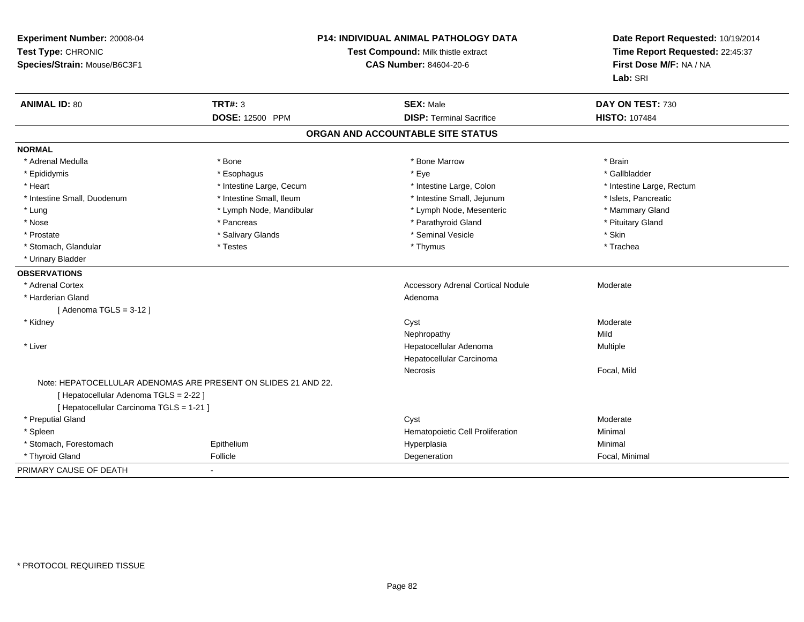| Experiment Number: 20008-04<br>Test Type: CHRONIC<br>Species/Strain: Mouse/B6C3F1 | Test Compound: Milk thistle extract<br><b>CAS Number: 84604-20-6</b> |                                          | P14: INDIVIDUAL ANIMAL PATHOLOGY DATA |  | Date Report Requested: 10/19/2014<br>Time Report Requested: 22:45:37<br>First Dose M/F: NA / NA<br>Lab: SRI |
|-----------------------------------------------------------------------------------|----------------------------------------------------------------------|------------------------------------------|---------------------------------------|--|-------------------------------------------------------------------------------------------------------------|
| <b>ANIMAL ID: 80</b>                                                              | TRT#: 3                                                              | <b>SEX: Male</b>                         | DAY ON TEST: 730                      |  |                                                                                                             |
|                                                                                   | <b>DOSE: 12500 PPM</b>                                               | <b>DISP: Terminal Sacrifice</b>          | <b>HISTO: 107484</b>                  |  |                                                                                                             |
|                                                                                   |                                                                      | ORGAN AND ACCOUNTABLE SITE STATUS        |                                       |  |                                                                                                             |
| <b>NORMAL</b>                                                                     |                                                                      |                                          |                                       |  |                                                                                                             |
| * Adrenal Medulla                                                                 | * Bone                                                               | * Bone Marrow                            | * Brain                               |  |                                                                                                             |
| * Epididymis                                                                      | * Esophagus                                                          | * Eye                                    | * Gallbladder                         |  |                                                                                                             |
| * Heart                                                                           | * Intestine Large, Cecum                                             | * Intestine Large, Colon                 | * Intestine Large, Rectum             |  |                                                                                                             |
| * Intestine Small, Duodenum                                                       | * Intestine Small, Ileum                                             | * Intestine Small, Jejunum               | * Islets, Pancreatic                  |  |                                                                                                             |
| * Lung                                                                            | * Lymph Node, Mandibular                                             | * Lymph Node, Mesenteric                 | * Mammary Gland                       |  |                                                                                                             |
| * Nose                                                                            | * Pancreas                                                           | * Parathyroid Gland                      | * Pituitary Gland                     |  |                                                                                                             |
| * Prostate                                                                        | * Salivary Glands                                                    | * Seminal Vesicle                        | * Skin                                |  |                                                                                                             |
| * Stomach, Glandular                                                              | * Testes                                                             | * Thymus                                 | * Trachea                             |  |                                                                                                             |
| * Urinary Bladder                                                                 |                                                                      |                                          |                                       |  |                                                                                                             |
| <b>OBSERVATIONS</b>                                                               |                                                                      |                                          |                                       |  |                                                                                                             |
| * Adrenal Cortex                                                                  |                                                                      | <b>Accessory Adrenal Cortical Nodule</b> | Moderate                              |  |                                                                                                             |
| * Harderian Gland                                                                 |                                                                      | Adenoma                                  |                                       |  |                                                                                                             |
| [Adenoma TGLS = $3-12$ ]                                                          |                                                                      |                                          |                                       |  |                                                                                                             |
| * Kidney                                                                          |                                                                      | Cyst                                     | Moderate                              |  |                                                                                                             |
|                                                                                   |                                                                      | Nephropathy                              | Mild                                  |  |                                                                                                             |
| * Liver                                                                           |                                                                      | Hepatocellular Adenoma                   | Multiple                              |  |                                                                                                             |
|                                                                                   |                                                                      | Hepatocellular Carcinoma                 |                                       |  |                                                                                                             |
|                                                                                   |                                                                      | Necrosis                                 | Focal, Mild                           |  |                                                                                                             |
|                                                                                   | Note: HEPATOCELLULAR ADENOMAS ARE PRESENT ON SLIDES 21 AND 22.       |                                          |                                       |  |                                                                                                             |
| [ Hepatocellular Adenoma TGLS = 2-22 ]                                            |                                                                      |                                          |                                       |  |                                                                                                             |
| [ Hepatocellular Carcinoma TGLS = 1-21 ]                                          |                                                                      |                                          |                                       |  |                                                                                                             |
| * Preputial Gland                                                                 |                                                                      | Cyst                                     | Moderate                              |  |                                                                                                             |
| * Spleen                                                                          |                                                                      | Hematopoietic Cell Proliferation         | Minimal                               |  |                                                                                                             |
| * Stomach, Forestomach                                                            | Epithelium                                                           | Hyperplasia                              | Minimal                               |  |                                                                                                             |
| * Thyroid Gland                                                                   | Follicle                                                             | Degeneration                             | Focal, Minimal                        |  |                                                                                                             |
| PRIMARY CAUSE OF DEATH                                                            |                                                                      |                                          |                                       |  |                                                                                                             |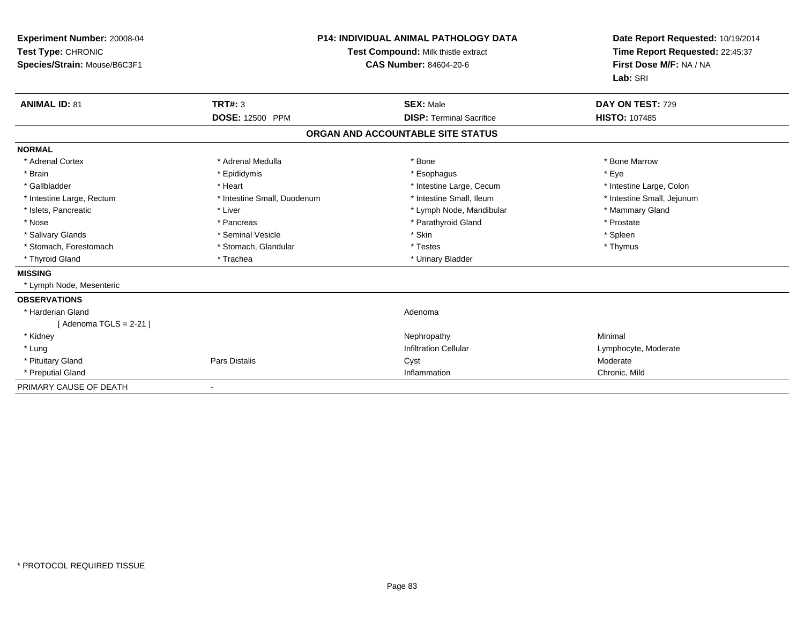| Experiment Number: 20008-04<br>Test Type: CHRONIC<br>Species/Strain: Mouse/B6C3F1 |                             | <b>P14: INDIVIDUAL ANIMAL PATHOLOGY DATA</b><br>Test Compound: Milk thistle extract<br><b>CAS Number: 84604-20-6</b> | Date Report Requested: 10/19/2014<br>Time Report Requested: 22:45:37<br>First Dose M/F: NA / NA<br>Lab: SRI |
|-----------------------------------------------------------------------------------|-----------------------------|----------------------------------------------------------------------------------------------------------------------|-------------------------------------------------------------------------------------------------------------|
| <b>ANIMAL ID: 81</b>                                                              | <b>TRT#: 3</b>              | <b>SEX: Male</b>                                                                                                     | DAY ON TEST: 729                                                                                            |
|                                                                                   | DOSE: 12500 PPM             | <b>DISP: Terminal Sacrifice</b>                                                                                      | <b>HISTO: 107485</b>                                                                                        |
|                                                                                   |                             | ORGAN AND ACCOUNTABLE SITE STATUS                                                                                    |                                                                                                             |
| <b>NORMAL</b>                                                                     |                             |                                                                                                                      |                                                                                                             |
| * Adrenal Cortex                                                                  | * Adrenal Medulla           | * Bone                                                                                                               | * Bone Marrow                                                                                               |
| * Brain                                                                           | * Epididymis                | * Esophagus                                                                                                          | * Eye                                                                                                       |
| * Gallbladder                                                                     | * Heart                     | * Intestine Large, Cecum                                                                                             | * Intestine Large, Colon                                                                                    |
| * Intestine Large, Rectum                                                         | * Intestine Small, Duodenum | * Intestine Small, Ileum                                                                                             | * Intestine Small, Jejunum                                                                                  |
| * Islets, Pancreatic                                                              | * Liver                     | * Lymph Node, Mandibular                                                                                             | * Mammary Gland                                                                                             |
| * Nose                                                                            | * Pancreas                  | * Parathyroid Gland                                                                                                  | * Prostate                                                                                                  |
| * Salivary Glands                                                                 | * Seminal Vesicle           | * Skin                                                                                                               | * Spleen                                                                                                    |
| * Stomach, Forestomach                                                            | * Stomach, Glandular        | * Testes                                                                                                             | * Thymus                                                                                                    |
| * Thyroid Gland                                                                   | * Trachea                   | * Urinary Bladder                                                                                                    |                                                                                                             |
| <b>MISSING</b>                                                                    |                             |                                                                                                                      |                                                                                                             |
| * Lymph Node, Mesenteric                                                          |                             |                                                                                                                      |                                                                                                             |
| <b>OBSERVATIONS</b>                                                               |                             |                                                                                                                      |                                                                                                             |
| * Harderian Gland                                                                 |                             | Adenoma                                                                                                              |                                                                                                             |
| [Adenoma TGLS = $2-21$ ]                                                          |                             |                                                                                                                      |                                                                                                             |
| * Kidney                                                                          |                             | Nephropathy                                                                                                          | Minimal                                                                                                     |
| * Lung                                                                            |                             | <b>Infiltration Cellular</b>                                                                                         | Lymphocyte, Moderate                                                                                        |
| * Pituitary Gland                                                                 | <b>Pars Distalis</b>        | Cyst                                                                                                                 | Moderate                                                                                                    |
| * Preputial Gland                                                                 |                             | Inflammation                                                                                                         | Chronic, Mild                                                                                               |
| PRIMARY CAUSE OF DEATH                                                            |                             |                                                                                                                      |                                                                                                             |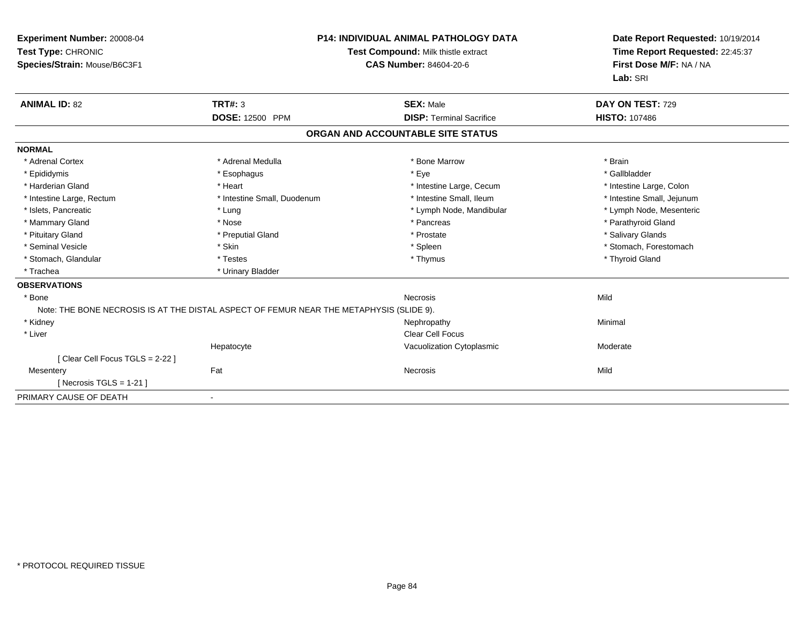| Experiment Number: 20008-04<br>Test Type: CHRONIC<br>Species/Strain: Mouse/B6C3F1       | <b>P14: INDIVIDUAL ANIMAL PATHOLOGY DATA</b><br>Test Compound: Milk thistle extract<br><b>CAS Number: 84604-20-6</b> |                                   | Date Report Requested: 10/19/2014<br>Time Report Requested: 22:45:37<br>First Dose M/F: NA / NA<br>Lab: SRI |
|-----------------------------------------------------------------------------------------|----------------------------------------------------------------------------------------------------------------------|-----------------------------------|-------------------------------------------------------------------------------------------------------------|
| <b>ANIMAL ID: 82</b>                                                                    | <b>TRT#: 3</b>                                                                                                       | <b>SEX: Male</b>                  | DAY ON TEST: 729                                                                                            |
|                                                                                         | <b>DOSE: 12500 PPM</b>                                                                                               | <b>DISP: Terminal Sacrifice</b>   | <b>HISTO: 107486</b>                                                                                        |
|                                                                                         |                                                                                                                      | ORGAN AND ACCOUNTABLE SITE STATUS |                                                                                                             |
| <b>NORMAL</b>                                                                           |                                                                                                                      |                                   |                                                                                                             |
| * Adrenal Cortex                                                                        | * Adrenal Medulla                                                                                                    | * Bone Marrow                     | * Brain                                                                                                     |
| * Epididymis                                                                            | * Esophagus                                                                                                          | * Eye                             | * Gallbladder                                                                                               |
| * Harderian Gland                                                                       | * Heart                                                                                                              | * Intestine Large, Cecum          | * Intestine Large, Colon                                                                                    |
| * Intestine Large, Rectum                                                               | * Intestine Small, Duodenum                                                                                          | * Intestine Small, Ileum          | * Intestine Small, Jejunum                                                                                  |
| * Islets, Pancreatic                                                                    | * Lung                                                                                                               | * Lymph Node, Mandibular          | * Lymph Node, Mesenteric                                                                                    |
| * Mammary Gland                                                                         | * Nose                                                                                                               | * Pancreas                        | * Parathyroid Gland                                                                                         |
| * Pituitary Gland                                                                       | * Preputial Gland                                                                                                    | * Prostate                        | * Salivary Glands                                                                                           |
| * Seminal Vesicle                                                                       | * Skin                                                                                                               | * Spleen                          | * Stomach, Forestomach                                                                                      |
| * Stomach, Glandular                                                                    | * Testes                                                                                                             | * Thymus                          | * Thyroid Gland                                                                                             |
| * Trachea                                                                               | * Urinary Bladder                                                                                                    |                                   |                                                                                                             |
| <b>OBSERVATIONS</b>                                                                     |                                                                                                                      |                                   |                                                                                                             |
| * Bone                                                                                  |                                                                                                                      | <b>Necrosis</b>                   | Mild                                                                                                        |
| Note: THE BONE NECROSIS IS AT THE DISTAL ASPECT OF FEMUR NEAR THE METAPHYSIS (SLIDE 9). |                                                                                                                      |                                   |                                                                                                             |
| * Kidney                                                                                |                                                                                                                      | Nephropathy                       | Minimal                                                                                                     |
| * Liver                                                                                 |                                                                                                                      | <b>Clear Cell Focus</b>           |                                                                                                             |
|                                                                                         | Hepatocyte                                                                                                           | Vacuolization Cytoplasmic         | Moderate                                                                                                    |
| [ Clear Cell Focus TGLS = 2-22 ]                                                        |                                                                                                                      |                                   |                                                                                                             |
| Mesentery                                                                               | Fat                                                                                                                  | Necrosis                          | Mild                                                                                                        |
| [ Necrosis TGLS = $1-21$ ]                                                              |                                                                                                                      |                                   |                                                                                                             |
| PRIMARY CAUSE OF DEATH                                                                  |                                                                                                                      |                                   |                                                                                                             |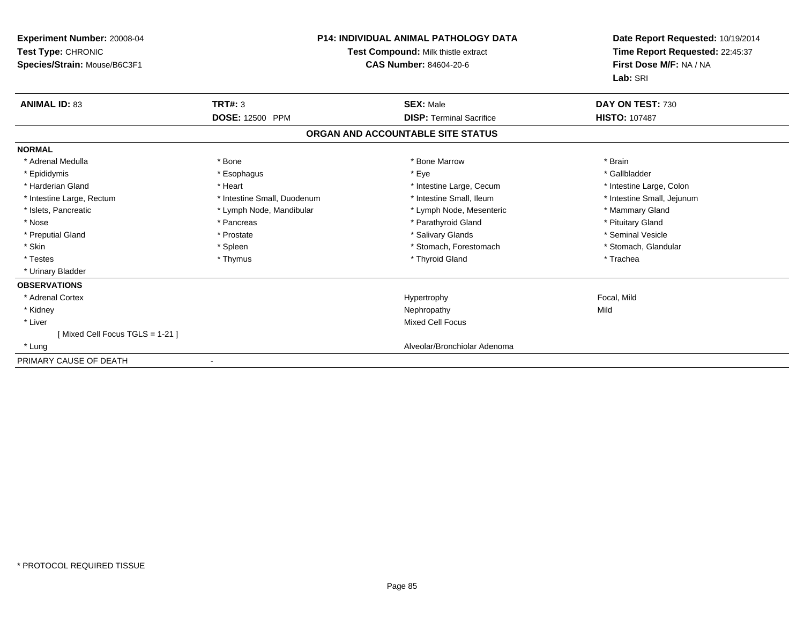| <b>Experiment Number: 20008-04</b><br>Test Type: CHRONIC<br>Species/Strain: Mouse/B6C3F1 | <b>P14: INDIVIDUAL ANIMAL PATHOLOGY DATA</b><br>Test Compound: Milk thistle extract<br><b>CAS Number: 84604-20-6</b> |                                   | Date Report Requested: 10/19/2014<br>Time Report Requested: 22:45:37<br>First Dose M/F: NA / NA<br>Lab: SRI |
|------------------------------------------------------------------------------------------|----------------------------------------------------------------------------------------------------------------------|-----------------------------------|-------------------------------------------------------------------------------------------------------------|
| <b>ANIMAL ID: 83</b>                                                                     | <b>TRT#: 3</b>                                                                                                       | <b>SEX: Male</b>                  | DAY ON TEST: 730                                                                                            |
|                                                                                          | <b>DOSE: 12500 PPM</b>                                                                                               | <b>DISP: Terminal Sacrifice</b>   | <b>HISTO: 107487</b>                                                                                        |
|                                                                                          |                                                                                                                      | ORGAN AND ACCOUNTABLE SITE STATUS |                                                                                                             |
| <b>NORMAL</b>                                                                            |                                                                                                                      |                                   |                                                                                                             |
| * Adrenal Medulla                                                                        | * Bone                                                                                                               | * Bone Marrow                     | * Brain                                                                                                     |
| * Epididymis                                                                             | * Esophagus                                                                                                          | * Eye                             | * Gallbladder                                                                                               |
| * Harderian Gland                                                                        | * Heart                                                                                                              | * Intestine Large, Cecum          | * Intestine Large, Colon                                                                                    |
| * Intestine Large, Rectum                                                                | * Intestine Small, Duodenum                                                                                          | * Intestine Small, Ileum          | * Intestine Small, Jejunum                                                                                  |
| * Islets, Pancreatic                                                                     | * Lymph Node, Mandibular                                                                                             | * Lymph Node, Mesenteric          | * Mammary Gland                                                                                             |
| * Nose                                                                                   | * Pancreas                                                                                                           | * Parathyroid Gland               | * Pituitary Gland                                                                                           |
| * Preputial Gland                                                                        | * Prostate                                                                                                           | * Salivary Glands                 | * Seminal Vesicle                                                                                           |
| * Skin                                                                                   | * Spleen                                                                                                             | * Stomach, Forestomach            | * Stomach, Glandular                                                                                        |
| * Testes                                                                                 | * Thymus                                                                                                             | * Thyroid Gland                   | * Trachea                                                                                                   |
| * Urinary Bladder                                                                        |                                                                                                                      |                                   |                                                                                                             |
| <b>OBSERVATIONS</b>                                                                      |                                                                                                                      |                                   |                                                                                                             |
| * Adrenal Cortex                                                                         |                                                                                                                      | Hypertrophy                       | Focal, Mild                                                                                                 |
| * Kidney                                                                                 |                                                                                                                      | Nephropathy                       | Mild                                                                                                        |
| * Liver                                                                                  |                                                                                                                      | <b>Mixed Cell Focus</b>           |                                                                                                             |
| [Mixed Cell Focus TGLS = 1-21]                                                           |                                                                                                                      |                                   |                                                                                                             |
| * Lung                                                                                   |                                                                                                                      | Alveolar/Bronchiolar Adenoma      |                                                                                                             |
| PRIMARY CAUSE OF DEATH                                                                   |                                                                                                                      |                                   |                                                                                                             |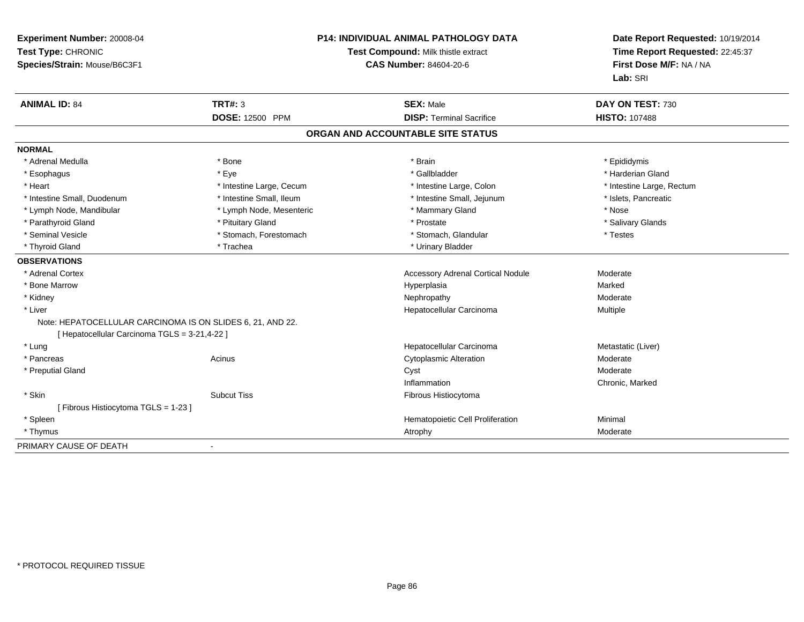| Experiment Number: 20008-04<br>Test Type: CHRONIC<br>Species/Strain: Mouse/B6C3F1 | P14: INDIVIDUAL ANIMAL PATHOLOGY DATA<br>Test Compound: Milk thistle extract<br><b>CAS Number: 84604-20-6</b> |                                   | Date Report Requested: 10/19/2014<br>Time Report Requested: 22:45:37<br>First Dose M/F: NA / NA<br>Lab: SRI |
|-----------------------------------------------------------------------------------|---------------------------------------------------------------------------------------------------------------|-----------------------------------|-------------------------------------------------------------------------------------------------------------|
| <b>ANIMAL ID: 84</b>                                                              | <b>TRT#: 3</b>                                                                                                | <b>SEX: Male</b>                  | DAY ON TEST: 730                                                                                            |
|                                                                                   | DOSE: 12500 PPM                                                                                               | <b>DISP: Terminal Sacrifice</b>   | <b>HISTO: 107488</b>                                                                                        |
|                                                                                   |                                                                                                               | ORGAN AND ACCOUNTABLE SITE STATUS |                                                                                                             |
| <b>NORMAL</b>                                                                     |                                                                                                               |                                   |                                                                                                             |
| * Adrenal Medulla                                                                 | * Bone                                                                                                        | * Brain                           | * Epididymis                                                                                                |
| * Esophagus                                                                       | * Eye                                                                                                         | * Gallbladder                     | * Harderian Gland                                                                                           |
| * Heart                                                                           | * Intestine Large, Cecum                                                                                      | * Intestine Large, Colon          | * Intestine Large, Rectum                                                                                   |
| * Intestine Small, Duodenum                                                       | * Intestine Small, Ileum                                                                                      | * Intestine Small, Jejunum        | * Islets, Pancreatic                                                                                        |
| * Lymph Node, Mandibular                                                          | * Lymph Node, Mesenteric                                                                                      | * Mammary Gland                   | * Nose                                                                                                      |
| * Parathyroid Gland                                                               | * Pituitary Gland                                                                                             | * Prostate                        | * Salivary Glands                                                                                           |
| * Seminal Vesicle                                                                 | * Stomach, Forestomach                                                                                        | * Stomach, Glandular              | * Testes                                                                                                    |
| * Thyroid Gland                                                                   | * Trachea                                                                                                     | * Urinary Bladder                 |                                                                                                             |
| <b>OBSERVATIONS</b>                                                               |                                                                                                               |                                   |                                                                                                             |
| * Adrenal Cortex                                                                  |                                                                                                               | Accessory Adrenal Cortical Nodule | Moderate                                                                                                    |
| * Bone Marrow                                                                     |                                                                                                               | Hyperplasia                       | Marked                                                                                                      |
| * Kidney                                                                          |                                                                                                               | Nephropathy                       | Moderate                                                                                                    |
| * Liver                                                                           |                                                                                                               | Hepatocellular Carcinoma          | Multiple                                                                                                    |
| Note: HEPATOCELLULAR CARCINOMA IS ON SLIDES 6, 21, AND 22.                        |                                                                                                               |                                   |                                                                                                             |
| [ Hepatocellular Carcinoma TGLS = 3-21,4-22 ]                                     |                                                                                                               |                                   |                                                                                                             |
| * Lung                                                                            |                                                                                                               | Hepatocellular Carcinoma          | Metastatic (Liver)                                                                                          |
| * Pancreas                                                                        | Acinus                                                                                                        | <b>Cytoplasmic Alteration</b>     | Moderate                                                                                                    |
| * Preputial Gland                                                                 |                                                                                                               | Cyst                              | Moderate                                                                                                    |
|                                                                                   |                                                                                                               | Inflammation                      | Chronic, Marked                                                                                             |
| * Skin                                                                            | <b>Subcut Tiss</b>                                                                                            | Fibrous Histiocytoma              |                                                                                                             |
| [Fibrous Histiocytoma TGLS = 1-23]                                                |                                                                                                               |                                   |                                                                                                             |
| * Spleen                                                                          |                                                                                                               | Hematopoietic Cell Proliferation  | Minimal                                                                                                     |
| * Thymus                                                                          |                                                                                                               | Atrophy                           | Moderate                                                                                                    |
| PRIMARY CAUSE OF DEATH                                                            |                                                                                                               |                                   |                                                                                                             |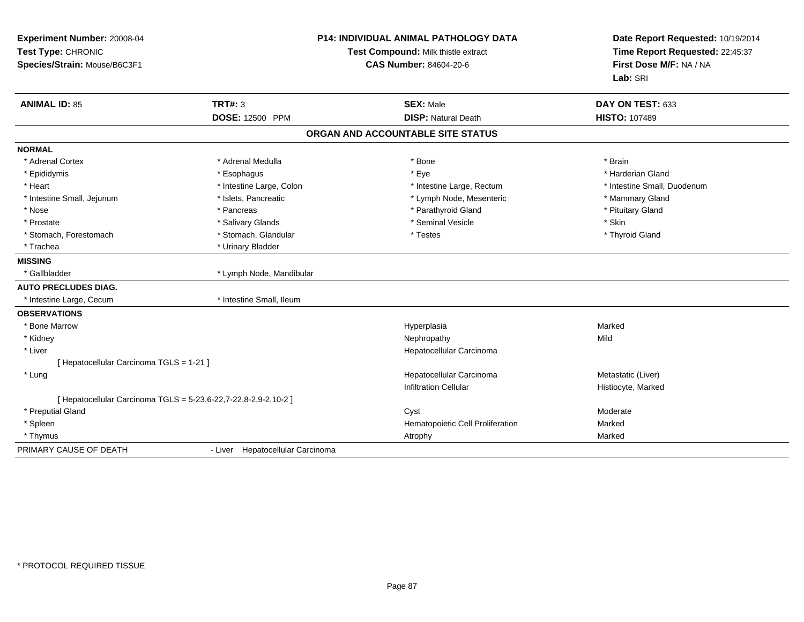| Experiment Number: 20008-04<br>Test Type: CHRONIC<br>Species/Strain: Mouse/B6C3F1 | <b>P14: INDIVIDUAL ANIMAL PATHOLOGY DATA</b><br>Test Compound: Milk thistle extract<br>CAS Number: 84604-20-6 |                                                | Date Report Requested: 10/19/2014<br>Time Report Requested: 22:45:37<br>First Dose M/F: NA / NA<br>Lab: SRI |  |
|-----------------------------------------------------------------------------------|---------------------------------------------------------------------------------------------------------------|------------------------------------------------|-------------------------------------------------------------------------------------------------------------|--|
| <b>ANIMAL ID: 85</b>                                                              | <b>TRT#: 3</b><br>DOSE: 12500 PPM                                                                             | <b>SEX: Male</b><br><b>DISP: Natural Death</b> | DAY ON TEST: 633<br><b>HISTO: 107489</b>                                                                    |  |
|                                                                                   |                                                                                                               | ORGAN AND ACCOUNTABLE SITE STATUS              |                                                                                                             |  |
|                                                                                   |                                                                                                               |                                                |                                                                                                             |  |
| <b>NORMAL</b>                                                                     |                                                                                                               |                                                |                                                                                                             |  |
| * Adrenal Cortex                                                                  | * Adrenal Medulla                                                                                             | * Bone                                         | * Brain                                                                                                     |  |
| * Epididymis                                                                      | * Esophagus                                                                                                   | * Eye                                          | * Harderian Gland                                                                                           |  |
| * Heart                                                                           | * Intestine Large, Colon                                                                                      | * Intestine Large, Rectum                      | * Intestine Small, Duodenum                                                                                 |  |
| * Intestine Small, Jejunum                                                        | * Islets, Pancreatic                                                                                          | * Lymph Node, Mesenteric                       | * Mammary Gland                                                                                             |  |
| * Nose                                                                            | * Pancreas                                                                                                    | * Parathyroid Gland                            | * Pituitary Gland                                                                                           |  |
| * Prostate                                                                        | * Salivary Glands                                                                                             | * Seminal Vesicle                              | * Skin                                                                                                      |  |
| * Stomach, Forestomach                                                            | * Stomach, Glandular                                                                                          | * Testes                                       | * Thyroid Gland                                                                                             |  |
| * Trachea                                                                         | * Urinary Bladder                                                                                             |                                                |                                                                                                             |  |
| <b>MISSING</b>                                                                    |                                                                                                               |                                                |                                                                                                             |  |
| * Gallbladder                                                                     | * Lymph Node, Mandibular                                                                                      |                                                |                                                                                                             |  |
| <b>AUTO PRECLUDES DIAG.</b>                                                       |                                                                                                               |                                                |                                                                                                             |  |
| * Intestine Large, Cecum                                                          | * Intestine Small, Ileum                                                                                      |                                                |                                                                                                             |  |
| <b>OBSERVATIONS</b>                                                               |                                                                                                               |                                                |                                                                                                             |  |
| * Bone Marrow                                                                     |                                                                                                               | Hyperplasia                                    | Marked                                                                                                      |  |
| * Kidney                                                                          |                                                                                                               | Nephropathy                                    | Mild                                                                                                        |  |
| * Liver                                                                           |                                                                                                               | Hepatocellular Carcinoma                       |                                                                                                             |  |
| [ Hepatocellular Carcinoma TGLS = 1-21 ]                                          |                                                                                                               |                                                |                                                                                                             |  |
| * Lung                                                                            |                                                                                                               | Hepatocellular Carcinoma                       | Metastatic (Liver)                                                                                          |  |
|                                                                                   |                                                                                                               | <b>Infiltration Cellular</b>                   | Histiocyte, Marked                                                                                          |  |
| [ Hepatocellular Carcinoma TGLS = 5-23,6-22,7-22,8-2,9-2,10-2 ]                   |                                                                                                               |                                                |                                                                                                             |  |
| * Preputial Gland                                                                 |                                                                                                               | Cyst                                           | Moderate                                                                                                    |  |
| * Spleen                                                                          |                                                                                                               | Hematopoietic Cell Proliferation               | Marked                                                                                                      |  |
| * Thymus                                                                          |                                                                                                               | Atrophy                                        | Marked                                                                                                      |  |
| PRIMARY CAUSE OF DEATH                                                            | - Liver Hepatocellular Carcinoma                                                                              |                                                |                                                                                                             |  |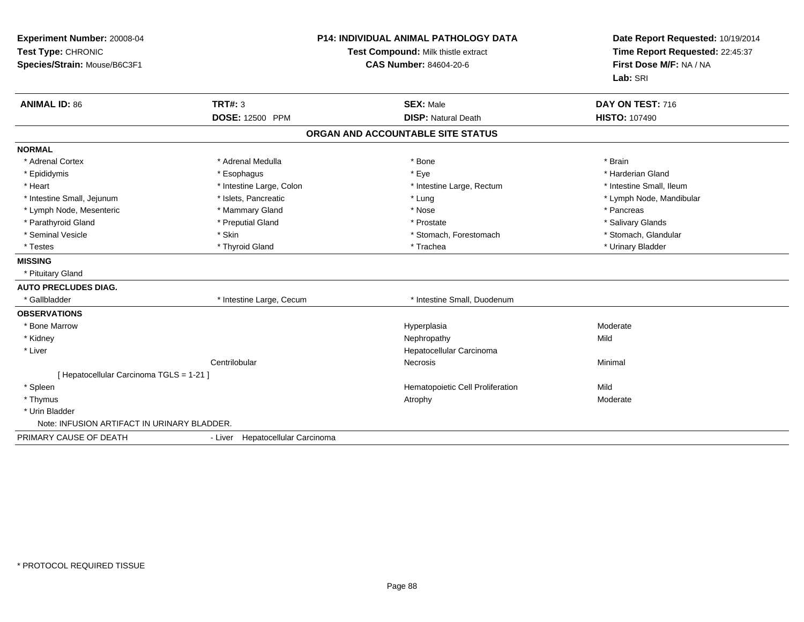| Experiment Number: 20008-04<br>Test Type: CHRONIC<br>Species/Strain: Mouse/B6C3F1<br><b>ANIMAL ID: 86</b> | <b>TRT#: 3</b>                   | <b>P14: INDIVIDUAL ANIMAL PATHOLOGY DATA</b><br>Test Compound: Milk thistle extract<br><b>CAS Number: 84604-20-6</b><br><b>SEX: Male</b> | Date Report Requested: 10/19/2014<br>Time Report Requested: 22:45:37<br>First Dose M/F: NA / NA<br>Lab: SRI<br>DAY ON TEST: 716 |
|-----------------------------------------------------------------------------------------------------------|----------------------------------|------------------------------------------------------------------------------------------------------------------------------------------|---------------------------------------------------------------------------------------------------------------------------------|
|                                                                                                           | <b>DOSE: 12500 PPM</b>           | <b>DISP: Natural Death</b>                                                                                                               | <b>HISTO: 107490</b>                                                                                                            |
|                                                                                                           |                                  | ORGAN AND ACCOUNTABLE SITE STATUS                                                                                                        |                                                                                                                                 |
| <b>NORMAL</b>                                                                                             |                                  |                                                                                                                                          |                                                                                                                                 |
| * Adrenal Cortex                                                                                          | * Adrenal Medulla                | * Bone                                                                                                                                   | * Brain                                                                                                                         |
| * Epididymis                                                                                              | * Esophagus                      | * Eye                                                                                                                                    | * Harderian Gland                                                                                                               |
| * Heart                                                                                                   | * Intestine Large, Colon         | * Intestine Large, Rectum                                                                                                                | * Intestine Small, Ileum                                                                                                        |
| * Intestine Small, Jejunum                                                                                | * Islets, Pancreatic             | * Lung                                                                                                                                   | * Lymph Node, Mandibular                                                                                                        |
| * Lymph Node, Mesenteric                                                                                  | * Mammary Gland                  | * Nose                                                                                                                                   | * Pancreas                                                                                                                      |
| * Parathyroid Gland                                                                                       | * Preputial Gland                | * Prostate                                                                                                                               | * Salivary Glands                                                                                                               |
| * Seminal Vesicle                                                                                         | * Skin                           | * Stomach, Forestomach                                                                                                                   | * Stomach, Glandular                                                                                                            |
| * Testes                                                                                                  | * Thyroid Gland                  | * Trachea                                                                                                                                | * Urinary Bladder                                                                                                               |
| <b>MISSING</b>                                                                                            |                                  |                                                                                                                                          |                                                                                                                                 |
| * Pituitary Gland                                                                                         |                                  |                                                                                                                                          |                                                                                                                                 |
| <b>AUTO PRECLUDES DIAG.</b>                                                                               |                                  |                                                                                                                                          |                                                                                                                                 |
| * Gallbladder                                                                                             | * Intestine Large, Cecum         | * Intestine Small, Duodenum                                                                                                              |                                                                                                                                 |
| <b>OBSERVATIONS</b>                                                                                       |                                  |                                                                                                                                          |                                                                                                                                 |
| * Bone Marrow                                                                                             |                                  | Hyperplasia                                                                                                                              | Moderate                                                                                                                        |
| * Kidney                                                                                                  |                                  | Nephropathy                                                                                                                              | Mild                                                                                                                            |
| * Liver                                                                                                   |                                  | Hepatocellular Carcinoma                                                                                                                 |                                                                                                                                 |
|                                                                                                           | Centrilobular                    | Necrosis                                                                                                                                 | Minimal                                                                                                                         |
| [ Hepatocellular Carcinoma TGLS = 1-21 ]                                                                  |                                  |                                                                                                                                          |                                                                                                                                 |
| * Spleen                                                                                                  |                                  | Hematopoietic Cell Proliferation                                                                                                         | Mild                                                                                                                            |
| * Thymus                                                                                                  |                                  | Atrophy                                                                                                                                  | Moderate                                                                                                                        |
| * Urin Bladder                                                                                            |                                  |                                                                                                                                          |                                                                                                                                 |
| Note: INFUSION ARTIFACT IN URINARY BLADDER.                                                               |                                  |                                                                                                                                          |                                                                                                                                 |
| PRIMARY CAUSE OF DEATH                                                                                    | - Liver Hepatocellular Carcinoma |                                                                                                                                          |                                                                                                                                 |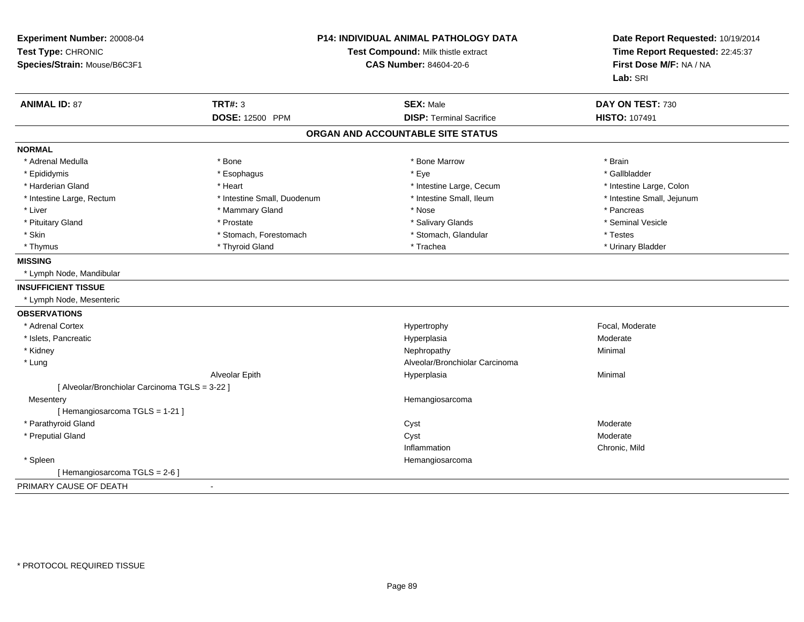| Experiment Number: 20008-04<br>Test Type: CHRONIC<br>Species/Strain: Mouse/B6C3F1 | P14: INDIVIDUAL ANIMAL PATHOLOGY DATA<br>Test Compound: Milk thistle extract<br><b>CAS Number: 84604-20-6</b> |                                   | Date Report Requested: 10/19/2014<br>Time Report Requested: 22:45:37<br>First Dose M/F: NA / NA<br>Lab: SRI |
|-----------------------------------------------------------------------------------|---------------------------------------------------------------------------------------------------------------|-----------------------------------|-------------------------------------------------------------------------------------------------------------|
| <b>ANIMAL ID: 87</b>                                                              | <b>TRT#: 3</b>                                                                                                | <b>SEX: Male</b>                  | DAY ON TEST: 730                                                                                            |
|                                                                                   | <b>DOSE: 12500 PPM</b>                                                                                        | <b>DISP: Terminal Sacrifice</b>   | <b>HISTO: 107491</b>                                                                                        |
|                                                                                   |                                                                                                               | ORGAN AND ACCOUNTABLE SITE STATUS |                                                                                                             |
| <b>NORMAL</b>                                                                     |                                                                                                               |                                   |                                                                                                             |
| * Adrenal Medulla                                                                 | * Bone                                                                                                        | * Bone Marrow                     | * Brain                                                                                                     |
| * Epididymis                                                                      | * Esophagus                                                                                                   | * Eye                             | * Gallbladder                                                                                               |
| * Harderian Gland                                                                 | * Heart                                                                                                       | * Intestine Large, Cecum          | * Intestine Large, Colon                                                                                    |
| * Intestine Large, Rectum                                                         | * Intestine Small, Duodenum                                                                                   | * Intestine Small, Ileum          | * Intestine Small, Jejunum                                                                                  |
| * Liver                                                                           | * Mammary Gland                                                                                               | * Nose                            | * Pancreas                                                                                                  |
| * Pituitary Gland                                                                 | * Prostate                                                                                                    | * Salivary Glands                 | * Seminal Vesicle                                                                                           |
| * Skin                                                                            | * Stomach, Forestomach                                                                                        | * Stomach, Glandular              | * Testes                                                                                                    |
| * Thymus                                                                          | * Thyroid Gland                                                                                               | * Trachea                         | * Urinary Bladder                                                                                           |
| <b>MISSING</b>                                                                    |                                                                                                               |                                   |                                                                                                             |
| * Lymph Node, Mandibular                                                          |                                                                                                               |                                   |                                                                                                             |
| <b>INSUFFICIENT TISSUE</b>                                                        |                                                                                                               |                                   |                                                                                                             |
| * Lymph Node, Mesenteric                                                          |                                                                                                               |                                   |                                                                                                             |
| <b>OBSERVATIONS</b>                                                               |                                                                                                               |                                   |                                                                                                             |
| * Adrenal Cortex                                                                  |                                                                                                               | Hypertrophy                       | Focal, Moderate                                                                                             |
| * Islets, Pancreatic                                                              |                                                                                                               | Hyperplasia                       | Moderate                                                                                                    |
| * Kidney                                                                          |                                                                                                               | Nephropathy                       | Minimal                                                                                                     |
| * Lung                                                                            |                                                                                                               | Alveolar/Bronchiolar Carcinoma    |                                                                                                             |
|                                                                                   | Alveolar Epith                                                                                                | Hyperplasia                       | Minimal                                                                                                     |
| [ Alveolar/Bronchiolar Carcinoma TGLS = 3-22 ]                                    |                                                                                                               |                                   |                                                                                                             |
| Mesentery                                                                         |                                                                                                               | Hemangiosarcoma                   |                                                                                                             |
| [Hemangiosarcoma TGLS = 1-21]                                                     |                                                                                                               |                                   |                                                                                                             |
| * Parathyroid Gland                                                               |                                                                                                               | Cyst                              | Moderate                                                                                                    |
| * Preputial Gland                                                                 |                                                                                                               | Cyst                              | Moderate                                                                                                    |
|                                                                                   |                                                                                                               | Inflammation                      | Chronic, Mild                                                                                               |
| * Spleen                                                                          |                                                                                                               | Hemangiosarcoma                   |                                                                                                             |
| [Hemangiosarcoma TGLS = 2-6 ]                                                     |                                                                                                               |                                   |                                                                                                             |
| PRIMARY CAUSE OF DEATH                                                            | $\blacksquare$                                                                                                |                                   |                                                                                                             |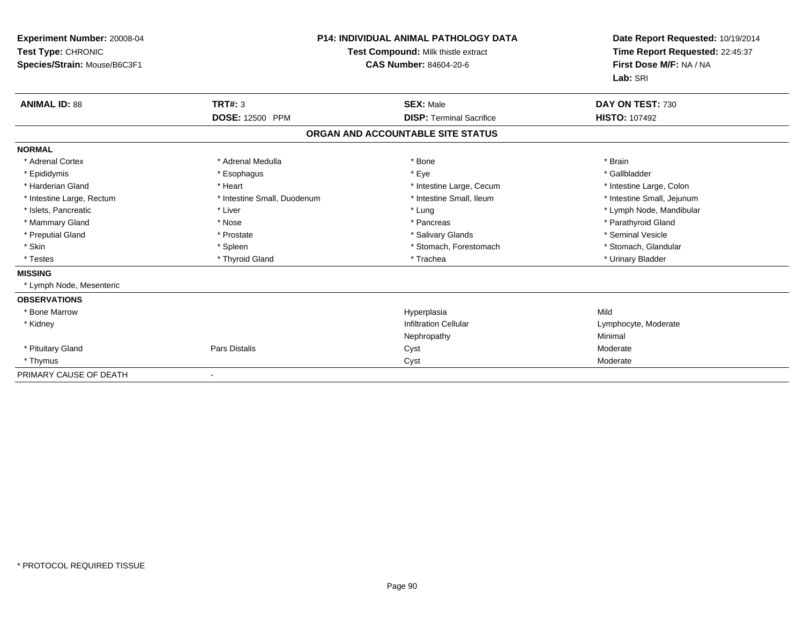| Experiment Number: 20008-04<br>Test Type: CHRONIC<br>Species/Strain: Mouse/B6C3F1 | <b>P14: INDIVIDUAL ANIMAL PATHOLOGY DATA</b><br>Test Compound: Milk thistle extract<br><b>CAS Number: 84604-20-6</b> |                                   | Date Report Requested: 10/19/2014<br>Time Report Requested: 22:45:37<br>First Dose M/F: NA / NA<br>Lab: SRI |
|-----------------------------------------------------------------------------------|----------------------------------------------------------------------------------------------------------------------|-----------------------------------|-------------------------------------------------------------------------------------------------------------|
| <b>ANIMAL ID: 88</b>                                                              | <b>TRT#: 3</b>                                                                                                       | <b>SEX: Male</b>                  | DAY ON TEST: 730                                                                                            |
|                                                                                   | <b>DOSE: 12500 PPM</b>                                                                                               | <b>DISP: Terminal Sacrifice</b>   | <b>HISTO: 107492</b>                                                                                        |
|                                                                                   |                                                                                                                      | ORGAN AND ACCOUNTABLE SITE STATUS |                                                                                                             |
| <b>NORMAL</b>                                                                     |                                                                                                                      |                                   |                                                                                                             |
| * Adrenal Cortex                                                                  | * Adrenal Medulla                                                                                                    | * Bone                            | * Brain                                                                                                     |
| * Epididymis                                                                      | * Esophagus                                                                                                          | * Eye                             | * Gallbladder                                                                                               |
| * Harderian Gland                                                                 | * Heart                                                                                                              | * Intestine Large, Cecum          | * Intestine Large, Colon                                                                                    |
| * Intestine Large, Rectum                                                         | * Intestine Small, Duodenum                                                                                          | * Intestine Small. Ileum          | * Intestine Small, Jejunum                                                                                  |
| * Islets, Pancreatic                                                              | * Liver                                                                                                              | * Lung                            | * Lymph Node, Mandibular                                                                                    |
| * Mammary Gland                                                                   | * Nose                                                                                                               | * Pancreas                        | * Parathyroid Gland                                                                                         |
| * Preputial Gland                                                                 | * Prostate                                                                                                           | * Salivary Glands                 | * Seminal Vesicle                                                                                           |
| * Skin                                                                            | * Spleen                                                                                                             | * Stomach, Forestomach            | * Stomach, Glandular                                                                                        |
| * Testes                                                                          | * Thyroid Gland                                                                                                      | * Trachea                         | * Urinary Bladder                                                                                           |
| <b>MISSING</b>                                                                    |                                                                                                                      |                                   |                                                                                                             |
| * Lymph Node, Mesenteric                                                          |                                                                                                                      |                                   |                                                                                                             |
| <b>OBSERVATIONS</b>                                                               |                                                                                                                      |                                   |                                                                                                             |
| * Bone Marrow                                                                     |                                                                                                                      | Hyperplasia                       | Mild                                                                                                        |
| * Kidney                                                                          |                                                                                                                      | <b>Infiltration Cellular</b>      | Lymphocyte, Moderate                                                                                        |
|                                                                                   |                                                                                                                      | Nephropathy                       | Minimal                                                                                                     |
| * Pituitary Gland                                                                 | <b>Pars Distalis</b>                                                                                                 | Cyst                              | Moderate                                                                                                    |
| * Thymus                                                                          |                                                                                                                      | Cyst                              | Moderate                                                                                                    |
| PRIMARY CAUSE OF DEATH                                                            |                                                                                                                      |                                   |                                                                                                             |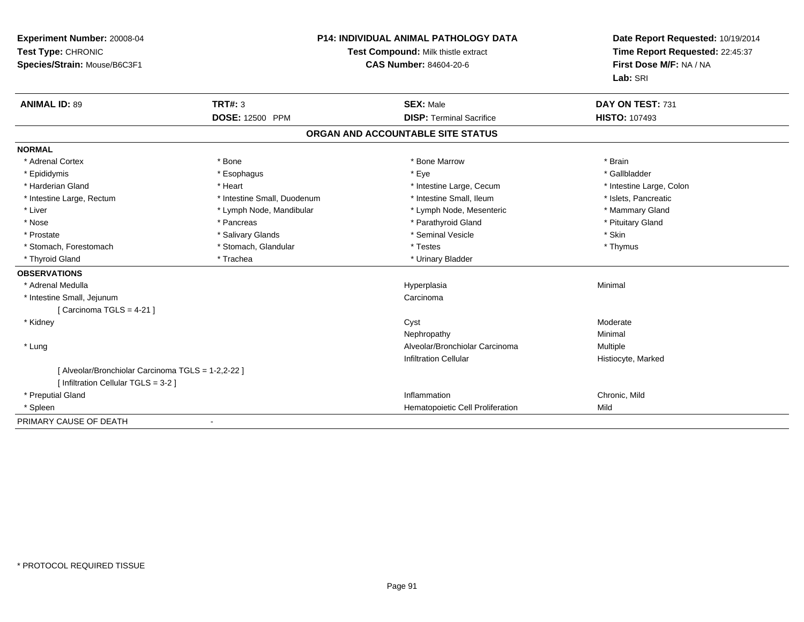| Experiment Number: 20008-04<br>Test Type: CHRONIC<br>Species/Strain: Mouse/B6C3F1 | P14: INDIVIDUAL ANIMAL PATHOLOGY DATA<br>Test Compound: Milk thistle extract<br><b>CAS Number: 84604-20-6</b> |                                   | Date Report Requested: 10/19/2014<br>Time Report Requested: 22:45:37<br>First Dose M/F: NA / NA<br>Lab: SRI |  |
|-----------------------------------------------------------------------------------|---------------------------------------------------------------------------------------------------------------|-----------------------------------|-------------------------------------------------------------------------------------------------------------|--|
| <b>ANIMAL ID: 89</b>                                                              | <b>TRT#: 3</b>                                                                                                | <b>SEX: Male</b>                  | DAY ON TEST: 731                                                                                            |  |
|                                                                                   | <b>DOSE: 12500 PPM</b>                                                                                        | <b>DISP: Terminal Sacrifice</b>   | <b>HISTO: 107493</b>                                                                                        |  |
|                                                                                   |                                                                                                               | ORGAN AND ACCOUNTABLE SITE STATUS |                                                                                                             |  |
| <b>NORMAL</b>                                                                     |                                                                                                               |                                   |                                                                                                             |  |
| * Adrenal Cortex                                                                  | * Bone                                                                                                        | * Bone Marrow                     | * Brain                                                                                                     |  |
| * Epididymis                                                                      | * Esophagus                                                                                                   | * Eye                             | * Gallbladder                                                                                               |  |
| * Harderian Gland                                                                 | * Heart                                                                                                       | * Intestine Large, Cecum          | * Intestine Large, Colon                                                                                    |  |
| * Intestine Large, Rectum                                                         | * Intestine Small, Duodenum                                                                                   | * Intestine Small, Ileum          | * Islets. Pancreatic                                                                                        |  |
| * Liver                                                                           | * Lymph Node, Mandibular                                                                                      | * Lymph Node, Mesenteric          | * Mammary Gland                                                                                             |  |
| * Nose                                                                            | * Pancreas                                                                                                    | * Parathyroid Gland               | * Pituitary Gland                                                                                           |  |
| * Prostate                                                                        | * Salivary Glands                                                                                             | * Seminal Vesicle                 | * Skin                                                                                                      |  |
| * Stomach, Forestomach                                                            | * Stomach, Glandular                                                                                          | * Testes                          | * Thymus                                                                                                    |  |
| * Thyroid Gland                                                                   | * Trachea                                                                                                     | * Urinary Bladder                 |                                                                                                             |  |
| <b>OBSERVATIONS</b>                                                               |                                                                                                               |                                   |                                                                                                             |  |
| * Adrenal Medulla                                                                 |                                                                                                               | Hyperplasia                       | Minimal                                                                                                     |  |
| * Intestine Small, Jejunum                                                        |                                                                                                               | Carcinoma                         |                                                                                                             |  |
| [ Carcinoma TGLS = $4-21$ ]                                                       |                                                                                                               |                                   |                                                                                                             |  |
| * Kidney                                                                          |                                                                                                               | Cyst                              | Moderate                                                                                                    |  |
|                                                                                   |                                                                                                               | Nephropathy                       | Minimal                                                                                                     |  |
| * Lung                                                                            |                                                                                                               | Alveolar/Bronchiolar Carcinoma    | <b>Multiple</b>                                                                                             |  |
|                                                                                   |                                                                                                               | <b>Infiltration Cellular</b>      | Histiocyte, Marked                                                                                          |  |
| [ Alveolar/Bronchiolar Carcinoma TGLS = 1-2,2-22 ]                                |                                                                                                               |                                   |                                                                                                             |  |
| [ Infiltration Cellular TGLS = 3-2 ]                                              |                                                                                                               |                                   |                                                                                                             |  |
| * Preputial Gland                                                                 |                                                                                                               | Inflammation                      | Chronic, Mild                                                                                               |  |
| * Spleen                                                                          |                                                                                                               | Hematopoietic Cell Proliferation  | Mild                                                                                                        |  |
| PRIMARY CAUSE OF DEATH                                                            |                                                                                                               |                                   |                                                                                                             |  |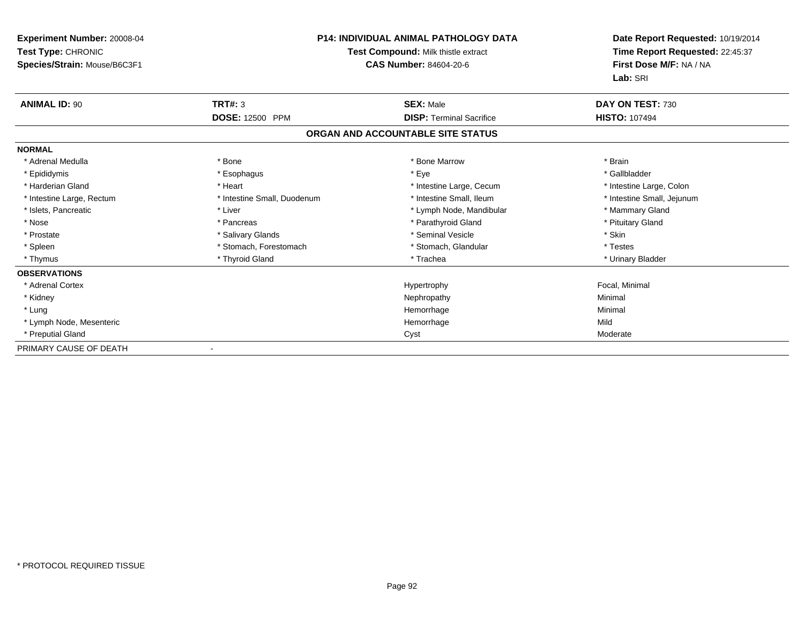| <b>Experiment Number: 20008-04</b><br>Test Type: CHRONIC<br>Species/Strain: Mouse/B6C3F1 | <b>P14: INDIVIDUAL ANIMAL PATHOLOGY DATA</b><br>Test Compound: Milk thistle extract<br><b>CAS Number: 84604-20-6</b> |                                   | Date Report Requested: 10/19/2014<br>Time Report Requested: 22:45:37<br>First Dose M/F: NA / NA<br>Lab: SRI |
|------------------------------------------------------------------------------------------|----------------------------------------------------------------------------------------------------------------------|-----------------------------------|-------------------------------------------------------------------------------------------------------------|
| <b>ANIMAL ID: 90</b>                                                                     | TRT#: 3                                                                                                              | <b>SEX: Male</b>                  | DAY ON TEST: 730                                                                                            |
|                                                                                          | DOSE: 12500 PPM                                                                                                      | <b>DISP: Terminal Sacrifice</b>   | <b>HISTO: 107494</b>                                                                                        |
|                                                                                          |                                                                                                                      | ORGAN AND ACCOUNTABLE SITE STATUS |                                                                                                             |
| <b>NORMAL</b>                                                                            |                                                                                                                      |                                   |                                                                                                             |
| * Adrenal Medulla                                                                        | * Bone                                                                                                               | * Bone Marrow                     | * Brain                                                                                                     |
| * Epididymis                                                                             | * Esophagus                                                                                                          | * Eye                             | * Gallbladder                                                                                               |
| * Harderian Gland                                                                        | * Heart                                                                                                              | * Intestine Large, Cecum          | * Intestine Large, Colon                                                                                    |
| * Intestine Large, Rectum                                                                | * Intestine Small, Duodenum                                                                                          | * Intestine Small, Ileum          | * Intestine Small, Jejunum                                                                                  |
| * Islets, Pancreatic                                                                     | * Liver                                                                                                              | * Lymph Node, Mandibular          | * Mammary Gland                                                                                             |
| * Nose                                                                                   | * Pancreas                                                                                                           | * Parathyroid Gland               | * Pituitary Gland                                                                                           |
| * Prostate                                                                               | * Salivary Glands                                                                                                    | * Seminal Vesicle                 | * Skin                                                                                                      |
| * Spleen                                                                                 | * Stomach, Forestomach                                                                                               | * Stomach, Glandular              | * Testes                                                                                                    |
| * Thymus                                                                                 | * Thyroid Gland                                                                                                      | * Trachea                         | * Urinary Bladder                                                                                           |
| <b>OBSERVATIONS</b>                                                                      |                                                                                                                      |                                   |                                                                                                             |
| * Adrenal Cortex                                                                         |                                                                                                                      | Hypertrophy                       | Focal, Minimal                                                                                              |
| * Kidney                                                                                 |                                                                                                                      | Nephropathy                       | Minimal                                                                                                     |
| * Lung                                                                                   |                                                                                                                      | Hemorrhage                        | Minimal                                                                                                     |
| * Lymph Node, Mesenteric                                                                 |                                                                                                                      | Hemorrhage                        | Mild                                                                                                        |
| * Preputial Gland                                                                        |                                                                                                                      | Cyst                              | Moderate                                                                                                    |
| PRIMARY CAUSE OF DEATH                                                                   | $\overline{\phantom{a}}$                                                                                             |                                   |                                                                                                             |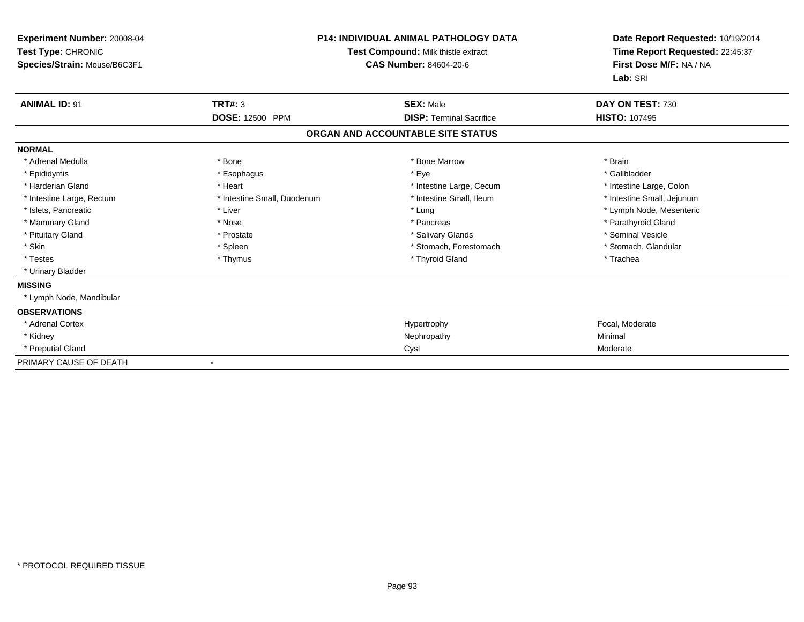| Experiment Number: 20008-04<br>Test Type: CHRONIC<br>Species/Strain: Mouse/B6C3F1 | <b>P14: INDIVIDUAL ANIMAL PATHOLOGY DATA</b><br>Test Compound: Milk thistle extract<br>CAS Number: 84604-20-6 |                                   | Date Report Requested: 10/19/2014<br>Time Report Requested: 22:45:37<br>First Dose M/F: NA / NA<br>Lab: SRI |  |
|-----------------------------------------------------------------------------------|---------------------------------------------------------------------------------------------------------------|-----------------------------------|-------------------------------------------------------------------------------------------------------------|--|
| <b>ANIMAL ID: 91</b>                                                              | TRT#: 3                                                                                                       | <b>SEX: Male</b>                  | DAY ON TEST: 730                                                                                            |  |
|                                                                                   | DOSE: 12500 PPM                                                                                               | <b>DISP: Terminal Sacrifice</b>   | <b>HISTO: 107495</b>                                                                                        |  |
|                                                                                   |                                                                                                               | ORGAN AND ACCOUNTABLE SITE STATUS |                                                                                                             |  |
| <b>NORMAL</b>                                                                     |                                                                                                               |                                   |                                                                                                             |  |
| * Adrenal Medulla                                                                 | * Bone                                                                                                        | * Bone Marrow                     | * Brain                                                                                                     |  |
| * Epididymis                                                                      | * Esophagus                                                                                                   | * Eye                             | * Gallbladder                                                                                               |  |
| * Harderian Gland                                                                 | * Heart                                                                                                       | * Intestine Large, Cecum          | * Intestine Large, Colon                                                                                    |  |
| * Intestine Large, Rectum                                                         | * Intestine Small, Duodenum                                                                                   | * Intestine Small, Ileum          | * Intestine Small, Jejunum                                                                                  |  |
| * Islets, Pancreatic                                                              | * Liver                                                                                                       | * Lung                            | * Lymph Node, Mesenteric                                                                                    |  |
| * Mammary Gland                                                                   | * Nose                                                                                                        | * Pancreas                        | * Parathyroid Gland                                                                                         |  |
| * Pituitary Gland                                                                 | * Prostate                                                                                                    | * Salivary Glands                 | * Seminal Vesicle                                                                                           |  |
| * Skin                                                                            | * Spleen                                                                                                      | * Stomach, Forestomach            | * Stomach, Glandular                                                                                        |  |
| * Testes                                                                          | * Thymus                                                                                                      | * Thyroid Gland                   | * Trachea                                                                                                   |  |
| * Urinary Bladder                                                                 |                                                                                                               |                                   |                                                                                                             |  |
| <b>MISSING</b>                                                                    |                                                                                                               |                                   |                                                                                                             |  |
| * Lymph Node, Mandibular                                                          |                                                                                                               |                                   |                                                                                                             |  |
| <b>OBSERVATIONS</b>                                                               |                                                                                                               |                                   |                                                                                                             |  |
| * Adrenal Cortex                                                                  |                                                                                                               | Hypertrophy                       | Focal, Moderate                                                                                             |  |
| * Kidney                                                                          |                                                                                                               | Nephropathy                       | Minimal                                                                                                     |  |
| * Preputial Gland                                                                 |                                                                                                               | Cyst                              | Moderate                                                                                                    |  |
| PRIMARY CAUSE OF DEATH                                                            |                                                                                                               |                                   |                                                                                                             |  |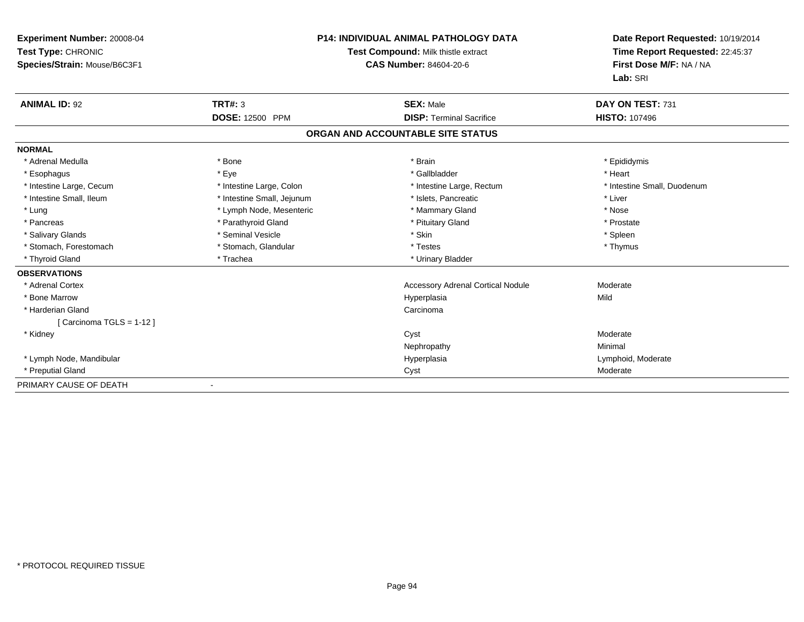| <b>Experiment Number: 20008-04</b><br>Test Type: CHRONIC<br>Species/Strain: Mouse/B6C3F1 | <b>P14: INDIVIDUAL ANIMAL PATHOLOGY DATA</b><br>Test Compound: Milk thistle extract<br><b>CAS Number: 84604-20-6</b> |                                          | Date Report Requested: 10/19/2014<br>Time Report Requested: 22:45:37<br>First Dose M/F: NA / NA<br>Lab: SRI |  |
|------------------------------------------------------------------------------------------|----------------------------------------------------------------------------------------------------------------------|------------------------------------------|-------------------------------------------------------------------------------------------------------------|--|
| <b>ANIMAL ID: 92</b>                                                                     | TRT#: 3                                                                                                              | <b>SEX: Male</b>                         | DAY ON TEST: 731                                                                                            |  |
|                                                                                          | <b>DOSE: 12500 PPM</b>                                                                                               | <b>DISP: Terminal Sacrifice</b>          | <b>HISTO: 107496</b>                                                                                        |  |
|                                                                                          |                                                                                                                      | ORGAN AND ACCOUNTABLE SITE STATUS        |                                                                                                             |  |
| <b>NORMAL</b>                                                                            |                                                                                                                      |                                          |                                                                                                             |  |
| * Adrenal Medulla                                                                        | <b>Bone</b>                                                                                                          | * Brain                                  | * Epididymis                                                                                                |  |
| * Esophagus                                                                              | * Eye                                                                                                                | * Gallbladder                            | * Heart                                                                                                     |  |
| * Intestine Large, Cecum                                                                 | * Intestine Large, Colon                                                                                             | * Intestine Large, Rectum                | * Intestine Small, Duodenum                                                                                 |  |
| * Intestine Small, Ileum                                                                 | * Intestine Small, Jejunum                                                                                           | * Islets, Pancreatic                     | * Liver                                                                                                     |  |
| * Lung                                                                                   | * Lymph Node, Mesenteric                                                                                             | * Mammary Gland                          | * Nose                                                                                                      |  |
| * Pancreas                                                                               | * Parathyroid Gland                                                                                                  | * Pituitary Gland                        | * Prostate                                                                                                  |  |
| * Salivary Glands                                                                        | * Seminal Vesicle                                                                                                    | * Skin                                   | * Spleen                                                                                                    |  |
| * Stomach, Forestomach                                                                   | * Stomach, Glandular                                                                                                 | * Testes                                 | * Thymus                                                                                                    |  |
| * Thyroid Gland                                                                          | * Trachea                                                                                                            | * Urinary Bladder                        |                                                                                                             |  |
| <b>OBSERVATIONS</b>                                                                      |                                                                                                                      |                                          |                                                                                                             |  |
| * Adrenal Cortex                                                                         |                                                                                                                      | <b>Accessory Adrenal Cortical Nodule</b> | Moderate                                                                                                    |  |
| * Bone Marrow                                                                            |                                                                                                                      | Hyperplasia                              | Mild                                                                                                        |  |
| * Harderian Gland                                                                        |                                                                                                                      | Carcinoma                                |                                                                                                             |  |
| [Carcinoma TGLS = 1-12]                                                                  |                                                                                                                      |                                          |                                                                                                             |  |
| * Kidney                                                                                 |                                                                                                                      | Cyst                                     | Moderate                                                                                                    |  |
|                                                                                          |                                                                                                                      | Nephropathy                              | Minimal                                                                                                     |  |
| * Lymph Node, Mandibular                                                                 |                                                                                                                      | Hyperplasia                              | Lymphoid, Moderate                                                                                          |  |
| * Preputial Gland                                                                        |                                                                                                                      | Cyst                                     | Moderate                                                                                                    |  |
| PRIMARY CAUSE OF DEATH                                                                   |                                                                                                                      |                                          |                                                                                                             |  |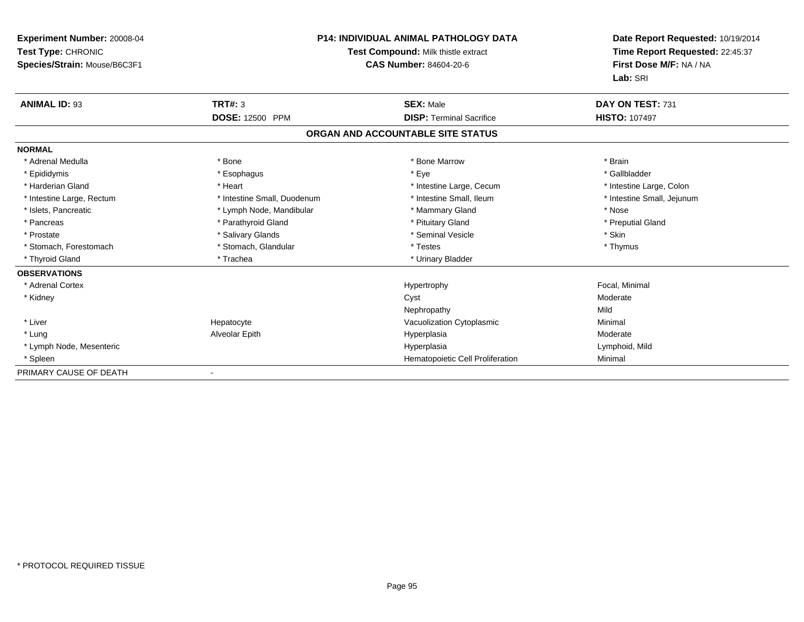| <b>Experiment Number: 20008-04</b><br>Test Type: CHRONIC<br>Species/Strain: Mouse/B6C3F1 | <b>P14: INDIVIDUAL ANIMAL PATHOLOGY DATA</b><br>Test Compound: Milk thistle extract<br><b>CAS Number: 84604-20-6</b> |                                   | Date Report Requested: 10/19/2014<br>Time Report Requested: 22:45:37<br>First Dose M/F: NA / NA<br>Lab: SRI |  |
|------------------------------------------------------------------------------------------|----------------------------------------------------------------------------------------------------------------------|-----------------------------------|-------------------------------------------------------------------------------------------------------------|--|
| <b>ANIMAL ID: 93</b>                                                                     | <b>TRT#: 3</b>                                                                                                       | <b>SEX: Male</b>                  | DAY ON TEST: 731                                                                                            |  |
|                                                                                          | <b>DOSE: 12500 PPM</b>                                                                                               | <b>DISP: Terminal Sacrifice</b>   | <b>HISTO: 107497</b>                                                                                        |  |
|                                                                                          |                                                                                                                      | ORGAN AND ACCOUNTABLE SITE STATUS |                                                                                                             |  |
| <b>NORMAL</b>                                                                            |                                                                                                                      |                                   |                                                                                                             |  |
| * Adrenal Medulla                                                                        | * Bone                                                                                                               | * Bone Marrow                     | * Brain                                                                                                     |  |
| * Epididymis                                                                             | * Esophagus                                                                                                          | * Eye                             | * Gallbladder                                                                                               |  |
| * Harderian Gland                                                                        | * Heart                                                                                                              | * Intestine Large, Cecum          | * Intestine Large, Colon                                                                                    |  |
| * Intestine Large, Rectum                                                                | * Intestine Small, Duodenum                                                                                          | * Intestine Small, Ileum          | * Intestine Small, Jejunum                                                                                  |  |
| * Islets, Pancreatic                                                                     | * Lymph Node, Mandibular                                                                                             | * Mammary Gland                   | * Nose                                                                                                      |  |
| * Pancreas                                                                               | * Parathyroid Gland                                                                                                  | * Pituitary Gland                 | * Preputial Gland                                                                                           |  |
| * Prostate                                                                               | * Salivary Glands                                                                                                    | * Seminal Vesicle                 | * Skin                                                                                                      |  |
| * Stomach, Forestomach                                                                   | * Stomach, Glandular                                                                                                 | * Testes                          | * Thymus                                                                                                    |  |
| * Thyroid Gland                                                                          | * Trachea                                                                                                            | * Urinary Bladder                 |                                                                                                             |  |
| <b>OBSERVATIONS</b>                                                                      |                                                                                                                      |                                   |                                                                                                             |  |
| * Adrenal Cortex                                                                         |                                                                                                                      | Hypertrophy                       | Focal, Minimal                                                                                              |  |
| * Kidney                                                                                 |                                                                                                                      | Cyst                              | Moderate                                                                                                    |  |
|                                                                                          |                                                                                                                      | Nephropathy                       | Mild                                                                                                        |  |
| * Liver                                                                                  | Hepatocyte                                                                                                           | Vacuolization Cytoplasmic         | Minimal                                                                                                     |  |
| * Lung                                                                                   | Alveolar Epith                                                                                                       | Hyperplasia                       | Moderate                                                                                                    |  |
| * Lymph Node, Mesenteric                                                                 |                                                                                                                      | Hyperplasia                       | Lymphoid, Mild                                                                                              |  |
| * Spleen                                                                                 |                                                                                                                      | Hematopoietic Cell Proliferation  | Minimal                                                                                                     |  |
| PRIMARY CAUSE OF DEATH                                                                   |                                                                                                                      |                                   |                                                                                                             |  |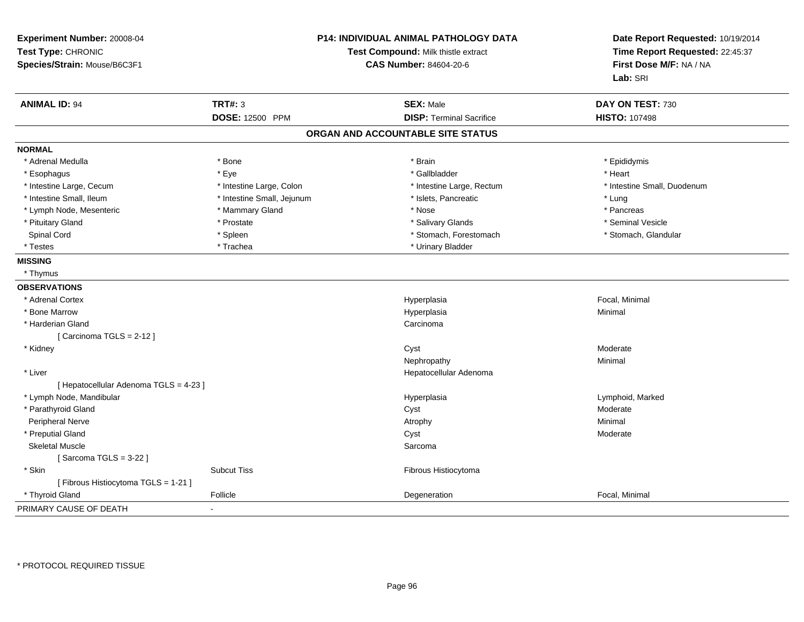| Experiment Number: 20008-04<br>Test Type: CHRONIC<br>Species/Strain: Mouse/B6C3F1 |                            | P14: INDIVIDUAL ANIMAL PATHOLOGY DATA<br>Test Compound: Milk thistle extract<br><b>CAS Number: 84604-20-6</b> | Date Report Requested: 10/19/2014<br>Time Report Requested: 22:45:37<br>First Dose M/F: NA / NA<br>Lab: SRI |
|-----------------------------------------------------------------------------------|----------------------------|---------------------------------------------------------------------------------------------------------------|-------------------------------------------------------------------------------------------------------------|
| <b>ANIMAL ID: 94</b>                                                              | <b>TRT#: 3</b>             | <b>SEX: Male</b>                                                                                              | DAY ON TEST: 730                                                                                            |
|                                                                                   | DOSE: 12500 PPM            | <b>DISP: Terminal Sacrifice</b>                                                                               | <b>HISTO: 107498</b>                                                                                        |
|                                                                                   |                            | ORGAN AND ACCOUNTABLE SITE STATUS                                                                             |                                                                                                             |
| <b>NORMAL</b>                                                                     |                            |                                                                                                               |                                                                                                             |
| * Adrenal Medulla                                                                 | * Bone                     | * Brain                                                                                                       | * Epididymis                                                                                                |
| * Esophagus                                                                       | * Eye                      | * Gallbladder                                                                                                 | * Heart                                                                                                     |
| * Intestine Large, Cecum                                                          | * Intestine Large, Colon   | * Intestine Large, Rectum                                                                                     | * Intestine Small, Duodenum                                                                                 |
| * Intestine Small, Ileum                                                          | * Intestine Small, Jejunum | * Islets, Pancreatic                                                                                          | * Lung                                                                                                      |
| * Lymph Node, Mesenteric                                                          | * Mammary Gland            | * Nose                                                                                                        | * Pancreas                                                                                                  |
| * Pituitary Gland                                                                 | * Prostate                 | * Salivary Glands                                                                                             | * Seminal Vesicle                                                                                           |
| Spinal Cord                                                                       | * Spleen                   | * Stomach, Forestomach                                                                                        | * Stomach, Glandular                                                                                        |
| * Testes                                                                          | * Trachea                  | * Urinary Bladder                                                                                             |                                                                                                             |
| <b>MISSING</b>                                                                    |                            |                                                                                                               |                                                                                                             |
| * Thymus                                                                          |                            |                                                                                                               |                                                                                                             |
| <b>OBSERVATIONS</b>                                                               |                            |                                                                                                               |                                                                                                             |
| * Adrenal Cortex                                                                  |                            | Hyperplasia                                                                                                   | Focal, Minimal                                                                                              |
| * Bone Marrow                                                                     |                            | Hyperplasia                                                                                                   | Minimal                                                                                                     |
| * Harderian Gland                                                                 |                            | Carcinoma                                                                                                     |                                                                                                             |
| [Carcinoma TGLS = 2-12]                                                           |                            |                                                                                                               |                                                                                                             |
| * Kidney                                                                          |                            | Cyst                                                                                                          | Moderate                                                                                                    |
|                                                                                   |                            | Nephropathy                                                                                                   | Minimal                                                                                                     |
| * Liver                                                                           |                            | Hepatocellular Adenoma                                                                                        |                                                                                                             |
| [ Hepatocellular Adenoma TGLS = 4-23 ]                                            |                            |                                                                                                               |                                                                                                             |
| * Lymph Node, Mandibular                                                          |                            | Hyperplasia                                                                                                   | Lymphoid, Marked                                                                                            |
| * Parathyroid Gland                                                               |                            | Cyst                                                                                                          | Moderate                                                                                                    |
| Peripheral Nerve                                                                  |                            | Atrophy                                                                                                       | Minimal                                                                                                     |
| * Preputial Gland                                                                 |                            | Cyst                                                                                                          | Moderate                                                                                                    |
| <b>Skeletal Muscle</b>                                                            |                            | Sarcoma                                                                                                       |                                                                                                             |
| [Sarcoma TGLS = $3-22$ ]                                                          |                            |                                                                                                               |                                                                                                             |
| * Skin                                                                            | <b>Subcut Tiss</b>         | Fibrous Histiocytoma                                                                                          |                                                                                                             |
| [Fibrous Histiocytoma TGLS = 1-21]                                                |                            |                                                                                                               |                                                                                                             |
| * Thyroid Gland                                                                   | Follicle                   | Degeneration                                                                                                  | Focal, Minimal                                                                                              |
| PRIMARY CAUSE OF DEATH                                                            |                            |                                                                                                               |                                                                                                             |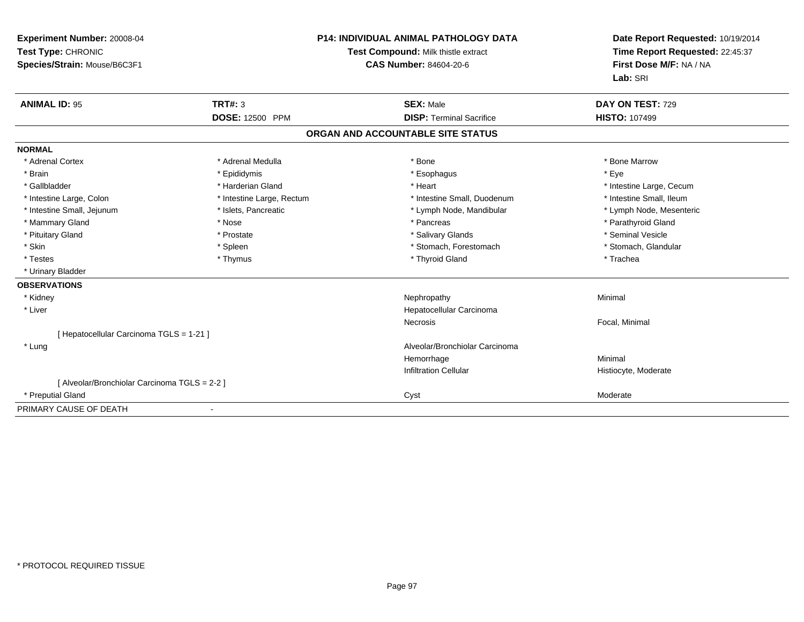| Experiment Number: 20008-04<br>Test Type: CHRONIC<br>Species/Strain: Mouse/B6C3F1 |                           | <b>P14: INDIVIDUAL ANIMAL PATHOLOGY DATA</b><br>Test Compound: Milk thistle extract<br><b>CAS Number: 84604-20-6</b> | Date Report Requested: 10/19/2014<br>Time Report Requested: 22:45:37<br>First Dose M/F: NA / NA<br>Lab: SRI |
|-----------------------------------------------------------------------------------|---------------------------|----------------------------------------------------------------------------------------------------------------------|-------------------------------------------------------------------------------------------------------------|
| <b>ANIMAL ID: 95</b>                                                              | <b>TRT#: 3</b>            | <b>SEX: Male</b>                                                                                                     | DAY ON TEST: 729                                                                                            |
|                                                                                   | <b>DOSE: 12500 PPM</b>    | <b>DISP: Terminal Sacrifice</b>                                                                                      | <b>HISTO: 107499</b>                                                                                        |
|                                                                                   |                           | ORGAN AND ACCOUNTABLE SITE STATUS                                                                                    |                                                                                                             |
| <b>NORMAL</b>                                                                     |                           |                                                                                                                      |                                                                                                             |
| * Adrenal Cortex                                                                  | * Adrenal Medulla         | * Bone                                                                                                               | * Bone Marrow                                                                                               |
| * Brain                                                                           | * Epididymis              | * Esophagus                                                                                                          | * Eye                                                                                                       |
| * Gallbladder                                                                     | * Harderian Gland         | * Heart                                                                                                              | * Intestine Large, Cecum                                                                                    |
| * Intestine Large, Colon                                                          | * Intestine Large, Rectum | * Intestine Small, Duodenum                                                                                          | * Intestine Small, Ileum                                                                                    |
| * Intestine Small, Jejunum                                                        | * Islets, Pancreatic      | * Lymph Node, Mandibular                                                                                             | * Lymph Node, Mesenteric                                                                                    |
| * Mammary Gland                                                                   | * Nose                    | * Pancreas                                                                                                           | * Parathyroid Gland                                                                                         |
| * Pituitary Gland                                                                 | * Prostate                | * Salivary Glands                                                                                                    | * Seminal Vesicle                                                                                           |
| * Skin                                                                            | * Spleen                  | * Stomach, Forestomach                                                                                               | * Stomach, Glandular                                                                                        |
| * Testes                                                                          | * Thymus                  | * Thyroid Gland                                                                                                      | * Trachea                                                                                                   |
| * Urinary Bladder                                                                 |                           |                                                                                                                      |                                                                                                             |
| <b>OBSERVATIONS</b>                                                               |                           |                                                                                                                      |                                                                                                             |
| * Kidney                                                                          |                           | Nephropathy                                                                                                          | Minimal                                                                                                     |
| * Liver                                                                           |                           | Hepatocellular Carcinoma                                                                                             |                                                                                                             |
|                                                                                   |                           | <b>Necrosis</b>                                                                                                      | Focal, Minimal                                                                                              |
| [ Hepatocellular Carcinoma TGLS = 1-21 ]                                          |                           |                                                                                                                      |                                                                                                             |
| * Lung                                                                            |                           | Alveolar/Bronchiolar Carcinoma                                                                                       |                                                                                                             |
|                                                                                   |                           | Hemorrhage                                                                                                           | Minimal                                                                                                     |
|                                                                                   |                           | <b>Infiltration Cellular</b>                                                                                         | Histiocyte, Moderate                                                                                        |
| [ Alveolar/Bronchiolar Carcinoma TGLS = 2-2 ]                                     |                           |                                                                                                                      |                                                                                                             |
| * Preputial Gland                                                                 |                           | Cyst                                                                                                                 | Moderate                                                                                                    |
| PRIMARY CAUSE OF DEATH                                                            |                           |                                                                                                                      |                                                                                                             |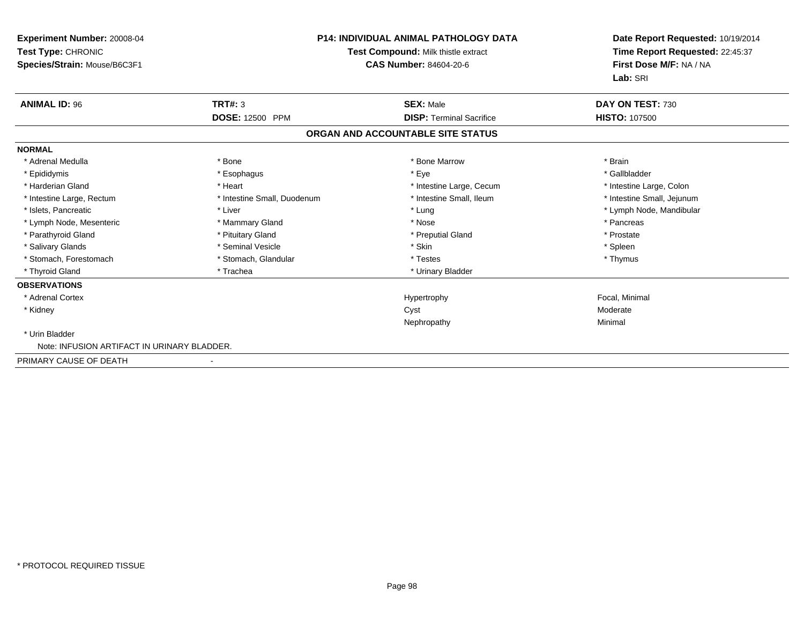| <b>Experiment Number: 20008-04</b><br>Test Type: CHRONIC<br>Species/Strain: Mouse/B6C3F1 |                             | <b>P14: INDIVIDUAL ANIMAL PATHOLOGY DATA</b><br>Test Compound: Milk thistle extract<br><b>CAS Number: 84604-20-6</b> | Date Report Requested: 10/19/2014<br>Time Report Requested: 22:45:37<br>First Dose M/F: NA / NA<br>Lab: SRI |
|------------------------------------------------------------------------------------------|-----------------------------|----------------------------------------------------------------------------------------------------------------------|-------------------------------------------------------------------------------------------------------------|
| <b>ANIMAL ID: 96</b>                                                                     | TRT#: 3                     | <b>SEX: Male</b>                                                                                                     | DAY ON TEST: 730                                                                                            |
|                                                                                          | DOSE: 12500 PPM             | <b>DISP: Terminal Sacrifice</b>                                                                                      | <b>HISTO: 107500</b>                                                                                        |
|                                                                                          |                             | ORGAN AND ACCOUNTABLE SITE STATUS                                                                                    |                                                                                                             |
| <b>NORMAL</b>                                                                            |                             |                                                                                                                      |                                                                                                             |
| * Adrenal Medulla                                                                        | * Bone                      | * Bone Marrow                                                                                                        | * Brain                                                                                                     |
| * Epididymis                                                                             | * Esophagus                 | * Eye                                                                                                                | * Gallbladder                                                                                               |
| * Harderian Gland                                                                        | * Heart                     | * Intestine Large, Cecum                                                                                             | * Intestine Large, Colon                                                                                    |
| * Intestine Large, Rectum                                                                | * Intestine Small, Duodenum | * Intestine Small, Ileum                                                                                             | * Intestine Small, Jejunum                                                                                  |
| * Islets, Pancreatic                                                                     | * Liver                     | * Lung                                                                                                               | * Lymph Node, Mandibular                                                                                    |
| * Lymph Node, Mesenteric                                                                 | * Mammary Gland             | * Nose                                                                                                               | * Pancreas                                                                                                  |
| * Parathyroid Gland                                                                      | * Pituitary Gland           | * Preputial Gland                                                                                                    | * Prostate                                                                                                  |
| * Salivary Glands                                                                        | * Seminal Vesicle           | * Skin                                                                                                               | * Spleen                                                                                                    |
| * Stomach, Forestomach                                                                   | * Stomach, Glandular        | * Testes                                                                                                             | * Thymus                                                                                                    |
| * Thyroid Gland                                                                          | * Trachea                   | * Urinary Bladder                                                                                                    |                                                                                                             |
| <b>OBSERVATIONS</b>                                                                      |                             |                                                                                                                      |                                                                                                             |
| * Adrenal Cortex                                                                         |                             | Hypertrophy                                                                                                          | Focal, Minimal                                                                                              |
| * Kidney                                                                                 |                             | Cyst                                                                                                                 | Moderate                                                                                                    |
|                                                                                          |                             | Nephropathy                                                                                                          | Minimal                                                                                                     |
| * Urin Bladder                                                                           |                             |                                                                                                                      |                                                                                                             |
| Note: INFUSION ARTIFACT IN URINARY BLADDER.                                              |                             |                                                                                                                      |                                                                                                             |
| PRIMARY CAUSE OF DEATH                                                                   |                             |                                                                                                                      |                                                                                                             |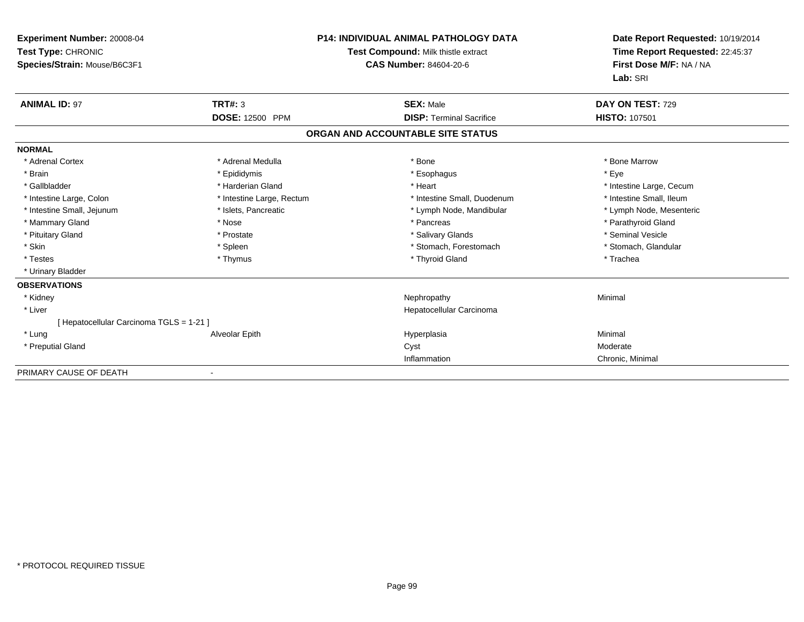| Experiment Number: 20008-04<br>Test Type: CHRONIC<br>Species/Strain: Mouse/B6C3F1 |                           | <b>P14: INDIVIDUAL ANIMAL PATHOLOGY DATA</b><br><b>Test Compound: Milk thistle extract</b><br><b>CAS Number: 84604-20-6</b> | Date Report Requested: 10/19/2014<br>Time Report Requested: 22:45:37<br>First Dose M/F: NA / NA<br>Lab: SRI |
|-----------------------------------------------------------------------------------|---------------------------|-----------------------------------------------------------------------------------------------------------------------------|-------------------------------------------------------------------------------------------------------------|
| <b>ANIMAL ID: 97</b>                                                              | <b>TRT#: 3</b>            | <b>SEX: Male</b>                                                                                                            | DAY ON TEST: 729                                                                                            |
|                                                                                   | <b>DOSE: 12500 PPM</b>    | <b>DISP: Terminal Sacrifice</b>                                                                                             | <b>HISTO: 107501</b>                                                                                        |
|                                                                                   |                           | ORGAN AND ACCOUNTABLE SITE STATUS                                                                                           |                                                                                                             |
| <b>NORMAL</b>                                                                     |                           |                                                                                                                             |                                                                                                             |
| * Adrenal Cortex                                                                  | * Adrenal Medulla         | * Bone                                                                                                                      | * Bone Marrow                                                                                               |
| * Brain                                                                           | * Epididymis              | * Esophagus                                                                                                                 | * Eve                                                                                                       |
| * Gallbladder                                                                     | * Harderian Gland         | * Heart                                                                                                                     | * Intestine Large, Cecum                                                                                    |
| * Intestine Large, Colon                                                          | * Intestine Large, Rectum | * Intestine Small, Duodenum                                                                                                 | * Intestine Small, Ileum                                                                                    |
| * Intestine Small, Jejunum                                                        | * Islets, Pancreatic      | * Lymph Node, Mandibular                                                                                                    | * Lymph Node, Mesenteric                                                                                    |
| * Mammary Gland                                                                   | * Nose                    | * Pancreas                                                                                                                  | * Parathyroid Gland                                                                                         |
| * Pituitary Gland                                                                 | * Prostate                | * Salivary Glands                                                                                                           | * Seminal Vesicle                                                                                           |
| * Skin                                                                            | * Spleen                  | * Stomach, Forestomach                                                                                                      | * Stomach, Glandular                                                                                        |
| * Testes                                                                          | * Thymus                  | * Thyroid Gland                                                                                                             | * Trachea                                                                                                   |
| * Urinary Bladder                                                                 |                           |                                                                                                                             |                                                                                                             |
| <b>OBSERVATIONS</b>                                                               |                           |                                                                                                                             |                                                                                                             |
| * Kidney                                                                          |                           | Nephropathy                                                                                                                 | Minimal                                                                                                     |
| * Liver                                                                           |                           | Hepatocellular Carcinoma                                                                                                    |                                                                                                             |
| [ Hepatocellular Carcinoma TGLS = 1-21 ]                                          |                           |                                                                                                                             |                                                                                                             |
| * Lung                                                                            | Alveolar Epith            | Hyperplasia                                                                                                                 | Minimal                                                                                                     |
| * Preputial Gland                                                                 |                           | Cyst                                                                                                                        | Moderate                                                                                                    |
|                                                                                   |                           | Inflammation                                                                                                                | Chronic, Minimal                                                                                            |
| PRIMARY CAUSE OF DEATH                                                            |                           |                                                                                                                             |                                                                                                             |

-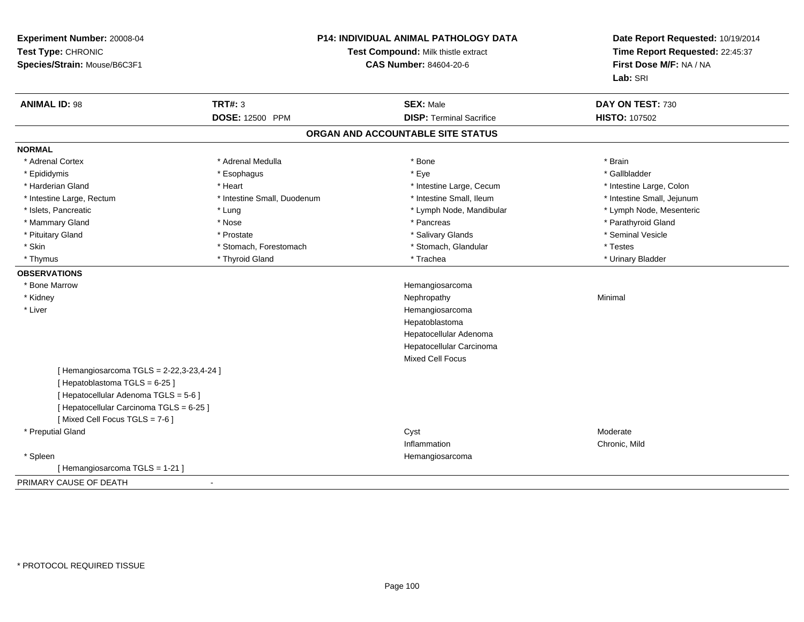| Experiment Number: 20008-04<br>Test Type: CHRONIC<br>Species/Strain: Mouse/B6C3F1 |                             | <b>P14: INDIVIDUAL ANIMAL PATHOLOGY DATA</b><br>Test Compound: Milk thistle extract<br><b>CAS Number: 84604-20-6</b> |                            |
|-----------------------------------------------------------------------------------|-----------------------------|----------------------------------------------------------------------------------------------------------------------|----------------------------|
| <b>ANIMAL ID: 98</b>                                                              | <b>TRT#: 3</b>              | <b>SEX: Male</b>                                                                                                     | DAY ON TEST: 730           |
|                                                                                   | DOSE: 12500 PPM             | <b>DISP: Terminal Sacrifice</b>                                                                                      | HISTO: 107502              |
|                                                                                   |                             | ORGAN AND ACCOUNTABLE SITE STATUS                                                                                    |                            |
| <b>NORMAL</b>                                                                     |                             |                                                                                                                      |                            |
| * Adrenal Cortex                                                                  | * Adrenal Medulla           | * Bone                                                                                                               | * Brain                    |
| * Epididymis                                                                      | * Esophagus                 | * Eye                                                                                                                | * Gallbladder              |
| * Harderian Gland                                                                 | * Heart                     | * Intestine Large, Cecum                                                                                             | * Intestine Large, Colon   |
| * Intestine Large, Rectum                                                         | * Intestine Small, Duodenum | * Intestine Small, Ileum                                                                                             | * Intestine Small, Jejunum |
| * Islets, Pancreatic                                                              | * Lung                      | * Lymph Node, Mandibular                                                                                             | * Lymph Node, Mesenteric   |
| * Mammary Gland                                                                   | * Nose                      | * Pancreas                                                                                                           | * Parathyroid Gland        |
| * Pituitary Gland                                                                 | * Prostate                  | * Salivary Glands                                                                                                    | * Seminal Vesicle          |
| * Skin                                                                            | * Stomach, Forestomach      | * Stomach, Glandular                                                                                                 | * Testes                   |
| * Thymus                                                                          | * Thyroid Gland             | * Trachea                                                                                                            | * Urinary Bladder          |
| <b>OBSERVATIONS</b>                                                               |                             |                                                                                                                      |                            |
| * Bone Marrow                                                                     |                             | Hemangiosarcoma                                                                                                      |                            |
| * Kidney                                                                          |                             | Nephropathy                                                                                                          | Minimal                    |
| * Liver                                                                           |                             | Hemangiosarcoma                                                                                                      |                            |
|                                                                                   |                             | Hepatoblastoma                                                                                                       |                            |
|                                                                                   |                             | Hepatocellular Adenoma                                                                                               |                            |
|                                                                                   |                             | Hepatocellular Carcinoma                                                                                             |                            |
|                                                                                   |                             | Mixed Cell Focus                                                                                                     |                            |
| [ Hemangiosarcoma TGLS = 2-22,3-23,4-24 ]                                         |                             |                                                                                                                      |                            |
| [Hepatoblastoma TGLS = 6-25]                                                      |                             |                                                                                                                      |                            |
| [ Hepatocellular Adenoma TGLS = 5-6 ]                                             |                             |                                                                                                                      |                            |
| [ Hepatocellular Carcinoma TGLS = 6-25 ]                                          |                             |                                                                                                                      |                            |
| [Mixed Cell Focus TGLS = 7-6]                                                     |                             |                                                                                                                      |                            |
| * Preputial Gland                                                                 |                             | Cyst                                                                                                                 | Moderate                   |
|                                                                                   |                             | Inflammation                                                                                                         | Chronic, Mild              |
| * Spleen                                                                          |                             | Hemangiosarcoma                                                                                                      |                            |
| [Hemangiosarcoma TGLS = 1-21]                                                     |                             |                                                                                                                      |                            |
| PRIMARY CAUSE OF DEATH                                                            |                             |                                                                                                                      |                            |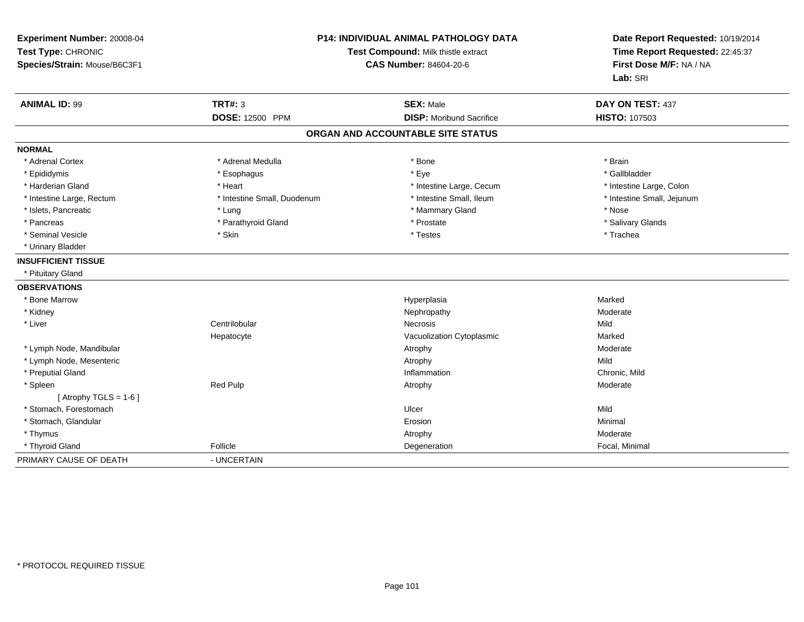| Experiment Number: 20008-04<br>Test Type: CHRONIC<br>Species/Strain: Mouse/B6C3F1 |                             | <b>P14: INDIVIDUAL ANIMAL PATHOLOGY DATA</b><br>Test Compound: Milk thistle extract<br><b>CAS Number: 84604-20-6</b> |                            |
|-----------------------------------------------------------------------------------|-----------------------------|----------------------------------------------------------------------------------------------------------------------|----------------------------|
| <b>ANIMAL ID: 99</b>                                                              | <b>TRT#: 3</b>              | <b>SEX: Male</b>                                                                                                     | DAY ON TEST: 437           |
|                                                                                   | <b>DOSE: 12500 PPM</b>      | <b>DISP:</b> Moribund Sacrifice                                                                                      | <b>HISTO: 107503</b>       |
|                                                                                   |                             | ORGAN AND ACCOUNTABLE SITE STATUS                                                                                    |                            |
| <b>NORMAL</b>                                                                     |                             |                                                                                                                      |                            |
| * Adrenal Cortex                                                                  | * Adrenal Medulla           | * Bone                                                                                                               | * Brain                    |
| * Epididymis                                                                      | * Esophagus                 | * Eye                                                                                                                | * Gallbladder              |
| * Harderian Gland                                                                 | * Heart                     | * Intestine Large, Cecum                                                                                             | * Intestine Large, Colon   |
| * Intestine Large, Rectum                                                         | * Intestine Small, Duodenum | * Intestine Small, Ileum                                                                                             | * Intestine Small, Jejunum |
| * Islets, Pancreatic                                                              | * Lung                      | * Mammary Gland                                                                                                      | * Nose                     |
| * Pancreas                                                                        | * Parathyroid Gland         | * Prostate                                                                                                           | * Salivary Glands          |
| * Seminal Vesicle                                                                 | * Skin                      | * Testes                                                                                                             | * Trachea                  |
| * Urinary Bladder                                                                 |                             |                                                                                                                      |                            |
| <b>INSUFFICIENT TISSUE</b>                                                        |                             |                                                                                                                      |                            |
| * Pituitary Gland                                                                 |                             |                                                                                                                      |                            |
| <b>OBSERVATIONS</b>                                                               |                             |                                                                                                                      |                            |
| * Bone Marrow                                                                     |                             | Hyperplasia                                                                                                          | Marked                     |
| * Kidney                                                                          |                             | Nephropathy                                                                                                          | Moderate                   |
| * Liver                                                                           | Centrilobular               | Necrosis                                                                                                             | Mild                       |
|                                                                                   | Hepatocyte                  | Vacuolization Cytoplasmic                                                                                            | Marked                     |
| * Lymph Node, Mandibular                                                          |                             | Atrophy                                                                                                              | Moderate                   |
| * Lymph Node, Mesenteric                                                          |                             | Atrophy                                                                                                              | Mild                       |
| * Preputial Gland                                                                 |                             | Inflammation                                                                                                         | Chronic, Mild              |
| * Spleen                                                                          | Red Pulp                    | Atrophy                                                                                                              | Moderate                   |
| [Atrophy TGLS = $1-6$ ]                                                           |                             |                                                                                                                      |                            |
| * Stomach, Forestomach                                                            |                             | Ulcer                                                                                                                | Mild                       |
| * Stomach, Glandular                                                              |                             | Erosion                                                                                                              | Minimal                    |
| * Thymus                                                                          |                             | Atrophy                                                                                                              | Moderate                   |
| * Thyroid Gland                                                                   | Follicle                    | Degeneration                                                                                                         | Focal, Minimal             |
| PRIMARY CAUSE OF DEATH                                                            | - UNCERTAIN                 |                                                                                                                      |                            |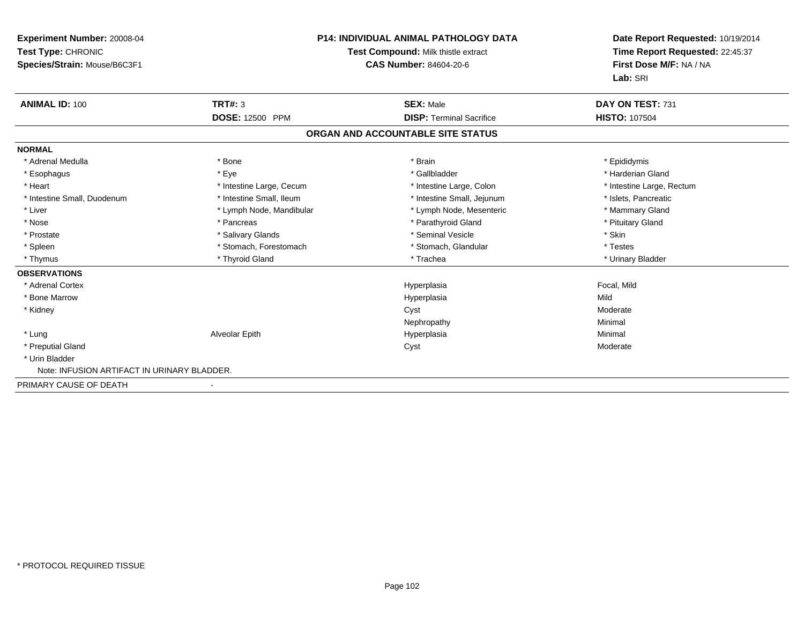| Experiment Number: 20008-04<br>Test Type: CHRONIC<br>Species/Strain: Mouse/B6C3F1 |                          | <b>P14: INDIVIDUAL ANIMAL PATHOLOGY DATA</b><br>Test Compound: Milk thistle extract<br>CAS Number: 84604-20-6 | Date Report Requested: 10/19/2014<br>Time Report Requested: 22:45:37<br>First Dose M/F: NA / NA<br>Lab: SRI |
|-----------------------------------------------------------------------------------|--------------------------|---------------------------------------------------------------------------------------------------------------|-------------------------------------------------------------------------------------------------------------|
| <b>ANIMAL ID: 100</b>                                                             | TRT#: 3                  | <b>SEX: Male</b>                                                                                              | DAY ON TEST: 731                                                                                            |
|                                                                                   | DOSE: 12500 PPM          | <b>DISP: Terminal Sacrifice</b>                                                                               | <b>HISTO: 107504</b>                                                                                        |
|                                                                                   |                          | ORGAN AND ACCOUNTABLE SITE STATUS                                                                             |                                                                                                             |
| <b>NORMAL</b>                                                                     |                          |                                                                                                               |                                                                                                             |
| * Adrenal Medulla                                                                 | * Bone                   | * Brain                                                                                                       | * Epididymis                                                                                                |
| * Esophagus                                                                       | * Eye                    | * Gallbladder                                                                                                 | * Harderian Gland                                                                                           |
| * Heart                                                                           | * Intestine Large, Cecum | * Intestine Large, Colon                                                                                      | * Intestine Large, Rectum                                                                                   |
| * Intestine Small, Duodenum                                                       | * Intestine Small, Ileum | * Intestine Small, Jejunum                                                                                    | * Islets, Pancreatic                                                                                        |
| * Liver                                                                           | * Lymph Node, Mandibular | * Lymph Node, Mesenteric                                                                                      | * Mammary Gland                                                                                             |
| * Nose                                                                            | * Pancreas               | * Parathyroid Gland                                                                                           | * Pituitary Gland                                                                                           |
| * Prostate                                                                        | * Salivary Glands        | * Seminal Vesicle                                                                                             | * Skin                                                                                                      |
| * Spleen                                                                          | * Stomach, Forestomach   | * Stomach, Glandular                                                                                          | * Testes                                                                                                    |
| * Thymus                                                                          | * Thyroid Gland          | * Trachea                                                                                                     | * Urinary Bladder                                                                                           |
| <b>OBSERVATIONS</b>                                                               |                          |                                                                                                               |                                                                                                             |
| * Adrenal Cortex                                                                  |                          | Hyperplasia                                                                                                   | Focal, Mild                                                                                                 |
| * Bone Marrow                                                                     |                          | Hyperplasia                                                                                                   | Mild                                                                                                        |
| * Kidney                                                                          |                          | Cyst                                                                                                          | Moderate                                                                                                    |
|                                                                                   |                          | Nephropathy                                                                                                   | Minimal                                                                                                     |
| * Lung                                                                            | Alveolar Epith           | Hyperplasia                                                                                                   | Minimal                                                                                                     |
| * Preputial Gland                                                                 |                          | Cyst                                                                                                          | Moderate                                                                                                    |
| * Urin Bladder                                                                    |                          |                                                                                                               |                                                                                                             |
| Note: INFUSION ARTIFACT IN URINARY BLADDER.                                       |                          |                                                                                                               |                                                                                                             |
| PRIMARY CAUSE OF DEATH                                                            |                          |                                                                                                               |                                                                                                             |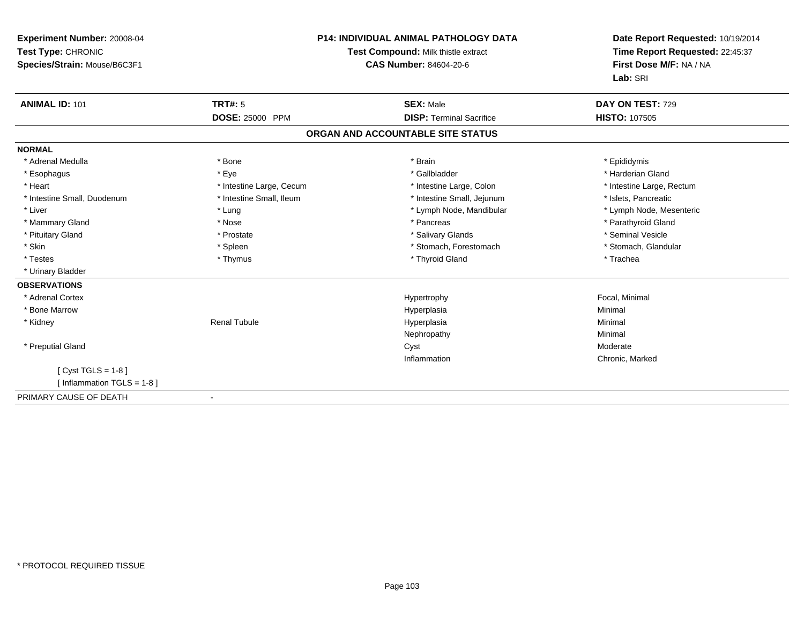| Experiment Number: 20008-04<br>Test Type: CHRONIC<br>Species/Strain: Mouse/B6C3F1 |                          | <b>P14: INDIVIDUAL ANIMAL PATHOLOGY DATA</b><br>Test Compound: Milk thistle extract<br><b>CAS Number: 84604-20-6</b> | Date Report Requested: 10/19/2014<br>Time Report Requested: 22:45:37<br>First Dose M/F: NA / NA<br>Lab: SRI |  |
|-----------------------------------------------------------------------------------|--------------------------|----------------------------------------------------------------------------------------------------------------------|-------------------------------------------------------------------------------------------------------------|--|
| <b>ANIMAL ID: 101</b>                                                             | TRT#: 5                  | <b>SEX: Male</b>                                                                                                     | DAY ON TEST: 729                                                                                            |  |
|                                                                                   | DOSE: 25000 PPM          | <b>DISP: Terminal Sacrifice</b>                                                                                      | <b>HISTO: 107505</b>                                                                                        |  |
|                                                                                   |                          | ORGAN AND ACCOUNTABLE SITE STATUS                                                                                    |                                                                                                             |  |
| <b>NORMAL</b>                                                                     |                          |                                                                                                                      |                                                                                                             |  |
| * Adrenal Medulla                                                                 | * Bone                   | * Brain                                                                                                              | * Epididymis                                                                                                |  |
| * Esophagus                                                                       | * Eye                    | * Gallbladder                                                                                                        | * Harderian Gland                                                                                           |  |
| * Heart                                                                           | * Intestine Large, Cecum | * Intestine Large, Colon                                                                                             | * Intestine Large, Rectum                                                                                   |  |
| * Intestine Small, Duodenum                                                       | * Intestine Small, Ileum | * Intestine Small, Jejunum                                                                                           | * Islets, Pancreatic                                                                                        |  |
| * Liver                                                                           | * Lung                   | * Lymph Node, Mandibular                                                                                             | * Lymph Node, Mesenteric                                                                                    |  |
| * Mammary Gland                                                                   | * Nose                   | * Pancreas                                                                                                           | * Parathyroid Gland                                                                                         |  |
| * Pituitary Gland                                                                 | * Prostate               | * Salivary Glands                                                                                                    | * Seminal Vesicle                                                                                           |  |
| * Skin                                                                            | * Spleen                 | * Stomach, Forestomach                                                                                               | * Stomach, Glandular                                                                                        |  |
| * Testes                                                                          | * Thymus                 | * Thyroid Gland                                                                                                      | * Trachea                                                                                                   |  |
| * Urinary Bladder                                                                 |                          |                                                                                                                      |                                                                                                             |  |
| <b>OBSERVATIONS</b>                                                               |                          |                                                                                                                      |                                                                                                             |  |
| * Adrenal Cortex                                                                  |                          | Hypertrophy                                                                                                          | Focal, Minimal                                                                                              |  |
| * Bone Marrow                                                                     |                          | Hyperplasia                                                                                                          | Minimal                                                                                                     |  |
| * Kidney                                                                          | <b>Renal Tubule</b>      | Hyperplasia                                                                                                          | Minimal                                                                                                     |  |
|                                                                                   |                          | Nephropathy                                                                                                          | Minimal                                                                                                     |  |
| * Preputial Gland                                                                 |                          | Cyst                                                                                                                 | Moderate                                                                                                    |  |
|                                                                                   |                          | Inflammation                                                                                                         | Chronic, Marked                                                                                             |  |
| [ $Cyst TGLS = 1-8$ ]                                                             |                          |                                                                                                                      |                                                                                                             |  |
| [Inflammation TGLS = 1-8]                                                         |                          |                                                                                                                      |                                                                                                             |  |
| PRIMARY CAUSE OF DEATH                                                            |                          |                                                                                                                      |                                                                                                             |  |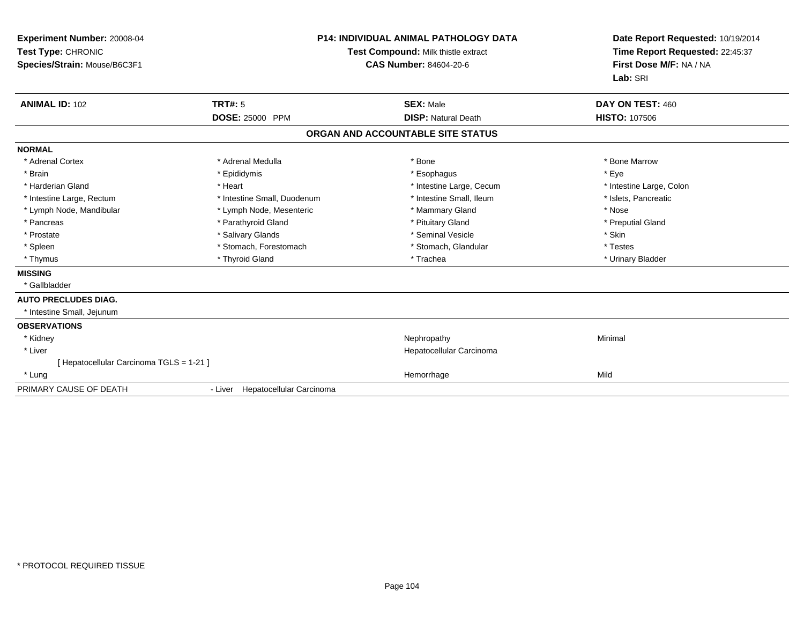| Experiment Number: 20008-04<br>Test Type: CHRONIC<br>Species/Strain: Mouse/B6C3F1<br><b>ANIMAL ID: 102</b> | <b>P14: INDIVIDUAL ANIMAL PATHOLOGY DATA</b><br>Test Compound: Milk thistle extract<br><b>CAS Number: 84604-20-6</b> |                                                | Date Report Requested: 10/19/2014<br>Time Report Requested: 22:45:37<br>First Dose M/F: NA / NA<br>Lab: SRI<br>DAY ON TEST: 460 |
|------------------------------------------------------------------------------------------------------------|----------------------------------------------------------------------------------------------------------------------|------------------------------------------------|---------------------------------------------------------------------------------------------------------------------------------|
|                                                                                                            | TRT#: 5<br>DOSE: 25000 PPM                                                                                           | <b>SEX: Male</b><br><b>DISP: Natural Death</b> | <b>HISTO: 107506</b>                                                                                                            |
|                                                                                                            |                                                                                                                      | ORGAN AND ACCOUNTABLE SITE STATUS              |                                                                                                                                 |
| <b>NORMAL</b>                                                                                              |                                                                                                                      |                                                |                                                                                                                                 |
| * Adrenal Cortex                                                                                           | * Adrenal Medulla                                                                                                    | * Bone                                         | * Bone Marrow                                                                                                                   |
| * Brain                                                                                                    | * Epididymis                                                                                                         | * Esophagus                                    | * Eye                                                                                                                           |
| * Harderian Gland                                                                                          | * Heart                                                                                                              | * Intestine Large, Cecum                       | * Intestine Large, Colon                                                                                                        |
| * Intestine Large, Rectum                                                                                  | * Intestine Small, Duodenum                                                                                          | * Intestine Small, Ileum                       | * Islets, Pancreatic                                                                                                            |
| * Lymph Node, Mandibular                                                                                   | * Lymph Node, Mesenteric                                                                                             | * Mammary Gland                                | * Nose                                                                                                                          |
| * Pancreas                                                                                                 | * Parathyroid Gland                                                                                                  | * Pituitary Gland                              | * Preputial Gland                                                                                                               |
| * Prostate                                                                                                 | * Salivary Glands                                                                                                    | * Seminal Vesicle                              | * Skin                                                                                                                          |
| * Spleen                                                                                                   | * Stomach, Forestomach                                                                                               | * Stomach, Glandular                           | * Testes                                                                                                                        |
| * Thymus                                                                                                   | * Thyroid Gland                                                                                                      | * Trachea                                      | * Urinary Bladder                                                                                                               |
| <b>MISSING</b>                                                                                             |                                                                                                                      |                                                |                                                                                                                                 |
| * Gallbladder                                                                                              |                                                                                                                      |                                                |                                                                                                                                 |
| <b>AUTO PRECLUDES DIAG.</b>                                                                                |                                                                                                                      |                                                |                                                                                                                                 |
| * Intestine Small, Jejunum                                                                                 |                                                                                                                      |                                                |                                                                                                                                 |
| <b>OBSERVATIONS</b>                                                                                        |                                                                                                                      |                                                |                                                                                                                                 |
| * Kidney                                                                                                   |                                                                                                                      | Nephropathy                                    | Minimal                                                                                                                         |
| * Liver                                                                                                    |                                                                                                                      | Hepatocellular Carcinoma                       |                                                                                                                                 |
| [Hepatocellular Carcinoma TGLS = 1-21]                                                                     |                                                                                                                      |                                                |                                                                                                                                 |
| * Lung                                                                                                     |                                                                                                                      | Hemorrhage                                     | Mild                                                                                                                            |
| PRIMARY CAUSE OF DEATH                                                                                     | - Liver Hepatocellular Carcinoma                                                                                     |                                                |                                                                                                                                 |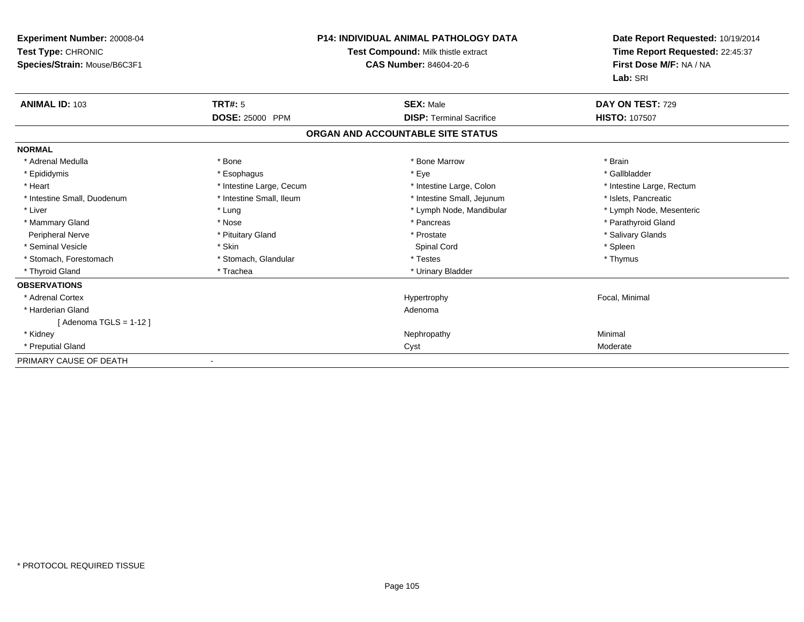| <b>Experiment Number: 20008-04</b><br>Test Type: CHRONIC<br>Species/Strain: Mouse/B6C3F1 | <b>P14: INDIVIDUAL ANIMAL PATHOLOGY DATA</b><br>Test Compound: Milk thistle extract<br>CAS Number: 84604-20-6 |                                   | Date Report Requested: 10/19/2014<br>Time Report Requested: 22:45:37<br>First Dose M/F: NA / NA<br>Lab: SRI |
|------------------------------------------------------------------------------------------|---------------------------------------------------------------------------------------------------------------|-----------------------------------|-------------------------------------------------------------------------------------------------------------|
| <b>ANIMAL ID: 103</b>                                                                    | <b>TRT#: 5</b>                                                                                                | <b>SEX: Male</b>                  | DAY ON TEST: 729                                                                                            |
|                                                                                          | DOSE: 25000 PPM                                                                                               | <b>DISP: Terminal Sacrifice</b>   | <b>HISTO: 107507</b>                                                                                        |
|                                                                                          |                                                                                                               | ORGAN AND ACCOUNTABLE SITE STATUS |                                                                                                             |
| <b>NORMAL</b>                                                                            |                                                                                                               |                                   |                                                                                                             |
| * Adrenal Medulla                                                                        | * Bone                                                                                                        | * Bone Marrow                     | * Brain                                                                                                     |
| * Epididymis                                                                             | * Esophagus                                                                                                   | * Eye                             | * Gallbladder                                                                                               |
| * Heart                                                                                  | * Intestine Large, Cecum                                                                                      | * Intestine Large, Colon          | * Intestine Large, Rectum                                                                                   |
| * Intestine Small, Duodenum                                                              | * Intestine Small, Ileum                                                                                      | * Intestine Small, Jejunum        | * Islets, Pancreatic                                                                                        |
| * Liver                                                                                  | * Lung                                                                                                        | * Lymph Node, Mandibular          | * Lymph Node, Mesenteric                                                                                    |
| * Mammary Gland                                                                          | * Nose                                                                                                        | * Pancreas                        | * Parathyroid Gland                                                                                         |
| <b>Peripheral Nerve</b>                                                                  | * Pituitary Gland                                                                                             | * Prostate                        | * Salivary Glands                                                                                           |
| * Seminal Vesicle                                                                        | * Skin                                                                                                        | Spinal Cord                       | * Spleen                                                                                                    |
| * Stomach, Forestomach                                                                   | * Stomach, Glandular                                                                                          | * Testes                          | * Thymus                                                                                                    |
| * Thyroid Gland                                                                          | * Trachea                                                                                                     | * Urinary Bladder                 |                                                                                                             |
| <b>OBSERVATIONS</b>                                                                      |                                                                                                               |                                   |                                                                                                             |
| * Adrenal Cortex                                                                         |                                                                                                               | Hypertrophy                       | Focal, Minimal                                                                                              |
| * Harderian Gland                                                                        |                                                                                                               | Adenoma                           |                                                                                                             |
| [ Adenoma TGLS = 1-12 ]                                                                  |                                                                                                               |                                   |                                                                                                             |
| * Kidney                                                                                 |                                                                                                               | Nephropathy                       | Minimal                                                                                                     |
| * Preputial Gland                                                                        |                                                                                                               | Cyst                              | Moderate                                                                                                    |
| PRIMARY CAUSE OF DEATH                                                                   |                                                                                                               |                                   |                                                                                                             |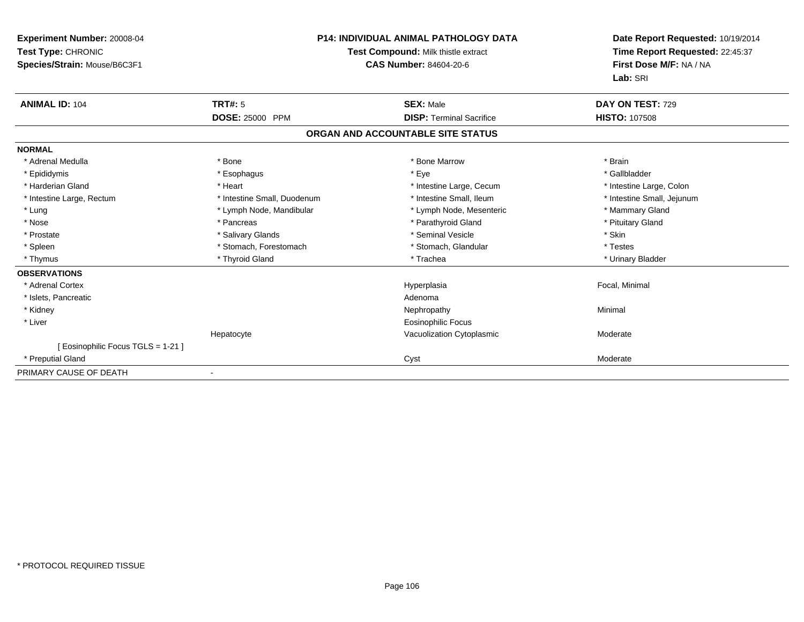| Experiment Number: 20008-04<br>Test Type: CHRONIC<br>Species/Strain: Mouse/B6C3F1 | <b>P14: INDIVIDUAL ANIMAL PATHOLOGY DATA</b><br><b>Test Compound: Milk thistle extract</b><br><b>CAS Number: 84604-20-6</b> |                                   | Date Report Requested: 10/19/2014<br>Time Report Requested: 22:45:37<br>First Dose M/F: NA / NA<br>Lab: SRI |
|-----------------------------------------------------------------------------------|-----------------------------------------------------------------------------------------------------------------------------|-----------------------------------|-------------------------------------------------------------------------------------------------------------|
| <b>ANIMAL ID: 104</b>                                                             | TRT#: 5                                                                                                                     | <b>SEX: Male</b>                  | DAY ON TEST: 729                                                                                            |
|                                                                                   | <b>DOSE: 25000 PPM</b>                                                                                                      | <b>DISP: Terminal Sacrifice</b>   | <b>HISTO: 107508</b>                                                                                        |
|                                                                                   |                                                                                                                             | ORGAN AND ACCOUNTABLE SITE STATUS |                                                                                                             |
| <b>NORMAL</b>                                                                     |                                                                                                                             |                                   |                                                                                                             |
| * Adrenal Medulla                                                                 | * Bone                                                                                                                      | * Bone Marrow                     | * Brain                                                                                                     |
| * Epididymis                                                                      | * Esophagus                                                                                                                 | * Eye                             | * Gallbladder                                                                                               |
| * Harderian Gland                                                                 | * Heart                                                                                                                     | * Intestine Large, Cecum          | * Intestine Large, Colon                                                                                    |
| * Intestine Large, Rectum                                                         | * Intestine Small, Duodenum                                                                                                 | * Intestine Small, Ileum          | * Intestine Small, Jejunum                                                                                  |
| * Lung                                                                            | * Lymph Node, Mandibular                                                                                                    | * Lymph Node, Mesenteric          | * Mammary Gland                                                                                             |
| * Nose                                                                            | * Pancreas                                                                                                                  | * Parathyroid Gland               | * Pituitary Gland                                                                                           |
| * Prostate                                                                        | * Salivary Glands                                                                                                           | * Seminal Vesicle                 | * Skin                                                                                                      |
| * Spleen                                                                          | * Stomach, Forestomach                                                                                                      | * Stomach, Glandular              | * Testes                                                                                                    |
| * Thymus                                                                          | * Thyroid Gland                                                                                                             | * Trachea                         | * Urinary Bladder                                                                                           |
| <b>OBSERVATIONS</b>                                                               |                                                                                                                             |                                   |                                                                                                             |
| * Adrenal Cortex                                                                  |                                                                                                                             | Hyperplasia                       | Focal, Minimal                                                                                              |
| * Islets, Pancreatic                                                              |                                                                                                                             | Adenoma                           |                                                                                                             |
| * Kidney                                                                          |                                                                                                                             | Nephropathy                       | Minimal                                                                                                     |
| * Liver                                                                           |                                                                                                                             | <b>Eosinophilic Focus</b>         |                                                                                                             |
|                                                                                   | Hepatocyte                                                                                                                  | Vacuolization Cytoplasmic         | Moderate                                                                                                    |
| [ Eosinophilic Focus TGLS = 1-21 ]                                                |                                                                                                                             |                                   |                                                                                                             |
| * Preputial Gland                                                                 |                                                                                                                             | Cyst                              | Moderate                                                                                                    |
| PRIMARY CAUSE OF DEATH                                                            |                                                                                                                             |                                   |                                                                                                             |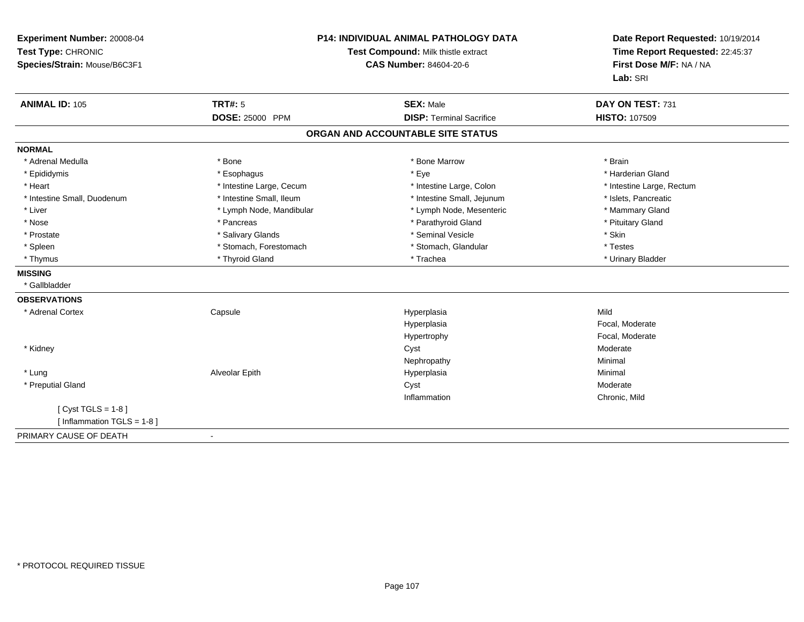| Experiment Number: 20008-04<br>Test Type: CHRONIC<br>Species/Strain: Mouse/B6C3F1 | <b>P14: INDIVIDUAL ANIMAL PATHOLOGY DATA</b><br>Test Compound: Milk thistle extract<br><b>CAS Number: 84604-20-6</b> |                                   | Date Report Requested: 10/19/2014<br>Time Report Requested: 22:45:37<br>First Dose M/F: NA / NA<br>Lab: SRI |
|-----------------------------------------------------------------------------------|----------------------------------------------------------------------------------------------------------------------|-----------------------------------|-------------------------------------------------------------------------------------------------------------|
| <b>ANIMAL ID: 105</b>                                                             | <b>TRT#: 5</b>                                                                                                       | <b>SEX: Male</b>                  | DAY ON TEST: 731                                                                                            |
|                                                                                   | <b>DOSE: 25000 PPM</b>                                                                                               | <b>DISP: Terminal Sacrifice</b>   | <b>HISTO: 107509</b>                                                                                        |
|                                                                                   |                                                                                                                      | ORGAN AND ACCOUNTABLE SITE STATUS |                                                                                                             |
| <b>NORMAL</b>                                                                     |                                                                                                                      |                                   |                                                                                                             |
| * Adrenal Medulla                                                                 | * Bone                                                                                                               | * Bone Marrow                     | * Brain                                                                                                     |
| * Epididymis                                                                      | * Esophagus                                                                                                          | * Eye                             | * Harderian Gland                                                                                           |
| * Heart                                                                           | * Intestine Large, Cecum                                                                                             | * Intestine Large, Colon          | * Intestine Large, Rectum                                                                                   |
| * Intestine Small, Duodenum                                                       | * Intestine Small, Ileum                                                                                             | * Intestine Small, Jejunum        | * Islets, Pancreatic                                                                                        |
| * Liver                                                                           | * Lymph Node, Mandibular                                                                                             | * Lymph Node, Mesenteric          | * Mammary Gland                                                                                             |
| * Nose                                                                            | * Pancreas                                                                                                           | * Parathyroid Gland               | * Pituitary Gland                                                                                           |
| * Prostate                                                                        | * Salivary Glands                                                                                                    | * Seminal Vesicle                 | * Skin                                                                                                      |
| * Spleen                                                                          | * Stomach, Forestomach                                                                                               | * Stomach, Glandular              | * Testes                                                                                                    |
| * Thymus                                                                          | * Thyroid Gland                                                                                                      | * Trachea                         | * Urinary Bladder                                                                                           |
| <b>MISSING</b>                                                                    |                                                                                                                      |                                   |                                                                                                             |
| * Gallbladder                                                                     |                                                                                                                      |                                   |                                                                                                             |
| <b>OBSERVATIONS</b>                                                               |                                                                                                                      |                                   |                                                                                                             |
| * Adrenal Cortex                                                                  | Capsule                                                                                                              | Hyperplasia                       | Mild                                                                                                        |
|                                                                                   |                                                                                                                      | Hyperplasia                       | Focal, Moderate                                                                                             |
|                                                                                   |                                                                                                                      | Hypertrophy                       | Focal, Moderate                                                                                             |
| * Kidney                                                                          |                                                                                                                      | Cyst                              | Moderate                                                                                                    |
|                                                                                   |                                                                                                                      | Nephropathy                       | Minimal                                                                                                     |
| * Lung                                                                            | Alveolar Epith                                                                                                       | Hyperplasia                       | Minimal                                                                                                     |
| * Preputial Gland                                                                 |                                                                                                                      | Cyst                              | Moderate                                                                                                    |
|                                                                                   |                                                                                                                      | Inflammation                      | Chronic, Mild                                                                                               |
| [Cyst TGLS = $1-8$ ]                                                              |                                                                                                                      |                                   |                                                                                                             |
| [ Inflammation TGLS = 1-8 ]                                                       |                                                                                                                      |                                   |                                                                                                             |
| PRIMARY CAUSE OF DEATH                                                            |                                                                                                                      |                                   |                                                                                                             |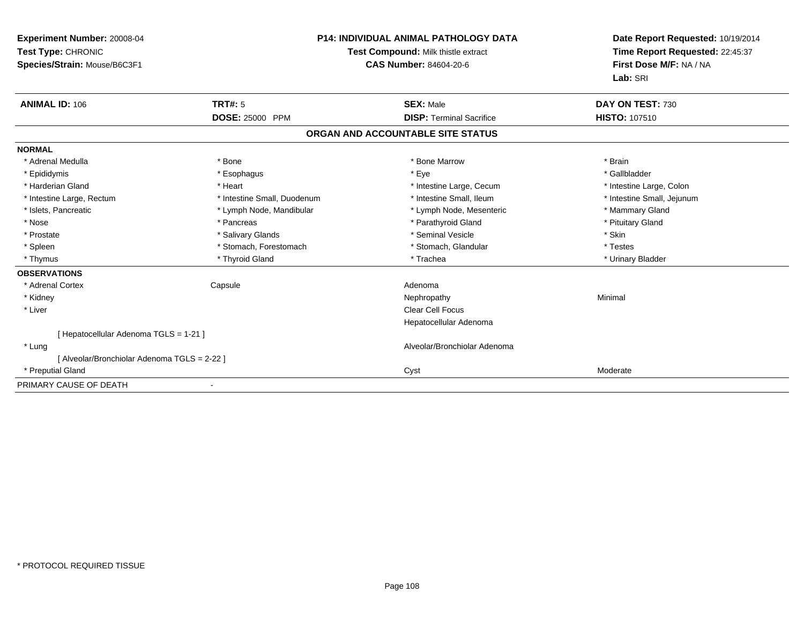| <b>Experiment Number: 20008-04</b><br>Test Type: CHRONIC<br>Species/Strain: Mouse/B6C3F1 |                             | <b>P14: INDIVIDUAL ANIMAL PATHOLOGY DATA</b><br>Test Compound: Milk thistle extract<br><b>CAS Number: 84604-20-6</b> | Date Report Requested: 10/19/2014<br>Time Report Requested: 22:45:37<br>First Dose M/F: NA / NA<br>Lab: SRI |
|------------------------------------------------------------------------------------------|-----------------------------|----------------------------------------------------------------------------------------------------------------------|-------------------------------------------------------------------------------------------------------------|
| <b>ANIMAL ID: 106</b>                                                                    | <b>TRT#: 5</b>              | <b>SEX: Male</b>                                                                                                     | DAY ON TEST: 730                                                                                            |
|                                                                                          | <b>DOSE: 25000 PPM</b>      | <b>DISP: Terminal Sacrifice</b>                                                                                      | <b>HISTO: 107510</b>                                                                                        |
|                                                                                          |                             | ORGAN AND ACCOUNTABLE SITE STATUS                                                                                    |                                                                                                             |
| <b>NORMAL</b>                                                                            |                             |                                                                                                                      |                                                                                                             |
| * Adrenal Medulla                                                                        | * Bone                      | * Bone Marrow                                                                                                        | * Brain                                                                                                     |
| * Epididymis                                                                             | * Esophagus                 | * Eye                                                                                                                | * Gallbladder                                                                                               |
| * Harderian Gland                                                                        | * Heart                     | * Intestine Large, Cecum                                                                                             | * Intestine Large, Colon                                                                                    |
| * Intestine Large, Rectum                                                                | * Intestine Small, Duodenum | * Intestine Small, Ileum                                                                                             | * Intestine Small, Jejunum                                                                                  |
| * Islets, Pancreatic                                                                     | * Lymph Node, Mandibular    | * Lymph Node, Mesenteric                                                                                             | * Mammary Gland                                                                                             |
| * Nose                                                                                   | * Pancreas                  | * Parathyroid Gland                                                                                                  | * Pituitary Gland                                                                                           |
| * Prostate                                                                               | * Salivary Glands           | * Seminal Vesicle                                                                                                    | * Skin                                                                                                      |
| * Spleen                                                                                 | * Stomach, Forestomach      | * Stomach, Glandular                                                                                                 | * Testes                                                                                                    |
| * Thymus                                                                                 | * Thyroid Gland             | * Trachea                                                                                                            | * Urinary Bladder                                                                                           |
| <b>OBSERVATIONS</b>                                                                      |                             |                                                                                                                      |                                                                                                             |
| * Adrenal Cortex                                                                         | Capsule                     | Adenoma                                                                                                              |                                                                                                             |
| * Kidney                                                                                 |                             | Nephropathy                                                                                                          | Minimal                                                                                                     |
| * Liver                                                                                  |                             | Clear Cell Focus                                                                                                     |                                                                                                             |
|                                                                                          |                             | Hepatocellular Adenoma                                                                                               |                                                                                                             |
| [ Hepatocellular Adenoma TGLS = 1-21 ]                                                   |                             |                                                                                                                      |                                                                                                             |
| * Lung                                                                                   |                             | Alveolar/Bronchiolar Adenoma                                                                                         |                                                                                                             |
| [ Alveolar/Bronchiolar Adenoma TGLS = 2-22 ]                                             |                             |                                                                                                                      |                                                                                                             |
| * Preputial Gland                                                                        |                             | Cyst                                                                                                                 | Moderate                                                                                                    |
| PRIMARY CAUSE OF DEATH                                                                   |                             |                                                                                                                      |                                                                                                             |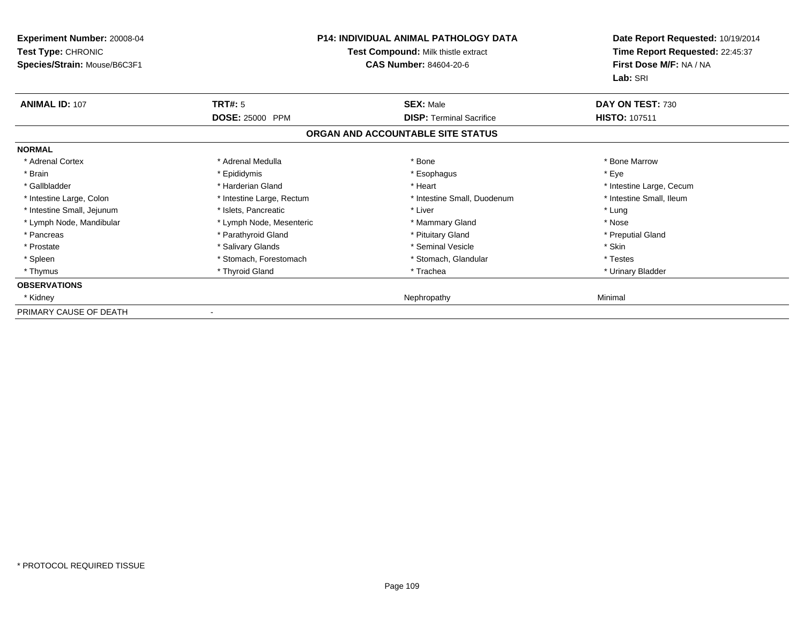| Experiment Number: 20008-04<br>Test Type: CHRONIC<br>Species/Strain: Mouse/B6C3F1 |                           | <b>P14: INDIVIDUAL ANIMAL PATHOLOGY DATA</b><br>Test Compound: Milk thistle extract<br><b>CAS Number: 84604-20-6</b> | Date Report Requested: 10/19/2014<br>Time Report Requested: 22:45:37<br>First Dose M/F: NA / NA<br>Lab: SRI |
|-----------------------------------------------------------------------------------|---------------------------|----------------------------------------------------------------------------------------------------------------------|-------------------------------------------------------------------------------------------------------------|
| <b>ANIMAL ID: 107</b>                                                             | <b>TRT#: 5</b>            | <b>SEX: Male</b>                                                                                                     | DAY ON TEST: 730                                                                                            |
|                                                                                   | <b>DOSE: 25000 PPM</b>    | <b>DISP: Terminal Sacrifice</b>                                                                                      | <b>HISTO: 107511</b>                                                                                        |
|                                                                                   |                           | ORGAN AND ACCOUNTABLE SITE STATUS                                                                                    |                                                                                                             |
| <b>NORMAL</b>                                                                     |                           |                                                                                                                      |                                                                                                             |
| * Adrenal Cortex                                                                  | * Adrenal Medulla         | * Bone                                                                                                               | * Bone Marrow                                                                                               |
| * Brain                                                                           | * Epididymis              | * Esophagus                                                                                                          | * Eye                                                                                                       |
| * Gallbladder                                                                     | * Harderian Gland         | * Heart                                                                                                              | * Intestine Large, Cecum                                                                                    |
| * Intestine Large, Colon                                                          | * Intestine Large, Rectum | * Intestine Small, Duodenum                                                                                          | * Intestine Small, Ileum                                                                                    |
| * Intestine Small, Jejunum                                                        | * Islets, Pancreatic      | * Liver                                                                                                              | * Lung                                                                                                      |
| * Lymph Node, Mandibular                                                          | * Lymph Node, Mesenteric  | * Mammary Gland                                                                                                      | * Nose                                                                                                      |
| * Pancreas                                                                        | * Parathyroid Gland       | * Pituitary Gland                                                                                                    | * Preputial Gland                                                                                           |
| * Prostate                                                                        | * Salivary Glands         | * Seminal Vesicle                                                                                                    | * Skin                                                                                                      |
| * Spleen                                                                          | * Stomach, Forestomach    | * Stomach, Glandular                                                                                                 | * Testes                                                                                                    |
| * Thymus                                                                          | * Thyroid Gland           | * Trachea                                                                                                            | * Urinary Bladder                                                                                           |
| <b>OBSERVATIONS</b>                                                               |                           |                                                                                                                      |                                                                                                             |
| * Kidney                                                                          |                           | Nephropathy                                                                                                          | Minimal                                                                                                     |
| PRIMARY CAUSE OF DEATH                                                            |                           |                                                                                                                      |                                                                                                             |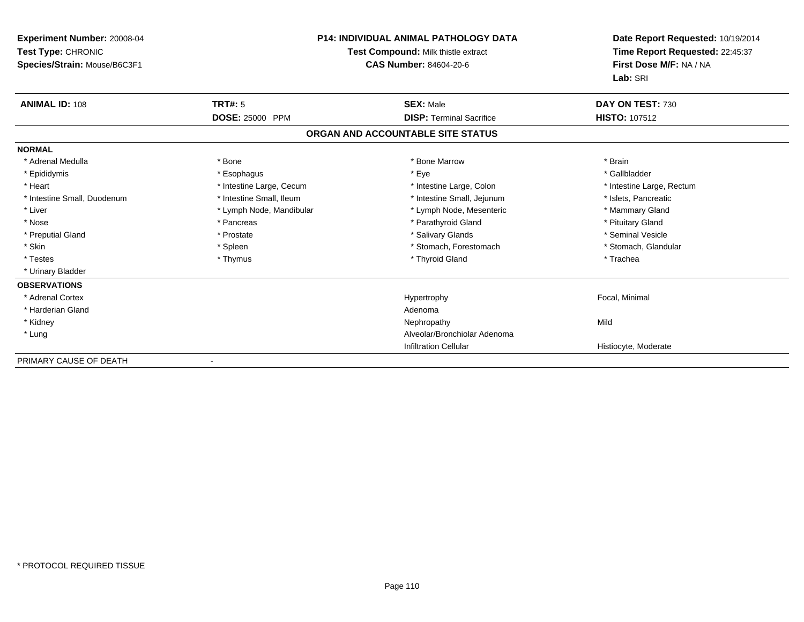| <b>Experiment Number: 20008-04</b><br>Test Type: CHRONIC<br>Species/Strain: Mouse/B6C3F1 |                          | <b>P14: INDIVIDUAL ANIMAL PATHOLOGY DATA</b><br>Test Compound: Milk thistle extract<br>CAS Number: 84604-20-6 | Date Report Requested: 10/19/2014<br>Time Report Requested: 22:45:37<br>First Dose M/F: NA / NA<br>Lab: SRI |  |
|------------------------------------------------------------------------------------------|--------------------------|---------------------------------------------------------------------------------------------------------------|-------------------------------------------------------------------------------------------------------------|--|
| <b>ANIMAL ID: 108</b>                                                                    | <b>TRT#: 5</b>           | <b>SEX: Male</b>                                                                                              | DAY ON TEST: 730                                                                                            |  |
|                                                                                          | DOSE: 25000 PPM          | <b>DISP: Terminal Sacrifice</b>                                                                               | <b>HISTO: 107512</b>                                                                                        |  |
|                                                                                          |                          | ORGAN AND ACCOUNTABLE SITE STATUS                                                                             |                                                                                                             |  |
| <b>NORMAL</b>                                                                            |                          |                                                                                                               |                                                                                                             |  |
| * Adrenal Medulla                                                                        | * Bone                   | * Bone Marrow                                                                                                 | * Brain                                                                                                     |  |
| * Epididymis                                                                             | * Esophagus              | * Eye                                                                                                         | * Gallbladder                                                                                               |  |
| * Heart                                                                                  | * Intestine Large, Cecum | * Intestine Large, Colon                                                                                      | * Intestine Large, Rectum                                                                                   |  |
| * Intestine Small, Duodenum                                                              | * Intestine Small, Ileum | * Intestine Small, Jejunum                                                                                    | * Islets, Pancreatic                                                                                        |  |
| * Liver                                                                                  | * Lymph Node, Mandibular | * Lymph Node, Mesenteric                                                                                      | * Mammary Gland                                                                                             |  |
| * Nose                                                                                   | * Pancreas               | * Parathyroid Gland                                                                                           | * Pituitary Gland                                                                                           |  |
| * Preputial Gland                                                                        | * Prostate               | * Salivary Glands                                                                                             | * Seminal Vesicle                                                                                           |  |
| * Skin                                                                                   | * Spleen                 | * Stomach, Forestomach                                                                                        | * Stomach, Glandular                                                                                        |  |
| * Testes                                                                                 | * Thymus                 | * Thyroid Gland                                                                                               | * Trachea                                                                                                   |  |
| * Urinary Bladder                                                                        |                          |                                                                                                               |                                                                                                             |  |
| <b>OBSERVATIONS</b>                                                                      |                          |                                                                                                               |                                                                                                             |  |
| * Adrenal Cortex                                                                         |                          | Hypertrophy                                                                                                   | Focal, Minimal                                                                                              |  |
| * Harderian Gland                                                                        |                          | Adenoma                                                                                                       |                                                                                                             |  |
| * Kidney                                                                                 |                          | Nephropathy                                                                                                   | Mild                                                                                                        |  |
| * Lung                                                                                   |                          | Alveolar/Bronchiolar Adenoma                                                                                  |                                                                                                             |  |
|                                                                                          |                          | <b>Infiltration Cellular</b>                                                                                  | Histiocyte, Moderate                                                                                        |  |
| PRIMARY CAUSE OF DEATH                                                                   |                          |                                                                                                               |                                                                                                             |  |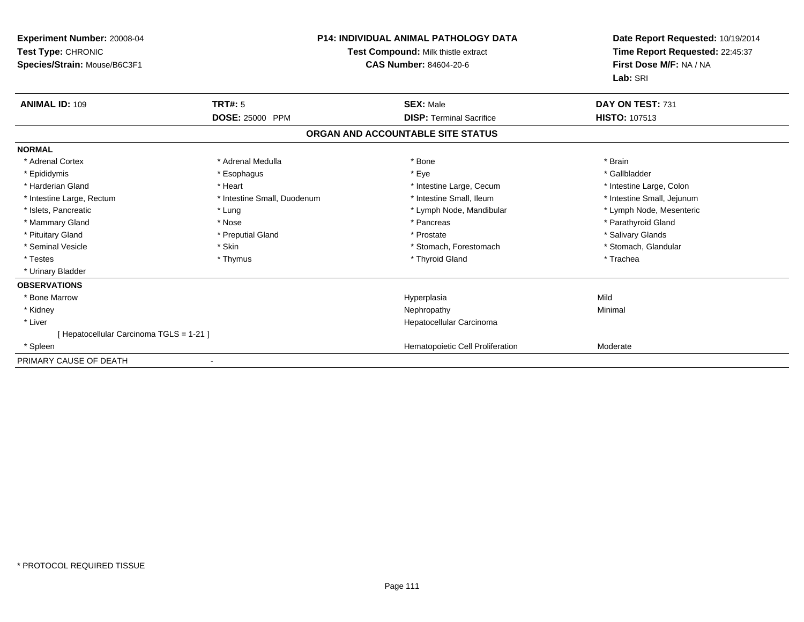| Experiment Number: 20008-04<br>Test Type: CHRONIC<br>Species/Strain: Mouse/B6C3F1 |                             | <b>P14: INDIVIDUAL ANIMAL PATHOLOGY DATA</b><br>Test Compound: Milk thistle extract<br><b>CAS Number: 84604-20-6</b> | Date Report Requested: 10/19/2014<br>Time Report Requested: 22:45:37<br>First Dose M/F: NA / NA<br>Lab: SRI |  |
|-----------------------------------------------------------------------------------|-----------------------------|----------------------------------------------------------------------------------------------------------------------|-------------------------------------------------------------------------------------------------------------|--|
| <b>ANIMAL ID: 109</b>                                                             | <b>TRT#: 5</b>              | <b>SEX: Male</b>                                                                                                     | DAY ON TEST: 731                                                                                            |  |
|                                                                                   | <b>DOSE: 25000 PPM</b>      | <b>DISP: Terminal Sacrifice</b>                                                                                      | HISTO: 107513                                                                                               |  |
|                                                                                   |                             | ORGAN AND ACCOUNTABLE SITE STATUS                                                                                    |                                                                                                             |  |
| <b>NORMAL</b>                                                                     |                             |                                                                                                                      |                                                                                                             |  |
| * Adrenal Cortex                                                                  | * Adrenal Medulla           | * Bone                                                                                                               | * Brain                                                                                                     |  |
| * Epididymis                                                                      | * Esophagus                 | * Eye                                                                                                                | * Gallbladder                                                                                               |  |
| * Harderian Gland                                                                 | * Heart                     | * Intestine Large, Cecum                                                                                             | * Intestine Large, Colon                                                                                    |  |
| * Intestine Large, Rectum                                                         | * Intestine Small, Duodenum | * Intestine Small. Ileum                                                                                             | * Intestine Small, Jejunum                                                                                  |  |
| * Islets, Pancreatic                                                              | * Lung                      | * Lymph Node, Mandibular                                                                                             | * Lymph Node, Mesenteric                                                                                    |  |
| * Mammary Gland                                                                   | * Nose                      | * Pancreas                                                                                                           | * Parathyroid Gland                                                                                         |  |
| * Pituitary Gland                                                                 | * Preputial Gland           | * Prostate                                                                                                           | * Salivary Glands                                                                                           |  |
| * Seminal Vesicle                                                                 | * Skin                      | * Stomach, Forestomach                                                                                               | * Stomach, Glandular                                                                                        |  |
| * Testes                                                                          | * Thymus                    | * Thyroid Gland                                                                                                      | * Trachea                                                                                                   |  |
| * Urinary Bladder                                                                 |                             |                                                                                                                      |                                                                                                             |  |
| <b>OBSERVATIONS</b>                                                               |                             |                                                                                                                      |                                                                                                             |  |
| * Bone Marrow                                                                     |                             | Hyperplasia                                                                                                          | Mild                                                                                                        |  |
| * Kidney                                                                          |                             | Nephropathy                                                                                                          | Minimal                                                                                                     |  |
| * Liver                                                                           |                             | Hepatocellular Carcinoma                                                                                             |                                                                                                             |  |
| [ Hepatocellular Carcinoma TGLS = 1-21 ]                                          |                             |                                                                                                                      |                                                                                                             |  |
| * Spleen                                                                          |                             | Hematopoietic Cell Proliferation                                                                                     | Moderate                                                                                                    |  |
| PRIMARY CAUSE OF DEATH                                                            |                             |                                                                                                                      |                                                                                                             |  |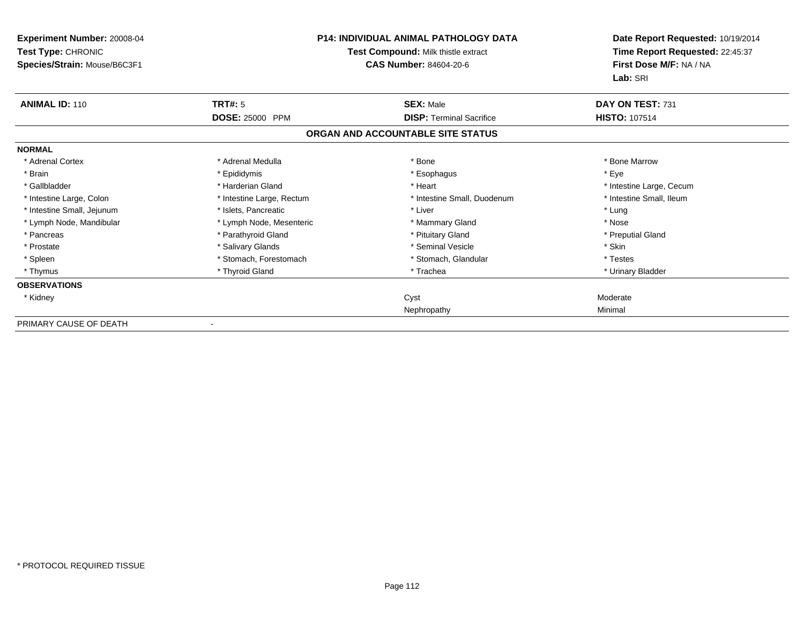| Experiment Number: 20008-04<br>Test Type: CHRONIC<br>Species/Strain: Mouse/B6C3F1 | <b>P14: INDIVIDUAL ANIMAL PATHOLOGY DATA</b><br>Test Compound: Milk thistle extract<br><b>CAS Number: 84604-20-6</b> |                                   | Date Report Requested: 10/19/2014<br>Time Report Requested: 22:45:37<br>First Dose M/F: NA / NA<br>Lab: SRI |
|-----------------------------------------------------------------------------------|----------------------------------------------------------------------------------------------------------------------|-----------------------------------|-------------------------------------------------------------------------------------------------------------|
| <b>ANIMAL ID: 110</b>                                                             | TRT#: 5                                                                                                              | <b>SEX: Male</b>                  | DAY ON TEST: 731                                                                                            |
|                                                                                   | DOSE: 25000 PPM                                                                                                      | <b>DISP: Terminal Sacrifice</b>   | <b>HISTO: 107514</b>                                                                                        |
|                                                                                   |                                                                                                                      | ORGAN AND ACCOUNTABLE SITE STATUS |                                                                                                             |
| <b>NORMAL</b>                                                                     |                                                                                                                      |                                   |                                                                                                             |
| * Adrenal Cortex                                                                  | * Adrenal Medulla                                                                                                    | * Bone                            | * Bone Marrow                                                                                               |
| * Brain                                                                           | * Epididymis                                                                                                         | * Esophagus                       | * Eye                                                                                                       |
| * Gallbladder                                                                     | * Harderian Gland                                                                                                    | * Heart                           | * Intestine Large, Cecum                                                                                    |
| * Intestine Large, Colon                                                          | * Intestine Large, Rectum                                                                                            | * Intestine Small, Duodenum       | * Intestine Small, Ileum                                                                                    |
| * Intestine Small, Jejunum                                                        | * Islets, Pancreatic                                                                                                 | * Liver                           | * Lung                                                                                                      |
| * Lymph Node, Mandibular                                                          | * Lymph Node, Mesenteric                                                                                             | * Mammary Gland                   | * Nose                                                                                                      |
| * Pancreas                                                                        | * Parathyroid Gland                                                                                                  | * Pituitary Gland                 | * Preputial Gland                                                                                           |
| * Prostate                                                                        | * Salivary Glands                                                                                                    | * Seminal Vesicle                 | * Skin                                                                                                      |
| * Spleen                                                                          | * Stomach, Forestomach                                                                                               | * Stomach, Glandular              | * Testes                                                                                                    |
| * Thymus                                                                          | * Thyroid Gland                                                                                                      | * Trachea                         | * Urinary Bladder                                                                                           |
| <b>OBSERVATIONS</b>                                                               |                                                                                                                      |                                   |                                                                                                             |
| * Kidney                                                                          |                                                                                                                      | Cyst                              | Moderate                                                                                                    |
|                                                                                   |                                                                                                                      | Nephropathy                       | Minimal                                                                                                     |
| PRIMARY CAUSE OF DEATH                                                            |                                                                                                                      |                                   |                                                                                                             |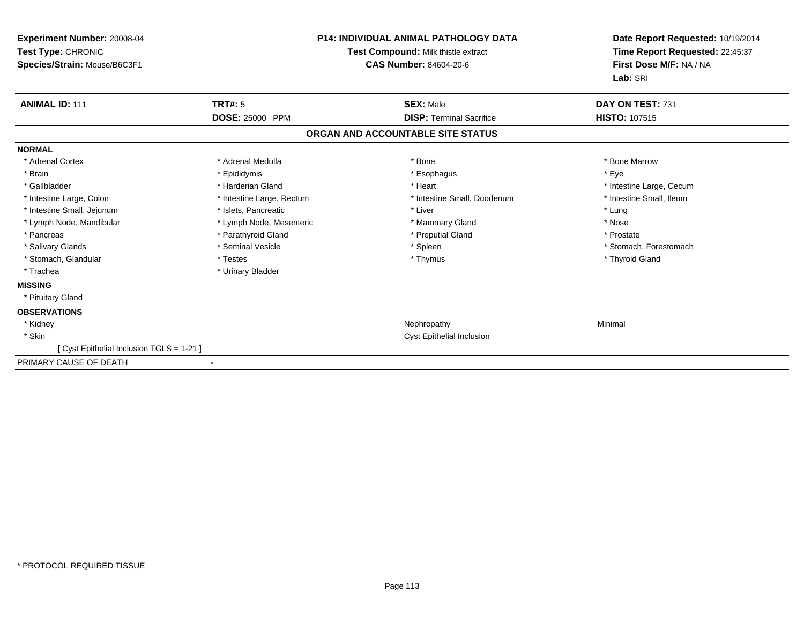| Experiment Number: 20008-04<br>Test Type: CHRONIC<br>Species/Strain: Mouse/B6C3F1 | <b>P14: INDIVIDUAL ANIMAL PATHOLOGY DATA</b><br>Test Compound: Milk thistle extract<br><b>CAS Number: 84604-20-6</b> |  | Date Report Requested: 10/19/2014<br>Time Report Requested: 22:45:37<br>First Dose M/F: NA / NA<br>Lab: SRI |                          |
|-----------------------------------------------------------------------------------|----------------------------------------------------------------------------------------------------------------------|--|-------------------------------------------------------------------------------------------------------------|--------------------------|
| <b>ANIMAL ID: 111</b>                                                             | TRT#: 5                                                                                                              |  | <b>SEX: Male</b>                                                                                            | DAY ON TEST: 731         |
|                                                                                   | DOSE: 25000 PPM                                                                                                      |  | <b>DISP: Terminal Sacrifice</b>                                                                             | HISTO: 107515            |
|                                                                                   |                                                                                                                      |  | ORGAN AND ACCOUNTABLE SITE STATUS                                                                           |                          |
| <b>NORMAL</b>                                                                     |                                                                                                                      |  |                                                                                                             |                          |
| * Adrenal Cortex                                                                  | * Adrenal Medulla                                                                                                    |  | * Bone                                                                                                      | * Bone Marrow            |
| * Brain                                                                           | * Epididymis                                                                                                         |  | * Esophagus                                                                                                 | * Eye                    |
| * Gallbladder                                                                     | * Harderian Gland                                                                                                    |  | * Heart                                                                                                     | * Intestine Large, Cecum |
| * Intestine Large, Colon                                                          | * Intestine Large, Rectum                                                                                            |  | * Intestine Small, Duodenum                                                                                 | * Intestine Small, Ileum |
| * Intestine Small, Jejunum                                                        | * Islets, Pancreatic                                                                                                 |  | * Liver                                                                                                     | * Lung                   |
| * Lymph Node, Mandibular                                                          | * Lymph Node, Mesenteric                                                                                             |  | * Mammary Gland                                                                                             | * Nose                   |
| * Pancreas                                                                        | * Parathyroid Gland                                                                                                  |  | * Preputial Gland                                                                                           | * Prostate               |
| * Salivary Glands                                                                 | * Seminal Vesicle                                                                                                    |  | * Spleen                                                                                                    | * Stomach, Forestomach   |
| * Stomach, Glandular                                                              | * Testes                                                                                                             |  | * Thymus                                                                                                    | * Thyroid Gland          |
| * Trachea                                                                         | * Urinary Bladder                                                                                                    |  |                                                                                                             |                          |
| <b>MISSING</b>                                                                    |                                                                                                                      |  |                                                                                                             |                          |
| * Pituitary Gland                                                                 |                                                                                                                      |  |                                                                                                             |                          |
| <b>OBSERVATIONS</b>                                                               |                                                                                                                      |  |                                                                                                             |                          |
| * Kidney                                                                          |                                                                                                                      |  | Nephropathy                                                                                                 | Minimal                  |
| * Skin                                                                            |                                                                                                                      |  | <b>Cyst Epithelial Inclusion</b>                                                                            |                          |
| [ Cyst Epithelial Inclusion TGLS = 1-21 ]                                         |                                                                                                                      |  |                                                                                                             |                          |
| PRIMARY CAUSE OF DEATH                                                            |                                                                                                                      |  |                                                                                                             |                          |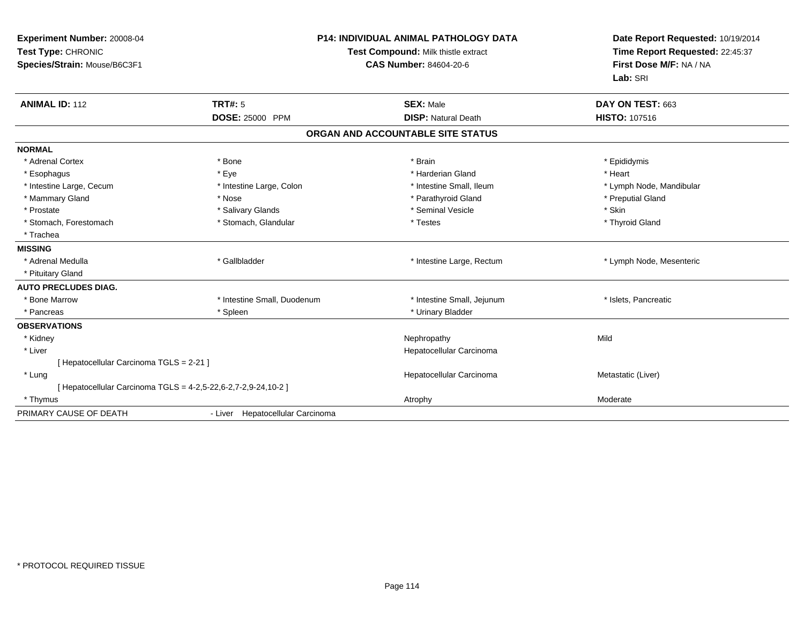| Experiment Number: 20008-04<br>Test Type: CHRONIC<br>Species/Strain: Mouse/B6C3F1 |                                  | <b>P14: INDIVIDUAL ANIMAL PATHOLOGY DATA</b><br>Test Compound: Milk thistle extract<br><b>CAS Number: 84604-20-6</b> | Date Report Requested: 10/19/2014<br>Time Report Requested: 22:45:37<br>First Dose M/F: NA / NA<br>Lab: SRI |
|-----------------------------------------------------------------------------------|----------------------------------|----------------------------------------------------------------------------------------------------------------------|-------------------------------------------------------------------------------------------------------------|
| <b>ANIMAL ID: 112</b>                                                             | TRT#: 5                          | <b>SEX: Male</b><br><b>DISP: Natural Death</b>                                                                       | DAY ON TEST: 663<br><b>HISTO: 107516</b>                                                                    |
|                                                                                   | DOSE: 25000 PPM                  |                                                                                                                      |                                                                                                             |
|                                                                                   |                                  | ORGAN AND ACCOUNTABLE SITE STATUS                                                                                    |                                                                                                             |
| <b>NORMAL</b>                                                                     |                                  |                                                                                                                      |                                                                                                             |
| * Adrenal Cortex                                                                  | * Bone                           | * Brain                                                                                                              | * Epididymis                                                                                                |
| * Esophagus                                                                       | * Eye                            | * Harderian Gland                                                                                                    | * Heart                                                                                                     |
| * Intestine Large, Cecum                                                          | * Intestine Large, Colon         | * Intestine Small, Ileum                                                                                             | * Lymph Node, Mandibular                                                                                    |
| * Mammary Gland                                                                   | * Nose                           | * Parathyroid Gland                                                                                                  | * Preputial Gland                                                                                           |
| * Prostate                                                                        | * Salivary Glands                | * Seminal Vesicle                                                                                                    | * Skin                                                                                                      |
| * Stomach, Forestomach                                                            | * Stomach, Glandular             | * Testes                                                                                                             | * Thyroid Gland                                                                                             |
| * Trachea                                                                         |                                  |                                                                                                                      |                                                                                                             |
| <b>MISSING</b>                                                                    |                                  |                                                                                                                      |                                                                                                             |
| * Adrenal Medulla                                                                 | * Gallbladder                    | * Intestine Large, Rectum                                                                                            | * Lymph Node, Mesenteric                                                                                    |
| * Pituitary Gland                                                                 |                                  |                                                                                                                      |                                                                                                             |
| <b>AUTO PRECLUDES DIAG.</b>                                                       |                                  |                                                                                                                      |                                                                                                             |
| * Bone Marrow                                                                     | * Intestine Small, Duodenum      | * Intestine Small, Jejunum                                                                                           | * Islets, Pancreatic                                                                                        |
| * Pancreas                                                                        | * Spleen                         | * Urinary Bladder                                                                                                    |                                                                                                             |
| <b>OBSERVATIONS</b>                                                               |                                  |                                                                                                                      |                                                                                                             |
| * Kidney                                                                          |                                  | Nephropathy                                                                                                          | Mild                                                                                                        |
| * Liver                                                                           |                                  | Hepatocellular Carcinoma                                                                                             |                                                                                                             |
| [ Hepatocellular Carcinoma TGLS = 2-21 ]                                          |                                  |                                                                                                                      |                                                                                                             |
| * Lung                                                                            |                                  | Hepatocellular Carcinoma                                                                                             | Metastatic (Liver)                                                                                          |
| [ Hepatocellular Carcinoma TGLS = 4-2,5-22,6-2,7-2,9-24,10-2 ]                    |                                  |                                                                                                                      |                                                                                                             |
| * Thymus                                                                          |                                  | Atrophy                                                                                                              | Moderate                                                                                                    |
| PRIMARY CAUSE OF DEATH                                                            | - Liver Hepatocellular Carcinoma |                                                                                                                      |                                                                                                             |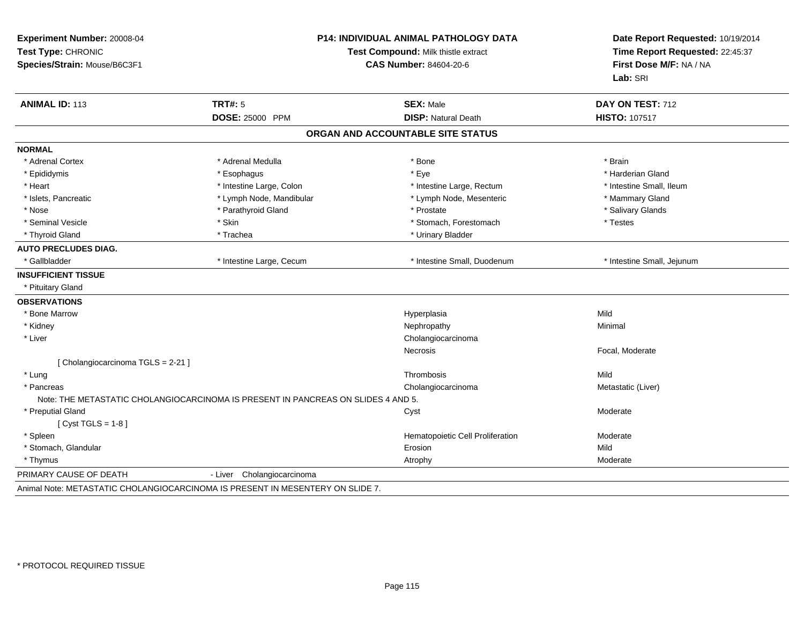| Experiment Number: 20008-04<br>Test Type: CHRONIC<br>Species/Strain: Mouse/B6C3F1 |                                                                                   | <b>P14: INDIVIDUAL ANIMAL PATHOLOGY DATA</b><br>Test Compound: Milk thistle extract<br><b>CAS Number: 84604-20-6</b> |                            |
|-----------------------------------------------------------------------------------|-----------------------------------------------------------------------------------|----------------------------------------------------------------------------------------------------------------------|----------------------------|
| <b>ANIMAL ID: 113</b>                                                             | <b>TRT#: 5</b>                                                                    | <b>SEX: Male</b>                                                                                                     | DAY ON TEST: 712           |
|                                                                                   | DOSE: 25000 PPM                                                                   | <b>DISP: Natural Death</b>                                                                                           | HISTO: 107517              |
|                                                                                   |                                                                                   | ORGAN AND ACCOUNTABLE SITE STATUS                                                                                    |                            |
| <b>NORMAL</b>                                                                     |                                                                                   |                                                                                                                      |                            |
| * Adrenal Cortex                                                                  | * Adrenal Medulla                                                                 | * Bone                                                                                                               | * Brain                    |
| * Epididymis                                                                      | * Esophagus                                                                       | * Eye                                                                                                                | * Harderian Gland          |
| * Heart                                                                           | * Intestine Large, Colon                                                          | * Intestine Large, Rectum                                                                                            | * Intestine Small, Ileum   |
| * Islets, Pancreatic                                                              | * Lymph Node, Mandibular                                                          | * Lymph Node, Mesenteric                                                                                             | * Mammary Gland            |
| * Nose                                                                            | * Parathyroid Gland                                                               | * Prostate                                                                                                           | * Salivary Glands          |
| * Seminal Vesicle                                                                 | * Skin                                                                            | * Stomach, Forestomach                                                                                               | * Testes                   |
| * Thyroid Gland                                                                   | * Trachea                                                                         | * Urinary Bladder                                                                                                    |                            |
| <b>AUTO PRECLUDES DIAG.</b>                                                       |                                                                                   |                                                                                                                      |                            |
| * Gallbladder                                                                     | * Intestine Large, Cecum                                                          | * Intestine Small, Duodenum                                                                                          | * Intestine Small, Jejunum |
| <b>INSUFFICIENT TISSUE</b>                                                        |                                                                                   |                                                                                                                      |                            |
| * Pituitary Gland                                                                 |                                                                                   |                                                                                                                      |                            |
| <b>OBSERVATIONS</b>                                                               |                                                                                   |                                                                                                                      |                            |
| * Bone Marrow                                                                     |                                                                                   | Hyperplasia                                                                                                          | Mild                       |
| * Kidney                                                                          |                                                                                   | Nephropathy                                                                                                          | Minimal                    |
| * Liver                                                                           |                                                                                   | Cholangiocarcinoma                                                                                                   |                            |
|                                                                                   |                                                                                   | <b>Necrosis</b>                                                                                                      | Focal, Moderate            |
| [ Cholangiocarcinoma TGLS = 2-21 ]                                                |                                                                                   |                                                                                                                      |                            |
| * Lung                                                                            |                                                                                   | Thrombosis                                                                                                           | Mild                       |
| * Pancreas                                                                        | Note: THE METASTATIC CHOLANGIOCARCINOMA IS PRESENT IN PANCREAS ON SLIDES 4 AND 5. | Cholangiocarcinoma                                                                                                   | Metastatic (Liver)         |
| * Preputial Gland                                                                 |                                                                                   | Cyst                                                                                                                 | Moderate                   |
| [ $Cyst TGLS = 1-8$ ]                                                             |                                                                                   |                                                                                                                      |                            |
| * Spleen                                                                          |                                                                                   | Hematopoietic Cell Proliferation                                                                                     | Moderate                   |
| * Stomach, Glandular                                                              |                                                                                   | Erosion                                                                                                              | Mild                       |
| * Thymus                                                                          |                                                                                   | Atrophy                                                                                                              | Moderate                   |
| PRIMARY CAUSE OF DEATH                                                            | Cholangiocarcinoma<br>- Liver                                                     |                                                                                                                      |                            |
|                                                                                   | Animal Note: METASTATIC CHOLANGIOCARCINOMA IS PRESENT IN MESENTERY ON SLIDE 7.    |                                                                                                                      |                            |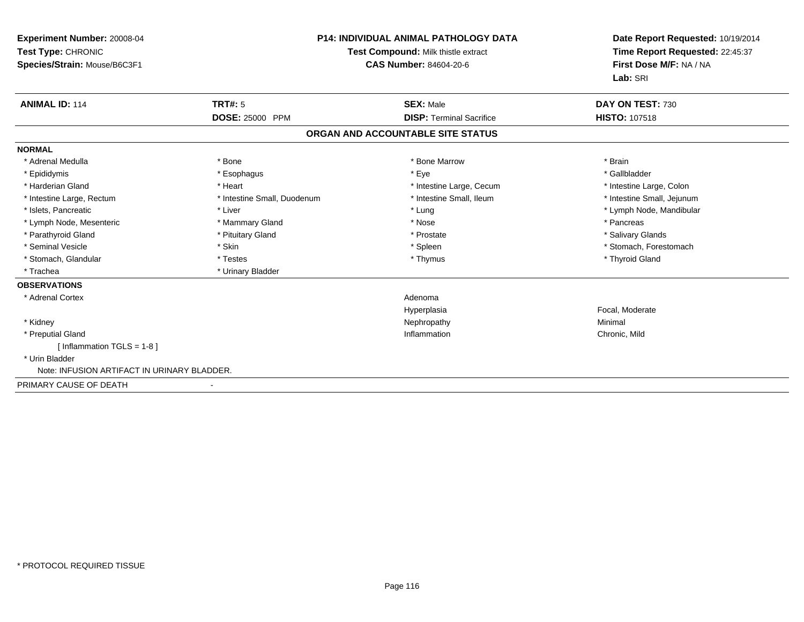| <b>Experiment Number: 20008-04</b><br>Test Type: CHRONIC<br>Species/Strain: Mouse/B6C3F1 |                             | <b>P14: INDIVIDUAL ANIMAL PATHOLOGY DATA</b><br>Test Compound: Milk thistle extract<br>CAS Number: 84604-20-6 | Date Report Requested: 10/19/2014<br>Time Report Requested: 22:45:37<br>First Dose M/F: NA / NA<br>Lab: SRI |
|------------------------------------------------------------------------------------------|-----------------------------|---------------------------------------------------------------------------------------------------------------|-------------------------------------------------------------------------------------------------------------|
| <b>ANIMAL ID: 114</b>                                                                    | TRT#: 5                     | <b>SEX: Male</b>                                                                                              | DAY ON TEST: 730                                                                                            |
|                                                                                          | DOSE: 25000 PPM             | <b>DISP: Terminal Sacrifice</b>                                                                               | <b>HISTO: 107518</b>                                                                                        |
|                                                                                          |                             | ORGAN AND ACCOUNTABLE SITE STATUS                                                                             |                                                                                                             |
| <b>NORMAL</b>                                                                            |                             |                                                                                                               |                                                                                                             |
| * Adrenal Medulla                                                                        | * Bone                      | * Bone Marrow                                                                                                 | * Brain                                                                                                     |
| * Epididymis                                                                             | * Esophagus                 | * Eye                                                                                                         | * Gallbladder                                                                                               |
| * Harderian Gland                                                                        | * Heart                     | * Intestine Large, Cecum                                                                                      | * Intestine Large, Colon                                                                                    |
| * Intestine Large, Rectum                                                                | * Intestine Small, Duodenum | * Intestine Small. Ileum                                                                                      | * Intestine Small, Jejunum                                                                                  |
| * Islets, Pancreatic                                                                     | * Liver                     | * Lung                                                                                                        | * Lymph Node, Mandibular                                                                                    |
| * Lymph Node, Mesenteric                                                                 | * Mammary Gland             | * Nose                                                                                                        | * Pancreas                                                                                                  |
| * Parathyroid Gland                                                                      | * Pituitary Gland           | * Prostate                                                                                                    | * Salivary Glands                                                                                           |
| * Seminal Vesicle                                                                        | * Skin                      | * Spleen                                                                                                      | * Stomach, Forestomach                                                                                      |
| * Stomach, Glandular                                                                     | * Testes                    | * Thymus                                                                                                      | * Thyroid Gland                                                                                             |
| * Trachea                                                                                | * Urinary Bladder           |                                                                                                               |                                                                                                             |
| <b>OBSERVATIONS</b>                                                                      |                             |                                                                                                               |                                                                                                             |
| * Adrenal Cortex                                                                         |                             | Adenoma                                                                                                       |                                                                                                             |
|                                                                                          |                             | Hyperplasia                                                                                                   | Focal, Moderate                                                                                             |
| * Kidney                                                                                 |                             | Nephropathy                                                                                                   | Minimal                                                                                                     |
| * Preputial Gland                                                                        |                             | Inflammation                                                                                                  | Chronic, Mild                                                                                               |
| [ Inflammation TGLS = $1-8$ ]                                                            |                             |                                                                                                               |                                                                                                             |
| * Urin Bladder                                                                           |                             |                                                                                                               |                                                                                                             |
| Note: INFUSION ARTIFACT IN URINARY BLADDER.                                              |                             |                                                                                                               |                                                                                                             |
| PRIMARY CAUSE OF DEATH                                                                   |                             |                                                                                                               |                                                                                                             |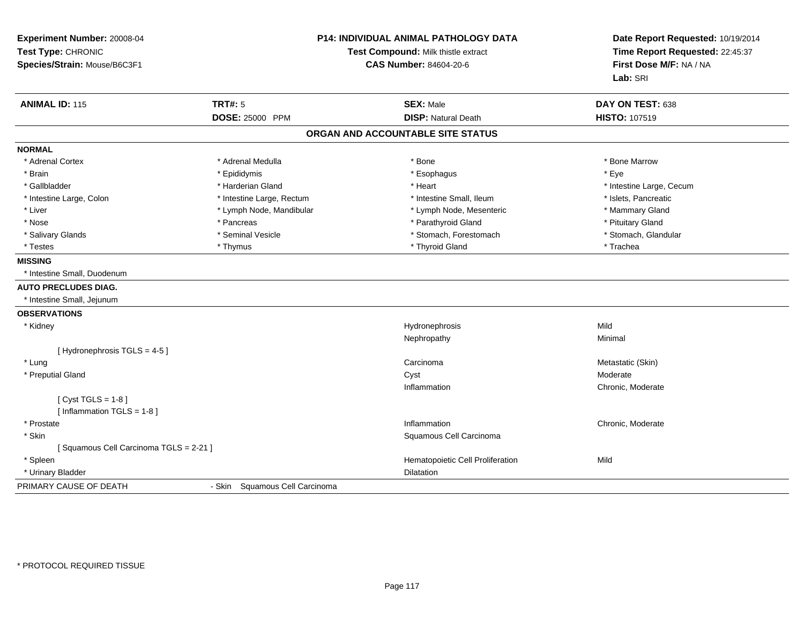| Experiment Number: 20008-04<br>Test Type: CHRONIC<br>Species/Strain: Mouse/B6C3F1 |                                   | P14: INDIVIDUAL ANIMAL PATHOLOGY DATA<br>Test Compound: Milk thistle extract<br><b>CAS Number: 84604-20-6</b> |                          |
|-----------------------------------------------------------------------------------|-----------------------------------|---------------------------------------------------------------------------------------------------------------|--------------------------|
| <b>ANIMAL ID: 115</b>                                                             | <b>TRT#: 5</b>                    | <b>SEX: Male</b>                                                                                              | DAY ON TEST: 638         |
|                                                                                   | DOSE: 25000 PPM                   | <b>DISP: Natural Death</b>                                                                                    | HISTO: 107519            |
|                                                                                   |                                   | ORGAN AND ACCOUNTABLE SITE STATUS                                                                             |                          |
| <b>NORMAL</b>                                                                     |                                   |                                                                                                               |                          |
| * Adrenal Cortex                                                                  | * Adrenal Medulla                 | * Bone                                                                                                        | * Bone Marrow            |
| * Brain                                                                           | * Epididymis                      | * Esophagus                                                                                                   | * Eye                    |
| * Gallbladder                                                                     | * Harderian Gland                 | * Heart                                                                                                       | * Intestine Large, Cecum |
| * Intestine Large, Colon                                                          | * Intestine Large, Rectum         | * Intestine Small, Ileum                                                                                      | * Islets, Pancreatic     |
| * Liver                                                                           | * Lymph Node, Mandibular          | * Lymph Node, Mesenteric                                                                                      | * Mammary Gland          |
| * Nose                                                                            | * Pancreas                        | * Parathyroid Gland                                                                                           | * Pituitary Gland        |
| * Salivary Glands                                                                 | * Seminal Vesicle                 | * Stomach, Forestomach                                                                                        | * Stomach, Glandular     |
| * Testes                                                                          | * Thymus                          | * Thyroid Gland                                                                                               | * Trachea                |
| <b>MISSING</b>                                                                    |                                   |                                                                                                               |                          |
| * Intestine Small, Duodenum                                                       |                                   |                                                                                                               |                          |
| <b>AUTO PRECLUDES DIAG.</b>                                                       |                                   |                                                                                                               |                          |
| * Intestine Small, Jejunum                                                        |                                   |                                                                                                               |                          |
| <b>OBSERVATIONS</b>                                                               |                                   |                                                                                                               |                          |
| * Kidney                                                                          |                                   | Hydronephrosis                                                                                                | Mild                     |
|                                                                                   |                                   | Nephropathy                                                                                                   | Minimal                  |
| [Hydronephrosis TGLS = 4-5]                                                       |                                   |                                                                                                               |                          |
| * Lung                                                                            |                                   | Carcinoma                                                                                                     | Metastatic (Skin)        |
| * Preputial Gland                                                                 |                                   | Cyst                                                                                                          | Moderate                 |
|                                                                                   |                                   | Inflammation                                                                                                  | Chronic, Moderate        |
| [ $Cyst TGLS = 1-8$ ]                                                             |                                   |                                                                                                               |                          |
| [Inflammation TGLS = 1-8]                                                         |                                   |                                                                                                               |                          |
| * Prostate                                                                        |                                   | Inflammation                                                                                                  | Chronic, Moderate        |
| * Skin                                                                            |                                   | Squamous Cell Carcinoma                                                                                       |                          |
| [Squamous Cell Carcinoma TGLS = 2-21]                                             |                                   |                                                                                                               |                          |
| * Spleen                                                                          |                                   | Hematopoietic Cell Proliferation                                                                              | Mild                     |
| * Urinary Bladder                                                                 |                                   | <b>Dilatation</b>                                                                                             |                          |
| PRIMARY CAUSE OF DEATH                                                            | Squamous Cell Carcinoma<br>- Skin |                                                                                                               |                          |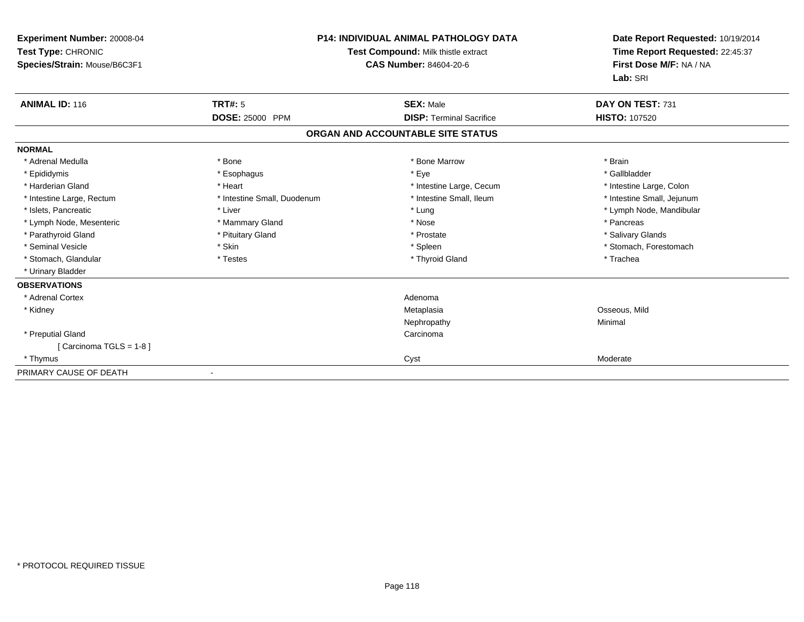| <b>Experiment Number: 20008-04</b><br>Test Type: CHRONIC<br>Species/Strain: Mouse/B6C3F1 |                             | <b>P14: INDIVIDUAL ANIMAL PATHOLOGY DATA</b><br>Test Compound: Milk thistle extract<br><b>CAS Number: 84604-20-6</b> | Date Report Requested: 10/19/2014<br>Time Report Requested: 22:45:37<br>First Dose M/F: NA / NA<br>Lab: SRI |
|------------------------------------------------------------------------------------------|-----------------------------|----------------------------------------------------------------------------------------------------------------------|-------------------------------------------------------------------------------------------------------------|
| <b>ANIMAL ID: 116</b>                                                                    | TRT#: 5                     | <b>SEX: Male</b>                                                                                                     | DAY ON TEST: 731                                                                                            |
|                                                                                          | DOSE: 25000 PPM             | <b>DISP: Terminal Sacrifice</b>                                                                                      | <b>HISTO: 107520</b>                                                                                        |
|                                                                                          |                             | ORGAN AND ACCOUNTABLE SITE STATUS                                                                                    |                                                                                                             |
| <b>NORMAL</b>                                                                            |                             |                                                                                                                      |                                                                                                             |
| * Adrenal Medulla                                                                        | * Bone                      | * Bone Marrow                                                                                                        | * Brain                                                                                                     |
| * Epididymis                                                                             | * Esophagus                 | * Eye                                                                                                                | * Gallbladder                                                                                               |
| * Harderian Gland                                                                        | * Heart                     | * Intestine Large, Cecum                                                                                             | * Intestine Large, Colon                                                                                    |
| * Intestine Large, Rectum                                                                | * Intestine Small, Duodenum | * Intestine Small, Ileum                                                                                             | * Intestine Small, Jejunum                                                                                  |
| * Islets, Pancreatic                                                                     | * Liver                     | * Lung                                                                                                               | * Lymph Node, Mandibular                                                                                    |
| * Lymph Node, Mesenteric                                                                 | * Mammary Gland             | * Nose                                                                                                               | * Pancreas                                                                                                  |
| * Parathyroid Gland                                                                      | * Pituitary Gland           | * Prostate                                                                                                           | * Salivary Glands                                                                                           |
| * Seminal Vesicle                                                                        | * Skin                      | * Spleen                                                                                                             | * Stomach, Forestomach                                                                                      |
| * Stomach, Glandular                                                                     | * Testes                    | * Thyroid Gland                                                                                                      | * Trachea                                                                                                   |
| * Urinary Bladder                                                                        |                             |                                                                                                                      |                                                                                                             |
| <b>OBSERVATIONS</b>                                                                      |                             |                                                                                                                      |                                                                                                             |
| * Adrenal Cortex                                                                         |                             | Adenoma                                                                                                              |                                                                                                             |
| * Kidney                                                                                 |                             | Metaplasia                                                                                                           | Osseous, Mild                                                                                               |
|                                                                                          |                             | Nephropathy                                                                                                          | Minimal                                                                                                     |
| * Preputial Gland                                                                        |                             | Carcinoma                                                                                                            |                                                                                                             |
| [Carcinoma TGLS = 1-8]                                                                   |                             |                                                                                                                      |                                                                                                             |
| * Thymus                                                                                 |                             | Cyst                                                                                                                 | Moderate                                                                                                    |
| PRIMARY CAUSE OF DEATH                                                                   |                             |                                                                                                                      |                                                                                                             |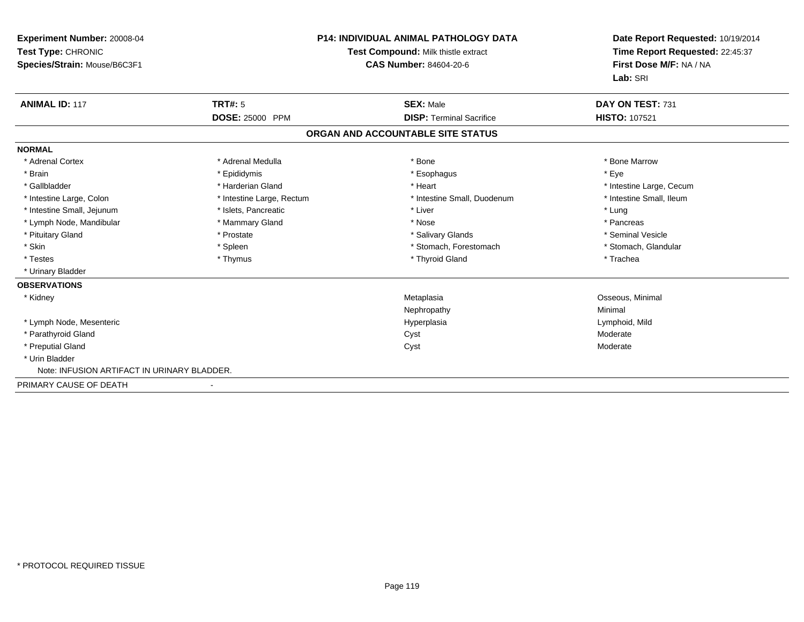| <b>Experiment Number: 20008-04</b><br>Test Type: CHRONIC<br>Species/Strain: Mouse/B6C3F1 | <b>P14: INDIVIDUAL ANIMAL PATHOLOGY DATA</b><br>Test Compound: Milk thistle extract<br><b>CAS Number: 84604-20-6</b> |                                   | Date Report Requested: 10/19/2014<br>Time Report Requested: 22:45:37<br>First Dose M/F: NA / NA<br>Lab: SRI |  |
|------------------------------------------------------------------------------------------|----------------------------------------------------------------------------------------------------------------------|-----------------------------------|-------------------------------------------------------------------------------------------------------------|--|
| <b>ANIMAL ID: 117</b>                                                                    | TRT#: 5                                                                                                              | <b>SEX: Male</b>                  | DAY ON TEST: 731                                                                                            |  |
|                                                                                          | <b>DOSE: 25000 PPM</b>                                                                                               | <b>DISP: Terminal Sacrifice</b>   | HISTO: 107521                                                                                               |  |
|                                                                                          |                                                                                                                      | ORGAN AND ACCOUNTABLE SITE STATUS |                                                                                                             |  |
| <b>NORMAL</b>                                                                            |                                                                                                                      |                                   |                                                                                                             |  |
| * Adrenal Cortex                                                                         | * Adrenal Medulla                                                                                                    | * Bone                            | * Bone Marrow                                                                                               |  |
| * Brain                                                                                  | * Epididymis                                                                                                         | * Esophagus                       | * Eye                                                                                                       |  |
| * Gallbladder                                                                            | * Harderian Gland                                                                                                    | * Heart                           | * Intestine Large, Cecum                                                                                    |  |
| * Intestine Large, Colon                                                                 | * Intestine Large, Rectum                                                                                            | * Intestine Small, Duodenum       | * Intestine Small, Ileum                                                                                    |  |
| * Intestine Small, Jejunum                                                               | * Islets, Pancreatic                                                                                                 | * Liver                           | * Lung                                                                                                      |  |
| * Lymph Node, Mandibular                                                                 | * Mammary Gland                                                                                                      | * Nose                            | * Pancreas                                                                                                  |  |
| * Pituitary Gland                                                                        | * Prostate                                                                                                           | * Salivary Glands                 | * Seminal Vesicle                                                                                           |  |
| * Skin                                                                                   | * Spleen                                                                                                             | * Stomach, Forestomach            | * Stomach, Glandular                                                                                        |  |
| * Testes                                                                                 | * Thymus                                                                                                             | * Thyroid Gland                   | * Trachea                                                                                                   |  |
| * Urinary Bladder                                                                        |                                                                                                                      |                                   |                                                                                                             |  |
| <b>OBSERVATIONS</b>                                                                      |                                                                                                                      |                                   |                                                                                                             |  |
| * Kidney                                                                                 |                                                                                                                      | Metaplasia                        | Osseous, Minimal                                                                                            |  |
|                                                                                          |                                                                                                                      | Nephropathy                       | Minimal                                                                                                     |  |
| * Lymph Node, Mesenteric                                                                 |                                                                                                                      | Hyperplasia                       | Lymphoid, Mild                                                                                              |  |
| * Parathyroid Gland                                                                      |                                                                                                                      | Cyst                              | Moderate                                                                                                    |  |
| * Preputial Gland                                                                        |                                                                                                                      | Cyst                              | Moderate                                                                                                    |  |
| * Urin Bladder                                                                           |                                                                                                                      |                                   |                                                                                                             |  |
| Note: INFUSION ARTIFACT IN URINARY BLADDER.                                              |                                                                                                                      |                                   |                                                                                                             |  |
| PRIMARY CAUSE OF DEATH                                                                   |                                                                                                                      |                                   |                                                                                                             |  |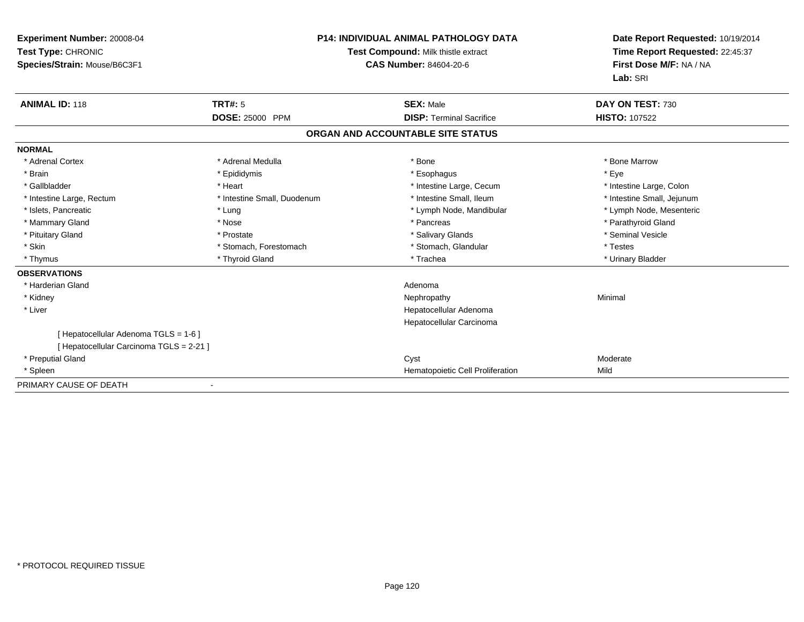| Experiment Number: 20008-04<br>Test Type: CHRONIC<br>Species/Strain: Mouse/B6C3F1 |                             | <b>P14: INDIVIDUAL ANIMAL PATHOLOGY DATA</b><br>Test Compound: Milk thistle extract<br>CAS Number: 84604-20-6 | Date Report Requested: 10/19/2014<br>Time Report Requested: 22:45:37<br>First Dose M/F: NA / NA<br>Lab: SRI |
|-----------------------------------------------------------------------------------|-----------------------------|---------------------------------------------------------------------------------------------------------------|-------------------------------------------------------------------------------------------------------------|
| <b>ANIMAL ID: 118</b>                                                             | <b>TRT#: 5</b>              | <b>SEX: Male</b>                                                                                              | DAY ON TEST: 730                                                                                            |
|                                                                                   | <b>DOSE: 25000 PPM</b>      | <b>DISP: Terminal Sacrifice</b>                                                                               | <b>HISTO: 107522</b>                                                                                        |
|                                                                                   |                             | ORGAN AND ACCOUNTABLE SITE STATUS                                                                             |                                                                                                             |
| <b>NORMAL</b>                                                                     |                             |                                                                                                               |                                                                                                             |
| * Adrenal Cortex                                                                  | * Adrenal Medulla           | * Bone                                                                                                        | * Bone Marrow                                                                                               |
| * Brain                                                                           | * Epididymis                | * Esophagus                                                                                                   | * Eye                                                                                                       |
| * Gallbladder                                                                     | * Heart                     | * Intestine Large, Cecum                                                                                      | * Intestine Large, Colon                                                                                    |
| * Intestine Large, Rectum                                                         | * Intestine Small, Duodenum | * Intestine Small, Ileum                                                                                      | * Intestine Small, Jejunum                                                                                  |
| * Islets, Pancreatic                                                              | * Lung                      | * Lymph Node, Mandibular                                                                                      | * Lymph Node, Mesenteric                                                                                    |
| * Mammary Gland                                                                   | * Nose                      | * Pancreas                                                                                                    | * Parathyroid Gland                                                                                         |
| * Pituitary Gland                                                                 | * Prostate                  | * Salivary Glands                                                                                             | * Seminal Vesicle                                                                                           |
| * Skin                                                                            | * Stomach, Forestomach      | * Stomach, Glandular                                                                                          | * Testes                                                                                                    |
| * Thymus                                                                          | * Thyroid Gland             | * Trachea                                                                                                     | * Urinary Bladder                                                                                           |
| <b>OBSERVATIONS</b>                                                               |                             |                                                                                                               |                                                                                                             |
| * Harderian Gland                                                                 |                             | Adenoma                                                                                                       |                                                                                                             |
| * Kidney                                                                          |                             | Nephropathy                                                                                                   | Minimal                                                                                                     |
| * Liver                                                                           |                             | Hepatocellular Adenoma                                                                                        |                                                                                                             |
|                                                                                   |                             | Hepatocellular Carcinoma                                                                                      |                                                                                                             |
| [ Hepatocellular Adenoma TGLS = 1-6 ]                                             |                             |                                                                                                               |                                                                                                             |
| [ Hepatocellular Carcinoma TGLS = 2-21 ]                                          |                             |                                                                                                               |                                                                                                             |
| * Preputial Gland                                                                 |                             | Cyst                                                                                                          | Moderate                                                                                                    |
| * Spleen                                                                          |                             | Hematopoietic Cell Proliferation                                                                              | Mild                                                                                                        |
| PRIMARY CAUSE OF DEATH                                                            |                             |                                                                                                               |                                                                                                             |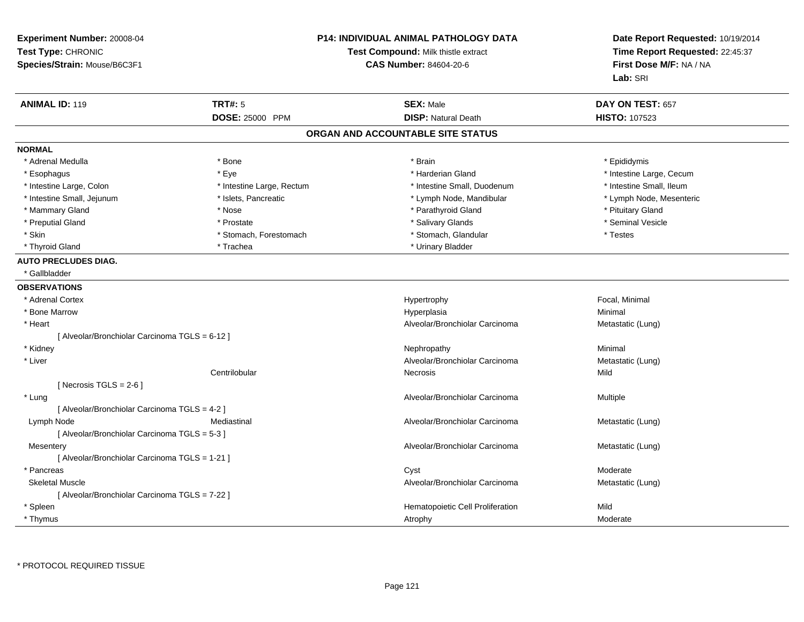| Experiment Number: 20008-04<br>Test Type: CHRONIC<br>Species/Strain: Mouse/B6C3F1 |                           | P14: INDIVIDUAL ANIMAL PATHOLOGY DATA<br>Test Compound: Milk thistle extract<br><b>CAS Number: 84604-20-6</b> | Date Report Requested: 10/19/2014<br>Time Report Requested: 22:45:37<br>First Dose M/F: NA / NA<br>Lab: SRI |
|-----------------------------------------------------------------------------------|---------------------------|---------------------------------------------------------------------------------------------------------------|-------------------------------------------------------------------------------------------------------------|
| <b>ANIMAL ID: 119</b>                                                             | <b>TRT#: 5</b>            | <b>SEX: Male</b>                                                                                              | DAY ON TEST: 657                                                                                            |
|                                                                                   | DOSE: 25000 PPM           | <b>DISP: Natural Death</b>                                                                                    | <b>HISTO: 107523</b>                                                                                        |
|                                                                                   |                           | ORGAN AND ACCOUNTABLE SITE STATUS                                                                             |                                                                                                             |
| <b>NORMAL</b>                                                                     |                           |                                                                                                               |                                                                                                             |
| * Adrenal Medulla                                                                 | * Bone                    | * Brain                                                                                                       | * Epididymis                                                                                                |
| * Esophagus                                                                       | * Eye                     | * Harderian Gland                                                                                             | * Intestine Large, Cecum                                                                                    |
| * Intestine Large, Colon                                                          | * Intestine Large, Rectum | * Intestine Small, Duodenum                                                                                   | * Intestine Small, Ileum                                                                                    |
| * Intestine Small, Jejunum                                                        | * Islets, Pancreatic      | * Lymph Node, Mandibular                                                                                      | * Lymph Node, Mesenteric                                                                                    |
| * Mammary Gland                                                                   | * Nose                    | * Parathyroid Gland                                                                                           | * Pituitary Gland                                                                                           |
| * Preputial Gland                                                                 | * Prostate                | * Salivary Glands                                                                                             | * Seminal Vesicle                                                                                           |
| * Skin                                                                            | * Stomach, Forestomach    | * Stomach, Glandular                                                                                          | * Testes                                                                                                    |
| * Thyroid Gland                                                                   | * Trachea                 | * Urinary Bladder                                                                                             |                                                                                                             |
| <b>AUTO PRECLUDES DIAG.</b><br>* Gallbladder                                      |                           |                                                                                                               |                                                                                                             |
| <b>OBSERVATIONS</b>                                                               |                           |                                                                                                               |                                                                                                             |
| * Adrenal Cortex                                                                  |                           | Hypertrophy                                                                                                   | Focal, Minimal                                                                                              |
| * Bone Marrow                                                                     |                           | Hyperplasia                                                                                                   | Minimal                                                                                                     |
| * Heart                                                                           |                           | Alveolar/Bronchiolar Carcinoma                                                                                | Metastatic (Lung)                                                                                           |
| [ Alveolar/Bronchiolar Carcinoma TGLS = 6-12 ]                                    |                           |                                                                                                               |                                                                                                             |
| * Kidney                                                                          |                           | Nephropathy                                                                                                   | Minimal                                                                                                     |
| * Liver                                                                           |                           | Alveolar/Bronchiolar Carcinoma                                                                                | Metastatic (Lung)                                                                                           |
|                                                                                   | Centrilobular             | Necrosis                                                                                                      | Mild                                                                                                        |
| [Necrosis TGLS = $2-6$ ]                                                          |                           |                                                                                                               |                                                                                                             |
| * Lung                                                                            |                           | Alveolar/Bronchiolar Carcinoma                                                                                | Multiple                                                                                                    |
| [ Alveolar/Bronchiolar Carcinoma TGLS = 4-2 ]                                     |                           |                                                                                                               |                                                                                                             |
| Lymph Node                                                                        | Mediastinal               | Alveolar/Bronchiolar Carcinoma                                                                                | Metastatic (Lung)                                                                                           |
| [ Alveolar/Bronchiolar Carcinoma TGLS = 5-3 ]                                     |                           |                                                                                                               |                                                                                                             |
| Mesentery                                                                         |                           | Alveolar/Bronchiolar Carcinoma                                                                                | Metastatic (Lung)                                                                                           |
| [ Alveolar/Bronchiolar Carcinoma TGLS = 1-21 ]                                    |                           |                                                                                                               |                                                                                                             |
| * Pancreas                                                                        |                           | Cyst                                                                                                          | Moderate                                                                                                    |
| <b>Skeletal Muscle</b>                                                            |                           | Alveolar/Bronchiolar Carcinoma                                                                                | Metastatic (Lung)                                                                                           |
| [ Alveolar/Bronchiolar Carcinoma TGLS = 7-22 ]                                    |                           |                                                                                                               |                                                                                                             |
| * Spleen                                                                          |                           | Hematopoietic Cell Proliferation                                                                              | Mild                                                                                                        |
| * Thymus                                                                          |                           | Atrophy                                                                                                       | Moderate                                                                                                    |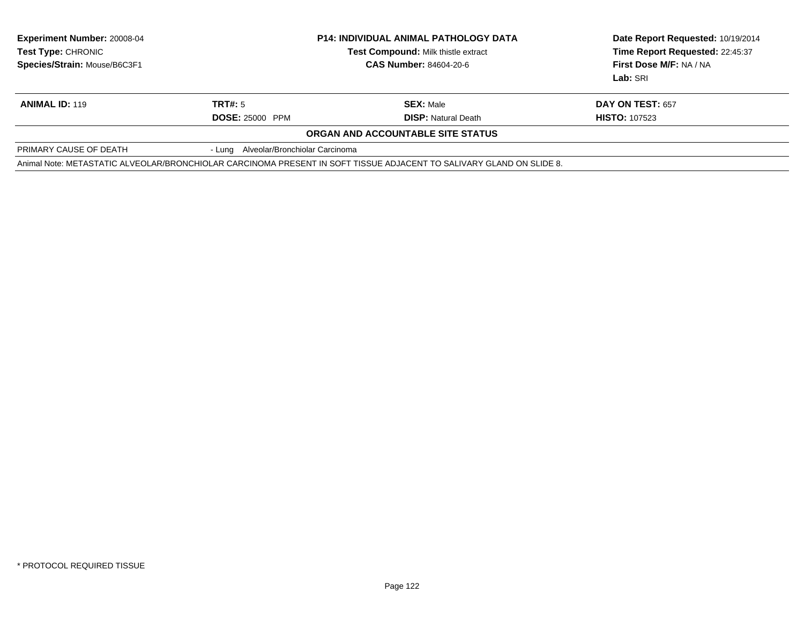| <b>Experiment Number: 20008-04</b><br><b>Test Type: CHRONIC</b><br>Species/Strain: Mouse/B6C3F1 | <b>P14: INDIVIDUAL ANIMAL PATHOLOGY DATA</b><br>Test Compound: Milk thistle extract<br><b>CAS Number: 84604-20-6</b> |                                                                                                                      | Date Report Requested: 10/19/2014<br>Time Report Requested: 22:45:37<br>First Dose M/F: NA / NA<br>Lab: SRI |  |
|-------------------------------------------------------------------------------------------------|----------------------------------------------------------------------------------------------------------------------|----------------------------------------------------------------------------------------------------------------------|-------------------------------------------------------------------------------------------------------------|--|
| <b>ANIMAL ID: 119</b>                                                                           | TRT#: 5                                                                                                              | <b>SEX: Male</b>                                                                                                     | DAY ON TEST: 657                                                                                            |  |
|                                                                                                 | <b>DOSE: 25000 PPM</b>                                                                                               | <b>DISP:</b> Natural Death                                                                                           | <b>HISTO: 107523</b>                                                                                        |  |
|                                                                                                 |                                                                                                                      | ORGAN AND ACCOUNTABLE SITE STATUS                                                                                    |                                                                                                             |  |
| PRIMARY CAUSE OF DEATH                                                                          | - Lung Alveolar/Bronchiolar Carcinoma                                                                                |                                                                                                                      |                                                                                                             |  |
|                                                                                                 |                                                                                                                      | Animal Note: METASTATIC ALVEOLAR/BRONCHIOLAR CARCINOMA PRESENT IN SOFT TISSUE ADJACENT TO SALIVARY GLAND ON SLIDE 8. |                                                                                                             |  |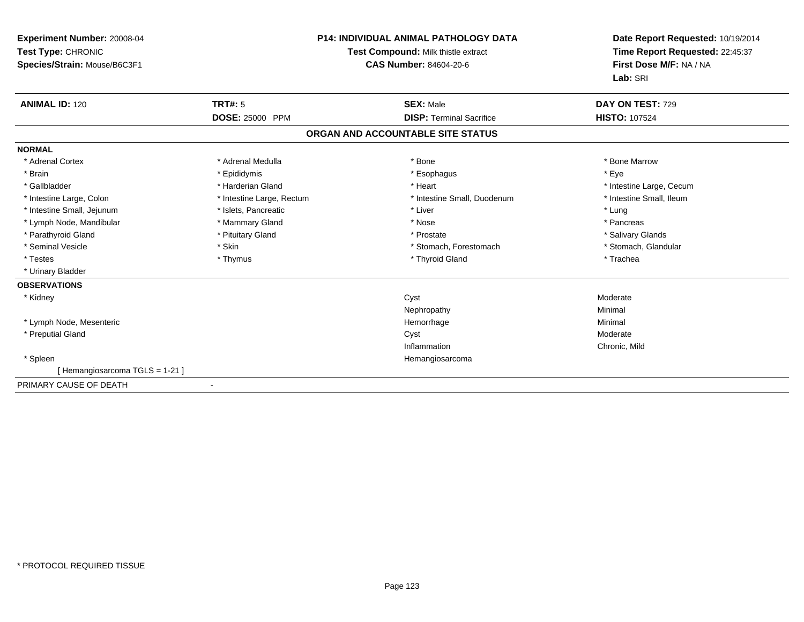| Experiment Number: 20008-04<br>Test Type: CHRONIC<br>Species/Strain: Mouse/B6C3F1 | <b>P14: INDIVIDUAL ANIMAL PATHOLOGY DATA</b><br>Test Compound: Milk thistle extract<br><b>CAS Number: 84604-20-6</b> |                                   | Date Report Requested: 10/19/2014<br>Time Report Requested: 22:45:37<br>First Dose M/F: NA / NA<br>Lab: SRI |  |
|-----------------------------------------------------------------------------------|----------------------------------------------------------------------------------------------------------------------|-----------------------------------|-------------------------------------------------------------------------------------------------------------|--|
| <b>ANIMAL ID: 120</b>                                                             | <b>TRT#: 5</b>                                                                                                       | <b>SEX: Male</b>                  | DAY ON TEST: 729                                                                                            |  |
|                                                                                   | DOSE: 25000 PPM                                                                                                      | <b>DISP: Terminal Sacrifice</b>   | <b>HISTO: 107524</b>                                                                                        |  |
|                                                                                   |                                                                                                                      | ORGAN AND ACCOUNTABLE SITE STATUS |                                                                                                             |  |
| <b>NORMAL</b>                                                                     |                                                                                                                      |                                   |                                                                                                             |  |
| * Adrenal Cortex                                                                  | * Adrenal Medulla                                                                                                    | * Bone                            | * Bone Marrow                                                                                               |  |
| * Brain                                                                           | * Epididymis                                                                                                         | * Esophagus                       | * Eye                                                                                                       |  |
| * Gallbladder                                                                     | * Harderian Gland                                                                                                    | * Heart                           | * Intestine Large, Cecum                                                                                    |  |
| * Intestine Large, Colon                                                          | * Intestine Large, Rectum                                                                                            | * Intestine Small, Duodenum       | * Intestine Small, Ileum                                                                                    |  |
| * Intestine Small, Jejunum                                                        | * Islets, Pancreatic                                                                                                 | * Liver                           | * Lung                                                                                                      |  |
| * Lymph Node, Mandibular                                                          | * Mammary Gland                                                                                                      | * Nose                            | * Pancreas                                                                                                  |  |
| * Parathyroid Gland                                                               | * Pituitary Gland                                                                                                    | * Prostate                        | * Salivary Glands                                                                                           |  |
| * Seminal Vesicle                                                                 | * Skin                                                                                                               | * Stomach. Forestomach            | * Stomach, Glandular                                                                                        |  |
| * Testes                                                                          | * Thymus                                                                                                             | * Thyroid Gland                   | * Trachea                                                                                                   |  |
| * Urinary Bladder                                                                 |                                                                                                                      |                                   |                                                                                                             |  |
| <b>OBSERVATIONS</b>                                                               |                                                                                                                      |                                   |                                                                                                             |  |
| * Kidney                                                                          |                                                                                                                      | Cyst                              | Moderate                                                                                                    |  |
|                                                                                   |                                                                                                                      | Nephropathy                       | Minimal                                                                                                     |  |
| * Lymph Node, Mesenteric                                                          |                                                                                                                      | Hemorrhage                        | Minimal                                                                                                     |  |
| * Preputial Gland                                                                 |                                                                                                                      | Cyst                              | Moderate                                                                                                    |  |
|                                                                                   |                                                                                                                      | Inflammation                      | Chronic, Mild                                                                                               |  |
| * Spleen                                                                          |                                                                                                                      | Hemangiosarcoma                   |                                                                                                             |  |
| [Hemangiosarcoma TGLS = 1-21]                                                     |                                                                                                                      |                                   |                                                                                                             |  |
| PRIMARY CAUSE OF DEATH                                                            | $\blacksquare$                                                                                                       |                                   |                                                                                                             |  |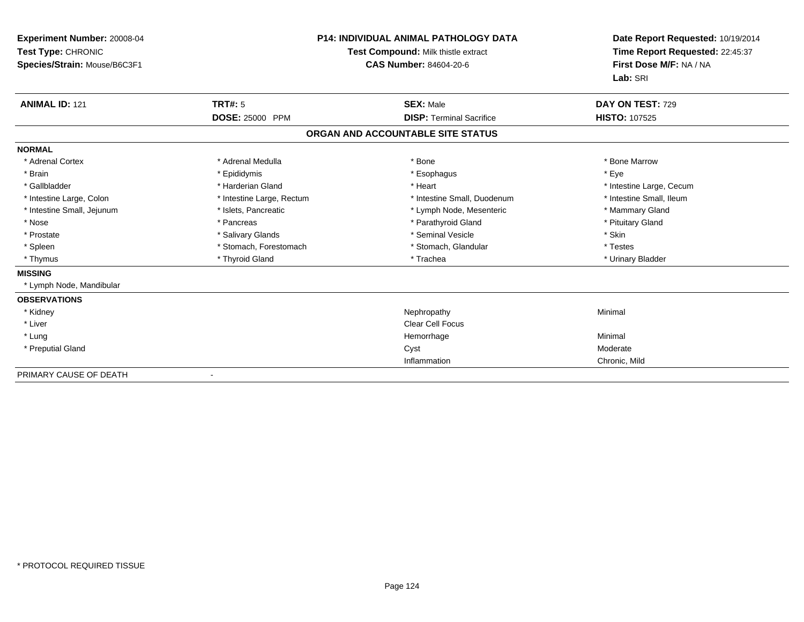| Experiment Number: 20008-04<br>Test Type: CHRONIC<br>Species/Strain: Mouse/B6C3F1 | <b>P14: INDIVIDUAL ANIMAL PATHOLOGY DATA</b><br>Test Compound: Milk thistle extract<br><b>CAS Number: 84604-20-6</b> |                                   | Date Report Requested: 10/19/2014<br>Time Report Requested: 22:45:37<br>First Dose M/F: NA / NA<br>Lab: SRI |  |
|-----------------------------------------------------------------------------------|----------------------------------------------------------------------------------------------------------------------|-----------------------------------|-------------------------------------------------------------------------------------------------------------|--|
| <b>ANIMAL ID: 121</b>                                                             | <b>TRT#: 5</b>                                                                                                       | <b>SEX: Male</b>                  | DAY ON TEST: 729                                                                                            |  |
|                                                                                   | DOSE: 25000 PPM                                                                                                      | <b>DISP: Terminal Sacrifice</b>   | <b>HISTO: 107525</b>                                                                                        |  |
|                                                                                   |                                                                                                                      | ORGAN AND ACCOUNTABLE SITE STATUS |                                                                                                             |  |
| <b>NORMAL</b>                                                                     |                                                                                                                      |                                   |                                                                                                             |  |
| * Adrenal Cortex                                                                  | * Adrenal Medulla                                                                                                    | * Bone                            | * Bone Marrow                                                                                               |  |
| * Brain                                                                           | * Epididymis                                                                                                         | * Esophagus                       | * Eye                                                                                                       |  |
| * Gallbladder                                                                     | * Harderian Gland                                                                                                    | * Heart                           | * Intestine Large, Cecum                                                                                    |  |
| * Intestine Large, Colon                                                          | * Intestine Large, Rectum                                                                                            | * Intestine Small, Duodenum       | * Intestine Small, Ileum                                                                                    |  |
| * Intestine Small, Jejunum                                                        | * Islets, Pancreatic                                                                                                 | * Lymph Node, Mesenteric          | * Mammary Gland                                                                                             |  |
| * Nose                                                                            | * Pancreas                                                                                                           | * Parathyroid Gland               | * Pituitary Gland                                                                                           |  |
| * Prostate                                                                        | * Salivary Glands                                                                                                    | * Seminal Vesicle                 | * Skin                                                                                                      |  |
| * Spleen                                                                          | * Stomach, Forestomach                                                                                               | * Stomach, Glandular              | * Testes                                                                                                    |  |
| * Thymus                                                                          | * Thyroid Gland                                                                                                      | * Trachea                         | * Urinary Bladder                                                                                           |  |
| <b>MISSING</b>                                                                    |                                                                                                                      |                                   |                                                                                                             |  |
| * Lymph Node, Mandibular                                                          |                                                                                                                      |                                   |                                                                                                             |  |
| <b>OBSERVATIONS</b>                                                               |                                                                                                                      |                                   |                                                                                                             |  |
| * Kidney                                                                          |                                                                                                                      | Nephropathy                       | Minimal                                                                                                     |  |
| * Liver                                                                           |                                                                                                                      | <b>Clear Cell Focus</b>           |                                                                                                             |  |
| * Lung                                                                            |                                                                                                                      | Hemorrhage                        | Minimal                                                                                                     |  |
| * Preputial Gland                                                                 |                                                                                                                      | Cyst                              | Moderate                                                                                                    |  |
|                                                                                   |                                                                                                                      | Inflammation                      | Chronic, Mild                                                                                               |  |
| PRIMARY CAUSE OF DEATH                                                            |                                                                                                                      |                                   |                                                                                                             |  |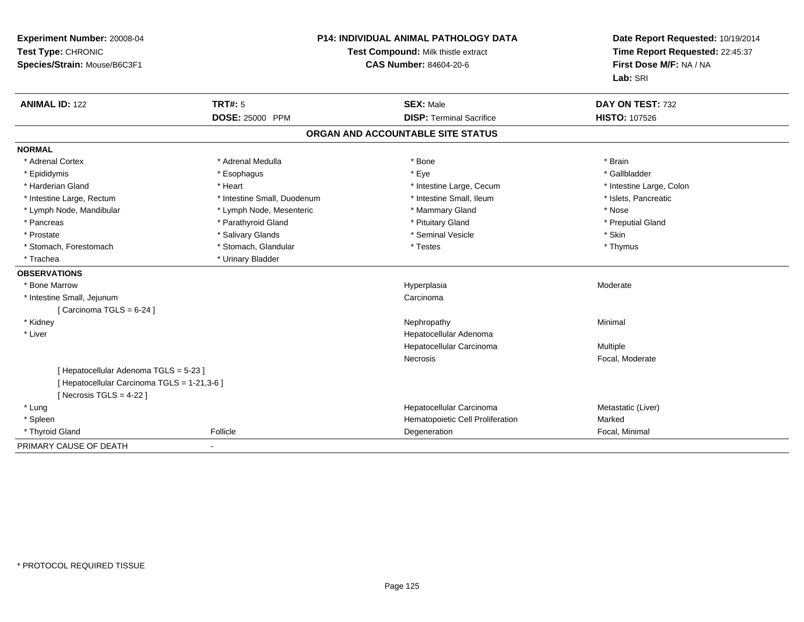| Experiment Number: 20008-04<br>Test Type: CHRONIC<br>Species/Strain: Mouse/B6C3F1 |                             | P14: INDIVIDUAL ANIMAL PATHOLOGY DATA<br>Test Compound: Milk thistle extract<br><b>CAS Number: 84604-20-6</b> | Date Report Requested: 10/19/2014<br>Time Report Requested: 22:45:37<br>First Dose M/F: NA / NA<br>Lab: SRI |
|-----------------------------------------------------------------------------------|-----------------------------|---------------------------------------------------------------------------------------------------------------|-------------------------------------------------------------------------------------------------------------|
| <b>ANIMAL ID: 122</b>                                                             | <b>TRT#: 5</b>              | <b>SEX: Male</b>                                                                                              | DAY ON TEST: 732                                                                                            |
|                                                                                   | <b>DOSE: 25000 PPM</b>      | <b>DISP: Terminal Sacrifice</b>                                                                               | <b>HISTO: 107526</b>                                                                                        |
|                                                                                   |                             | ORGAN AND ACCOUNTABLE SITE STATUS                                                                             |                                                                                                             |
| <b>NORMAL</b>                                                                     |                             |                                                                                                               |                                                                                                             |
| * Adrenal Cortex                                                                  | * Adrenal Medulla           | * Bone                                                                                                        | * Brain                                                                                                     |
| * Epididymis                                                                      | * Esophagus                 | * Eye                                                                                                         | * Gallbladder                                                                                               |
| * Harderian Gland                                                                 | * Heart                     | * Intestine Large, Cecum                                                                                      | * Intestine Large, Colon                                                                                    |
| * Intestine Large, Rectum                                                         | * Intestine Small, Duodenum | * Intestine Small. Ileum                                                                                      | * Islets, Pancreatic                                                                                        |
| * Lymph Node, Mandibular                                                          | * Lymph Node, Mesenteric    | * Mammary Gland                                                                                               | * Nose                                                                                                      |
| * Pancreas                                                                        | * Parathyroid Gland         | * Pituitary Gland                                                                                             | * Preputial Gland                                                                                           |
| * Prostate                                                                        | * Salivary Glands           | * Seminal Vesicle                                                                                             | * Skin                                                                                                      |
| * Stomach, Forestomach                                                            | * Stomach, Glandular        | * Testes                                                                                                      | * Thymus                                                                                                    |
| * Trachea                                                                         | * Urinary Bladder           |                                                                                                               |                                                                                                             |
| <b>OBSERVATIONS</b>                                                               |                             |                                                                                                               |                                                                                                             |
| * Bone Marrow                                                                     |                             | Hyperplasia                                                                                                   | Moderate                                                                                                    |
| * Intestine Small, Jejunum                                                        |                             | Carcinoma                                                                                                     |                                                                                                             |
| [Carcinoma TGLS = $6-24$ ]                                                        |                             |                                                                                                               |                                                                                                             |
| * Kidney                                                                          |                             | Nephropathy                                                                                                   | Minimal                                                                                                     |
| * Liver                                                                           |                             | Hepatocellular Adenoma                                                                                        |                                                                                                             |
|                                                                                   |                             | Hepatocellular Carcinoma                                                                                      | Multiple                                                                                                    |
|                                                                                   |                             | Necrosis                                                                                                      | Focal, Moderate                                                                                             |
| [ Hepatocellular Adenoma TGLS = 5-23 ]                                            |                             |                                                                                                               |                                                                                                             |
| [ Hepatocellular Carcinoma TGLS = 1-21,3-6 ]                                      |                             |                                                                                                               |                                                                                                             |
| [Necrosis $TGLS = 4-22$ ]                                                         |                             |                                                                                                               |                                                                                                             |
| * Lung                                                                            |                             | Hepatocellular Carcinoma                                                                                      | Metastatic (Liver)                                                                                          |
| * Spleen                                                                          |                             | Hematopoietic Cell Proliferation                                                                              | Marked                                                                                                      |
| * Thyroid Gland                                                                   | Follicle                    | Degeneration                                                                                                  | Focal, Minimal                                                                                              |
| PRIMARY CAUSE OF DEATH                                                            | $\blacksquare$              |                                                                                                               |                                                                                                             |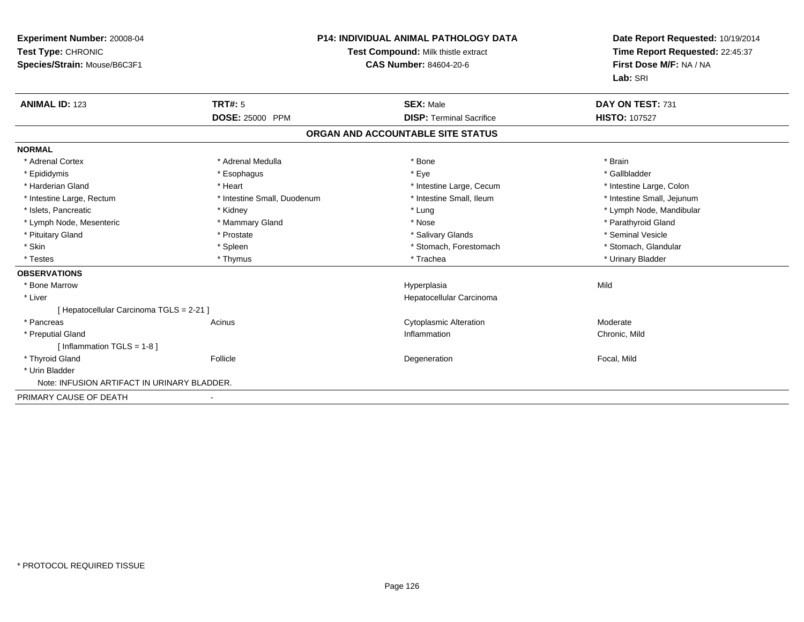| Experiment Number: 20008-04<br>Test Type: CHRONIC<br>Species/Strain: Mouse/B6C3F1 |                             | <b>P14: INDIVIDUAL ANIMAL PATHOLOGY DATA</b><br>Test Compound: Milk thistle extract<br><b>CAS Number: 84604-20-6</b> | Date Report Requested: 10/19/2014<br>Time Report Requested: 22:45:37<br>First Dose M/F: NA / NA<br>Lab: SRI |
|-----------------------------------------------------------------------------------|-----------------------------|----------------------------------------------------------------------------------------------------------------------|-------------------------------------------------------------------------------------------------------------|
| <b>ANIMAL ID: 123</b>                                                             | <b>TRT#: 5</b>              | <b>SEX: Male</b>                                                                                                     | DAY ON TEST: 731                                                                                            |
|                                                                                   | <b>DOSE: 25000 PPM</b>      | <b>DISP: Terminal Sacrifice</b>                                                                                      | <b>HISTO: 107527</b>                                                                                        |
|                                                                                   |                             | ORGAN AND ACCOUNTABLE SITE STATUS                                                                                    |                                                                                                             |
| <b>NORMAL</b>                                                                     |                             |                                                                                                                      |                                                                                                             |
| * Adrenal Cortex                                                                  | * Adrenal Medulla           | * Bone                                                                                                               | * Brain                                                                                                     |
| * Epididymis                                                                      | * Esophagus                 | * Eye                                                                                                                | * Gallbladder                                                                                               |
| * Harderian Gland                                                                 | * Heart                     | * Intestine Large, Cecum                                                                                             | * Intestine Large, Colon                                                                                    |
| * Intestine Large, Rectum                                                         | * Intestine Small, Duodenum | * Intestine Small, Ileum                                                                                             | * Intestine Small, Jejunum                                                                                  |
| * Islets, Pancreatic                                                              | * Kidney                    | * Lung                                                                                                               | * Lymph Node, Mandibular                                                                                    |
| * Lymph Node, Mesenteric                                                          | * Mammary Gland             | * Nose                                                                                                               | * Parathyroid Gland                                                                                         |
| * Pituitary Gland                                                                 | * Prostate                  | * Salivary Glands                                                                                                    | * Seminal Vesicle                                                                                           |
| * Skin                                                                            | * Spleen                    | * Stomach, Forestomach                                                                                               | * Stomach, Glandular                                                                                        |
| * Testes                                                                          | * Thymus                    | * Trachea                                                                                                            | * Urinary Bladder                                                                                           |
| <b>OBSERVATIONS</b>                                                               |                             |                                                                                                                      |                                                                                                             |
| * Bone Marrow                                                                     |                             | Hyperplasia                                                                                                          | Mild                                                                                                        |
| * Liver                                                                           |                             | Hepatocellular Carcinoma                                                                                             |                                                                                                             |
| [ Hepatocellular Carcinoma TGLS = 2-21 ]                                          |                             |                                                                                                                      |                                                                                                             |
| * Pancreas                                                                        | Acinus                      | <b>Cytoplasmic Alteration</b>                                                                                        | Moderate                                                                                                    |
| * Preputial Gland                                                                 |                             | Inflammation                                                                                                         | Chronic, Mild                                                                                               |
| [ Inflammation $TGLS = 1-8$ ]                                                     |                             |                                                                                                                      |                                                                                                             |
| * Thyroid Gland                                                                   | Follicle                    | Degeneration                                                                                                         | Focal, Mild                                                                                                 |
| * Urin Bladder                                                                    |                             |                                                                                                                      |                                                                                                             |
| Note: INFUSION ARTIFACT IN URINARY BLADDER.                                       |                             |                                                                                                                      |                                                                                                             |
| PRIMARY CAUSE OF DEATH                                                            |                             |                                                                                                                      |                                                                                                             |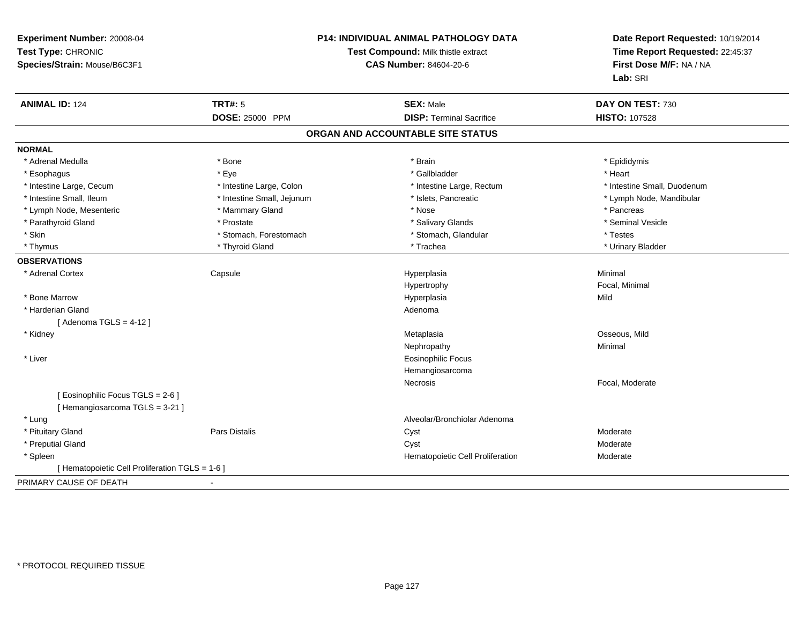| Experiment Number: 20008-04<br>Test Type: CHRONIC<br>Species/Strain: Mouse/B6C3F1 | <b>P14: INDIVIDUAL ANIMAL PATHOLOGY DATA</b><br>Test Compound: Milk thistle extract<br><b>CAS Number: 84604-20-6</b> |                                   | Date Report Requested: 10/19/2014<br>Time Report Requested: 22:45:37<br>First Dose M/F: NA / NA<br>Lab: SRI |
|-----------------------------------------------------------------------------------|----------------------------------------------------------------------------------------------------------------------|-----------------------------------|-------------------------------------------------------------------------------------------------------------|
| <b>ANIMAL ID: 124</b>                                                             | <b>TRT#: 5</b>                                                                                                       | <b>SEX: Male</b>                  | DAY ON TEST: 730                                                                                            |
|                                                                                   | <b>DOSE: 25000 PPM</b>                                                                                               | <b>DISP: Terminal Sacrifice</b>   | <b>HISTO: 107528</b>                                                                                        |
|                                                                                   |                                                                                                                      | ORGAN AND ACCOUNTABLE SITE STATUS |                                                                                                             |
| <b>NORMAL</b>                                                                     |                                                                                                                      |                                   |                                                                                                             |
| * Adrenal Medulla                                                                 | * Bone                                                                                                               | * Brain                           | * Epididymis                                                                                                |
| * Esophagus                                                                       | * Eye                                                                                                                | * Gallbladder                     | * Heart                                                                                                     |
| * Intestine Large, Cecum                                                          | * Intestine Large, Colon                                                                                             | * Intestine Large, Rectum         | * Intestine Small, Duodenum                                                                                 |
| * Intestine Small, Ileum                                                          | * Intestine Small, Jejunum                                                                                           | * Islets, Pancreatic              | * Lymph Node, Mandibular                                                                                    |
| * Lymph Node, Mesenteric                                                          | * Mammary Gland                                                                                                      | * Nose                            | * Pancreas                                                                                                  |
| * Parathyroid Gland                                                               | * Prostate                                                                                                           | * Salivary Glands                 | * Seminal Vesicle                                                                                           |
| * Skin                                                                            | * Stomach, Forestomach                                                                                               | * Stomach, Glandular              | * Testes                                                                                                    |
| * Thymus                                                                          | * Thyroid Gland                                                                                                      | * Trachea                         | * Urinary Bladder                                                                                           |
| <b>OBSERVATIONS</b>                                                               |                                                                                                                      |                                   |                                                                                                             |
| * Adrenal Cortex                                                                  | Capsule                                                                                                              | Hyperplasia                       | Minimal                                                                                                     |
|                                                                                   |                                                                                                                      | Hypertrophy                       | Focal, Minimal                                                                                              |
| * Bone Marrow                                                                     |                                                                                                                      | Hyperplasia                       | Mild                                                                                                        |
| * Harderian Gland                                                                 |                                                                                                                      | Adenoma                           |                                                                                                             |
| [Adenoma TGLS = $4-12$ ]                                                          |                                                                                                                      |                                   |                                                                                                             |
| * Kidney                                                                          |                                                                                                                      | Metaplasia                        | Osseous, Mild                                                                                               |
|                                                                                   |                                                                                                                      | Nephropathy                       | Minimal                                                                                                     |
| * Liver                                                                           |                                                                                                                      | <b>Eosinophilic Focus</b>         |                                                                                                             |
|                                                                                   |                                                                                                                      | Hemangiosarcoma                   |                                                                                                             |
|                                                                                   |                                                                                                                      | Necrosis                          | Focal, Moderate                                                                                             |
| [ Eosinophilic Focus TGLS = 2-6 ]                                                 |                                                                                                                      |                                   |                                                                                                             |
| [Hemangiosarcoma TGLS = 3-21]                                                     |                                                                                                                      |                                   |                                                                                                             |
| * Lung                                                                            |                                                                                                                      | Alveolar/Bronchiolar Adenoma      |                                                                                                             |
| * Pituitary Gland                                                                 | Pars Distalis                                                                                                        | Cyst                              | Moderate                                                                                                    |
| * Preputial Gland                                                                 |                                                                                                                      | Cyst                              | Moderate                                                                                                    |
| * Spleen                                                                          |                                                                                                                      | Hematopoietic Cell Proliferation  | Moderate                                                                                                    |
| [ Hematopoietic Cell Proliferation TGLS = 1-6 ]                                   |                                                                                                                      |                                   |                                                                                                             |
| PRIMARY CAUSE OF DEATH                                                            |                                                                                                                      |                                   |                                                                                                             |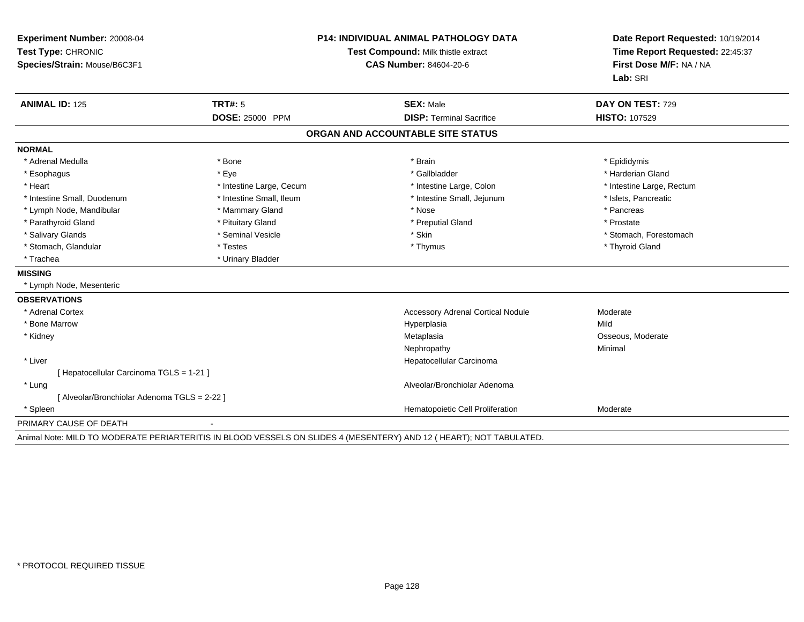| Experiment Number: 20008-04<br>Test Type: CHRONIC<br>Species/Strain: Mouse/B6C3F1 |                          | <b>P14: INDIVIDUAL ANIMAL PATHOLOGY DATA</b><br>Test Compound: Milk thistle extract<br><b>CAS Number: 84604-20-6</b> | Date Report Requested: 10/19/2014<br>Time Report Requested: 22:45:37<br>First Dose M/F: NA / NA<br>Lab: SRI |
|-----------------------------------------------------------------------------------|--------------------------|----------------------------------------------------------------------------------------------------------------------|-------------------------------------------------------------------------------------------------------------|
| <b>ANIMAL ID: 125</b>                                                             | <b>TRT#: 5</b>           | <b>SEX: Male</b>                                                                                                     | DAY ON TEST: 729                                                                                            |
|                                                                                   | DOSE: 25000 PPM          | <b>DISP: Terminal Sacrifice</b>                                                                                      | HISTO: 107529                                                                                               |
|                                                                                   |                          | ORGAN AND ACCOUNTABLE SITE STATUS                                                                                    |                                                                                                             |
| <b>NORMAL</b>                                                                     |                          |                                                                                                                      |                                                                                                             |
| * Adrenal Medulla                                                                 | * Bone                   | * Brain                                                                                                              | * Epididymis                                                                                                |
| * Esophagus                                                                       | * Eye                    | * Gallbladder                                                                                                        | * Harderian Gland                                                                                           |
| * Heart                                                                           | * Intestine Large, Cecum | * Intestine Large, Colon                                                                                             | * Intestine Large, Rectum                                                                                   |
| * Intestine Small, Duodenum                                                       | * Intestine Small, Ileum | * Intestine Small, Jejunum                                                                                           | * Islets, Pancreatic                                                                                        |
| * Lymph Node, Mandibular                                                          | * Mammary Gland          | * Nose                                                                                                               | * Pancreas                                                                                                  |
| * Parathyroid Gland                                                               | * Pituitary Gland        | * Preputial Gland                                                                                                    | * Prostate                                                                                                  |
| * Salivary Glands                                                                 | * Seminal Vesicle        | * Skin                                                                                                               | * Stomach, Forestomach                                                                                      |
| * Stomach, Glandular                                                              | * Testes                 | * Thymus                                                                                                             | * Thyroid Gland                                                                                             |
| * Trachea                                                                         | * Urinary Bladder        |                                                                                                                      |                                                                                                             |
| <b>MISSING</b>                                                                    |                          |                                                                                                                      |                                                                                                             |
| * Lymph Node, Mesenteric                                                          |                          |                                                                                                                      |                                                                                                             |
| <b>OBSERVATIONS</b>                                                               |                          |                                                                                                                      |                                                                                                             |
| * Adrenal Cortex                                                                  |                          | <b>Accessory Adrenal Cortical Nodule</b>                                                                             | Moderate                                                                                                    |
| * Bone Marrow                                                                     |                          | Hyperplasia                                                                                                          | Mild                                                                                                        |
| * Kidney                                                                          |                          | Metaplasia                                                                                                           | Osseous, Moderate                                                                                           |
|                                                                                   |                          | Nephropathy                                                                                                          | Minimal                                                                                                     |
| * Liver                                                                           |                          | Hepatocellular Carcinoma                                                                                             |                                                                                                             |
| [ Hepatocellular Carcinoma TGLS = 1-21 ]                                          |                          |                                                                                                                      |                                                                                                             |
| * Lung                                                                            |                          | Alveolar/Bronchiolar Adenoma                                                                                         |                                                                                                             |
| [ Alveolar/Bronchiolar Adenoma TGLS = 2-22 ]                                      |                          |                                                                                                                      |                                                                                                             |
| * Spleen                                                                          |                          | Hematopoietic Cell Proliferation                                                                                     | Moderate                                                                                                    |
| PRIMARY CAUSE OF DEATH                                                            | $\overline{\phantom{0}}$ |                                                                                                                      |                                                                                                             |

Animal Note: MILD TO MODERATE PERIARTERITIS IN BLOOD VESSELS ON SLIDES 4 (MESENTERY) AND 12 ( HEART); NOT TABULATED.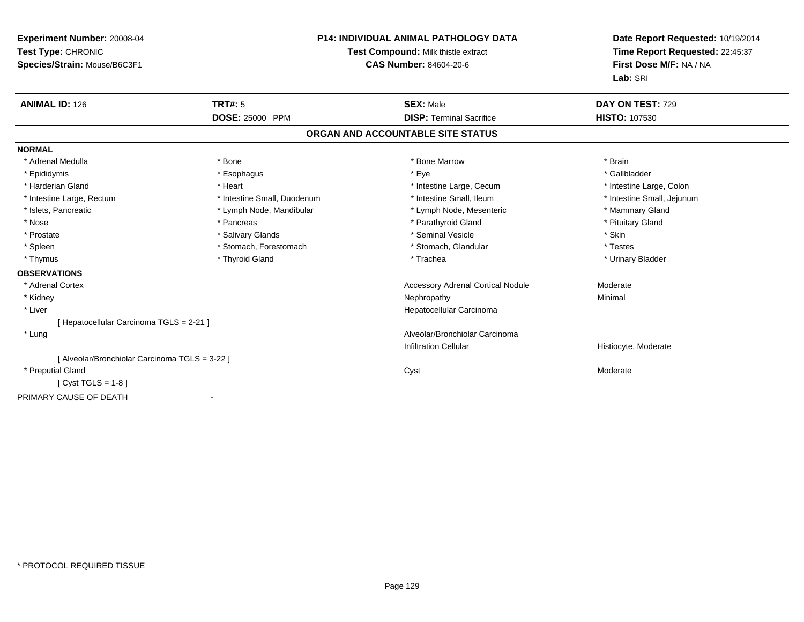| Experiment Number: 20008-04<br>Test Type: CHRONIC<br>Species/Strain: Mouse/B6C3F1 | P14: INDIVIDUAL ANIMAL PATHOLOGY DATA<br>Test Compound: Milk thistle extract<br><b>CAS Number: 84604-20-6</b> |                                          | Date Report Requested: 10/19/2014<br>Time Report Requested: 22:45:37<br>First Dose M/F: NA / NA<br>Lab: SRI |
|-----------------------------------------------------------------------------------|---------------------------------------------------------------------------------------------------------------|------------------------------------------|-------------------------------------------------------------------------------------------------------------|
| <b>ANIMAL ID: 126</b>                                                             | TRT#: 5                                                                                                       | <b>SEX: Male</b>                         | DAY ON TEST: 729                                                                                            |
|                                                                                   | DOSE: 25000 PPM                                                                                               | <b>DISP: Terminal Sacrifice</b>          | <b>HISTO: 107530</b>                                                                                        |
|                                                                                   |                                                                                                               | ORGAN AND ACCOUNTABLE SITE STATUS        |                                                                                                             |
| <b>NORMAL</b>                                                                     |                                                                                                               |                                          |                                                                                                             |
| * Adrenal Medulla                                                                 | * Bone                                                                                                        | * Bone Marrow                            | * Brain                                                                                                     |
| * Epididymis                                                                      | * Esophagus                                                                                                   | * Eye                                    | * Gallbladder                                                                                               |
| * Harderian Gland                                                                 | * Heart                                                                                                       | * Intestine Large, Cecum                 | * Intestine Large, Colon                                                                                    |
| * Intestine Large, Rectum                                                         | * Intestine Small, Duodenum                                                                                   | * Intestine Small, Ileum                 | * Intestine Small, Jejunum                                                                                  |
| * Islets, Pancreatic                                                              | * Lymph Node, Mandibular                                                                                      | * Lymph Node, Mesenteric                 | * Mammary Gland                                                                                             |
| * Nose                                                                            | * Pancreas                                                                                                    | * Parathyroid Gland                      | * Pituitary Gland                                                                                           |
| * Prostate                                                                        | * Salivary Glands                                                                                             | * Seminal Vesicle                        | * Skin                                                                                                      |
| * Spleen                                                                          | * Stomach, Forestomach                                                                                        | * Stomach, Glandular                     | * Testes                                                                                                    |
| * Thymus                                                                          | * Thyroid Gland                                                                                               | * Trachea                                | * Urinary Bladder                                                                                           |
| <b>OBSERVATIONS</b>                                                               |                                                                                                               |                                          |                                                                                                             |
| * Adrenal Cortex                                                                  |                                                                                                               | <b>Accessory Adrenal Cortical Nodule</b> | Moderate                                                                                                    |
| * Kidney                                                                          |                                                                                                               | Nephropathy                              | Minimal                                                                                                     |
| * Liver                                                                           |                                                                                                               | Hepatocellular Carcinoma                 |                                                                                                             |
| [Hepatocellular Carcinoma TGLS = 2-21]                                            |                                                                                                               |                                          |                                                                                                             |
| * Lung                                                                            |                                                                                                               | Alveolar/Bronchiolar Carcinoma           |                                                                                                             |
|                                                                                   |                                                                                                               | <b>Infiltration Cellular</b>             | Histiocyte, Moderate                                                                                        |
| [ Alveolar/Bronchiolar Carcinoma TGLS = 3-22 ]                                    |                                                                                                               |                                          |                                                                                                             |
| * Preputial Gland                                                                 |                                                                                                               | Cyst                                     | Moderate                                                                                                    |
| $[Cyst TGLS = 1-8]$                                                               |                                                                                                               |                                          |                                                                                                             |
| PRIMARY CAUSE OF DEATH                                                            |                                                                                                               |                                          |                                                                                                             |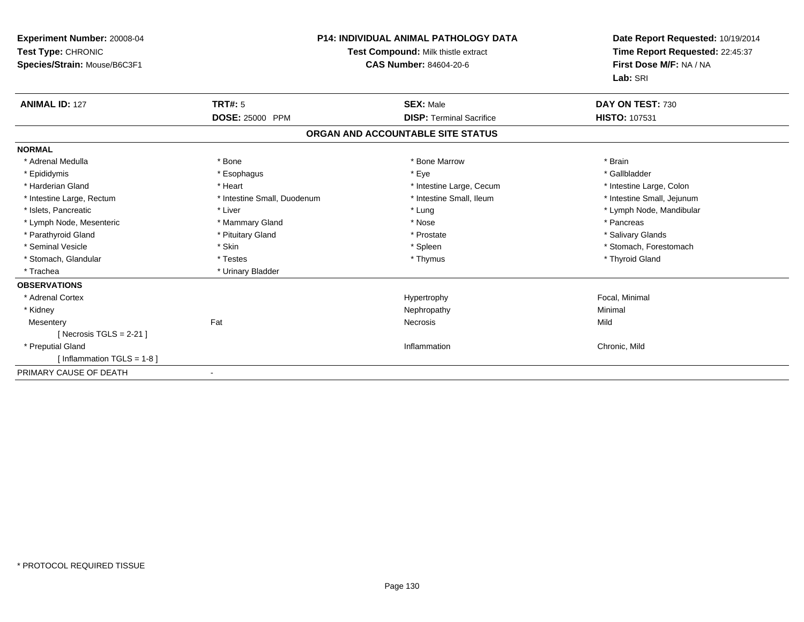| <b>Experiment Number: 20008-04</b><br>Test Type: CHRONIC<br>Species/Strain: Mouse/B6C3F1 |                             | <b>P14: INDIVIDUAL ANIMAL PATHOLOGY DATA</b><br>Test Compound: Milk thistle extract<br><b>CAS Number: 84604-20-6</b> | Date Report Requested: 10/19/2014<br>Time Report Requested: 22:45:37<br>First Dose M/F: NA / NA<br>Lab: SRI |  |
|------------------------------------------------------------------------------------------|-----------------------------|----------------------------------------------------------------------------------------------------------------------|-------------------------------------------------------------------------------------------------------------|--|
| <b>ANIMAL ID: 127</b>                                                                    | <b>TRT#: 5</b>              | <b>SEX: Male</b>                                                                                                     | DAY ON TEST: 730                                                                                            |  |
|                                                                                          | <b>DOSE: 25000 PPM</b>      | <b>DISP: Terminal Sacrifice</b>                                                                                      | <b>HISTO: 107531</b>                                                                                        |  |
|                                                                                          |                             | ORGAN AND ACCOUNTABLE SITE STATUS                                                                                    |                                                                                                             |  |
| <b>NORMAL</b>                                                                            |                             |                                                                                                                      |                                                                                                             |  |
| * Adrenal Medulla                                                                        | * Bone                      | * Bone Marrow                                                                                                        | * Brain                                                                                                     |  |
| * Epididymis                                                                             | * Esophagus                 | * Eye                                                                                                                | * Gallbladder                                                                                               |  |
| * Harderian Gland                                                                        | * Heart                     | * Intestine Large, Cecum                                                                                             | * Intestine Large, Colon                                                                                    |  |
| * Intestine Large, Rectum                                                                | * Intestine Small, Duodenum | * Intestine Small, Ileum                                                                                             | * Intestine Small, Jejunum                                                                                  |  |
| * Islets, Pancreatic                                                                     | * Liver                     | * Lung                                                                                                               | * Lymph Node, Mandibular                                                                                    |  |
| * Lymph Node, Mesenteric                                                                 | * Mammary Gland             | * Nose                                                                                                               | * Pancreas                                                                                                  |  |
| * Parathyroid Gland                                                                      | * Pituitary Gland           | * Prostate                                                                                                           | * Salivary Glands                                                                                           |  |
| * Seminal Vesicle                                                                        | * Skin                      | * Spleen                                                                                                             | * Stomach, Forestomach                                                                                      |  |
| * Stomach, Glandular                                                                     | * Testes                    | * Thymus                                                                                                             | * Thyroid Gland                                                                                             |  |
| * Trachea                                                                                | * Urinary Bladder           |                                                                                                                      |                                                                                                             |  |
| <b>OBSERVATIONS</b>                                                                      |                             |                                                                                                                      |                                                                                                             |  |
| * Adrenal Cortex                                                                         |                             | Hypertrophy                                                                                                          | Focal, Minimal                                                                                              |  |
| * Kidney                                                                                 |                             | Nephropathy                                                                                                          | Minimal                                                                                                     |  |
| Mesentery                                                                                | Fat                         | Necrosis                                                                                                             | Mild                                                                                                        |  |
| [ Necrosis TGLS = $2-21$ ]                                                               |                             |                                                                                                                      |                                                                                                             |  |
| * Preputial Gland                                                                        |                             | Inflammation                                                                                                         | Chronic, Mild                                                                                               |  |
| [Inflammation TGLS = 1-8]                                                                |                             |                                                                                                                      |                                                                                                             |  |
| PRIMARY CAUSE OF DEATH                                                                   | $\overline{\phantom{a}}$    |                                                                                                                      |                                                                                                             |  |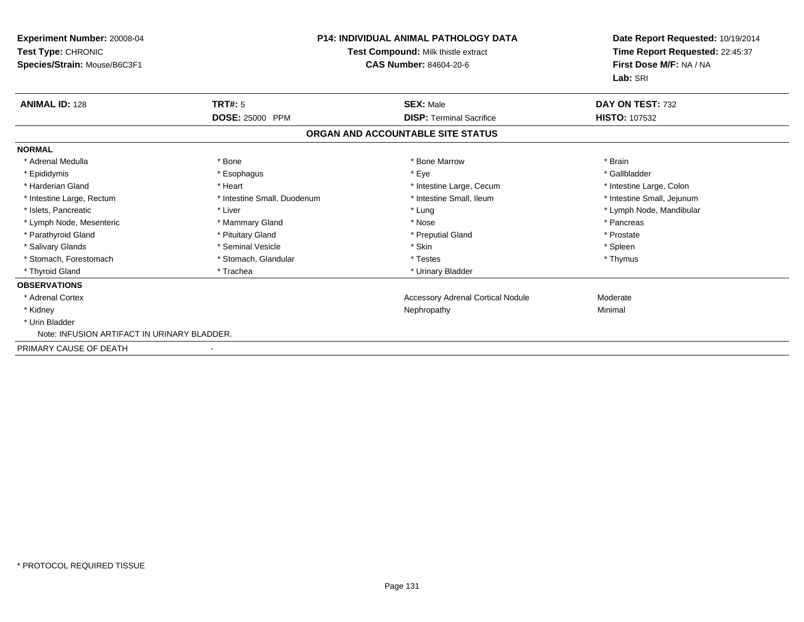| Experiment Number: 20008-04<br>Test Type: CHRONIC<br>Species/Strain: Mouse/B6C3F1 |                             | P14: INDIVIDUAL ANIMAL PATHOLOGY DATA<br>Test Compound: Milk thistle extract<br>CAS Number: 84604-20-6 | Date Report Requested: 10/19/2014<br>Time Report Requested: 22:45:37<br>First Dose M/F: NA / NA<br>Lab: SRI |
|-----------------------------------------------------------------------------------|-----------------------------|--------------------------------------------------------------------------------------------------------|-------------------------------------------------------------------------------------------------------------|
| <b>ANIMAL ID: 128</b>                                                             | TRT#: 5                     | <b>SEX: Male</b>                                                                                       | DAY ON TEST: 732                                                                                            |
|                                                                                   | <b>DOSE: 25000 PPM</b>      | <b>DISP: Terminal Sacrifice</b>                                                                        | <b>HISTO: 107532</b>                                                                                        |
|                                                                                   |                             | ORGAN AND ACCOUNTABLE SITE STATUS                                                                      |                                                                                                             |
| <b>NORMAL</b>                                                                     |                             |                                                                                                        |                                                                                                             |
| * Adrenal Medulla                                                                 | * Bone                      | * Bone Marrow                                                                                          | * Brain                                                                                                     |
| * Epididymis                                                                      | * Esophagus                 | * Eye                                                                                                  | * Gallbladder                                                                                               |
| * Harderian Gland                                                                 | * Heart                     | * Intestine Large, Cecum                                                                               | * Intestine Large, Colon                                                                                    |
| * Intestine Large, Rectum                                                         | * Intestine Small, Duodenum | * Intestine Small. Ileum                                                                               | * Intestine Small, Jejunum                                                                                  |
| * Islets, Pancreatic                                                              | * Liver                     | * Lung                                                                                                 | * Lymph Node, Mandibular                                                                                    |
| * Lymph Node, Mesenteric                                                          | * Mammary Gland             | * Nose                                                                                                 | * Pancreas                                                                                                  |
| * Parathyroid Gland                                                               | * Pituitary Gland           | * Preputial Gland                                                                                      | * Prostate                                                                                                  |
| * Salivary Glands                                                                 | * Seminal Vesicle           | * Skin                                                                                                 | * Spleen                                                                                                    |
| * Stomach, Forestomach                                                            | * Stomach, Glandular        | * Testes                                                                                               | * Thymus                                                                                                    |
| * Thyroid Gland                                                                   | * Trachea                   | * Urinary Bladder                                                                                      |                                                                                                             |
| <b>OBSERVATIONS</b>                                                               |                             |                                                                                                        |                                                                                                             |
| * Adrenal Cortex                                                                  |                             | <b>Accessory Adrenal Cortical Nodule</b>                                                               | Moderate                                                                                                    |
| * Kidney                                                                          |                             | Nephropathy                                                                                            | Minimal                                                                                                     |
| * Urin Bladder                                                                    |                             |                                                                                                        |                                                                                                             |
| Note: INFUSION ARTIFACT IN URINARY BLADDER.                                       |                             |                                                                                                        |                                                                                                             |
| PRIMARY CAUSE OF DEATH                                                            |                             |                                                                                                        |                                                                                                             |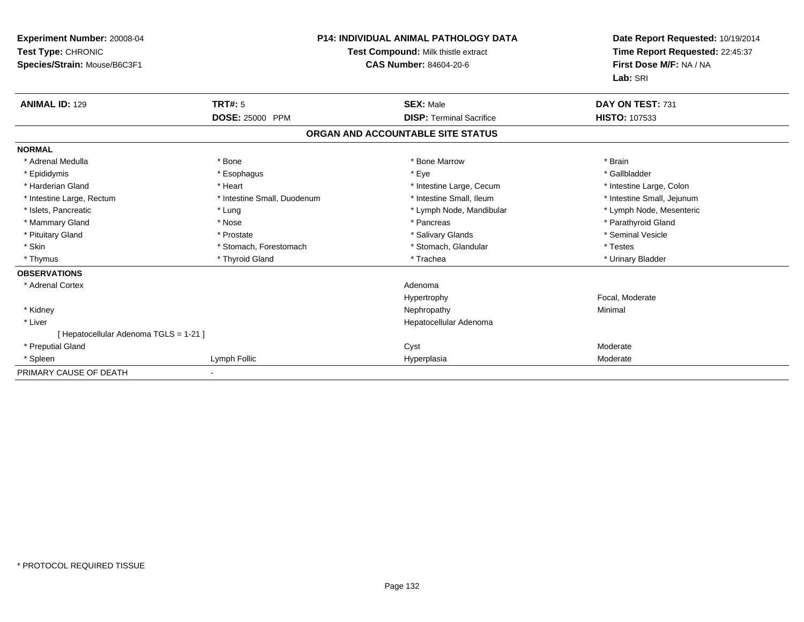| Experiment Number: 20008-04<br>Test Type: CHRONIC<br>Species/Strain: Mouse/B6C3F1 |                             | <b>P14: INDIVIDUAL ANIMAL PATHOLOGY DATA</b><br>Test Compound: Milk thistle extract<br>CAS Number: 84604-20-6 | Date Report Requested: 10/19/2014<br>Time Report Requested: 22:45:37<br>First Dose M/F: NA / NA<br>Lab: SRI |
|-----------------------------------------------------------------------------------|-----------------------------|---------------------------------------------------------------------------------------------------------------|-------------------------------------------------------------------------------------------------------------|
| <b>ANIMAL ID: 129</b>                                                             | TRT#: 5                     | <b>SEX: Male</b>                                                                                              | DAY ON TEST: 731                                                                                            |
|                                                                                   | DOSE: 25000 PPM             | <b>DISP: Terminal Sacrifice</b>                                                                               | <b>HISTO: 107533</b>                                                                                        |
|                                                                                   |                             | ORGAN AND ACCOUNTABLE SITE STATUS                                                                             |                                                                                                             |
| <b>NORMAL</b>                                                                     |                             |                                                                                                               |                                                                                                             |
| * Adrenal Medulla                                                                 | * Bone                      | * Bone Marrow                                                                                                 | * Brain                                                                                                     |
| * Epididymis                                                                      | * Esophagus                 | * Eye                                                                                                         | * Gallbladder                                                                                               |
| * Harderian Gland                                                                 | * Heart                     | * Intestine Large, Cecum                                                                                      | * Intestine Large, Colon                                                                                    |
| * Intestine Large, Rectum                                                         | * Intestine Small, Duodenum | * Intestine Small, Ileum                                                                                      | * Intestine Small, Jejunum                                                                                  |
| * Islets, Pancreatic                                                              | * Lung                      | * Lymph Node, Mandibular                                                                                      | * Lymph Node, Mesenteric                                                                                    |
| * Mammary Gland                                                                   | * Nose                      | * Pancreas                                                                                                    | * Parathyroid Gland                                                                                         |
| * Pituitary Gland                                                                 | * Prostate                  | * Salivary Glands                                                                                             | * Seminal Vesicle                                                                                           |
| * Skin                                                                            | * Stomach, Forestomach      | * Stomach, Glandular                                                                                          | * Testes                                                                                                    |
| * Thymus                                                                          | * Thyroid Gland             | * Trachea                                                                                                     | * Urinary Bladder                                                                                           |
| <b>OBSERVATIONS</b>                                                               |                             |                                                                                                               |                                                                                                             |
| * Adrenal Cortex                                                                  |                             | Adenoma                                                                                                       |                                                                                                             |
|                                                                                   |                             | Hypertrophy                                                                                                   | Focal, Moderate                                                                                             |
| * Kidney                                                                          |                             | Nephropathy                                                                                                   | Minimal                                                                                                     |
| * Liver                                                                           |                             | Hepatocellular Adenoma                                                                                        |                                                                                                             |
| [ Hepatocellular Adenoma TGLS = 1-21 ]                                            |                             |                                                                                                               |                                                                                                             |
| * Preputial Gland                                                                 |                             | Cyst                                                                                                          | Moderate                                                                                                    |
| * Spleen                                                                          | Lymph Follic                | Hyperplasia                                                                                                   | Moderate                                                                                                    |
| PRIMARY CAUSE OF DEATH                                                            |                             |                                                                                                               |                                                                                                             |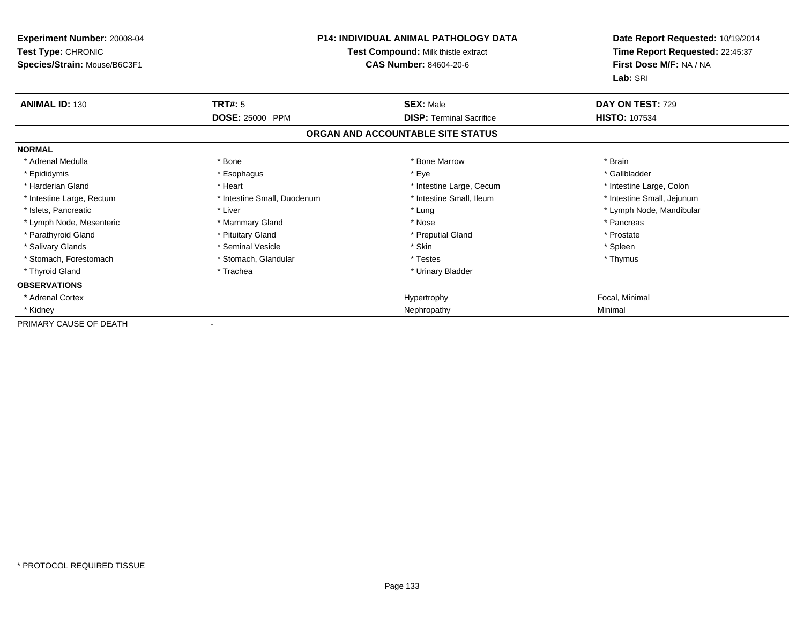| <b>Experiment Number: 20008-04</b><br>Test Type: CHRONIC<br>Species/Strain: Mouse/B6C3F1 | <b>P14: INDIVIDUAL ANIMAL PATHOLOGY DATA</b><br>Test Compound: Milk thistle extract<br><b>CAS Number: 84604-20-6</b> |                                   | Date Report Requested: 10/19/2014<br>Time Report Requested: 22:45:37<br>First Dose M/F: NA / NA<br>Lab: SRI |
|------------------------------------------------------------------------------------------|----------------------------------------------------------------------------------------------------------------------|-----------------------------------|-------------------------------------------------------------------------------------------------------------|
| <b>ANIMAL ID: 130</b>                                                                    | <b>TRT#: 5</b>                                                                                                       | <b>SEX: Male</b>                  | DAY ON TEST: 729                                                                                            |
|                                                                                          | DOSE: 25000 PPM                                                                                                      | <b>DISP: Terminal Sacrifice</b>   | <b>HISTO: 107534</b>                                                                                        |
|                                                                                          |                                                                                                                      | ORGAN AND ACCOUNTABLE SITE STATUS |                                                                                                             |
| <b>NORMAL</b>                                                                            |                                                                                                                      |                                   |                                                                                                             |
| * Adrenal Medulla                                                                        | * Bone                                                                                                               | * Bone Marrow                     | * Brain                                                                                                     |
| * Epididymis                                                                             | * Esophagus                                                                                                          | * Eye                             | * Gallbladder                                                                                               |
| * Harderian Gland                                                                        | * Heart                                                                                                              | * Intestine Large, Cecum          | * Intestine Large, Colon                                                                                    |
| * Intestine Large, Rectum                                                                | * Intestine Small, Duodenum                                                                                          | * Intestine Small. Ileum          | * Intestine Small, Jejunum                                                                                  |
| * Islets, Pancreatic                                                                     | * Liver                                                                                                              | * Lung                            | * Lymph Node, Mandibular                                                                                    |
| * Lymph Node, Mesenteric                                                                 | * Mammary Gland                                                                                                      | * Nose                            | * Pancreas                                                                                                  |
| * Parathyroid Gland                                                                      | * Pituitary Gland                                                                                                    | * Preputial Gland                 | * Prostate                                                                                                  |
| * Salivary Glands                                                                        | * Seminal Vesicle                                                                                                    | * Skin                            | * Spleen                                                                                                    |
| * Stomach, Forestomach                                                                   | * Stomach, Glandular                                                                                                 | * Testes                          | * Thymus                                                                                                    |
| * Thyroid Gland                                                                          | * Trachea                                                                                                            | * Urinary Bladder                 |                                                                                                             |
| <b>OBSERVATIONS</b>                                                                      |                                                                                                                      |                                   |                                                                                                             |
| * Adrenal Cortex                                                                         |                                                                                                                      | Hypertrophy                       | Focal, Minimal                                                                                              |
| * Kidney                                                                                 |                                                                                                                      | Nephropathy                       | Minimal                                                                                                     |
| PRIMARY CAUSE OF DEATH                                                                   |                                                                                                                      |                                   |                                                                                                             |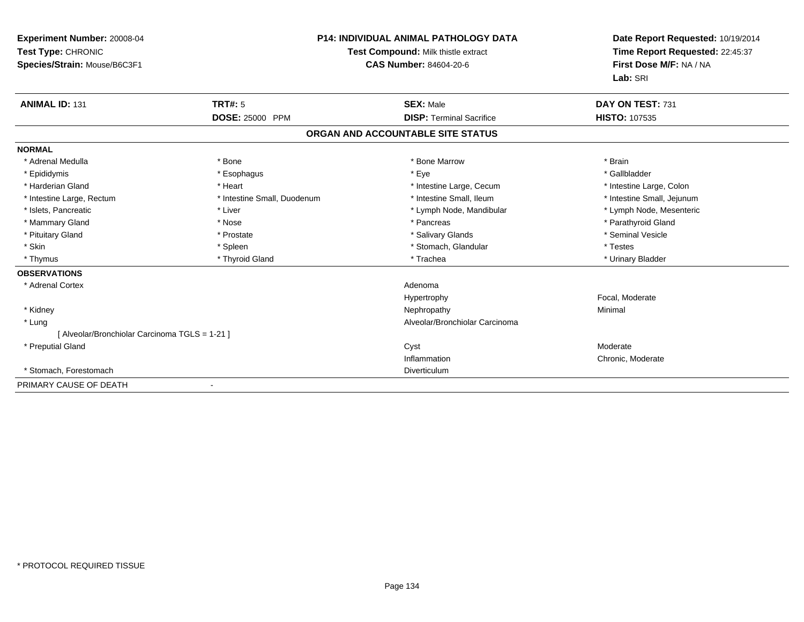| <b>Experiment Number: 20008-04</b><br>Test Type: CHRONIC<br>Species/Strain: Mouse/B6C3F1 |                             | <b>P14: INDIVIDUAL ANIMAL PATHOLOGY DATA</b><br>Test Compound: Milk thistle extract<br><b>CAS Number: 84604-20-6</b> | Date Report Requested: 10/19/2014<br>Time Report Requested: 22:45:37<br>First Dose M/F: NA / NA<br>Lab: SRI |
|------------------------------------------------------------------------------------------|-----------------------------|----------------------------------------------------------------------------------------------------------------------|-------------------------------------------------------------------------------------------------------------|
| <b>ANIMAL ID: 131</b>                                                                    | TRT#: 5                     | <b>SEX: Male</b>                                                                                                     | DAY ON TEST: 731                                                                                            |
|                                                                                          | DOSE: 25000 PPM             | <b>DISP: Terminal Sacrifice</b>                                                                                      | <b>HISTO: 107535</b>                                                                                        |
|                                                                                          |                             | ORGAN AND ACCOUNTABLE SITE STATUS                                                                                    |                                                                                                             |
| <b>NORMAL</b>                                                                            |                             |                                                                                                                      |                                                                                                             |
| * Adrenal Medulla                                                                        | * Bone                      | * Bone Marrow                                                                                                        | * Brain                                                                                                     |
| * Epididymis                                                                             | * Esophagus                 | * Eye                                                                                                                | * Gallbladder                                                                                               |
| * Harderian Gland                                                                        | * Heart                     | * Intestine Large, Cecum                                                                                             | * Intestine Large, Colon                                                                                    |
| * Intestine Large, Rectum                                                                | * Intestine Small, Duodenum | * Intestine Small. Ileum                                                                                             | * Intestine Small, Jejunum                                                                                  |
| * Islets, Pancreatic                                                                     | * Liver                     | * Lymph Node, Mandibular                                                                                             | * Lymph Node, Mesenteric                                                                                    |
| * Mammary Gland                                                                          | * Nose                      | * Pancreas                                                                                                           | * Parathyroid Gland                                                                                         |
| * Pituitary Gland                                                                        | * Prostate                  | * Salivary Glands                                                                                                    | * Seminal Vesicle                                                                                           |
| * Skin                                                                                   | * Spleen                    | * Stomach, Glandular                                                                                                 | * Testes                                                                                                    |
| * Thymus                                                                                 | * Thyroid Gland             | * Trachea                                                                                                            | * Urinary Bladder                                                                                           |
| <b>OBSERVATIONS</b>                                                                      |                             |                                                                                                                      |                                                                                                             |
| * Adrenal Cortex                                                                         |                             | Adenoma                                                                                                              |                                                                                                             |
|                                                                                          |                             | Hypertrophy                                                                                                          | Focal, Moderate                                                                                             |
| * Kidney                                                                                 |                             | Nephropathy                                                                                                          | Minimal                                                                                                     |
| * Lung                                                                                   |                             | Alveolar/Bronchiolar Carcinoma                                                                                       |                                                                                                             |
| [ Alveolar/Bronchiolar Carcinoma TGLS = 1-21 ]                                           |                             |                                                                                                                      |                                                                                                             |
| * Preputial Gland                                                                        |                             | Cyst                                                                                                                 | Moderate                                                                                                    |
|                                                                                          |                             | Inflammation                                                                                                         | Chronic, Moderate                                                                                           |
| * Stomach, Forestomach                                                                   |                             | Diverticulum                                                                                                         |                                                                                                             |
| PRIMARY CAUSE OF DEATH                                                                   |                             |                                                                                                                      |                                                                                                             |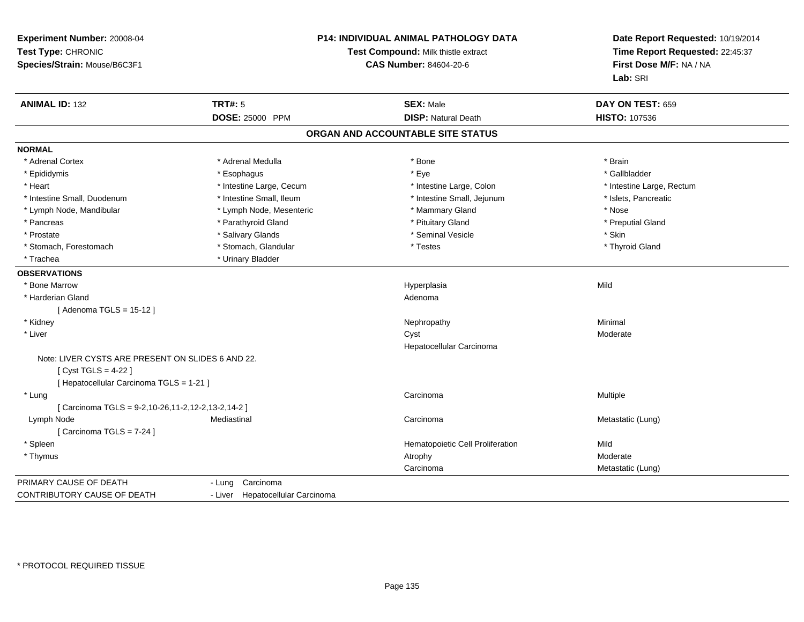| Experiment Number: 20008-04<br>Test Type: CHRONIC<br>Species/Strain: Mouse/B6C3F1 | <b>P14: INDIVIDUAL ANIMAL PATHOLOGY DATA</b><br>Test Compound: Milk thistle extract<br><b>CAS Number: 84604-20-6</b> |                                   | Date Report Requested: 10/19/2014<br>Time Report Requested: 22:45:37<br>First Dose M/F: NA / NA<br>Lab: SRI |
|-----------------------------------------------------------------------------------|----------------------------------------------------------------------------------------------------------------------|-----------------------------------|-------------------------------------------------------------------------------------------------------------|
| <b>ANIMAL ID: 132</b>                                                             | <b>TRT#: 5</b>                                                                                                       | <b>SEX: Male</b>                  | DAY ON TEST: 659                                                                                            |
|                                                                                   | <b>DOSE: 25000 PPM</b>                                                                                               | <b>DISP: Natural Death</b>        | <b>HISTO: 107536</b>                                                                                        |
|                                                                                   |                                                                                                                      | ORGAN AND ACCOUNTABLE SITE STATUS |                                                                                                             |
| <b>NORMAL</b>                                                                     |                                                                                                                      |                                   |                                                                                                             |
| * Adrenal Cortex                                                                  | * Adrenal Medulla                                                                                                    | * Bone                            | * Brain                                                                                                     |
| * Epididymis                                                                      | * Esophagus                                                                                                          | * Eye                             | * Gallbladder                                                                                               |
| * Heart                                                                           | * Intestine Large, Cecum                                                                                             | * Intestine Large, Colon          | * Intestine Large, Rectum                                                                                   |
| * Intestine Small, Duodenum                                                       | * Intestine Small, Ileum                                                                                             | * Intestine Small, Jejunum        | * Islets, Pancreatic                                                                                        |
| * Lymph Node, Mandibular                                                          | * Lymph Node, Mesenteric                                                                                             | * Mammary Gland                   | * Nose                                                                                                      |
| * Pancreas                                                                        | * Parathyroid Gland                                                                                                  | * Pituitary Gland                 | * Preputial Gland                                                                                           |
| * Prostate                                                                        | * Salivary Glands                                                                                                    | * Seminal Vesicle                 | * Skin                                                                                                      |
| * Stomach, Forestomach                                                            | * Stomach, Glandular                                                                                                 | * Testes                          | * Thyroid Gland                                                                                             |
| * Trachea                                                                         | * Urinary Bladder                                                                                                    |                                   |                                                                                                             |
| <b>OBSERVATIONS</b>                                                               |                                                                                                                      |                                   |                                                                                                             |
| * Bone Marrow                                                                     |                                                                                                                      | Hyperplasia                       | Mild                                                                                                        |
| * Harderian Gland                                                                 |                                                                                                                      | Adenoma                           |                                                                                                             |
| [Adenoma TGLS = 15-12]                                                            |                                                                                                                      |                                   |                                                                                                             |
| * Kidney                                                                          |                                                                                                                      | Nephropathy                       | Minimal                                                                                                     |
| * Liver                                                                           |                                                                                                                      | Cyst                              | Moderate                                                                                                    |
|                                                                                   |                                                                                                                      | Hepatocellular Carcinoma          |                                                                                                             |
| Note: LIVER CYSTS ARE PRESENT ON SLIDES 6 AND 22.                                 |                                                                                                                      |                                   |                                                                                                             |
| [ Cyst TGLS = $4-22$ ]                                                            |                                                                                                                      |                                   |                                                                                                             |
| [ Hepatocellular Carcinoma TGLS = 1-21 ]                                          |                                                                                                                      |                                   |                                                                                                             |
| * Lung                                                                            |                                                                                                                      | Carcinoma                         | Multiple                                                                                                    |
| [ Carcinoma TGLS = 9-2,10-26,11-2,12-2,13-2,14-2 ]                                |                                                                                                                      |                                   |                                                                                                             |
| Lymph Node                                                                        | Mediastinal                                                                                                          | Carcinoma                         | Metastatic (Lung)                                                                                           |
| [Carcinoma TGLS = 7-24]                                                           |                                                                                                                      |                                   |                                                                                                             |
| * Spleen                                                                          |                                                                                                                      | Hematopoietic Cell Proliferation  | Mild                                                                                                        |
| * Thymus                                                                          |                                                                                                                      | Atrophy                           | Moderate                                                                                                    |
|                                                                                   |                                                                                                                      | Carcinoma                         | Metastatic (Lung)                                                                                           |
| PRIMARY CAUSE OF DEATH                                                            | Carcinoma<br>- Lung                                                                                                  |                                   |                                                                                                             |
| <b>CONTRIBUTORY CAUSE OF DEATH</b>                                                | - Liver Hepatocellular Carcinoma                                                                                     |                                   |                                                                                                             |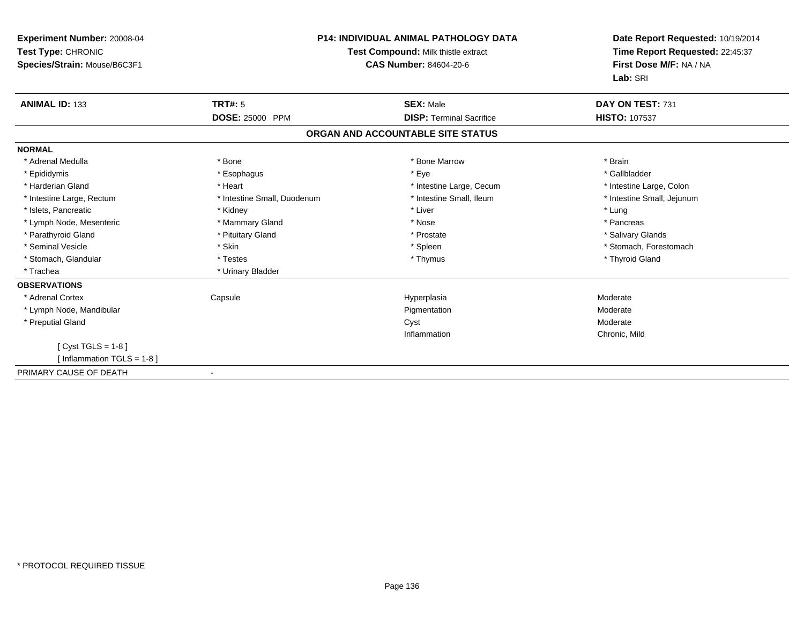| Experiment Number: 20008-04<br>Test Type: CHRONIC<br>Species/Strain: Mouse/B6C3F1 | <b>P14: INDIVIDUAL ANIMAL PATHOLOGY DATA</b><br>Test Compound: Milk thistle extract<br>CAS Number: 84604-20-6 |                                   | Date Report Requested: 10/19/2014<br>Time Report Requested: 22:45:37<br>First Dose M/F: NA / NA<br>Lab: SRI |
|-----------------------------------------------------------------------------------|---------------------------------------------------------------------------------------------------------------|-----------------------------------|-------------------------------------------------------------------------------------------------------------|
| <b>ANIMAL ID: 133</b>                                                             | TRT#: 5                                                                                                       | <b>SEX: Male</b>                  | DAY ON TEST: 731                                                                                            |
|                                                                                   | <b>DOSE: 25000 PPM</b>                                                                                        | <b>DISP: Terminal Sacrifice</b>   | <b>HISTO: 107537</b>                                                                                        |
|                                                                                   |                                                                                                               | ORGAN AND ACCOUNTABLE SITE STATUS |                                                                                                             |
| <b>NORMAL</b>                                                                     |                                                                                                               |                                   |                                                                                                             |
| * Adrenal Medulla                                                                 | * Bone                                                                                                        | * Bone Marrow                     | * Brain                                                                                                     |
| * Epididymis                                                                      | * Esophagus                                                                                                   | * Eye                             | * Gallbladder                                                                                               |
| * Harderian Gland                                                                 | * Heart                                                                                                       | * Intestine Large, Cecum          | * Intestine Large, Colon                                                                                    |
| * Intestine Large, Rectum                                                         | * Intestine Small, Duodenum                                                                                   | * Intestine Small. Ileum          | * Intestine Small, Jejunum                                                                                  |
| * Islets, Pancreatic                                                              | * Kidney                                                                                                      | * Liver                           | * Lung                                                                                                      |
| * Lymph Node, Mesenteric                                                          | * Mammary Gland                                                                                               | * Nose                            | * Pancreas                                                                                                  |
| * Parathyroid Gland                                                               | * Pituitary Gland                                                                                             | * Prostate                        | * Salivary Glands                                                                                           |
| * Seminal Vesicle                                                                 | * Skin                                                                                                        | * Spleen                          | * Stomach, Forestomach                                                                                      |
| * Stomach, Glandular                                                              | * Testes                                                                                                      | * Thymus                          | * Thyroid Gland                                                                                             |
| * Trachea                                                                         | * Urinary Bladder                                                                                             |                                   |                                                                                                             |
| <b>OBSERVATIONS</b>                                                               |                                                                                                               |                                   |                                                                                                             |
| * Adrenal Cortex                                                                  | Capsule                                                                                                       | Hyperplasia                       | Moderate                                                                                                    |
| * Lymph Node, Mandibular                                                          |                                                                                                               | Pigmentation                      | Moderate                                                                                                    |
| * Preputial Gland                                                                 |                                                                                                               | Cyst                              | Moderate                                                                                                    |
|                                                                                   |                                                                                                               | Inflammation                      | Chronic, Mild                                                                                               |
| [ $Cyst TGLS = 1-8$ ]                                                             |                                                                                                               |                                   |                                                                                                             |
| [ Inflammation TGLS = $1-8$ ]                                                     |                                                                                                               |                                   |                                                                                                             |
| PRIMARY CAUSE OF DEATH                                                            |                                                                                                               |                                   |                                                                                                             |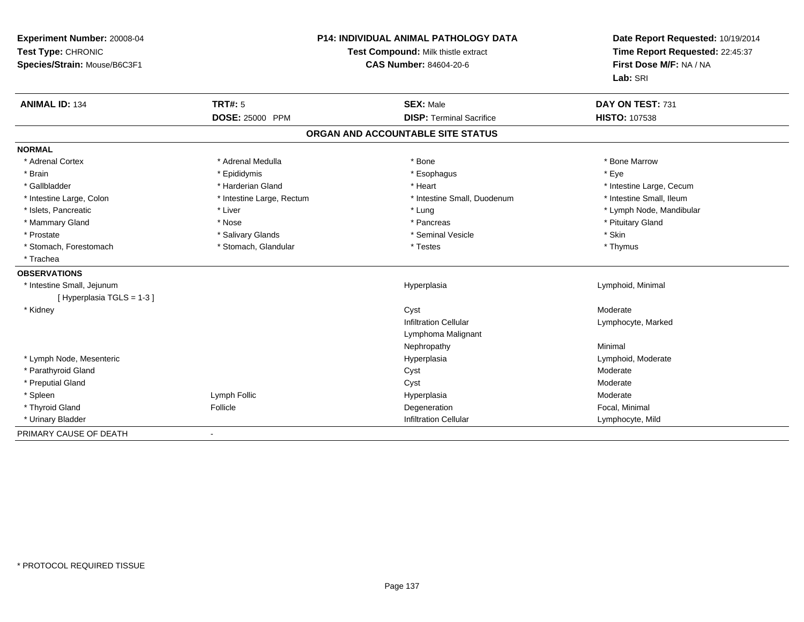| Experiment Number: 20008-04<br>Test Type: CHRONIC<br>Species/Strain: Mouse/B6C3F1 | <b>P14: INDIVIDUAL ANIMAL PATHOLOGY DATA</b><br>Test Compound: Milk thistle extract<br><b>CAS Number: 84604-20-6</b> |                                                    | Date Report Requested: 10/19/2014<br>Time Report Requested: 22:45:37<br>First Dose M/F: NA / NA<br>Lab: SRI |
|-----------------------------------------------------------------------------------|----------------------------------------------------------------------------------------------------------------------|----------------------------------------------------|-------------------------------------------------------------------------------------------------------------|
| <b>ANIMAL ID: 134</b>                                                             | <b>TRT#: 5</b>                                                                                                       | <b>SEX: Male</b>                                   | DAY ON TEST: 731                                                                                            |
|                                                                                   | <b>DOSE: 25000 PPM</b>                                                                                               | <b>DISP: Terminal Sacrifice</b>                    | HISTO: 107538                                                                                               |
|                                                                                   |                                                                                                                      | ORGAN AND ACCOUNTABLE SITE STATUS                  |                                                                                                             |
| <b>NORMAL</b>                                                                     |                                                                                                                      |                                                    |                                                                                                             |
| * Adrenal Cortex                                                                  | * Adrenal Medulla                                                                                                    | * Bone                                             | * Bone Marrow                                                                                               |
| * Brain                                                                           | * Epididymis                                                                                                         | * Esophagus                                        | * Eye                                                                                                       |
| * Gallbladder                                                                     | * Harderian Gland                                                                                                    | * Heart                                            | * Intestine Large, Cecum                                                                                    |
| * Intestine Large, Colon                                                          | * Intestine Large, Rectum                                                                                            | * Intestine Small, Duodenum                        | * Intestine Small, Ileum                                                                                    |
| * Islets, Pancreatic                                                              | * Liver                                                                                                              | * Lung                                             | * Lymph Node, Mandibular                                                                                    |
| * Mammary Gland                                                                   | * Nose                                                                                                               | * Pancreas                                         | * Pituitary Gland                                                                                           |
| * Prostate                                                                        | * Salivary Glands                                                                                                    | * Seminal Vesicle                                  | * Skin                                                                                                      |
| * Stomach, Forestomach                                                            | * Stomach, Glandular                                                                                                 | * Testes                                           | * Thymus                                                                                                    |
| * Trachea                                                                         |                                                                                                                      |                                                    |                                                                                                             |
| <b>OBSERVATIONS</b>                                                               |                                                                                                                      |                                                    |                                                                                                             |
| * Intestine Small, Jejunum<br>[Hyperplasia TGLS = 1-3]                            |                                                                                                                      | Hyperplasia                                        | Lymphoid, Minimal                                                                                           |
| * Kidney                                                                          |                                                                                                                      | Cyst                                               | Moderate                                                                                                    |
|                                                                                   |                                                                                                                      | <b>Infiltration Cellular</b><br>Lymphoma Malignant | Lymphocyte, Marked                                                                                          |
|                                                                                   |                                                                                                                      | Nephropathy                                        | Minimal                                                                                                     |
| * Lymph Node, Mesenteric                                                          |                                                                                                                      | Hyperplasia                                        | Lymphoid, Moderate                                                                                          |
| * Parathyroid Gland                                                               |                                                                                                                      | Cyst                                               | Moderate                                                                                                    |
| * Preputial Gland                                                                 |                                                                                                                      | Cyst                                               | Moderate                                                                                                    |
| * Spleen                                                                          | Lymph Follic                                                                                                         | Hyperplasia                                        | Moderate                                                                                                    |
| * Thyroid Gland                                                                   | Follicle                                                                                                             | Degeneration                                       | Focal, Minimal                                                                                              |
| * Urinary Bladder                                                                 |                                                                                                                      | <b>Infiltration Cellular</b>                       | Lymphocyte, Mild                                                                                            |
| PRIMARY CAUSE OF DEATH                                                            | $\blacksquare$                                                                                                       |                                                    |                                                                                                             |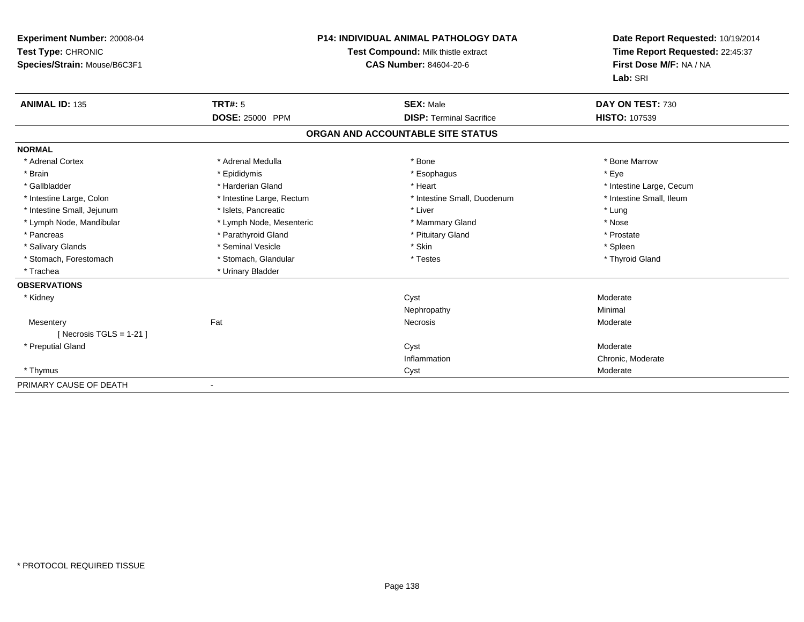| <b>Experiment Number: 20008-04</b><br>Test Type: CHRONIC<br>Species/Strain: Mouse/B6C3F1 |                           | <b>P14: INDIVIDUAL ANIMAL PATHOLOGY DATA</b><br>Test Compound: Milk thistle extract<br><b>CAS Number: 84604-20-6</b> | Date Report Requested: 10/19/2014<br>Time Report Requested: 22:45:37<br>First Dose M/F: NA / NA<br>Lab: SRI |
|------------------------------------------------------------------------------------------|---------------------------|----------------------------------------------------------------------------------------------------------------------|-------------------------------------------------------------------------------------------------------------|
| <b>ANIMAL ID: 135</b>                                                                    | TRT#: 5                   | <b>SEX: Male</b>                                                                                                     | DAY ON TEST: 730                                                                                            |
|                                                                                          | DOSE: 25000 PPM           | <b>DISP: Terminal Sacrifice</b>                                                                                      | HISTO: 107539                                                                                               |
|                                                                                          |                           | ORGAN AND ACCOUNTABLE SITE STATUS                                                                                    |                                                                                                             |
| <b>NORMAL</b>                                                                            |                           |                                                                                                                      |                                                                                                             |
| * Adrenal Cortex                                                                         | * Adrenal Medulla         | * Bone                                                                                                               | * Bone Marrow                                                                                               |
| * Brain                                                                                  | * Epididymis              | * Esophagus                                                                                                          | * Eye                                                                                                       |
| * Gallbladder                                                                            | * Harderian Gland         | * Heart                                                                                                              | * Intestine Large, Cecum                                                                                    |
| * Intestine Large, Colon                                                                 | * Intestine Large, Rectum | * Intestine Small, Duodenum                                                                                          | * Intestine Small, Ileum                                                                                    |
| * Intestine Small, Jejunum                                                               | * Islets, Pancreatic      | * Liver                                                                                                              | * Lung                                                                                                      |
| * Lymph Node, Mandibular                                                                 | * Lymph Node, Mesenteric  | * Mammary Gland                                                                                                      | * Nose                                                                                                      |
| * Pancreas                                                                               | * Parathyroid Gland       | * Pituitary Gland                                                                                                    | * Prostate                                                                                                  |
| * Salivary Glands                                                                        | * Seminal Vesicle         | * Skin                                                                                                               | * Spleen                                                                                                    |
| * Stomach, Forestomach                                                                   | * Stomach, Glandular      | * Testes                                                                                                             | * Thyroid Gland                                                                                             |
| * Trachea                                                                                | * Urinary Bladder         |                                                                                                                      |                                                                                                             |
| <b>OBSERVATIONS</b>                                                                      |                           |                                                                                                                      |                                                                                                             |
| * Kidney                                                                                 |                           | Cyst                                                                                                                 | Moderate                                                                                                    |
|                                                                                          |                           | Nephropathy                                                                                                          | Minimal                                                                                                     |
| Mesentery                                                                                | Fat                       | <b>Necrosis</b>                                                                                                      | Moderate                                                                                                    |
| [ Necrosis $TGLS = 1-21$ ]                                                               |                           |                                                                                                                      |                                                                                                             |
| * Preputial Gland                                                                        |                           | Cyst                                                                                                                 | Moderate                                                                                                    |
|                                                                                          |                           | Inflammation                                                                                                         | Chronic, Moderate                                                                                           |
| * Thymus                                                                                 |                           | Cyst                                                                                                                 | Moderate                                                                                                    |
| PRIMARY CAUSE OF DEATH                                                                   |                           |                                                                                                                      |                                                                                                             |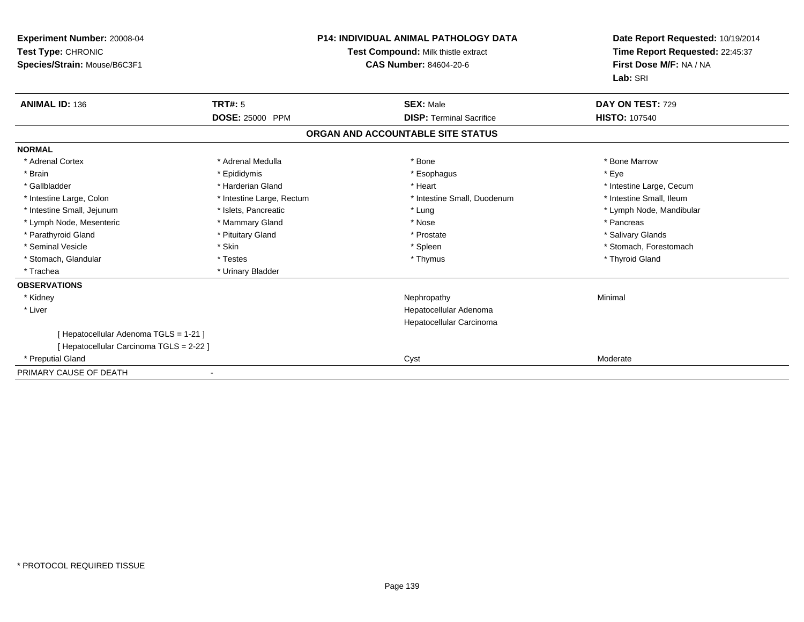| <b>Experiment Number: 20008-04</b><br>Test Type: CHRONIC<br>Species/Strain: Mouse/B6C3F1 |                           | <b>P14: INDIVIDUAL ANIMAL PATHOLOGY DATA</b><br>Test Compound: Milk thistle extract<br><b>CAS Number: 84604-20-6</b> | Date Report Requested: 10/19/2014<br>Time Report Requested: 22:45:37<br>First Dose M/F: NA / NA<br>Lab: SRI |
|------------------------------------------------------------------------------------------|---------------------------|----------------------------------------------------------------------------------------------------------------------|-------------------------------------------------------------------------------------------------------------|
| <b>ANIMAL ID: 136</b>                                                                    | <b>TRT#: 5</b>            | <b>SEX: Male</b>                                                                                                     | DAY ON TEST: 729                                                                                            |
|                                                                                          | <b>DOSE: 25000 PPM</b>    | <b>DISP:</b> Terminal Sacrifice                                                                                      | <b>HISTO: 107540</b>                                                                                        |
|                                                                                          |                           | ORGAN AND ACCOUNTABLE SITE STATUS                                                                                    |                                                                                                             |
| <b>NORMAL</b>                                                                            |                           |                                                                                                                      |                                                                                                             |
| * Adrenal Cortex                                                                         | * Adrenal Medulla         | * Bone                                                                                                               | * Bone Marrow                                                                                               |
| * Brain                                                                                  | * Epididymis              | * Esophagus                                                                                                          | * Eye                                                                                                       |
| * Gallbladder                                                                            | * Harderian Gland         | * Heart                                                                                                              | * Intestine Large, Cecum                                                                                    |
| * Intestine Large, Colon                                                                 | * Intestine Large, Rectum | * Intestine Small, Duodenum                                                                                          | * Intestine Small. Ileum                                                                                    |
| * Intestine Small, Jejunum                                                               | * Islets, Pancreatic      | * Lung                                                                                                               | * Lymph Node, Mandibular                                                                                    |
| * Lymph Node, Mesenteric                                                                 | * Mammary Gland           | * Nose                                                                                                               | * Pancreas                                                                                                  |
| * Parathyroid Gland                                                                      | * Pituitary Gland         | * Prostate                                                                                                           | * Salivary Glands                                                                                           |
| * Seminal Vesicle                                                                        | * Skin                    | * Spleen                                                                                                             | * Stomach, Forestomach                                                                                      |
| * Stomach, Glandular                                                                     | * Testes                  | * Thymus                                                                                                             | * Thyroid Gland                                                                                             |
| * Trachea                                                                                | * Urinary Bladder         |                                                                                                                      |                                                                                                             |
| <b>OBSERVATIONS</b>                                                                      |                           |                                                                                                                      |                                                                                                             |
| * Kidney                                                                                 |                           | Nephropathy                                                                                                          | Minimal                                                                                                     |
| * Liver                                                                                  |                           | Hepatocellular Adenoma                                                                                               |                                                                                                             |
|                                                                                          |                           | Hepatocellular Carcinoma                                                                                             |                                                                                                             |
| [ Hepatocellular Adenoma TGLS = 1-21 ]                                                   |                           |                                                                                                                      |                                                                                                             |
| [ Hepatocellular Carcinoma TGLS = 2-22 ]                                                 |                           |                                                                                                                      |                                                                                                             |
| * Preputial Gland                                                                        |                           | Cyst                                                                                                                 | Moderate                                                                                                    |
| PRIMARY CAUSE OF DEATH                                                                   |                           |                                                                                                                      |                                                                                                             |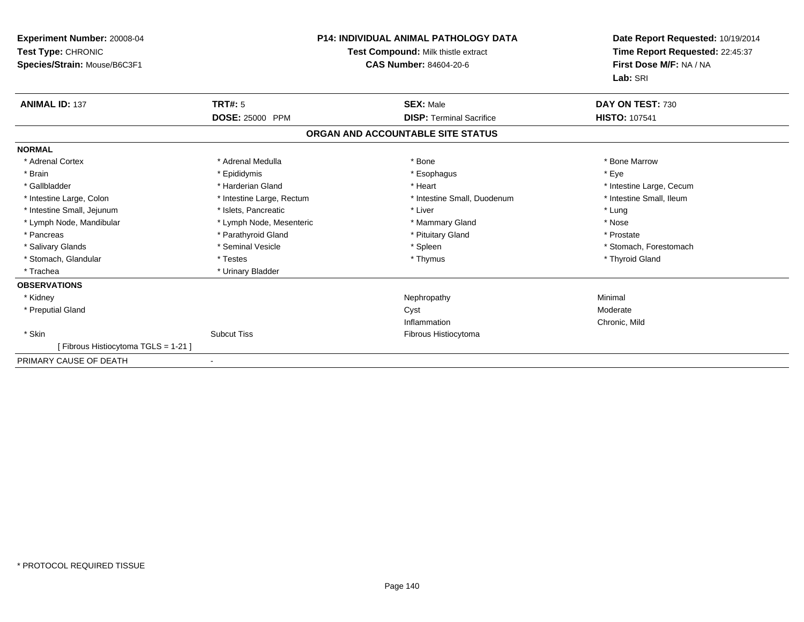| Experiment Number: 20008-04<br>Test Type: CHRONIC<br>Species/Strain: Mouse/B6C3F1 | <b>P14: INDIVIDUAL ANIMAL PATHOLOGY DATA</b><br>Test Compound: Milk thistle extract<br><b>CAS Number: 84604-20-6</b> |                                   | Date Report Requested: 10/19/2014<br>Time Report Requested: 22:45:37<br>First Dose M/F: NA / NA<br>Lab: SRI |
|-----------------------------------------------------------------------------------|----------------------------------------------------------------------------------------------------------------------|-----------------------------------|-------------------------------------------------------------------------------------------------------------|
| <b>ANIMAL ID: 137</b>                                                             | <b>TRT#: 5</b>                                                                                                       | <b>SEX: Male</b>                  | DAY ON TEST: 730                                                                                            |
|                                                                                   | DOSE: 25000 PPM                                                                                                      | <b>DISP: Terminal Sacrifice</b>   | <b>HISTO: 107541</b>                                                                                        |
|                                                                                   |                                                                                                                      | ORGAN AND ACCOUNTABLE SITE STATUS |                                                                                                             |
| <b>NORMAL</b>                                                                     |                                                                                                                      |                                   |                                                                                                             |
| * Adrenal Cortex                                                                  | * Adrenal Medulla                                                                                                    | * Bone                            | * Bone Marrow                                                                                               |
| * Brain                                                                           | * Epididymis                                                                                                         | * Esophagus                       | * Eye                                                                                                       |
| * Gallbladder                                                                     | * Harderian Gland                                                                                                    | * Heart                           | * Intestine Large, Cecum                                                                                    |
| * Intestine Large, Colon                                                          | * Intestine Large, Rectum                                                                                            | * Intestine Small, Duodenum       | * Intestine Small, Ileum                                                                                    |
| * Intestine Small, Jejunum                                                        | * Islets, Pancreatic                                                                                                 | * Liver                           | * Lung                                                                                                      |
| * Lymph Node, Mandibular                                                          | * Lymph Node, Mesenteric                                                                                             | * Mammary Gland                   | * Nose                                                                                                      |
| * Pancreas                                                                        | * Parathyroid Gland                                                                                                  | * Pituitary Gland                 | * Prostate                                                                                                  |
| * Salivary Glands                                                                 | * Seminal Vesicle                                                                                                    | * Spleen                          | * Stomach, Forestomach                                                                                      |
| * Stomach, Glandular                                                              | * Testes                                                                                                             | * Thymus                          | * Thyroid Gland                                                                                             |
| * Trachea                                                                         | * Urinary Bladder                                                                                                    |                                   |                                                                                                             |
| <b>OBSERVATIONS</b>                                                               |                                                                                                                      |                                   |                                                                                                             |
| * Kidney                                                                          |                                                                                                                      | Nephropathy                       | Minimal                                                                                                     |
| * Preputial Gland                                                                 |                                                                                                                      | Cyst                              | Moderate                                                                                                    |
|                                                                                   |                                                                                                                      | Inflammation                      | Chronic, Mild                                                                                               |
| * Skin                                                                            | <b>Subcut Tiss</b>                                                                                                   | Fibrous Histiocytoma              |                                                                                                             |
| [ Fibrous Histiocytoma TGLS = 1-21 ]                                              |                                                                                                                      |                                   |                                                                                                             |
| PRIMARY CAUSE OF DEATH                                                            |                                                                                                                      |                                   |                                                                                                             |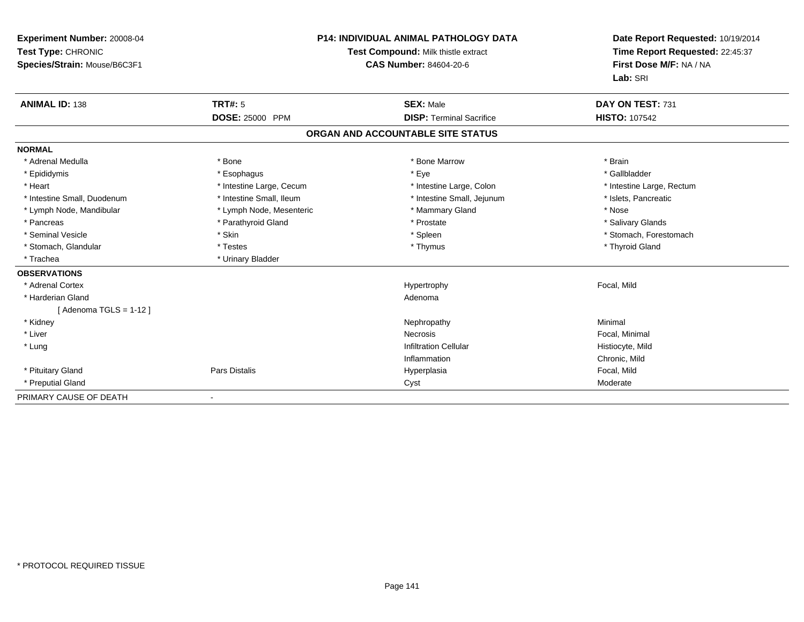| <b>Experiment Number: 20008-04</b><br>Test Type: CHRONIC<br>Species/Strain: Mouse/B6C3F1 |                          | <b>P14: INDIVIDUAL ANIMAL PATHOLOGY DATA</b><br>Test Compound: Milk thistle extract<br><b>CAS Number: 84604-20-6</b> | Date Report Requested: 10/19/2014<br>Time Report Requested: 22:45:37<br>First Dose M/F: NA / NA<br>Lab: SRI |
|------------------------------------------------------------------------------------------|--------------------------|----------------------------------------------------------------------------------------------------------------------|-------------------------------------------------------------------------------------------------------------|
| <b>ANIMAL ID: 138</b>                                                                    | <b>TRT#: 5</b>           | <b>SEX: Male</b>                                                                                                     | DAY ON TEST: 731                                                                                            |
|                                                                                          | <b>DOSE: 25000 PPM</b>   | <b>DISP: Terminal Sacrifice</b>                                                                                      | <b>HISTO: 107542</b>                                                                                        |
|                                                                                          |                          | ORGAN AND ACCOUNTABLE SITE STATUS                                                                                    |                                                                                                             |
| <b>NORMAL</b>                                                                            |                          |                                                                                                                      |                                                                                                             |
| * Adrenal Medulla                                                                        | * Bone                   | * Bone Marrow                                                                                                        | * Brain                                                                                                     |
| * Epididymis                                                                             | * Esophagus              | * Eye                                                                                                                | * Gallbladder                                                                                               |
| * Heart                                                                                  | * Intestine Large, Cecum | * Intestine Large, Colon                                                                                             | * Intestine Large, Rectum                                                                                   |
| * Intestine Small, Duodenum                                                              | * Intestine Small, Ileum | * Intestine Small, Jejunum                                                                                           | * Islets, Pancreatic                                                                                        |
| * Lymph Node, Mandibular                                                                 | * Lymph Node, Mesenteric | * Mammary Gland                                                                                                      | * Nose                                                                                                      |
| * Pancreas                                                                               | * Parathyroid Gland      | * Prostate                                                                                                           | * Salivary Glands                                                                                           |
| * Seminal Vesicle                                                                        | * Skin                   | * Spleen                                                                                                             | * Stomach, Forestomach                                                                                      |
| * Stomach, Glandular                                                                     | * Testes                 | * Thymus                                                                                                             | * Thyroid Gland                                                                                             |
| * Trachea                                                                                | * Urinary Bladder        |                                                                                                                      |                                                                                                             |
| <b>OBSERVATIONS</b>                                                                      |                          |                                                                                                                      |                                                                                                             |
| * Adrenal Cortex                                                                         |                          | Hypertrophy                                                                                                          | Focal, Mild                                                                                                 |
| * Harderian Gland                                                                        |                          | Adenoma                                                                                                              |                                                                                                             |
| [Adenoma TGLS = $1-12$ ]                                                                 |                          |                                                                                                                      |                                                                                                             |
| * Kidney                                                                                 |                          | Nephropathy                                                                                                          | Minimal                                                                                                     |
| * Liver                                                                                  |                          | <b>Necrosis</b>                                                                                                      | Focal, Minimal                                                                                              |
| * Lung                                                                                   |                          | <b>Infiltration Cellular</b>                                                                                         | Histiocyte, Mild                                                                                            |
|                                                                                          |                          | Inflammation                                                                                                         | Chronic, Mild                                                                                               |
| * Pituitary Gland                                                                        | Pars Distalis            | Hyperplasia                                                                                                          | Focal, Mild                                                                                                 |
| * Preputial Gland                                                                        |                          | Cyst                                                                                                                 | Moderate                                                                                                    |
| PRIMARY CAUSE OF DEATH                                                                   |                          |                                                                                                                      |                                                                                                             |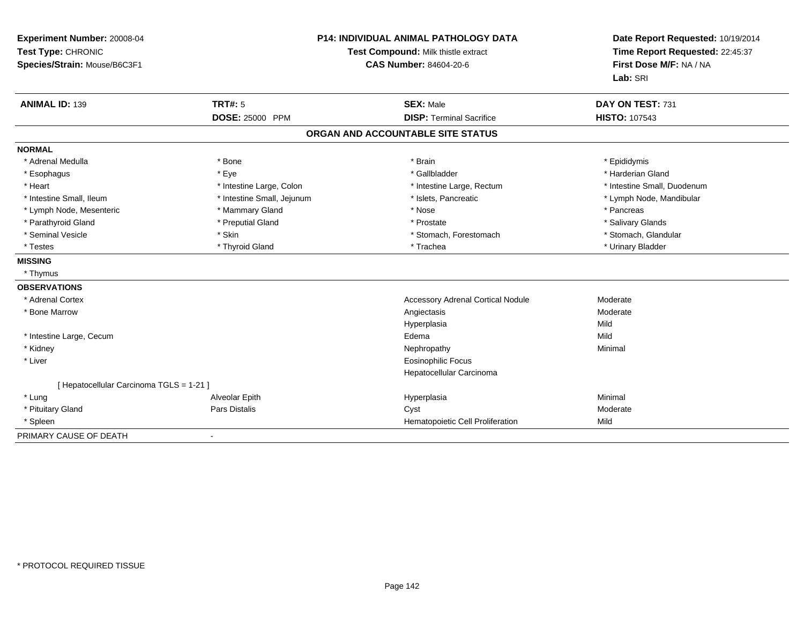| Experiment Number: 20008-04<br>Test Type: CHRONIC<br>Species/Strain: Mouse/B6C3F1 |                            | <b>P14: INDIVIDUAL ANIMAL PATHOLOGY DATA</b><br>Test Compound: Milk thistle extract<br><b>CAS Number: 84604-20-6</b> |                             |
|-----------------------------------------------------------------------------------|----------------------------|----------------------------------------------------------------------------------------------------------------------|-----------------------------|
| <b>ANIMAL ID: 139</b>                                                             | <b>TRT#: 5</b>             | <b>SEX: Male</b>                                                                                                     | DAY ON TEST: 731            |
|                                                                                   | <b>DOSE: 25000 PPM</b>     | <b>DISP: Terminal Sacrifice</b>                                                                                      | <b>HISTO: 107543</b>        |
|                                                                                   |                            | ORGAN AND ACCOUNTABLE SITE STATUS                                                                                    |                             |
| <b>NORMAL</b>                                                                     |                            |                                                                                                                      |                             |
| * Adrenal Medulla                                                                 | * Bone                     | * Brain                                                                                                              | * Epididymis                |
| * Esophagus                                                                       | * Eye                      | * Gallbladder                                                                                                        | * Harderian Gland           |
| * Heart                                                                           | * Intestine Large, Colon   | * Intestine Large, Rectum                                                                                            | * Intestine Small, Duodenum |
| * Intestine Small. Ileum                                                          | * Intestine Small, Jejunum | * Islets, Pancreatic                                                                                                 | * Lymph Node, Mandibular    |
| * Lymph Node, Mesenteric                                                          | * Mammary Gland            | * Nose                                                                                                               | * Pancreas                  |
| * Parathyroid Gland                                                               | * Preputial Gland          | * Prostate                                                                                                           | * Salivary Glands           |
| * Seminal Vesicle                                                                 | * Skin                     | * Stomach, Forestomach                                                                                               | * Stomach, Glandular        |
| * Testes                                                                          | * Thyroid Gland            | * Trachea                                                                                                            | * Urinary Bladder           |
| <b>MISSING</b>                                                                    |                            |                                                                                                                      |                             |
| * Thymus                                                                          |                            |                                                                                                                      |                             |
| <b>OBSERVATIONS</b>                                                               |                            |                                                                                                                      |                             |
| * Adrenal Cortex                                                                  |                            | <b>Accessory Adrenal Cortical Nodule</b>                                                                             | Moderate                    |
| * Bone Marrow                                                                     |                            | Angiectasis                                                                                                          | Moderate                    |
|                                                                                   |                            | Hyperplasia                                                                                                          | Mild                        |
| * Intestine Large, Cecum                                                          |                            | Edema                                                                                                                | Mild                        |
| * Kidney                                                                          |                            | Nephropathy                                                                                                          | Minimal                     |
| * Liver                                                                           |                            | <b>Eosinophilic Focus</b>                                                                                            |                             |
|                                                                                   |                            | Hepatocellular Carcinoma                                                                                             |                             |
| [ Hepatocellular Carcinoma TGLS = 1-21 ]                                          |                            |                                                                                                                      |                             |
| * Lung                                                                            | Alveolar Epith             | Hyperplasia                                                                                                          | Minimal                     |
| * Pituitary Gland                                                                 | Pars Distalis              | Cyst                                                                                                                 | Moderate                    |
| * Spleen                                                                          |                            | Hematopoietic Cell Proliferation                                                                                     | Mild                        |
| PRIMARY CAUSE OF DEATH                                                            | $\blacksquare$             |                                                                                                                      |                             |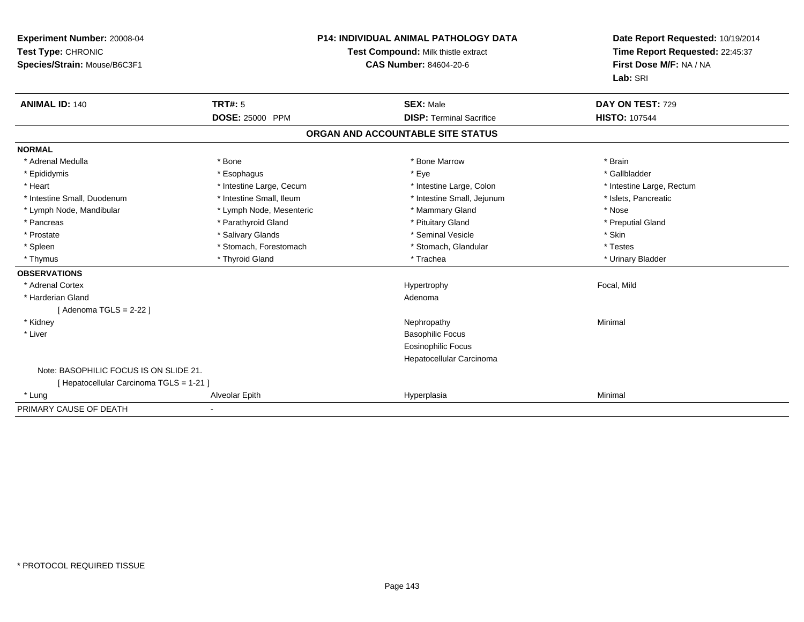| Experiment Number: 20008-04<br>Test Type: CHRONIC<br>Species/Strain: Mouse/B6C3F1<br><b>ANIMAL ID: 140</b> | <b>TRT#: 5</b>           | <b>P14: INDIVIDUAL ANIMAL PATHOLOGY DATA</b><br>Test Compound: Milk thistle extract<br><b>CAS Number: 84604-20-6</b><br><b>SEX: Male</b> | Date Report Requested: 10/19/2014<br>Time Report Requested: 22:45:37<br>First Dose M/F: NA / NA<br>Lab: SRI<br>DAY ON TEST: 729 |
|------------------------------------------------------------------------------------------------------------|--------------------------|------------------------------------------------------------------------------------------------------------------------------------------|---------------------------------------------------------------------------------------------------------------------------------|
|                                                                                                            | <b>DOSE: 25000 PPM</b>   | <b>DISP: Terminal Sacrifice</b>                                                                                                          | <b>HISTO: 107544</b>                                                                                                            |
|                                                                                                            |                          | ORGAN AND ACCOUNTABLE SITE STATUS                                                                                                        |                                                                                                                                 |
| <b>NORMAL</b>                                                                                              |                          |                                                                                                                                          |                                                                                                                                 |
| * Adrenal Medulla                                                                                          | * Bone                   | * Bone Marrow                                                                                                                            | * Brain                                                                                                                         |
| * Epididymis                                                                                               | * Esophagus              | * Eye                                                                                                                                    | * Gallbladder                                                                                                                   |
| * Heart                                                                                                    | * Intestine Large, Cecum | * Intestine Large, Colon                                                                                                                 | * Intestine Large, Rectum                                                                                                       |
| * Intestine Small, Duodenum                                                                                | * Intestine Small, Ileum | * Intestine Small, Jejunum                                                                                                               | * Islets, Pancreatic                                                                                                            |
| * Lymph Node, Mandibular                                                                                   | * Lymph Node, Mesenteric | * Mammary Gland                                                                                                                          | * Nose                                                                                                                          |
| * Pancreas                                                                                                 | * Parathyroid Gland      | * Pituitary Gland                                                                                                                        | * Preputial Gland                                                                                                               |
| * Prostate                                                                                                 | * Salivary Glands        | * Seminal Vesicle                                                                                                                        | * Skin                                                                                                                          |
| * Spleen                                                                                                   | * Stomach, Forestomach   | * Stomach, Glandular                                                                                                                     | * Testes                                                                                                                        |
| * Thymus                                                                                                   | * Thyroid Gland          | * Trachea                                                                                                                                | * Urinary Bladder                                                                                                               |
| <b>OBSERVATIONS</b>                                                                                        |                          |                                                                                                                                          |                                                                                                                                 |
| * Adrenal Cortex                                                                                           |                          | Hypertrophy                                                                                                                              | Focal, Mild                                                                                                                     |
| * Harderian Gland                                                                                          |                          | Adenoma                                                                                                                                  |                                                                                                                                 |
| [ Adenoma TGLS = 2-22 ]                                                                                    |                          |                                                                                                                                          |                                                                                                                                 |
| * Kidney                                                                                                   |                          | Nephropathy                                                                                                                              | Minimal                                                                                                                         |
| * Liver                                                                                                    |                          | <b>Basophilic Focus</b>                                                                                                                  |                                                                                                                                 |
|                                                                                                            |                          | Eosinophilic Focus                                                                                                                       |                                                                                                                                 |
|                                                                                                            |                          | Hepatocellular Carcinoma                                                                                                                 |                                                                                                                                 |
| Note: BASOPHILIC FOCUS IS ON SLIDE 21.                                                                     |                          |                                                                                                                                          |                                                                                                                                 |
| [ Hepatocellular Carcinoma TGLS = 1-21 ]                                                                   |                          |                                                                                                                                          |                                                                                                                                 |
| * Lung                                                                                                     | Alveolar Epith           | Hyperplasia                                                                                                                              | Minimal                                                                                                                         |
| PRIMARY CAUSE OF DEATH                                                                                     |                          |                                                                                                                                          |                                                                                                                                 |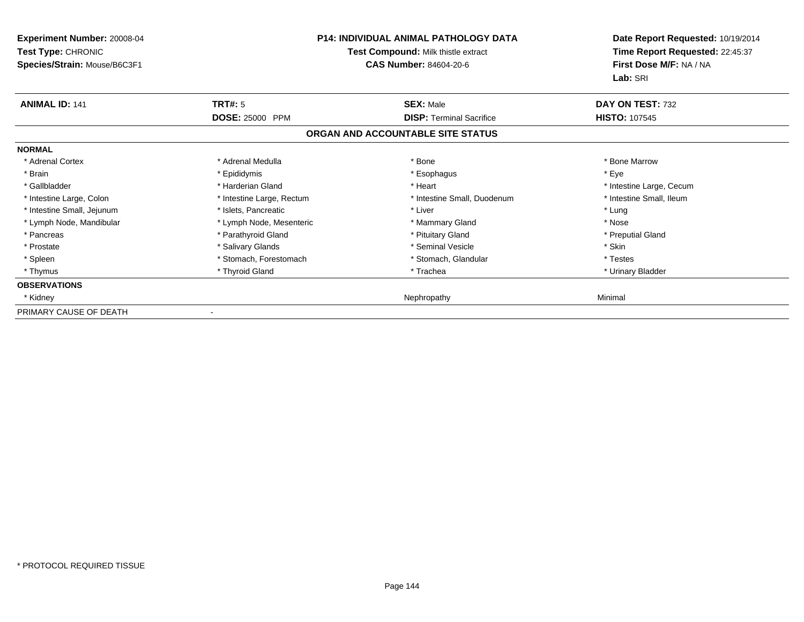| Experiment Number: 20008-04<br>Test Type: CHRONIC<br>Species/Strain: Mouse/B6C3F1 | <b>P14: INDIVIDUAL ANIMAL PATHOLOGY DATA</b><br>Test Compound: Milk thistle extract<br><b>CAS Number: 84604-20-6</b> |                                   | Date Report Requested: 10/19/2014<br>Time Report Requested: 22:45:37<br>First Dose M/F: NA / NA<br>Lab: SRI |
|-----------------------------------------------------------------------------------|----------------------------------------------------------------------------------------------------------------------|-----------------------------------|-------------------------------------------------------------------------------------------------------------|
| <b>ANIMAL ID: 141</b>                                                             | <b>TRT#: 5</b>                                                                                                       | <b>SEX: Male</b>                  | DAY ON TEST: 732                                                                                            |
|                                                                                   | DOSE: 25000 PPM                                                                                                      | <b>DISP: Terminal Sacrifice</b>   | <b>HISTO: 107545</b>                                                                                        |
|                                                                                   |                                                                                                                      | ORGAN AND ACCOUNTABLE SITE STATUS |                                                                                                             |
| <b>NORMAL</b>                                                                     |                                                                                                                      |                                   |                                                                                                             |
| * Adrenal Cortex                                                                  | * Adrenal Medulla                                                                                                    | * Bone                            | * Bone Marrow                                                                                               |
| * Brain                                                                           | * Epididymis                                                                                                         | * Esophagus                       | * Eye                                                                                                       |
| * Gallbladder                                                                     | * Harderian Gland                                                                                                    | * Heart                           | * Intestine Large, Cecum                                                                                    |
| * Intestine Large, Colon                                                          | * Intestine Large, Rectum                                                                                            | * Intestine Small, Duodenum       | * Intestine Small, Ileum                                                                                    |
| * Intestine Small, Jejunum                                                        | * Islets. Pancreatic                                                                                                 | * Liver                           | * Lung                                                                                                      |
| * Lymph Node, Mandibular                                                          | * Lymph Node, Mesenteric                                                                                             | * Mammary Gland                   | * Nose                                                                                                      |
| * Pancreas                                                                        | * Parathyroid Gland                                                                                                  | * Pituitary Gland                 | * Preputial Gland                                                                                           |
| * Prostate                                                                        | * Salivary Glands                                                                                                    | * Seminal Vesicle                 | * Skin                                                                                                      |
| * Spleen                                                                          | * Stomach, Forestomach                                                                                               | * Stomach, Glandular              | * Testes                                                                                                    |
| * Thymus                                                                          | * Thyroid Gland                                                                                                      | * Trachea                         | * Urinary Bladder                                                                                           |
| <b>OBSERVATIONS</b>                                                               |                                                                                                                      |                                   |                                                                                                             |
| * Kidney                                                                          |                                                                                                                      | Nephropathy                       | Minimal                                                                                                     |
| PRIMARY CAUSE OF DEATH                                                            |                                                                                                                      |                                   |                                                                                                             |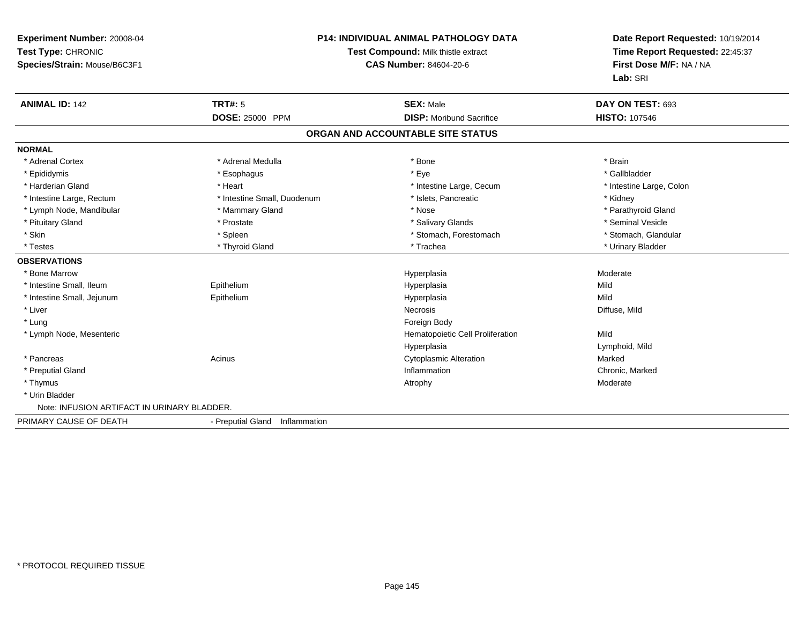| Experiment Number: 20008-04<br>Test Type: CHRONIC<br>Species/Strain: Mouse/B6C3F1 |                                | <b>P14: INDIVIDUAL ANIMAL PATHOLOGY DATA</b><br>Test Compound: Milk thistle extract<br><b>CAS Number: 84604-20-6</b> |                          |
|-----------------------------------------------------------------------------------|--------------------------------|----------------------------------------------------------------------------------------------------------------------|--------------------------|
| <b>ANIMAL ID: 142</b>                                                             | <b>TRT#: 5</b>                 | <b>SEX: Male</b>                                                                                                     | DAY ON TEST: 693         |
|                                                                                   | <b>DOSE: 25000 PPM</b>         | <b>DISP:</b> Moribund Sacrifice                                                                                      | <b>HISTO: 107546</b>     |
|                                                                                   |                                | ORGAN AND ACCOUNTABLE SITE STATUS                                                                                    |                          |
| <b>NORMAL</b>                                                                     |                                |                                                                                                                      |                          |
| * Adrenal Cortex                                                                  | * Adrenal Medulla              | * Bone                                                                                                               | * Brain                  |
| * Epididymis                                                                      | * Esophagus                    | * Eye                                                                                                                | * Gallbladder            |
| * Harderian Gland                                                                 | * Heart                        | * Intestine Large, Cecum                                                                                             | * Intestine Large, Colon |
| * Intestine Large, Rectum                                                         | * Intestine Small, Duodenum    | * Islets, Pancreatic                                                                                                 | * Kidney                 |
| * Lymph Node, Mandibular                                                          | * Mammary Gland                | * Nose                                                                                                               | * Parathyroid Gland      |
| * Pituitary Gland                                                                 | * Prostate                     | * Salivary Glands                                                                                                    | * Seminal Vesicle        |
| * Skin                                                                            | * Spleen                       | * Stomach, Forestomach                                                                                               | * Stomach, Glandular     |
| * Testes                                                                          | * Thyroid Gland                | * Trachea                                                                                                            | * Urinary Bladder        |
| <b>OBSERVATIONS</b>                                                               |                                |                                                                                                                      |                          |
| * Bone Marrow                                                                     |                                | Hyperplasia                                                                                                          | Moderate                 |
| * Intestine Small, Ileum                                                          | Epithelium                     | Hyperplasia                                                                                                          | Mild                     |
| * Intestine Small, Jejunum                                                        | Epithelium                     | Hyperplasia                                                                                                          | Mild                     |
| * Liver                                                                           |                                | <b>Necrosis</b>                                                                                                      | Diffuse, Mild            |
| * Lung                                                                            |                                | Foreign Body                                                                                                         |                          |
| * Lymph Node, Mesenteric                                                          |                                | Hematopoietic Cell Proliferation                                                                                     | Mild                     |
|                                                                                   |                                | Hyperplasia                                                                                                          | Lymphoid, Mild           |
| * Pancreas                                                                        | Acinus                         | Cytoplasmic Alteration                                                                                               | Marked                   |
| * Preputial Gland                                                                 |                                | Inflammation                                                                                                         | Chronic, Marked          |
| * Thymus                                                                          |                                | Atrophy                                                                                                              | Moderate                 |
| * Urin Bladder                                                                    |                                |                                                                                                                      |                          |
| Note: INFUSION ARTIFACT IN URINARY BLADDER.                                       |                                |                                                                                                                      |                          |
| PRIMARY CAUSE OF DEATH                                                            | - Preputial Gland Inflammation |                                                                                                                      |                          |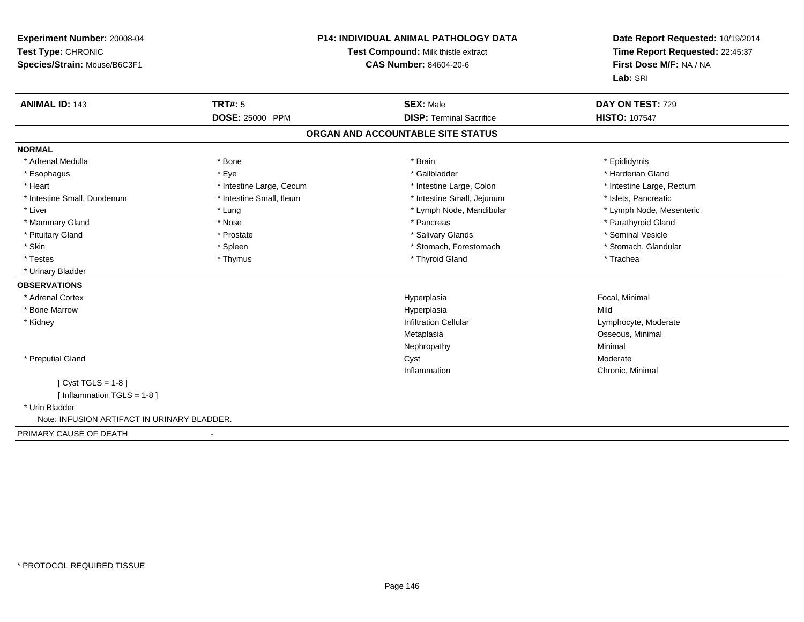| <b>Experiment Number: 20008-04</b><br>Test Type: CHRONIC<br>Species/Strain: Mouse/B6C3F1 |                          | <b>P14: INDIVIDUAL ANIMAL PATHOLOGY DATA</b><br>Test Compound: Milk thistle extract<br>CAS Number: 84604-20-6 | Date Report Requested: 10/19/2014<br>Time Report Requested: 22:45:37<br>First Dose M/F: NA / NA |
|------------------------------------------------------------------------------------------|--------------------------|---------------------------------------------------------------------------------------------------------------|-------------------------------------------------------------------------------------------------|
|                                                                                          |                          |                                                                                                               | Lab: SRI                                                                                        |
| <b>ANIMAL ID: 143</b>                                                                    | <b>TRT#: 5</b>           | <b>SEX: Male</b>                                                                                              | DAY ON TEST: 729                                                                                |
|                                                                                          | <b>DOSE: 25000 PPM</b>   | <b>DISP: Terminal Sacrifice</b>                                                                               | <b>HISTO: 107547</b>                                                                            |
|                                                                                          |                          | ORGAN AND ACCOUNTABLE SITE STATUS                                                                             |                                                                                                 |
| <b>NORMAL</b>                                                                            |                          |                                                                                                               |                                                                                                 |
| * Adrenal Medulla                                                                        | * Bone                   | * Brain                                                                                                       | * Epididymis                                                                                    |
| * Esophagus                                                                              | * Eye                    | * Gallbladder                                                                                                 | * Harderian Gland                                                                               |
| * Heart                                                                                  | * Intestine Large, Cecum | * Intestine Large, Colon                                                                                      | * Intestine Large, Rectum                                                                       |
| * Intestine Small, Duodenum                                                              | * Intestine Small, Ileum | * Intestine Small, Jejunum                                                                                    | * Islets, Pancreatic                                                                            |
| * Liver                                                                                  | * Lung                   | * Lymph Node, Mandibular                                                                                      | * Lymph Node, Mesenteric                                                                        |
| * Mammary Gland                                                                          | * Nose                   | * Pancreas                                                                                                    | * Parathyroid Gland                                                                             |
| * Pituitary Gland                                                                        | * Prostate               | * Salivary Glands                                                                                             | * Seminal Vesicle                                                                               |
| * Skin                                                                                   | * Spleen                 | * Stomach, Forestomach                                                                                        | * Stomach, Glandular                                                                            |
| * Testes                                                                                 | * Thymus                 | * Thyroid Gland                                                                                               | * Trachea                                                                                       |
| * Urinary Bladder                                                                        |                          |                                                                                                               |                                                                                                 |
| <b>OBSERVATIONS</b>                                                                      |                          |                                                                                                               |                                                                                                 |
| * Adrenal Cortex                                                                         |                          | Hyperplasia                                                                                                   | Focal, Minimal                                                                                  |
| * Bone Marrow                                                                            |                          | Hyperplasia                                                                                                   | Mild                                                                                            |
| * Kidney                                                                                 |                          | <b>Infiltration Cellular</b>                                                                                  | Lymphocyte, Moderate                                                                            |
|                                                                                          |                          | Metaplasia                                                                                                    | Osseous, Minimal                                                                                |
|                                                                                          |                          | Nephropathy                                                                                                   | Minimal                                                                                         |
| * Preputial Gland                                                                        |                          | Cyst                                                                                                          | Moderate                                                                                        |
|                                                                                          |                          | Inflammation                                                                                                  | Chronic, Minimal                                                                                |
| [ $Cyst TGLS = 1-8$ ]                                                                    |                          |                                                                                                               |                                                                                                 |
| [ Inflammation TGLS = 1-8 ]                                                              |                          |                                                                                                               |                                                                                                 |
| * Urin Bladder                                                                           |                          |                                                                                                               |                                                                                                 |
| Note: INFUSION ARTIFACT IN URINARY BLADDER.                                              |                          |                                                                                                               |                                                                                                 |
| PRIMARY CAUSE OF DEATH                                                                   |                          |                                                                                                               |                                                                                                 |

-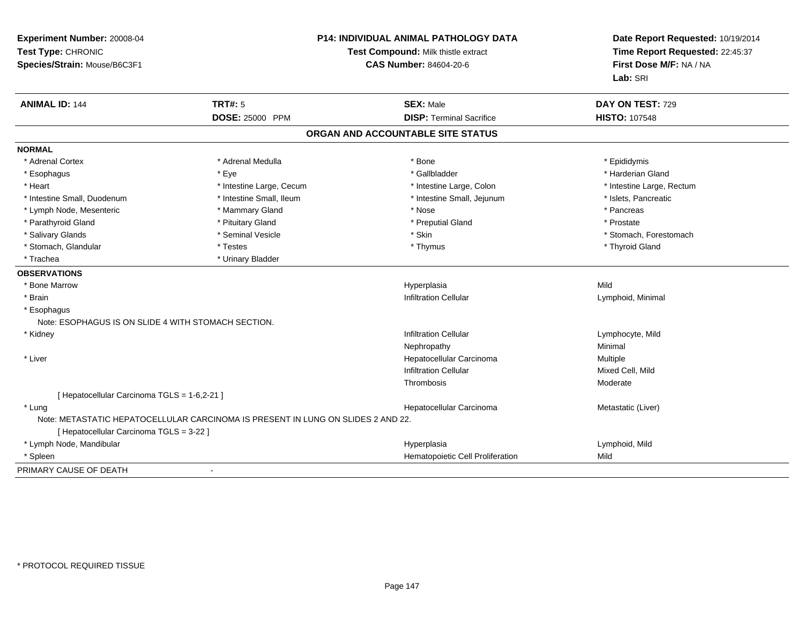| Experiment Number: 20008-04<br>Test Type: CHRONIC<br>Species/Strain: Mouse/B6C3F1 |                                                                                  | P14: INDIVIDUAL ANIMAL PATHOLOGY DATA<br>Test Compound: Milk thistle extract<br><b>CAS Number: 84604-20-6</b> | Date Report Requested: 10/19/2014<br>Time Report Requested: 22:45:37<br>First Dose M/F: NA / NA<br>Lab: SRI |
|-----------------------------------------------------------------------------------|----------------------------------------------------------------------------------|---------------------------------------------------------------------------------------------------------------|-------------------------------------------------------------------------------------------------------------|
| <b>ANIMAL ID: 144</b>                                                             | <b>TRT#: 5</b><br><b>DOSE: 25000 PPM</b>                                         | <b>SEX: Male</b><br><b>DISP: Terminal Sacrifice</b>                                                           | DAY ON TEST: 729<br><b>HISTO: 107548</b>                                                                    |
|                                                                                   |                                                                                  |                                                                                                               |                                                                                                             |
|                                                                                   |                                                                                  | ORGAN AND ACCOUNTABLE SITE STATUS                                                                             |                                                                                                             |
| <b>NORMAL</b>                                                                     |                                                                                  |                                                                                                               |                                                                                                             |
| * Adrenal Cortex                                                                  | * Adrenal Medulla                                                                | * Bone                                                                                                        | * Epididymis                                                                                                |
| * Esophagus                                                                       | * Eye                                                                            | * Gallbladder                                                                                                 | * Harderian Gland                                                                                           |
| * Heart                                                                           | * Intestine Large, Cecum                                                         | * Intestine Large, Colon                                                                                      | * Intestine Large, Rectum                                                                                   |
| * Intestine Small, Duodenum                                                       | * Intestine Small, Ileum                                                         | * Intestine Small, Jejunum                                                                                    | * Islets, Pancreatic                                                                                        |
| * Lymph Node, Mesenteric                                                          | * Mammary Gland                                                                  | * Nose                                                                                                        | * Pancreas                                                                                                  |
| * Parathyroid Gland                                                               | * Pituitary Gland                                                                | * Preputial Gland                                                                                             | * Prostate                                                                                                  |
| * Salivary Glands                                                                 | * Seminal Vesicle                                                                | * Skin                                                                                                        | * Stomach, Forestomach                                                                                      |
| * Stomach, Glandular                                                              | * Testes                                                                         | * Thymus                                                                                                      | * Thyroid Gland                                                                                             |
| * Trachea                                                                         | * Urinary Bladder                                                                |                                                                                                               |                                                                                                             |
| <b>OBSERVATIONS</b>                                                               |                                                                                  |                                                                                                               |                                                                                                             |
| * Bone Marrow                                                                     |                                                                                  | Hyperplasia                                                                                                   | Mild                                                                                                        |
| * Brain                                                                           |                                                                                  | <b>Infiltration Cellular</b>                                                                                  | Lymphoid, Minimal                                                                                           |
| * Esophagus<br>Note: ESOPHAGUS IS ON SLIDE 4 WITH STOMACH SECTION.                |                                                                                  |                                                                                                               |                                                                                                             |
| * Kidney                                                                          |                                                                                  | <b>Infiltration Cellular</b>                                                                                  | Lymphocyte, Mild                                                                                            |
|                                                                                   |                                                                                  | Nephropathy                                                                                                   | Minimal                                                                                                     |
| * Liver                                                                           |                                                                                  | Hepatocellular Carcinoma                                                                                      | Multiple                                                                                                    |
|                                                                                   |                                                                                  | <b>Infiltration Cellular</b>                                                                                  | Mixed Cell, Mild                                                                                            |
|                                                                                   |                                                                                  | Thrombosis                                                                                                    | Moderate                                                                                                    |
| [ Hepatocellular Carcinoma TGLS = 1-6,2-21 ]                                      |                                                                                  |                                                                                                               |                                                                                                             |
| * Lung                                                                            |                                                                                  | Hepatocellular Carcinoma                                                                                      | Metastatic (Liver)                                                                                          |
|                                                                                   | Note: METASTATIC HEPATOCELLULAR CARCINOMA IS PRESENT IN LUNG ON SLIDES 2 AND 22. |                                                                                                               |                                                                                                             |
| [ Hepatocellular Carcinoma TGLS = 3-22 ]                                          |                                                                                  |                                                                                                               |                                                                                                             |
| * Lymph Node, Mandibular                                                          |                                                                                  | Hyperplasia                                                                                                   | Lymphoid, Mild                                                                                              |
| * Spleen                                                                          |                                                                                  | Hematopoietic Cell Proliferation                                                                              | Mild                                                                                                        |
|                                                                                   |                                                                                  |                                                                                                               |                                                                                                             |
| PRIMARY CAUSE OF DEATH                                                            | $\blacksquare$                                                                   |                                                                                                               |                                                                                                             |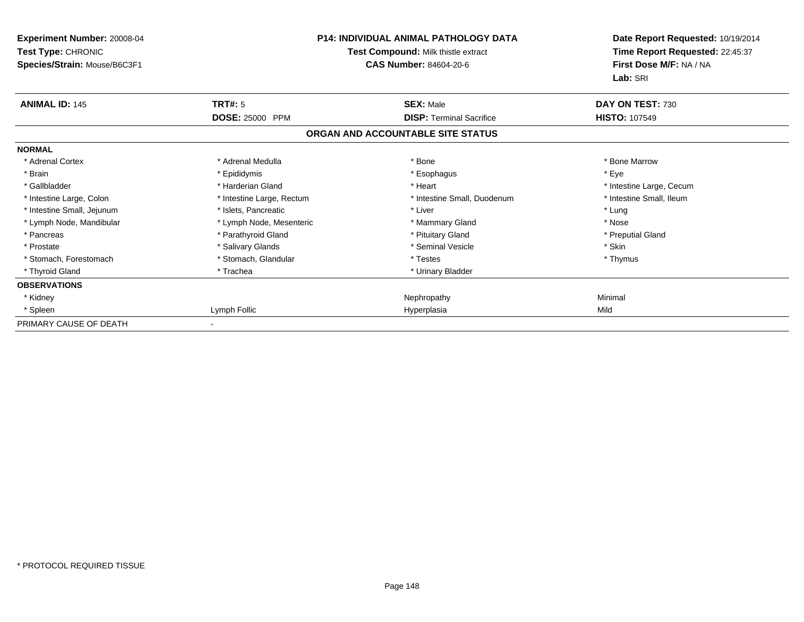| Experiment Number: 20008-04<br>Test Type: CHRONIC<br>Species/Strain: Mouse/B6C3F1 | <b>P14: INDIVIDUAL ANIMAL PATHOLOGY DATA</b><br>Test Compound: Milk thistle extract<br><b>CAS Number: 84604-20-6</b> |                                   | Date Report Requested: 10/19/2014<br>Time Report Requested: 22:45:37<br>First Dose M/F: NA / NA<br>Lab: SRI |
|-----------------------------------------------------------------------------------|----------------------------------------------------------------------------------------------------------------------|-----------------------------------|-------------------------------------------------------------------------------------------------------------|
| <b>ANIMAL ID: 145</b>                                                             | TRT#: 5                                                                                                              | <b>SEX: Male</b>                  | DAY ON TEST: 730                                                                                            |
|                                                                                   | DOSE: 25000 PPM                                                                                                      | <b>DISP: Terminal Sacrifice</b>   | <b>HISTO: 107549</b>                                                                                        |
|                                                                                   |                                                                                                                      | ORGAN AND ACCOUNTABLE SITE STATUS |                                                                                                             |
| <b>NORMAL</b>                                                                     |                                                                                                                      |                                   |                                                                                                             |
| * Adrenal Cortex                                                                  | * Adrenal Medulla                                                                                                    | * Bone                            | * Bone Marrow                                                                                               |
| * Brain                                                                           | * Epididymis                                                                                                         | * Esophagus                       | * Eye                                                                                                       |
| * Gallbladder                                                                     | * Harderian Gland                                                                                                    | * Heart                           | * Intestine Large, Cecum                                                                                    |
| * Intestine Large, Colon                                                          | * Intestine Large, Rectum                                                                                            | * Intestine Small, Duodenum       | * Intestine Small, Ileum                                                                                    |
| * Intestine Small, Jejunum                                                        | * Islets, Pancreatic                                                                                                 | * Liver                           | * Lung                                                                                                      |
| * Lymph Node, Mandibular                                                          | * Lymph Node, Mesenteric                                                                                             | * Mammary Gland                   | * Nose                                                                                                      |
| * Pancreas                                                                        | * Parathyroid Gland                                                                                                  | * Pituitary Gland                 | * Preputial Gland                                                                                           |
| * Prostate                                                                        | * Salivary Glands                                                                                                    | * Seminal Vesicle                 | * Skin                                                                                                      |
| * Stomach, Forestomach                                                            | * Stomach, Glandular                                                                                                 | * Testes                          | * Thymus                                                                                                    |
| * Thyroid Gland                                                                   | * Trachea                                                                                                            | * Urinary Bladder                 |                                                                                                             |
| <b>OBSERVATIONS</b>                                                               |                                                                                                                      |                                   |                                                                                                             |
| * Kidney                                                                          |                                                                                                                      | Nephropathy                       | Minimal                                                                                                     |
| * Spleen                                                                          | Lymph Follic                                                                                                         | Hyperplasia                       | Mild                                                                                                        |
| PRIMARY CAUSE OF DEATH                                                            |                                                                                                                      |                                   |                                                                                                             |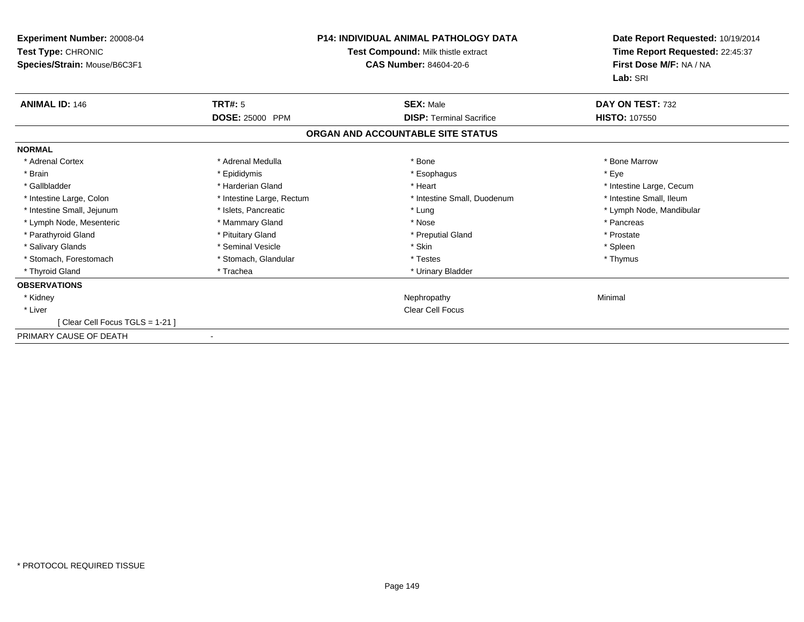| Experiment Number: 20008-04<br>Test Type: CHRONIC<br>Species/Strain: Mouse/B6C3F1 | <b>P14: INDIVIDUAL ANIMAL PATHOLOGY DATA</b><br>Test Compound: Milk thistle extract<br><b>CAS Number: 84604-20-6</b> |                                   | Date Report Requested: 10/19/2014<br>Time Report Requested: 22:45:37<br>First Dose M/F: NA / NA<br>Lab: SRI |
|-----------------------------------------------------------------------------------|----------------------------------------------------------------------------------------------------------------------|-----------------------------------|-------------------------------------------------------------------------------------------------------------|
| <b>ANIMAL ID: 146</b>                                                             | <b>TRT#: 5</b>                                                                                                       | <b>SEX: Male</b>                  | DAY ON TEST: 732                                                                                            |
|                                                                                   | <b>DOSE: 25000 PPM</b>                                                                                               | <b>DISP: Terminal Sacrifice</b>   | <b>HISTO: 107550</b>                                                                                        |
|                                                                                   |                                                                                                                      | ORGAN AND ACCOUNTABLE SITE STATUS |                                                                                                             |
| <b>NORMAL</b>                                                                     |                                                                                                                      |                                   |                                                                                                             |
| * Adrenal Cortex                                                                  | * Adrenal Medulla                                                                                                    | * Bone                            | * Bone Marrow                                                                                               |
| * Brain                                                                           | * Epididymis                                                                                                         | * Esophagus                       | * Eye                                                                                                       |
| * Gallbladder                                                                     | * Harderian Gland                                                                                                    | * Heart                           | * Intestine Large, Cecum                                                                                    |
| * Intestine Large, Colon                                                          | * Intestine Large, Rectum                                                                                            | * Intestine Small, Duodenum       | * Intestine Small, Ileum                                                                                    |
| * Intestine Small, Jejunum                                                        | * Islets, Pancreatic                                                                                                 | * Lung                            | * Lymph Node, Mandibular                                                                                    |
| * Lymph Node, Mesenteric                                                          | * Mammary Gland                                                                                                      | * Nose                            | * Pancreas                                                                                                  |
| * Parathyroid Gland                                                               | * Pituitary Gland                                                                                                    | * Preputial Gland                 | * Prostate                                                                                                  |
| * Salivary Glands                                                                 | * Seminal Vesicle                                                                                                    | * Skin                            | * Spleen                                                                                                    |
| * Stomach, Forestomach                                                            | * Stomach, Glandular                                                                                                 | * Testes                          | * Thymus                                                                                                    |
| * Thyroid Gland                                                                   | * Trachea                                                                                                            | * Urinary Bladder                 |                                                                                                             |
| <b>OBSERVATIONS</b>                                                               |                                                                                                                      |                                   |                                                                                                             |
| * Kidney                                                                          |                                                                                                                      | Nephropathy                       | Minimal                                                                                                     |
| * Liver                                                                           |                                                                                                                      | <b>Clear Cell Focus</b>           |                                                                                                             |
| [Clear Cell Focus TGLS = 1-21]                                                    |                                                                                                                      |                                   |                                                                                                             |
| PRIMARY CAUSE OF DEATH                                                            | $\blacksquare$                                                                                                       |                                   |                                                                                                             |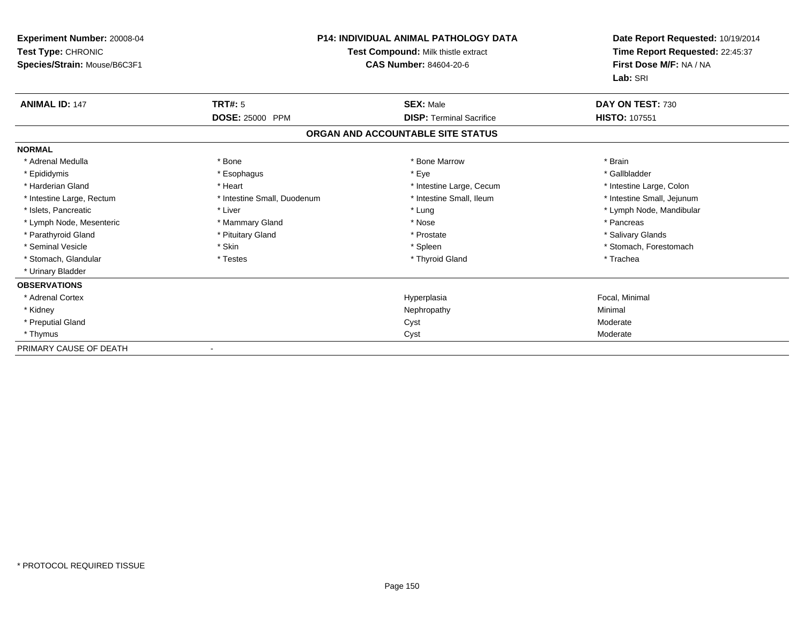| <b>Experiment Number: 20008-04</b><br>Test Type: CHRONIC<br>Species/Strain: Mouse/B6C3F1 |                             | <b>P14: INDIVIDUAL ANIMAL PATHOLOGY DATA</b><br>Test Compound: Milk thistle extract<br>CAS Number: 84604-20-6 | Date Report Requested: 10/19/2014<br>Time Report Requested: 22:45:37<br>First Dose M/F: NA / NA<br>Lab: SRI |
|------------------------------------------------------------------------------------------|-----------------------------|---------------------------------------------------------------------------------------------------------------|-------------------------------------------------------------------------------------------------------------|
| <b>ANIMAL ID: 147</b>                                                                    | <b>TRT#: 5</b>              | <b>SEX: Male</b>                                                                                              | DAY ON TEST: 730                                                                                            |
|                                                                                          | <b>DOSE: 25000 PPM</b>      | <b>DISP: Terminal Sacrifice</b>                                                                               | <b>HISTO: 107551</b>                                                                                        |
|                                                                                          |                             | ORGAN AND ACCOUNTABLE SITE STATUS                                                                             |                                                                                                             |
| <b>NORMAL</b>                                                                            |                             |                                                                                                               |                                                                                                             |
| * Adrenal Medulla                                                                        | * Bone                      | * Bone Marrow                                                                                                 | * Brain                                                                                                     |
| * Epididymis                                                                             | * Esophagus                 | * Eye                                                                                                         | * Gallbladder                                                                                               |
| * Harderian Gland                                                                        | * Heart                     | * Intestine Large, Cecum                                                                                      | * Intestine Large, Colon                                                                                    |
| * Intestine Large, Rectum                                                                | * Intestine Small, Duodenum | * Intestine Small, Ileum                                                                                      | * Intestine Small, Jejunum                                                                                  |
| * Islets, Pancreatic                                                                     | * Liver                     | * Lung                                                                                                        | * Lymph Node, Mandibular                                                                                    |
| * Lymph Node, Mesenteric                                                                 | * Mammary Gland             | * Nose                                                                                                        | * Pancreas                                                                                                  |
| * Parathyroid Gland                                                                      | * Pituitary Gland           | * Prostate                                                                                                    | * Salivary Glands                                                                                           |
| * Seminal Vesicle                                                                        | * Skin                      | * Spleen                                                                                                      | * Stomach, Forestomach                                                                                      |
| * Stomach, Glandular                                                                     | * Testes                    | * Thyroid Gland                                                                                               | * Trachea                                                                                                   |
| * Urinary Bladder                                                                        |                             |                                                                                                               |                                                                                                             |
| <b>OBSERVATIONS</b>                                                                      |                             |                                                                                                               |                                                                                                             |
| * Adrenal Cortex                                                                         |                             | Hyperplasia                                                                                                   | Focal, Minimal                                                                                              |
| * Kidney                                                                                 |                             | Nephropathy                                                                                                   | Minimal                                                                                                     |
| * Preputial Gland                                                                        |                             | Cyst                                                                                                          | Moderate                                                                                                    |
| * Thymus                                                                                 |                             | Cyst                                                                                                          | Moderate                                                                                                    |
| PRIMARY CAUSE OF DEATH                                                                   | $\overline{\phantom{a}}$    |                                                                                                               |                                                                                                             |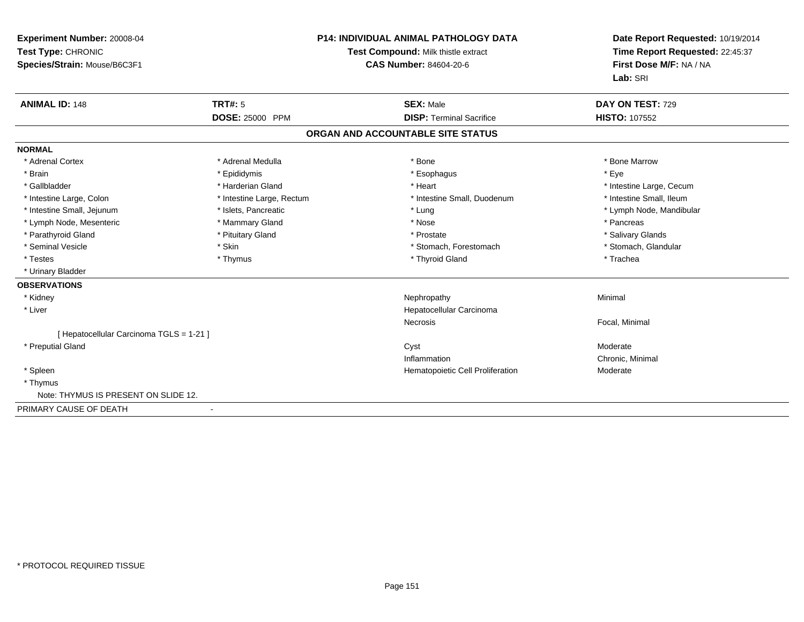| <b>Experiment Number: 20008-04</b><br>Test Type: CHRONIC<br>Species/Strain: Mouse/B6C3F1 |                           | <b>P14: INDIVIDUAL ANIMAL PATHOLOGY DATA</b><br>Test Compound: Milk thistle extract<br><b>CAS Number: 84604-20-6</b> | Date Report Requested: 10/19/2014<br>Time Report Requested: 22:45:37<br>First Dose M/F: NA / NA<br>Lab: SRI |
|------------------------------------------------------------------------------------------|---------------------------|----------------------------------------------------------------------------------------------------------------------|-------------------------------------------------------------------------------------------------------------|
| <b>ANIMAL ID: 148</b>                                                                    | <b>TRT#: 5</b>            | <b>SEX: Male</b>                                                                                                     | DAY ON TEST: 729                                                                                            |
|                                                                                          | <b>DOSE: 25000 PPM</b>    | <b>DISP: Terminal Sacrifice</b>                                                                                      | <b>HISTO: 107552</b>                                                                                        |
|                                                                                          |                           | ORGAN AND ACCOUNTABLE SITE STATUS                                                                                    |                                                                                                             |
| <b>NORMAL</b>                                                                            |                           |                                                                                                                      |                                                                                                             |
| * Adrenal Cortex                                                                         | * Adrenal Medulla         | * Bone                                                                                                               | * Bone Marrow                                                                                               |
| * Brain                                                                                  | * Epididymis              | * Esophagus                                                                                                          | * Eye                                                                                                       |
| * Gallbladder                                                                            | * Harderian Gland         | * Heart                                                                                                              | * Intestine Large, Cecum                                                                                    |
| * Intestine Large, Colon                                                                 | * Intestine Large, Rectum | * Intestine Small, Duodenum                                                                                          | * Intestine Small, Ileum                                                                                    |
| * Intestine Small, Jejunum                                                               | * Islets, Pancreatic      | * Lung                                                                                                               | * Lymph Node, Mandibular                                                                                    |
| * Lymph Node, Mesenteric                                                                 | * Mammary Gland           | * Nose                                                                                                               | * Pancreas                                                                                                  |
| * Parathyroid Gland                                                                      | * Pituitary Gland         | * Prostate                                                                                                           | * Salivary Glands                                                                                           |
| * Seminal Vesicle                                                                        | * Skin                    | * Stomach, Forestomach                                                                                               | * Stomach, Glandular                                                                                        |
| * Testes                                                                                 | * Thymus                  | * Thyroid Gland                                                                                                      | * Trachea                                                                                                   |
| * Urinary Bladder                                                                        |                           |                                                                                                                      |                                                                                                             |
| <b>OBSERVATIONS</b>                                                                      |                           |                                                                                                                      |                                                                                                             |
| * Kidney                                                                                 |                           | Nephropathy                                                                                                          | Minimal                                                                                                     |
| * Liver                                                                                  |                           | Hepatocellular Carcinoma                                                                                             |                                                                                                             |
|                                                                                          |                           | Necrosis                                                                                                             | Focal, Minimal                                                                                              |
| [ Hepatocellular Carcinoma TGLS = 1-21 ]                                                 |                           |                                                                                                                      |                                                                                                             |
| * Preputial Gland                                                                        |                           | Cyst                                                                                                                 | Moderate                                                                                                    |
|                                                                                          |                           | Inflammation                                                                                                         | Chronic, Minimal                                                                                            |
| * Spleen                                                                                 |                           | Hematopoietic Cell Proliferation                                                                                     | Moderate                                                                                                    |
| * Thymus                                                                                 |                           |                                                                                                                      |                                                                                                             |
| Note: THYMUS IS PRESENT ON SLIDE 12.                                                     |                           |                                                                                                                      |                                                                                                             |
| PRIMARY CAUSE OF DEATH                                                                   |                           |                                                                                                                      |                                                                                                             |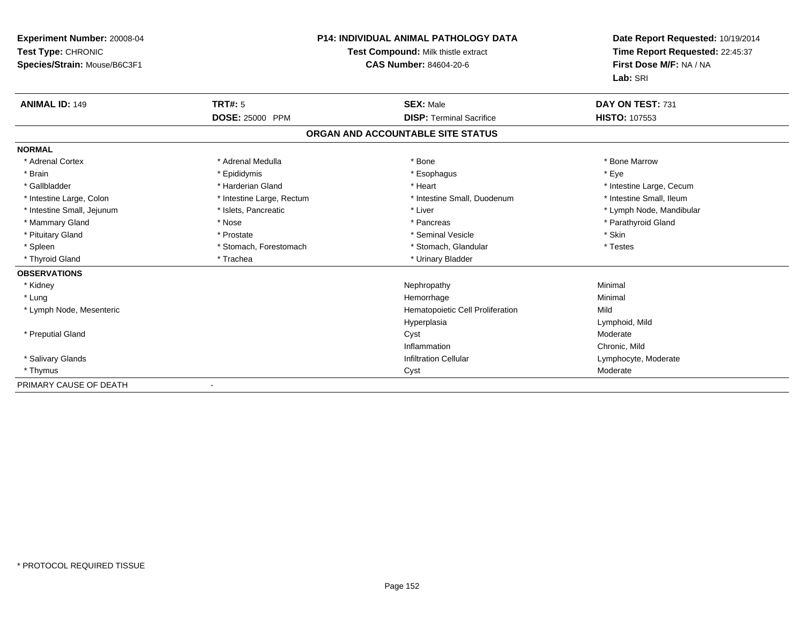| Experiment Number: 20008-04<br>Test Type: CHRONIC<br>Species/Strain: Mouse/B6C3F1 |                           | <b>P14: INDIVIDUAL ANIMAL PATHOLOGY DATA</b><br>Test Compound: Milk thistle extract<br><b>CAS Number: 84604-20-6</b> | Date Report Requested: 10/19/2014<br>Time Report Requested: 22:45:37<br>First Dose M/F: NA / NA<br>Lab: SRI |
|-----------------------------------------------------------------------------------|---------------------------|----------------------------------------------------------------------------------------------------------------------|-------------------------------------------------------------------------------------------------------------|
| <b>ANIMAL ID: 149</b>                                                             | <b>TRT#: 5</b>            | <b>SEX: Male</b>                                                                                                     | DAY ON TEST: 731                                                                                            |
|                                                                                   | DOSE: 25000 PPM           | <b>DISP: Terminal Sacrifice</b>                                                                                      | HISTO: 107553                                                                                               |
|                                                                                   |                           | ORGAN AND ACCOUNTABLE SITE STATUS                                                                                    |                                                                                                             |
| <b>NORMAL</b>                                                                     |                           |                                                                                                                      |                                                                                                             |
| * Adrenal Cortex                                                                  | * Adrenal Medulla         | * Bone                                                                                                               | * Bone Marrow                                                                                               |
| * Brain                                                                           | * Epididymis              | * Esophagus                                                                                                          | * Eye                                                                                                       |
| * Gallbladder                                                                     | * Harderian Gland         | * Heart                                                                                                              | * Intestine Large, Cecum                                                                                    |
| * Intestine Large, Colon                                                          | * Intestine Large, Rectum | * Intestine Small, Duodenum                                                                                          | * Intestine Small, Ileum                                                                                    |
| * Intestine Small, Jejunum                                                        | * Islets, Pancreatic      | * Liver                                                                                                              | * Lymph Node, Mandibular                                                                                    |
| * Mammary Gland                                                                   | * Nose                    | * Pancreas                                                                                                           | * Parathyroid Gland                                                                                         |
| * Pituitary Gland                                                                 | * Prostate                | * Seminal Vesicle                                                                                                    | * Skin                                                                                                      |
| * Spleen                                                                          | * Stomach, Forestomach    | * Stomach, Glandular                                                                                                 | * Testes                                                                                                    |
| * Thyroid Gland                                                                   | * Trachea                 | * Urinary Bladder                                                                                                    |                                                                                                             |
| <b>OBSERVATIONS</b>                                                               |                           |                                                                                                                      |                                                                                                             |
| * Kidney                                                                          |                           | Nephropathy                                                                                                          | Minimal                                                                                                     |
| * Lung                                                                            |                           | Hemorrhage                                                                                                           | Minimal                                                                                                     |
| * Lymph Node, Mesenteric                                                          |                           | Hematopoietic Cell Proliferation                                                                                     | Mild                                                                                                        |
|                                                                                   |                           | Hyperplasia                                                                                                          | Lymphoid, Mild                                                                                              |
| * Preputial Gland                                                                 |                           | Cyst                                                                                                                 | Moderate                                                                                                    |
|                                                                                   |                           | Inflammation                                                                                                         | Chronic, Mild                                                                                               |
| * Salivary Glands                                                                 |                           | <b>Infiltration Cellular</b>                                                                                         | Lymphocyte, Moderate                                                                                        |
| * Thymus                                                                          |                           | Cyst                                                                                                                 | Moderate                                                                                                    |
| PRIMARY CAUSE OF DEATH                                                            |                           |                                                                                                                      |                                                                                                             |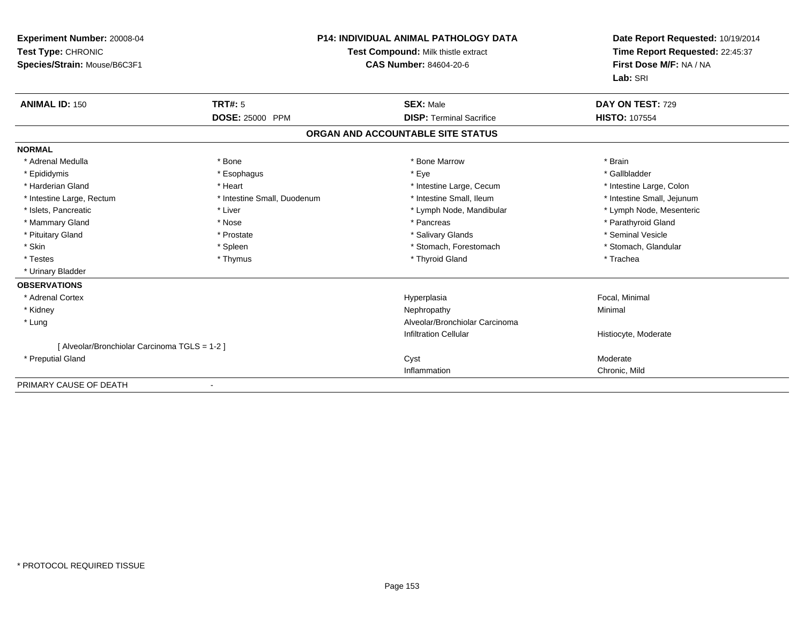| <b>Experiment Number: 20008-04</b><br>Test Type: CHRONIC<br>Species/Strain: Mouse/B6C3F1 |                                   | <b>P14: INDIVIDUAL ANIMAL PATHOLOGY DATA</b><br>Test Compound: Milk thistle extract<br>CAS Number: 84604-20-6 | Date Report Requested: 10/19/2014<br>Time Report Requested: 22:45:37<br>First Dose M/F: NA / NA<br>Lab: SRI |
|------------------------------------------------------------------------------------------|-----------------------------------|---------------------------------------------------------------------------------------------------------------|-------------------------------------------------------------------------------------------------------------|
| <b>ANIMAL ID: 150</b>                                                                    | <b>TRT#: 5</b><br>DOSE: 25000 PPM | <b>SEX: Male</b><br><b>DISP: Terminal Sacrifice</b>                                                           | DAY ON TEST: 729<br><b>HISTO: 107554</b>                                                                    |
|                                                                                          |                                   | ORGAN AND ACCOUNTABLE SITE STATUS                                                                             |                                                                                                             |
| <b>NORMAL</b>                                                                            |                                   |                                                                                                               |                                                                                                             |
| * Adrenal Medulla                                                                        | * Bone                            | * Bone Marrow                                                                                                 | * Brain                                                                                                     |
| * Epididymis                                                                             | * Esophagus                       | * Eye                                                                                                         | * Gallbladder                                                                                               |
| * Harderian Gland                                                                        | * Heart                           | * Intestine Large, Cecum                                                                                      | * Intestine Large, Colon                                                                                    |
| * Intestine Large, Rectum                                                                | * Intestine Small, Duodenum       | * Intestine Small, Ileum                                                                                      | * Intestine Small, Jejunum                                                                                  |
| * Islets. Pancreatic                                                                     | * Liver                           | * Lymph Node, Mandibular                                                                                      | * Lymph Node, Mesenteric                                                                                    |
| * Mammary Gland                                                                          | * Nose                            | * Pancreas                                                                                                    | * Parathyroid Gland                                                                                         |
| * Pituitary Gland                                                                        | * Prostate                        | * Salivary Glands                                                                                             | * Seminal Vesicle                                                                                           |
| * Skin                                                                                   | * Spleen                          | * Stomach, Forestomach                                                                                        | * Stomach, Glandular                                                                                        |
| * Testes                                                                                 | * Thymus                          | * Thyroid Gland                                                                                               | * Trachea                                                                                                   |
| * Urinary Bladder                                                                        |                                   |                                                                                                               |                                                                                                             |
| <b>OBSERVATIONS</b>                                                                      |                                   |                                                                                                               |                                                                                                             |
| * Adrenal Cortex                                                                         |                                   | Hyperplasia                                                                                                   | Focal, Minimal                                                                                              |
| * Kidney                                                                                 |                                   | Nephropathy                                                                                                   | Minimal                                                                                                     |
| * Lung                                                                                   |                                   | Alveolar/Bronchiolar Carcinoma                                                                                |                                                                                                             |
|                                                                                          |                                   | <b>Infiltration Cellular</b>                                                                                  | Histiocyte, Moderate                                                                                        |
| [Alveolar/Bronchiolar Carcinoma TGLS = 1-2]                                              |                                   |                                                                                                               |                                                                                                             |
| * Preputial Gland                                                                        |                                   | Cyst                                                                                                          | Moderate                                                                                                    |
|                                                                                          |                                   | Inflammation                                                                                                  | Chronic, Mild                                                                                               |

-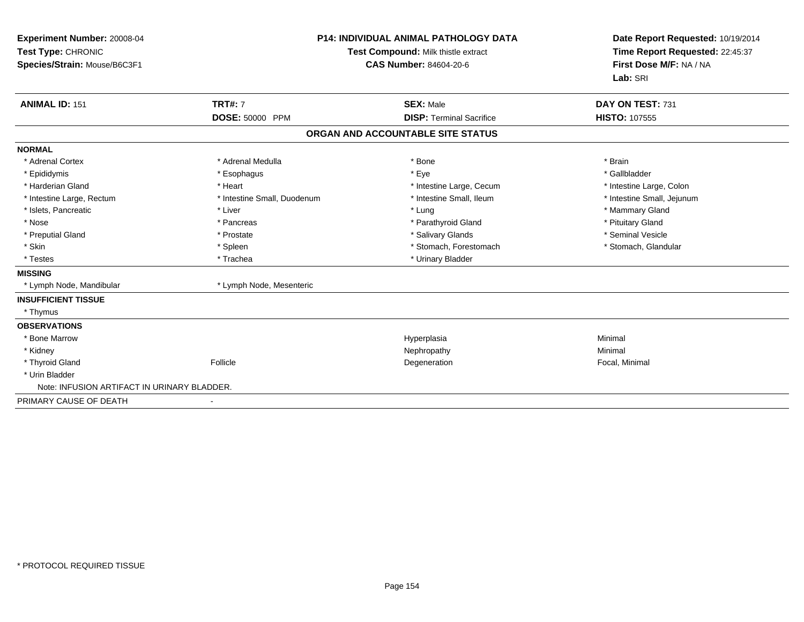| Experiment Number: 20008-04<br>Test Type: CHRONIC<br>Species/Strain: Mouse/B6C3F1 |                             | <b>P14: INDIVIDUAL ANIMAL PATHOLOGY DATA</b><br>Test Compound: Milk thistle extract<br>CAS Number: 84604-20-6 | Date Report Requested: 10/19/2014<br>Time Report Requested: 22:45:37<br>First Dose M/F: NA / NA<br>Lab: SRI |
|-----------------------------------------------------------------------------------|-----------------------------|---------------------------------------------------------------------------------------------------------------|-------------------------------------------------------------------------------------------------------------|
| <b>ANIMAL ID: 151</b>                                                             | <b>TRT#: 7</b>              | <b>SEX: Male</b>                                                                                              | DAY ON TEST: 731                                                                                            |
|                                                                                   | DOSE: 50000 PPM             | <b>DISP: Terminal Sacrifice</b>                                                                               | <b>HISTO: 107555</b>                                                                                        |
|                                                                                   |                             | ORGAN AND ACCOUNTABLE SITE STATUS                                                                             |                                                                                                             |
| <b>NORMAL</b>                                                                     |                             |                                                                                                               |                                                                                                             |
| * Adrenal Cortex                                                                  | * Adrenal Medulla           | * Bone                                                                                                        | * Brain                                                                                                     |
| * Epididymis                                                                      | * Esophagus                 | * Eye                                                                                                         | * Gallbladder                                                                                               |
| * Harderian Gland                                                                 | * Heart                     | * Intestine Large, Cecum                                                                                      | * Intestine Large, Colon                                                                                    |
| * Intestine Large, Rectum                                                         | * Intestine Small, Duodenum | * Intestine Small, Ileum                                                                                      | * Intestine Small, Jejunum                                                                                  |
| * Islets, Pancreatic                                                              | * Liver                     | * Lung                                                                                                        | * Mammary Gland                                                                                             |
| * Nose                                                                            | * Pancreas                  | * Parathyroid Gland                                                                                           | * Pituitary Gland                                                                                           |
| * Preputial Gland                                                                 | * Prostate                  | * Salivary Glands                                                                                             | * Seminal Vesicle                                                                                           |
| * Skin                                                                            | * Spleen                    | * Stomach, Forestomach                                                                                        | * Stomach, Glandular                                                                                        |
| * Testes                                                                          | * Trachea                   | * Urinary Bladder                                                                                             |                                                                                                             |
| <b>MISSING</b>                                                                    |                             |                                                                                                               |                                                                                                             |
| * Lymph Node, Mandibular                                                          | * Lymph Node, Mesenteric    |                                                                                                               |                                                                                                             |
| <b>INSUFFICIENT TISSUE</b>                                                        |                             |                                                                                                               |                                                                                                             |
| * Thymus                                                                          |                             |                                                                                                               |                                                                                                             |
| <b>OBSERVATIONS</b>                                                               |                             |                                                                                                               |                                                                                                             |
| * Bone Marrow                                                                     |                             | Hyperplasia                                                                                                   | Minimal                                                                                                     |
| * Kidney                                                                          |                             | Nephropathy                                                                                                   | Minimal                                                                                                     |
| * Thyroid Gland                                                                   | Follicle                    | Degeneration                                                                                                  | Focal, Minimal                                                                                              |
| * Urin Bladder                                                                    |                             |                                                                                                               |                                                                                                             |
| Note: INFUSION ARTIFACT IN URINARY BLADDER.                                       |                             |                                                                                                               |                                                                                                             |
| PRIMARY CAUSE OF DEATH                                                            | $\overline{\phantom{a}}$    |                                                                                                               |                                                                                                             |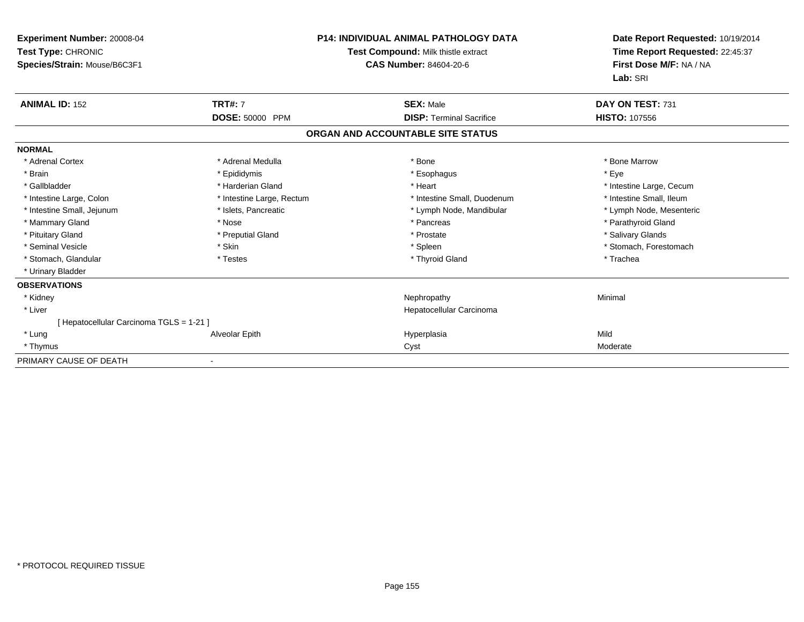| Experiment Number: 20008-04<br>Test Type: CHRONIC<br>Species/Strain: Mouse/B6C3F1 |                           | <b>P14: INDIVIDUAL ANIMAL PATHOLOGY DATA</b><br>Test Compound: Milk thistle extract<br><b>CAS Number: 84604-20-6</b> | Date Report Requested: 10/19/2014<br>Time Report Requested: 22:45:37<br>First Dose M/F: NA / NA<br>Lab: SRI |
|-----------------------------------------------------------------------------------|---------------------------|----------------------------------------------------------------------------------------------------------------------|-------------------------------------------------------------------------------------------------------------|
| <b>ANIMAL ID: 152</b>                                                             | <b>TRT#: 7</b>            | <b>SEX: Male</b>                                                                                                     | DAY ON TEST: 731                                                                                            |
|                                                                                   | DOSE: 50000 PPM           | <b>DISP: Terminal Sacrifice</b>                                                                                      | <b>HISTO: 107556</b>                                                                                        |
|                                                                                   |                           | ORGAN AND ACCOUNTABLE SITE STATUS                                                                                    |                                                                                                             |
| <b>NORMAL</b>                                                                     |                           |                                                                                                                      |                                                                                                             |
| * Adrenal Cortex                                                                  | * Adrenal Medulla         | * Bone                                                                                                               | * Bone Marrow                                                                                               |
| * Brain                                                                           | * Epididymis              | * Esophagus                                                                                                          | * Eye                                                                                                       |
| * Gallbladder                                                                     | * Harderian Gland         | * Heart                                                                                                              | * Intestine Large, Cecum                                                                                    |
| * Intestine Large, Colon                                                          | * Intestine Large, Rectum | * Intestine Small, Duodenum                                                                                          | * Intestine Small, Ileum                                                                                    |
| * Intestine Small, Jejunum                                                        | * Islets, Pancreatic      | * Lymph Node, Mandibular                                                                                             | * Lymph Node, Mesenteric                                                                                    |
| * Mammary Gland                                                                   | * Nose                    | * Pancreas                                                                                                           | * Parathyroid Gland                                                                                         |
| * Pituitary Gland                                                                 | * Preputial Gland         | * Prostate                                                                                                           | * Salivary Glands                                                                                           |
| * Seminal Vesicle                                                                 | * Skin                    | * Spleen                                                                                                             | * Stomach, Forestomach                                                                                      |
| * Stomach, Glandular                                                              | * Testes                  | * Thyroid Gland                                                                                                      | * Trachea                                                                                                   |
| * Urinary Bladder                                                                 |                           |                                                                                                                      |                                                                                                             |
| <b>OBSERVATIONS</b>                                                               |                           |                                                                                                                      |                                                                                                             |
| * Kidney                                                                          |                           | Nephropathy                                                                                                          | Minimal                                                                                                     |
| * Liver                                                                           |                           | Hepatocellular Carcinoma                                                                                             |                                                                                                             |
| [ Hepatocellular Carcinoma TGLS = 1-21 ]                                          |                           |                                                                                                                      |                                                                                                             |
| * Lung                                                                            | Alveolar Epith            | Hyperplasia                                                                                                          | Mild                                                                                                        |
| * Thymus                                                                          |                           | Cyst                                                                                                                 | Moderate                                                                                                    |
| PRIMARY CAUSE OF DEATH                                                            |                           |                                                                                                                      |                                                                                                             |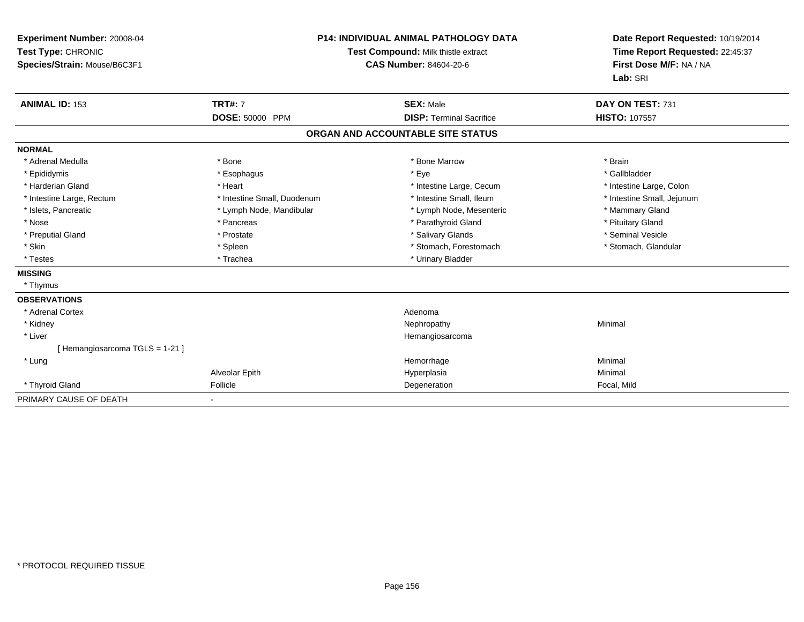| Experiment Number: 20008-04<br>Test Type: CHRONIC<br>Species/Strain: Mouse/B6C3F1 |                             | <b>P14: INDIVIDUAL ANIMAL PATHOLOGY DATA</b><br>Test Compound: Milk thistle extract<br><b>CAS Number: 84604-20-6</b> | Date Report Requested: 10/19/2014<br>Time Report Requested: 22:45:37<br>First Dose M/F: NA / NA<br>Lab: SRI |
|-----------------------------------------------------------------------------------|-----------------------------|----------------------------------------------------------------------------------------------------------------------|-------------------------------------------------------------------------------------------------------------|
| <b>ANIMAL ID: 153</b>                                                             | <b>TRT#: 7</b>              | <b>SEX: Male</b>                                                                                                     | DAY ON TEST: 731                                                                                            |
|                                                                                   | DOSE: 50000 PPM             | <b>DISP: Terminal Sacrifice</b>                                                                                      | <b>HISTO: 107557</b>                                                                                        |
|                                                                                   |                             | ORGAN AND ACCOUNTABLE SITE STATUS                                                                                    |                                                                                                             |
| <b>NORMAL</b>                                                                     |                             |                                                                                                                      |                                                                                                             |
| * Adrenal Medulla                                                                 | * Bone                      | * Bone Marrow                                                                                                        | * Brain                                                                                                     |
| * Epididymis                                                                      | * Esophagus                 | * Eye                                                                                                                | * Gallbladder                                                                                               |
| * Harderian Gland                                                                 | * Heart                     | * Intestine Large, Cecum                                                                                             | * Intestine Large, Colon                                                                                    |
| * Intestine Large, Rectum                                                         | * Intestine Small, Duodenum | * Intestine Small, Ileum                                                                                             | * Intestine Small, Jejunum                                                                                  |
| * Islets, Pancreatic                                                              | * Lymph Node, Mandibular    | * Lymph Node, Mesenteric                                                                                             | * Mammary Gland                                                                                             |
| * Nose                                                                            | * Pancreas                  | * Parathyroid Gland                                                                                                  | * Pituitary Gland                                                                                           |
| * Preputial Gland                                                                 | * Prostate                  | * Salivary Glands                                                                                                    | * Seminal Vesicle                                                                                           |
| * Skin                                                                            | * Spleen                    | * Stomach, Forestomach                                                                                               | * Stomach, Glandular                                                                                        |
| * Testes                                                                          | * Trachea                   | * Urinary Bladder                                                                                                    |                                                                                                             |
| <b>MISSING</b>                                                                    |                             |                                                                                                                      |                                                                                                             |
| * Thymus                                                                          |                             |                                                                                                                      |                                                                                                             |
| <b>OBSERVATIONS</b>                                                               |                             |                                                                                                                      |                                                                                                             |
| * Adrenal Cortex                                                                  |                             | Adenoma                                                                                                              |                                                                                                             |
| * Kidney                                                                          |                             | Nephropathy                                                                                                          | Minimal                                                                                                     |
| * Liver                                                                           |                             | Hemangiosarcoma                                                                                                      |                                                                                                             |
| [Hemangiosarcoma TGLS = 1-21]                                                     |                             |                                                                                                                      |                                                                                                             |
| * Lung                                                                            |                             | Hemorrhage                                                                                                           | Minimal                                                                                                     |
|                                                                                   | Alveolar Epith              | Hyperplasia                                                                                                          | Minimal                                                                                                     |
| * Thyroid Gland                                                                   | Follicle                    | Degeneration                                                                                                         | Focal, Mild                                                                                                 |
| PRIMARY CAUSE OF DEATH                                                            |                             |                                                                                                                      |                                                                                                             |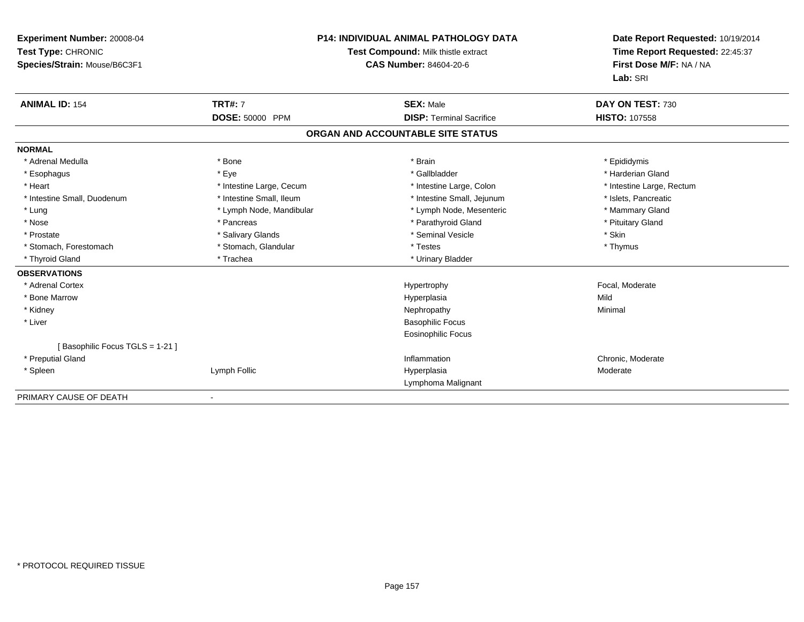| Experiment Number: 20008-04<br>Test Type: CHRONIC<br>Species/Strain: Mouse/B6C3F1<br><b>ANIMAL ID: 154</b> | <b>TRT#: 7</b>           | <b>P14: INDIVIDUAL ANIMAL PATHOLOGY DATA</b><br>Test Compound: Milk thistle extract<br><b>CAS Number: 84604-20-6</b><br><b>SEX: Male</b> | Date Report Requested: 10/19/2014<br>Time Report Requested: 22:45:37<br>First Dose M/F: NA / NA<br>Lab: SRI<br>DAY ON TEST: 730 |
|------------------------------------------------------------------------------------------------------------|--------------------------|------------------------------------------------------------------------------------------------------------------------------------------|---------------------------------------------------------------------------------------------------------------------------------|
|                                                                                                            | <b>DOSE: 50000 PPM</b>   | <b>DISP: Terminal Sacrifice</b>                                                                                                          | <b>HISTO: 107558</b>                                                                                                            |
|                                                                                                            |                          | ORGAN AND ACCOUNTABLE SITE STATUS                                                                                                        |                                                                                                                                 |
|                                                                                                            |                          |                                                                                                                                          |                                                                                                                                 |
| <b>NORMAL</b><br>* Adrenal Medulla                                                                         | * Bone                   | * Brain                                                                                                                                  | * Epididymis                                                                                                                    |
| * Esophagus                                                                                                | * Eye                    | * Gallbladder                                                                                                                            | * Harderian Gland                                                                                                               |
| * Heart                                                                                                    | * Intestine Large, Cecum | * Intestine Large, Colon                                                                                                                 | * Intestine Large, Rectum                                                                                                       |
| * Intestine Small, Duodenum                                                                                | * Intestine Small, Ileum | * Intestine Small, Jejunum                                                                                                               | * Islets. Pancreatic                                                                                                            |
| * Lung                                                                                                     | * Lymph Node, Mandibular | * Lymph Node, Mesenteric                                                                                                                 | * Mammary Gland                                                                                                                 |
| * Nose                                                                                                     | * Pancreas               | * Parathyroid Gland                                                                                                                      | * Pituitary Gland                                                                                                               |
| * Prostate                                                                                                 | * Salivary Glands        | * Seminal Vesicle                                                                                                                        | * Skin                                                                                                                          |
| * Stomach, Forestomach                                                                                     | * Stomach, Glandular     | * Testes                                                                                                                                 | * Thymus                                                                                                                        |
| * Thyroid Gland                                                                                            | * Trachea                | * Urinary Bladder                                                                                                                        |                                                                                                                                 |
| <b>OBSERVATIONS</b>                                                                                        |                          |                                                                                                                                          |                                                                                                                                 |
| * Adrenal Cortex                                                                                           |                          | Hypertrophy                                                                                                                              | Focal, Moderate                                                                                                                 |
| * Bone Marrow                                                                                              |                          | Hyperplasia                                                                                                                              | Mild                                                                                                                            |
| * Kidney                                                                                                   |                          | Nephropathy                                                                                                                              | Minimal                                                                                                                         |
| * Liver                                                                                                    |                          | <b>Basophilic Focus</b>                                                                                                                  |                                                                                                                                 |
|                                                                                                            |                          | <b>Eosinophilic Focus</b>                                                                                                                |                                                                                                                                 |
| [Basophilic Focus TGLS = 1-21]                                                                             |                          |                                                                                                                                          |                                                                                                                                 |
| * Preputial Gland                                                                                          |                          | Inflammation                                                                                                                             | Chronic, Moderate                                                                                                               |
| * Spleen                                                                                                   | Lymph Follic             | Hyperplasia                                                                                                                              | Moderate                                                                                                                        |
|                                                                                                            |                          | Lymphoma Malignant                                                                                                                       |                                                                                                                                 |
| PRIMARY CAUSE OF DEATH                                                                                     |                          |                                                                                                                                          |                                                                                                                                 |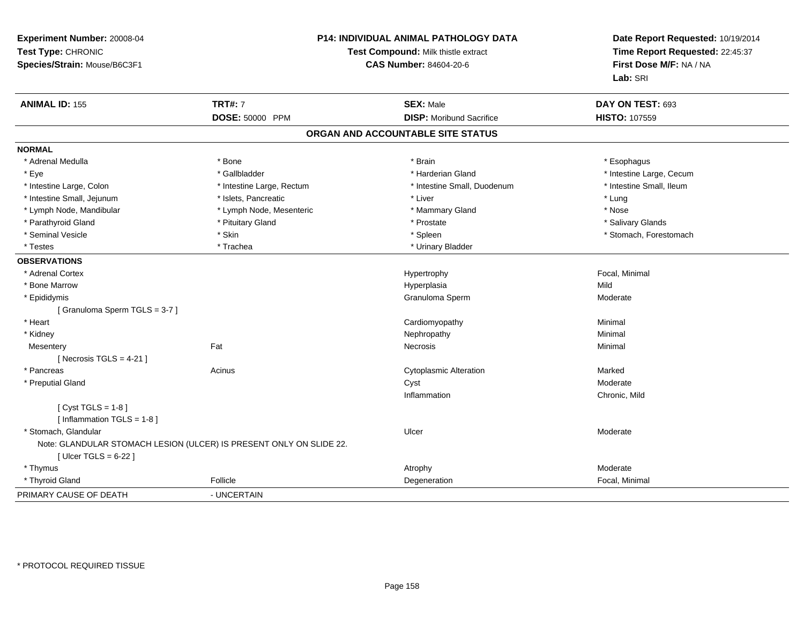| Experiment Number: 20008-04<br>Test Type: CHRONIC<br>Species/Strain: Mouse/B6C3F1 | P14: INDIVIDUAL ANIMAL PATHOLOGY DATA<br>Test Compound: Milk thistle extract<br><b>CAS Number: 84604-20-6</b> |                                   | Date Report Requested: 10/19/2014<br>Time Report Requested: 22:45:37<br>First Dose M/F: NA / NA<br>Lab: SRI |
|-----------------------------------------------------------------------------------|---------------------------------------------------------------------------------------------------------------|-----------------------------------|-------------------------------------------------------------------------------------------------------------|
| <b>ANIMAL ID: 155</b>                                                             | <b>TRT#: 7</b>                                                                                                | <b>SEX: Male</b>                  | DAY ON TEST: 693                                                                                            |
|                                                                                   | DOSE: 50000 PPM                                                                                               | <b>DISP:</b> Moribund Sacrifice   | HISTO: 107559                                                                                               |
|                                                                                   |                                                                                                               | ORGAN AND ACCOUNTABLE SITE STATUS |                                                                                                             |
| <b>NORMAL</b>                                                                     |                                                                                                               |                                   |                                                                                                             |
| * Adrenal Medulla                                                                 | * Bone                                                                                                        | * Brain                           | * Esophagus                                                                                                 |
| * Eye                                                                             | * Gallbladder                                                                                                 | * Harderian Gland                 | * Intestine Large, Cecum                                                                                    |
| * Intestine Large, Colon                                                          | * Intestine Large, Rectum                                                                                     | * Intestine Small, Duodenum       | * Intestine Small, Ileum                                                                                    |
| * Intestine Small, Jejunum                                                        | * Islets, Pancreatic                                                                                          | * Liver                           | * Lung                                                                                                      |
| * Lymph Node, Mandibular                                                          | * Lymph Node, Mesenteric                                                                                      | * Mammary Gland                   | * Nose                                                                                                      |
| * Parathyroid Gland                                                               | * Pituitary Gland                                                                                             | * Prostate                        | * Salivary Glands                                                                                           |
| * Seminal Vesicle                                                                 | * Skin                                                                                                        | * Spleen                          | * Stomach, Forestomach                                                                                      |
| * Testes                                                                          | * Trachea                                                                                                     | * Urinary Bladder                 |                                                                                                             |
| <b>OBSERVATIONS</b>                                                               |                                                                                                               |                                   |                                                                                                             |
| * Adrenal Cortex                                                                  |                                                                                                               | Hypertrophy                       | Focal, Minimal                                                                                              |
| * Bone Marrow                                                                     |                                                                                                               | Hyperplasia                       | Mild                                                                                                        |
| * Epididymis                                                                      |                                                                                                               | Granuloma Sperm                   | Moderate                                                                                                    |
| [Granuloma Sperm TGLS = 3-7]                                                      |                                                                                                               |                                   |                                                                                                             |
| * Heart                                                                           |                                                                                                               | Cardiomyopathy                    | Minimal                                                                                                     |
| * Kidney                                                                          |                                                                                                               | Nephropathy                       | Minimal                                                                                                     |
| Mesentery                                                                         | Fat                                                                                                           | Necrosis                          | Minimal                                                                                                     |
| [Necrosis TGLS = $4-21$ ]                                                         |                                                                                                               |                                   |                                                                                                             |
| * Pancreas                                                                        | Acinus                                                                                                        | <b>Cytoplasmic Alteration</b>     | Marked                                                                                                      |
| * Preputial Gland                                                                 |                                                                                                               | Cyst                              | Moderate                                                                                                    |
|                                                                                   |                                                                                                               | Inflammation                      | Chronic, Mild                                                                                               |
| [Cyst TGLS = $1-8$ ]                                                              |                                                                                                               |                                   |                                                                                                             |
| [ Inflammation TGLS = 1-8 ]                                                       |                                                                                                               |                                   |                                                                                                             |
| * Stomach, Glandular                                                              |                                                                                                               | Ulcer                             | Moderate                                                                                                    |
|                                                                                   | Note: GLANDULAR STOMACH LESION (ULCER) IS PRESENT ONLY ON SLIDE 22.                                           |                                   |                                                                                                             |
| [ Ulcer TGLS = $6-22$ ]                                                           |                                                                                                               |                                   |                                                                                                             |
| * Thymus                                                                          |                                                                                                               | Atrophy                           | Moderate                                                                                                    |
| * Thyroid Gland                                                                   | Follicle                                                                                                      | Degeneration                      | Focal, Minimal                                                                                              |
| PRIMARY CAUSE OF DEATH                                                            | - UNCERTAIN                                                                                                   |                                   |                                                                                                             |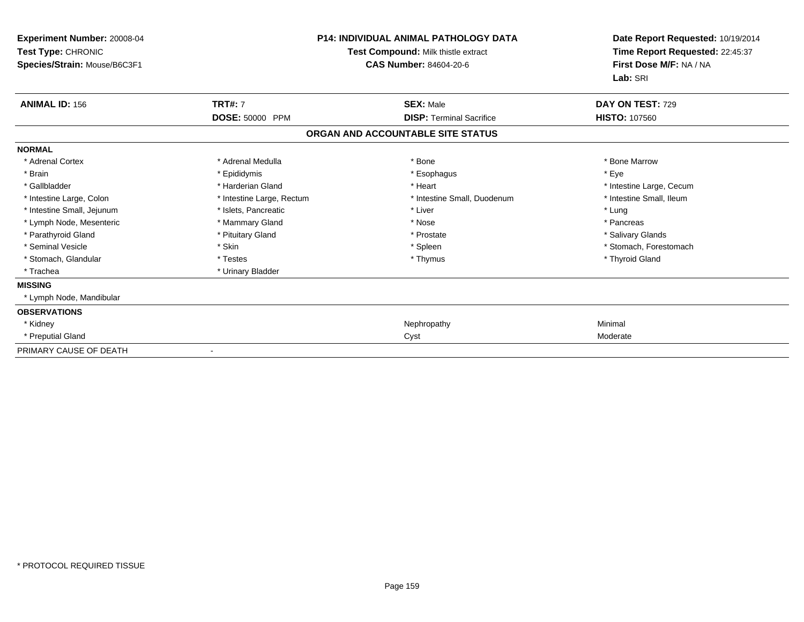| <b>Experiment Number: 20008-04</b><br>Test Type: CHRONIC<br>Species/Strain: Mouse/B6C3F1 |                           | <b>P14: INDIVIDUAL ANIMAL PATHOLOGY DATA</b><br>Test Compound: Milk thistle extract<br><b>CAS Number: 84604-20-6</b> | Date Report Requested: 10/19/2014<br>Time Report Requested: 22:45:37<br>First Dose M/F: NA / NA<br>Lab: SRI |
|------------------------------------------------------------------------------------------|---------------------------|----------------------------------------------------------------------------------------------------------------------|-------------------------------------------------------------------------------------------------------------|
| <b>ANIMAL ID: 156</b>                                                                    | <b>TRT#: 7</b>            | <b>SEX: Male</b>                                                                                                     | DAY ON TEST: 729                                                                                            |
|                                                                                          | DOSE: 50000 PPM           | <b>DISP: Terminal Sacrifice</b>                                                                                      | <b>HISTO: 107560</b>                                                                                        |
|                                                                                          |                           | ORGAN AND ACCOUNTABLE SITE STATUS                                                                                    |                                                                                                             |
| <b>NORMAL</b>                                                                            |                           |                                                                                                                      |                                                                                                             |
| * Adrenal Cortex                                                                         | * Adrenal Medulla         | * Bone                                                                                                               | * Bone Marrow                                                                                               |
| * Brain                                                                                  | * Epididymis              | * Esophagus                                                                                                          | * Eve                                                                                                       |
| * Gallbladder                                                                            | * Harderian Gland         | * Heart                                                                                                              | * Intestine Large, Cecum                                                                                    |
| * Intestine Large, Colon                                                                 | * Intestine Large, Rectum | * Intestine Small, Duodenum                                                                                          | * Intestine Small, Ileum                                                                                    |
| * Intestine Small, Jejunum                                                               | * Islets, Pancreatic      | * Liver                                                                                                              | * Lung                                                                                                      |
| * Lymph Node, Mesenteric                                                                 | * Mammary Gland           | * Nose                                                                                                               | * Pancreas                                                                                                  |
| * Parathyroid Gland                                                                      | * Pituitary Gland         | * Prostate                                                                                                           | * Salivary Glands                                                                                           |
| * Seminal Vesicle                                                                        | * Skin                    | * Spleen                                                                                                             | * Stomach, Forestomach                                                                                      |
| * Stomach, Glandular                                                                     | * Testes                  | * Thymus                                                                                                             | * Thyroid Gland                                                                                             |
| * Trachea                                                                                | * Urinary Bladder         |                                                                                                                      |                                                                                                             |
| <b>MISSING</b>                                                                           |                           |                                                                                                                      |                                                                                                             |
| * Lymph Node, Mandibular                                                                 |                           |                                                                                                                      |                                                                                                             |
| <b>OBSERVATIONS</b>                                                                      |                           |                                                                                                                      |                                                                                                             |
| * Kidney                                                                                 |                           | Nephropathy                                                                                                          | Minimal                                                                                                     |
| * Preputial Gland                                                                        |                           | Cyst                                                                                                                 | Moderate                                                                                                    |
| PRIMARY CAUSE OF DEATH                                                                   |                           |                                                                                                                      |                                                                                                             |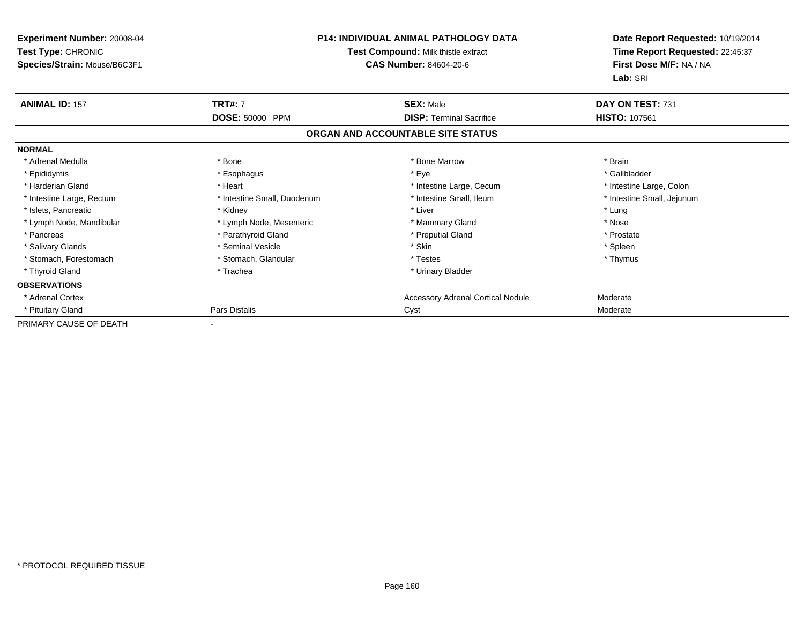| Experiment Number: 20008-04<br>Test Type: CHRONIC<br>Species/Strain: Mouse/B6C3F1 | <b>P14: INDIVIDUAL ANIMAL PATHOLOGY DATA</b><br>Test Compound: Milk thistle extract<br><b>CAS Number: 84604-20-6</b> |                                          | Date Report Requested: 10/19/2014<br>Time Report Requested: 22:45:37<br>First Dose M/F: NA / NA<br>Lab: SRI |
|-----------------------------------------------------------------------------------|----------------------------------------------------------------------------------------------------------------------|------------------------------------------|-------------------------------------------------------------------------------------------------------------|
| <b>ANIMAL ID: 157</b>                                                             | <b>TRT#: 7</b>                                                                                                       | <b>SEX: Male</b>                         | DAY ON TEST: 731                                                                                            |
|                                                                                   | DOSE: 50000 PPM                                                                                                      | <b>DISP: Terminal Sacrifice</b>          | <b>HISTO: 107561</b>                                                                                        |
|                                                                                   |                                                                                                                      | ORGAN AND ACCOUNTABLE SITE STATUS        |                                                                                                             |
| <b>NORMAL</b>                                                                     |                                                                                                                      |                                          |                                                                                                             |
| * Adrenal Medulla                                                                 | * Bone                                                                                                               | * Bone Marrow                            | * Brain                                                                                                     |
| * Epididymis                                                                      | * Esophagus                                                                                                          | * Eye                                    | * Gallbladder                                                                                               |
| * Harderian Gland                                                                 | * Heart                                                                                                              | * Intestine Large, Cecum                 | * Intestine Large, Colon                                                                                    |
| * Intestine Large, Rectum                                                         | * Intestine Small, Duodenum                                                                                          | * Intestine Small, Ileum                 | * Intestine Small, Jejunum                                                                                  |
| * Islets, Pancreatic                                                              | * Kidney                                                                                                             | * Liver                                  | * Lung                                                                                                      |
| * Lymph Node, Mandibular                                                          | * Lymph Node, Mesenteric                                                                                             | * Mammary Gland                          | * Nose                                                                                                      |
| * Pancreas                                                                        | * Parathyroid Gland                                                                                                  | * Preputial Gland                        | * Prostate                                                                                                  |
| * Salivary Glands                                                                 | * Seminal Vesicle                                                                                                    | * Skin                                   | * Spleen                                                                                                    |
| * Stomach, Forestomach                                                            | * Stomach, Glandular                                                                                                 | * Testes                                 | * Thymus                                                                                                    |
| * Thyroid Gland                                                                   | * Trachea                                                                                                            | * Urinary Bladder                        |                                                                                                             |
| <b>OBSERVATIONS</b>                                                               |                                                                                                                      |                                          |                                                                                                             |
| * Adrenal Cortex                                                                  |                                                                                                                      | <b>Accessory Adrenal Cortical Nodule</b> | Moderate                                                                                                    |
| * Pituitary Gland                                                                 | Pars Distalis                                                                                                        | Cyst                                     | Moderate                                                                                                    |
| PRIMARY CAUSE OF DEATH                                                            |                                                                                                                      |                                          |                                                                                                             |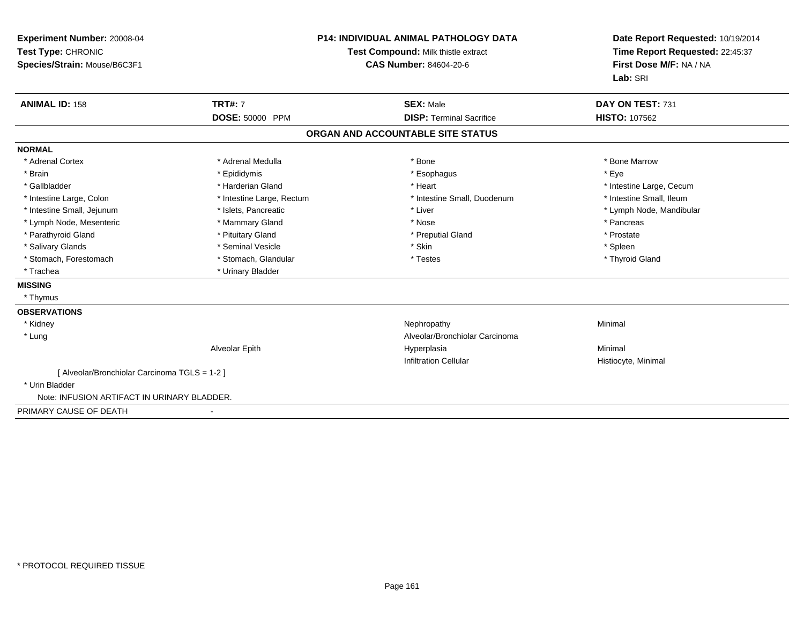| Experiment Number: 20008-04<br>Test Type: CHRONIC<br>Species/Strain: Mouse/B6C3F1<br><b>ANIMAL ID: 158</b> | <b>TRT#: 7</b>            | <b>P14: INDIVIDUAL ANIMAL PATHOLOGY DATA</b><br>Test Compound: Milk thistle extract<br><b>CAS Number: 84604-20-6</b><br><b>SEX: Male</b> | Date Report Requested: 10/19/2014<br>Time Report Requested: 22:45:37<br>First Dose M/F: NA / NA<br>Lab: SRI<br>DAY ON TEST: 731 |
|------------------------------------------------------------------------------------------------------------|---------------------------|------------------------------------------------------------------------------------------------------------------------------------------|---------------------------------------------------------------------------------------------------------------------------------|
|                                                                                                            | DOSE: 50000 PPM           | <b>DISP: Terminal Sacrifice</b>                                                                                                          | <b>HISTO: 107562</b>                                                                                                            |
|                                                                                                            |                           | ORGAN AND ACCOUNTABLE SITE STATUS                                                                                                        |                                                                                                                                 |
| <b>NORMAL</b>                                                                                              |                           |                                                                                                                                          |                                                                                                                                 |
| * Adrenal Cortex                                                                                           | * Adrenal Medulla         | * Bone                                                                                                                                   | * Bone Marrow                                                                                                                   |
| * Brain                                                                                                    | * Epididymis              | * Esophagus                                                                                                                              | * Eye                                                                                                                           |
| * Gallbladder                                                                                              | * Harderian Gland         | * Heart                                                                                                                                  | * Intestine Large, Cecum                                                                                                        |
| * Intestine Large, Colon                                                                                   | * Intestine Large, Rectum | * Intestine Small, Duodenum                                                                                                              | * Intestine Small. Ileum                                                                                                        |
| * Intestine Small, Jejunum                                                                                 | * Islets, Pancreatic      | * Liver                                                                                                                                  | * Lymph Node, Mandibular                                                                                                        |
| * Lymph Node, Mesenteric                                                                                   | * Mammary Gland           | * Nose                                                                                                                                   | * Pancreas                                                                                                                      |
| * Parathyroid Gland                                                                                        | * Pituitary Gland         | * Preputial Gland                                                                                                                        | * Prostate                                                                                                                      |
| * Salivary Glands                                                                                          | * Seminal Vesicle         | * Skin                                                                                                                                   | * Spleen                                                                                                                        |
| * Stomach, Forestomach                                                                                     | * Stomach, Glandular      | * Testes                                                                                                                                 | * Thyroid Gland                                                                                                                 |
| * Trachea                                                                                                  | * Urinary Bladder         |                                                                                                                                          |                                                                                                                                 |
| <b>MISSING</b>                                                                                             |                           |                                                                                                                                          |                                                                                                                                 |
| * Thymus                                                                                                   |                           |                                                                                                                                          |                                                                                                                                 |
| <b>OBSERVATIONS</b>                                                                                        |                           |                                                                                                                                          |                                                                                                                                 |
| * Kidney                                                                                                   |                           | Nephropathy                                                                                                                              | Minimal                                                                                                                         |
| * Lung                                                                                                     |                           | Alveolar/Bronchiolar Carcinoma                                                                                                           |                                                                                                                                 |
|                                                                                                            | Alveolar Epith            | Hyperplasia                                                                                                                              | Minimal                                                                                                                         |
|                                                                                                            |                           | <b>Infiltration Cellular</b>                                                                                                             | Histiocyte, Minimal                                                                                                             |
| [ Alveolar/Bronchiolar Carcinoma TGLS = 1-2 ]                                                              |                           |                                                                                                                                          |                                                                                                                                 |
| * Urin Bladder                                                                                             |                           |                                                                                                                                          |                                                                                                                                 |
| Note: INFUSION ARTIFACT IN URINARY BLADDER.                                                                |                           |                                                                                                                                          |                                                                                                                                 |
| PRIMARY CAUSE OF DEATH                                                                                     |                           |                                                                                                                                          |                                                                                                                                 |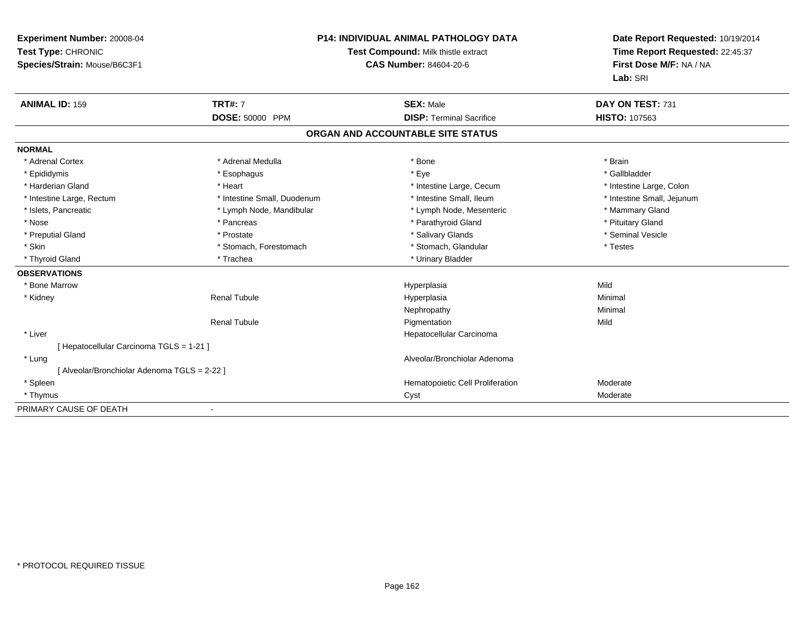| Experiment Number: 20008-04<br>Test Type: CHRONIC<br>Species/Strain: Mouse/B6C3F1 | <b>P14: INDIVIDUAL ANIMAL PATHOLOGY DATA</b><br>Test Compound: Milk thistle extract<br>CAS Number: 84604-20-6 |                                   | Date Report Requested: 10/19/2014<br>Time Report Requested: 22:45:37<br>First Dose M/F: NA / NA<br>Lab: SRI |  |
|-----------------------------------------------------------------------------------|---------------------------------------------------------------------------------------------------------------|-----------------------------------|-------------------------------------------------------------------------------------------------------------|--|
| <b>ANIMAL ID: 159</b>                                                             | <b>TRT#: 7</b>                                                                                                | <b>SEX: Male</b>                  | DAY ON TEST: 731                                                                                            |  |
|                                                                                   | DOSE: 50000 PPM                                                                                               | <b>DISP: Terminal Sacrifice</b>   | <b>HISTO: 107563</b>                                                                                        |  |
|                                                                                   |                                                                                                               | ORGAN AND ACCOUNTABLE SITE STATUS |                                                                                                             |  |
| <b>NORMAL</b>                                                                     |                                                                                                               |                                   |                                                                                                             |  |
| * Adrenal Cortex                                                                  | * Adrenal Medulla                                                                                             | * Bone                            | * Brain                                                                                                     |  |
| * Epididymis                                                                      | * Esophagus                                                                                                   | * Eye                             | * Gallbladder                                                                                               |  |
| * Harderian Gland                                                                 | * Heart                                                                                                       | * Intestine Large, Cecum          | * Intestine Large, Colon                                                                                    |  |
| * Intestine Large, Rectum                                                         | * Intestine Small, Duodenum                                                                                   | * Intestine Small, Ileum          | * Intestine Small, Jejunum                                                                                  |  |
| * Islets, Pancreatic                                                              | * Lymph Node, Mandibular                                                                                      | * Lymph Node, Mesenteric          | * Mammary Gland                                                                                             |  |
| * Nose                                                                            | * Pancreas                                                                                                    | * Parathyroid Gland               | * Pituitary Gland                                                                                           |  |
| * Preputial Gland                                                                 | * Prostate                                                                                                    | * Salivary Glands                 | * Seminal Vesicle                                                                                           |  |
| * Skin                                                                            | * Stomach, Forestomach                                                                                        | * Stomach, Glandular              | * Testes                                                                                                    |  |
| * Thyroid Gland                                                                   | * Trachea                                                                                                     | * Urinary Bladder                 |                                                                                                             |  |
| <b>OBSERVATIONS</b>                                                               |                                                                                                               |                                   |                                                                                                             |  |
| * Bone Marrow                                                                     |                                                                                                               | Hyperplasia                       | Mild                                                                                                        |  |
| * Kidney                                                                          | <b>Renal Tubule</b>                                                                                           | Hyperplasia                       | Minimal                                                                                                     |  |
|                                                                                   |                                                                                                               | Nephropathy                       | Minimal                                                                                                     |  |
|                                                                                   | <b>Renal Tubule</b>                                                                                           | Pigmentation                      | Mild                                                                                                        |  |
| * Liver                                                                           |                                                                                                               | Hepatocellular Carcinoma          |                                                                                                             |  |
| [ Hepatocellular Carcinoma TGLS = 1-21 ]                                          |                                                                                                               |                                   |                                                                                                             |  |
| * Lung                                                                            |                                                                                                               | Alveolar/Bronchiolar Adenoma      |                                                                                                             |  |
| [ Alveolar/Bronchiolar Adenoma TGLS = 2-22 ]                                      |                                                                                                               |                                   |                                                                                                             |  |
| * Spleen                                                                          |                                                                                                               | Hematopoietic Cell Proliferation  | Moderate                                                                                                    |  |
| * Thymus                                                                          |                                                                                                               | Cyst                              | Moderate                                                                                                    |  |
| PRIMARY CAUSE OF DEATH                                                            |                                                                                                               |                                   |                                                                                                             |  |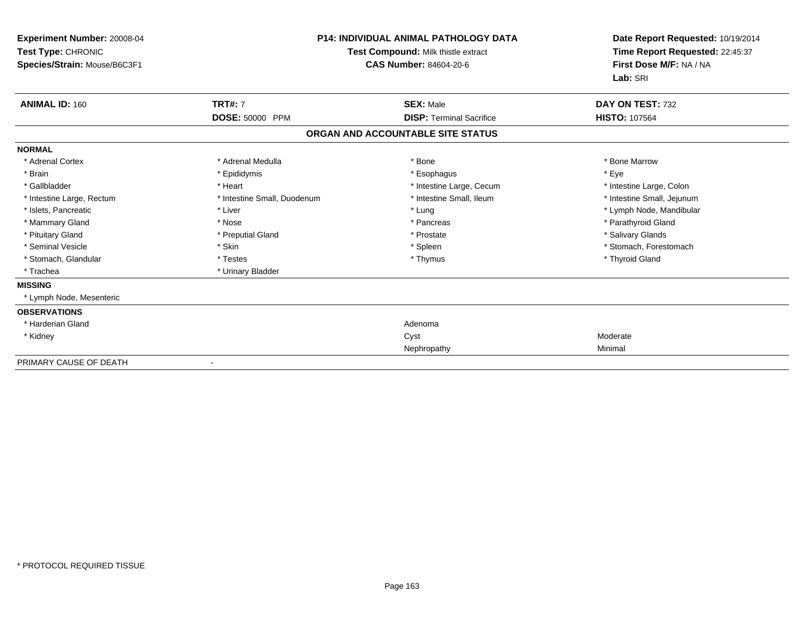| Experiment Number: 20008-04<br>Test Type: CHRONIC<br>Species/Strain: Mouse/B6C3F1 | <b>P14: INDIVIDUAL ANIMAL PATHOLOGY DATA</b><br>Test Compound: Milk thistle extract<br><b>CAS Number: 84604-20-6</b> |                                   | Date Report Requested: 10/19/2014<br>Time Report Requested: 22:45:37<br>First Dose M/F: NA / NA<br>Lab: SRI |  |
|-----------------------------------------------------------------------------------|----------------------------------------------------------------------------------------------------------------------|-----------------------------------|-------------------------------------------------------------------------------------------------------------|--|
| <b>ANIMAL ID: 160</b>                                                             | <b>TRT#: 7</b>                                                                                                       | <b>SEX: Male</b>                  | DAY ON TEST: 732                                                                                            |  |
|                                                                                   | DOSE: 50000 PPM                                                                                                      | <b>DISP: Terminal Sacrifice</b>   | <b>HISTO: 107564</b>                                                                                        |  |
|                                                                                   |                                                                                                                      | ORGAN AND ACCOUNTABLE SITE STATUS |                                                                                                             |  |
| <b>NORMAL</b>                                                                     |                                                                                                                      |                                   |                                                                                                             |  |
| * Adrenal Cortex                                                                  | * Adrenal Medulla                                                                                                    | * Bone                            | * Bone Marrow                                                                                               |  |
| * Brain                                                                           | * Epididymis                                                                                                         | * Esophagus                       | * Eye                                                                                                       |  |
| * Gallbladder                                                                     | * Heart                                                                                                              | * Intestine Large, Cecum          | * Intestine Large, Colon                                                                                    |  |
| * Intestine Large, Rectum                                                         | * Intestine Small, Duodenum                                                                                          | * Intestine Small, Ileum          | * Intestine Small, Jejunum                                                                                  |  |
| * Islets, Pancreatic                                                              | * Liver                                                                                                              | * Lung                            | * Lymph Node, Mandibular                                                                                    |  |
| * Mammary Gland                                                                   | * Nose                                                                                                               | * Pancreas                        | * Parathyroid Gland                                                                                         |  |
| * Pituitary Gland                                                                 | * Preputial Gland                                                                                                    | * Prostate                        | * Salivary Glands                                                                                           |  |
| * Seminal Vesicle                                                                 | * Skin                                                                                                               | * Spleen                          | * Stomach, Forestomach                                                                                      |  |
| * Stomach, Glandular                                                              | * Testes                                                                                                             | * Thymus                          | * Thyroid Gland                                                                                             |  |
| * Trachea                                                                         | * Urinary Bladder                                                                                                    |                                   |                                                                                                             |  |
| <b>MISSING</b>                                                                    |                                                                                                                      |                                   |                                                                                                             |  |
| * Lymph Node, Mesenteric                                                          |                                                                                                                      |                                   |                                                                                                             |  |
| <b>OBSERVATIONS</b>                                                               |                                                                                                                      |                                   |                                                                                                             |  |
| * Harderian Gland                                                                 |                                                                                                                      | Adenoma                           |                                                                                                             |  |
| * Kidney                                                                          |                                                                                                                      | Cyst                              | Moderate                                                                                                    |  |
|                                                                                   |                                                                                                                      | Nephropathy                       | Minimal                                                                                                     |  |
| PRIMARY CAUSE OF DEATH                                                            |                                                                                                                      |                                   |                                                                                                             |  |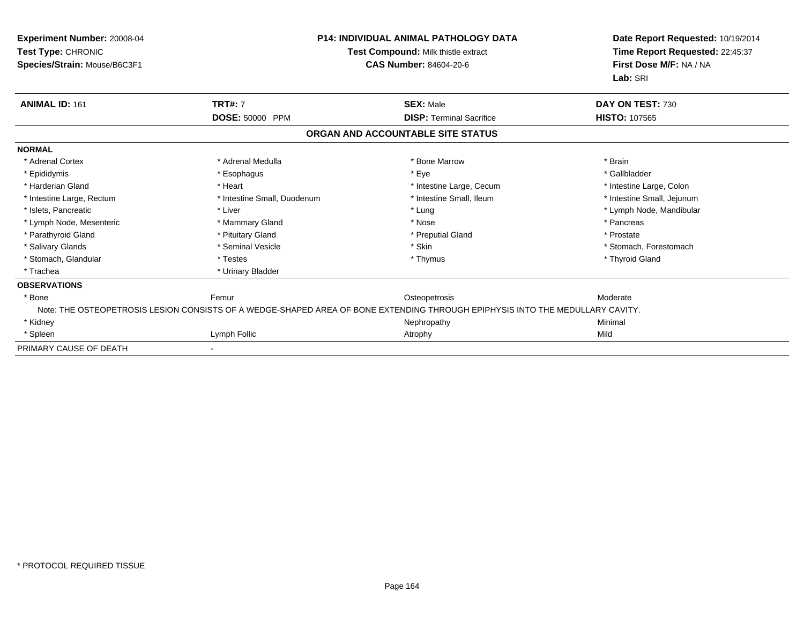| <b>Experiment Number: 20008-04</b><br>Test Type: CHRONIC<br>Species/Strain: Mouse/B6C3F1 | P14: INDIVIDUAL ANIMAL PATHOLOGY DATA<br>Test Compound: Milk thistle extract<br><b>CAS Number: 84604-20-6</b> |                                                                                                                               | Date Report Requested: 10/19/2014<br>Time Report Requested: 22:45:37<br>First Dose M/F: NA / NA<br>Lab: SRI |
|------------------------------------------------------------------------------------------|---------------------------------------------------------------------------------------------------------------|-------------------------------------------------------------------------------------------------------------------------------|-------------------------------------------------------------------------------------------------------------|
| <b>ANIMAL ID: 161</b>                                                                    | <b>TRT#: 7</b>                                                                                                | <b>SEX: Male</b>                                                                                                              | DAY ON TEST: 730                                                                                            |
|                                                                                          | DOSE: 50000 PPM                                                                                               | <b>DISP: Terminal Sacrifice</b>                                                                                               | <b>HISTO: 107565</b>                                                                                        |
|                                                                                          |                                                                                                               | ORGAN AND ACCOUNTABLE SITE STATUS                                                                                             |                                                                                                             |
| <b>NORMAL</b>                                                                            |                                                                                                               |                                                                                                                               |                                                                                                             |
| * Adrenal Cortex                                                                         | * Adrenal Medulla                                                                                             | * Bone Marrow                                                                                                                 | * Brain                                                                                                     |
| * Epididymis                                                                             | * Esophagus                                                                                                   | * Eye                                                                                                                         | * Gallbladder                                                                                               |
| * Harderian Gland                                                                        | * Heart                                                                                                       | * Intestine Large, Cecum                                                                                                      | * Intestine Large, Colon                                                                                    |
| * Intestine Large, Rectum                                                                | * Intestine Small, Duodenum                                                                                   | * Intestine Small, Ileum                                                                                                      | * Intestine Small, Jejunum                                                                                  |
| * Islets, Pancreatic                                                                     | * Liver                                                                                                       | * Lung                                                                                                                        | * Lymph Node, Mandibular                                                                                    |
| * Lymph Node, Mesenteric                                                                 | * Mammary Gland                                                                                               | * Nose                                                                                                                        | * Pancreas                                                                                                  |
| * Parathyroid Gland                                                                      | * Pituitary Gland                                                                                             | * Preputial Gland                                                                                                             | * Prostate                                                                                                  |
| * Salivary Glands                                                                        | * Seminal Vesicle                                                                                             | * Skin                                                                                                                        | * Stomach, Forestomach                                                                                      |
| * Stomach, Glandular                                                                     | * Testes                                                                                                      | * Thymus                                                                                                                      | * Thyroid Gland                                                                                             |
| * Trachea                                                                                | * Urinary Bladder                                                                                             |                                                                                                                               |                                                                                                             |
| <b>OBSERVATIONS</b>                                                                      |                                                                                                               |                                                                                                                               |                                                                                                             |
| * Bone                                                                                   | Femur                                                                                                         | Osteopetrosis                                                                                                                 | Moderate                                                                                                    |
|                                                                                          |                                                                                                               | Note: THE OSTEOPETROSIS LESION CONSISTS OF A WEDGE-SHAPED AREA OF BONE EXTENDING THROUGH EPIPHYSIS INTO THE MEDULLARY CAVITY. |                                                                                                             |
| * Kidney                                                                                 |                                                                                                               | Nephropathy                                                                                                                   | Minimal                                                                                                     |
| * Spleen                                                                                 | Lymph Follic                                                                                                  | Atrophy                                                                                                                       | Mild                                                                                                        |
| PRIMARY CAUSE OF DEATH                                                                   |                                                                                                               |                                                                                                                               |                                                                                                             |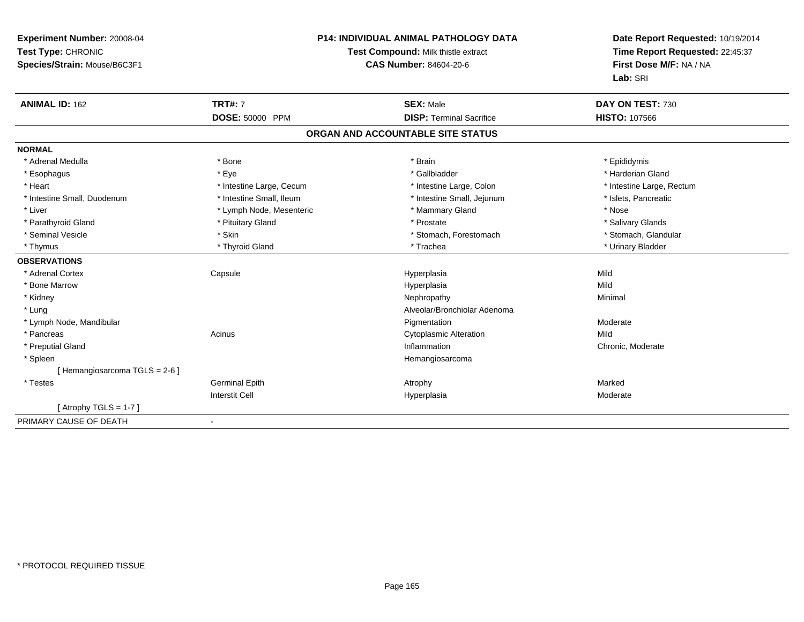| Experiment Number: 20008-04<br>Test Type: CHRONIC<br>Species/Strain: Mouse/B6C3F1 | <b>P14: INDIVIDUAL ANIMAL PATHOLOGY DATA</b><br>Test Compound: Milk thistle extract<br><b>CAS Number: 84604-20-6</b> |                                                     | Date Report Requested: 10/19/2014<br>Time Report Requested: 22:45:37<br>First Dose M/F: NA / NA<br>Lab: SRI |  |
|-----------------------------------------------------------------------------------|----------------------------------------------------------------------------------------------------------------------|-----------------------------------------------------|-------------------------------------------------------------------------------------------------------------|--|
| <b>ANIMAL ID: 162</b>                                                             | <b>TRT#: 7</b><br>DOSE: 50000 PPM                                                                                    | <b>SEX: Male</b><br><b>DISP: Terminal Sacrifice</b> | DAY ON TEST: 730<br><b>HISTO: 107566</b>                                                                    |  |
|                                                                                   |                                                                                                                      | ORGAN AND ACCOUNTABLE SITE STATUS                   |                                                                                                             |  |
| <b>NORMAL</b>                                                                     |                                                                                                                      |                                                     |                                                                                                             |  |
| * Adrenal Medulla                                                                 | * Bone                                                                                                               | * Brain                                             | * Epididymis                                                                                                |  |
| * Esophagus                                                                       | * Eye                                                                                                                | * Gallbladder                                       | * Harderian Gland                                                                                           |  |
| * Heart                                                                           | * Intestine Large, Cecum                                                                                             | * Intestine Large, Colon                            | * Intestine Large, Rectum                                                                                   |  |
| * Intestine Small, Duodenum                                                       | * Intestine Small, Ileum                                                                                             | * Intestine Small, Jejunum                          | * Islets, Pancreatic                                                                                        |  |
| * Liver                                                                           | * Lymph Node, Mesenteric                                                                                             | * Mammary Gland                                     | * Nose                                                                                                      |  |
| * Parathyroid Gland                                                               | * Pituitary Gland                                                                                                    | * Prostate                                          | * Salivary Glands                                                                                           |  |
| * Seminal Vesicle                                                                 | * Skin                                                                                                               | * Stomach, Forestomach                              | * Stomach, Glandular                                                                                        |  |
| * Thymus                                                                          | * Thyroid Gland                                                                                                      | * Trachea                                           | * Urinary Bladder                                                                                           |  |
| <b>OBSERVATIONS</b>                                                               |                                                                                                                      |                                                     |                                                                                                             |  |
| * Adrenal Cortex                                                                  | Capsule                                                                                                              | Hyperplasia                                         | Mild                                                                                                        |  |
| * Bone Marrow                                                                     |                                                                                                                      | Hyperplasia                                         | Mild                                                                                                        |  |
| * Kidney                                                                          |                                                                                                                      | Nephropathy                                         | Minimal                                                                                                     |  |
| * Lung                                                                            |                                                                                                                      | Alveolar/Bronchiolar Adenoma                        |                                                                                                             |  |
| * Lymph Node, Mandibular                                                          |                                                                                                                      | Pigmentation                                        | Moderate                                                                                                    |  |
| * Pancreas                                                                        | Acinus                                                                                                               | <b>Cytoplasmic Alteration</b>                       | Mild                                                                                                        |  |
| * Preputial Gland                                                                 |                                                                                                                      | Inflammation                                        | Chronic, Moderate                                                                                           |  |
| * Spleen                                                                          |                                                                                                                      | Hemangiosarcoma                                     |                                                                                                             |  |
| [Hemangiosarcoma TGLS = 2-6]                                                      |                                                                                                                      |                                                     |                                                                                                             |  |
| * Testes                                                                          | <b>Germinal Epith</b>                                                                                                | Atrophy                                             | Marked                                                                                                      |  |
|                                                                                   | <b>Interstit Cell</b>                                                                                                | Hyperplasia                                         | Moderate                                                                                                    |  |
| [Atrophy TGLS = $1-7$ ]                                                           |                                                                                                                      |                                                     |                                                                                                             |  |
| PRIMARY CAUSE OF DEATH                                                            |                                                                                                                      |                                                     |                                                                                                             |  |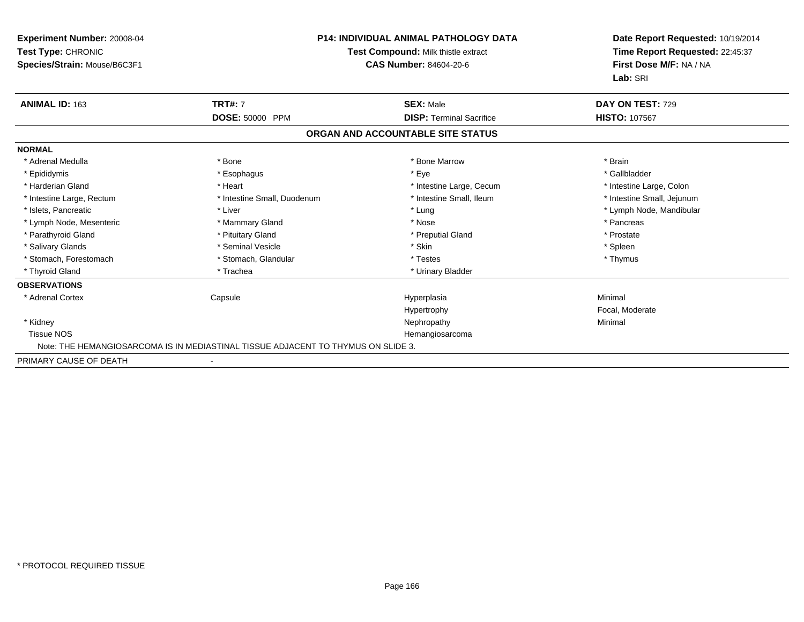| Experiment Number: 20008-04<br>Test Type: CHRONIC<br>Species/Strain: Mouse/B6C3F1 |                                                                                   | <b>P14: INDIVIDUAL ANIMAL PATHOLOGY DATA</b><br>Test Compound: Milk thistle extract<br><b>CAS Number: 84604-20-6</b> | Date Report Requested: 10/19/2014<br>Time Report Requested: 22:45:37<br>First Dose M/F: NA / NA<br>Lab: SRI |
|-----------------------------------------------------------------------------------|-----------------------------------------------------------------------------------|----------------------------------------------------------------------------------------------------------------------|-------------------------------------------------------------------------------------------------------------|
| <b>ANIMAL ID: 163</b>                                                             | <b>TRT#: 7</b>                                                                    | <b>SEX: Male</b>                                                                                                     | DAY ON TEST: 729                                                                                            |
|                                                                                   | DOSE: 50000 PPM                                                                   | <b>DISP: Terminal Sacrifice</b>                                                                                      | <b>HISTO: 107567</b>                                                                                        |
|                                                                                   |                                                                                   | ORGAN AND ACCOUNTABLE SITE STATUS                                                                                    |                                                                                                             |
| <b>NORMAL</b>                                                                     |                                                                                   |                                                                                                                      |                                                                                                             |
| * Adrenal Medulla                                                                 | * Bone                                                                            | * Bone Marrow                                                                                                        | * Brain                                                                                                     |
| * Epididymis                                                                      | * Esophagus                                                                       | * Eye                                                                                                                | * Gallbladder                                                                                               |
| * Harderian Gland                                                                 | * Heart                                                                           | * Intestine Large, Cecum                                                                                             | * Intestine Large, Colon                                                                                    |
| * Intestine Large, Rectum                                                         | * Intestine Small, Duodenum                                                       | * Intestine Small, Ileum                                                                                             | * Intestine Small, Jejunum                                                                                  |
| * Islets, Pancreatic                                                              | * Liver                                                                           | * Lung                                                                                                               | * Lymph Node, Mandibular                                                                                    |
| * Lymph Node, Mesenteric                                                          | * Mammary Gland                                                                   | * Nose                                                                                                               | * Pancreas                                                                                                  |
| * Parathyroid Gland                                                               | * Pituitary Gland                                                                 | * Preputial Gland                                                                                                    | * Prostate                                                                                                  |
| * Salivary Glands                                                                 | * Seminal Vesicle                                                                 | * Skin                                                                                                               | * Spleen                                                                                                    |
| * Stomach. Forestomach                                                            | * Stomach, Glandular                                                              | * Testes                                                                                                             | * Thymus                                                                                                    |
| * Thyroid Gland                                                                   | * Trachea                                                                         | * Urinary Bladder                                                                                                    |                                                                                                             |
| <b>OBSERVATIONS</b>                                                               |                                                                                   |                                                                                                                      |                                                                                                             |
| * Adrenal Cortex                                                                  | Capsule                                                                           | Hyperplasia                                                                                                          | Minimal                                                                                                     |
|                                                                                   |                                                                                   | Hypertrophy                                                                                                          | Focal, Moderate                                                                                             |
| * Kidney                                                                          |                                                                                   | Nephropathy                                                                                                          | Minimal                                                                                                     |
| <b>Tissue NOS</b>                                                                 |                                                                                   | Hemangiosarcoma                                                                                                      |                                                                                                             |
|                                                                                   | Note: THE HEMANGIOSARCOMA IS IN MEDIASTINAL TISSUE ADJACENT TO THYMUS ON SLIDE 3. |                                                                                                                      |                                                                                                             |
| PRIMARY CAUSE OF DEATH                                                            |                                                                                   |                                                                                                                      |                                                                                                             |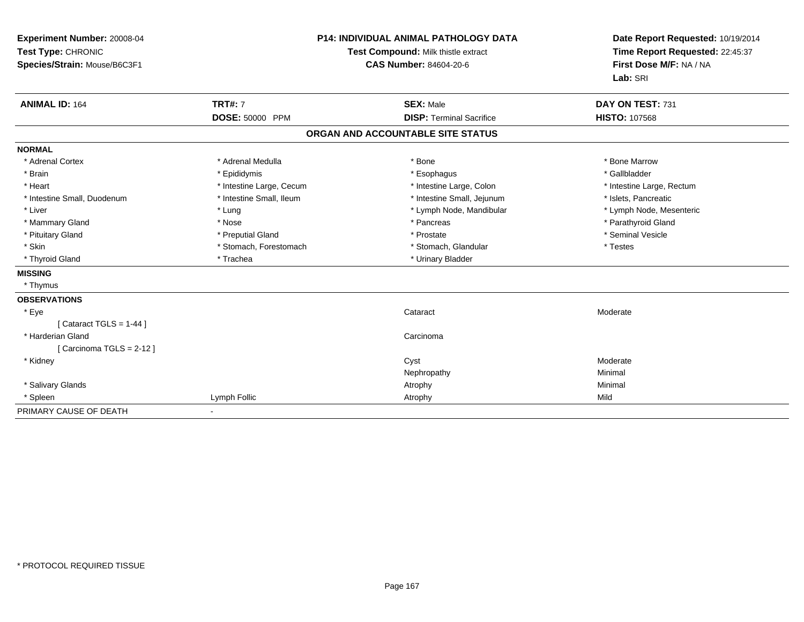| Experiment Number: 20008-04<br>Test Type: CHRONIC<br>Species/Strain: Mouse/B6C3F1 |                                   | <b>P14: INDIVIDUAL ANIMAL PATHOLOGY DATA</b><br>Test Compound: Milk thistle extract<br><b>CAS Number: 84604-20-6</b> | Date Report Requested: 10/19/2014<br>Time Report Requested: 22:45:37<br>First Dose M/F: NA / NA<br>Lab: SRI |
|-----------------------------------------------------------------------------------|-----------------------------------|----------------------------------------------------------------------------------------------------------------------|-------------------------------------------------------------------------------------------------------------|
| <b>ANIMAL ID: 164</b>                                                             | <b>TRT#: 7</b><br>DOSE: 50000 PPM | <b>SEX: Male</b><br><b>DISP: Terminal Sacrifice</b>                                                                  | DAY ON TEST: 731<br><b>HISTO: 107568</b>                                                                    |
|                                                                                   |                                   | ORGAN AND ACCOUNTABLE SITE STATUS                                                                                    |                                                                                                             |
| <b>NORMAL</b>                                                                     |                                   |                                                                                                                      |                                                                                                             |
| * Adrenal Cortex                                                                  | * Adrenal Medulla                 | * Bone                                                                                                               | * Bone Marrow                                                                                               |
| * Brain                                                                           | * Epididymis                      | * Esophagus                                                                                                          | * Gallbladder                                                                                               |
| * Heart                                                                           | * Intestine Large, Cecum          | * Intestine Large, Colon                                                                                             | * Intestine Large, Rectum                                                                                   |
| * Intestine Small, Duodenum                                                       | * Intestine Small, Ileum          | * Intestine Small, Jejunum                                                                                           | * Islets, Pancreatic                                                                                        |
| * Liver                                                                           | * Lung                            | * Lymph Node, Mandibular                                                                                             | * Lymph Node, Mesenteric                                                                                    |
| * Mammary Gland                                                                   | * Nose                            | * Pancreas                                                                                                           | * Parathyroid Gland                                                                                         |
| * Pituitary Gland                                                                 | * Preputial Gland                 | * Prostate                                                                                                           | * Seminal Vesicle                                                                                           |
| * Skin                                                                            | * Stomach, Forestomach            | * Stomach, Glandular                                                                                                 | * Testes                                                                                                    |
| * Thyroid Gland                                                                   | * Trachea                         | * Urinary Bladder                                                                                                    |                                                                                                             |
| <b>MISSING</b>                                                                    |                                   |                                                                                                                      |                                                                                                             |
| * Thymus                                                                          |                                   |                                                                                                                      |                                                                                                             |
| <b>OBSERVATIONS</b>                                                               |                                   |                                                                                                                      |                                                                                                             |
| * Eye                                                                             |                                   | Cataract                                                                                                             | Moderate                                                                                                    |
| [Cataract TGLS = $1-44$ ]                                                         |                                   |                                                                                                                      |                                                                                                             |
| * Harderian Gland                                                                 |                                   | Carcinoma                                                                                                            |                                                                                                             |
| [Carcinoma TGLS = 2-12]                                                           |                                   |                                                                                                                      |                                                                                                             |
| * Kidney                                                                          |                                   | Cyst                                                                                                                 | Moderate                                                                                                    |
|                                                                                   |                                   | Nephropathy                                                                                                          | Minimal                                                                                                     |
| * Salivary Glands                                                                 |                                   | Atrophy                                                                                                              | Minimal                                                                                                     |
| * Spleen                                                                          | Lymph Follic                      | Atrophy                                                                                                              | Mild                                                                                                        |
| PRIMARY CAUSE OF DEATH                                                            |                                   |                                                                                                                      |                                                                                                             |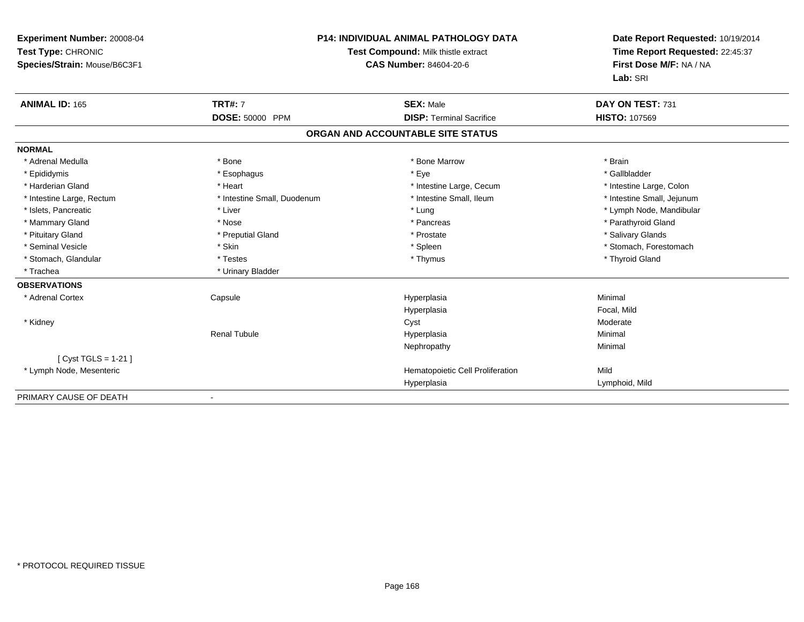| Experiment Number: 20008-04<br>Test Type: CHRONIC<br>Species/Strain: Mouse/B6C3F1<br><b>ANIMAL ID: 165</b> | <b>TRT#: 7</b>              | <b>P14: INDIVIDUAL ANIMAL PATHOLOGY DATA</b><br>Test Compound: Milk thistle extract<br><b>CAS Number: 84604-20-6</b><br><b>SEX: Male</b> | Date Report Requested: 10/19/2014<br>Time Report Requested: 22:45:37<br>First Dose M/F: NA / NA<br>Lab: SRI<br>DAY ON TEST: 731 |
|------------------------------------------------------------------------------------------------------------|-----------------------------|------------------------------------------------------------------------------------------------------------------------------------------|---------------------------------------------------------------------------------------------------------------------------------|
|                                                                                                            | <b>DOSE: 50000 PPM</b>      | <b>DISP: Terminal Sacrifice</b>                                                                                                          | <b>HISTO: 107569</b>                                                                                                            |
|                                                                                                            |                             | ORGAN AND ACCOUNTABLE SITE STATUS                                                                                                        |                                                                                                                                 |
| <b>NORMAL</b>                                                                                              |                             |                                                                                                                                          |                                                                                                                                 |
| * Adrenal Medulla                                                                                          | * Bone                      | * Bone Marrow                                                                                                                            | * Brain                                                                                                                         |
| * Epididymis                                                                                               | * Esophagus                 | * Eye                                                                                                                                    | * Gallbladder                                                                                                                   |
| * Harderian Gland                                                                                          | * Heart                     | * Intestine Large, Cecum                                                                                                                 | * Intestine Large, Colon                                                                                                        |
| * Intestine Large, Rectum                                                                                  | * Intestine Small, Duodenum | * Intestine Small, Ileum                                                                                                                 | * Intestine Small, Jejunum                                                                                                      |
| * Islets, Pancreatic                                                                                       | * Liver                     | * Lung                                                                                                                                   | * Lymph Node, Mandibular                                                                                                        |
| * Mammary Gland                                                                                            | * Nose                      | * Pancreas                                                                                                                               | * Parathyroid Gland                                                                                                             |
| * Pituitary Gland                                                                                          | * Preputial Gland           | * Prostate                                                                                                                               | * Salivary Glands                                                                                                               |
| * Seminal Vesicle                                                                                          | * Skin                      | * Spleen                                                                                                                                 | * Stomach, Forestomach                                                                                                          |
| * Stomach, Glandular                                                                                       | * Testes                    | * Thymus                                                                                                                                 | * Thyroid Gland                                                                                                                 |
| * Trachea                                                                                                  | * Urinary Bladder           |                                                                                                                                          |                                                                                                                                 |
| <b>OBSERVATIONS</b>                                                                                        |                             |                                                                                                                                          |                                                                                                                                 |
| * Adrenal Cortex                                                                                           | Capsule                     | Hyperplasia                                                                                                                              | Minimal                                                                                                                         |
|                                                                                                            |                             | Hyperplasia                                                                                                                              | Focal, Mild                                                                                                                     |
| * Kidney                                                                                                   |                             | Cyst                                                                                                                                     | Moderate                                                                                                                        |
|                                                                                                            | <b>Renal Tubule</b>         | Hyperplasia                                                                                                                              | Minimal                                                                                                                         |
|                                                                                                            |                             | Nephropathy                                                                                                                              | Minimal                                                                                                                         |
| [ $Cyst TGLS = 1-21$ ]                                                                                     |                             |                                                                                                                                          |                                                                                                                                 |
| * Lymph Node, Mesenteric                                                                                   |                             | Hematopoietic Cell Proliferation                                                                                                         | Mild                                                                                                                            |
|                                                                                                            |                             | Hyperplasia                                                                                                                              | Lymphoid, Mild                                                                                                                  |
| PRIMARY CAUSE OF DEATH                                                                                     |                             |                                                                                                                                          |                                                                                                                                 |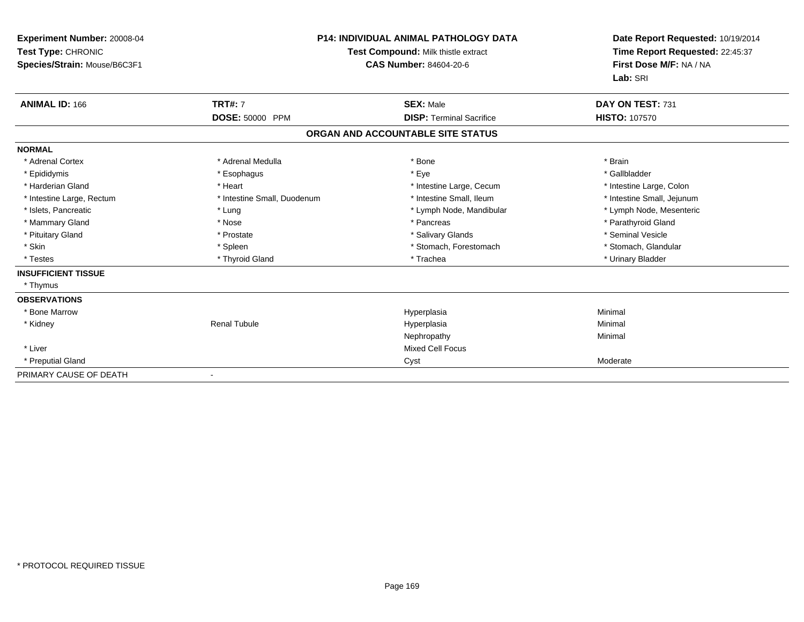| <b>Experiment Number: 20008-04</b><br>Test Type: CHRONIC<br>Species/Strain: Mouse/B6C3F1 | <b>P14: INDIVIDUAL ANIMAL PATHOLOGY DATA</b><br><b>Test Compound: Milk thistle extract</b><br><b>CAS Number: 84604-20-6</b> |                                   | Date Report Requested: 10/19/2014<br>Time Report Requested: 22:45:37<br>First Dose M/F: NA / NA<br>Lab: SRI |
|------------------------------------------------------------------------------------------|-----------------------------------------------------------------------------------------------------------------------------|-----------------------------------|-------------------------------------------------------------------------------------------------------------|
| <b>ANIMAL ID: 166</b>                                                                    | <b>TRT#: 7</b>                                                                                                              | <b>SEX: Male</b>                  | DAY ON TEST: 731                                                                                            |
|                                                                                          | DOSE: 50000 PPM                                                                                                             | <b>DISP: Terminal Sacrifice</b>   | <b>HISTO: 107570</b>                                                                                        |
|                                                                                          |                                                                                                                             | ORGAN AND ACCOUNTABLE SITE STATUS |                                                                                                             |
| <b>NORMAL</b>                                                                            |                                                                                                                             |                                   |                                                                                                             |
| * Adrenal Cortex                                                                         | * Adrenal Medulla                                                                                                           | * Bone                            | * Brain                                                                                                     |
| * Epididymis                                                                             | * Esophagus                                                                                                                 | * Eye                             | * Gallbladder                                                                                               |
| * Harderian Gland                                                                        | * Heart                                                                                                                     | * Intestine Large, Cecum          | * Intestine Large, Colon                                                                                    |
| * Intestine Large, Rectum                                                                | * Intestine Small, Duodenum                                                                                                 | * Intestine Small, Ileum          | * Intestine Small, Jejunum                                                                                  |
| * Islets, Pancreatic                                                                     | * Lung                                                                                                                      | * Lymph Node, Mandibular          | * Lymph Node, Mesenteric                                                                                    |
| * Mammary Gland                                                                          | * Nose                                                                                                                      | * Pancreas                        | * Parathyroid Gland                                                                                         |
| * Pituitary Gland                                                                        | * Prostate                                                                                                                  | * Salivary Glands                 | * Seminal Vesicle                                                                                           |
| * Skin                                                                                   | * Spleen                                                                                                                    | * Stomach, Forestomach            | * Stomach, Glandular                                                                                        |
| * Testes                                                                                 | * Thyroid Gland                                                                                                             | * Trachea                         | * Urinary Bladder                                                                                           |
| <b>INSUFFICIENT TISSUE</b>                                                               |                                                                                                                             |                                   |                                                                                                             |
| * Thymus                                                                                 |                                                                                                                             |                                   |                                                                                                             |
| <b>OBSERVATIONS</b>                                                                      |                                                                                                                             |                                   |                                                                                                             |
| * Bone Marrow                                                                            |                                                                                                                             | Hyperplasia                       | Minimal                                                                                                     |
| * Kidney                                                                                 | <b>Renal Tubule</b>                                                                                                         | Hyperplasia                       | Minimal                                                                                                     |
|                                                                                          |                                                                                                                             | Nephropathy                       | Minimal                                                                                                     |
| * Liver                                                                                  |                                                                                                                             | <b>Mixed Cell Focus</b>           |                                                                                                             |
| * Preputial Gland                                                                        |                                                                                                                             | Cyst                              | Moderate                                                                                                    |
| PRIMARY CAUSE OF DEATH                                                                   |                                                                                                                             |                                   |                                                                                                             |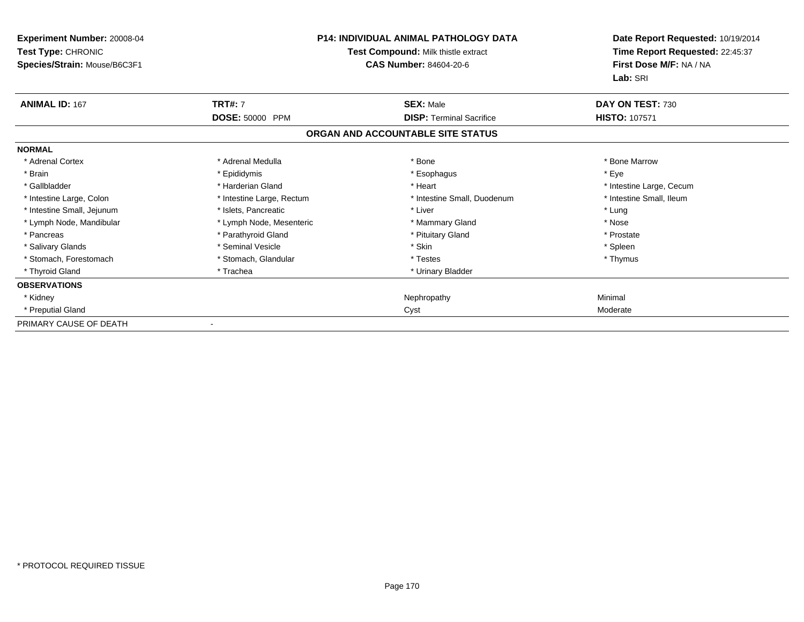| <b>Experiment Number: 20008-04</b><br>Test Type: CHRONIC<br>Species/Strain: Mouse/B6C3F1 | P14: INDIVIDUAL ANIMAL PATHOLOGY DATA<br>Test Compound: Milk thistle extract<br><b>CAS Number: 84604-20-6</b> |                                   | Date Report Requested: 10/19/2014<br>Time Report Requested: 22:45:37<br>First Dose M/F: NA / NA<br>Lab: SRI |
|------------------------------------------------------------------------------------------|---------------------------------------------------------------------------------------------------------------|-----------------------------------|-------------------------------------------------------------------------------------------------------------|
| <b>ANIMAL ID: 167</b>                                                                    | <b>TRT#: 7</b>                                                                                                | <b>SEX: Male</b>                  | DAY ON TEST: 730                                                                                            |
|                                                                                          | DOSE: 50000 PPM                                                                                               | <b>DISP:</b> Terminal Sacrifice   | <b>HISTO: 107571</b>                                                                                        |
|                                                                                          |                                                                                                               | ORGAN AND ACCOUNTABLE SITE STATUS |                                                                                                             |
| <b>NORMAL</b>                                                                            |                                                                                                               |                                   |                                                                                                             |
| * Adrenal Cortex                                                                         | * Adrenal Medulla                                                                                             | * Bone                            | * Bone Marrow                                                                                               |
| * Brain                                                                                  | * Epididymis                                                                                                  | * Esophagus                       | * Eye                                                                                                       |
| * Gallbladder                                                                            | * Harderian Gland                                                                                             | * Heart                           | * Intestine Large, Cecum                                                                                    |
| * Intestine Large, Colon                                                                 | * Intestine Large, Rectum                                                                                     | * Intestine Small, Duodenum       | * Intestine Small, Ileum                                                                                    |
| * Intestine Small, Jejunum                                                               | * Islets, Pancreatic                                                                                          | * Liver                           | * Lung                                                                                                      |
| * Lymph Node, Mandibular                                                                 | * Lymph Node, Mesenteric                                                                                      | * Mammary Gland                   | * Nose                                                                                                      |
| * Pancreas                                                                               | * Parathyroid Gland                                                                                           | * Pituitary Gland                 | * Prostate                                                                                                  |
| * Salivary Glands                                                                        | * Seminal Vesicle                                                                                             | * Skin                            | * Spleen                                                                                                    |
| * Stomach, Forestomach                                                                   | * Stomach, Glandular                                                                                          | * Testes                          | * Thymus                                                                                                    |
| * Thyroid Gland                                                                          | * Trachea                                                                                                     | * Urinary Bladder                 |                                                                                                             |
| <b>OBSERVATIONS</b>                                                                      |                                                                                                               |                                   |                                                                                                             |
| * Kidney                                                                                 |                                                                                                               | Nephropathy                       | Minimal                                                                                                     |
| * Preputial Gland                                                                        |                                                                                                               | Cyst                              | Moderate                                                                                                    |
| PRIMARY CAUSE OF DEATH                                                                   |                                                                                                               |                                   |                                                                                                             |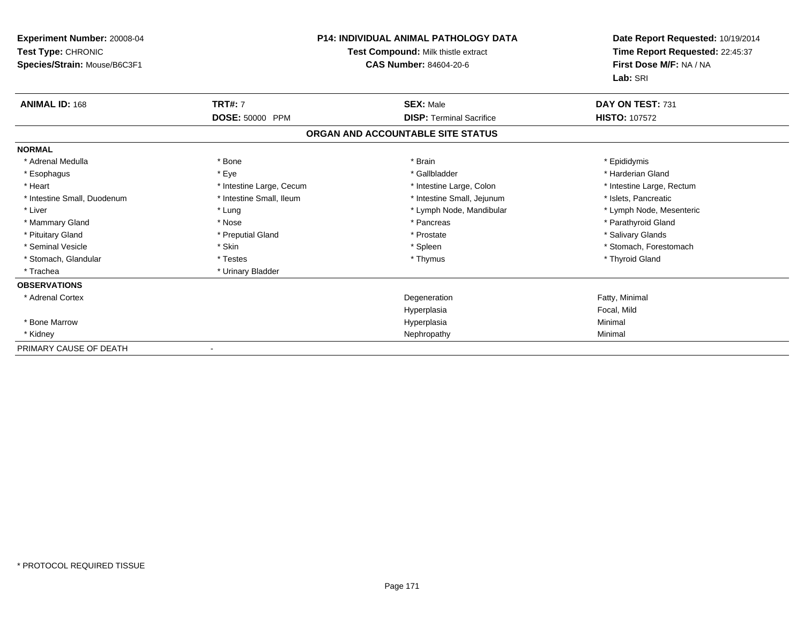| Experiment Number: 20008-04<br>Test Type: CHRONIC<br>Species/Strain: Mouse/B6C3F1 |                          | P14: INDIVIDUAL ANIMAL PATHOLOGY DATA<br>Test Compound: Milk thistle extract<br>CAS Number: 84604-20-6 | Date Report Requested: 10/19/2014<br>Time Report Requested: 22:45:37<br>First Dose M/F: NA / NA<br>Lab: SRI |
|-----------------------------------------------------------------------------------|--------------------------|--------------------------------------------------------------------------------------------------------|-------------------------------------------------------------------------------------------------------------|
| <b>ANIMAL ID: 168</b>                                                             | <b>TRT#: 7</b>           | <b>SEX: Male</b>                                                                                       | DAY ON TEST: 731                                                                                            |
|                                                                                   | DOSE: 50000 PPM          | <b>DISP: Terminal Sacrifice</b>                                                                        | <b>HISTO: 107572</b>                                                                                        |
|                                                                                   |                          | ORGAN AND ACCOUNTABLE SITE STATUS                                                                      |                                                                                                             |
| <b>NORMAL</b>                                                                     |                          |                                                                                                        |                                                                                                             |
| * Adrenal Medulla                                                                 | * Bone                   | * Brain                                                                                                | * Epididymis                                                                                                |
| * Esophagus                                                                       | * Eye                    | * Gallbladder                                                                                          | * Harderian Gland                                                                                           |
| * Heart                                                                           | * Intestine Large, Cecum | * Intestine Large, Colon                                                                               | * Intestine Large, Rectum                                                                                   |
| * Intestine Small, Duodenum                                                       | * Intestine Small, Ileum | * Intestine Small, Jejunum                                                                             | * Islets, Pancreatic                                                                                        |
| * Liver                                                                           | * Lung                   | * Lymph Node, Mandibular                                                                               | * Lymph Node, Mesenteric                                                                                    |
| * Mammary Gland                                                                   | * Nose                   | * Pancreas                                                                                             | * Parathyroid Gland                                                                                         |
| * Pituitary Gland                                                                 | * Preputial Gland        | * Prostate                                                                                             | * Salivary Glands                                                                                           |
| * Seminal Vesicle                                                                 | * Skin                   | * Spleen                                                                                               | * Stomach, Forestomach                                                                                      |
| * Stomach, Glandular                                                              | * Testes                 | * Thymus                                                                                               | * Thyroid Gland                                                                                             |
| * Trachea                                                                         | * Urinary Bladder        |                                                                                                        |                                                                                                             |
| <b>OBSERVATIONS</b>                                                               |                          |                                                                                                        |                                                                                                             |
| * Adrenal Cortex                                                                  |                          | Degeneration                                                                                           | Fatty, Minimal                                                                                              |
|                                                                                   |                          | Hyperplasia                                                                                            | Focal, Mild                                                                                                 |
| * Bone Marrow                                                                     |                          | Hyperplasia                                                                                            | Minimal                                                                                                     |
| * Kidney                                                                          |                          | Nephropathy                                                                                            | Minimal                                                                                                     |
| PRIMARY CAUSE OF DEATH                                                            | $\overline{\phantom{a}}$ |                                                                                                        |                                                                                                             |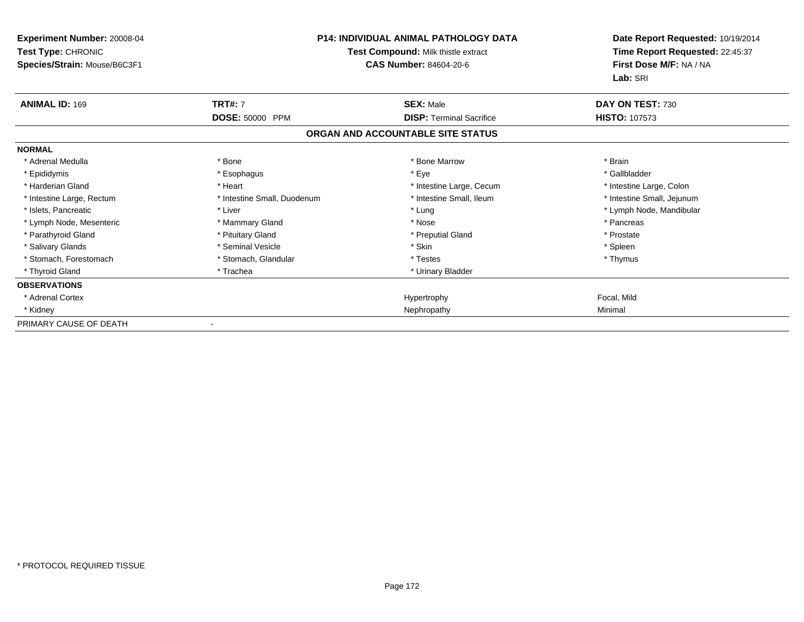| Experiment Number: 20008-04<br>Test Type: CHRONIC<br>Species/Strain: Mouse/B6C3F1 | <b>P14: INDIVIDUAL ANIMAL PATHOLOGY DATA</b><br>Test Compound: Milk thistle extract<br><b>CAS Number: 84604-20-6</b> |                                   | Date Report Requested: 10/19/2014<br>Time Report Requested: 22:45:37<br>First Dose M/F: NA / NA<br>Lab: SRI |
|-----------------------------------------------------------------------------------|----------------------------------------------------------------------------------------------------------------------|-----------------------------------|-------------------------------------------------------------------------------------------------------------|
| <b>ANIMAL ID: 169</b>                                                             | <b>TRT#: 7</b>                                                                                                       | <b>SEX: Male</b>                  | DAY ON TEST: 730                                                                                            |
|                                                                                   | DOSE: 50000 PPM                                                                                                      | <b>DISP: Terminal Sacrifice</b>   | <b>HISTO: 107573</b>                                                                                        |
|                                                                                   |                                                                                                                      | ORGAN AND ACCOUNTABLE SITE STATUS |                                                                                                             |
| <b>NORMAL</b>                                                                     |                                                                                                                      |                                   |                                                                                                             |
| * Adrenal Medulla                                                                 | * Bone                                                                                                               | * Bone Marrow                     | * Brain                                                                                                     |
| * Epididymis                                                                      | * Esophagus                                                                                                          | * Eye                             | * Gallbladder                                                                                               |
| * Harderian Gland                                                                 | * Heart                                                                                                              | * Intestine Large, Cecum          | * Intestine Large, Colon                                                                                    |
| * Intestine Large, Rectum                                                         | * Intestine Small, Duodenum                                                                                          | * Intestine Small, Ileum          | * Intestine Small, Jejunum                                                                                  |
| * Islets, Pancreatic                                                              | * Liver                                                                                                              | * Lung                            | * Lymph Node, Mandibular                                                                                    |
| * Lymph Node, Mesenteric                                                          | * Mammary Gland                                                                                                      | * Nose                            | * Pancreas                                                                                                  |
| * Parathyroid Gland                                                               | * Pituitary Gland                                                                                                    | * Preputial Gland                 | * Prostate                                                                                                  |
| * Salivary Glands                                                                 | * Seminal Vesicle                                                                                                    | * Skin                            | * Spleen                                                                                                    |
| * Stomach. Forestomach                                                            | * Stomach, Glandular                                                                                                 | * Testes                          | * Thymus                                                                                                    |
| * Thyroid Gland                                                                   | * Trachea                                                                                                            | * Urinary Bladder                 |                                                                                                             |
| <b>OBSERVATIONS</b>                                                               |                                                                                                                      |                                   |                                                                                                             |
| * Adrenal Cortex                                                                  |                                                                                                                      | Hypertrophy                       | Focal, Mild                                                                                                 |
| * Kidney                                                                          |                                                                                                                      | Nephropathy                       | Minimal                                                                                                     |
| PRIMARY CAUSE OF DEATH                                                            |                                                                                                                      |                                   |                                                                                                             |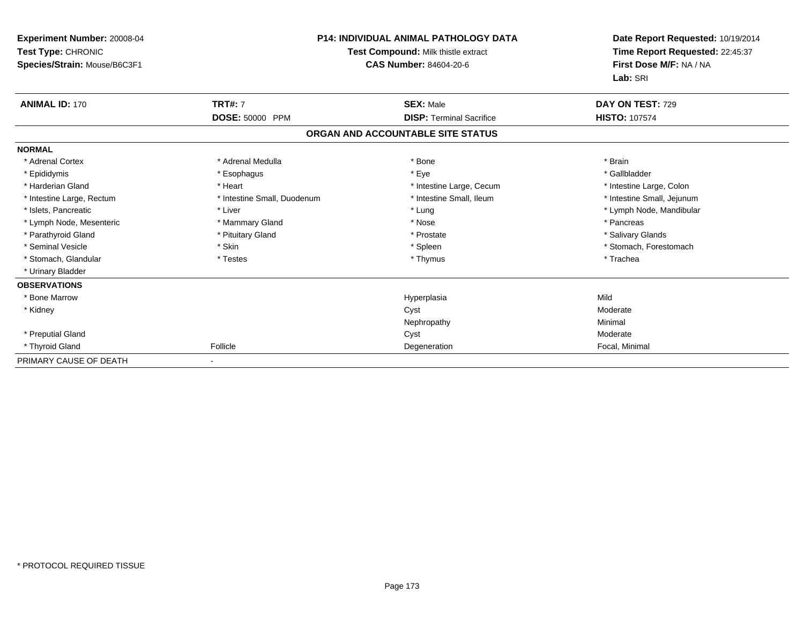| Experiment Number: 20008-04<br>Test Type: CHRONIC<br>Species/Strain: Mouse/B6C3F1 |                             | <b>P14: INDIVIDUAL ANIMAL PATHOLOGY DATA</b><br>Test Compound: Milk thistle extract<br>CAS Number: 84604-20-6 |                            |
|-----------------------------------------------------------------------------------|-----------------------------|---------------------------------------------------------------------------------------------------------------|----------------------------|
| <b>ANIMAL ID: 170</b>                                                             | <b>TRT#: 7</b>              | <b>SEX: Male</b>                                                                                              | DAY ON TEST: 729           |
|                                                                                   | <b>DOSE: 50000 PPM</b>      | <b>DISP: Terminal Sacrifice</b>                                                                               | <b>HISTO: 107574</b>       |
|                                                                                   |                             | ORGAN AND ACCOUNTABLE SITE STATUS                                                                             |                            |
| <b>NORMAL</b>                                                                     |                             |                                                                                                               |                            |
| * Adrenal Cortex                                                                  | * Adrenal Medulla           | * Bone                                                                                                        | * Brain                    |
| * Epididymis                                                                      | * Esophagus                 | * Eye                                                                                                         | * Gallbladder              |
| * Harderian Gland                                                                 | * Heart                     | * Intestine Large, Cecum                                                                                      | * Intestine Large, Colon   |
| * Intestine Large, Rectum                                                         | * Intestine Small, Duodenum | * Intestine Small, Ileum                                                                                      | * Intestine Small, Jejunum |
| * Islets, Pancreatic                                                              | * Liver                     | * Lung                                                                                                        | * Lymph Node, Mandibular   |
| * Lymph Node, Mesenteric                                                          | * Mammary Gland             | * Nose                                                                                                        | * Pancreas                 |
| * Parathyroid Gland                                                               | * Pituitary Gland           | * Prostate                                                                                                    | * Salivary Glands          |
| * Seminal Vesicle                                                                 | * Skin                      | * Spleen                                                                                                      | * Stomach. Forestomach     |
| * Stomach, Glandular                                                              | * Testes                    | * Thymus                                                                                                      | * Trachea                  |
| * Urinary Bladder                                                                 |                             |                                                                                                               |                            |
| <b>OBSERVATIONS</b>                                                               |                             |                                                                                                               |                            |
| * Bone Marrow                                                                     |                             | Hyperplasia                                                                                                   | Mild                       |
| * Kidney                                                                          |                             | Cyst                                                                                                          | Moderate                   |
|                                                                                   |                             | Nephropathy                                                                                                   | Minimal                    |
| * Preputial Gland                                                                 |                             | Cyst                                                                                                          | Moderate                   |
| * Thyroid Gland                                                                   | Follicle                    | Degeneration                                                                                                  | Focal, Minimal             |
| PRIMARY CAUSE OF DEATH                                                            |                             |                                                                                                               |                            |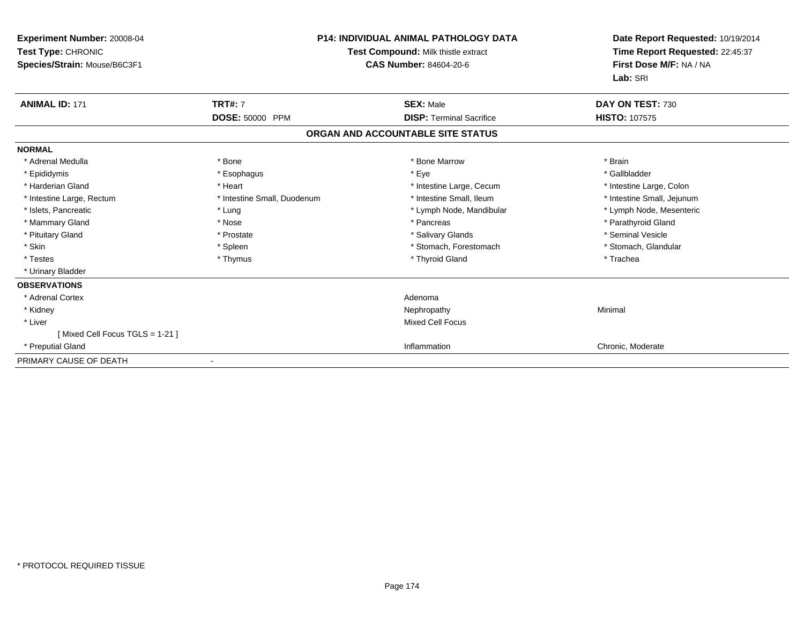| Experiment Number: 20008-04<br>Test Type: CHRONIC<br>Species/Strain: Mouse/B6C3F1 | <b>P14: INDIVIDUAL ANIMAL PATHOLOGY DATA</b><br>Test Compound: Milk thistle extract<br><b>CAS Number: 84604-20-6</b> |                                   | Date Report Requested: 10/19/2014<br>Time Report Requested: 22:45:37<br>First Dose M/F: NA / NA<br>Lab: SRI |
|-----------------------------------------------------------------------------------|----------------------------------------------------------------------------------------------------------------------|-----------------------------------|-------------------------------------------------------------------------------------------------------------|
| <b>ANIMAL ID: 171</b>                                                             | <b>TRT#: 7</b>                                                                                                       | <b>SEX: Male</b>                  | DAY ON TEST: 730                                                                                            |
|                                                                                   | <b>DOSE: 50000 PPM</b>                                                                                               | <b>DISP: Terminal Sacrifice</b>   | <b>HISTO: 107575</b>                                                                                        |
|                                                                                   |                                                                                                                      | ORGAN AND ACCOUNTABLE SITE STATUS |                                                                                                             |
| <b>NORMAL</b>                                                                     |                                                                                                                      |                                   |                                                                                                             |
| * Adrenal Medulla                                                                 | * Bone                                                                                                               | * Bone Marrow                     | * Brain                                                                                                     |
| * Epididymis                                                                      | * Esophagus                                                                                                          | * Eye                             | * Gallbladder                                                                                               |
| * Harderian Gland                                                                 | * Heart                                                                                                              | * Intestine Large, Cecum          | * Intestine Large, Colon                                                                                    |
| * Intestine Large, Rectum                                                         | * Intestine Small, Duodenum                                                                                          | * Intestine Small, Ileum          | * Intestine Small, Jejunum                                                                                  |
| * Islets, Pancreatic                                                              | * Lung                                                                                                               | * Lymph Node, Mandibular          | * Lymph Node, Mesenteric                                                                                    |
| * Mammary Gland                                                                   | * Nose                                                                                                               | * Pancreas                        | * Parathyroid Gland                                                                                         |
| * Pituitary Gland                                                                 | * Prostate                                                                                                           | * Salivary Glands                 | * Seminal Vesicle                                                                                           |
| * Skin                                                                            | * Spleen                                                                                                             | * Stomach, Forestomach            | * Stomach, Glandular                                                                                        |
| * Testes                                                                          | * Thymus                                                                                                             | * Thyroid Gland                   | * Trachea                                                                                                   |
| * Urinary Bladder                                                                 |                                                                                                                      |                                   |                                                                                                             |
| <b>OBSERVATIONS</b>                                                               |                                                                                                                      |                                   |                                                                                                             |
| * Adrenal Cortex                                                                  |                                                                                                                      | Adenoma                           |                                                                                                             |
| * Kidney                                                                          |                                                                                                                      | Nephropathy                       | Minimal                                                                                                     |
| * Liver                                                                           |                                                                                                                      | Mixed Cell Focus                  |                                                                                                             |
| [Mixed Cell Focus TGLS = 1-21]                                                    |                                                                                                                      |                                   |                                                                                                             |
| * Preputial Gland                                                                 |                                                                                                                      | Inflammation                      | Chronic, Moderate                                                                                           |
| PRIMARY CAUSE OF DEATH                                                            |                                                                                                                      |                                   |                                                                                                             |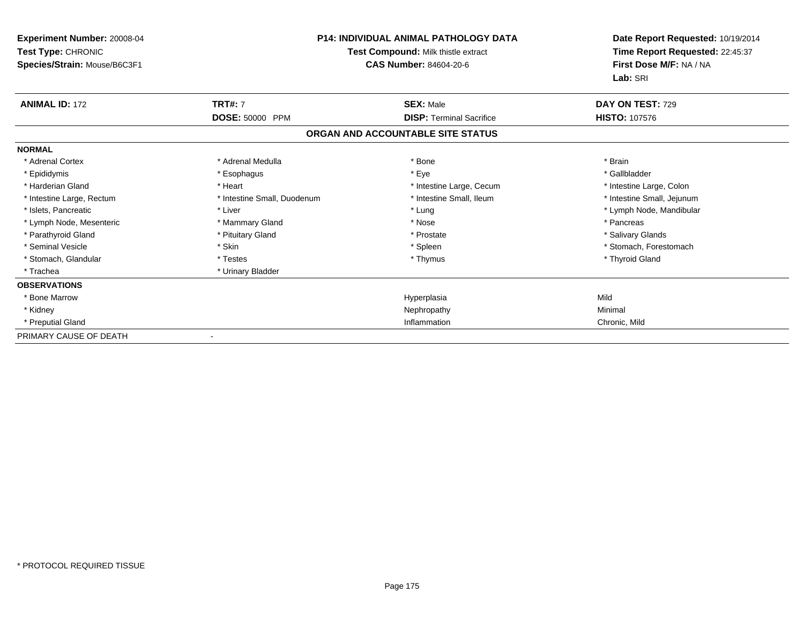| <b>Experiment Number: 20008-04</b><br>Test Type: CHRONIC<br>Species/Strain: Mouse/B6C3F1 | <b>P14: INDIVIDUAL ANIMAL PATHOLOGY DATA</b><br>Test Compound: Milk thistle extract<br><b>CAS Number: 84604-20-6</b> |                                   | Date Report Requested: 10/19/2014<br>Time Report Requested: 22:45:37<br>First Dose M/F: NA / NA |
|------------------------------------------------------------------------------------------|----------------------------------------------------------------------------------------------------------------------|-----------------------------------|-------------------------------------------------------------------------------------------------|
|                                                                                          |                                                                                                                      |                                   | Lab: SRI                                                                                        |
| <b>ANIMAL ID: 172</b>                                                                    | <b>TRT#: 7</b>                                                                                                       | <b>SEX: Male</b>                  | DAY ON TEST: 729                                                                                |
|                                                                                          | DOSE: 50000 PPM                                                                                                      | <b>DISP: Terminal Sacrifice</b>   | <b>HISTO: 107576</b>                                                                            |
|                                                                                          |                                                                                                                      | ORGAN AND ACCOUNTABLE SITE STATUS |                                                                                                 |
| <b>NORMAL</b>                                                                            |                                                                                                                      |                                   |                                                                                                 |
| * Adrenal Cortex                                                                         | * Adrenal Medulla                                                                                                    | * Bone                            | * Brain                                                                                         |
| * Epididymis                                                                             | * Esophagus                                                                                                          | * Eye                             | * Gallbladder                                                                                   |
| * Harderian Gland                                                                        | * Heart                                                                                                              | * Intestine Large, Cecum          | * Intestine Large, Colon                                                                        |
| * Intestine Large, Rectum                                                                | * Intestine Small, Duodenum                                                                                          | * Intestine Small, Ileum          | * Intestine Small, Jejunum                                                                      |
| * Islets, Pancreatic                                                                     | * Liver                                                                                                              | * Lung                            | * Lymph Node, Mandibular                                                                        |
| * Lymph Node, Mesenteric                                                                 | * Mammary Gland                                                                                                      | * Nose                            | * Pancreas                                                                                      |
| * Parathyroid Gland                                                                      | * Pituitary Gland                                                                                                    | * Prostate                        | * Salivary Glands                                                                               |
| * Seminal Vesicle                                                                        | * Skin                                                                                                               | * Spleen                          | * Stomach, Forestomach                                                                          |
| * Stomach, Glandular                                                                     | * Testes                                                                                                             | * Thymus                          | * Thyroid Gland                                                                                 |
| * Trachea                                                                                | * Urinary Bladder                                                                                                    |                                   |                                                                                                 |
| <b>OBSERVATIONS</b>                                                                      |                                                                                                                      |                                   |                                                                                                 |
| * Bone Marrow                                                                            |                                                                                                                      | Hyperplasia                       | Mild                                                                                            |
| * Kidney                                                                                 |                                                                                                                      | Nephropathy                       | Minimal                                                                                         |
| * Preputial Gland                                                                        |                                                                                                                      | Inflammation                      | Chronic, Mild                                                                                   |
| PRIMARY CAUSE OF DEATH                                                                   |                                                                                                                      |                                   |                                                                                                 |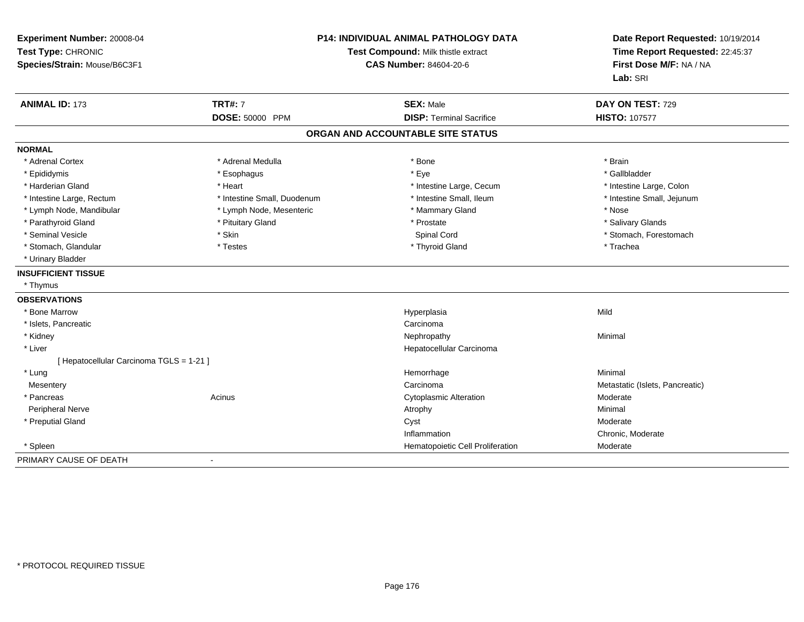| Experiment Number: 20008-04<br>Test Type: CHRONIC<br>Species/Strain: Mouse/B6C3F1 | <b>P14: INDIVIDUAL ANIMAL PATHOLOGY DATA</b><br>Test Compound: Milk thistle extract<br><b>CAS Number: 84604-20-6</b> |                                   | Date Report Requested: 10/19/2014<br>Time Report Requested: 22:45:37<br>First Dose M/F: NA / NA<br>Lab: SRI |
|-----------------------------------------------------------------------------------|----------------------------------------------------------------------------------------------------------------------|-----------------------------------|-------------------------------------------------------------------------------------------------------------|
| <b>ANIMAL ID: 173</b>                                                             | <b>TRT#: 7</b>                                                                                                       | <b>SEX: Male</b>                  | DAY ON TEST: 729                                                                                            |
|                                                                                   | DOSE: 50000 PPM                                                                                                      | <b>DISP: Terminal Sacrifice</b>   | <b>HISTO: 107577</b>                                                                                        |
|                                                                                   |                                                                                                                      | ORGAN AND ACCOUNTABLE SITE STATUS |                                                                                                             |
| <b>NORMAL</b>                                                                     |                                                                                                                      |                                   |                                                                                                             |
| * Adrenal Cortex                                                                  | * Adrenal Medulla                                                                                                    | * Bone                            | * Brain                                                                                                     |
| * Epididymis                                                                      | * Esophagus                                                                                                          | * Eye                             | * Gallbladder                                                                                               |
| * Harderian Gland                                                                 | * Heart                                                                                                              | * Intestine Large, Cecum          | * Intestine Large, Colon                                                                                    |
| * Intestine Large, Rectum                                                         | * Intestine Small, Duodenum                                                                                          | * Intestine Small, Ileum          | * Intestine Small, Jejunum                                                                                  |
| * Lymph Node, Mandibular                                                          | * Lymph Node, Mesenteric                                                                                             | * Mammary Gland                   | * Nose                                                                                                      |
| * Parathyroid Gland                                                               | * Pituitary Gland                                                                                                    | * Prostate                        | * Salivary Glands                                                                                           |
| * Seminal Vesicle                                                                 | * Skin                                                                                                               | Spinal Cord                       | * Stomach, Forestomach                                                                                      |
| * Stomach, Glandular                                                              | * Testes                                                                                                             | * Thyroid Gland                   | * Trachea                                                                                                   |
| * Urinary Bladder                                                                 |                                                                                                                      |                                   |                                                                                                             |
| <b>INSUFFICIENT TISSUE</b>                                                        |                                                                                                                      |                                   |                                                                                                             |
| * Thymus                                                                          |                                                                                                                      |                                   |                                                                                                             |
| <b>OBSERVATIONS</b>                                                               |                                                                                                                      |                                   |                                                                                                             |
| * Bone Marrow                                                                     |                                                                                                                      | Hyperplasia                       | Mild                                                                                                        |
| * Islets, Pancreatic                                                              |                                                                                                                      | Carcinoma                         |                                                                                                             |
| * Kidney                                                                          |                                                                                                                      | Nephropathy                       | Minimal                                                                                                     |
| * Liver                                                                           |                                                                                                                      | Hepatocellular Carcinoma          |                                                                                                             |
| [ Hepatocellular Carcinoma TGLS = 1-21 ]                                          |                                                                                                                      |                                   |                                                                                                             |
| * Lung                                                                            |                                                                                                                      | Hemorrhage                        | Minimal                                                                                                     |
| Mesentery                                                                         |                                                                                                                      | Carcinoma                         | Metastatic (Islets, Pancreatic)                                                                             |
| * Pancreas                                                                        | Acinus                                                                                                               | <b>Cytoplasmic Alteration</b>     | Moderate                                                                                                    |
| Peripheral Nerve                                                                  |                                                                                                                      | Atrophy                           | Minimal                                                                                                     |
| * Preputial Gland                                                                 |                                                                                                                      | Cyst                              | Moderate                                                                                                    |
|                                                                                   |                                                                                                                      | Inflammation                      | Chronic, Moderate                                                                                           |
| * Spleen                                                                          |                                                                                                                      | Hematopoietic Cell Proliferation  | Moderate                                                                                                    |
| PRIMARY CAUSE OF DEATH                                                            | $\sim$                                                                                                               |                                   |                                                                                                             |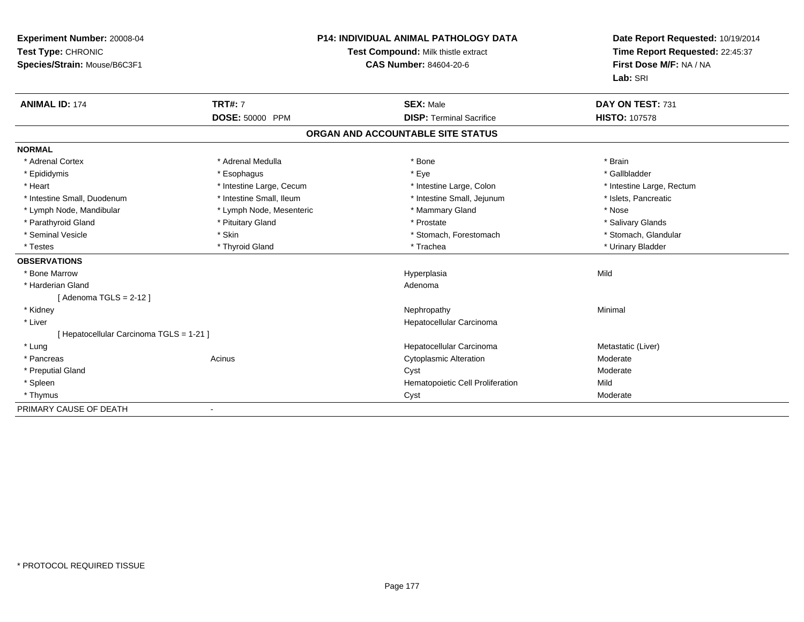| Experiment Number: 20008-04<br>Test Type: CHRONIC<br>Species/Strain: Mouse/B6C3F1<br><b>ANIMAL ID: 174</b> | <b>TRT#: 7</b>           | <b>P14: INDIVIDUAL ANIMAL PATHOLOGY DATA</b><br>Test Compound: Milk thistle extract<br><b>CAS Number: 84604-20-6</b><br><b>SEX: Male</b> | Date Report Requested: 10/19/2014<br>Time Report Requested: 22:45:37<br>First Dose M/F: NA / NA<br>Lab: SRI<br>DAY ON TEST: 731 |
|------------------------------------------------------------------------------------------------------------|--------------------------|------------------------------------------------------------------------------------------------------------------------------------------|---------------------------------------------------------------------------------------------------------------------------------|
|                                                                                                            | DOSE: 50000 PPM          | <b>DISP: Terminal Sacrifice</b>                                                                                                          | <b>HISTO: 107578</b>                                                                                                            |
|                                                                                                            |                          | ORGAN AND ACCOUNTABLE SITE STATUS                                                                                                        |                                                                                                                                 |
| <b>NORMAL</b>                                                                                              |                          |                                                                                                                                          |                                                                                                                                 |
| * Adrenal Cortex                                                                                           | * Adrenal Medulla        | * Bone                                                                                                                                   | * Brain                                                                                                                         |
| * Epididymis                                                                                               | * Esophagus              | * Eye                                                                                                                                    | * Gallbladder                                                                                                                   |
| * Heart                                                                                                    | * Intestine Large, Cecum | * Intestine Large, Colon                                                                                                                 | * Intestine Large, Rectum                                                                                                       |
| * Intestine Small, Duodenum                                                                                | * Intestine Small, Ileum | * Intestine Small, Jejunum                                                                                                               | * Islets, Pancreatic                                                                                                            |
| * Lymph Node, Mandibular                                                                                   | * Lymph Node, Mesenteric | * Mammary Gland                                                                                                                          | * Nose                                                                                                                          |
| * Parathyroid Gland                                                                                        | * Pituitary Gland        | * Prostate                                                                                                                               | * Salivary Glands                                                                                                               |
| * Seminal Vesicle                                                                                          | * Skin                   | * Stomach, Forestomach                                                                                                                   | * Stomach, Glandular                                                                                                            |
| * Testes                                                                                                   | * Thyroid Gland          | * Trachea                                                                                                                                | * Urinary Bladder                                                                                                               |
| <b>OBSERVATIONS</b>                                                                                        |                          |                                                                                                                                          |                                                                                                                                 |
| * Bone Marrow                                                                                              |                          | Hyperplasia                                                                                                                              | Mild                                                                                                                            |
| * Harderian Gland                                                                                          |                          | Adenoma                                                                                                                                  |                                                                                                                                 |
| [Adenoma TGLS = $2-12$ ]                                                                                   |                          |                                                                                                                                          |                                                                                                                                 |
| * Kidney                                                                                                   |                          | Nephropathy                                                                                                                              | Minimal                                                                                                                         |
| * Liver                                                                                                    |                          | Hepatocellular Carcinoma                                                                                                                 |                                                                                                                                 |
| [Hepatocellular Carcinoma TGLS = 1-21]                                                                     |                          |                                                                                                                                          |                                                                                                                                 |
| * Lung                                                                                                     |                          | Hepatocellular Carcinoma                                                                                                                 | Metastatic (Liver)                                                                                                              |
| * Pancreas                                                                                                 | Acinus                   | <b>Cytoplasmic Alteration</b>                                                                                                            | Moderate                                                                                                                        |
| * Preputial Gland                                                                                          |                          | Cyst                                                                                                                                     | Moderate                                                                                                                        |
| * Spleen                                                                                                   |                          | Hematopoietic Cell Proliferation                                                                                                         | Mild                                                                                                                            |
| * Thymus                                                                                                   |                          | Cyst                                                                                                                                     | Moderate                                                                                                                        |
| PRIMARY CAUSE OF DEATH                                                                                     |                          |                                                                                                                                          |                                                                                                                                 |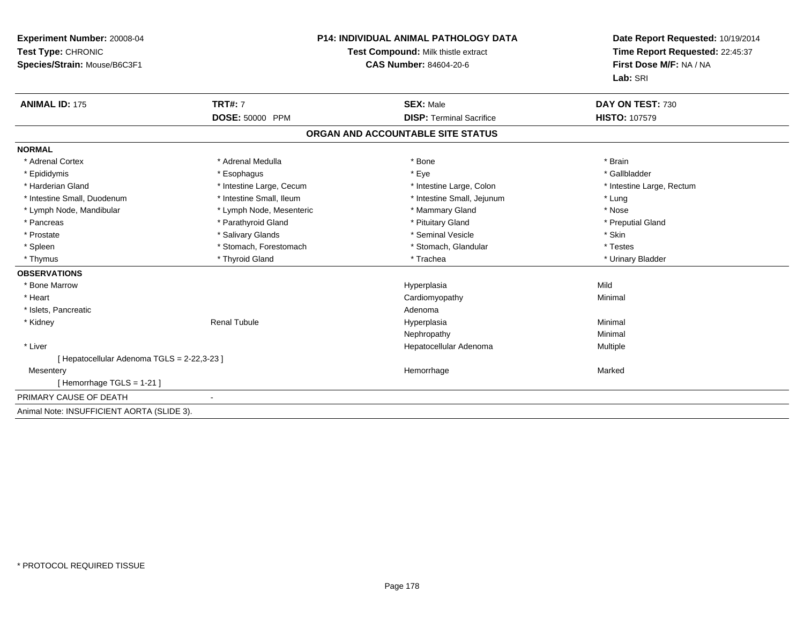| Experiment Number: 20008-04<br>Test Type: CHRONIC<br>Species/Strain: Mouse/B6C3F1 |                                   | <b>P14: INDIVIDUAL ANIMAL PATHOLOGY DATA</b><br>Test Compound: Milk thistle extract<br><b>CAS Number: 84604-20-6</b> | Date Report Requested: 10/19/2014<br>Time Report Requested: 22:45:37<br>First Dose M/F: NA / NA<br>Lab: SRI |  |
|-----------------------------------------------------------------------------------|-----------------------------------|----------------------------------------------------------------------------------------------------------------------|-------------------------------------------------------------------------------------------------------------|--|
| <b>ANIMAL ID: 175</b>                                                             | <b>TRT#: 7</b><br>DOSE: 50000 PPM | <b>SEX: Male</b><br><b>DISP: Terminal Sacrifice</b>                                                                  | DAY ON TEST: 730<br><b>HISTO: 107579</b>                                                                    |  |
|                                                                                   |                                   |                                                                                                                      |                                                                                                             |  |
|                                                                                   |                                   | ORGAN AND ACCOUNTABLE SITE STATUS                                                                                    |                                                                                                             |  |
| <b>NORMAL</b>                                                                     |                                   |                                                                                                                      |                                                                                                             |  |
| * Adrenal Cortex                                                                  | * Adrenal Medulla                 | * Bone                                                                                                               | * Brain                                                                                                     |  |
| * Epididymis                                                                      | * Esophagus                       | * Eye                                                                                                                | * Gallbladder                                                                                               |  |
| * Harderian Gland                                                                 | * Intestine Large, Cecum          | * Intestine Large, Colon                                                                                             | * Intestine Large, Rectum                                                                                   |  |
| * Intestine Small, Duodenum                                                       | * Intestine Small, Ileum          | * Intestine Small, Jejunum                                                                                           | * Lung                                                                                                      |  |
| * Lymph Node, Mandibular                                                          | * Lymph Node, Mesenteric          | * Mammary Gland                                                                                                      | * Nose                                                                                                      |  |
| * Pancreas                                                                        | * Parathyroid Gland               | * Pituitary Gland                                                                                                    | * Preputial Gland                                                                                           |  |
| * Prostate                                                                        | * Salivary Glands                 | * Seminal Vesicle                                                                                                    | * Skin                                                                                                      |  |
| * Spleen                                                                          | * Stomach, Forestomach            | * Stomach, Glandular                                                                                                 | * Testes                                                                                                    |  |
| * Thymus                                                                          | * Thyroid Gland                   | * Trachea                                                                                                            | * Urinary Bladder                                                                                           |  |
| <b>OBSERVATIONS</b>                                                               |                                   |                                                                                                                      |                                                                                                             |  |
| * Bone Marrow                                                                     |                                   | Hyperplasia                                                                                                          | Mild                                                                                                        |  |
| * Heart                                                                           |                                   | Cardiomyopathy                                                                                                       | Minimal                                                                                                     |  |
| * Islets, Pancreatic                                                              |                                   | Adenoma                                                                                                              |                                                                                                             |  |
| * Kidney                                                                          | <b>Renal Tubule</b>               | Hyperplasia                                                                                                          | Minimal                                                                                                     |  |
|                                                                                   |                                   | Nephropathy                                                                                                          | Minimal                                                                                                     |  |
| * Liver                                                                           |                                   | Hepatocellular Adenoma                                                                                               | Multiple                                                                                                    |  |
| [ Hepatocellular Adenoma TGLS = 2-22,3-23 ]                                       |                                   |                                                                                                                      |                                                                                                             |  |
| Mesentery                                                                         |                                   | Hemorrhage                                                                                                           | Marked                                                                                                      |  |
| [Hemorrhage TGLS = $1-21$ ]                                                       |                                   |                                                                                                                      |                                                                                                             |  |
| PRIMARY CAUSE OF DEATH                                                            |                                   |                                                                                                                      |                                                                                                             |  |
| Animal Note: INSUFFICIENT AORTA (SLIDE 3).                                        |                                   |                                                                                                                      |                                                                                                             |  |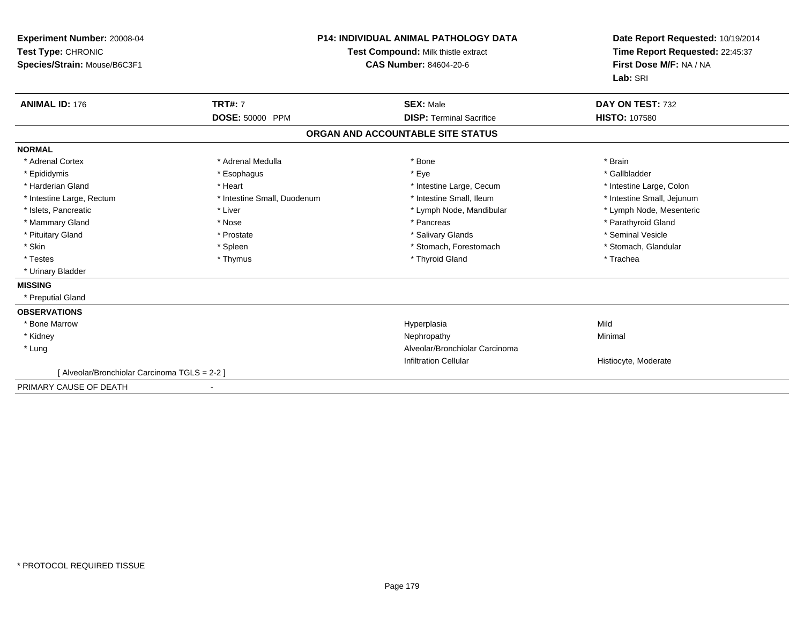| Experiment Number: 20008-04<br>Test Type: CHRONIC<br>Species/Strain: Mouse/B6C3F1 | <b>P14: INDIVIDUAL ANIMAL PATHOLOGY DATA</b><br>Test Compound: Milk thistle extract<br><b>CAS Number: 84604-20-6</b> |                                                     | Date Report Requested: 10/19/2014<br>Time Report Requested: 22:45:37<br>First Dose M/F: NA / NA<br>Lab: SRI |
|-----------------------------------------------------------------------------------|----------------------------------------------------------------------------------------------------------------------|-----------------------------------------------------|-------------------------------------------------------------------------------------------------------------|
| <b>ANIMAL ID: 176</b>                                                             | <b>TRT#: 7</b><br>DOSE: 50000 PPM                                                                                    | <b>SEX: Male</b><br><b>DISP: Terminal Sacrifice</b> | DAY ON TEST: 732<br><b>HISTO: 107580</b>                                                                    |
|                                                                                   |                                                                                                                      |                                                     |                                                                                                             |
|                                                                                   |                                                                                                                      | ORGAN AND ACCOUNTABLE SITE STATUS                   |                                                                                                             |
| <b>NORMAL</b>                                                                     |                                                                                                                      |                                                     |                                                                                                             |
| * Adrenal Cortex                                                                  | * Adrenal Medulla                                                                                                    | * Bone                                              | * Brain                                                                                                     |
| * Epididymis                                                                      | * Esophagus                                                                                                          | * Eye                                               | * Gallbladder                                                                                               |
| * Harderian Gland                                                                 | * Heart                                                                                                              | * Intestine Large, Cecum                            | * Intestine Large, Colon                                                                                    |
| * Intestine Large, Rectum                                                         | * Intestine Small, Duodenum                                                                                          | * Intestine Small. Ileum                            | * Intestine Small, Jejunum                                                                                  |
| * Islets, Pancreatic                                                              | * Liver                                                                                                              | * Lymph Node, Mandibular                            | * Lymph Node, Mesenteric                                                                                    |
| * Mammary Gland                                                                   | * Nose                                                                                                               | * Pancreas                                          | * Parathyroid Gland                                                                                         |
| * Pituitary Gland                                                                 | * Prostate                                                                                                           | * Salivary Glands                                   | * Seminal Vesicle                                                                                           |
| * Skin                                                                            | * Spleen                                                                                                             | * Stomach, Forestomach                              | * Stomach, Glandular                                                                                        |
| * Testes                                                                          | * Thymus                                                                                                             | * Thyroid Gland                                     | * Trachea                                                                                                   |
| * Urinary Bladder                                                                 |                                                                                                                      |                                                     |                                                                                                             |
| <b>MISSING</b>                                                                    |                                                                                                                      |                                                     |                                                                                                             |
| * Preputial Gland                                                                 |                                                                                                                      |                                                     |                                                                                                             |
| <b>OBSERVATIONS</b>                                                               |                                                                                                                      |                                                     |                                                                                                             |
| * Bone Marrow                                                                     |                                                                                                                      | Hyperplasia                                         | Mild                                                                                                        |
| * Kidney                                                                          |                                                                                                                      | Nephropathy                                         | Minimal                                                                                                     |
| * Lung                                                                            |                                                                                                                      | Alveolar/Bronchiolar Carcinoma                      |                                                                                                             |
|                                                                                   |                                                                                                                      | <b>Infiltration Cellular</b>                        | Histiocyte, Moderate                                                                                        |
| [ Alveolar/Bronchiolar Carcinoma TGLS = 2-2 ]                                     |                                                                                                                      |                                                     |                                                                                                             |
| PRIMARY CAUSE OF DEATH                                                            |                                                                                                                      |                                                     |                                                                                                             |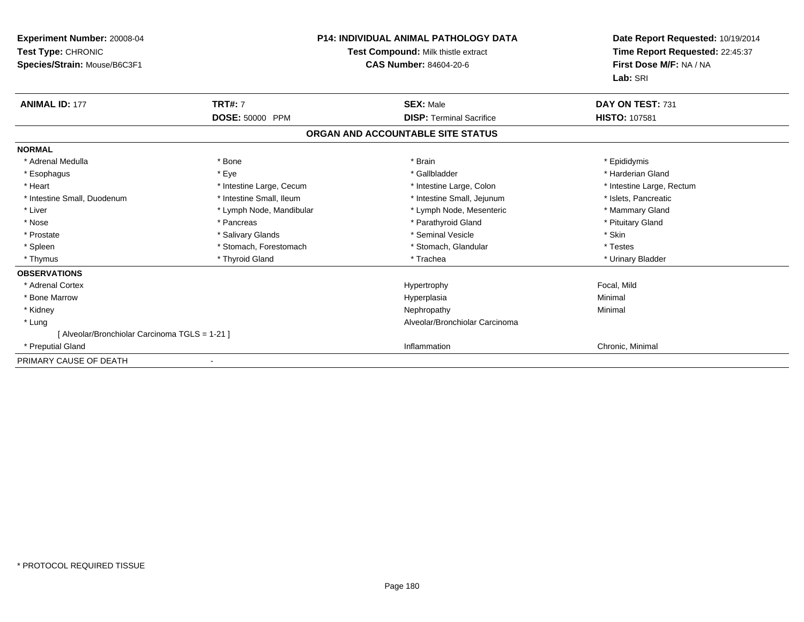| <b>Experiment Number: 20008-04</b><br>Test Type: CHRONIC<br>Species/Strain: Mouse/B6C3F1 |                          | <b>P14: INDIVIDUAL ANIMAL PATHOLOGY DATA</b><br>Test Compound: Milk thistle extract<br><b>CAS Number: 84604-20-6</b> | Date Report Requested: 10/19/2014<br>Time Report Requested: 22:45:37<br>First Dose M/F: NA / NA<br>Lab: SRI |
|------------------------------------------------------------------------------------------|--------------------------|----------------------------------------------------------------------------------------------------------------------|-------------------------------------------------------------------------------------------------------------|
| <b>ANIMAL ID: 177</b>                                                                    | <b>TRT#: 7</b>           | <b>SEX: Male</b>                                                                                                     | DAY ON TEST: 731                                                                                            |
|                                                                                          | DOSE: 50000 PPM          | <b>DISP: Terminal Sacrifice</b>                                                                                      | <b>HISTO: 107581</b>                                                                                        |
|                                                                                          |                          | ORGAN AND ACCOUNTABLE SITE STATUS                                                                                    |                                                                                                             |
| <b>NORMAL</b>                                                                            |                          |                                                                                                                      |                                                                                                             |
| * Adrenal Medulla                                                                        | * Bone                   | * Brain                                                                                                              | * Epididymis                                                                                                |
| * Esophagus                                                                              | * Eye                    | * Gallbladder                                                                                                        | * Harderian Gland                                                                                           |
| * Heart                                                                                  | * Intestine Large, Cecum | * Intestine Large, Colon                                                                                             | * Intestine Large, Rectum                                                                                   |
| * Intestine Small, Duodenum                                                              | * Intestine Small. Ileum | * Intestine Small, Jejunum                                                                                           | * Islets, Pancreatic                                                                                        |
| * Liver                                                                                  | * Lymph Node, Mandibular | * Lymph Node, Mesenteric                                                                                             | * Mammary Gland                                                                                             |
| * Nose                                                                                   | * Pancreas               | * Parathyroid Gland                                                                                                  | * Pituitary Gland                                                                                           |
| * Prostate                                                                               | * Salivary Glands        | * Seminal Vesicle                                                                                                    | * Skin                                                                                                      |
| * Spleen                                                                                 | * Stomach, Forestomach   | * Stomach, Glandular                                                                                                 | * Testes                                                                                                    |
| * Thymus                                                                                 | * Thyroid Gland          | * Trachea                                                                                                            | * Urinary Bladder                                                                                           |
| <b>OBSERVATIONS</b>                                                                      |                          |                                                                                                                      |                                                                                                             |
| * Adrenal Cortex                                                                         |                          | Hypertrophy                                                                                                          | Focal, Mild                                                                                                 |
| * Bone Marrow                                                                            |                          | Hyperplasia                                                                                                          | Minimal                                                                                                     |
| * Kidney                                                                                 |                          | Nephropathy                                                                                                          | Minimal                                                                                                     |
| * Lung                                                                                   |                          | Alveolar/Bronchiolar Carcinoma                                                                                       |                                                                                                             |
| [ Alveolar/Bronchiolar Carcinoma TGLS = 1-21 ]                                           |                          |                                                                                                                      |                                                                                                             |
| * Preputial Gland                                                                        |                          | Inflammation                                                                                                         | Chronic, Minimal                                                                                            |
| PRIMARY CAUSE OF DEATH                                                                   |                          |                                                                                                                      |                                                                                                             |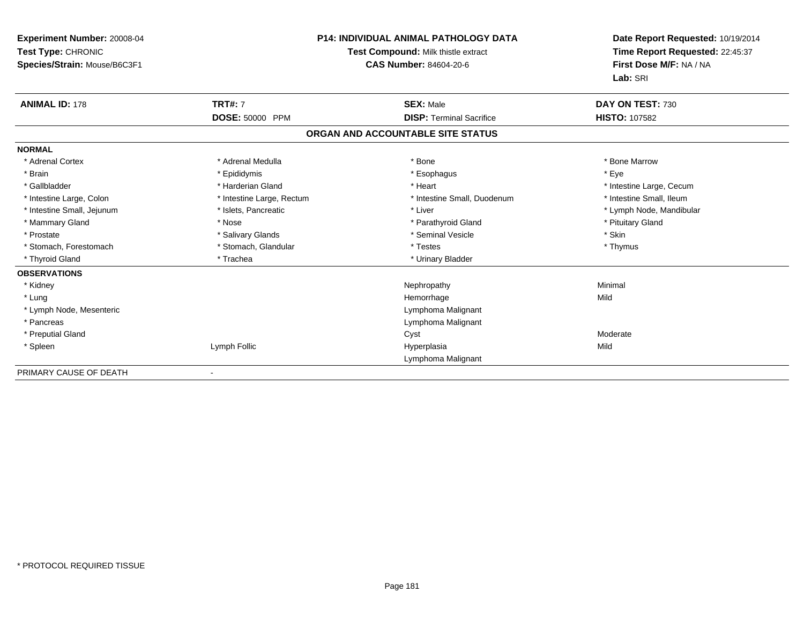| <b>Experiment Number: 20008-04</b><br>Test Type: CHRONIC<br>Species/Strain: Mouse/B6C3F1 |                           | <b>P14: INDIVIDUAL ANIMAL PATHOLOGY DATA</b><br><b>Test Compound: Milk thistle extract</b><br><b>CAS Number: 84604-20-6</b> | Date Report Requested: 10/19/2014<br>Time Report Requested: 22:45:37<br>First Dose M/F: NA / NA<br>Lab: SRI |
|------------------------------------------------------------------------------------------|---------------------------|-----------------------------------------------------------------------------------------------------------------------------|-------------------------------------------------------------------------------------------------------------|
| <b>ANIMAL ID: 178</b>                                                                    | <b>TRT#: 7</b>            | <b>SEX: Male</b>                                                                                                            | DAY ON TEST: 730                                                                                            |
|                                                                                          | DOSE: 50000 PPM           | <b>DISP: Terminal Sacrifice</b>                                                                                             | <b>HISTO: 107582</b>                                                                                        |
|                                                                                          |                           | ORGAN AND ACCOUNTABLE SITE STATUS                                                                                           |                                                                                                             |
| <b>NORMAL</b>                                                                            |                           |                                                                                                                             |                                                                                                             |
| * Adrenal Cortex                                                                         | * Adrenal Medulla         | * Bone                                                                                                                      | * Bone Marrow                                                                                               |
| * Brain                                                                                  | * Epididymis              | * Esophagus                                                                                                                 | * Eye                                                                                                       |
| * Gallbladder                                                                            | * Harderian Gland         | * Heart                                                                                                                     | * Intestine Large, Cecum                                                                                    |
| * Intestine Large, Colon                                                                 | * Intestine Large, Rectum | * Intestine Small, Duodenum                                                                                                 | * Intestine Small, Ileum                                                                                    |
| * Intestine Small, Jejunum                                                               | * Islets, Pancreatic      | * Liver                                                                                                                     | * Lymph Node, Mandibular                                                                                    |
| * Mammary Gland                                                                          | * Nose                    | * Parathyroid Gland                                                                                                         | * Pituitary Gland                                                                                           |
| * Prostate                                                                               | * Salivary Glands         | * Seminal Vesicle                                                                                                           | * Skin                                                                                                      |
| * Stomach, Forestomach                                                                   | * Stomach, Glandular      | * Testes                                                                                                                    | * Thymus                                                                                                    |
| * Thyroid Gland                                                                          | * Trachea                 | * Urinary Bladder                                                                                                           |                                                                                                             |
| <b>OBSERVATIONS</b>                                                                      |                           |                                                                                                                             |                                                                                                             |
| * Kidney                                                                                 |                           | Nephropathy                                                                                                                 | Minimal                                                                                                     |
| * Lung                                                                                   |                           | Hemorrhage                                                                                                                  | Mild                                                                                                        |
| * Lymph Node, Mesenteric                                                                 |                           | Lymphoma Malignant                                                                                                          |                                                                                                             |
| * Pancreas                                                                               |                           | Lymphoma Malignant                                                                                                          |                                                                                                             |
| * Preputial Gland                                                                        |                           | Cyst                                                                                                                        | Moderate                                                                                                    |
| * Spleen                                                                                 | Lymph Follic              | Hyperplasia                                                                                                                 | Mild                                                                                                        |
|                                                                                          |                           | Lymphoma Malignant                                                                                                          |                                                                                                             |
| DOIMADY CAUSE OF BEATH                                                                   |                           |                                                                                                                             |                                                                                                             |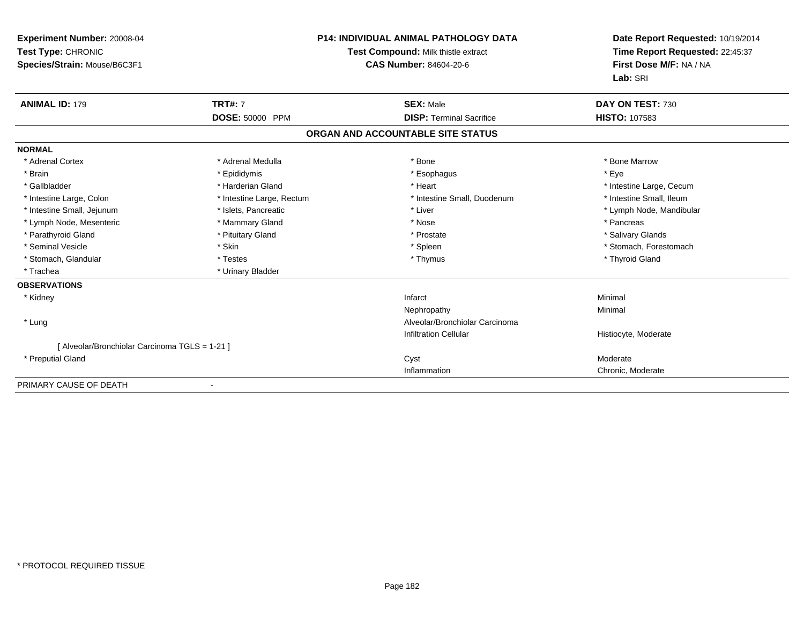| <b>Experiment Number: 20008-04</b><br>Test Type: CHRONIC<br>Species/Strain: Mouse/B6C3F1 |                           | <b>P14: INDIVIDUAL ANIMAL PATHOLOGY DATA</b><br>Test Compound: Milk thistle extract<br><b>CAS Number: 84604-20-6</b> | Date Report Requested: 10/19/2014<br>Time Report Requested: 22:45:37<br>First Dose M/F: NA / NA<br>Lab: SRI |
|------------------------------------------------------------------------------------------|---------------------------|----------------------------------------------------------------------------------------------------------------------|-------------------------------------------------------------------------------------------------------------|
| <b>ANIMAL ID: 179</b>                                                                    | <b>TRT#: 7</b>            | <b>SEX: Male</b>                                                                                                     | DAY ON TEST: 730                                                                                            |
|                                                                                          | DOSE: 50000 PPM           | <b>DISP: Terminal Sacrifice</b>                                                                                      | <b>HISTO: 107583</b>                                                                                        |
|                                                                                          |                           | ORGAN AND ACCOUNTABLE SITE STATUS                                                                                    |                                                                                                             |
| <b>NORMAL</b>                                                                            |                           |                                                                                                                      |                                                                                                             |
| * Adrenal Cortex                                                                         | * Adrenal Medulla         | * Bone                                                                                                               | * Bone Marrow                                                                                               |
| * Brain                                                                                  | * Epididymis              | * Esophagus                                                                                                          | * Eye                                                                                                       |
| * Gallbladder                                                                            | * Harderian Gland         | * Heart                                                                                                              | * Intestine Large, Cecum                                                                                    |
| * Intestine Large, Colon                                                                 | * Intestine Large, Rectum | * Intestine Small, Duodenum                                                                                          | * Intestine Small, Ileum                                                                                    |
| * Intestine Small, Jejunum                                                               | * Islets, Pancreatic      | * Liver                                                                                                              | * Lymph Node, Mandibular                                                                                    |
| * Lymph Node, Mesenteric                                                                 | * Mammary Gland           | * Nose                                                                                                               | * Pancreas                                                                                                  |
| * Parathyroid Gland                                                                      | * Pituitary Gland         | * Prostate                                                                                                           | * Salivary Glands                                                                                           |
| * Seminal Vesicle                                                                        | * Skin                    | * Spleen                                                                                                             | * Stomach, Forestomach                                                                                      |
| * Stomach, Glandular                                                                     | * Testes                  | * Thymus                                                                                                             | * Thyroid Gland                                                                                             |
| * Trachea                                                                                | * Urinary Bladder         |                                                                                                                      |                                                                                                             |
| <b>OBSERVATIONS</b>                                                                      |                           |                                                                                                                      |                                                                                                             |
| * Kidney                                                                                 |                           | Infarct                                                                                                              | Minimal                                                                                                     |
|                                                                                          |                           | Nephropathy                                                                                                          | Minimal                                                                                                     |
| * Lung                                                                                   |                           | Alveolar/Bronchiolar Carcinoma                                                                                       |                                                                                                             |
|                                                                                          |                           | <b>Infiltration Cellular</b>                                                                                         | Histiocyte, Moderate                                                                                        |
| [ Alveolar/Bronchiolar Carcinoma TGLS = 1-21 ]                                           |                           |                                                                                                                      |                                                                                                             |
| * Preputial Gland                                                                        |                           | Cyst                                                                                                                 | Moderate                                                                                                    |
|                                                                                          |                           | Inflammation                                                                                                         | Chronic, Moderate                                                                                           |
| PRIMARY CAUSE OF DEATH                                                                   |                           |                                                                                                                      |                                                                                                             |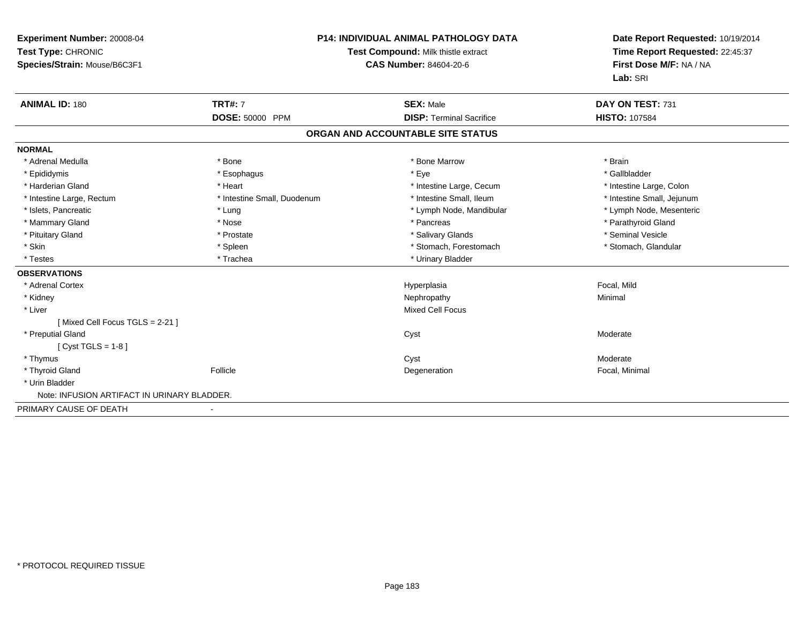| Experiment Number: 20008-04<br>Test Type: CHRONIC<br>Species/Strain: Mouse/B6C3F1 | <b>P14: INDIVIDUAL ANIMAL PATHOLOGY DATA</b><br>Test Compound: Milk thistle extract<br><b>CAS Number: 84604-20-6</b> |                                   | Date Report Requested: 10/19/2014<br>Time Report Requested: 22:45:37<br>First Dose M/F: NA / NA<br>Lab: SRI |  |
|-----------------------------------------------------------------------------------|----------------------------------------------------------------------------------------------------------------------|-----------------------------------|-------------------------------------------------------------------------------------------------------------|--|
| <b>ANIMAL ID: 180</b>                                                             | <b>TRT#: 7</b>                                                                                                       | <b>SEX: Male</b>                  | DAY ON TEST: 731                                                                                            |  |
|                                                                                   | DOSE: 50000 PPM                                                                                                      | <b>DISP: Terminal Sacrifice</b>   | <b>HISTO: 107584</b>                                                                                        |  |
|                                                                                   |                                                                                                                      | ORGAN AND ACCOUNTABLE SITE STATUS |                                                                                                             |  |
| <b>NORMAL</b>                                                                     |                                                                                                                      |                                   |                                                                                                             |  |
| * Adrenal Medulla                                                                 | * Bone                                                                                                               | * Bone Marrow                     | * Brain                                                                                                     |  |
| * Epididymis                                                                      | * Esophagus                                                                                                          | * Eye                             | * Gallbladder                                                                                               |  |
| * Harderian Gland                                                                 | * Heart                                                                                                              | * Intestine Large, Cecum          | * Intestine Large, Colon                                                                                    |  |
| * Intestine Large, Rectum                                                         | * Intestine Small, Duodenum                                                                                          | * Intestine Small, Ileum          | * Intestine Small, Jejunum                                                                                  |  |
| * Islets, Pancreatic                                                              | * Lung                                                                                                               | * Lymph Node, Mandibular          | * Lymph Node, Mesenteric                                                                                    |  |
| * Mammary Gland                                                                   | * Nose                                                                                                               | * Pancreas                        | * Parathyroid Gland                                                                                         |  |
| * Pituitary Gland                                                                 | * Prostate                                                                                                           | * Salivary Glands                 | * Seminal Vesicle                                                                                           |  |
| * Skin                                                                            | * Spleen                                                                                                             | * Stomach, Forestomach            | * Stomach, Glandular                                                                                        |  |
| * Testes                                                                          | * Trachea                                                                                                            | * Urinary Bladder                 |                                                                                                             |  |
| <b>OBSERVATIONS</b>                                                               |                                                                                                                      |                                   |                                                                                                             |  |
| * Adrenal Cortex                                                                  |                                                                                                                      | Hyperplasia                       | Focal, Mild                                                                                                 |  |
| * Kidney                                                                          |                                                                                                                      | Nephropathy                       | Minimal                                                                                                     |  |
| * Liver                                                                           |                                                                                                                      | <b>Mixed Cell Focus</b>           |                                                                                                             |  |
| [Mixed Cell Focus TGLS = 2-21]                                                    |                                                                                                                      |                                   |                                                                                                             |  |
| * Preputial Gland                                                                 |                                                                                                                      | Cyst                              | Moderate                                                                                                    |  |
| [ $Cyst TGLS = 1-8$ ]                                                             |                                                                                                                      |                                   |                                                                                                             |  |
| * Thymus                                                                          |                                                                                                                      | Cyst                              | Moderate                                                                                                    |  |
| * Thyroid Gland                                                                   | Follicle                                                                                                             | Degeneration                      | Focal, Minimal                                                                                              |  |
| * Urin Bladder                                                                    |                                                                                                                      |                                   |                                                                                                             |  |
| Note: INFUSION ARTIFACT IN URINARY BLADDER.                                       |                                                                                                                      |                                   |                                                                                                             |  |
| PRIMARY CAUSE OF DEATH                                                            |                                                                                                                      |                                   |                                                                                                             |  |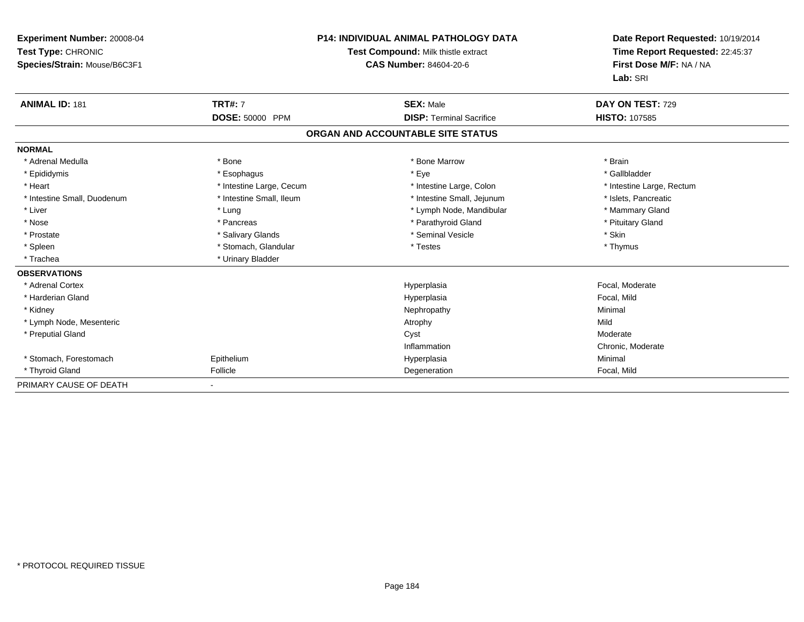| Experiment Number: 20008-04<br>Test Type: CHRONIC<br>Species/Strain: Mouse/B6C3F1 |                          | <b>P14: INDIVIDUAL ANIMAL PATHOLOGY DATA</b><br>Test Compound: Milk thistle extract<br>CAS Number: 84604-20-6 | Date Report Requested: 10/19/2014<br>Time Report Requested: 22:45:37<br>First Dose M/F: NA / NA<br>Lab: SRI |  |
|-----------------------------------------------------------------------------------|--------------------------|---------------------------------------------------------------------------------------------------------------|-------------------------------------------------------------------------------------------------------------|--|
| <b>ANIMAL ID: 181</b>                                                             | <b>TRT#: 7</b>           | <b>SEX: Male</b>                                                                                              | DAY ON TEST: 729                                                                                            |  |
|                                                                                   | DOSE: 50000 PPM          | <b>DISP: Terminal Sacrifice</b>                                                                               | <b>HISTO: 107585</b>                                                                                        |  |
|                                                                                   |                          | ORGAN AND ACCOUNTABLE SITE STATUS                                                                             |                                                                                                             |  |
| <b>NORMAL</b>                                                                     |                          |                                                                                                               |                                                                                                             |  |
| * Adrenal Medulla                                                                 | * Bone                   | * Bone Marrow                                                                                                 | * Brain                                                                                                     |  |
| * Epididymis                                                                      | * Esophagus              | * Eye                                                                                                         | * Gallbladder                                                                                               |  |
| * Heart                                                                           | * Intestine Large, Cecum | * Intestine Large, Colon                                                                                      | * Intestine Large, Rectum                                                                                   |  |
| * Intestine Small, Duodenum                                                       | * Intestine Small, Ileum | * Intestine Small, Jejunum                                                                                    | * Islets, Pancreatic                                                                                        |  |
| * Liver                                                                           | * Lung                   | * Lymph Node, Mandibular                                                                                      | * Mammary Gland                                                                                             |  |
| * Nose                                                                            | * Pancreas               | * Parathyroid Gland                                                                                           | * Pituitary Gland                                                                                           |  |
| * Prostate                                                                        | * Salivary Glands        | * Seminal Vesicle                                                                                             | * Skin                                                                                                      |  |
| * Spleen                                                                          | * Stomach, Glandular     | * Testes                                                                                                      | * Thymus                                                                                                    |  |
| * Trachea                                                                         | * Urinary Bladder        |                                                                                                               |                                                                                                             |  |
| <b>OBSERVATIONS</b>                                                               |                          |                                                                                                               |                                                                                                             |  |
| * Adrenal Cortex                                                                  |                          | Hyperplasia                                                                                                   | Focal, Moderate                                                                                             |  |
| * Harderian Gland                                                                 |                          | Hyperplasia                                                                                                   | Focal, Mild                                                                                                 |  |
| * Kidney                                                                          |                          | Nephropathy                                                                                                   | Minimal                                                                                                     |  |
| * Lymph Node, Mesenteric                                                          |                          | Atrophy                                                                                                       | Mild                                                                                                        |  |
| * Preputial Gland                                                                 |                          | Cyst                                                                                                          | Moderate                                                                                                    |  |
|                                                                                   |                          | Inflammation                                                                                                  | Chronic, Moderate                                                                                           |  |
| * Stomach. Forestomach                                                            | Epithelium               | Hyperplasia                                                                                                   | Minimal                                                                                                     |  |
| * Thyroid Gland                                                                   | Follicle                 | Degeneration                                                                                                  | Focal, Mild                                                                                                 |  |
| PRIMARY CAUSE OF DEATH                                                            |                          |                                                                                                               |                                                                                                             |  |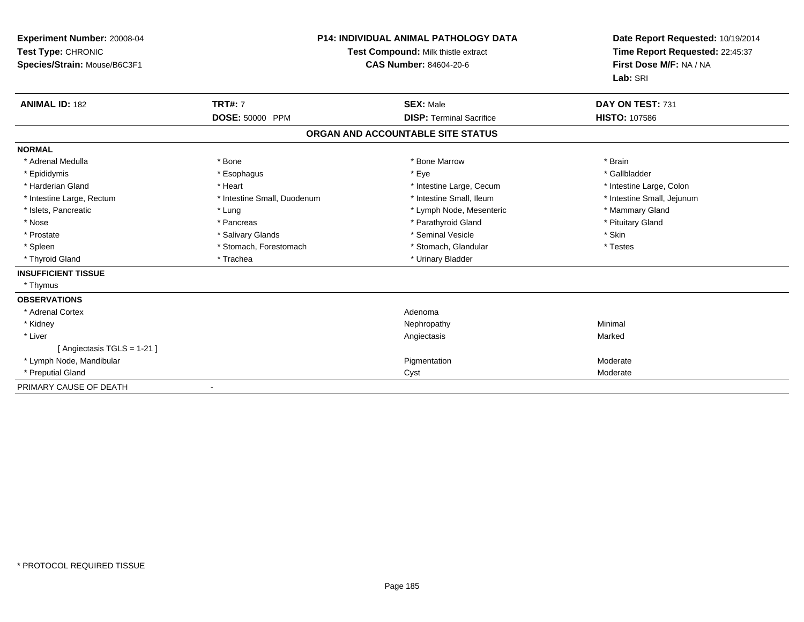| Experiment Number: 20008-04<br>Test Type: CHRONIC<br>Species/Strain: Mouse/B6C3F1 |                             | <b>P14: INDIVIDUAL ANIMAL PATHOLOGY DATA</b><br><b>Test Compound: Milk thistle extract</b><br>CAS Number: 84604-20-6 | Date Report Requested: 10/19/2014<br>Time Report Requested: 22:45:37<br>First Dose M/F: NA / NA<br>Lab: SRI |
|-----------------------------------------------------------------------------------|-----------------------------|----------------------------------------------------------------------------------------------------------------------|-------------------------------------------------------------------------------------------------------------|
| <b>ANIMAL ID: 182</b>                                                             | <b>TRT#: 7</b>              | <b>SEX: Male</b>                                                                                                     | DAY ON TEST: 731                                                                                            |
|                                                                                   | DOSE: 50000 PPM             | <b>DISP: Terminal Sacrifice</b>                                                                                      | <b>HISTO: 107586</b>                                                                                        |
|                                                                                   |                             | ORGAN AND ACCOUNTABLE SITE STATUS                                                                                    |                                                                                                             |
| <b>NORMAL</b>                                                                     |                             |                                                                                                                      |                                                                                                             |
| * Adrenal Medulla                                                                 | * Bone                      | * Bone Marrow                                                                                                        | * Brain                                                                                                     |
| * Epididymis                                                                      | * Esophagus                 | * Eye                                                                                                                | * Gallbladder                                                                                               |
| * Harderian Gland                                                                 | * Heart                     | * Intestine Large, Cecum                                                                                             | * Intestine Large, Colon                                                                                    |
| * Intestine Large, Rectum                                                         | * Intestine Small, Duodenum | * Intestine Small, Ileum                                                                                             | * Intestine Small, Jejunum                                                                                  |
| * Islets, Pancreatic                                                              | * Lung                      | * Lymph Node, Mesenteric                                                                                             | * Mammary Gland                                                                                             |
| * Nose                                                                            | * Pancreas                  | * Parathyroid Gland                                                                                                  | * Pituitary Gland                                                                                           |
| * Prostate                                                                        | * Salivary Glands           | * Seminal Vesicle                                                                                                    | * Skin                                                                                                      |
| * Spleen                                                                          | * Stomach, Forestomach      | * Stomach, Glandular                                                                                                 | * Testes                                                                                                    |
| * Thyroid Gland                                                                   | * Trachea                   | * Urinary Bladder                                                                                                    |                                                                                                             |
| <b>INSUFFICIENT TISSUE</b>                                                        |                             |                                                                                                                      |                                                                                                             |
| * Thymus                                                                          |                             |                                                                                                                      |                                                                                                             |
| <b>OBSERVATIONS</b>                                                               |                             |                                                                                                                      |                                                                                                             |
| * Adrenal Cortex                                                                  |                             | Adenoma                                                                                                              |                                                                                                             |
| * Kidney                                                                          |                             | Nephropathy                                                                                                          | Minimal                                                                                                     |
| * Liver                                                                           |                             | Angiectasis                                                                                                          | Marked                                                                                                      |
| [ Angiectasis TGLS = 1-21 ]                                                       |                             |                                                                                                                      |                                                                                                             |
| * Lymph Node, Mandibular                                                          |                             | Pigmentation                                                                                                         | Moderate                                                                                                    |
| * Preputial Gland                                                                 |                             | Cyst                                                                                                                 | Moderate                                                                                                    |
| PRIMARY CAUSE OF DEATH                                                            |                             |                                                                                                                      |                                                                                                             |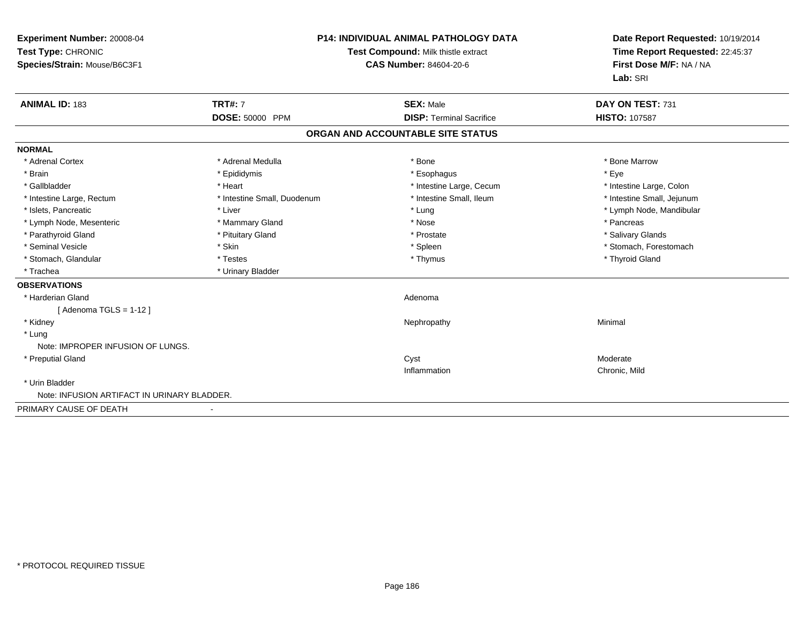| Experiment Number: 20008-04<br>Test Type: CHRONIC<br>Species/Strain: Mouse/B6C3F1<br><b>ANIMAL ID: 183</b> | <b>TRT#: 7</b>              | <b>P14: INDIVIDUAL ANIMAL PATHOLOGY DATA</b><br>Test Compound: Milk thistle extract<br><b>CAS Number: 84604-20-6</b> |  | Date Report Requested: 10/19/2014<br>Time Report Requested: 22:45:37<br>First Dose M/F: NA / NA<br>Lab: SRI<br>DAY ON TEST: 731 |  |
|------------------------------------------------------------------------------------------------------------|-----------------------------|----------------------------------------------------------------------------------------------------------------------|--|---------------------------------------------------------------------------------------------------------------------------------|--|
|                                                                                                            | <b>DOSE: 50000 PPM</b>      | <b>SEX: Male</b><br><b>DISP: Terminal Sacrifice</b>                                                                  |  | <b>HISTO: 107587</b>                                                                                                            |  |
|                                                                                                            |                             | ORGAN AND ACCOUNTABLE SITE STATUS                                                                                    |  |                                                                                                                                 |  |
| <b>NORMAL</b>                                                                                              |                             |                                                                                                                      |  |                                                                                                                                 |  |
| * Adrenal Cortex                                                                                           | * Adrenal Medulla           | * Bone                                                                                                               |  | * Bone Marrow                                                                                                                   |  |
| * Brain                                                                                                    | * Epididymis                | * Esophagus                                                                                                          |  | * Eye                                                                                                                           |  |
| * Gallbladder                                                                                              | * Heart                     | * Intestine Large, Cecum                                                                                             |  | * Intestine Large, Colon                                                                                                        |  |
| * Intestine Large, Rectum                                                                                  | * Intestine Small, Duodenum | * Intestine Small. Ileum                                                                                             |  | * Intestine Small, Jejunum                                                                                                      |  |
| * Islets, Pancreatic                                                                                       | * Liver                     | * Lung                                                                                                               |  | * Lymph Node, Mandibular                                                                                                        |  |
| * Lymph Node, Mesenteric                                                                                   | * Mammary Gland             | * Nose                                                                                                               |  | * Pancreas                                                                                                                      |  |
| * Parathyroid Gland                                                                                        | * Pituitary Gland           | * Prostate                                                                                                           |  | * Salivary Glands                                                                                                               |  |
| * Seminal Vesicle                                                                                          | * Skin                      | * Spleen                                                                                                             |  | * Stomach, Forestomach                                                                                                          |  |
| * Stomach, Glandular                                                                                       | * Testes                    | * Thymus                                                                                                             |  | * Thyroid Gland                                                                                                                 |  |
| * Trachea                                                                                                  | * Urinary Bladder           |                                                                                                                      |  |                                                                                                                                 |  |
| <b>OBSERVATIONS</b>                                                                                        |                             |                                                                                                                      |  |                                                                                                                                 |  |
| * Harderian Gland                                                                                          |                             | Adenoma                                                                                                              |  |                                                                                                                                 |  |
| [Adenoma TGLS = $1-12$ ]                                                                                   |                             |                                                                                                                      |  |                                                                                                                                 |  |
| * Kidney                                                                                                   |                             | Nephropathy                                                                                                          |  | Minimal                                                                                                                         |  |
| * Lung                                                                                                     |                             |                                                                                                                      |  |                                                                                                                                 |  |
| Note: IMPROPER INFUSION OF LUNGS.                                                                          |                             |                                                                                                                      |  |                                                                                                                                 |  |
| * Preputial Gland                                                                                          |                             | Cyst                                                                                                                 |  | Moderate                                                                                                                        |  |
|                                                                                                            |                             | Inflammation                                                                                                         |  | Chronic, Mild                                                                                                                   |  |
| * Urin Bladder                                                                                             |                             |                                                                                                                      |  |                                                                                                                                 |  |
| Note: INFUSION ARTIFACT IN URINARY BLADDER.                                                                |                             |                                                                                                                      |  |                                                                                                                                 |  |
| PRIMARY CAUSE OF DEATH                                                                                     |                             |                                                                                                                      |  |                                                                                                                                 |  |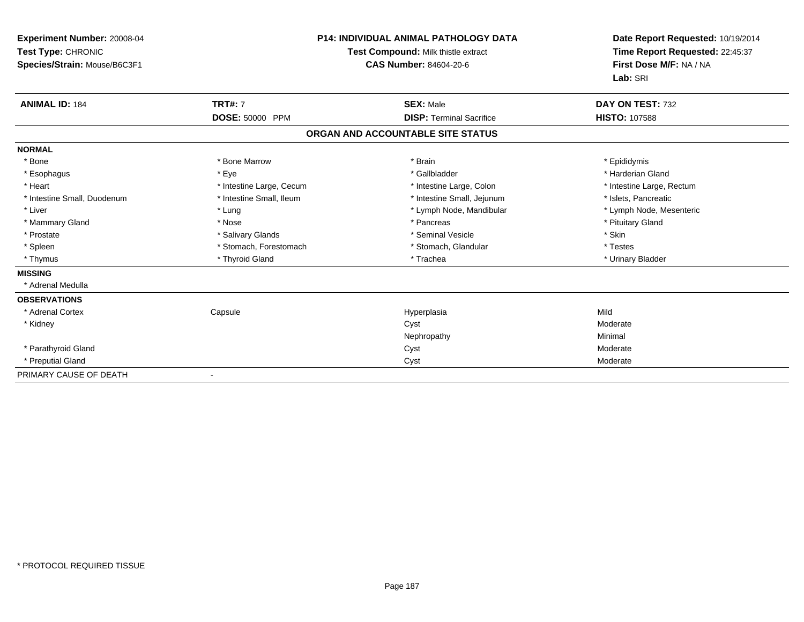| Experiment Number: 20008-04<br>Test Type: CHRONIC<br>Species/Strain: Mouse/B6C3F1 |                          | <b>P14: INDIVIDUAL ANIMAL PATHOLOGY DATA</b><br>Test Compound: Milk thistle extract<br><b>CAS Number: 84604-20-6</b> | Date Report Requested: 10/19/2014<br>Time Report Requested: 22:45:37<br>First Dose M/F: NA / NA<br>Lab: SRI |  |
|-----------------------------------------------------------------------------------|--------------------------|----------------------------------------------------------------------------------------------------------------------|-------------------------------------------------------------------------------------------------------------|--|
| <b>ANIMAL ID: 184</b>                                                             | <b>TRT#: 7</b>           | <b>SEX: Male</b>                                                                                                     | DAY ON TEST: 732                                                                                            |  |
|                                                                                   | DOSE: 50000 PPM          | <b>DISP: Terminal Sacrifice</b>                                                                                      | <b>HISTO: 107588</b>                                                                                        |  |
|                                                                                   |                          | ORGAN AND ACCOUNTABLE SITE STATUS                                                                                    |                                                                                                             |  |
| <b>NORMAL</b>                                                                     |                          |                                                                                                                      |                                                                                                             |  |
| * Bone                                                                            | * Bone Marrow            | * Brain                                                                                                              | * Epididymis                                                                                                |  |
| * Esophagus                                                                       | * Eye                    | * Gallbladder                                                                                                        | * Harderian Gland                                                                                           |  |
| * Heart                                                                           | * Intestine Large, Cecum | * Intestine Large, Colon                                                                                             | * Intestine Large, Rectum                                                                                   |  |
| * Intestine Small, Duodenum                                                       | * Intestine Small, Ileum | * Intestine Small, Jejunum                                                                                           | * Islets, Pancreatic                                                                                        |  |
| * Liver                                                                           | * Lung                   | * Lymph Node, Mandibular                                                                                             | * Lymph Node, Mesenteric                                                                                    |  |
| * Mammary Gland                                                                   | * Nose                   | * Pancreas                                                                                                           | * Pituitary Gland                                                                                           |  |
| * Prostate                                                                        | * Salivary Glands        | * Seminal Vesicle                                                                                                    | * Skin                                                                                                      |  |
| * Spleen                                                                          | * Stomach, Forestomach   | * Stomach, Glandular                                                                                                 | * Testes                                                                                                    |  |
| * Thymus                                                                          | * Thyroid Gland          | * Trachea                                                                                                            | * Urinary Bladder                                                                                           |  |
| <b>MISSING</b>                                                                    |                          |                                                                                                                      |                                                                                                             |  |
| * Adrenal Medulla                                                                 |                          |                                                                                                                      |                                                                                                             |  |
| <b>OBSERVATIONS</b>                                                               |                          |                                                                                                                      |                                                                                                             |  |
| * Adrenal Cortex                                                                  | Capsule                  | Hyperplasia                                                                                                          | Mild                                                                                                        |  |
| * Kidney                                                                          |                          | Cyst                                                                                                                 | Moderate                                                                                                    |  |
|                                                                                   |                          | Nephropathy                                                                                                          | Minimal                                                                                                     |  |
| * Parathyroid Gland                                                               |                          | Cyst                                                                                                                 | Moderate                                                                                                    |  |
| * Preputial Gland                                                                 |                          | Cyst                                                                                                                 | Moderate                                                                                                    |  |
| PRIMARY CAUSE OF DEATH                                                            |                          |                                                                                                                      |                                                                                                             |  |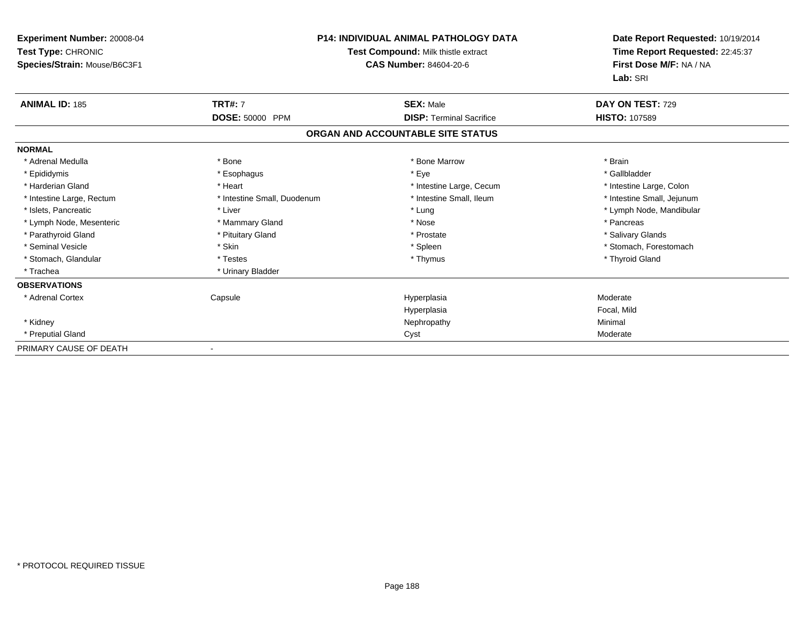| <b>Experiment Number: 20008-04</b><br>Test Type: CHRONIC<br>Species/Strain: Mouse/B6C3F1 | <b>P14: INDIVIDUAL ANIMAL PATHOLOGY DATA</b><br>Test Compound: Milk thistle extract<br><b>CAS Number: 84604-20-6</b> |                                   | Date Report Requested: 10/19/2014<br>Time Report Requested: 22:45:37<br>First Dose M/F: NA / NA<br>Lab: SRI |  |
|------------------------------------------------------------------------------------------|----------------------------------------------------------------------------------------------------------------------|-----------------------------------|-------------------------------------------------------------------------------------------------------------|--|
| <b>ANIMAL ID: 185</b>                                                                    | <b>TRT#: 7</b>                                                                                                       | <b>SEX: Male</b>                  | DAY ON TEST: 729                                                                                            |  |
|                                                                                          | DOSE: 50000 PPM                                                                                                      | <b>DISP:</b> Terminal Sacrifice   | <b>HISTO: 107589</b>                                                                                        |  |
|                                                                                          |                                                                                                                      | ORGAN AND ACCOUNTABLE SITE STATUS |                                                                                                             |  |
| <b>NORMAL</b>                                                                            |                                                                                                                      |                                   |                                                                                                             |  |
| * Adrenal Medulla                                                                        | * Bone                                                                                                               | * Bone Marrow                     | * Brain                                                                                                     |  |
| * Epididymis                                                                             | * Esophagus                                                                                                          | * Eye                             | * Gallbladder                                                                                               |  |
| * Harderian Gland                                                                        | * Heart                                                                                                              | * Intestine Large, Cecum          | * Intestine Large, Colon                                                                                    |  |
| * Intestine Large, Rectum                                                                | * Intestine Small, Duodenum                                                                                          | * Intestine Small, Ileum          | * Intestine Small, Jejunum                                                                                  |  |
| * Islets, Pancreatic                                                                     | * Liver                                                                                                              | * Lung                            | * Lymph Node, Mandibular                                                                                    |  |
| * Lymph Node, Mesenteric                                                                 | * Mammary Gland                                                                                                      | * Nose                            | * Pancreas                                                                                                  |  |
| * Parathyroid Gland                                                                      | * Pituitary Gland                                                                                                    | * Prostate                        | * Salivary Glands                                                                                           |  |
| * Seminal Vesicle                                                                        | * Skin                                                                                                               | * Spleen                          | * Stomach, Forestomach                                                                                      |  |
| * Stomach, Glandular                                                                     | * Testes                                                                                                             | * Thymus                          | * Thyroid Gland                                                                                             |  |
| * Trachea                                                                                | * Urinary Bladder                                                                                                    |                                   |                                                                                                             |  |
| <b>OBSERVATIONS</b>                                                                      |                                                                                                                      |                                   |                                                                                                             |  |
| * Adrenal Cortex                                                                         | Capsule                                                                                                              | Hyperplasia                       | Moderate                                                                                                    |  |
|                                                                                          |                                                                                                                      | Hyperplasia                       | Focal, Mild                                                                                                 |  |
| * Kidney                                                                                 |                                                                                                                      | Nephropathy                       | Minimal                                                                                                     |  |
| * Preputial Gland                                                                        |                                                                                                                      | Cyst                              | Moderate                                                                                                    |  |
| PRIMARY CAUSE OF DEATH                                                                   | $\blacksquare$                                                                                                       |                                   |                                                                                                             |  |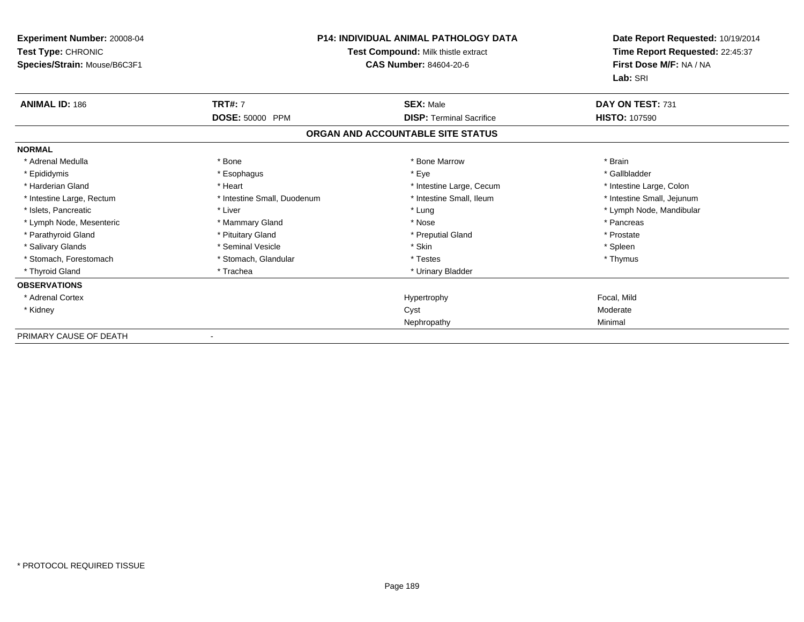| <b>Experiment Number: 20008-04</b><br>Test Type: CHRONIC<br>Species/Strain: Mouse/B6C3F1 | <b>P14: INDIVIDUAL ANIMAL PATHOLOGY DATA</b><br>Test Compound: Milk thistle extract<br><b>CAS Number: 84604-20-6</b> |                                   | Date Report Requested: 10/19/2014<br>Time Report Requested: 22:45:37<br>First Dose M/F: NA / NA<br>Lab: SRI |  |
|------------------------------------------------------------------------------------------|----------------------------------------------------------------------------------------------------------------------|-----------------------------------|-------------------------------------------------------------------------------------------------------------|--|
| <b>ANIMAL ID: 186</b>                                                                    | <b>TRT#: 7</b>                                                                                                       | <b>SEX: Male</b>                  | DAY ON TEST: 731                                                                                            |  |
|                                                                                          | <b>DOSE: 50000 PPM</b>                                                                                               | <b>DISP: Terminal Sacrifice</b>   | <b>HISTO: 107590</b>                                                                                        |  |
|                                                                                          |                                                                                                                      | ORGAN AND ACCOUNTABLE SITE STATUS |                                                                                                             |  |
| <b>NORMAL</b>                                                                            |                                                                                                                      |                                   |                                                                                                             |  |
| * Adrenal Medulla                                                                        | * Bone                                                                                                               | * Bone Marrow                     | * Brain                                                                                                     |  |
| * Epididymis                                                                             | * Esophagus                                                                                                          | * Eye                             | * Gallbladder                                                                                               |  |
| * Harderian Gland                                                                        | * Heart                                                                                                              | * Intestine Large, Cecum          | * Intestine Large, Colon                                                                                    |  |
| * Intestine Large, Rectum                                                                | * Intestine Small, Duodenum                                                                                          | * Intestine Small, Ileum          | * Intestine Small, Jejunum                                                                                  |  |
| * Islets, Pancreatic                                                                     | * Liver                                                                                                              | * Lung                            | * Lymph Node, Mandibular                                                                                    |  |
| * Lymph Node, Mesenteric                                                                 | * Mammary Gland                                                                                                      | * Nose                            | * Pancreas                                                                                                  |  |
| * Parathyroid Gland                                                                      | * Pituitary Gland                                                                                                    | * Preputial Gland                 | * Prostate                                                                                                  |  |
| * Salivary Glands                                                                        | * Seminal Vesicle                                                                                                    | * Skin                            | * Spleen                                                                                                    |  |
| * Stomach. Forestomach                                                                   | * Stomach, Glandular                                                                                                 | * Testes                          | * Thymus                                                                                                    |  |
| * Thyroid Gland                                                                          | * Trachea                                                                                                            | * Urinary Bladder                 |                                                                                                             |  |
| <b>OBSERVATIONS</b>                                                                      |                                                                                                                      |                                   |                                                                                                             |  |
| * Adrenal Cortex                                                                         |                                                                                                                      | Hypertrophy                       | Focal, Mild                                                                                                 |  |
| * Kidney                                                                                 |                                                                                                                      | Cyst                              | Moderate                                                                                                    |  |
|                                                                                          |                                                                                                                      | Nephropathy                       | Minimal                                                                                                     |  |
| PRIMARY CAUSE OF DEATH                                                                   | $\overline{\phantom{a}}$                                                                                             |                                   |                                                                                                             |  |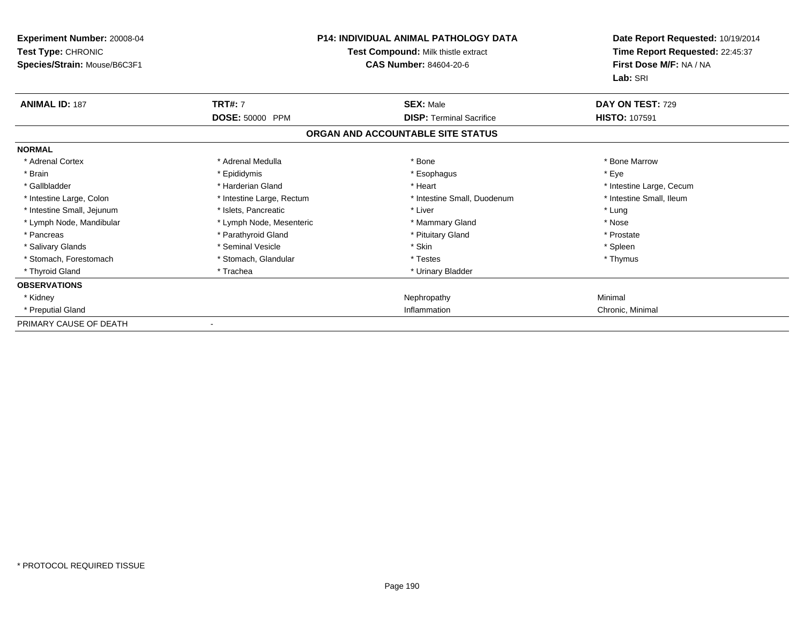| Experiment Number: 20008-04<br>Test Type: CHRONIC<br>Species/Strain: Mouse/B6C3F1 | <b>P14: INDIVIDUAL ANIMAL PATHOLOGY DATA</b><br>Test Compound: Milk thistle extract<br><b>CAS Number: 84604-20-6</b> |                                   | Date Report Requested: 10/19/2014<br>Time Report Requested: 22:45:37<br>First Dose M/F: NA / NA<br>Lab: SRI |  |
|-----------------------------------------------------------------------------------|----------------------------------------------------------------------------------------------------------------------|-----------------------------------|-------------------------------------------------------------------------------------------------------------|--|
| <b>ANIMAL ID: 187</b>                                                             | <b>TRT#: 7</b>                                                                                                       | <b>SEX: Male</b>                  | DAY ON TEST: 729                                                                                            |  |
|                                                                                   | DOSE: 50000 PPM                                                                                                      | <b>DISP: Terminal Sacrifice</b>   | <b>HISTO: 107591</b>                                                                                        |  |
|                                                                                   |                                                                                                                      | ORGAN AND ACCOUNTABLE SITE STATUS |                                                                                                             |  |
| <b>NORMAL</b>                                                                     |                                                                                                                      |                                   |                                                                                                             |  |
| * Adrenal Cortex                                                                  | * Adrenal Medulla                                                                                                    | * Bone                            | * Bone Marrow                                                                                               |  |
| * Brain                                                                           | * Epididymis                                                                                                         | * Esophagus                       | * Eye                                                                                                       |  |
| * Gallbladder                                                                     | * Harderian Gland                                                                                                    | * Heart                           | * Intestine Large, Cecum                                                                                    |  |
| * Intestine Large, Colon                                                          | * Intestine Large, Rectum                                                                                            | * Intestine Small, Duodenum       | * Intestine Small, Ileum                                                                                    |  |
| * Intestine Small, Jejunum                                                        | * Islets, Pancreatic                                                                                                 | * Liver                           | * Lung                                                                                                      |  |
| * Lymph Node, Mandibular                                                          | * Lymph Node, Mesenteric                                                                                             | * Mammary Gland                   | * Nose                                                                                                      |  |
| * Pancreas                                                                        | * Parathyroid Gland                                                                                                  | * Pituitary Gland                 | * Prostate                                                                                                  |  |
| * Salivary Glands                                                                 | * Seminal Vesicle                                                                                                    | * Skin                            | * Spleen                                                                                                    |  |
| * Stomach, Forestomach                                                            | * Stomach, Glandular                                                                                                 | * Testes                          | * Thymus                                                                                                    |  |
| * Thyroid Gland                                                                   | * Trachea                                                                                                            | * Urinary Bladder                 |                                                                                                             |  |
| <b>OBSERVATIONS</b>                                                               |                                                                                                                      |                                   |                                                                                                             |  |
| * Kidney                                                                          |                                                                                                                      | Nephropathy                       | Minimal                                                                                                     |  |
| * Preputial Gland                                                                 |                                                                                                                      | Inflammation                      | Chronic, Minimal                                                                                            |  |
| PRIMARY CAUSE OF DEATH                                                            |                                                                                                                      |                                   |                                                                                                             |  |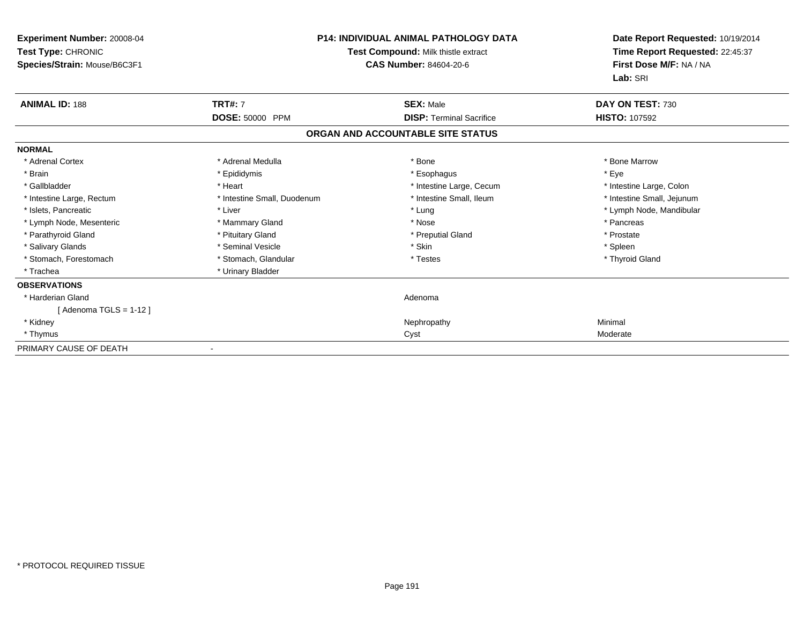| Experiment Number: 20008-04<br>Test Type: CHRONIC<br>Species/Strain: Mouse/B6C3F1 |                             | <b>P14: INDIVIDUAL ANIMAL PATHOLOGY DATA</b><br>Test Compound: Milk thistle extract<br>CAS Number: 84604-20-6 |                            |
|-----------------------------------------------------------------------------------|-----------------------------|---------------------------------------------------------------------------------------------------------------|----------------------------|
| <b>ANIMAL ID: 188</b>                                                             | <b>TRT#: 7</b>              | <b>SEX: Male</b>                                                                                              | DAY ON TEST: 730           |
|                                                                                   | DOSE: 50000 PPM             | <b>DISP: Terminal Sacrifice</b>                                                                               | <b>HISTO: 107592</b>       |
|                                                                                   |                             | ORGAN AND ACCOUNTABLE SITE STATUS                                                                             |                            |
| <b>NORMAL</b>                                                                     |                             |                                                                                                               |                            |
| * Adrenal Cortex                                                                  | * Adrenal Medulla           | * Bone                                                                                                        | * Bone Marrow              |
| * Brain                                                                           | * Epididymis                | * Esophagus                                                                                                   | * Eve                      |
| * Gallbladder                                                                     | * Heart                     | * Intestine Large, Cecum                                                                                      | * Intestine Large, Colon   |
| * Intestine Large, Rectum                                                         | * Intestine Small, Duodenum | * Intestine Small, Ileum                                                                                      | * Intestine Small, Jejunum |
| * Islets, Pancreatic                                                              | * Liver                     | * Lung                                                                                                        | * Lymph Node, Mandibular   |
| * Lymph Node, Mesenteric                                                          | * Mammary Gland             | * Nose                                                                                                        | * Pancreas                 |
| * Parathyroid Gland                                                               | * Pituitary Gland           | * Preputial Gland                                                                                             | * Prostate                 |
| * Salivary Glands                                                                 | * Seminal Vesicle           | * Skin                                                                                                        | * Spleen                   |
| * Stomach, Forestomach                                                            | * Stomach, Glandular        | * Testes                                                                                                      | * Thyroid Gland            |
| * Trachea                                                                         | * Urinary Bladder           |                                                                                                               |                            |
| <b>OBSERVATIONS</b>                                                               |                             |                                                                                                               |                            |
| * Harderian Gland                                                                 |                             | Adenoma                                                                                                       |                            |
| [Adenoma TGLS = $1-12$ ]                                                          |                             |                                                                                                               |                            |
| * Kidney                                                                          |                             | Nephropathy                                                                                                   | Minimal                    |
| * Thymus                                                                          |                             | Cyst                                                                                                          | Moderate                   |
| PRIMARY CAUSE OF DEATH                                                            |                             |                                                                                                               |                            |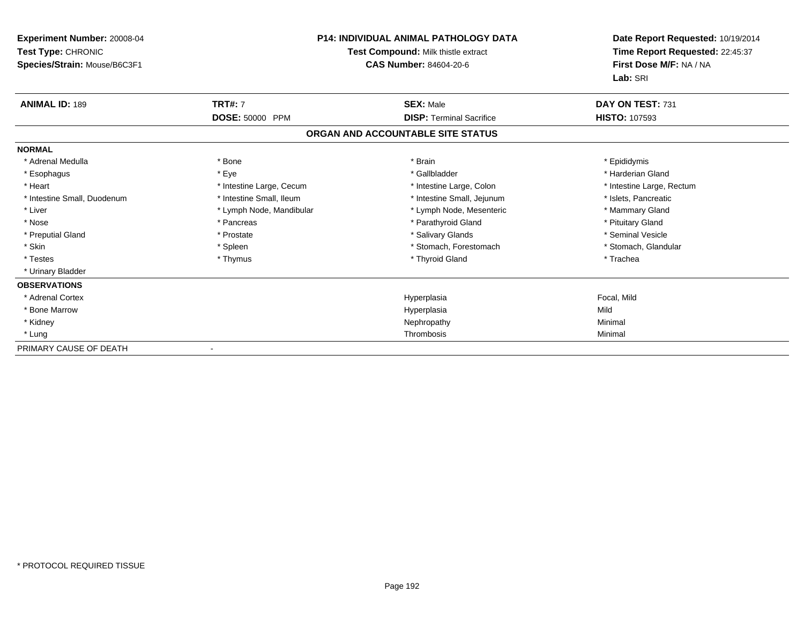| Experiment Number: 20008-04<br>Test Type: CHRONIC<br>Species/Strain: Mouse/B6C3F1 | <b>P14: INDIVIDUAL ANIMAL PATHOLOGY DATA</b><br>Test Compound: Milk thistle extract<br>CAS Number: 84604-20-6 |                                   | Date Report Requested: 10/19/2014<br>Time Report Requested: 22:45:37<br>First Dose M/F: NA / NA<br>Lab: SRI |  |
|-----------------------------------------------------------------------------------|---------------------------------------------------------------------------------------------------------------|-----------------------------------|-------------------------------------------------------------------------------------------------------------|--|
| <b>ANIMAL ID: 189</b>                                                             | <b>TRT#: 7</b>                                                                                                | <b>SEX: Male</b>                  | DAY ON TEST: 731                                                                                            |  |
|                                                                                   | DOSE: 50000 PPM                                                                                               | <b>DISP: Terminal Sacrifice</b>   | <b>HISTO: 107593</b>                                                                                        |  |
|                                                                                   |                                                                                                               | ORGAN AND ACCOUNTABLE SITE STATUS |                                                                                                             |  |
| <b>NORMAL</b>                                                                     |                                                                                                               |                                   |                                                                                                             |  |
| * Adrenal Medulla                                                                 | * Bone                                                                                                        | * Brain                           | * Epididymis                                                                                                |  |
| * Esophagus                                                                       | * Eye                                                                                                         | * Gallbladder                     | * Harderian Gland                                                                                           |  |
| * Heart                                                                           | * Intestine Large, Cecum                                                                                      | * Intestine Large, Colon          | * Intestine Large, Rectum                                                                                   |  |
| * Intestine Small, Duodenum                                                       | * Intestine Small, Ileum                                                                                      | * Intestine Small, Jejunum        | * Islets, Pancreatic                                                                                        |  |
| * Liver                                                                           | * Lymph Node, Mandibular                                                                                      | * Lymph Node, Mesenteric          | * Mammary Gland                                                                                             |  |
| * Nose                                                                            | * Pancreas                                                                                                    | * Parathyroid Gland               | * Pituitary Gland                                                                                           |  |
| * Preputial Gland                                                                 | * Prostate                                                                                                    | * Salivary Glands                 | * Seminal Vesicle                                                                                           |  |
| * Skin                                                                            | * Spleen                                                                                                      | * Stomach, Forestomach            | * Stomach, Glandular                                                                                        |  |
| * Testes                                                                          | * Thymus                                                                                                      | * Thyroid Gland                   | * Trachea                                                                                                   |  |
| * Urinary Bladder                                                                 |                                                                                                               |                                   |                                                                                                             |  |
| <b>OBSERVATIONS</b>                                                               |                                                                                                               |                                   |                                                                                                             |  |
| * Adrenal Cortex                                                                  |                                                                                                               | Hyperplasia                       | Focal, Mild                                                                                                 |  |
| * Bone Marrow                                                                     |                                                                                                               | Hyperplasia                       | Mild                                                                                                        |  |
| * Kidney                                                                          |                                                                                                               | Nephropathy                       | Minimal                                                                                                     |  |
| * Lung                                                                            |                                                                                                               | Thrombosis                        | Minimal                                                                                                     |  |
| PRIMARY CAUSE OF DEATH                                                            |                                                                                                               |                                   |                                                                                                             |  |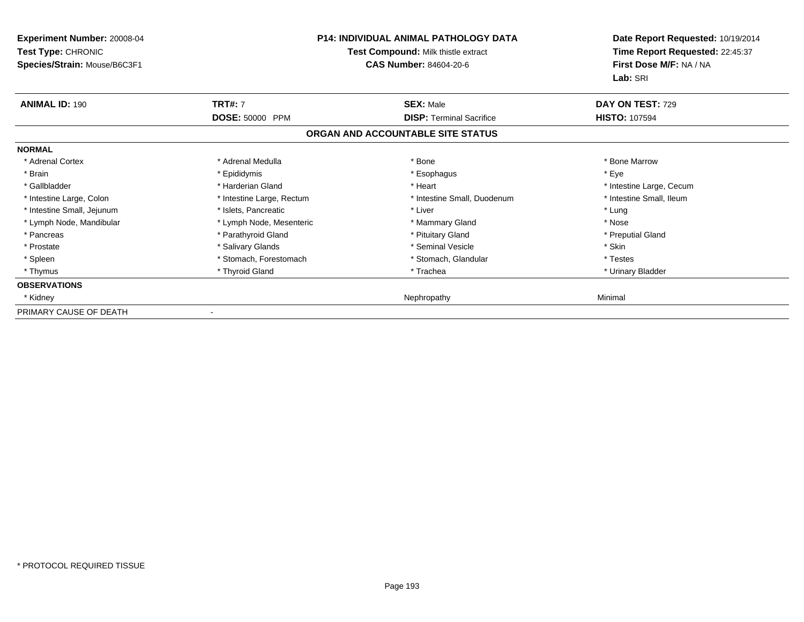| Experiment Number: 20008-04<br><b>Test Type: CHRONIC</b><br>Species/Strain: Mouse/B6C3F1 | <b>P14: INDIVIDUAL ANIMAL PATHOLOGY DATA</b><br>Test Compound: Milk thistle extract<br><b>CAS Number: 84604-20-6</b> |                                   | Date Report Requested: 10/19/2014<br>Time Report Requested: 22:45:37<br>First Dose M/F: NA / NA<br>Lab: SRI |
|------------------------------------------------------------------------------------------|----------------------------------------------------------------------------------------------------------------------|-----------------------------------|-------------------------------------------------------------------------------------------------------------|
| <b>ANIMAL ID: 190</b>                                                                    | <b>TRT#: 7</b>                                                                                                       | <b>SEX: Male</b>                  | DAY ON TEST: 729                                                                                            |
|                                                                                          | <b>DOSE: 50000 PPM</b>                                                                                               | <b>DISP: Terminal Sacrifice</b>   | <b>HISTO: 107594</b>                                                                                        |
|                                                                                          |                                                                                                                      | ORGAN AND ACCOUNTABLE SITE STATUS |                                                                                                             |
| <b>NORMAL</b>                                                                            |                                                                                                                      |                                   |                                                                                                             |
| * Adrenal Cortex                                                                         | * Adrenal Medulla                                                                                                    | * Bone                            | * Bone Marrow                                                                                               |
| * Brain                                                                                  | * Epididymis                                                                                                         | * Esophagus                       | * Eye                                                                                                       |
| * Gallbladder                                                                            | * Harderian Gland                                                                                                    | * Heart                           | * Intestine Large, Cecum                                                                                    |
| * Intestine Large, Colon                                                                 | * Intestine Large, Rectum                                                                                            | * Intestine Small, Duodenum       | * Intestine Small, Ileum                                                                                    |
| * Intestine Small, Jejunum                                                               | * Islets, Pancreatic                                                                                                 | * Liver                           | * Lung                                                                                                      |
| * Lymph Node, Mandibular                                                                 | * Lymph Node, Mesenteric                                                                                             | * Mammary Gland                   | * Nose                                                                                                      |
| * Pancreas                                                                               | * Parathyroid Gland                                                                                                  | * Pituitary Gland                 | * Preputial Gland                                                                                           |
| * Prostate                                                                               | * Salivary Glands                                                                                                    | * Seminal Vesicle                 | * Skin                                                                                                      |
| * Spleen                                                                                 | * Stomach, Forestomach                                                                                               | * Stomach, Glandular              | * Testes                                                                                                    |
| * Thymus                                                                                 | * Thyroid Gland                                                                                                      | * Trachea                         | * Urinary Bladder                                                                                           |
| <b>OBSERVATIONS</b>                                                                      |                                                                                                                      |                                   |                                                                                                             |
| * Kidney                                                                                 |                                                                                                                      | Nephropathy                       | Minimal                                                                                                     |
| PRIMARY CAUSE OF DEATH                                                                   |                                                                                                                      |                                   |                                                                                                             |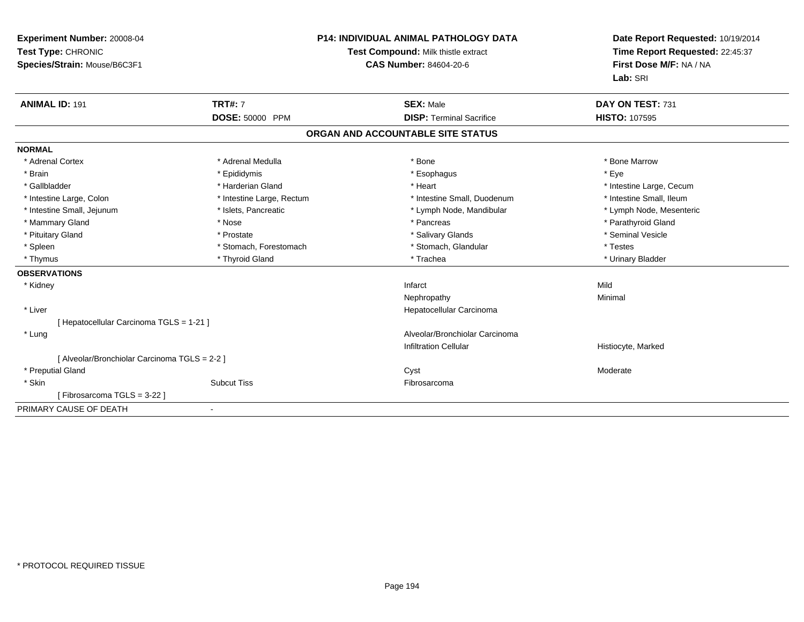| Experiment Number: 20008-04<br>Test Type: CHRONIC<br>Species/Strain: Mouse/B6C3F1 |                                   | <b>P14: INDIVIDUAL ANIMAL PATHOLOGY DATA</b><br>Test Compound: Milk thistle extract<br><b>CAS Number: 84604-20-6</b> | Date Report Requested: 10/19/2014<br>Time Report Requested: 22:45:37<br>First Dose M/F: NA / NA<br>Lab: SRI |
|-----------------------------------------------------------------------------------|-----------------------------------|----------------------------------------------------------------------------------------------------------------------|-------------------------------------------------------------------------------------------------------------|
| <b>ANIMAL ID: 191</b>                                                             | <b>TRT#: 7</b><br>DOSE: 50000 PPM | <b>SEX: Male</b><br><b>DISP: Terminal Sacrifice</b>                                                                  | DAY ON TEST: 731<br><b>HISTO: 107595</b>                                                                    |
|                                                                                   |                                   |                                                                                                                      |                                                                                                             |
|                                                                                   |                                   | ORGAN AND ACCOUNTABLE SITE STATUS                                                                                    |                                                                                                             |
| <b>NORMAL</b>                                                                     |                                   |                                                                                                                      |                                                                                                             |
| * Adrenal Cortex                                                                  | * Adrenal Medulla                 | * Bone                                                                                                               | * Bone Marrow                                                                                               |
| * Brain                                                                           | * Epididymis                      | * Esophagus                                                                                                          | * Eye                                                                                                       |
| * Gallbladder                                                                     | * Harderian Gland                 | * Heart                                                                                                              | * Intestine Large, Cecum                                                                                    |
| * Intestine Large, Colon                                                          | * Intestine Large, Rectum         | * Intestine Small, Duodenum                                                                                          | * Intestine Small, Ileum                                                                                    |
| * Intestine Small, Jejunum                                                        | * Islets, Pancreatic              | * Lymph Node, Mandibular                                                                                             | * Lymph Node, Mesenteric                                                                                    |
| * Mammary Gland                                                                   | * Nose                            | * Pancreas                                                                                                           | * Parathyroid Gland                                                                                         |
| * Pituitary Gland                                                                 | * Prostate                        | * Salivary Glands                                                                                                    | * Seminal Vesicle                                                                                           |
| * Spleen                                                                          | * Stomach, Forestomach            | * Stomach, Glandular                                                                                                 | * Testes                                                                                                    |
| * Thymus                                                                          | * Thyroid Gland                   | * Trachea                                                                                                            | * Urinary Bladder                                                                                           |
| <b>OBSERVATIONS</b>                                                               |                                   |                                                                                                                      |                                                                                                             |
| * Kidney                                                                          |                                   | Infarct                                                                                                              | Mild                                                                                                        |
|                                                                                   |                                   | Nephropathy                                                                                                          | Minimal                                                                                                     |
| * Liver                                                                           |                                   | Hepatocellular Carcinoma                                                                                             |                                                                                                             |
| [Hepatocellular Carcinoma TGLS = 1-21]                                            |                                   |                                                                                                                      |                                                                                                             |
| * Lung                                                                            |                                   | Alveolar/Bronchiolar Carcinoma                                                                                       |                                                                                                             |
|                                                                                   |                                   | <b>Infiltration Cellular</b>                                                                                         | Histiocyte, Marked                                                                                          |
| [ Alveolar/Bronchiolar Carcinoma TGLS = 2-2 ]                                     |                                   |                                                                                                                      |                                                                                                             |
| * Preputial Gland                                                                 |                                   | Cyst                                                                                                                 | Moderate                                                                                                    |
| * Skin                                                                            | <b>Subcut Tiss</b>                | Fibrosarcoma                                                                                                         |                                                                                                             |
| [Fibrosarcoma TGLS = 3-22]                                                        |                                   |                                                                                                                      |                                                                                                             |
| PRIMARY CAUSE OF DEATH                                                            |                                   |                                                                                                                      |                                                                                                             |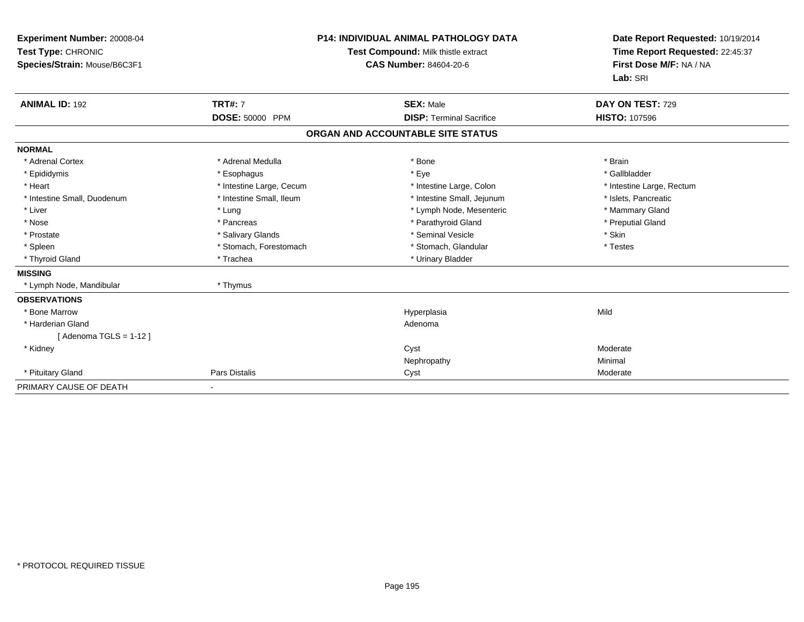| Experiment Number: 20008-04<br>Test Type: CHRONIC<br>Species/Strain: Mouse/B6C3F1 |                          | <b>P14: INDIVIDUAL ANIMAL PATHOLOGY DATA</b><br>Test Compound: Milk thistle extract<br><b>CAS Number: 84604-20-6</b> | Date Report Requested: 10/19/2014<br>Time Report Requested: 22:45:37<br>First Dose M/F: NA / NA<br>Lab: SRI |
|-----------------------------------------------------------------------------------|--------------------------|----------------------------------------------------------------------------------------------------------------------|-------------------------------------------------------------------------------------------------------------|
| <b>ANIMAL ID: 192</b>                                                             | <b>TRT#: 7</b>           | <b>SEX: Male</b>                                                                                                     | DAY ON TEST: 729                                                                                            |
|                                                                                   | <b>DOSE: 50000 PPM</b>   | <b>DISP: Terminal Sacrifice</b>                                                                                      | <b>HISTO: 107596</b>                                                                                        |
|                                                                                   |                          | ORGAN AND ACCOUNTABLE SITE STATUS                                                                                    |                                                                                                             |
| <b>NORMAL</b>                                                                     |                          |                                                                                                                      |                                                                                                             |
| * Adrenal Cortex                                                                  | * Adrenal Medulla        | * Bone                                                                                                               | * Brain                                                                                                     |
| * Epididymis                                                                      | * Esophagus              | * Eye                                                                                                                | * Gallbladder                                                                                               |
| * Heart                                                                           | * Intestine Large, Cecum | * Intestine Large, Colon                                                                                             | * Intestine Large, Rectum                                                                                   |
| * Intestine Small, Duodenum                                                       | * Intestine Small, Ileum | * Intestine Small, Jejunum                                                                                           | * Islets, Pancreatic                                                                                        |
| * Liver                                                                           | * Lung                   | * Lymph Node, Mesenteric                                                                                             | * Mammary Gland                                                                                             |
| * Nose                                                                            | * Pancreas               | * Parathyroid Gland                                                                                                  | * Preputial Gland                                                                                           |
| * Prostate                                                                        | * Salivary Glands        | * Seminal Vesicle                                                                                                    | * Skin                                                                                                      |
| * Spleen                                                                          | * Stomach, Forestomach   | * Stomach, Glandular                                                                                                 | * Testes                                                                                                    |
| * Thyroid Gland                                                                   | * Trachea                | * Urinary Bladder                                                                                                    |                                                                                                             |
| <b>MISSING</b>                                                                    |                          |                                                                                                                      |                                                                                                             |
| * Lymph Node, Mandibular                                                          | * Thymus                 |                                                                                                                      |                                                                                                             |
| <b>OBSERVATIONS</b>                                                               |                          |                                                                                                                      |                                                                                                             |
| * Bone Marrow                                                                     |                          | Hyperplasia                                                                                                          | Mild                                                                                                        |
| * Harderian Gland                                                                 |                          | Adenoma                                                                                                              |                                                                                                             |
| [Adenoma TGLS = $1-12$ ]                                                          |                          |                                                                                                                      |                                                                                                             |
| * Kidney                                                                          |                          | Cyst                                                                                                                 | Moderate                                                                                                    |
|                                                                                   |                          | Nephropathy                                                                                                          | Minimal                                                                                                     |
| * Pituitary Gland                                                                 | Pars Distalis            | Cyst                                                                                                                 | Moderate                                                                                                    |
| PRIMARY CAUSE OF DEATH                                                            |                          |                                                                                                                      |                                                                                                             |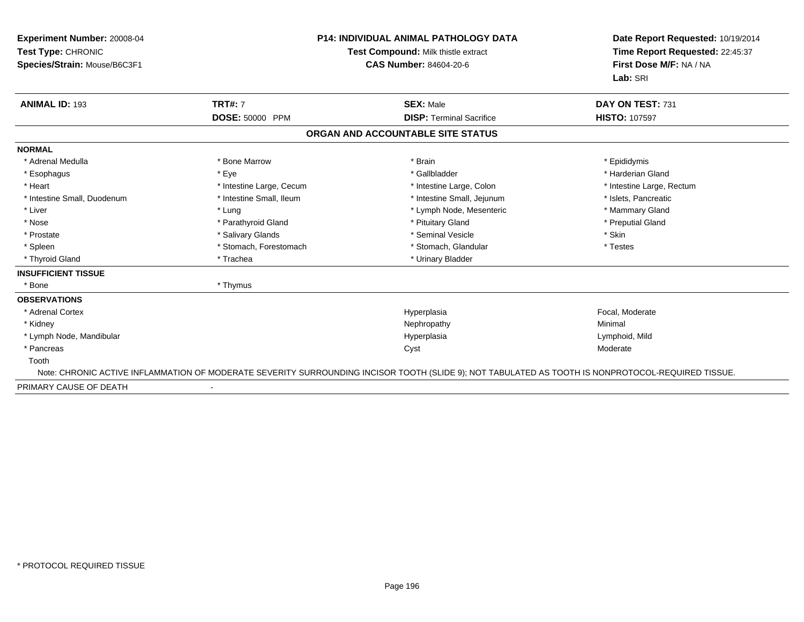| Experiment Number: 20008-04<br>Test Type: CHRONIC<br>Species/Strain: Mouse/B6C3F1 |                          | <b>P14: INDIVIDUAL ANIMAL PATHOLOGY DATA</b><br><b>Test Compound: Milk thistle extract</b><br><b>CAS Number: 84604-20-6</b>                        | Date Report Requested: 10/19/2014<br>Time Report Requested: 22:45:37<br>First Dose M/F: NA / NA<br>Lab: SRI |
|-----------------------------------------------------------------------------------|--------------------------|----------------------------------------------------------------------------------------------------------------------------------------------------|-------------------------------------------------------------------------------------------------------------|
| <b>ANIMAL ID: 193</b>                                                             | <b>TRT#: 7</b>           | <b>SEX: Male</b>                                                                                                                                   | DAY ON TEST: 731                                                                                            |
|                                                                                   | DOSE: 50000 PPM          | <b>DISP: Terminal Sacrifice</b>                                                                                                                    | <b>HISTO: 107597</b>                                                                                        |
|                                                                                   |                          | ORGAN AND ACCOUNTABLE SITE STATUS                                                                                                                  |                                                                                                             |
| <b>NORMAL</b>                                                                     |                          |                                                                                                                                                    |                                                                                                             |
| * Adrenal Medulla                                                                 | * Bone Marrow            | * Brain                                                                                                                                            | * Epididymis                                                                                                |
| * Esophagus                                                                       | * Eye                    | * Gallbladder                                                                                                                                      | * Harderian Gland                                                                                           |
| * Heart                                                                           | * Intestine Large, Cecum | * Intestine Large, Colon                                                                                                                           | * Intestine Large, Rectum                                                                                   |
| * Intestine Small, Duodenum                                                       | * Intestine Small, Ileum | * Intestine Small, Jejunum                                                                                                                         | * Islets, Pancreatic                                                                                        |
| * Liver                                                                           | * Lung                   | * Lymph Node, Mesenteric                                                                                                                           | * Mammary Gland                                                                                             |
| * Nose                                                                            | * Parathyroid Gland      | * Pituitary Gland                                                                                                                                  | * Preputial Gland                                                                                           |
| * Prostate                                                                        | * Salivary Glands        | * Seminal Vesicle                                                                                                                                  | * Skin                                                                                                      |
| * Spleen                                                                          | * Stomach, Forestomach   | * Stomach, Glandular                                                                                                                               | * Testes                                                                                                    |
| * Thyroid Gland                                                                   | * Trachea                | * Urinary Bladder                                                                                                                                  |                                                                                                             |
| <b>INSUFFICIENT TISSUE</b>                                                        |                          |                                                                                                                                                    |                                                                                                             |
| * Bone                                                                            | * Thymus                 |                                                                                                                                                    |                                                                                                             |
| <b>OBSERVATIONS</b>                                                               |                          |                                                                                                                                                    |                                                                                                             |
| * Adrenal Cortex                                                                  |                          | Hyperplasia                                                                                                                                        | Focal, Moderate                                                                                             |
| * Kidney                                                                          |                          | Nephropathy                                                                                                                                        | Minimal                                                                                                     |
| * Lymph Node, Mandibular                                                          |                          | Hyperplasia                                                                                                                                        | Lymphoid, Mild                                                                                              |
| * Pancreas                                                                        |                          | Cyst                                                                                                                                               | Moderate                                                                                                    |
| Tooth                                                                             |                          |                                                                                                                                                    |                                                                                                             |
|                                                                                   |                          | Note: CHRONIC ACTIVE INFLAMMATION OF MODERATE SEVERITY SURROUNDING INCISOR TOOTH (SLIDE 9); NOT TABULATED AS TOOTH IS NONPROTOCOL-REQUIRED TISSUE. |                                                                                                             |
| PRIMARY CAUSE OF DEATH                                                            |                          |                                                                                                                                                    |                                                                                                             |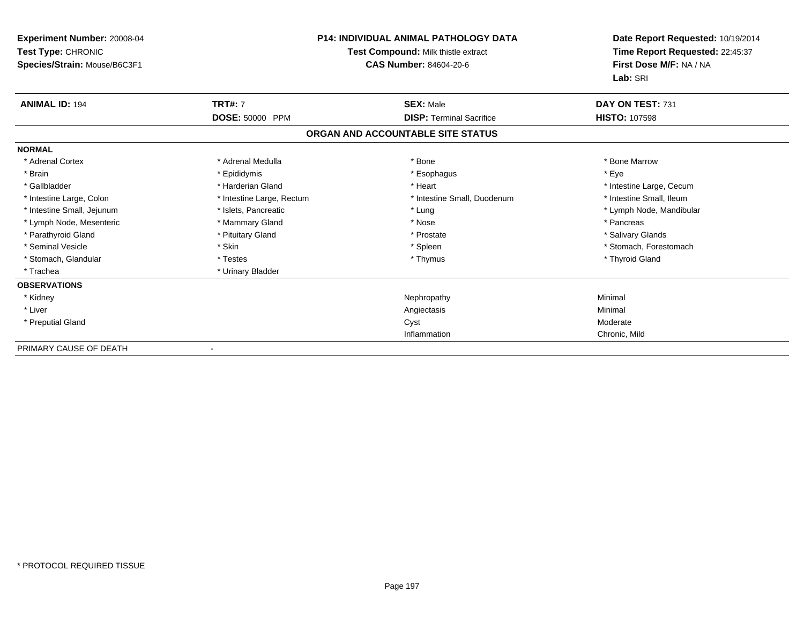| <b>Experiment Number: 20008-04</b><br>Test Type: CHRONIC<br>Species/Strain: Mouse/B6C3F1 |                           | <b>P14: INDIVIDUAL ANIMAL PATHOLOGY DATA</b><br>Test Compound: Milk thistle extract<br>CAS Number: 84604-20-6 | Date Report Requested: 10/19/2014<br>Time Report Requested: 22:45:37<br>First Dose M/F: NA / NA<br>Lab: SRI |
|------------------------------------------------------------------------------------------|---------------------------|---------------------------------------------------------------------------------------------------------------|-------------------------------------------------------------------------------------------------------------|
| <b>ANIMAL ID: 194</b>                                                                    | <b>TRT#: 7</b>            | <b>SEX: Male</b>                                                                                              | DAY ON TEST: 731                                                                                            |
|                                                                                          | DOSE: 50000 PPM           | <b>DISP: Terminal Sacrifice</b>                                                                               | <b>HISTO: 107598</b>                                                                                        |
|                                                                                          |                           | ORGAN AND ACCOUNTABLE SITE STATUS                                                                             |                                                                                                             |
| <b>NORMAL</b>                                                                            |                           |                                                                                                               |                                                                                                             |
| * Adrenal Cortex                                                                         | * Adrenal Medulla         | * Bone                                                                                                        | * Bone Marrow                                                                                               |
| * Brain                                                                                  | * Epididymis              | * Esophagus                                                                                                   | * Eve                                                                                                       |
| * Gallbladder                                                                            | * Harderian Gland         | * Heart                                                                                                       | * Intestine Large, Cecum                                                                                    |
| * Intestine Large, Colon                                                                 | * Intestine Large, Rectum | * Intestine Small, Duodenum                                                                                   | * Intestine Small. Ileum                                                                                    |
| * Intestine Small, Jejunum                                                               | * Islets, Pancreatic      | * Lung                                                                                                        | * Lymph Node, Mandibular                                                                                    |
| * Lymph Node, Mesenteric                                                                 | * Mammary Gland           | * Nose                                                                                                        | * Pancreas                                                                                                  |
| * Parathyroid Gland                                                                      | * Pituitary Gland         | * Prostate                                                                                                    | * Salivary Glands                                                                                           |
| * Seminal Vesicle                                                                        | * Skin                    | * Spleen                                                                                                      | * Stomach, Forestomach                                                                                      |
| * Stomach, Glandular                                                                     | * Testes                  | * Thymus                                                                                                      | * Thyroid Gland                                                                                             |
| * Trachea                                                                                | * Urinary Bladder         |                                                                                                               |                                                                                                             |
| <b>OBSERVATIONS</b>                                                                      |                           |                                                                                                               |                                                                                                             |
| * Kidney                                                                                 |                           | Nephropathy                                                                                                   | Minimal                                                                                                     |
| * Liver                                                                                  |                           | Angiectasis                                                                                                   | Minimal                                                                                                     |
| * Preputial Gland                                                                        |                           | Cyst                                                                                                          | Moderate                                                                                                    |
|                                                                                          |                           | Inflammation                                                                                                  | Chronic, Mild                                                                                               |
| PRIMARY CAUSE OF DEATH                                                                   |                           |                                                                                                               |                                                                                                             |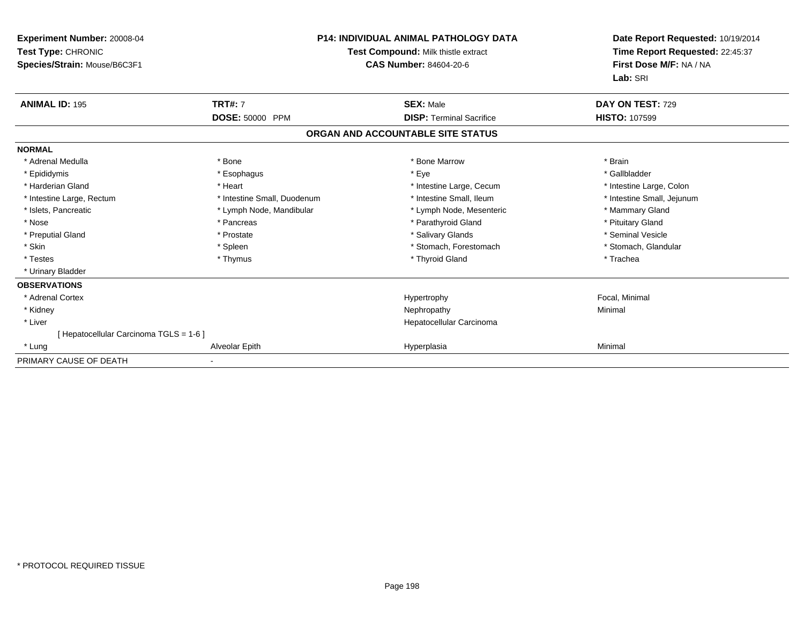| Experiment Number: 20008-04<br>Test Type: CHRONIC<br>Species/Strain: Mouse/B6C3F1 |                             | <b>P14: INDIVIDUAL ANIMAL PATHOLOGY DATA</b><br>Test Compound: Milk thistle extract<br><b>CAS Number: 84604-20-6</b> | Date Report Requested: 10/19/2014<br>Time Report Requested: 22:45:37<br>First Dose M/F: NA / NA<br>Lab: SRI |
|-----------------------------------------------------------------------------------|-----------------------------|----------------------------------------------------------------------------------------------------------------------|-------------------------------------------------------------------------------------------------------------|
| <b>ANIMAL ID: 195</b>                                                             | <b>TRT#: 7</b>              | <b>SEX: Male</b>                                                                                                     | DAY ON TEST: 729                                                                                            |
|                                                                                   | DOSE: 50000 PPM             | <b>DISP: Terminal Sacrifice</b>                                                                                      | <b>HISTO: 107599</b>                                                                                        |
|                                                                                   |                             | ORGAN AND ACCOUNTABLE SITE STATUS                                                                                    |                                                                                                             |
| <b>NORMAL</b>                                                                     |                             |                                                                                                                      |                                                                                                             |
| * Adrenal Medulla                                                                 | * Bone                      | * Bone Marrow                                                                                                        | * Brain                                                                                                     |
| * Epididymis                                                                      | * Esophagus                 | * Eye                                                                                                                | * Gallbladder                                                                                               |
| * Harderian Gland                                                                 | * Heart                     | * Intestine Large, Cecum                                                                                             | * Intestine Large, Colon                                                                                    |
| * Intestine Large, Rectum                                                         | * Intestine Small, Duodenum | * Intestine Small. Ileum                                                                                             | * Intestine Small, Jejunum                                                                                  |
| * Islets, Pancreatic                                                              | * Lymph Node, Mandibular    | * Lymph Node, Mesenteric                                                                                             | * Mammary Gland                                                                                             |
| * Nose                                                                            | * Pancreas                  | * Parathyroid Gland                                                                                                  | * Pituitary Gland                                                                                           |
| * Preputial Gland                                                                 | * Prostate                  | * Salivary Glands                                                                                                    | * Seminal Vesicle                                                                                           |
| * Skin                                                                            | * Spleen                    | * Stomach, Forestomach                                                                                               | * Stomach, Glandular                                                                                        |
| * Testes                                                                          | * Thymus                    | * Thyroid Gland                                                                                                      | * Trachea                                                                                                   |
| * Urinary Bladder                                                                 |                             |                                                                                                                      |                                                                                                             |
| <b>OBSERVATIONS</b>                                                               |                             |                                                                                                                      |                                                                                                             |
| * Adrenal Cortex                                                                  |                             | Hypertrophy                                                                                                          | Focal, Minimal                                                                                              |
| * Kidney                                                                          |                             | Nephropathy                                                                                                          | Minimal                                                                                                     |
| * Liver                                                                           |                             | Hepatocellular Carcinoma                                                                                             |                                                                                                             |
| [ Hepatocellular Carcinoma TGLS = 1-6 ]                                           |                             |                                                                                                                      |                                                                                                             |
| * Lung                                                                            | Alveolar Epith              | Hyperplasia                                                                                                          | Minimal                                                                                                     |
| PRIMARY CAUSE OF DEATH                                                            |                             |                                                                                                                      |                                                                                                             |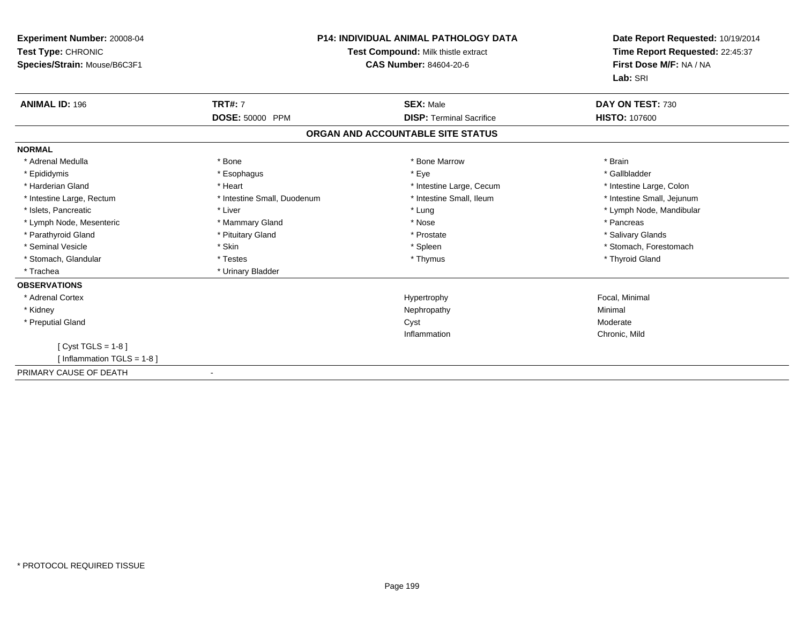| Experiment Number: 20008-04<br>Test Type: CHRONIC<br>Species/Strain: Mouse/B6C3F1 | <b>P14: INDIVIDUAL ANIMAL PATHOLOGY DATA</b><br>Test Compound: Milk thistle extract<br>CAS Number: 84604-20-6 |                                   | Date Report Requested: 10/19/2014<br>Time Report Requested: 22:45:37<br>First Dose M/F: NA / NA<br>Lab: SRI |
|-----------------------------------------------------------------------------------|---------------------------------------------------------------------------------------------------------------|-----------------------------------|-------------------------------------------------------------------------------------------------------------|
| <b>ANIMAL ID: 196</b>                                                             | <b>TRT#: 7</b>                                                                                                | <b>SEX: Male</b>                  | DAY ON TEST: 730                                                                                            |
|                                                                                   | DOSE: 50000 PPM                                                                                               | <b>DISP: Terminal Sacrifice</b>   | <b>HISTO: 107600</b>                                                                                        |
|                                                                                   |                                                                                                               | ORGAN AND ACCOUNTABLE SITE STATUS |                                                                                                             |
| <b>NORMAL</b>                                                                     |                                                                                                               |                                   |                                                                                                             |
| * Adrenal Medulla                                                                 | * Bone                                                                                                        | * Bone Marrow                     | * Brain                                                                                                     |
| * Epididymis                                                                      | * Esophagus                                                                                                   | * Eye                             | * Gallbladder                                                                                               |
| * Harderian Gland                                                                 | * Heart                                                                                                       | * Intestine Large, Cecum          | * Intestine Large, Colon                                                                                    |
| * Intestine Large, Rectum                                                         | * Intestine Small, Duodenum                                                                                   | * Intestine Small. Ileum          | * Intestine Small, Jejunum                                                                                  |
| * Islets, Pancreatic                                                              | * Liver                                                                                                       | * Lung                            | * Lymph Node, Mandibular                                                                                    |
| * Lymph Node, Mesenteric                                                          | * Mammary Gland                                                                                               | * Nose                            | * Pancreas                                                                                                  |
| * Parathyroid Gland                                                               | * Pituitary Gland                                                                                             | * Prostate                        | * Salivary Glands                                                                                           |
| * Seminal Vesicle                                                                 | * Skin                                                                                                        | * Spleen                          | * Stomach, Forestomach                                                                                      |
| * Stomach, Glandular                                                              | * Testes                                                                                                      | * Thymus                          | * Thyroid Gland                                                                                             |
| * Trachea                                                                         | * Urinary Bladder                                                                                             |                                   |                                                                                                             |
| <b>OBSERVATIONS</b>                                                               |                                                                                                               |                                   |                                                                                                             |
| * Adrenal Cortex                                                                  |                                                                                                               | Hypertrophy                       | Focal, Minimal                                                                                              |
| * Kidney                                                                          |                                                                                                               | Nephropathy                       | Minimal                                                                                                     |
| * Preputial Gland                                                                 |                                                                                                               | Cyst                              | Moderate                                                                                                    |
|                                                                                   |                                                                                                               | Inflammation                      | Chronic, Mild                                                                                               |
| [ $Cyst TGLS = 1-8$ ]                                                             |                                                                                                               |                                   |                                                                                                             |
| [Inflammation TGLS = $1-8$ ]                                                      |                                                                                                               |                                   |                                                                                                             |
| PRIMARY CAUSE OF DEATH                                                            |                                                                                                               |                                   |                                                                                                             |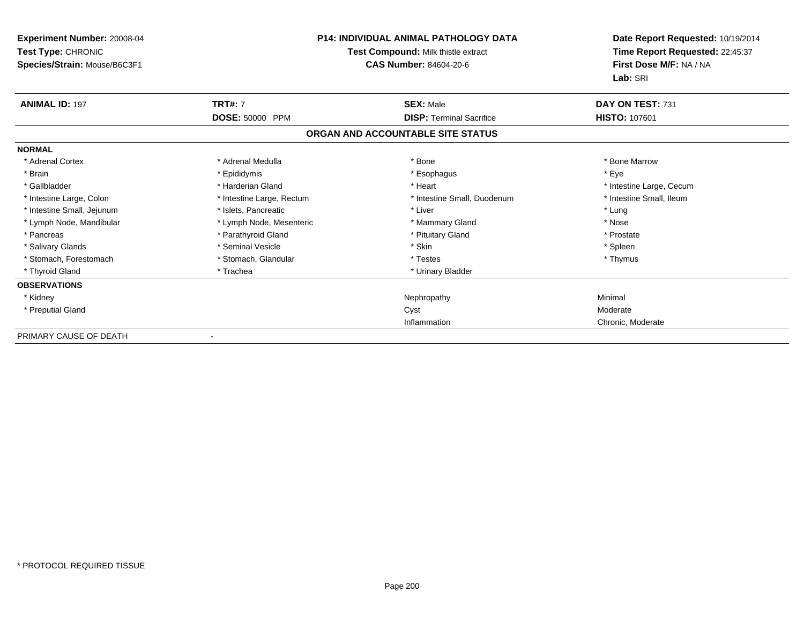| Experiment Number: 20008-04<br>Test Type: CHRONIC<br>Species/Strain: Mouse/B6C3F1 | <b>P14: INDIVIDUAL ANIMAL PATHOLOGY DATA</b><br>Test Compound: Milk thistle extract<br><b>CAS Number: 84604-20-6</b> |                                   | Date Report Requested: 10/19/2014<br>Time Report Requested: 22:45:37<br>First Dose M/F: NA / NA<br>Lab: SRI |
|-----------------------------------------------------------------------------------|----------------------------------------------------------------------------------------------------------------------|-----------------------------------|-------------------------------------------------------------------------------------------------------------|
| <b>ANIMAL ID: 197</b>                                                             | <b>TRT#: 7</b>                                                                                                       | <b>SEX: Male</b>                  | DAY ON TEST: 731                                                                                            |
|                                                                                   | <b>DOSE: 50000 PPM</b>                                                                                               | <b>DISP: Terminal Sacrifice</b>   | <b>HISTO: 107601</b>                                                                                        |
|                                                                                   |                                                                                                                      | ORGAN AND ACCOUNTABLE SITE STATUS |                                                                                                             |
| <b>NORMAL</b>                                                                     |                                                                                                                      |                                   |                                                                                                             |
| * Adrenal Cortex                                                                  | * Adrenal Medulla                                                                                                    | * Bone                            | * Bone Marrow                                                                                               |
| * Brain                                                                           | * Epididymis                                                                                                         | * Esophagus                       | * Eye                                                                                                       |
| * Gallbladder                                                                     | * Harderian Gland                                                                                                    | * Heart                           | * Intestine Large, Cecum                                                                                    |
| * Intestine Large, Colon                                                          | * Intestine Large, Rectum                                                                                            | * Intestine Small, Duodenum       | * Intestine Small, Ileum                                                                                    |
| * Intestine Small, Jejunum                                                        | * Islets, Pancreatic                                                                                                 | * Liver                           | * Lung                                                                                                      |
| * Lymph Node, Mandibular                                                          | * Lymph Node, Mesenteric                                                                                             | * Mammary Gland                   | * Nose                                                                                                      |
| * Pancreas                                                                        | * Parathyroid Gland                                                                                                  | * Pituitary Gland                 | * Prostate                                                                                                  |
| * Salivary Glands                                                                 | * Seminal Vesicle                                                                                                    | * Skin                            | * Spleen                                                                                                    |
| * Stomach, Forestomach                                                            | * Stomach, Glandular                                                                                                 | * Testes                          | * Thymus                                                                                                    |
| * Thyroid Gland                                                                   | * Trachea                                                                                                            | * Urinary Bladder                 |                                                                                                             |
| <b>OBSERVATIONS</b>                                                               |                                                                                                                      |                                   |                                                                                                             |
| * Kidney                                                                          |                                                                                                                      | Nephropathy                       | Minimal                                                                                                     |
| * Preputial Gland                                                                 |                                                                                                                      | Cyst                              | Moderate                                                                                                    |
|                                                                                   |                                                                                                                      | Inflammation                      | Chronic, Moderate                                                                                           |
| PRIMARY CAUSE OF DEATH                                                            |                                                                                                                      |                                   |                                                                                                             |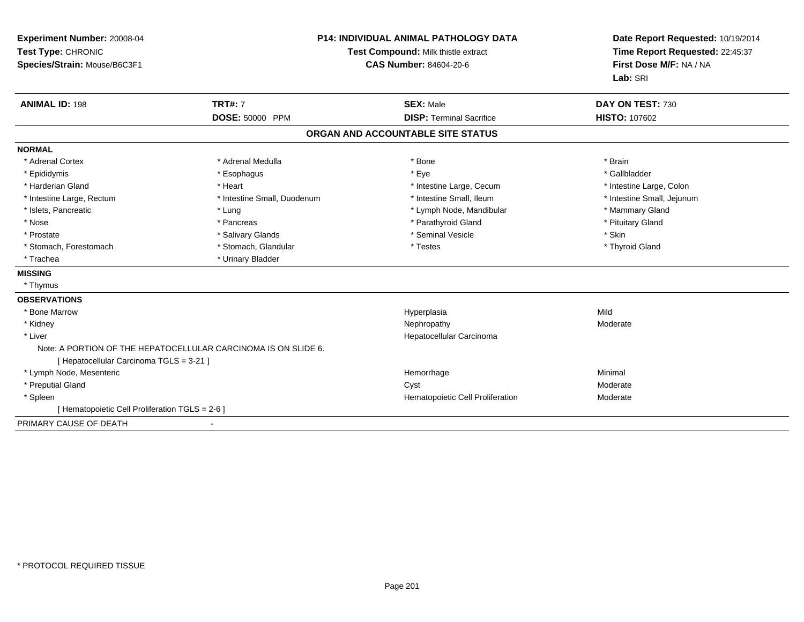| Experiment Number: 20008-04<br>Test Type: CHRONIC<br>Species/Strain: Mouse/B6C3F1 |                                                                | <b>P14: INDIVIDUAL ANIMAL PATHOLOGY DATA</b><br>Test Compound: Milk thistle extract<br><b>CAS Number: 84604-20-6</b> |                            |
|-----------------------------------------------------------------------------------|----------------------------------------------------------------|----------------------------------------------------------------------------------------------------------------------|----------------------------|
| <b>ANIMAL ID: 198</b>                                                             | <b>TRT#: 7</b>                                                 | <b>SEX: Male</b>                                                                                                     | DAY ON TEST: 730           |
|                                                                                   | <b>DOSE: 50000 PPM</b>                                         | <b>DISP: Terminal Sacrifice</b>                                                                                      | <b>HISTO: 107602</b>       |
|                                                                                   |                                                                | ORGAN AND ACCOUNTABLE SITE STATUS                                                                                    |                            |
| <b>NORMAL</b>                                                                     |                                                                |                                                                                                                      |                            |
| * Adrenal Cortex                                                                  | * Adrenal Medulla                                              | * Bone                                                                                                               | * Brain                    |
| * Epididymis                                                                      | * Esophagus                                                    | * Eye                                                                                                                | * Gallbladder              |
| * Harderian Gland                                                                 | * Heart                                                        | * Intestine Large, Cecum                                                                                             | * Intestine Large, Colon   |
| * Intestine Large, Rectum                                                         | * Intestine Small, Duodenum                                    | * Intestine Small, Ileum                                                                                             | * Intestine Small, Jejunum |
| * Islets, Pancreatic                                                              | * Lung                                                         | * Lymph Node, Mandibular                                                                                             | * Mammary Gland            |
| * Nose                                                                            | * Pancreas                                                     | * Parathyroid Gland                                                                                                  | * Pituitary Gland          |
| * Prostate                                                                        | * Salivary Glands                                              | * Seminal Vesicle                                                                                                    | * Skin                     |
| * Stomach, Forestomach                                                            | * Stomach, Glandular                                           | * Testes                                                                                                             | * Thyroid Gland            |
| * Trachea                                                                         | * Urinary Bladder                                              |                                                                                                                      |                            |
| <b>MISSING</b>                                                                    |                                                                |                                                                                                                      |                            |
| * Thymus                                                                          |                                                                |                                                                                                                      |                            |
| <b>OBSERVATIONS</b>                                                               |                                                                |                                                                                                                      |                            |
| * Bone Marrow                                                                     |                                                                | Hyperplasia                                                                                                          | Mild                       |
| * Kidney                                                                          |                                                                | Nephropathy                                                                                                          | Moderate                   |
| * Liver                                                                           |                                                                | Hepatocellular Carcinoma                                                                                             |                            |
| [ Hepatocellular Carcinoma TGLS = 3-21 ]                                          | Note: A PORTION OF THE HEPATOCELLULAR CARCINOMA IS ON SLIDE 6. |                                                                                                                      |                            |
| * Lymph Node, Mesenteric                                                          |                                                                | Hemorrhage                                                                                                           | Minimal                    |
| * Preputial Gland                                                                 |                                                                | Cyst                                                                                                                 | Moderate                   |
| * Spleen                                                                          |                                                                | Hematopoietic Cell Proliferation                                                                                     | Moderate                   |
| [ Hematopoietic Cell Proliferation TGLS = 2-6 ]                                   |                                                                |                                                                                                                      |                            |
| PRIMARY CAUSE OF DEATH                                                            |                                                                |                                                                                                                      |                            |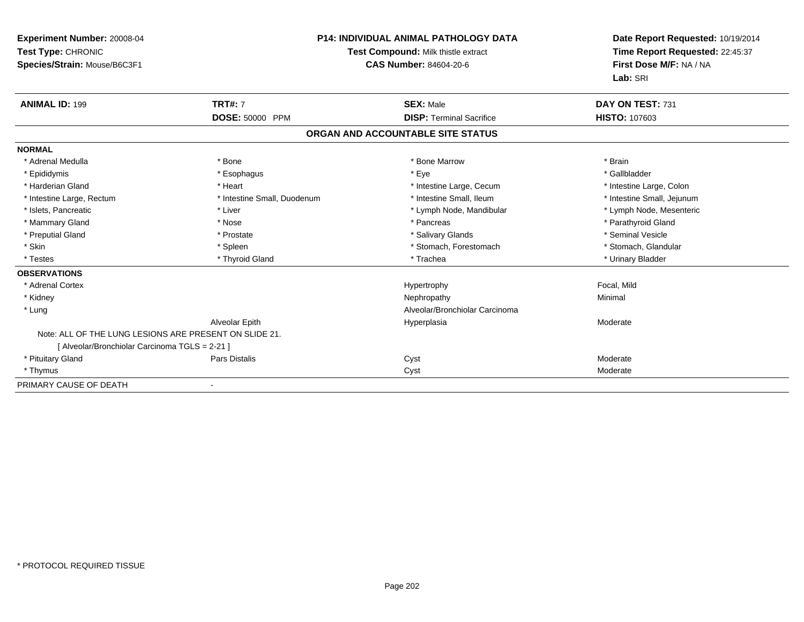| Experiment Number: 20008-04<br>Test Type: CHRONIC<br>Species/Strain: Mouse/B6C3F1 |                             | <b>P14: INDIVIDUAL ANIMAL PATHOLOGY DATA</b><br>Test Compound: Milk thistle extract<br><b>CAS Number: 84604-20-6</b> | Date Report Requested: 10/19/2014<br>Time Report Requested: 22:45:37<br>First Dose M/F: NA / NA<br>Lab: SRI |
|-----------------------------------------------------------------------------------|-----------------------------|----------------------------------------------------------------------------------------------------------------------|-------------------------------------------------------------------------------------------------------------|
| <b>ANIMAL ID: 199</b>                                                             | <b>TRT#: 7</b>              | <b>SEX: Male</b>                                                                                                     | DAY ON TEST: 731                                                                                            |
|                                                                                   | DOSE: 50000 PPM             | <b>DISP: Terminal Sacrifice</b>                                                                                      | <b>HISTO: 107603</b>                                                                                        |
|                                                                                   |                             | ORGAN AND ACCOUNTABLE SITE STATUS                                                                                    |                                                                                                             |
| <b>NORMAL</b>                                                                     |                             |                                                                                                                      |                                                                                                             |
| * Adrenal Medulla                                                                 | * Bone                      | * Bone Marrow                                                                                                        | * Brain                                                                                                     |
| * Epididymis                                                                      | * Esophagus                 | * Eye                                                                                                                | * Gallbladder                                                                                               |
| * Harderian Gland                                                                 | * Heart                     | * Intestine Large, Cecum                                                                                             | * Intestine Large, Colon                                                                                    |
| * Intestine Large, Rectum                                                         | * Intestine Small, Duodenum | * Intestine Small. Ileum                                                                                             | * Intestine Small, Jejunum                                                                                  |
| * Islets, Pancreatic                                                              | * Liver                     | * Lymph Node, Mandibular                                                                                             | * Lymph Node, Mesenteric                                                                                    |
| * Mammary Gland                                                                   | * Nose                      | * Pancreas                                                                                                           | * Parathyroid Gland                                                                                         |
| * Preputial Gland                                                                 | * Prostate                  | * Salivary Glands                                                                                                    | * Seminal Vesicle                                                                                           |
| * Skin                                                                            | * Spleen                    | * Stomach, Forestomach                                                                                               | * Stomach, Glandular                                                                                        |
| * Testes                                                                          | * Thyroid Gland             | * Trachea                                                                                                            | * Urinary Bladder                                                                                           |
| <b>OBSERVATIONS</b>                                                               |                             |                                                                                                                      |                                                                                                             |
| * Adrenal Cortex                                                                  |                             | Hypertrophy                                                                                                          | Focal, Mild                                                                                                 |
| * Kidney                                                                          |                             | Nephropathy                                                                                                          | Minimal                                                                                                     |
| * Lung                                                                            |                             | Alveolar/Bronchiolar Carcinoma                                                                                       |                                                                                                             |
|                                                                                   | Alveolar Epith              | Hyperplasia                                                                                                          | Moderate                                                                                                    |
| Note: ALL OF THE LUNG LESIONS ARE PRESENT ON SLIDE 21.                            |                             |                                                                                                                      |                                                                                                             |
| [ Alveolar/Bronchiolar Carcinoma TGLS = 2-21 ]                                    |                             |                                                                                                                      |                                                                                                             |
| * Pituitary Gland                                                                 | <b>Pars Distalis</b>        | Cyst                                                                                                                 | Moderate                                                                                                    |
| * Thymus                                                                          |                             | Cyst                                                                                                                 | Moderate                                                                                                    |
| PRIMARY CAUSE OF DEATH                                                            |                             |                                                                                                                      |                                                                                                             |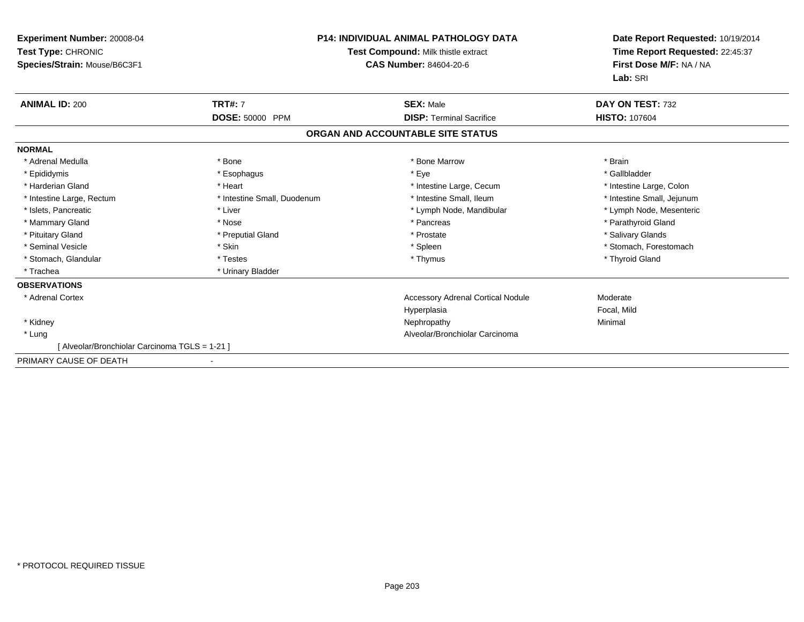| Experiment Number: 20008-04<br>Test Type: CHRONIC<br>Species/Strain: Mouse/B6C3F1 | <b>P14: INDIVIDUAL ANIMAL PATHOLOGY DATA</b><br>Test Compound: Milk thistle extract<br><b>CAS Number: 84604-20-6</b> |                                          | Date Report Requested: 10/19/2014<br>Time Report Requested: 22:45:37<br>First Dose M/F: NA / NA<br>Lab: SRI |
|-----------------------------------------------------------------------------------|----------------------------------------------------------------------------------------------------------------------|------------------------------------------|-------------------------------------------------------------------------------------------------------------|
| <b>ANIMAL ID: 200</b>                                                             | <b>TRT#: 7</b>                                                                                                       | <b>SEX: Male</b>                         | DAY ON TEST: 732                                                                                            |
|                                                                                   | <b>DOSE: 50000 PPM</b>                                                                                               | <b>DISP: Terminal Sacrifice</b>          | <b>HISTO: 107604</b>                                                                                        |
|                                                                                   |                                                                                                                      | ORGAN AND ACCOUNTABLE SITE STATUS        |                                                                                                             |
| <b>NORMAL</b>                                                                     |                                                                                                                      |                                          |                                                                                                             |
| * Adrenal Medulla                                                                 | * Bone                                                                                                               | * Bone Marrow                            | * Brain                                                                                                     |
| * Epididymis                                                                      | * Esophagus                                                                                                          | * Eye                                    | * Gallbladder                                                                                               |
| * Harderian Gland                                                                 | * Heart                                                                                                              | * Intestine Large, Cecum                 | * Intestine Large, Colon                                                                                    |
| * Intestine Large, Rectum                                                         | * Intestine Small, Duodenum                                                                                          | * Intestine Small, Ileum                 | * Intestine Small, Jejunum                                                                                  |
| * Islets, Pancreatic                                                              | * Liver                                                                                                              | * Lymph Node, Mandibular                 | * Lymph Node, Mesenteric                                                                                    |
| * Mammary Gland                                                                   | * Nose                                                                                                               | * Pancreas                               | * Parathyroid Gland                                                                                         |
| * Pituitary Gland                                                                 | * Preputial Gland                                                                                                    | * Prostate                               | * Salivary Glands                                                                                           |
| * Seminal Vesicle                                                                 | * Skin                                                                                                               | * Spleen                                 | * Stomach. Forestomach                                                                                      |
| * Stomach, Glandular                                                              | * Testes                                                                                                             | * Thymus                                 | * Thyroid Gland                                                                                             |
| * Trachea                                                                         | * Urinary Bladder                                                                                                    |                                          |                                                                                                             |
| <b>OBSERVATIONS</b>                                                               |                                                                                                                      |                                          |                                                                                                             |
| * Adrenal Cortex                                                                  |                                                                                                                      | <b>Accessory Adrenal Cortical Nodule</b> | Moderate                                                                                                    |
|                                                                                   |                                                                                                                      | Hyperplasia                              | Focal, Mild                                                                                                 |
| * Kidney                                                                          |                                                                                                                      | Nephropathy                              | Minimal                                                                                                     |
| * Lung                                                                            |                                                                                                                      | Alveolar/Bronchiolar Carcinoma           |                                                                                                             |
| [ Alveolar/Bronchiolar Carcinoma TGLS = 1-21 ]                                    |                                                                                                                      |                                          |                                                                                                             |
| PRIMARY CAUSE OF DEATH                                                            |                                                                                                                      |                                          |                                                                                                             |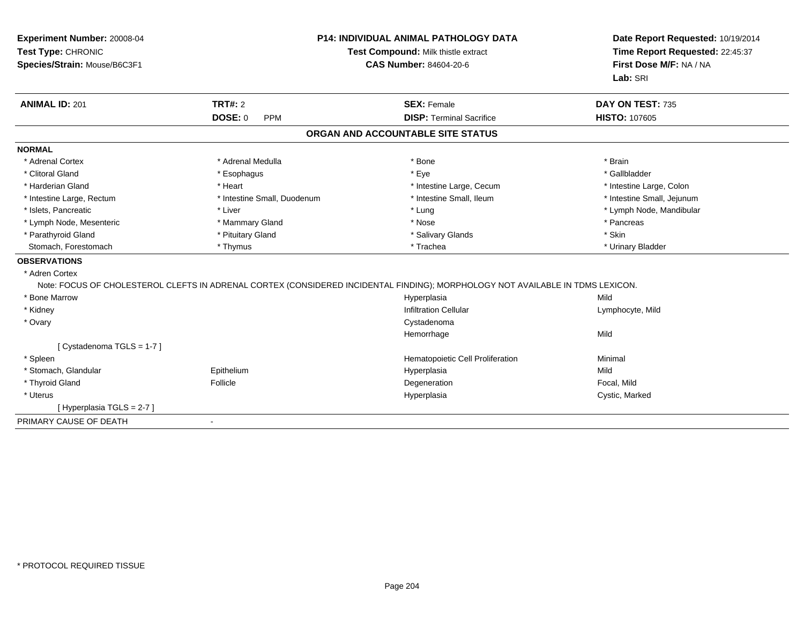| Experiment Number: 20008-04<br>Test Type: CHRONIC<br>Species/Strain: Mouse/B6C3F1 |                              | <b>P14: INDIVIDUAL ANIMAL PATHOLOGY DATA</b><br>Test Compound: Milk thistle extract<br><b>CAS Number: 84604-20-6</b>           | Date Report Requested: 10/19/2014<br>Time Report Requested: 22:45:37<br>First Dose M/F: NA / NA |
|-----------------------------------------------------------------------------------|------------------------------|--------------------------------------------------------------------------------------------------------------------------------|-------------------------------------------------------------------------------------------------|
|                                                                                   |                              |                                                                                                                                | Lab: SRI                                                                                        |
| <b>ANIMAL ID: 201</b>                                                             | <b>TRT#: 2</b>               | <b>SEX: Female</b>                                                                                                             | DAY ON TEST: 735                                                                                |
|                                                                                   | <b>DOSE: 0</b><br><b>PPM</b> | <b>DISP: Terminal Sacrifice</b>                                                                                                | <b>HISTO: 107605</b>                                                                            |
|                                                                                   |                              | ORGAN AND ACCOUNTABLE SITE STATUS                                                                                              |                                                                                                 |
| <b>NORMAL</b>                                                                     |                              |                                                                                                                                |                                                                                                 |
| * Adrenal Cortex                                                                  | * Adrenal Medulla            | * Bone                                                                                                                         | * Brain                                                                                         |
| * Clitoral Gland                                                                  | * Esophagus                  | * Eye                                                                                                                          | * Gallbladder                                                                                   |
| * Harderian Gland                                                                 | * Heart                      | * Intestine Large, Cecum                                                                                                       | * Intestine Large, Colon                                                                        |
| * Intestine Large, Rectum                                                         | * Intestine Small, Duodenum  | * Intestine Small, Ileum                                                                                                       | * Intestine Small, Jejunum                                                                      |
| * Islets, Pancreatic                                                              | * Liver                      | * Lung                                                                                                                         | * Lymph Node, Mandibular                                                                        |
| * Lymph Node, Mesenteric                                                          | * Mammary Gland              | * Nose                                                                                                                         | * Pancreas                                                                                      |
| * Parathyroid Gland                                                               | * Pituitary Gland            | * Salivary Glands                                                                                                              | * Skin                                                                                          |
| Stomach, Forestomach                                                              | * Thymus                     | * Trachea                                                                                                                      | * Urinary Bladder                                                                               |
| <b>OBSERVATIONS</b>                                                               |                              |                                                                                                                                |                                                                                                 |
| * Adren Cortex                                                                    |                              |                                                                                                                                |                                                                                                 |
|                                                                                   |                              | Note: FOCUS OF CHOLESTEROL CLEFTS IN ADRENAL CORTEX (CONSIDERED INCIDENTAL FINDING); MORPHOLOGY NOT AVAILABLE IN TDMS LEXICON. |                                                                                                 |
| * Bone Marrow                                                                     |                              | Hyperplasia                                                                                                                    | Mild                                                                                            |
| * Kidney                                                                          |                              | <b>Infiltration Cellular</b>                                                                                                   | Lymphocyte, Mild                                                                                |
| * Ovary                                                                           |                              | Cystadenoma                                                                                                                    |                                                                                                 |
|                                                                                   |                              | Hemorrhage                                                                                                                     | Mild                                                                                            |
| [ Cystadenoma TGLS = 1-7 ]                                                        |                              |                                                                                                                                |                                                                                                 |
| * Spleen                                                                          |                              | Hematopoietic Cell Proliferation                                                                                               | Minimal                                                                                         |
| * Stomach, Glandular                                                              | Epithelium                   | Hyperplasia                                                                                                                    | Mild                                                                                            |
| * Thyroid Gland                                                                   | Follicle                     | Degeneration                                                                                                                   | Focal, Mild                                                                                     |
| * Uterus                                                                          |                              | Hyperplasia                                                                                                                    | Cystic, Marked                                                                                  |
| [Hyperplasia TGLS = 2-7]                                                          |                              |                                                                                                                                |                                                                                                 |
| PRIMARY CAUSE OF DEATH                                                            |                              |                                                                                                                                |                                                                                                 |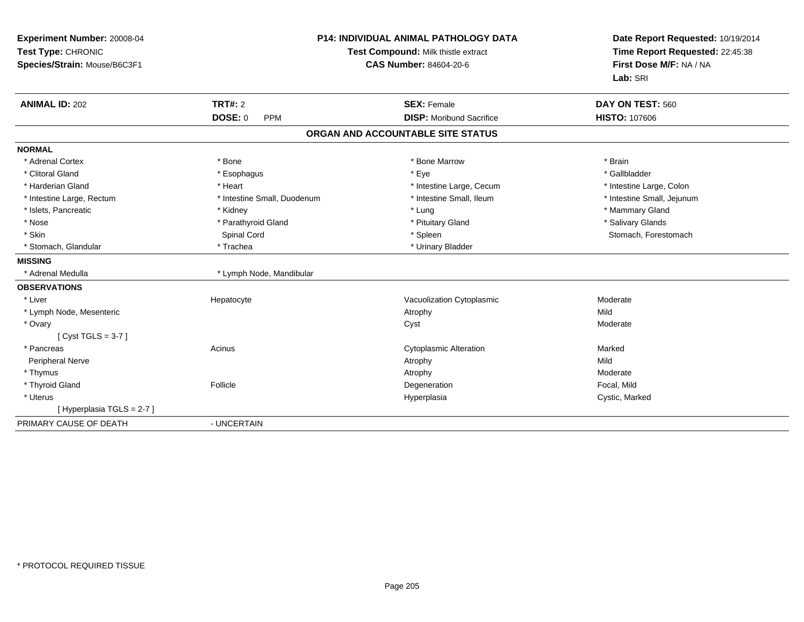| Experiment Number: 20008-04<br>Test Type: CHRONIC<br>Species/Strain: Mouse/B6C3F1 | <b>P14: INDIVIDUAL ANIMAL PATHOLOGY DATA</b><br>Test Compound: Milk thistle extract<br><b>CAS Number: 84604-20-6</b> |                                   | Date Report Requested: 10/19/2014<br>Time Report Requested: 22:45:38<br>First Dose M/F: NA / NA<br>Lab: SRI |
|-----------------------------------------------------------------------------------|----------------------------------------------------------------------------------------------------------------------|-----------------------------------|-------------------------------------------------------------------------------------------------------------|
| <b>ANIMAL ID: 202</b>                                                             | TRT#: 2                                                                                                              | <b>SEX: Female</b>                | DAY ON TEST: 560                                                                                            |
|                                                                                   | <b>DOSE: 0</b><br><b>PPM</b>                                                                                         | <b>DISP:</b> Moribund Sacrifice   | HISTO: 107606                                                                                               |
|                                                                                   |                                                                                                                      | ORGAN AND ACCOUNTABLE SITE STATUS |                                                                                                             |
| <b>NORMAL</b>                                                                     |                                                                                                                      |                                   |                                                                                                             |
| * Adrenal Cortex                                                                  | * Bone                                                                                                               | * Bone Marrow                     | * Brain                                                                                                     |
| * Clitoral Gland                                                                  | * Esophagus                                                                                                          | * Eye                             | * Gallbladder                                                                                               |
| * Harderian Gland                                                                 | * Heart                                                                                                              | * Intestine Large, Cecum          | * Intestine Large, Colon                                                                                    |
| * Intestine Large, Rectum                                                         | * Intestine Small, Duodenum                                                                                          | * Intestine Small, Ileum          | * Intestine Small, Jejunum                                                                                  |
| * Islets, Pancreatic                                                              | * Kidney                                                                                                             | * Lung                            | * Mammary Gland                                                                                             |
| * Nose                                                                            | * Parathyroid Gland                                                                                                  | * Pituitary Gland                 | * Salivary Glands                                                                                           |
| * Skin                                                                            | Spinal Cord                                                                                                          | * Spleen                          | Stomach, Forestomach                                                                                        |
| * Stomach, Glandular                                                              | * Trachea                                                                                                            | * Urinary Bladder                 |                                                                                                             |
| <b>MISSING</b>                                                                    |                                                                                                                      |                                   |                                                                                                             |
| * Adrenal Medulla                                                                 | * Lymph Node, Mandibular                                                                                             |                                   |                                                                                                             |
| <b>OBSERVATIONS</b>                                                               |                                                                                                                      |                                   |                                                                                                             |
| * Liver                                                                           | Hepatocyte                                                                                                           | Vacuolization Cytoplasmic         | Moderate                                                                                                    |
| * Lymph Node, Mesenteric                                                          |                                                                                                                      | Atrophy                           | Mild                                                                                                        |
| * Ovary                                                                           |                                                                                                                      | Cyst                              | Moderate                                                                                                    |
| [Cyst TGLS = $3-7$ ]                                                              |                                                                                                                      |                                   |                                                                                                             |
| * Pancreas                                                                        | Acinus                                                                                                               | <b>Cytoplasmic Alteration</b>     | Marked                                                                                                      |
| <b>Peripheral Nerve</b>                                                           |                                                                                                                      | Atrophy                           | Mild                                                                                                        |
| * Thymus                                                                          |                                                                                                                      | Atrophy                           | Moderate                                                                                                    |
| * Thyroid Gland                                                                   | Follicle                                                                                                             | Degeneration                      | Focal, Mild                                                                                                 |
| * Uterus                                                                          |                                                                                                                      | Hyperplasia                       | Cystic, Marked                                                                                              |
| [Hyperplasia TGLS = 2-7]                                                          |                                                                                                                      |                                   |                                                                                                             |
| PRIMARY CAUSE OF DEATH                                                            | - UNCERTAIN                                                                                                          |                                   |                                                                                                             |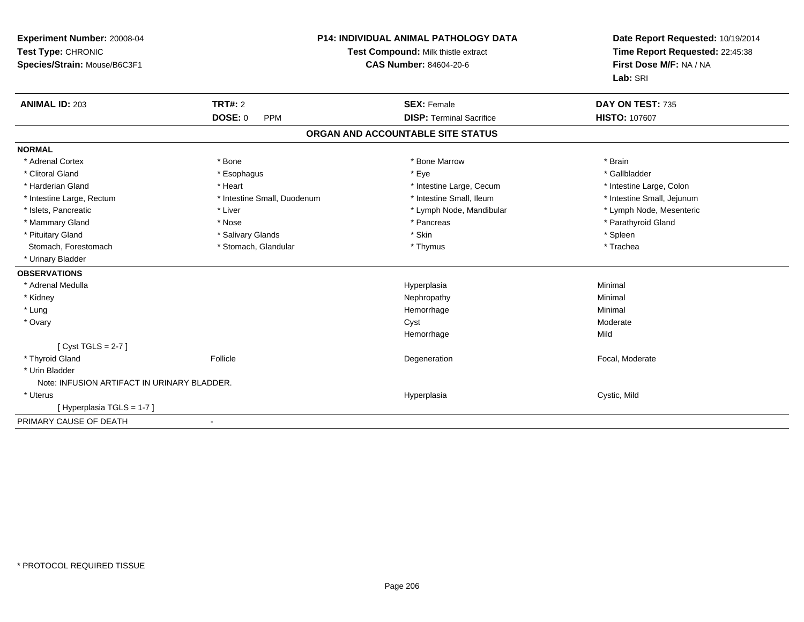| Experiment Number: 20008-04<br>Test Type: CHRONIC<br>Species/Strain: Mouse/B6C3F1 |                              | P14: INDIVIDUAL ANIMAL PATHOLOGY DATA<br>Test Compound: Milk thistle extract<br><b>CAS Number: 84604-20-6</b> | Date Report Requested: 10/19/2014<br>Time Report Requested: 22:45:38<br>First Dose M/F: NA / NA<br>Lab: SRI |
|-----------------------------------------------------------------------------------|------------------------------|---------------------------------------------------------------------------------------------------------------|-------------------------------------------------------------------------------------------------------------|
| <b>ANIMAL ID: 203</b>                                                             | TRT#: 2                      | <b>SEX: Female</b>                                                                                            | DAY ON TEST: 735                                                                                            |
|                                                                                   | <b>DOSE: 0</b><br><b>PPM</b> | <b>DISP: Terminal Sacrifice</b>                                                                               | <b>HISTO: 107607</b>                                                                                        |
|                                                                                   |                              | ORGAN AND ACCOUNTABLE SITE STATUS                                                                             |                                                                                                             |
| <b>NORMAL</b>                                                                     |                              |                                                                                                               |                                                                                                             |
| * Adrenal Cortex                                                                  | * Bone                       | * Bone Marrow                                                                                                 | * Brain                                                                                                     |
| * Clitoral Gland                                                                  | * Esophagus                  | * Eye                                                                                                         | * Gallbladder                                                                                               |
| * Harderian Gland                                                                 | * Heart                      | * Intestine Large, Cecum                                                                                      | * Intestine Large, Colon                                                                                    |
| * Intestine Large, Rectum                                                         | * Intestine Small, Duodenum  | * Intestine Small, Ileum                                                                                      | * Intestine Small, Jejunum                                                                                  |
| * Islets, Pancreatic                                                              | * Liver                      | * Lymph Node, Mandibular                                                                                      | * Lymph Node, Mesenteric                                                                                    |
| * Mammary Gland                                                                   | * Nose                       | * Pancreas                                                                                                    | * Parathyroid Gland                                                                                         |
| * Pituitary Gland                                                                 | * Salivary Glands            | * Skin                                                                                                        | * Spleen                                                                                                    |
| Stomach, Forestomach                                                              | * Stomach, Glandular         | * Thymus                                                                                                      | * Trachea                                                                                                   |
| * Urinary Bladder                                                                 |                              |                                                                                                               |                                                                                                             |
| <b>OBSERVATIONS</b>                                                               |                              |                                                                                                               |                                                                                                             |
| * Adrenal Medulla                                                                 |                              | Hyperplasia                                                                                                   | Minimal                                                                                                     |
| * Kidney                                                                          |                              | Nephropathy                                                                                                   | Minimal                                                                                                     |
| * Lung                                                                            |                              | Hemorrhage                                                                                                    | Minimal                                                                                                     |
| * Ovary                                                                           |                              | Cyst                                                                                                          | Moderate                                                                                                    |
|                                                                                   |                              | Hemorrhage                                                                                                    | Mild                                                                                                        |
| [Cyst TGLS = $2-7$ ]                                                              |                              |                                                                                                               |                                                                                                             |
| * Thyroid Gland                                                                   | Follicle                     | Degeneration                                                                                                  | Focal, Moderate                                                                                             |
| * Urin Bladder                                                                    |                              |                                                                                                               |                                                                                                             |
| Note: INFUSION ARTIFACT IN URINARY BLADDER.                                       |                              |                                                                                                               |                                                                                                             |
| * Uterus                                                                          |                              | Hyperplasia                                                                                                   | Cystic, Mild                                                                                                |
| [Hyperplasia TGLS = 1-7]                                                          |                              |                                                                                                               |                                                                                                             |
| PRIMARY CAUSE OF DEATH                                                            | $\blacksquare$               |                                                                                                               |                                                                                                             |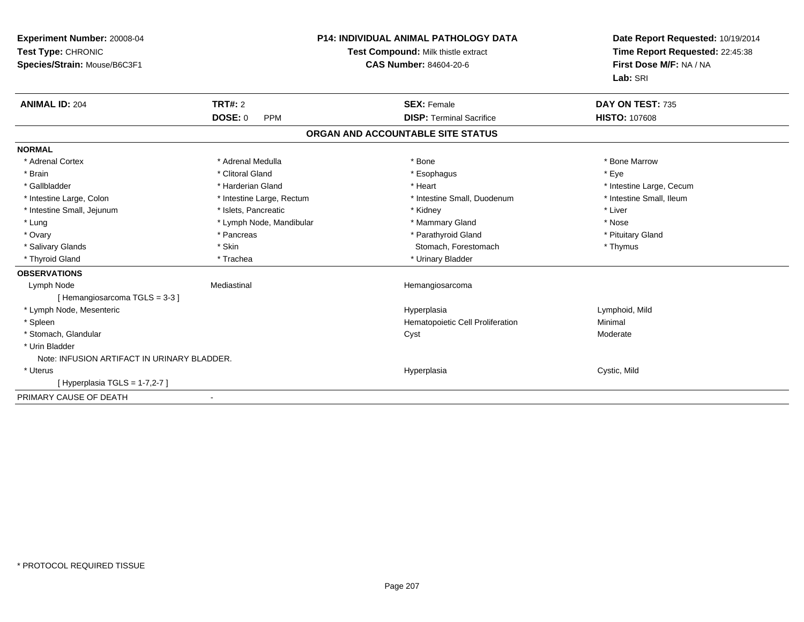| Experiment Number: 20008-04<br>Test Type: CHRONIC<br>Species/Strain: Mouse/B6C3F1 |                              | <b>P14: INDIVIDUAL ANIMAL PATHOLOGY DATA</b><br>Test Compound: Milk thistle extract<br><b>CAS Number: 84604-20-6</b> | Date Report Requested: 10/19/2014<br>Time Report Requested: 22:45:38<br>First Dose M/F: NA / NA<br>Lab: SRI |
|-----------------------------------------------------------------------------------|------------------------------|----------------------------------------------------------------------------------------------------------------------|-------------------------------------------------------------------------------------------------------------|
| <b>ANIMAL ID: 204</b>                                                             | <b>TRT#: 2</b>               | <b>SEX: Female</b>                                                                                                   | DAY ON TEST: 735                                                                                            |
|                                                                                   | <b>DOSE: 0</b><br><b>PPM</b> | <b>DISP: Terminal Sacrifice</b>                                                                                      | <b>HISTO: 107608</b>                                                                                        |
|                                                                                   |                              | ORGAN AND ACCOUNTABLE SITE STATUS                                                                                    |                                                                                                             |
| <b>NORMAL</b>                                                                     |                              |                                                                                                                      |                                                                                                             |
| * Adrenal Cortex                                                                  | * Adrenal Medulla            | * Bone                                                                                                               | * Bone Marrow                                                                                               |
| * Brain                                                                           | * Clitoral Gland             | * Esophagus                                                                                                          | * Eye                                                                                                       |
| * Gallbladder                                                                     | * Harderian Gland            | * Heart                                                                                                              | * Intestine Large, Cecum                                                                                    |
| * Intestine Large, Colon                                                          | * Intestine Large, Rectum    | * Intestine Small, Duodenum                                                                                          | * Intestine Small, Ileum                                                                                    |
| * Intestine Small, Jejunum                                                        | * Islets, Pancreatic         | * Kidney                                                                                                             | * Liver                                                                                                     |
| * Lung                                                                            | * Lymph Node, Mandibular     | * Mammary Gland                                                                                                      | * Nose                                                                                                      |
| * Ovary                                                                           | * Pancreas                   | * Parathyroid Gland                                                                                                  | * Pituitary Gland                                                                                           |
| * Salivary Glands                                                                 | * Skin                       | Stomach, Forestomach                                                                                                 | * Thymus                                                                                                    |
| * Thyroid Gland                                                                   | * Trachea                    | * Urinary Bladder                                                                                                    |                                                                                                             |
| <b>OBSERVATIONS</b>                                                               |                              |                                                                                                                      |                                                                                                             |
| Lymph Node                                                                        | Mediastinal                  | Hemangiosarcoma                                                                                                      |                                                                                                             |
| [Hemangiosarcoma TGLS = 3-3]                                                      |                              |                                                                                                                      |                                                                                                             |
| * Lymph Node, Mesenteric                                                          |                              | Hyperplasia                                                                                                          | Lymphoid, Mild                                                                                              |
| * Spleen                                                                          |                              | Hematopoietic Cell Proliferation                                                                                     | Minimal                                                                                                     |
| * Stomach, Glandular                                                              |                              | Cyst                                                                                                                 | Moderate                                                                                                    |
| * Urin Bladder                                                                    |                              |                                                                                                                      |                                                                                                             |
| Note: INFUSION ARTIFACT IN URINARY BLADDER.                                       |                              |                                                                                                                      |                                                                                                             |
| * Uterus                                                                          |                              | Hyperplasia                                                                                                          | Cystic, Mild                                                                                                |
| [Hyperplasia TGLS = 1-7,2-7]                                                      |                              |                                                                                                                      |                                                                                                             |
| PRIMARY CAUSE OF DEATH                                                            |                              |                                                                                                                      |                                                                                                             |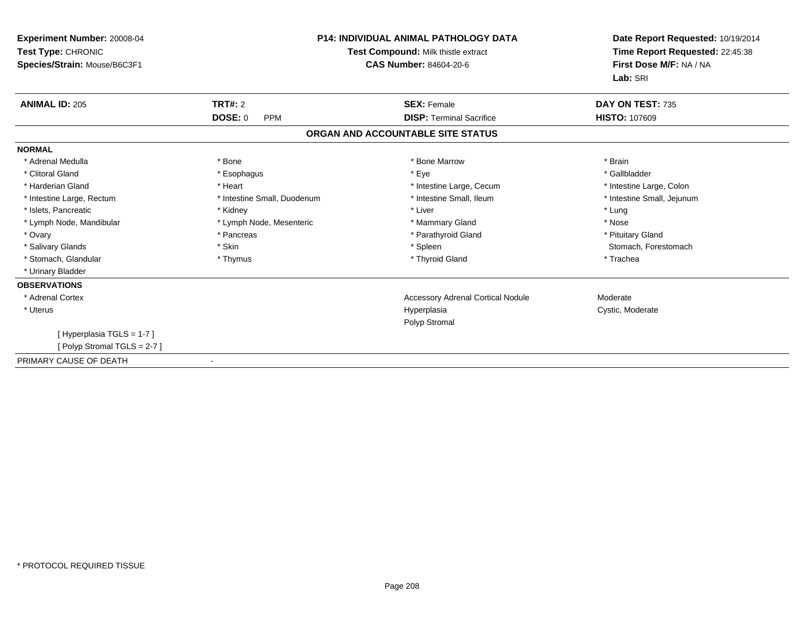| Experiment Number: 20008-04<br>Test Type: CHRONIC<br>Species/Strain: Mouse/B6C3F1 | P14: INDIVIDUAL ANIMAL PATHOLOGY DATA<br>Test Compound: Milk thistle extract<br><b>CAS Number: 84604-20-6</b> |                                          | Date Report Requested: 10/19/2014<br>Time Report Requested: 22:45:38<br>First Dose M/F: NA / NA<br>Lab: SRI |
|-----------------------------------------------------------------------------------|---------------------------------------------------------------------------------------------------------------|------------------------------------------|-------------------------------------------------------------------------------------------------------------|
| <b>ANIMAL ID: 205</b>                                                             | <b>TRT#: 2</b>                                                                                                | <b>SEX: Female</b>                       | DAY ON TEST: 735                                                                                            |
|                                                                                   | DOSE: 0<br><b>PPM</b>                                                                                         | <b>DISP: Terminal Sacrifice</b>          | <b>HISTO: 107609</b>                                                                                        |
|                                                                                   |                                                                                                               | ORGAN AND ACCOUNTABLE SITE STATUS        |                                                                                                             |
| <b>NORMAL</b>                                                                     |                                                                                                               |                                          |                                                                                                             |
| * Adrenal Medulla                                                                 | * Bone                                                                                                        | * Bone Marrow                            | * Brain                                                                                                     |
| * Clitoral Gland                                                                  | * Esophagus                                                                                                   | * Eye                                    | * Gallbladder                                                                                               |
| * Harderian Gland                                                                 | * Heart                                                                                                       | * Intestine Large, Cecum                 | * Intestine Large, Colon                                                                                    |
| * Intestine Large, Rectum                                                         | * Intestine Small, Duodenum                                                                                   | * Intestine Small, Ileum                 | * Intestine Small, Jejunum                                                                                  |
| * Islets, Pancreatic                                                              | * Kidney                                                                                                      | * Liver                                  | * Lung                                                                                                      |
| * Lymph Node, Mandibular                                                          | * Lymph Node, Mesenteric                                                                                      | * Mammary Gland                          | * Nose                                                                                                      |
| * Ovary                                                                           | * Pancreas                                                                                                    | * Parathyroid Gland                      | * Pituitary Gland                                                                                           |
| * Salivary Glands                                                                 | * Skin                                                                                                        | * Spleen                                 | Stomach, Forestomach                                                                                        |
| * Stomach, Glandular                                                              | * Thymus                                                                                                      | * Thyroid Gland                          | * Trachea                                                                                                   |
| * Urinary Bladder                                                                 |                                                                                                               |                                          |                                                                                                             |
| <b>OBSERVATIONS</b>                                                               |                                                                                                               |                                          |                                                                                                             |
| * Adrenal Cortex                                                                  |                                                                                                               | <b>Accessory Adrenal Cortical Nodule</b> | Moderate                                                                                                    |
| * Uterus                                                                          |                                                                                                               | Hyperplasia<br>Polyp Stromal             | Cystic, Moderate                                                                                            |
| [Hyperplasia TGLS = 1-7]                                                          |                                                                                                               |                                          |                                                                                                             |
| [Polyp Stromal TGLS = 2-7]                                                        |                                                                                                               |                                          |                                                                                                             |
| PRIMARY CAUSE OF DEATH                                                            |                                                                                                               |                                          |                                                                                                             |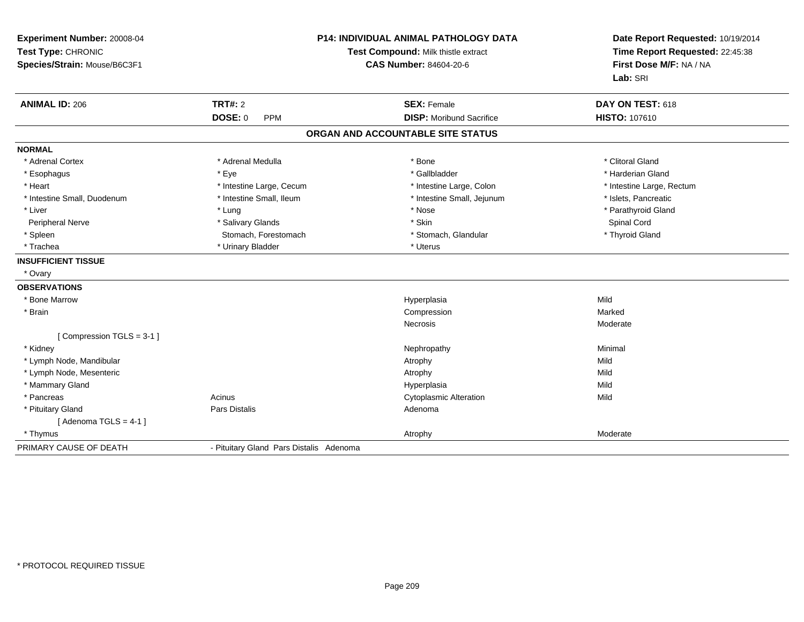| Experiment Number: 20008-04<br>Test Type: CHRONIC<br>Species/Strain: Mouse/B6C3F1 | <b>P14: INDIVIDUAL ANIMAL PATHOLOGY DATA</b><br>Test Compound: Milk thistle extract<br><b>CAS Number: 84604-20-6</b> |                                   | Date Report Requested: 10/19/2014<br>Time Report Requested: 22:45:38<br>First Dose M/F: NA / NA<br>Lab: SRI |
|-----------------------------------------------------------------------------------|----------------------------------------------------------------------------------------------------------------------|-----------------------------------|-------------------------------------------------------------------------------------------------------------|
| <b>ANIMAL ID: 206</b>                                                             | <b>TRT#: 2</b>                                                                                                       | <b>SEX: Female</b>                | DAY ON TEST: 618                                                                                            |
|                                                                                   | <b>DOSE: 0</b><br><b>PPM</b>                                                                                         | <b>DISP:</b> Moribund Sacrifice   | HISTO: 107610                                                                                               |
|                                                                                   |                                                                                                                      | ORGAN AND ACCOUNTABLE SITE STATUS |                                                                                                             |
| <b>NORMAL</b>                                                                     |                                                                                                                      |                                   |                                                                                                             |
| * Adrenal Cortex                                                                  | * Adrenal Medulla                                                                                                    | * Bone                            | * Clitoral Gland                                                                                            |
| * Esophagus                                                                       | * Eye                                                                                                                | * Gallbladder                     | * Harderian Gland                                                                                           |
| * Heart                                                                           | * Intestine Large, Cecum                                                                                             | * Intestine Large, Colon          | * Intestine Large, Rectum                                                                                   |
| * Intestine Small, Duodenum                                                       | * Intestine Small, Ileum                                                                                             | * Intestine Small, Jejunum        | * Islets, Pancreatic                                                                                        |
| * Liver                                                                           | * Lung                                                                                                               | * Nose                            | * Parathyroid Gland                                                                                         |
| Peripheral Nerve                                                                  | * Salivary Glands                                                                                                    | * Skin                            | Spinal Cord                                                                                                 |
| * Spleen                                                                          | Stomach, Forestomach                                                                                                 | * Stomach, Glandular              | * Thyroid Gland                                                                                             |
| * Trachea                                                                         | * Urinary Bladder                                                                                                    | * Uterus                          |                                                                                                             |
| <b>INSUFFICIENT TISSUE</b>                                                        |                                                                                                                      |                                   |                                                                                                             |
| * Ovary                                                                           |                                                                                                                      |                                   |                                                                                                             |
| <b>OBSERVATIONS</b>                                                               |                                                                                                                      |                                   |                                                                                                             |
| * Bone Marrow                                                                     |                                                                                                                      | Hyperplasia                       | Mild                                                                                                        |
| * Brain                                                                           |                                                                                                                      | Compression                       | Marked                                                                                                      |
|                                                                                   |                                                                                                                      | <b>Necrosis</b>                   | Moderate                                                                                                    |
| [Compression TGLS = 3-1]                                                          |                                                                                                                      |                                   |                                                                                                             |
| * Kidney                                                                          |                                                                                                                      | Nephropathy                       | Minimal                                                                                                     |
| * Lymph Node, Mandibular                                                          |                                                                                                                      | Atrophy                           | Mild                                                                                                        |
| * Lymph Node, Mesenteric                                                          |                                                                                                                      | Atrophy                           | Mild                                                                                                        |
| * Mammary Gland                                                                   |                                                                                                                      | Hyperplasia                       | Mild                                                                                                        |
| * Pancreas                                                                        | Acinus                                                                                                               | <b>Cytoplasmic Alteration</b>     | Mild                                                                                                        |
| * Pituitary Gland                                                                 | Pars Distalis                                                                                                        | Adenoma                           |                                                                                                             |
| [Adenoma TGLS = $4-1$ ]                                                           |                                                                                                                      |                                   |                                                                                                             |
| * Thymus                                                                          |                                                                                                                      | Atrophy                           | Moderate                                                                                                    |
| PRIMARY CAUSE OF DEATH                                                            | - Pituitary Gland Pars Distalis Adenoma                                                                              |                                   |                                                                                                             |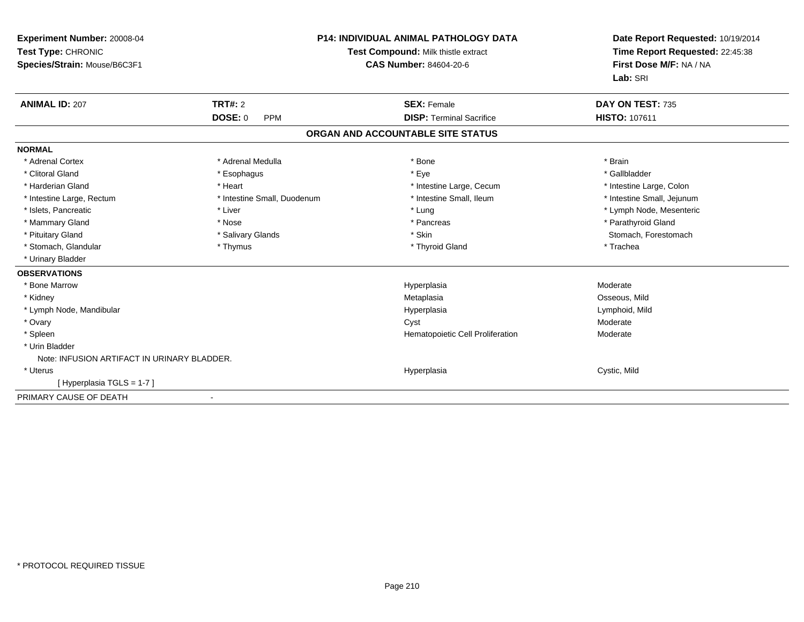| <b>Experiment Number: 20008-04</b><br>Test Type: CHRONIC<br>Species/Strain: Mouse/B6C3F1<br><b>ANIMAL ID: 207</b> | <b>TRT#: 2</b>               | <b>P14: INDIVIDUAL ANIMAL PATHOLOGY DATA</b><br>Test Compound: Milk thistle extract<br><b>CAS Number: 84604-20-6</b><br><b>SEX: Female</b> | Date Report Requested: 10/19/2014<br>Time Report Requested: 22:45:38<br>First Dose M/F: NA / NA<br>Lab: SRI<br>DAY ON TEST: 735 |
|-------------------------------------------------------------------------------------------------------------------|------------------------------|--------------------------------------------------------------------------------------------------------------------------------------------|---------------------------------------------------------------------------------------------------------------------------------|
|                                                                                                                   | <b>DOSE: 0</b><br><b>PPM</b> | <b>DISP: Terminal Sacrifice</b>                                                                                                            | <b>HISTO: 107611</b>                                                                                                            |
|                                                                                                                   |                              | ORGAN AND ACCOUNTABLE SITE STATUS                                                                                                          |                                                                                                                                 |
| <b>NORMAL</b>                                                                                                     |                              |                                                                                                                                            |                                                                                                                                 |
| * Adrenal Cortex                                                                                                  | * Adrenal Medulla            | * Bone                                                                                                                                     | * Brain                                                                                                                         |
| * Clitoral Gland                                                                                                  | * Esophagus                  | * Eye                                                                                                                                      | * Gallbladder                                                                                                                   |
| * Harderian Gland                                                                                                 | * Heart                      | * Intestine Large, Cecum                                                                                                                   | * Intestine Large, Colon                                                                                                        |
| * Intestine Large, Rectum                                                                                         | * Intestine Small, Duodenum  | * Intestine Small, Ileum                                                                                                                   | * Intestine Small, Jejunum                                                                                                      |
| * Islets, Pancreatic                                                                                              | * Liver                      | * Lung                                                                                                                                     | * Lymph Node, Mesenteric                                                                                                        |
| * Mammary Gland                                                                                                   | * Nose                       | * Pancreas                                                                                                                                 | * Parathyroid Gland                                                                                                             |
| * Pituitary Gland                                                                                                 | * Salivary Glands            | * Skin                                                                                                                                     | Stomach, Forestomach                                                                                                            |
| * Stomach, Glandular                                                                                              | * Thymus                     | * Thyroid Gland                                                                                                                            | * Trachea                                                                                                                       |
| * Urinary Bladder                                                                                                 |                              |                                                                                                                                            |                                                                                                                                 |
| <b>OBSERVATIONS</b>                                                                                               |                              |                                                                                                                                            |                                                                                                                                 |
| * Bone Marrow                                                                                                     |                              | Hyperplasia                                                                                                                                | Moderate                                                                                                                        |
| * Kidney                                                                                                          |                              | Metaplasia                                                                                                                                 | Osseous, Mild                                                                                                                   |
| * Lymph Node, Mandibular                                                                                          |                              | Hyperplasia                                                                                                                                | Lymphoid, Mild                                                                                                                  |
| * Ovary                                                                                                           |                              | Cyst                                                                                                                                       | Moderate                                                                                                                        |
| * Spleen                                                                                                          |                              | Hematopoietic Cell Proliferation                                                                                                           | Moderate                                                                                                                        |
| * Urin Bladder                                                                                                    |                              |                                                                                                                                            |                                                                                                                                 |
| Note: INFUSION ARTIFACT IN URINARY BLADDER.                                                                       |                              |                                                                                                                                            |                                                                                                                                 |
| * Uterus                                                                                                          |                              | Hyperplasia                                                                                                                                | Cystic, Mild                                                                                                                    |
| [Hyperplasia TGLS = 1-7]                                                                                          |                              |                                                                                                                                            |                                                                                                                                 |
| PRIMARY CAUSE OF DEATH                                                                                            |                              |                                                                                                                                            |                                                                                                                                 |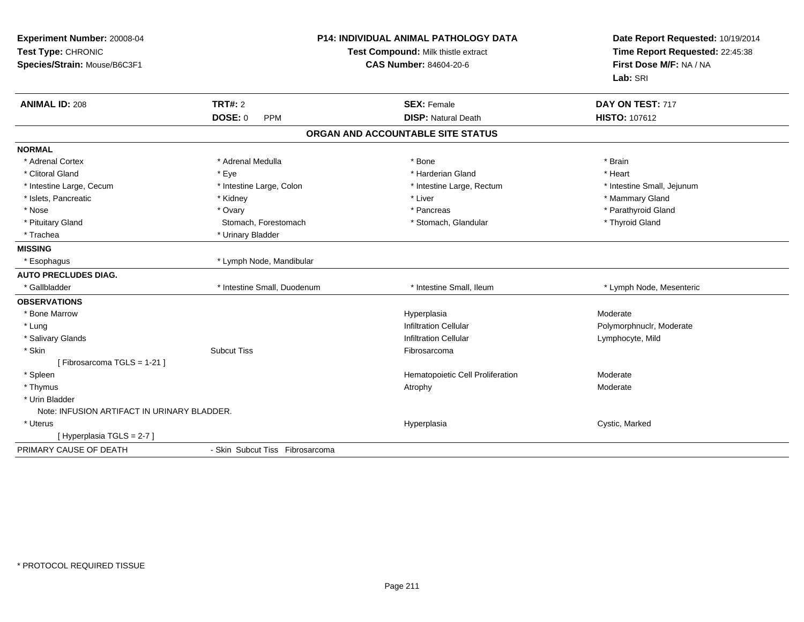| Experiment Number: 20008-04<br>Test Type: CHRONIC<br>Species/Strain: Mouse/B6C3F1 |                                 | P14: INDIVIDUAL ANIMAL PATHOLOGY DATA<br>Test Compound: Milk thistle extract<br><b>CAS Number: 84604-20-6</b> |                            |
|-----------------------------------------------------------------------------------|---------------------------------|---------------------------------------------------------------------------------------------------------------|----------------------------|
| <b>ANIMAL ID: 208</b>                                                             | <b>TRT#: 2</b>                  | <b>SEX: Female</b>                                                                                            | DAY ON TEST: 717           |
|                                                                                   | DOSE: 0<br><b>PPM</b>           | <b>DISP: Natural Death</b>                                                                                    | <b>HISTO: 107612</b>       |
|                                                                                   |                                 | ORGAN AND ACCOUNTABLE SITE STATUS                                                                             |                            |
| <b>NORMAL</b>                                                                     |                                 |                                                                                                               |                            |
| * Adrenal Cortex                                                                  | * Adrenal Medulla               | * Bone                                                                                                        | * Brain                    |
| * Clitoral Gland                                                                  | * Eye                           | * Harderian Gland                                                                                             | * Heart                    |
| * Intestine Large, Cecum                                                          | * Intestine Large, Colon        | * Intestine Large, Rectum                                                                                     | * Intestine Small, Jejunum |
| * Islets, Pancreatic                                                              | * Kidney                        | * Liver                                                                                                       | * Mammary Gland            |
| * Nose                                                                            | * Ovary                         | * Pancreas                                                                                                    | * Parathyroid Gland        |
| * Pituitary Gland                                                                 | Stomach, Forestomach            | * Stomach, Glandular                                                                                          | * Thyroid Gland            |
| * Trachea                                                                         | * Urinary Bladder               |                                                                                                               |                            |
| <b>MISSING</b>                                                                    |                                 |                                                                                                               |                            |
| * Esophagus                                                                       | * Lymph Node, Mandibular        |                                                                                                               |                            |
| <b>AUTO PRECLUDES DIAG.</b>                                                       |                                 |                                                                                                               |                            |
| * Gallbladder                                                                     | * Intestine Small, Duodenum     | * Intestine Small, Ileum                                                                                      | * Lymph Node, Mesenteric   |
| <b>OBSERVATIONS</b>                                                               |                                 |                                                                                                               |                            |
| * Bone Marrow                                                                     |                                 | Hyperplasia                                                                                                   | Moderate                   |
| * Lung                                                                            |                                 | <b>Infiltration Cellular</b>                                                                                  | Polymorphnuclr, Moderate   |
| * Salivary Glands                                                                 |                                 | <b>Infiltration Cellular</b>                                                                                  | Lymphocyte, Mild           |
| * Skin                                                                            | <b>Subcut Tiss</b>              | Fibrosarcoma                                                                                                  |                            |
| [Fibrosarcoma TGLS = 1-21]                                                        |                                 |                                                                                                               |                            |
| * Spleen                                                                          |                                 | Hematopoietic Cell Proliferation                                                                              | Moderate                   |
| * Thymus                                                                          |                                 | Atrophy                                                                                                       | Moderate                   |
| * Urin Bladder                                                                    |                                 |                                                                                                               |                            |
| Note: INFUSION ARTIFACT IN URINARY BLADDER.                                       |                                 |                                                                                                               |                            |
| * Uterus                                                                          |                                 | Hyperplasia                                                                                                   | Cystic, Marked             |
| [Hyperplasia TGLS = 2-7]                                                          |                                 |                                                                                                               |                            |
| PRIMARY CAUSE OF DEATH                                                            | - Skin Subcut Tiss Fibrosarcoma |                                                                                                               |                            |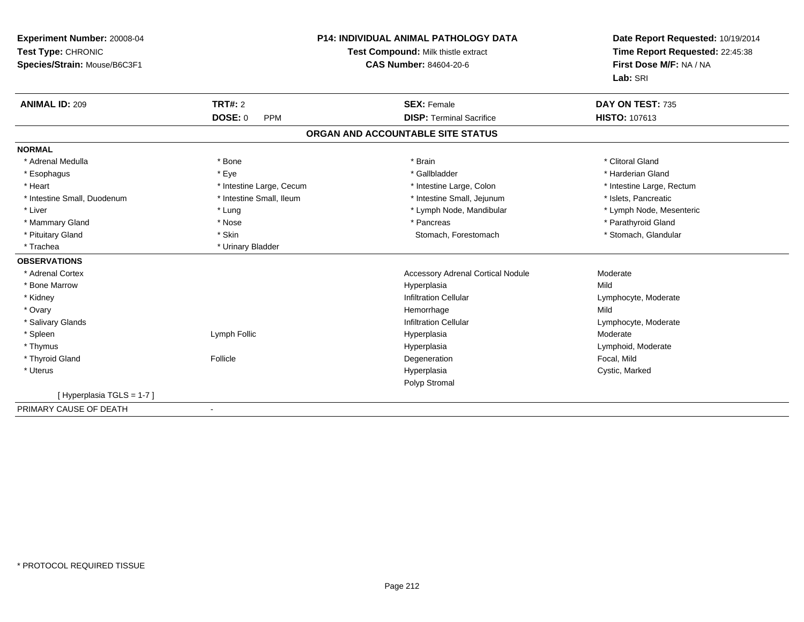| Experiment Number: 20008-04<br>Test Type: CHRONIC<br>Species/Strain: Mouse/B6C3F1 |                                                | <b>P14: INDIVIDUAL ANIMAL PATHOLOGY DATA</b><br>Test Compound: Milk thistle extract<br><b>CAS Number: 84604-20-6</b> | Date Report Requested: 10/19/2014<br>Time Report Requested: 22:45:38<br>First Dose M/F: NA / NA<br>Lab: SRI |
|-----------------------------------------------------------------------------------|------------------------------------------------|----------------------------------------------------------------------------------------------------------------------|-------------------------------------------------------------------------------------------------------------|
| <b>ANIMAL ID: 209</b>                                                             | <b>TRT#: 2</b><br><b>DOSE: 0</b><br><b>PPM</b> | <b>SEX: Female</b><br><b>DISP: Terminal Sacrifice</b>                                                                | DAY ON TEST: 735<br><b>HISTO: 107613</b>                                                                    |
|                                                                                   |                                                |                                                                                                                      |                                                                                                             |
|                                                                                   |                                                | ORGAN AND ACCOUNTABLE SITE STATUS                                                                                    |                                                                                                             |
| <b>NORMAL</b>                                                                     |                                                |                                                                                                                      |                                                                                                             |
| * Adrenal Medulla                                                                 | * Bone                                         | * Brain                                                                                                              | * Clitoral Gland                                                                                            |
| * Esophagus                                                                       | * Eye                                          | * Gallbladder                                                                                                        | * Harderian Gland                                                                                           |
| * Heart                                                                           | * Intestine Large, Cecum                       | * Intestine Large, Colon                                                                                             | * Intestine Large, Rectum                                                                                   |
| * Intestine Small, Duodenum                                                       | * Intestine Small, Ileum                       | * Intestine Small, Jejunum                                                                                           | * Islets, Pancreatic                                                                                        |
| * Liver                                                                           | * Lung                                         | * Lymph Node, Mandibular                                                                                             | * Lymph Node, Mesenteric                                                                                    |
| * Mammary Gland                                                                   | * Nose                                         | * Pancreas                                                                                                           | * Parathyroid Gland                                                                                         |
| * Pituitary Gland                                                                 | * Skin                                         | Stomach, Forestomach                                                                                                 | * Stomach, Glandular                                                                                        |
| * Trachea                                                                         | * Urinary Bladder                              |                                                                                                                      |                                                                                                             |
| <b>OBSERVATIONS</b>                                                               |                                                |                                                                                                                      |                                                                                                             |
| * Adrenal Cortex                                                                  |                                                | <b>Accessory Adrenal Cortical Nodule</b>                                                                             | Moderate                                                                                                    |
| * Bone Marrow                                                                     |                                                | Hyperplasia                                                                                                          | Mild                                                                                                        |
| * Kidney                                                                          |                                                | <b>Infiltration Cellular</b>                                                                                         | Lymphocyte, Moderate                                                                                        |
| * Ovary                                                                           |                                                | Hemorrhage                                                                                                           | Mild                                                                                                        |
| * Salivary Glands                                                                 |                                                | <b>Infiltration Cellular</b>                                                                                         | Lymphocyte, Moderate                                                                                        |
| * Spleen                                                                          | Lymph Follic                                   | Hyperplasia                                                                                                          | Moderate                                                                                                    |
| * Thymus                                                                          |                                                | Hyperplasia                                                                                                          | Lymphoid, Moderate                                                                                          |
| * Thyroid Gland                                                                   | Follicle                                       | Degeneration                                                                                                         | Focal, Mild                                                                                                 |
| * Uterus                                                                          |                                                | Hyperplasia                                                                                                          | Cystic, Marked                                                                                              |
|                                                                                   |                                                | Polyp Stromal                                                                                                        |                                                                                                             |
| [Hyperplasia TGLS = 1-7]                                                          |                                                |                                                                                                                      |                                                                                                             |
| PRIMARY CAUSE OF DEATH                                                            |                                                |                                                                                                                      |                                                                                                             |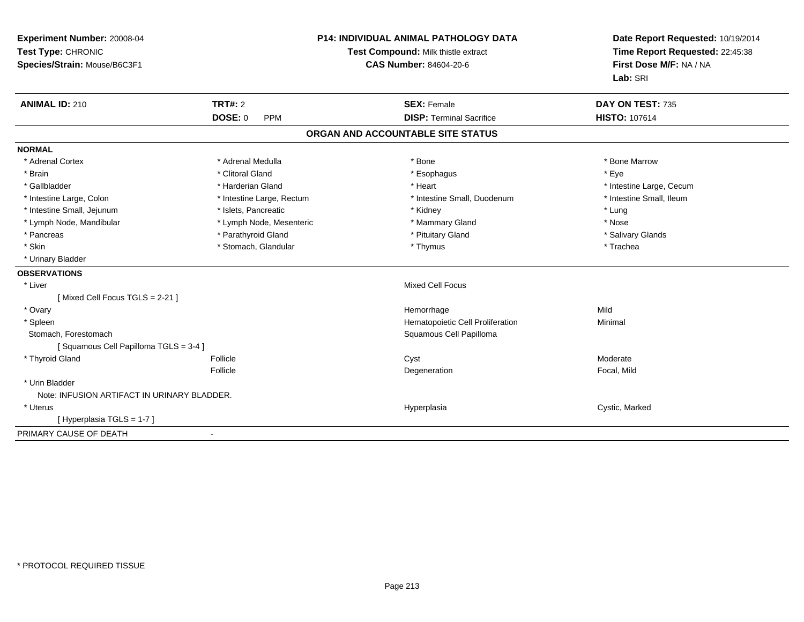| Experiment Number: 20008-04<br>Test Type: CHRONIC<br>Species/Strain: Mouse/B6C3F1 | <b>P14: INDIVIDUAL ANIMAL PATHOLOGY DATA</b><br>Test Compound: Milk thistle extract<br><b>CAS Number: 84604-20-6</b> |                                   | Date Report Requested: 10/19/2014<br>Time Report Requested: 22:45:38<br>First Dose M/F: NA / NA<br>Lab: SRI |  |
|-----------------------------------------------------------------------------------|----------------------------------------------------------------------------------------------------------------------|-----------------------------------|-------------------------------------------------------------------------------------------------------------|--|
| <b>ANIMAL ID: 210</b>                                                             | <b>TRT#: 2</b>                                                                                                       | <b>SEX: Female</b>                | DAY ON TEST: 735                                                                                            |  |
|                                                                                   | <b>DOSE: 0</b><br><b>PPM</b>                                                                                         | <b>DISP: Terminal Sacrifice</b>   | HISTO: 107614                                                                                               |  |
|                                                                                   |                                                                                                                      | ORGAN AND ACCOUNTABLE SITE STATUS |                                                                                                             |  |
| <b>NORMAL</b>                                                                     |                                                                                                                      |                                   |                                                                                                             |  |
| * Adrenal Cortex                                                                  | * Adrenal Medulla                                                                                                    | * Bone                            | * Bone Marrow                                                                                               |  |
| * Brain                                                                           | * Clitoral Gland                                                                                                     | * Esophagus                       | * Eye                                                                                                       |  |
| * Gallbladder                                                                     | * Harderian Gland                                                                                                    | * Heart                           | * Intestine Large, Cecum                                                                                    |  |
| * Intestine Large, Colon                                                          | * Intestine Large, Rectum                                                                                            | * Intestine Small, Duodenum       | * Intestine Small, Ileum                                                                                    |  |
| * Intestine Small, Jejunum                                                        | * Islets, Pancreatic                                                                                                 | * Kidney                          | * Lung                                                                                                      |  |
| * Lymph Node, Mandibular                                                          | * Lymph Node, Mesenteric                                                                                             | * Mammary Gland                   | * Nose                                                                                                      |  |
| * Pancreas                                                                        | * Parathyroid Gland                                                                                                  | * Pituitary Gland                 | * Salivary Glands                                                                                           |  |
| * Skin                                                                            | * Stomach, Glandular                                                                                                 | * Thymus                          | * Trachea                                                                                                   |  |
| * Urinary Bladder                                                                 |                                                                                                                      |                                   |                                                                                                             |  |
| <b>OBSERVATIONS</b>                                                               |                                                                                                                      |                                   |                                                                                                             |  |
| * Liver                                                                           |                                                                                                                      | <b>Mixed Cell Focus</b>           |                                                                                                             |  |
| [Mixed Cell Focus TGLS = 2-21]                                                    |                                                                                                                      |                                   |                                                                                                             |  |
| * Ovary                                                                           |                                                                                                                      | Hemorrhage                        | Mild                                                                                                        |  |
| * Spleen                                                                          |                                                                                                                      | Hematopoietic Cell Proliferation  | Minimal                                                                                                     |  |
| Stomach, Forestomach                                                              |                                                                                                                      | Squamous Cell Papilloma           |                                                                                                             |  |
| [Squamous Cell Papilloma TGLS = 3-4]                                              |                                                                                                                      |                                   |                                                                                                             |  |
| * Thyroid Gland                                                                   | Follicle                                                                                                             | Cyst                              | Moderate                                                                                                    |  |
|                                                                                   | Follicle                                                                                                             | Degeneration                      | Focal, Mild                                                                                                 |  |
| * Urin Bladder                                                                    |                                                                                                                      |                                   |                                                                                                             |  |
| Note: INFUSION ARTIFACT IN URINARY BLADDER.                                       |                                                                                                                      |                                   |                                                                                                             |  |
| * Uterus                                                                          |                                                                                                                      | Hyperplasia                       | Cystic, Marked                                                                                              |  |
| [Hyperplasia TGLS = 1-7]                                                          |                                                                                                                      |                                   |                                                                                                             |  |
| PRIMARY CAUSE OF DEATH                                                            |                                                                                                                      |                                   |                                                                                                             |  |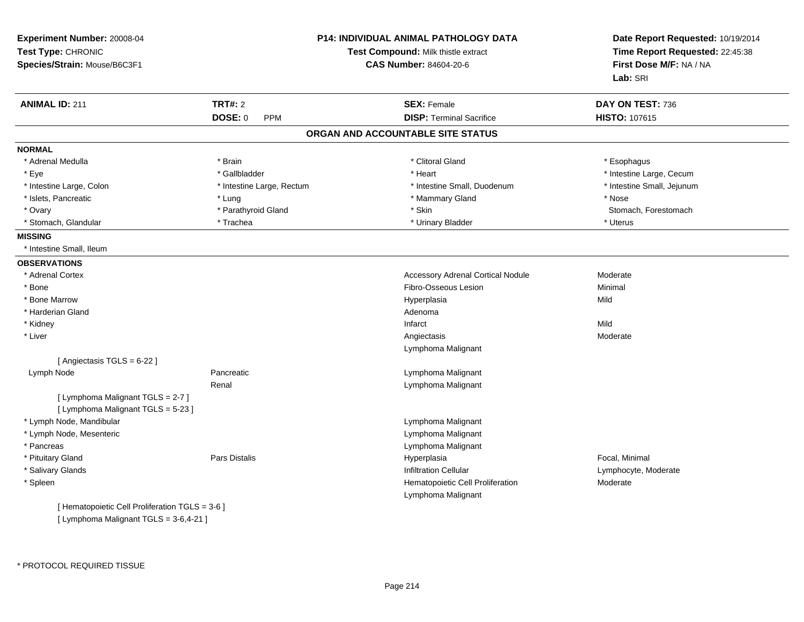| Experiment Number: 20008-04<br>Test Type: CHRONIC<br>Species/Strain: Mouse/B6C3F1 |                              | <b>P14: INDIVIDUAL ANIMAL PATHOLOGY DATA</b><br>Test Compound: Milk thistle extract<br><b>CAS Number: 84604-20-6</b> | Date Report Requested: 10/19/2014<br>Time Report Requested: 22:45:38<br>First Dose M/F: NA / NA<br>Lab: SRI |
|-----------------------------------------------------------------------------------|------------------------------|----------------------------------------------------------------------------------------------------------------------|-------------------------------------------------------------------------------------------------------------|
| <b>ANIMAL ID: 211</b>                                                             | <b>TRT#: 2</b>               | <b>SEX: Female</b>                                                                                                   | DAY ON TEST: 736                                                                                            |
|                                                                                   | <b>DOSE: 0</b><br><b>PPM</b> | <b>DISP: Terminal Sacrifice</b>                                                                                      | <b>HISTO: 107615</b>                                                                                        |
|                                                                                   |                              | ORGAN AND ACCOUNTABLE SITE STATUS                                                                                    |                                                                                                             |
| <b>NORMAL</b>                                                                     |                              |                                                                                                                      |                                                                                                             |
| * Adrenal Medulla                                                                 | * Brain                      | * Clitoral Gland                                                                                                     | * Esophagus                                                                                                 |
| * Eye                                                                             | * Gallbladder                | * Heart                                                                                                              | * Intestine Large, Cecum                                                                                    |
| * Intestine Large, Colon                                                          | * Intestine Large, Rectum    | * Intestine Small, Duodenum                                                                                          | * Intestine Small, Jejunum                                                                                  |
| * Islets, Pancreatic                                                              | * Lung                       | * Mammary Gland                                                                                                      | * Nose                                                                                                      |
| * Ovary                                                                           | * Parathyroid Gland          | * Skin                                                                                                               | Stomach, Forestomach                                                                                        |
| * Stomach, Glandular                                                              | * Trachea                    | * Urinary Bladder                                                                                                    | * Uterus                                                                                                    |
| <b>MISSING</b>                                                                    |                              |                                                                                                                      |                                                                                                             |
| * Intestine Small, Ileum                                                          |                              |                                                                                                                      |                                                                                                             |
| <b>OBSERVATIONS</b>                                                               |                              |                                                                                                                      |                                                                                                             |
| * Adrenal Cortex                                                                  |                              | <b>Accessory Adrenal Cortical Nodule</b>                                                                             | Moderate                                                                                                    |
| * Bone                                                                            |                              | Fibro-Osseous Lesion                                                                                                 | Minimal                                                                                                     |
| * Bone Marrow                                                                     |                              | Hyperplasia                                                                                                          | Mild                                                                                                        |
| * Harderian Gland                                                                 |                              | Adenoma                                                                                                              |                                                                                                             |
| * Kidney                                                                          |                              | Infarct                                                                                                              | Mild                                                                                                        |
| * Liver                                                                           |                              | Angiectasis                                                                                                          | Moderate                                                                                                    |
|                                                                                   |                              | Lymphoma Malignant                                                                                                   |                                                                                                             |
| [Angiectasis TGLS = 6-22]                                                         |                              |                                                                                                                      |                                                                                                             |
| Lymph Node                                                                        | Pancreatic                   | Lymphoma Malignant                                                                                                   |                                                                                                             |
|                                                                                   | Renal                        | Lymphoma Malignant                                                                                                   |                                                                                                             |
| [ Lymphoma Malignant TGLS = 2-7 ]                                                 |                              |                                                                                                                      |                                                                                                             |
| [ Lymphoma Malignant TGLS = 5-23 ]                                                |                              |                                                                                                                      |                                                                                                             |
| * Lymph Node, Mandibular                                                          |                              | Lymphoma Malignant                                                                                                   |                                                                                                             |
| * Lymph Node, Mesenteric                                                          |                              | Lymphoma Malignant                                                                                                   |                                                                                                             |
| * Pancreas                                                                        |                              | Lymphoma Malignant                                                                                                   |                                                                                                             |
| * Pituitary Gland                                                                 | <b>Pars Distalis</b>         | Hyperplasia                                                                                                          | Focal, Minimal                                                                                              |
| * Salivary Glands                                                                 |                              | <b>Infiltration Cellular</b>                                                                                         | Lymphocyte, Moderate                                                                                        |
| * Spleen                                                                          |                              | Hematopoietic Cell Proliferation                                                                                     | Moderate                                                                                                    |
|                                                                                   |                              | Lymphoma Malignant                                                                                                   |                                                                                                             |
| [ Hematopoietic Cell Proliferation TGLS = 3-6 ]                                   |                              |                                                                                                                      |                                                                                                             |
| [ Lymphoma Malignant TGLS = 3-6,4-21 ]                                            |                              |                                                                                                                      |                                                                                                             |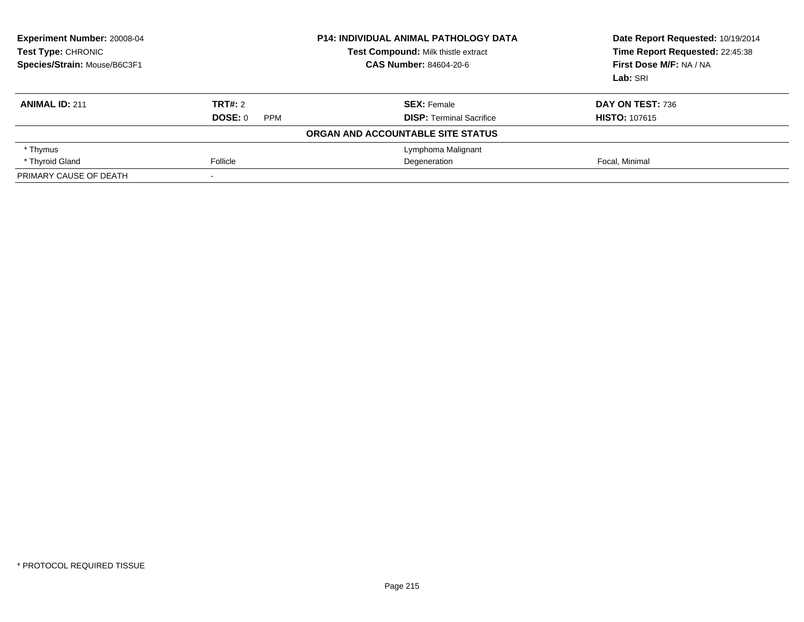| Experiment Number: 20008-04<br><b>Test Compound: Milk thistle extract</b><br><b>Test Type: CHRONIC</b><br>Species/Strain: Mouse/B6C3F1<br><b>CAS Number: 84604-20-6</b> |                       | <b>P14: INDIVIDUAL ANIMAL PATHOLOGY DATA</b> | Date Report Requested: 10/19/2014<br>Time Report Requested: 22:45:38<br>First Dose M/F: NA / NA<br>Lab: SRI |
|-------------------------------------------------------------------------------------------------------------------------------------------------------------------------|-----------------------|----------------------------------------------|-------------------------------------------------------------------------------------------------------------|
| <b>ANIMAL ID: 211</b>                                                                                                                                                   | TRT#: 2               | <b>SEX: Female</b>                           | DAY ON TEST: 736                                                                                            |
|                                                                                                                                                                         | DOSE: 0<br><b>PPM</b> | <b>DISP:</b> Terminal Sacrifice              | <b>HISTO: 107615</b>                                                                                        |
|                                                                                                                                                                         |                       | ORGAN AND ACCOUNTABLE SITE STATUS            |                                                                                                             |
| * Thymus                                                                                                                                                                |                       | Lymphoma Malignant                           |                                                                                                             |
| * Thyroid Gland                                                                                                                                                         | Follicle              | Degeneration                                 | Focal, Minimal                                                                                              |
| PRIMARY CAUSE OF DEATH                                                                                                                                                  |                       |                                              |                                                                                                             |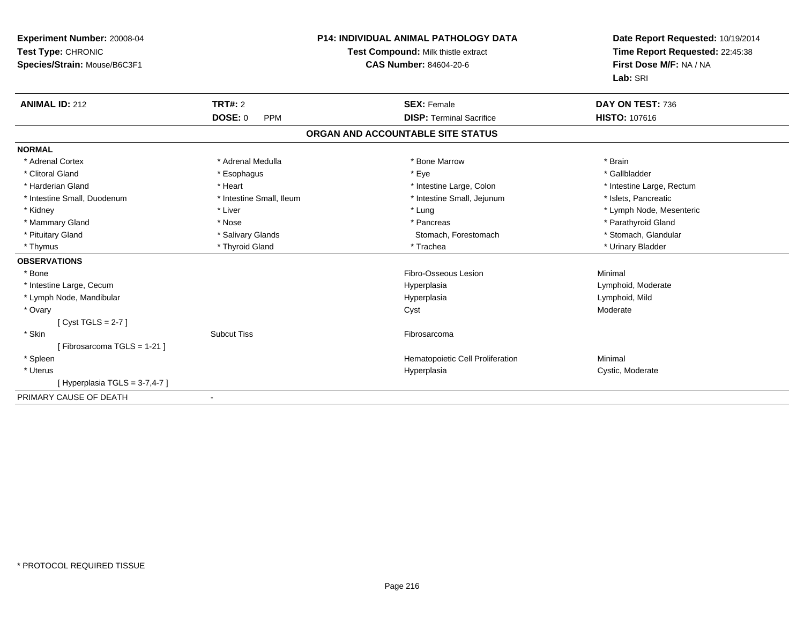| Experiment Number: 20008-04<br>Test Type: CHRONIC<br>Species/Strain: Mouse/B6C3F1<br><b>ANIMAL ID: 212</b> | <b>TRT#: 2</b><br><b>DOSE: 0</b><br><b>PPM</b> | <b>P14: INDIVIDUAL ANIMAL PATHOLOGY DATA</b><br>Test Compound: Milk thistle extract<br><b>CAS Number: 84604-20-6</b><br><b>SEX: Female</b><br><b>DISP: Terminal Sacrifice</b> | Date Report Requested: 10/19/2014<br>Time Report Requested: 22:45:38<br>First Dose M/F: NA / NA<br>Lab: SRI<br>DAY ON TEST: 736<br><b>HISTO: 107616</b> |
|------------------------------------------------------------------------------------------------------------|------------------------------------------------|-------------------------------------------------------------------------------------------------------------------------------------------------------------------------------|---------------------------------------------------------------------------------------------------------------------------------------------------------|
|                                                                                                            |                                                | ORGAN AND ACCOUNTABLE SITE STATUS                                                                                                                                             |                                                                                                                                                         |
| <b>NORMAL</b>                                                                                              |                                                |                                                                                                                                                                               |                                                                                                                                                         |
| * Adrenal Cortex                                                                                           | * Adrenal Medulla                              | * Bone Marrow                                                                                                                                                                 | * Brain                                                                                                                                                 |
| * Clitoral Gland                                                                                           | * Esophagus                                    | * Eye                                                                                                                                                                         | * Gallbladder                                                                                                                                           |
| * Harderian Gland                                                                                          | * Heart                                        | * Intestine Large, Colon                                                                                                                                                      | * Intestine Large, Rectum                                                                                                                               |
| * Intestine Small, Duodenum                                                                                | * Intestine Small, Ileum                       | * Intestine Small, Jejunum                                                                                                                                                    | * Islets, Pancreatic                                                                                                                                    |
| * Kidney                                                                                                   | * Liver                                        | * Lung                                                                                                                                                                        | * Lymph Node, Mesenteric                                                                                                                                |
| * Mammary Gland                                                                                            | * Nose                                         | * Pancreas                                                                                                                                                                    | * Parathyroid Gland                                                                                                                                     |
| * Pituitary Gland                                                                                          | * Salivary Glands                              | Stomach, Forestomach                                                                                                                                                          | * Stomach, Glandular                                                                                                                                    |
| * Thymus                                                                                                   | * Thyroid Gland                                | * Trachea                                                                                                                                                                     | * Urinary Bladder                                                                                                                                       |
| <b>OBSERVATIONS</b>                                                                                        |                                                |                                                                                                                                                                               |                                                                                                                                                         |
| * Bone                                                                                                     |                                                | Fibro-Osseous Lesion                                                                                                                                                          | Minimal                                                                                                                                                 |
| * Intestine Large, Cecum                                                                                   |                                                | Hyperplasia                                                                                                                                                                   | Lymphoid, Moderate                                                                                                                                      |
| * Lymph Node, Mandibular                                                                                   |                                                | Hyperplasia                                                                                                                                                                   | Lymphoid, Mild                                                                                                                                          |
| * Ovary                                                                                                    |                                                | Cyst                                                                                                                                                                          | Moderate                                                                                                                                                |
| [Cyst TGLS = $2-7$ ]                                                                                       |                                                |                                                                                                                                                                               |                                                                                                                                                         |
| * Skin                                                                                                     | <b>Subcut Tiss</b>                             | Fibrosarcoma                                                                                                                                                                  |                                                                                                                                                         |
| [ Fibrosarcoma TGLS = 1-21 ]                                                                               |                                                |                                                                                                                                                                               |                                                                                                                                                         |
| * Spleen                                                                                                   |                                                | Hematopoietic Cell Proliferation                                                                                                                                              | Minimal                                                                                                                                                 |
| * Uterus                                                                                                   |                                                | Hyperplasia                                                                                                                                                                   | Cystic, Moderate                                                                                                                                        |
| [Hyperplasia TGLS = 3-7,4-7]                                                                               |                                                |                                                                                                                                                                               |                                                                                                                                                         |
| PRIMARY CAUSE OF DEATH                                                                                     | $\overline{\phantom{a}}$                       |                                                                                                                                                                               |                                                                                                                                                         |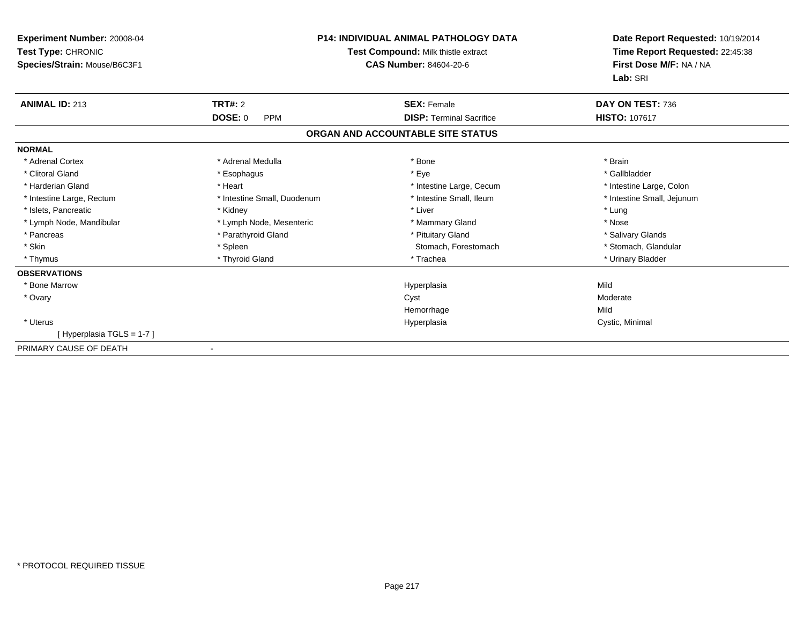| Experiment Number: 20008-04<br>Test Type: CHRONIC<br>Species/Strain: Mouse/B6C3F1 | <b>P14: INDIVIDUAL ANIMAL PATHOLOGY DATA</b><br>Test Compound: Milk thistle extract<br><b>CAS Number: 84604-20-6</b> |                                   | Date Report Requested: 10/19/2014<br>Time Report Requested: 22:45:38<br>First Dose M/F: NA / NA<br>Lab: SRI |
|-----------------------------------------------------------------------------------|----------------------------------------------------------------------------------------------------------------------|-----------------------------------|-------------------------------------------------------------------------------------------------------------|
| <b>ANIMAL ID: 213</b>                                                             | TRT#: 2                                                                                                              | <b>SEX: Female</b>                | DAY ON TEST: 736                                                                                            |
|                                                                                   | <b>DOSE: 0</b><br><b>PPM</b>                                                                                         | <b>DISP: Terminal Sacrifice</b>   | HISTO: 107617                                                                                               |
|                                                                                   |                                                                                                                      | ORGAN AND ACCOUNTABLE SITE STATUS |                                                                                                             |
| <b>NORMAL</b>                                                                     |                                                                                                                      |                                   |                                                                                                             |
| * Adrenal Cortex                                                                  | * Adrenal Medulla                                                                                                    | * Bone                            | * Brain                                                                                                     |
| * Clitoral Gland                                                                  | * Esophagus                                                                                                          | * Eye                             | * Gallbladder                                                                                               |
| * Harderian Gland                                                                 | * Heart                                                                                                              | * Intestine Large, Cecum          | * Intestine Large, Colon                                                                                    |
| * Intestine Large, Rectum                                                         | * Intestine Small, Duodenum                                                                                          | * Intestine Small, Ileum          | * Intestine Small, Jejunum                                                                                  |
| * Islets, Pancreatic                                                              | * Kidney                                                                                                             | * Liver                           | * Lung                                                                                                      |
| * Lymph Node, Mandibular                                                          | * Lymph Node, Mesenteric                                                                                             | * Mammary Gland                   | * Nose                                                                                                      |
| * Pancreas                                                                        | * Parathyroid Gland                                                                                                  | * Pituitary Gland                 | * Salivary Glands                                                                                           |
| * Skin                                                                            | * Spleen                                                                                                             | Stomach, Forestomach              | * Stomach, Glandular                                                                                        |
| * Thymus                                                                          | * Thyroid Gland                                                                                                      | * Trachea                         | * Urinary Bladder                                                                                           |
| <b>OBSERVATIONS</b>                                                               |                                                                                                                      |                                   |                                                                                                             |
| * Bone Marrow                                                                     |                                                                                                                      | Hyperplasia                       | Mild                                                                                                        |
| * Ovary                                                                           |                                                                                                                      | Cyst                              | Moderate                                                                                                    |
|                                                                                   |                                                                                                                      | Hemorrhage                        | Mild                                                                                                        |
| * Uterus                                                                          |                                                                                                                      | Hyperplasia                       | Cystic, Minimal                                                                                             |
| [Hyperplasia TGLS = 1-7]                                                          |                                                                                                                      |                                   |                                                                                                             |
| PRIMARY CAUSE OF DEATH                                                            |                                                                                                                      |                                   |                                                                                                             |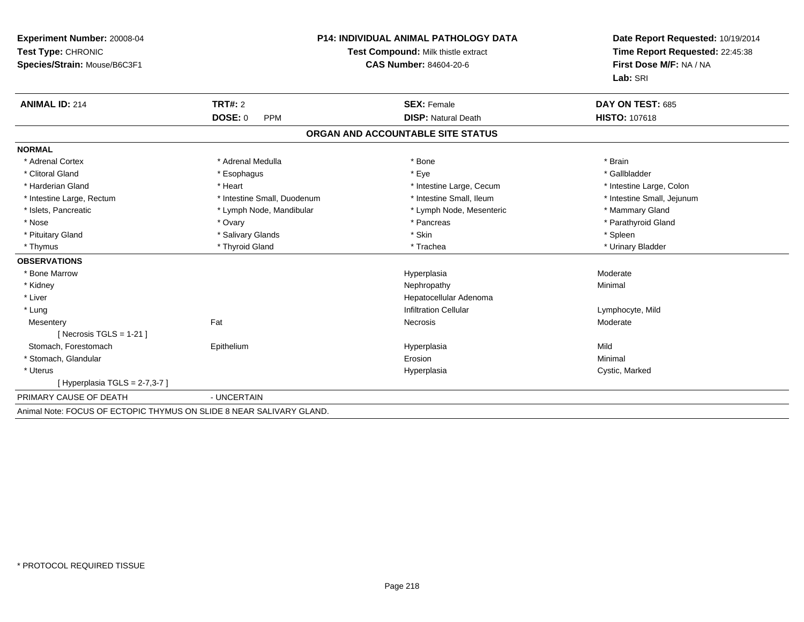| Experiment Number: 20008-04<br>Test Type: CHRONIC<br>Species/Strain: Mouse/B6C3F1 |                             | <b>P14: INDIVIDUAL ANIMAL PATHOLOGY DATA</b><br>Test Compound: Milk thistle extract<br><b>CAS Number: 84604-20-6</b> | Date Report Requested: 10/19/2014<br>Time Report Requested: 22:45:38<br>First Dose M/F: NA / NA<br>Lab: SRI |
|-----------------------------------------------------------------------------------|-----------------------------|----------------------------------------------------------------------------------------------------------------------|-------------------------------------------------------------------------------------------------------------|
| <b>ANIMAL ID: 214</b>                                                             | TRT#: 2                     | <b>SEX: Female</b>                                                                                                   | DAY ON TEST: 685                                                                                            |
|                                                                                   | DOSE: 0<br><b>PPM</b>       | <b>DISP: Natural Death</b>                                                                                           | <b>HISTO: 107618</b>                                                                                        |
|                                                                                   |                             | ORGAN AND ACCOUNTABLE SITE STATUS                                                                                    |                                                                                                             |
| <b>NORMAL</b>                                                                     |                             |                                                                                                                      |                                                                                                             |
| * Adrenal Cortex                                                                  | * Adrenal Medulla           | * Bone                                                                                                               | * Brain                                                                                                     |
| * Clitoral Gland                                                                  | * Esophagus                 | * Eye                                                                                                                | * Gallbladder                                                                                               |
| * Harderian Gland                                                                 | * Heart                     | * Intestine Large, Cecum                                                                                             | * Intestine Large, Colon                                                                                    |
| * Intestine Large, Rectum                                                         | * Intestine Small, Duodenum | * Intestine Small, Ileum                                                                                             | * Intestine Small, Jejunum                                                                                  |
| * Islets, Pancreatic                                                              | * Lymph Node, Mandibular    | * Lymph Node, Mesenteric                                                                                             | * Mammary Gland                                                                                             |
| * Nose                                                                            | * Ovary                     | * Pancreas                                                                                                           | * Parathyroid Gland                                                                                         |
| * Pituitary Gland                                                                 | * Salivary Glands           | * Skin                                                                                                               | * Spleen                                                                                                    |
| * Thymus                                                                          | * Thyroid Gland             | * Trachea                                                                                                            | * Urinary Bladder                                                                                           |
| <b>OBSERVATIONS</b>                                                               |                             |                                                                                                                      |                                                                                                             |
| * Bone Marrow                                                                     |                             | Hyperplasia                                                                                                          | Moderate                                                                                                    |
| * Kidney                                                                          |                             | Nephropathy                                                                                                          | Minimal                                                                                                     |
| * Liver                                                                           |                             | Hepatocellular Adenoma                                                                                               |                                                                                                             |
| * Lung                                                                            |                             | <b>Infiltration Cellular</b>                                                                                         | Lymphocyte, Mild                                                                                            |
| Mesentery                                                                         | Fat                         | Necrosis                                                                                                             | Moderate                                                                                                    |
| [Necrosis TGLS = $1-21$ ]                                                         |                             |                                                                                                                      |                                                                                                             |
| Stomach, Forestomach                                                              | Epithelium                  | Hyperplasia                                                                                                          | Mild                                                                                                        |
| * Stomach, Glandular                                                              |                             | Erosion                                                                                                              | Minimal                                                                                                     |
| * Uterus                                                                          |                             | Hyperplasia                                                                                                          | Cystic, Marked                                                                                              |
| [Hyperplasia TGLS = $2-7,3-7$ ]                                                   |                             |                                                                                                                      |                                                                                                             |
| PRIMARY CAUSE OF DEATH                                                            | - UNCERTAIN                 |                                                                                                                      |                                                                                                             |
| Animal Note: FOCUS OF ECTOPIC THYMUS ON SLIDE 8 NEAR SALIVARY GLAND.              |                             |                                                                                                                      |                                                                                                             |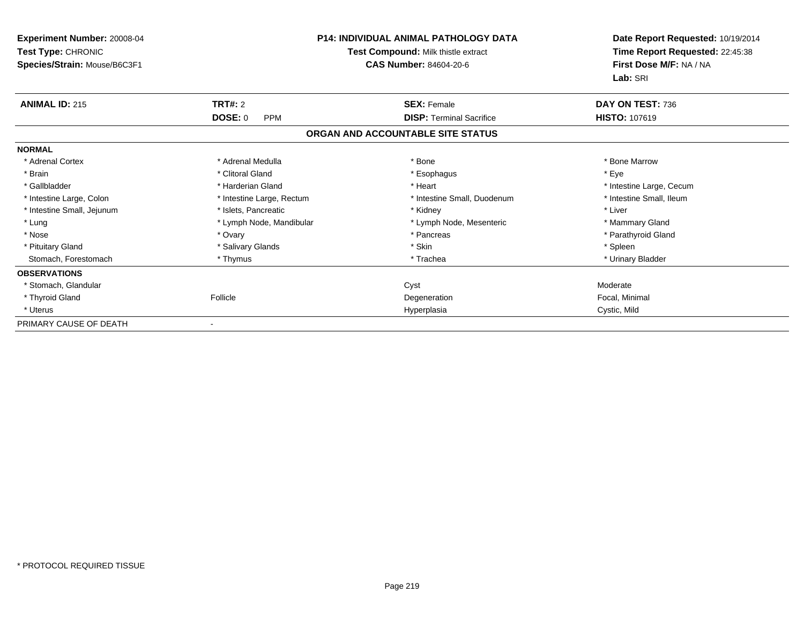| <b>Experiment Number: 20008-04</b><br>Test Type: CHRONIC<br>Species/Strain: Mouse/B6C3F1 | <b>P14: INDIVIDUAL ANIMAL PATHOLOGY DATA</b><br>Test Compound: Milk thistle extract<br><b>CAS Number: 84604-20-6</b> |                                   | Date Report Requested: 10/19/2014<br>Time Report Requested: 22:45:38<br>First Dose M/F: NA / NA<br>Lab: SRI |
|------------------------------------------------------------------------------------------|----------------------------------------------------------------------------------------------------------------------|-----------------------------------|-------------------------------------------------------------------------------------------------------------|
| <b>ANIMAL ID: 215</b>                                                                    | TRT#: 2                                                                                                              | <b>SEX: Female</b>                | DAY ON TEST: 736                                                                                            |
|                                                                                          | DOSE: 0<br><b>PPM</b>                                                                                                | <b>DISP: Terminal Sacrifice</b>   | HISTO: 107619                                                                                               |
|                                                                                          |                                                                                                                      | ORGAN AND ACCOUNTABLE SITE STATUS |                                                                                                             |
| <b>NORMAL</b>                                                                            |                                                                                                                      |                                   |                                                                                                             |
| * Adrenal Cortex                                                                         | * Adrenal Medulla                                                                                                    | * Bone                            | * Bone Marrow                                                                                               |
| * Brain                                                                                  | * Clitoral Gland                                                                                                     | * Esophagus                       | * Eye                                                                                                       |
| * Gallbladder                                                                            | * Harderian Gland                                                                                                    | * Heart                           | * Intestine Large, Cecum                                                                                    |
| * Intestine Large, Colon                                                                 | * Intestine Large, Rectum                                                                                            | * Intestine Small, Duodenum       | * Intestine Small, Ileum                                                                                    |
| * Intestine Small, Jejunum                                                               | * Islets, Pancreatic                                                                                                 | * Kidney                          | * Liver                                                                                                     |
| * Lung                                                                                   | * Lymph Node, Mandibular                                                                                             | * Lymph Node, Mesenteric          | * Mammary Gland                                                                                             |
| * Nose                                                                                   | * Ovary                                                                                                              | * Pancreas                        | * Parathyroid Gland                                                                                         |
| * Pituitary Gland                                                                        | * Salivary Glands                                                                                                    | * Skin                            | * Spleen                                                                                                    |
| Stomach, Forestomach                                                                     | * Thymus                                                                                                             | * Trachea                         | * Urinary Bladder                                                                                           |
| <b>OBSERVATIONS</b>                                                                      |                                                                                                                      |                                   |                                                                                                             |
| * Stomach, Glandular                                                                     |                                                                                                                      | Cyst                              | Moderate                                                                                                    |
| * Thyroid Gland                                                                          | Follicle                                                                                                             | Degeneration                      | Focal, Minimal                                                                                              |
| * Uterus                                                                                 |                                                                                                                      | Hyperplasia                       | Cystic, Mild                                                                                                |
| PRIMARY CAUSE OF DEATH                                                                   |                                                                                                                      |                                   |                                                                                                             |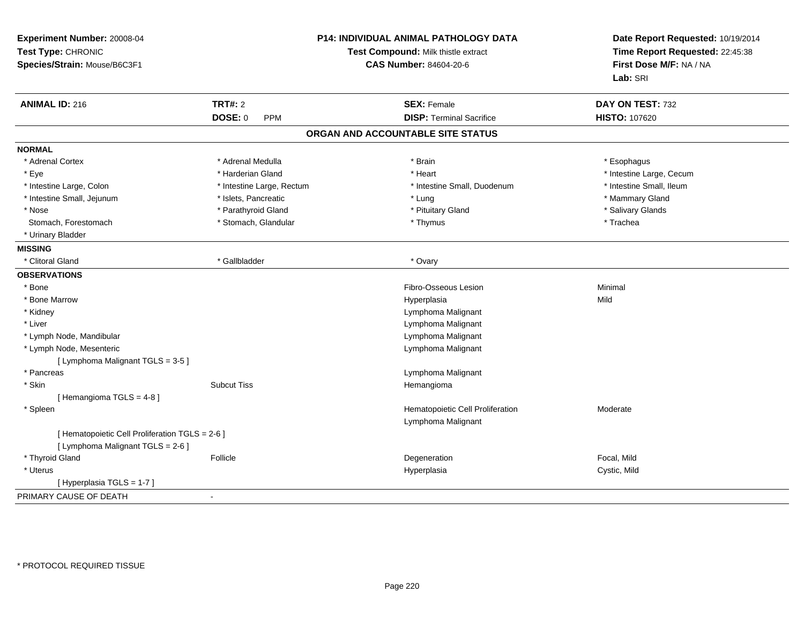| Experiment Number: 20008-04<br>Test Type: CHRONIC<br>Species/Strain: Mouse/B6C3F1    | P14: INDIVIDUAL ANIMAL PATHOLOGY DATA<br>Test Compound: Milk thistle extract<br><b>CAS Number: 84604-20-6</b> |                                                        | Date Report Requested: 10/19/2014<br>Time Report Requested: 22:45:38<br>First Dose M/F: NA / NA<br>Lab: SRI |
|--------------------------------------------------------------------------------------|---------------------------------------------------------------------------------------------------------------|--------------------------------------------------------|-------------------------------------------------------------------------------------------------------------|
| <b>ANIMAL ID: 216</b>                                                                | <b>TRT#: 2</b>                                                                                                | <b>SEX: Female</b>                                     | DAY ON TEST: 732                                                                                            |
|                                                                                      | DOSE: 0<br><b>PPM</b>                                                                                         | <b>DISP: Terminal Sacrifice</b>                        | <b>HISTO: 107620</b>                                                                                        |
|                                                                                      |                                                                                                               | ORGAN AND ACCOUNTABLE SITE STATUS                      |                                                                                                             |
| <b>NORMAL</b>                                                                        |                                                                                                               |                                                        |                                                                                                             |
| * Adrenal Cortex                                                                     | * Adrenal Medulla                                                                                             | * Brain                                                | * Esophagus                                                                                                 |
| * Eye                                                                                | * Harderian Gland                                                                                             | * Heart                                                | * Intestine Large, Cecum                                                                                    |
| * Intestine Large, Colon                                                             | * Intestine Large, Rectum                                                                                     | * Intestine Small, Duodenum                            | * Intestine Small, Ileum                                                                                    |
| * Intestine Small, Jejunum                                                           | * Islets, Pancreatic                                                                                          | * Lung                                                 | * Mammary Gland                                                                                             |
| * Nose                                                                               | * Parathyroid Gland                                                                                           | * Pituitary Gland                                      | * Salivary Glands                                                                                           |
| Stomach, Forestomach                                                                 | * Stomach, Glandular                                                                                          | * Thymus                                               | * Trachea                                                                                                   |
| * Urinary Bladder                                                                    |                                                                                                               |                                                        |                                                                                                             |
| <b>MISSING</b>                                                                       |                                                                                                               |                                                        |                                                                                                             |
| * Clitoral Gland                                                                     | * Gallbladder                                                                                                 | * Ovary                                                |                                                                                                             |
| <b>OBSERVATIONS</b>                                                                  |                                                                                                               |                                                        |                                                                                                             |
| * Bone                                                                               |                                                                                                               | Fibro-Osseous Lesion                                   | Minimal                                                                                                     |
| * Bone Marrow                                                                        |                                                                                                               | Hyperplasia                                            | Mild                                                                                                        |
| * Kidney                                                                             |                                                                                                               | Lymphoma Malignant                                     |                                                                                                             |
| * Liver                                                                              |                                                                                                               | Lymphoma Malignant                                     |                                                                                                             |
| * Lymph Node, Mandibular                                                             |                                                                                                               | Lymphoma Malignant                                     |                                                                                                             |
| * Lymph Node, Mesenteric                                                             |                                                                                                               | Lymphoma Malignant                                     |                                                                                                             |
| [ Lymphoma Malignant TGLS = 3-5 ]                                                    |                                                                                                               |                                                        |                                                                                                             |
| * Pancreas                                                                           |                                                                                                               | Lymphoma Malignant                                     |                                                                                                             |
| * Skin                                                                               | <b>Subcut Tiss</b>                                                                                            | Hemangioma                                             |                                                                                                             |
| [Hemangioma TGLS = 4-8]                                                              |                                                                                                               |                                                        |                                                                                                             |
| * Spleen                                                                             |                                                                                                               | Hematopoietic Cell Proliferation<br>Lymphoma Malignant | Moderate                                                                                                    |
| [ Hematopoietic Cell Proliferation TGLS = 2-6 ]<br>[ Lymphoma Malignant TGLS = 2-6 ] |                                                                                                               |                                                        |                                                                                                             |
| * Thyroid Gland                                                                      | Follicle                                                                                                      | Degeneration                                           | Focal, Mild                                                                                                 |
| * Uterus                                                                             |                                                                                                               | Hyperplasia                                            | Cystic, Mild                                                                                                |
| [ Hyperplasia TGLS = 1-7 ]                                                           |                                                                                                               |                                                        |                                                                                                             |
| PRIMARY CAUSE OF DEATH                                                               |                                                                                                               |                                                        |                                                                                                             |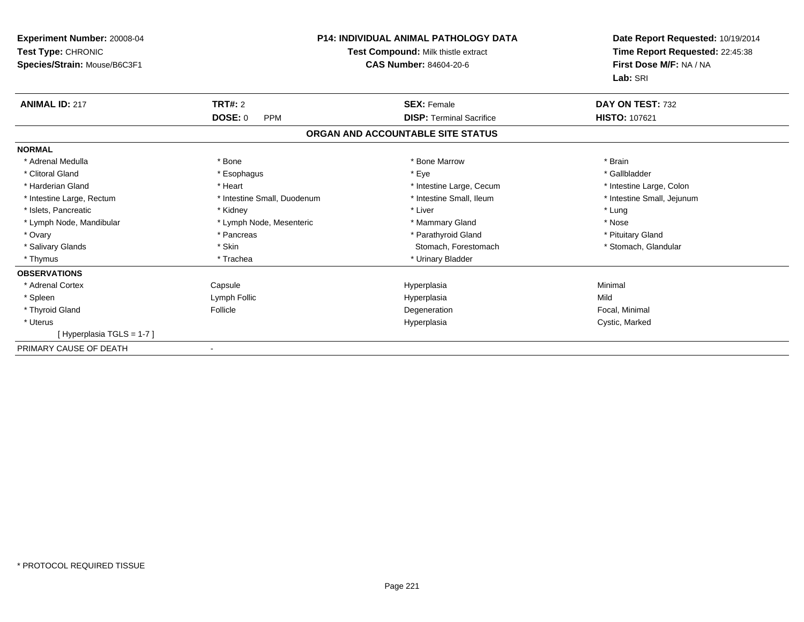| <b>Experiment Number: 20008-04</b><br>Test Type: CHRONIC<br>Species/Strain: Mouse/B6C3F1 |                              | <b>P14: INDIVIDUAL ANIMAL PATHOLOGY DATA</b><br>Test Compound: Milk thistle extract<br><b>CAS Number: 84604-20-6</b> | Date Report Requested: 10/19/2014<br>Time Report Requested: 22:45:38<br>First Dose M/F: NA / NA<br>Lab: SRI |
|------------------------------------------------------------------------------------------|------------------------------|----------------------------------------------------------------------------------------------------------------------|-------------------------------------------------------------------------------------------------------------|
| <b>ANIMAL ID: 217</b>                                                                    | <b>TRT#: 2</b>               | <b>SEX: Female</b>                                                                                                   | DAY ON TEST: 732                                                                                            |
|                                                                                          | <b>DOSE: 0</b><br><b>PPM</b> | <b>DISP: Terminal Sacrifice</b>                                                                                      | <b>HISTO: 107621</b>                                                                                        |
|                                                                                          |                              | ORGAN AND ACCOUNTABLE SITE STATUS                                                                                    |                                                                                                             |
| <b>NORMAL</b>                                                                            |                              |                                                                                                                      |                                                                                                             |
| * Adrenal Medulla                                                                        | * Bone                       | * Bone Marrow                                                                                                        | * Brain                                                                                                     |
| * Clitoral Gland                                                                         | * Esophagus                  | * Eye                                                                                                                | * Gallbladder                                                                                               |
| * Harderian Gland                                                                        | * Heart                      | * Intestine Large, Cecum                                                                                             | * Intestine Large, Colon                                                                                    |
| * Intestine Large, Rectum                                                                | * Intestine Small, Duodenum  | * Intestine Small, Ileum                                                                                             | * Intestine Small, Jejunum                                                                                  |
| * Islets, Pancreatic                                                                     | * Kidney                     | * Liver                                                                                                              | * Lung                                                                                                      |
| * Lymph Node, Mandibular                                                                 | * Lymph Node, Mesenteric     | * Mammary Gland                                                                                                      | * Nose                                                                                                      |
| * Ovary                                                                                  | * Pancreas                   | * Parathyroid Gland                                                                                                  | * Pituitary Gland                                                                                           |
| * Salivary Glands                                                                        | * Skin                       | Stomach, Forestomach                                                                                                 | * Stomach, Glandular                                                                                        |
| * Thymus                                                                                 | * Trachea                    | * Urinary Bladder                                                                                                    |                                                                                                             |
| <b>OBSERVATIONS</b>                                                                      |                              |                                                                                                                      |                                                                                                             |
| * Adrenal Cortex                                                                         | Capsule                      | Hyperplasia                                                                                                          | Minimal                                                                                                     |
| * Spleen                                                                                 | Lymph Follic                 | Hyperplasia                                                                                                          | Mild                                                                                                        |
| * Thyroid Gland                                                                          | Follicle                     | Degeneration                                                                                                         | Focal, Minimal                                                                                              |
| * Uterus                                                                                 |                              | Hyperplasia                                                                                                          | Cystic, Marked                                                                                              |
| [Hyperplasia TGLS = 1-7]                                                                 |                              |                                                                                                                      |                                                                                                             |
| PRIMARY CAUSE OF DEATH                                                                   |                              |                                                                                                                      |                                                                                                             |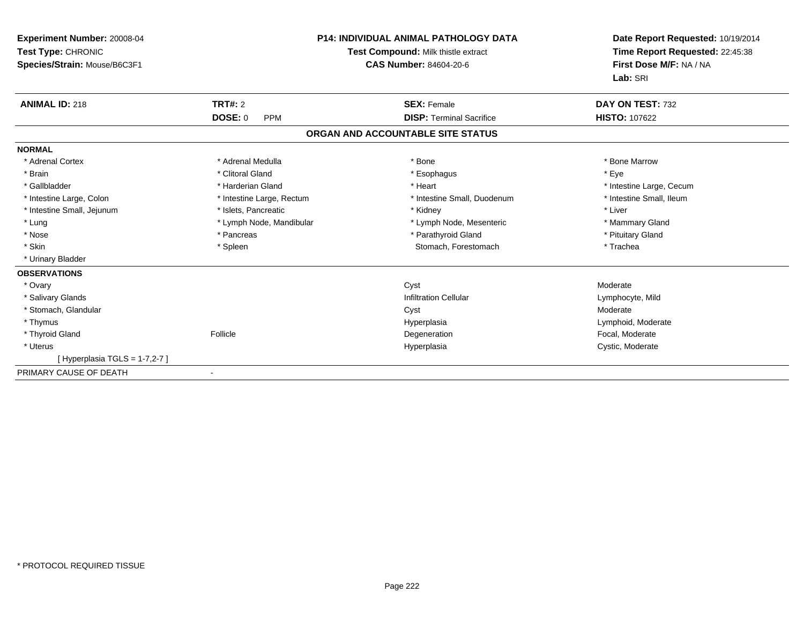| Experiment Number: 20008-04<br>Test Type: CHRONIC<br>Species/Strain: Mouse/B6C3F1 |                              | <b>P14: INDIVIDUAL ANIMAL PATHOLOGY DATA</b><br>Test Compound: Milk thistle extract<br><b>CAS Number: 84604-20-6</b> | Date Report Requested: 10/19/2014<br>Time Report Requested: 22:45:38<br>First Dose M/F: NA / NA<br>Lab: SRI |
|-----------------------------------------------------------------------------------|------------------------------|----------------------------------------------------------------------------------------------------------------------|-------------------------------------------------------------------------------------------------------------|
| <b>ANIMAL ID: 218</b>                                                             | TRT#: 2                      | <b>SEX: Female</b>                                                                                                   | DAY ON TEST: 732                                                                                            |
|                                                                                   | <b>DOSE: 0</b><br><b>PPM</b> | <b>DISP: Terminal Sacrifice</b>                                                                                      | <b>HISTO: 107622</b>                                                                                        |
|                                                                                   |                              | ORGAN AND ACCOUNTABLE SITE STATUS                                                                                    |                                                                                                             |
| <b>NORMAL</b>                                                                     |                              |                                                                                                                      |                                                                                                             |
| * Adrenal Cortex                                                                  | * Adrenal Medulla            | * Bone                                                                                                               | * Bone Marrow                                                                                               |
| * Brain                                                                           | * Clitoral Gland             | * Esophagus                                                                                                          | * Eye                                                                                                       |
| * Gallbladder                                                                     | * Harderian Gland            | * Heart                                                                                                              | * Intestine Large, Cecum                                                                                    |
| * Intestine Large, Colon                                                          | * Intestine Large, Rectum    | * Intestine Small, Duodenum                                                                                          | * Intestine Small, Ileum                                                                                    |
| * Intestine Small, Jejunum                                                        | * Islets, Pancreatic         | * Kidney                                                                                                             | * Liver                                                                                                     |
| * Lung                                                                            | * Lymph Node, Mandibular     | * Lymph Node, Mesenteric                                                                                             | * Mammary Gland                                                                                             |
| * Nose                                                                            | * Pancreas                   | * Parathyroid Gland                                                                                                  | * Pituitary Gland                                                                                           |
| * Skin                                                                            | * Spleen                     | Stomach, Forestomach                                                                                                 | * Trachea                                                                                                   |
| * Urinary Bladder                                                                 |                              |                                                                                                                      |                                                                                                             |
| <b>OBSERVATIONS</b>                                                               |                              |                                                                                                                      |                                                                                                             |
| * Ovary                                                                           |                              | Cyst                                                                                                                 | Moderate                                                                                                    |
| * Salivary Glands                                                                 |                              | <b>Infiltration Cellular</b>                                                                                         | Lymphocyte, Mild                                                                                            |
| * Stomach, Glandular                                                              |                              | Cyst                                                                                                                 | Moderate                                                                                                    |
| * Thymus                                                                          |                              | Hyperplasia                                                                                                          | Lymphoid, Moderate                                                                                          |
| * Thyroid Gland                                                                   | Follicle                     | Degeneration                                                                                                         | Focal, Moderate                                                                                             |
| * Uterus                                                                          |                              | Hyperplasia                                                                                                          | Cystic, Moderate                                                                                            |
| [Hyperplasia TGLS = 1-7,2-7]                                                      |                              |                                                                                                                      |                                                                                                             |
| PRIMARY CAUSE OF DEATH                                                            |                              |                                                                                                                      |                                                                                                             |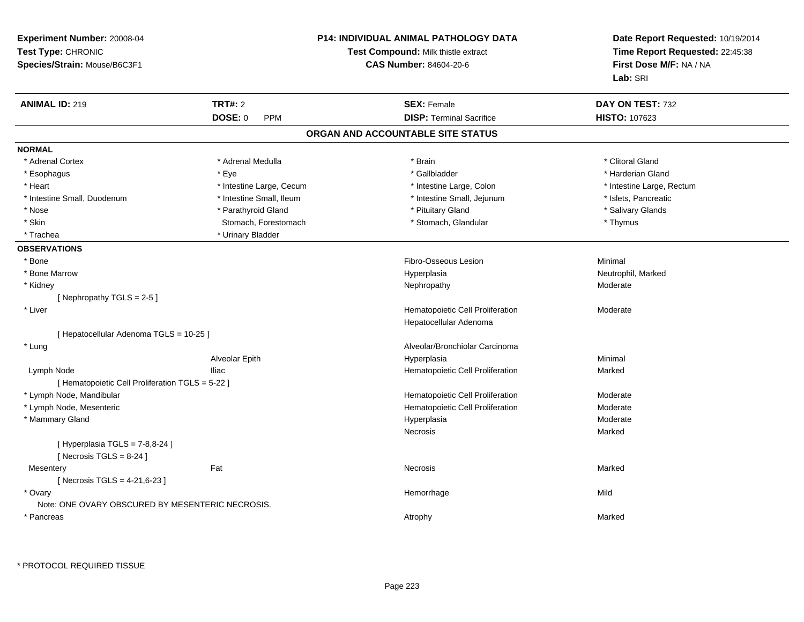| Experiment Number: 20008-04<br>Test Type: CHRONIC<br>Species/Strain: Mouse/B6C3F1 |                          | <b>P14: INDIVIDUAL ANIMAL PATHOLOGY DATA</b><br>Test Compound: Milk thistle extract<br><b>CAS Number: 84604-20-6</b> | Date Report Requested: 10/19/2014<br>Time Report Requested: 22:45:38<br>First Dose M/F: NA / NA<br>Lab: SRI |
|-----------------------------------------------------------------------------------|--------------------------|----------------------------------------------------------------------------------------------------------------------|-------------------------------------------------------------------------------------------------------------|
| <b>ANIMAL ID: 219</b>                                                             | <b>TRT#: 2</b>           | <b>SEX: Female</b>                                                                                                   | DAY ON TEST: 732                                                                                            |
|                                                                                   | <b>DOSE: 0</b><br>PPM    | <b>DISP: Terminal Sacrifice</b>                                                                                      | <b>HISTO: 107623</b>                                                                                        |
|                                                                                   |                          | ORGAN AND ACCOUNTABLE SITE STATUS                                                                                    |                                                                                                             |
| <b>NORMAL</b>                                                                     |                          |                                                                                                                      |                                                                                                             |
| * Adrenal Cortex                                                                  | * Adrenal Medulla        | * Brain                                                                                                              | * Clitoral Gland                                                                                            |
| * Esophagus                                                                       | * Eye                    | * Gallbladder                                                                                                        | * Harderian Gland                                                                                           |
| * Heart                                                                           | * Intestine Large, Cecum | * Intestine Large, Colon                                                                                             | * Intestine Large, Rectum                                                                                   |
| * Intestine Small, Duodenum                                                       | * Intestine Small, Ileum | * Intestine Small, Jejunum                                                                                           | * Islets, Pancreatic                                                                                        |
| * Nose                                                                            | * Parathyroid Gland      | * Pituitary Gland                                                                                                    | * Salivary Glands                                                                                           |
| * Skin                                                                            | Stomach, Forestomach     | * Stomach, Glandular                                                                                                 | * Thymus                                                                                                    |
| * Trachea                                                                         | * Urinary Bladder        |                                                                                                                      |                                                                                                             |
| <b>OBSERVATIONS</b>                                                               |                          |                                                                                                                      |                                                                                                             |
| * Bone                                                                            |                          | Fibro-Osseous Lesion                                                                                                 | Minimal                                                                                                     |
| * Bone Marrow                                                                     |                          | Hyperplasia                                                                                                          | Neutrophil, Marked                                                                                          |
| * Kidney                                                                          |                          | Nephropathy                                                                                                          | Moderate                                                                                                    |
| [Nephropathy TGLS = $2-5$ ]                                                       |                          |                                                                                                                      |                                                                                                             |
| * Liver                                                                           |                          | Hematopoietic Cell Proliferation                                                                                     | Moderate                                                                                                    |
|                                                                                   |                          | Hepatocellular Adenoma                                                                                               |                                                                                                             |
| [ Hepatocellular Adenoma TGLS = 10-25 ]                                           |                          |                                                                                                                      |                                                                                                             |
| * Lung                                                                            |                          | Alveolar/Bronchiolar Carcinoma                                                                                       |                                                                                                             |
|                                                                                   | Alveolar Epith           | Hyperplasia                                                                                                          | Minimal                                                                                                     |
| Lymph Node                                                                        | <b>Iliac</b>             | Hematopoietic Cell Proliferation                                                                                     | Marked                                                                                                      |
| [ Hematopoietic Cell Proliferation TGLS = 5-22 ]                                  |                          |                                                                                                                      |                                                                                                             |
| * Lymph Node, Mandibular                                                          |                          | Hematopoietic Cell Proliferation                                                                                     | Moderate                                                                                                    |
| * Lymph Node, Mesenteric                                                          |                          | Hematopoietic Cell Proliferation                                                                                     | Moderate                                                                                                    |
| * Mammary Gland                                                                   |                          | Hyperplasia                                                                                                          | Moderate                                                                                                    |
|                                                                                   |                          | Necrosis                                                                                                             | Marked                                                                                                      |
| [ Hyperplasia TGLS = 7-8,8-24 ]<br>[ Necrosis TGLS = $8-24$ ]                     |                          |                                                                                                                      |                                                                                                             |
| Mesentery<br>[ Necrosis TGLS = 4-21,6-23 ]                                        | Fat                      | <b>Necrosis</b>                                                                                                      | Marked                                                                                                      |
| * Ovary<br>Note: ONE OVARY OBSCURED BY MESENTERIC NECROSIS.                       |                          | Hemorrhage                                                                                                           | Mild                                                                                                        |
| * Pancreas                                                                        |                          | Atrophy                                                                                                              | Marked                                                                                                      |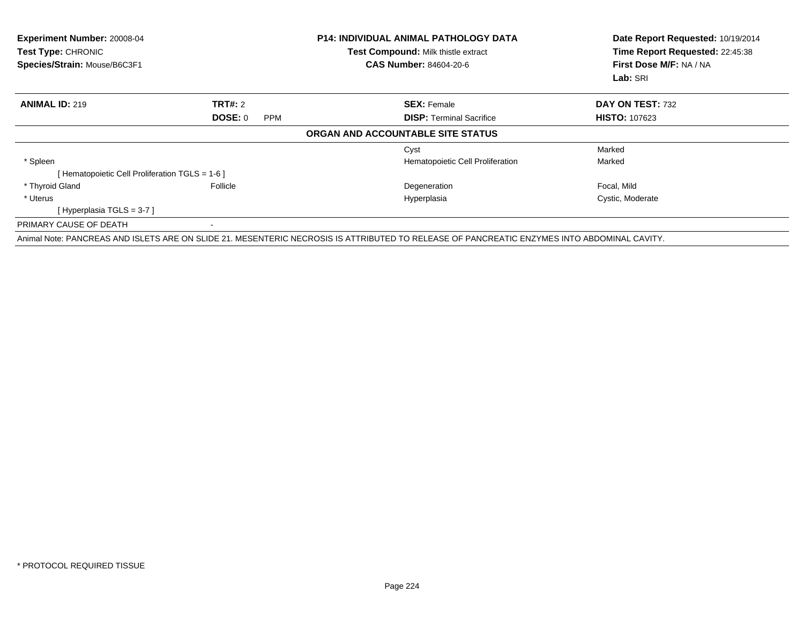| Experiment Number: 20008-04<br>Test Type: CHRONIC<br>Species/Strain: Mouse/B6C3F1 |                       | <b>P14: INDIVIDUAL ANIMAL PATHOLOGY DATA</b><br>Test Compound: Milk thistle extract<br><b>CAS Number: 84604-20-6</b>                        | Date Report Requested: 10/19/2014<br>Time Report Requested: 22:45:38<br>First Dose M/F: NA / NA<br>Lab: SRI |
|-----------------------------------------------------------------------------------|-----------------------|---------------------------------------------------------------------------------------------------------------------------------------------|-------------------------------------------------------------------------------------------------------------|
| <b>ANIMAL ID: 219</b>                                                             | <b>TRT#: 2</b>        | <b>SEX: Female</b>                                                                                                                          | DAY ON TEST: 732                                                                                            |
|                                                                                   | DOSE: 0<br><b>PPM</b> | <b>DISP:</b> Terminal Sacrifice                                                                                                             | <b>HISTO: 107623</b>                                                                                        |
|                                                                                   |                       | ORGAN AND ACCOUNTABLE SITE STATUS                                                                                                           |                                                                                                             |
|                                                                                   |                       | Cyst                                                                                                                                        | Marked                                                                                                      |
| * Spleen                                                                          |                       | Hematopoietic Cell Proliferation                                                                                                            | Marked                                                                                                      |
| [ Hematopoietic Cell Proliferation TGLS = 1-6 ]                                   |                       |                                                                                                                                             |                                                                                                             |
| * Thyroid Gland                                                                   | Follicle              | Degeneration                                                                                                                                | Focal, Mild                                                                                                 |
| * Uterus                                                                          |                       | Hyperplasia                                                                                                                                 | Cystic, Moderate                                                                                            |
| [Hyperplasia TGLS = 3-7 ]                                                         |                       |                                                                                                                                             |                                                                                                             |
| PRIMARY CAUSE OF DEATH                                                            |                       |                                                                                                                                             |                                                                                                             |
|                                                                                   |                       | Animal Note: PANCREAS AND ISLETS ARE ON SLIDE 21. MESENTERIC NECROSIS IS ATTRIBUTED TO RELEASE OF PANCREATIC ENZYMES INTO ABDOMINAL CAVITY. |                                                                                                             |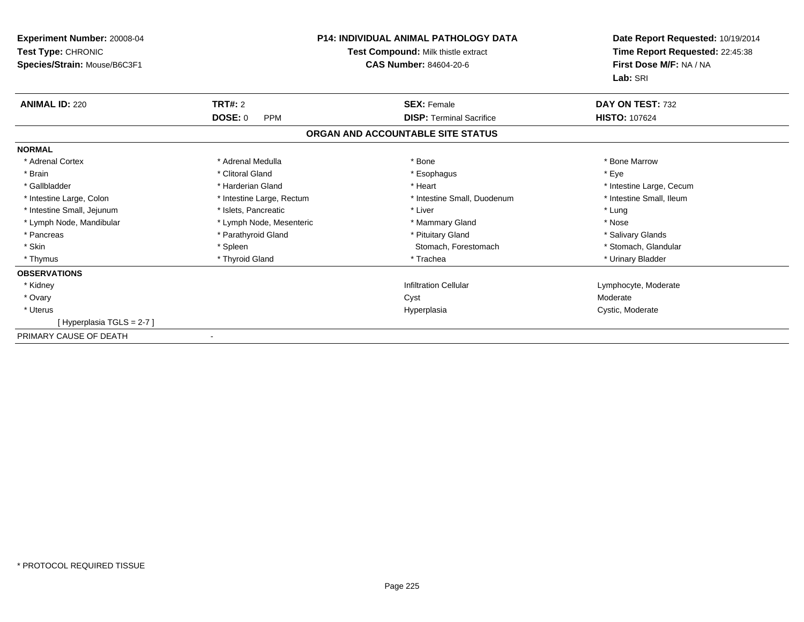| <b>Experiment Number: 20008-04</b><br>Test Type: CHRONIC<br>Species/Strain: Mouse/B6C3F1 | <b>P14: INDIVIDUAL ANIMAL PATHOLOGY DATA</b><br>Test Compound: Milk thistle extract<br><b>CAS Number: 84604-20-6</b> |                                   | Date Report Requested: 10/19/2014<br>Time Report Requested: 22:45:38<br>First Dose M/F: NA / NA |
|------------------------------------------------------------------------------------------|----------------------------------------------------------------------------------------------------------------------|-----------------------------------|-------------------------------------------------------------------------------------------------|
|                                                                                          |                                                                                                                      |                                   | Lab: SRI                                                                                        |
| <b>ANIMAL ID: 220</b>                                                                    | <b>TRT#: 2</b>                                                                                                       | <b>SEX: Female</b>                | DAY ON TEST: 732                                                                                |
|                                                                                          | DOSE: 0<br><b>PPM</b>                                                                                                | <b>DISP: Terminal Sacrifice</b>   | <b>HISTO: 107624</b>                                                                            |
|                                                                                          |                                                                                                                      | ORGAN AND ACCOUNTABLE SITE STATUS |                                                                                                 |
| <b>NORMAL</b>                                                                            |                                                                                                                      |                                   |                                                                                                 |
| * Adrenal Cortex                                                                         | * Adrenal Medulla                                                                                                    | * Bone                            | * Bone Marrow                                                                                   |
| * Brain                                                                                  | * Clitoral Gland                                                                                                     | * Esophagus                       | * Eye                                                                                           |
| * Gallbladder                                                                            | * Harderian Gland                                                                                                    | * Heart                           | * Intestine Large, Cecum                                                                        |
| * Intestine Large, Colon                                                                 | * Intestine Large, Rectum                                                                                            | * Intestine Small, Duodenum       | * Intestine Small, Ileum                                                                        |
| * Intestine Small, Jejunum                                                               | * Islets, Pancreatic                                                                                                 | * Liver                           | * Lung                                                                                          |
| * Lymph Node, Mandibular                                                                 | * Lymph Node, Mesenteric                                                                                             | * Mammary Gland                   | * Nose                                                                                          |
| * Pancreas                                                                               | * Parathyroid Gland                                                                                                  | * Pituitary Gland                 | * Salivary Glands                                                                               |
| * Skin                                                                                   | * Spleen                                                                                                             | Stomach, Forestomach              | * Stomach, Glandular                                                                            |
| * Thymus                                                                                 | * Thyroid Gland                                                                                                      | * Trachea                         | * Urinary Bladder                                                                               |
| <b>OBSERVATIONS</b>                                                                      |                                                                                                                      |                                   |                                                                                                 |
| * Kidney                                                                                 |                                                                                                                      | <b>Infiltration Cellular</b>      | Lymphocyte, Moderate                                                                            |
| * Ovary                                                                                  |                                                                                                                      | Cyst                              | Moderate                                                                                        |
| * Uterus                                                                                 |                                                                                                                      | Hyperplasia                       | Cystic, Moderate                                                                                |
| [Hyperplasia TGLS = 2-7]                                                                 |                                                                                                                      |                                   |                                                                                                 |
| PRIMARY CAUSE OF DEATH                                                                   |                                                                                                                      |                                   |                                                                                                 |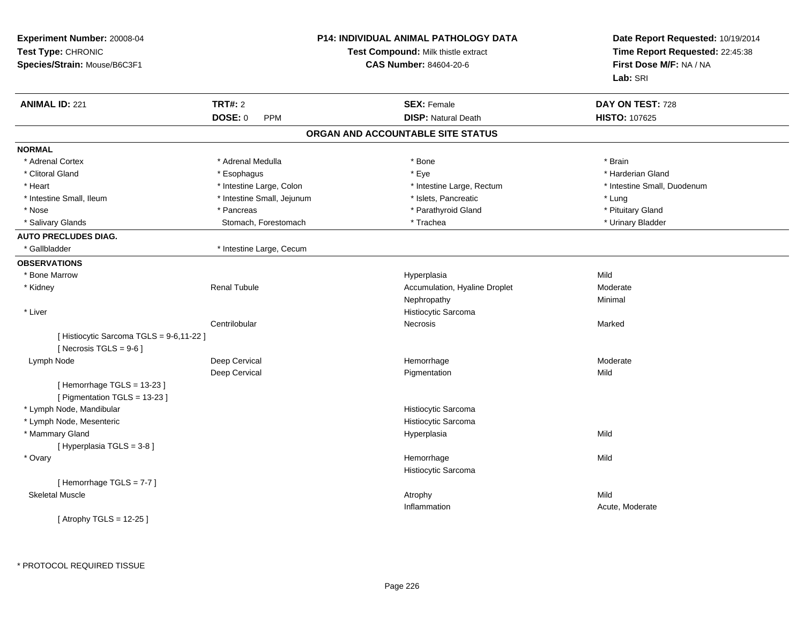| Experiment Number: 20008-04<br>Test Type: CHRONIC<br>Species/Strain: Mouse/B6C3F1 |                            | P14: INDIVIDUAL ANIMAL PATHOLOGY DATA<br>Test Compound: Milk thistle extract<br><b>CAS Number: 84604-20-6</b> | Date Report Requested: 10/19/2014<br>Time Report Requested: 22:45:38<br>First Dose M/F: NA / NA<br>Lab: SRI |
|-----------------------------------------------------------------------------------|----------------------------|---------------------------------------------------------------------------------------------------------------|-------------------------------------------------------------------------------------------------------------|
| <b>ANIMAL ID: 221</b>                                                             | <b>TRT#: 2</b>             | <b>SEX: Female</b>                                                                                            | DAY ON TEST: 728                                                                                            |
|                                                                                   | DOSE: 0<br>PPM             | <b>DISP: Natural Death</b>                                                                                    | HISTO: 107625                                                                                               |
|                                                                                   |                            | ORGAN AND ACCOUNTABLE SITE STATUS                                                                             |                                                                                                             |
| <b>NORMAL</b>                                                                     |                            |                                                                                                               |                                                                                                             |
| * Adrenal Cortex                                                                  | * Adrenal Medulla          | * Bone                                                                                                        | * Brain                                                                                                     |
| * Clitoral Gland                                                                  | * Esophagus                | * Eye                                                                                                         | * Harderian Gland                                                                                           |
| * Heart                                                                           | * Intestine Large, Colon   | * Intestine Large, Rectum                                                                                     | * Intestine Small, Duodenum                                                                                 |
| * Intestine Small, Ileum                                                          | * Intestine Small, Jejunum | * Islets, Pancreatic                                                                                          | * Lung                                                                                                      |
| * Nose                                                                            | * Pancreas                 | * Parathyroid Gland                                                                                           | * Pituitary Gland                                                                                           |
| * Salivary Glands                                                                 | Stomach, Forestomach       | * Trachea                                                                                                     | * Urinary Bladder                                                                                           |
| <b>AUTO PRECLUDES DIAG.</b>                                                       |                            |                                                                                                               |                                                                                                             |
| * Gallbladder                                                                     | * Intestine Large, Cecum   |                                                                                                               |                                                                                                             |
| <b>OBSERVATIONS</b>                                                               |                            |                                                                                                               |                                                                                                             |
| * Bone Marrow                                                                     |                            | Hyperplasia                                                                                                   | Mild                                                                                                        |
| * Kidney                                                                          | <b>Renal Tubule</b>        | Accumulation, Hyaline Droplet                                                                                 | Moderate                                                                                                    |
|                                                                                   |                            | Nephropathy                                                                                                   | Minimal                                                                                                     |
| * Liver                                                                           |                            | Histiocytic Sarcoma                                                                                           |                                                                                                             |
|                                                                                   | Centrilobular              | Necrosis                                                                                                      | Marked                                                                                                      |
| [ Histiocytic Sarcoma TGLS = 9-6,11-22 ]                                          |                            |                                                                                                               |                                                                                                             |
| [ Necrosis TGLS = $9-6$ ]                                                         |                            |                                                                                                               |                                                                                                             |
| Lymph Node                                                                        | Deep Cervical              | Hemorrhage                                                                                                    | Moderate                                                                                                    |
| [Hemorrhage TGLS = 13-23]<br>[ Pigmentation TGLS = 13-23 ]                        | Deep Cervical              | Pigmentation                                                                                                  | Mild                                                                                                        |
| * Lymph Node, Mandibular                                                          |                            | Histiocytic Sarcoma                                                                                           |                                                                                                             |
| * Lymph Node, Mesenteric                                                          |                            | Histiocytic Sarcoma                                                                                           |                                                                                                             |
| * Mammary Gland                                                                   |                            | Hyperplasia                                                                                                   | Mild                                                                                                        |
| [Hyperplasia TGLS = 3-8]                                                          |                            |                                                                                                               |                                                                                                             |
| * Ovary                                                                           |                            | Hemorrhage                                                                                                    | Mild                                                                                                        |
|                                                                                   |                            | Histiocytic Sarcoma                                                                                           |                                                                                                             |
| [Hemorrhage TGLS = $7-7$ ]                                                        |                            |                                                                                                               |                                                                                                             |
| <b>Skeletal Muscle</b>                                                            |                            | Atrophy                                                                                                       | Mild                                                                                                        |
| [Atrophy TGLS = 12-25]                                                            |                            | Inflammation                                                                                                  | Acute, Moderate                                                                                             |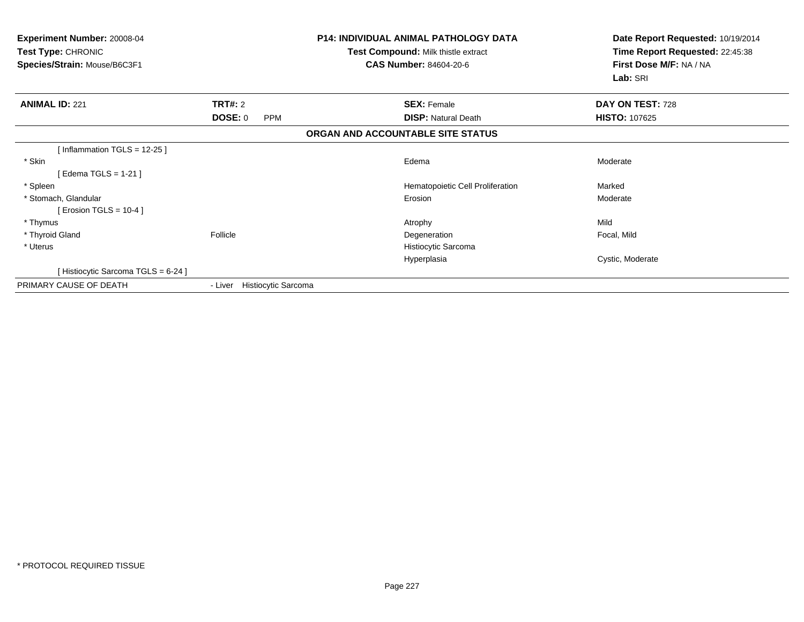| <b>Experiment Number: 20008-04</b><br>Test Type: CHRONIC<br>Species/Strain: Mouse/B6C3F1 |                              | <b>P14: INDIVIDUAL ANIMAL PATHOLOGY DATA</b><br>Test Compound: Milk thistle extract<br><b>CAS Number: 84604-20-6</b> | Date Report Requested: 10/19/2014<br>Time Report Requested: 22:45:38<br>First Dose M/F: NA / NA<br>Lab: SRI |
|------------------------------------------------------------------------------------------|------------------------------|----------------------------------------------------------------------------------------------------------------------|-------------------------------------------------------------------------------------------------------------|
| <b>ANIMAL ID: 221</b>                                                                    | <b>TRT#: 2</b>               | <b>SEX: Female</b>                                                                                                   | DAY ON TEST: 728                                                                                            |
|                                                                                          | <b>DOSE: 0</b><br><b>PPM</b> | <b>DISP: Natural Death</b>                                                                                           | <b>HISTO: 107625</b>                                                                                        |
|                                                                                          |                              | ORGAN AND ACCOUNTABLE SITE STATUS                                                                                    |                                                                                                             |
| [Inflammation TGLS = $12-25$ ]                                                           |                              |                                                                                                                      |                                                                                                             |
| * Skin                                                                                   |                              | Edema                                                                                                                | Moderate                                                                                                    |
| [Edema TGLS = 1-21]                                                                      |                              |                                                                                                                      |                                                                                                             |
| * Spleen                                                                                 |                              | Hematopoietic Cell Proliferation                                                                                     | Marked                                                                                                      |
| * Stomach, Glandular                                                                     |                              | Erosion                                                                                                              | Moderate                                                                                                    |
| [ Erosion TGLS = $10-4$ ]                                                                |                              |                                                                                                                      |                                                                                                             |
| * Thymus                                                                                 |                              | Atrophy                                                                                                              | Mild                                                                                                        |
| * Thyroid Gland                                                                          | Follicle                     | Degeneration                                                                                                         | Focal, Mild                                                                                                 |
| * Uterus                                                                                 |                              | Histiocytic Sarcoma                                                                                                  |                                                                                                             |
|                                                                                          |                              | Hyperplasia                                                                                                          | Cystic, Moderate                                                                                            |
| [Histiocytic Sarcoma TGLS = 6-24]                                                        |                              |                                                                                                                      |                                                                                                             |
| PRIMARY CAUSE OF DEATH                                                                   | - Liver Histiocytic Sarcoma  |                                                                                                                      |                                                                                                             |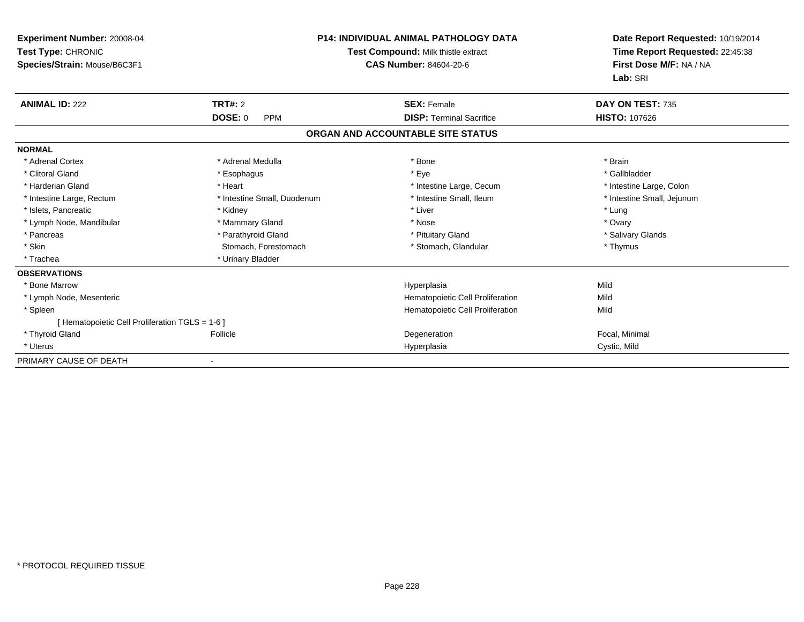| Experiment Number: 20008-04<br>Test Type: CHRONIC<br>Species/Strain: Mouse/B6C3F1 |                              | <b>P14: INDIVIDUAL ANIMAL PATHOLOGY DATA</b><br>Test Compound: Milk thistle extract<br>CAS Number: 84604-20-6 | Date Report Requested: 10/19/2014<br>Time Report Requested: 22:45:38<br>First Dose M/F: NA / NA<br>Lab: SRI |
|-----------------------------------------------------------------------------------|------------------------------|---------------------------------------------------------------------------------------------------------------|-------------------------------------------------------------------------------------------------------------|
| <b>ANIMAL ID: 222</b>                                                             | <b>TRT#: 2</b>               | <b>SEX: Female</b>                                                                                            | DAY ON TEST: 735                                                                                            |
|                                                                                   | <b>DOSE: 0</b><br><b>PPM</b> | <b>DISP: Terminal Sacrifice</b>                                                                               | <b>HISTO: 107626</b>                                                                                        |
|                                                                                   |                              | ORGAN AND ACCOUNTABLE SITE STATUS                                                                             |                                                                                                             |
| <b>NORMAL</b>                                                                     |                              |                                                                                                               |                                                                                                             |
| * Adrenal Cortex                                                                  | * Adrenal Medulla            | * Bone                                                                                                        | * Brain                                                                                                     |
| * Clitoral Gland                                                                  | * Esophagus                  | * Eye                                                                                                         | * Gallbladder                                                                                               |
| * Harderian Gland                                                                 | * Heart                      | * Intestine Large, Cecum                                                                                      | * Intestine Large, Colon                                                                                    |
| * Intestine Large, Rectum                                                         | * Intestine Small, Duodenum  | * Intestine Small, Ileum                                                                                      | * Intestine Small, Jejunum                                                                                  |
| * Islets, Pancreatic                                                              | * Kidney                     | * Liver                                                                                                       | * Lung                                                                                                      |
| * Lymph Node, Mandibular                                                          | * Mammary Gland              | * Nose                                                                                                        | * Ovary                                                                                                     |
| * Pancreas                                                                        | * Parathyroid Gland          | * Pituitary Gland                                                                                             | * Salivary Glands                                                                                           |
| * Skin                                                                            | Stomach, Forestomach         | * Stomach, Glandular                                                                                          | * Thymus                                                                                                    |
| * Trachea                                                                         | * Urinary Bladder            |                                                                                                               |                                                                                                             |
| <b>OBSERVATIONS</b>                                                               |                              |                                                                                                               |                                                                                                             |
| * Bone Marrow                                                                     |                              | Hyperplasia                                                                                                   | Mild                                                                                                        |
| * Lymph Node, Mesenteric                                                          |                              | Hematopoietic Cell Proliferation                                                                              | Mild                                                                                                        |
| * Spleen                                                                          |                              | Hematopoietic Cell Proliferation                                                                              | Mild                                                                                                        |
| [ Hematopoietic Cell Proliferation TGLS = 1-6 ]                                   |                              |                                                                                                               |                                                                                                             |
| * Thyroid Gland                                                                   | Follicle                     | Degeneration                                                                                                  | Focal, Minimal                                                                                              |
| * Uterus                                                                          |                              | Hyperplasia                                                                                                   | Cystic, Mild                                                                                                |
| PRIMARY CAUSE OF DEATH                                                            |                              |                                                                                                               |                                                                                                             |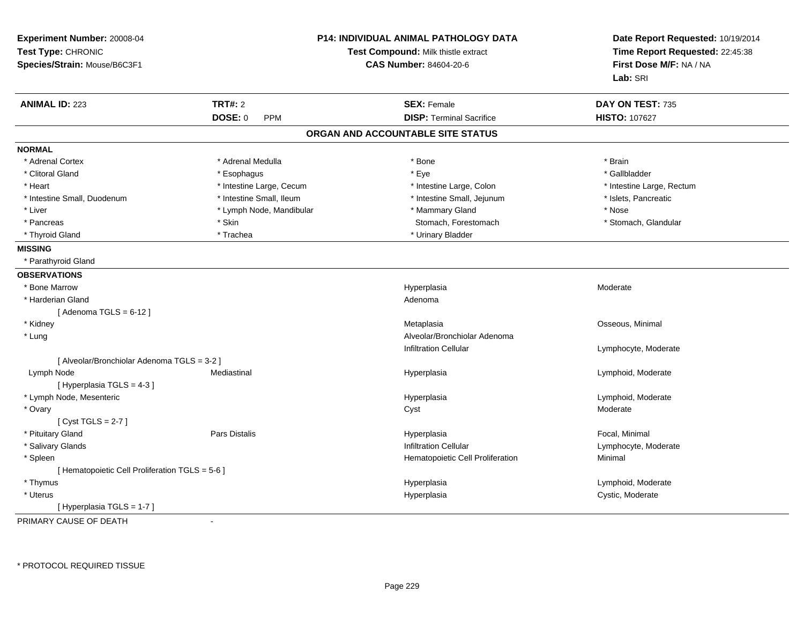| Experiment Number: 20008-04<br>Test Type: CHRONIC<br>Species/Strain: Mouse/B6C3F1 | <b>P14: INDIVIDUAL ANIMAL PATHOLOGY DATA</b><br>Test Compound: Milk thistle extract<br><b>CAS Number: 84604-20-6</b> |                                   | Date Report Requested: 10/19/2014<br>Time Report Requested: 22:45:38<br>First Dose M/F: NA / NA<br>Lab: SRI |  |
|-----------------------------------------------------------------------------------|----------------------------------------------------------------------------------------------------------------------|-----------------------------------|-------------------------------------------------------------------------------------------------------------|--|
| <b>ANIMAL ID: 223</b>                                                             | <b>TRT#: 2</b>                                                                                                       | <b>SEX: Female</b>                | DAY ON TEST: 735                                                                                            |  |
|                                                                                   | <b>DOSE: 0</b><br><b>PPM</b>                                                                                         | <b>DISP: Terminal Sacrifice</b>   | <b>HISTO: 107627</b>                                                                                        |  |
|                                                                                   |                                                                                                                      | ORGAN AND ACCOUNTABLE SITE STATUS |                                                                                                             |  |
| <b>NORMAL</b>                                                                     |                                                                                                                      |                                   |                                                                                                             |  |
| * Adrenal Cortex                                                                  | * Adrenal Medulla                                                                                                    | * Bone                            | * Brain                                                                                                     |  |
| * Clitoral Gland                                                                  | * Esophagus                                                                                                          | * Eye                             | * Gallbladder                                                                                               |  |
| * Heart                                                                           | * Intestine Large, Cecum                                                                                             | * Intestine Large, Colon          | * Intestine Large, Rectum                                                                                   |  |
| * Intestine Small, Duodenum                                                       | * Intestine Small, Ileum                                                                                             | * Intestine Small, Jejunum        | * Islets, Pancreatic                                                                                        |  |
| * Liver                                                                           | * Lymph Node, Mandibular                                                                                             | * Mammary Gland                   | * Nose                                                                                                      |  |
| * Pancreas                                                                        | * Skin                                                                                                               | Stomach, Forestomach              | * Stomach, Glandular                                                                                        |  |
| * Thyroid Gland                                                                   | * Trachea                                                                                                            | * Urinary Bladder                 |                                                                                                             |  |
| <b>MISSING</b>                                                                    |                                                                                                                      |                                   |                                                                                                             |  |
| * Parathyroid Gland                                                               |                                                                                                                      |                                   |                                                                                                             |  |
| <b>OBSERVATIONS</b>                                                               |                                                                                                                      |                                   |                                                                                                             |  |
| * Bone Marrow                                                                     |                                                                                                                      | Hyperplasia                       | Moderate                                                                                                    |  |
| * Harderian Gland                                                                 |                                                                                                                      | Adenoma                           |                                                                                                             |  |
| [Adenoma TGLS = $6-12$ ]                                                          |                                                                                                                      |                                   |                                                                                                             |  |
| * Kidney                                                                          |                                                                                                                      | Metaplasia                        | Osseous, Minimal                                                                                            |  |
| * Lung                                                                            |                                                                                                                      | Alveolar/Bronchiolar Adenoma      |                                                                                                             |  |
|                                                                                   |                                                                                                                      | <b>Infiltration Cellular</b>      | Lymphocyte, Moderate                                                                                        |  |
| [ Alveolar/Bronchiolar Adenoma TGLS = 3-2 ]                                       |                                                                                                                      |                                   |                                                                                                             |  |
| Lymph Node                                                                        | Mediastinal                                                                                                          | Hyperplasia                       | Lymphoid, Moderate                                                                                          |  |
| [Hyperplasia TGLS = 4-3]                                                          |                                                                                                                      |                                   |                                                                                                             |  |
| * Lymph Node, Mesenteric                                                          |                                                                                                                      | Hyperplasia                       | Lymphoid, Moderate                                                                                          |  |
| * Ovary                                                                           |                                                                                                                      | Cyst                              | Moderate                                                                                                    |  |
| [Cyst TGLS = $2-7$ ]                                                              |                                                                                                                      |                                   |                                                                                                             |  |
| * Pituitary Gland                                                                 | Pars Distalis                                                                                                        | Hyperplasia                       | Focal, Minimal                                                                                              |  |
| * Salivary Glands                                                                 |                                                                                                                      | <b>Infiltration Cellular</b>      | Lymphocyte, Moderate                                                                                        |  |
| * Spleen                                                                          |                                                                                                                      | Hematopoietic Cell Proliferation  | Minimal                                                                                                     |  |
| [ Hematopoietic Cell Proliferation TGLS = 5-6 ]                                   |                                                                                                                      |                                   |                                                                                                             |  |
| * Thymus                                                                          |                                                                                                                      | Hyperplasia                       | Lymphoid, Moderate                                                                                          |  |
| * Uterus                                                                          |                                                                                                                      | Hyperplasia                       | Cystic, Moderate                                                                                            |  |
| [Hyperplasia TGLS = 1-7]                                                          |                                                                                                                      |                                   |                                                                                                             |  |
| PRIMARY CAUSE OF DEATH                                                            | ÷,                                                                                                                   |                                   |                                                                                                             |  |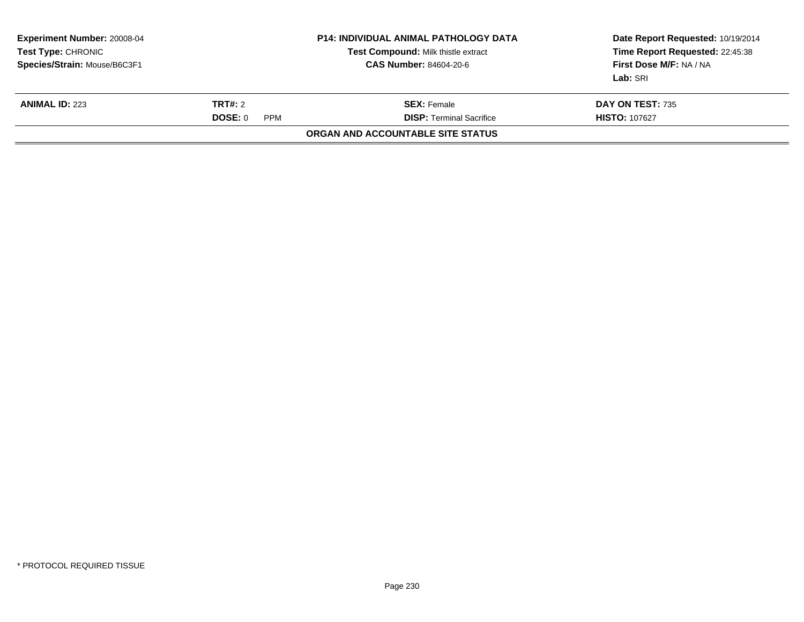| <b>Experiment Number: 20008-04</b><br><b>Test Type: CHRONIC</b><br>Species/Strain: Mouse/B6C3F1 |  | <b>P14: INDIVIDUAL ANIMAL PATHOLOGY DATA</b><br>Test Compound: Milk thistle extract<br><b>CAS Number: 84604-20-6</b> | Date Report Requested: 10/19/2014<br>Time Report Requested: 22:45:38<br>First Dose M/F: NA / NA<br>Lab: SRI |
|-------------------------------------------------------------------------------------------------|--|----------------------------------------------------------------------------------------------------------------------|-------------------------------------------------------------------------------------------------------------|
| TRT#: 2<br><b>ANIMAL ID: 223</b><br>DOSE: 0<br><b>PPM</b>                                       |  | <b>SEX:</b> Female<br><b>DISP:</b> Terminal Sacrifice                                                                | DAY ON TEST: 735<br><b>HISTO: 107627</b>                                                                    |
|                                                                                                 |  | ORGAN AND ACCOUNTABLE SITE STATUS                                                                                    |                                                                                                             |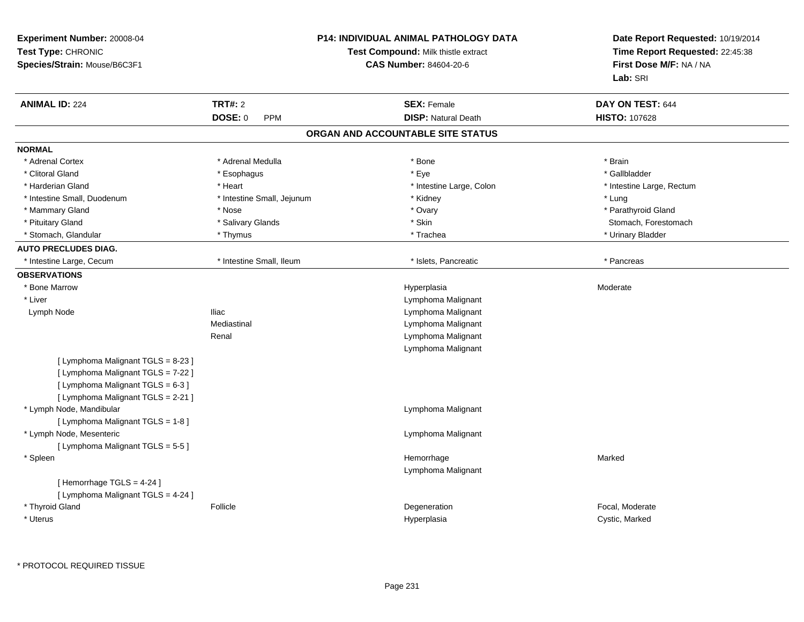| Experiment Number: 20008-04<br>Test Type: CHRONIC<br>Species/Strain: Mouse/B6C3F1                                                                   |                            | P14: INDIVIDUAL ANIMAL PATHOLOGY DATA<br>Test Compound: Milk thistle extract<br><b>CAS Number: 84604-20-6</b> | Date Report Requested: 10/19/2014<br>Time Report Requested: 22:45:38<br>First Dose M/F: NA / NA<br>Lab: SRI |
|-----------------------------------------------------------------------------------------------------------------------------------------------------|----------------------------|---------------------------------------------------------------------------------------------------------------|-------------------------------------------------------------------------------------------------------------|
| <b>ANIMAL ID: 224</b>                                                                                                                               | <b>TRT#: 2</b>             | <b>SEX: Female</b>                                                                                            | DAY ON TEST: 644                                                                                            |
|                                                                                                                                                     | DOSE: 0<br><b>PPM</b>      | <b>DISP: Natural Death</b>                                                                                    | <b>HISTO: 107628</b>                                                                                        |
|                                                                                                                                                     |                            | ORGAN AND ACCOUNTABLE SITE STATUS                                                                             |                                                                                                             |
| <b>NORMAL</b>                                                                                                                                       |                            |                                                                                                               |                                                                                                             |
| * Adrenal Cortex                                                                                                                                    | * Adrenal Medulla          | $*$ Bone                                                                                                      | * Brain                                                                                                     |
| * Clitoral Gland                                                                                                                                    | * Esophagus                | * Eye                                                                                                         | * Gallbladder                                                                                               |
| * Harderian Gland                                                                                                                                   | * Heart                    | * Intestine Large, Colon                                                                                      | * Intestine Large, Rectum                                                                                   |
| * Intestine Small, Duodenum                                                                                                                         | * Intestine Small, Jejunum | * Kidney                                                                                                      | * Lung                                                                                                      |
| * Mammary Gland                                                                                                                                     | * Nose                     | * Ovary                                                                                                       | * Parathyroid Gland                                                                                         |
| * Pituitary Gland                                                                                                                                   | * Salivary Glands          | * Skin                                                                                                        | Stomach, Forestomach                                                                                        |
| * Stomach, Glandular                                                                                                                                | * Thymus                   | * Trachea                                                                                                     | * Urinary Bladder                                                                                           |
| <b>AUTO PRECLUDES DIAG.</b>                                                                                                                         |                            |                                                                                                               |                                                                                                             |
| * Intestine Large, Cecum                                                                                                                            | * Intestine Small, Ileum   | * Islets, Pancreatic                                                                                          | * Pancreas                                                                                                  |
| <b>OBSERVATIONS</b>                                                                                                                                 |                            |                                                                                                               |                                                                                                             |
| * Bone Marrow                                                                                                                                       |                            | Hyperplasia                                                                                                   | Moderate                                                                                                    |
| * Liver                                                                                                                                             |                            | Lymphoma Malignant                                                                                            |                                                                                                             |
| Lymph Node                                                                                                                                          | <b>Iliac</b>               | Lymphoma Malignant                                                                                            |                                                                                                             |
|                                                                                                                                                     | Mediastinal                | Lymphoma Malignant                                                                                            |                                                                                                             |
|                                                                                                                                                     | Renal                      | Lymphoma Malignant                                                                                            |                                                                                                             |
|                                                                                                                                                     |                            | Lymphoma Malignant                                                                                            |                                                                                                             |
| [ Lymphoma Malignant TGLS = 8-23 ]<br>[ Lymphoma Malignant TGLS = 7-22 ]<br>[ Lymphoma Malignant TGLS = 6-3 ]<br>[ Lymphoma Malignant TGLS = 2-21 ] |                            |                                                                                                               |                                                                                                             |
| * Lymph Node, Mandibular<br>[ Lymphoma Malignant TGLS = 1-8 ]                                                                                       |                            | Lymphoma Malignant                                                                                            |                                                                                                             |
| * Lymph Node, Mesenteric<br>[ Lymphoma Malignant TGLS = 5-5 ]                                                                                       |                            | Lymphoma Malignant                                                                                            |                                                                                                             |
| * Spleen                                                                                                                                            |                            | Hemorrhage<br>Lymphoma Malignant                                                                              | Marked                                                                                                      |
| [Hemorrhage TGLS = 4-24]<br>[ Lymphoma Malignant TGLS = 4-24 ]                                                                                      |                            |                                                                                                               |                                                                                                             |
| * Thyroid Gland<br>* Uterus                                                                                                                         | Follicle                   | Degeneration<br>Hyperplasia                                                                                   | Focal, Moderate<br>Cystic, Marked                                                                           |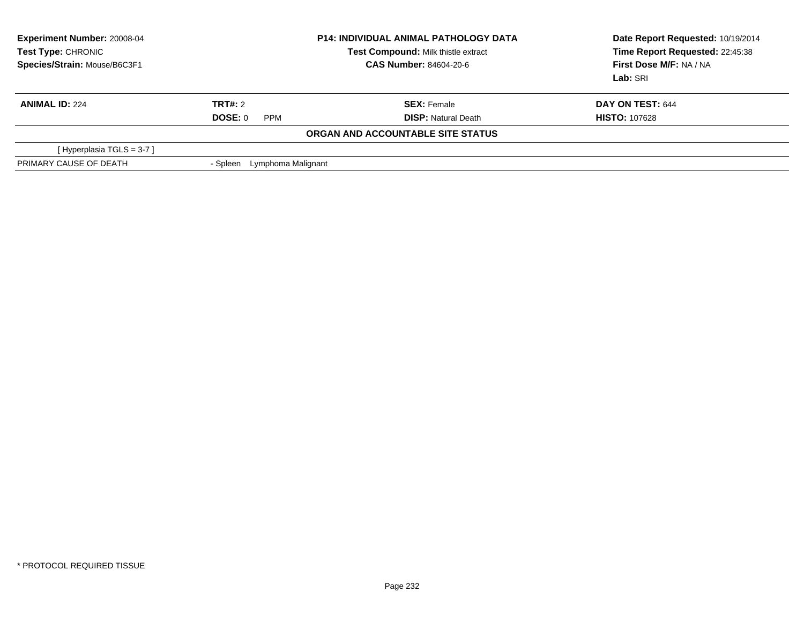| <b>Experiment Number: 20008-04</b><br><b>Test Type: CHRONIC</b><br>Species/Strain: Mouse/B6C3F1 | <b>P14: INDIVIDUAL ANIMAL PATHOLOGY DATA</b><br>Test Compound: Milk thistle extract<br>CAS Number: 84604-20-6 |                                   | Date Report Requested: 10/19/2014<br>Time Report Requested: 22:45:38<br>First Dose M/F: NA / NA<br>Lab: SRI |
|-------------------------------------------------------------------------------------------------|---------------------------------------------------------------------------------------------------------------|-----------------------------------|-------------------------------------------------------------------------------------------------------------|
| <b>ANIMAL ID: 224</b>                                                                           | <b>TRT#:</b> 2                                                                                                | <b>SEX: Female</b>                | DAY ON TEST: 644                                                                                            |
|                                                                                                 | DOSE: 0<br><b>PPM</b>                                                                                         | <b>DISP: Natural Death</b>        | <b>HISTO: 107628</b>                                                                                        |
|                                                                                                 |                                                                                                               | ORGAN AND ACCOUNTABLE SITE STATUS |                                                                                                             |
| [Hyperplasia TGLS = 3-7 ]                                                                       |                                                                                                               |                                   |                                                                                                             |
| PRIMARY CAUSE OF DEATH                                                                          | Lymphoma Malignant<br>- Spleen                                                                                |                                   |                                                                                                             |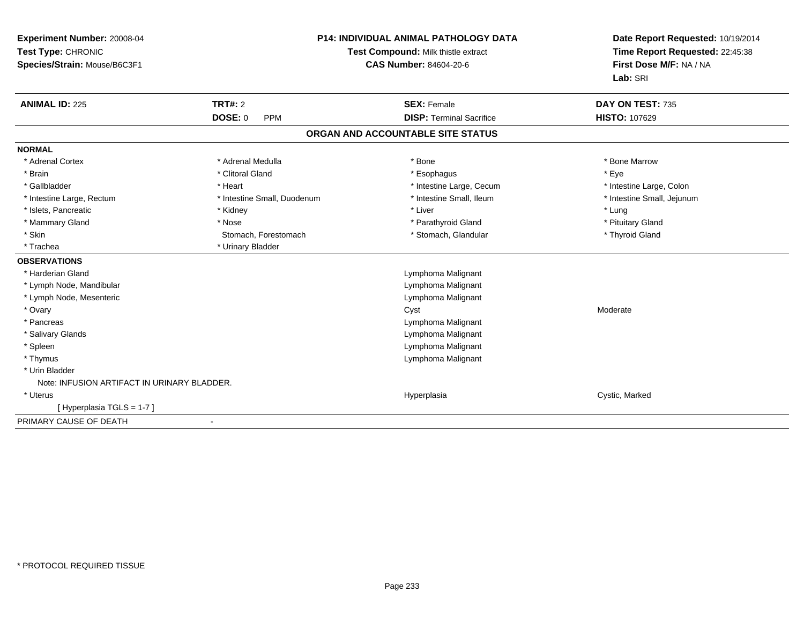| <b>Experiment Number: 20008-04</b><br>Test Type: CHRONIC<br>Species/Strain: Mouse/B6C3F1 |                              | <b>P14: INDIVIDUAL ANIMAL PATHOLOGY DATA</b><br>Test Compound: Milk thistle extract<br><b>CAS Number: 84604-20-6</b> | Date Report Requested: 10/19/2014<br>Time Report Requested: 22:45:38<br>First Dose M/F: NA / NA<br>Lab: SRI |  |
|------------------------------------------------------------------------------------------|------------------------------|----------------------------------------------------------------------------------------------------------------------|-------------------------------------------------------------------------------------------------------------|--|
| <b>ANIMAL ID: 225</b>                                                                    | <b>TRT#: 2</b>               | <b>SEX: Female</b>                                                                                                   | DAY ON TEST: 735                                                                                            |  |
|                                                                                          | <b>DOSE: 0</b><br><b>PPM</b> | <b>DISP: Terminal Sacrifice</b>                                                                                      | <b>HISTO: 107629</b>                                                                                        |  |
|                                                                                          |                              | ORGAN AND ACCOUNTABLE SITE STATUS                                                                                    |                                                                                                             |  |
| <b>NORMAL</b>                                                                            |                              |                                                                                                                      |                                                                                                             |  |
| * Adrenal Cortex                                                                         | * Adrenal Medulla            | * Bone                                                                                                               | * Bone Marrow                                                                                               |  |
| * Brain                                                                                  | * Clitoral Gland             | * Esophagus                                                                                                          | * Eye                                                                                                       |  |
| * Gallbladder                                                                            | * Heart                      | * Intestine Large, Cecum                                                                                             | * Intestine Large, Colon                                                                                    |  |
| * Intestine Large, Rectum                                                                | * Intestine Small, Duodenum  | * Intestine Small, Ileum                                                                                             | * Intestine Small, Jejunum                                                                                  |  |
| * Islets, Pancreatic                                                                     | * Kidney                     | * Liver                                                                                                              | * Lung                                                                                                      |  |
| * Mammary Gland                                                                          | * Nose                       | * Parathyroid Gland                                                                                                  | * Pituitary Gland                                                                                           |  |
| * Skin                                                                                   | Stomach, Forestomach         | * Stomach, Glandular                                                                                                 | * Thyroid Gland                                                                                             |  |
| * Trachea                                                                                | * Urinary Bladder            |                                                                                                                      |                                                                                                             |  |
| <b>OBSERVATIONS</b>                                                                      |                              |                                                                                                                      |                                                                                                             |  |
| * Harderian Gland                                                                        |                              | Lymphoma Malignant                                                                                                   |                                                                                                             |  |
| * Lymph Node, Mandibular                                                                 |                              | Lymphoma Malignant                                                                                                   |                                                                                                             |  |
| * Lymph Node, Mesenteric                                                                 |                              | Lymphoma Malignant                                                                                                   |                                                                                                             |  |
| * Ovary                                                                                  |                              | Cyst                                                                                                                 | Moderate                                                                                                    |  |
| * Pancreas                                                                               |                              | Lymphoma Malignant                                                                                                   |                                                                                                             |  |
| * Salivary Glands                                                                        |                              | Lymphoma Malignant                                                                                                   |                                                                                                             |  |
| * Spleen                                                                                 |                              | Lymphoma Malignant                                                                                                   |                                                                                                             |  |
| * Thymus                                                                                 |                              | Lymphoma Malignant                                                                                                   |                                                                                                             |  |
| * Urin Bladder                                                                           |                              |                                                                                                                      |                                                                                                             |  |
| Note: INFUSION ARTIFACT IN URINARY BLADDER.                                              |                              |                                                                                                                      |                                                                                                             |  |
| * Uterus                                                                                 |                              | Hyperplasia                                                                                                          | Cystic, Marked                                                                                              |  |
| [Hyperplasia TGLS = 1-7]                                                                 |                              |                                                                                                                      |                                                                                                             |  |
| PRIMARY CAUSE OF DEATH                                                                   |                              |                                                                                                                      |                                                                                                             |  |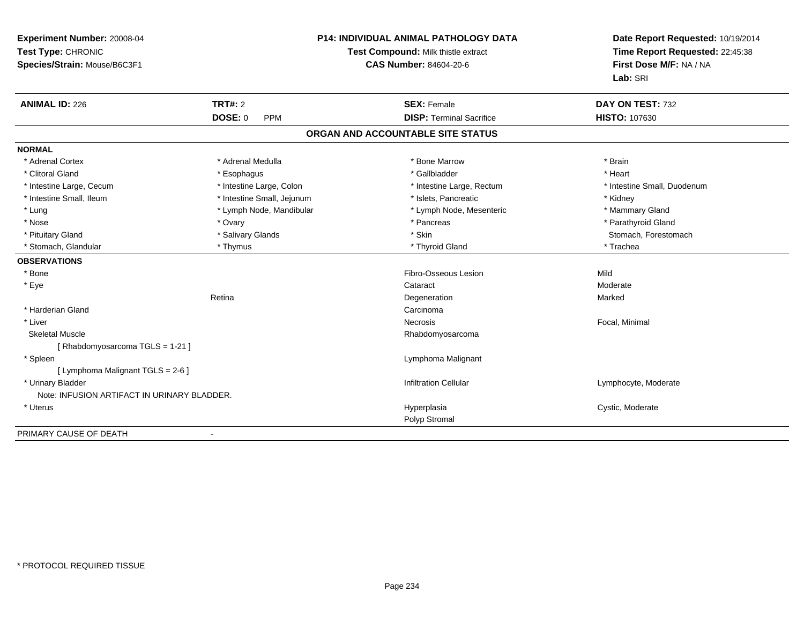| Experiment Number: 20008-04<br>Test Type: CHRONIC<br>Species/Strain: Mouse/B6C3F1 | <b>P14: INDIVIDUAL ANIMAL PATHOLOGY DATA</b><br>Test Compound: Milk thistle extract<br><b>CAS Number: 84604-20-6</b> |                                   | Date Report Requested: 10/19/2014<br>Time Report Requested: 22:45:38<br>First Dose M/F: NA / NA<br>Lab: SRI |
|-----------------------------------------------------------------------------------|----------------------------------------------------------------------------------------------------------------------|-----------------------------------|-------------------------------------------------------------------------------------------------------------|
| <b>ANIMAL ID: 226</b>                                                             | <b>TRT#: 2</b>                                                                                                       | <b>SEX: Female</b>                | DAY ON TEST: 732                                                                                            |
|                                                                                   | <b>DOSE: 0</b><br><b>PPM</b>                                                                                         | <b>DISP: Terminal Sacrifice</b>   | HISTO: 107630                                                                                               |
|                                                                                   |                                                                                                                      | ORGAN AND ACCOUNTABLE SITE STATUS |                                                                                                             |
| <b>NORMAL</b>                                                                     |                                                                                                                      |                                   |                                                                                                             |
| * Adrenal Cortex                                                                  | * Adrenal Medulla                                                                                                    | * Bone Marrow                     | * Brain                                                                                                     |
| * Clitoral Gland                                                                  | * Esophagus                                                                                                          | * Gallbladder                     | * Heart                                                                                                     |
| * Intestine Large, Cecum                                                          | * Intestine Large, Colon                                                                                             | * Intestine Large, Rectum         | * Intestine Small, Duodenum                                                                                 |
| * Intestine Small, Ileum                                                          | * Intestine Small, Jejunum                                                                                           | * Islets, Pancreatic              | * Kidney                                                                                                    |
| * Lung                                                                            | * Lymph Node, Mandibular                                                                                             | * Lymph Node, Mesenteric          | * Mammary Gland                                                                                             |
| * Nose                                                                            | * Ovary                                                                                                              | * Pancreas                        | * Parathyroid Gland                                                                                         |
| * Pituitary Gland                                                                 | * Salivary Glands                                                                                                    | * Skin                            | Stomach, Forestomach                                                                                        |
| * Stomach, Glandular                                                              | * Thymus                                                                                                             | * Thyroid Gland                   | * Trachea                                                                                                   |
| <b>OBSERVATIONS</b>                                                               |                                                                                                                      |                                   |                                                                                                             |
| * Bone                                                                            |                                                                                                                      | Fibro-Osseous Lesion              | Mild                                                                                                        |
| * Eye                                                                             |                                                                                                                      | Cataract                          | Moderate                                                                                                    |
|                                                                                   | Retina                                                                                                               | Degeneration                      | Marked                                                                                                      |
| * Harderian Gland                                                                 |                                                                                                                      | Carcinoma                         |                                                                                                             |
| * Liver                                                                           |                                                                                                                      | Necrosis                          | Focal, Minimal                                                                                              |
| <b>Skeletal Muscle</b>                                                            |                                                                                                                      | Rhabdomyosarcoma                  |                                                                                                             |
| [Rhabdomyosarcoma TGLS = 1-21]                                                    |                                                                                                                      |                                   |                                                                                                             |
| * Spleen                                                                          |                                                                                                                      | Lymphoma Malignant                |                                                                                                             |
| [ Lymphoma Malignant TGLS = 2-6 ]                                                 |                                                                                                                      |                                   |                                                                                                             |
| * Urinary Bladder                                                                 |                                                                                                                      | <b>Infiltration Cellular</b>      | Lymphocyte, Moderate                                                                                        |
| Note: INFUSION ARTIFACT IN URINARY BLADDER.                                       |                                                                                                                      |                                   |                                                                                                             |
| * Uterus                                                                          |                                                                                                                      | Hyperplasia                       | Cystic, Moderate                                                                                            |
|                                                                                   |                                                                                                                      | Polyp Stromal                     |                                                                                                             |
| PRIMARY CAUSE OF DEATH                                                            |                                                                                                                      |                                   |                                                                                                             |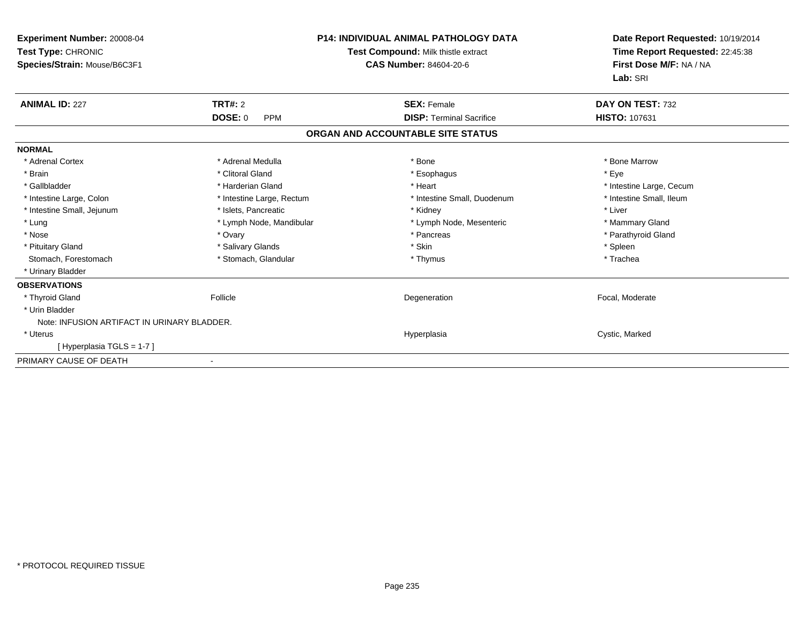| Experiment Number: 20008-04<br>Test Type: CHRONIC<br>Species/Strain: Mouse/B6C3F1 |                              | <b>P14: INDIVIDUAL ANIMAL PATHOLOGY DATA</b><br>Test Compound: Milk thistle extract<br><b>CAS Number: 84604-20-6</b> | Date Report Requested: 10/19/2014<br>Time Report Requested: 22:45:38<br>First Dose M/F: NA / NA<br>Lab: SRI |
|-----------------------------------------------------------------------------------|------------------------------|----------------------------------------------------------------------------------------------------------------------|-------------------------------------------------------------------------------------------------------------|
| <b>ANIMAL ID: 227</b>                                                             | <b>TRT#: 2</b>               | <b>SEX: Female</b>                                                                                                   | DAY ON TEST: 732                                                                                            |
|                                                                                   | <b>DOSE: 0</b><br><b>PPM</b> | <b>DISP: Terminal Sacrifice</b>                                                                                      | <b>HISTO: 107631</b>                                                                                        |
|                                                                                   |                              | ORGAN AND ACCOUNTABLE SITE STATUS                                                                                    |                                                                                                             |
| <b>NORMAL</b>                                                                     |                              |                                                                                                                      |                                                                                                             |
| * Adrenal Cortex                                                                  | * Adrenal Medulla            | * Bone                                                                                                               | * Bone Marrow                                                                                               |
| * Brain                                                                           | * Clitoral Gland             | * Esophagus                                                                                                          | * Eye                                                                                                       |
| * Gallbladder                                                                     | * Harderian Gland            | * Heart                                                                                                              | * Intestine Large, Cecum                                                                                    |
| * Intestine Large, Colon                                                          | * Intestine Large, Rectum    | * Intestine Small, Duodenum                                                                                          | * Intestine Small, Ileum                                                                                    |
| * Intestine Small, Jejunum                                                        | * Islets, Pancreatic         | * Kidney                                                                                                             | * Liver                                                                                                     |
| * Lung                                                                            | * Lymph Node, Mandibular     | * Lymph Node, Mesenteric                                                                                             | * Mammary Gland                                                                                             |
| * Nose                                                                            | * Ovary                      | * Pancreas                                                                                                           | * Parathyroid Gland                                                                                         |
| * Pituitary Gland                                                                 | * Salivary Glands            | * Skin                                                                                                               | * Spleen                                                                                                    |
| Stomach, Forestomach                                                              | * Stomach, Glandular         | * Thymus                                                                                                             | * Trachea                                                                                                   |
| * Urinary Bladder                                                                 |                              |                                                                                                                      |                                                                                                             |
| <b>OBSERVATIONS</b>                                                               |                              |                                                                                                                      |                                                                                                             |
| * Thyroid Gland                                                                   | Follicle                     | Degeneration                                                                                                         | Focal, Moderate                                                                                             |
| * Urin Bladder                                                                    |                              |                                                                                                                      |                                                                                                             |
| Note: INFUSION ARTIFACT IN URINARY BLADDER.                                       |                              |                                                                                                                      |                                                                                                             |
| * Uterus                                                                          |                              | Hyperplasia                                                                                                          | Cystic, Marked                                                                                              |
| [Hyperplasia TGLS = 1-7]                                                          |                              |                                                                                                                      |                                                                                                             |
| PRIMARY CAUSE OF DEATH                                                            |                              |                                                                                                                      |                                                                                                             |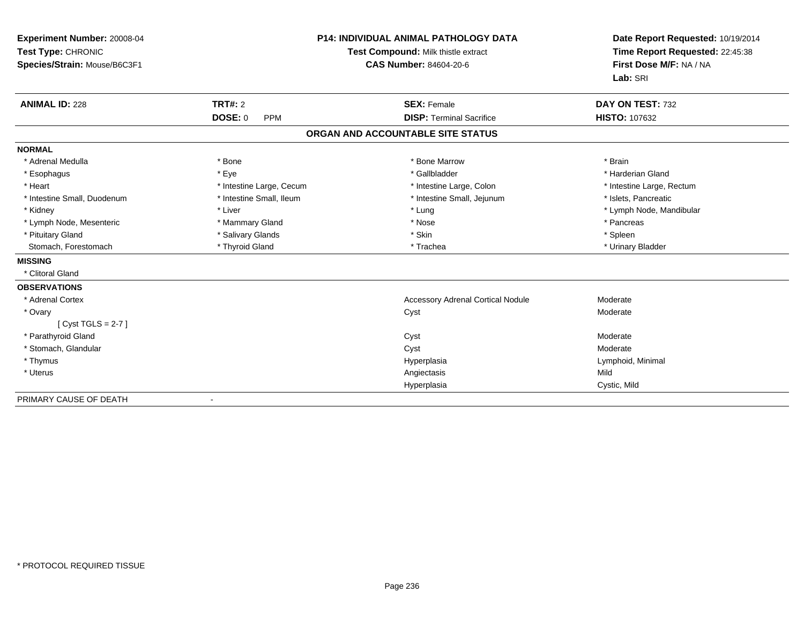| Experiment Number: 20008-04<br>Test Type: CHRONIC |                              | <b>P14: INDIVIDUAL ANIMAL PATHOLOGY DATA</b><br>Test Compound: Milk thistle extract | Date Report Requested: 10/19/2014<br>Time Report Requested: 22:45:38 |  |
|---------------------------------------------------|------------------------------|-------------------------------------------------------------------------------------|----------------------------------------------------------------------|--|
| Species/Strain: Mouse/B6C3F1                      |                              | <b>CAS Number: 84604-20-6</b>                                                       | First Dose M/F: NA / NA                                              |  |
|                                                   |                              |                                                                                     | Lab: SRI                                                             |  |
| <b>ANIMAL ID: 228</b>                             | TRT#: 2                      | <b>SEX: Female</b>                                                                  | DAY ON TEST: 732                                                     |  |
|                                                   | <b>DOSE: 0</b><br><b>PPM</b> | <b>DISP: Terminal Sacrifice</b>                                                     | <b>HISTO: 107632</b>                                                 |  |
|                                                   |                              | ORGAN AND ACCOUNTABLE SITE STATUS                                                   |                                                                      |  |
| <b>NORMAL</b>                                     |                              |                                                                                     |                                                                      |  |
| * Adrenal Medulla                                 | * Bone                       | * Bone Marrow                                                                       | * Brain                                                              |  |
| * Esophagus                                       | * Eye                        | * Gallbladder                                                                       | * Harderian Gland                                                    |  |
| * Heart                                           | * Intestine Large, Cecum     | * Intestine Large, Colon                                                            | * Intestine Large, Rectum                                            |  |
| * Intestine Small, Duodenum                       | * Intestine Small, Ileum     | * Intestine Small, Jejunum                                                          | * Islets, Pancreatic                                                 |  |
| * Kidney                                          | * Liver                      | * Lung                                                                              | * Lymph Node, Mandibular                                             |  |
| * Lymph Node, Mesenteric                          | * Mammary Gland              | * Nose                                                                              | * Pancreas                                                           |  |
| * Pituitary Gland                                 | * Salivary Glands            | * Skin                                                                              | * Spleen                                                             |  |
| Stomach, Forestomach                              | * Thyroid Gland              | * Trachea                                                                           | * Urinary Bladder                                                    |  |
| <b>MISSING</b>                                    |                              |                                                                                     |                                                                      |  |
| * Clitoral Gland                                  |                              |                                                                                     |                                                                      |  |
| <b>OBSERVATIONS</b>                               |                              |                                                                                     |                                                                      |  |
| * Adrenal Cortex                                  |                              | <b>Accessory Adrenal Cortical Nodule</b>                                            | Moderate                                                             |  |
| * Ovary                                           |                              | Cyst                                                                                | Moderate                                                             |  |
| [Cyst TGLS = $2-7$ ]                              |                              |                                                                                     |                                                                      |  |
| * Parathyroid Gland                               |                              | Cyst                                                                                | Moderate                                                             |  |
| * Stomach, Glandular                              |                              | Cyst                                                                                | Moderate                                                             |  |
| * Thymus                                          |                              | Hyperplasia                                                                         | Lymphoid, Minimal                                                    |  |
| * Uterus                                          |                              | Angiectasis                                                                         | Mild                                                                 |  |
|                                                   |                              | Hyperplasia                                                                         | Cystic, Mild                                                         |  |
| PRIMARY CAUSE OF DEATH                            |                              |                                                                                     |                                                                      |  |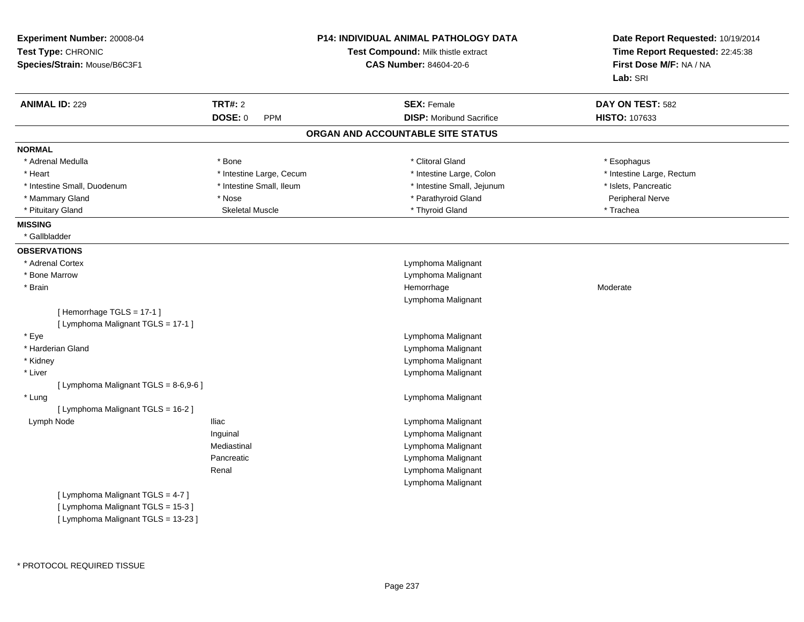| Experiment Number: 20008-04<br>Test Type: CHRONIC<br>Species/Strain: Mouse/B6C3F1 |                              | <b>P14: INDIVIDUAL ANIMAL PATHOLOGY DATA</b><br>Test Compound: Milk thistle extract<br><b>CAS Number: 84604-20-6</b> | Date Report Requested: 10/19/2014<br>Time Report Requested: 22:45:38<br>First Dose M/F: NA / NA<br>Lab: SRI |
|-----------------------------------------------------------------------------------|------------------------------|----------------------------------------------------------------------------------------------------------------------|-------------------------------------------------------------------------------------------------------------|
| <b>ANIMAL ID: 229</b>                                                             | <b>TRT#: 2</b>               | <b>SEX: Female</b>                                                                                                   | DAY ON TEST: 582                                                                                            |
|                                                                                   | <b>DOSE: 0</b><br><b>PPM</b> | <b>DISP:</b> Moribund Sacrifice                                                                                      | HISTO: 107633                                                                                               |
|                                                                                   |                              | ORGAN AND ACCOUNTABLE SITE STATUS                                                                                    |                                                                                                             |
| <b>NORMAL</b>                                                                     |                              |                                                                                                                      |                                                                                                             |
| * Adrenal Medulla                                                                 | * Bone                       | * Clitoral Gland                                                                                                     | * Esophagus                                                                                                 |
| * Heart                                                                           | * Intestine Large, Cecum     | * Intestine Large, Colon                                                                                             | * Intestine Large, Rectum                                                                                   |
| * Intestine Small, Duodenum                                                       | * Intestine Small, Ileum     | * Intestine Small, Jejunum                                                                                           | * Islets, Pancreatic                                                                                        |
| * Mammary Gland                                                                   | * Nose                       | * Parathyroid Gland                                                                                                  | Peripheral Nerve                                                                                            |
| * Pituitary Gland                                                                 | <b>Skeletal Muscle</b>       | * Thyroid Gland                                                                                                      | * Trachea                                                                                                   |
| <b>MISSING</b>                                                                    |                              |                                                                                                                      |                                                                                                             |
| * Gallbladder                                                                     |                              |                                                                                                                      |                                                                                                             |
| <b>OBSERVATIONS</b>                                                               |                              |                                                                                                                      |                                                                                                             |
| * Adrenal Cortex                                                                  |                              | Lymphoma Malignant                                                                                                   |                                                                                                             |
| * Bone Marrow                                                                     |                              | Lymphoma Malignant                                                                                                   |                                                                                                             |
| * Brain                                                                           |                              | Hemorrhage                                                                                                           | Moderate                                                                                                    |
|                                                                                   |                              | Lymphoma Malignant                                                                                                   |                                                                                                             |
| [Hemorrhage TGLS = 17-1]                                                          |                              |                                                                                                                      |                                                                                                             |
| [ Lymphoma Malignant TGLS = 17-1 ]                                                |                              |                                                                                                                      |                                                                                                             |
| * Eye                                                                             |                              | Lymphoma Malignant                                                                                                   |                                                                                                             |
| * Harderian Gland                                                                 |                              | Lymphoma Malignant                                                                                                   |                                                                                                             |
| * Kidney                                                                          |                              | Lymphoma Malignant                                                                                                   |                                                                                                             |
| * Liver                                                                           |                              | Lymphoma Malignant                                                                                                   |                                                                                                             |
| [ Lymphoma Malignant TGLS = 8-6,9-6 ]                                             |                              |                                                                                                                      |                                                                                                             |
| * Lung                                                                            |                              | Lymphoma Malignant                                                                                                   |                                                                                                             |
| [ Lymphoma Malignant TGLS = 16-2 ]                                                |                              |                                                                                                                      |                                                                                                             |
| Lymph Node                                                                        | <b>Iliac</b>                 | Lymphoma Malignant                                                                                                   |                                                                                                             |
|                                                                                   | Inguinal                     | Lymphoma Malignant                                                                                                   |                                                                                                             |
|                                                                                   | Mediastinal                  | Lymphoma Malignant                                                                                                   |                                                                                                             |
|                                                                                   | Pancreatic                   | Lymphoma Malignant                                                                                                   |                                                                                                             |
|                                                                                   | Renal                        | Lymphoma Malignant                                                                                                   |                                                                                                             |
|                                                                                   |                              | Lymphoma Malignant                                                                                                   |                                                                                                             |
| [ Lymphoma Malignant TGLS = 4-7 ]                                                 |                              |                                                                                                                      |                                                                                                             |
| [ Lymphoma Malignant TGLS = 15-3 ]                                                |                              |                                                                                                                      |                                                                                                             |
| [ Lymphoma Malignant TGLS = 13-23 ]                                               |                              |                                                                                                                      |                                                                                                             |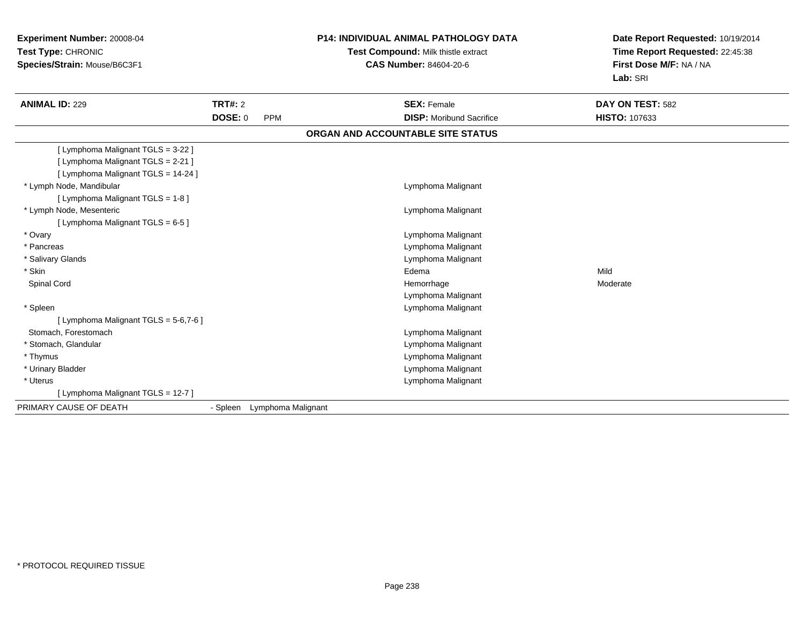**Experiment Number:** 20008-04**Test Type:** CHRONIC **Species/Strain:** Mouse/B6C3F1**P14: INDIVIDUAL ANIMAL PATHOLOGY DATATest Compound:** Milk thistle extract**CAS Number:** 84604-20-6**Date Report Requested:** 10/19/2014**Time Report Requested:** 22:45:38**First Dose M/F:** NA / NA**Lab:** SRI**ANIMAL ID:** 229 **TRT#:** <sup>2</sup> **SEX:** Female **DAY ON TEST:** <sup>582</sup> **DOSE:** 0 PPM **DISP:** Moribund Sacrifice **HISTO:** <sup>107633</sup> **ORGAN AND ACCOUNTABLE SITE STATUS**[ Lymphoma Malignant TGLS = 3-22 ][ Lymphoma Malignant TGLS = 2-21 ][ Lymphoma Malignant TGLS = 14-24 ] \* Lymph Node, Mandibular Lymphoma Malignant [ Lymphoma Malignant TGLS = 1-8 ] \* Lymph Node, Mesenteric Lymphoma Malignant [ Lymphoma Malignant TGLS = 6-5 ] \* Ovary Lymphoma Malignant \* Pancreas Lymphoma Malignant \* Salivary Glands Lymphoma Malignant \* Skinn and the control of the control of the control of the control of the control of the control of the control of the control of the control of the control of the control of the control of the control of the control of the co Spinal Cordd and the controller of the controller of the controller of the Moderate Moderate of the Moderate of the Moderate of the Moderate of the Moderate of the Moderate of the Moderate of the Moderate of the Moderate of the Moder Lymphoma Malignant \* Spleen Lymphoma Malignant [ Lymphoma Malignant TGLS = 5-6,7-6 ] Stomach, Forestomach Lymphoma Malignant \* Stomach, Glandular Lymphoma Malignant \* Thymus Lymphoma Malignant \* Urinary Bladder Lymphoma Malignant \* Uterus Lymphoma Malignant [ Lymphoma Malignant TGLS = 12-7 ]PRIMARY CAUSE OF DEATH- Spleen Lymphoma Malignant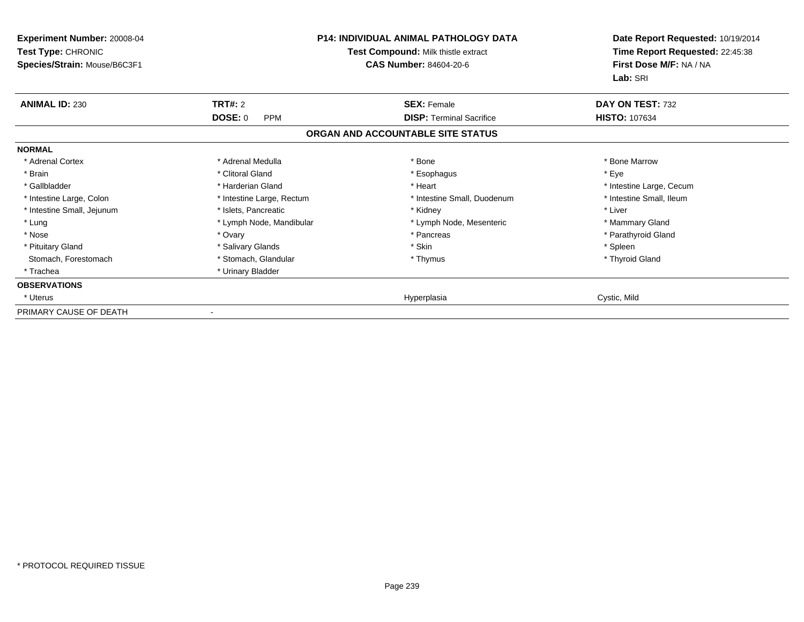| Experiment Number: 20008-04<br><b>Test Type: CHRONIC</b><br>Species/Strain: Mouse/B6C3F1 | <b>P14: INDIVIDUAL ANIMAL PATHOLOGY DATA</b><br>Test Compound: Milk thistle extract<br><b>CAS Number: 84604-20-6</b> |                                   | Date Report Requested: 10/19/2014<br>Time Report Requested: 22:45:38<br>First Dose M/F: NA / NA<br>Lab: SRI |
|------------------------------------------------------------------------------------------|----------------------------------------------------------------------------------------------------------------------|-----------------------------------|-------------------------------------------------------------------------------------------------------------|
| <b>ANIMAL ID: 230</b>                                                                    | TRT#: 2                                                                                                              | <b>SEX: Female</b>                | DAY ON TEST: 732                                                                                            |
|                                                                                          | <b>DOSE: 0</b><br><b>PPM</b>                                                                                         | <b>DISP: Terminal Sacrifice</b>   | <b>HISTO: 107634</b>                                                                                        |
|                                                                                          |                                                                                                                      | ORGAN AND ACCOUNTABLE SITE STATUS |                                                                                                             |
| <b>NORMAL</b>                                                                            |                                                                                                                      |                                   |                                                                                                             |
| * Adrenal Cortex                                                                         | * Adrenal Medulla                                                                                                    | * Bone                            | * Bone Marrow                                                                                               |
| * Brain                                                                                  | * Clitoral Gland                                                                                                     | * Esophagus                       | * Eye                                                                                                       |
| * Gallbladder                                                                            | * Harderian Gland                                                                                                    | * Heart                           | * Intestine Large, Cecum                                                                                    |
| * Intestine Large, Colon                                                                 | * Intestine Large, Rectum                                                                                            | * Intestine Small, Duodenum       | * Intestine Small, Ileum                                                                                    |
| * Intestine Small, Jejunum                                                               | * Islets, Pancreatic                                                                                                 | * Kidney                          | * Liver                                                                                                     |
| * Lung                                                                                   | * Lymph Node, Mandibular                                                                                             | * Lymph Node, Mesenteric          | * Mammary Gland                                                                                             |
| * Nose                                                                                   | * Ovary                                                                                                              | * Pancreas                        | * Parathyroid Gland                                                                                         |
| * Pituitary Gland                                                                        | * Salivary Glands                                                                                                    | * Skin                            | * Spleen                                                                                                    |
| Stomach, Forestomach                                                                     | * Stomach, Glandular                                                                                                 | * Thymus                          | * Thyroid Gland                                                                                             |
| * Trachea                                                                                | * Urinary Bladder                                                                                                    |                                   |                                                                                                             |
| <b>OBSERVATIONS</b>                                                                      |                                                                                                                      |                                   |                                                                                                             |
| * Uterus                                                                                 |                                                                                                                      | Hyperplasia                       | Cystic, Mild                                                                                                |
| PRIMARY CAUSE OF DEATH                                                                   |                                                                                                                      |                                   |                                                                                                             |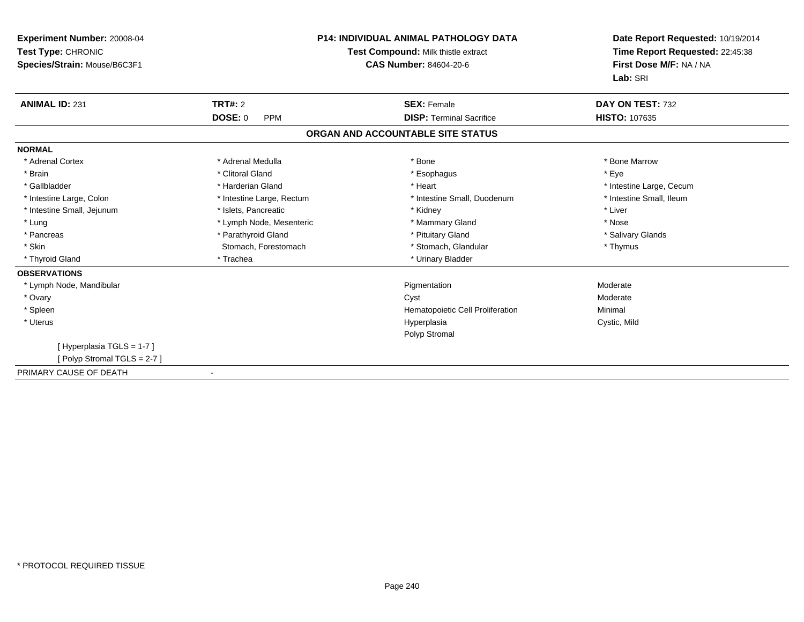| Experiment Number: 20008-04<br>Test Type: CHRONIC<br>Species/Strain: Mouse/B6C3F1 | <b>P14: INDIVIDUAL ANIMAL PATHOLOGY DATA</b><br>Test Compound: Milk thistle extract<br>CAS Number: 84604-20-6 |                                   | Date Report Requested: 10/19/2014<br>Time Report Requested: 22:45:38<br>First Dose M/F: NA / NA<br>Lab: SRI |
|-----------------------------------------------------------------------------------|---------------------------------------------------------------------------------------------------------------|-----------------------------------|-------------------------------------------------------------------------------------------------------------|
| <b>ANIMAL ID: 231</b>                                                             | TRT#: 2                                                                                                       | <b>SEX: Female</b>                | DAY ON TEST: 732                                                                                            |
|                                                                                   | DOSE: 0<br><b>PPM</b>                                                                                         | <b>DISP: Terminal Sacrifice</b>   | <b>HISTO: 107635</b>                                                                                        |
|                                                                                   |                                                                                                               | ORGAN AND ACCOUNTABLE SITE STATUS |                                                                                                             |
| <b>NORMAL</b>                                                                     |                                                                                                               |                                   |                                                                                                             |
| * Adrenal Cortex                                                                  | * Adrenal Medulla                                                                                             | * Bone                            | * Bone Marrow                                                                                               |
| * Brain                                                                           | * Clitoral Gland                                                                                              | * Esophagus                       | * Eye                                                                                                       |
| * Gallbladder                                                                     | * Harderian Gland                                                                                             | * Heart                           | * Intestine Large, Cecum                                                                                    |
| * Intestine Large, Colon                                                          | * Intestine Large, Rectum                                                                                     | * Intestine Small, Duodenum       | * Intestine Small, Ileum                                                                                    |
| * Intestine Small, Jejunum                                                        | * Islets, Pancreatic                                                                                          | * Kidney                          | * Liver                                                                                                     |
| * Lung                                                                            | * Lymph Node, Mesenteric                                                                                      | * Mammary Gland                   | * Nose                                                                                                      |
| * Pancreas                                                                        | * Parathyroid Gland                                                                                           | * Pituitary Gland                 | * Salivary Glands                                                                                           |
| * Skin                                                                            | Stomach, Forestomach                                                                                          | * Stomach, Glandular              | * Thymus                                                                                                    |
| * Thyroid Gland                                                                   | * Trachea                                                                                                     | * Urinary Bladder                 |                                                                                                             |
| <b>OBSERVATIONS</b>                                                               |                                                                                                               |                                   |                                                                                                             |
| * Lymph Node, Mandibular                                                          |                                                                                                               | Pigmentation                      | Moderate                                                                                                    |
| * Ovary                                                                           |                                                                                                               | Cyst                              | Moderate                                                                                                    |
| * Spleen                                                                          |                                                                                                               | Hematopoietic Cell Proliferation  | Minimal                                                                                                     |
| * Uterus                                                                          |                                                                                                               | Hyperplasia                       | Cystic, Mild                                                                                                |
|                                                                                   |                                                                                                               | Polyp Stromal                     |                                                                                                             |
| [Hyperplasia TGLS = 1-7]                                                          |                                                                                                               |                                   |                                                                                                             |
| [Polyp Stromal TGLS = 2-7]                                                        |                                                                                                               |                                   |                                                                                                             |
| PRIMARY CAUSE OF DEATH                                                            |                                                                                                               |                                   |                                                                                                             |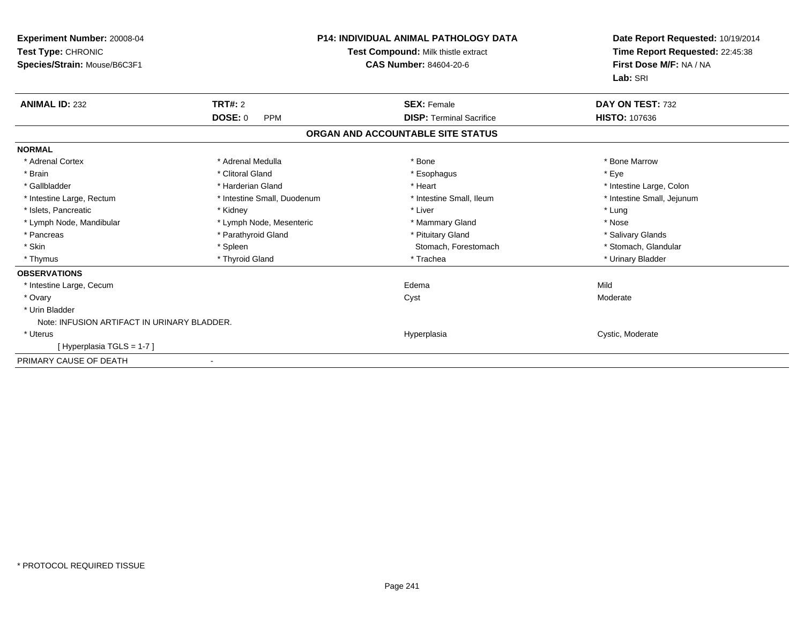| <b>Experiment Number: 20008-04</b><br>Test Type: CHRONIC<br>Species/Strain: Mouse/B6C3F1 |                              | <b>P14: INDIVIDUAL ANIMAL PATHOLOGY DATA</b><br>Test Compound: Milk thistle extract<br><b>CAS Number: 84604-20-6</b> | Date Report Requested: 10/19/2014<br>Time Report Requested: 22:45:38<br>First Dose M/F: NA / NA<br>Lab: SRI |
|------------------------------------------------------------------------------------------|------------------------------|----------------------------------------------------------------------------------------------------------------------|-------------------------------------------------------------------------------------------------------------|
| <b>ANIMAL ID: 232</b>                                                                    | <b>TRT#: 2</b>               | <b>SEX: Female</b>                                                                                                   | DAY ON TEST: 732                                                                                            |
|                                                                                          | <b>DOSE: 0</b><br><b>PPM</b> | <b>DISP: Terminal Sacrifice</b>                                                                                      | <b>HISTO: 107636</b>                                                                                        |
|                                                                                          |                              | ORGAN AND ACCOUNTABLE SITE STATUS                                                                                    |                                                                                                             |
| <b>NORMAL</b>                                                                            |                              |                                                                                                                      |                                                                                                             |
| * Adrenal Cortex                                                                         | * Adrenal Medulla            | * Bone                                                                                                               | * Bone Marrow                                                                                               |
| * Brain                                                                                  | * Clitoral Gland             | * Esophagus                                                                                                          | * Eye                                                                                                       |
| * Gallbladder                                                                            | * Harderian Gland            | * Heart                                                                                                              | * Intestine Large, Colon                                                                                    |
| * Intestine Large, Rectum                                                                | * Intestine Small, Duodenum  | * Intestine Small, Ileum                                                                                             | * Intestine Small, Jejunum                                                                                  |
| * Islets, Pancreatic                                                                     | * Kidney                     | * Liver                                                                                                              | * Lung                                                                                                      |
| * Lymph Node, Mandibular                                                                 | * Lymph Node, Mesenteric     | * Mammary Gland                                                                                                      | * Nose                                                                                                      |
| * Pancreas                                                                               | * Parathyroid Gland          | * Pituitary Gland                                                                                                    | * Salivary Glands                                                                                           |
| * Skin                                                                                   | * Spleen                     | Stomach, Forestomach                                                                                                 | * Stomach, Glandular                                                                                        |
| * Thymus                                                                                 | * Thyroid Gland              | * Trachea                                                                                                            | * Urinary Bladder                                                                                           |
| <b>OBSERVATIONS</b>                                                                      |                              |                                                                                                                      |                                                                                                             |
| * Intestine Large, Cecum                                                                 |                              | Edema                                                                                                                | Mild                                                                                                        |
| * Ovary                                                                                  |                              | Cyst                                                                                                                 | Moderate                                                                                                    |
| * Urin Bladder                                                                           |                              |                                                                                                                      |                                                                                                             |
| Note: INFUSION ARTIFACT IN URINARY BLADDER.                                              |                              |                                                                                                                      |                                                                                                             |
| * Uterus                                                                                 |                              | Hyperplasia                                                                                                          | Cystic, Moderate                                                                                            |
| [Hyperplasia TGLS = 1-7]                                                                 |                              |                                                                                                                      |                                                                                                             |
| PRIMARY CAUSE OF DEATH                                                                   |                              |                                                                                                                      |                                                                                                             |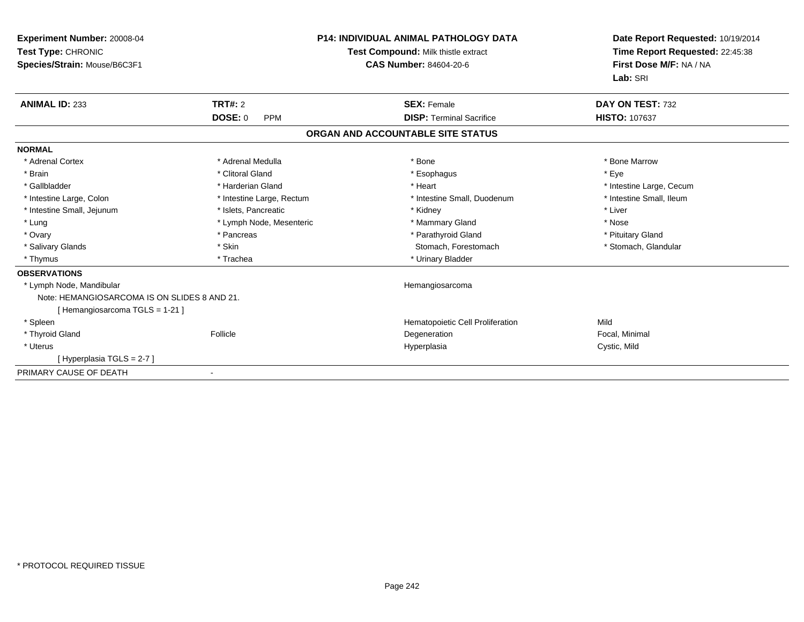| Experiment Number: 20008-04<br>Test Type: CHRONIC<br>Species/Strain: Mouse/B6C3F1 |                           | <b>P14: INDIVIDUAL ANIMAL PATHOLOGY DATA</b><br>Test Compound: Milk thistle extract<br><b>CAS Number: 84604-20-6</b> | Date Report Requested: 10/19/2014<br>Time Report Requested: 22:45:38<br>First Dose M/F: NA / NA<br>Lab: SRI |  |
|-----------------------------------------------------------------------------------|---------------------------|----------------------------------------------------------------------------------------------------------------------|-------------------------------------------------------------------------------------------------------------|--|
| <b>ANIMAL ID: 233</b>                                                             | TRT#: 2                   | <b>SEX: Female</b>                                                                                                   | DAY ON TEST: 732                                                                                            |  |
|                                                                                   | DOSE: 0<br><b>PPM</b>     | <b>DISP: Terminal Sacrifice</b>                                                                                      | <b>HISTO: 107637</b>                                                                                        |  |
|                                                                                   |                           | ORGAN AND ACCOUNTABLE SITE STATUS                                                                                    |                                                                                                             |  |
| <b>NORMAL</b>                                                                     |                           |                                                                                                                      |                                                                                                             |  |
| * Adrenal Cortex                                                                  | * Adrenal Medulla         | * Bone                                                                                                               | * Bone Marrow                                                                                               |  |
| * Brain                                                                           | * Clitoral Gland          | * Esophagus                                                                                                          | * Eve                                                                                                       |  |
| * Gallbladder                                                                     | * Harderian Gland         | * Heart                                                                                                              | * Intestine Large, Cecum                                                                                    |  |
| * Intestine Large, Colon                                                          | * Intestine Large, Rectum | * Intestine Small, Duodenum                                                                                          | * Intestine Small, Ileum                                                                                    |  |
| * Intestine Small, Jejunum                                                        | * Islets. Pancreatic      | * Kidney                                                                                                             | * Liver                                                                                                     |  |
| * Lung                                                                            | * Lymph Node, Mesenteric  | * Mammary Gland                                                                                                      | * Nose                                                                                                      |  |
| * Ovary                                                                           | * Pancreas                | * Parathyroid Gland                                                                                                  | * Pituitary Gland                                                                                           |  |
| * Salivary Glands                                                                 | * Skin                    | Stomach, Forestomach                                                                                                 | * Stomach, Glandular                                                                                        |  |
| * Thymus                                                                          | * Trachea                 | * Urinary Bladder                                                                                                    |                                                                                                             |  |
| <b>OBSERVATIONS</b>                                                               |                           |                                                                                                                      |                                                                                                             |  |
| * Lymph Node, Mandibular                                                          |                           | Hemangiosarcoma                                                                                                      |                                                                                                             |  |
| Note: HEMANGIOSARCOMA IS ON SLIDES 8 AND 21.                                      |                           |                                                                                                                      |                                                                                                             |  |
| [Hemangiosarcoma TGLS = 1-21]                                                     |                           |                                                                                                                      |                                                                                                             |  |
| * Spleen                                                                          |                           | Hematopoietic Cell Proliferation                                                                                     | Mild                                                                                                        |  |
| * Thyroid Gland                                                                   | Follicle                  | Degeneration                                                                                                         | Focal, Minimal                                                                                              |  |
| * Uterus                                                                          |                           | Hyperplasia                                                                                                          | Cystic, Mild                                                                                                |  |
| [Hyperplasia TGLS = 2-7]                                                          |                           |                                                                                                                      |                                                                                                             |  |
| PRIMARY CAUSE OF DEATH                                                            |                           |                                                                                                                      |                                                                                                             |  |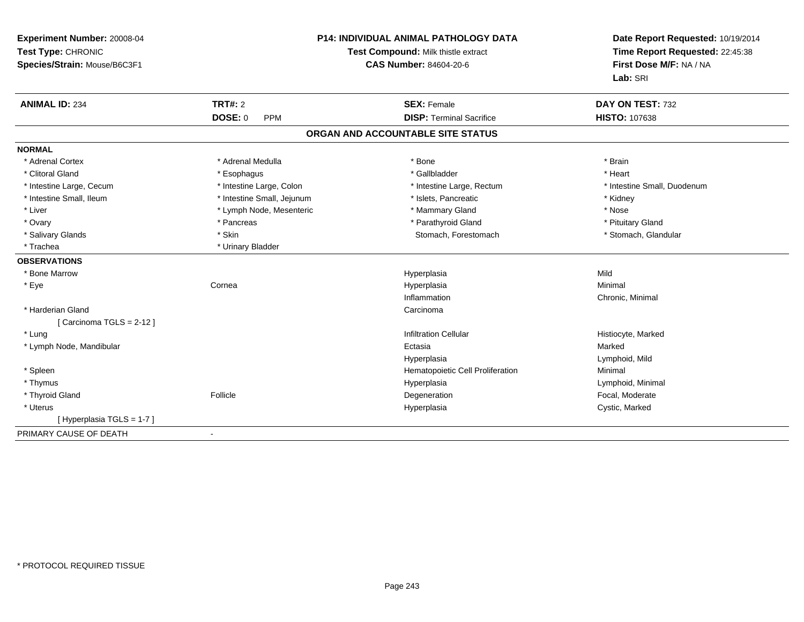| Experiment Number: 20008-04<br>Test Type: CHRONIC<br>Species/Strain: Mouse/B6C3F1 |                            | <b>P14: INDIVIDUAL ANIMAL PATHOLOGY DATA</b><br>Test Compound: Milk thistle extract<br><b>CAS Number: 84604-20-6</b> | Date Report Requested: 10/19/2014<br>Time Report Requested: 22:45:38<br>First Dose M/F: NA / NA<br>Lab: SRI |
|-----------------------------------------------------------------------------------|----------------------------|----------------------------------------------------------------------------------------------------------------------|-------------------------------------------------------------------------------------------------------------|
| <b>ANIMAL ID: 234</b>                                                             | <b>TRT#: 2</b>             | <b>SEX: Female</b>                                                                                                   | DAY ON TEST: 732                                                                                            |
|                                                                                   | <b>DOSE: 0</b><br>PPM      | <b>DISP: Terminal Sacrifice</b>                                                                                      | <b>HISTO: 107638</b>                                                                                        |
|                                                                                   |                            | ORGAN AND ACCOUNTABLE SITE STATUS                                                                                    |                                                                                                             |
| <b>NORMAL</b>                                                                     |                            |                                                                                                                      |                                                                                                             |
| * Adrenal Cortex                                                                  | * Adrenal Medulla          | * Bone                                                                                                               | * Brain                                                                                                     |
| * Clitoral Gland                                                                  | * Esophagus                | * Gallbladder                                                                                                        | * Heart                                                                                                     |
| * Intestine Large, Cecum                                                          | * Intestine Large, Colon   | * Intestine Large, Rectum                                                                                            | * Intestine Small. Duodenum                                                                                 |
| * Intestine Small, Ileum                                                          | * Intestine Small, Jejunum | * Islets, Pancreatic                                                                                                 | * Kidney                                                                                                    |
| * Liver                                                                           | * Lymph Node, Mesenteric   | * Mammary Gland                                                                                                      | * Nose                                                                                                      |
| * Ovary                                                                           | * Pancreas                 | * Parathyroid Gland                                                                                                  | * Pituitary Gland                                                                                           |
| * Salivary Glands                                                                 | * Skin                     | Stomach, Forestomach                                                                                                 | * Stomach, Glandular                                                                                        |
| * Trachea                                                                         | * Urinary Bladder          |                                                                                                                      |                                                                                                             |
| <b>OBSERVATIONS</b>                                                               |                            |                                                                                                                      |                                                                                                             |
| * Bone Marrow                                                                     |                            | Hyperplasia                                                                                                          | Mild                                                                                                        |
| * Eye                                                                             | Cornea                     | Hyperplasia                                                                                                          | Minimal                                                                                                     |
|                                                                                   |                            | Inflammation                                                                                                         | Chronic, Minimal                                                                                            |
| * Harderian Gland                                                                 |                            | Carcinoma                                                                                                            |                                                                                                             |
| [Carcinoma TGLS = $2-12$ ]                                                        |                            |                                                                                                                      |                                                                                                             |
| * Lung                                                                            |                            | <b>Infiltration Cellular</b>                                                                                         | Histiocyte, Marked                                                                                          |
| * Lymph Node, Mandibular                                                          |                            | Ectasia                                                                                                              | Marked                                                                                                      |
|                                                                                   |                            | Hyperplasia                                                                                                          | Lymphoid, Mild                                                                                              |
| * Spleen                                                                          |                            | Hematopoietic Cell Proliferation                                                                                     | Minimal                                                                                                     |
| * Thymus                                                                          |                            | Hyperplasia                                                                                                          | Lymphoid, Minimal                                                                                           |
| * Thyroid Gland                                                                   | Follicle                   | Degeneration                                                                                                         | Focal, Moderate                                                                                             |
| * Uterus                                                                          |                            | Hyperplasia                                                                                                          | Cystic, Marked                                                                                              |
| [Hyperplasia TGLS = 1-7]                                                          |                            |                                                                                                                      |                                                                                                             |
| PRIMARY CAUSE OF DEATH                                                            | $\blacksquare$             |                                                                                                                      |                                                                                                             |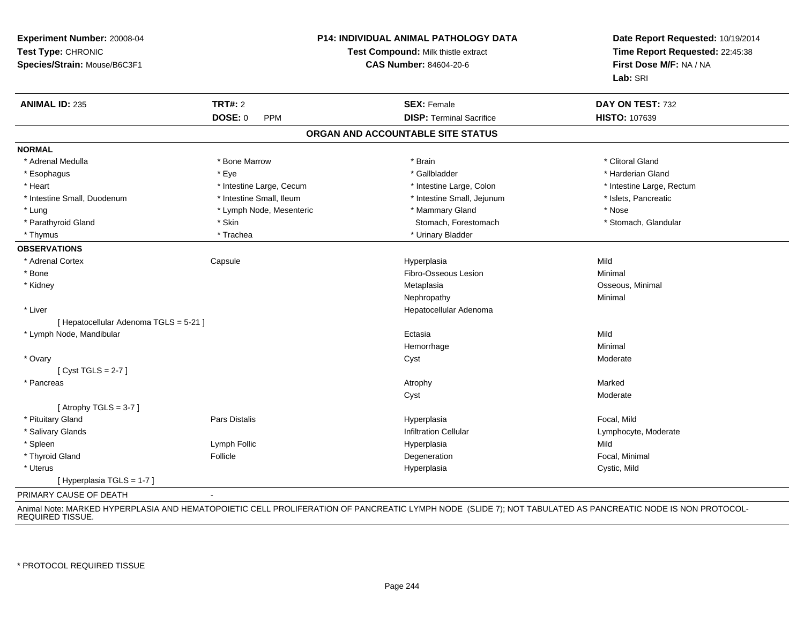| Experiment Number: 20008-04<br>Test Type: CHRONIC<br>Species/Strain: Mouse/B6C3F1 |                              | P14: INDIVIDUAL ANIMAL PATHOLOGY DATA<br>Test Compound: Milk thistle extract<br><b>CAS Number: 84604-20-6</b> | Date Report Requested: 10/19/2014<br>Time Report Requested: 22:45:38<br>First Dose M/F: NA / NA<br>Lab: SRI |
|-----------------------------------------------------------------------------------|------------------------------|---------------------------------------------------------------------------------------------------------------|-------------------------------------------------------------------------------------------------------------|
| <b>ANIMAL ID: 235</b>                                                             | <b>TRT#: 2</b>               | <b>SEX: Female</b>                                                                                            | DAY ON TEST: 732                                                                                            |
|                                                                                   | <b>DOSE: 0</b><br><b>PPM</b> | <b>DISP: Terminal Sacrifice</b>                                                                               | HISTO: 107639                                                                                               |
|                                                                                   |                              | ORGAN AND ACCOUNTABLE SITE STATUS                                                                             |                                                                                                             |
| <b>NORMAL</b>                                                                     |                              |                                                                                                               |                                                                                                             |
| * Adrenal Medulla                                                                 | * Bone Marrow                | * Brain                                                                                                       | * Clitoral Gland                                                                                            |
| * Esophagus                                                                       | * Eye                        | * Gallbladder                                                                                                 | * Harderian Gland                                                                                           |
| * Heart                                                                           | * Intestine Large, Cecum     | * Intestine Large, Colon                                                                                      | * Intestine Large, Rectum                                                                                   |
| * Intestine Small, Duodenum                                                       | * Intestine Small, Ileum     | * Intestine Small, Jejunum                                                                                    | * Islets, Pancreatic                                                                                        |
| * Lung                                                                            | * Lymph Node, Mesenteric     | * Mammary Gland                                                                                               | * Nose                                                                                                      |
| * Parathyroid Gland                                                               | * Skin                       | Stomach, Forestomach                                                                                          | * Stomach, Glandular                                                                                        |
| * Thymus                                                                          | * Trachea                    | * Urinary Bladder                                                                                             |                                                                                                             |
| <b>OBSERVATIONS</b>                                                               |                              |                                                                                                               |                                                                                                             |
| * Adrenal Cortex                                                                  | Capsule                      | Hyperplasia                                                                                                   | Mild                                                                                                        |
| $*$ Bone                                                                          |                              | Fibro-Osseous Lesion                                                                                          | Minimal                                                                                                     |
| * Kidney                                                                          |                              | Metaplasia                                                                                                    | Osseous, Minimal                                                                                            |
|                                                                                   |                              | Nephropathy                                                                                                   | Minimal                                                                                                     |
| * Liver                                                                           |                              | Hepatocellular Adenoma                                                                                        |                                                                                                             |
| [ Hepatocellular Adenoma TGLS = 5-21 ]                                            |                              |                                                                                                               |                                                                                                             |
| * Lymph Node, Mandibular                                                          |                              | Ectasia                                                                                                       | Mild                                                                                                        |
|                                                                                   |                              | Hemorrhage                                                                                                    | Minimal                                                                                                     |
| * Ovary                                                                           |                              | Cyst                                                                                                          | Moderate                                                                                                    |
| [Cyst TGLS = $2-7$ ]                                                              |                              |                                                                                                               |                                                                                                             |
| * Pancreas                                                                        |                              | Atrophy                                                                                                       | Marked                                                                                                      |
|                                                                                   |                              | Cyst                                                                                                          | Moderate                                                                                                    |
| [Atrophy TGLS = $3-7$ ]                                                           |                              |                                                                                                               |                                                                                                             |
| * Pituitary Gland                                                                 | Pars Distalis                | Hyperplasia                                                                                                   | Focal, Mild                                                                                                 |
| * Salivary Glands                                                                 |                              | <b>Infiltration Cellular</b>                                                                                  | Lymphocyte, Moderate                                                                                        |
| * Spleen                                                                          | Lymph Follic                 | Hyperplasia                                                                                                   | Mild                                                                                                        |
| * Thyroid Gland                                                                   | Follicle                     | Degeneration                                                                                                  | Focal, Minimal                                                                                              |
| * Uterus                                                                          |                              | Hyperplasia                                                                                                   | Cystic, Mild                                                                                                |
| [Hyperplasia TGLS = $1-7$ ]                                                       |                              |                                                                                                               |                                                                                                             |
| PRIMARY CAUSE OF DEATH                                                            | $\blacksquare$               |                                                                                                               |                                                                                                             |

Animal Note: MARKED HYPERPLASIA AND HEMATOPOIETIC CELL PROLIFERATION OF PANCREATIC LYMPH NODE (SLIDE 7); NOT TABULATED AS PANCREATIC NODE IS NON PROTOCOL-<br>REQUIRED TISSUE.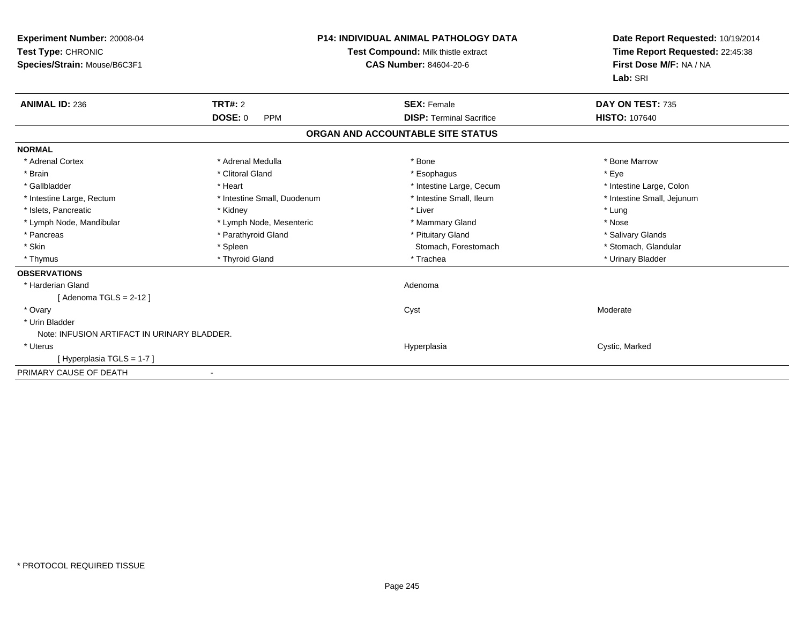| Experiment Number: 20008-04<br>Test Type: CHRONIC<br>Species/Strain: Mouse/B6C3F1 |                              | <b>P14: INDIVIDUAL ANIMAL PATHOLOGY DATA</b><br>Date Report Requested: 10/19/2014<br>Time Report Requested: 22:45:38<br><b>Test Compound: Milk thistle extract</b><br>First Dose M/F: NA / NA<br><b>CAS Number: 84604-20-6</b><br>Lab: SRI |                            |
|-----------------------------------------------------------------------------------|------------------------------|--------------------------------------------------------------------------------------------------------------------------------------------------------------------------------------------------------------------------------------------|----------------------------|
| <b>ANIMAL ID: 236</b>                                                             | <b>TRT#: 2</b>               | <b>SEX: Female</b>                                                                                                                                                                                                                         | DAY ON TEST: 735           |
|                                                                                   | <b>DOSE: 0</b><br><b>PPM</b> | <b>DISP: Terminal Sacrifice</b>                                                                                                                                                                                                            | <b>HISTO: 107640</b>       |
|                                                                                   |                              | ORGAN AND ACCOUNTABLE SITE STATUS                                                                                                                                                                                                          |                            |
| <b>NORMAL</b>                                                                     |                              |                                                                                                                                                                                                                                            |                            |
| * Adrenal Cortex                                                                  | * Adrenal Medulla            | * Bone                                                                                                                                                                                                                                     | * Bone Marrow              |
| * Brain                                                                           | * Clitoral Gland             | * Esophagus                                                                                                                                                                                                                                | * Eye                      |
| * Gallbladder                                                                     | * Heart                      | * Intestine Large, Cecum                                                                                                                                                                                                                   | * Intestine Large, Colon   |
| * Intestine Large, Rectum                                                         | * Intestine Small, Duodenum  | * Intestine Small, Ileum                                                                                                                                                                                                                   | * Intestine Small, Jejunum |
| * Islets, Pancreatic                                                              | * Kidney                     | * Liver                                                                                                                                                                                                                                    | * Lung                     |
| * Lymph Node, Mandibular                                                          | * Lymph Node, Mesenteric     | * Mammary Gland                                                                                                                                                                                                                            | * Nose                     |
| * Pancreas                                                                        | * Parathyroid Gland          | * Pituitary Gland                                                                                                                                                                                                                          | * Salivary Glands          |
| * Skin                                                                            | * Spleen                     | Stomach, Forestomach                                                                                                                                                                                                                       | * Stomach, Glandular       |
| * Thymus                                                                          | * Thyroid Gland              | * Trachea                                                                                                                                                                                                                                  | * Urinary Bladder          |
| <b>OBSERVATIONS</b>                                                               |                              |                                                                                                                                                                                                                                            |                            |
| * Harderian Gland                                                                 |                              | Adenoma                                                                                                                                                                                                                                    |                            |
| [Adenoma TGLS = $2-12$ ]                                                          |                              |                                                                                                                                                                                                                                            |                            |
| * Ovary                                                                           |                              | Cyst                                                                                                                                                                                                                                       | Moderate                   |
| * Urin Bladder                                                                    |                              |                                                                                                                                                                                                                                            |                            |
| Note: INFUSION ARTIFACT IN URINARY BLADDER.                                       |                              |                                                                                                                                                                                                                                            |                            |
| * Uterus                                                                          |                              | Hyperplasia                                                                                                                                                                                                                                | Cystic, Marked             |
| [Hyperplasia TGLS = $1-7$ ]                                                       |                              |                                                                                                                                                                                                                                            |                            |
| PRIMARY CAUSE OF DEATH                                                            |                              |                                                                                                                                                                                                                                            |                            |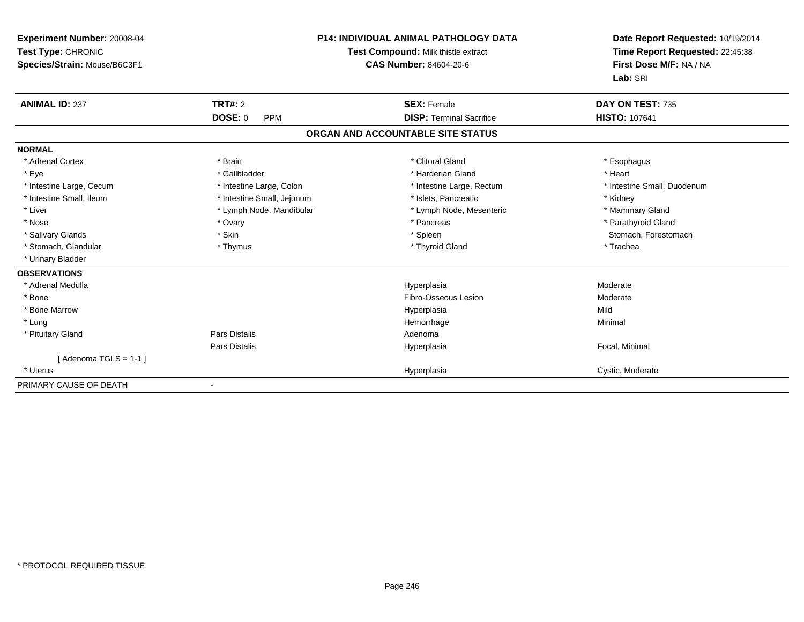| Experiment Number: 20008-04<br>Test Type: CHRONIC<br>Species/Strain: Mouse/B6C3F1 | <b>P14: INDIVIDUAL ANIMAL PATHOLOGY DATA</b><br>Test Compound: Milk thistle extract<br><b>CAS Number: 84604-20-6</b> |                                   | Date Report Requested: 10/19/2014<br>Time Report Requested: 22:45:38<br>First Dose M/F: NA / NA<br>Lab: SRI |
|-----------------------------------------------------------------------------------|----------------------------------------------------------------------------------------------------------------------|-----------------------------------|-------------------------------------------------------------------------------------------------------------|
| <b>ANIMAL ID: 237</b>                                                             | TRT#: 2                                                                                                              | <b>SEX: Female</b>                | DAY ON TEST: 735                                                                                            |
|                                                                                   | DOSE: 0<br><b>PPM</b>                                                                                                | <b>DISP: Terminal Sacrifice</b>   | <b>HISTO: 107641</b>                                                                                        |
|                                                                                   |                                                                                                                      | ORGAN AND ACCOUNTABLE SITE STATUS |                                                                                                             |
| <b>NORMAL</b>                                                                     |                                                                                                                      |                                   |                                                                                                             |
| * Adrenal Cortex                                                                  | * Brain                                                                                                              | * Clitoral Gland                  | * Esophagus                                                                                                 |
| * Eye                                                                             | * Gallbladder                                                                                                        | * Harderian Gland                 | * Heart                                                                                                     |
| * Intestine Large, Cecum                                                          | * Intestine Large, Colon                                                                                             | * Intestine Large, Rectum         | * Intestine Small, Duodenum                                                                                 |
| * Intestine Small, Ileum                                                          | * Intestine Small, Jejunum                                                                                           | * Islets, Pancreatic              | * Kidney                                                                                                    |
| * Liver                                                                           | * Lymph Node, Mandibular                                                                                             | * Lymph Node, Mesenteric          | * Mammary Gland                                                                                             |
| * Nose                                                                            | * Ovary                                                                                                              | * Pancreas                        | * Parathyroid Gland                                                                                         |
| * Salivary Glands                                                                 | * Skin                                                                                                               | * Spleen                          | Stomach, Forestomach                                                                                        |
| * Stomach, Glandular                                                              | * Thymus                                                                                                             | * Thyroid Gland                   | * Trachea                                                                                                   |
| * Urinary Bladder                                                                 |                                                                                                                      |                                   |                                                                                                             |
| <b>OBSERVATIONS</b>                                                               |                                                                                                                      |                                   |                                                                                                             |
| * Adrenal Medulla                                                                 |                                                                                                                      | Hyperplasia                       | Moderate                                                                                                    |
| * Bone                                                                            |                                                                                                                      | Fibro-Osseous Lesion              | Moderate                                                                                                    |
| * Bone Marrow                                                                     |                                                                                                                      | Hyperplasia                       | Mild                                                                                                        |
| * Lung                                                                            |                                                                                                                      | Hemorrhage                        | Minimal                                                                                                     |
| * Pituitary Gland                                                                 | <b>Pars Distalis</b>                                                                                                 | Adenoma                           |                                                                                                             |
|                                                                                   | Pars Distalis                                                                                                        | Hyperplasia                       | Focal, Minimal                                                                                              |
| [Adenoma TGLS = 1-1]                                                              |                                                                                                                      |                                   |                                                                                                             |
| * Uterus                                                                          |                                                                                                                      | Hyperplasia                       | Cystic, Moderate                                                                                            |
| PRIMARY CAUSE OF DEATH                                                            |                                                                                                                      |                                   |                                                                                                             |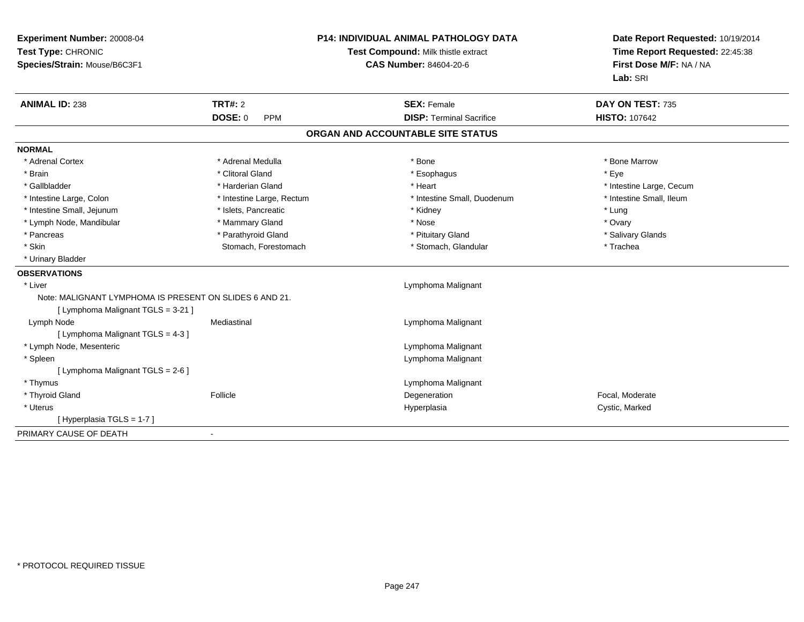| Experiment Number: 20008-04<br>Test Type: CHRONIC<br>Species/Strain: Mouse/B6C3F1             |                           | P14: INDIVIDUAL ANIMAL PATHOLOGY DATA<br>Test Compound: Milk thistle extract<br><b>CAS Number: 84604-20-6</b> | Date Report Requested: 10/19/2014<br>Time Report Requested: 22:45:38<br>First Dose M/F: NA / NA<br>Lab: SRI |
|-----------------------------------------------------------------------------------------------|---------------------------|---------------------------------------------------------------------------------------------------------------|-------------------------------------------------------------------------------------------------------------|
| <b>ANIMAL ID: 238</b>                                                                         | <b>TRT#: 2</b>            | <b>SEX: Female</b>                                                                                            | DAY ON TEST: 735                                                                                            |
|                                                                                               | <b>DOSE: 0</b><br>PPM     | <b>DISP: Terminal Sacrifice</b>                                                                               | <b>HISTO: 107642</b>                                                                                        |
|                                                                                               |                           | ORGAN AND ACCOUNTABLE SITE STATUS                                                                             |                                                                                                             |
| <b>NORMAL</b>                                                                                 |                           |                                                                                                               |                                                                                                             |
| * Adrenal Cortex                                                                              | * Adrenal Medulla         | * Bone                                                                                                        | * Bone Marrow                                                                                               |
| * Brain                                                                                       | * Clitoral Gland          | * Esophagus                                                                                                   | * Eye                                                                                                       |
| * Gallbladder                                                                                 | * Harderian Gland         | * Heart                                                                                                       | * Intestine Large, Cecum                                                                                    |
| * Intestine Large, Colon                                                                      | * Intestine Large, Rectum | * Intestine Small, Duodenum                                                                                   | * Intestine Small, Ileum                                                                                    |
| * Intestine Small, Jejunum                                                                    | * Islets, Pancreatic      | * Kidney                                                                                                      | * Lung                                                                                                      |
| * Lymph Node, Mandibular                                                                      | * Mammary Gland           | * Nose                                                                                                        | * Ovary                                                                                                     |
| * Pancreas                                                                                    | * Parathyroid Gland       | * Pituitary Gland                                                                                             | * Salivary Glands                                                                                           |
| * Skin                                                                                        | Stomach, Forestomach      | * Stomach, Glandular                                                                                          | * Trachea                                                                                                   |
| * Urinary Bladder                                                                             |                           |                                                                                                               |                                                                                                             |
| <b>OBSERVATIONS</b>                                                                           |                           |                                                                                                               |                                                                                                             |
| * Liver                                                                                       |                           | Lymphoma Malignant                                                                                            |                                                                                                             |
| Note: MALIGNANT LYMPHOMA IS PRESENT ON SLIDES 6 AND 21.<br>[ Lymphoma Malignant TGLS = 3-21 ] |                           |                                                                                                               |                                                                                                             |
| Lymph Node                                                                                    | Mediastinal               | Lymphoma Malignant                                                                                            |                                                                                                             |
| [ Lymphoma Malignant TGLS = 4-3 ]                                                             |                           |                                                                                                               |                                                                                                             |
| * Lymph Node, Mesenteric                                                                      |                           | Lymphoma Malignant                                                                                            |                                                                                                             |
| * Spleen                                                                                      |                           | Lymphoma Malignant                                                                                            |                                                                                                             |
| [ Lymphoma Malignant TGLS = 2-6 ]                                                             |                           |                                                                                                               |                                                                                                             |
| * Thymus                                                                                      |                           | Lymphoma Malignant                                                                                            |                                                                                                             |
| * Thyroid Gland                                                                               | Follicle                  | Degeneration                                                                                                  | Focal, Moderate                                                                                             |
| * Uterus                                                                                      |                           | Hyperplasia                                                                                                   | Cystic, Marked                                                                                              |
| [ Hyperplasia TGLS = 1-7 ]                                                                    |                           |                                                                                                               |                                                                                                             |
| PRIMARY CAUSE OF DEATH                                                                        | $\blacksquare$            |                                                                                                               |                                                                                                             |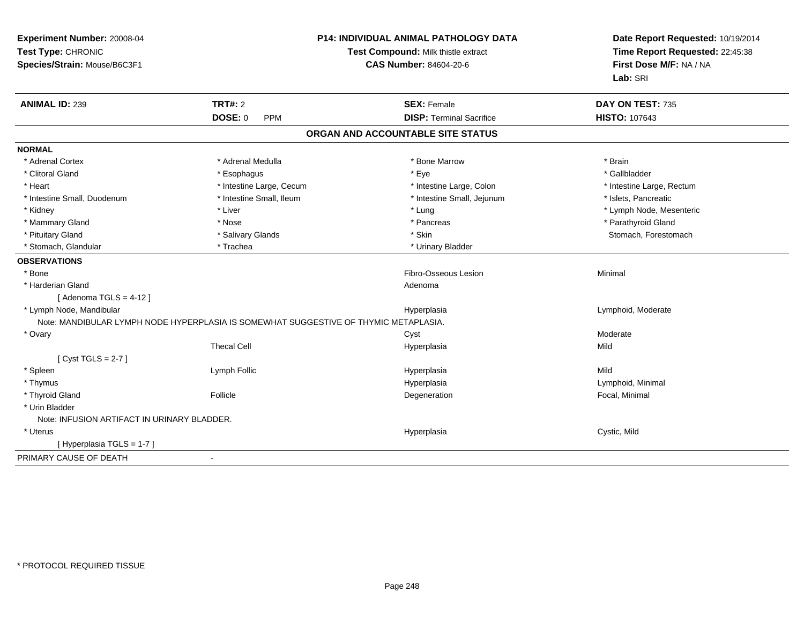| Experiment Number: 20008-04<br>Test Type: CHRONIC<br>Species/Strain: Mouse/B6C3F1    |                              | <b>P14: INDIVIDUAL ANIMAL PATHOLOGY DATA</b><br>Test Compound: Milk thistle extract<br><b>CAS Number: 84604-20-6</b> | Date Report Requested: 10/19/2014<br>Time Report Requested: 22:45:38<br>First Dose M/F: NA / NA<br>Lab: SRI |  |
|--------------------------------------------------------------------------------------|------------------------------|----------------------------------------------------------------------------------------------------------------------|-------------------------------------------------------------------------------------------------------------|--|
| <b>ANIMAL ID: 239</b>                                                                | <b>TRT#: 2</b>               | <b>SEX: Female</b>                                                                                                   | DAY ON TEST: 735                                                                                            |  |
|                                                                                      | <b>DOSE: 0</b><br><b>PPM</b> | <b>DISP: Terminal Sacrifice</b>                                                                                      | <b>HISTO: 107643</b>                                                                                        |  |
|                                                                                      |                              | ORGAN AND ACCOUNTABLE SITE STATUS                                                                                    |                                                                                                             |  |
| <b>NORMAL</b>                                                                        |                              |                                                                                                                      |                                                                                                             |  |
| * Adrenal Cortex                                                                     | * Adrenal Medulla            | * Bone Marrow                                                                                                        | * Brain                                                                                                     |  |
| * Clitoral Gland                                                                     | * Esophagus                  | * Eye                                                                                                                | * Gallbladder                                                                                               |  |
| * Heart                                                                              | * Intestine Large, Cecum     | * Intestine Large, Colon                                                                                             | * Intestine Large, Rectum                                                                                   |  |
| * Intestine Small, Duodenum                                                          | * Intestine Small, Ileum     | * Intestine Small, Jejunum                                                                                           | * Islets, Pancreatic                                                                                        |  |
| * Kidney                                                                             | * Liver                      | * Lung                                                                                                               | * Lymph Node, Mesenteric                                                                                    |  |
| * Mammary Gland                                                                      | * Nose                       | * Pancreas                                                                                                           | * Parathyroid Gland                                                                                         |  |
| * Pituitary Gland                                                                    | * Salivary Glands            | * Skin                                                                                                               | Stomach, Forestomach                                                                                        |  |
| * Stomach, Glandular                                                                 | * Trachea                    | * Urinary Bladder                                                                                                    |                                                                                                             |  |
| <b>OBSERVATIONS</b>                                                                  |                              |                                                                                                                      |                                                                                                             |  |
| * Bone                                                                               |                              | Fibro-Osseous Lesion                                                                                                 | Minimal                                                                                                     |  |
| * Harderian Gland                                                                    |                              | Adenoma                                                                                                              |                                                                                                             |  |
| [Adenoma TGLS = $4-12$ ]                                                             |                              |                                                                                                                      |                                                                                                             |  |
| * Lymph Node, Mandibular                                                             |                              | Hyperplasia                                                                                                          | Lymphoid, Moderate                                                                                          |  |
| Note: MANDIBULAR LYMPH NODE HYPERPLASIA IS SOMEWHAT SUGGESTIVE OF THYMIC METAPLASIA. |                              |                                                                                                                      |                                                                                                             |  |
| * Ovary                                                                              |                              | Cyst                                                                                                                 | Moderate                                                                                                    |  |
|                                                                                      | <b>Thecal Cell</b>           | Hyperplasia                                                                                                          | Mild                                                                                                        |  |
| [Cyst TGLS = $2-7$ ]                                                                 |                              |                                                                                                                      |                                                                                                             |  |
| * Spleen                                                                             | Lymph Follic                 | Hyperplasia                                                                                                          | Mild                                                                                                        |  |
| * Thymus                                                                             |                              | Hyperplasia                                                                                                          | Lymphoid, Minimal                                                                                           |  |
| * Thyroid Gland                                                                      | Follicle                     | Degeneration                                                                                                         | Focal, Minimal                                                                                              |  |
| * Urin Bladder                                                                       |                              |                                                                                                                      |                                                                                                             |  |
| Note: INFUSION ARTIFACT IN URINARY BLADDER.                                          |                              |                                                                                                                      |                                                                                                             |  |
| * Uterus                                                                             |                              | Hyperplasia                                                                                                          | Cystic, Mild                                                                                                |  |
| [Hyperplasia TGLS = 1-7]                                                             |                              |                                                                                                                      |                                                                                                             |  |
| PRIMARY CAUSE OF DEATH                                                               | $\blacksquare$               |                                                                                                                      |                                                                                                             |  |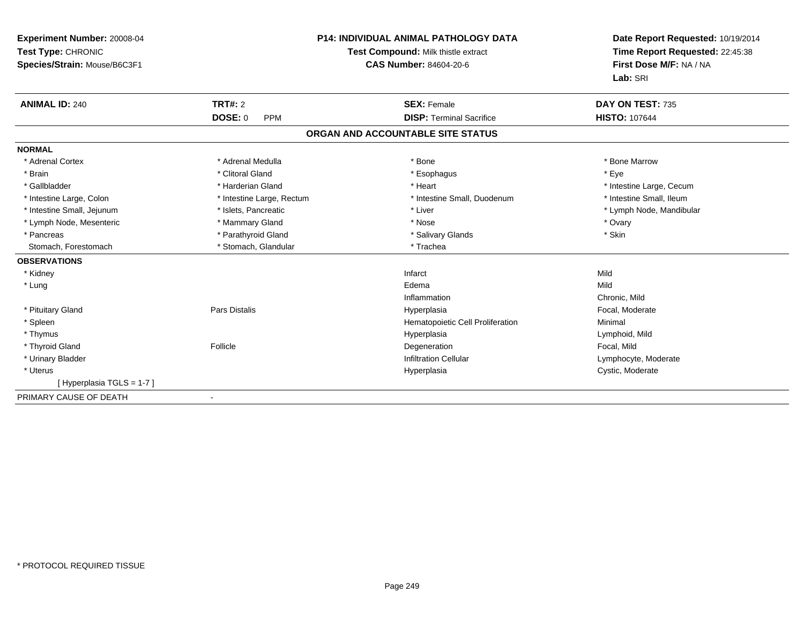| Experiment Number: 20008-04<br>Test Type: CHRONIC<br>Species/Strain: Mouse/B6C3F1 |                              | <b>P14: INDIVIDUAL ANIMAL PATHOLOGY DATA</b><br><b>Test Compound: Milk thistle extract</b><br><b>CAS Number: 84604-20-6</b> |             | Date Report Requested: 10/19/2014<br>Time Report Requested: 22:45:38<br>First Dose M/F: NA / NA<br>Lab: SRI |
|-----------------------------------------------------------------------------------|------------------------------|-----------------------------------------------------------------------------------------------------------------------------|-------------|-------------------------------------------------------------------------------------------------------------|
| <b>ANIMAL ID: 240</b>                                                             | <b>TRT#: 2</b>               | <b>SEX: Female</b>                                                                                                          |             | DAY ON TEST: 735                                                                                            |
|                                                                                   | <b>DOSE: 0</b><br><b>PPM</b> | <b>DISP: Terminal Sacrifice</b>                                                                                             |             | <b>HISTO: 107644</b>                                                                                        |
|                                                                                   |                              | ORGAN AND ACCOUNTABLE SITE STATUS                                                                                           |             |                                                                                                             |
| <b>NORMAL</b>                                                                     |                              |                                                                                                                             |             |                                                                                                             |
| * Adrenal Cortex                                                                  | * Adrenal Medulla            | * Bone                                                                                                                      |             | * Bone Marrow                                                                                               |
| * Brain                                                                           | * Clitoral Gland             | * Esophagus                                                                                                                 | * Eve       |                                                                                                             |
| * Gallbladder                                                                     | * Harderian Gland            | * Heart                                                                                                                     |             | * Intestine Large, Cecum                                                                                    |
| * Intestine Large, Colon                                                          | * Intestine Large, Rectum    | * Intestine Small, Duodenum                                                                                                 |             | * Intestine Small, Ileum                                                                                    |
| * Intestine Small, Jejunum                                                        | * Islets, Pancreatic         | * Liver                                                                                                                     |             | * Lymph Node, Mandibular                                                                                    |
| * Lymph Node, Mesenteric                                                          | * Mammary Gland              | * Nose                                                                                                                      | * Ovary     |                                                                                                             |
| * Pancreas                                                                        | * Parathyroid Gland          | * Salivary Glands                                                                                                           | * Skin      |                                                                                                             |
| Stomach, Forestomach                                                              | * Stomach, Glandular         | * Trachea                                                                                                                   |             |                                                                                                             |
| <b>OBSERVATIONS</b>                                                               |                              |                                                                                                                             |             |                                                                                                             |
| * Kidney                                                                          |                              | Infarct                                                                                                                     | Mild        |                                                                                                             |
| * Lung                                                                            |                              | Edema                                                                                                                       | Mild        |                                                                                                             |
|                                                                                   |                              | Inflammation                                                                                                                |             | Chronic, Mild                                                                                               |
| * Pituitary Gland                                                                 | <b>Pars Distalis</b>         | Hyperplasia                                                                                                                 |             | Focal, Moderate                                                                                             |
| * Spleen                                                                          |                              | Hematopoietic Cell Proliferation                                                                                            | Minimal     |                                                                                                             |
| * Thymus                                                                          |                              | Hyperplasia                                                                                                                 |             | Lymphoid, Mild                                                                                              |
| * Thyroid Gland                                                                   | Follicle                     | Degeneration                                                                                                                | Focal, Mild |                                                                                                             |
| * Urinary Bladder                                                                 |                              | <b>Infiltration Cellular</b>                                                                                                |             | Lymphocyte, Moderate                                                                                        |
| * Uterus                                                                          |                              | Hyperplasia                                                                                                                 |             | Cystic, Moderate                                                                                            |
| [Hyperplasia TGLS = 1-7]                                                          |                              |                                                                                                                             |             |                                                                                                             |
| PRIMARY CAUSE OF DEATH                                                            |                              |                                                                                                                             |             |                                                                                                             |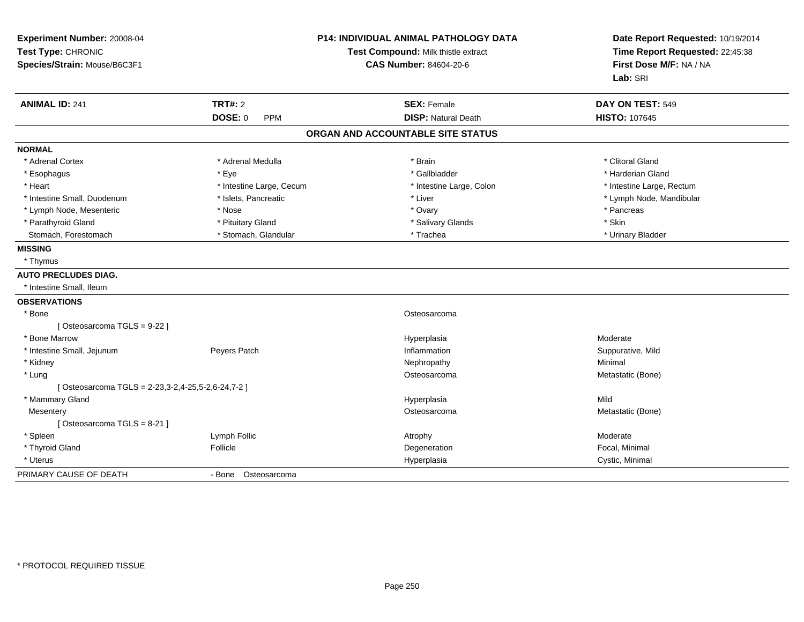| Experiment Number: 20008-04<br>Test Type: CHRONIC<br>Species/Strain: Mouse/B6C3F1 |                              | P14: INDIVIDUAL ANIMAL PATHOLOGY DATA<br>Test Compound: Milk thistle extract<br><b>CAS Number: 84604-20-6</b> | Date Report Requested: 10/19/2014<br>Time Report Requested: 22:45:38<br>First Dose M/F: NA / NA<br>Lab: SRI |
|-----------------------------------------------------------------------------------|------------------------------|---------------------------------------------------------------------------------------------------------------|-------------------------------------------------------------------------------------------------------------|
| <b>ANIMAL ID: 241</b>                                                             | <b>TRT#: 2</b>               | <b>SEX: Female</b>                                                                                            | DAY ON TEST: 549                                                                                            |
|                                                                                   | <b>DOSE: 0</b><br><b>PPM</b> | <b>DISP: Natural Death</b>                                                                                    | <b>HISTO: 107645</b>                                                                                        |
|                                                                                   |                              | ORGAN AND ACCOUNTABLE SITE STATUS                                                                             |                                                                                                             |
| <b>NORMAL</b>                                                                     |                              |                                                                                                               |                                                                                                             |
| * Adrenal Cortex                                                                  | * Adrenal Medulla            | * Brain                                                                                                       | * Clitoral Gland                                                                                            |
| * Esophagus                                                                       | * Eye                        | * Gallbladder                                                                                                 | * Harderian Gland                                                                                           |
| * Heart                                                                           | * Intestine Large, Cecum     | * Intestine Large, Colon                                                                                      | * Intestine Large, Rectum                                                                                   |
| * Intestine Small, Duodenum                                                       | * Islets, Pancreatic         | * Liver                                                                                                       | * Lymph Node, Mandibular                                                                                    |
| * Lymph Node, Mesenteric                                                          | * Nose                       | * Ovary                                                                                                       | * Pancreas                                                                                                  |
| * Parathyroid Gland                                                               | * Pituitary Gland            | * Salivary Glands                                                                                             | * Skin                                                                                                      |
| Stomach, Forestomach                                                              | * Stomach, Glandular         | * Trachea                                                                                                     | * Urinary Bladder                                                                                           |
| <b>MISSING</b>                                                                    |                              |                                                                                                               |                                                                                                             |
| * Thymus                                                                          |                              |                                                                                                               |                                                                                                             |
| <b>AUTO PRECLUDES DIAG.</b>                                                       |                              |                                                                                                               |                                                                                                             |
| * Intestine Small, Ileum                                                          |                              |                                                                                                               |                                                                                                             |
| <b>OBSERVATIONS</b>                                                               |                              |                                                                                                               |                                                                                                             |
| * Bone                                                                            |                              | Osteosarcoma                                                                                                  |                                                                                                             |
| [Osteosarcoma TGLS = 9-22]                                                        |                              |                                                                                                               |                                                                                                             |
| * Bone Marrow                                                                     |                              | Hyperplasia                                                                                                   | Moderate                                                                                                    |
| * Intestine Small, Jejunum                                                        | Peyers Patch                 | Inflammation                                                                                                  | Suppurative, Mild                                                                                           |
| * Kidney                                                                          |                              | Nephropathy                                                                                                   | Minimal                                                                                                     |
| * Lung                                                                            |                              | Osteosarcoma                                                                                                  | Metastatic (Bone)                                                                                           |
| [Osteosarcoma TGLS = 2-23,3-2,4-25,5-2,6-24,7-2 ]                                 |                              |                                                                                                               |                                                                                                             |
| * Mammary Gland                                                                   |                              | Hyperplasia                                                                                                   | Mild                                                                                                        |
| Mesentery                                                                         |                              | Osteosarcoma                                                                                                  | Metastatic (Bone)                                                                                           |
| [Osteosarcoma TGLS = 8-21]                                                        |                              |                                                                                                               |                                                                                                             |
| * Spleen                                                                          | Lymph Follic                 | Atrophy                                                                                                       | Moderate                                                                                                    |
| * Thyroid Gland                                                                   | Follicle                     | Degeneration                                                                                                  | Focal, Minimal                                                                                              |
| * Uterus                                                                          |                              | Hyperplasia                                                                                                   | Cystic, Minimal                                                                                             |
| PRIMARY CAUSE OF DEATH                                                            | - Bone Osteosarcoma          |                                                                                                               |                                                                                                             |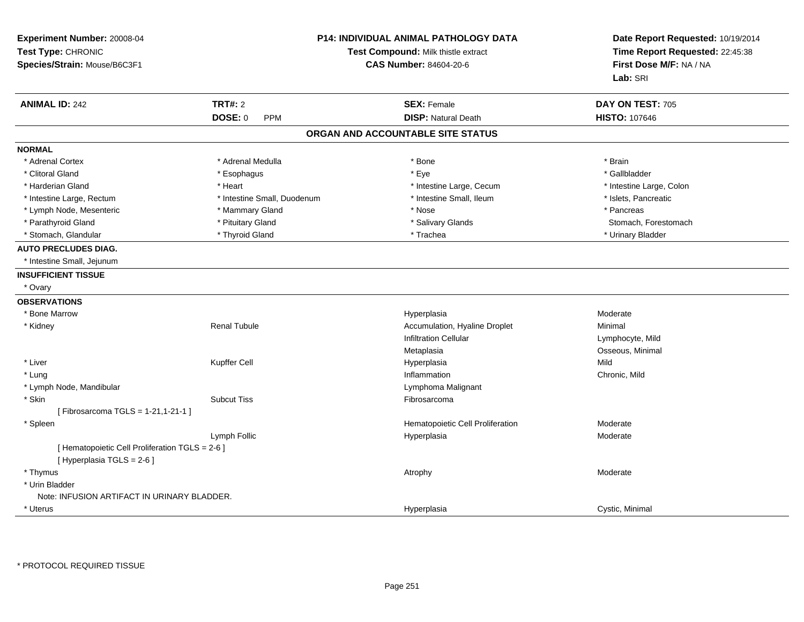| Experiment Number: 20008-04<br>Test Type: CHRONIC<br>Species/Strain: Mouse/B6C3F1 |                              | P14: INDIVIDUAL ANIMAL PATHOLOGY DATA<br>Date Report Requested: 10/19/2014<br>Test Compound: Milk thistle extract<br>Time Report Requested: 22:45:38<br>First Dose M/F: NA / NA<br><b>CAS Number: 84604-20-6</b><br>Lab: SRI |                          |
|-----------------------------------------------------------------------------------|------------------------------|------------------------------------------------------------------------------------------------------------------------------------------------------------------------------------------------------------------------------|--------------------------|
| <b>ANIMAL ID: 242</b>                                                             | <b>TRT#: 2</b>               | <b>SEX: Female</b>                                                                                                                                                                                                           | DAY ON TEST: 705         |
|                                                                                   | <b>DOSE: 0</b><br><b>PPM</b> | <b>DISP: Natural Death</b>                                                                                                                                                                                                   | <b>HISTO: 107646</b>     |
|                                                                                   |                              | ORGAN AND ACCOUNTABLE SITE STATUS                                                                                                                                                                                            |                          |
| <b>NORMAL</b>                                                                     |                              |                                                                                                                                                                                                                              |                          |
| * Adrenal Cortex                                                                  | * Adrenal Medulla            | * Bone                                                                                                                                                                                                                       | * Brain                  |
| * Clitoral Gland                                                                  | * Esophagus                  | * Eye                                                                                                                                                                                                                        | * Gallbladder            |
| * Harderian Gland                                                                 | * Heart                      | * Intestine Large, Cecum                                                                                                                                                                                                     | * Intestine Large, Colon |
| * Intestine Large, Rectum                                                         | * Intestine Small, Duodenum  | * Intestine Small, Ileum                                                                                                                                                                                                     | * Islets, Pancreatic     |
| * Lymph Node, Mesenteric                                                          | * Mammary Gland              | * Nose                                                                                                                                                                                                                       | * Pancreas               |
| * Parathyroid Gland                                                               | * Pituitary Gland            | * Salivary Glands                                                                                                                                                                                                            | Stomach, Forestomach     |
| * Stomach, Glandular                                                              | * Thyroid Gland              | * Trachea                                                                                                                                                                                                                    | * Urinary Bladder        |
| <b>AUTO PRECLUDES DIAG.</b>                                                       |                              |                                                                                                                                                                                                                              |                          |
| * Intestine Small, Jejunum                                                        |                              |                                                                                                                                                                                                                              |                          |
| <b>INSUFFICIENT TISSUE</b>                                                        |                              |                                                                                                                                                                                                                              |                          |
| * Ovary                                                                           |                              |                                                                                                                                                                                                                              |                          |
| <b>OBSERVATIONS</b>                                                               |                              |                                                                                                                                                                                                                              |                          |
| * Bone Marrow                                                                     |                              | Hyperplasia                                                                                                                                                                                                                  | Moderate                 |
| * Kidney                                                                          | <b>Renal Tubule</b>          | Accumulation, Hyaline Droplet                                                                                                                                                                                                | Minimal                  |
|                                                                                   |                              | Infiltration Cellular                                                                                                                                                                                                        | Lymphocyte, Mild         |
|                                                                                   |                              | Metaplasia                                                                                                                                                                                                                   | Osseous, Minimal         |
| * Liver                                                                           | Kupffer Cell                 | Hyperplasia                                                                                                                                                                                                                  | Mild                     |
| * Lung                                                                            |                              | Inflammation                                                                                                                                                                                                                 | Chronic, Mild            |
| * Lymph Node, Mandibular                                                          |                              | Lymphoma Malignant                                                                                                                                                                                                           |                          |
| * Skin                                                                            | <b>Subcut Tiss</b>           | Fibrosarcoma                                                                                                                                                                                                                 |                          |
| [Fibrosarcoma TGLS = 1-21,1-21-1 ]                                                |                              |                                                                                                                                                                                                                              |                          |
| * Spleen                                                                          |                              | Hematopoietic Cell Proliferation                                                                                                                                                                                             | Moderate                 |
|                                                                                   | Lymph Follic                 | Hyperplasia                                                                                                                                                                                                                  | Moderate                 |
| [ Hematopoietic Cell Proliferation TGLS = 2-6 ]<br>[ Hyperplasia TGLS = 2-6 ]     |                              |                                                                                                                                                                                                                              |                          |
| * Thymus                                                                          |                              | Atrophy                                                                                                                                                                                                                      | Moderate                 |
| * Urin Bladder                                                                    |                              |                                                                                                                                                                                                                              |                          |
| Note: INFUSION ARTIFACT IN URINARY BLADDER.                                       |                              |                                                                                                                                                                                                                              |                          |
| * Uterus                                                                          |                              | Hyperplasia                                                                                                                                                                                                                  | Cystic, Minimal          |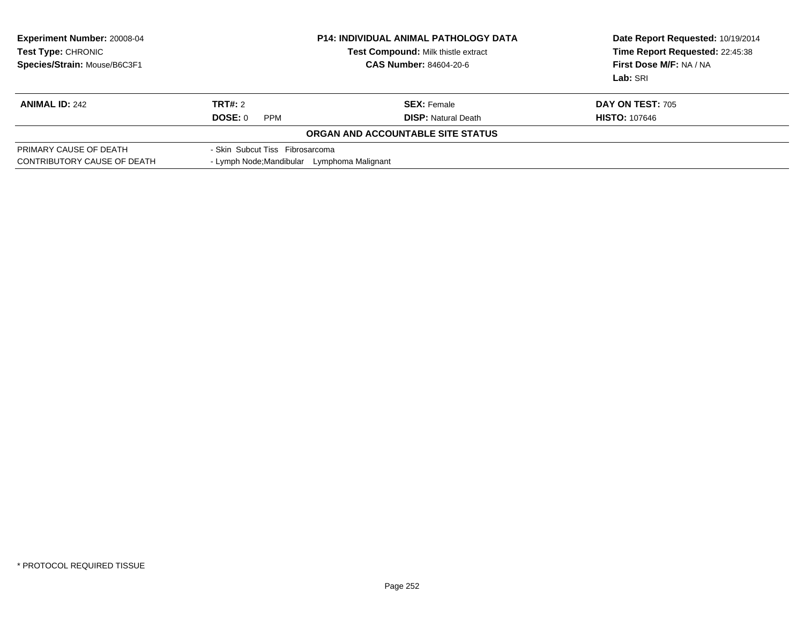| Experiment Number: 20008-04<br>Test Type: CHRONIC<br>Species/Strain: Mouse/B6C3F1 | <b>P14: INDIVIDUAL ANIMAL PATHOLOGY DATA</b><br>Test Compound: Milk thistle extract<br><b>CAS Number: 84604-20-6</b> |                                   | Date Report Requested: 10/19/2014<br>Time Report Requested: 22:45:38<br>First Dose M/F: NA / NA<br>Lab: SRI |  |
|-----------------------------------------------------------------------------------|----------------------------------------------------------------------------------------------------------------------|-----------------------------------|-------------------------------------------------------------------------------------------------------------|--|
| <b>ANIMAL ID: 242</b>                                                             | <b>TRT#: 2</b>                                                                                                       | <b>SEX:</b> Female                | DAY ON TEST: 705                                                                                            |  |
|                                                                                   | DOSE: 0<br><b>PPM</b>                                                                                                | <b>DISP: Natural Death</b>        | <b>HISTO: 107646</b>                                                                                        |  |
|                                                                                   |                                                                                                                      | ORGAN AND ACCOUNTABLE SITE STATUS |                                                                                                             |  |
| PRIMARY CAUSE OF DEATH<br>CONTRIBUTORY CAUSE OF DEATH                             | - Skin Subcut Tiss Fibrosarcoma<br>- Lymph Node: Mandibular Lymphoma Malignant                                       |                                   |                                                                                                             |  |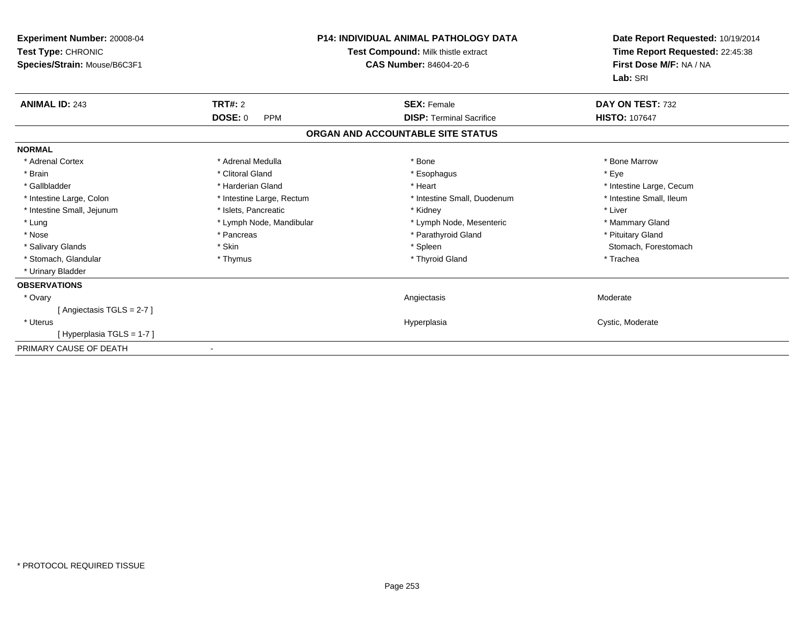| <b>Experiment Number: 20008-04</b><br>Test Type: CHRONIC<br>Species/Strain: Mouse/B6C3F1 |                              | <b>P14: INDIVIDUAL ANIMAL PATHOLOGY DATA</b><br>Test Compound: Milk thistle extract<br><b>CAS Number: 84604-20-6</b> | Date Report Requested: 10/19/2014<br>Time Report Requested: 22:45:38<br>First Dose M/F: NA / NA<br>Lab: SRI |
|------------------------------------------------------------------------------------------|------------------------------|----------------------------------------------------------------------------------------------------------------------|-------------------------------------------------------------------------------------------------------------|
| <b>ANIMAL ID: 243</b>                                                                    | TRT#: 2                      | <b>SEX: Female</b>                                                                                                   | DAY ON TEST: 732                                                                                            |
|                                                                                          | <b>DOSE: 0</b><br><b>PPM</b> | <b>DISP: Terminal Sacrifice</b>                                                                                      | <b>HISTO: 107647</b>                                                                                        |
|                                                                                          |                              | ORGAN AND ACCOUNTABLE SITE STATUS                                                                                    |                                                                                                             |
| <b>NORMAL</b>                                                                            |                              |                                                                                                                      |                                                                                                             |
| * Adrenal Cortex                                                                         | * Adrenal Medulla            | * Bone                                                                                                               | * Bone Marrow                                                                                               |
| * Brain                                                                                  | * Clitoral Gland             | * Esophagus                                                                                                          | * Eve                                                                                                       |
| * Gallbladder                                                                            | * Harderian Gland            | * Heart                                                                                                              | * Intestine Large, Cecum                                                                                    |
| * Intestine Large, Colon                                                                 | * Intestine Large, Rectum    | * Intestine Small, Duodenum                                                                                          | * Intestine Small, Ileum                                                                                    |
| * Intestine Small, Jejunum                                                               | * Islets, Pancreatic         | * Kidney                                                                                                             | * Liver                                                                                                     |
| * Lung                                                                                   | * Lymph Node, Mandibular     | * Lymph Node, Mesenteric                                                                                             | * Mammary Gland                                                                                             |
| * Nose                                                                                   | * Pancreas                   | * Parathyroid Gland                                                                                                  | * Pituitary Gland                                                                                           |
| * Salivary Glands                                                                        | * Skin                       | * Spleen                                                                                                             | Stomach, Forestomach                                                                                        |
| * Stomach, Glandular                                                                     | * Thymus                     | * Thyroid Gland                                                                                                      | * Trachea                                                                                                   |
| * Urinary Bladder                                                                        |                              |                                                                                                                      |                                                                                                             |
| <b>OBSERVATIONS</b>                                                                      |                              |                                                                                                                      |                                                                                                             |
| * Ovary                                                                                  |                              | Angiectasis                                                                                                          | Moderate                                                                                                    |
| [Angiectasis TGLS = 2-7]                                                                 |                              |                                                                                                                      |                                                                                                             |
| * Uterus                                                                                 |                              | Hyperplasia                                                                                                          | Cystic, Moderate                                                                                            |
| [Hyperplasia TGLS = 1-7]                                                                 |                              |                                                                                                                      |                                                                                                             |
| PRIMARY CAUSE OF DEATH                                                                   |                              |                                                                                                                      |                                                                                                             |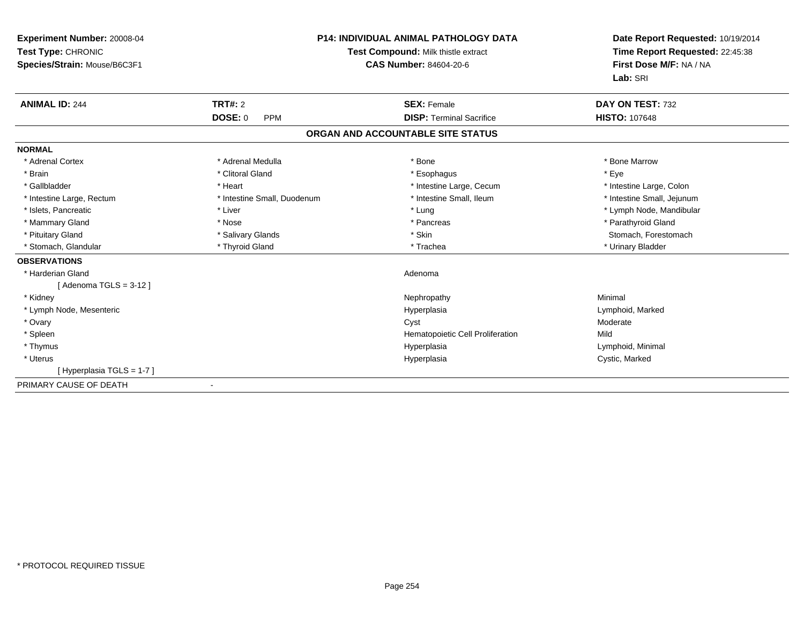| Experiment Number: 20008-04<br>Test Type: CHRONIC<br>Species/Strain: Mouse/B6C3F1 |                              | <b>P14: INDIVIDUAL ANIMAL PATHOLOGY DATA</b><br>Test Compound: Milk thistle extract<br><b>CAS Number: 84604-20-6</b> | Date Report Requested: 10/19/2014<br>Time Report Requested: 22:45:38<br>First Dose M/F: NA / NA<br>Lab: SRI |
|-----------------------------------------------------------------------------------|------------------------------|----------------------------------------------------------------------------------------------------------------------|-------------------------------------------------------------------------------------------------------------|
| <b>ANIMAL ID: 244</b>                                                             | <b>TRT#: 2</b>               | <b>SEX: Female</b>                                                                                                   | DAY ON TEST: 732                                                                                            |
|                                                                                   | <b>DOSE: 0</b><br><b>PPM</b> | <b>DISP: Terminal Sacrifice</b>                                                                                      | <b>HISTO: 107648</b>                                                                                        |
|                                                                                   |                              | ORGAN AND ACCOUNTABLE SITE STATUS                                                                                    |                                                                                                             |
| <b>NORMAL</b>                                                                     |                              |                                                                                                                      |                                                                                                             |
| * Adrenal Cortex                                                                  | * Adrenal Medulla            | * Bone                                                                                                               | * Bone Marrow                                                                                               |
| * Brain                                                                           | * Clitoral Gland             | * Esophagus                                                                                                          | * Eye                                                                                                       |
| * Gallbladder                                                                     | * Heart                      | * Intestine Large, Cecum                                                                                             | * Intestine Large, Colon                                                                                    |
| * Intestine Large, Rectum                                                         | * Intestine Small, Duodenum  | * Intestine Small, Ileum                                                                                             | * Intestine Small, Jejunum                                                                                  |
| * Islets, Pancreatic                                                              | * Liver                      | * Lung                                                                                                               | * Lymph Node, Mandibular                                                                                    |
| * Mammary Gland                                                                   | * Nose                       | * Pancreas                                                                                                           | * Parathyroid Gland                                                                                         |
| * Pituitary Gland                                                                 | * Salivary Glands            | * Skin                                                                                                               | Stomach, Forestomach                                                                                        |
| * Stomach, Glandular                                                              | * Thyroid Gland              | * Trachea                                                                                                            | * Urinary Bladder                                                                                           |
| <b>OBSERVATIONS</b>                                                               |                              |                                                                                                                      |                                                                                                             |
| * Harderian Gland                                                                 |                              | Adenoma                                                                                                              |                                                                                                             |
| [Adenoma TGLS = $3-12$ ]                                                          |                              |                                                                                                                      |                                                                                                             |
| * Kidney                                                                          |                              | Nephropathy                                                                                                          | Minimal                                                                                                     |
| * Lymph Node, Mesenteric                                                          |                              | Hyperplasia                                                                                                          | Lymphoid, Marked                                                                                            |
| * Ovary                                                                           |                              | Cyst                                                                                                                 | Moderate                                                                                                    |
| * Spleen                                                                          |                              | Hematopoietic Cell Proliferation                                                                                     | Mild                                                                                                        |
| * Thymus                                                                          |                              | Hyperplasia                                                                                                          | Lymphoid, Minimal                                                                                           |
| * Uterus                                                                          |                              | Hyperplasia                                                                                                          | Cystic, Marked                                                                                              |
| [Hyperplasia TGLS = 1-7]                                                          |                              |                                                                                                                      |                                                                                                             |
| PRIMARY CAUSE OF DEATH                                                            |                              |                                                                                                                      |                                                                                                             |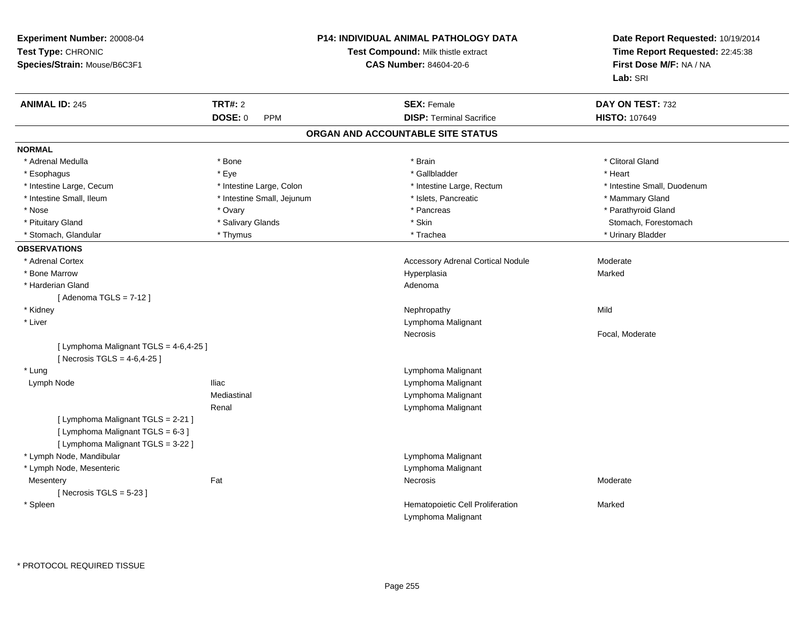| Experiment Number: 20008-04<br>Test Type: CHRONIC<br>Species/Strain: Mouse/B6C3F1                             |                            | P14: INDIVIDUAL ANIMAL PATHOLOGY DATA<br>Test Compound: Milk thistle extract<br><b>CAS Number: 84604-20-6</b> | Date Report Requested: 10/19/2014<br>Time Report Requested: 22:45:38<br>First Dose M/F: NA / NA<br>Lab: SRI |
|---------------------------------------------------------------------------------------------------------------|----------------------------|---------------------------------------------------------------------------------------------------------------|-------------------------------------------------------------------------------------------------------------|
| <b>ANIMAL ID: 245</b>                                                                                         | <b>TRT#: 2</b>             | <b>SEX: Female</b>                                                                                            | DAY ON TEST: 732                                                                                            |
|                                                                                                               | DOSE: 0<br><b>PPM</b>      | <b>DISP: Terminal Sacrifice</b>                                                                               | <b>HISTO: 107649</b>                                                                                        |
|                                                                                                               |                            | ORGAN AND ACCOUNTABLE SITE STATUS                                                                             |                                                                                                             |
| <b>NORMAL</b>                                                                                                 |                            |                                                                                                               |                                                                                                             |
| * Adrenal Medulla                                                                                             | * Bone                     | * Brain                                                                                                       | * Clitoral Gland                                                                                            |
| * Esophagus                                                                                                   | * Eye                      | * Gallbladder                                                                                                 | * Heart                                                                                                     |
| * Intestine Large, Cecum                                                                                      | * Intestine Large, Colon   | * Intestine Large, Rectum                                                                                     | * Intestine Small, Duodenum                                                                                 |
| * Intestine Small, Ileum                                                                                      | * Intestine Small, Jejunum | * Islets, Pancreatic                                                                                          | * Mammary Gland                                                                                             |
| * Nose                                                                                                        | * Ovary                    | * Pancreas                                                                                                    | * Parathyroid Gland                                                                                         |
| * Pituitary Gland                                                                                             | * Salivary Glands          | * Skin                                                                                                        | Stomach, Forestomach                                                                                        |
| * Stomach, Glandular                                                                                          | * Thymus                   | * Trachea                                                                                                     | * Urinary Bladder                                                                                           |
| <b>OBSERVATIONS</b>                                                                                           |                            |                                                                                                               |                                                                                                             |
| * Adrenal Cortex                                                                                              |                            | <b>Accessory Adrenal Cortical Nodule</b>                                                                      | Moderate                                                                                                    |
| * Bone Marrow                                                                                                 |                            | Hyperplasia                                                                                                   | Marked                                                                                                      |
| * Harderian Gland                                                                                             |                            | Adenoma                                                                                                       |                                                                                                             |
| [Adenoma TGLS = $7-12$ ]                                                                                      |                            |                                                                                                               |                                                                                                             |
| * Kidney                                                                                                      |                            | Nephropathy                                                                                                   | Mild                                                                                                        |
| * Liver                                                                                                       |                            | Lymphoma Malignant                                                                                            |                                                                                                             |
|                                                                                                               |                            | <b>Necrosis</b>                                                                                               | Focal, Moderate                                                                                             |
| [ Lymphoma Malignant TGLS = 4-6,4-25 ]<br>[ Necrosis TGLS = $4-6, 4-25$ ]                                     |                            |                                                                                                               |                                                                                                             |
| * Lung                                                                                                        |                            | Lymphoma Malignant                                                                                            |                                                                                                             |
| Lymph Node                                                                                                    | <b>Iliac</b>               | Lymphoma Malignant                                                                                            |                                                                                                             |
|                                                                                                               | Mediastinal                | Lymphoma Malignant                                                                                            |                                                                                                             |
| [ Lymphoma Malignant TGLS = 2-21 ]<br>[ Lymphoma Malignant TGLS = 6-3 ]<br>[ Lymphoma Malignant TGLS = 3-22 ] | Renal                      | Lymphoma Malignant                                                                                            |                                                                                                             |
| * Lymph Node, Mandibular                                                                                      |                            | Lymphoma Malignant                                                                                            |                                                                                                             |
| * Lymph Node, Mesenteric                                                                                      |                            | Lymphoma Malignant                                                                                            |                                                                                                             |
| Mesentery                                                                                                     | Fat                        | Necrosis                                                                                                      | Moderate                                                                                                    |
| [Necrosis $TGLS = 5-23$ ]                                                                                     |                            |                                                                                                               |                                                                                                             |
| * Spleen                                                                                                      |                            | Hematopoietic Cell Proliferation<br>Lymphoma Malignant                                                        | Marked                                                                                                      |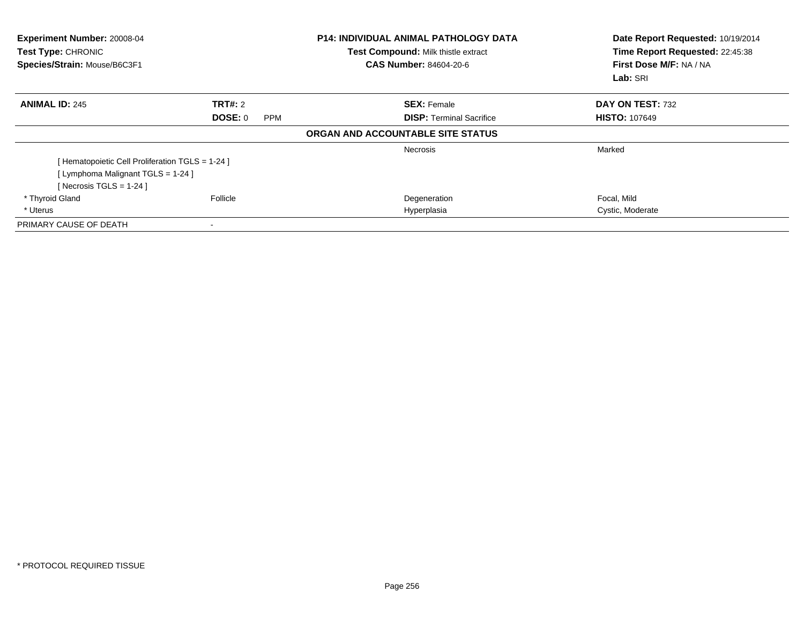| Experiment Number: 20008-04<br>Test Type: CHRONIC<br>Species/Strain: Mouse/B6C3F1 |                | P14: INDIVIDUAL ANIMAL PATHOLOGY DATA<br>Test Compound: Milk thistle extract<br><b>CAS Number: 84604-20-6</b> | Date Report Requested: 10/19/2014<br>Time Report Requested: 22:45:38<br>First Dose M/F: NA / NA<br>Lab: SRI |  |
|-----------------------------------------------------------------------------------|----------------|---------------------------------------------------------------------------------------------------------------|-------------------------------------------------------------------------------------------------------------|--|
| <b>ANIMAL ID: 245</b>                                                             | <b>TRT#: 2</b> | <b>SEX: Female</b>                                                                                            | DAY ON TEST: 732                                                                                            |  |
|                                                                                   | DOSE: 0<br>PPM | <b>DISP:</b> Terminal Sacrifice                                                                               | <b>HISTO: 107649</b>                                                                                        |  |
|                                                                                   |                | ORGAN AND ACCOUNTABLE SITE STATUS                                                                             |                                                                                                             |  |
|                                                                                   |                | <b>Necrosis</b>                                                                                               | Marked                                                                                                      |  |
| [ Hematopoietic Cell Proliferation TGLS = 1-24 ]                                  |                |                                                                                                               |                                                                                                             |  |
| [ Lymphoma Malignant TGLS = 1-24 ]                                                |                |                                                                                                               |                                                                                                             |  |
| [ Necrosis TGLS = $1-24$ ]                                                        |                |                                                                                                               |                                                                                                             |  |
| * Thyroid Gland                                                                   | Follicle       | Degeneration                                                                                                  | Focal, Mild                                                                                                 |  |
| * Uterus                                                                          |                | Hyperplasia                                                                                                   | Cystic, Moderate                                                                                            |  |
| PRIMARY CAUSE OF DEATH                                                            |                |                                                                                                               |                                                                                                             |  |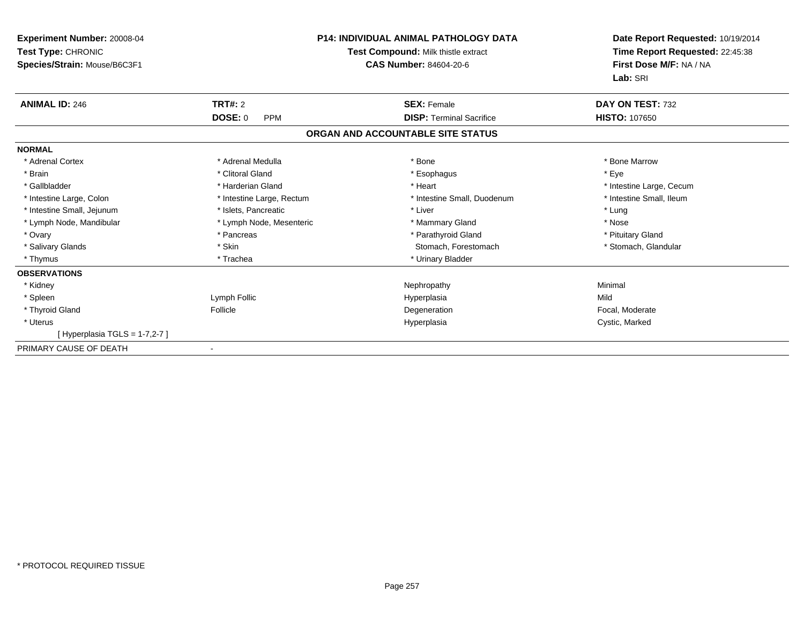| Experiment Number: 20008-04<br><b>Test Type: CHRONIC</b><br>Species/Strain: Mouse/B6C3F1 |                              | <b>P14: INDIVIDUAL ANIMAL PATHOLOGY DATA</b><br>Test Compound: Milk thistle extract<br><b>CAS Number: 84604-20-6</b> | Date Report Requested: 10/19/2014<br>Time Report Requested: 22:45:38<br>First Dose M/F: NA / NA<br>Lab: SRI |
|------------------------------------------------------------------------------------------|------------------------------|----------------------------------------------------------------------------------------------------------------------|-------------------------------------------------------------------------------------------------------------|
| <b>ANIMAL ID: 246</b>                                                                    | <b>TRT#: 2</b>               | <b>SEX: Female</b>                                                                                                   | DAY ON TEST: 732                                                                                            |
|                                                                                          | <b>DOSE: 0</b><br><b>PPM</b> | <b>DISP: Terminal Sacrifice</b>                                                                                      | <b>HISTO: 107650</b>                                                                                        |
|                                                                                          |                              | ORGAN AND ACCOUNTABLE SITE STATUS                                                                                    |                                                                                                             |
| <b>NORMAL</b>                                                                            |                              |                                                                                                                      |                                                                                                             |
| * Adrenal Cortex                                                                         | * Adrenal Medulla            | * Bone                                                                                                               | * Bone Marrow                                                                                               |
| * Brain                                                                                  | * Clitoral Gland             | * Esophagus                                                                                                          | * Eve                                                                                                       |
| * Gallbladder                                                                            | * Harderian Gland            | * Heart                                                                                                              | * Intestine Large, Cecum                                                                                    |
| * Intestine Large, Colon                                                                 | * Intestine Large, Rectum    | * Intestine Small, Duodenum                                                                                          | * Intestine Small, Ileum                                                                                    |
| * Intestine Small, Jejunum                                                               | * Islets, Pancreatic         | * Liver                                                                                                              | * Lung                                                                                                      |
| * Lymph Node, Mandibular                                                                 | * Lymph Node, Mesenteric     | * Mammary Gland                                                                                                      | * Nose                                                                                                      |
| * Ovary                                                                                  | * Pancreas                   | * Parathyroid Gland                                                                                                  | * Pituitary Gland                                                                                           |
| * Salivary Glands                                                                        | * Skin                       | Stomach, Forestomach                                                                                                 | * Stomach, Glandular                                                                                        |
| * Thymus                                                                                 | * Trachea                    | * Urinary Bladder                                                                                                    |                                                                                                             |
| <b>OBSERVATIONS</b>                                                                      |                              |                                                                                                                      |                                                                                                             |
| * Kidney                                                                                 |                              | Nephropathy                                                                                                          | Minimal                                                                                                     |
| * Spleen                                                                                 | Lymph Follic                 | Hyperplasia                                                                                                          | Mild                                                                                                        |
| * Thyroid Gland                                                                          | Follicle                     | Degeneration                                                                                                         | Focal, Moderate                                                                                             |
| * Uterus                                                                                 |                              | Hyperplasia                                                                                                          | Cystic, Marked                                                                                              |
| [Hyperplasia TGLS = 1-7,2-7]                                                             |                              |                                                                                                                      |                                                                                                             |
| PRIMARY CAUSE OF DEATH                                                                   |                              |                                                                                                                      |                                                                                                             |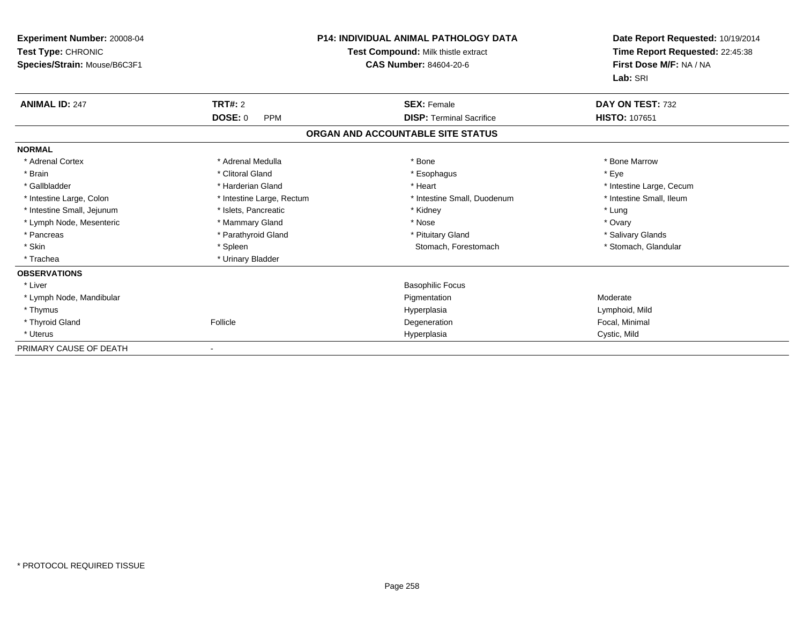| Experiment Number: 20008-04<br><b>Test Type: CHRONIC</b><br>Species/Strain: Mouse/B6C3F1 |                              | <b>P14: INDIVIDUAL ANIMAL PATHOLOGY DATA</b><br>Test Compound: Milk thistle extract<br><b>CAS Number: 84604-20-6</b> | Date Report Requested: 10/19/2014<br>Time Report Requested: 22:45:38<br>First Dose M/F: NA / NA |  |
|------------------------------------------------------------------------------------------|------------------------------|----------------------------------------------------------------------------------------------------------------------|-------------------------------------------------------------------------------------------------|--|
| <b>ANIMAL ID: 247</b>                                                                    | <b>TRT#: 2</b>               | <b>SEX: Female</b>                                                                                                   | Lab: SRI<br>DAY ON TEST: 732                                                                    |  |
|                                                                                          | <b>DOSE: 0</b><br><b>PPM</b> | <b>DISP: Terminal Sacrifice</b>                                                                                      | <b>HISTO: 107651</b>                                                                            |  |
|                                                                                          |                              | ORGAN AND ACCOUNTABLE SITE STATUS                                                                                    |                                                                                                 |  |
| <b>NORMAL</b>                                                                            |                              |                                                                                                                      |                                                                                                 |  |
| * Adrenal Cortex                                                                         | * Adrenal Medulla            | * Bone                                                                                                               | * Bone Marrow                                                                                   |  |
| * Brain                                                                                  | * Clitoral Gland             | * Esophagus                                                                                                          | * Eve                                                                                           |  |
| * Gallbladder                                                                            | * Harderian Gland            | * Heart                                                                                                              | * Intestine Large, Cecum                                                                        |  |
| * Intestine Large, Colon                                                                 | * Intestine Large, Rectum    | * Intestine Small, Duodenum                                                                                          | * Intestine Small, Ileum                                                                        |  |
| * Intestine Small, Jejunum                                                               | * Islets, Pancreatic         | * Kidney                                                                                                             | * Lung                                                                                          |  |
| * Lymph Node, Mesenteric                                                                 | * Mammary Gland              | * Nose                                                                                                               | * Ovary                                                                                         |  |
| * Pancreas                                                                               | * Parathyroid Gland          | * Pituitary Gland                                                                                                    | * Salivary Glands                                                                               |  |
| * Skin                                                                                   | * Spleen                     | Stomach, Forestomach                                                                                                 | * Stomach, Glandular                                                                            |  |
| * Trachea                                                                                | * Urinary Bladder            |                                                                                                                      |                                                                                                 |  |
| <b>OBSERVATIONS</b>                                                                      |                              |                                                                                                                      |                                                                                                 |  |
| * Liver                                                                                  |                              | <b>Basophilic Focus</b>                                                                                              |                                                                                                 |  |
| * Lymph Node, Mandibular                                                                 |                              | Pigmentation                                                                                                         | Moderate                                                                                        |  |
| * Thymus                                                                                 |                              | Hyperplasia                                                                                                          | Lymphoid, Mild                                                                                  |  |
| * Thyroid Gland                                                                          | Follicle                     | Degeneration                                                                                                         | Focal, Minimal                                                                                  |  |
| * Uterus                                                                                 |                              | Hyperplasia                                                                                                          | Cystic, Mild                                                                                    |  |
| PRIMARY CAUSE OF DEATH                                                                   |                              |                                                                                                                      |                                                                                                 |  |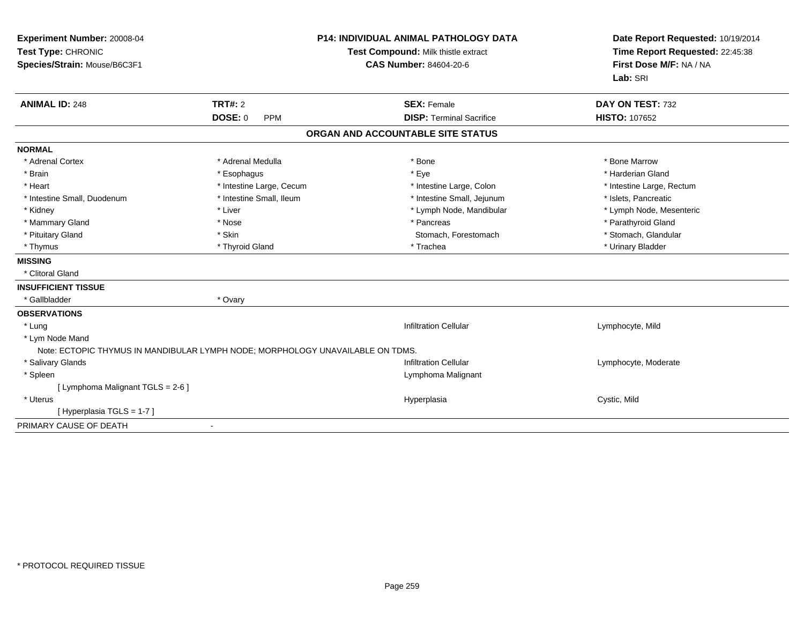| Experiment Number: 20008-04<br>Test Type: CHRONIC<br>Species/Strain: Mouse/B6C3F1 | <b>P14: INDIVIDUAL ANIMAL PATHOLOGY DATA</b><br>Test Compound: Milk thistle extract<br><b>CAS Number: 84604-20-6</b> |                                                       | Date Report Requested: 10/19/2014<br>Time Report Requested: 22:45:38<br>First Dose M/F: NA / NA<br>Lab: SRI |  |
|-----------------------------------------------------------------------------------|----------------------------------------------------------------------------------------------------------------------|-------------------------------------------------------|-------------------------------------------------------------------------------------------------------------|--|
| <b>ANIMAL ID: 248</b>                                                             | TRT#: 2<br><b>DOSE: 0</b><br><b>PPM</b>                                                                              | <b>SEX: Female</b><br><b>DISP: Terminal Sacrifice</b> | DAY ON TEST: 732<br><b>HISTO: 107652</b>                                                                    |  |
|                                                                                   |                                                                                                                      | ORGAN AND ACCOUNTABLE SITE STATUS                     |                                                                                                             |  |
| <b>NORMAL</b>                                                                     |                                                                                                                      |                                                       |                                                                                                             |  |
| * Adrenal Cortex                                                                  | * Adrenal Medulla                                                                                                    | * Bone                                                | * Bone Marrow                                                                                               |  |
| * Brain                                                                           | * Esophagus                                                                                                          | * Eye                                                 | * Harderian Gland                                                                                           |  |
| * Heart                                                                           | * Intestine Large, Cecum                                                                                             | * Intestine Large, Colon                              | * Intestine Large, Rectum                                                                                   |  |
| * Intestine Small, Duodenum                                                       | * Intestine Small, Ileum                                                                                             | * Intestine Small, Jejunum                            | * Islets, Pancreatic                                                                                        |  |
| * Kidney                                                                          | * Liver                                                                                                              | * Lymph Node, Mandibular                              | * Lymph Node, Mesenteric                                                                                    |  |
| * Mammary Gland                                                                   | * Nose                                                                                                               | * Pancreas                                            | * Parathyroid Gland                                                                                         |  |
| * Pituitary Gland                                                                 | * Skin                                                                                                               | Stomach, Forestomach                                  | * Stomach, Glandular                                                                                        |  |
| * Thymus                                                                          | * Thyroid Gland                                                                                                      | * Trachea                                             | * Urinary Bladder                                                                                           |  |
| <b>MISSING</b>                                                                    |                                                                                                                      |                                                       |                                                                                                             |  |
| * Clitoral Gland                                                                  |                                                                                                                      |                                                       |                                                                                                             |  |
| <b>INSUFFICIENT TISSUE</b>                                                        |                                                                                                                      |                                                       |                                                                                                             |  |
| * Gallbladder                                                                     | * Ovary                                                                                                              |                                                       |                                                                                                             |  |
| <b>OBSERVATIONS</b>                                                               |                                                                                                                      |                                                       |                                                                                                             |  |
| * Lung                                                                            |                                                                                                                      | <b>Infiltration Cellular</b>                          | Lymphocyte, Mild                                                                                            |  |
| * Lym Node Mand                                                                   |                                                                                                                      |                                                       |                                                                                                             |  |
| Note: ECTOPIC THYMUS IN MANDIBULAR LYMPH NODE; MORPHOLOGY UNAVAILABLE ON TDMS.    |                                                                                                                      |                                                       |                                                                                                             |  |
| * Salivary Glands                                                                 |                                                                                                                      | <b>Infiltration Cellular</b>                          | Lymphocyte, Moderate                                                                                        |  |
| * Spleen                                                                          |                                                                                                                      | Lymphoma Malignant                                    |                                                                                                             |  |
| [ Lymphoma Malignant TGLS = 2-6 ]                                                 |                                                                                                                      |                                                       |                                                                                                             |  |
| * Uterus                                                                          |                                                                                                                      | Hyperplasia                                           | Cystic, Mild                                                                                                |  |
| [Hyperplasia TGLS = 1-7]                                                          |                                                                                                                      |                                                       |                                                                                                             |  |
| PRIMARY CAUSE OF DEATH                                                            | $\blacksquare$                                                                                                       |                                                       |                                                                                                             |  |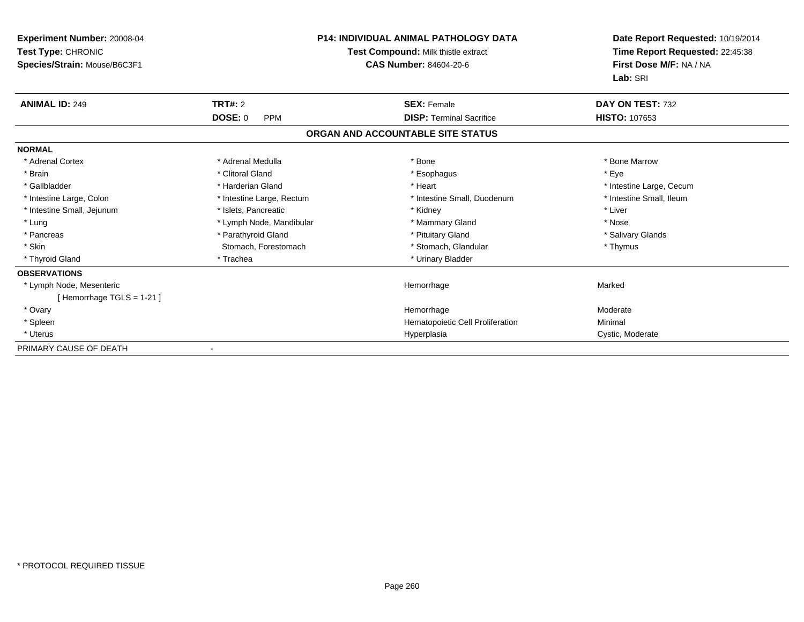| <b>Experiment Number: 20008-04</b><br>Test Type: CHRONIC<br>Species/Strain: Mouse/B6C3F1 |                              | <b>P14: INDIVIDUAL ANIMAL PATHOLOGY DATA</b><br>Test Compound: Milk thistle extract<br><b>CAS Number: 84604-20-6</b> | Date Report Requested: 10/19/2014<br>Time Report Requested: 22:45:38<br>First Dose M/F: NA / NA<br>Lab: SRI |
|------------------------------------------------------------------------------------------|------------------------------|----------------------------------------------------------------------------------------------------------------------|-------------------------------------------------------------------------------------------------------------|
| <b>ANIMAL ID: 249</b>                                                                    | <b>TRT#: 2</b>               | <b>SEX: Female</b>                                                                                                   | DAY ON TEST: 732                                                                                            |
|                                                                                          | <b>DOSE: 0</b><br><b>PPM</b> | <b>DISP: Terminal Sacrifice</b>                                                                                      | HISTO: 107653                                                                                               |
|                                                                                          |                              | ORGAN AND ACCOUNTABLE SITE STATUS                                                                                    |                                                                                                             |
| <b>NORMAL</b>                                                                            |                              |                                                                                                                      |                                                                                                             |
| * Adrenal Cortex                                                                         | * Adrenal Medulla            | * Bone                                                                                                               | * Bone Marrow                                                                                               |
| * Brain                                                                                  | * Clitoral Gland             | * Esophagus                                                                                                          | * Eve                                                                                                       |
| * Gallbladder                                                                            | * Harderian Gland            | * Heart                                                                                                              | * Intestine Large, Cecum                                                                                    |
| * Intestine Large, Colon                                                                 | * Intestine Large, Rectum    | * Intestine Small, Duodenum                                                                                          | * Intestine Small, Ileum                                                                                    |
| * Intestine Small, Jejunum                                                               | * Islets, Pancreatic         | * Kidney                                                                                                             | * Liver                                                                                                     |
| * Lung                                                                                   | * Lymph Node, Mandibular     | * Mammary Gland                                                                                                      | * Nose                                                                                                      |
| * Pancreas                                                                               | * Parathyroid Gland          | * Pituitary Gland                                                                                                    | * Salivary Glands                                                                                           |
| * Skin                                                                                   | Stomach, Forestomach         | * Stomach, Glandular                                                                                                 | * Thymus                                                                                                    |
| * Thyroid Gland                                                                          | * Trachea                    | * Urinary Bladder                                                                                                    |                                                                                                             |
| <b>OBSERVATIONS</b>                                                                      |                              |                                                                                                                      |                                                                                                             |
| * Lymph Node, Mesenteric                                                                 |                              | Hemorrhage                                                                                                           | Marked                                                                                                      |
| [Hemorrhage TGLS = $1-21$ ]                                                              |                              |                                                                                                                      |                                                                                                             |
| * Ovary                                                                                  |                              | Hemorrhage                                                                                                           | Moderate                                                                                                    |
| * Spleen                                                                                 |                              | Hematopoietic Cell Proliferation                                                                                     | Minimal                                                                                                     |
| * Uterus                                                                                 |                              | Hyperplasia                                                                                                          | Cystic, Moderate                                                                                            |
| PRIMARY CAUSE OF DEATH                                                                   |                              |                                                                                                                      |                                                                                                             |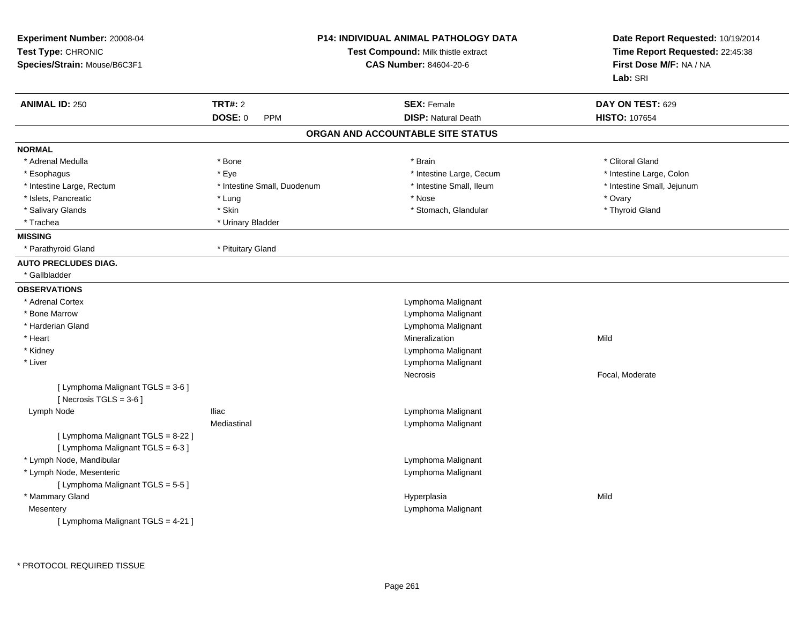| Experiment Number: 20008-04<br>Test Type: CHRONIC<br>Species/Strain: Mouse/B6C3F1 |                             | <b>P14: INDIVIDUAL ANIMAL PATHOLOGY DATA</b><br>Test Compound: Milk thistle extract<br><b>CAS Number: 84604-20-6</b> | Date Report Requested: 10/19/2014<br>Time Report Requested: 22:45:38<br>First Dose M/F: NA / NA<br>Lab: SRI |
|-----------------------------------------------------------------------------------|-----------------------------|----------------------------------------------------------------------------------------------------------------------|-------------------------------------------------------------------------------------------------------------|
| <b>ANIMAL ID: 250</b>                                                             | <b>TRT#: 2</b>              | <b>SEX: Female</b>                                                                                                   | DAY ON TEST: 629                                                                                            |
|                                                                                   | DOSE: 0<br><b>PPM</b>       | <b>DISP: Natural Death</b>                                                                                           | <b>HISTO: 107654</b>                                                                                        |
|                                                                                   |                             | ORGAN AND ACCOUNTABLE SITE STATUS                                                                                    |                                                                                                             |
| <b>NORMAL</b>                                                                     |                             |                                                                                                                      |                                                                                                             |
| * Adrenal Medulla                                                                 | * Bone                      | * Brain                                                                                                              | * Clitoral Gland                                                                                            |
| * Esophagus                                                                       | * Eye                       | * Intestine Large, Cecum                                                                                             | * Intestine Large, Colon                                                                                    |
| * Intestine Large, Rectum                                                         | * Intestine Small, Duodenum | * Intestine Small, Ileum                                                                                             | * Intestine Small, Jejunum                                                                                  |
| * Islets, Pancreatic                                                              | * Lung                      | * Nose                                                                                                               | * Ovary                                                                                                     |
| * Salivary Glands                                                                 | * Skin                      | * Stomach, Glandular                                                                                                 | * Thyroid Gland                                                                                             |
| * Trachea                                                                         | * Urinary Bladder           |                                                                                                                      |                                                                                                             |
| <b>MISSING</b>                                                                    |                             |                                                                                                                      |                                                                                                             |
| * Parathyroid Gland                                                               | * Pituitary Gland           |                                                                                                                      |                                                                                                             |
| <b>AUTO PRECLUDES DIAG.</b>                                                       |                             |                                                                                                                      |                                                                                                             |
| * Gallbladder                                                                     |                             |                                                                                                                      |                                                                                                             |
| <b>OBSERVATIONS</b>                                                               |                             |                                                                                                                      |                                                                                                             |
| * Adrenal Cortex                                                                  |                             | Lymphoma Malignant                                                                                                   |                                                                                                             |
| * Bone Marrow                                                                     |                             | Lymphoma Malignant                                                                                                   |                                                                                                             |
| * Harderian Gland                                                                 |                             | Lymphoma Malignant                                                                                                   |                                                                                                             |
| * Heart                                                                           |                             | Mineralization                                                                                                       | Mild                                                                                                        |
| * Kidney                                                                          |                             | Lymphoma Malignant                                                                                                   |                                                                                                             |
| * Liver                                                                           |                             | Lymphoma Malignant                                                                                                   |                                                                                                             |
|                                                                                   |                             | Necrosis                                                                                                             | Focal, Moderate                                                                                             |
| [ Lymphoma Malignant TGLS = 3-6 ]<br>[Necrosis $TGLS = 3-6$ ]                     |                             |                                                                                                                      |                                                                                                             |
| Lymph Node                                                                        | <b>Iliac</b>                | Lymphoma Malignant                                                                                                   |                                                                                                             |
|                                                                                   | Mediastinal                 | Lymphoma Malignant                                                                                                   |                                                                                                             |
| [ Lymphoma Malignant TGLS = 8-22 ]                                                |                             |                                                                                                                      |                                                                                                             |
| [ Lymphoma Malignant TGLS = 6-3 ]                                                 |                             |                                                                                                                      |                                                                                                             |
| * Lymph Node, Mandibular                                                          |                             | Lymphoma Malignant                                                                                                   |                                                                                                             |
| * Lymph Node, Mesenteric                                                          |                             | Lymphoma Malignant                                                                                                   |                                                                                                             |
| [ Lymphoma Malignant TGLS = 5-5]                                                  |                             |                                                                                                                      |                                                                                                             |
| * Mammary Gland                                                                   |                             | Hyperplasia                                                                                                          | Mild                                                                                                        |
| Mesentery                                                                         |                             | Lymphoma Malignant                                                                                                   |                                                                                                             |
| [ Lymphoma Malignant TGLS = 4-21 ]                                                |                             |                                                                                                                      |                                                                                                             |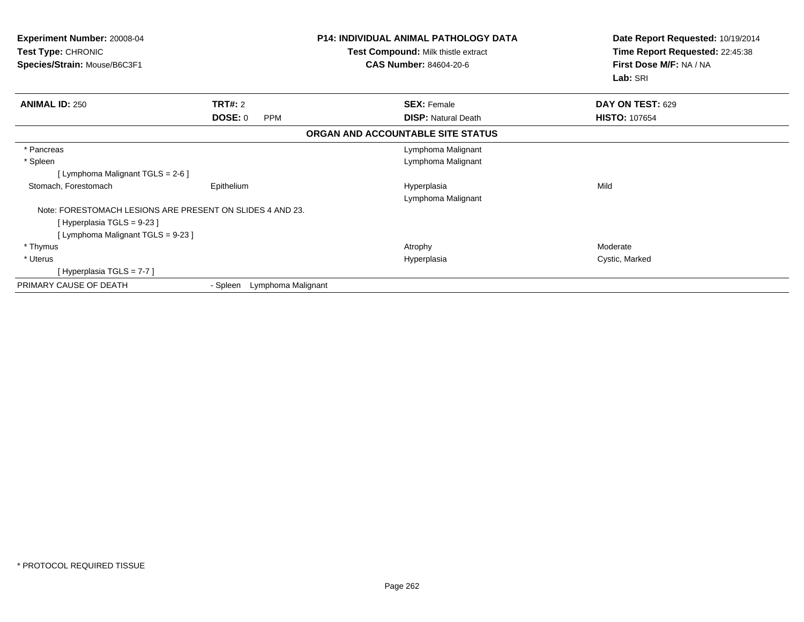| Experiment Number: 20008-04<br>Test Type: CHRONIC<br>Species/Strain: Mouse/B6C3F1 |                             | <b>P14: INDIVIDUAL ANIMAL PATHOLOGY DATA</b><br>Test Compound: Milk thistle extract<br><b>CAS Number: 84604-20-6</b> | Date Report Requested: 10/19/2014<br>Time Report Requested: 22:45:38<br>First Dose M/F: NA / NA<br>Lab: SRI |
|-----------------------------------------------------------------------------------|-----------------------------|----------------------------------------------------------------------------------------------------------------------|-------------------------------------------------------------------------------------------------------------|
| <b>ANIMAL ID: 250</b>                                                             | TRT#: 2                     | <b>SEX: Female</b>                                                                                                   | DAY ON TEST: 629                                                                                            |
|                                                                                   | DOSE: 0<br><b>PPM</b>       | <b>DISP:</b> Natural Death                                                                                           | <b>HISTO: 107654</b>                                                                                        |
|                                                                                   |                             | ORGAN AND ACCOUNTABLE SITE STATUS                                                                                    |                                                                                                             |
| * Pancreas                                                                        |                             | Lymphoma Malignant                                                                                                   |                                                                                                             |
| * Spleen                                                                          |                             | Lymphoma Malignant                                                                                                   |                                                                                                             |
| [ Lymphoma Malignant TGLS = 2-6 ]                                                 |                             |                                                                                                                      |                                                                                                             |
| Stomach, Forestomach                                                              | Epithelium                  | Hyperplasia<br>Lymphoma Malignant                                                                                    | Mild                                                                                                        |
| Note: FORESTOMACH LESIONS ARE PRESENT ON SLIDES 4 AND 23.                         |                             |                                                                                                                      |                                                                                                             |
| [Hyperplasia TGLS = 9-23]                                                         |                             |                                                                                                                      |                                                                                                             |
| [Lymphoma Malignant TGLS = 9-23]                                                  |                             |                                                                                                                      |                                                                                                             |
| * Thymus                                                                          |                             | Atrophy                                                                                                              | Moderate                                                                                                    |
| * Uterus                                                                          |                             | Hyperplasia                                                                                                          | Cystic, Marked                                                                                              |
| [Hyperplasia TGLS = 7-7 ]                                                         |                             |                                                                                                                      |                                                                                                             |
| PRIMARY CAUSE OF DEATH                                                            | - Spleen Lymphoma Malignant |                                                                                                                      |                                                                                                             |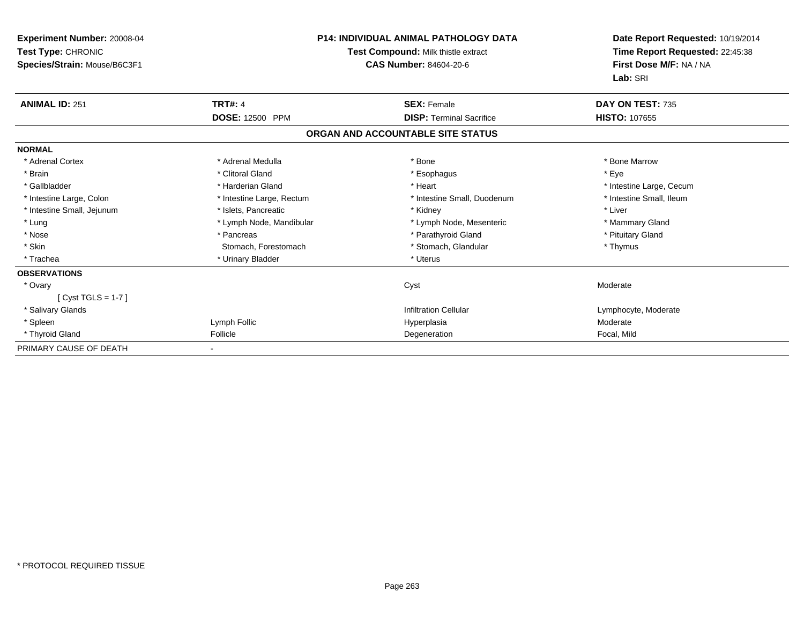| <b>Experiment Number: 20008-04</b><br>Test Type: CHRONIC<br>Species/Strain: Mouse/B6C3F1 | <b>P14: INDIVIDUAL ANIMAL PATHOLOGY DATA</b><br>Test Compound: Milk thistle extract<br><b>CAS Number: 84604-20-6</b> |                                   | Date Report Requested: 10/19/2014<br>Time Report Requested: 22:45:38<br>First Dose M/F: NA / NA<br>Lab: SRI |
|------------------------------------------------------------------------------------------|----------------------------------------------------------------------------------------------------------------------|-----------------------------------|-------------------------------------------------------------------------------------------------------------|
| <b>ANIMAL ID: 251</b>                                                                    | <b>TRT#: 4</b>                                                                                                       | <b>SEX: Female</b>                | DAY ON TEST: 735                                                                                            |
|                                                                                          | <b>DOSE: 12500 PPM</b>                                                                                               | <b>DISP: Terminal Sacrifice</b>   | HISTO: 107655                                                                                               |
|                                                                                          |                                                                                                                      | ORGAN AND ACCOUNTABLE SITE STATUS |                                                                                                             |
| <b>NORMAL</b>                                                                            |                                                                                                                      |                                   |                                                                                                             |
| * Adrenal Cortex                                                                         | * Adrenal Medulla                                                                                                    | * Bone                            | * Bone Marrow                                                                                               |
| * Brain                                                                                  | * Clitoral Gland                                                                                                     | * Esophagus                       | * Eye                                                                                                       |
| * Gallbladder                                                                            | * Harderian Gland                                                                                                    | * Heart                           | * Intestine Large, Cecum                                                                                    |
| * Intestine Large, Colon                                                                 | * Intestine Large, Rectum                                                                                            | * Intestine Small, Duodenum       | * Intestine Small, Ileum                                                                                    |
| * Intestine Small, Jejunum                                                               | * Islets, Pancreatic                                                                                                 | * Kidney                          | * Liver                                                                                                     |
| * Lung                                                                                   | * Lymph Node, Mandibular                                                                                             | * Lymph Node, Mesenteric          | * Mammary Gland                                                                                             |
| * Nose                                                                                   | * Pancreas                                                                                                           | * Parathyroid Gland               | * Pituitary Gland                                                                                           |
| * Skin                                                                                   | Stomach, Forestomach                                                                                                 | * Stomach, Glandular              | * Thymus                                                                                                    |
| * Trachea                                                                                | * Urinary Bladder                                                                                                    | * Uterus                          |                                                                                                             |
| <b>OBSERVATIONS</b>                                                                      |                                                                                                                      |                                   |                                                                                                             |
| * Ovary                                                                                  |                                                                                                                      | Cyst                              | Moderate                                                                                                    |
| [Cyst TGLS = $1-7$ ]                                                                     |                                                                                                                      |                                   |                                                                                                             |
| * Salivary Glands                                                                        |                                                                                                                      | <b>Infiltration Cellular</b>      | Lymphocyte, Moderate                                                                                        |
| * Spleen                                                                                 | Lymph Follic                                                                                                         | Hyperplasia                       | Moderate                                                                                                    |
| * Thyroid Gland                                                                          | Follicle                                                                                                             | Degeneration                      | Focal, Mild                                                                                                 |
| PRIMARY CAUSE OF DEATH                                                                   |                                                                                                                      |                                   |                                                                                                             |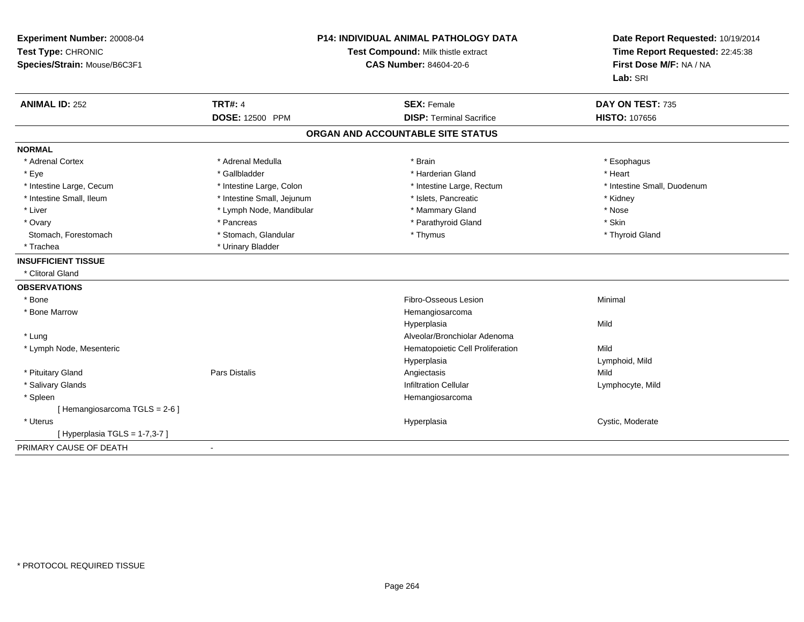| Experiment Number: 20008-04<br>Test Type: CHRONIC<br>Species/Strain: Mouse/B6C3F1 | <b>P14: INDIVIDUAL ANIMAL PATHOLOGY DATA</b><br>Test Compound: Milk thistle extract<br><b>CAS Number: 84604-20-6</b> |                                                       | Date Report Requested: 10/19/2014<br>Time Report Requested: 22:45:38<br>First Dose M/F: NA / NA<br>Lab: SRI |  |
|-----------------------------------------------------------------------------------|----------------------------------------------------------------------------------------------------------------------|-------------------------------------------------------|-------------------------------------------------------------------------------------------------------------|--|
| <b>ANIMAL ID: 252</b>                                                             | <b>TRT#: 4</b><br><b>DOSE: 12500 PPM</b>                                                                             | <b>SEX: Female</b><br><b>DISP: Terminal Sacrifice</b> | DAY ON TEST: 735<br><b>HISTO: 107656</b>                                                                    |  |
|                                                                                   |                                                                                                                      | ORGAN AND ACCOUNTABLE SITE STATUS                     |                                                                                                             |  |
|                                                                                   |                                                                                                                      |                                                       |                                                                                                             |  |
| <b>NORMAL</b>                                                                     |                                                                                                                      |                                                       |                                                                                                             |  |
| * Adrenal Cortex                                                                  | * Adrenal Medulla                                                                                                    | * Brain                                               | * Esophagus                                                                                                 |  |
| * Eye                                                                             | * Gallbladder                                                                                                        | * Harderian Gland                                     | * Heart                                                                                                     |  |
| * Intestine Large, Cecum                                                          | * Intestine Large, Colon                                                                                             | * Intestine Large, Rectum                             | * Intestine Small, Duodenum                                                                                 |  |
| * Intestine Small, Ileum                                                          | * Intestine Small, Jejunum                                                                                           | * Islets, Pancreatic                                  | * Kidney                                                                                                    |  |
| * Liver                                                                           | * Lymph Node, Mandibular                                                                                             | * Mammary Gland                                       | * Nose                                                                                                      |  |
| * Ovary                                                                           | * Pancreas                                                                                                           | * Parathyroid Gland                                   | * Skin                                                                                                      |  |
| Stomach, Forestomach                                                              | * Stomach, Glandular                                                                                                 | * Thymus                                              | * Thyroid Gland                                                                                             |  |
| * Trachea                                                                         | * Urinary Bladder                                                                                                    |                                                       |                                                                                                             |  |
| <b>INSUFFICIENT TISSUE</b>                                                        |                                                                                                                      |                                                       |                                                                                                             |  |
| * Clitoral Gland                                                                  |                                                                                                                      |                                                       |                                                                                                             |  |
| <b>OBSERVATIONS</b>                                                               |                                                                                                                      |                                                       |                                                                                                             |  |
| * Bone                                                                            |                                                                                                                      | Fibro-Osseous Lesion                                  | Minimal                                                                                                     |  |
| * Bone Marrow                                                                     |                                                                                                                      | Hemangiosarcoma                                       |                                                                                                             |  |
|                                                                                   |                                                                                                                      | Hyperplasia                                           | Mild                                                                                                        |  |
| * Lung                                                                            |                                                                                                                      | Alveolar/Bronchiolar Adenoma                          |                                                                                                             |  |
| * Lymph Node, Mesenteric                                                          |                                                                                                                      | Hematopoietic Cell Proliferation                      | Mild                                                                                                        |  |
|                                                                                   |                                                                                                                      | Hyperplasia                                           | Lymphoid, Mild                                                                                              |  |
| * Pituitary Gland                                                                 | <b>Pars Distalis</b>                                                                                                 | Angiectasis                                           | Mild                                                                                                        |  |
| * Salivary Glands                                                                 |                                                                                                                      | <b>Infiltration Cellular</b>                          | Lymphocyte, Mild                                                                                            |  |
| * Spleen                                                                          |                                                                                                                      | Hemangiosarcoma                                       |                                                                                                             |  |
| [Hemangiosarcoma TGLS = 2-6]                                                      |                                                                                                                      |                                                       |                                                                                                             |  |
| * Uterus                                                                          |                                                                                                                      | Hyperplasia                                           | Cystic, Moderate                                                                                            |  |
| [ Hyperplasia TGLS = 1-7,3-7 ]                                                    |                                                                                                                      |                                                       |                                                                                                             |  |
| PRIMARY CAUSE OF DEATH                                                            |                                                                                                                      |                                                       |                                                                                                             |  |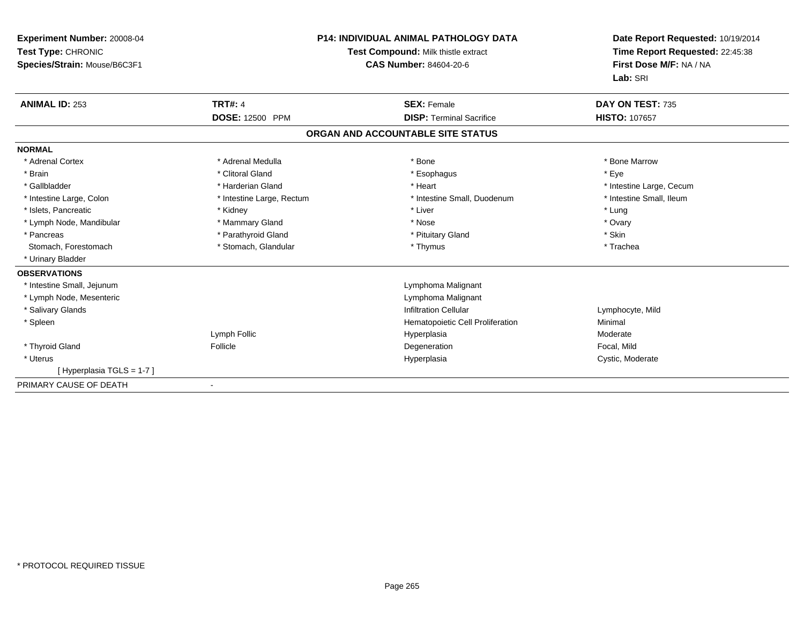| Experiment Number: 20008-04<br>Test Type: CHRONIC<br>Species/Strain: Mouse/B6C3F1 | P14: INDIVIDUAL ANIMAL PATHOLOGY DATA<br>Test Compound: Milk thistle extract<br>CAS Number: 84604-20-6 |                                   | Date Report Requested: 10/19/2014<br>Time Report Requested: 22:45:38<br>First Dose M/F: NA / NA<br>Lab: SRI |
|-----------------------------------------------------------------------------------|--------------------------------------------------------------------------------------------------------|-----------------------------------|-------------------------------------------------------------------------------------------------------------|
| <b>ANIMAL ID: 253</b>                                                             | <b>TRT#: 4</b>                                                                                         | <b>SEX: Female</b>                | DAY ON TEST: 735                                                                                            |
|                                                                                   | <b>DOSE: 12500 PPM</b>                                                                                 | <b>DISP: Terminal Sacrifice</b>   | HISTO: 107657                                                                                               |
|                                                                                   |                                                                                                        | ORGAN AND ACCOUNTABLE SITE STATUS |                                                                                                             |
| <b>NORMAL</b>                                                                     |                                                                                                        |                                   |                                                                                                             |
| * Adrenal Cortex                                                                  | * Adrenal Medulla                                                                                      | * Bone                            | * Bone Marrow                                                                                               |
| * Brain                                                                           | * Clitoral Gland                                                                                       | * Esophagus                       | * Eye                                                                                                       |
| * Gallbladder                                                                     | * Harderian Gland                                                                                      | * Heart                           | * Intestine Large, Cecum                                                                                    |
| * Intestine Large, Colon                                                          | * Intestine Large, Rectum                                                                              | * Intestine Small, Duodenum       | * Intestine Small, Ileum                                                                                    |
| * Islets, Pancreatic                                                              | * Kidney                                                                                               | * Liver                           | * Lung                                                                                                      |
| * Lymph Node, Mandibular                                                          | * Mammary Gland                                                                                        | * Nose                            | * Ovary                                                                                                     |
| * Pancreas                                                                        | * Parathyroid Gland                                                                                    | * Pituitary Gland                 | * Skin                                                                                                      |
| Stomach, Forestomach                                                              | * Stomach, Glandular                                                                                   | * Thymus                          | * Trachea                                                                                                   |
| * Urinary Bladder                                                                 |                                                                                                        |                                   |                                                                                                             |
| <b>OBSERVATIONS</b>                                                               |                                                                                                        |                                   |                                                                                                             |
| * Intestine Small, Jejunum                                                        |                                                                                                        | Lymphoma Malignant                |                                                                                                             |
| * Lymph Node, Mesenteric                                                          |                                                                                                        | Lymphoma Malignant                |                                                                                                             |
| * Salivary Glands                                                                 |                                                                                                        | <b>Infiltration Cellular</b>      | Lymphocyte, Mild                                                                                            |
| * Spleen                                                                          |                                                                                                        | Hematopoietic Cell Proliferation  | Minimal                                                                                                     |
|                                                                                   | Lymph Follic                                                                                           | Hyperplasia                       | Moderate                                                                                                    |
| * Thyroid Gland                                                                   | Follicle                                                                                               | Degeneration                      | Focal, Mild                                                                                                 |
| * Uterus                                                                          |                                                                                                        | Hyperplasia                       | Cystic, Moderate                                                                                            |
| [Hyperplasia TGLS = 1-7]                                                          |                                                                                                        |                                   |                                                                                                             |
| PRIMARY CAUSE OF DEATH                                                            |                                                                                                        |                                   |                                                                                                             |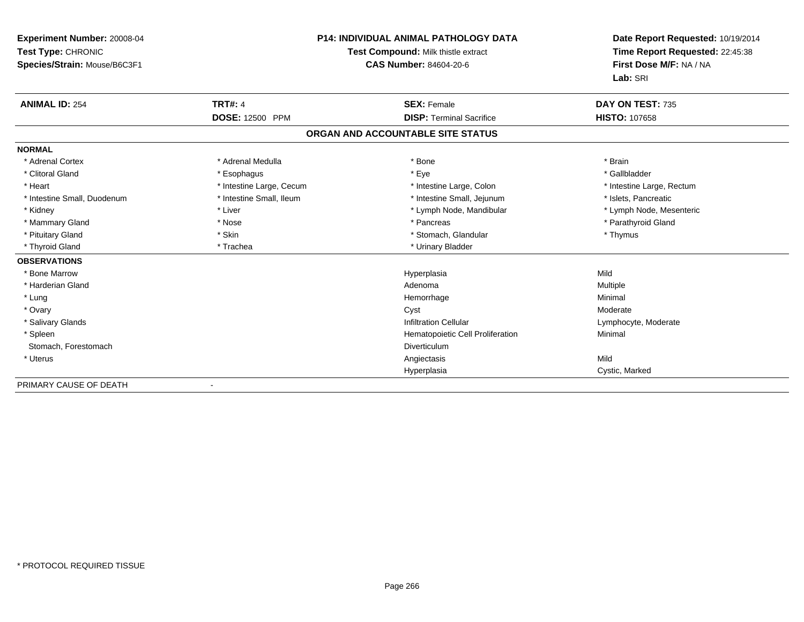| <b>Experiment Number: 20008-04</b><br>Test Type: CHRONIC<br>Species/Strain: Mouse/B6C3F1 |                                   | <b>P14: INDIVIDUAL ANIMAL PATHOLOGY DATA</b><br>Test Compound: Milk thistle extract<br><b>CAS Number: 84604-20-6</b> | Date Report Requested: 10/19/2014<br>Time Report Requested: 22:45:38<br>First Dose M/F: NA / NA<br>Lab: SRI |
|------------------------------------------------------------------------------------------|-----------------------------------|----------------------------------------------------------------------------------------------------------------------|-------------------------------------------------------------------------------------------------------------|
| <b>ANIMAL ID: 254</b>                                                                    | <b>TRT#: 4</b><br>DOSE: 12500 PPM | <b>SEX: Female</b><br><b>DISP: Terminal Sacrifice</b>                                                                | DAY ON TEST: 735<br><b>HISTO: 107658</b>                                                                    |
|                                                                                          |                                   |                                                                                                                      |                                                                                                             |
|                                                                                          |                                   | ORGAN AND ACCOUNTABLE SITE STATUS                                                                                    |                                                                                                             |
| <b>NORMAL</b>                                                                            |                                   |                                                                                                                      |                                                                                                             |
| * Adrenal Cortex                                                                         | * Adrenal Medulla                 | * Bone                                                                                                               | * Brain                                                                                                     |
| * Clitoral Gland                                                                         | * Esophagus                       | * Eye                                                                                                                | * Gallbladder                                                                                               |
| * Heart                                                                                  | * Intestine Large, Cecum          | * Intestine Large, Colon                                                                                             | * Intestine Large, Rectum                                                                                   |
| * Intestine Small, Duodenum                                                              | * Intestine Small, Ileum          | * Intestine Small, Jejunum                                                                                           | * Islets, Pancreatic                                                                                        |
| * Kidney                                                                                 | * Liver                           | * Lymph Node, Mandibular                                                                                             | * Lymph Node, Mesenteric                                                                                    |
| * Mammary Gland                                                                          | * Nose                            | * Pancreas                                                                                                           | * Parathyroid Gland                                                                                         |
| * Pituitary Gland                                                                        | * Skin                            | * Stomach, Glandular                                                                                                 | * Thymus                                                                                                    |
| * Thyroid Gland                                                                          | * Trachea                         | * Urinary Bladder                                                                                                    |                                                                                                             |
| <b>OBSERVATIONS</b>                                                                      |                                   |                                                                                                                      |                                                                                                             |
| * Bone Marrow                                                                            |                                   | Hyperplasia                                                                                                          | Mild                                                                                                        |
| * Harderian Gland                                                                        |                                   | Adenoma                                                                                                              | Multiple                                                                                                    |
| * Lung                                                                                   |                                   | Hemorrhage                                                                                                           | Minimal                                                                                                     |
| * Ovary                                                                                  |                                   | Cyst                                                                                                                 | Moderate                                                                                                    |
| * Salivary Glands                                                                        |                                   | <b>Infiltration Cellular</b>                                                                                         | Lymphocyte, Moderate                                                                                        |
| * Spleen                                                                                 |                                   | Hematopoietic Cell Proliferation                                                                                     | Minimal                                                                                                     |
| Stomach, Forestomach                                                                     |                                   | Diverticulum                                                                                                         |                                                                                                             |
| * Uterus                                                                                 |                                   | Angiectasis                                                                                                          | Mild                                                                                                        |
|                                                                                          |                                   | Hyperplasia                                                                                                          | Cystic, Marked                                                                                              |

-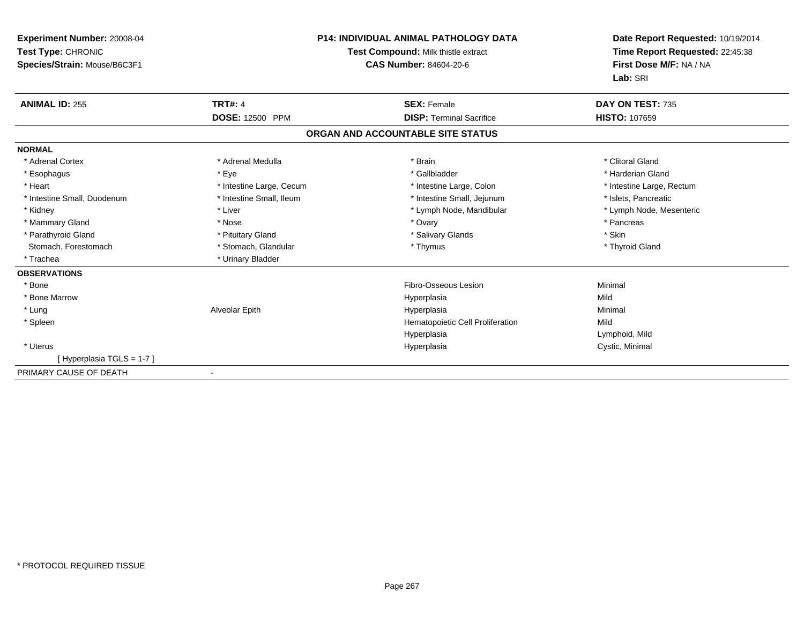| <b>Experiment Number: 20008-04</b><br>Test Type: CHRONIC<br>Species/Strain: Mouse/B6C3F1 | <b>P14: INDIVIDUAL ANIMAL PATHOLOGY DATA</b><br>Test Compound: Milk thistle extract<br><b>CAS Number: 84604-20-6</b> |                                   | Date Report Requested: 10/19/2014<br>Time Report Requested: 22:45:38<br>First Dose M/F: NA / NA<br>Lab: SRI |  |
|------------------------------------------------------------------------------------------|----------------------------------------------------------------------------------------------------------------------|-----------------------------------|-------------------------------------------------------------------------------------------------------------|--|
| <b>ANIMAL ID: 255</b>                                                                    | <b>TRT#: 4</b>                                                                                                       | <b>SEX: Female</b>                | DAY ON TEST: 735                                                                                            |  |
|                                                                                          | <b>DOSE: 12500 PPM</b>                                                                                               | <b>DISP: Terminal Sacrifice</b>   | <b>HISTO: 107659</b>                                                                                        |  |
|                                                                                          |                                                                                                                      | ORGAN AND ACCOUNTABLE SITE STATUS |                                                                                                             |  |
| <b>NORMAL</b>                                                                            |                                                                                                                      |                                   |                                                                                                             |  |
| * Adrenal Cortex                                                                         | * Adrenal Medulla                                                                                                    | * Brain                           | * Clitoral Gland                                                                                            |  |
| * Esophagus                                                                              | * Eye                                                                                                                | * Gallbladder                     | * Harderian Gland                                                                                           |  |
| * Heart                                                                                  | * Intestine Large, Cecum                                                                                             | * Intestine Large, Colon          | * Intestine Large, Rectum                                                                                   |  |
| * Intestine Small, Duodenum                                                              | * Intestine Small. Ileum                                                                                             | * Intestine Small, Jejunum        | * Islets. Pancreatic                                                                                        |  |
| * Kidney                                                                                 | * Liver                                                                                                              | * Lymph Node, Mandibular          | * Lymph Node, Mesenteric                                                                                    |  |
| * Mammary Gland                                                                          | * Nose                                                                                                               | * Ovary                           | * Pancreas                                                                                                  |  |
| * Parathyroid Gland                                                                      | * Pituitary Gland                                                                                                    | * Salivary Glands                 | * Skin                                                                                                      |  |
| Stomach, Forestomach                                                                     | * Stomach, Glandular                                                                                                 | * Thymus                          | * Thyroid Gland                                                                                             |  |
| * Trachea                                                                                | * Urinary Bladder                                                                                                    |                                   |                                                                                                             |  |
| <b>OBSERVATIONS</b>                                                                      |                                                                                                                      |                                   |                                                                                                             |  |
| * Bone                                                                                   |                                                                                                                      | Fibro-Osseous Lesion              | Minimal                                                                                                     |  |
| * Bone Marrow                                                                            |                                                                                                                      | Hyperplasia                       | Mild                                                                                                        |  |
| * Lung                                                                                   | Alveolar Epith                                                                                                       | Hyperplasia                       | Minimal                                                                                                     |  |
| * Spleen                                                                                 |                                                                                                                      | Hematopoietic Cell Proliferation  | Mild                                                                                                        |  |
|                                                                                          |                                                                                                                      | Hyperplasia                       | Lymphoid, Mild                                                                                              |  |
| * Uterus                                                                                 |                                                                                                                      | Hyperplasia                       | Cystic, Minimal                                                                                             |  |
| [Hyperplasia TGLS = 1-7]                                                                 |                                                                                                                      |                                   |                                                                                                             |  |
| PRIMARY CAUSE OF DEATH                                                                   |                                                                                                                      |                                   |                                                                                                             |  |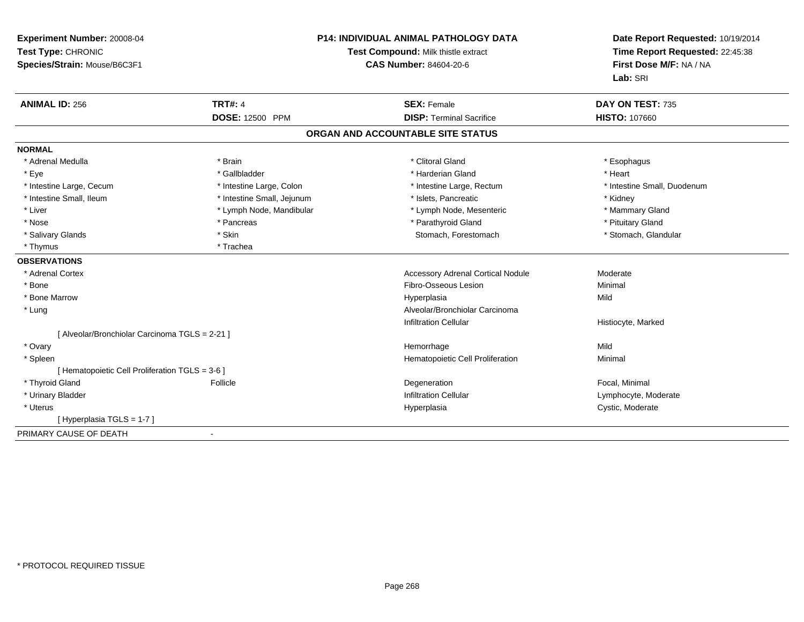| Experiment Number: 20008-04<br>Test Type: CHRONIC<br>Species/Strain: Mouse/B6C3F1 | <b>P14: INDIVIDUAL ANIMAL PATHOLOGY DATA</b><br>Test Compound: Milk thistle extract<br><b>CAS Number: 84604-20-6</b> |                                          | Date Report Requested: 10/19/2014<br>Time Report Requested: 22:45:38<br>First Dose M/F: NA / NA<br>Lab: SRI |
|-----------------------------------------------------------------------------------|----------------------------------------------------------------------------------------------------------------------|------------------------------------------|-------------------------------------------------------------------------------------------------------------|
| <b>ANIMAL ID: 256</b>                                                             | <b>TRT#: 4</b>                                                                                                       | <b>SEX: Female</b>                       | DAY ON TEST: 735                                                                                            |
|                                                                                   | DOSE: 12500 PPM                                                                                                      | <b>DISP: Terminal Sacrifice</b>          | <b>HISTO: 107660</b>                                                                                        |
|                                                                                   |                                                                                                                      | ORGAN AND ACCOUNTABLE SITE STATUS        |                                                                                                             |
| <b>NORMAL</b>                                                                     |                                                                                                                      |                                          |                                                                                                             |
| * Adrenal Medulla                                                                 | * Brain                                                                                                              | * Clitoral Gland                         | * Esophagus                                                                                                 |
| * Eye                                                                             | * Gallbladder                                                                                                        | * Harderian Gland                        | * Heart                                                                                                     |
| * Intestine Large, Cecum                                                          | * Intestine Large, Colon                                                                                             | * Intestine Large, Rectum                | * Intestine Small, Duodenum                                                                                 |
| * Intestine Small, Ileum                                                          | * Intestine Small, Jejunum                                                                                           | * Islets, Pancreatic                     | * Kidney                                                                                                    |
| * Liver                                                                           | * Lymph Node, Mandibular                                                                                             | * Lymph Node, Mesenteric                 | * Mammary Gland                                                                                             |
| * Nose                                                                            | * Pancreas                                                                                                           | * Parathyroid Gland                      | * Pituitary Gland                                                                                           |
| * Salivary Glands                                                                 | * Skin                                                                                                               | Stomach, Forestomach                     | * Stomach, Glandular                                                                                        |
| * Thymus                                                                          | * Trachea                                                                                                            |                                          |                                                                                                             |
| <b>OBSERVATIONS</b>                                                               |                                                                                                                      |                                          |                                                                                                             |
| * Adrenal Cortex                                                                  |                                                                                                                      | <b>Accessory Adrenal Cortical Nodule</b> | Moderate                                                                                                    |
| * Bone                                                                            |                                                                                                                      | Fibro-Osseous Lesion                     | Minimal                                                                                                     |
| * Bone Marrow                                                                     |                                                                                                                      | Hyperplasia                              | Mild                                                                                                        |
| * Lung                                                                            |                                                                                                                      | Alveolar/Bronchiolar Carcinoma           |                                                                                                             |
|                                                                                   |                                                                                                                      | <b>Infiltration Cellular</b>             | Histiocyte, Marked                                                                                          |
| [ Alveolar/Bronchiolar Carcinoma TGLS = 2-21 ]                                    |                                                                                                                      |                                          |                                                                                                             |
| * Ovary                                                                           |                                                                                                                      | Hemorrhage                               | Mild                                                                                                        |
| * Spleen                                                                          |                                                                                                                      | Hematopoietic Cell Proliferation         | Minimal                                                                                                     |
| [ Hematopoietic Cell Proliferation TGLS = 3-6 ]                                   |                                                                                                                      |                                          |                                                                                                             |
| * Thyroid Gland                                                                   | Follicle                                                                                                             | Degeneration                             | Focal, Minimal                                                                                              |
| * Urinary Bladder                                                                 |                                                                                                                      | <b>Infiltration Cellular</b>             | Lymphocyte, Moderate                                                                                        |
| * Uterus                                                                          |                                                                                                                      | Hyperplasia                              | Cystic, Moderate                                                                                            |
| [ Hyperplasia TGLS = 1-7 ]                                                        |                                                                                                                      |                                          |                                                                                                             |
| PRIMARY CAUSE OF DEATH                                                            | $\blacksquare$                                                                                                       |                                          |                                                                                                             |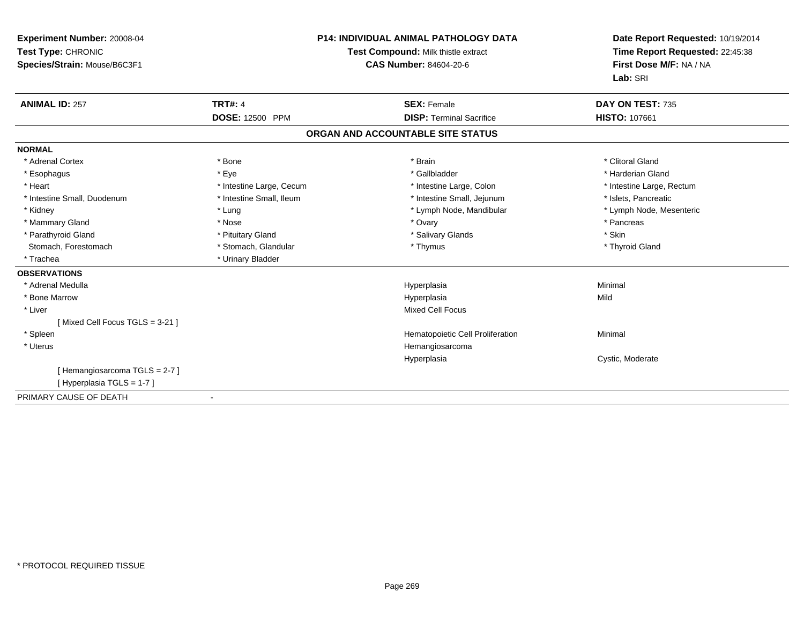| Experiment Number: 20008-04<br>Test Type: CHRONIC<br>Species/Strain: Mouse/B6C3F1 |                          | <b>P14: INDIVIDUAL ANIMAL PATHOLOGY DATA</b><br>Test Compound: Milk thistle extract<br><b>CAS Number: 84604-20-6</b> | Date Report Requested: 10/19/2014<br>Time Report Requested: 22:45:38<br>First Dose M/F: NA / NA<br>Lab: SRI |  |
|-----------------------------------------------------------------------------------|--------------------------|----------------------------------------------------------------------------------------------------------------------|-------------------------------------------------------------------------------------------------------------|--|
| <b>ANIMAL ID: 257</b>                                                             | <b>TRT#: 4</b>           | <b>SEX: Female</b>                                                                                                   | DAY ON TEST: 735                                                                                            |  |
|                                                                                   | DOSE: 12500 PPM          | <b>DISP: Terminal Sacrifice</b>                                                                                      | <b>HISTO: 107661</b>                                                                                        |  |
|                                                                                   |                          | ORGAN AND ACCOUNTABLE SITE STATUS                                                                                    |                                                                                                             |  |
| <b>NORMAL</b>                                                                     |                          |                                                                                                                      |                                                                                                             |  |
| * Adrenal Cortex                                                                  | * Bone                   | * Brain                                                                                                              | * Clitoral Gland                                                                                            |  |
| * Esophagus                                                                       | * Eye                    | * Gallbladder                                                                                                        | * Harderian Gland                                                                                           |  |
| * Heart                                                                           | * Intestine Large, Cecum | * Intestine Large, Colon                                                                                             | * Intestine Large, Rectum                                                                                   |  |
| * Intestine Small, Duodenum                                                       | * Intestine Small, Ileum | * Intestine Small, Jejunum                                                                                           | * Islets, Pancreatic                                                                                        |  |
| * Kidney                                                                          | * Lung                   | * Lymph Node, Mandibular                                                                                             | * Lymph Node, Mesenteric                                                                                    |  |
| * Mammary Gland                                                                   | * Nose                   | * Ovary                                                                                                              | * Pancreas                                                                                                  |  |
| * Parathyroid Gland                                                               | * Pituitary Gland        | * Salivary Glands                                                                                                    | * Skin                                                                                                      |  |
| Stomach, Forestomach                                                              | * Stomach, Glandular     | * Thymus                                                                                                             | * Thyroid Gland                                                                                             |  |
| * Trachea                                                                         | * Urinary Bladder        |                                                                                                                      |                                                                                                             |  |
| <b>OBSERVATIONS</b>                                                               |                          |                                                                                                                      |                                                                                                             |  |
| * Adrenal Medulla                                                                 |                          | Hyperplasia                                                                                                          | Minimal                                                                                                     |  |
| * Bone Marrow                                                                     |                          | Hyperplasia                                                                                                          | Mild                                                                                                        |  |
| * Liver                                                                           |                          | <b>Mixed Cell Focus</b>                                                                                              |                                                                                                             |  |
| [Mixed Cell Focus TGLS = 3-21]                                                    |                          |                                                                                                                      |                                                                                                             |  |
| * Spleen                                                                          |                          | Hematopoietic Cell Proliferation                                                                                     | Minimal                                                                                                     |  |
| * Uterus                                                                          |                          | Hemangiosarcoma                                                                                                      |                                                                                                             |  |
|                                                                                   |                          | Hyperplasia                                                                                                          | Cystic, Moderate                                                                                            |  |
| [Hemangiosarcoma TGLS = 2-7]                                                      |                          |                                                                                                                      |                                                                                                             |  |
| [Hyperplasia TGLS = 1-7]                                                          |                          |                                                                                                                      |                                                                                                             |  |
| PRIMARY CAUSE OF DEATH                                                            |                          |                                                                                                                      |                                                                                                             |  |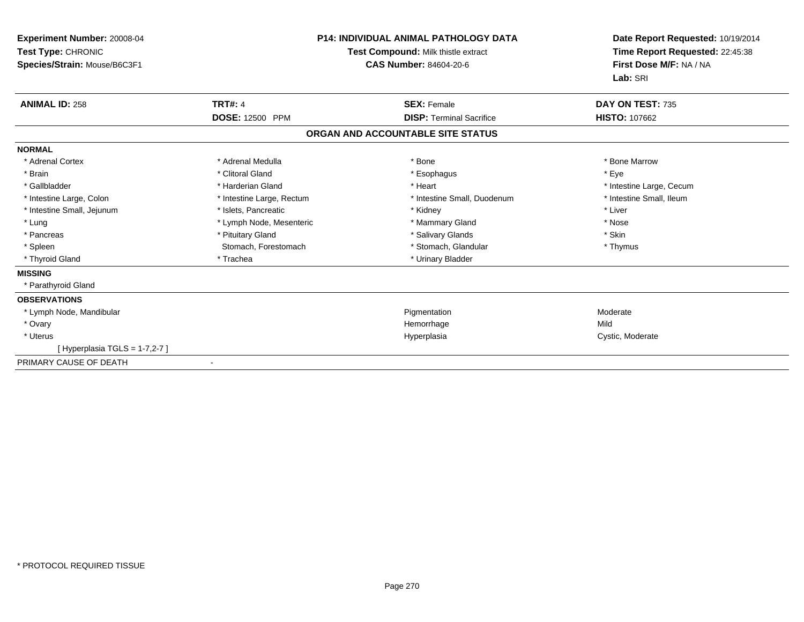| Experiment Number: 20008-04<br>Test Type: CHRONIC<br>Species/Strain: Mouse/B6C3F1 | P14: INDIVIDUAL ANIMAL PATHOLOGY DATA<br>Test Compound: Milk thistle extract<br><b>CAS Number: 84604-20-6</b> |                                   | Date Report Requested: 10/19/2014<br>Time Report Requested: 22:45:38<br>First Dose M/F: NA / NA<br>Lab: SRI |
|-----------------------------------------------------------------------------------|---------------------------------------------------------------------------------------------------------------|-----------------------------------|-------------------------------------------------------------------------------------------------------------|
| <b>ANIMAL ID: 258</b>                                                             | <b>TRT#: 4</b>                                                                                                | <b>SEX: Female</b>                | DAY ON TEST: 735                                                                                            |
|                                                                                   | DOSE: 12500 PPM                                                                                               | <b>DISP: Terminal Sacrifice</b>   | HISTO: 107662                                                                                               |
|                                                                                   |                                                                                                               | ORGAN AND ACCOUNTABLE SITE STATUS |                                                                                                             |
| <b>NORMAL</b>                                                                     |                                                                                                               |                                   |                                                                                                             |
| * Adrenal Cortex                                                                  | * Adrenal Medulla                                                                                             | * Bone                            | * Bone Marrow                                                                                               |
| * Brain                                                                           | * Clitoral Gland                                                                                              | * Esophagus                       | * Eye                                                                                                       |
| * Gallbladder                                                                     | * Harderian Gland                                                                                             | * Heart                           | * Intestine Large, Cecum                                                                                    |
| * Intestine Large, Colon                                                          | * Intestine Large, Rectum                                                                                     | * Intestine Small, Duodenum       | * Intestine Small, Ileum                                                                                    |
| * Intestine Small, Jejunum                                                        | * Islets, Pancreatic                                                                                          | * Kidney                          | * Liver                                                                                                     |
| * Lung                                                                            | * Lymph Node, Mesenteric                                                                                      | * Mammary Gland                   | * Nose                                                                                                      |
| * Pancreas                                                                        | * Pituitary Gland                                                                                             | * Salivary Glands                 | * Skin                                                                                                      |
| * Spleen                                                                          | Stomach, Forestomach                                                                                          | * Stomach, Glandular              | * Thymus                                                                                                    |
| * Thyroid Gland                                                                   | * Trachea                                                                                                     | * Urinary Bladder                 |                                                                                                             |
| <b>MISSING</b>                                                                    |                                                                                                               |                                   |                                                                                                             |
| * Parathyroid Gland                                                               |                                                                                                               |                                   |                                                                                                             |
| <b>OBSERVATIONS</b>                                                               |                                                                                                               |                                   |                                                                                                             |
| * Lymph Node, Mandibular                                                          |                                                                                                               | Pigmentation                      | Moderate                                                                                                    |
| * Ovary                                                                           |                                                                                                               | Hemorrhage                        | Mild                                                                                                        |
| * Uterus                                                                          |                                                                                                               | Hyperplasia                       | Cystic, Moderate                                                                                            |
| [ Hyperplasia TGLS = 1-7,2-7 ]                                                    |                                                                                                               |                                   |                                                                                                             |
| PRIMARY CAUSE OF DEATH                                                            |                                                                                                               |                                   |                                                                                                             |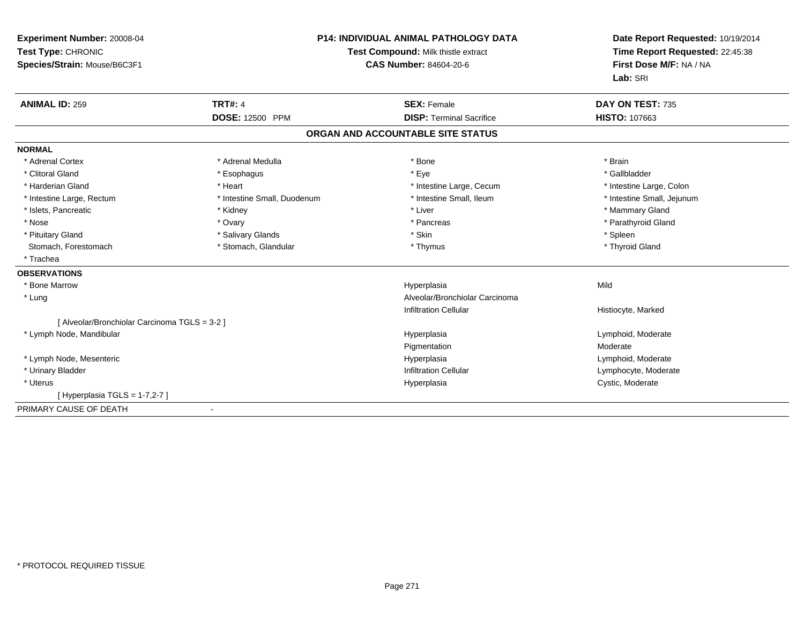| Experiment Number: 20008-04<br>Test Type: CHRONIC<br>Species/Strain: Mouse/B6C3F1 |                             | <b>P14: INDIVIDUAL ANIMAL PATHOLOGY DATA</b><br>Test Compound: Milk thistle extract<br><b>CAS Number: 84604-20-6</b> | Date Report Requested: 10/19/2014<br>Time Report Requested: 22:45:38<br>First Dose M/F: NA / NA<br>Lab: SRI |
|-----------------------------------------------------------------------------------|-----------------------------|----------------------------------------------------------------------------------------------------------------------|-------------------------------------------------------------------------------------------------------------|
| <b>ANIMAL ID: 259</b>                                                             | <b>TRT#: 4</b>              | <b>SEX: Female</b>                                                                                                   | DAY ON TEST: 735                                                                                            |
|                                                                                   | DOSE: 12500 PPM             | <b>DISP: Terminal Sacrifice</b>                                                                                      | <b>HISTO: 107663</b>                                                                                        |
|                                                                                   |                             | ORGAN AND ACCOUNTABLE SITE STATUS                                                                                    |                                                                                                             |
| <b>NORMAL</b>                                                                     |                             |                                                                                                                      |                                                                                                             |
| * Adrenal Cortex                                                                  | * Adrenal Medulla           | * Bone                                                                                                               | * Brain                                                                                                     |
| * Clitoral Gland                                                                  | * Esophagus                 | * Eye                                                                                                                | * Gallbladder                                                                                               |
| * Harderian Gland                                                                 | * Heart                     | * Intestine Large, Cecum                                                                                             | * Intestine Large, Colon                                                                                    |
| * Intestine Large, Rectum                                                         | * Intestine Small, Duodenum | * Intestine Small, Ileum                                                                                             | * Intestine Small, Jejunum                                                                                  |
| * Islets, Pancreatic                                                              | * Kidney                    | * Liver                                                                                                              | * Mammary Gland                                                                                             |
| * Nose                                                                            | * Ovary                     | * Pancreas                                                                                                           | * Parathyroid Gland                                                                                         |
| * Pituitary Gland                                                                 | * Salivary Glands           | * Skin                                                                                                               | * Spleen                                                                                                    |
| Stomach, Forestomach                                                              | * Stomach, Glandular        | * Thymus                                                                                                             | * Thyroid Gland                                                                                             |
| * Trachea                                                                         |                             |                                                                                                                      |                                                                                                             |
| <b>OBSERVATIONS</b>                                                               |                             |                                                                                                                      |                                                                                                             |
| * Bone Marrow                                                                     |                             | Hyperplasia                                                                                                          | Mild                                                                                                        |
| * Lung                                                                            |                             | Alveolar/Bronchiolar Carcinoma                                                                                       |                                                                                                             |
|                                                                                   |                             | <b>Infiltration Cellular</b>                                                                                         | Histiocyte, Marked                                                                                          |
| [ Alveolar/Bronchiolar Carcinoma TGLS = 3-2 ]                                     |                             |                                                                                                                      |                                                                                                             |
| * Lymph Node, Mandibular                                                          |                             | Hyperplasia                                                                                                          | Lymphoid, Moderate                                                                                          |
|                                                                                   |                             | Pigmentation                                                                                                         | Moderate                                                                                                    |
| * Lymph Node, Mesenteric                                                          |                             | Hyperplasia                                                                                                          | Lymphoid, Moderate                                                                                          |
| * Urinary Bladder                                                                 |                             | <b>Infiltration Cellular</b>                                                                                         | Lymphocyte, Moderate                                                                                        |
| * Uterus                                                                          |                             | Hyperplasia                                                                                                          | Cystic, Moderate                                                                                            |
| [Hyperplasia TGLS = $1-7,2-7$ ]                                                   |                             |                                                                                                                      |                                                                                                             |
| PRIMARY CAUSE OF DEATH                                                            |                             |                                                                                                                      |                                                                                                             |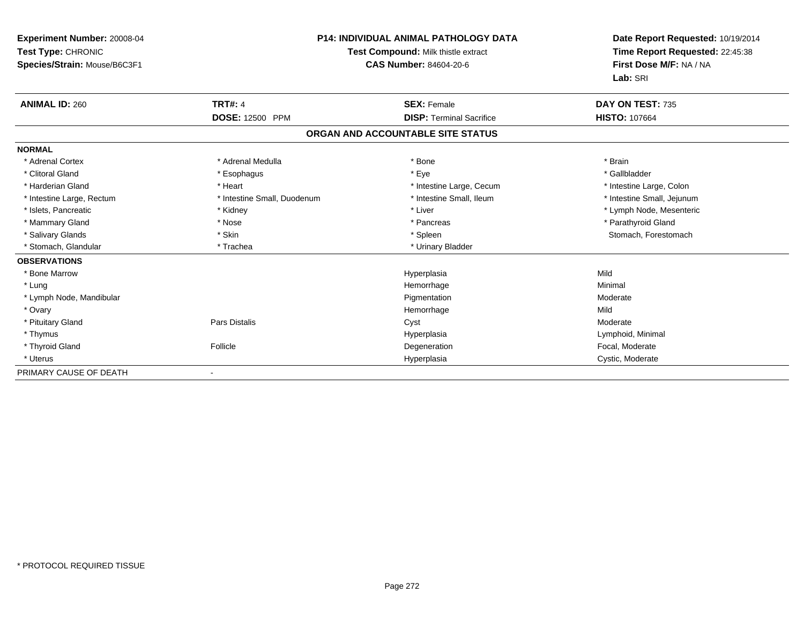| <b>Experiment Number: 20008-04</b><br>Test Type: CHRONIC<br>Species/Strain: Mouse/B6C3F1 |                             | <b>P14: INDIVIDUAL ANIMAL PATHOLOGY DATA</b><br>Test Compound: Milk thistle extract<br><b>CAS Number: 84604-20-6</b> | Date Report Requested: 10/19/2014<br>Time Report Requested: 22:45:38<br>First Dose M/F: NA / NA<br>Lab: SRI |
|------------------------------------------------------------------------------------------|-----------------------------|----------------------------------------------------------------------------------------------------------------------|-------------------------------------------------------------------------------------------------------------|
| <b>ANIMAL ID: 260</b>                                                                    | <b>TRT#: 4</b>              | <b>SEX: Female</b>                                                                                                   | DAY ON TEST: 735                                                                                            |
|                                                                                          | <b>DOSE: 12500 PPM</b>      | <b>DISP: Terminal Sacrifice</b>                                                                                      | <b>HISTO: 107664</b>                                                                                        |
|                                                                                          |                             | ORGAN AND ACCOUNTABLE SITE STATUS                                                                                    |                                                                                                             |
| <b>NORMAL</b>                                                                            |                             |                                                                                                                      |                                                                                                             |
| * Adrenal Cortex                                                                         | * Adrenal Medulla           | * Bone                                                                                                               | * Brain                                                                                                     |
| * Clitoral Gland                                                                         | * Esophagus                 | * Eye                                                                                                                | * Gallbladder                                                                                               |
| * Harderian Gland                                                                        | * Heart                     | * Intestine Large, Cecum                                                                                             | * Intestine Large, Colon                                                                                    |
| * Intestine Large, Rectum                                                                | * Intestine Small, Duodenum | * Intestine Small, Ileum                                                                                             | * Intestine Small, Jejunum                                                                                  |
| * Islets, Pancreatic                                                                     | * Kidney                    | * Liver                                                                                                              | * Lymph Node, Mesenteric                                                                                    |
| * Mammary Gland                                                                          | * Nose                      | * Pancreas                                                                                                           | * Parathyroid Gland                                                                                         |
| * Salivary Glands                                                                        | * Skin                      | * Spleen                                                                                                             | Stomach, Forestomach                                                                                        |
| * Stomach, Glandular                                                                     | * Trachea                   | * Urinary Bladder                                                                                                    |                                                                                                             |
| <b>OBSERVATIONS</b>                                                                      |                             |                                                                                                                      |                                                                                                             |
| * Bone Marrow                                                                            |                             | Hyperplasia                                                                                                          | Mild                                                                                                        |
| * Lung                                                                                   |                             | Hemorrhage                                                                                                           | Minimal                                                                                                     |
| * Lymph Node, Mandibular                                                                 |                             | Pigmentation                                                                                                         | Moderate                                                                                                    |
| * Ovary                                                                                  |                             | Hemorrhage                                                                                                           | Mild                                                                                                        |
| * Pituitary Gland                                                                        | Pars Distalis               | Cyst                                                                                                                 | Moderate                                                                                                    |
| * Thymus                                                                                 |                             | Hyperplasia                                                                                                          | Lymphoid, Minimal                                                                                           |
| * Thyroid Gland                                                                          | Follicle                    | Degeneration                                                                                                         | Focal. Moderate                                                                                             |
| * Uterus                                                                                 |                             | Hyperplasia                                                                                                          | Cystic, Moderate                                                                                            |
| PRIMARY CAUSE OF DEATH                                                                   |                             |                                                                                                                      |                                                                                                             |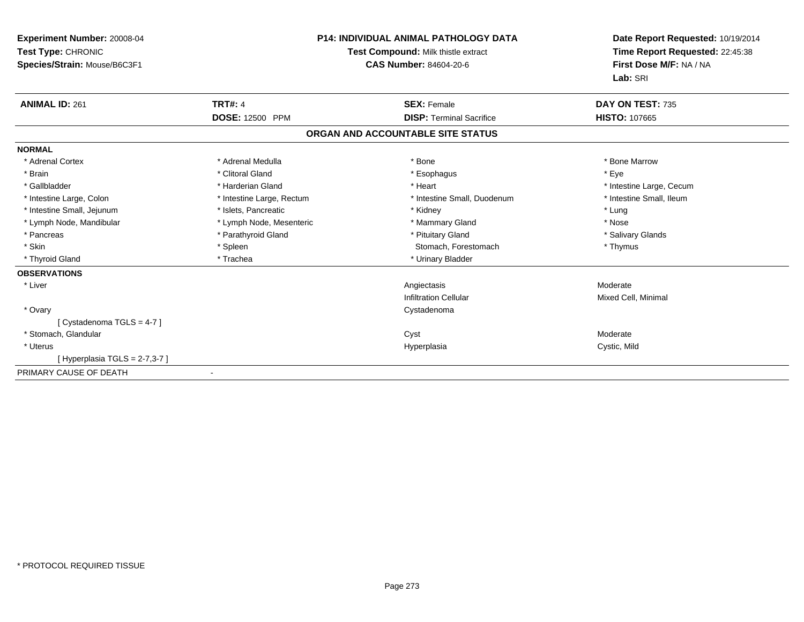| Experiment Number: 20008-04<br>Test Type: CHRONIC<br>Species/Strain: Mouse/B6C3F1 | <b>P14: INDIVIDUAL ANIMAL PATHOLOGY DATA</b><br>Test Compound: Milk thistle extract<br><b>CAS Number: 84604-20-6</b> |                                   | Date Report Requested: 10/19/2014<br>Time Report Requested: 22:45:38<br>First Dose M/F: NA / NA<br>Lab: SRI |  |
|-----------------------------------------------------------------------------------|----------------------------------------------------------------------------------------------------------------------|-----------------------------------|-------------------------------------------------------------------------------------------------------------|--|
| <b>ANIMAL ID: 261</b>                                                             | <b>TRT#: 4</b>                                                                                                       | <b>SEX: Female</b>                | DAY ON TEST: 735                                                                                            |  |
|                                                                                   | DOSE: 12500 PPM                                                                                                      | <b>DISP: Terminal Sacrifice</b>   | <b>HISTO: 107665</b>                                                                                        |  |
|                                                                                   |                                                                                                                      | ORGAN AND ACCOUNTABLE SITE STATUS |                                                                                                             |  |
| <b>NORMAL</b>                                                                     |                                                                                                                      |                                   |                                                                                                             |  |
| * Adrenal Cortex                                                                  | * Adrenal Medulla                                                                                                    | * Bone                            | * Bone Marrow                                                                                               |  |
| * Brain                                                                           | * Clitoral Gland                                                                                                     | * Esophagus                       | * Eye                                                                                                       |  |
| * Gallbladder                                                                     | * Harderian Gland                                                                                                    | * Heart                           | * Intestine Large, Cecum                                                                                    |  |
| * Intestine Large, Colon                                                          | * Intestine Large, Rectum                                                                                            | * Intestine Small, Duodenum       | * Intestine Small, Ileum                                                                                    |  |
| * Intestine Small, Jejunum                                                        | * Islets, Pancreatic                                                                                                 | * Kidney                          | * Lung                                                                                                      |  |
| * Lymph Node, Mandibular                                                          | * Lymph Node, Mesenteric                                                                                             | * Mammary Gland                   | * Nose                                                                                                      |  |
| * Pancreas                                                                        | * Parathyroid Gland                                                                                                  | * Pituitary Gland                 | * Salivary Glands                                                                                           |  |
| * Skin                                                                            | * Spleen                                                                                                             | Stomach, Forestomach              | * Thymus                                                                                                    |  |
| * Thyroid Gland                                                                   | * Trachea                                                                                                            | * Urinary Bladder                 |                                                                                                             |  |
| <b>OBSERVATIONS</b>                                                               |                                                                                                                      |                                   |                                                                                                             |  |
| * Liver                                                                           |                                                                                                                      | Angiectasis                       | Moderate                                                                                                    |  |
|                                                                                   |                                                                                                                      | <b>Infiltration Cellular</b>      | Mixed Cell, Minimal                                                                                         |  |
| * Ovary                                                                           |                                                                                                                      | Cystadenoma                       |                                                                                                             |  |
| [Cystadenoma TGLS = 4-7]                                                          |                                                                                                                      |                                   |                                                                                                             |  |
| * Stomach, Glandular                                                              |                                                                                                                      | Cyst                              | Moderate                                                                                                    |  |
| * Uterus                                                                          |                                                                                                                      | Hyperplasia                       | Cystic, Mild                                                                                                |  |
| [Hyperplasia TGLS = $2-7,3-7$ ]                                                   |                                                                                                                      |                                   |                                                                                                             |  |
| PRIMARY CAUSE OF DEATH                                                            |                                                                                                                      |                                   |                                                                                                             |  |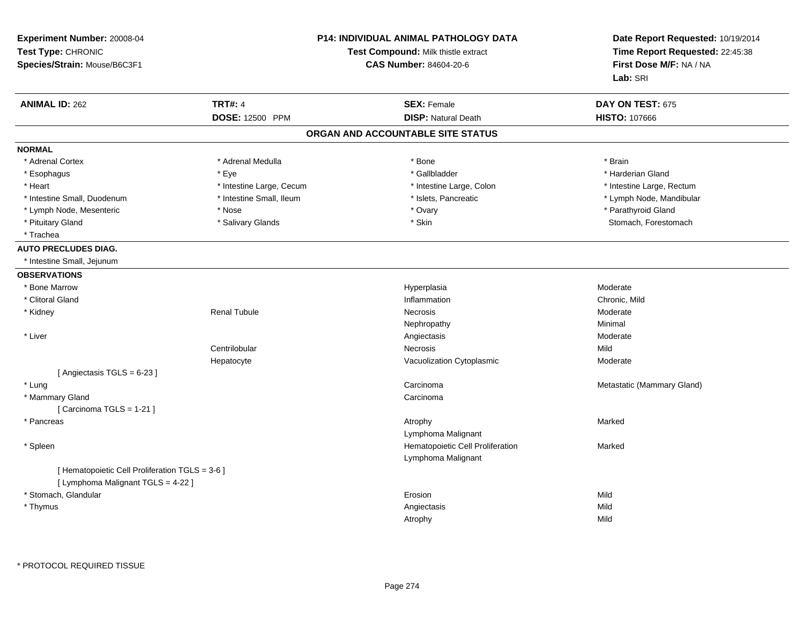| Experiment Number: 20008-04<br>Test Type: CHRONIC<br>Species/Strain: Mouse/B6C3F1 |                          | <b>P14: INDIVIDUAL ANIMAL PATHOLOGY DATA</b><br>Test Compound: Milk thistle extract<br><b>CAS Number: 84604-20-6</b> | Date Report Requested: 10/19/2014<br>Time Report Requested: 22:45:38<br>First Dose M/F: NA / NA<br>Lab: SRI |
|-----------------------------------------------------------------------------------|--------------------------|----------------------------------------------------------------------------------------------------------------------|-------------------------------------------------------------------------------------------------------------|
| <b>ANIMAL ID: 262</b>                                                             | <b>TRT#: 4</b>           | <b>SEX: Female</b>                                                                                                   | DAY ON TEST: 675                                                                                            |
|                                                                                   | DOSE: 12500 PPM          | <b>DISP: Natural Death</b>                                                                                           | <b>HISTO: 107666</b>                                                                                        |
|                                                                                   |                          | ORGAN AND ACCOUNTABLE SITE STATUS                                                                                    |                                                                                                             |
| <b>NORMAL</b>                                                                     |                          |                                                                                                                      |                                                                                                             |
| * Adrenal Cortex                                                                  | * Adrenal Medulla        | * Bone                                                                                                               | * Brain                                                                                                     |
| * Esophagus                                                                       | * Eye                    | * Gallbladder                                                                                                        | * Harderian Gland                                                                                           |
| * Heart                                                                           | * Intestine Large, Cecum | * Intestine Large, Colon                                                                                             | * Intestine Large, Rectum                                                                                   |
| * Intestine Small, Duodenum                                                       | * Intestine Small, Ileum | * Islets, Pancreatic                                                                                                 | * Lymph Node, Mandibular                                                                                    |
| * Lymph Node, Mesenteric                                                          | * Nose                   | * Ovary                                                                                                              | * Parathyroid Gland                                                                                         |
| * Pituitary Gland                                                                 | * Salivary Glands        | * Skin                                                                                                               | Stomach, Forestomach                                                                                        |
| * Trachea                                                                         |                          |                                                                                                                      |                                                                                                             |
| <b>AUTO PRECLUDES DIAG.</b>                                                       |                          |                                                                                                                      |                                                                                                             |
| * Intestine Small, Jejunum                                                        |                          |                                                                                                                      |                                                                                                             |
| <b>OBSERVATIONS</b>                                                               |                          |                                                                                                                      |                                                                                                             |
| * Bone Marrow                                                                     |                          | Hyperplasia                                                                                                          | Moderate                                                                                                    |
| * Clitoral Gland                                                                  |                          | Inflammation                                                                                                         | Chronic, Mild                                                                                               |
| * Kidney                                                                          | <b>Renal Tubule</b>      | <b>Necrosis</b>                                                                                                      | Moderate                                                                                                    |
|                                                                                   |                          | Nephropathy                                                                                                          | Minimal                                                                                                     |
| * Liver                                                                           |                          | Angiectasis                                                                                                          | Moderate                                                                                                    |
|                                                                                   | Centrilobular            | <b>Necrosis</b>                                                                                                      | Mild                                                                                                        |
|                                                                                   | Hepatocyte               | Vacuolization Cytoplasmic                                                                                            | Moderate                                                                                                    |
| [Angiectasis TGLS = 6-23]                                                         |                          |                                                                                                                      |                                                                                                             |
| * Lung                                                                            |                          | Carcinoma                                                                                                            | Metastatic (Mammary Gland)                                                                                  |
| * Mammary Gland                                                                   |                          | Carcinoma                                                                                                            |                                                                                                             |
| [Carcinoma TGLS = 1-21]                                                           |                          |                                                                                                                      |                                                                                                             |
| * Pancreas                                                                        |                          | Atrophy                                                                                                              | Marked                                                                                                      |
|                                                                                   |                          | Lymphoma Malignant                                                                                                   |                                                                                                             |
| * Spleen                                                                          |                          | Hematopoietic Cell Proliferation                                                                                     | Marked                                                                                                      |
|                                                                                   |                          | Lymphoma Malignant                                                                                                   |                                                                                                             |
| [ Hematopoietic Cell Proliferation TGLS = 3-6 ]                                   |                          |                                                                                                                      |                                                                                                             |
| [ Lymphoma Malignant TGLS = 4-22 ]                                                |                          |                                                                                                                      |                                                                                                             |
| * Stomach, Glandular                                                              |                          | Erosion                                                                                                              | Mild                                                                                                        |
| * Thymus                                                                          |                          | Angiectasis                                                                                                          | Mild                                                                                                        |
|                                                                                   |                          | Atrophy                                                                                                              | Mild                                                                                                        |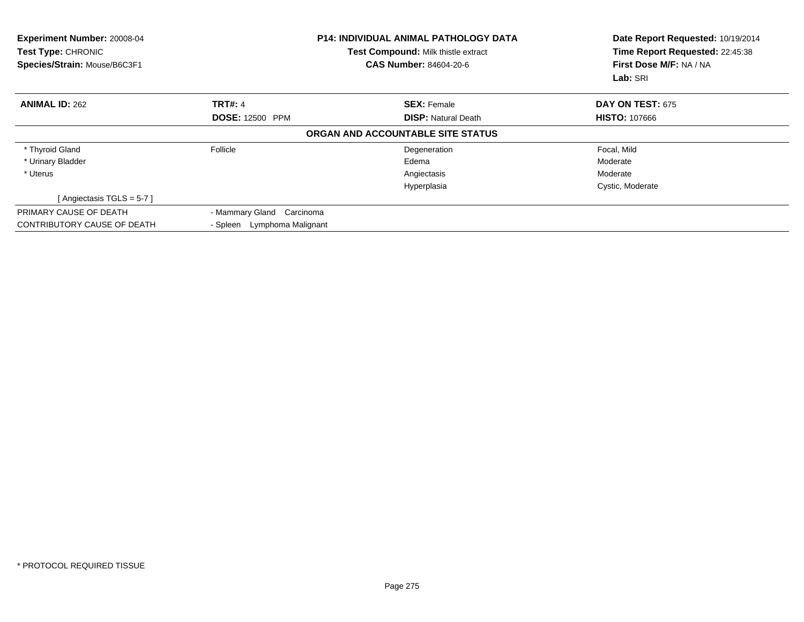| Experiment Number: 20008-04<br><b>Test Type: CHRONIC</b><br>Species/Strain: Mouse/B6C3F1 |                             | <b>P14: INDIVIDUAL ANIMAL PATHOLOGY DATA</b><br>Test Compound: Milk thistle extract<br><b>CAS Number: 84604-20-6</b> | Date Report Requested: 10/19/2014<br>Time Report Requested: 22:45:38<br>First Dose M/F: NA / NA<br>Lab: SRI |
|------------------------------------------------------------------------------------------|-----------------------------|----------------------------------------------------------------------------------------------------------------------|-------------------------------------------------------------------------------------------------------------|
| <b>ANIMAL ID: 262</b>                                                                    | <b>TRT#: 4</b>              | <b>SEX: Female</b>                                                                                                   | DAY ON TEST: 675                                                                                            |
|                                                                                          | <b>DOSE: 12500 PPM</b>      | <b>DISP:</b> Natural Death                                                                                           | <b>HISTO: 107666</b>                                                                                        |
|                                                                                          |                             | ORGAN AND ACCOUNTABLE SITE STATUS                                                                                    |                                                                                                             |
| * Thyroid Gland                                                                          | Follicle                    | Degeneration                                                                                                         | Focal, Mild                                                                                                 |
| * Urinary Bladder                                                                        |                             | Edema                                                                                                                | Moderate                                                                                                    |
| * Uterus                                                                                 |                             | Angiectasis                                                                                                          | Moderate                                                                                                    |
|                                                                                          |                             | Hyperplasia                                                                                                          | Cystic, Moderate                                                                                            |
| [Angiectasis TGLS = 5-7]                                                                 |                             |                                                                                                                      |                                                                                                             |
| PRIMARY CAUSE OF DEATH                                                                   | - Mammary Gland Carcinoma   |                                                                                                                      |                                                                                                             |
| CONTRIBUTORY CAUSE OF DEATH                                                              | - Spleen Lymphoma Malignant |                                                                                                                      |                                                                                                             |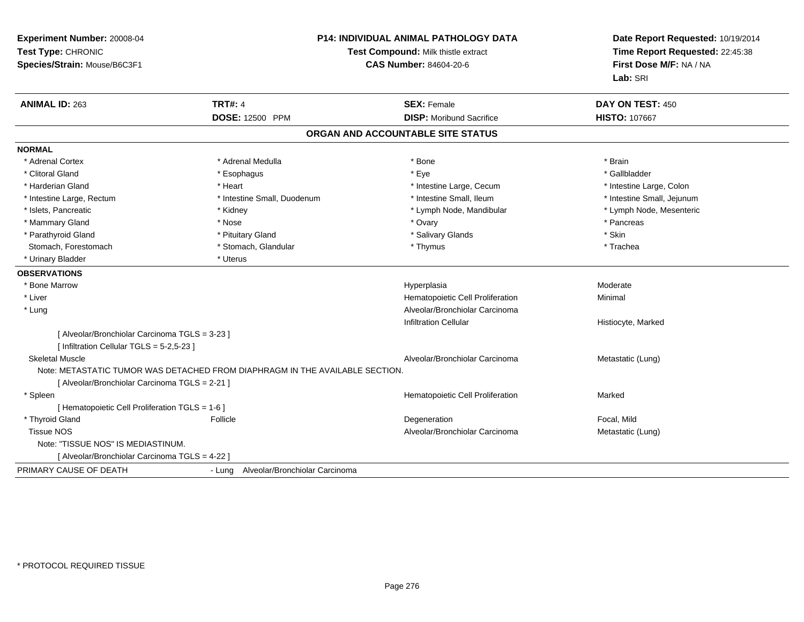| Experiment Number: 20008-04<br>Test Type: CHRONIC<br>Species/Strain: Mouse/B6C3F1           |                                                                              | <b>P14: INDIVIDUAL ANIMAL PATHOLOGY DATA</b><br>Test Compound: Milk thistle extract<br><b>CAS Number: 84604-20-6</b> | Date Report Requested: 10/19/2014<br>Time Report Requested: 22:45:38<br>First Dose M/F: NA / NA<br>Lab: SRI |
|---------------------------------------------------------------------------------------------|------------------------------------------------------------------------------|----------------------------------------------------------------------------------------------------------------------|-------------------------------------------------------------------------------------------------------------|
| <b>ANIMAL ID: 263</b>                                                                       | <b>TRT#: 4</b>                                                               | <b>SEX: Female</b>                                                                                                   | DAY ON TEST: 450                                                                                            |
|                                                                                             | DOSE: 12500 PPM                                                              | <b>DISP:</b> Moribund Sacrifice                                                                                      | <b>HISTO: 107667</b>                                                                                        |
|                                                                                             |                                                                              | ORGAN AND ACCOUNTABLE SITE STATUS                                                                                    |                                                                                                             |
| <b>NORMAL</b>                                                                               |                                                                              |                                                                                                                      |                                                                                                             |
| * Adrenal Cortex                                                                            | * Adrenal Medulla                                                            | * Bone                                                                                                               | * Brain                                                                                                     |
| * Clitoral Gland                                                                            | * Esophagus                                                                  | * Eye                                                                                                                | * Gallbladder                                                                                               |
| * Harderian Gland                                                                           | * Heart                                                                      | * Intestine Large, Cecum                                                                                             | * Intestine Large, Colon                                                                                    |
| * Intestine Large, Rectum                                                                   | * Intestine Small, Duodenum                                                  | * Intestine Small, Ileum                                                                                             | * Intestine Small, Jejunum                                                                                  |
| * Islets, Pancreatic                                                                        | * Kidney                                                                     | * Lymph Node, Mandibular                                                                                             | * Lymph Node, Mesenteric                                                                                    |
| * Mammary Gland                                                                             | * Nose                                                                       | * Ovary                                                                                                              | * Pancreas                                                                                                  |
| * Parathyroid Gland                                                                         | * Pituitary Gland                                                            | * Salivary Glands                                                                                                    | * Skin                                                                                                      |
| Stomach, Forestomach                                                                        | * Stomach, Glandular                                                         | * Thymus                                                                                                             | * Trachea                                                                                                   |
| * Urinary Bladder                                                                           | * Uterus                                                                     |                                                                                                                      |                                                                                                             |
| <b>OBSERVATIONS</b>                                                                         |                                                                              |                                                                                                                      |                                                                                                             |
| * Bone Marrow                                                                               |                                                                              | Hyperplasia                                                                                                          | Moderate                                                                                                    |
| * Liver                                                                                     |                                                                              | Hematopoietic Cell Proliferation                                                                                     | Minimal                                                                                                     |
| * Lung                                                                                      |                                                                              | Alveolar/Bronchiolar Carcinoma                                                                                       |                                                                                                             |
|                                                                                             |                                                                              | <b>Infiltration Cellular</b>                                                                                         | Histiocyte, Marked                                                                                          |
| [ Alveolar/Bronchiolar Carcinoma TGLS = 3-23 ]<br>[ Infiltration Cellular TGLS = 5-2,5-23 ] |                                                                              |                                                                                                                      |                                                                                                             |
| <b>Skeletal Muscle</b>                                                                      |                                                                              | Alveolar/Bronchiolar Carcinoma                                                                                       | Metastatic (Lung)                                                                                           |
|                                                                                             | Note: METASTATIC TUMOR WAS DETACHED FROM DIAPHRAGM IN THE AVAILABLE SECTION. |                                                                                                                      |                                                                                                             |
| [ Alveolar/Bronchiolar Carcinoma TGLS = 2-21 ]                                              |                                                                              |                                                                                                                      |                                                                                                             |
| * Spleen                                                                                    |                                                                              | Hematopoietic Cell Proliferation                                                                                     | Marked                                                                                                      |
| [ Hematopoietic Cell Proliferation TGLS = 1-6 ]                                             |                                                                              |                                                                                                                      |                                                                                                             |
| * Thyroid Gland                                                                             | Follicle                                                                     | Degeneration                                                                                                         | Focal, Mild                                                                                                 |
| <b>Tissue NOS</b>                                                                           |                                                                              | Alveolar/Bronchiolar Carcinoma                                                                                       | Metastatic (Lung)                                                                                           |
| Note: "TISSUE NOS" IS MEDIASTINUM.                                                          |                                                                              |                                                                                                                      |                                                                                                             |
| [ Alveolar/Bronchiolar Carcinoma TGLS = 4-22 ]                                              |                                                                              |                                                                                                                      |                                                                                                             |
| PRIMARY CAUSE OF DEATH                                                                      | - Lung Alveolar/Bronchiolar Carcinoma                                        |                                                                                                                      |                                                                                                             |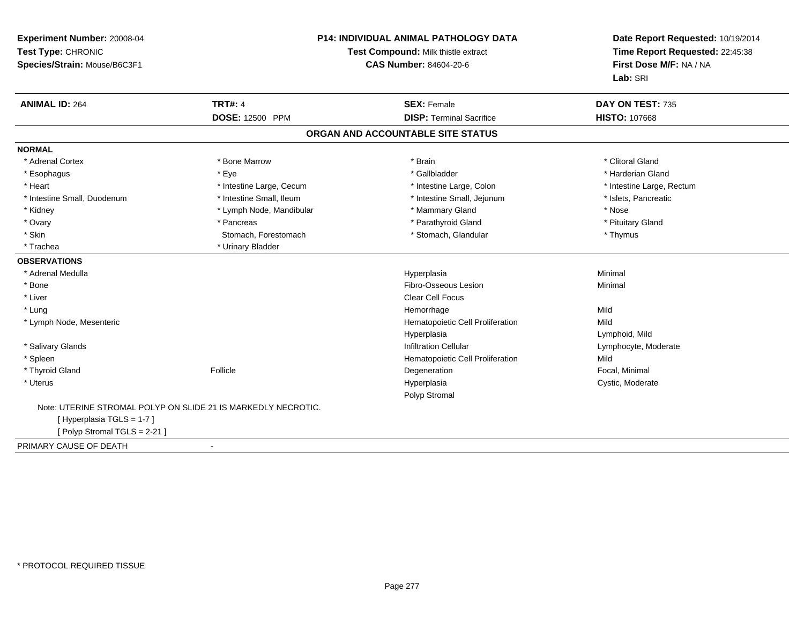| Experiment Number: 20008-04<br>Test Type: CHRONIC<br>Species/Strain: Mouse/B6C3F1 | <b>P14: INDIVIDUAL ANIMAL PATHOLOGY DATA</b><br>Test Compound: Milk thistle extract<br><b>CAS Number: 84604-20-6</b> |                                                       | Date Report Requested: 10/19/2014<br>Time Report Requested: 22:45:38<br>First Dose M/F: NA / NA<br>Lab: SRI |
|-----------------------------------------------------------------------------------|----------------------------------------------------------------------------------------------------------------------|-------------------------------------------------------|-------------------------------------------------------------------------------------------------------------|
| <b>ANIMAL ID: 264</b>                                                             | <b>TRT#: 4</b><br>DOSE: 12500 PPM                                                                                    | <b>SEX: Female</b><br><b>DISP: Terminal Sacrifice</b> | DAY ON TEST: 735<br>HISTO: 107668                                                                           |
|                                                                                   |                                                                                                                      | ORGAN AND ACCOUNTABLE SITE STATUS                     |                                                                                                             |
|                                                                                   |                                                                                                                      |                                                       |                                                                                                             |
| <b>NORMAL</b>                                                                     |                                                                                                                      |                                                       |                                                                                                             |
| * Adrenal Cortex                                                                  | * Bone Marrow                                                                                                        | * Brain                                               | * Clitoral Gland                                                                                            |
| * Esophagus                                                                       | * Eve                                                                                                                | * Gallbladder                                         | * Harderian Gland                                                                                           |
| * Heart                                                                           | * Intestine Large, Cecum                                                                                             | * Intestine Large, Colon                              | * Intestine Large, Rectum                                                                                   |
| * Intestine Small, Duodenum                                                       | * Intestine Small, Ileum                                                                                             | * Intestine Small, Jejunum                            | * Islets, Pancreatic                                                                                        |
| * Kidney                                                                          | * Lymph Node, Mandibular                                                                                             | * Mammary Gland                                       | * Nose                                                                                                      |
| * Ovary                                                                           | * Pancreas                                                                                                           | * Parathyroid Gland                                   | * Pituitary Gland                                                                                           |
| * Skin                                                                            | Stomach, Forestomach                                                                                                 | * Stomach, Glandular                                  | * Thymus                                                                                                    |
| * Trachea                                                                         | * Urinary Bladder                                                                                                    |                                                       |                                                                                                             |
| <b>OBSERVATIONS</b>                                                               |                                                                                                                      |                                                       |                                                                                                             |
| * Adrenal Medulla                                                                 |                                                                                                                      | Hyperplasia                                           | Minimal                                                                                                     |
| * Bone                                                                            |                                                                                                                      | Fibro-Osseous Lesion                                  | Minimal                                                                                                     |
| * Liver                                                                           |                                                                                                                      | <b>Clear Cell Focus</b>                               |                                                                                                             |
| * Lung                                                                            |                                                                                                                      | Hemorrhage                                            | Mild                                                                                                        |
| * Lymph Node, Mesenteric                                                          |                                                                                                                      | Hematopoietic Cell Proliferation                      | Mild                                                                                                        |
|                                                                                   |                                                                                                                      | Hyperplasia                                           | Lymphoid, Mild                                                                                              |
| * Salivary Glands                                                                 |                                                                                                                      | <b>Infiltration Cellular</b>                          | Lymphocyte, Moderate                                                                                        |
| * Spleen                                                                          |                                                                                                                      | Hematopoietic Cell Proliferation                      | Mild                                                                                                        |
| * Thyroid Gland                                                                   | Follicle                                                                                                             | Degeneration                                          | Focal, Minimal                                                                                              |
| * Uterus                                                                          |                                                                                                                      | Hyperplasia                                           | Cystic, Moderate                                                                                            |
|                                                                                   |                                                                                                                      | Polyp Stromal                                         |                                                                                                             |
| Note: UTERINE STROMAL POLYP ON SLIDE 21 IS MARKEDLY NECROTIC.                     |                                                                                                                      |                                                       |                                                                                                             |
| [Hyperplasia TGLS = 1-7]                                                          |                                                                                                                      |                                                       |                                                                                                             |
| [Polyp Stromal TGLS = 2-21]                                                       |                                                                                                                      |                                                       |                                                                                                             |
| PRIMARY CAUSE OF DEATH                                                            | $\blacksquare$                                                                                                       |                                                       |                                                                                                             |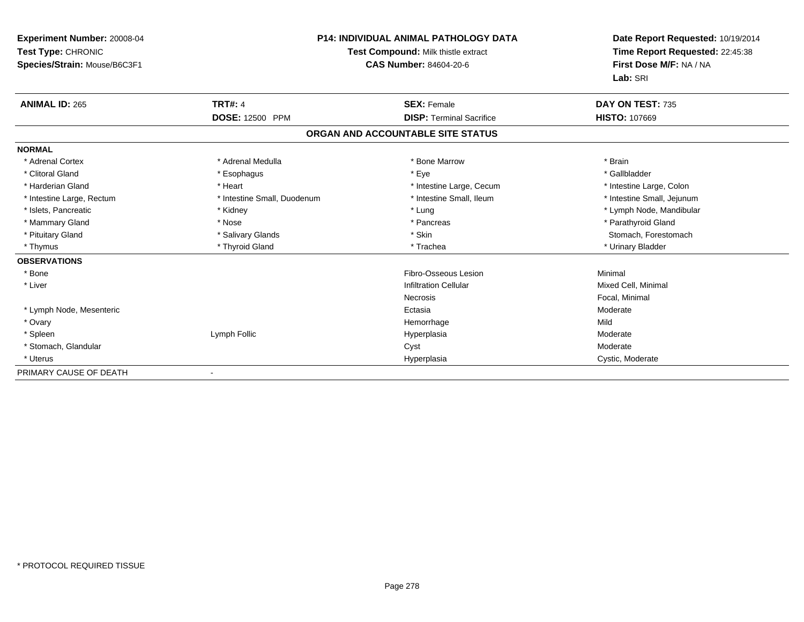| <b>Experiment Number: 20008-04</b><br>Test Type: CHRONIC<br>Species/Strain: Mouse/B6C3F1 |                             | <b>P14: INDIVIDUAL ANIMAL PATHOLOGY DATA</b><br>Test Compound: Milk thistle extract<br><b>CAS Number: 84604-20-6</b> | Date Report Requested: 10/19/2014<br>Time Report Requested: 22:45:38<br>First Dose M/F: NA / NA<br>Lab: SRI |
|------------------------------------------------------------------------------------------|-----------------------------|----------------------------------------------------------------------------------------------------------------------|-------------------------------------------------------------------------------------------------------------|
| <b>ANIMAL ID: 265</b>                                                                    | <b>TRT#: 4</b>              | <b>SEX: Female</b>                                                                                                   | DAY ON TEST: 735                                                                                            |
|                                                                                          | <b>DOSE: 12500 PPM</b>      | <b>DISP: Terminal Sacrifice</b>                                                                                      | <b>HISTO: 107669</b>                                                                                        |
|                                                                                          |                             | ORGAN AND ACCOUNTABLE SITE STATUS                                                                                    |                                                                                                             |
| <b>NORMAL</b>                                                                            |                             |                                                                                                                      |                                                                                                             |
| * Adrenal Cortex                                                                         | * Adrenal Medulla           | * Bone Marrow                                                                                                        | * Brain                                                                                                     |
| * Clitoral Gland                                                                         | * Esophagus                 | * Eye                                                                                                                | * Gallbladder                                                                                               |
| * Harderian Gland                                                                        | * Heart                     | * Intestine Large, Cecum                                                                                             | * Intestine Large, Colon                                                                                    |
| * Intestine Large, Rectum                                                                | * Intestine Small, Duodenum | * Intestine Small. Ileum                                                                                             | * Intestine Small, Jejunum                                                                                  |
| * Islets, Pancreatic                                                                     | * Kidney                    | * Lung                                                                                                               | * Lymph Node, Mandibular                                                                                    |
| * Mammary Gland                                                                          | * Nose                      | * Pancreas                                                                                                           | * Parathyroid Gland                                                                                         |
| * Pituitary Gland                                                                        | * Salivary Glands           | * Skin                                                                                                               | Stomach, Forestomach                                                                                        |
| * Thymus                                                                                 | * Thyroid Gland             | * Trachea                                                                                                            | * Urinary Bladder                                                                                           |
| <b>OBSERVATIONS</b>                                                                      |                             |                                                                                                                      |                                                                                                             |
| * Bone                                                                                   |                             | Fibro-Osseous Lesion                                                                                                 | Minimal                                                                                                     |
| * Liver                                                                                  |                             | <b>Infiltration Cellular</b>                                                                                         | Mixed Cell, Minimal                                                                                         |
|                                                                                          |                             | <b>Necrosis</b>                                                                                                      | Focal, Minimal                                                                                              |
| * Lymph Node, Mesenteric                                                                 |                             | Ectasia                                                                                                              | Moderate                                                                                                    |
| * Ovary                                                                                  |                             | Hemorrhage                                                                                                           | Mild                                                                                                        |
| * Spleen                                                                                 | Lymph Follic                | Hyperplasia                                                                                                          | Moderate                                                                                                    |
| * Stomach, Glandular                                                                     |                             | Cyst                                                                                                                 | Moderate                                                                                                    |
| * Uterus                                                                                 |                             | Hyperplasia                                                                                                          | Cystic, Moderate                                                                                            |
| PRIMARY CAUSE OF DEATH                                                                   |                             |                                                                                                                      |                                                                                                             |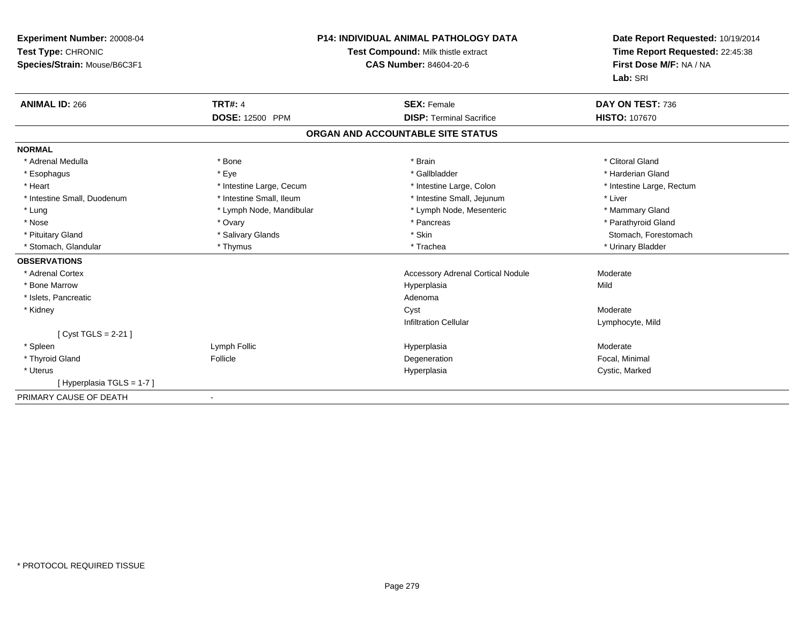| Experiment Number: 20008-04<br>Test Type: CHRONIC<br>Species/Strain: Mouse/B6C3F1 |                          | <b>P14: INDIVIDUAL ANIMAL PATHOLOGY DATA</b><br>Test Compound: Milk thistle extract<br><b>CAS Number: 84604-20-6</b> | Date Report Requested: 10/19/2014<br>Time Report Requested: 22:45:38<br>First Dose M/F: NA / NA<br>Lab: SRI |
|-----------------------------------------------------------------------------------|--------------------------|----------------------------------------------------------------------------------------------------------------------|-------------------------------------------------------------------------------------------------------------|
| <b>ANIMAL ID: 266</b>                                                             | <b>TRT#: 4</b>           | <b>SEX: Female</b>                                                                                                   | DAY ON TEST: 736                                                                                            |
|                                                                                   | DOSE: 12500 PPM          | <b>DISP: Terminal Sacrifice</b>                                                                                      | <b>HISTO: 107670</b>                                                                                        |
|                                                                                   |                          | ORGAN AND ACCOUNTABLE SITE STATUS                                                                                    |                                                                                                             |
| <b>NORMAL</b>                                                                     |                          |                                                                                                                      |                                                                                                             |
| * Adrenal Medulla                                                                 | * Bone                   | * Brain                                                                                                              | * Clitoral Gland                                                                                            |
| * Esophagus                                                                       | * Eye                    | * Gallbladder                                                                                                        | * Harderian Gland                                                                                           |
| * Heart                                                                           | * Intestine Large, Cecum | * Intestine Large, Colon                                                                                             | * Intestine Large, Rectum                                                                                   |
| * Intestine Small, Duodenum                                                       | * Intestine Small, Ileum | * Intestine Small, Jejunum                                                                                           | * Liver                                                                                                     |
| * Lung                                                                            | * Lymph Node, Mandibular | * Lymph Node, Mesenteric                                                                                             | * Mammary Gland                                                                                             |
| * Nose                                                                            | * Ovary                  | * Pancreas                                                                                                           | * Parathyroid Gland                                                                                         |
| * Pituitary Gland                                                                 | * Salivary Glands        | * Skin                                                                                                               | Stomach, Forestomach                                                                                        |
| * Stomach, Glandular                                                              | * Thymus                 | * Trachea                                                                                                            | * Urinary Bladder                                                                                           |
| <b>OBSERVATIONS</b>                                                               |                          |                                                                                                                      |                                                                                                             |
| * Adrenal Cortex                                                                  |                          | <b>Accessory Adrenal Cortical Nodule</b>                                                                             | Moderate                                                                                                    |
| * Bone Marrow                                                                     |                          | Hyperplasia                                                                                                          | Mild                                                                                                        |
| * Islets, Pancreatic                                                              |                          | Adenoma                                                                                                              |                                                                                                             |
| * Kidney                                                                          |                          | Cyst                                                                                                                 | Moderate                                                                                                    |
|                                                                                   |                          | <b>Infiltration Cellular</b>                                                                                         | Lymphocyte, Mild                                                                                            |
| [Cyst TGLS = $2-21$ ]                                                             |                          |                                                                                                                      |                                                                                                             |
| * Spleen                                                                          | Lymph Follic             | Hyperplasia                                                                                                          | Moderate                                                                                                    |
| * Thyroid Gland                                                                   | Follicle                 | Degeneration                                                                                                         | Focal, Minimal                                                                                              |
| * Uterus                                                                          |                          | Hyperplasia                                                                                                          | Cystic, Marked                                                                                              |
| [Hyperplasia TGLS = 1-7]                                                          |                          |                                                                                                                      |                                                                                                             |
| PRIMARY CAUSE OF DEATH                                                            | $\blacksquare$           |                                                                                                                      |                                                                                                             |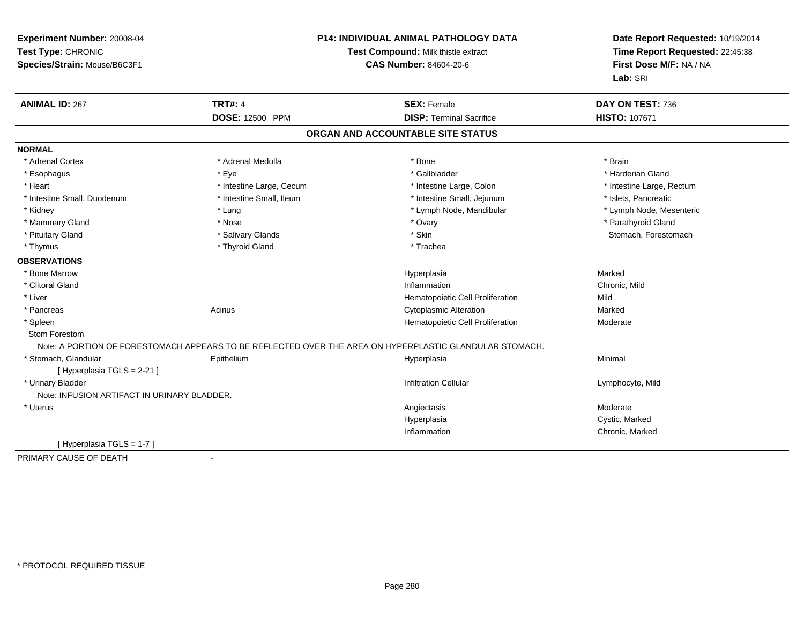| Experiment Number: 20008-04<br>Test Type: CHRONIC<br>Species/Strain: Mouse/B6C3F1 | <b>P14: INDIVIDUAL ANIMAL PATHOLOGY DATA</b><br>Test Compound: Milk thistle extract<br><b>CAS Number: 84604-20-6</b> |                                                                                                         | Date Report Requested: 10/19/2014<br>Time Report Requested: 22:45:38<br>First Dose M/F: NA / NA<br>Lab: SRI |
|-----------------------------------------------------------------------------------|----------------------------------------------------------------------------------------------------------------------|---------------------------------------------------------------------------------------------------------|-------------------------------------------------------------------------------------------------------------|
| <b>ANIMAL ID: 267</b>                                                             | <b>TRT#: 4</b>                                                                                                       | <b>SEX: Female</b>                                                                                      | DAY ON TEST: 736                                                                                            |
|                                                                                   | DOSE: 12500 PPM                                                                                                      | <b>DISP: Terminal Sacrifice</b>                                                                         | HISTO: 107671                                                                                               |
|                                                                                   |                                                                                                                      | ORGAN AND ACCOUNTABLE SITE STATUS                                                                       |                                                                                                             |
| <b>NORMAL</b>                                                                     |                                                                                                                      |                                                                                                         |                                                                                                             |
| * Adrenal Cortex                                                                  | * Adrenal Medulla                                                                                                    | * Bone                                                                                                  | * Brain                                                                                                     |
| * Esophagus                                                                       | * Eye                                                                                                                | * Gallbladder                                                                                           | * Harderian Gland                                                                                           |
| * Heart                                                                           | * Intestine Large, Cecum                                                                                             | * Intestine Large, Colon                                                                                | * Intestine Large, Rectum                                                                                   |
| * Intestine Small, Duodenum                                                       | * Intestine Small, Ileum                                                                                             | * Intestine Small, Jejunum                                                                              | * Islets, Pancreatic                                                                                        |
| * Kidney                                                                          | * Lung                                                                                                               | * Lymph Node, Mandibular                                                                                | * Lymph Node, Mesenteric                                                                                    |
| * Mammary Gland                                                                   | * Nose                                                                                                               | * Ovary                                                                                                 | * Parathyroid Gland                                                                                         |
| * Pituitary Gland                                                                 | * Salivary Glands                                                                                                    | * Skin                                                                                                  | Stomach, Forestomach                                                                                        |
| * Thymus                                                                          | * Thyroid Gland                                                                                                      | * Trachea                                                                                               |                                                                                                             |
| <b>OBSERVATIONS</b>                                                               |                                                                                                                      |                                                                                                         |                                                                                                             |
| * Bone Marrow                                                                     |                                                                                                                      | Hyperplasia                                                                                             | Marked                                                                                                      |
| * Clitoral Gland                                                                  |                                                                                                                      | Inflammation                                                                                            | Chronic, Mild                                                                                               |
| * Liver                                                                           |                                                                                                                      | Hematopoietic Cell Proliferation                                                                        | Mild                                                                                                        |
| * Pancreas                                                                        | Acinus                                                                                                               | <b>Cytoplasmic Alteration</b>                                                                           | Marked                                                                                                      |
| * Spleen                                                                          |                                                                                                                      | Hematopoietic Cell Proliferation                                                                        | Moderate                                                                                                    |
| Stom Forestom                                                                     |                                                                                                                      |                                                                                                         |                                                                                                             |
|                                                                                   |                                                                                                                      | Note: A PORTION OF FORESTOMACH APPEARS TO BE REFLECTED OVER THE AREA ON HYPERPLASTIC GLANDULAR STOMACH. |                                                                                                             |
| * Stomach, Glandular<br>[ Hyperplasia TGLS = 2-21 ]                               | Epithelium                                                                                                           | Hyperplasia                                                                                             | Minimal                                                                                                     |
| * Urinary Bladder                                                                 |                                                                                                                      | <b>Infiltration Cellular</b>                                                                            | Lymphocyte, Mild                                                                                            |
| Note: INFUSION ARTIFACT IN URINARY BLADDER.                                       |                                                                                                                      |                                                                                                         |                                                                                                             |
| * Uterus                                                                          |                                                                                                                      | Angiectasis                                                                                             | Moderate                                                                                                    |
|                                                                                   |                                                                                                                      | Hyperplasia                                                                                             | Cystic, Marked                                                                                              |
|                                                                                   |                                                                                                                      | Inflammation                                                                                            | Chronic, Marked                                                                                             |
| [Hyperplasia TGLS = 1-7]                                                          |                                                                                                                      |                                                                                                         |                                                                                                             |
| PRIMARY CAUSE OF DEATH                                                            | $\sim$                                                                                                               |                                                                                                         |                                                                                                             |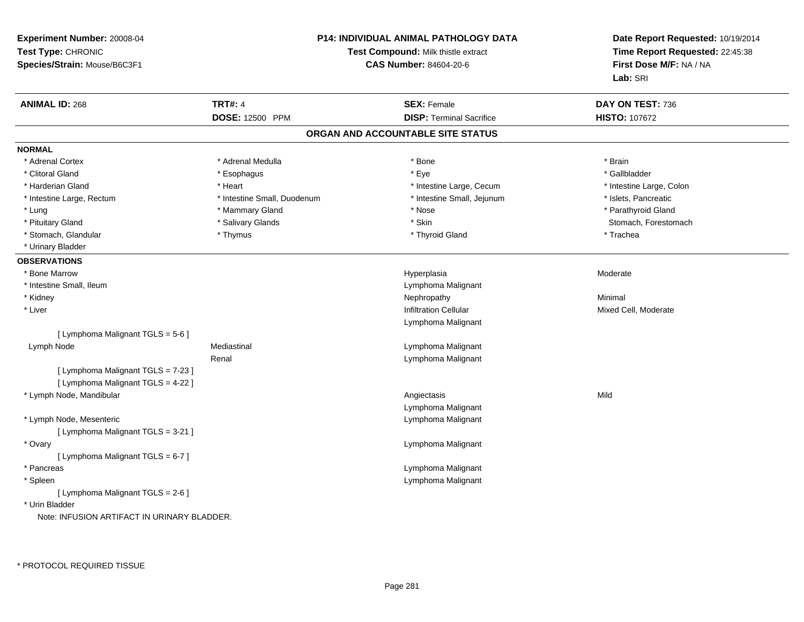| Experiment Number: 20008-04<br>Test Type: CHRONIC<br>Species/Strain: Mouse/B6C3F1 |                             | <b>P14: INDIVIDUAL ANIMAL PATHOLOGY DATA</b><br>Test Compound: Milk thistle extract<br><b>CAS Number: 84604-20-6</b> | Date Report Requested: 10/19/2014<br>Time Report Requested: 22:45:38<br>First Dose M/F: NA / NA<br>Lab: SRI |
|-----------------------------------------------------------------------------------|-----------------------------|----------------------------------------------------------------------------------------------------------------------|-------------------------------------------------------------------------------------------------------------|
| <b>ANIMAL ID: 268</b>                                                             | <b>TRT#: 4</b>              | <b>SEX: Female</b>                                                                                                   | DAY ON TEST: 736                                                                                            |
|                                                                                   | DOSE: 12500 PPM             | <b>DISP: Terminal Sacrifice</b>                                                                                      | HISTO: 107672                                                                                               |
|                                                                                   |                             | ORGAN AND ACCOUNTABLE SITE STATUS                                                                                    |                                                                                                             |
| <b>NORMAL</b>                                                                     |                             |                                                                                                                      |                                                                                                             |
| * Adrenal Cortex                                                                  | * Adrenal Medulla           | * Bone                                                                                                               | * Brain                                                                                                     |
| * Clitoral Gland                                                                  | * Esophagus                 | * Eye                                                                                                                | * Gallbladder                                                                                               |
| * Harderian Gland                                                                 | * Heart                     | * Intestine Large, Cecum                                                                                             | * Intestine Large, Colon                                                                                    |
| * Intestine Large, Rectum                                                         | * Intestine Small, Duodenum | * Intestine Small, Jejunum                                                                                           | * Islets, Pancreatic                                                                                        |
| * Lung                                                                            | * Mammary Gland             | * Nose                                                                                                               | * Parathyroid Gland                                                                                         |
| * Pituitary Gland                                                                 | * Salivary Glands           | * Skin                                                                                                               | Stomach, Forestomach                                                                                        |
| * Stomach, Glandular                                                              | * Thymus                    | * Thyroid Gland                                                                                                      | * Trachea                                                                                                   |
| * Urinary Bladder                                                                 |                             |                                                                                                                      |                                                                                                             |
| <b>OBSERVATIONS</b>                                                               |                             |                                                                                                                      |                                                                                                             |
| * Bone Marrow                                                                     |                             | Hyperplasia                                                                                                          | Moderate                                                                                                    |
| * Intestine Small, Ileum                                                          |                             | Lymphoma Malignant                                                                                                   |                                                                                                             |
| * Kidney                                                                          |                             | Nephropathy                                                                                                          | Minimal                                                                                                     |
| * Liver                                                                           |                             | <b>Infiltration Cellular</b>                                                                                         | Mixed Cell, Moderate                                                                                        |
|                                                                                   |                             | Lymphoma Malignant                                                                                                   |                                                                                                             |
| [ Lymphoma Malignant TGLS = 5-6 ]                                                 |                             |                                                                                                                      |                                                                                                             |
| Lymph Node                                                                        | Mediastinal                 | Lymphoma Malignant                                                                                                   |                                                                                                             |
|                                                                                   | Renal                       | Lymphoma Malignant                                                                                                   |                                                                                                             |
| [ Lymphoma Malignant TGLS = 7-23 ]                                                |                             |                                                                                                                      |                                                                                                             |
| [ Lymphoma Malignant TGLS = 4-22 ]                                                |                             |                                                                                                                      |                                                                                                             |
| * Lymph Node, Mandibular                                                          |                             | Angiectasis                                                                                                          | Mild                                                                                                        |
|                                                                                   |                             | Lymphoma Malignant                                                                                                   |                                                                                                             |
| * Lymph Node, Mesenteric                                                          |                             | Lymphoma Malignant                                                                                                   |                                                                                                             |
| [ Lymphoma Malignant TGLS = 3-21 ]                                                |                             |                                                                                                                      |                                                                                                             |
| * Ovary                                                                           |                             | Lymphoma Malignant                                                                                                   |                                                                                                             |
| [ Lymphoma Malignant TGLS = 6-7 ]                                                 |                             |                                                                                                                      |                                                                                                             |
| * Pancreas                                                                        |                             | Lymphoma Malignant                                                                                                   |                                                                                                             |
| * Spleen                                                                          |                             | Lymphoma Malignant                                                                                                   |                                                                                                             |
| [ Lymphoma Malignant TGLS = 2-6 ]                                                 |                             |                                                                                                                      |                                                                                                             |
| * Urin Bladder                                                                    |                             |                                                                                                                      |                                                                                                             |
| Note: INFUSION ARTIFACT IN URINARY BLADDER.                                       |                             |                                                                                                                      |                                                                                                             |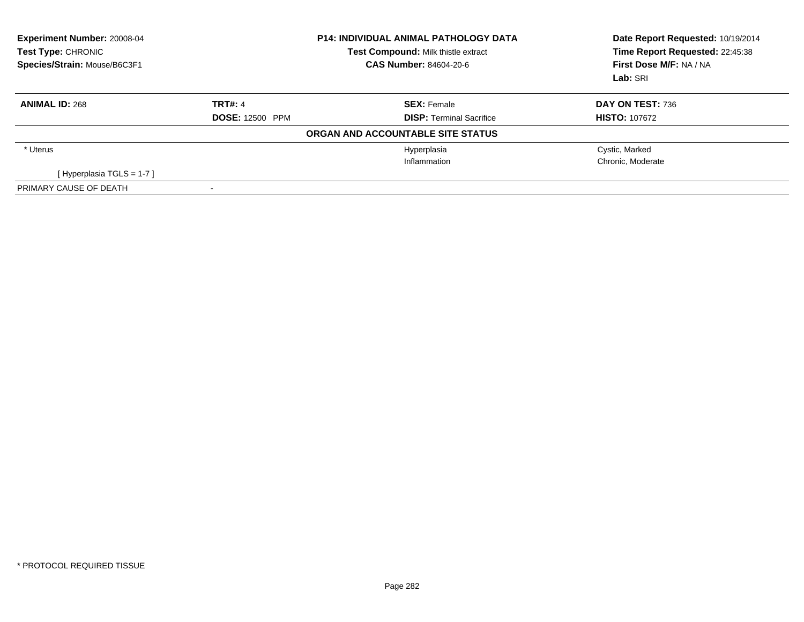| Experiment Number: 20008-04<br>Test Type: CHRONIC<br>Species/Strain: Mouse/B6C3F1 | <b>P14: INDIVIDUAL ANIMAL PATHOLOGY DATA</b><br><b>Test Compound: Milk thistle extract</b><br><b>CAS Number: 84604-20-6</b> |                                   | Date Report Requested: 10/19/2014<br>Time Report Requested: 22:45:38<br>First Dose M/F: NA / NA<br>Lab: SRI |
|-----------------------------------------------------------------------------------|-----------------------------------------------------------------------------------------------------------------------------|-----------------------------------|-------------------------------------------------------------------------------------------------------------|
| <b>ANIMAL ID: 268</b>                                                             | <b>TRT#: 4</b>                                                                                                              | <b>SEX: Female</b>                | DAY ON TEST: 736                                                                                            |
|                                                                                   | <b>DOSE: 12500 PPM</b>                                                                                                      | <b>DISP:</b> Terminal Sacrifice   | <b>HISTO: 107672</b>                                                                                        |
|                                                                                   |                                                                                                                             | ORGAN AND ACCOUNTABLE SITE STATUS |                                                                                                             |
| * Uterus                                                                          |                                                                                                                             | Hyperplasia                       | Cystic, Marked                                                                                              |
|                                                                                   |                                                                                                                             | Inflammation                      | Chronic, Moderate                                                                                           |
| [Hyperplasia TGLS = 1-7]                                                          |                                                                                                                             |                                   |                                                                                                             |
| PRIMARY CAUSE OF DEATH                                                            |                                                                                                                             |                                   |                                                                                                             |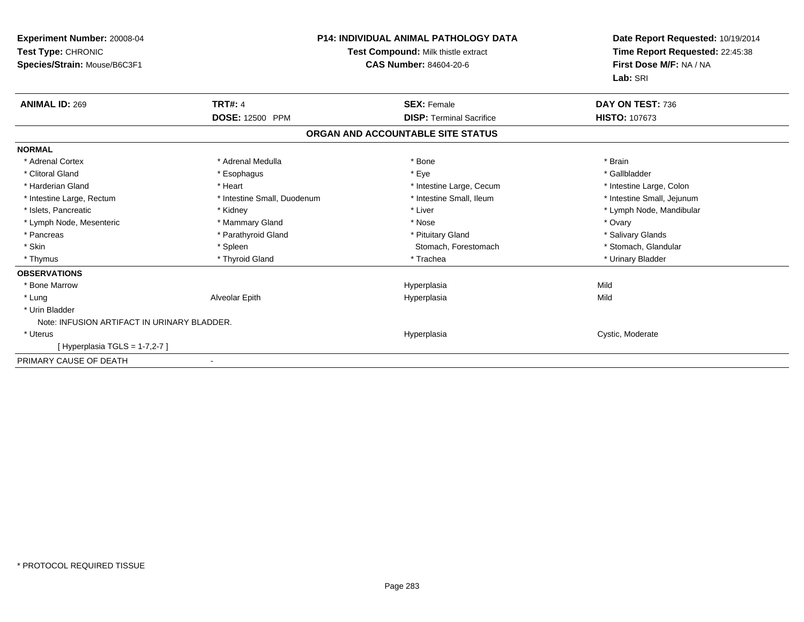| <b>Experiment Number: 20008-04</b><br>Test Type: CHRONIC<br>Species/Strain: Mouse/B6C3F1 | <b>P14: INDIVIDUAL ANIMAL PATHOLOGY DATA</b><br>Test Compound: Milk thistle extract<br><b>CAS Number: 84604-20-6</b> |                                   | Date Report Requested: 10/19/2014<br>Time Report Requested: 22:45:38<br>First Dose M/F: NA / NA<br>Lab: SRI |  |
|------------------------------------------------------------------------------------------|----------------------------------------------------------------------------------------------------------------------|-----------------------------------|-------------------------------------------------------------------------------------------------------------|--|
| <b>ANIMAL ID: 269</b>                                                                    | <b>TRT#: 4</b>                                                                                                       | <b>SEX: Female</b>                | DAY ON TEST: 736                                                                                            |  |
|                                                                                          | DOSE: 12500 PPM                                                                                                      | <b>DISP: Terminal Sacrifice</b>   | HISTO: 107673                                                                                               |  |
|                                                                                          |                                                                                                                      | ORGAN AND ACCOUNTABLE SITE STATUS |                                                                                                             |  |
| <b>NORMAL</b>                                                                            |                                                                                                                      |                                   |                                                                                                             |  |
| * Adrenal Cortex                                                                         | * Adrenal Medulla                                                                                                    | * Bone                            | * Brain                                                                                                     |  |
| * Clitoral Gland                                                                         | * Esophagus                                                                                                          | * Eye                             | * Gallbladder                                                                                               |  |
| * Harderian Gland                                                                        | * Heart                                                                                                              | * Intestine Large, Cecum          | * Intestine Large, Colon                                                                                    |  |
| * Intestine Large, Rectum                                                                | * Intestine Small, Duodenum                                                                                          | * Intestine Small, Ileum          | * Intestine Small, Jejunum                                                                                  |  |
| * Islets, Pancreatic                                                                     | * Kidney                                                                                                             | * Liver                           | * Lymph Node, Mandibular                                                                                    |  |
| * Lymph Node, Mesenteric                                                                 | * Mammary Gland                                                                                                      | * Nose                            | * Ovary                                                                                                     |  |
| * Pancreas                                                                               | * Parathyroid Gland                                                                                                  | * Pituitary Gland                 | * Salivary Glands                                                                                           |  |
| * Skin                                                                                   | * Spleen                                                                                                             | Stomach, Forestomach              | * Stomach, Glandular                                                                                        |  |
| * Thymus                                                                                 | * Thyroid Gland                                                                                                      | * Trachea                         | * Urinary Bladder                                                                                           |  |
| <b>OBSERVATIONS</b>                                                                      |                                                                                                                      |                                   |                                                                                                             |  |
| * Bone Marrow                                                                            |                                                                                                                      | Hyperplasia                       | Mild                                                                                                        |  |
| * Lung                                                                                   | Alveolar Epith                                                                                                       | Hyperplasia                       | Mild                                                                                                        |  |
| * Urin Bladder                                                                           |                                                                                                                      |                                   |                                                                                                             |  |
| Note: INFUSION ARTIFACT IN URINARY BLADDER.                                              |                                                                                                                      |                                   |                                                                                                             |  |
| * Uterus                                                                                 |                                                                                                                      | Hyperplasia                       | Cystic, Moderate                                                                                            |  |
| [Hyperplasia TGLS = $1-7,2-7$ ]                                                          |                                                                                                                      |                                   |                                                                                                             |  |
| PRIMARY CAUSE OF DEATH                                                                   |                                                                                                                      |                                   |                                                                                                             |  |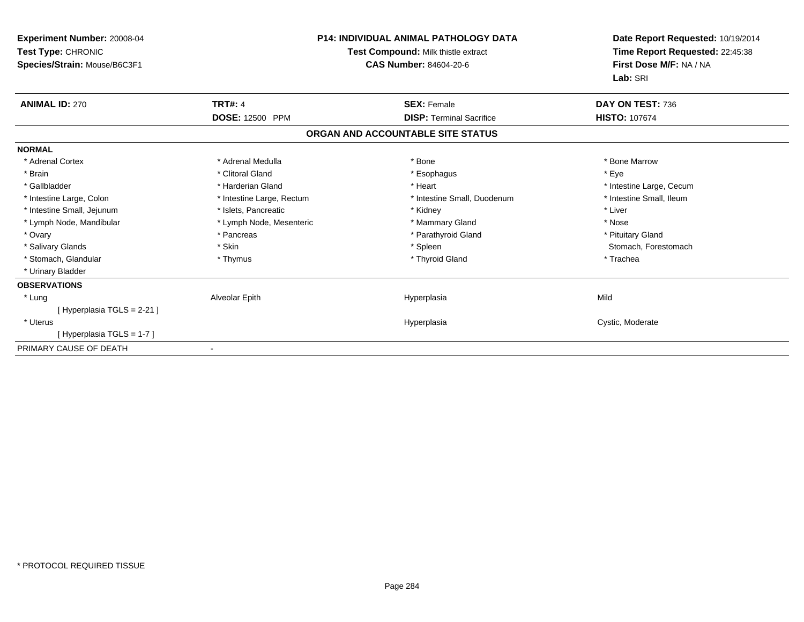| <b>Experiment Number: 20008-04</b><br>Test Type: CHRONIC<br>Species/Strain: Mouse/B6C3F1 | <b>P14: INDIVIDUAL ANIMAL PATHOLOGY DATA</b><br>Test Compound: Milk thistle extract<br><b>CAS Number: 84604-20-6</b> |                                   | Date Report Requested: 10/19/2014<br>Time Report Requested: 22:45:38<br>First Dose M/F: NA / NA<br>Lab: SRI |
|------------------------------------------------------------------------------------------|----------------------------------------------------------------------------------------------------------------------|-----------------------------------|-------------------------------------------------------------------------------------------------------------|
| <b>ANIMAL ID: 270</b>                                                                    | <b>TRT#: 4</b>                                                                                                       | <b>SEX: Female</b>                | DAY ON TEST: 736                                                                                            |
|                                                                                          | DOSE: 12500 PPM                                                                                                      | <b>DISP: Terminal Sacrifice</b>   | <b>HISTO: 107674</b>                                                                                        |
|                                                                                          |                                                                                                                      | ORGAN AND ACCOUNTABLE SITE STATUS |                                                                                                             |
| <b>NORMAL</b>                                                                            |                                                                                                                      |                                   |                                                                                                             |
| * Adrenal Cortex                                                                         | * Adrenal Medulla                                                                                                    | * Bone                            | * Bone Marrow                                                                                               |
| * Brain                                                                                  | * Clitoral Gland                                                                                                     | * Esophagus                       | * Eve                                                                                                       |
| * Gallbladder                                                                            | * Harderian Gland                                                                                                    | * Heart                           | * Intestine Large, Cecum                                                                                    |
| * Intestine Large, Colon                                                                 | * Intestine Large, Rectum                                                                                            | * Intestine Small, Duodenum       | * Intestine Small, Ileum                                                                                    |
| * Intestine Small, Jejunum                                                               | * Islets, Pancreatic                                                                                                 | * Kidney                          | * Liver                                                                                                     |
| * Lymph Node, Mandibular                                                                 | * Lymph Node, Mesenteric                                                                                             | * Mammary Gland                   | * Nose                                                                                                      |
| * Ovary                                                                                  | * Pancreas                                                                                                           | * Parathyroid Gland               | * Pituitary Gland                                                                                           |
| * Salivary Glands                                                                        | * Skin                                                                                                               | * Spleen                          | Stomach, Forestomach                                                                                        |
| * Stomach, Glandular                                                                     | * Thymus                                                                                                             | * Thyroid Gland                   | * Trachea                                                                                                   |
| * Urinary Bladder                                                                        |                                                                                                                      |                                   |                                                                                                             |
| <b>OBSERVATIONS</b>                                                                      |                                                                                                                      |                                   |                                                                                                             |
| * Lung                                                                                   | Alveolar Epith                                                                                                       | Hyperplasia                       | Mild                                                                                                        |
| [Hyperplasia TGLS = 2-21]                                                                |                                                                                                                      |                                   |                                                                                                             |
| * Uterus                                                                                 |                                                                                                                      | Hyperplasia                       | Cystic, Moderate                                                                                            |
| [Hyperplasia TGLS = 1-7]                                                                 |                                                                                                                      |                                   |                                                                                                             |
| PRIMARY CAUSE OF DEATH                                                                   |                                                                                                                      |                                   |                                                                                                             |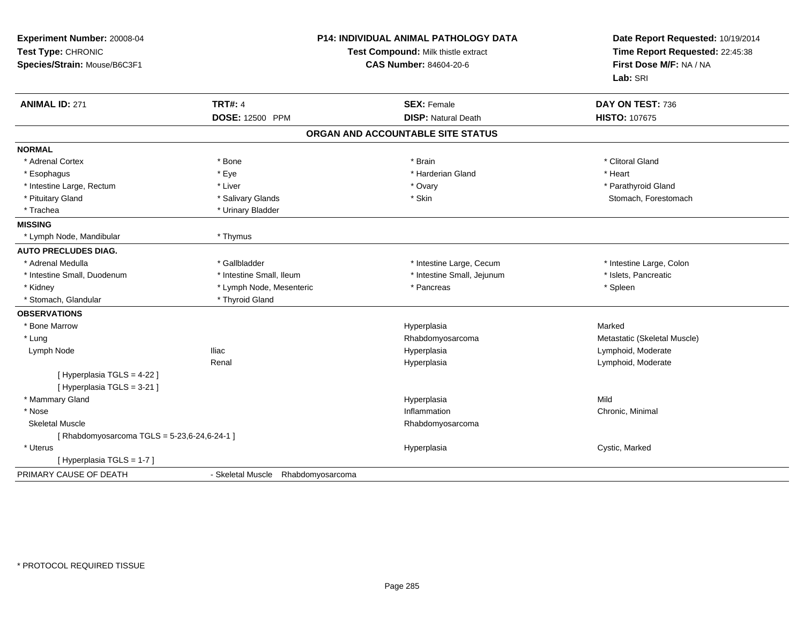| Experiment Number: 20008-04<br>Test Type: CHRONIC<br>Species/Strain: Mouse/B6C3F1 | P14: INDIVIDUAL ANIMAL PATHOLOGY DATA<br>Test Compound: Milk thistle extract<br><b>CAS Number: 84604-20-6</b> |                                                  | Date Report Requested: 10/19/2014<br>Time Report Requested: 22:45:38<br>First Dose M/F: NA / NA<br>Lab: SRI |  |
|-----------------------------------------------------------------------------------|---------------------------------------------------------------------------------------------------------------|--------------------------------------------------|-------------------------------------------------------------------------------------------------------------|--|
| <b>ANIMAL ID: 271</b>                                                             | <b>TRT#: 4</b><br><b>DOSE: 12500 PPM</b>                                                                      | <b>SEX: Female</b><br><b>DISP: Natural Death</b> | DAY ON TEST: 736<br><b>HISTO: 107675</b>                                                                    |  |
|                                                                                   |                                                                                                               | ORGAN AND ACCOUNTABLE SITE STATUS                |                                                                                                             |  |
| <b>NORMAL</b>                                                                     |                                                                                                               |                                                  |                                                                                                             |  |
| * Adrenal Cortex                                                                  | * Bone                                                                                                        | * Brain                                          | * Clitoral Gland                                                                                            |  |
| * Esophagus                                                                       | * Eye                                                                                                         | * Harderian Gland                                | * Heart                                                                                                     |  |
| * Intestine Large, Rectum                                                         | * Liver                                                                                                       | * Ovary                                          | * Parathyroid Gland                                                                                         |  |
| * Pituitary Gland                                                                 | * Salivary Glands                                                                                             | * Skin                                           | Stomach, Forestomach                                                                                        |  |
| * Trachea                                                                         | * Urinary Bladder                                                                                             |                                                  |                                                                                                             |  |
| <b>MISSING</b>                                                                    |                                                                                                               |                                                  |                                                                                                             |  |
| * Lymph Node, Mandibular                                                          | * Thymus                                                                                                      |                                                  |                                                                                                             |  |
| <b>AUTO PRECLUDES DIAG.</b>                                                       |                                                                                                               |                                                  |                                                                                                             |  |
| * Adrenal Medulla                                                                 | * Gallbladder                                                                                                 | * Intestine Large, Cecum                         | * Intestine Large, Colon                                                                                    |  |
| * Intestine Small, Duodenum                                                       | * Intestine Small, Ileum                                                                                      | * Intestine Small, Jejunum                       | * Islets, Pancreatic                                                                                        |  |
| * Kidney                                                                          | * Lymph Node, Mesenteric                                                                                      | * Pancreas                                       | * Spleen                                                                                                    |  |
| * Stomach, Glandular                                                              | * Thyroid Gland                                                                                               |                                                  |                                                                                                             |  |
| <b>OBSERVATIONS</b>                                                               |                                                                                                               |                                                  |                                                                                                             |  |
| * Bone Marrow                                                                     |                                                                                                               | Hyperplasia                                      | Marked                                                                                                      |  |
| * Lung                                                                            |                                                                                                               | Rhabdomyosarcoma                                 | Metastatic (Skeletal Muscle)                                                                                |  |
| Lymph Node                                                                        | Iliac                                                                                                         | Hyperplasia                                      | Lymphoid, Moderate                                                                                          |  |
|                                                                                   | Renal                                                                                                         | Hyperplasia                                      | Lymphoid, Moderate                                                                                          |  |
| [ Hyperplasia TGLS = 4-22 ]<br>[ Hyperplasia TGLS = 3-21 ]                        |                                                                                                               |                                                  |                                                                                                             |  |
| * Mammary Gland                                                                   |                                                                                                               | Hyperplasia                                      | Mild                                                                                                        |  |
| * Nose                                                                            |                                                                                                               | Inflammation                                     | Chronic, Minimal                                                                                            |  |
| <b>Skeletal Muscle</b>                                                            |                                                                                                               | Rhabdomyosarcoma                                 |                                                                                                             |  |
| [ Rhabdomyosarcoma TGLS = 5-23,6-24,6-24-1 ]                                      |                                                                                                               |                                                  |                                                                                                             |  |
| * Uterus                                                                          |                                                                                                               | Hyperplasia                                      | Cystic, Marked                                                                                              |  |
| [ Hyperplasia TGLS = 1-7 ]                                                        |                                                                                                               |                                                  |                                                                                                             |  |
| PRIMARY CAUSE OF DEATH                                                            | - Skeletal Muscle Rhabdomyosarcoma                                                                            |                                                  |                                                                                                             |  |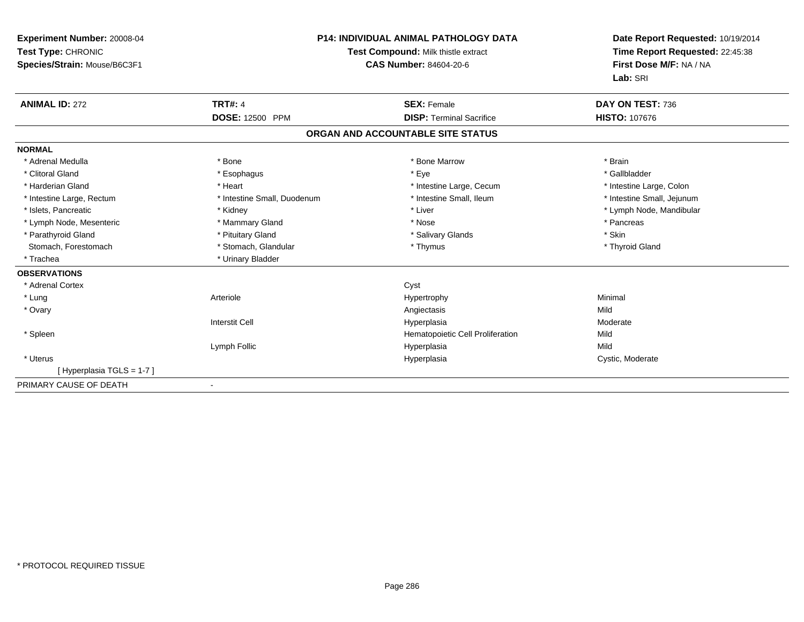| <b>Experiment Number: 20008-04</b><br>Test Type: CHRONIC<br>Species/Strain: Mouse/B6C3F1 |                             | <b>P14: INDIVIDUAL ANIMAL PATHOLOGY DATA</b><br>Test Compound: Milk thistle extract<br>CAS Number: 84604-20-6 | Date Report Requested: 10/19/2014<br>Time Report Requested: 22:45:38<br>First Dose M/F: NA / NA<br>Lab: SRI |
|------------------------------------------------------------------------------------------|-----------------------------|---------------------------------------------------------------------------------------------------------------|-------------------------------------------------------------------------------------------------------------|
| <b>ANIMAL ID: 272</b>                                                                    | <b>TRT#: 4</b>              | <b>SEX: Female</b>                                                                                            | DAY ON TEST: 736                                                                                            |
|                                                                                          | <b>DOSE: 12500 PPM</b>      | <b>DISP: Terminal Sacrifice</b>                                                                               | <b>HISTO: 107676</b>                                                                                        |
|                                                                                          |                             | ORGAN AND ACCOUNTABLE SITE STATUS                                                                             |                                                                                                             |
| <b>NORMAL</b>                                                                            |                             |                                                                                                               |                                                                                                             |
| * Adrenal Medulla                                                                        | * Bone                      | * Bone Marrow                                                                                                 | * Brain                                                                                                     |
| * Clitoral Gland                                                                         | * Esophagus                 | * Eye                                                                                                         | * Gallbladder                                                                                               |
| * Harderian Gland                                                                        | * Heart                     | * Intestine Large, Cecum                                                                                      | * Intestine Large, Colon                                                                                    |
| * Intestine Large, Rectum                                                                | * Intestine Small, Duodenum | * Intestine Small, Ileum                                                                                      | * Intestine Small, Jejunum                                                                                  |
| * Islets, Pancreatic                                                                     | * Kidney                    | * Liver                                                                                                       | * Lymph Node, Mandibular                                                                                    |
| * Lymph Node, Mesenteric                                                                 | * Mammary Gland             | * Nose                                                                                                        | * Pancreas                                                                                                  |
| * Parathyroid Gland                                                                      | * Pituitary Gland           | * Salivary Glands                                                                                             | * Skin                                                                                                      |
| Stomach, Forestomach                                                                     | * Stomach, Glandular        | * Thymus                                                                                                      | * Thyroid Gland                                                                                             |
| * Trachea                                                                                | * Urinary Bladder           |                                                                                                               |                                                                                                             |
| <b>OBSERVATIONS</b>                                                                      |                             |                                                                                                               |                                                                                                             |
| * Adrenal Cortex                                                                         |                             | Cyst                                                                                                          |                                                                                                             |
| * Lung                                                                                   | Arteriole                   | Hypertrophy                                                                                                   | Minimal                                                                                                     |
| * Ovary                                                                                  |                             | Angiectasis                                                                                                   | Mild                                                                                                        |
|                                                                                          | <b>Interstit Cell</b>       | Hyperplasia                                                                                                   | Moderate                                                                                                    |
| * Spleen                                                                                 |                             | Hematopoietic Cell Proliferation                                                                              | Mild                                                                                                        |
|                                                                                          | Lymph Follic                | Hyperplasia                                                                                                   | Mild                                                                                                        |
| * Uterus                                                                                 |                             | Hyperplasia                                                                                                   | Cystic, Moderate                                                                                            |
| [Hyperplasia TGLS = 1-7]                                                                 |                             |                                                                                                               |                                                                                                             |
| PRIMARY CAUSE OF DEATH                                                                   |                             |                                                                                                               |                                                                                                             |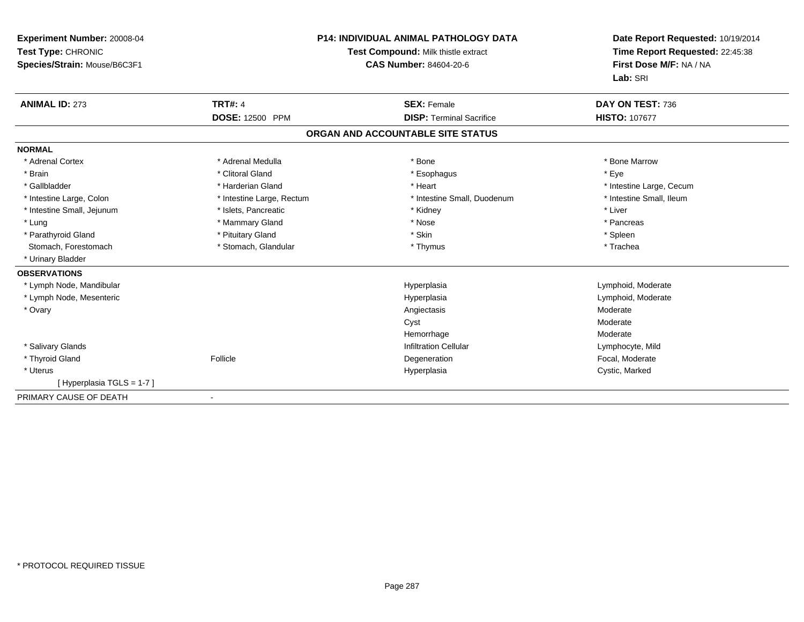| Experiment Number: 20008-04<br>Test Type: CHRONIC<br>Species/Strain: Mouse/B6C3F1 |                           | <b>P14: INDIVIDUAL ANIMAL PATHOLOGY DATA</b><br>Test Compound: Milk thistle extract<br><b>CAS Number: 84604-20-6</b> | Date Report Requested: 10/19/2014<br>Time Report Requested: 22:45:38<br>First Dose M/F: NA / NA<br>Lab: SRI |
|-----------------------------------------------------------------------------------|---------------------------|----------------------------------------------------------------------------------------------------------------------|-------------------------------------------------------------------------------------------------------------|
| <b>ANIMAL ID: 273</b>                                                             | <b>TRT#: 4</b>            | <b>SEX: Female</b>                                                                                                   | DAY ON TEST: 736                                                                                            |
|                                                                                   | DOSE: 12500 PPM           | <b>DISP: Terminal Sacrifice</b>                                                                                      | <b>HISTO: 107677</b>                                                                                        |
|                                                                                   |                           | ORGAN AND ACCOUNTABLE SITE STATUS                                                                                    |                                                                                                             |
| <b>NORMAL</b>                                                                     |                           |                                                                                                                      |                                                                                                             |
| * Adrenal Cortex                                                                  | * Adrenal Medulla         | * Bone                                                                                                               | * Bone Marrow                                                                                               |
| * Brain                                                                           | * Clitoral Gland          | * Esophagus                                                                                                          | * Eye                                                                                                       |
| * Gallbladder                                                                     | * Harderian Gland         | * Heart                                                                                                              | * Intestine Large, Cecum                                                                                    |
| * Intestine Large, Colon                                                          | * Intestine Large, Rectum | * Intestine Small, Duodenum                                                                                          | * Intestine Small, Ileum                                                                                    |
| * Intestine Small, Jejunum                                                        | * Islets, Pancreatic      | * Kidney                                                                                                             | * Liver                                                                                                     |
| * Lung                                                                            | * Mammary Gland           | * Nose                                                                                                               | * Pancreas                                                                                                  |
| * Parathyroid Gland                                                               | * Pituitary Gland         | * Skin                                                                                                               | * Spleen                                                                                                    |
| Stomach, Forestomach                                                              | * Stomach, Glandular      | * Thymus                                                                                                             | * Trachea                                                                                                   |
| * Urinary Bladder                                                                 |                           |                                                                                                                      |                                                                                                             |
| <b>OBSERVATIONS</b>                                                               |                           |                                                                                                                      |                                                                                                             |
| * Lymph Node, Mandibular                                                          |                           | Hyperplasia                                                                                                          | Lymphoid, Moderate                                                                                          |
| * Lymph Node, Mesenteric                                                          |                           | Hyperplasia                                                                                                          | Lymphoid, Moderate                                                                                          |
| * Ovary                                                                           |                           | Angiectasis                                                                                                          | Moderate                                                                                                    |
|                                                                                   |                           | Cyst                                                                                                                 | Moderate                                                                                                    |
|                                                                                   |                           | Hemorrhage                                                                                                           | Moderate                                                                                                    |
| * Salivary Glands                                                                 |                           | <b>Infiltration Cellular</b>                                                                                         | Lymphocyte, Mild                                                                                            |
| * Thyroid Gland                                                                   | Follicle                  | Degeneration                                                                                                         | Focal, Moderate                                                                                             |
| * Uterus                                                                          |                           | Hyperplasia                                                                                                          | Cystic, Marked                                                                                              |
| [Hyperplasia TGLS = 1-7]                                                          |                           |                                                                                                                      |                                                                                                             |
| PRIMARY CAUSE OF DEATH                                                            |                           |                                                                                                                      |                                                                                                             |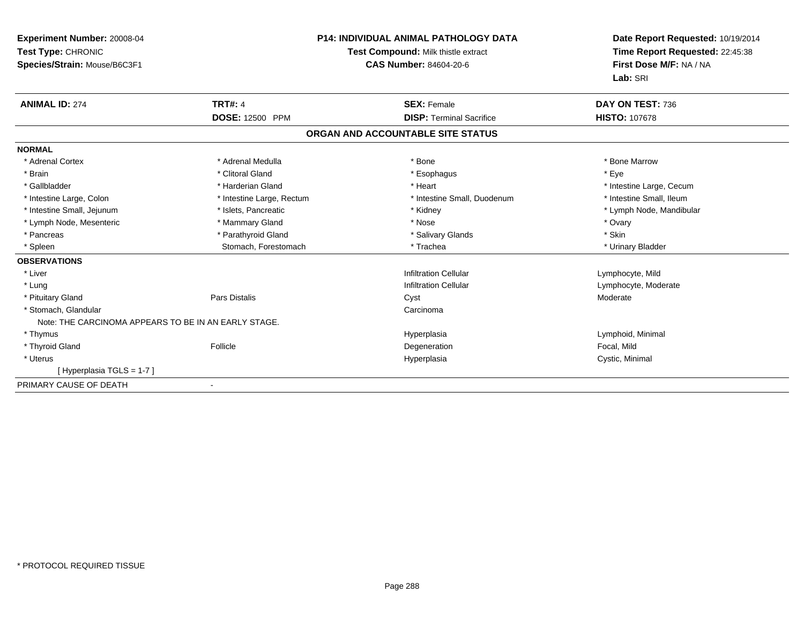| Experiment Number: 20008-04<br>Test Type: CHRONIC<br>Species/Strain: Mouse/B6C3F1 |                           | <b>P14: INDIVIDUAL ANIMAL PATHOLOGY DATA</b><br>Test Compound: Milk thistle extract<br><b>CAS Number: 84604-20-6</b> | Date Report Requested: 10/19/2014<br>Time Report Requested: 22:45:38<br>First Dose M/F: NA / NA<br>Lab: SRI |
|-----------------------------------------------------------------------------------|---------------------------|----------------------------------------------------------------------------------------------------------------------|-------------------------------------------------------------------------------------------------------------|
| <b>ANIMAL ID: 274</b>                                                             | <b>TRT#: 4</b>            | <b>SEX: Female</b>                                                                                                   | DAY ON TEST: 736                                                                                            |
|                                                                                   | <b>DOSE: 12500 PPM</b>    | <b>DISP: Terminal Sacrifice</b>                                                                                      | <b>HISTO: 107678</b>                                                                                        |
|                                                                                   |                           | ORGAN AND ACCOUNTABLE SITE STATUS                                                                                    |                                                                                                             |
| <b>NORMAL</b>                                                                     |                           |                                                                                                                      |                                                                                                             |
| * Adrenal Cortex                                                                  | * Adrenal Medulla         | * Bone                                                                                                               | * Bone Marrow                                                                                               |
| * Brain                                                                           | * Clitoral Gland          | * Esophagus                                                                                                          | * Eye                                                                                                       |
| * Gallbladder                                                                     | * Harderian Gland         | * Heart                                                                                                              | * Intestine Large, Cecum                                                                                    |
| * Intestine Large, Colon                                                          | * Intestine Large, Rectum | * Intestine Small, Duodenum                                                                                          | * Intestine Small, Ileum                                                                                    |
| * Intestine Small, Jejunum                                                        | * Islets, Pancreatic      | * Kidney                                                                                                             | * Lymph Node, Mandibular                                                                                    |
| * Lymph Node, Mesenteric                                                          | * Mammary Gland           | * Nose                                                                                                               | * Ovary                                                                                                     |
| * Pancreas                                                                        | * Parathyroid Gland       | * Salivary Glands                                                                                                    | * Skin                                                                                                      |
| * Spleen                                                                          | Stomach, Forestomach      | * Trachea                                                                                                            | * Urinary Bladder                                                                                           |
| <b>OBSERVATIONS</b>                                                               |                           |                                                                                                                      |                                                                                                             |
| * Liver                                                                           |                           | <b>Infiltration Cellular</b>                                                                                         | Lymphocyte, Mild                                                                                            |
| * Lung                                                                            |                           | <b>Infiltration Cellular</b>                                                                                         | Lymphocyte, Moderate                                                                                        |
| * Pituitary Gland                                                                 | <b>Pars Distalis</b>      | Cyst                                                                                                                 | Moderate                                                                                                    |
| * Stomach, Glandular                                                              |                           | Carcinoma                                                                                                            |                                                                                                             |
| Note: THE CARCINOMA APPEARS TO BE IN AN EARLY STAGE.                              |                           |                                                                                                                      |                                                                                                             |
| * Thymus                                                                          |                           | Hyperplasia                                                                                                          | Lymphoid, Minimal                                                                                           |
| * Thyroid Gland                                                                   | Follicle                  | Degeneration                                                                                                         | Focal, Mild                                                                                                 |
| * Uterus                                                                          |                           | Hyperplasia                                                                                                          | Cystic, Minimal                                                                                             |
| [Hyperplasia TGLS = 1-7]                                                          |                           |                                                                                                                      |                                                                                                             |
| PRIMARY CAUSE OF DEATH                                                            |                           |                                                                                                                      |                                                                                                             |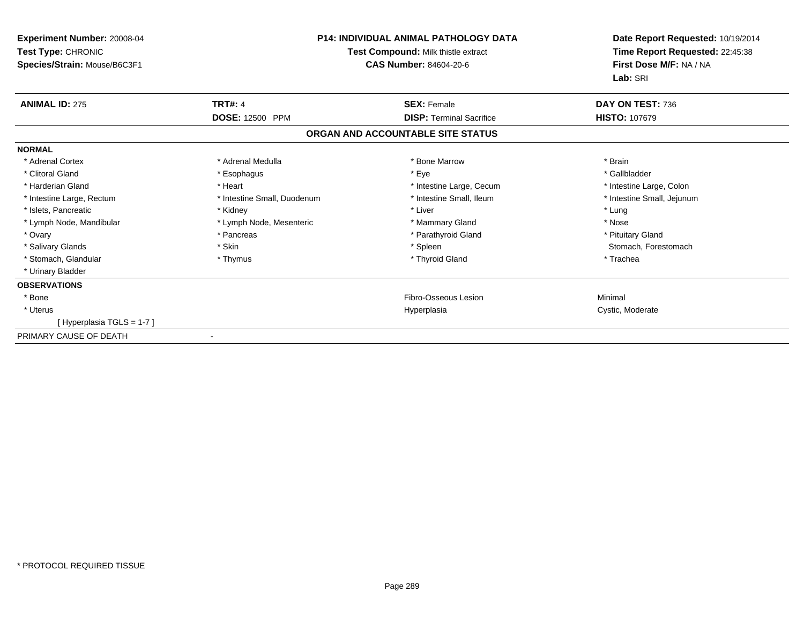| <b>Experiment Number: 20008-04</b><br>Test Type: CHRONIC<br>Species/Strain: Mouse/B6C3F1 | P14: INDIVIDUAL ANIMAL PATHOLOGY DATA<br>Test Compound: Milk thistle extract<br><b>CAS Number: 84604-20-6</b> |                                   | Date Report Requested: 10/19/2014<br>Time Report Requested: 22:45:38<br>First Dose M/F: NA / NA<br>Lab: SRI |
|------------------------------------------------------------------------------------------|---------------------------------------------------------------------------------------------------------------|-----------------------------------|-------------------------------------------------------------------------------------------------------------|
| <b>ANIMAL ID: 275</b>                                                                    | <b>TRT#: 4</b>                                                                                                | <b>SEX: Female</b>                | DAY ON TEST: 736                                                                                            |
|                                                                                          | <b>DOSE: 12500 PPM</b>                                                                                        | <b>DISP: Terminal Sacrifice</b>   | <b>HISTO: 107679</b>                                                                                        |
|                                                                                          |                                                                                                               | ORGAN AND ACCOUNTABLE SITE STATUS |                                                                                                             |
| <b>NORMAL</b>                                                                            |                                                                                                               |                                   |                                                                                                             |
| * Adrenal Cortex                                                                         | * Adrenal Medulla                                                                                             | * Bone Marrow                     | * Brain                                                                                                     |
| * Clitoral Gland                                                                         | * Esophagus                                                                                                   | * Eye                             | * Gallbladder                                                                                               |
| * Harderian Gland                                                                        | * Heart                                                                                                       | * Intestine Large, Cecum          | * Intestine Large, Colon                                                                                    |
| * Intestine Large, Rectum                                                                | * Intestine Small, Duodenum                                                                                   | * Intestine Small, Ileum          | * Intestine Small, Jejunum                                                                                  |
| * Islets, Pancreatic                                                                     | * Kidney                                                                                                      | * Liver                           | * Lung                                                                                                      |
| * Lymph Node, Mandibular                                                                 | * Lymph Node, Mesenteric                                                                                      | * Mammary Gland                   | * Nose                                                                                                      |
| * Ovary                                                                                  | * Pancreas                                                                                                    | * Parathyroid Gland               | * Pituitary Gland                                                                                           |
| * Salivary Glands                                                                        | * Skin                                                                                                        | * Spleen                          | Stomach, Forestomach                                                                                        |
| * Stomach, Glandular                                                                     | * Thymus                                                                                                      | * Thyroid Gland                   | * Trachea                                                                                                   |
| * Urinary Bladder                                                                        |                                                                                                               |                                   |                                                                                                             |
| <b>OBSERVATIONS</b>                                                                      |                                                                                                               |                                   |                                                                                                             |
| * Bone                                                                                   |                                                                                                               | Fibro-Osseous Lesion              | Minimal                                                                                                     |
| * Uterus                                                                                 |                                                                                                               | Hyperplasia                       | Cystic, Moderate                                                                                            |
| [Hyperplasia TGLS = 1-7]                                                                 |                                                                                                               |                                   |                                                                                                             |
| PRIMARY CAUSE OF DEATH                                                                   | $\overline{\phantom{a}}$                                                                                      |                                   |                                                                                                             |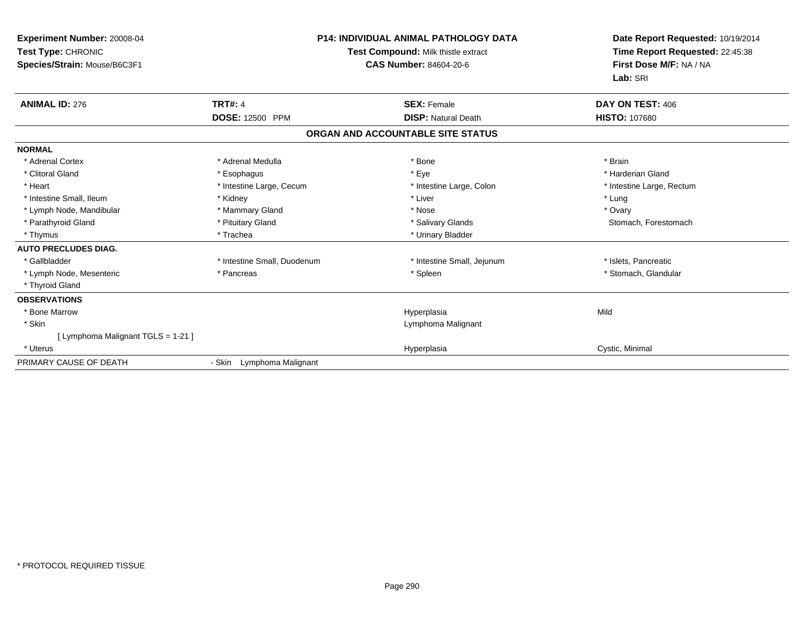| <b>Experiment Number: 20008-04</b><br>Test Type: CHRONIC<br>Species/Strain: Mouse/B6C3F1 |                             | <b>P14: INDIVIDUAL ANIMAL PATHOLOGY DATA</b><br>Test Compound: Milk thistle extract<br>CAS Number: 84604-20-6 | Date Report Requested: 10/19/2014<br>Time Report Requested: 22:45:38<br>First Dose M/F: NA / NA<br>Lab: SRI |  |
|------------------------------------------------------------------------------------------|-----------------------------|---------------------------------------------------------------------------------------------------------------|-------------------------------------------------------------------------------------------------------------|--|
| <b>ANIMAL ID: 276</b>                                                                    | <b>TRT#: 4</b>              | <b>SEX: Female</b>                                                                                            | DAY ON TEST: 406                                                                                            |  |
|                                                                                          | <b>DOSE: 12500 PPM</b>      | <b>DISP: Natural Death</b>                                                                                    | <b>HISTO: 107680</b>                                                                                        |  |
|                                                                                          |                             | ORGAN AND ACCOUNTABLE SITE STATUS                                                                             |                                                                                                             |  |
| <b>NORMAL</b>                                                                            |                             |                                                                                                               |                                                                                                             |  |
| * Adrenal Cortex                                                                         | * Adrenal Medulla           | * Bone                                                                                                        | * Brain                                                                                                     |  |
| * Clitoral Gland                                                                         | * Esophagus                 | * Eye                                                                                                         | * Harderian Gland                                                                                           |  |
| * Heart                                                                                  | * Intestine Large, Cecum    | * Intestine Large, Colon                                                                                      | * Intestine Large, Rectum                                                                                   |  |
| * Intestine Small, Ileum                                                                 | * Kidney                    | * Liver                                                                                                       | * Lung                                                                                                      |  |
| * Lymph Node, Mandibular                                                                 | * Mammary Gland             | * Nose                                                                                                        | * Ovary                                                                                                     |  |
| * Parathyroid Gland                                                                      | * Pituitary Gland           | * Salivary Glands                                                                                             | Stomach, Forestomach                                                                                        |  |
| * Thymus                                                                                 | * Trachea                   | * Urinary Bladder                                                                                             |                                                                                                             |  |
| <b>AUTO PRECLUDES DIAG.</b>                                                              |                             |                                                                                                               |                                                                                                             |  |
| * Gallbladder                                                                            | * Intestine Small, Duodenum | * Intestine Small, Jejunum                                                                                    | * Islets, Pancreatic                                                                                        |  |
| * Lymph Node, Mesenteric                                                                 | * Pancreas                  | * Spleen                                                                                                      | * Stomach, Glandular                                                                                        |  |
| * Thyroid Gland                                                                          |                             |                                                                                                               |                                                                                                             |  |
| <b>OBSERVATIONS</b>                                                                      |                             |                                                                                                               |                                                                                                             |  |
| * Bone Marrow                                                                            |                             | Hyperplasia                                                                                                   | Mild                                                                                                        |  |
| * Skin                                                                                   |                             | Lymphoma Malignant                                                                                            |                                                                                                             |  |
| [ Lymphoma Malignant TGLS = 1-21 ]                                                       |                             |                                                                                                               |                                                                                                             |  |
| * Uterus                                                                                 |                             | Hyperplasia                                                                                                   | Cystic, Minimal                                                                                             |  |
| PRIMARY CAUSE OF DEATH                                                                   | - Skin Lymphoma Malignant   |                                                                                                               |                                                                                                             |  |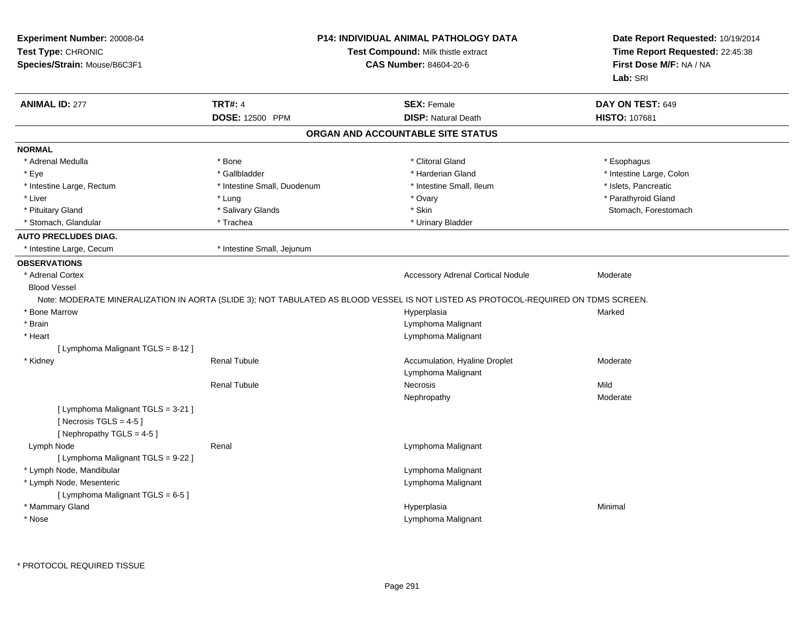| Experiment Number: 20008-04<br>Test Type: CHRONIC<br>Species/Strain: Mouse/B6C3F1          |                             | <b>P14: INDIVIDUAL ANIMAL PATHOLOGY DATA</b><br>Test Compound: Milk thistle extract<br><b>CAS Number: 84604-20-6</b>               | Date Report Requested: 10/19/2014<br>Time Report Requested: 22:45:38<br>First Dose M/F: NA / NA<br>Lab: SRI |
|--------------------------------------------------------------------------------------------|-----------------------------|------------------------------------------------------------------------------------------------------------------------------------|-------------------------------------------------------------------------------------------------------------|
| <b>ANIMAL ID: 277</b>                                                                      | <b>TRT#: 4</b>              | <b>SEX: Female</b>                                                                                                                 | DAY ON TEST: 649                                                                                            |
|                                                                                            | DOSE: 12500 PPM             | <b>DISP: Natural Death</b>                                                                                                         | <b>HISTO: 107681</b>                                                                                        |
|                                                                                            |                             | ORGAN AND ACCOUNTABLE SITE STATUS                                                                                                  |                                                                                                             |
| <b>NORMAL</b>                                                                              |                             |                                                                                                                                    |                                                                                                             |
| * Adrenal Medulla                                                                          | * Bone                      | * Clitoral Gland                                                                                                                   | * Esophagus                                                                                                 |
| * Eye                                                                                      | * Gallbladder               | * Harderian Gland                                                                                                                  | * Intestine Large, Colon                                                                                    |
| * Intestine Large, Rectum                                                                  | * Intestine Small, Duodenum | * Intestine Small, Ileum                                                                                                           | * Islets, Pancreatic                                                                                        |
| * Liver                                                                                    | * Lung                      | * Ovary                                                                                                                            | * Parathyroid Gland                                                                                         |
| * Pituitary Gland                                                                          | * Salivary Glands           | * Skin                                                                                                                             | Stomach, Forestomach                                                                                        |
| * Stomach, Glandular                                                                       | * Trachea                   | * Urinary Bladder                                                                                                                  |                                                                                                             |
| <b>AUTO PRECLUDES DIAG.</b>                                                                |                             |                                                                                                                                    |                                                                                                             |
| * Intestine Large, Cecum                                                                   | * Intestine Small, Jejunum  |                                                                                                                                    |                                                                                                             |
| <b>OBSERVATIONS</b>                                                                        |                             |                                                                                                                                    |                                                                                                             |
| * Adrenal Cortex                                                                           |                             | <b>Accessory Adrenal Cortical Nodule</b>                                                                                           | Moderate                                                                                                    |
| <b>Blood Vessel</b>                                                                        |                             |                                                                                                                                    |                                                                                                             |
|                                                                                            |                             | Note: MODERATE MINERALIZATION IN AORTA (SLIDE 3); NOT TABULATED AS BLOOD VESSEL IS NOT LISTED AS PROTOCOL-REQUIRED ON TDMS SCREEN. |                                                                                                             |
| * Bone Marrow                                                                              |                             | Hyperplasia                                                                                                                        | Marked                                                                                                      |
| * Brain                                                                                    |                             | Lymphoma Malignant                                                                                                                 |                                                                                                             |
| * Heart                                                                                    |                             | Lymphoma Malignant                                                                                                                 |                                                                                                             |
| [ Lymphoma Malignant TGLS = 8-12 ]                                                         |                             |                                                                                                                                    |                                                                                                             |
| * Kidney                                                                                   | <b>Renal Tubule</b>         | Accumulation, Hyaline Droplet                                                                                                      | Moderate                                                                                                    |
|                                                                                            |                             | Lymphoma Malignant                                                                                                                 |                                                                                                             |
|                                                                                            | <b>Renal Tubule</b>         | <b>Necrosis</b>                                                                                                                    | Mild                                                                                                        |
|                                                                                            |                             | Nephropathy                                                                                                                        | Moderate                                                                                                    |
| [ Lymphoma Malignant TGLS = 3-21 ]<br>[Necrosis TGLS = $4-5$ ]<br>[Nephropathy TGLS = 4-5] |                             |                                                                                                                                    |                                                                                                             |
| Lymph Node<br>[ Lymphoma Malignant TGLS = 9-22 ]                                           | Renal                       | Lymphoma Malignant                                                                                                                 |                                                                                                             |
| * Lymph Node, Mandibular                                                                   |                             | Lymphoma Malignant                                                                                                                 |                                                                                                             |
| * Lymph Node, Mesenteric                                                                   |                             | Lymphoma Malignant                                                                                                                 |                                                                                                             |
| [ Lymphoma Malignant TGLS = 6-5 ]                                                          |                             |                                                                                                                                    |                                                                                                             |
| * Mammary Gland                                                                            |                             | Hyperplasia                                                                                                                        | Minimal                                                                                                     |
| * Nose                                                                                     |                             | Lymphoma Malignant                                                                                                                 |                                                                                                             |
|                                                                                            |                             |                                                                                                                                    |                                                                                                             |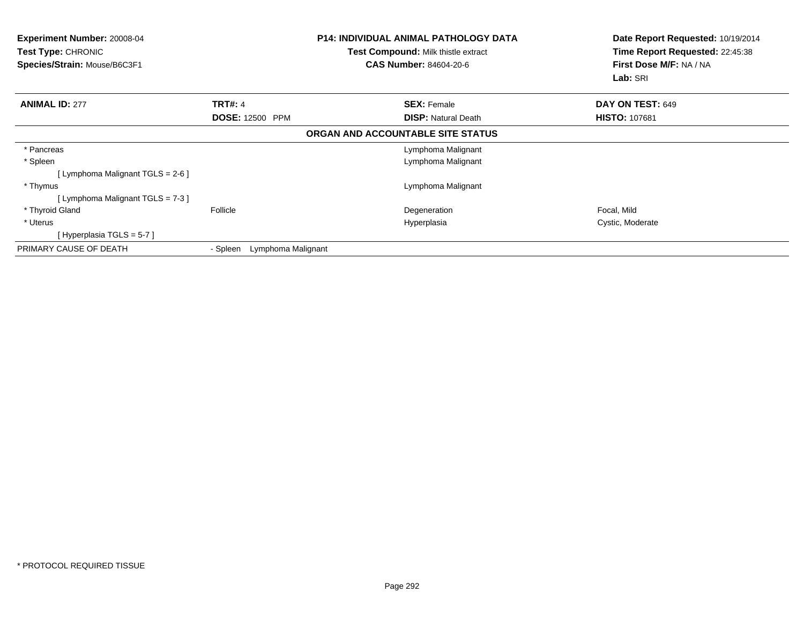| Experiment Number: 20008-04<br><b>Test Type: CHRONIC</b><br>Species/Strain: Mouse/B6C3F1 | <b>P14: INDIVIDUAL ANIMAL PATHOLOGY DATA</b><br><b>Test Compound: Milk thistle extract</b><br><b>CAS Number: 84604-20-6</b> |                                   | Date Report Requested: 10/19/2014<br>Time Report Requested: 22:45:38<br>First Dose M/F: NA / NA<br>Lab: SRI |
|------------------------------------------------------------------------------------------|-----------------------------------------------------------------------------------------------------------------------------|-----------------------------------|-------------------------------------------------------------------------------------------------------------|
| <b>ANIMAL ID: 277</b>                                                                    | <b>TRT#: 4</b>                                                                                                              | <b>SEX: Female</b>                | DAY ON TEST: 649                                                                                            |
|                                                                                          | <b>DOSE: 12500 PPM</b>                                                                                                      | <b>DISP: Natural Death</b>        | <b>HISTO: 107681</b>                                                                                        |
|                                                                                          |                                                                                                                             | ORGAN AND ACCOUNTABLE SITE STATUS |                                                                                                             |
| * Pancreas                                                                               |                                                                                                                             | Lymphoma Malignant                |                                                                                                             |
| * Spleen                                                                                 |                                                                                                                             | Lymphoma Malignant                |                                                                                                             |
| [Lymphoma Malignant TGLS = 2-6 ]                                                         |                                                                                                                             |                                   |                                                                                                             |
| * Thymus                                                                                 |                                                                                                                             | Lymphoma Malignant                |                                                                                                             |
| [Lymphoma Malignant TGLS = 7-3]                                                          |                                                                                                                             |                                   |                                                                                                             |
| * Thyroid Gland                                                                          | Follicle                                                                                                                    | Degeneration                      | Focal, Mild                                                                                                 |
| * Uterus                                                                                 |                                                                                                                             | Hyperplasia                       | Cystic, Moderate                                                                                            |
| [Hyperplasia TGLS = $5-7$ ]                                                              |                                                                                                                             |                                   |                                                                                                             |
| PRIMARY CAUSE OF DEATH                                                                   | Lymphoma Malignant<br>- Spleen                                                                                              |                                   |                                                                                                             |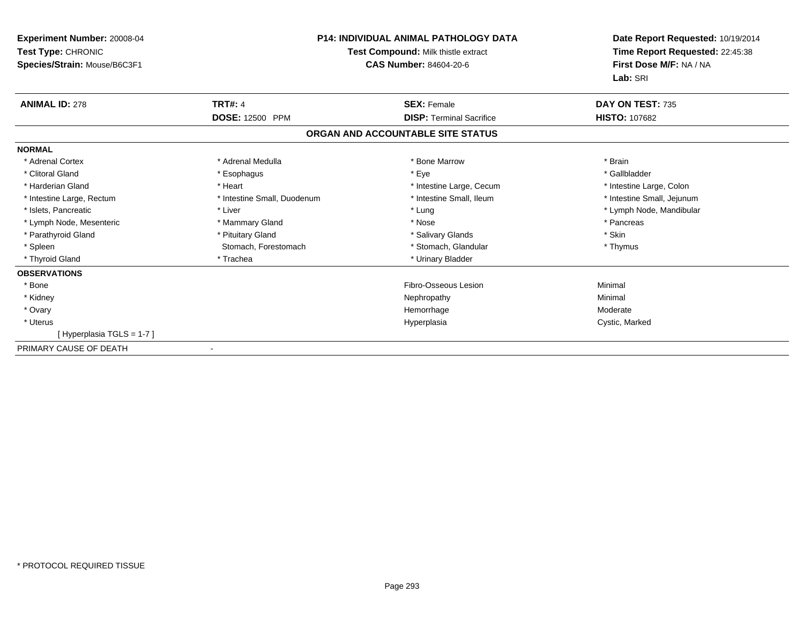| <b>Experiment Number: 20008-04</b><br>Test Type: CHRONIC<br>Species/Strain: Mouse/B6C3F1 |                             | P14: INDIVIDUAL ANIMAL PATHOLOGY DATA<br><b>Test Compound: Milk thistle extract</b><br><b>CAS Number: 84604-20-6</b> | Date Report Requested: 10/19/2014<br>Time Report Requested: 22:45:38<br>First Dose M/F: NA / NA<br>Lab: SRI |  |
|------------------------------------------------------------------------------------------|-----------------------------|----------------------------------------------------------------------------------------------------------------------|-------------------------------------------------------------------------------------------------------------|--|
| <b>ANIMAL ID: 278</b>                                                                    | <b>TRT#: 4</b>              | <b>SEX: Female</b>                                                                                                   | DAY ON TEST: 735                                                                                            |  |
|                                                                                          | <b>DOSE: 12500 PPM</b>      | <b>DISP: Terminal Sacrifice</b>                                                                                      | <b>HISTO: 107682</b>                                                                                        |  |
|                                                                                          |                             | ORGAN AND ACCOUNTABLE SITE STATUS                                                                                    |                                                                                                             |  |
| <b>NORMAL</b>                                                                            |                             |                                                                                                                      |                                                                                                             |  |
| * Adrenal Cortex                                                                         | * Adrenal Medulla           | * Bone Marrow                                                                                                        | * Brain                                                                                                     |  |
| * Clitoral Gland                                                                         | * Esophagus                 | * Eye                                                                                                                | * Gallbladder                                                                                               |  |
| * Harderian Gland                                                                        | * Heart                     | * Intestine Large, Cecum                                                                                             | * Intestine Large, Colon                                                                                    |  |
| * Intestine Large, Rectum                                                                | * Intestine Small, Duodenum | * Intestine Small, Ileum                                                                                             | * Intestine Small, Jejunum                                                                                  |  |
| * Islets, Pancreatic                                                                     | * Liver                     | * Lung                                                                                                               | * Lymph Node, Mandibular                                                                                    |  |
| * Lymph Node, Mesenteric                                                                 | * Mammary Gland             | * Nose                                                                                                               | * Pancreas                                                                                                  |  |
| * Parathyroid Gland                                                                      | * Pituitary Gland           | * Salivary Glands                                                                                                    | * Skin                                                                                                      |  |
| * Spleen                                                                                 | Stomach, Forestomach        | * Stomach, Glandular                                                                                                 | * Thymus                                                                                                    |  |
| * Thyroid Gland                                                                          | * Trachea                   | * Urinary Bladder                                                                                                    |                                                                                                             |  |
| <b>OBSERVATIONS</b>                                                                      |                             |                                                                                                                      |                                                                                                             |  |
| * Bone                                                                                   |                             | Fibro-Osseous Lesion                                                                                                 | Minimal                                                                                                     |  |
| * Kidney                                                                                 |                             | Nephropathy                                                                                                          | Minimal                                                                                                     |  |
| * Ovary                                                                                  |                             | Hemorrhage                                                                                                           | Moderate                                                                                                    |  |
| * Uterus                                                                                 |                             | Hyperplasia                                                                                                          | Cystic, Marked                                                                                              |  |
| [Hyperplasia TGLS = 1-7]                                                                 |                             |                                                                                                                      |                                                                                                             |  |
| PRIMARY CAUSE OF DEATH                                                                   |                             |                                                                                                                      |                                                                                                             |  |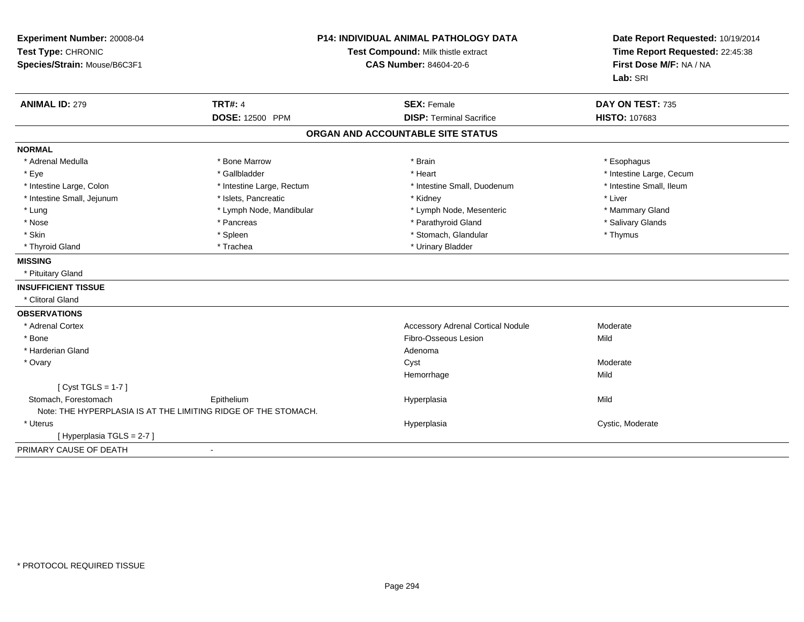| Experiment Number: 20008-04<br>Test Type: CHRONIC<br>Species/Strain: Mouse/B6C3F1 | <b>P14: INDIVIDUAL ANIMAL PATHOLOGY DATA</b><br>Test Compound: Milk thistle extract<br><b>CAS Number: 84604-20-6</b> |                                                       | Date Report Requested: 10/19/2014<br>Time Report Requested: 22:45:38<br>First Dose M/F: NA / NA<br>Lab: SRI |  |
|-----------------------------------------------------------------------------------|----------------------------------------------------------------------------------------------------------------------|-------------------------------------------------------|-------------------------------------------------------------------------------------------------------------|--|
| <b>ANIMAL ID: 279</b>                                                             | <b>TRT#: 4</b><br>DOSE: 12500 PPM                                                                                    | <b>SEX: Female</b><br><b>DISP: Terminal Sacrifice</b> | DAY ON TEST: 735<br><b>HISTO: 107683</b>                                                                    |  |
|                                                                                   |                                                                                                                      |                                                       |                                                                                                             |  |
|                                                                                   |                                                                                                                      | ORGAN AND ACCOUNTABLE SITE STATUS                     |                                                                                                             |  |
| <b>NORMAL</b>                                                                     |                                                                                                                      |                                                       |                                                                                                             |  |
| * Adrenal Medulla                                                                 | * Bone Marrow                                                                                                        | * Brain                                               | * Esophagus                                                                                                 |  |
| * Eye                                                                             | * Gallbladder                                                                                                        | * Heart                                               | * Intestine Large, Cecum                                                                                    |  |
| * Intestine Large, Colon                                                          | * Intestine Large, Rectum                                                                                            | * Intestine Small, Duodenum                           | * Intestine Small, Ileum                                                                                    |  |
| * Intestine Small, Jejunum                                                        | * Islets, Pancreatic                                                                                                 | * Kidney                                              | * Liver                                                                                                     |  |
| * Lung                                                                            | * Lymph Node, Mandibular                                                                                             | * Lymph Node, Mesenteric                              | * Mammary Gland                                                                                             |  |
| * Nose                                                                            | * Pancreas                                                                                                           | * Parathyroid Gland                                   | * Salivary Glands                                                                                           |  |
| * Skin                                                                            | * Spleen                                                                                                             | * Stomach, Glandular                                  | * Thymus                                                                                                    |  |
| * Thyroid Gland                                                                   | * Trachea                                                                                                            | * Urinary Bladder                                     |                                                                                                             |  |
| <b>MISSING</b>                                                                    |                                                                                                                      |                                                       |                                                                                                             |  |
| * Pituitary Gland                                                                 |                                                                                                                      |                                                       |                                                                                                             |  |
| <b>INSUFFICIENT TISSUE</b>                                                        |                                                                                                                      |                                                       |                                                                                                             |  |
| * Clitoral Gland                                                                  |                                                                                                                      |                                                       |                                                                                                             |  |
| <b>OBSERVATIONS</b>                                                               |                                                                                                                      |                                                       |                                                                                                             |  |
| * Adrenal Cortex                                                                  |                                                                                                                      | <b>Accessory Adrenal Cortical Nodule</b>              | Moderate                                                                                                    |  |
| * Bone                                                                            |                                                                                                                      | Fibro-Osseous Lesion                                  | Mild                                                                                                        |  |
| * Harderian Gland                                                                 |                                                                                                                      | Adenoma                                               |                                                                                                             |  |
| * Ovary                                                                           |                                                                                                                      | Cyst                                                  | Moderate                                                                                                    |  |
|                                                                                   |                                                                                                                      | Hemorrhage                                            | Mild                                                                                                        |  |
| [Cyst TGLS = $1-7$ ]                                                              |                                                                                                                      |                                                       |                                                                                                             |  |
| Stomach. Forestomach                                                              | Epithelium                                                                                                           | Hyperplasia                                           | Mild                                                                                                        |  |
| Note: THE HYPERPLASIA IS AT THE LIMITING RIDGE OF THE STOMACH.                    |                                                                                                                      |                                                       |                                                                                                             |  |
| * Uterus                                                                          |                                                                                                                      | Hyperplasia                                           | Cystic, Moderate                                                                                            |  |
| [Hyperplasia TGLS = 2-7]                                                          |                                                                                                                      |                                                       |                                                                                                             |  |
| PRIMARY CAUSE OF DEATH                                                            | $\blacksquare$                                                                                                       |                                                       |                                                                                                             |  |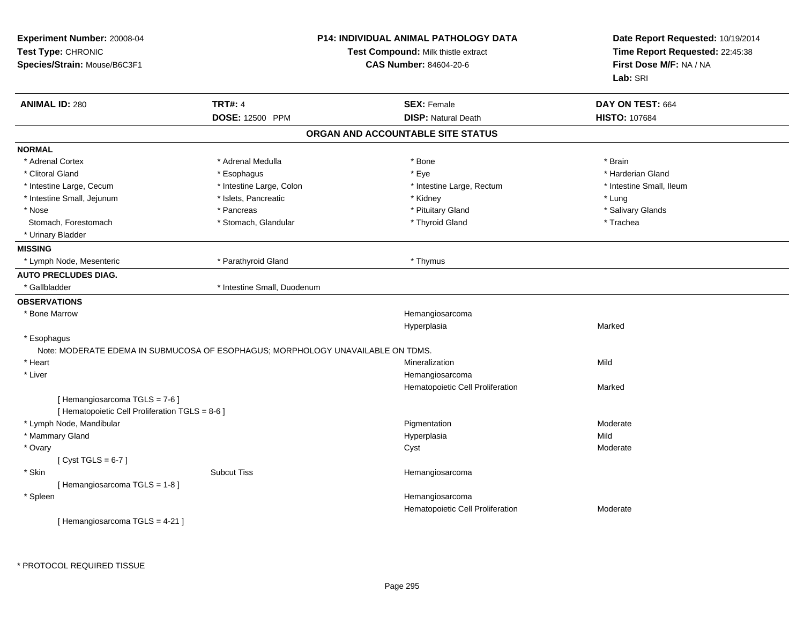| Experiment Number: 20008-04<br>Test Type: CHRONIC<br>Species/Strain: Mouse/B6C3F1 |                                                                                 | <b>P14: INDIVIDUAL ANIMAL PATHOLOGY DATA</b><br>Test Compound: Milk thistle extract<br><b>CAS Number: 84604-20-6</b> | Date Report Requested: 10/19/2014<br>Time Report Requested: 22:45:38<br>First Dose M/F: NA / NA<br>Lab: SRI |  |
|-----------------------------------------------------------------------------------|---------------------------------------------------------------------------------|----------------------------------------------------------------------------------------------------------------------|-------------------------------------------------------------------------------------------------------------|--|
| <b>ANIMAL ID: 280</b>                                                             | <b>TRT#: 4</b>                                                                  | <b>SEX: Female</b>                                                                                                   | DAY ON TEST: 664                                                                                            |  |
|                                                                                   | DOSE: 12500 PPM                                                                 | <b>DISP: Natural Death</b>                                                                                           | <b>HISTO: 107684</b>                                                                                        |  |
|                                                                                   |                                                                                 | ORGAN AND ACCOUNTABLE SITE STATUS                                                                                    |                                                                                                             |  |
| <b>NORMAL</b>                                                                     |                                                                                 |                                                                                                                      |                                                                                                             |  |
| * Adrenal Cortex                                                                  | * Adrenal Medulla                                                               | * Bone                                                                                                               | * Brain                                                                                                     |  |
| * Clitoral Gland                                                                  | * Esophagus                                                                     | * Eye                                                                                                                | * Harderian Gland                                                                                           |  |
| * Intestine Large, Cecum                                                          | * Intestine Large, Colon                                                        | * Intestine Large, Rectum                                                                                            | * Intestine Small, Ileum                                                                                    |  |
| * Intestine Small, Jejunum                                                        | * Islets, Pancreatic                                                            | * Kidney                                                                                                             | * Lung                                                                                                      |  |
| * Nose                                                                            | * Pancreas                                                                      | * Pituitary Gland                                                                                                    | * Salivary Glands                                                                                           |  |
| Stomach, Forestomach                                                              | * Stomach, Glandular                                                            | * Thyroid Gland                                                                                                      | * Trachea                                                                                                   |  |
| * Urinary Bladder                                                                 |                                                                                 |                                                                                                                      |                                                                                                             |  |
| <b>MISSING</b>                                                                    |                                                                                 |                                                                                                                      |                                                                                                             |  |
| * Lymph Node, Mesenteric                                                          | * Parathyroid Gland                                                             | * Thymus                                                                                                             |                                                                                                             |  |
| <b>AUTO PRECLUDES DIAG.</b>                                                       |                                                                                 |                                                                                                                      |                                                                                                             |  |
| * Gallbladder                                                                     | * Intestine Small, Duodenum                                                     |                                                                                                                      |                                                                                                             |  |
| <b>OBSERVATIONS</b>                                                               |                                                                                 |                                                                                                                      |                                                                                                             |  |
| * Bone Marrow                                                                     |                                                                                 | Hemangiosarcoma                                                                                                      |                                                                                                             |  |
|                                                                                   |                                                                                 | Hyperplasia                                                                                                          | Marked                                                                                                      |  |
| * Esophagus                                                                       |                                                                                 |                                                                                                                      |                                                                                                             |  |
|                                                                                   | Note: MODERATE EDEMA IN SUBMUCOSA OF ESOPHAGUS; MORPHOLOGY UNAVAILABLE ON TDMS. |                                                                                                                      |                                                                                                             |  |
| * Heart                                                                           |                                                                                 | Mineralization                                                                                                       | Mild                                                                                                        |  |
| * Liver                                                                           |                                                                                 | Hemangiosarcoma                                                                                                      |                                                                                                             |  |
|                                                                                   |                                                                                 | Hematopoietic Cell Proliferation                                                                                     | Marked                                                                                                      |  |
| [ Hemangiosarcoma TGLS = 7-6 ]                                                    |                                                                                 |                                                                                                                      |                                                                                                             |  |
| [ Hematopoietic Cell Proliferation TGLS = 8-6 ]                                   |                                                                                 |                                                                                                                      |                                                                                                             |  |
| * Lymph Node, Mandibular                                                          |                                                                                 | Pigmentation                                                                                                         | Moderate<br>Mild                                                                                            |  |
| * Mammary Gland                                                                   |                                                                                 | Hyperplasia                                                                                                          |                                                                                                             |  |
| * Ovary                                                                           |                                                                                 | Cyst                                                                                                                 | Moderate                                                                                                    |  |
| [Cyst TGLS = $6-7$ ]                                                              | <b>Subcut Tiss</b>                                                              |                                                                                                                      |                                                                                                             |  |
| * Skin                                                                            |                                                                                 | Hemangiosarcoma                                                                                                      |                                                                                                             |  |
| [Hemangiosarcoma TGLS = 1-8]                                                      |                                                                                 |                                                                                                                      |                                                                                                             |  |
| * Spleen                                                                          |                                                                                 | Hemangiosarcoma                                                                                                      |                                                                                                             |  |
|                                                                                   |                                                                                 | Hematopoietic Cell Proliferation                                                                                     | Moderate                                                                                                    |  |
| [Hemangiosarcoma TGLS = 4-21]                                                     |                                                                                 |                                                                                                                      |                                                                                                             |  |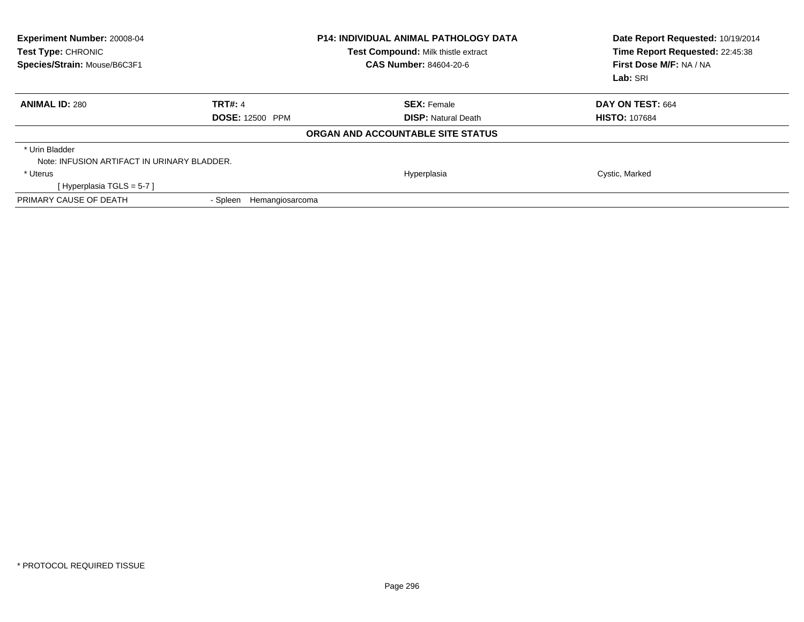| Experiment Number: 20008-04<br>Test Type: CHRONIC<br>Species/Strain: Mouse/B6C3F1 |                             | <b>P14: INDIVIDUAL ANIMAL PATHOLOGY DATA</b><br>Test Compound: Milk thistle extract<br><b>CAS Number: 84604-20-6</b> | Date Report Requested: 10/19/2014<br>Time Report Requested: 22:45:38<br>First Dose M/F: NA / NA<br>Lab: SRI |
|-----------------------------------------------------------------------------------|-----------------------------|----------------------------------------------------------------------------------------------------------------------|-------------------------------------------------------------------------------------------------------------|
| <b>ANIMAL ID: 280</b>                                                             | <b>TRT#: 4</b>              | <b>SEX: Female</b>                                                                                                   | DAY ON TEST: 664                                                                                            |
|                                                                                   | <b>DOSE: 12500 PPM</b>      | <b>DISP:</b> Natural Death                                                                                           | <b>HISTO: 107684</b>                                                                                        |
|                                                                                   |                             | ORGAN AND ACCOUNTABLE SITE STATUS                                                                                    |                                                                                                             |
| * Urin Bladder                                                                    |                             |                                                                                                                      |                                                                                                             |
| Note: INFUSION ARTIFACT IN URINARY BLADDER.                                       |                             |                                                                                                                      |                                                                                                             |
| * Uterus                                                                          |                             | Hyperplasia                                                                                                          | Cystic, Marked                                                                                              |
| [Hyperplasia TGLS = 5-7]                                                          |                             |                                                                                                                      |                                                                                                             |
| PRIMARY CAUSE OF DEATH                                                            | - Spleen<br>Hemangiosarcoma |                                                                                                                      |                                                                                                             |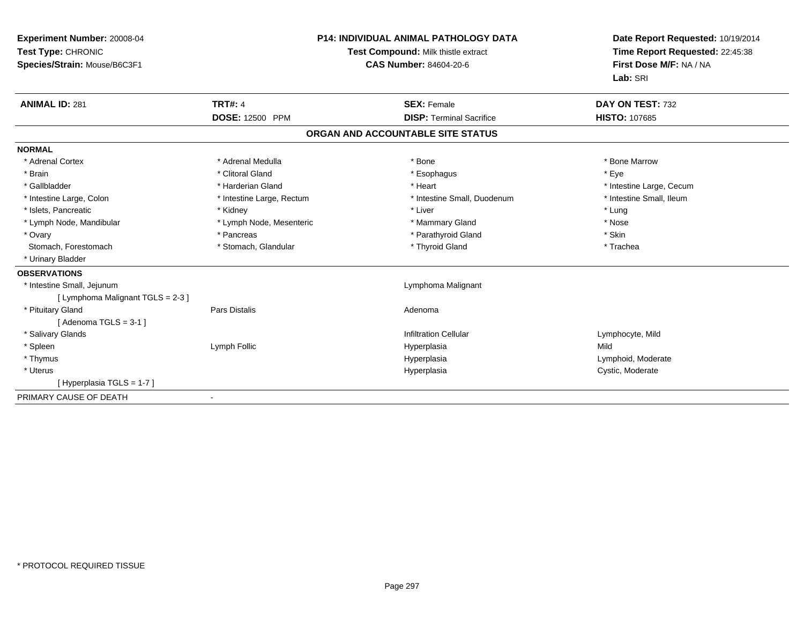| Experiment Number: 20008-04<br>Test Type: CHRONIC<br>Species/Strain: Mouse/B6C3F1 |                           | <b>P14: INDIVIDUAL ANIMAL PATHOLOGY DATA</b><br>Test Compound: Milk thistle extract<br><b>CAS Number: 84604-20-6</b> |                                   | Date Report Requested: 10/19/2014<br>Time Report Requested: 22:45:38<br>First Dose M/F: NA / NA<br>Lab: SRI |  |
|-----------------------------------------------------------------------------------|---------------------------|----------------------------------------------------------------------------------------------------------------------|-----------------------------------|-------------------------------------------------------------------------------------------------------------|--|
| <b>ANIMAL ID: 281</b>                                                             | <b>TRT#: 4</b>            |                                                                                                                      | <b>SEX: Female</b>                | DAY ON TEST: 732                                                                                            |  |
|                                                                                   | <b>DOSE: 12500 PPM</b>    |                                                                                                                      | <b>DISP: Terminal Sacrifice</b>   | <b>HISTO: 107685</b>                                                                                        |  |
|                                                                                   |                           |                                                                                                                      | ORGAN AND ACCOUNTABLE SITE STATUS |                                                                                                             |  |
| <b>NORMAL</b>                                                                     |                           |                                                                                                                      |                                   |                                                                                                             |  |
| * Adrenal Cortex                                                                  | * Adrenal Medulla         |                                                                                                                      | * Bone                            | * Bone Marrow                                                                                               |  |
| * Brain                                                                           | * Clitoral Gland          |                                                                                                                      | * Esophagus                       | * Eve                                                                                                       |  |
| * Gallbladder                                                                     | * Harderian Gland         |                                                                                                                      | * Heart                           | * Intestine Large, Cecum                                                                                    |  |
| * Intestine Large, Colon                                                          | * Intestine Large, Rectum |                                                                                                                      | * Intestine Small, Duodenum       | * Intestine Small, Ileum                                                                                    |  |
| * Islets, Pancreatic                                                              | * Kidney                  |                                                                                                                      | * Liver                           | * Lung                                                                                                      |  |
| * Lymph Node, Mandibular                                                          | * Lymph Node, Mesenteric  |                                                                                                                      | * Mammary Gland                   | * Nose                                                                                                      |  |
| * Ovary                                                                           | * Pancreas                |                                                                                                                      | * Parathyroid Gland               | * Skin                                                                                                      |  |
| Stomach, Forestomach                                                              | * Stomach, Glandular      |                                                                                                                      | * Thyroid Gland                   | * Trachea                                                                                                   |  |
| * Urinary Bladder                                                                 |                           |                                                                                                                      |                                   |                                                                                                             |  |
| <b>OBSERVATIONS</b>                                                               |                           |                                                                                                                      |                                   |                                                                                                             |  |
| * Intestine Small, Jejunum                                                        |                           |                                                                                                                      | Lymphoma Malignant                |                                                                                                             |  |
| [ Lymphoma Malignant TGLS = 2-3 ]                                                 |                           |                                                                                                                      |                                   |                                                                                                             |  |
| * Pituitary Gland                                                                 | <b>Pars Distalis</b>      |                                                                                                                      | Adenoma                           |                                                                                                             |  |
| [Adenoma TGLS = $3-1$ ]                                                           |                           |                                                                                                                      |                                   |                                                                                                             |  |
| * Salivary Glands                                                                 |                           |                                                                                                                      | <b>Infiltration Cellular</b>      | Lymphocyte, Mild                                                                                            |  |
| * Spleen                                                                          | Lymph Follic              |                                                                                                                      | Hyperplasia                       | Mild                                                                                                        |  |
| * Thymus                                                                          |                           |                                                                                                                      | Hyperplasia                       | Lymphoid, Moderate                                                                                          |  |
| * Uterus                                                                          |                           |                                                                                                                      | Hyperplasia                       | Cystic, Moderate                                                                                            |  |
| [Hyperplasia TGLS = 1-7]                                                          |                           |                                                                                                                      |                                   |                                                                                                             |  |
| PRIMARY CAUSE OF DEATH                                                            |                           |                                                                                                                      |                                   |                                                                                                             |  |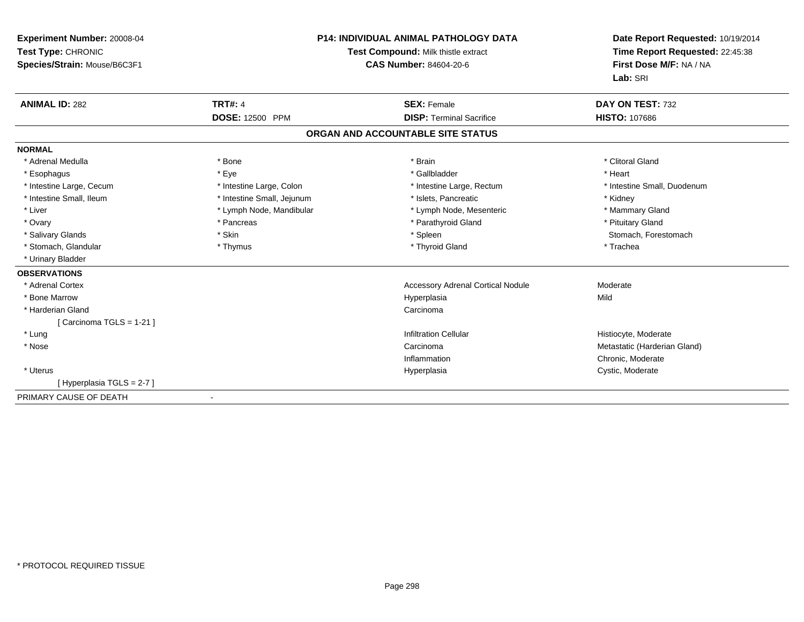| Experiment Number: 20008-04<br>Test Type: CHRONIC<br>Species/Strain: Mouse/B6C3F1 |                            | <b>P14: INDIVIDUAL ANIMAL PATHOLOGY DATA</b><br>Test Compound: Milk thistle extract<br><b>CAS Number: 84604-20-6</b> | Date Report Requested: 10/19/2014<br>Time Report Requested: 22:45:38<br>First Dose M/F: NA / NA<br>Lab: SRI |
|-----------------------------------------------------------------------------------|----------------------------|----------------------------------------------------------------------------------------------------------------------|-------------------------------------------------------------------------------------------------------------|
| <b>ANIMAL ID: 282</b>                                                             | <b>TRT#: 4</b>             | <b>SEX: Female</b>                                                                                                   | DAY ON TEST: 732                                                                                            |
|                                                                                   | DOSE: 12500 PPM            | <b>DISP: Terminal Sacrifice</b>                                                                                      | <b>HISTO: 107686</b>                                                                                        |
|                                                                                   |                            | ORGAN AND ACCOUNTABLE SITE STATUS                                                                                    |                                                                                                             |
| <b>NORMAL</b>                                                                     |                            |                                                                                                                      |                                                                                                             |
| * Adrenal Medulla                                                                 | * Bone                     | * Brain                                                                                                              | * Clitoral Gland                                                                                            |
| * Esophagus                                                                       | * Eye                      | * Gallbladder                                                                                                        | * Heart                                                                                                     |
| * Intestine Large, Cecum                                                          | * Intestine Large, Colon   | * Intestine Large, Rectum                                                                                            | * Intestine Small, Duodenum                                                                                 |
| * Intestine Small, Ileum                                                          | * Intestine Small, Jejunum | * Islets, Pancreatic                                                                                                 | * Kidney                                                                                                    |
| * Liver                                                                           | * Lymph Node, Mandibular   | * Lymph Node, Mesenteric                                                                                             | * Mammary Gland                                                                                             |
| * Ovary                                                                           | * Pancreas                 | * Parathyroid Gland                                                                                                  | * Pituitary Gland                                                                                           |
| * Salivary Glands                                                                 | * Skin                     | * Spleen                                                                                                             | Stomach, Forestomach                                                                                        |
| * Stomach, Glandular                                                              | * Thymus                   | * Thyroid Gland                                                                                                      | * Trachea                                                                                                   |
| * Urinary Bladder                                                                 |                            |                                                                                                                      |                                                                                                             |
| <b>OBSERVATIONS</b>                                                               |                            |                                                                                                                      |                                                                                                             |
| * Adrenal Cortex                                                                  |                            | Accessory Adrenal Cortical Nodule                                                                                    | Moderate                                                                                                    |
| * Bone Marrow                                                                     |                            | Hyperplasia                                                                                                          | Mild                                                                                                        |
| * Harderian Gland                                                                 |                            | Carcinoma                                                                                                            |                                                                                                             |
| [ Carcinoma TGLS = 1-21 ]                                                         |                            |                                                                                                                      |                                                                                                             |
| * Lung                                                                            |                            | <b>Infiltration Cellular</b>                                                                                         | Histiocyte, Moderate                                                                                        |
| * Nose                                                                            |                            | Carcinoma                                                                                                            | Metastatic (Harderian Gland)                                                                                |
|                                                                                   |                            | Inflammation                                                                                                         | Chronic, Moderate                                                                                           |
| * Uterus                                                                          |                            | Hyperplasia                                                                                                          | Cystic, Moderate                                                                                            |
| [Hyperplasia TGLS = 2-7]                                                          |                            |                                                                                                                      |                                                                                                             |
| PRIMARY CAUSE OF DEATH                                                            |                            |                                                                                                                      |                                                                                                             |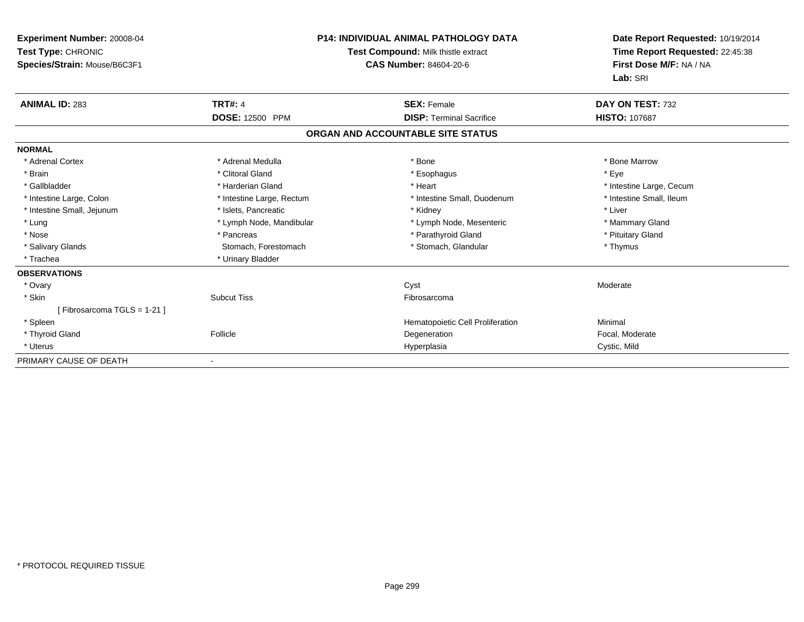| Experiment Number: 20008-04<br>Test Type: CHRONIC<br>Species/Strain: Mouse/B6C3F1 |                           | P14: INDIVIDUAL ANIMAL PATHOLOGY DATA<br>Test Compound: Milk thistle extract<br>CAS Number: 84604-20-6 | Date Report Requested: 10/19/2014<br>Time Report Requested: 22:45:38<br>First Dose M/F: NA / NA<br>Lab: SRI |  |
|-----------------------------------------------------------------------------------|---------------------------|--------------------------------------------------------------------------------------------------------|-------------------------------------------------------------------------------------------------------------|--|
| <b>ANIMAL ID: 283</b>                                                             | <b>TRT#: 4</b>            | <b>SEX: Female</b>                                                                                     | DAY ON TEST: 732                                                                                            |  |
|                                                                                   | DOSE: 12500 PPM           | <b>DISP: Terminal Sacrifice</b>                                                                        | <b>HISTO: 107687</b>                                                                                        |  |
|                                                                                   |                           | ORGAN AND ACCOUNTABLE SITE STATUS                                                                      |                                                                                                             |  |
| <b>NORMAL</b>                                                                     |                           |                                                                                                        |                                                                                                             |  |
| * Adrenal Cortex                                                                  | * Adrenal Medulla         | * Bone                                                                                                 | * Bone Marrow                                                                                               |  |
| * Brain                                                                           | * Clitoral Gland          | * Esophagus                                                                                            | * Eye                                                                                                       |  |
| * Gallbladder                                                                     | * Harderian Gland         | * Heart                                                                                                | * Intestine Large, Cecum                                                                                    |  |
| * Intestine Large, Colon                                                          | * Intestine Large, Rectum | * Intestine Small, Duodenum                                                                            | * Intestine Small, Ileum                                                                                    |  |
| * Intestine Small, Jejunum                                                        | * Islets. Pancreatic      | * Kidney                                                                                               | * Liver                                                                                                     |  |
| * Lung                                                                            | * Lymph Node, Mandibular  | * Lymph Node, Mesenteric                                                                               | * Mammary Gland                                                                                             |  |
| * Nose                                                                            | * Pancreas                | * Parathyroid Gland                                                                                    | * Pituitary Gland                                                                                           |  |
| * Salivary Glands                                                                 | Stomach, Forestomach      | * Stomach, Glandular                                                                                   | * Thymus                                                                                                    |  |
| * Trachea                                                                         | * Urinary Bladder         |                                                                                                        |                                                                                                             |  |
| <b>OBSERVATIONS</b>                                                               |                           |                                                                                                        |                                                                                                             |  |
| * Ovary                                                                           |                           | Cyst                                                                                                   | Moderate                                                                                                    |  |
| * Skin                                                                            | <b>Subcut Tiss</b>        | Fibrosarcoma                                                                                           |                                                                                                             |  |
| [Fibrosarcoma TGLS = 1-21]                                                        |                           |                                                                                                        |                                                                                                             |  |
| * Spleen                                                                          |                           | Hematopoietic Cell Proliferation                                                                       | Minimal                                                                                                     |  |
| * Thyroid Gland                                                                   | Follicle                  | Degeneration                                                                                           | Focal, Moderate                                                                                             |  |
| * Uterus                                                                          |                           | Hyperplasia                                                                                            | Cystic, Mild                                                                                                |  |
| PRIMARY CAUSE OF DEATH                                                            |                           |                                                                                                        |                                                                                                             |  |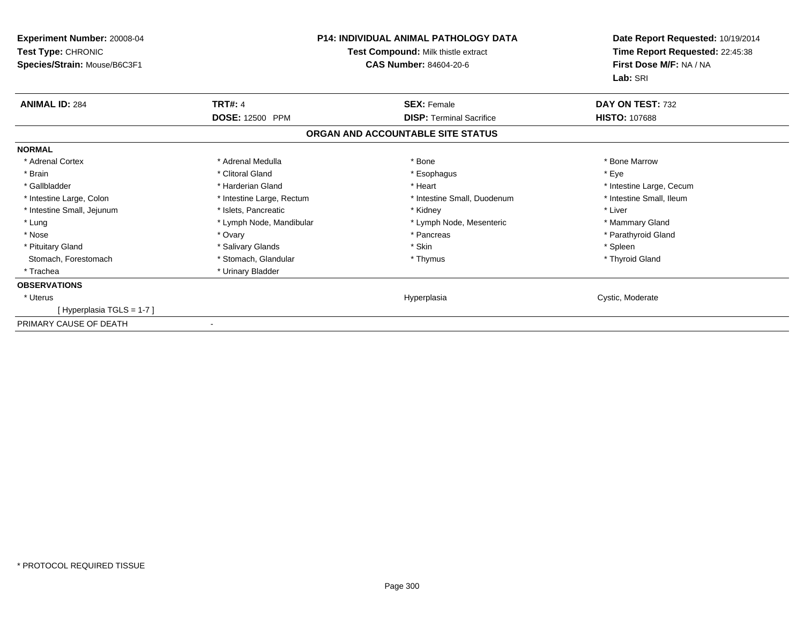| <b>Experiment Number: 20008-04</b><br>Test Type: CHRONIC<br>Species/Strain: Mouse/B6C3F1 | <b>P14: INDIVIDUAL ANIMAL PATHOLOGY DATA</b><br>Test Compound: Milk thistle extract<br><b>CAS Number: 84604-20-6</b> |                                   | Date Report Requested: 10/19/2014<br>Time Report Requested: 22:45:38<br>First Dose M/F: NA / NA<br>Lab: SRI |
|------------------------------------------------------------------------------------------|----------------------------------------------------------------------------------------------------------------------|-----------------------------------|-------------------------------------------------------------------------------------------------------------|
| <b>ANIMAL ID: 284</b>                                                                    | <b>TRT#: 4</b>                                                                                                       | <b>SEX: Female</b>                | DAY ON TEST: 732                                                                                            |
|                                                                                          | <b>DOSE: 12500 PPM</b>                                                                                               | <b>DISP: Terminal Sacrifice</b>   | <b>HISTO: 107688</b>                                                                                        |
|                                                                                          |                                                                                                                      | ORGAN AND ACCOUNTABLE SITE STATUS |                                                                                                             |
| <b>NORMAL</b>                                                                            |                                                                                                                      |                                   |                                                                                                             |
| * Adrenal Cortex                                                                         | * Adrenal Medulla                                                                                                    | * Bone                            | * Bone Marrow                                                                                               |
| * Brain                                                                                  | * Clitoral Gland                                                                                                     | * Esophagus                       | * Eye                                                                                                       |
| * Gallbladder                                                                            | * Harderian Gland                                                                                                    | * Heart                           | * Intestine Large, Cecum                                                                                    |
| * Intestine Large, Colon                                                                 | * Intestine Large, Rectum                                                                                            | * Intestine Small, Duodenum       | * Intestine Small, Ileum                                                                                    |
| * Intestine Small, Jejunum                                                               | * Islets, Pancreatic                                                                                                 | * Kidney                          | * Liver                                                                                                     |
| * Lung                                                                                   | * Lymph Node, Mandibular                                                                                             | * Lymph Node, Mesenteric          | * Mammary Gland                                                                                             |
| * Nose                                                                                   | * Ovary                                                                                                              | * Pancreas                        | * Parathyroid Gland                                                                                         |
| * Pituitary Gland                                                                        | * Salivary Glands                                                                                                    | * Skin                            | * Spleen                                                                                                    |
| Stomach, Forestomach                                                                     | * Stomach, Glandular                                                                                                 | * Thymus                          | * Thyroid Gland                                                                                             |
| * Trachea                                                                                | * Urinary Bladder                                                                                                    |                                   |                                                                                                             |
| <b>OBSERVATIONS</b>                                                                      |                                                                                                                      |                                   |                                                                                                             |
| * Uterus                                                                                 |                                                                                                                      | Hyperplasia                       | Cystic, Moderate                                                                                            |
| [Hyperplasia TGLS = 1-7]                                                                 |                                                                                                                      |                                   |                                                                                                             |
| PRIMARY CAUSE OF DEATH                                                                   |                                                                                                                      |                                   |                                                                                                             |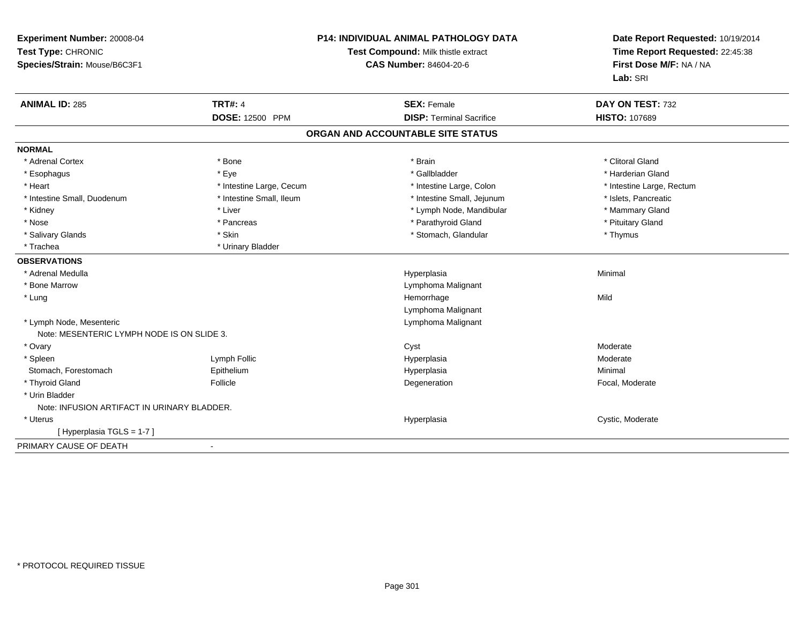| Experiment Number: 20008-04<br>Test Type: CHRONIC<br>Species/Strain: Mouse/B6C3F1 |                          | <b>P14: INDIVIDUAL ANIMAL PATHOLOGY DATA</b><br>Test Compound: Milk thistle extract<br><b>CAS Number: 84604-20-6</b> | Date Report Requested: 10/19/2014<br>Time Report Requested: 22:45:38<br>First Dose M/F: NA / NA<br>Lab: SRI |  |
|-----------------------------------------------------------------------------------|--------------------------|----------------------------------------------------------------------------------------------------------------------|-------------------------------------------------------------------------------------------------------------|--|
| <b>ANIMAL ID: 285</b>                                                             | <b>TRT#: 4</b>           | <b>SEX: Female</b>                                                                                                   | DAY ON TEST: 732                                                                                            |  |
|                                                                                   | DOSE: 12500 PPM          | <b>DISP: Terminal Sacrifice</b>                                                                                      | HISTO: 107689                                                                                               |  |
|                                                                                   |                          | ORGAN AND ACCOUNTABLE SITE STATUS                                                                                    |                                                                                                             |  |
| <b>NORMAL</b>                                                                     |                          |                                                                                                                      |                                                                                                             |  |
| * Adrenal Cortex                                                                  | * Bone                   | * Brain                                                                                                              | * Clitoral Gland                                                                                            |  |
| * Esophagus                                                                       | * Eye                    | * Gallbladder                                                                                                        | * Harderian Gland                                                                                           |  |
| * Heart                                                                           | * Intestine Large, Cecum | * Intestine Large, Colon                                                                                             | * Intestine Large, Rectum                                                                                   |  |
| * Intestine Small, Duodenum                                                       | * Intestine Small, Ileum | * Intestine Small, Jejunum                                                                                           | * Islets, Pancreatic                                                                                        |  |
| * Kidney                                                                          | * Liver                  | * Lymph Node, Mandibular                                                                                             | * Mammary Gland                                                                                             |  |
| * Nose                                                                            | * Pancreas               | * Parathyroid Gland                                                                                                  | * Pituitary Gland                                                                                           |  |
| * Salivary Glands                                                                 | * Skin                   | * Stomach, Glandular                                                                                                 | * Thymus                                                                                                    |  |
| * Trachea                                                                         | * Urinary Bladder        |                                                                                                                      |                                                                                                             |  |
| <b>OBSERVATIONS</b>                                                               |                          |                                                                                                                      |                                                                                                             |  |
| * Adrenal Medulla                                                                 |                          | Hyperplasia                                                                                                          | Minimal                                                                                                     |  |
| * Bone Marrow                                                                     |                          | Lymphoma Malignant                                                                                                   |                                                                                                             |  |
| * Lung                                                                            |                          | Hemorrhage                                                                                                           | Mild                                                                                                        |  |
|                                                                                   |                          | Lymphoma Malignant                                                                                                   |                                                                                                             |  |
| * Lymph Node, Mesenteric                                                          |                          | Lymphoma Malignant                                                                                                   |                                                                                                             |  |
| Note: MESENTERIC LYMPH NODE IS ON SLIDE 3.                                        |                          |                                                                                                                      |                                                                                                             |  |
| * Ovary                                                                           |                          | Cyst                                                                                                                 | Moderate                                                                                                    |  |
| * Spleen                                                                          | Lymph Follic             | Hyperplasia                                                                                                          | Moderate                                                                                                    |  |
| Stomach, Forestomach                                                              | Epithelium               | Hyperplasia                                                                                                          | Minimal                                                                                                     |  |
| * Thyroid Gland                                                                   | Follicle                 | Degeneration                                                                                                         | Focal, Moderate                                                                                             |  |
| * Urin Bladder                                                                    |                          |                                                                                                                      |                                                                                                             |  |
| Note: INFUSION ARTIFACT IN URINARY BLADDER.                                       |                          |                                                                                                                      |                                                                                                             |  |
| * Uterus                                                                          |                          | Hyperplasia                                                                                                          | Cystic, Moderate                                                                                            |  |
| [Hyperplasia TGLS = 1-7]                                                          |                          |                                                                                                                      |                                                                                                             |  |
| PRIMARY CAUSE OF DEATH                                                            | $\blacksquare$           |                                                                                                                      |                                                                                                             |  |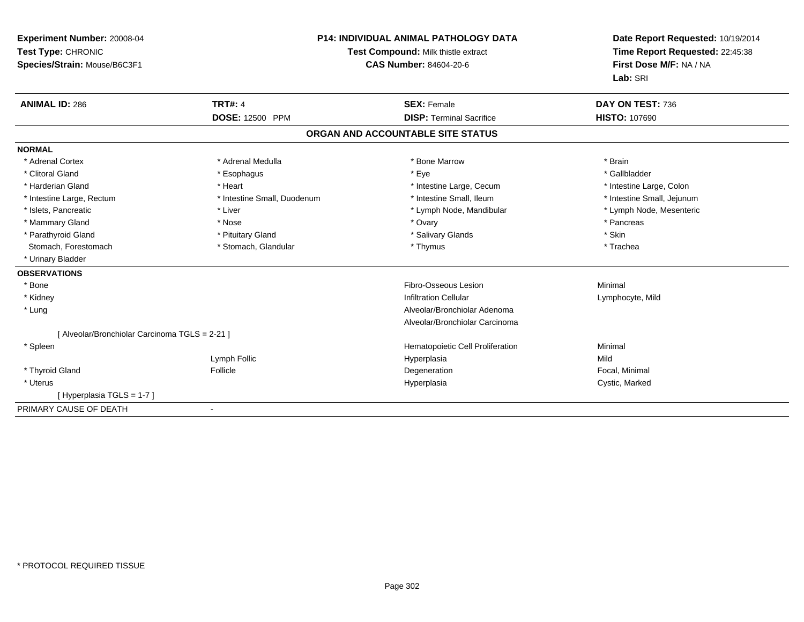| <b>Experiment Number: 20008-04</b><br>Test Type: CHRONIC | <b>P14: INDIVIDUAL ANIMAL PATHOLOGY DATA</b><br>Test Compound: Milk thistle extract |                                   | Date Report Requested: 10/19/2014<br>Time Report Requested: 22:45:38 |
|----------------------------------------------------------|-------------------------------------------------------------------------------------|-----------------------------------|----------------------------------------------------------------------|
| Species/Strain: Mouse/B6C3F1                             |                                                                                     | <b>CAS Number: 84604-20-6</b>     | First Dose M/F: NA / NA<br>Lab: SRI                                  |
| <b>ANIMAL ID: 286</b>                                    | <b>TRT#: 4</b>                                                                      | <b>SEX: Female</b>                | DAY ON TEST: 736                                                     |
|                                                          | <b>DOSE: 12500 PPM</b>                                                              | <b>DISP: Terminal Sacrifice</b>   | <b>HISTO: 107690</b>                                                 |
|                                                          |                                                                                     | ORGAN AND ACCOUNTABLE SITE STATUS |                                                                      |
| <b>NORMAL</b>                                            |                                                                                     |                                   |                                                                      |
| * Adrenal Cortex                                         | * Adrenal Medulla                                                                   | * Bone Marrow                     | * Brain                                                              |
| * Clitoral Gland                                         | * Esophagus                                                                         | * Eye                             | * Gallbladder                                                        |
| * Harderian Gland                                        | * Heart                                                                             | * Intestine Large, Cecum          | * Intestine Large, Colon                                             |
| * Intestine Large, Rectum                                | * Intestine Small, Duodenum                                                         | * Intestine Small, Ileum          | * Intestine Small, Jejunum                                           |
| * Islets, Pancreatic                                     | * Liver                                                                             | * Lymph Node, Mandibular          | * Lymph Node, Mesenteric                                             |
| * Mammary Gland                                          | * Nose                                                                              | * Ovary                           | * Pancreas                                                           |
| * Parathyroid Gland                                      | * Pituitary Gland                                                                   | * Salivary Glands                 | * Skin                                                               |
| Stomach, Forestomach                                     | * Stomach, Glandular                                                                | * Thymus                          | * Trachea                                                            |
| * Urinary Bladder                                        |                                                                                     |                                   |                                                                      |
| <b>OBSERVATIONS</b>                                      |                                                                                     |                                   |                                                                      |
| * Bone                                                   |                                                                                     | Fibro-Osseous Lesion              | Minimal                                                              |
| * Kidney                                                 |                                                                                     | <b>Infiltration Cellular</b>      | Lymphocyte, Mild                                                     |
| * Lung                                                   |                                                                                     | Alveolar/Bronchiolar Adenoma      |                                                                      |
|                                                          |                                                                                     | Alveolar/Bronchiolar Carcinoma    |                                                                      |
| [ Alveolar/Bronchiolar Carcinoma TGLS = 2-21 ]           |                                                                                     |                                   |                                                                      |
| * Spleen                                                 |                                                                                     | Hematopoietic Cell Proliferation  | Minimal                                                              |
|                                                          | Lymph Follic                                                                        | Hyperplasia                       | Mild                                                                 |
| * Thyroid Gland                                          | Follicle                                                                            | Degeneration                      | Focal, Minimal                                                       |
| * Uterus                                                 |                                                                                     | Hyperplasia                       | Cystic, Marked                                                       |
| [Hyperplasia TGLS = 1-7]                                 |                                                                                     |                                   |                                                                      |
| PRIMARY CAUSE OF DEATH                                   | $\overline{\phantom{a}}$                                                            |                                   |                                                                      |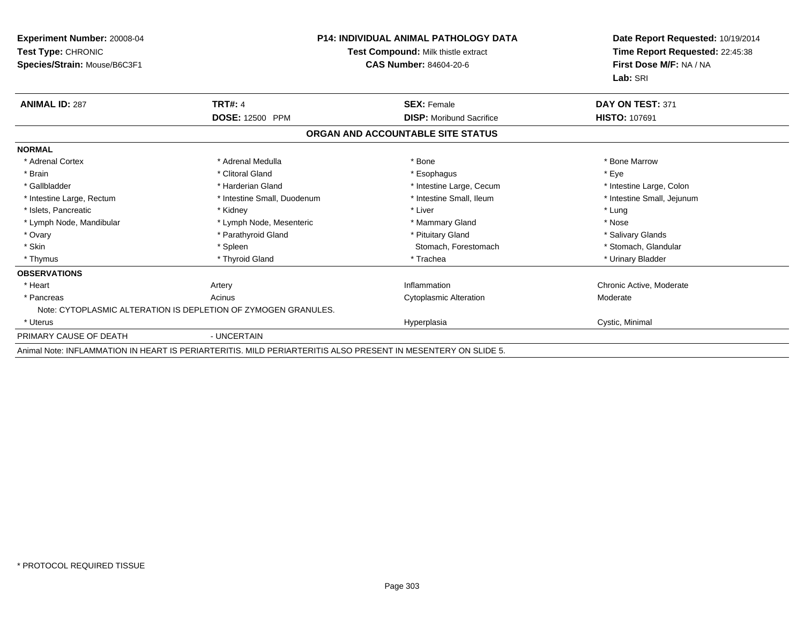| <b>Experiment Number: 20008-04</b><br>Test Type: CHRONIC<br>Species/Strain: Mouse/B6C3F1 | <b>P14: INDIVIDUAL ANIMAL PATHOLOGY DATA</b><br>Test Compound: Milk thistle extract<br><b>CAS Number: 84604-20-6</b> |                                   | Date Report Requested: 10/19/2014<br>Time Report Requested: 22:45:38<br>First Dose M/F: NA / NA<br>Lab: SRI |
|------------------------------------------------------------------------------------------|----------------------------------------------------------------------------------------------------------------------|-----------------------------------|-------------------------------------------------------------------------------------------------------------|
| <b>ANIMAL ID: 287</b>                                                                    | <b>TRT#: 4</b>                                                                                                       | <b>SEX: Female</b>                | DAY ON TEST: 371                                                                                            |
|                                                                                          | DOSE: 12500 PPM                                                                                                      | <b>DISP:</b> Moribund Sacrifice   | <b>HISTO: 107691</b>                                                                                        |
|                                                                                          |                                                                                                                      | ORGAN AND ACCOUNTABLE SITE STATUS |                                                                                                             |
| <b>NORMAL</b>                                                                            |                                                                                                                      |                                   |                                                                                                             |
| * Adrenal Cortex                                                                         | * Adrenal Medulla                                                                                                    | * Bone                            | * Bone Marrow                                                                                               |
| * Brain                                                                                  | * Clitoral Gland                                                                                                     | * Esophagus                       | * Eye                                                                                                       |
| * Gallbladder                                                                            | * Harderian Gland                                                                                                    | * Intestine Large, Cecum          | * Intestine Large, Colon                                                                                    |
| * Intestine Large, Rectum                                                                | * Intestine Small, Duodenum                                                                                          | * Intestine Small, Ileum          | * Intestine Small, Jejunum                                                                                  |
| * Islets, Pancreatic                                                                     | * Kidney                                                                                                             | * Liver                           | * Lung                                                                                                      |
| * Lymph Node, Mandibular                                                                 | * Lymph Node, Mesenteric                                                                                             | * Mammary Gland                   | * Nose                                                                                                      |
| * Ovary                                                                                  | * Parathyroid Gland                                                                                                  | * Pituitary Gland                 | * Salivary Glands                                                                                           |
| * Skin                                                                                   | * Spleen                                                                                                             | Stomach, Forestomach              | * Stomach, Glandular                                                                                        |
| * Thymus                                                                                 | * Thyroid Gland                                                                                                      | * Trachea                         | * Urinary Bladder                                                                                           |
| <b>OBSERVATIONS</b>                                                                      |                                                                                                                      |                                   |                                                                                                             |
| * Heart                                                                                  | Artery                                                                                                               | Inflammation                      | Chronic Active, Moderate                                                                                    |
| * Pancreas                                                                               | Acinus                                                                                                               | <b>Cytoplasmic Alteration</b>     | Moderate                                                                                                    |
|                                                                                          | Note: CYTOPLASMIC ALTERATION IS DEPLETION OF ZYMOGEN GRANULES.                                                       |                                   |                                                                                                             |
| * Uterus                                                                                 |                                                                                                                      | Hyperplasia                       | Cystic, Minimal                                                                                             |
| PRIMARY CAUSE OF DEATH                                                                   | - UNCERTAIN                                                                                                          |                                   |                                                                                                             |
|                                                                                          | Animal Note: INFLAMMATION IN HEART IS PERIARTERITIS, MILD PERIARTERITIS ALSO PRESENT IN MESENTERY ON SLIDE 5.        |                                   |                                                                                                             |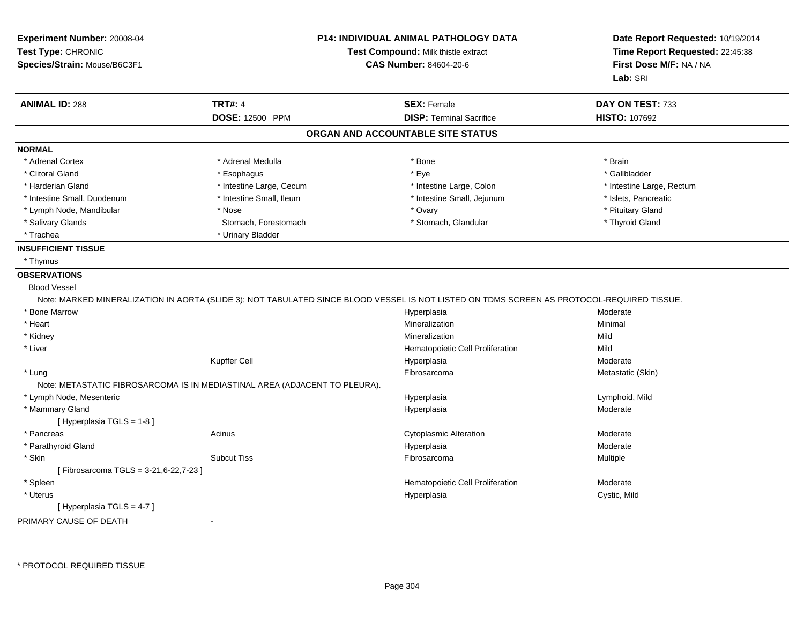| Experiment Number: 20008-04<br>Test Type: CHRONIC<br>Species/Strain: Mouse/B6C3F1 | <b>P14: INDIVIDUAL ANIMAL PATHOLOGY DATA</b><br>Test Compound: Milk thistle extract<br><b>CAS Number: 84604-20-6</b> |                                                                                                                                            | Date Report Requested: 10/19/2014<br>Time Report Requested: 22:45:38<br>First Dose M/F: NA / NA<br>Lab: SRI |
|-----------------------------------------------------------------------------------|----------------------------------------------------------------------------------------------------------------------|--------------------------------------------------------------------------------------------------------------------------------------------|-------------------------------------------------------------------------------------------------------------|
| <b>ANIMAL ID: 288</b>                                                             | <b>TRT#: 4</b>                                                                                                       | <b>SEX: Female</b>                                                                                                                         | DAY ON TEST: 733                                                                                            |
|                                                                                   | <b>DOSE: 12500 PPM</b>                                                                                               | <b>DISP: Terminal Sacrifice</b>                                                                                                            | <b>HISTO: 107692</b>                                                                                        |
|                                                                                   |                                                                                                                      | ORGAN AND ACCOUNTABLE SITE STATUS                                                                                                          |                                                                                                             |
| <b>NORMAL</b>                                                                     |                                                                                                                      |                                                                                                                                            |                                                                                                             |
| * Adrenal Cortex                                                                  | * Adrenal Medulla                                                                                                    | * Bone                                                                                                                                     | * Brain                                                                                                     |
| * Clitoral Gland                                                                  | * Esophagus                                                                                                          | * Eye                                                                                                                                      | * Gallbladder                                                                                               |
| * Harderian Gland                                                                 | * Intestine Large, Cecum                                                                                             | * Intestine Large, Colon                                                                                                                   | * Intestine Large, Rectum                                                                                   |
| * Intestine Small, Duodenum                                                       | * Intestine Small, Ileum                                                                                             | * Intestine Small, Jejunum                                                                                                                 | * Islets, Pancreatic                                                                                        |
| * Lymph Node, Mandibular                                                          | * Nose                                                                                                               | * Ovary                                                                                                                                    | * Pituitary Gland                                                                                           |
| * Salivary Glands                                                                 | Stomach, Forestomach                                                                                                 | * Stomach, Glandular                                                                                                                       | * Thyroid Gland                                                                                             |
| * Trachea                                                                         | * Urinary Bladder                                                                                                    |                                                                                                                                            |                                                                                                             |
| <b>INSUFFICIENT TISSUE</b>                                                        |                                                                                                                      |                                                                                                                                            |                                                                                                             |
| * Thymus                                                                          |                                                                                                                      |                                                                                                                                            |                                                                                                             |
| <b>OBSERVATIONS</b>                                                               |                                                                                                                      |                                                                                                                                            |                                                                                                             |
| <b>Blood Vessel</b>                                                               |                                                                                                                      |                                                                                                                                            |                                                                                                             |
|                                                                                   |                                                                                                                      | Note: MARKED MINERALIZATION IN AORTA (SLIDE 3); NOT TABULATED SINCE BLOOD VESSEL IS NOT LISTED ON TDMS SCREEN AS PROTOCOL-REQUIRED TISSUE. |                                                                                                             |
| * Bone Marrow                                                                     |                                                                                                                      | Hyperplasia                                                                                                                                | Moderate                                                                                                    |
| * Heart                                                                           |                                                                                                                      | Mineralization                                                                                                                             | Minimal                                                                                                     |
| * Kidney                                                                          |                                                                                                                      | Mineralization                                                                                                                             | Mild                                                                                                        |
| * Liver                                                                           |                                                                                                                      | Hematopoietic Cell Proliferation                                                                                                           | Mild                                                                                                        |
|                                                                                   | <b>Kupffer Cell</b>                                                                                                  | Hyperplasia                                                                                                                                | Moderate                                                                                                    |
| * Lung                                                                            |                                                                                                                      | Fibrosarcoma                                                                                                                               | Metastatic (Skin)                                                                                           |
| Note: METASTATIC FIBROSARCOMA IS IN MEDIASTINAL AREA (ADJACENT TO PLEURA).        |                                                                                                                      |                                                                                                                                            |                                                                                                             |
| * Lymph Node, Mesenteric                                                          |                                                                                                                      | Hyperplasia                                                                                                                                | Lymphoid, Mild                                                                                              |
| * Mammary Gland                                                                   |                                                                                                                      | Hyperplasia                                                                                                                                | Moderate                                                                                                    |
| [ Hyperplasia TGLS = 1-8 ]                                                        |                                                                                                                      |                                                                                                                                            |                                                                                                             |
| * Pancreas                                                                        | Acinus                                                                                                               | <b>Cytoplasmic Alteration</b>                                                                                                              | Moderate                                                                                                    |
| * Parathyroid Gland                                                               |                                                                                                                      | Hyperplasia                                                                                                                                | Moderate                                                                                                    |
| * Skin                                                                            | <b>Subcut Tiss</b>                                                                                                   | Fibrosarcoma                                                                                                                               | Multiple                                                                                                    |
| [Fibrosarcoma TGLS = 3-21,6-22,7-23 ]                                             |                                                                                                                      |                                                                                                                                            |                                                                                                             |
| * Spleen                                                                          |                                                                                                                      | Hematopoietic Cell Proliferation                                                                                                           | Moderate                                                                                                    |
| * Uterus                                                                          |                                                                                                                      | Hyperplasia                                                                                                                                | Cystic, Mild                                                                                                |
| [Hyperplasia TGLS = 4-7]                                                          |                                                                                                                      |                                                                                                                                            |                                                                                                             |
| PRIMARY CAUSE OF DEATH                                                            | $\ddot{\phantom{a}}$                                                                                                 |                                                                                                                                            |                                                                                                             |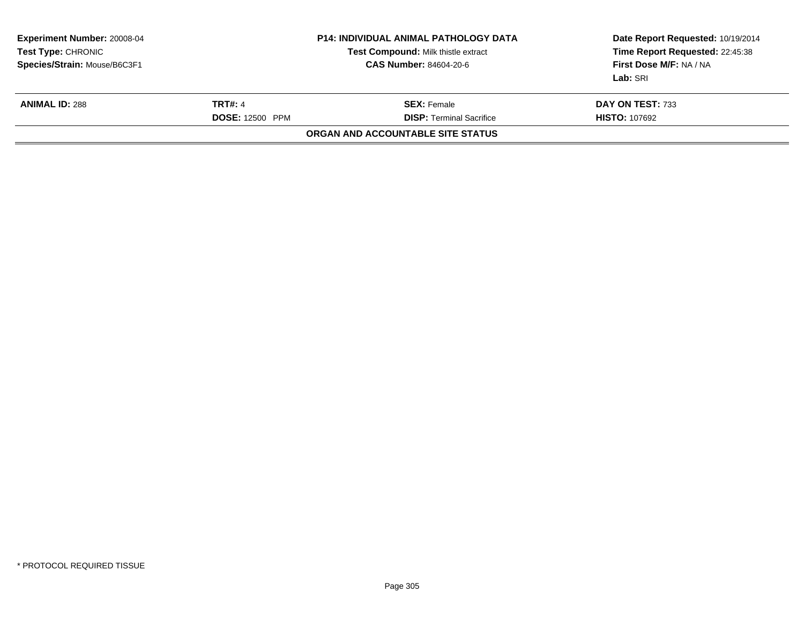| <b>Experiment Number: 20008-04</b><br>Test Type: CHRONIC<br>Species/Strain: Mouse/B6C3F1 | <b>P14: INDIVIDUAL ANIMAL PATHOLOGY DATA</b><br>Test Compound: Milk thistle extract<br><b>CAS Number: 84604-20-6</b> |                                                       | Date Report Requested: 10/19/2014<br>Time Report Requested: 22:45:38<br>First Dose M/F: NA / NA<br>Lab: SRI |
|------------------------------------------------------------------------------------------|----------------------------------------------------------------------------------------------------------------------|-------------------------------------------------------|-------------------------------------------------------------------------------------------------------------|
| <b>ANIMAL ID: 288</b>                                                                    | <b>TRT#: 4</b><br><b>DOSE: 12500 PPM</b>                                                                             | <b>SEX: Female</b><br><b>DISP: Terminal Sacrifice</b> | DAY ON TEST: 733<br><b>HISTO: 107692</b>                                                                    |
|                                                                                          |                                                                                                                      | ORGAN AND ACCOUNTABLE SITE STATUS                     |                                                                                                             |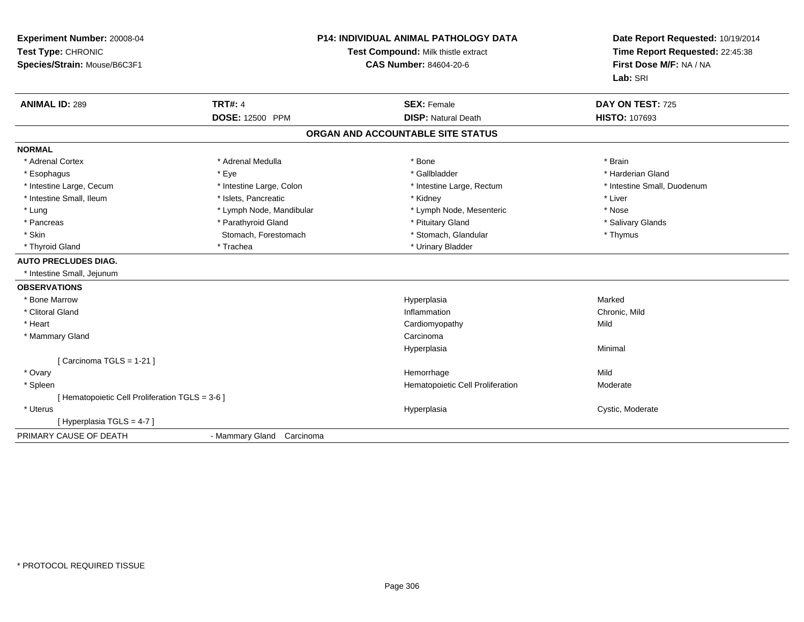| Experiment Number: 20008-04<br>Test Type: CHRONIC<br>Species/Strain: Mouse/B6C3F1 | <b>P14: INDIVIDUAL ANIMAL PATHOLOGY DATA</b><br>Test Compound: Milk thistle extract<br><b>CAS Number: 84604-20-6</b> |                                   | Date Report Requested: 10/19/2014<br>Time Report Requested: 22:45:38<br>First Dose M/F: NA / NA<br>Lab: SRI |
|-----------------------------------------------------------------------------------|----------------------------------------------------------------------------------------------------------------------|-----------------------------------|-------------------------------------------------------------------------------------------------------------|
| <b>ANIMAL ID: 289</b>                                                             | <b>TRT#: 4</b>                                                                                                       | <b>SEX: Female</b>                | DAY ON TEST: 725                                                                                            |
|                                                                                   | <b>DOSE: 12500 PPM</b>                                                                                               | <b>DISP: Natural Death</b>        | <b>HISTO: 107693</b>                                                                                        |
|                                                                                   |                                                                                                                      | ORGAN AND ACCOUNTABLE SITE STATUS |                                                                                                             |
| <b>NORMAL</b>                                                                     |                                                                                                                      |                                   |                                                                                                             |
| * Adrenal Cortex                                                                  | * Adrenal Medulla                                                                                                    | * Bone                            | * Brain                                                                                                     |
| * Esophagus                                                                       | * Eye                                                                                                                | * Gallbladder                     | * Harderian Gland                                                                                           |
| * Intestine Large, Cecum                                                          | * Intestine Large, Colon                                                                                             | * Intestine Large, Rectum         | * Intestine Small, Duodenum                                                                                 |
| * Intestine Small, Ileum                                                          | * Islets, Pancreatic                                                                                                 | * Kidney                          | * Liver                                                                                                     |
| * Lung                                                                            | * Lymph Node, Mandibular                                                                                             | * Lymph Node, Mesenteric          | * Nose                                                                                                      |
| * Pancreas                                                                        | * Parathyroid Gland                                                                                                  | * Pituitary Gland                 | * Salivary Glands                                                                                           |
| * Skin                                                                            | Stomach, Forestomach                                                                                                 | * Stomach, Glandular              | * Thymus                                                                                                    |
| * Thyroid Gland                                                                   | * Trachea                                                                                                            | * Urinary Bladder                 |                                                                                                             |
| <b>AUTO PRECLUDES DIAG.</b>                                                       |                                                                                                                      |                                   |                                                                                                             |
| * Intestine Small, Jejunum                                                        |                                                                                                                      |                                   |                                                                                                             |
| <b>OBSERVATIONS</b>                                                               |                                                                                                                      |                                   |                                                                                                             |
| * Bone Marrow                                                                     |                                                                                                                      | Hyperplasia                       | Marked                                                                                                      |
| * Clitoral Gland                                                                  |                                                                                                                      | Inflammation                      | Chronic, Mild                                                                                               |
| * Heart                                                                           |                                                                                                                      | Cardiomyopathy                    | Mild                                                                                                        |
| * Mammary Gland                                                                   |                                                                                                                      | Carcinoma                         |                                                                                                             |
|                                                                                   |                                                                                                                      | Hyperplasia                       | Minimal                                                                                                     |
| Carcinoma TGLS = 1-21 ]                                                           |                                                                                                                      |                                   |                                                                                                             |
| * Ovary                                                                           |                                                                                                                      | Hemorrhage                        | Mild                                                                                                        |
| * Spleen                                                                          |                                                                                                                      | Hematopoietic Cell Proliferation  | Moderate                                                                                                    |
| [ Hematopoietic Cell Proliferation TGLS = 3-6 ]                                   |                                                                                                                      |                                   |                                                                                                             |
| * Uterus                                                                          |                                                                                                                      | Hyperplasia                       | Cystic, Moderate                                                                                            |
| [Hyperplasia TGLS = 4-7]                                                          |                                                                                                                      |                                   |                                                                                                             |
| PRIMARY CAUSE OF DEATH                                                            | - Mammary Gland Carcinoma                                                                                            |                                   |                                                                                                             |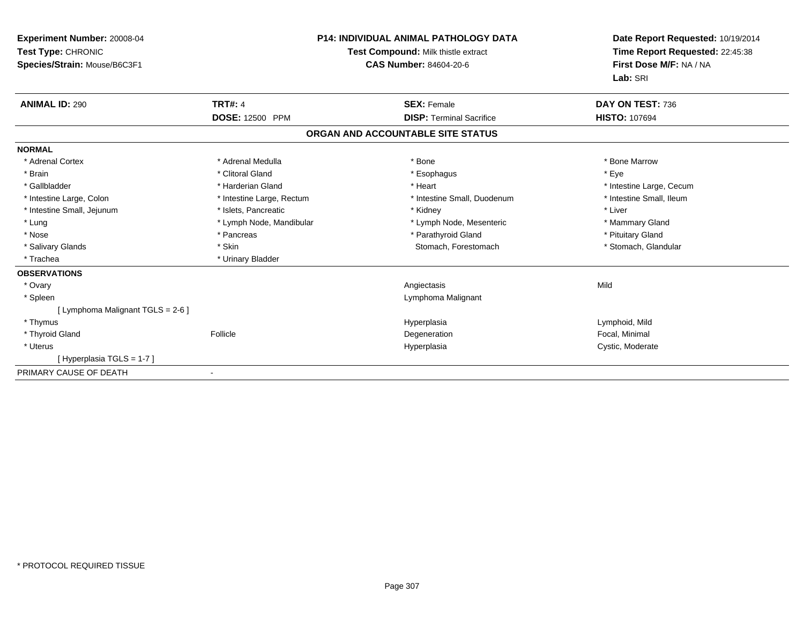| Experiment Number: 20008-04<br>Test Type: CHRONIC<br>Species/Strain: Mouse/B6C3F1 | <b>P14: INDIVIDUAL ANIMAL PATHOLOGY DATA</b><br>Test Compound: Milk thistle extract<br><b>CAS Number: 84604-20-6</b> |                                   | Date Report Requested: 10/19/2014<br>Time Report Requested: 22:45:38<br>First Dose M/F: NA / NA<br>Lab: SRI |
|-----------------------------------------------------------------------------------|----------------------------------------------------------------------------------------------------------------------|-----------------------------------|-------------------------------------------------------------------------------------------------------------|
| <b>ANIMAL ID: 290</b>                                                             | <b>TRT#: 4</b>                                                                                                       | <b>SEX: Female</b>                | DAY ON TEST: 736                                                                                            |
|                                                                                   | <b>DOSE: 12500 PPM</b>                                                                                               | <b>DISP: Terminal Sacrifice</b>   | <b>HISTO: 107694</b>                                                                                        |
|                                                                                   |                                                                                                                      | ORGAN AND ACCOUNTABLE SITE STATUS |                                                                                                             |
| <b>NORMAL</b>                                                                     |                                                                                                                      |                                   |                                                                                                             |
| * Adrenal Cortex                                                                  | * Adrenal Medulla                                                                                                    | * Bone                            | * Bone Marrow                                                                                               |
| * Brain                                                                           | * Clitoral Gland                                                                                                     | * Esophagus                       | * Eye                                                                                                       |
| * Gallbladder                                                                     | * Harderian Gland                                                                                                    | * Heart                           | * Intestine Large, Cecum                                                                                    |
| * Intestine Large, Colon                                                          | * Intestine Large, Rectum                                                                                            | * Intestine Small, Duodenum       | * Intestine Small, Ileum                                                                                    |
| * Intestine Small, Jejunum                                                        | * Islets. Pancreatic                                                                                                 | * Kidney                          | * Liver                                                                                                     |
| * Lung                                                                            | * Lymph Node, Mandibular                                                                                             | * Lymph Node, Mesenteric          | * Mammary Gland                                                                                             |
| * Nose                                                                            | * Pancreas                                                                                                           | * Parathyroid Gland               | * Pituitary Gland                                                                                           |
| * Salivary Glands                                                                 | * Skin                                                                                                               | Stomach, Forestomach              | * Stomach, Glandular                                                                                        |
| * Trachea                                                                         | * Urinary Bladder                                                                                                    |                                   |                                                                                                             |
| <b>OBSERVATIONS</b>                                                               |                                                                                                                      |                                   |                                                                                                             |
| * Ovary                                                                           |                                                                                                                      | Angiectasis                       | Mild                                                                                                        |
| * Spleen                                                                          |                                                                                                                      | Lymphoma Malignant                |                                                                                                             |
| [ Lymphoma Malignant TGLS = 2-6 ]                                                 |                                                                                                                      |                                   |                                                                                                             |
| * Thymus                                                                          |                                                                                                                      | Hyperplasia                       | Lymphoid, Mild                                                                                              |
| * Thyroid Gland                                                                   | Follicle                                                                                                             | Degeneration                      | Focal, Minimal                                                                                              |
| * Uterus                                                                          |                                                                                                                      | Hyperplasia                       | Cystic, Moderate                                                                                            |
| [Hyperplasia TGLS = 1-7]                                                          |                                                                                                                      |                                   |                                                                                                             |
| PRIMARY CAUSE OF DEATH                                                            |                                                                                                                      |                                   |                                                                                                             |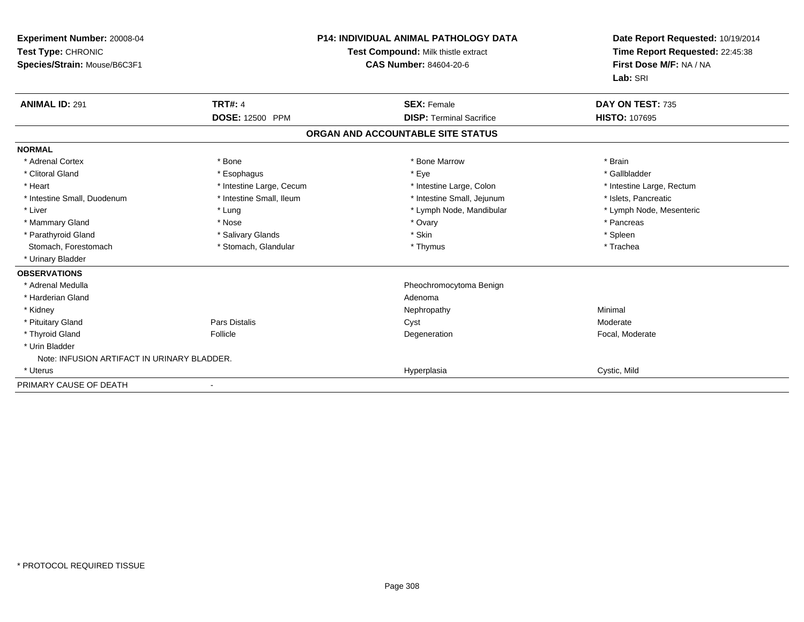| Experiment Number: 20008-04<br>Test Type: CHRONIC<br>Species/Strain: Mouse/B6C3F1 | <b>P14: INDIVIDUAL ANIMAL PATHOLOGY DATA</b><br>Test Compound: Milk thistle extract<br><b>CAS Number: 84604-20-6</b> |                                   | Date Report Requested: 10/19/2014<br>Time Report Requested: 22:45:38<br>First Dose M/F: NA / NA<br>Lab: SRI |
|-----------------------------------------------------------------------------------|----------------------------------------------------------------------------------------------------------------------|-----------------------------------|-------------------------------------------------------------------------------------------------------------|
| <b>ANIMAL ID: 291</b>                                                             | <b>TRT#: 4</b>                                                                                                       | <b>SEX: Female</b>                | DAY ON TEST: 735                                                                                            |
|                                                                                   | DOSE: 12500 PPM                                                                                                      | <b>DISP: Terminal Sacrifice</b>   | <b>HISTO: 107695</b>                                                                                        |
|                                                                                   |                                                                                                                      | ORGAN AND ACCOUNTABLE SITE STATUS |                                                                                                             |
| <b>NORMAL</b>                                                                     |                                                                                                                      |                                   |                                                                                                             |
| * Adrenal Cortex                                                                  | * Bone                                                                                                               | * Bone Marrow                     | * Brain                                                                                                     |
| * Clitoral Gland                                                                  | * Esophagus                                                                                                          | * Eye                             | * Gallbladder                                                                                               |
| * Heart                                                                           | * Intestine Large, Cecum                                                                                             | * Intestine Large, Colon          | * Intestine Large, Rectum                                                                                   |
| * Intestine Small, Duodenum                                                       | * Intestine Small, Ileum                                                                                             | * Intestine Small, Jejunum        | * Islets, Pancreatic                                                                                        |
| * Liver                                                                           | * Lung                                                                                                               | * Lymph Node, Mandibular          | * Lymph Node, Mesenteric                                                                                    |
| * Mammary Gland                                                                   | * Nose                                                                                                               | * Ovary                           | * Pancreas                                                                                                  |
| * Parathyroid Gland                                                               | * Salivary Glands                                                                                                    | * Skin                            | * Spleen                                                                                                    |
| Stomach, Forestomach                                                              | * Stomach, Glandular                                                                                                 | * Thymus                          | * Trachea                                                                                                   |
| * Urinary Bladder                                                                 |                                                                                                                      |                                   |                                                                                                             |
| <b>OBSERVATIONS</b>                                                               |                                                                                                                      |                                   |                                                                                                             |
| * Adrenal Medulla                                                                 |                                                                                                                      | Pheochromocytoma Benign           |                                                                                                             |
| * Harderian Gland                                                                 |                                                                                                                      | Adenoma                           |                                                                                                             |
| * Kidney                                                                          |                                                                                                                      | Nephropathy                       | Minimal                                                                                                     |
| * Pituitary Gland                                                                 | <b>Pars Distalis</b>                                                                                                 | Cyst                              | Moderate                                                                                                    |
| * Thyroid Gland                                                                   | Follicle                                                                                                             | Degeneration                      | Focal, Moderate                                                                                             |
| * Urin Bladder                                                                    |                                                                                                                      |                                   |                                                                                                             |
| Note: INFUSION ARTIFACT IN URINARY BLADDER.                                       |                                                                                                                      |                                   |                                                                                                             |
| * Uterus                                                                          |                                                                                                                      | Hyperplasia                       | Cystic, Mild                                                                                                |
| PRIMARY CAUSE OF DEATH                                                            |                                                                                                                      |                                   |                                                                                                             |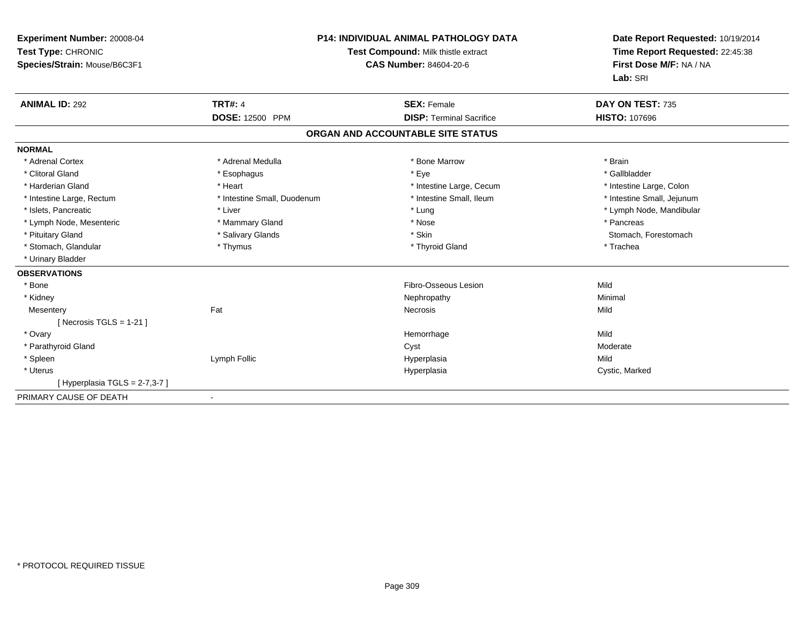| Experiment Number: 20008-04<br>Test Type: CHRONIC<br>Species/Strain: Mouse/B6C3F1 | <b>P14: INDIVIDUAL ANIMAL PATHOLOGY DATA</b><br>Test Compound: Milk thistle extract<br><b>CAS Number: 84604-20-6</b> |                                   | Date Report Requested: 10/19/2014<br>Time Report Requested: 22:45:38<br>First Dose M/F: NA / NA<br>Lab: SRI |
|-----------------------------------------------------------------------------------|----------------------------------------------------------------------------------------------------------------------|-----------------------------------|-------------------------------------------------------------------------------------------------------------|
| <b>ANIMAL ID: 292</b>                                                             | <b>TRT#: 4</b>                                                                                                       | <b>SEX: Female</b>                | DAY ON TEST: 735                                                                                            |
|                                                                                   | <b>DOSE: 12500 PPM</b>                                                                                               | <b>DISP: Terminal Sacrifice</b>   | <b>HISTO: 107696</b>                                                                                        |
|                                                                                   |                                                                                                                      | ORGAN AND ACCOUNTABLE SITE STATUS |                                                                                                             |
| <b>NORMAL</b>                                                                     |                                                                                                                      |                                   |                                                                                                             |
| * Adrenal Cortex                                                                  | * Adrenal Medulla                                                                                                    | * Bone Marrow                     | * Brain                                                                                                     |
| * Clitoral Gland                                                                  | * Esophagus                                                                                                          | * Eye                             | * Gallbladder                                                                                               |
| * Harderian Gland                                                                 | * Heart                                                                                                              | * Intestine Large, Cecum          | * Intestine Large, Colon                                                                                    |
| * Intestine Large, Rectum                                                         | * Intestine Small, Duodenum                                                                                          | * Intestine Small, Ileum          | * Intestine Small, Jejunum                                                                                  |
| * Islets, Pancreatic                                                              | * Liver                                                                                                              | * Lung                            | * Lymph Node, Mandibular                                                                                    |
| * Lymph Node, Mesenteric                                                          | * Mammary Gland                                                                                                      | * Nose                            | * Pancreas                                                                                                  |
| * Pituitary Gland                                                                 | * Salivary Glands                                                                                                    | * Skin                            | Stomach, Forestomach                                                                                        |
| * Stomach, Glandular                                                              | * Thymus                                                                                                             | * Thyroid Gland                   | * Trachea                                                                                                   |
| * Urinary Bladder                                                                 |                                                                                                                      |                                   |                                                                                                             |
| <b>OBSERVATIONS</b>                                                               |                                                                                                                      |                                   |                                                                                                             |
| * Bone                                                                            |                                                                                                                      | Fibro-Osseous Lesion              | Mild                                                                                                        |
| * Kidney                                                                          |                                                                                                                      | Nephropathy                       | Minimal                                                                                                     |
| Mesentery                                                                         | Fat                                                                                                                  | <b>Necrosis</b>                   | Mild                                                                                                        |
| [Necrosis TGLS = $1-21$ ]                                                         |                                                                                                                      |                                   |                                                                                                             |
| * Ovary                                                                           |                                                                                                                      | Hemorrhage                        | Mild                                                                                                        |
| * Parathyroid Gland                                                               |                                                                                                                      | Cyst                              | Moderate                                                                                                    |
| * Spleen                                                                          | Lymph Follic                                                                                                         | Hyperplasia                       | Mild                                                                                                        |
| * Uterus                                                                          |                                                                                                                      | Hyperplasia                       | Cystic, Marked                                                                                              |
| [Hyperplasia TGLS = $2-7,3-7$ ]                                                   |                                                                                                                      |                                   |                                                                                                             |
| PRIMARY CAUSE OF DEATH                                                            |                                                                                                                      |                                   |                                                                                                             |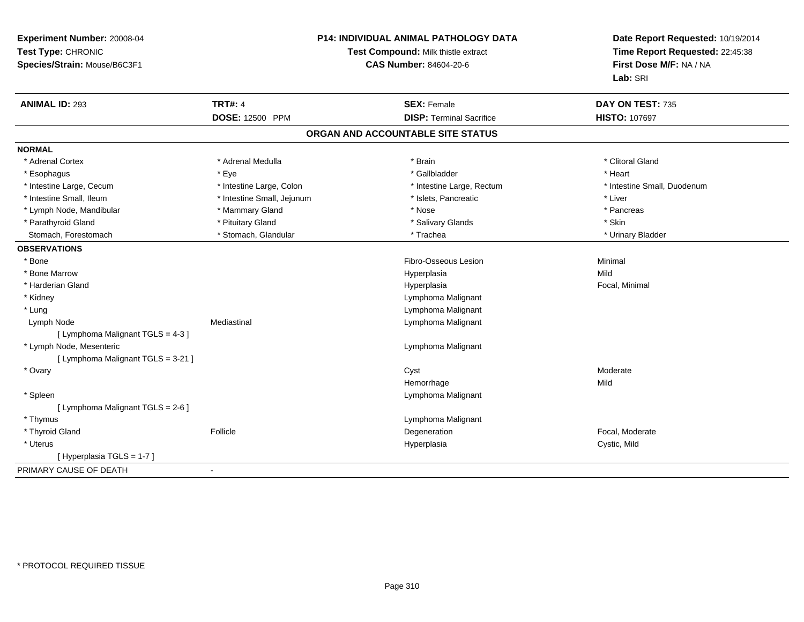| Experiment Number: 20008-04<br>Test Type: CHRONIC<br>Species/Strain: Mouse/B6C3F1 | P14: INDIVIDUAL ANIMAL PATHOLOGY DATA<br>Test Compound: Milk thistle extract<br><b>CAS Number: 84604-20-6</b> |                                   | Date Report Requested: 10/19/2014<br>Time Report Requested: 22:45:38<br>First Dose M/F: NA / NA<br>Lab: SRI |  |
|-----------------------------------------------------------------------------------|---------------------------------------------------------------------------------------------------------------|-----------------------------------|-------------------------------------------------------------------------------------------------------------|--|
| <b>ANIMAL ID: 293</b>                                                             | <b>TRT#: 4</b>                                                                                                | <b>SEX: Female</b>                | DAY ON TEST: 735                                                                                            |  |
|                                                                                   | <b>DOSE: 12500 PPM</b>                                                                                        | <b>DISP: Terminal Sacrifice</b>   | <b>HISTO: 107697</b>                                                                                        |  |
|                                                                                   |                                                                                                               | ORGAN AND ACCOUNTABLE SITE STATUS |                                                                                                             |  |
| <b>NORMAL</b>                                                                     |                                                                                                               |                                   |                                                                                                             |  |
| * Adrenal Cortex                                                                  | * Adrenal Medulla                                                                                             | * Brain                           | * Clitoral Gland                                                                                            |  |
| * Esophagus                                                                       | * Eye                                                                                                         | * Gallbladder                     | * Heart                                                                                                     |  |
| * Intestine Large, Cecum                                                          | * Intestine Large, Colon                                                                                      | * Intestine Large, Rectum         | * Intestine Small, Duodenum                                                                                 |  |
| * Intestine Small, Ileum                                                          | * Intestine Small, Jejunum                                                                                    | * Islets, Pancreatic              | * Liver                                                                                                     |  |
| * Lymph Node, Mandibular                                                          | * Mammary Gland                                                                                               | * Nose                            | * Pancreas                                                                                                  |  |
| * Parathyroid Gland                                                               | * Pituitary Gland                                                                                             | * Salivary Glands                 | * Skin                                                                                                      |  |
| Stomach, Forestomach                                                              | * Stomach, Glandular                                                                                          | * Trachea                         | * Urinary Bladder                                                                                           |  |
| <b>OBSERVATIONS</b>                                                               |                                                                                                               |                                   |                                                                                                             |  |
| * Bone                                                                            |                                                                                                               | Fibro-Osseous Lesion              | Minimal                                                                                                     |  |
| * Bone Marrow                                                                     |                                                                                                               | Hyperplasia                       | Mild                                                                                                        |  |
| * Harderian Gland                                                                 |                                                                                                               | Hyperplasia                       | Focal, Minimal                                                                                              |  |
| * Kidney                                                                          |                                                                                                               | Lymphoma Malignant                |                                                                                                             |  |
| * Lung                                                                            |                                                                                                               | Lymphoma Malignant                |                                                                                                             |  |
| Lymph Node                                                                        | Mediastinal                                                                                                   | Lymphoma Malignant                |                                                                                                             |  |
| [ Lymphoma Malignant TGLS = 4-3 ]                                                 |                                                                                                               |                                   |                                                                                                             |  |
| * Lymph Node, Mesenteric                                                          |                                                                                                               | Lymphoma Malignant                |                                                                                                             |  |
| [ Lymphoma Malignant TGLS = 3-21 ]                                                |                                                                                                               |                                   |                                                                                                             |  |
| * Ovary                                                                           |                                                                                                               | Cyst                              | Moderate                                                                                                    |  |
|                                                                                   |                                                                                                               | Hemorrhage                        | Mild                                                                                                        |  |
| * Spleen                                                                          |                                                                                                               | Lymphoma Malignant                |                                                                                                             |  |
| [ Lymphoma Malignant TGLS = 2-6 ]                                                 |                                                                                                               |                                   |                                                                                                             |  |
| * Thymus                                                                          |                                                                                                               | Lymphoma Malignant                |                                                                                                             |  |
| * Thyroid Gland                                                                   | Follicle                                                                                                      | Degeneration                      | Focal, Moderate                                                                                             |  |
| * Uterus                                                                          |                                                                                                               | Hyperplasia                       | Cystic, Mild                                                                                                |  |
| [Hyperplasia TGLS = 1-7]                                                          |                                                                                                               |                                   |                                                                                                             |  |
| PRIMARY CAUSE OF DEATH                                                            | $\blacksquare$                                                                                                |                                   |                                                                                                             |  |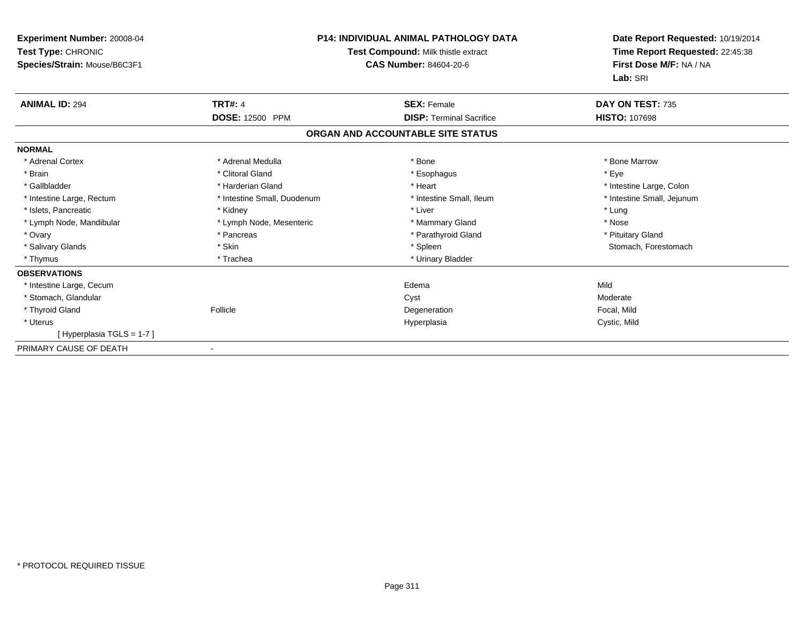| <b>Experiment Number: 20008-04</b><br>Test Type: CHRONIC<br>Species/Strain: Mouse/B6C3F1 | <b>P14: INDIVIDUAL ANIMAL PATHOLOGY DATA</b><br>Test Compound: Milk thistle extract<br><b>CAS Number: 84604-20-6</b> |                                   | Date Report Requested: 10/19/2014<br>Time Report Requested: 22:45:38<br>First Dose M/F: NA / NA<br>Lab: SRI |
|------------------------------------------------------------------------------------------|----------------------------------------------------------------------------------------------------------------------|-----------------------------------|-------------------------------------------------------------------------------------------------------------|
| <b>ANIMAL ID: 294</b>                                                                    | <b>TRT#: 4</b>                                                                                                       | <b>SEX: Female</b>                | DAY ON TEST: 735                                                                                            |
|                                                                                          | <b>DOSE: 12500 PPM</b>                                                                                               | <b>DISP: Terminal Sacrifice</b>   | <b>HISTO: 107698</b>                                                                                        |
|                                                                                          |                                                                                                                      | ORGAN AND ACCOUNTABLE SITE STATUS |                                                                                                             |
| <b>NORMAL</b>                                                                            |                                                                                                                      |                                   |                                                                                                             |
| * Adrenal Cortex                                                                         | * Adrenal Medulla                                                                                                    | * Bone                            | * Bone Marrow                                                                                               |
| * Brain                                                                                  | * Clitoral Gland                                                                                                     | * Esophagus                       | * Eve                                                                                                       |
| * Gallbladder                                                                            | * Harderian Gland                                                                                                    | * Heart                           | * Intestine Large, Colon                                                                                    |
| * Intestine Large, Rectum                                                                | * Intestine Small, Duodenum                                                                                          | * Intestine Small, Ileum          | * Intestine Small, Jejunum                                                                                  |
| * Islets, Pancreatic                                                                     | * Kidney                                                                                                             | * Liver                           | * Lung                                                                                                      |
| * Lymph Node, Mandibular                                                                 | * Lymph Node, Mesenteric                                                                                             | * Mammary Gland                   | * Nose                                                                                                      |
| * Ovary                                                                                  | * Pancreas                                                                                                           | * Parathyroid Gland               | * Pituitary Gland                                                                                           |
| * Salivary Glands                                                                        | * Skin                                                                                                               | * Spleen                          | Stomach, Forestomach                                                                                        |
| * Thymus                                                                                 | * Trachea                                                                                                            | * Urinary Bladder                 |                                                                                                             |
| <b>OBSERVATIONS</b>                                                                      |                                                                                                                      |                                   |                                                                                                             |
| * Intestine Large, Cecum                                                                 |                                                                                                                      | Edema                             | Mild                                                                                                        |
| * Stomach, Glandular                                                                     |                                                                                                                      | Cyst                              | Moderate                                                                                                    |
| * Thyroid Gland                                                                          | Follicle                                                                                                             | Degeneration                      | Focal, Mild                                                                                                 |
| * Uterus                                                                                 |                                                                                                                      | Hyperplasia                       | Cystic, Mild                                                                                                |
| [Hyperplasia TGLS = 1-7]                                                                 |                                                                                                                      |                                   |                                                                                                             |
| PRIMARY CAUSE OF DEATH                                                                   |                                                                                                                      |                                   |                                                                                                             |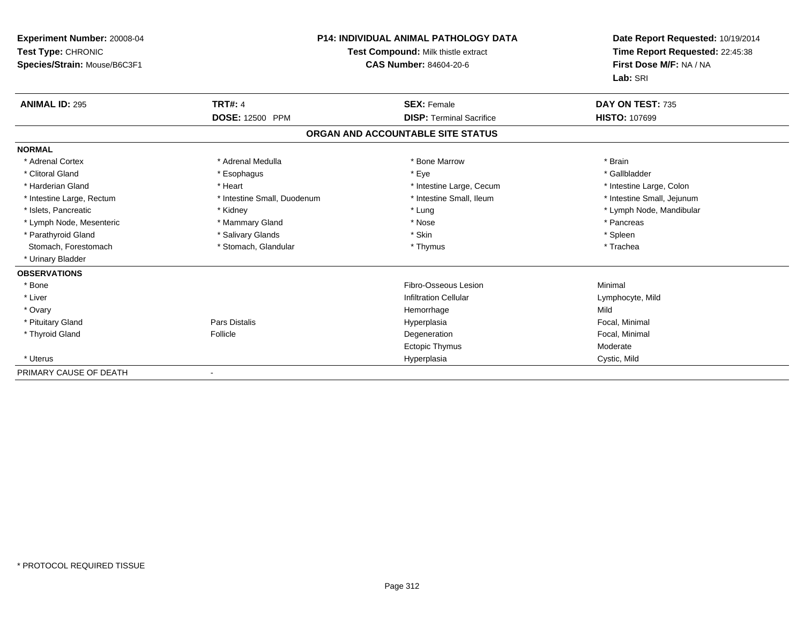| <b>Experiment Number: 20008-04</b><br>Test Type: CHRONIC<br>Species/Strain: Mouse/B6C3F1 |                             | <b>P14: INDIVIDUAL ANIMAL PATHOLOGY DATA</b><br>Test Compound: Milk thistle extract<br><b>CAS Number: 84604-20-6</b> | Date Report Requested: 10/19/2014<br>Time Report Requested: 22:45:38<br>First Dose M/F: NA / NA<br>Lab: SRI |
|------------------------------------------------------------------------------------------|-----------------------------|----------------------------------------------------------------------------------------------------------------------|-------------------------------------------------------------------------------------------------------------|
| <b>ANIMAL ID: 295</b>                                                                    | <b>TRT#: 4</b>              | <b>SEX: Female</b>                                                                                                   | DAY ON TEST: 735                                                                                            |
|                                                                                          | <b>DOSE: 12500 PPM</b>      | <b>DISP:</b> Terminal Sacrifice                                                                                      | <b>HISTO: 107699</b>                                                                                        |
|                                                                                          |                             | ORGAN AND ACCOUNTABLE SITE STATUS                                                                                    |                                                                                                             |
| <b>NORMAL</b>                                                                            |                             |                                                                                                                      |                                                                                                             |
| * Adrenal Cortex                                                                         | * Adrenal Medulla           | * Bone Marrow                                                                                                        | * Brain                                                                                                     |
| * Clitoral Gland                                                                         | * Esophagus                 | * Eye                                                                                                                | * Gallbladder                                                                                               |
| * Harderian Gland                                                                        | * Heart                     | * Intestine Large, Cecum                                                                                             | * Intestine Large, Colon                                                                                    |
| * Intestine Large, Rectum                                                                | * Intestine Small, Duodenum | * Intestine Small, Ileum                                                                                             | * Intestine Small, Jejunum                                                                                  |
| * Islets. Pancreatic                                                                     | * Kidney                    | * Lung                                                                                                               | * Lymph Node, Mandibular                                                                                    |
| * Lymph Node, Mesenteric                                                                 | * Mammary Gland             | * Nose                                                                                                               | * Pancreas                                                                                                  |
| * Parathyroid Gland                                                                      | * Salivary Glands           | * Skin                                                                                                               | * Spleen                                                                                                    |
| Stomach, Forestomach                                                                     | * Stomach, Glandular        | * Thymus                                                                                                             | * Trachea                                                                                                   |
| * Urinary Bladder                                                                        |                             |                                                                                                                      |                                                                                                             |
| <b>OBSERVATIONS</b>                                                                      |                             |                                                                                                                      |                                                                                                             |
| * Bone                                                                                   |                             | Fibro-Osseous Lesion                                                                                                 | Minimal                                                                                                     |
| * Liver                                                                                  |                             | <b>Infiltration Cellular</b>                                                                                         | Lymphocyte, Mild                                                                                            |
| * Ovary                                                                                  |                             | Hemorrhage                                                                                                           | Mild                                                                                                        |
| * Pituitary Gland                                                                        | Pars Distalis               | Hyperplasia                                                                                                          | Focal, Minimal                                                                                              |
| * Thyroid Gland                                                                          | Follicle                    | Degeneration                                                                                                         | Focal, Minimal                                                                                              |
|                                                                                          |                             | <b>Ectopic Thymus</b>                                                                                                | Moderate                                                                                                    |
| * Uterus                                                                                 |                             | Hyperplasia                                                                                                          | Cystic, Mild                                                                                                |
| PRIMARY CAUSE OF DEATH                                                                   |                             |                                                                                                                      |                                                                                                             |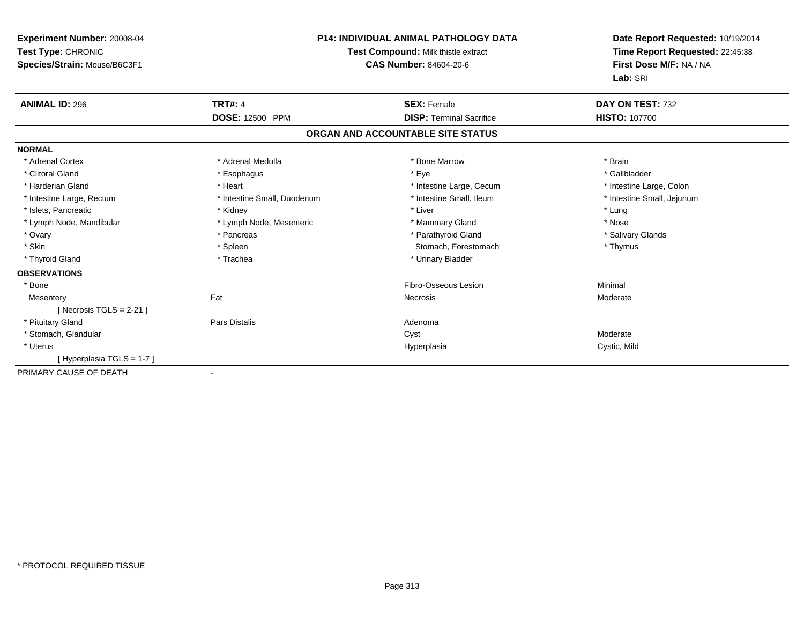| Experiment Number: 20008-04<br>Test Type: CHRONIC<br>Species/Strain: Mouse/B6C3F1 | <b>P14: INDIVIDUAL ANIMAL PATHOLOGY DATA</b><br>Test Compound: Milk thistle extract<br><b>CAS Number: 84604-20-6</b> |                                   | Date Report Requested: 10/19/2014<br>Time Report Requested: 22:45:38<br>First Dose M/F: NA / NA<br>Lab: SRI |  |
|-----------------------------------------------------------------------------------|----------------------------------------------------------------------------------------------------------------------|-----------------------------------|-------------------------------------------------------------------------------------------------------------|--|
| <b>ANIMAL ID: 296</b>                                                             | <b>TRT#: 4</b>                                                                                                       | <b>SEX: Female</b>                | DAY ON TEST: 732                                                                                            |  |
|                                                                                   | <b>DOSE: 12500 PPM</b>                                                                                               | <b>DISP: Terminal Sacrifice</b>   | <b>HISTO: 107700</b>                                                                                        |  |
|                                                                                   |                                                                                                                      | ORGAN AND ACCOUNTABLE SITE STATUS |                                                                                                             |  |
| <b>NORMAL</b>                                                                     |                                                                                                                      |                                   |                                                                                                             |  |
| * Adrenal Cortex                                                                  | * Adrenal Medulla                                                                                                    | * Bone Marrow                     | * Brain                                                                                                     |  |
| * Clitoral Gland                                                                  | * Esophagus                                                                                                          | * Eye                             | * Gallbladder                                                                                               |  |
| * Harderian Gland                                                                 | * Heart                                                                                                              | * Intestine Large, Cecum          | * Intestine Large, Colon                                                                                    |  |
| * Intestine Large, Rectum                                                         | * Intestine Small, Duodenum                                                                                          | * Intestine Small, Ileum          | * Intestine Small, Jejunum                                                                                  |  |
| * Islets, Pancreatic                                                              | * Kidney                                                                                                             | * Liver                           | * Lung                                                                                                      |  |
| * Lymph Node, Mandibular                                                          | * Lymph Node, Mesenteric                                                                                             | * Mammary Gland                   | * Nose                                                                                                      |  |
| * Ovary                                                                           | * Pancreas                                                                                                           | * Parathyroid Gland               | * Salivary Glands                                                                                           |  |
| * Skin                                                                            | * Spleen                                                                                                             | Stomach, Forestomach              | * Thymus                                                                                                    |  |
| * Thyroid Gland                                                                   | * Trachea                                                                                                            | * Urinary Bladder                 |                                                                                                             |  |
| <b>OBSERVATIONS</b>                                                               |                                                                                                                      |                                   |                                                                                                             |  |
| * Bone                                                                            |                                                                                                                      | Fibro-Osseous Lesion              | Minimal                                                                                                     |  |
| Mesentery                                                                         | Fat                                                                                                                  | Necrosis                          | Moderate                                                                                                    |  |
| [Necrosis TGLS = $2-21$ ]                                                         |                                                                                                                      |                                   |                                                                                                             |  |
| * Pituitary Gland                                                                 | <b>Pars Distalis</b>                                                                                                 | Adenoma                           |                                                                                                             |  |
| * Stomach, Glandular                                                              |                                                                                                                      | Cyst                              | Moderate                                                                                                    |  |
| * Uterus                                                                          |                                                                                                                      | Hyperplasia                       | Cystic, Mild                                                                                                |  |
| [Hyperplasia TGLS = 1-7]                                                          |                                                                                                                      |                                   |                                                                                                             |  |
| PRIMARY CAUSE OF DEATH                                                            | $\blacksquare$                                                                                                       |                                   |                                                                                                             |  |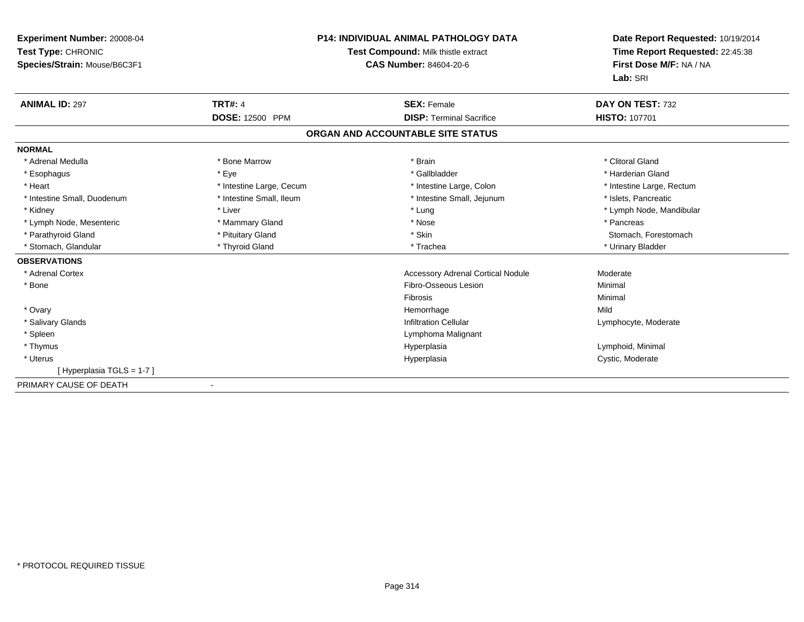| Experiment Number: 20008-04<br>Test Type: CHRONIC<br>Species/Strain: Mouse/B6C3F1 |                          | <b>P14: INDIVIDUAL ANIMAL PATHOLOGY DATA</b><br>Test Compound: Milk thistle extract<br>CAS Number: 84604-20-6 | Date Report Requested: 10/19/2014<br>Time Report Requested: 22:45:38<br>First Dose M/F: NA / NA<br>Lab: SRI |
|-----------------------------------------------------------------------------------|--------------------------|---------------------------------------------------------------------------------------------------------------|-------------------------------------------------------------------------------------------------------------|
| <b>ANIMAL ID: 297</b>                                                             | <b>TRT#: 4</b>           | <b>SEX: Female</b>                                                                                            | DAY ON TEST: 732                                                                                            |
|                                                                                   | DOSE: 12500 PPM          | <b>DISP: Terminal Sacrifice</b>                                                                               | HISTO: 107701                                                                                               |
|                                                                                   |                          | ORGAN AND ACCOUNTABLE SITE STATUS                                                                             |                                                                                                             |
| <b>NORMAL</b>                                                                     |                          |                                                                                                               |                                                                                                             |
| * Adrenal Medulla                                                                 | * Bone Marrow            | * Brain                                                                                                       | * Clitoral Gland                                                                                            |
| * Esophagus                                                                       | * Eye                    | * Gallbladder                                                                                                 | * Harderian Gland                                                                                           |
| * Heart                                                                           | * Intestine Large, Cecum | * Intestine Large, Colon                                                                                      | * Intestine Large, Rectum                                                                                   |
| * Intestine Small, Duodenum                                                       | * Intestine Small, Ileum | * Intestine Small, Jejunum                                                                                    | * Islets, Pancreatic                                                                                        |
| * Kidney                                                                          | * Liver                  | * Lung                                                                                                        | * Lymph Node, Mandibular                                                                                    |
| * Lymph Node, Mesenteric                                                          | * Mammary Gland          | * Nose                                                                                                        | * Pancreas                                                                                                  |
| * Parathyroid Gland                                                               | * Pituitary Gland        | * Skin                                                                                                        | Stomach, Forestomach                                                                                        |
| * Stomach, Glandular                                                              | * Thyroid Gland          | * Trachea                                                                                                     | * Urinary Bladder                                                                                           |
| <b>OBSERVATIONS</b>                                                               |                          |                                                                                                               |                                                                                                             |
| * Adrenal Cortex                                                                  |                          | <b>Accessory Adrenal Cortical Nodule</b>                                                                      | Moderate                                                                                                    |
| * Bone                                                                            |                          | Fibro-Osseous Lesion                                                                                          | Minimal                                                                                                     |
|                                                                                   |                          | Fibrosis                                                                                                      | Minimal                                                                                                     |
| * Ovary                                                                           |                          | Hemorrhage                                                                                                    | Mild                                                                                                        |
| * Salivary Glands                                                                 |                          | <b>Infiltration Cellular</b>                                                                                  | Lymphocyte, Moderate                                                                                        |
| * Spleen                                                                          |                          | Lymphoma Malignant                                                                                            |                                                                                                             |
| * Thymus                                                                          |                          | Hyperplasia                                                                                                   | Lymphoid, Minimal                                                                                           |
| * Uterus                                                                          |                          | Hyperplasia                                                                                                   | Cystic, Moderate                                                                                            |
| [Hyperplasia TGLS = 1-7]                                                          |                          |                                                                                                               |                                                                                                             |
| PRIMARY CAUSE OF DEATH                                                            |                          |                                                                                                               |                                                                                                             |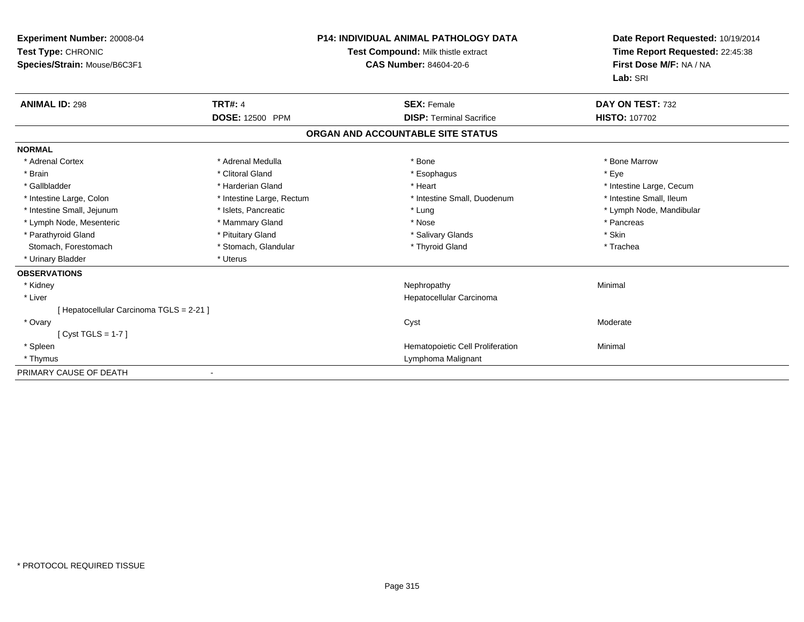| Experiment Number: 20008-04<br>Test Type: CHRONIC<br>Species/Strain: Mouse/B6C3F1 |                           | <b>P14: INDIVIDUAL ANIMAL PATHOLOGY DATA</b><br>Test Compound: Milk thistle extract<br><b>CAS Number: 84604-20-6</b> | Date Report Requested: 10/19/2014<br>Time Report Requested: 22:45:38<br>First Dose M/F: NA / NA<br>Lab: SRI |
|-----------------------------------------------------------------------------------|---------------------------|----------------------------------------------------------------------------------------------------------------------|-------------------------------------------------------------------------------------------------------------|
| <b>ANIMAL ID: 298</b>                                                             | <b>TRT#: 4</b>            | <b>SEX: Female</b>                                                                                                   | DAY ON TEST: 732                                                                                            |
|                                                                                   | <b>DOSE: 12500 PPM</b>    | <b>DISP: Terminal Sacrifice</b>                                                                                      | <b>HISTO: 107702</b>                                                                                        |
|                                                                                   |                           | ORGAN AND ACCOUNTABLE SITE STATUS                                                                                    |                                                                                                             |
| <b>NORMAL</b>                                                                     |                           |                                                                                                                      |                                                                                                             |
| * Adrenal Cortex                                                                  | * Adrenal Medulla         | * Bone                                                                                                               | * Bone Marrow                                                                                               |
| * Brain                                                                           | * Clitoral Gland          | * Esophagus                                                                                                          | * Eye                                                                                                       |
| * Gallbladder                                                                     | * Harderian Gland         | * Heart                                                                                                              | * Intestine Large, Cecum                                                                                    |
| * Intestine Large, Colon                                                          | * Intestine Large, Rectum | * Intestine Small, Duodenum                                                                                          | * Intestine Small, Ileum                                                                                    |
| * Intestine Small, Jejunum                                                        | * Islets, Pancreatic      | * Lung                                                                                                               | * Lymph Node, Mandibular                                                                                    |
| * Lymph Node, Mesenteric                                                          | * Mammary Gland           | * Nose                                                                                                               | * Pancreas                                                                                                  |
| * Parathyroid Gland                                                               | * Pituitary Gland         | * Salivary Glands                                                                                                    | * Skin                                                                                                      |
| Stomach, Forestomach                                                              | * Stomach, Glandular      | * Thyroid Gland                                                                                                      | * Trachea                                                                                                   |
| * Urinary Bladder                                                                 | * Uterus                  |                                                                                                                      |                                                                                                             |
| <b>OBSERVATIONS</b>                                                               |                           |                                                                                                                      |                                                                                                             |
| * Kidney                                                                          |                           | Nephropathy                                                                                                          | Minimal                                                                                                     |
| * Liver                                                                           |                           | Hepatocellular Carcinoma                                                                                             |                                                                                                             |
| [ Hepatocellular Carcinoma TGLS = 2-21 ]                                          |                           |                                                                                                                      |                                                                                                             |
| * Ovary                                                                           |                           | Cyst                                                                                                                 | Moderate                                                                                                    |
| [Cyst TGLS = $1-7$ ]                                                              |                           |                                                                                                                      |                                                                                                             |
| * Spleen                                                                          |                           | Hematopoietic Cell Proliferation                                                                                     | Minimal                                                                                                     |
| * Thymus                                                                          |                           | Lymphoma Malignant                                                                                                   |                                                                                                             |
| PRIMARY CAUSE OF DEATH                                                            |                           |                                                                                                                      |                                                                                                             |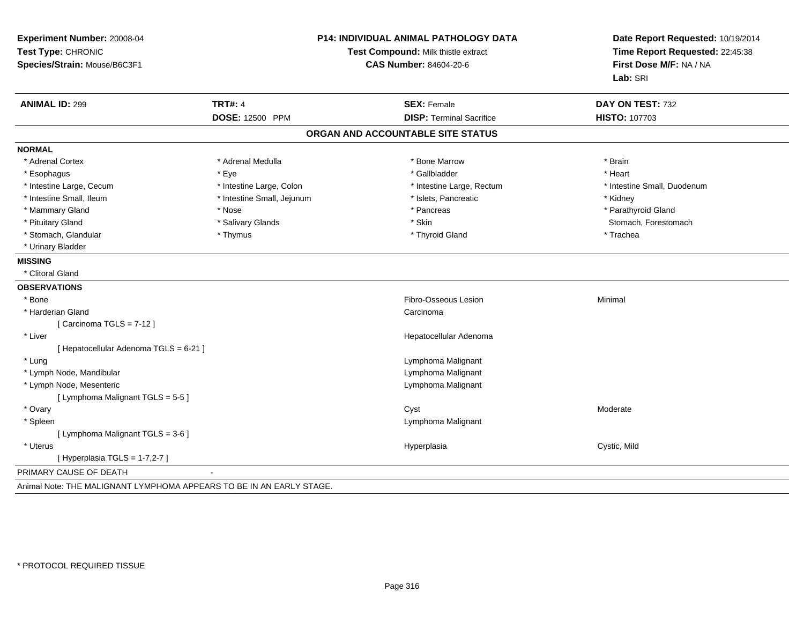| Experiment Number: 20008-04<br>Test Type: CHRONIC<br>Species/Strain: Mouse/B6C3F1 |                            | <b>P14: INDIVIDUAL ANIMAL PATHOLOGY DATA</b><br>Test Compound: Milk thistle extract<br><b>CAS Number: 84604-20-6</b> | Date Report Requested: 10/19/2014<br>Time Report Requested: 22:45:38<br>First Dose M/F: NA / NA<br>Lab: SRI |  |
|-----------------------------------------------------------------------------------|----------------------------|----------------------------------------------------------------------------------------------------------------------|-------------------------------------------------------------------------------------------------------------|--|
| <b>ANIMAL ID: 299</b>                                                             | <b>TRT#: 4</b>             | <b>SEX: Female</b>                                                                                                   | DAY ON TEST: 732                                                                                            |  |
|                                                                                   | DOSE: 12500 PPM            | <b>DISP: Terminal Sacrifice</b>                                                                                      | <b>HISTO: 107703</b>                                                                                        |  |
|                                                                                   |                            | ORGAN AND ACCOUNTABLE SITE STATUS                                                                                    |                                                                                                             |  |
| <b>NORMAL</b>                                                                     |                            |                                                                                                                      |                                                                                                             |  |
| * Adrenal Cortex                                                                  | * Adrenal Medulla          | * Bone Marrow                                                                                                        | * Brain                                                                                                     |  |
| * Esophagus                                                                       | * Eye                      | * Gallbladder                                                                                                        | * Heart                                                                                                     |  |
| * Intestine Large, Cecum                                                          | * Intestine Large, Colon   | * Intestine Large, Rectum                                                                                            | * Intestine Small, Duodenum                                                                                 |  |
| * Intestine Small, Ileum                                                          | * Intestine Small, Jejunum | * Islets, Pancreatic                                                                                                 | * Kidney                                                                                                    |  |
| * Mammary Gland                                                                   | * Nose                     | * Pancreas                                                                                                           | * Parathyroid Gland                                                                                         |  |
| * Pituitary Gland                                                                 | * Salivary Glands          | * Skin                                                                                                               | Stomach, Forestomach                                                                                        |  |
| * Stomach, Glandular                                                              | * Thymus                   | * Thyroid Gland                                                                                                      | * Trachea                                                                                                   |  |
| * Urinary Bladder                                                                 |                            |                                                                                                                      |                                                                                                             |  |
| <b>MISSING</b>                                                                    |                            |                                                                                                                      |                                                                                                             |  |
| * Clitoral Gland                                                                  |                            |                                                                                                                      |                                                                                                             |  |
| <b>OBSERVATIONS</b>                                                               |                            |                                                                                                                      |                                                                                                             |  |
| * Bone                                                                            |                            | Fibro-Osseous Lesion                                                                                                 | Minimal                                                                                                     |  |
| * Harderian Gland                                                                 |                            | Carcinoma                                                                                                            |                                                                                                             |  |
| [Carcinoma TGLS = 7-12]                                                           |                            |                                                                                                                      |                                                                                                             |  |
| * Liver                                                                           |                            | Hepatocellular Adenoma                                                                                               |                                                                                                             |  |
| [ Hepatocellular Adenoma TGLS = 6-21 ]                                            |                            |                                                                                                                      |                                                                                                             |  |
| * Lung                                                                            |                            | Lymphoma Malignant                                                                                                   |                                                                                                             |  |
| * Lymph Node, Mandibular                                                          |                            | Lymphoma Malignant                                                                                                   |                                                                                                             |  |
| * Lymph Node, Mesenteric                                                          |                            | Lymphoma Malignant                                                                                                   |                                                                                                             |  |
| [ Lymphoma Malignant TGLS = 5-5 ]                                                 |                            |                                                                                                                      |                                                                                                             |  |
| * Ovary                                                                           |                            | Cyst                                                                                                                 | Moderate                                                                                                    |  |
| * Spleen                                                                          |                            | Lymphoma Malignant                                                                                                   |                                                                                                             |  |
| [ Lymphoma Malignant TGLS = 3-6 ]                                                 |                            |                                                                                                                      |                                                                                                             |  |
| * Uterus                                                                          |                            | Hyperplasia                                                                                                          | Cystic, Mild                                                                                                |  |
| [ Hyperplasia TGLS = 1-7,2-7 ]                                                    |                            |                                                                                                                      |                                                                                                             |  |
| PRIMARY CAUSE OF DEATH                                                            |                            |                                                                                                                      |                                                                                                             |  |
| Animal Note: THE MALIGNANT LYMPHOMA APPEARS TO BE IN AN EARLY STAGE.              |                            |                                                                                                                      |                                                                                                             |  |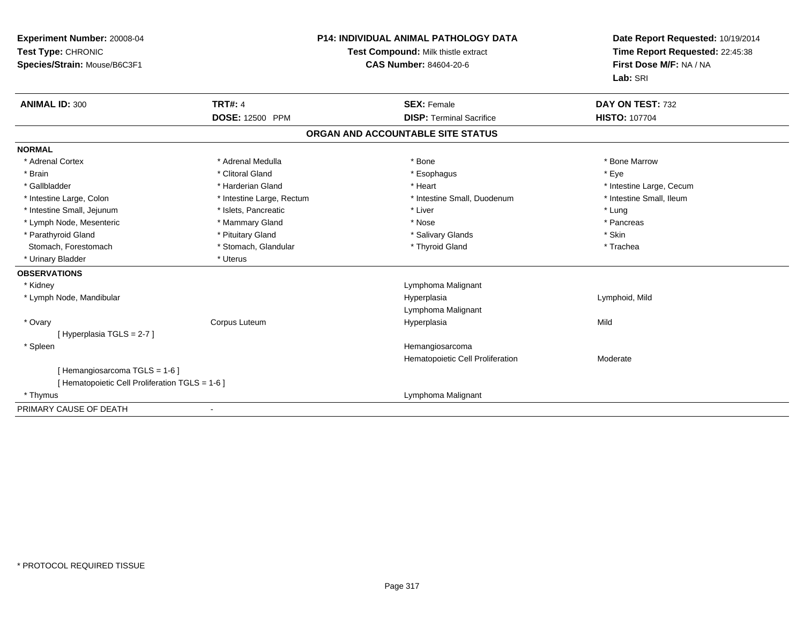| Experiment Number: 20008-04<br>Test Type: CHRONIC<br>Species/Strain: Mouse/B6C3F1 | <b>TRT#: 4</b>            | <b>P14: INDIVIDUAL ANIMAL PATHOLOGY DATA</b><br>Test Compound: Milk thistle extract<br><b>CAS Number: 84604-20-6</b> | Date Report Requested: 10/19/2014<br>Time Report Requested: 22:45:38<br>First Dose M/F: NA / NA<br>Lab: SRI<br>DAY ON TEST: 732 |  |
|-----------------------------------------------------------------------------------|---------------------------|----------------------------------------------------------------------------------------------------------------------|---------------------------------------------------------------------------------------------------------------------------------|--|
| <b>ANIMAL ID: 300</b>                                                             | <b>DOSE: 12500 PPM</b>    | <b>SEX: Female</b><br><b>DISP: Terminal Sacrifice</b>                                                                | <b>HISTO: 107704</b>                                                                                                            |  |
|                                                                                   |                           |                                                                                                                      |                                                                                                                                 |  |
|                                                                                   |                           | ORGAN AND ACCOUNTABLE SITE STATUS                                                                                    |                                                                                                                                 |  |
| <b>NORMAL</b>                                                                     |                           |                                                                                                                      |                                                                                                                                 |  |
| * Adrenal Cortex                                                                  | * Adrenal Medulla         | * Bone                                                                                                               | * Bone Marrow                                                                                                                   |  |
| * Brain                                                                           | * Clitoral Gland          | * Esophagus                                                                                                          | * Eye                                                                                                                           |  |
| * Gallbladder                                                                     | * Harderian Gland         | * Heart                                                                                                              | * Intestine Large, Cecum                                                                                                        |  |
| * Intestine Large, Colon                                                          | * Intestine Large, Rectum | * Intestine Small, Duodenum                                                                                          | * Intestine Small, Ileum                                                                                                        |  |
| * Intestine Small, Jejunum                                                        | * Islets, Pancreatic      | * Liver                                                                                                              | * Lung                                                                                                                          |  |
| * Lymph Node, Mesenteric                                                          | * Mammary Gland           | * Nose                                                                                                               | * Pancreas                                                                                                                      |  |
| * Parathyroid Gland                                                               | * Pituitary Gland         | * Salivary Glands                                                                                                    | * Skin                                                                                                                          |  |
| Stomach, Forestomach                                                              | * Stomach, Glandular      | * Thyroid Gland                                                                                                      | * Trachea                                                                                                                       |  |
| * Urinary Bladder                                                                 | * Uterus                  |                                                                                                                      |                                                                                                                                 |  |
| <b>OBSERVATIONS</b>                                                               |                           |                                                                                                                      |                                                                                                                                 |  |
| * Kidney                                                                          |                           | Lymphoma Malignant                                                                                                   |                                                                                                                                 |  |
| * Lymph Node, Mandibular                                                          |                           | Hyperplasia                                                                                                          | Lymphoid, Mild                                                                                                                  |  |
|                                                                                   |                           | Lymphoma Malignant                                                                                                   |                                                                                                                                 |  |
| * Ovary                                                                           | Corpus Luteum             | Hyperplasia                                                                                                          | Mild                                                                                                                            |  |
| [Hyperplasia TGLS = $2-7$ ]                                                       |                           |                                                                                                                      |                                                                                                                                 |  |
| * Spleen                                                                          |                           | Hemangiosarcoma                                                                                                      |                                                                                                                                 |  |
|                                                                                   |                           | Hematopoietic Cell Proliferation                                                                                     | Moderate                                                                                                                        |  |
| [Hemangiosarcoma TGLS = 1-6]<br>[ Hematopoietic Cell Proliferation TGLS = 1-6 ]   |                           |                                                                                                                      |                                                                                                                                 |  |
| * Thymus                                                                          |                           | Lymphoma Malignant                                                                                                   |                                                                                                                                 |  |
| PRIMARY CAUSE OF DEATH                                                            |                           |                                                                                                                      |                                                                                                                                 |  |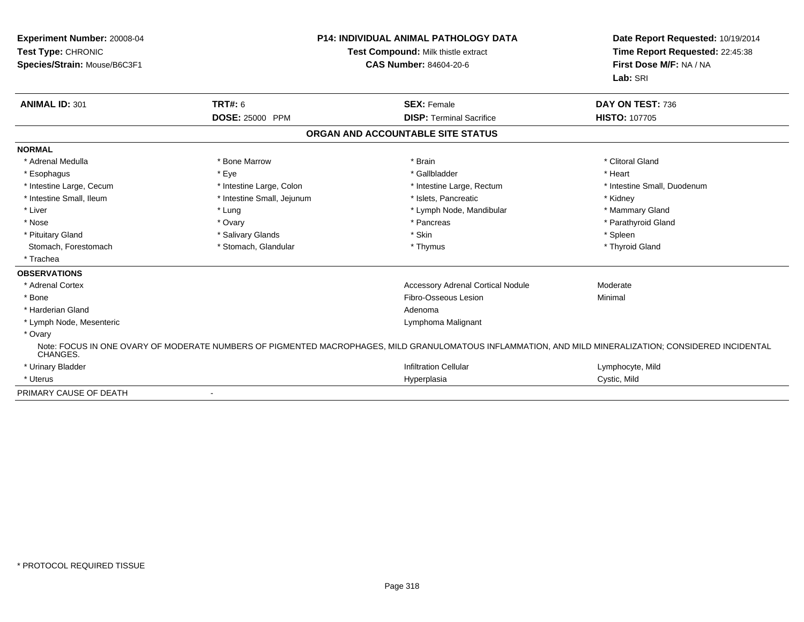| <b>ANIMAL ID: 301</b><br><b>TRT#: 6</b><br><b>SEX: Female</b><br>DAY ON TEST: 736<br>DOSE: 25000 PPM<br><b>DISP: Terminal Sacrifice</b><br><b>HISTO: 107705</b><br>ORGAN AND ACCOUNTABLE SITE STATUS<br><b>NORMAL</b><br>* Adrenal Medulla<br>* Bone Marrow<br>* Brain<br>* Clitoral Gland<br>* Eve<br>* Gallbladder<br>* Heart<br>* Esophagus<br>* Intestine Large, Colon<br>* Intestine Large, Cecum<br>* Intestine Large, Rectum<br>* Intestine Small, Ileum<br>* Intestine Small, Jejunum<br>* Islets, Pancreatic<br>* Kidney<br>* Liver<br>* Lymph Node, Mandibular<br>* Mammary Gland<br>* Lung<br>* Parathyroid Gland<br>* Nose<br>* Pancreas<br>* Ovary<br>* Salivary Glands<br>* Skin<br>* Spleen<br>* Pituitary Gland<br>Stomach, Forestomach<br>* Stomach, Glandular<br>* Thyroid Gland<br>* Thymus<br>* Trachea<br><b>OBSERVATIONS</b><br>* Adrenal Cortex<br><b>Accessory Adrenal Cortical Nodule</b><br>Moderate<br>Fibro-Osseous Lesion<br>Minimal<br>* Bone<br>* Harderian Gland<br>Adenoma<br>* Lymph Node, Mesenteric<br>Lymphoma Malignant<br>* Ovary<br>Note: FOCUS IN ONE OVARY OF MODERATE NUMBERS OF PIGMENTED MACROPHAGES, MILD GRANULOMATOUS INFLAMMATION, AND MILD MINERALIZATION; CONSIDERED INCIDENTAL | Date Report Requested: 10/19/2014<br>Time Report Requested: 22:45:38<br>First Dose M/F: NA / NA<br>Lab: SRI | <b>P14: INDIVIDUAL ANIMAL PATHOLOGY DATA</b><br>Test Compound: Milk thistle extract<br><b>CAS Number: 84604-20-6</b> | Experiment Number: 20008-04<br>Test Type: CHRONIC<br>Species/Strain: Mouse/B6C3F1 |          |
|------------------------------------------------------------------------------------------------------------------------------------------------------------------------------------------------------------------------------------------------------------------------------------------------------------------------------------------------------------------------------------------------------------------------------------------------------------------------------------------------------------------------------------------------------------------------------------------------------------------------------------------------------------------------------------------------------------------------------------------------------------------------------------------------------------------------------------------------------------------------------------------------------------------------------------------------------------------------------------------------------------------------------------------------------------------------------------------------------------------------------------------------------------------------------------------------------------------------------------|-------------------------------------------------------------------------------------------------------------|----------------------------------------------------------------------------------------------------------------------|-----------------------------------------------------------------------------------|----------|
|                                                                                                                                                                                                                                                                                                                                                                                                                                                                                                                                                                                                                                                                                                                                                                                                                                                                                                                                                                                                                                                                                                                                                                                                                                    |                                                                                                             |                                                                                                                      |                                                                                   |          |
|                                                                                                                                                                                                                                                                                                                                                                                                                                                                                                                                                                                                                                                                                                                                                                                                                                                                                                                                                                                                                                                                                                                                                                                                                                    |                                                                                                             |                                                                                                                      |                                                                                   |          |
|                                                                                                                                                                                                                                                                                                                                                                                                                                                                                                                                                                                                                                                                                                                                                                                                                                                                                                                                                                                                                                                                                                                                                                                                                                    |                                                                                                             |                                                                                                                      |                                                                                   |          |
|                                                                                                                                                                                                                                                                                                                                                                                                                                                                                                                                                                                                                                                                                                                                                                                                                                                                                                                                                                                                                                                                                                                                                                                                                                    |                                                                                                             |                                                                                                                      |                                                                                   |          |
|                                                                                                                                                                                                                                                                                                                                                                                                                                                                                                                                                                                                                                                                                                                                                                                                                                                                                                                                                                                                                                                                                                                                                                                                                                    |                                                                                                             |                                                                                                                      |                                                                                   |          |
|                                                                                                                                                                                                                                                                                                                                                                                                                                                                                                                                                                                                                                                                                                                                                                                                                                                                                                                                                                                                                                                                                                                                                                                                                                    |                                                                                                             |                                                                                                                      |                                                                                   |          |
|                                                                                                                                                                                                                                                                                                                                                                                                                                                                                                                                                                                                                                                                                                                                                                                                                                                                                                                                                                                                                                                                                                                                                                                                                                    | * Intestine Small, Duodenum                                                                                 |                                                                                                                      |                                                                                   |          |
|                                                                                                                                                                                                                                                                                                                                                                                                                                                                                                                                                                                                                                                                                                                                                                                                                                                                                                                                                                                                                                                                                                                                                                                                                                    |                                                                                                             |                                                                                                                      |                                                                                   |          |
|                                                                                                                                                                                                                                                                                                                                                                                                                                                                                                                                                                                                                                                                                                                                                                                                                                                                                                                                                                                                                                                                                                                                                                                                                                    |                                                                                                             |                                                                                                                      |                                                                                   |          |
|                                                                                                                                                                                                                                                                                                                                                                                                                                                                                                                                                                                                                                                                                                                                                                                                                                                                                                                                                                                                                                                                                                                                                                                                                                    |                                                                                                             |                                                                                                                      |                                                                                   |          |
|                                                                                                                                                                                                                                                                                                                                                                                                                                                                                                                                                                                                                                                                                                                                                                                                                                                                                                                                                                                                                                                                                                                                                                                                                                    |                                                                                                             |                                                                                                                      |                                                                                   |          |
|                                                                                                                                                                                                                                                                                                                                                                                                                                                                                                                                                                                                                                                                                                                                                                                                                                                                                                                                                                                                                                                                                                                                                                                                                                    |                                                                                                             |                                                                                                                      |                                                                                   |          |
|                                                                                                                                                                                                                                                                                                                                                                                                                                                                                                                                                                                                                                                                                                                                                                                                                                                                                                                                                                                                                                                                                                                                                                                                                                    |                                                                                                             |                                                                                                                      |                                                                                   |          |
|                                                                                                                                                                                                                                                                                                                                                                                                                                                                                                                                                                                                                                                                                                                                                                                                                                                                                                                                                                                                                                                                                                                                                                                                                                    |                                                                                                             |                                                                                                                      |                                                                                   |          |
|                                                                                                                                                                                                                                                                                                                                                                                                                                                                                                                                                                                                                                                                                                                                                                                                                                                                                                                                                                                                                                                                                                                                                                                                                                    |                                                                                                             |                                                                                                                      |                                                                                   |          |
|                                                                                                                                                                                                                                                                                                                                                                                                                                                                                                                                                                                                                                                                                                                                                                                                                                                                                                                                                                                                                                                                                                                                                                                                                                    |                                                                                                             |                                                                                                                      |                                                                                   |          |
|                                                                                                                                                                                                                                                                                                                                                                                                                                                                                                                                                                                                                                                                                                                                                                                                                                                                                                                                                                                                                                                                                                                                                                                                                                    |                                                                                                             |                                                                                                                      |                                                                                   |          |
|                                                                                                                                                                                                                                                                                                                                                                                                                                                                                                                                                                                                                                                                                                                                                                                                                                                                                                                                                                                                                                                                                                                                                                                                                                    |                                                                                                             |                                                                                                                      |                                                                                   |          |
|                                                                                                                                                                                                                                                                                                                                                                                                                                                                                                                                                                                                                                                                                                                                                                                                                                                                                                                                                                                                                                                                                                                                                                                                                                    |                                                                                                             |                                                                                                                      |                                                                                   | CHANGES. |
| * Urinary Bladder<br><b>Infiltration Cellular</b><br>Lymphocyte, Mild                                                                                                                                                                                                                                                                                                                                                                                                                                                                                                                                                                                                                                                                                                                                                                                                                                                                                                                                                                                                                                                                                                                                                              |                                                                                                             |                                                                                                                      |                                                                                   |          |
| * Uterus<br>Cystic, Mild<br>Hyperplasia                                                                                                                                                                                                                                                                                                                                                                                                                                                                                                                                                                                                                                                                                                                                                                                                                                                                                                                                                                                                                                                                                                                                                                                            |                                                                                                             |                                                                                                                      |                                                                                   |          |
| PRIMARY CAUSE OF DEATH<br>$\blacksquare$                                                                                                                                                                                                                                                                                                                                                                                                                                                                                                                                                                                                                                                                                                                                                                                                                                                                                                                                                                                                                                                                                                                                                                                           |                                                                                                             |                                                                                                                      |                                                                                   |          |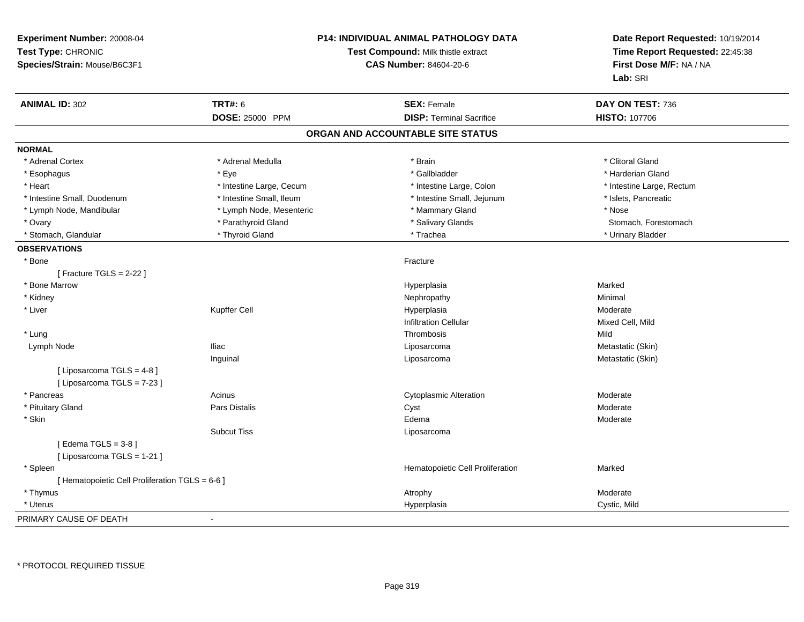| Experiment Number: 20008-04<br>Test Type: CHRONIC<br>Species/Strain: Mouse/B6C3F1 |                          | <b>P14: INDIVIDUAL ANIMAL PATHOLOGY DATA</b><br>Test Compound: Milk thistle extract<br><b>CAS Number: 84604-20-6</b> | Date Report Requested: 10/19/2014<br>Time Report Requested: 22:45:38<br>First Dose M/F: NA / NA<br>Lab: SRI |
|-----------------------------------------------------------------------------------|--------------------------|----------------------------------------------------------------------------------------------------------------------|-------------------------------------------------------------------------------------------------------------|
| <b>ANIMAL ID: 302</b>                                                             | <b>TRT#: 6</b>           | <b>SEX: Female</b>                                                                                                   | DAY ON TEST: 736                                                                                            |
|                                                                                   | <b>DOSE: 25000 PPM</b>   | <b>DISP: Terminal Sacrifice</b>                                                                                      | <b>HISTO: 107706</b>                                                                                        |
|                                                                                   |                          | ORGAN AND ACCOUNTABLE SITE STATUS                                                                                    |                                                                                                             |
| <b>NORMAL</b>                                                                     |                          |                                                                                                                      |                                                                                                             |
| * Adrenal Cortex                                                                  | * Adrenal Medulla        | * Brain                                                                                                              | * Clitoral Gland                                                                                            |
| * Esophagus                                                                       | * Eye                    | * Gallbladder                                                                                                        | * Harderian Gland                                                                                           |
| * Heart                                                                           | * Intestine Large, Cecum | * Intestine Large, Colon                                                                                             | * Intestine Large, Rectum                                                                                   |
| * Intestine Small, Duodenum                                                       | * Intestine Small, Ileum | * Intestine Small, Jejunum                                                                                           | * Islets, Pancreatic                                                                                        |
| * Lymph Node, Mandibular                                                          | * Lymph Node, Mesenteric | * Mammary Gland                                                                                                      | * Nose                                                                                                      |
| * Ovary                                                                           | * Parathyroid Gland      | * Salivary Glands                                                                                                    | Stomach, Forestomach                                                                                        |
| * Stomach, Glandular                                                              | * Thyroid Gland          | * Trachea                                                                                                            | * Urinary Bladder                                                                                           |
| <b>OBSERVATIONS</b>                                                               |                          |                                                                                                                      |                                                                                                             |
| * Bone                                                                            |                          | Fracture                                                                                                             |                                                                                                             |
| [ Fracture TGLS = $2-22$ ]                                                        |                          |                                                                                                                      |                                                                                                             |
| * Bone Marrow                                                                     |                          | Hyperplasia                                                                                                          | Marked                                                                                                      |
| * Kidney                                                                          |                          | Nephropathy                                                                                                          | Minimal                                                                                                     |
| * Liver                                                                           | Kupffer Cell             | Hyperplasia                                                                                                          | Moderate                                                                                                    |
|                                                                                   |                          | <b>Infiltration Cellular</b>                                                                                         | Mixed Cell, Mild                                                                                            |
| * Lung                                                                            |                          | Thrombosis                                                                                                           | Mild                                                                                                        |
| Lymph Node                                                                        | <b>Iliac</b>             | Liposarcoma                                                                                                          | Metastatic (Skin)                                                                                           |
|                                                                                   | Inguinal                 | Liposarcoma                                                                                                          | Metastatic (Skin)                                                                                           |
| [ Liposarcoma TGLS = 4-8 ]<br>[ Liposarcoma TGLS = 7-23 ]                         |                          |                                                                                                                      |                                                                                                             |
| * Pancreas                                                                        | Acinus                   | <b>Cytoplasmic Alteration</b>                                                                                        | Moderate                                                                                                    |
| * Pituitary Gland                                                                 | Pars Distalis            | Cyst                                                                                                                 | Moderate                                                                                                    |
| * Skin                                                                            |                          | Edema                                                                                                                | Moderate                                                                                                    |
|                                                                                   | <b>Subcut Tiss</b>       | Liposarcoma                                                                                                          |                                                                                                             |
| [Edema TGLS = $3-8$ ]                                                             |                          |                                                                                                                      |                                                                                                             |
| [ Liposarcoma TGLS = 1-21 ]                                                       |                          |                                                                                                                      |                                                                                                             |
| * Spleen                                                                          |                          | Hematopoietic Cell Proliferation                                                                                     | Marked                                                                                                      |
| [ Hematopoietic Cell Proliferation TGLS = 6-6 ]                                   |                          |                                                                                                                      |                                                                                                             |
| * Thymus                                                                          |                          | Atrophy                                                                                                              | Moderate                                                                                                    |
| * Uterus                                                                          |                          | Hyperplasia                                                                                                          | Cystic, Mild                                                                                                |
| PRIMARY CAUSE OF DEATH                                                            |                          |                                                                                                                      |                                                                                                             |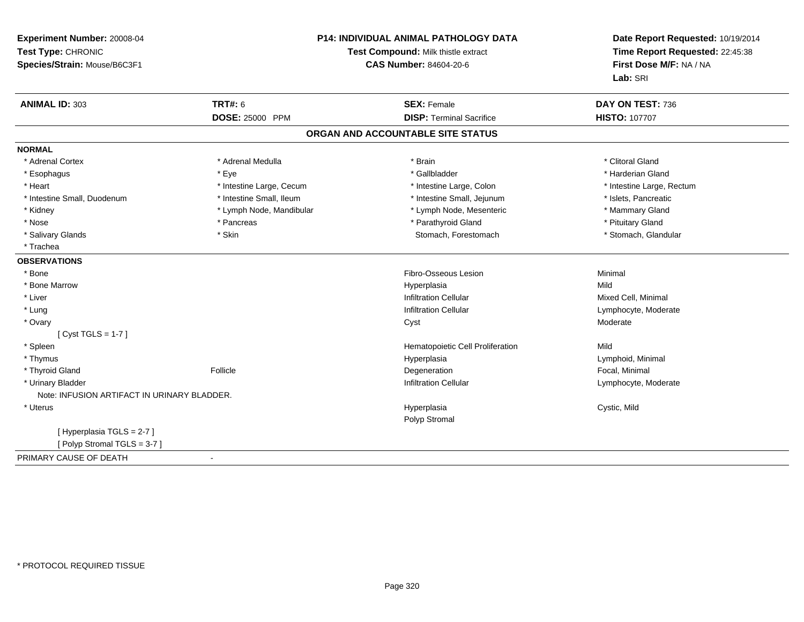| Experiment Number: 20008-04                 | P14: INDIVIDUAL ANIMAL PATHOLOGY DATA |                                   | Date Report Requested: 10/19/2014 |  |
|---------------------------------------------|---------------------------------------|-----------------------------------|-----------------------------------|--|
| Test Type: CHRONIC                          | Test Compound: Milk thistle extract   |                                   | Time Report Requested: 22:45:38   |  |
| Species/Strain: Mouse/B6C3F1                |                                       | <b>CAS Number: 84604-20-6</b>     | First Dose M/F: NA / NA           |  |
|                                             |                                       |                                   | Lab: SRI                          |  |
| <b>ANIMAL ID: 303</b>                       | <b>TRT#: 6</b>                        | <b>SEX: Female</b>                | DAY ON TEST: 736                  |  |
|                                             | <b>DOSE: 25000 PPM</b>                | <b>DISP: Terminal Sacrifice</b>   | <b>HISTO: 107707</b>              |  |
|                                             |                                       | ORGAN AND ACCOUNTABLE SITE STATUS |                                   |  |
| <b>NORMAL</b>                               |                                       |                                   |                                   |  |
| * Adrenal Cortex                            | * Adrenal Medulla                     | * Brain                           | * Clitoral Gland                  |  |
| * Esophagus                                 | * Eye                                 | * Gallbladder                     | * Harderian Gland                 |  |
| * Heart                                     | * Intestine Large, Cecum              | * Intestine Large, Colon          | * Intestine Large, Rectum         |  |
| * Intestine Small, Duodenum                 | * Intestine Small, Ileum              | * Intestine Small, Jejunum        | * Islets, Pancreatic              |  |
| * Kidney                                    | * Lymph Node, Mandibular              | * Lymph Node, Mesenteric          | * Mammary Gland                   |  |
| * Nose                                      | * Pancreas                            | * Parathyroid Gland               | * Pituitary Gland                 |  |
| * Salivary Glands                           | * Skin                                | Stomach, Forestomach              | * Stomach, Glandular              |  |
| * Trachea                                   |                                       |                                   |                                   |  |
| <b>OBSERVATIONS</b>                         |                                       |                                   |                                   |  |
| * Bone                                      |                                       | Fibro-Osseous Lesion              | Minimal                           |  |
| * Bone Marrow                               |                                       | Hyperplasia                       | Mild                              |  |
| * Liver                                     |                                       | <b>Infiltration Cellular</b>      | Mixed Cell, Minimal               |  |
| * Lung                                      |                                       | <b>Infiltration Cellular</b>      | Lymphocyte, Moderate              |  |
| * Ovary                                     |                                       | Cyst                              | Moderate                          |  |
| [Cyst TGLS = $1-7$ ]                        |                                       |                                   |                                   |  |
| * Spleen                                    |                                       | Hematopoietic Cell Proliferation  | Mild                              |  |
| * Thymus                                    |                                       | Hyperplasia                       | Lymphoid, Minimal                 |  |
| * Thyroid Gland                             | Follicle                              | Degeneration                      | Focal, Minimal                    |  |
| * Urinary Bladder                           |                                       | <b>Infiltration Cellular</b>      | Lymphocyte, Moderate              |  |
| Note: INFUSION ARTIFACT IN URINARY BLADDER. |                                       |                                   |                                   |  |
| * Uterus                                    |                                       | Hyperplasia                       | Cystic, Mild                      |  |
|                                             |                                       | Polyp Stromal                     |                                   |  |
| [Hyperplasia TGLS = 2-7]                    |                                       |                                   |                                   |  |
| [Polyp Stromal TGLS = 3-7]                  |                                       |                                   |                                   |  |
| PRIMARY CAUSE OF DEATH                      | $\blacksquare$                        |                                   |                                   |  |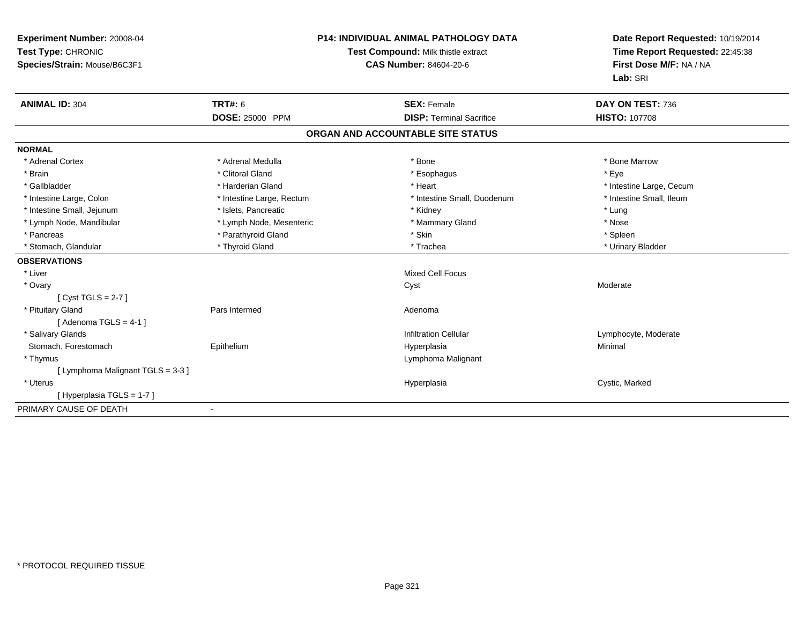| Experiment Number: 20008-04<br>Test Type: CHRONIC<br>Species/Strain: Mouse/B6C3F1 | <b>P14: INDIVIDUAL ANIMAL PATHOLOGY DATA</b><br>Test Compound: Milk thistle extract<br><b>CAS Number: 84604-20-6</b> |  | Date Report Requested: 10/19/2014<br>Time Report Requested: 22:45:38<br>First Dose M/F: NA / NA<br>Lab: SRI |                          |
|-----------------------------------------------------------------------------------|----------------------------------------------------------------------------------------------------------------------|--|-------------------------------------------------------------------------------------------------------------|--------------------------|
| <b>ANIMAL ID: 304</b>                                                             | <b>TRT#: 6</b>                                                                                                       |  | <b>SEX: Female</b>                                                                                          | DAY ON TEST: 736         |
|                                                                                   | <b>DOSE: 25000 PPM</b>                                                                                               |  | <b>DISP: Terminal Sacrifice</b>                                                                             | <b>HISTO: 107708</b>     |
|                                                                                   |                                                                                                                      |  | ORGAN AND ACCOUNTABLE SITE STATUS                                                                           |                          |
| <b>NORMAL</b>                                                                     |                                                                                                                      |  |                                                                                                             |                          |
| * Adrenal Cortex                                                                  | * Adrenal Medulla                                                                                                    |  | * Bone                                                                                                      | * Bone Marrow            |
| * Brain                                                                           | * Clitoral Gland                                                                                                     |  | * Esophagus                                                                                                 | * Eye                    |
| * Gallbladder                                                                     | * Harderian Gland                                                                                                    |  | * Heart                                                                                                     | * Intestine Large, Cecum |
| * Intestine Large, Colon                                                          | * Intestine Large, Rectum                                                                                            |  | * Intestine Small, Duodenum                                                                                 | * Intestine Small, Ileum |
| * Intestine Small, Jejunum                                                        | * Islets, Pancreatic                                                                                                 |  | * Kidney                                                                                                    | * Lung                   |
| * Lymph Node, Mandibular                                                          | * Lymph Node, Mesenteric                                                                                             |  | * Mammary Gland                                                                                             | * Nose                   |
| * Pancreas                                                                        | * Parathyroid Gland                                                                                                  |  | * Skin                                                                                                      | * Spleen                 |
| * Stomach, Glandular                                                              | * Thyroid Gland                                                                                                      |  | * Trachea                                                                                                   | * Urinary Bladder        |
| <b>OBSERVATIONS</b>                                                               |                                                                                                                      |  |                                                                                                             |                          |
| * Liver                                                                           |                                                                                                                      |  | <b>Mixed Cell Focus</b>                                                                                     |                          |
| * Ovary                                                                           |                                                                                                                      |  | Cyst                                                                                                        | Moderate                 |
| [Cyst TGLS = $2-7$ ]                                                              |                                                                                                                      |  |                                                                                                             |                          |
| * Pituitary Gland                                                                 | Pars Intermed                                                                                                        |  | Adenoma                                                                                                     |                          |
| [Adenoma TGLS = $4-1$ ]                                                           |                                                                                                                      |  |                                                                                                             |                          |
| * Salivary Glands                                                                 |                                                                                                                      |  | <b>Infiltration Cellular</b>                                                                                | Lymphocyte, Moderate     |
| Stomach, Forestomach                                                              | Epithelium                                                                                                           |  | Hyperplasia                                                                                                 | Minimal                  |
| * Thymus                                                                          |                                                                                                                      |  | Lymphoma Malignant                                                                                          |                          |
| [ Lymphoma Malignant TGLS = 3-3 ]                                                 |                                                                                                                      |  |                                                                                                             |                          |
| * Uterus                                                                          |                                                                                                                      |  | Hyperplasia                                                                                                 | Cystic, Marked           |
| [Hyperplasia TGLS = 1-7]                                                          |                                                                                                                      |  |                                                                                                             |                          |
| PRIMARY CAUSE OF DEATH                                                            |                                                                                                                      |  |                                                                                                             |                          |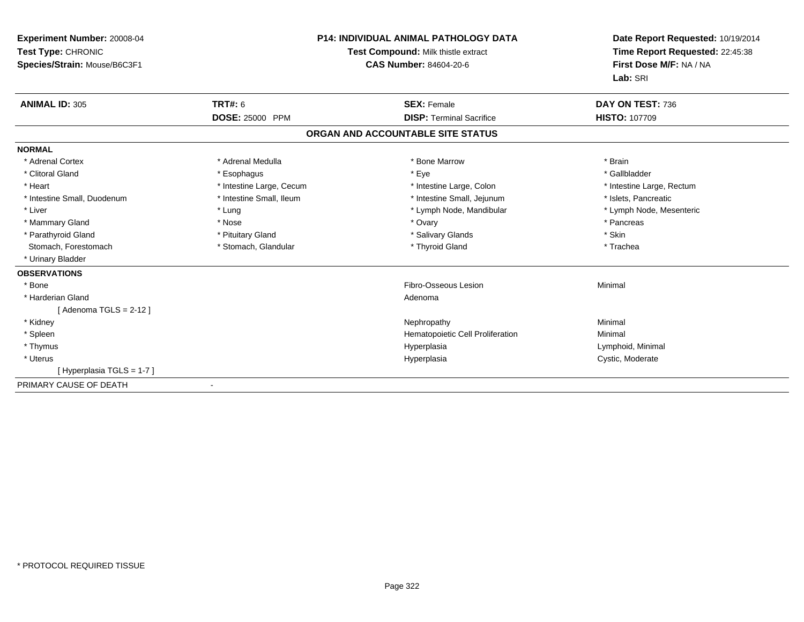| Experiment Number: 20008-04<br>Test Type: CHRONIC<br>Species/Strain: Mouse/B6C3F1 |                          | <b>P14: INDIVIDUAL ANIMAL PATHOLOGY DATA</b><br>Test Compound: Milk thistle extract<br><b>CAS Number: 84604-20-6</b> | Date Report Requested: 10/19/2014<br>Time Report Requested: 22:45:38<br>First Dose M/F: NA / NA<br>Lab: SRI |
|-----------------------------------------------------------------------------------|--------------------------|----------------------------------------------------------------------------------------------------------------------|-------------------------------------------------------------------------------------------------------------|
| <b>ANIMAL ID: 305</b>                                                             | <b>TRT#: 6</b>           | <b>SEX: Female</b>                                                                                                   | DAY ON TEST: 736                                                                                            |
|                                                                                   | DOSE: 25000 PPM          | <b>DISP: Terminal Sacrifice</b>                                                                                      | <b>HISTO: 107709</b>                                                                                        |
|                                                                                   |                          | ORGAN AND ACCOUNTABLE SITE STATUS                                                                                    |                                                                                                             |
| <b>NORMAL</b>                                                                     |                          |                                                                                                                      |                                                                                                             |
| * Adrenal Cortex                                                                  | * Adrenal Medulla        | * Bone Marrow                                                                                                        | * Brain                                                                                                     |
| * Clitoral Gland                                                                  | * Esophagus              | * Eye                                                                                                                | * Gallbladder                                                                                               |
| * Heart                                                                           | * Intestine Large, Cecum | * Intestine Large, Colon                                                                                             | * Intestine Large, Rectum                                                                                   |
| * Intestine Small, Duodenum                                                       | * Intestine Small, Ileum | * Intestine Small, Jejunum                                                                                           | * Islets, Pancreatic                                                                                        |
| * Liver                                                                           | * Lung                   | * Lymph Node, Mandibular                                                                                             | * Lymph Node, Mesenteric                                                                                    |
| * Mammary Gland                                                                   | * Nose                   | * Ovary                                                                                                              | * Pancreas                                                                                                  |
| * Parathyroid Gland                                                               | * Pituitary Gland        | * Salivary Glands                                                                                                    | * Skin                                                                                                      |
| Stomach, Forestomach                                                              | * Stomach, Glandular     | * Thyroid Gland                                                                                                      | * Trachea                                                                                                   |
| * Urinary Bladder                                                                 |                          |                                                                                                                      |                                                                                                             |
| <b>OBSERVATIONS</b>                                                               |                          |                                                                                                                      |                                                                                                             |
| * Bone                                                                            |                          | Fibro-Osseous Lesion                                                                                                 | Minimal                                                                                                     |
| * Harderian Gland                                                                 |                          | Adenoma                                                                                                              |                                                                                                             |
| [Adenoma TGLS = $2-12$ ]                                                          |                          |                                                                                                                      |                                                                                                             |
| * Kidney                                                                          |                          | Nephropathy                                                                                                          | Minimal                                                                                                     |
| * Spleen                                                                          |                          | Hematopoietic Cell Proliferation                                                                                     | Minimal                                                                                                     |
| * Thymus                                                                          |                          | Hyperplasia                                                                                                          | Lymphoid, Minimal                                                                                           |
| * Uterus                                                                          |                          | Hyperplasia                                                                                                          | Cystic, Moderate                                                                                            |
| [Hyperplasia TGLS = 1-7]                                                          |                          |                                                                                                                      |                                                                                                             |
| PRIMARY CAUSE OF DEATH                                                            |                          |                                                                                                                      |                                                                                                             |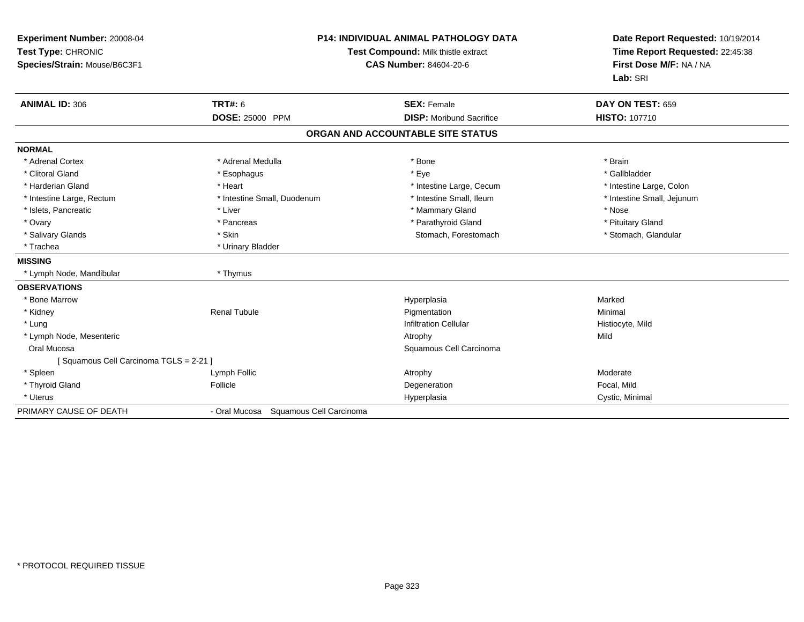| Experiment Number: 20008-04<br>Test Type: CHRONIC<br>Species/Strain: Mouse/B6C3F1 |                                          | <b>P14: INDIVIDUAL ANIMAL PATHOLOGY DATA</b><br><b>Test Compound: Milk thistle extract</b><br><b>CAS Number: 84604-20-6</b> | Date Report Requested: 10/19/2014<br>Time Report Requested: 22:45:38<br>First Dose M/F: NA / NA<br>Lab: SRI |  |
|-----------------------------------------------------------------------------------|------------------------------------------|-----------------------------------------------------------------------------------------------------------------------------|-------------------------------------------------------------------------------------------------------------|--|
| <b>ANIMAL ID: 306</b>                                                             | TRT#: 6                                  | <b>SEX: Female</b>                                                                                                          | DAY ON TEST: 659                                                                                            |  |
|                                                                                   | <b>DOSE: 25000 PPM</b>                   | <b>DISP:</b> Moribund Sacrifice                                                                                             | <b>HISTO: 107710</b>                                                                                        |  |
|                                                                                   |                                          | ORGAN AND ACCOUNTABLE SITE STATUS                                                                                           |                                                                                                             |  |
| <b>NORMAL</b>                                                                     |                                          |                                                                                                                             |                                                                                                             |  |
| * Adrenal Cortex                                                                  | * Adrenal Medulla                        | * Bone                                                                                                                      | * Brain                                                                                                     |  |
| * Clitoral Gland                                                                  | * Esophagus                              | * Eye                                                                                                                       | * Gallbladder                                                                                               |  |
| * Harderian Gland                                                                 | * Heart                                  | * Intestine Large, Cecum                                                                                                    | * Intestine Large, Colon                                                                                    |  |
| * Intestine Large, Rectum                                                         | * Intestine Small, Duodenum              | * Intestine Small, Ileum                                                                                                    | * Intestine Small, Jejunum                                                                                  |  |
| * Islets, Pancreatic                                                              | * Liver                                  | * Mammary Gland                                                                                                             | * Nose                                                                                                      |  |
| * Ovary                                                                           | * Pancreas                               | * Parathyroid Gland                                                                                                         | * Pituitary Gland                                                                                           |  |
| * Salivary Glands                                                                 | * Skin                                   | Stomach, Forestomach                                                                                                        | * Stomach, Glandular                                                                                        |  |
| * Trachea                                                                         | * Urinary Bladder                        |                                                                                                                             |                                                                                                             |  |
| <b>MISSING</b>                                                                    |                                          |                                                                                                                             |                                                                                                             |  |
| * Lymph Node, Mandibular                                                          | * Thymus                                 |                                                                                                                             |                                                                                                             |  |
| <b>OBSERVATIONS</b>                                                               |                                          |                                                                                                                             |                                                                                                             |  |
| * Bone Marrow                                                                     |                                          | Hyperplasia                                                                                                                 | Marked                                                                                                      |  |
| * Kidney                                                                          | <b>Renal Tubule</b>                      | Pigmentation                                                                                                                | Minimal                                                                                                     |  |
| * Lung                                                                            |                                          | <b>Infiltration Cellular</b>                                                                                                | Histiocyte, Mild                                                                                            |  |
| * Lymph Node, Mesenteric                                                          |                                          | Atrophy                                                                                                                     | Mild                                                                                                        |  |
| Oral Mucosa                                                                       |                                          | Squamous Cell Carcinoma                                                                                                     |                                                                                                             |  |
| [Squamous Cell Carcinoma TGLS = 2-21]                                             |                                          |                                                                                                                             |                                                                                                             |  |
| * Spleen                                                                          | Lymph Follic                             | Atrophy                                                                                                                     | Moderate                                                                                                    |  |
| * Thyroid Gland                                                                   | Follicle                                 | Degeneration                                                                                                                | Focal, Mild                                                                                                 |  |
| * Uterus                                                                          |                                          | Hyperplasia                                                                                                                 | Cystic, Minimal                                                                                             |  |
| PRIMARY CAUSE OF DEATH                                                            | Squamous Cell Carcinoma<br>- Oral Mucosa |                                                                                                                             |                                                                                                             |  |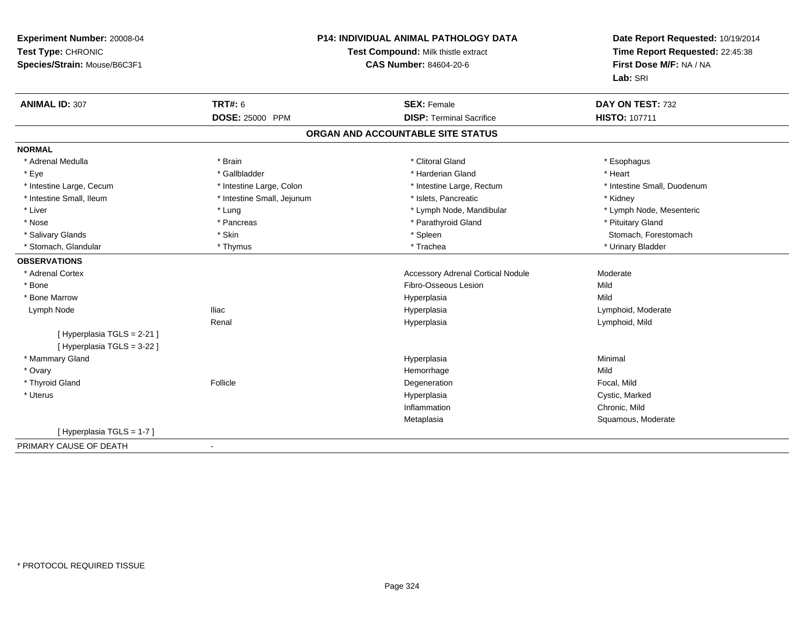| Experiment Number: 20008-04<br>Test Type: CHRONIC<br>Species/Strain: Mouse/B6C3F1 | P14: INDIVIDUAL ANIMAL PATHOLOGY DATA<br>Test Compound: Milk thistle extract<br><b>CAS Number: 84604-20-6</b> |                                          | Date Report Requested: 10/19/2014<br>Time Report Requested: 22:45:38<br>First Dose M/F: NA / NA<br>Lab: SRI |
|-----------------------------------------------------------------------------------|---------------------------------------------------------------------------------------------------------------|------------------------------------------|-------------------------------------------------------------------------------------------------------------|
| <b>ANIMAL ID: 307</b>                                                             | <b>TRT#: 6</b>                                                                                                | <b>SEX: Female</b>                       | DAY ON TEST: 732                                                                                            |
|                                                                                   | <b>DOSE: 25000 PPM</b>                                                                                        | <b>DISP: Terminal Sacrifice</b>          | <b>HISTO: 107711</b>                                                                                        |
|                                                                                   |                                                                                                               | ORGAN AND ACCOUNTABLE SITE STATUS        |                                                                                                             |
| <b>NORMAL</b>                                                                     |                                                                                                               |                                          |                                                                                                             |
| * Adrenal Medulla                                                                 | * Brain                                                                                                       | * Clitoral Gland                         | * Esophagus                                                                                                 |
| * Eye                                                                             | * Gallbladder                                                                                                 | * Harderian Gland                        | * Heart                                                                                                     |
| * Intestine Large, Cecum                                                          | * Intestine Large, Colon                                                                                      | * Intestine Large, Rectum                | * Intestine Small, Duodenum                                                                                 |
| * Intestine Small, Ileum                                                          | * Intestine Small, Jejunum                                                                                    | * Islets, Pancreatic                     | * Kidney                                                                                                    |
| * Liver                                                                           | * Lung                                                                                                        | * Lymph Node, Mandibular                 | * Lymph Node, Mesenteric                                                                                    |
| * Nose                                                                            | * Pancreas                                                                                                    | * Parathyroid Gland                      | * Pituitary Gland                                                                                           |
| * Salivary Glands                                                                 | * Skin                                                                                                        | * Spleen                                 | Stomach, Forestomach                                                                                        |
| * Stomach, Glandular                                                              | * Thymus                                                                                                      | * Trachea                                | * Urinary Bladder                                                                                           |
| <b>OBSERVATIONS</b>                                                               |                                                                                                               |                                          |                                                                                                             |
| * Adrenal Cortex                                                                  |                                                                                                               | <b>Accessory Adrenal Cortical Nodule</b> | Moderate                                                                                                    |
| * Bone                                                                            |                                                                                                               | Fibro-Osseous Lesion                     | Mild                                                                                                        |
| * Bone Marrow                                                                     |                                                                                                               | Hyperplasia                              | Mild                                                                                                        |
| Lymph Node                                                                        | <b>Iliac</b>                                                                                                  | Hyperplasia                              | Lymphoid, Moderate                                                                                          |
|                                                                                   | Renal                                                                                                         | Hyperplasia                              | Lymphoid, Mild                                                                                              |
| [Hyperplasia TGLS = 2-21]                                                         |                                                                                                               |                                          |                                                                                                             |
| [ Hyperplasia TGLS = 3-22 ]                                                       |                                                                                                               |                                          |                                                                                                             |
| * Mammary Gland                                                                   |                                                                                                               | Hyperplasia                              | Minimal                                                                                                     |
| * Ovary                                                                           |                                                                                                               | Hemorrhage                               | Mild                                                                                                        |
| * Thyroid Gland                                                                   | Follicle                                                                                                      | Degeneration                             | Focal, Mild                                                                                                 |
| * Uterus                                                                          |                                                                                                               | Hyperplasia                              | Cystic, Marked                                                                                              |
|                                                                                   |                                                                                                               | Inflammation                             | Chronic, Mild                                                                                               |
|                                                                                   |                                                                                                               | Metaplasia                               | Squamous, Moderate                                                                                          |
| [Hyperplasia TGLS = 1-7]                                                          |                                                                                                               |                                          |                                                                                                             |
| PRIMARY CAUSE OF DEATH                                                            | $\sim$                                                                                                        |                                          |                                                                                                             |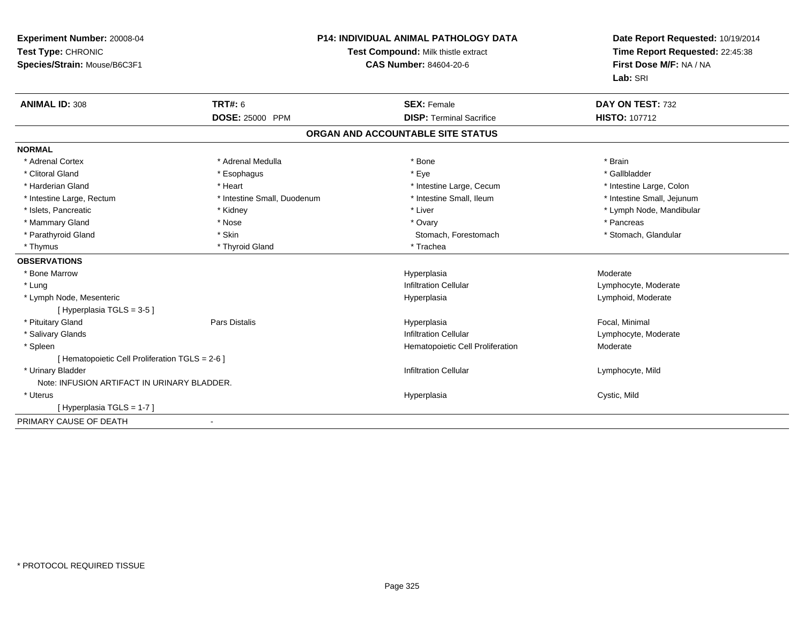| Experiment Number: 20008-04<br>Test Type: CHRONIC<br>Species/Strain: Mouse/B6C3F1 |                             | <b>P14: INDIVIDUAL ANIMAL PATHOLOGY DATA</b><br>Test Compound: Milk thistle extract<br><b>CAS Number: 84604-20-6</b> | Date Report Requested: 10/19/2014<br>Time Report Requested: 22:45:38<br>First Dose M/F: NA / NA<br>Lab: SRI |  |
|-----------------------------------------------------------------------------------|-----------------------------|----------------------------------------------------------------------------------------------------------------------|-------------------------------------------------------------------------------------------------------------|--|
| <b>ANIMAL ID: 308</b>                                                             | <b>TRT#: 6</b>              | <b>SEX: Female</b>                                                                                                   | DAY ON TEST: 732                                                                                            |  |
|                                                                                   | DOSE: 25000 PPM             | <b>DISP: Terminal Sacrifice</b>                                                                                      | <b>HISTO: 107712</b>                                                                                        |  |
|                                                                                   |                             | ORGAN AND ACCOUNTABLE SITE STATUS                                                                                    |                                                                                                             |  |
| <b>NORMAL</b>                                                                     |                             |                                                                                                                      |                                                                                                             |  |
| * Adrenal Cortex                                                                  | * Adrenal Medulla           | * Bone                                                                                                               | * Brain                                                                                                     |  |
| * Clitoral Gland                                                                  | * Esophagus                 | * Eye                                                                                                                | * Gallbladder                                                                                               |  |
| * Harderian Gland                                                                 | * Heart                     | * Intestine Large, Cecum                                                                                             | * Intestine Large, Colon                                                                                    |  |
| * Intestine Large, Rectum                                                         | * Intestine Small, Duodenum | * Intestine Small, Ileum                                                                                             | * Intestine Small, Jejunum                                                                                  |  |
| * Islets, Pancreatic                                                              | * Kidney                    | * Liver                                                                                                              | * Lymph Node, Mandibular                                                                                    |  |
| * Mammary Gland                                                                   | * Nose                      | * Ovary                                                                                                              | * Pancreas                                                                                                  |  |
| * Parathyroid Gland                                                               | * Skin                      | Stomach, Forestomach                                                                                                 | * Stomach, Glandular                                                                                        |  |
| * Thymus                                                                          | * Thyroid Gland             | * Trachea                                                                                                            |                                                                                                             |  |
| <b>OBSERVATIONS</b>                                                               |                             |                                                                                                                      |                                                                                                             |  |
| * Bone Marrow                                                                     |                             | Hyperplasia                                                                                                          | Moderate                                                                                                    |  |
| * Lung                                                                            |                             | <b>Infiltration Cellular</b>                                                                                         | Lymphocyte, Moderate                                                                                        |  |
| * Lymph Node, Mesenteric                                                          |                             | Hyperplasia                                                                                                          | Lymphoid, Moderate                                                                                          |  |
| [Hyperplasia TGLS = 3-5]                                                          |                             |                                                                                                                      |                                                                                                             |  |
| * Pituitary Gland                                                                 | <b>Pars Distalis</b>        | Hyperplasia                                                                                                          | Focal, Minimal                                                                                              |  |
| * Salivary Glands                                                                 |                             | <b>Infiltration Cellular</b>                                                                                         | Lymphocyte, Moderate                                                                                        |  |
| * Spleen                                                                          |                             | Hematopoietic Cell Proliferation                                                                                     | Moderate                                                                                                    |  |
| [ Hematopoietic Cell Proliferation TGLS = 2-6 ]                                   |                             |                                                                                                                      |                                                                                                             |  |
| * Urinary Bladder                                                                 |                             | <b>Infiltration Cellular</b>                                                                                         | Lymphocyte, Mild                                                                                            |  |
| Note: INFUSION ARTIFACT IN URINARY BLADDER.                                       |                             |                                                                                                                      |                                                                                                             |  |
| * Uterus                                                                          |                             | Hyperplasia                                                                                                          | Cystic, Mild                                                                                                |  |
| [Hyperplasia TGLS = 1-7]                                                          |                             |                                                                                                                      |                                                                                                             |  |
| PRIMARY CAUSE OF DEATH                                                            |                             |                                                                                                                      |                                                                                                             |  |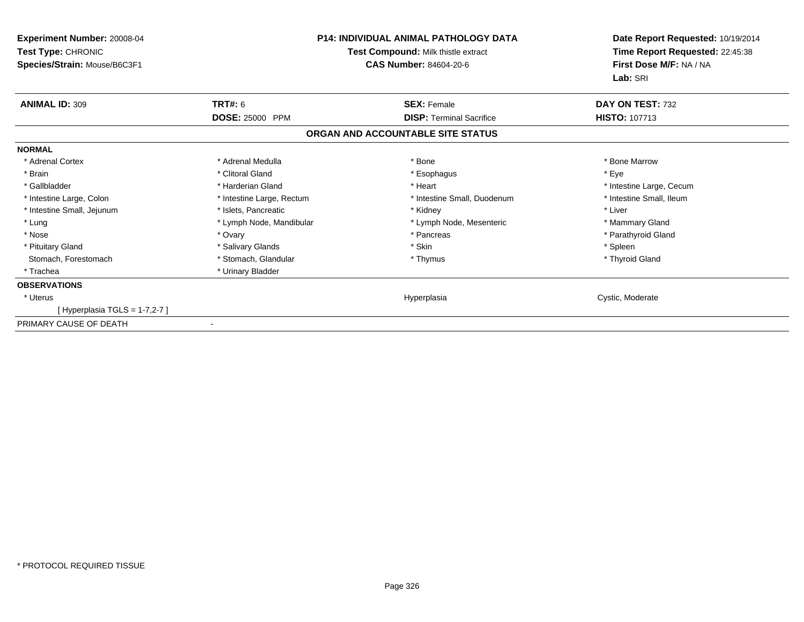| Experiment Number: 20008-04<br>Test Type: CHRONIC<br>Species/Strain: Mouse/B6C3F1 | <b>P14: INDIVIDUAL ANIMAL PATHOLOGY DATA</b><br>Test Compound: Milk thistle extract<br><b>CAS Number: 84604-20-6</b> |                                   | Date Report Requested: 10/19/2014<br>Time Report Requested: 22:45:38<br>First Dose M/F: NA / NA<br>Lab: SRI |
|-----------------------------------------------------------------------------------|----------------------------------------------------------------------------------------------------------------------|-----------------------------------|-------------------------------------------------------------------------------------------------------------|
| <b>ANIMAL ID: 309</b>                                                             | <b>TRT#: 6</b>                                                                                                       | <b>SEX: Female</b>                | DAY ON TEST: 732                                                                                            |
|                                                                                   | <b>DOSE: 25000 PPM</b>                                                                                               | <b>DISP: Terminal Sacrifice</b>   | <b>HISTO: 107713</b>                                                                                        |
|                                                                                   |                                                                                                                      | ORGAN AND ACCOUNTABLE SITE STATUS |                                                                                                             |
| <b>NORMAL</b>                                                                     |                                                                                                                      |                                   |                                                                                                             |
| * Adrenal Cortex                                                                  | * Adrenal Medulla                                                                                                    | * Bone                            | * Bone Marrow                                                                                               |
| * Brain                                                                           | * Clitoral Gland                                                                                                     | * Esophagus                       | * Eye                                                                                                       |
| * Gallbladder                                                                     | * Harderian Gland                                                                                                    | * Heart                           | * Intestine Large, Cecum                                                                                    |
| * Intestine Large, Colon                                                          | * Intestine Large, Rectum                                                                                            | * Intestine Small, Duodenum       | * Intestine Small. Ileum                                                                                    |
| * Intestine Small, Jejunum                                                        | * Islets, Pancreatic                                                                                                 | * Kidney                          | * Liver                                                                                                     |
| * Lung                                                                            | * Lymph Node, Mandibular                                                                                             | * Lymph Node, Mesenteric          | * Mammary Gland                                                                                             |
| * Nose                                                                            | * Ovary                                                                                                              | * Pancreas                        | * Parathyroid Gland                                                                                         |
| * Pituitary Gland                                                                 | * Salivary Glands                                                                                                    | * Skin                            | * Spleen                                                                                                    |
| Stomach, Forestomach                                                              | * Stomach, Glandular                                                                                                 | * Thymus                          | * Thyroid Gland                                                                                             |
| * Trachea                                                                         | * Urinary Bladder                                                                                                    |                                   |                                                                                                             |
| <b>OBSERVATIONS</b>                                                               |                                                                                                                      |                                   |                                                                                                             |
| * Uterus                                                                          |                                                                                                                      | Hyperplasia                       | Cystic, Moderate                                                                                            |
| Hyperplasia TGLS = 1-7,2-7 ]                                                      |                                                                                                                      |                                   |                                                                                                             |
| PRIMARY CAUSE OF DEATH                                                            |                                                                                                                      |                                   |                                                                                                             |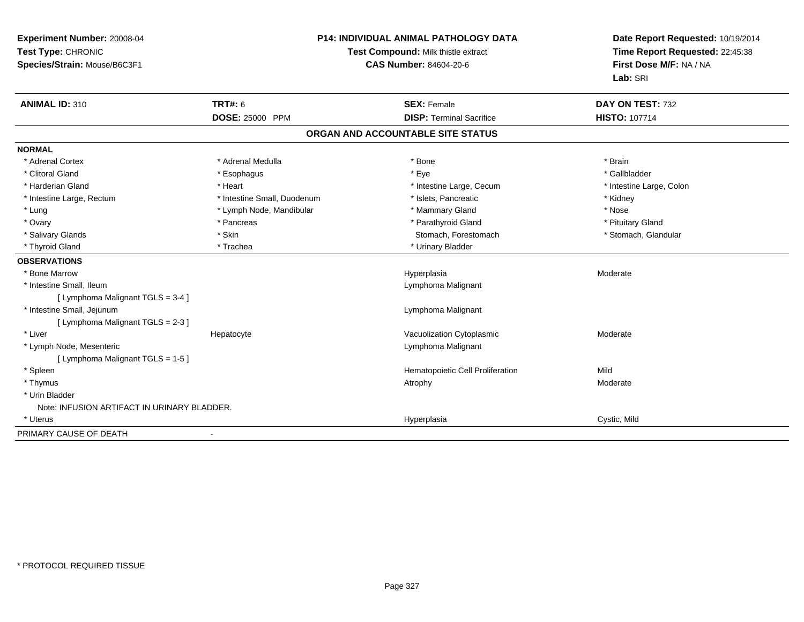| Experiment Number: 20008-04<br>Test Type: CHRONIC<br>Species/Strain: Mouse/B6C3F1 |                             | <b>P14: INDIVIDUAL ANIMAL PATHOLOGY DATA</b><br>Test Compound: Milk thistle extract<br><b>CAS Number: 84604-20-6</b> | Date Report Requested: 10/19/2014<br>Time Report Requested: 22:45:38<br>First Dose M/F: NA / NA<br>Lab: SRI |
|-----------------------------------------------------------------------------------|-----------------------------|----------------------------------------------------------------------------------------------------------------------|-------------------------------------------------------------------------------------------------------------|
| <b>ANIMAL ID: 310</b>                                                             | <b>TRT#: 6</b>              | <b>SEX: Female</b>                                                                                                   | DAY ON TEST: 732                                                                                            |
|                                                                                   | DOSE: 25000 PPM             | <b>DISP: Terminal Sacrifice</b>                                                                                      | <b>HISTO: 107714</b>                                                                                        |
|                                                                                   |                             | ORGAN AND ACCOUNTABLE SITE STATUS                                                                                    |                                                                                                             |
| <b>NORMAL</b>                                                                     |                             |                                                                                                                      |                                                                                                             |
| * Adrenal Cortex                                                                  | * Adrenal Medulla           | * Bone                                                                                                               | * Brain                                                                                                     |
| * Clitoral Gland                                                                  | * Esophagus                 | * Eye                                                                                                                | * Gallbladder                                                                                               |
| * Harderian Gland                                                                 | * Heart                     | * Intestine Large, Cecum                                                                                             | * Intestine Large, Colon                                                                                    |
| * Intestine Large, Rectum                                                         | * Intestine Small, Duodenum | * Islets, Pancreatic                                                                                                 | * Kidney                                                                                                    |
| * Lung                                                                            | * Lymph Node, Mandibular    | * Mammary Gland                                                                                                      | * Nose                                                                                                      |
| * Ovary                                                                           | * Pancreas                  | * Parathyroid Gland                                                                                                  | * Pituitary Gland                                                                                           |
| * Salivary Glands                                                                 | * Skin                      | Stomach, Forestomach                                                                                                 | * Stomach, Glandular                                                                                        |
| * Thyroid Gland                                                                   | * Trachea                   | * Urinary Bladder                                                                                                    |                                                                                                             |
| <b>OBSERVATIONS</b>                                                               |                             |                                                                                                                      |                                                                                                             |
| * Bone Marrow                                                                     |                             | Hyperplasia                                                                                                          | Moderate                                                                                                    |
| * Intestine Small, Ileum                                                          |                             | Lymphoma Malignant                                                                                                   |                                                                                                             |
| [ Lymphoma Malignant TGLS = 3-4 ]                                                 |                             |                                                                                                                      |                                                                                                             |
| * Intestine Small, Jejunum                                                        |                             | Lymphoma Malignant                                                                                                   |                                                                                                             |
| [ Lymphoma Malignant TGLS = 2-3 ]                                                 |                             |                                                                                                                      |                                                                                                             |
| * Liver                                                                           | Hepatocyte                  | Vacuolization Cytoplasmic                                                                                            | Moderate                                                                                                    |
| * Lymph Node, Mesenteric                                                          |                             | Lymphoma Malignant                                                                                                   |                                                                                                             |
| [ Lymphoma Malignant TGLS = 1-5 ]                                                 |                             |                                                                                                                      |                                                                                                             |
| * Spleen                                                                          |                             | Hematopoietic Cell Proliferation                                                                                     | Mild                                                                                                        |
| * Thymus                                                                          |                             | Atrophy                                                                                                              | Moderate                                                                                                    |
| * Urin Bladder                                                                    |                             |                                                                                                                      |                                                                                                             |
| Note: INFUSION ARTIFACT IN URINARY BLADDER.                                       |                             |                                                                                                                      |                                                                                                             |
| * Uterus                                                                          |                             | Hyperplasia                                                                                                          | Cystic, Mild                                                                                                |
| PRIMARY CAUSE OF DEATH                                                            |                             |                                                                                                                      |                                                                                                             |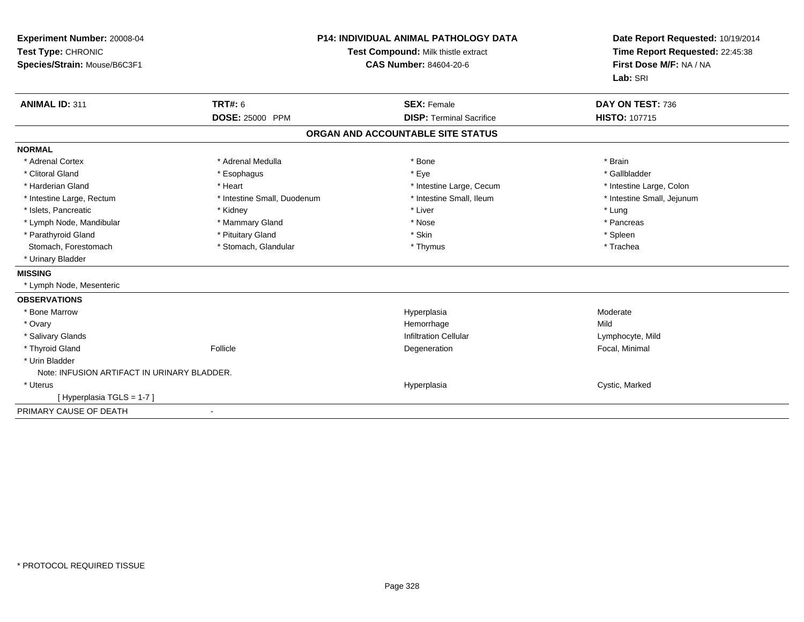| Experiment Number: 20008-04<br>Test Type: CHRONIC<br>Species/Strain: Mouse/B6C3F1<br><b>ANIMAL ID: 311</b> |                                          | <b>P14: INDIVIDUAL ANIMAL PATHOLOGY DATA</b><br>Test Compound: Milk thistle extract<br><b>CAS Number: 84604-20-6</b> | Date Report Requested: 10/19/2014<br>Time Report Requested: 22:45:38<br>First Dose M/F: NA / NA<br>Lab: SRI<br>DAY ON TEST: 736 |
|------------------------------------------------------------------------------------------------------------|------------------------------------------|----------------------------------------------------------------------------------------------------------------------|---------------------------------------------------------------------------------------------------------------------------------|
|                                                                                                            | <b>TRT#: 6</b><br><b>DOSE: 25000 PPM</b> | <b>SEX: Female</b><br><b>DISP: Terminal Sacrifice</b>                                                                | HISTO: 107715                                                                                                                   |
|                                                                                                            |                                          | ORGAN AND ACCOUNTABLE SITE STATUS                                                                                    |                                                                                                                                 |
|                                                                                                            |                                          |                                                                                                                      |                                                                                                                                 |
| <b>NORMAL</b><br>* Adrenal Cortex                                                                          | * Adrenal Medulla                        | * Bone                                                                                                               | * Brain                                                                                                                         |
| * Clitoral Gland                                                                                           | * Esophagus                              | * Eye                                                                                                                | * Gallbladder                                                                                                                   |
| * Harderian Gland                                                                                          | * Heart                                  | * Intestine Large, Cecum                                                                                             | * Intestine Large, Colon                                                                                                        |
| * Intestine Large, Rectum                                                                                  | * Intestine Small, Duodenum              | * Intestine Small, Ileum                                                                                             | * Intestine Small, Jejunum                                                                                                      |
| * Islets, Pancreatic                                                                                       | * Kidney                                 | * Liver                                                                                                              | * Lung                                                                                                                          |
| * Lymph Node, Mandibular                                                                                   | * Mammary Gland                          | * Nose                                                                                                               | * Pancreas                                                                                                                      |
| * Parathyroid Gland                                                                                        | * Pituitary Gland                        | * Skin                                                                                                               | * Spleen                                                                                                                        |
| Stomach, Forestomach                                                                                       | * Stomach, Glandular                     | * Thymus                                                                                                             | * Trachea                                                                                                                       |
| * Urinary Bladder                                                                                          |                                          |                                                                                                                      |                                                                                                                                 |
| <b>MISSING</b>                                                                                             |                                          |                                                                                                                      |                                                                                                                                 |
| * Lymph Node, Mesenteric                                                                                   |                                          |                                                                                                                      |                                                                                                                                 |
| <b>OBSERVATIONS</b>                                                                                        |                                          |                                                                                                                      |                                                                                                                                 |
| * Bone Marrow                                                                                              |                                          | Hyperplasia                                                                                                          | Moderate                                                                                                                        |
| * Ovary                                                                                                    |                                          | Hemorrhage                                                                                                           | Mild                                                                                                                            |
| * Salivary Glands                                                                                          |                                          | <b>Infiltration Cellular</b>                                                                                         | Lymphocyte, Mild                                                                                                                |
| * Thyroid Gland                                                                                            | Follicle                                 | Degeneration                                                                                                         | Focal, Minimal                                                                                                                  |
| * Urin Bladder                                                                                             |                                          |                                                                                                                      |                                                                                                                                 |
| Note: INFUSION ARTIFACT IN URINARY BLADDER.                                                                |                                          |                                                                                                                      |                                                                                                                                 |
| * Uterus                                                                                                   |                                          | Hyperplasia                                                                                                          | Cystic, Marked                                                                                                                  |
| [Hyperplasia TGLS = 1-7]                                                                                   |                                          |                                                                                                                      |                                                                                                                                 |
| PRIMARY CAUSE OF DEATH                                                                                     |                                          |                                                                                                                      |                                                                                                                                 |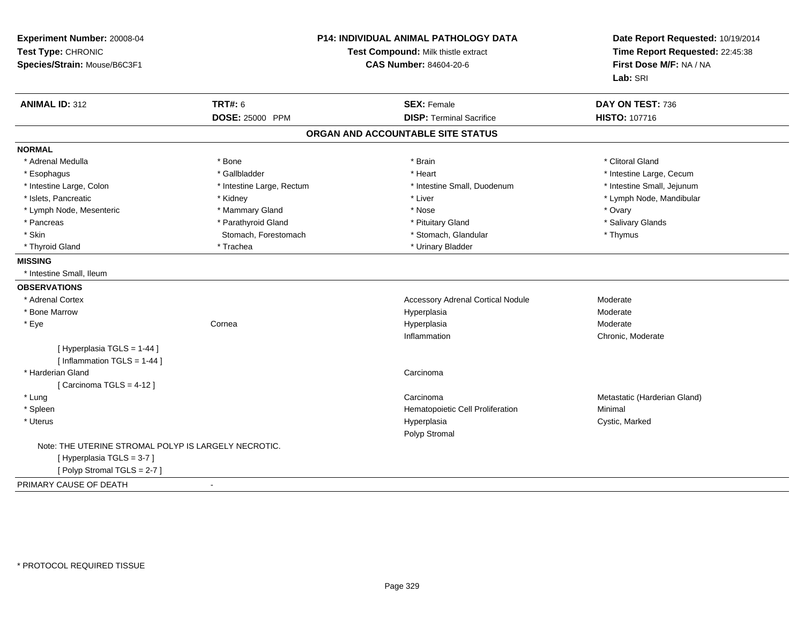| Experiment Number: 20008-04<br>Test Type: CHRONIC<br>Species/Strain: Mouse/B6C3F1 |                           | <b>P14: INDIVIDUAL ANIMAL PATHOLOGY DATA</b><br>Test Compound: Milk thistle extract<br><b>CAS Number: 84604-20-6</b> | Date Report Requested: 10/19/2014<br>Time Report Requested: 22:45:38<br>First Dose M/F: NA / NA<br>Lab: SRI |
|-----------------------------------------------------------------------------------|---------------------------|----------------------------------------------------------------------------------------------------------------------|-------------------------------------------------------------------------------------------------------------|
| <b>ANIMAL ID: 312</b>                                                             | <b>TRT#: 6</b>            | <b>SEX: Female</b>                                                                                                   | DAY ON TEST: 736                                                                                            |
|                                                                                   | DOSE: 25000 PPM           | <b>DISP: Terminal Sacrifice</b>                                                                                      | HISTO: 107716                                                                                               |
|                                                                                   |                           | ORGAN AND ACCOUNTABLE SITE STATUS                                                                                    |                                                                                                             |
| <b>NORMAL</b>                                                                     |                           |                                                                                                                      |                                                                                                             |
| * Adrenal Medulla                                                                 | * Bone                    | * Brain                                                                                                              | * Clitoral Gland                                                                                            |
| * Esophagus                                                                       | * Gallbladder             | * Heart                                                                                                              | * Intestine Large, Cecum                                                                                    |
| * Intestine Large, Colon                                                          | * Intestine Large, Rectum | * Intestine Small, Duodenum                                                                                          | * Intestine Small, Jejunum                                                                                  |
| * Islets, Pancreatic                                                              | * Kidney                  | * Liver                                                                                                              | * Lymph Node, Mandibular                                                                                    |
| * Lymph Node, Mesenteric                                                          | * Mammary Gland           | * Nose                                                                                                               | * Ovary                                                                                                     |
| * Pancreas                                                                        | * Parathyroid Gland       | * Pituitary Gland                                                                                                    | * Salivary Glands                                                                                           |
| * Skin                                                                            | Stomach, Forestomach      | * Stomach, Glandular                                                                                                 | * Thymus                                                                                                    |
| * Thyroid Gland                                                                   | * Trachea                 | * Urinary Bladder                                                                                                    |                                                                                                             |
| <b>MISSING</b>                                                                    |                           |                                                                                                                      |                                                                                                             |
| * Intestine Small, Ileum                                                          |                           |                                                                                                                      |                                                                                                             |
| <b>OBSERVATIONS</b>                                                               |                           |                                                                                                                      |                                                                                                             |
| * Adrenal Cortex                                                                  |                           | Accessory Adrenal Cortical Nodule                                                                                    | Moderate                                                                                                    |
| * Bone Marrow                                                                     |                           | Hyperplasia                                                                                                          | Moderate                                                                                                    |
| * Eye                                                                             | Cornea                    | Hyperplasia                                                                                                          | Moderate                                                                                                    |
|                                                                                   |                           | Inflammation                                                                                                         | Chronic, Moderate                                                                                           |
| [ Hyperplasia TGLS = 1-44 ]                                                       |                           |                                                                                                                      |                                                                                                             |
| [Inflammation TGLS = 1-44]                                                        |                           |                                                                                                                      |                                                                                                             |
| * Harderian Gland                                                                 |                           | Carcinoma                                                                                                            |                                                                                                             |
| [Carcinoma TGLS = $4-12$ ]                                                        |                           |                                                                                                                      |                                                                                                             |
| * Lung                                                                            |                           | Carcinoma                                                                                                            | Metastatic (Harderian Gland)                                                                                |
| * Spleen                                                                          |                           | Hematopoietic Cell Proliferation                                                                                     | Minimal                                                                                                     |
| * Uterus                                                                          |                           | Hyperplasia<br>Polyp Stromal                                                                                         | Cystic, Marked                                                                                              |
| Note: THE UTERINE STROMAL POLYP IS LARGELY NECROTIC.                              |                           |                                                                                                                      |                                                                                                             |
| [Hyperplasia TGLS = 3-7]                                                          |                           |                                                                                                                      |                                                                                                             |
| [Polyp Stromal TGLS = 2-7]                                                        |                           |                                                                                                                      |                                                                                                             |
| PRIMARY CAUSE OF DEATH                                                            |                           |                                                                                                                      |                                                                                                             |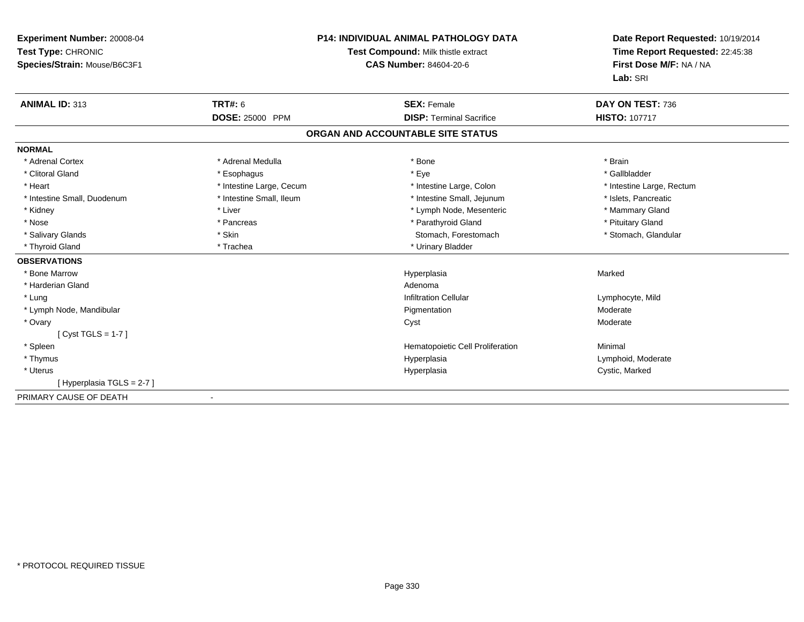| Experiment Number: 20008-04<br>Test Type: CHRONIC<br>Species/Strain: Mouse/B6C3F1 |                          | <b>P14: INDIVIDUAL ANIMAL PATHOLOGY DATA</b><br>Test Compound: Milk thistle extract<br><b>CAS Number: 84604-20-6</b> | Date Report Requested: 10/19/2014<br>Time Report Requested: 22:45:38<br>First Dose M/F: NA / NA<br>Lab: SRI |
|-----------------------------------------------------------------------------------|--------------------------|----------------------------------------------------------------------------------------------------------------------|-------------------------------------------------------------------------------------------------------------|
| <b>ANIMAL ID: 313</b>                                                             | <b>TRT#: 6</b>           | <b>SEX: Female</b>                                                                                                   | DAY ON TEST: 736                                                                                            |
|                                                                                   | <b>DOSE: 25000 PPM</b>   | <b>DISP: Terminal Sacrifice</b>                                                                                      | <b>HISTO: 107717</b>                                                                                        |
|                                                                                   |                          | ORGAN AND ACCOUNTABLE SITE STATUS                                                                                    |                                                                                                             |
| <b>NORMAL</b>                                                                     |                          |                                                                                                                      |                                                                                                             |
| * Adrenal Cortex                                                                  | * Adrenal Medulla        | * Bone                                                                                                               | * Brain                                                                                                     |
| * Clitoral Gland                                                                  | * Esophagus              | * Eye                                                                                                                | * Gallbladder                                                                                               |
| * Heart                                                                           | * Intestine Large, Cecum | * Intestine Large, Colon                                                                                             | * Intestine Large, Rectum                                                                                   |
| * Intestine Small, Duodenum                                                       | * Intestine Small, Ileum | * Intestine Small, Jejunum                                                                                           | * Islets, Pancreatic                                                                                        |
| * Kidney                                                                          | * Liver                  | * Lymph Node, Mesenteric                                                                                             | * Mammary Gland                                                                                             |
| * Nose                                                                            | * Pancreas               | * Parathyroid Gland                                                                                                  | * Pituitary Gland                                                                                           |
| * Salivary Glands                                                                 | * Skin                   | Stomach, Forestomach                                                                                                 | * Stomach, Glandular                                                                                        |
| * Thyroid Gland                                                                   | * Trachea                | * Urinary Bladder                                                                                                    |                                                                                                             |
| <b>OBSERVATIONS</b>                                                               |                          |                                                                                                                      |                                                                                                             |
| * Bone Marrow                                                                     |                          | Hyperplasia                                                                                                          | Marked                                                                                                      |
| * Harderian Gland                                                                 |                          | Adenoma                                                                                                              |                                                                                                             |
| * Lung                                                                            |                          | <b>Infiltration Cellular</b>                                                                                         | Lymphocyte, Mild                                                                                            |
| * Lymph Node, Mandibular                                                          |                          | Pigmentation                                                                                                         | Moderate                                                                                                    |
| * Ovary                                                                           |                          | Cyst                                                                                                                 | Moderate                                                                                                    |
| [ $Cyst TGLS = 1-7$ ]                                                             |                          |                                                                                                                      |                                                                                                             |
| * Spleen                                                                          |                          | Hematopoietic Cell Proliferation                                                                                     | Minimal                                                                                                     |
| * Thymus                                                                          |                          | Hyperplasia                                                                                                          | Lymphoid, Moderate                                                                                          |
| * Uterus                                                                          |                          | Hyperplasia                                                                                                          | Cystic, Marked                                                                                              |
| [Hyperplasia TGLS = 2-7]                                                          |                          |                                                                                                                      |                                                                                                             |
| PRIMARY CAUSE OF DEATH                                                            | $\blacksquare$           |                                                                                                                      |                                                                                                             |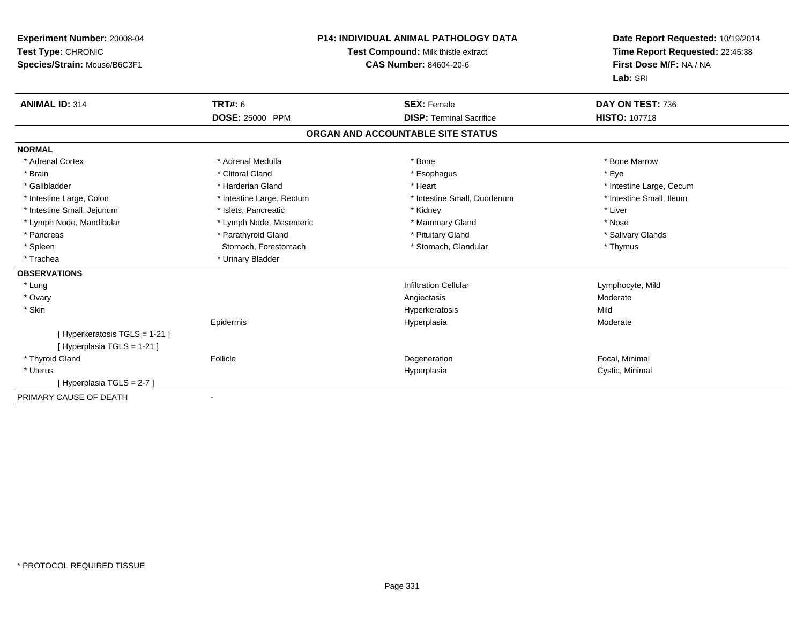| Experiment Number: 20008-04<br>Test Type: CHRONIC<br>Species/Strain: Mouse/B6C3F1 |                           | <b>P14: INDIVIDUAL ANIMAL PATHOLOGY DATA</b><br>Test Compound: Milk thistle extract<br>CAS Number: 84604-20-6 | Date Report Requested: 10/19/2014<br>Time Report Requested: 22:45:38<br>First Dose M/F: NA / NA<br>Lab: SRI |
|-----------------------------------------------------------------------------------|---------------------------|---------------------------------------------------------------------------------------------------------------|-------------------------------------------------------------------------------------------------------------|
| <b>ANIMAL ID: 314</b>                                                             | <b>TRT#: 6</b>            | <b>SEX: Female</b>                                                                                            | DAY ON TEST: 736                                                                                            |
|                                                                                   | <b>DOSE: 25000 PPM</b>    | <b>DISP: Terminal Sacrifice</b>                                                                               | <b>HISTO: 107718</b>                                                                                        |
|                                                                                   |                           | ORGAN AND ACCOUNTABLE SITE STATUS                                                                             |                                                                                                             |
| <b>NORMAL</b>                                                                     |                           |                                                                                                               |                                                                                                             |
| * Adrenal Cortex                                                                  | * Adrenal Medulla         | * Bone                                                                                                        | * Bone Marrow                                                                                               |
| * Brain                                                                           | * Clitoral Gland          | * Esophagus                                                                                                   | * Eye                                                                                                       |
| * Gallbladder                                                                     | * Harderian Gland         | * Heart                                                                                                       | * Intestine Large, Cecum                                                                                    |
| * Intestine Large, Colon                                                          | * Intestine Large, Rectum | * Intestine Small, Duodenum                                                                                   | * Intestine Small. Ileum                                                                                    |
| * Intestine Small, Jejunum                                                        | * Islets, Pancreatic      | * Kidney                                                                                                      | * Liver                                                                                                     |
| * Lymph Node, Mandibular                                                          | * Lymph Node, Mesenteric  | * Mammary Gland                                                                                               | * Nose                                                                                                      |
| * Pancreas                                                                        | * Parathyroid Gland       | * Pituitary Gland                                                                                             | * Salivary Glands                                                                                           |
| * Spleen                                                                          | Stomach, Forestomach      | * Stomach, Glandular                                                                                          | * Thymus                                                                                                    |
| * Trachea                                                                         | * Urinary Bladder         |                                                                                                               |                                                                                                             |
| <b>OBSERVATIONS</b>                                                               |                           |                                                                                                               |                                                                                                             |
| * Lung                                                                            |                           | <b>Infiltration Cellular</b>                                                                                  | Lymphocyte, Mild                                                                                            |
| * Ovary                                                                           |                           | Angiectasis                                                                                                   | Moderate                                                                                                    |
| * Skin                                                                            |                           | Hyperkeratosis                                                                                                | Mild                                                                                                        |
|                                                                                   | Epidermis                 | Hyperplasia                                                                                                   | Moderate                                                                                                    |
| [ Hyperkeratosis TGLS = 1-21 ]                                                    |                           |                                                                                                               |                                                                                                             |
| [ Hyperplasia TGLS = 1-21 ]                                                       |                           |                                                                                                               |                                                                                                             |
| * Thyroid Gland                                                                   | Follicle                  | Degeneration                                                                                                  | Focal, Minimal                                                                                              |
| * Uterus                                                                          |                           | Hyperplasia                                                                                                   | Cystic, Minimal                                                                                             |
| [Hyperplasia TGLS = 2-7]                                                          |                           |                                                                                                               |                                                                                                             |
| PRIMARY CAUSE OF DEATH                                                            |                           |                                                                                                               |                                                                                                             |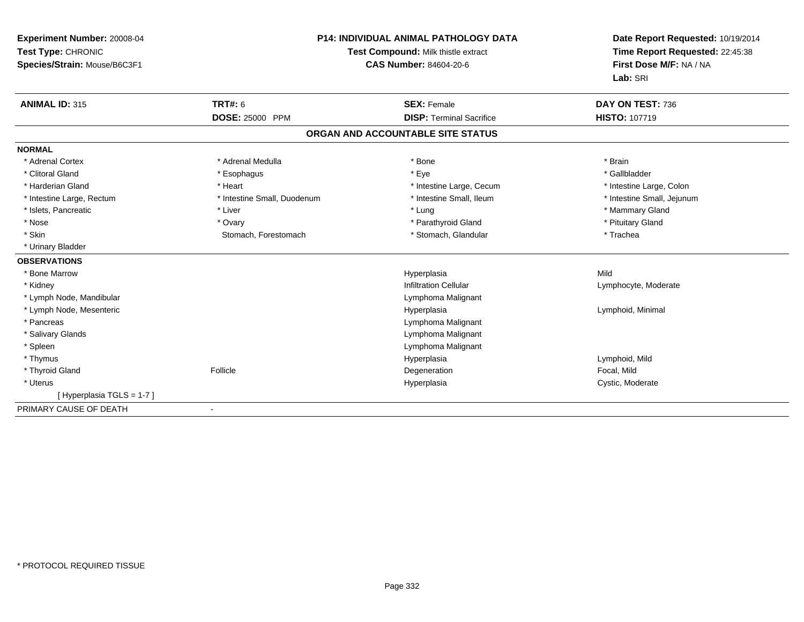| <b>Experiment Number: 20008-04</b><br>Test Type: CHRONIC<br>Species/Strain: Mouse/B6C3F1 |                             | <b>P14: INDIVIDUAL ANIMAL PATHOLOGY DATA</b><br>Test Compound: Milk thistle extract<br><b>CAS Number: 84604-20-6</b> | Date Report Requested: 10/19/2014<br>Time Report Requested: 22:45:38<br>First Dose M/F: NA / NA<br>Lab: SRI |
|------------------------------------------------------------------------------------------|-----------------------------|----------------------------------------------------------------------------------------------------------------------|-------------------------------------------------------------------------------------------------------------|
| <b>ANIMAL ID: 315</b>                                                                    | <b>TRT#: 6</b>              | <b>SEX: Female</b>                                                                                                   | DAY ON TEST: 736                                                                                            |
|                                                                                          | <b>DOSE: 25000 PPM</b>      | <b>DISP: Terminal Sacrifice</b>                                                                                      | <b>HISTO: 107719</b>                                                                                        |
|                                                                                          |                             | ORGAN AND ACCOUNTABLE SITE STATUS                                                                                    |                                                                                                             |
| <b>NORMAL</b>                                                                            |                             |                                                                                                                      |                                                                                                             |
| * Adrenal Cortex                                                                         | * Adrenal Medulla           | * Bone                                                                                                               | * Brain                                                                                                     |
| * Clitoral Gland                                                                         | * Esophagus                 | * Eye                                                                                                                | * Gallbladder                                                                                               |
| * Harderian Gland                                                                        | * Heart                     | * Intestine Large, Cecum                                                                                             | * Intestine Large, Colon                                                                                    |
| * Intestine Large, Rectum                                                                | * Intestine Small, Duodenum | * Intestine Small, Ileum                                                                                             | * Intestine Small, Jejunum                                                                                  |
| * Islets, Pancreatic                                                                     | * Liver                     | * Lung                                                                                                               | * Mammary Gland                                                                                             |
| * Nose                                                                                   | * Ovary                     | * Parathyroid Gland                                                                                                  | * Pituitary Gland                                                                                           |
| * Skin                                                                                   | Stomach, Forestomach        | * Stomach, Glandular                                                                                                 | * Trachea                                                                                                   |
| * Urinary Bladder                                                                        |                             |                                                                                                                      |                                                                                                             |
| <b>OBSERVATIONS</b>                                                                      |                             |                                                                                                                      |                                                                                                             |
| * Bone Marrow                                                                            |                             | Hyperplasia                                                                                                          | Mild                                                                                                        |
| * Kidney                                                                                 |                             | <b>Infiltration Cellular</b>                                                                                         | Lymphocyte, Moderate                                                                                        |
| * Lymph Node, Mandibular                                                                 |                             | Lymphoma Malignant                                                                                                   |                                                                                                             |
| * Lymph Node, Mesenteric                                                                 |                             | Hyperplasia                                                                                                          | Lymphoid, Minimal                                                                                           |
| * Pancreas                                                                               |                             | Lymphoma Malignant                                                                                                   |                                                                                                             |
| * Salivary Glands                                                                        |                             | Lymphoma Malignant                                                                                                   |                                                                                                             |
| * Spleen                                                                                 |                             | Lymphoma Malignant                                                                                                   |                                                                                                             |
| * Thymus                                                                                 |                             | Hyperplasia                                                                                                          | Lymphoid, Mild                                                                                              |
| * Thyroid Gland                                                                          | Follicle                    | Degeneration                                                                                                         | Focal, Mild                                                                                                 |
| * Uterus                                                                                 |                             | Hyperplasia                                                                                                          | Cystic, Moderate                                                                                            |
| [Hyperplasia TGLS = 1-7]                                                                 |                             |                                                                                                                      |                                                                                                             |
| PRIMARY CAUSE OF DEATH                                                                   | $\overline{\phantom{a}}$    |                                                                                                                      |                                                                                                             |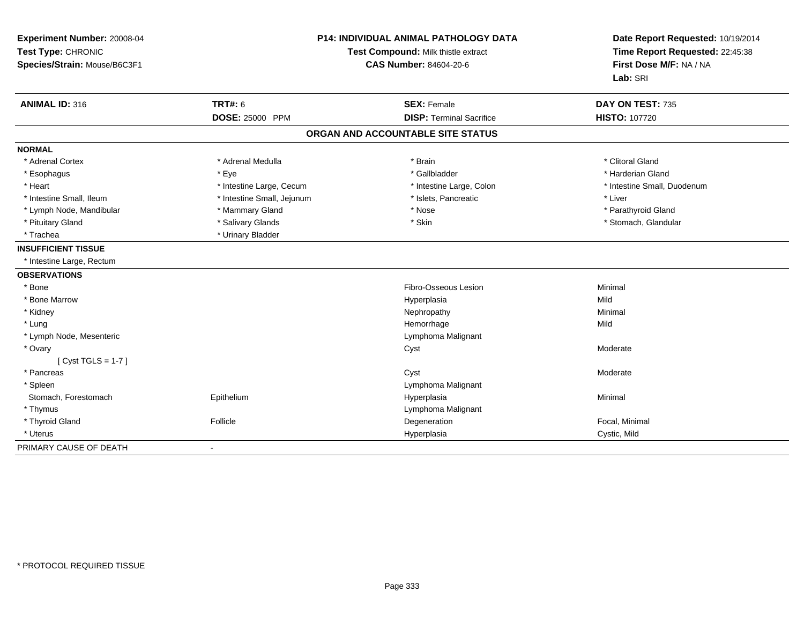| Experiment Number: 20008-04<br>Test Type: CHRONIC<br>Species/Strain: Mouse/B6C3F1 | P14: INDIVIDUAL ANIMAL PATHOLOGY DATA<br>Test Compound: Milk thistle extract<br><b>CAS Number: 84604-20-6</b> |                                                       | Date Report Requested: 10/19/2014<br>Time Report Requested: 22:45:38<br>First Dose M/F: NA / NA<br>Lab: SRI |  |
|-----------------------------------------------------------------------------------|---------------------------------------------------------------------------------------------------------------|-------------------------------------------------------|-------------------------------------------------------------------------------------------------------------|--|
| <b>ANIMAL ID: 316</b>                                                             | <b>TRT#: 6</b><br>DOSE: 25000 PPM                                                                             | <b>SEX: Female</b><br><b>DISP: Terminal Sacrifice</b> | DAY ON TEST: 735<br>HISTO: 107720                                                                           |  |
|                                                                                   |                                                                                                               |                                                       |                                                                                                             |  |
|                                                                                   |                                                                                                               | ORGAN AND ACCOUNTABLE SITE STATUS                     |                                                                                                             |  |
| <b>NORMAL</b>                                                                     |                                                                                                               |                                                       |                                                                                                             |  |
| * Adrenal Cortex                                                                  | * Adrenal Medulla                                                                                             | * Brain                                               | * Clitoral Gland                                                                                            |  |
| * Esophagus                                                                       | * Eye                                                                                                         | * Gallbladder                                         | * Harderian Gland                                                                                           |  |
| * Heart                                                                           | * Intestine Large, Cecum                                                                                      | * Intestine Large, Colon                              | * Intestine Small, Duodenum                                                                                 |  |
| * Intestine Small, Ileum                                                          | * Intestine Small, Jejunum                                                                                    | * Islets, Pancreatic                                  | * Liver                                                                                                     |  |
| * Lymph Node, Mandibular                                                          | * Mammary Gland                                                                                               | * Nose                                                | * Parathyroid Gland                                                                                         |  |
| * Pituitary Gland                                                                 | * Salivary Glands                                                                                             | * Skin                                                | * Stomach, Glandular                                                                                        |  |
| * Trachea                                                                         | * Urinary Bladder                                                                                             |                                                       |                                                                                                             |  |
| <b>INSUFFICIENT TISSUE</b>                                                        |                                                                                                               |                                                       |                                                                                                             |  |
| * Intestine Large, Rectum                                                         |                                                                                                               |                                                       |                                                                                                             |  |
| <b>OBSERVATIONS</b>                                                               |                                                                                                               |                                                       |                                                                                                             |  |
| * Bone                                                                            |                                                                                                               | Fibro-Osseous Lesion                                  | Minimal                                                                                                     |  |
| * Bone Marrow                                                                     |                                                                                                               | Hyperplasia                                           | Mild                                                                                                        |  |
| * Kidney                                                                          |                                                                                                               | Nephropathy                                           | Minimal                                                                                                     |  |
| * Lung                                                                            |                                                                                                               | Hemorrhage                                            | Mild                                                                                                        |  |
| * Lymph Node, Mesenteric                                                          |                                                                                                               | Lymphoma Malignant                                    |                                                                                                             |  |
| * Ovary                                                                           |                                                                                                               | Cyst                                                  | Moderate                                                                                                    |  |
| [Cyst TGLS = $1-7$ ]                                                              |                                                                                                               |                                                       |                                                                                                             |  |
| * Pancreas                                                                        |                                                                                                               | Cyst                                                  | Moderate                                                                                                    |  |
| * Spleen                                                                          |                                                                                                               | Lymphoma Malignant                                    |                                                                                                             |  |
| Stomach, Forestomach                                                              | Epithelium                                                                                                    | Hyperplasia                                           | Minimal                                                                                                     |  |
| * Thymus                                                                          |                                                                                                               | Lymphoma Malignant                                    |                                                                                                             |  |
| * Thyroid Gland                                                                   | Follicle                                                                                                      | Degeneration                                          | Focal, Minimal                                                                                              |  |
| * Uterus                                                                          |                                                                                                               | Hyperplasia                                           | Cystic, Mild                                                                                                |  |
| PRIMARY CAUSE OF DEATH                                                            |                                                                                                               |                                                       |                                                                                                             |  |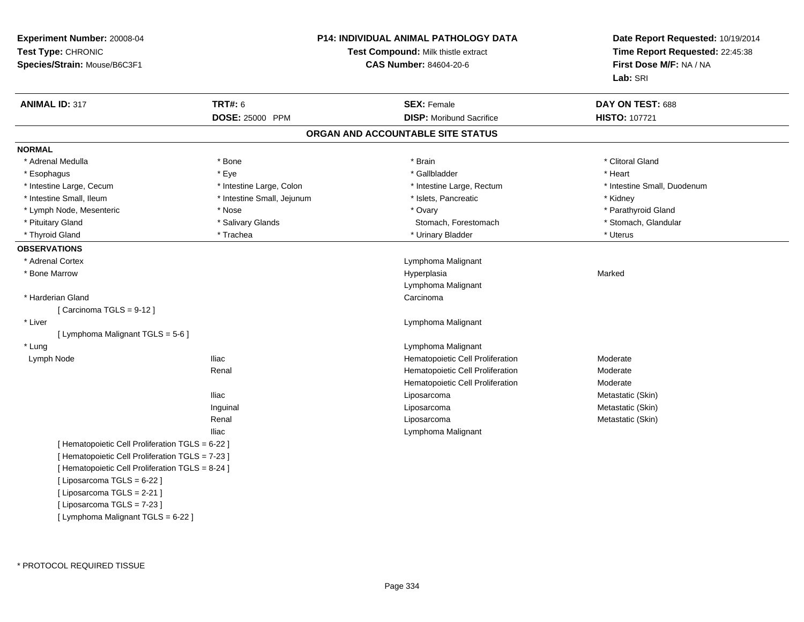| Experiment Number: 20008-04<br>Test Type: CHRONIC<br>Species/Strain: Mouse/B6C3F1 |                            | <b>P14: INDIVIDUAL ANIMAL PATHOLOGY DATA</b><br>Test Compound: Milk thistle extract<br><b>CAS Number: 84604-20-6</b> | Date Report Requested: 10/19/2014<br>Time Report Requested: 22:45:38<br>First Dose M/F: NA / NA<br>Lab: SRI |
|-----------------------------------------------------------------------------------|----------------------------|----------------------------------------------------------------------------------------------------------------------|-------------------------------------------------------------------------------------------------------------|
| <b>ANIMAL ID: 317</b>                                                             | <b>TRT#: 6</b>             | <b>SEX: Female</b>                                                                                                   | DAY ON TEST: 688                                                                                            |
|                                                                                   | DOSE: 25000 PPM            | <b>DISP:</b> Moribund Sacrifice                                                                                      | HISTO: 107721                                                                                               |
|                                                                                   |                            | ORGAN AND ACCOUNTABLE SITE STATUS                                                                                    |                                                                                                             |
| <b>NORMAL</b>                                                                     |                            |                                                                                                                      |                                                                                                             |
| * Adrenal Medulla                                                                 | * Bone                     | * Brain                                                                                                              | * Clitoral Gland                                                                                            |
| * Esophagus                                                                       | * Eye                      | * Gallbladder                                                                                                        | * Heart                                                                                                     |
| * Intestine Large, Cecum                                                          | * Intestine Large, Colon   | * Intestine Large, Rectum                                                                                            | * Intestine Small, Duodenum                                                                                 |
| * Intestine Small, Ileum                                                          | * Intestine Small, Jejunum | * Islets, Pancreatic                                                                                                 | * Kidney                                                                                                    |
| * Lymph Node, Mesenteric                                                          | * Nose                     | * Ovary                                                                                                              | * Parathyroid Gland                                                                                         |
| * Pituitary Gland                                                                 | * Salivary Glands          | Stomach, Forestomach                                                                                                 | * Stomach, Glandular                                                                                        |
| * Thyroid Gland                                                                   | * Trachea                  | * Urinary Bladder                                                                                                    | * Uterus                                                                                                    |
| <b>OBSERVATIONS</b>                                                               |                            |                                                                                                                      |                                                                                                             |
| * Adrenal Cortex                                                                  |                            | Lymphoma Malignant                                                                                                   |                                                                                                             |
| * Bone Marrow                                                                     |                            | Hyperplasia                                                                                                          | Marked                                                                                                      |
|                                                                                   |                            | Lymphoma Malignant                                                                                                   |                                                                                                             |
| * Harderian Gland                                                                 |                            | Carcinoma                                                                                                            |                                                                                                             |
| [Carcinoma TGLS = 9-12]                                                           |                            |                                                                                                                      |                                                                                                             |
| * Liver                                                                           |                            | Lymphoma Malignant                                                                                                   |                                                                                                             |
| [ Lymphoma Malignant TGLS = 5-6 ]                                                 |                            |                                                                                                                      |                                                                                                             |
| * Lung                                                                            |                            | Lymphoma Malignant                                                                                                   |                                                                                                             |
| Lymph Node                                                                        | <b>Iliac</b>               | Hematopoietic Cell Proliferation                                                                                     | Moderate                                                                                                    |
|                                                                                   | Renal                      | Hematopoietic Cell Proliferation                                                                                     | Moderate                                                                                                    |
|                                                                                   |                            | Hematopoietic Cell Proliferation                                                                                     | Moderate                                                                                                    |
|                                                                                   | <b>Iliac</b>               | Liposarcoma                                                                                                          | Metastatic (Skin)                                                                                           |
|                                                                                   | Inguinal                   | Liposarcoma                                                                                                          | Metastatic (Skin)                                                                                           |
|                                                                                   | Renal                      | Liposarcoma                                                                                                          | Metastatic (Skin)                                                                                           |
|                                                                                   | <b>Iliac</b>               | Lymphoma Malignant                                                                                                   |                                                                                                             |
| [ Hematopoietic Cell Proliferation TGLS = 6-22 ]                                  |                            |                                                                                                                      |                                                                                                             |
| [ Hematopoietic Cell Proliferation TGLS = 7-23 ]                                  |                            |                                                                                                                      |                                                                                                             |
| [ Hematopoietic Cell Proliferation TGLS = 8-24 ]                                  |                            |                                                                                                                      |                                                                                                             |
| [ Liposarcoma TGLS = 6-22 ]                                                       |                            |                                                                                                                      |                                                                                                             |
| [ Liposarcoma TGLS = 2-21 ]                                                       |                            |                                                                                                                      |                                                                                                             |
| [ Liposarcoma TGLS = 7-23 ]                                                       |                            |                                                                                                                      |                                                                                                             |
| [ Lymphoma Malignant TGLS = 6-22 ]                                                |                            |                                                                                                                      |                                                                                                             |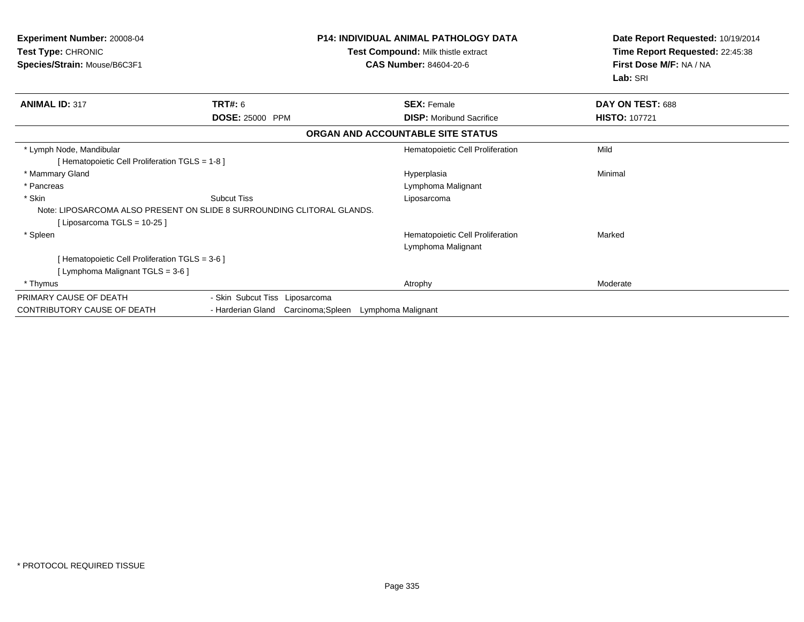| <b>Experiment Number: 20008-04</b><br><b>Test Type: CHRONIC</b><br>Species/Strain: Mouse/B6C3F1 | <b>P14: INDIVIDUAL ANIMAL PATHOLOGY DATA</b><br>Test Compound: Milk thistle extract<br><b>CAS Number: 84604-20-6</b> |                                   | Date Report Requested: 10/19/2014<br>Time Report Requested: 22:45:38<br>First Dose M/F: NA / NA<br>Lab: SRI |  |
|-------------------------------------------------------------------------------------------------|----------------------------------------------------------------------------------------------------------------------|-----------------------------------|-------------------------------------------------------------------------------------------------------------|--|
| <b>ANIMAL ID: 317</b>                                                                           | TRT#: 6                                                                                                              | <b>SEX: Female</b>                | DAY ON TEST: 688                                                                                            |  |
|                                                                                                 | <b>DOSE: 25000 PPM</b>                                                                                               | <b>DISP:</b> Moribund Sacrifice   | <b>HISTO: 107721</b>                                                                                        |  |
|                                                                                                 |                                                                                                                      | ORGAN AND ACCOUNTABLE SITE STATUS |                                                                                                             |  |
| * Lymph Node, Mandibular                                                                        |                                                                                                                      | Hematopoietic Cell Proliferation  | Mild                                                                                                        |  |
| [Hematopoietic Cell Proliferation TGLS = 1-8]                                                   |                                                                                                                      |                                   |                                                                                                             |  |
| * Mammary Gland                                                                                 |                                                                                                                      | Hyperplasia                       | Minimal                                                                                                     |  |
| * Pancreas                                                                                      |                                                                                                                      | Lymphoma Malignant                |                                                                                                             |  |
| * Skin                                                                                          | <b>Subcut Tiss</b>                                                                                                   | Liposarcoma                       |                                                                                                             |  |
|                                                                                                 | Note: LIPOSARCOMA ALSO PRESENT ON SLIDE 8 SURROUNDING CLITORAL GLANDS.                                               |                                   |                                                                                                             |  |
| [Liposarcoma TGLS = 10-25 ]                                                                     |                                                                                                                      |                                   |                                                                                                             |  |
| * Spleen                                                                                        |                                                                                                                      | Hematopoietic Cell Proliferation  | Marked                                                                                                      |  |
|                                                                                                 |                                                                                                                      | Lymphoma Malignant                |                                                                                                             |  |
| [Hematopoietic Cell Proliferation TGLS = 3-6 ]                                                  |                                                                                                                      |                                   |                                                                                                             |  |
| [Lymphoma Malignant TGLS = 3-6]                                                                 |                                                                                                                      |                                   |                                                                                                             |  |
| * Thymus                                                                                        |                                                                                                                      | Atrophy                           | Moderate                                                                                                    |  |
| PRIMARY CAUSE OF DEATH                                                                          | - Skin Subcut Tiss Liposarcoma                                                                                       |                                   |                                                                                                             |  |
| <b>CONTRIBUTORY CAUSE OF DEATH</b>                                                              | - Harderian Gland Carcinoma; Spleen                                                                                  | Lymphoma Malignant                |                                                                                                             |  |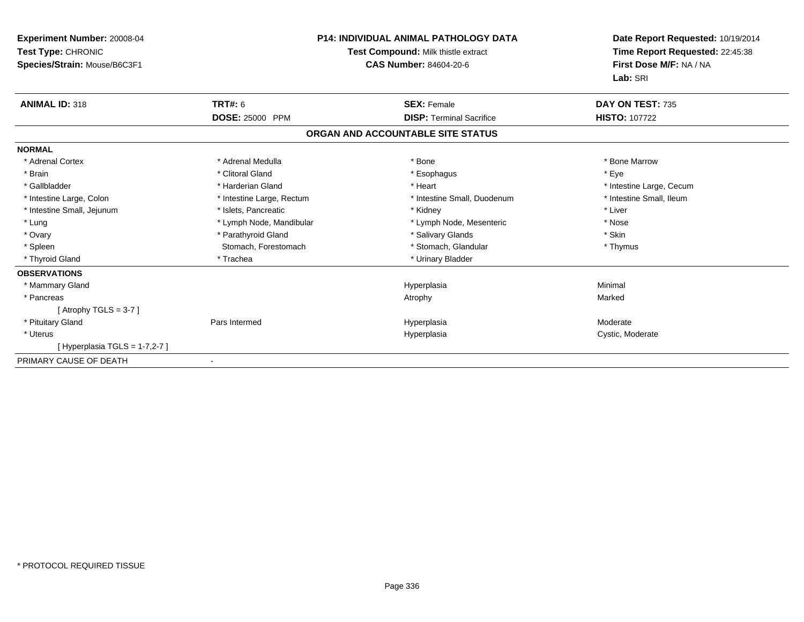| <b>Experiment Number: 20008-04</b><br>Test Type: CHRONIC<br>Species/Strain: Mouse/B6C3F1 | <b>P14: INDIVIDUAL ANIMAL PATHOLOGY DATA</b><br>Test Compound: Milk thistle extract<br><b>CAS Number: 84604-20-6</b> |                                   | Date Report Requested: 10/19/2014<br>Time Report Requested: 22:45:38<br>First Dose M/F: NA / NA<br>Lab: SRI |
|------------------------------------------------------------------------------------------|----------------------------------------------------------------------------------------------------------------------|-----------------------------------|-------------------------------------------------------------------------------------------------------------|
| <b>ANIMAL ID: 318</b>                                                                    | <b>TRT#: 6</b>                                                                                                       | <b>SEX: Female</b>                | DAY ON TEST: 735                                                                                            |
|                                                                                          | DOSE: 25000 PPM                                                                                                      | <b>DISP: Terminal Sacrifice</b>   | <b>HISTO: 107722</b>                                                                                        |
|                                                                                          |                                                                                                                      | ORGAN AND ACCOUNTABLE SITE STATUS |                                                                                                             |
| <b>NORMAL</b>                                                                            |                                                                                                                      |                                   |                                                                                                             |
| * Adrenal Cortex                                                                         | * Adrenal Medulla                                                                                                    | * Bone                            | * Bone Marrow                                                                                               |
| * Brain                                                                                  | * Clitoral Gland                                                                                                     | * Esophagus                       | * Eye                                                                                                       |
| * Gallbladder                                                                            | * Harderian Gland                                                                                                    | * Heart                           | * Intestine Large, Cecum                                                                                    |
| * Intestine Large, Colon                                                                 | * Intestine Large, Rectum                                                                                            | * Intestine Small, Duodenum       | * Intestine Small, Ileum                                                                                    |
| * Intestine Small, Jejunum                                                               | * Islets, Pancreatic                                                                                                 | * Kidney                          | * Liver                                                                                                     |
| * Lung                                                                                   | * Lymph Node, Mandibular                                                                                             | * Lymph Node, Mesenteric          | * Nose                                                                                                      |
| * Ovary                                                                                  | * Parathyroid Gland                                                                                                  | * Salivary Glands                 | * Skin                                                                                                      |
| * Spleen                                                                                 | Stomach, Forestomach                                                                                                 | * Stomach, Glandular              | * Thymus                                                                                                    |
| * Thyroid Gland                                                                          | * Trachea                                                                                                            | * Urinary Bladder                 |                                                                                                             |
| <b>OBSERVATIONS</b>                                                                      |                                                                                                                      |                                   |                                                                                                             |
| * Mammary Gland                                                                          |                                                                                                                      | Hyperplasia                       | Minimal                                                                                                     |
| * Pancreas                                                                               |                                                                                                                      | Atrophy                           | Marked                                                                                                      |
| [Atrophy TGLS = $3-7$ ]                                                                  |                                                                                                                      |                                   |                                                                                                             |
| * Pituitary Gland                                                                        | Pars Intermed                                                                                                        | Hyperplasia                       | Moderate                                                                                                    |
| * Uterus                                                                                 |                                                                                                                      | Hyperplasia                       | Cystic, Moderate                                                                                            |
| [Hyperplasia TGLS = $1-7,2-7$ ]                                                          |                                                                                                                      |                                   |                                                                                                             |
| PRIMARY CAUSE OF DEATH                                                                   |                                                                                                                      |                                   |                                                                                                             |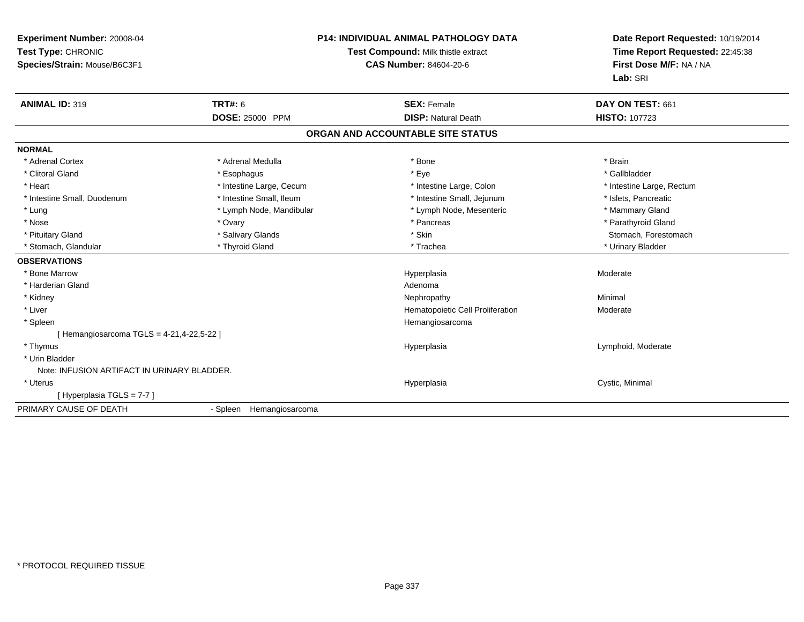| Experiment Number: 20008-04<br>Test Type: CHRONIC<br>Species/Strain: Mouse/B6C3F1<br><b>ANIMAL ID: 319</b> | <b>TRT#: 6</b>           | <b>P14: INDIVIDUAL ANIMAL PATHOLOGY DATA</b><br>Test Compound: Milk thistle extract<br><b>CAS Number: 84604-20-6</b><br><b>SEX: Female</b> | Date Report Requested: 10/19/2014<br>Time Report Requested: 22:45:38<br>First Dose M/F: NA / NA<br>Lab: SRI<br>DAY ON TEST: 661 |
|------------------------------------------------------------------------------------------------------------|--------------------------|--------------------------------------------------------------------------------------------------------------------------------------------|---------------------------------------------------------------------------------------------------------------------------------|
|                                                                                                            | <b>DOSE: 25000 PPM</b>   | <b>DISP: Natural Death</b>                                                                                                                 | <b>HISTO: 107723</b>                                                                                                            |
|                                                                                                            |                          | ORGAN AND ACCOUNTABLE SITE STATUS                                                                                                          |                                                                                                                                 |
| <b>NORMAL</b>                                                                                              |                          |                                                                                                                                            |                                                                                                                                 |
| * Adrenal Cortex                                                                                           | * Adrenal Medulla        | * Bone                                                                                                                                     | * Brain                                                                                                                         |
| * Clitoral Gland                                                                                           | * Esophagus              | * Eye                                                                                                                                      | * Gallbladder                                                                                                                   |
| * Heart                                                                                                    | * Intestine Large, Cecum | * Intestine Large, Colon                                                                                                                   | * Intestine Large, Rectum                                                                                                       |
| * Intestine Small, Duodenum                                                                                | * Intestine Small, Ileum | * Intestine Small, Jejunum                                                                                                                 | * Islets, Pancreatic                                                                                                            |
| * Lung                                                                                                     | * Lymph Node, Mandibular | * Lymph Node, Mesenteric                                                                                                                   | * Mammary Gland                                                                                                                 |
| * Nose                                                                                                     | * Ovary                  | * Pancreas                                                                                                                                 | * Parathyroid Gland                                                                                                             |
| * Pituitary Gland                                                                                          | * Salivary Glands        | * Skin                                                                                                                                     | Stomach, Forestomach                                                                                                            |
| * Stomach, Glandular                                                                                       | * Thyroid Gland          | * Trachea                                                                                                                                  | * Urinary Bladder                                                                                                               |
| <b>OBSERVATIONS</b>                                                                                        |                          |                                                                                                                                            |                                                                                                                                 |
| * Bone Marrow                                                                                              |                          | Hyperplasia                                                                                                                                | Moderate                                                                                                                        |
| * Harderian Gland                                                                                          |                          | Adenoma                                                                                                                                    |                                                                                                                                 |
| * Kidney                                                                                                   |                          | Nephropathy                                                                                                                                | Minimal                                                                                                                         |
| * Liver                                                                                                    |                          | Hematopoietic Cell Proliferation                                                                                                           | Moderate                                                                                                                        |
| * Spleen                                                                                                   |                          | Hemangiosarcoma                                                                                                                            |                                                                                                                                 |
| [ Hemangiosarcoma TGLS = 4-21,4-22,5-22 ]                                                                  |                          |                                                                                                                                            |                                                                                                                                 |
| * Thymus                                                                                                   |                          | Hyperplasia                                                                                                                                | Lymphoid, Moderate                                                                                                              |
| * Urin Bladder                                                                                             |                          |                                                                                                                                            |                                                                                                                                 |
| Note: INFUSION ARTIFACT IN URINARY BLADDER.                                                                |                          |                                                                                                                                            |                                                                                                                                 |
| * Uterus                                                                                                   |                          | Hyperplasia                                                                                                                                | Cystic, Minimal                                                                                                                 |
| [Hyperplasia TGLS = 7-7]                                                                                   |                          |                                                                                                                                            |                                                                                                                                 |
| PRIMARY CAUSE OF DEATH                                                                                     | - Spleen Hemangiosarcoma |                                                                                                                                            |                                                                                                                                 |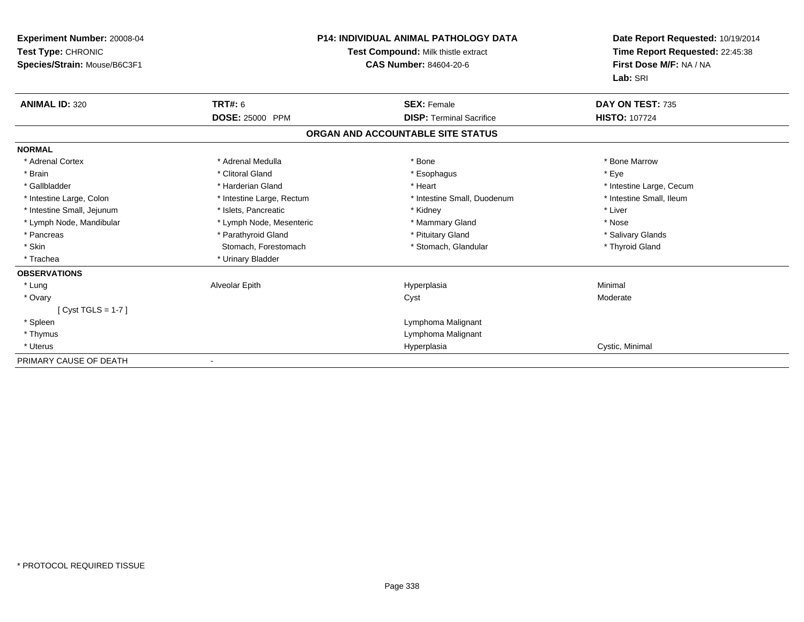| Experiment Number: 20008-04<br>Test Type: CHRONIC<br>Species/Strain: Mouse/B6C3F1 |                           | <b>P14: INDIVIDUAL ANIMAL PATHOLOGY DATA</b><br>Test Compound: Milk thistle extract<br><b>CAS Number: 84604-20-6</b> |                          |
|-----------------------------------------------------------------------------------|---------------------------|----------------------------------------------------------------------------------------------------------------------|--------------------------|
| <b>ANIMAL ID: 320</b>                                                             | <b>TRT#: 6</b>            | <b>SEX: Female</b>                                                                                                   | DAY ON TEST: 735         |
|                                                                                   | DOSE: 25000 PPM           | <b>DISP: Terminal Sacrifice</b>                                                                                      | <b>HISTO: 107724</b>     |
|                                                                                   |                           | ORGAN AND ACCOUNTABLE SITE STATUS                                                                                    |                          |
| <b>NORMAL</b>                                                                     |                           |                                                                                                                      |                          |
| * Adrenal Cortex                                                                  | * Adrenal Medulla         | * Bone                                                                                                               | * Bone Marrow            |
| * Brain                                                                           | * Clitoral Gland          | * Esophagus                                                                                                          | * Eye                    |
| * Gallbladder                                                                     | * Harderian Gland         | * Heart                                                                                                              | * Intestine Large, Cecum |
| * Intestine Large, Colon                                                          | * Intestine Large, Rectum | * Intestine Small, Duodenum                                                                                          | * Intestine Small, Ileum |
| * Intestine Small, Jejunum                                                        | * Islets, Pancreatic      | * Kidney                                                                                                             | * Liver                  |
| * Lymph Node, Mandibular                                                          | * Lymph Node, Mesenteric  | * Mammary Gland                                                                                                      | * Nose                   |
| * Pancreas                                                                        | * Parathyroid Gland       | * Pituitary Gland                                                                                                    | * Salivary Glands        |
| * Skin                                                                            | Stomach, Forestomach      | * Stomach, Glandular                                                                                                 | * Thyroid Gland          |
| * Trachea                                                                         | * Urinary Bladder         |                                                                                                                      |                          |
| <b>OBSERVATIONS</b>                                                               |                           |                                                                                                                      |                          |
| * Lung                                                                            | Alveolar Epith            | Hyperplasia                                                                                                          | Minimal                  |
| * Ovary                                                                           |                           | Cyst                                                                                                                 | Moderate                 |
| [ $Cyst TGLS = 1-7$ ]                                                             |                           |                                                                                                                      |                          |
| * Spleen                                                                          |                           | Lymphoma Malignant                                                                                                   |                          |
| * Thymus                                                                          |                           | Lymphoma Malignant                                                                                                   |                          |
| * Uterus                                                                          |                           | Hyperplasia                                                                                                          | Cystic, Minimal          |
| PRIMARY CAUSE OF DEATH                                                            |                           |                                                                                                                      |                          |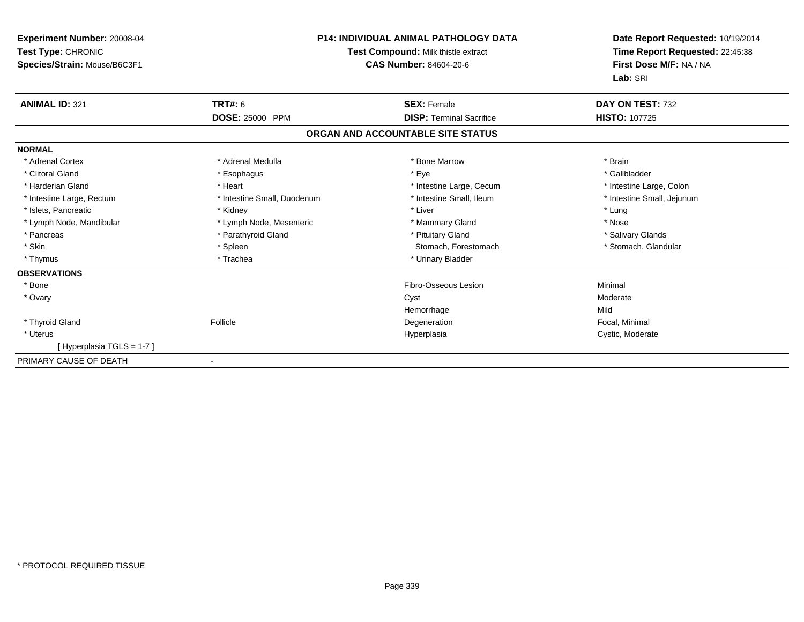| Experiment Number: 20008-04<br>Test Type: CHRONIC<br>Species/Strain: Mouse/B6C3F1 | <b>P14: INDIVIDUAL ANIMAL PATHOLOGY DATA</b><br>Test Compound: Milk thistle extract<br><b>CAS Number: 84604-20-6</b> |                                   | Date Report Requested: 10/19/2014<br>Time Report Requested: 22:45:38<br>First Dose M/F: NA / NA<br>Lab: SRI |
|-----------------------------------------------------------------------------------|----------------------------------------------------------------------------------------------------------------------|-----------------------------------|-------------------------------------------------------------------------------------------------------------|
| <b>ANIMAL ID: 321</b>                                                             | <b>TRT#: 6</b>                                                                                                       | <b>SEX: Female</b>                | DAY ON TEST: 732                                                                                            |
|                                                                                   | DOSE: 25000 PPM                                                                                                      | <b>DISP: Terminal Sacrifice</b>   | <b>HISTO: 107725</b>                                                                                        |
|                                                                                   |                                                                                                                      | ORGAN AND ACCOUNTABLE SITE STATUS |                                                                                                             |
| <b>NORMAL</b>                                                                     |                                                                                                                      |                                   |                                                                                                             |
| * Adrenal Cortex                                                                  | * Adrenal Medulla                                                                                                    | * Bone Marrow                     | * Brain                                                                                                     |
| * Clitoral Gland                                                                  | * Esophagus                                                                                                          | * Eye                             | * Gallbladder                                                                                               |
| * Harderian Gland                                                                 | * Heart                                                                                                              | * Intestine Large, Cecum          | * Intestine Large, Colon                                                                                    |
| * Intestine Large, Rectum                                                         | * Intestine Small, Duodenum                                                                                          | * Intestine Small, Ileum          | * Intestine Small, Jejunum                                                                                  |
| * Islets, Pancreatic                                                              | * Kidney                                                                                                             | * Liver                           | * Lung                                                                                                      |
| * Lymph Node, Mandibular                                                          | * Lymph Node, Mesenteric                                                                                             | * Mammary Gland                   | * Nose                                                                                                      |
| * Pancreas                                                                        | * Parathyroid Gland                                                                                                  | * Pituitary Gland                 | * Salivary Glands                                                                                           |
| * Skin                                                                            | * Spleen                                                                                                             | Stomach, Forestomach              | * Stomach, Glandular                                                                                        |
| * Thymus                                                                          | * Trachea                                                                                                            | * Urinary Bladder                 |                                                                                                             |
| <b>OBSERVATIONS</b>                                                               |                                                                                                                      |                                   |                                                                                                             |
| * Bone                                                                            |                                                                                                                      | Fibro-Osseous Lesion              | Minimal                                                                                                     |
| * Ovary                                                                           |                                                                                                                      | Cyst                              | Moderate                                                                                                    |
|                                                                                   |                                                                                                                      | Hemorrhage                        | Mild                                                                                                        |
| * Thyroid Gland                                                                   | Follicle                                                                                                             | Degeneration                      | Focal, Minimal                                                                                              |
| * Uterus                                                                          |                                                                                                                      | Hyperplasia                       | Cystic, Moderate                                                                                            |
| [Hyperplasia TGLS = 1-7]                                                          |                                                                                                                      |                                   |                                                                                                             |
| PRIMARY CAUSE OF DEATH                                                            |                                                                                                                      |                                   |                                                                                                             |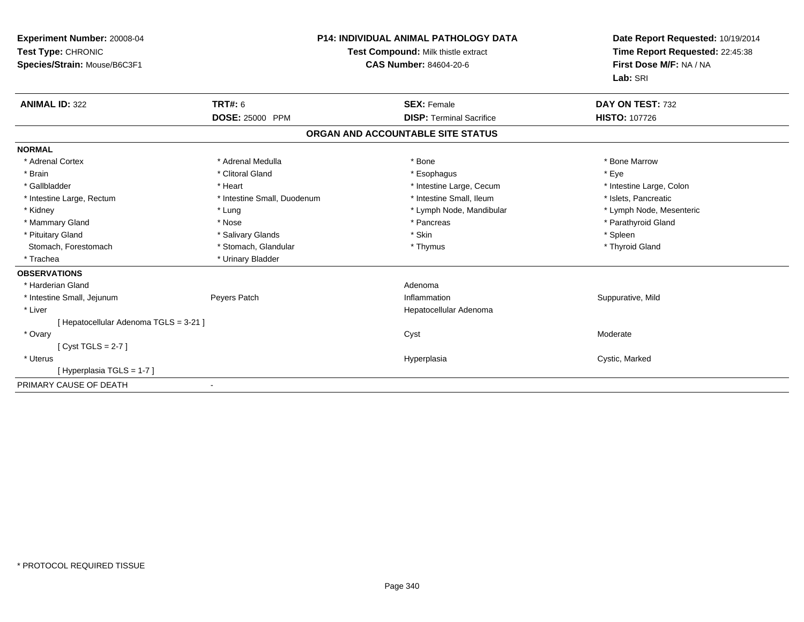| <b>Experiment Number: 20008-04</b><br>Test Type: CHRONIC<br>Species/Strain: Mouse/B6C3F1 |                             | <b>P14: INDIVIDUAL ANIMAL PATHOLOGY DATA</b><br>Test Compound: Milk thistle extract<br><b>CAS Number: 84604-20-6</b> | Date Report Requested: 10/19/2014<br>Time Report Requested: 22:45:38<br>First Dose M/F: NA / NA<br>Lab: SRI |
|------------------------------------------------------------------------------------------|-----------------------------|----------------------------------------------------------------------------------------------------------------------|-------------------------------------------------------------------------------------------------------------|
| <b>ANIMAL ID: 322</b>                                                                    | <b>TRT#: 6</b>              | <b>SEX: Female</b>                                                                                                   | DAY ON TEST: 732                                                                                            |
|                                                                                          | <b>DOSE: 25000 PPM</b>      | <b>DISP: Terminal Sacrifice</b>                                                                                      | <b>HISTO: 107726</b>                                                                                        |
|                                                                                          |                             | ORGAN AND ACCOUNTABLE SITE STATUS                                                                                    |                                                                                                             |
| <b>NORMAL</b>                                                                            |                             |                                                                                                                      |                                                                                                             |
| * Adrenal Cortex                                                                         | * Adrenal Medulla           | * Bone                                                                                                               | * Bone Marrow                                                                                               |
| * Brain                                                                                  | * Clitoral Gland            | * Esophagus                                                                                                          | * Eye                                                                                                       |
| * Gallbladder                                                                            | * Heart                     | * Intestine Large, Cecum                                                                                             | * Intestine Large, Colon                                                                                    |
| * Intestine Large, Rectum                                                                | * Intestine Small, Duodenum | * Intestine Small. Ileum                                                                                             | * Islets. Pancreatic                                                                                        |
| * Kidney                                                                                 | * Lung                      | * Lymph Node, Mandibular                                                                                             | * Lymph Node, Mesenteric                                                                                    |
| * Mammary Gland                                                                          | * Nose                      | * Pancreas                                                                                                           | * Parathyroid Gland                                                                                         |
| * Pituitary Gland                                                                        | * Salivary Glands           | * Skin                                                                                                               | * Spleen                                                                                                    |
| Stomach, Forestomach                                                                     | * Stomach, Glandular        | * Thymus                                                                                                             | * Thyroid Gland                                                                                             |
| * Trachea                                                                                | * Urinary Bladder           |                                                                                                                      |                                                                                                             |
| <b>OBSERVATIONS</b>                                                                      |                             |                                                                                                                      |                                                                                                             |
| * Harderian Gland                                                                        |                             | Adenoma                                                                                                              |                                                                                                             |
| * Intestine Small, Jejunum                                                               | Peyers Patch                | Inflammation                                                                                                         | Suppurative, Mild                                                                                           |
| * Liver                                                                                  |                             | Hepatocellular Adenoma                                                                                               |                                                                                                             |
| [ Hepatocellular Adenoma TGLS = 3-21 ]                                                   |                             |                                                                                                                      |                                                                                                             |
| * Ovary                                                                                  |                             | Cyst                                                                                                                 | Moderate                                                                                                    |
| [Cyst TGLS = $2-7$ ]                                                                     |                             |                                                                                                                      |                                                                                                             |
| * Uterus                                                                                 |                             | Hyperplasia                                                                                                          | Cystic, Marked                                                                                              |
| [Hyperplasia TGLS = 1-7]                                                                 |                             |                                                                                                                      |                                                                                                             |
| PRIMARY CAUSE OF DEATH                                                                   |                             |                                                                                                                      |                                                                                                             |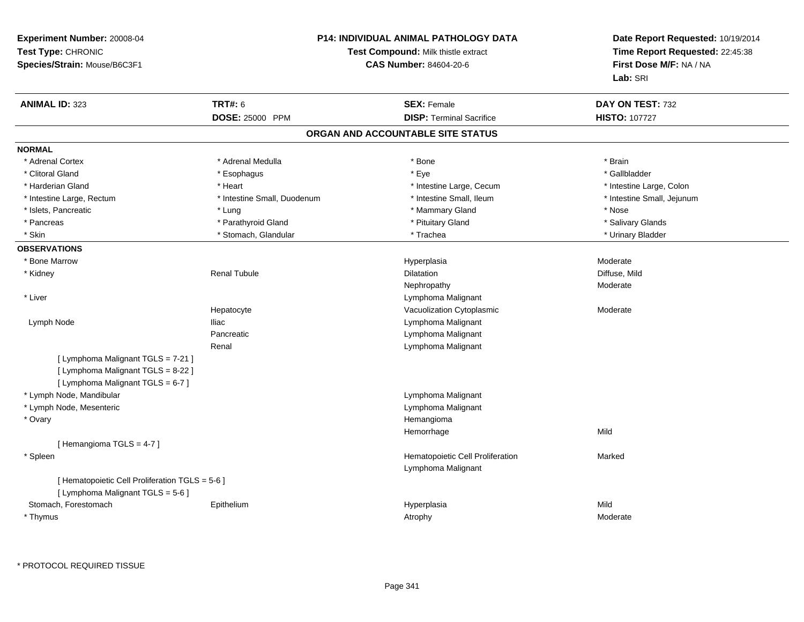| <b>ANIMAL ID: 323</b><br><b>TRT#: 6</b><br><b>SEX: Female</b><br>DAY ON TEST: 732<br><b>DISP: Terminal Sacrifice</b><br>DOSE: 25000 PPM<br><b>HISTO: 107727</b><br>ORGAN AND ACCOUNTABLE SITE STATUS<br><b>NORMAL</b><br>* Adrenal Cortex<br>* Adrenal Medulla<br>* Bone<br>* Brain<br>* Clitoral Gland<br>* Eye<br>* Gallbladder<br>* Esophagus<br>* Harderian Gland<br>* Heart<br>* Intestine Large, Cecum<br>* Intestine Large, Colon<br>* Intestine Small, Ileum<br>* Intestine Large, Rectum<br>* Intestine Small, Duodenum<br>* Intestine Small, Jejunum<br>* Islets, Pancreatic<br>* Mammary Gland<br>* Nose<br>* Lung<br>* Parathyroid Gland<br>* Pituitary Gland<br>* Salivary Glands<br>* Pancreas<br>* Skin<br>* Trachea<br>* Stomach, Glandular<br>* Urinary Bladder<br><b>OBSERVATIONS</b><br>* Bone Marrow<br>Hyperplasia<br>Moderate<br><b>Renal Tubule</b><br>* Kidney<br>Dilatation<br>Diffuse, Mild<br>Nephropathy<br>Moderate<br>* Liver<br>Lymphoma Malignant<br>Vacuolization Cytoplasmic<br>Hepatocyte<br>Moderate<br>Lymphoma Malignant<br>Lymph Node<br><b>Iliac</b><br>Pancreatic<br>Lymphoma Malignant<br>Renal<br>Lymphoma Malignant | First Dose M/F: NA / NA |
|-----------------------------------------------------------------------------------------------------------------------------------------------------------------------------------------------------------------------------------------------------------------------------------------------------------------------------------------------------------------------------------------------------------------------------------------------------------------------------------------------------------------------------------------------------------------------------------------------------------------------------------------------------------------------------------------------------------------------------------------------------------------------------------------------------------------------------------------------------------------------------------------------------------------------------------------------------------------------------------------------------------------------------------------------------------------------------------------------------------------------------------------------------------------|-------------------------|
|                                                                                                                                                                                                                                                                                                                                                                                                                                                                                                                                                                                                                                                                                                                                                                                                                                                                                                                                                                                                                                                                                                                                                                 |                         |
|                                                                                                                                                                                                                                                                                                                                                                                                                                                                                                                                                                                                                                                                                                                                                                                                                                                                                                                                                                                                                                                                                                                                                                 |                         |
|                                                                                                                                                                                                                                                                                                                                                                                                                                                                                                                                                                                                                                                                                                                                                                                                                                                                                                                                                                                                                                                                                                                                                                 |                         |
|                                                                                                                                                                                                                                                                                                                                                                                                                                                                                                                                                                                                                                                                                                                                                                                                                                                                                                                                                                                                                                                                                                                                                                 |                         |
|                                                                                                                                                                                                                                                                                                                                                                                                                                                                                                                                                                                                                                                                                                                                                                                                                                                                                                                                                                                                                                                                                                                                                                 |                         |
|                                                                                                                                                                                                                                                                                                                                                                                                                                                                                                                                                                                                                                                                                                                                                                                                                                                                                                                                                                                                                                                                                                                                                                 |                         |
|                                                                                                                                                                                                                                                                                                                                                                                                                                                                                                                                                                                                                                                                                                                                                                                                                                                                                                                                                                                                                                                                                                                                                                 |                         |
|                                                                                                                                                                                                                                                                                                                                                                                                                                                                                                                                                                                                                                                                                                                                                                                                                                                                                                                                                                                                                                                                                                                                                                 |                         |
|                                                                                                                                                                                                                                                                                                                                                                                                                                                                                                                                                                                                                                                                                                                                                                                                                                                                                                                                                                                                                                                                                                                                                                 |                         |
|                                                                                                                                                                                                                                                                                                                                                                                                                                                                                                                                                                                                                                                                                                                                                                                                                                                                                                                                                                                                                                                                                                                                                                 |                         |
|                                                                                                                                                                                                                                                                                                                                                                                                                                                                                                                                                                                                                                                                                                                                                                                                                                                                                                                                                                                                                                                                                                                                                                 |                         |
|                                                                                                                                                                                                                                                                                                                                                                                                                                                                                                                                                                                                                                                                                                                                                                                                                                                                                                                                                                                                                                                                                                                                                                 |                         |
|                                                                                                                                                                                                                                                                                                                                                                                                                                                                                                                                                                                                                                                                                                                                                                                                                                                                                                                                                                                                                                                                                                                                                                 |                         |
|                                                                                                                                                                                                                                                                                                                                                                                                                                                                                                                                                                                                                                                                                                                                                                                                                                                                                                                                                                                                                                                                                                                                                                 |                         |
|                                                                                                                                                                                                                                                                                                                                                                                                                                                                                                                                                                                                                                                                                                                                                                                                                                                                                                                                                                                                                                                                                                                                                                 |                         |
|                                                                                                                                                                                                                                                                                                                                                                                                                                                                                                                                                                                                                                                                                                                                                                                                                                                                                                                                                                                                                                                                                                                                                                 |                         |
|                                                                                                                                                                                                                                                                                                                                                                                                                                                                                                                                                                                                                                                                                                                                                                                                                                                                                                                                                                                                                                                                                                                                                                 |                         |
|                                                                                                                                                                                                                                                                                                                                                                                                                                                                                                                                                                                                                                                                                                                                                                                                                                                                                                                                                                                                                                                                                                                                                                 |                         |
|                                                                                                                                                                                                                                                                                                                                                                                                                                                                                                                                                                                                                                                                                                                                                                                                                                                                                                                                                                                                                                                                                                                                                                 |                         |
|                                                                                                                                                                                                                                                                                                                                                                                                                                                                                                                                                                                                                                                                                                                                                                                                                                                                                                                                                                                                                                                                                                                                                                 |                         |
| [ Lymphoma Malignant TGLS = 7-21 ]<br>[ Lymphoma Malignant TGLS = 8-22 ]<br>[ Lymphoma Malignant TGLS = $6-7$ ]                                                                                                                                                                                                                                                                                                                                                                                                                                                                                                                                                                                                                                                                                                                                                                                                                                                                                                                                                                                                                                                 |                         |
| * Lymph Node, Mandibular<br>Lymphoma Malignant                                                                                                                                                                                                                                                                                                                                                                                                                                                                                                                                                                                                                                                                                                                                                                                                                                                                                                                                                                                                                                                                                                                  |                         |
| * Lymph Node, Mesenteric<br>Lymphoma Malignant                                                                                                                                                                                                                                                                                                                                                                                                                                                                                                                                                                                                                                                                                                                                                                                                                                                                                                                                                                                                                                                                                                                  |                         |
| * Ovary<br>Hemangioma                                                                                                                                                                                                                                                                                                                                                                                                                                                                                                                                                                                                                                                                                                                                                                                                                                                                                                                                                                                                                                                                                                                                           |                         |
| Mild<br>Hemorrhage                                                                                                                                                                                                                                                                                                                                                                                                                                                                                                                                                                                                                                                                                                                                                                                                                                                                                                                                                                                                                                                                                                                                              |                         |
| [Hemangioma TGLS = $4-7$ ]                                                                                                                                                                                                                                                                                                                                                                                                                                                                                                                                                                                                                                                                                                                                                                                                                                                                                                                                                                                                                                                                                                                                      |                         |
| * Spleen<br>Hematopoietic Cell Proliferation<br>Marked<br>Lymphoma Malignant                                                                                                                                                                                                                                                                                                                                                                                                                                                                                                                                                                                                                                                                                                                                                                                                                                                                                                                                                                                                                                                                                    |                         |
| [ Hematopoietic Cell Proliferation TGLS = 5-6 ]<br>[ Lymphoma Malignant TGLS = 5-6 ]                                                                                                                                                                                                                                                                                                                                                                                                                                                                                                                                                                                                                                                                                                                                                                                                                                                                                                                                                                                                                                                                            |                         |
| Mild<br>Stomach, Forestomach<br>Epithelium<br>Hyperplasia                                                                                                                                                                                                                                                                                                                                                                                                                                                                                                                                                                                                                                                                                                                                                                                                                                                                                                                                                                                                                                                                                                       |                         |
| * Thymus<br>Moderate<br>Atrophy                                                                                                                                                                                                                                                                                                                                                                                                                                                                                                                                                                                                                                                                                                                                                                                                                                                                                                                                                                                                                                                                                                                                 |                         |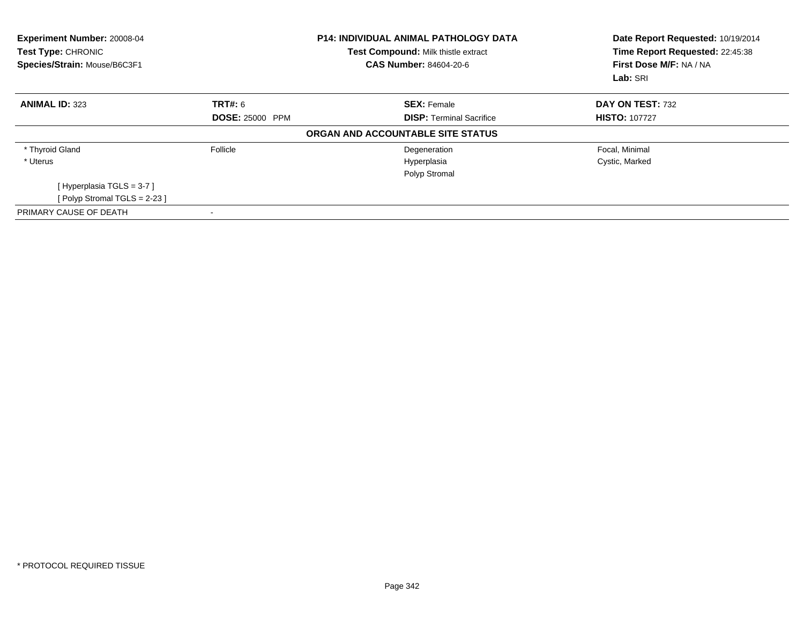| Experiment Number: 20008-04<br>Test Type: CHRONIC<br>Species/Strain: Mouse/B6C3F1 |                        | <b>P14: INDIVIDUAL ANIMAL PATHOLOGY DATA</b><br>Test Compound: Milk thistle extract<br><b>CAS Number: 84604-20-6</b> | Date Report Requested: 10/19/2014<br>Time Report Requested: 22:45:38<br>First Dose M/F: NA / NA<br>Lab: SRI |
|-----------------------------------------------------------------------------------|------------------------|----------------------------------------------------------------------------------------------------------------------|-------------------------------------------------------------------------------------------------------------|
| <b>ANIMAL ID: 323</b>                                                             | <b>TRT#: 6</b>         | <b>SEX: Female</b>                                                                                                   | DAY ON TEST: 732                                                                                            |
|                                                                                   | <b>DOSE: 25000 PPM</b> | <b>DISP:</b> Terminal Sacrifice                                                                                      | <b>HISTO: 107727</b>                                                                                        |
|                                                                                   |                        | ORGAN AND ACCOUNTABLE SITE STATUS                                                                                    |                                                                                                             |
| * Thyroid Gland                                                                   | Follicle               | Degeneration                                                                                                         | Focal, Minimal                                                                                              |
| * Uterus                                                                          |                        | Hyperplasia                                                                                                          | Cystic, Marked                                                                                              |
|                                                                                   |                        | Polyp Stromal                                                                                                        |                                                                                                             |
| [Hyperplasia TGLS = $3-7$ ]                                                       |                        |                                                                                                                      |                                                                                                             |
| [ Polyp Stromal TGLS = $2-23$ ]                                                   |                        |                                                                                                                      |                                                                                                             |
| PRIMARY CAUSE OF DEATH                                                            |                        |                                                                                                                      |                                                                                                             |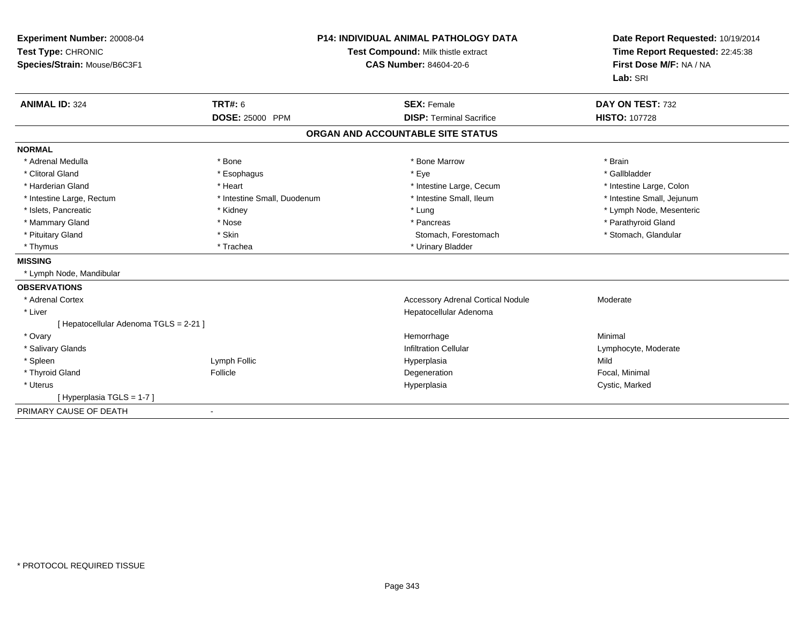| Experiment Number: 20008-04<br>Test Type: CHRONIC<br>Species/Strain: Mouse/B6C3F1<br><b>ANIMAL ID: 324</b> | TRT#: 6<br>DOSE: 25000 PPM  | <b>P14: INDIVIDUAL ANIMAL PATHOLOGY DATA</b><br>Test Compound: Milk thistle extract<br><b>CAS Number: 84604-20-6</b><br><b>SEX: Female</b><br><b>DISP: Terminal Sacrifice</b> | Date Report Requested: 10/19/2014<br>Time Report Requested: 22:45:38<br>First Dose M/F: NA / NA<br>Lab: SRI<br>DAY ON TEST: 732<br><b>HISTO: 107728</b> |
|------------------------------------------------------------------------------------------------------------|-----------------------------|-------------------------------------------------------------------------------------------------------------------------------------------------------------------------------|---------------------------------------------------------------------------------------------------------------------------------------------------------|
|                                                                                                            |                             | ORGAN AND ACCOUNTABLE SITE STATUS                                                                                                                                             |                                                                                                                                                         |
| <b>NORMAL</b>                                                                                              |                             |                                                                                                                                                                               |                                                                                                                                                         |
| * Adrenal Medulla                                                                                          | * Bone                      | * Bone Marrow                                                                                                                                                                 | * Brain                                                                                                                                                 |
| * Clitoral Gland                                                                                           | * Esophagus                 | * Eye                                                                                                                                                                         | * Gallbladder                                                                                                                                           |
| * Harderian Gland                                                                                          | * Heart                     | * Intestine Large, Cecum                                                                                                                                                      | * Intestine Large, Colon                                                                                                                                |
| * Intestine Large, Rectum                                                                                  | * Intestine Small, Duodenum | * Intestine Small, Ileum                                                                                                                                                      | * Intestine Small, Jejunum                                                                                                                              |
| * Islets, Pancreatic                                                                                       | * Kidney                    | * Lung                                                                                                                                                                        | * Lymph Node, Mesenteric                                                                                                                                |
| * Mammary Gland                                                                                            | * Nose                      | * Pancreas                                                                                                                                                                    | * Parathyroid Gland                                                                                                                                     |
| * Pituitary Gland                                                                                          | * Skin                      | Stomach, Forestomach                                                                                                                                                          | * Stomach, Glandular                                                                                                                                    |
| * Thymus                                                                                                   | * Trachea                   | * Urinary Bladder                                                                                                                                                             |                                                                                                                                                         |
| <b>MISSING</b>                                                                                             |                             |                                                                                                                                                                               |                                                                                                                                                         |
| * Lymph Node, Mandibular                                                                                   |                             |                                                                                                                                                                               |                                                                                                                                                         |
| <b>OBSERVATIONS</b>                                                                                        |                             |                                                                                                                                                                               |                                                                                                                                                         |
| * Adrenal Cortex                                                                                           |                             | <b>Accessory Adrenal Cortical Nodule</b>                                                                                                                                      | Moderate                                                                                                                                                |
| * Liver                                                                                                    |                             | Hepatocellular Adenoma                                                                                                                                                        |                                                                                                                                                         |
| [ Hepatocellular Adenoma TGLS = 2-21 ]                                                                     |                             |                                                                                                                                                                               |                                                                                                                                                         |
| * Ovary                                                                                                    |                             | Hemorrhage                                                                                                                                                                    | Minimal                                                                                                                                                 |
| * Salivary Glands                                                                                          |                             | <b>Infiltration Cellular</b>                                                                                                                                                  | Lymphocyte, Moderate                                                                                                                                    |
| * Spleen                                                                                                   | Lymph Follic                | Hyperplasia                                                                                                                                                                   | Mild                                                                                                                                                    |
| * Thyroid Gland                                                                                            | Follicle                    | Degeneration                                                                                                                                                                  | Focal, Minimal                                                                                                                                          |
| * Uterus                                                                                                   |                             | Hyperplasia                                                                                                                                                                   | Cystic, Marked                                                                                                                                          |
| [Hyperplasia TGLS = 1-7]                                                                                   |                             |                                                                                                                                                                               |                                                                                                                                                         |
| PRIMARY CAUSE OF DEATH                                                                                     | $\blacksquare$              |                                                                                                                                                                               |                                                                                                                                                         |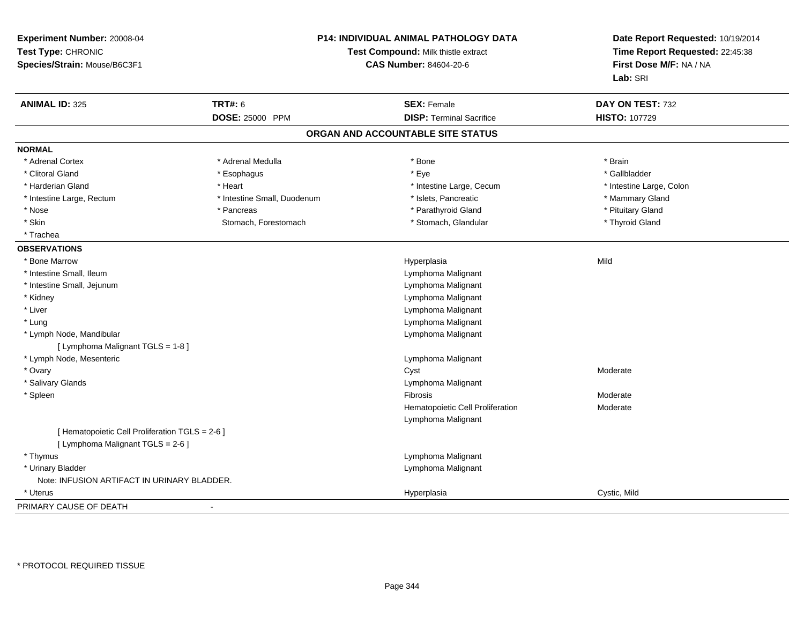| Experiment Number: 20008-04<br>Test Type: CHRONIC<br>Species/Strain: Mouse/B6C3F1 |                             | P14: INDIVIDUAL ANIMAL PATHOLOGY DATA<br>Test Compound: Milk thistle extract<br><b>CAS Number: 84604-20-6</b> | Date Report Requested: 10/19/2014<br>Time Report Requested: 22:45:38<br>First Dose M/F: NA / NA<br>Lab: SRI |
|-----------------------------------------------------------------------------------|-----------------------------|---------------------------------------------------------------------------------------------------------------|-------------------------------------------------------------------------------------------------------------|
| <b>ANIMAL ID: 325</b>                                                             | <b>TRT#: 6</b>              | <b>SEX: Female</b>                                                                                            | DAY ON TEST: 732                                                                                            |
|                                                                                   | <b>DOSE: 25000 PPM</b>      | <b>DISP: Terminal Sacrifice</b>                                                                               | <b>HISTO: 107729</b>                                                                                        |
|                                                                                   |                             | ORGAN AND ACCOUNTABLE SITE STATUS                                                                             |                                                                                                             |
| <b>NORMAL</b>                                                                     |                             |                                                                                                               |                                                                                                             |
| * Adrenal Cortex                                                                  | * Adrenal Medulla           | * Bone                                                                                                        | * Brain                                                                                                     |
| * Clitoral Gland                                                                  | * Esophagus                 | * Eye                                                                                                         | * Gallbladder                                                                                               |
| * Harderian Gland                                                                 | * Heart                     | * Intestine Large, Cecum                                                                                      | * Intestine Large, Colon                                                                                    |
| * Intestine Large, Rectum                                                         | * Intestine Small, Duodenum | * Islets, Pancreatic                                                                                          | * Mammary Gland                                                                                             |
| * Nose                                                                            | * Pancreas                  | * Parathyroid Gland                                                                                           | * Pituitary Gland                                                                                           |
| * Skin                                                                            | Stomach, Forestomach        | * Stomach, Glandular                                                                                          | * Thyroid Gland                                                                                             |
| * Trachea                                                                         |                             |                                                                                                               |                                                                                                             |
| <b>OBSERVATIONS</b>                                                               |                             |                                                                                                               |                                                                                                             |
| * Bone Marrow                                                                     |                             | Hyperplasia                                                                                                   | Mild                                                                                                        |
| * Intestine Small, Ileum                                                          |                             | Lymphoma Malignant                                                                                            |                                                                                                             |
| * Intestine Small, Jejunum                                                        |                             | Lymphoma Malignant                                                                                            |                                                                                                             |
| * Kidney                                                                          |                             | Lymphoma Malignant                                                                                            |                                                                                                             |
| * Liver                                                                           |                             | Lymphoma Malignant                                                                                            |                                                                                                             |
| * Lung                                                                            |                             | Lymphoma Malignant                                                                                            |                                                                                                             |
| * Lymph Node, Mandibular                                                          |                             | Lymphoma Malignant                                                                                            |                                                                                                             |
| [ Lymphoma Malignant TGLS = 1-8 ]                                                 |                             |                                                                                                               |                                                                                                             |
| * Lymph Node, Mesenteric                                                          |                             | Lymphoma Malignant                                                                                            |                                                                                                             |
| * Ovary                                                                           |                             | Cyst                                                                                                          | Moderate                                                                                                    |
| * Salivary Glands                                                                 |                             | Lymphoma Malignant                                                                                            |                                                                                                             |
| * Spleen                                                                          |                             | Fibrosis                                                                                                      | Moderate                                                                                                    |
|                                                                                   |                             | Hematopoietic Cell Proliferation                                                                              | Moderate                                                                                                    |
|                                                                                   |                             | Lymphoma Malignant                                                                                            |                                                                                                             |
| [ Hematopoietic Cell Proliferation TGLS = 2-6 ]                                   |                             |                                                                                                               |                                                                                                             |
| [ Lymphoma Malignant TGLS = 2-6 ]                                                 |                             |                                                                                                               |                                                                                                             |
| * Thymus                                                                          |                             | Lymphoma Malignant                                                                                            |                                                                                                             |
| * Urinary Bladder                                                                 |                             | Lymphoma Malignant                                                                                            |                                                                                                             |
| Note: INFUSION ARTIFACT IN URINARY BLADDER.                                       |                             |                                                                                                               |                                                                                                             |
| * Uterus                                                                          |                             | Hyperplasia                                                                                                   | Cystic, Mild                                                                                                |
| PRIMARY CAUSE OF DEATH                                                            | $\blacksquare$              |                                                                                                               |                                                                                                             |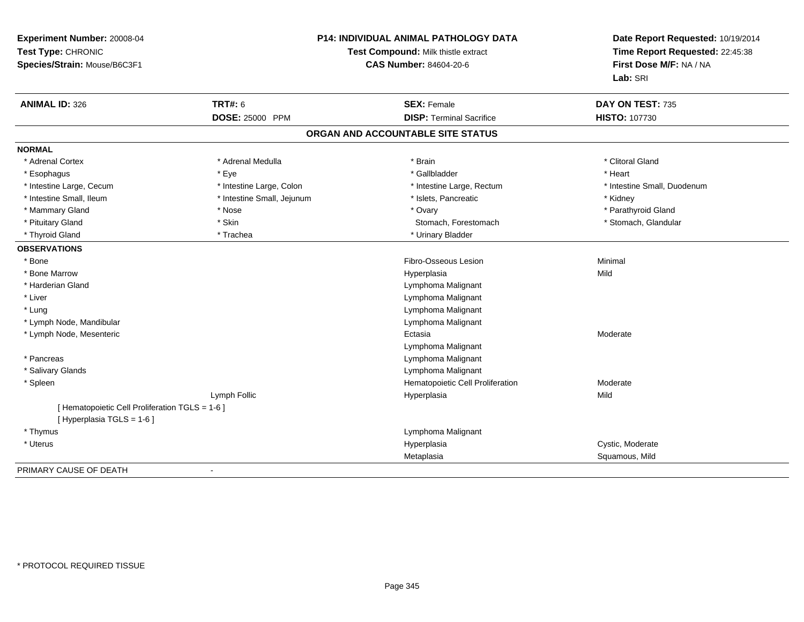| Experiment Number: 20008-04<br>Test Type: CHRONIC<br>Species/Strain: Mouse/B6C3F1 | P14: INDIVIDUAL ANIMAL PATHOLOGY DATA<br>Test Compound: Milk thistle extract<br><b>CAS Number: 84604-20-6</b> |                                   | Date Report Requested: 10/19/2014<br>Time Report Requested: 22:45:38<br>First Dose M/F: NA / NA<br>Lab: SRI |
|-----------------------------------------------------------------------------------|---------------------------------------------------------------------------------------------------------------|-----------------------------------|-------------------------------------------------------------------------------------------------------------|
| <b>ANIMAL ID: 326</b>                                                             | <b>TRT#: 6</b>                                                                                                | <b>SEX: Female</b>                | DAY ON TEST: 735                                                                                            |
|                                                                                   | <b>DOSE: 25000 PPM</b>                                                                                        | <b>DISP: Terminal Sacrifice</b>   | <b>HISTO: 107730</b>                                                                                        |
|                                                                                   |                                                                                                               | ORGAN AND ACCOUNTABLE SITE STATUS |                                                                                                             |
| <b>NORMAL</b>                                                                     |                                                                                                               |                                   |                                                                                                             |
| * Adrenal Cortex                                                                  | * Adrenal Medulla                                                                                             | * Brain                           | * Clitoral Gland                                                                                            |
| * Esophagus                                                                       | * Eye                                                                                                         | * Gallbladder                     | * Heart                                                                                                     |
| * Intestine Large, Cecum                                                          | * Intestine Large, Colon                                                                                      | * Intestine Large, Rectum         | * Intestine Small, Duodenum                                                                                 |
| * Intestine Small, Ileum                                                          | * Intestine Small, Jejunum                                                                                    | * Islets, Pancreatic              | * Kidney                                                                                                    |
| * Mammary Gland                                                                   | * Nose                                                                                                        | * Ovary                           | * Parathyroid Gland                                                                                         |
| * Pituitary Gland                                                                 | * Skin                                                                                                        | Stomach, Forestomach              | * Stomach, Glandular                                                                                        |
| * Thyroid Gland                                                                   | * Trachea                                                                                                     | * Urinary Bladder                 |                                                                                                             |
| <b>OBSERVATIONS</b>                                                               |                                                                                                               |                                   |                                                                                                             |
| * Bone                                                                            |                                                                                                               | Fibro-Osseous Lesion              | Minimal                                                                                                     |
| * Bone Marrow                                                                     |                                                                                                               | Hyperplasia                       | Mild                                                                                                        |
| * Harderian Gland                                                                 |                                                                                                               | Lymphoma Malignant                |                                                                                                             |
| * Liver                                                                           |                                                                                                               | Lymphoma Malignant                |                                                                                                             |
| * Lung                                                                            |                                                                                                               | Lymphoma Malignant                |                                                                                                             |
| * Lymph Node, Mandibular                                                          |                                                                                                               | Lymphoma Malignant                |                                                                                                             |
| * Lymph Node, Mesenteric                                                          |                                                                                                               | Ectasia                           | Moderate                                                                                                    |
|                                                                                   |                                                                                                               | Lymphoma Malignant                |                                                                                                             |
| * Pancreas                                                                        |                                                                                                               | Lymphoma Malignant                |                                                                                                             |
| * Salivary Glands                                                                 |                                                                                                               | Lymphoma Malignant                |                                                                                                             |
| * Spleen                                                                          |                                                                                                               | Hematopoietic Cell Proliferation  | Moderate                                                                                                    |
|                                                                                   | Lymph Follic                                                                                                  | Hyperplasia                       | Mild                                                                                                        |
| [ Hematopoietic Cell Proliferation TGLS = 1-6 ]                                   |                                                                                                               |                                   |                                                                                                             |
| [ Hyperplasia TGLS = 1-6 ]                                                        |                                                                                                               |                                   |                                                                                                             |
| * Thymus                                                                          |                                                                                                               | Lymphoma Malignant                |                                                                                                             |
| * Uterus                                                                          |                                                                                                               | Hyperplasia                       | Cystic, Moderate                                                                                            |
|                                                                                   |                                                                                                               | Metaplasia                        | Squamous, Mild                                                                                              |
| PRIMARY CAUSE OF DEATH                                                            |                                                                                                               |                                   |                                                                                                             |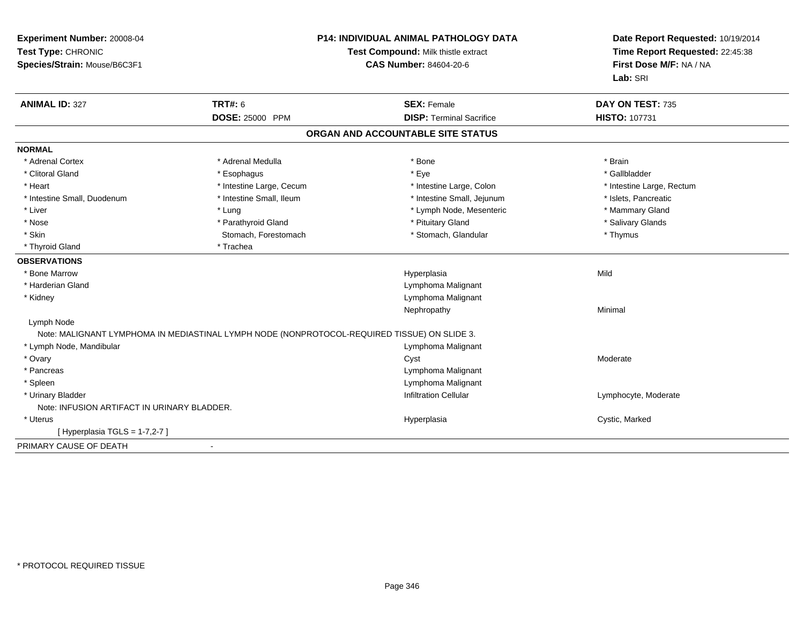| Experiment Number: 20008-04<br>Test Type: CHRONIC<br>Species/Strain: Mouse/B6C3F1 |                                                                                              | <b>P14: INDIVIDUAL ANIMAL PATHOLOGY DATA</b><br>Test Compound: Milk thistle extract<br><b>CAS Number: 84604-20-6</b> | Date Report Requested: 10/19/2014<br>Time Report Requested: 22:45:38<br>First Dose M/F: NA / NA<br>Lab: SRI |
|-----------------------------------------------------------------------------------|----------------------------------------------------------------------------------------------|----------------------------------------------------------------------------------------------------------------------|-------------------------------------------------------------------------------------------------------------|
| <b>ANIMAL ID: 327</b>                                                             | <b>TRT#: 6</b>                                                                               | <b>SEX: Female</b>                                                                                                   | DAY ON TEST: 735                                                                                            |
|                                                                                   | DOSE: 25000 PPM                                                                              | <b>DISP: Terminal Sacrifice</b>                                                                                      | HISTO: 107731                                                                                               |
|                                                                                   |                                                                                              | ORGAN AND ACCOUNTABLE SITE STATUS                                                                                    |                                                                                                             |
| <b>NORMAL</b>                                                                     |                                                                                              |                                                                                                                      |                                                                                                             |
| * Adrenal Cortex                                                                  | * Adrenal Medulla                                                                            | * Bone                                                                                                               | * Brain                                                                                                     |
| * Clitoral Gland                                                                  | * Esophagus                                                                                  | * Eye                                                                                                                | * Gallbladder                                                                                               |
| * Heart                                                                           | * Intestine Large, Cecum                                                                     | * Intestine Large, Colon                                                                                             | * Intestine Large, Rectum                                                                                   |
| * Intestine Small, Duodenum                                                       | * Intestine Small, Ileum                                                                     | * Intestine Small, Jejunum                                                                                           | * Islets, Pancreatic                                                                                        |
| * Liver                                                                           | * Lung                                                                                       | * Lymph Node, Mesenteric                                                                                             | * Mammary Gland                                                                                             |
| * Nose                                                                            | * Parathyroid Gland                                                                          | * Pituitary Gland                                                                                                    | * Salivary Glands                                                                                           |
| * Skin                                                                            | Stomach, Forestomach                                                                         | * Stomach, Glandular                                                                                                 | * Thymus                                                                                                    |
| * Thyroid Gland                                                                   | * Trachea                                                                                    |                                                                                                                      |                                                                                                             |
| <b>OBSERVATIONS</b>                                                               |                                                                                              |                                                                                                                      |                                                                                                             |
| * Bone Marrow                                                                     |                                                                                              | Hyperplasia                                                                                                          | Mild                                                                                                        |
| * Harderian Gland                                                                 |                                                                                              | Lymphoma Malignant                                                                                                   |                                                                                                             |
| * Kidney                                                                          |                                                                                              | Lymphoma Malignant                                                                                                   |                                                                                                             |
|                                                                                   |                                                                                              | Nephropathy                                                                                                          | Minimal                                                                                                     |
| Lymph Node                                                                        |                                                                                              |                                                                                                                      |                                                                                                             |
|                                                                                   | Note: MALIGNANT LYMPHOMA IN MEDIASTINAL LYMPH NODE (NONPROTOCOL-REQUIRED TISSUE) ON SLIDE 3. |                                                                                                                      |                                                                                                             |
| * Lymph Node, Mandibular                                                          |                                                                                              | Lymphoma Malignant                                                                                                   |                                                                                                             |
| * Ovary                                                                           |                                                                                              | Cyst                                                                                                                 | Moderate                                                                                                    |
| * Pancreas                                                                        |                                                                                              | Lymphoma Malignant                                                                                                   |                                                                                                             |
| * Spleen                                                                          |                                                                                              | Lymphoma Malignant                                                                                                   |                                                                                                             |
| * Urinary Bladder                                                                 |                                                                                              | <b>Infiltration Cellular</b>                                                                                         | Lymphocyte, Moderate                                                                                        |
| Note: INFUSION ARTIFACT IN URINARY BLADDER.                                       |                                                                                              |                                                                                                                      |                                                                                                             |
| * Uterus                                                                          |                                                                                              | Hyperplasia                                                                                                          | Cystic, Marked                                                                                              |
| [ Hyperplasia TGLS = 1-7,2-7 ]                                                    |                                                                                              |                                                                                                                      |                                                                                                             |
| PRIMARY CAUSE OF DEATH                                                            | $\sim$                                                                                       |                                                                                                                      |                                                                                                             |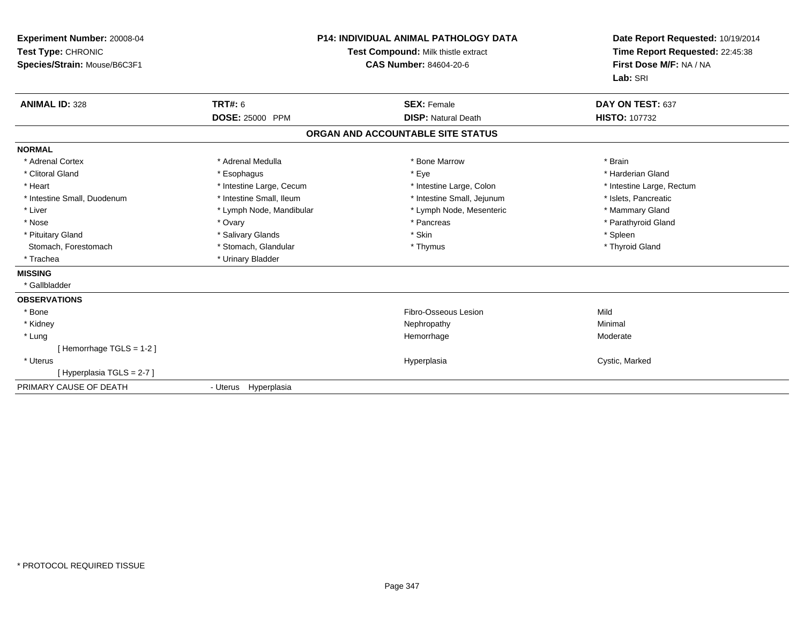| Experiment Number: 20008-04<br>Test Type: CHRONIC<br>Species/Strain: Mouse/B6C3F1 |                          | <b>P14: INDIVIDUAL ANIMAL PATHOLOGY DATA</b><br>Test Compound: Milk thistle extract<br><b>CAS Number: 84604-20-6</b> | Date Report Requested: 10/19/2014<br>Time Report Requested: 22:45:38<br>First Dose M/F: NA / NA<br>Lab: SRI |
|-----------------------------------------------------------------------------------|--------------------------|----------------------------------------------------------------------------------------------------------------------|-------------------------------------------------------------------------------------------------------------|
| <b>ANIMAL ID: 328</b>                                                             | <b>TRT#: 6</b>           | <b>SEX: Female</b>                                                                                                   | DAY ON TEST: 637                                                                                            |
|                                                                                   | DOSE: 25000 PPM          | <b>DISP: Natural Death</b>                                                                                           | <b>HISTO: 107732</b>                                                                                        |
|                                                                                   |                          | ORGAN AND ACCOUNTABLE SITE STATUS                                                                                    |                                                                                                             |
| <b>NORMAL</b>                                                                     |                          |                                                                                                                      |                                                                                                             |
| * Adrenal Cortex                                                                  | * Adrenal Medulla        | * Bone Marrow                                                                                                        | * Brain                                                                                                     |
| * Clitoral Gland                                                                  | * Esophagus              | * Eye                                                                                                                | * Harderian Gland                                                                                           |
| * Heart                                                                           | * Intestine Large, Cecum | * Intestine Large, Colon                                                                                             | * Intestine Large, Rectum                                                                                   |
| * Intestine Small, Duodenum                                                       | * Intestine Small, Ileum | * Intestine Small, Jejunum                                                                                           | * Islets, Pancreatic                                                                                        |
| * Liver                                                                           | * Lymph Node, Mandibular | * Lymph Node, Mesenteric                                                                                             | * Mammary Gland                                                                                             |
| * Nose                                                                            | * Ovary                  | * Pancreas                                                                                                           | * Parathyroid Gland                                                                                         |
| * Pituitary Gland                                                                 | * Salivary Glands        | * Skin                                                                                                               | * Spleen                                                                                                    |
| Stomach, Forestomach                                                              | * Stomach, Glandular     | * Thymus                                                                                                             | * Thyroid Gland                                                                                             |
| * Trachea                                                                         | * Urinary Bladder        |                                                                                                                      |                                                                                                             |
| <b>MISSING</b>                                                                    |                          |                                                                                                                      |                                                                                                             |
| * Gallbladder                                                                     |                          |                                                                                                                      |                                                                                                             |
| <b>OBSERVATIONS</b>                                                               |                          |                                                                                                                      |                                                                                                             |
| * Bone                                                                            |                          | Fibro-Osseous Lesion                                                                                                 | Mild                                                                                                        |
| * Kidney                                                                          |                          | Nephropathy                                                                                                          | Minimal                                                                                                     |
| * Lung                                                                            |                          | Hemorrhage                                                                                                           | Moderate                                                                                                    |
| [Hemorrhage TGLS = $1-2$ ]                                                        |                          |                                                                                                                      |                                                                                                             |
| * Uterus                                                                          |                          | Hyperplasia                                                                                                          | Cystic, Marked                                                                                              |
| [Hyperplasia TGLS = 2-7]                                                          |                          |                                                                                                                      |                                                                                                             |
| PRIMARY CAUSE OF DEATH                                                            | - Uterus Hyperplasia     |                                                                                                                      |                                                                                                             |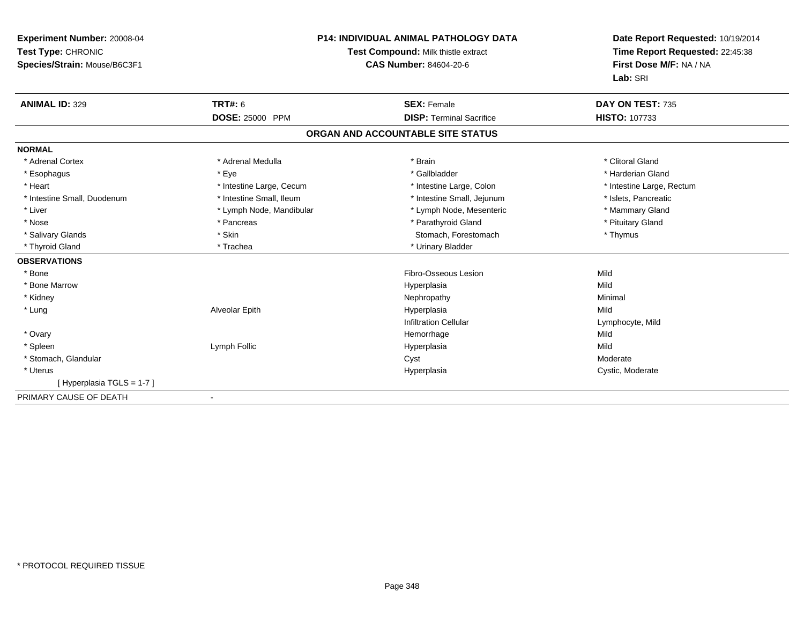| Experiment Number: 20008-04<br>Test Type: CHRONIC<br>Species/Strain: Mouse/B6C3F1 |                          | <b>P14: INDIVIDUAL ANIMAL PATHOLOGY DATA</b><br>Test Compound: Milk thistle extract<br><b>CAS Number: 84604-20-6</b> | Date Report Requested: 10/19/2014<br>Time Report Requested: 22:45:38<br>First Dose M/F: NA / NA<br>Lab: SRI |
|-----------------------------------------------------------------------------------|--------------------------|----------------------------------------------------------------------------------------------------------------------|-------------------------------------------------------------------------------------------------------------|
| <b>ANIMAL ID: 329</b>                                                             | <b>TRT#: 6</b>           | <b>SEX: Female</b>                                                                                                   | DAY ON TEST: 735                                                                                            |
|                                                                                   | DOSE: 25000 PPM          | <b>DISP: Terminal Sacrifice</b>                                                                                      | <b>HISTO: 107733</b>                                                                                        |
|                                                                                   |                          | ORGAN AND ACCOUNTABLE SITE STATUS                                                                                    |                                                                                                             |
| <b>NORMAL</b>                                                                     |                          |                                                                                                                      |                                                                                                             |
| * Adrenal Cortex                                                                  | * Adrenal Medulla        | * Brain                                                                                                              | * Clitoral Gland                                                                                            |
| * Esophagus                                                                       | * Eye                    | * Gallbladder                                                                                                        | * Harderian Gland                                                                                           |
| * Heart                                                                           | * Intestine Large, Cecum | * Intestine Large, Colon                                                                                             | * Intestine Large, Rectum                                                                                   |
| * Intestine Small, Duodenum                                                       | * Intestine Small, Ileum | * Intestine Small, Jejunum                                                                                           | * Islets, Pancreatic                                                                                        |
| * Liver                                                                           | * Lymph Node, Mandibular | * Lymph Node, Mesenteric                                                                                             | * Mammary Gland                                                                                             |
| * Nose                                                                            | * Pancreas               | * Parathyroid Gland                                                                                                  | * Pituitary Gland                                                                                           |
| * Salivary Glands                                                                 | * Skin                   | Stomach, Forestomach                                                                                                 | * Thymus                                                                                                    |
| * Thyroid Gland                                                                   | * Trachea                | * Urinary Bladder                                                                                                    |                                                                                                             |
| <b>OBSERVATIONS</b>                                                               |                          |                                                                                                                      |                                                                                                             |
| * Bone                                                                            |                          | Fibro-Osseous Lesion                                                                                                 | Mild                                                                                                        |
| * Bone Marrow                                                                     |                          | Hyperplasia                                                                                                          | Mild                                                                                                        |
| * Kidney                                                                          |                          | Nephropathy                                                                                                          | Minimal                                                                                                     |
| * Lung                                                                            | Alveolar Epith           | Hyperplasia                                                                                                          | Mild                                                                                                        |
|                                                                                   |                          | <b>Infiltration Cellular</b>                                                                                         | Lymphocyte, Mild                                                                                            |
| * Ovary                                                                           |                          | Hemorrhage                                                                                                           | Mild                                                                                                        |
| * Spleen                                                                          | Lymph Follic             | Hyperplasia                                                                                                          | Mild                                                                                                        |
| * Stomach, Glandular                                                              |                          | Cyst                                                                                                                 | Moderate                                                                                                    |
| * Uterus                                                                          |                          | Hyperplasia                                                                                                          | Cystic, Moderate                                                                                            |
| [Hyperplasia TGLS = 1-7]                                                          |                          |                                                                                                                      |                                                                                                             |
| PRIMARY CAUSE OF DEATH                                                            |                          |                                                                                                                      |                                                                                                             |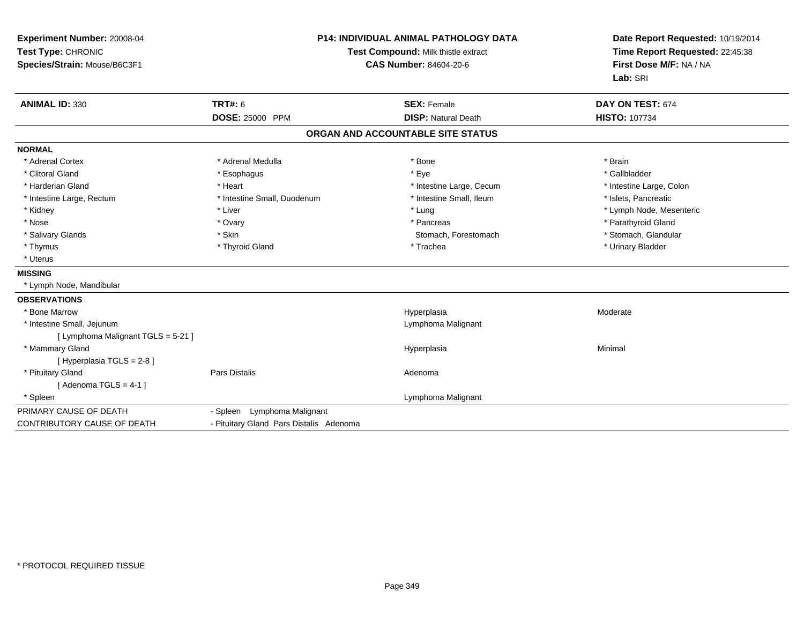| Experiment Number: 20008-04<br>Test Type: CHRONIC<br>Species/Strain: Mouse/B6C3F1 | <b>P14: INDIVIDUAL ANIMAL PATHOLOGY DATA</b><br>Test Compound: Milk thistle extract<br><b>CAS Number: 84604-20-6</b> |                                   | Date Report Requested: 10/19/2014<br>Time Report Requested: 22:45:38<br>First Dose M/F: NA / NA<br>Lab: SRI |  |
|-----------------------------------------------------------------------------------|----------------------------------------------------------------------------------------------------------------------|-----------------------------------|-------------------------------------------------------------------------------------------------------------|--|
| <b>ANIMAL ID: 330</b>                                                             | <b>TRT#: 6</b>                                                                                                       | <b>SEX: Female</b>                | DAY ON TEST: 674                                                                                            |  |
|                                                                                   | DOSE: 25000 PPM                                                                                                      | <b>DISP: Natural Death</b>        | <b>HISTO: 107734</b>                                                                                        |  |
|                                                                                   |                                                                                                                      | ORGAN AND ACCOUNTABLE SITE STATUS |                                                                                                             |  |
| <b>NORMAL</b>                                                                     |                                                                                                                      |                                   |                                                                                                             |  |
| * Adrenal Cortex                                                                  | * Adrenal Medulla                                                                                                    | * Bone                            | * Brain                                                                                                     |  |
| * Clitoral Gland                                                                  | * Esophagus                                                                                                          | * Eye                             | * Gallbladder                                                                                               |  |
| * Harderian Gland                                                                 | * Heart                                                                                                              | * Intestine Large, Cecum          | * Intestine Large, Colon                                                                                    |  |
| * Intestine Large, Rectum                                                         | * Intestine Small, Duodenum                                                                                          | * Intestine Small, Ileum          | * Islets, Pancreatic                                                                                        |  |
| * Kidney                                                                          | * Liver                                                                                                              | * Lung                            | * Lymph Node, Mesenteric                                                                                    |  |
| * Nose                                                                            | * Ovary                                                                                                              | * Pancreas                        | * Parathyroid Gland                                                                                         |  |
| * Salivary Glands                                                                 | * Skin                                                                                                               | Stomach, Forestomach              | * Stomach, Glandular                                                                                        |  |
| * Thymus                                                                          | * Thyroid Gland                                                                                                      | * Trachea                         | * Urinary Bladder                                                                                           |  |
| * Uterus                                                                          |                                                                                                                      |                                   |                                                                                                             |  |
| <b>MISSING</b>                                                                    |                                                                                                                      |                                   |                                                                                                             |  |
| * Lymph Node, Mandibular                                                          |                                                                                                                      |                                   |                                                                                                             |  |
| <b>OBSERVATIONS</b>                                                               |                                                                                                                      |                                   |                                                                                                             |  |
| * Bone Marrow                                                                     |                                                                                                                      | Hyperplasia                       | Moderate                                                                                                    |  |
| * Intestine Small, Jejunum                                                        |                                                                                                                      | Lymphoma Malignant                |                                                                                                             |  |
| [ Lymphoma Malignant TGLS = 5-21 ]                                                |                                                                                                                      |                                   |                                                                                                             |  |
| * Mammary Gland                                                                   |                                                                                                                      | Hyperplasia                       | Minimal                                                                                                     |  |
| [ Hyperplasia TGLS = 2-8 ]                                                        |                                                                                                                      |                                   |                                                                                                             |  |
| * Pituitary Gland                                                                 | <b>Pars Distalis</b>                                                                                                 | Adenoma                           |                                                                                                             |  |
| [Adenoma TGLS = $4-1$ ]                                                           |                                                                                                                      |                                   |                                                                                                             |  |
| * Spleen                                                                          |                                                                                                                      | Lymphoma Malignant                |                                                                                                             |  |
| PRIMARY CAUSE OF DEATH                                                            | - Spleen Lymphoma Malignant                                                                                          |                                   |                                                                                                             |  |
| <b>CONTRIBUTORY CAUSE OF DEATH</b>                                                | - Pituitary Gland Pars Distalis Adenoma                                                                              |                                   |                                                                                                             |  |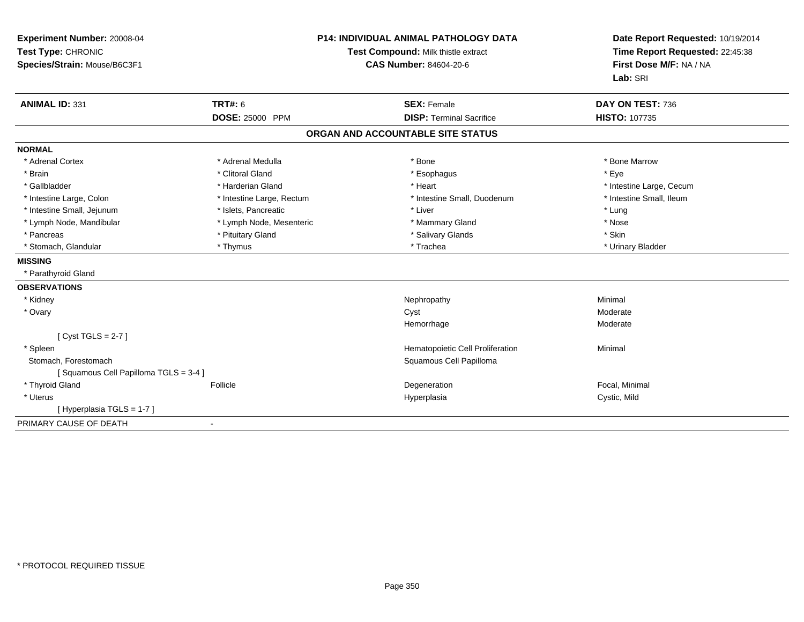| Experiment Number: 20008-04<br>Test Type: CHRONIC<br>Species/Strain: Mouse/B6C3F1 | <b>P14: INDIVIDUAL ANIMAL PATHOLOGY DATA</b><br>Test Compound: Milk thistle extract<br><b>CAS Number: 84604-20-6</b> |                                   | Date Report Requested: 10/19/2014<br>Time Report Requested: 22:45:38<br>First Dose M/F: NA / NA<br>Lab: SRI |  |
|-----------------------------------------------------------------------------------|----------------------------------------------------------------------------------------------------------------------|-----------------------------------|-------------------------------------------------------------------------------------------------------------|--|
| <b>ANIMAL ID: 331</b>                                                             | TRT#: 6                                                                                                              | <b>SEX: Female</b>                | DAY ON TEST: 736                                                                                            |  |
|                                                                                   | <b>DOSE: 25000 PPM</b>                                                                                               | <b>DISP: Terminal Sacrifice</b>   | <b>HISTO: 107735</b>                                                                                        |  |
|                                                                                   |                                                                                                                      | ORGAN AND ACCOUNTABLE SITE STATUS |                                                                                                             |  |
| <b>NORMAL</b>                                                                     |                                                                                                                      |                                   |                                                                                                             |  |
| * Adrenal Cortex                                                                  | * Adrenal Medulla                                                                                                    | * Bone                            | * Bone Marrow                                                                                               |  |
| * Brain                                                                           | * Clitoral Gland                                                                                                     | * Esophagus                       | * Eye                                                                                                       |  |
| * Gallbladder                                                                     | * Harderian Gland                                                                                                    | * Heart                           | * Intestine Large, Cecum                                                                                    |  |
| * Intestine Large, Colon                                                          | * Intestine Large, Rectum                                                                                            | * Intestine Small, Duodenum       | * Intestine Small, Ileum                                                                                    |  |
| * Intestine Small, Jejunum                                                        | * Islets, Pancreatic                                                                                                 | * Liver                           | * Lung                                                                                                      |  |
| * Lymph Node, Mandibular                                                          | * Lymph Node, Mesenteric                                                                                             | * Mammary Gland                   | * Nose                                                                                                      |  |
| * Pancreas                                                                        | * Pituitary Gland                                                                                                    | * Salivary Glands                 | * Skin                                                                                                      |  |
| * Stomach, Glandular                                                              | * Thymus                                                                                                             | * Trachea                         | * Urinary Bladder                                                                                           |  |
| <b>MISSING</b>                                                                    |                                                                                                                      |                                   |                                                                                                             |  |
| * Parathyroid Gland                                                               |                                                                                                                      |                                   |                                                                                                             |  |
| <b>OBSERVATIONS</b>                                                               |                                                                                                                      |                                   |                                                                                                             |  |
| * Kidney                                                                          |                                                                                                                      | Nephropathy                       | Minimal                                                                                                     |  |
| * Ovary                                                                           |                                                                                                                      | Cyst                              | Moderate                                                                                                    |  |
|                                                                                   |                                                                                                                      | Hemorrhage                        | Moderate                                                                                                    |  |
| [Cyst TGLS = $2-7$ ]                                                              |                                                                                                                      |                                   |                                                                                                             |  |
| * Spleen                                                                          |                                                                                                                      | Hematopoietic Cell Proliferation  | Minimal                                                                                                     |  |
| Stomach, Forestomach                                                              |                                                                                                                      | Squamous Cell Papilloma           |                                                                                                             |  |
| [Squamous Cell Papilloma TGLS = 3-4]                                              |                                                                                                                      |                                   |                                                                                                             |  |
| * Thyroid Gland                                                                   | Follicle                                                                                                             | Degeneration                      | Focal, Minimal                                                                                              |  |
| * Uterus                                                                          |                                                                                                                      | Hyperplasia                       | Cystic, Mild                                                                                                |  |
| [Hyperplasia TGLS = 1-7]                                                          |                                                                                                                      |                                   |                                                                                                             |  |
| PRIMARY CAUSE OF DEATH                                                            | $\blacksquare$                                                                                                       |                                   |                                                                                                             |  |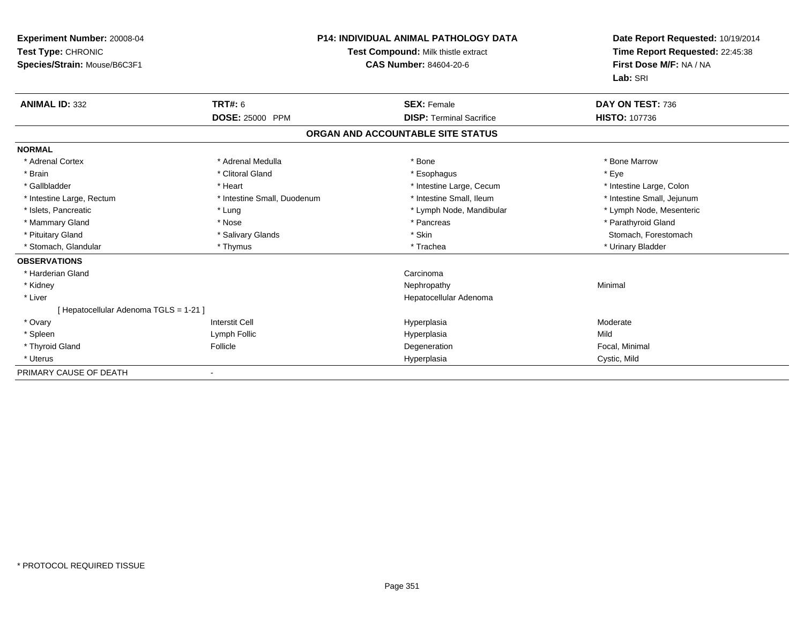| <b>Experiment Number: 20008-04</b><br>Test Type: CHRONIC<br>Species/Strain: Mouse/B6C3F1 | <b>P14: INDIVIDUAL ANIMAL PATHOLOGY DATA</b><br>Test Compound: Milk thistle extract<br><b>CAS Number: 84604-20-6</b> |                                   | Date Report Requested: 10/19/2014<br>Time Report Requested: 22:45:38<br>First Dose M/F: NA / NA<br>Lab: SRI |  |
|------------------------------------------------------------------------------------------|----------------------------------------------------------------------------------------------------------------------|-----------------------------------|-------------------------------------------------------------------------------------------------------------|--|
| <b>ANIMAL ID: 332</b>                                                                    | TRT#: 6                                                                                                              | <b>SEX: Female</b>                | DAY ON TEST: 736                                                                                            |  |
|                                                                                          | <b>DOSE: 25000 PPM</b>                                                                                               | <b>DISP: Terminal Sacrifice</b>   | <b>HISTO: 107736</b>                                                                                        |  |
|                                                                                          |                                                                                                                      | ORGAN AND ACCOUNTABLE SITE STATUS |                                                                                                             |  |
| <b>NORMAL</b>                                                                            |                                                                                                                      |                                   |                                                                                                             |  |
| * Adrenal Cortex                                                                         | * Adrenal Medulla                                                                                                    | * Bone                            | * Bone Marrow                                                                                               |  |
| * Brain                                                                                  | * Clitoral Gland                                                                                                     | * Esophagus                       | * Eve                                                                                                       |  |
| * Gallbladder                                                                            | * Heart                                                                                                              | * Intestine Large, Cecum          | * Intestine Large, Colon                                                                                    |  |
| * Intestine Large, Rectum                                                                | * Intestine Small, Duodenum                                                                                          | * Intestine Small, Ileum          | * Intestine Small, Jejunum                                                                                  |  |
| * Islets, Pancreatic                                                                     | * Lung                                                                                                               | * Lymph Node, Mandibular          | * Lymph Node, Mesenteric                                                                                    |  |
| * Mammary Gland                                                                          | * Nose                                                                                                               | * Pancreas                        | * Parathyroid Gland                                                                                         |  |
| * Pituitary Gland                                                                        | * Salivary Glands                                                                                                    | * Skin                            | Stomach, Forestomach                                                                                        |  |
| * Stomach, Glandular                                                                     | * Thymus                                                                                                             | * Trachea                         | * Urinary Bladder                                                                                           |  |
| <b>OBSERVATIONS</b>                                                                      |                                                                                                                      |                                   |                                                                                                             |  |
| * Harderian Gland                                                                        |                                                                                                                      | Carcinoma                         |                                                                                                             |  |
| * Kidney                                                                                 |                                                                                                                      | Nephropathy                       | Minimal                                                                                                     |  |
| * Liver                                                                                  |                                                                                                                      | Hepatocellular Adenoma            |                                                                                                             |  |
| [ Hepatocellular Adenoma TGLS = 1-21 ]                                                   |                                                                                                                      |                                   |                                                                                                             |  |
| * Ovary                                                                                  | <b>Interstit Cell</b>                                                                                                | Hyperplasia                       | Moderate                                                                                                    |  |
| * Spleen                                                                                 | Lymph Follic                                                                                                         | Hyperplasia                       | Mild                                                                                                        |  |
| * Thyroid Gland                                                                          | Follicle                                                                                                             | Degeneration                      | Focal, Minimal                                                                                              |  |
| * Uterus                                                                                 |                                                                                                                      | Hyperplasia                       | Cystic, Mild                                                                                                |  |
| PRIMARY CAUSE OF DEATH                                                                   |                                                                                                                      |                                   |                                                                                                             |  |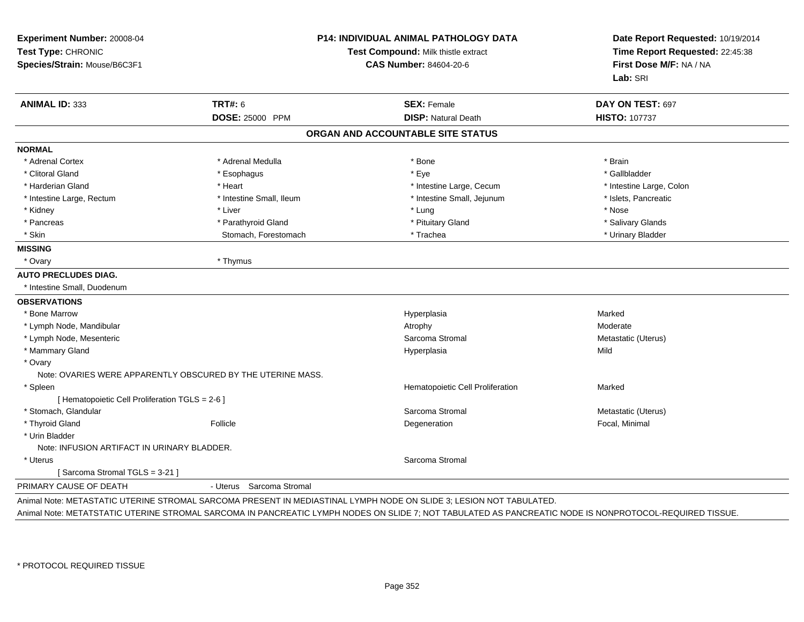| Experiment Number: 20008-04<br>Test Type: CHRONIC<br>Species/Strain: Mouse/B6C3F1 |                                                             | <b>P14: INDIVIDUAL ANIMAL PATHOLOGY DATA</b><br>Test Compound: Milk thistle extract<br><b>CAS Number: 84604-20-6</b> |                          |
|-----------------------------------------------------------------------------------|-------------------------------------------------------------|----------------------------------------------------------------------------------------------------------------------|--------------------------|
| <b>ANIMAL ID: 333</b>                                                             | <b>TRT#: 6</b>                                              | <b>SEX: Female</b>                                                                                                   | DAY ON TEST: 697         |
|                                                                                   | <b>DOSE: 25000 PPM</b>                                      | <b>DISP: Natural Death</b>                                                                                           | <b>HISTO: 107737</b>     |
|                                                                                   |                                                             | ORGAN AND ACCOUNTABLE SITE STATUS                                                                                    |                          |
| <b>NORMAL</b>                                                                     |                                                             |                                                                                                                      |                          |
| * Adrenal Cortex                                                                  | * Adrenal Medulla                                           | * Bone                                                                                                               | * Brain                  |
| * Clitoral Gland                                                                  | * Esophagus                                                 | * Eye                                                                                                                | * Gallbladder            |
| * Harderian Gland                                                                 | * Heart                                                     | * Intestine Large, Cecum                                                                                             | * Intestine Large, Colon |
| * Intestine Large, Rectum                                                         | * Intestine Small, Ileum                                    | * Intestine Small, Jejunum                                                                                           | * Islets, Pancreatic     |
| * Kidney                                                                          | * Liver                                                     | * Lung                                                                                                               | * Nose                   |
| * Pancreas                                                                        | * Parathyroid Gland                                         | * Pituitary Gland                                                                                                    | * Salivary Glands        |
| * Skin                                                                            | Stomach, Forestomach                                        | * Trachea                                                                                                            | * Urinary Bladder        |
| <b>MISSING</b>                                                                    |                                                             |                                                                                                                      |                          |
| * Ovary                                                                           | * Thymus                                                    |                                                                                                                      |                          |
| <b>AUTO PRECLUDES DIAG.</b>                                                       |                                                             |                                                                                                                      |                          |
| * Intestine Small, Duodenum                                                       |                                                             |                                                                                                                      |                          |
| <b>OBSERVATIONS</b>                                                               |                                                             |                                                                                                                      |                          |
| * Bone Marrow                                                                     |                                                             | Hyperplasia                                                                                                          | Marked                   |
| * Lymph Node, Mandibular                                                          |                                                             | Atrophy                                                                                                              | Moderate                 |
| * Lymph Node, Mesenteric                                                          |                                                             | Sarcoma Stromal                                                                                                      | Metastatic (Uterus)      |
| * Mammary Gland                                                                   |                                                             | Hyperplasia                                                                                                          | Mild                     |
| * Ovary                                                                           |                                                             |                                                                                                                      |                          |
|                                                                                   | Note: OVARIES WERE APPARENTLY OBSCURED BY THE UTERINE MASS. |                                                                                                                      |                          |
| * Spleen                                                                          |                                                             | Hematopoietic Cell Proliferation                                                                                     | Marked                   |
| [ Hematopoietic Cell Proliferation TGLS = 2-6 ]                                   |                                                             |                                                                                                                      |                          |
| * Stomach, Glandular                                                              |                                                             | Sarcoma Stromal                                                                                                      | Metastatic (Uterus)      |
| * Thyroid Gland                                                                   | Follicle                                                    | Degeneration                                                                                                         | Focal, Minimal           |
| * Urin Bladder                                                                    |                                                             |                                                                                                                      |                          |
| Note: INFUSION ARTIFACT IN URINARY BLADDER.                                       |                                                             |                                                                                                                      |                          |
| * Uterus                                                                          |                                                             | Sarcoma Stromal                                                                                                      |                          |
| [Sarcoma Stromal TGLS = 3-21]                                                     |                                                             |                                                                                                                      |                          |
| PRIMARY CAUSE OF DEATH                                                            | Sarcoma Stromal<br>- Uterus                                 |                                                                                                                      |                          |

Animal Note: METATSTATIC UTERINE STROMAL SARCOMA IN PANCREATIC LYMPH NODES ON SLIDE 7; NOT TABULATED AS PANCREATIC NODE IS NONPROTOCOL-REQUIRED TISSUE.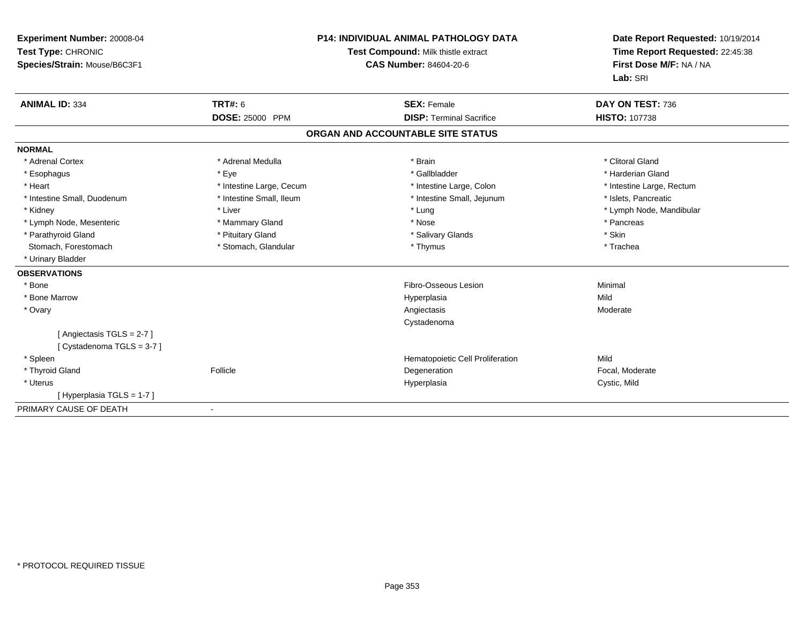| Experiment Number: 20008-04<br>Test Type: CHRONIC<br>Species/Strain: Mouse/B6C3F1 |                          | <b>P14: INDIVIDUAL ANIMAL PATHOLOGY DATA</b><br>Test Compound: Milk thistle extract<br><b>CAS Number: 84604-20-6</b> | Date Report Requested: 10/19/2014<br>Time Report Requested: 22:45:38<br>First Dose M/F: NA / NA<br>Lab: SRI |  |
|-----------------------------------------------------------------------------------|--------------------------|----------------------------------------------------------------------------------------------------------------------|-------------------------------------------------------------------------------------------------------------|--|
| <b>ANIMAL ID: 334</b>                                                             | <b>TRT#: 6</b>           | <b>SEX: Female</b>                                                                                                   | DAY ON TEST: 736                                                                                            |  |
|                                                                                   | <b>DOSE: 25000 PPM</b>   | <b>DISP: Terminal Sacrifice</b>                                                                                      | <b>HISTO: 107738</b>                                                                                        |  |
|                                                                                   |                          | ORGAN AND ACCOUNTABLE SITE STATUS                                                                                    |                                                                                                             |  |
|                                                                                   |                          |                                                                                                                      |                                                                                                             |  |
| <b>NORMAL</b>                                                                     |                          |                                                                                                                      |                                                                                                             |  |
| * Adrenal Cortex                                                                  | * Adrenal Medulla        | * Brain                                                                                                              | * Clitoral Gland                                                                                            |  |
| * Esophagus                                                                       | * Eye                    | * Gallbladder                                                                                                        | * Harderian Gland                                                                                           |  |
| * Heart                                                                           | * Intestine Large, Cecum | * Intestine Large, Colon                                                                                             | * Intestine Large, Rectum                                                                                   |  |
| * Intestine Small, Duodenum                                                       | * Intestine Small, Ileum | * Intestine Small, Jejunum                                                                                           | * Islets, Pancreatic                                                                                        |  |
| * Kidney                                                                          | * Liver                  | * Lung                                                                                                               | * Lymph Node, Mandibular                                                                                    |  |
| * Lymph Node, Mesenteric                                                          | * Mammary Gland          | * Nose                                                                                                               | * Pancreas                                                                                                  |  |
| * Parathyroid Gland                                                               | * Pituitary Gland        | * Salivary Glands                                                                                                    | * Skin                                                                                                      |  |
| Stomach, Forestomach                                                              | * Stomach, Glandular     | * Thymus                                                                                                             | * Trachea                                                                                                   |  |
| * Urinary Bladder                                                                 |                          |                                                                                                                      |                                                                                                             |  |
| <b>OBSERVATIONS</b>                                                               |                          |                                                                                                                      |                                                                                                             |  |
| * Bone                                                                            |                          | Fibro-Osseous Lesion                                                                                                 | Minimal                                                                                                     |  |
| * Bone Marrow                                                                     |                          | Hyperplasia                                                                                                          | Mild                                                                                                        |  |
| * Ovary                                                                           |                          | Angiectasis                                                                                                          | Moderate                                                                                                    |  |
|                                                                                   |                          | Cystadenoma                                                                                                          |                                                                                                             |  |
| [Angiectasis TGLS = 2-7]                                                          |                          |                                                                                                                      |                                                                                                             |  |
| [Cystadenoma TGLS = 3-7]                                                          |                          |                                                                                                                      |                                                                                                             |  |
| * Spleen                                                                          |                          | Hematopoietic Cell Proliferation                                                                                     | Mild                                                                                                        |  |
| * Thyroid Gland                                                                   | Follicle                 | Degeneration                                                                                                         | Focal, Moderate                                                                                             |  |
| * Uterus                                                                          |                          | Hyperplasia                                                                                                          | Cystic, Mild                                                                                                |  |
| [Hyperplasia TGLS = 1-7]                                                          |                          |                                                                                                                      |                                                                                                             |  |
| PRIMARY CAUSE OF DEATH                                                            | $\blacksquare$           |                                                                                                                      |                                                                                                             |  |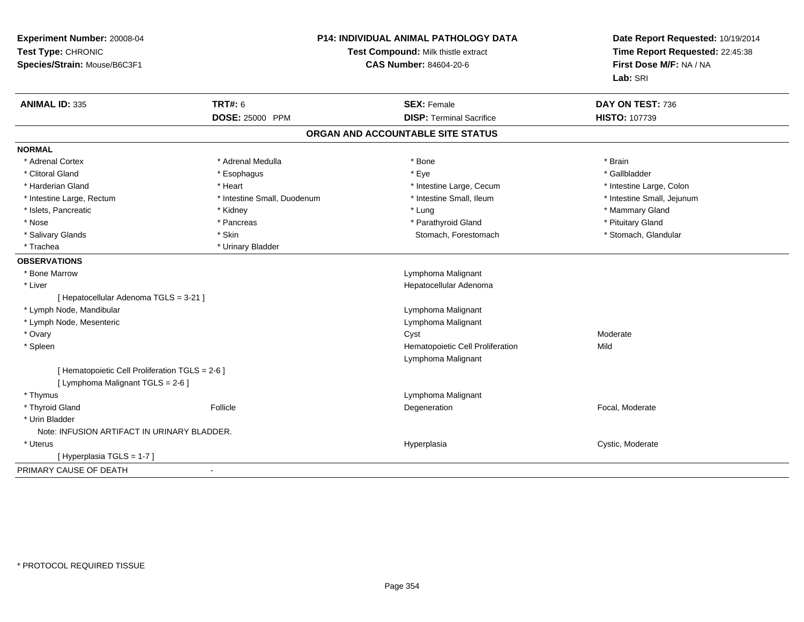| Experiment Number: 20008-04<br>Test Type: CHRONIC<br>Species/Strain: Mouse/B6C3F1    |                             | P14: INDIVIDUAL ANIMAL PATHOLOGY DATA<br>Test Compound: Milk thistle extract<br><b>CAS Number: 84604-20-6</b> | Date Report Requested: 10/19/2014<br>Time Report Requested: 22:45:38<br>First Dose M/F: NA / NA<br>Lab: SRI |
|--------------------------------------------------------------------------------------|-----------------------------|---------------------------------------------------------------------------------------------------------------|-------------------------------------------------------------------------------------------------------------|
| <b>ANIMAL ID: 335</b>                                                                | <b>TRT#: 6</b>              | <b>SEX: Female</b>                                                                                            | DAY ON TEST: 736                                                                                            |
|                                                                                      | <b>DOSE: 25000 PPM</b>      | <b>DISP: Terminal Sacrifice</b>                                                                               | HISTO: 107739                                                                                               |
|                                                                                      |                             | ORGAN AND ACCOUNTABLE SITE STATUS                                                                             |                                                                                                             |
| <b>NORMAL</b>                                                                        |                             |                                                                                                               |                                                                                                             |
| * Adrenal Cortex                                                                     | * Adrenal Medulla           | * Bone                                                                                                        | * Brain                                                                                                     |
| * Clitoral Gland                                                                     | * Esophagus                 | * Eye                                                                                                         | * Gallbladder                                                                                               |
| * Harderian Gland                                                                    | * Heart                     | * Intestine Large, Cecum                                                                                      | * Intestine Large, Colon                                                                                    |
| * Intestine Large, Rectum                                                            | * Intestine Small, Duodenum | * Intestine Small, Ileum                                                                                      | * Intestine Small, Jejunum                                                                                  |
| * Islets, Pancreatic                                                                 | * Kidney                    | * Lung                                                                                                        | * Mammary Gland                                                                                             |
| * Nose                                                                               | * Pancreas                  | * Parathyroid Gland                                                                                           | * Pituitary Gland                                                                                           |
| * Salivary Glands                                                                    | * Skin                      | Stomach, Forestomach                                                                                          | * Stomach, Glandular                                                                                        |
| * Trachea                                                                            | * Urinary Bladder           |                                                                                                               |                                                                                                             |
| <b>OBSERVATIONS</b>                                                                  |                             |                                                                                                               |                                                                                                             |
| * Bone Marrow                                                                        |                             | Lymphoma Malignant                                                                                            |                                                                                                             |
| * Liver                                                                              |                             | Hepatocellular Adenoma                                                                                        |                                                                                                             |
| [ Hepatocellular Adenoma TGLS = 3-21 ]                                               |                             |                                                                                                               |                                                                                                             |
| * Lymph Node, Mandibular                                                             |                             | Lymphoma Malignant                                                                                            |                                                                                                             |
| * Lymph Node, Mesenteric                                                             |                             | Lymphoma Malignant                                                                                            |                                                                                                             |
| * Ovary                                                                              |                             | Cyst                                                                                                          | Moderate                                                                                                    |
| * Spleen                                                                             |                             | Hematopoietic Cell Proliferation                                                                              | Mild                                                                                                        |
|                                                                                      |                             | Lymphoma Malignant                                                                                            |                                                                                                             |
| [ Hematopoietic Cell Proliferation TGLS = 2-6 ]<br>[ Lymphoma Malignant TGLS = 2-6 ] |                             |                                                                                                               |                                                                                                             |
| * Thymus                                                                             |                             | Lymphoma Malignant                                                                                            |                                                                                                             |
| * Thyroid Gland                                                                      | Follicle                    | Degeneration                                                                                                  | Focal, Moderate                                                                                             |
| * Urin Bladder                                                                       |                             |                                                                                                               |                                                                                                             |
| Note: INFUSION ARTIFACT IN URINARY BLADDER.                                          |                             |                                                                                                               |                                                                                                             |
| * Uterus                                                                             |                             | Hyperplasia                                                                                                   | Cystic, Moderate                                                                                            |
| [Hyperplasia TGLS = 1-7]                                                             |                             |                                                                                                               |                                                                                                             |
| PRIMARY CAUSE OF DEATH                                                               | $\blacksquare$              |                                                                                                               |                                                                                                             |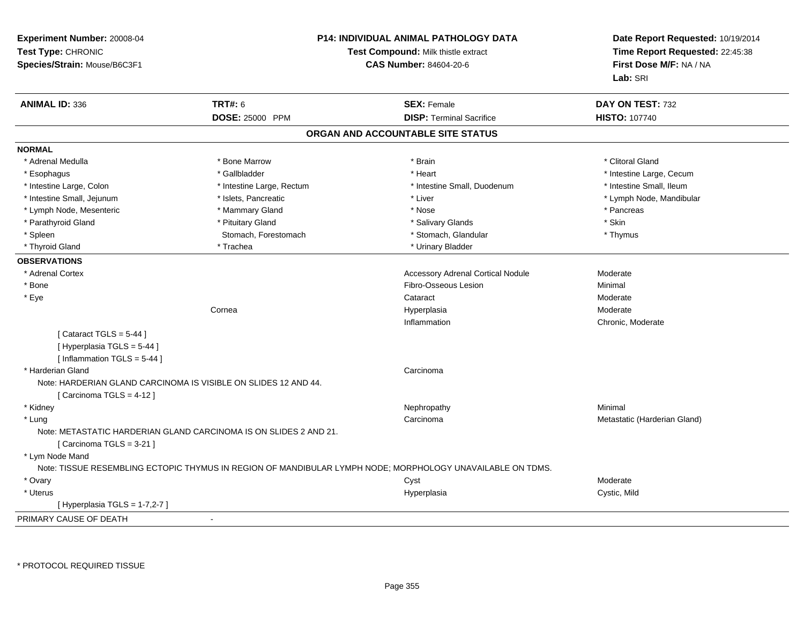| Experiment Number: 20008-04<br>Test Type: CHRONIC<br>Species/Strain: Mouse/B6C3F1 |                                                                   | <b>P14: INDIVIDUAL ANIMAL PATHOLOGY DATA</b><br>Test Compound: Milk thistle extract<br><b>CAS Number: 84604-20-6</b> | Date Report Requested: 10/19/2014<br>Time Report Requested: 22:45:38<br>First Dose M/F: NA / NA<br>Lab: SRI |
|-----------------------------------------------------------------------------------|-------------------------------------------------------------------|----------------------------------------------------------------------------------------------------------------------|-------------------------------------------------------------------------------------------------------------|
| <b>ANIMAL ID: 336</b>                                                             | <b>TRT#: 6</b>                                                    | <b>SEX: Female</b>                                                                                                   | DAY ON TEST: 732                                                                                            |
|                                                                                   | DOSE: 25000 PPM                                                   | <b>DISP: Terminal Sacrifice</b>                                                                                      | <b>HISTO: 107740</b>                                                                                        |
|                                                                                   |                                                                   | ORGAN AND ACCOUNTABLE SITE STATUS                                                                                    |                                                                                                             |
| <b>NORMAL</b>                                                                     |                                                                   |                                                                                                                      |                                                                                                             |
| * Adrenal Medulla                                                                 | * Bone Marrow                                                     | * Brain                                                                                                              | * Clitoral Gland                                                                                            |
| * Esophagus                                                                       | * Gallbladder                                                     | * Heart                                                                                                              | * Intestine Large, Cecum                                                                                    |
| * Intestine Large, Colon                                                          | * Intestine Large, Rectum                                         | * Intestine Small, Duodenum                                                                                          | * Intestine Small, Ileum                                                                                    |
| * Intestine Small, Jejunum                                                        | * Islets, Pancreatic                                              | * Liver                                                                                                              | * Lymph Node, Mandibular                                                                                    |
| * Lymph Node, Mesenteric                                                          | * Mammary Gland                                                   | * Nose                                                                                                               | * Pancreas                                                                                                  |
| * Parathyroid Gland                                                               | * Pituitary Gland                                                 | * Salivary Glands                                                                                                    | * Skin                                                                                                      |
| * Spleen                                                                          | Stomach, Forestomach                                              | * Stomach, Glandular                                                                                                 | * Thymus                                                                                                    |
| * Thyroid Gland                                                                   | * Trachea                                                         | * Urinary Bladder                                                                                                    |                                                                                                             |
| <b>OBSERVATIONS</b>                                                               |                                                                   |                                                                                                                      |                                                                                                             |
| * Adrenal Cortex                                                                  |                                                                   | <b>Accessory Adrenal Cortical Nodule</b>                                                                             | Moderate                                                                                                    |
| * Bone                                                                            |                                                                   | Fibro-Osseous Lesion                                                                                                 | Minimal                                                                                                     |
| * Eye                                                                             |                                                                   | Cataract                                                                                                             | Moderate                                                                                                    |
|                                                                                   | Cornea                                                            | Hyperplasia                                                                                                          | Moderate                                                                                                    |
|                                                                                   |                                                                   | Inflammation                                                                                                         | Chronic, Moderate                                                                                           |
| [Cataract TGLS = $5-44$ ]                                                         |                                                                   |                                                                                                                      |                                                                                                             |
| [Hyperplasia TGLS = 5-44]                                                         |                                                                   |                                                                                                                      |                                                                                                             |
| [Inflammation TGLS = 5-44]                                                        |                                                                   |                                                                                                                      |                                                                                                             |
| * Harderian Gland                                                                 |                                                                   | Carcinoma                                                                                                            |                                                                                                             |
|                                                                                   | Note: HARDERIAN GLAND CARCINOMA IS VISIBLE ON SLIDES 12 AND 44.   |                                                                                                                      |                                                                                                             |
| [Carcinoma TGLS = 4-12]                                                           |                                                                   |                                                                                                                      |                                                                                                             |
| * Kidney                                                                          |                                                                   | Nephropathy                                                                                                          | Minimal                                                                                                     |
| * Lung                                                                            |                                                                   | Carcinoma                                                                                                            | Metastatic (Harderian Gland)                                                                                |
| [Carcinoma TGLS = 3-21]                                                           | Note: METASTATIC HARDERIAN GLAND CARCINOMA IS ON SLIDES 2 AND 21. |                                                                                                                      |                                                                                                             |
| * Lym Node Mand                                                                   |                                                                   |                                                                                                                      |                                                                                                             |
|                                                                                   |                                                                   | Note: TISSUE RESEMBLING ECTOPIC THYMUS IN REGION OF MANDIBULAR LYMPH NODE; MORPHOLOGY UNAVAILABLE ON TDMS.           |                                                                                                             |
| * Ovary                                                                           |                                                                   | Cyst                                                                                                                 | Moderate                                                                                                    |
| * Uterus                                                                          |                                                                   | Hyperplasia                                                                                                          | Cystic, Mild                                                                                                |
| [Hyperplasia TGLS = $1-7,2-7$ ]                                                   |                                                                   |                                                                                                                      |                                                                                                             |
| PRIMARY CAUSE OF DEATH                                                            |                                                                   |                                                                                                                      |                                                                                                             |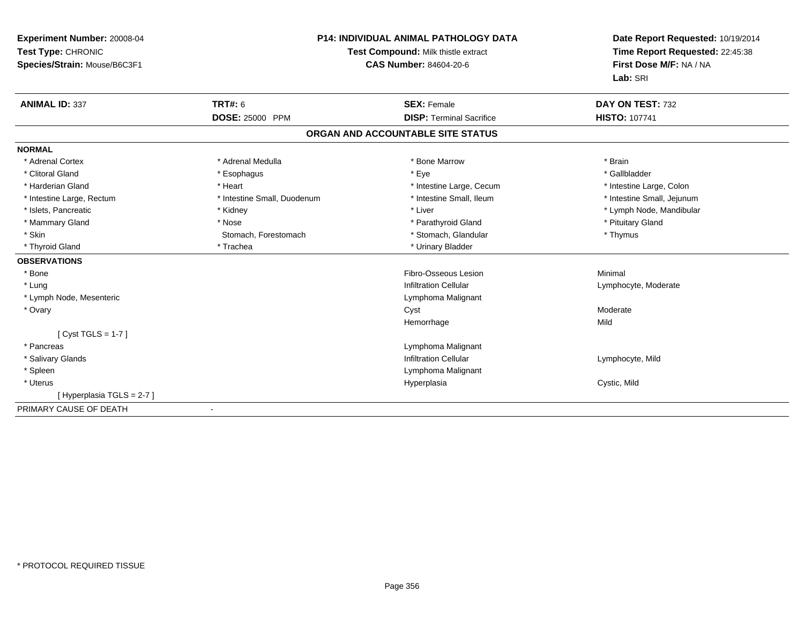| Experiment Number: 20008-04<br>Test Type: CHRONIC<br>Species/Strain: Mouse/B6C3F1 |                             | <b>P14: INDIVIDUAL ANIMAL PATHOLOGY DATA</b><br>Test Compound: Milk thistle extract<br><b>CAS Number: 84604-20-6</b> | Date Report Requested: 10/19/2014<br>Time Report Requested: 22:45:38<br>First Dose M/F: NA / NA<br>Lab: SRI |  |
|-----------------------------------------------------------------------------------|-----------------------------|----------------------------------------------------------------------------------------------------------------------|-------------------------------------------------------------------------------------------------------------|--|
| <b>ANIMAL ID: 337</b>                                                             | <b>TRT#: 6</b>              | <b>SEX: Female</b>                                                                                                   | DAY ON TEST: 732                                                                                            |  |
|                                                                                   | DOSE: 25000 PPM             | <b>DISP: Terminal Sacrifice</b>                                                                                      | <b>HISTO: 107741</b>                                                                                        |  |
|                                                                                   |                             | ORGAN AND ACCOUNTABLE SITE STATUS                                                                                    |                                                                                                             |  |
| <b>NORMAL</b>                                                                     |                             |                                                                                                                      |                                                                                                             |  |
| * Adrenal Cortex                                                                  | * Adrenal Medulla           | * Bone Marrow                                                                                                        | * Brain                                                                                                     |  |
| * Clitoral Gland                                                                  | * Esophagus                 | * Eye                                                                                                                | * Gallbladder                                                                                               |  |
| * Harderian Gland                                                                 | * Heart                     | * Intestine Large, Cecum                                                                                             | * Intestine Large, Colon                                                                                    |  |
| * Intestine Large, Rectum                                                         | * Intestine Small, Duodenum | * Intestine Small, Ileum                                                                                             | * Intestine Small, Jejunum                                                                                  |  |
| * Islets, Pancreatic                                                              | * Kidney                    | * Liver                                                                                                              | * Lymph Node, Mandibular                                                                                    |  |
| * Mammary Gland                                                                   | * Nose                      | * Parathyroid Gland                                                                                                  | * Pituitary Gland                                                                                           |  |
| * Skin                                                                            | Stomach, Forestomach        | * Stomach, Glandular                                                                                                 | * Thymus                                                                                                    |  |
| * Thyroid Gland                                                                   | * Trachea                   | * Urinary Bladder                                                                                                    |                                                                                                             |  |
| <b>OBSERVATIONS</b>                                                               |                             |                                                                                                                      |                                                                                                             |  |
| * Bone                                                                            |                             | Fibro-Osseous Lesion                                                                                                 | Minimal                                                                                                     |  |
| * Lung                                                                            |                             | <b>Infiltration Cellular</b>                                                                                         | Lymphocyte, Moderate                                                                                        |  |
| * Lymph Node, Mesenteric                                                          |                             | Lymphoma Malignant                                                                                                   |                                                                                                             |  |
| * Ovary                                                                           |                             | Cyst                                                                                                                 | Moderate                                                                                                    |  |
|                                                                                   |                             | Hemorrhage                                                                                                           | Mild                                                                                                        |  |
| [ $Cyst TGLS = 1-7$ ]                                                             |                             |                                                                                                                      |                                                                                                             |  |
| * Pancreas                                                                        |                             | Lymphoma Malignant                                                                                                   |                                                                                                             |  |
| * Salivary Glands                                                                 |                             | <b>Infiltration Cellular</b>                                                                                         | Lymphocyte, Mild                                                                                            |  |
| * Spleen                                                                          |                             | Lymphoma Malignant                                                                                                   |                                                                                                             |  |
| * Uterus                                                                          |                             | Hyperplasia                                                                                                          | Cystic, Mild                                                                                                |  |
| [Hyperplasia TGLS = 2-7]                                                          |                             |                                                                                                                      |                                                                                                             |  |
| PRIMARY CAUSE OF DEATH                                                            |                             |                                                                                                                      |                                                                                                             |  |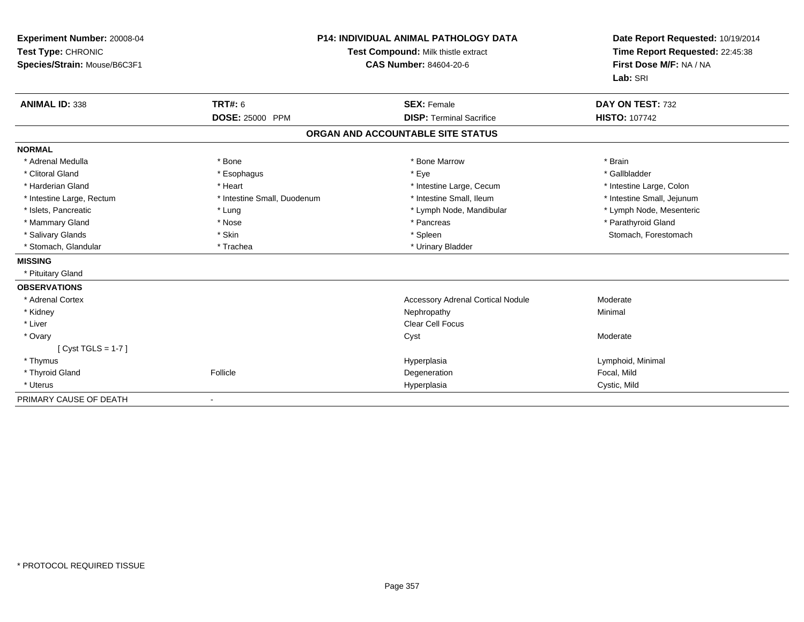| Experiment Number: 20008-04<br>Test Type: CHRONIC<br>Species/Strain: Mouse/B6C3F1 |                             | <b>P14: INDIVIDUAL ANIMAL PATHOLOGY DATA</b><br>Test Compound: Milk thistle extract<br><b>CAS Number: 84604-20-6</b> | Date Report Requested: 10/19/2014<br>Time Report Requested: 22:45:38<br>First Dose M/F: NA / NA<br>Lab: SRI |  |
|-----------------------------------------------------------------------------------|-----------------------------|----------------------------------------------------------------------------------------------------------------------|-------------------------------------------------------------------------------------------------------------|--|
| <b>ANIMAL ID: 338</b>                                                             | <b>TRT#: 6</b>              | <b>SEX: Female</b>                                                                                                   | DAY ON TEST: 732                                                                                            |  |
|                                                                                   | DOSE: 25000 PPM             | <b>DISP: Terminal Sacrifice</b>                                                                                      | <b>HISTO: 107742</b>                                                                                        |  |
|                                                                                   |                             | ORGAN AND ACCOUNTABLE SITE STATUS                                                                                    |                                                                                                             |  |
| <b>NORMAL</b>                                                                     |                             |                                                                                                                      |                                                                                                             |  |
| * Adrenal Medulla                                                                 | * Bone                      | * Bone Marrow                                                                                                        | * Brain                                                                                                     |  |
| * Clitoral Gland                                                                  | * Esophagus                 | * Eye                                                                                                                | * Gallbladder                                                                                               |  |
| * Harderian Gland                                                                 | * Heart                     | * Intestine Large, Cecum                                                                                             | * Intestine Large, Colon                                                                                    |  |
| * Intestine Large, Rectum                                                         | * Intestine Small, Duodenum | * Intestine Small, Ileum                                                                                             | * Intestine Small, Jejunum                                                                                  |  |
| * Islets, Pancreatic                                                              | * Lung                      | * Lymph Node, Mandibular                                                                                             | * Lymph Node, Mesenteric                                                                                    |  |
| * Mammary Gland                                                                   | * Nose                      | * Pancreas                                                                                                           | * Parathyroid Gland                                                                                         |  |
| * Salivary Glands                                                                 | * Skin                      | * Spleen                                                                                                             | Stomach, Forestomach                                                                                        |  |
| * Stomach, Glandular                                                              | * Trachea                   | * Urinary Bladder                                                                                                    |                                                                                                             |  |
| <b>MISSING</b>                                                                    |                             |                                                                                                                      |                                                                                                             |  |
| * Pituitary Gland                                                                 |                             |                                                                                                                      |                                                                                                             |  |
| <b>OBSERVATIONS</b>                                                               |                             |                                                                                                                      |                                                                                                             |  |
| * Adrenal Cortex                                                                  |                             | <b>Accessory Adrenal Cortical Nodule</b>                                                                             | Moderate                                                                                                    |  |
| * Kidney                                                                          |                             | Nephropathy                                                                                                          | Minimal                                                                                                     |  |
| * Liver                                                                           |                             | <b>Clear Cell Focus</b>                                                                                              |                                                                                                             |  |
| * Ovary                                                                           |                             | Cyst                                                                                                                 | Moderate                                                                                                    |  |
| [Cyst TGLS = $1-7$ ]                                                              |                             |                                                                                                                      |                                                                                                             |  |
| * Thymus                                                                          |                             | Hyperplasia                                                                                                          | Lymphoid, Minimal                                                                                           |  |
| * Thyroid Gland                                                                   | Follicle                    | Degeneration                                                                                                         | Focal, Mild                                                                                                 |  |
| * Uterus                                                                          |                             | Hyperplasia                                                                                                          | Cystic, Mild                                                                                                |  |
| PRIMARY CAUSE OF DEATH                                                            |                             |                                                                                                                      |                                                                                                             |  |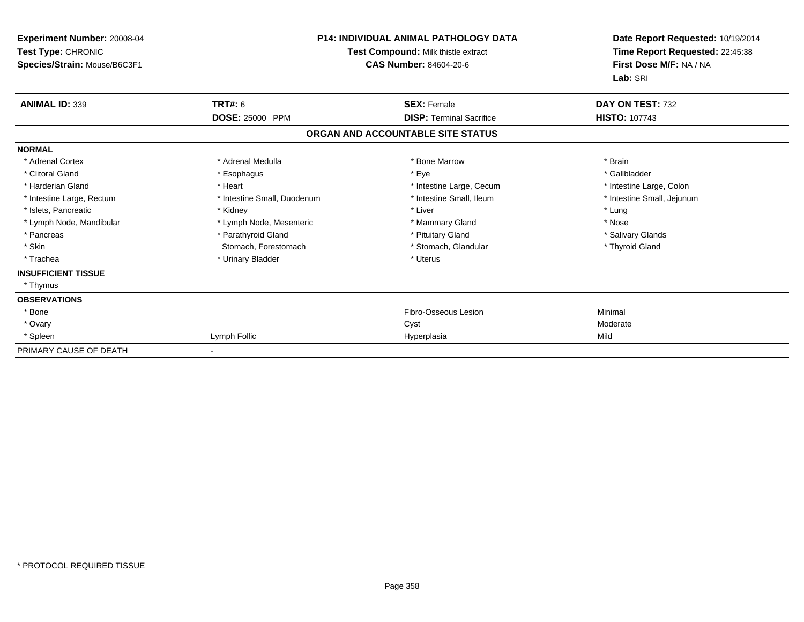| Experiment Number: 20008-04<br>Test Type: CHRONIC<br>Species/Strain: Mouse/B6C3F1 | <b>P14: INDIVIDUAL ANIMAL PATHOLOGY DATA</b><br>Test Compound: Milk thistle extract<br>CAS Number: 84604-20-6 |                                   | Date Report Requested: 10/19/2014<br>Time Report Requested: 22:45:38<br>First Dose M/F: NA / NA<br>Lab: SRI |
|-----------------------------------------------------------------------------------|---------------------------------------------------------------------------------------------------------------|-----------------------------------|-------------------------------------------------------------------------------------------------------------|
| <b>ANIMAL ID: 339</b>                                                             | <b>TRT#: 6</b>                                                                                                | <b>SEX: Female</b>                | DAY ON TEST: 732                                                                                            |
|                                                                                   | DOSE: 25000 PPM                                                                                               | <b>DISP: Terminal Sacrifice</b>   | <b>HISTO: 107743</b>                                                                                        |
|                                                                                   |                                                                                                               | ORGAN AND ACCOUNTABLE SITE STATUS |                                                                                                             |
| <b>NORMAL</b>                                                                     |                                                                                                               |                                   |                                                                                                             |
| * Adrenal Cortex                                                                  | * Adrenal Medulla                                                                                             | * Bone Marrow                     | * Brain                                                                                                     |
| * Clitoral Gland                                                                  | * Esophagus                                                                                                   | * Eye                             | * Gallbladder                                                                                               |
| * Harderian Gland                                                                 | * Heart                                                                                                       | * Intestine Large, Cecum          | * Intestine Large, Colon                                                                                    |
| * Intestine Large, Rectum                                                         | * Intestine Small, Duodenum                                                                                   | * Intestine Small, Ileum          | * Intestine Small, Jejunum                                                                                  |
| * Islets, Pancreatic                                                              | * Kidney                                                                                                      | * Liver                           | * Lung                                                                                                      |
| * Lymph Node, Mandibular                                                          | * Lymph Node, Mesenteric                                                                                      | * Mammary Gland                   | * Nose                                                                                                      |
| * Pancreas                                                                        | * Parathyroid Gland                                                                                           | * Pituitary Gland                 | * Salivary Glands                                                                                           |
| * Skin                                                                            | Stomach, Forestomach                                                                                          | * Stomach, Glandular              | * Thyroid Gland                                                                                             |
| * Trachea                                                                         | * Urinary Bladder                                                                                             | * Uterus                          |                                                                                                             |
| <b>INSUFFICIENT TISSUE</b>                                                        |                                                                                                               |                                   |                                                                                                             |
| * Thymus                                                                          |                                                                                                               |                                   |                                                                                                             |
| <b>OBSERVATIONS</b>                                                               |                                                                                                               |                                   |                                                                                                             |
| * Bone                                                                            |                                                                                                               | Fibro-Osseous Lesion              | Minimal                                                                                                     |
| * Ovary                                                                           |                                                                                                               | Cyst                              | Moderate                                                                                                    |
| * Spleen                                                                          | Lymph Follic                                                                                                  | Hyperplasia                       | Mild                                                                                                        |
| PRIMARY CAUSE OF DEATH                                                            |                                                                                                               |                                   |                                                                                                             |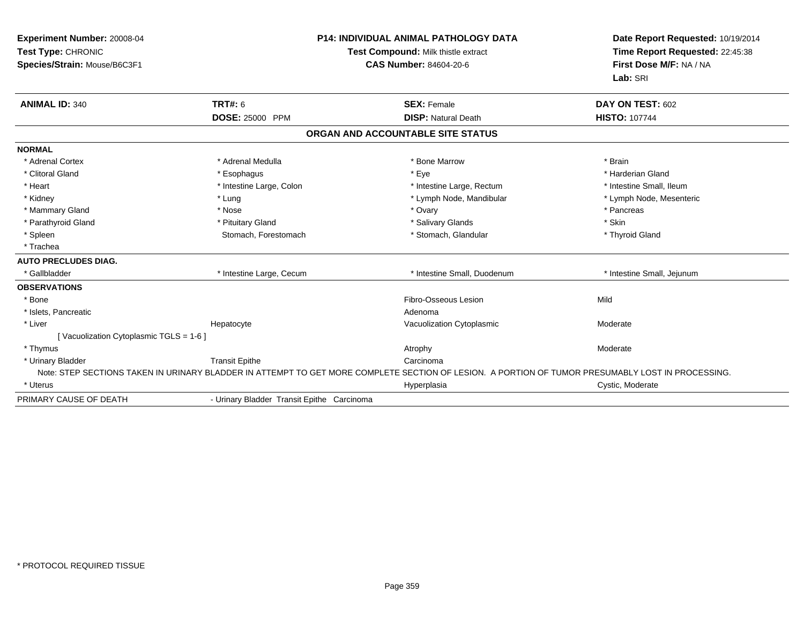| Experiment Number: 20008-04<br>Test Type: CHRONIC<br>Species/Strain: Mouse/B6C3F1 |                                            | P14: INDIVIDUAL ANIMAL PATHOLOGY DATA<br>Test Compound: Milk thistle extract<br><b>CAS Number: 84604-20-6</b>                                     | Date Report Requested: 10/19/2014<br>Time Report Requested: 22:45:38<br>First Dose M/F: NA / NA<br>Lab: SRI |  |
|-----------------------------------------------------------------------------------|--------------------------------------------|---------------------------------------------------------------------------------------------------------------------------------------------------|-------------------------------------------------------------------------------------------------------------|--|
| <b>ANIMAL ID: 340</b>                                                             | TRT#: 6                                    | <b>SEX: Female</b>                                                                                                                                | DAY ON TEST: 602                                                                                            |  |
|                                                                                   | <b>DOSE: 25000 PPM</b>                     | <b>DISP: Natural Death</b>                                                                                                                        | <b>HISTO: 107744</b>                                                                                        |  |
|                                                                                   |                                            | ORGAN AND ACCOUNTABLE SITE STATUS                                                                                                                 |                                                                                                             |  |
| <b>NORMAL</b>                                                                     |                                            |                                                                                                                                                   |                                                                                                             |  |
| * Adrenal Cortex                                                                  | * Adrenal Medulla                          | * Bone Marrow                                                                                                                                     | * Brain                                                                                                     |  |
| * Clitoral Gland                                                                  | * Esophagus                                | * Eye                                                                                                                                             | * Harderian Gland                                                                                           |  |
| * Heart                                                                           | * Intestine Large, Colon                   | * Intestine Large, Rectum                                                                                                                         | * Intestine Small, Ileum                                                                                    |  |
| * Kidney                                                                          | * Lung                                     | * Lymph Node, Mandibular                                                                                                                          | * Lymph Node, Mesenteric                                                                                    |  |
| * Mammary Gland                                                                   | * Nose                                     | * Ovary                                                                                                                                           | * Pancreas                                                                                                  |  |
| * Parathyroid Gland                                                               | * Pituitary Gland                          | * Salivary Glands                                                                                                                                 | * Skin                                                                                                      |  |
| * Spleen                                                                          | Stomach, Forestomach                       | * Stomach, Glandular                                                                                                                              | * Thyroid Gland                                                                                             |  |
| * Trachea                                                                         |                                            |                                                                                                                                                   |                                                                                                             |  |
| <b>AUTO PRECLUDES DIAG.</b>                                                       |                                            |                                                                                                                                                   |                                                                                                             |  |
| * Gallbladder                                                                     | * Intestine Large, Cecum                   | * Intestine Small, Duodenum                                                                                                                       | * Intestine Small, Jejunum                                                                                  |  |
| <b>OBSERVATIONS</b>                                                               |                                            |                                                                                                                                                   |                                                                                                             |  |
| * Bone                                                                            |                                            | Fibro-Osseous Lesion                                                                                                                              | Mild                                                                                                        |  |
| * Islets, Pancreatic                                                              |                                            | Adenoma                                                                                                                                           |                                                                                                             |  |
| * Liver                                                                           | Hepatocyte                                 | Vacuolization Cytoplasmic                                                                                                                         | Moderate                                                                                                    |  |
| [Vacuolization Cytoplasmic TGLS = 1-6]                                            |                                            |                                                                                                                                                   |                                                                                                             |  |
| * Thymus                                                                          |                                            | Atrophy                                                                                                                                           | Moderate                                                                                                    |  |
| * Urinary Bladder                                                                 | <b>Transit Epithe</b>                      | Carcinoma                                                                                                                                         |                                                                                                             |  |
|                                                                                   |                                            | Note: STEP SECTIONS TAKEN IN URINARY BLADDER IN ATTEMPT TO GET MORE COMPLETE SECTION OF LESION. A PORTION OF TUMOR PRESUMABLY LOST IN PROCESSING. |                                                                                                             |  |
| * Uterus                                                                          |                                            | Hyperplasia                                                                                                                                       | Cystic, Moderate                                                                                            |  |
| PRIMARY CAUSE OF DEATH                                                            | - Urinary Bladder Transit Epithe Carcinoma |                                                                                                                                                   |                                                                                                             |  |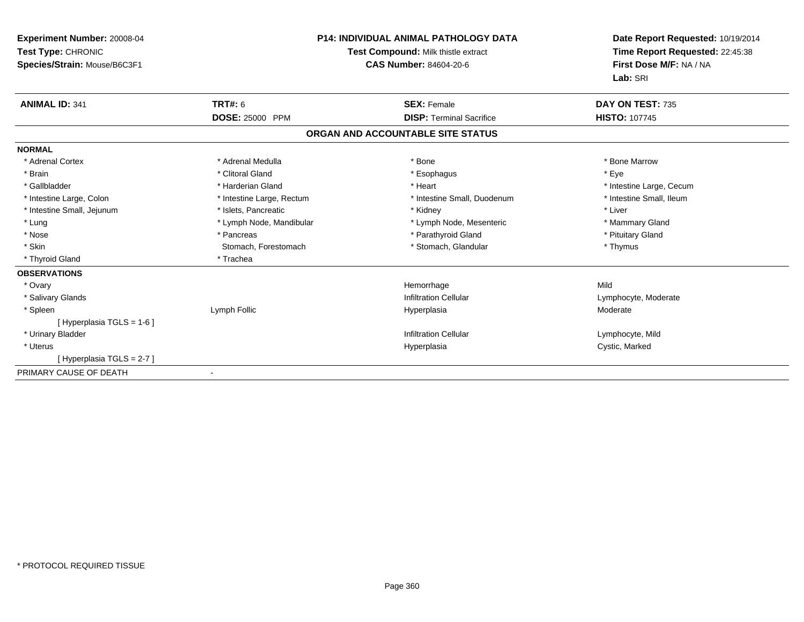| Experiment Number: 20008-04<br>Test Type: CHRONIC<br>Species/Strain: Mouse/B6C3F1 |                           | <b>P14: INDIVIDUAL ANIMAL PATHOLOGY DATA</b><br>Test Compound: Milk thistle extract<br><b>CAS Number: 84604-20-6</b> | Date Report Requested: 10/19/2014<br>Time Report Requested: 22:45:38<br>First Dose M/F: NA / NA<br>Lab: SRI |  |
|-----------------------------------------------------------------------------------|---------------------------|----------------------------------------------------------------------------------------------------------------------|-------------------------------------------------------------------------------------------------------------|--|
| <b>ANIMAL ID: 341</b>                                                             | TRT#: 6                   | <b>SEX: Female</b>                                                                                                   | DAY ON TEST: 735                                                                                            |  |
|                                                                                   | <b>DOSE: 25000 PPM</b>    | <b>DISP: Terminal Sacrifice</b>                                                                                      | <b>HISTO: 107745</b>                                                                                        |  |
|                                                                                   |                           | ORGAN AND ACCOUNTABLE SITE STATUS                                                                                    |                                                                                                             |  |
| <b>NORMAL</b>                                                                     |                           |                                                                                                                      |                                                                                                             |  |
| * Adrenal Cortex                                                                  | * Adrenal Medulla         | * Bone                                                                                                               | * Bone Marrow                                                                                               |  |
| * Brain                                                                           | * Clitoral Gland          | * Esophagus                                                                                                          | * Eye                                                                                                       |  |
| * Gallbladder                                                                     | * Harderian Gland         | * Heart                                                                                                              | * Intestine Large, Cecum                                                                                    |  |
| * Intestine Large, Colon                                                          | * Intestine Large, Rectum | * Intestine Small. Duodenum                                                                                          | * Intestine Small. Ileum                                                                                    |  |
| * Intestine Small, Jejunum                                                        | * Islets, Pancreatic      | * Kidney                                                                                                             | * Liver                                                                                                     |  |
| * Lung                                                                            | * Lymph Node, Mandibular  | * Lymph Node, Mesenteric                                                                                             | * Mammary Gland                                                                                             |  |
| * Nose                                                                            | * Pancreas                | * Parathyroid Gland                                                                                                  | * Pituitary Gland                                                                                           |  |
| * Skin                                                                            | Stomach, Forestomach      | * Stomach, Glandular                                                                                                 | * Thymus                                                                                                    |  |
| * Thyroid Gland                                                                   | * Trachea                 |                                                                                                                      |                                                                                                             |  |
| <b>OBSERVATIONS</b>                                                               |                           |                                                                                                                      |                                                                                                             |  |
| * Ovary                                                                           |                           | Hemorrhage                                                                                                           | Mild                                                                                                        |  |
| * Salivary Glands                                                                 |                           | <b>Infiltration Cellular</b>                                                                                         | Lymphocyte, Moderate                                                                                        |  |
| * Spleen                                                                          | Lymph Follic              | Hyperplasia                                                                                                          | Moderate                                                                                                    |  |
| [Hyperplasia TGLS = $1-6$ ]                                                       |                           |                                                                                                                      |                                                                                                             |  |
| * Urinary Bladder                                                                 |                           | <b>Infiltration Cellular</b>                                                                                         | Lymphocyte, Mild                                                                                            |  |
| * Uterus                                                                          |                           | Hyperplasia                                                                                                          | Cystic, Marked                                                                                              |  |
| [Hyperplasia TGLS = 2-7]                                                          |                           |                                                                                                                      |                                                                                                             |  |
| PRIMARY CAUSE OF DEATH                                                            |                           |                                                                                                                      |                                                                                                             |  |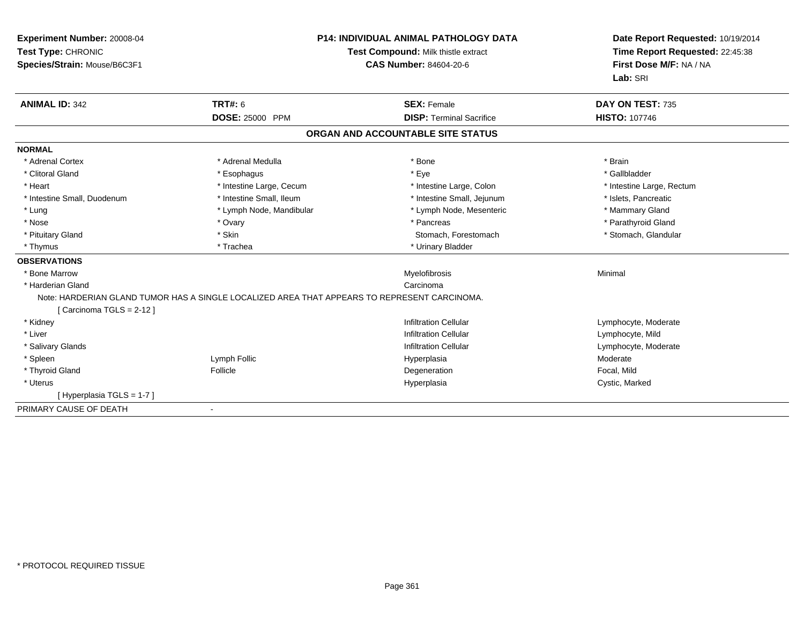| Experiment Number: 20008-04<br>Test Type: CHRONIC<br>Species/Strain: Mouse/B6C3F1 |                          | <b>P14: INDIVIDUAL ANIMAL PATHOLOGY DATA</b><br>Test Compound: Milk thistle extract<br><b>CAS Number: 84604-20-6</b> | Date Report Requested: 10/19/2014<br>Time Report Requested: 22:45:38<br>First Dose M/F: NA / NA<br>Lab: SRI |  |
|-----------------------------------------------------------------------------------|--------------------------|----------------------------------------------------------------------------------------------------------------------|-------------------------------------------------------------------------------------------------------------|--|
| <b>ANIMAL ID: 342</b>                                                             | <b>TRT#: 6</b>           | <b>SEX: Female</b>                                                                                                   | DAY ON TEST: 735                                                                                            |  |
|                                                                                   | DOSE: 25000 PPM          | <b>DISP: Terminal Sacrifice</b>                                                                                      | <b>HISTO: 107746</b>                                                                                        |  |
|                                                                                   |                          | ORGAN AND ACCOUNTABLE SITE STATUS                                                                                    |                                                                                                             |  |
| <b>NORMAL</b>                                                                     |                          |                                                                                                                      |                                                                                                             |  |
| * Adrenal Cortex                                                                  | * Adrenal Medulla        | * Bone                                                                                                               | * Brain                                                                                                     |  |
| * Clitoral Gland                                                                  | * Esophagus              | * Eye                                                                                                                | * Gallbladder                                                                                               |  |
| * Heart                                                                           | * Intestine Large, Cecum | * Intestine Large, Colon                                                                                             | * Intestine Large, Rectum                                                                                   |  |
| * Intestine Small, Duodenum                                                       | * Intestine Small, Ileum | * Intestine Small, Jejunum                                                                                           | * Islets, Pancreatic                                                                                        |  |
| * Lung                                                                            | * Lymph Node, Mandibular | * Lymph Node, Mesenteric                                                                                             | * Mammary Gland                                                                                             |  |
| * Nose                                                                            | * Ovary                  | * Pancreas                                                                                                           | * Parathyroid Gland                                                                                         |  |
| * Pituitary Gland                                                                 | * Skin                   | Stomach, Forestomach                                                                                                 | * Stomach, Glandular                                                                                        |  |
| * Thymus                                                                          | * Trachea                | * Urinary Bladder                                                                                                    |                                                                                                             |  |
| <b>OBSERVATIONS</b>                                                               |                          |                                                                                                                      |                                                                                                             |  |
| * Bone Marrow                                                                     |                          | Myelofibrosis                                                                                                        | Minimal                                                                                                     |  |
| * Harderian Gland                                                                 |                          | Carcinoma                                                                                                            |                                                                                                             |  |
| [Carcinoma TGLS = 2-12]                                                           |                          | Note: HARDERIAN GLAND TUMOR HAS A SINGLE LOCALIZED AREA THAT APPEARS TO REPRESENT CARCINOMA.                         |                                                                                                             |  |
| * Kidney                                                                          |                          | <b>Infiltration Cellular</b>                                                                                         | Lymphocyte, Moderate                                                                                        |  |
| * Liver                                                                           |                          | <b>Infiltration Cellular</b>                                                                                         | Lymphocyte, Mild                                                                                            |  |
| * Salivary Glands                                                                 |                          | <b>Infiltration Cellular</b>                                                                                         | Lymphocyte, Moderate                                                                                        |  |
| * Spleen                                                                          | Lymph Follic             | Hyperplasia                                                                                                          | Moderate                                                                                                    |  |
| * Thyroid Gland                                                                   | Follicle                 | Degeneration                                                                                                         | Focal, Mild                                                                                                 |  |
| * Uterus                                                                          |                          | Hyperplasia                                                                                                          | Cystic, Marked                                                                                              |  |
| [Hyperplasia TGLS = 1-7]                                                          |                          |                                                                                                                      |                                                                                                             |  |
| PRIMARY CAUSE OF DEATH                                                            |                          |                                                                                                                      |                                                                                                             |  |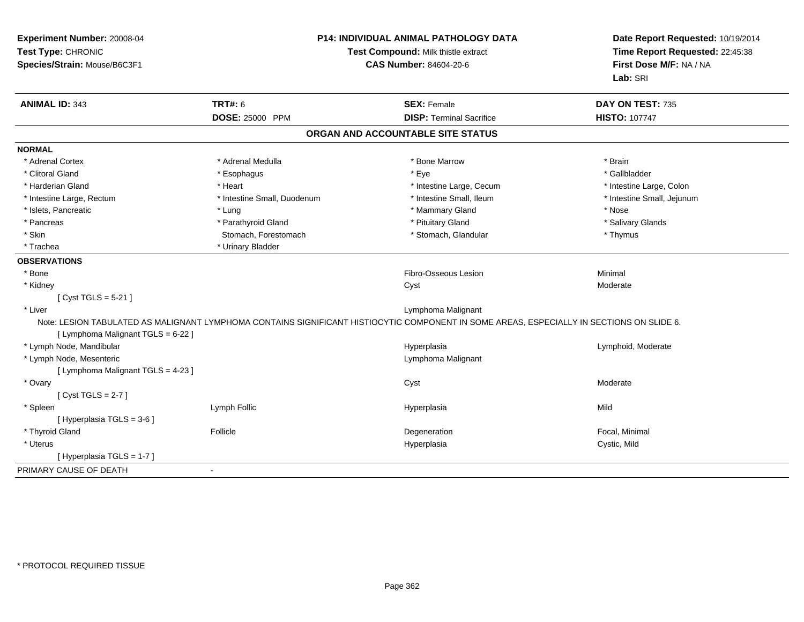| Experiment Number: 20008-04<br>Test Type: CHRONIC<br>Species/Strain: Mouse/B6C3F1 | P14: INDIVIDUAL ANIMAL PATHOLOGY DATA<br>Test Compound: Milk thistle extract<br><b>CAS Number: 84604-20-6</b> |                                                                                                                                           | Date Report Requested: 10/19/2014<br>Time Report Requested: 22:45:38<br>First Dose M/F: NA / NA<br>Lab: SRI |
|-----------------------------------------------------------------------------------|---------------------------------------------------------------------------------------------------------------|-------------------------------------------------------------------------------------------------------------------------------------------|-------------------------------------------------------------------------------------------------------------|
| <b>ANIMAL ID: 343</b>                                                             | <b>TRT#: 6</b>                                                                                                | <b>SEX: Female</b><br><b>DISP: Terminal Sacrifice</b>                                                                                     | DAY ON TEST: 735                                                                                            |
|                                                                                   | <b>DOSE: 25000 PPM</b>                                                                                        |                                                                                                                                           | <b>HISTO: 107747</b>                                                                                        |
|                                                                                   |                                                                                                               | ORGAN AND ACCOUNTABLE SITE STATUS                                                                                                         |                                                                                                             |
| <b>NORMAL</b>                                                                     |                                                                                                               |                                                                                                                                           |                                                                                                             |
| * Adrenal Cortex                                                                  | * Adrenal Medulla                                                                                             | * Bone Marrow                                                                                                                             | * Brain                                                                                                     |
| * Clitoral Gland                                                                  | * Esophagus                                                                                                   | * Eye                                                                                                                                     | * Gallbladder                                                                                               |
| * Harderian Gland                                                                 | * Heart                                                                                                       | * Intestine Large, Cecum                                                                                                                  | * Intestine Large, Colon                                                                                    |
| * Intestine Large, Rectum                                                         | * Intestine Small, Duodenum                                                                                   | * Intestine Small, Ileum                                                                                                                  | * Intestine Small, Jejunum                                                                                  |
| * Islets, Pancreatic                                                              | * Lung                                                                                                        | * Mammary Gland                                                                                                                           | * Nose                                                                                                      |
| * Pancreas                                                                        | * Parathyroid Gland                                                                                           | * Pituitary Gland                                                                                                                         | * Salivary Glands                                                                                           |
| * Skin                                                                            | Stomach, Forestomach                                                                                          | * Stomach, Glandular                                                                                                                      | * Thymus                                                                                                    |
| * Trachea                                                                         | * Urinary Bladder                                                                                             |                                                                                                                                           |                                                                                                             |
| <b>OBSERVATIONS</b>                                                               |                                                                                                               |                                                                                                                                           |                                                                                                             |
| * Bone                                                                            |                                                                                                               | Fibro-Osseous Lesion                                                                                                                      | Minimal                                                                                                     |
| * Kidney                                                                          |                                                                                                               | Cyst                                                                                                                                      | Moderate                                                                                                    |
| [ $Cyst TGLS = 5-21$ ]                                                            |                                                                                                               |                                                                                                                                           |                                                                                                             |
| * Liver                                                                           |                                                                                                               | Lymphoma Malignant                                                                                                                        |                                                                                                             |
| [ Lymphoma Malignant TGLS = 6-22 ]                                                |                                                                                                               | Note: LESION TABULATED AS MALIGNANT LYMPHOMA CONTAINS SIGNIFICANT HISTIOCYTIC COMPONENT IN SOME AREAS, ESPECIALLY IN SECTIONS ON SLIDE 6. |                                                                                                             |
| * Lymph Node, Mandibular                                                          |                                                                                                               | Hyperplasia                                                                                                                               | Lymphoid, Moderate                                                                                          |
| * Lymph Node, Mesenteric                                                          |                                                                                                               | Lymphoma Malignant                                                                                                                        |                                                                                                             |
| [ Lymphoma Malignant TGLS = 4-23 ]                                                |                                                                                                               |                                                                                                                                           |                                                                                                             |
| * Ovary                                                                           |                                                                                                               | Cyst                                                                                                                                      | Moderate                                                                                                    |
| [Cyst TGLS = $2-7$ ]                                                              |                                                                                                               |                                                                                                                                           |                                                                                                             |
| * Spleen                                                                          | Lymph Follic                                                                                                  | Hyperplasia                                                                                                                               | Mild                                                                                                        |
| [ Hyperplasia TGLS = 3-6 ]                                                        |                                                                                                               |                                                                                                                                           |                                                                                                             |
| * Thyroid Gland                                                                   | Follicle                                                                                                      | Degeneration                                                                                                                              | Focal, Minimal                                                                                              |
| * Uterus                                                                          |                                                                                                               | Hyperplasia                                                                                                                               | Cystic, Mild                                                                                                |
| [Hyperplasia TGLS = 1-7]                                                          |                                                                                                               |                                                                                                                                           |                                                                                                             |
| PRIMARY CAUSE OF DEATH                                                            | $\blacksquare$                                                                                                |                                                                                                                                           |                                                                                                             |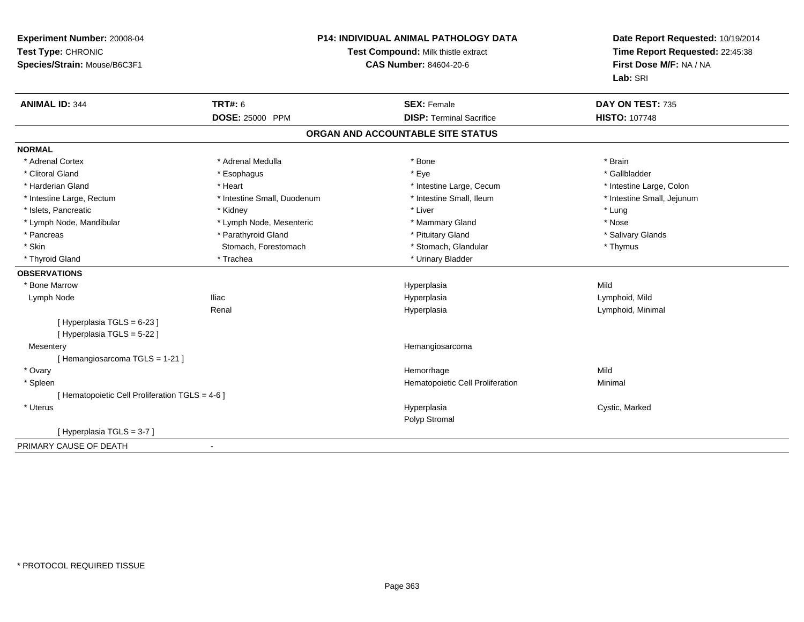| Experiment Number: 20008-04<br>Test Type: CHRONIC<br>Species/Strain: Mouse/B6C3F1 | P14: INDIVIDUAL ANIMAL PATHOLOGY DATA<br>Test Compound: Milk thistle extract<br><b>CAS Number: 84604-20-6</b> |                                   | Date Report Requested: 10/19/2014<br>Time Report Requested: 22:45:38<br>First Dose M/F: NA / NA<br>Lab: SRI |
|-----------------------------------------------------------------------------------|---------------------------------------------------------------------------------------------------------------|-----------------------------------|-------------------------------------------------------------------------------------------------------------|
| <b>ANIMAL ID: 344</b>                                                             | <b>TRT#: 6</b>                                                                                                | <b>SEX: Female</b>                | DAY ON TEST: 735                                                                                            |
|                                                                                   | <b>DOSE: 25000 PPM</b>                                                                                        | <b>DISP: Terminal Sacrifice</b>   | <b>HISTO: 107748</b>                                                                                        |
|                                                                                   |                                                                                                               | ORGAN AND ACCOUNTABLE SITE STATUS |                                                                                                             |
| <b>NORMAL</b>                                                                     |                                                                                                               |                                   |                                                                                                             |
| * Adrenal Cortex                                                                  | * Adrenal Medulla                                                                                             | * Bone                            | * Brain                                                                                                     |
| * Clitoral Gland                                                                  | * Esophagus                                                                                                   | * Eye                             | * Gallbladder                                                                                               |
| * Harderian Gland                                                                 | * Heart                                                                                                       | * Intestine Large, Cecum          | * Intestine Large, Colon                                                                                    |
| * Intestine Large, Rectum                                                         | * Intestine Small, Duodenum                                                                                   | * Intestine Small, Ileum          | * Intestine Small, Jejunum                                                                                  |
| * Islets, Pancreatic                                                              | * Kidney                                                                                                      | * Liver                           | * Lung                                                                                                      |
| * Lymph Node, Mandibular                                                          | * Lymph Node, Mesenteric                                                                                      | * Mammary Gland                   | * Nose                                                                                                      |
| * Pancreas                                                                        | * Parathyroid Gland                                                                                           | * Pituitary Gland                 | * Salivary Glands                                                                                           |
| * Skin                                                                            | Stomach, Forestomach                                                                                          | * Stomach, Glandular              | * Thymus                                                                                                    |
| * Thyroid Gland                                                                   | * Trachea                                                                                                     | * Urinary Bladder                 |                                                                                                             |
| <b>OBSERVATIONS</b>                                                               |                                                                                                               |                                   |                                                                                                             |
| * Bone Marrow                                                                     |                                                                                                               | Hyperplasia                       | Mild                                                                                                        |
| Lymph Node                                                                        | <b>Iliac</b>                                                                                                  | Hyperplasia                       | Lymphoid, Mild                                                                                              |
|                                                                                   | Renal                                                                                                         | Hyperplasia                       | Lymphoid, Minimal                                                                                           |
| [ Hyperplasia TGLS = 6-23 ]<br>[ Hyperplasia TGLS = 5-22 ]                        |                                                                                                               |                                   |                                                                                                             |
| Mesentery                                                                         |                                                                                                               | Hemangiosarcoma                   |                                                                                                             |
| [Hemangiosarcoma TGLS = 1-21]                                                     |                                                                                                               |                                   |                                                                                                             |
| * Ovary                                                                           |                                                                                                               | Hemorrhage                        | Mild                                                                                                        |
| * Spleen                                                                          |                                                                                                               | Hematopoietic Cell Proliferation  | Minimal                                                                                                     |
| [ Hematopoietic Cell Proliferation TGLS = 4-6 ]                                   |                                                                                                               |                                   |                                                                                                             |
| * Uterus                                                                          |                                                                                                               | Hyperplasia                       | Cystic, Marked                                                                                              |
|                                                                                   |                                                                                                               | Polyp Stromal                     |                                                                                                             |
| [Hyperplasia TGLS = 3-7]                                                          |                                                                                                               |                                   |                                                                                                             |
| PRIMARY CAUSE OF DEATH                                                            |                                                                                                               |                                   |                                                                                                             |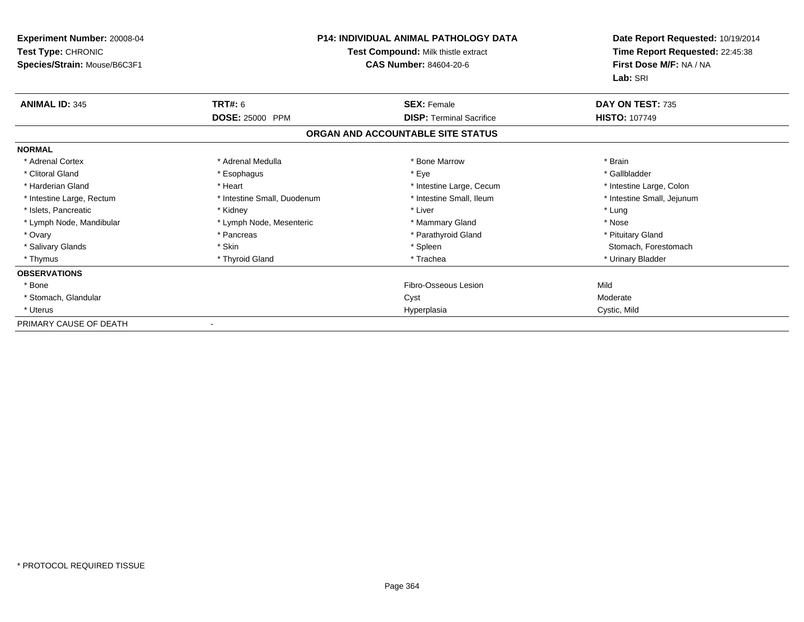| <b>Experiment Number: 20008-04</b><br>Test Type: CHRONIC<br>Species/Strain: Mouse/B6C3F1 | <b>P14: INDIVIDUAL ANIMAL PATHOLOGY DATA</b><br>Test Compound: Milk thistle extract<br><b>CAS Number: 84604-20-6</b> |                                   | Date Report Requested: 10/19/2014<br>Time Report Requested: 22:45:38<br>First Dose M/F: NA / NA<br>Lab: SRI |
|------------------------------------------------------------------------------------------|----------------------------------------------------------------------------------------------------------------------|-----------------------------------|-------------------------------------------------------------------------------------------------------------|
| <b>ANIMAL ID: 345</b>                                                                    | TRT#: 6                                                                                                              | <b>SEX: Female</b>                | DAY ON TEST: 735                                                                                            |
|                                                                                          | DOSE: 25000 PPM                                                                                                      | <b>DISP:</b> Terminal Sacrifice   | <b>HISTO: 107749</b>                                                                                        |
|                                                                                          |                                                                                                                      | ORGAN AND ACCOUNTABLE SITE STATUS |                                                                                                             |
| <b>NORMAL</b>                                                                            |                                                                                                                      |                                   |                                                                                                             |
| * Adrenal Cortex                                                                         | * Adrenal Medulla                                                                                                    | * Bone Marrow                     | * Brain                                                                                                     |
| * Clitoral Gland                                                                         | * Esophagus                                                                                                          | * Eye                             | * Gallbladder                                                                                               |
| * Harderian Gland                                                                        | * Heart                                                                                                              | * Intestine Large, Cecum          | * Intestine Large, Colon                                                                                    |
| * Intestine Large, Rectum                                                                | * Intestine Small, Duodenum                                                                                          | * Intestine Small, Ileum          | * Intestine Small, Jejunum                                                                                  |
| * Islets, Pancreatic                                                                     | * Kidney                                                                                                             | * Liver                           | * Lung                                                                                                      |
| * Lymph Node, Mandibular                                                                 | * Lymph Node, Mesenteric                                                                                             | * Mammary Gland                   | * Nose                                                                                                      |
| * Ovary                                                                                  | * Pancreas                                                                                                           | * Parathyroid Gland               | * Pituitary Gland                                                                                           |
| * Salivary Glands                                                                        | * Skin                                                                                                               | * Spleen                          | Stomach, Forestomach                                                                                        |
| * Thymus                                                                                 | * Thyroid Gland                                                                                                      | * Trachea                         | * Urinary Bladder                                                                                           |
| <b>OBSERVATIONS</b>                                                                      |                                                                                                                      |                                   |                                                                                                             |
| * Bone                                                                                   |                                                                                                                      | Fibro-Osseous Lesion              | Mild                                                                                                        |
| * Stomach, Glandular                                                                     |                                                                                                                      | Cyst                              | Moderate                                                                                                    |
| * Uterus                                                                                 |                                                                                                                      | Hyperplasia                       | Cystic, Mild                                                                                                |
| PRIMARY CAUSE OF DEATH                                                                   |                                                                                                                      |                                   |                                                                                                             |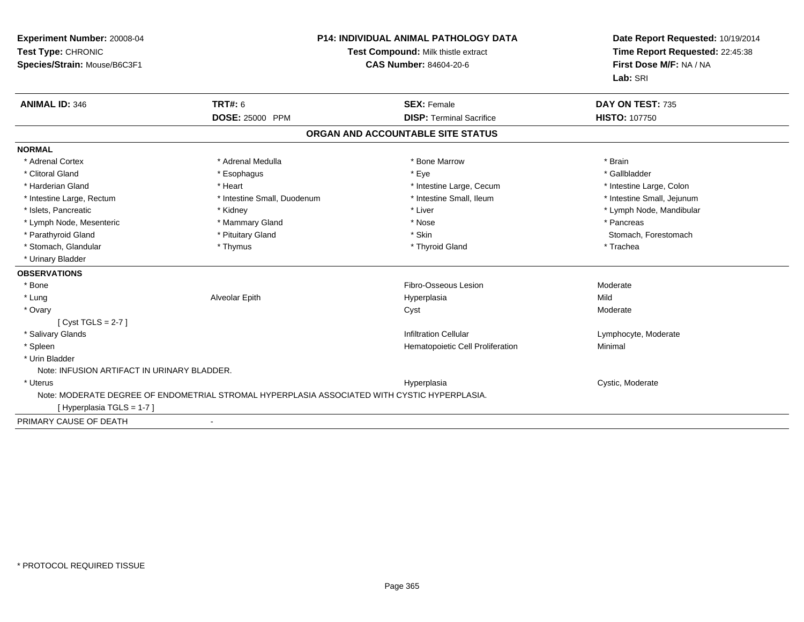| Experiment Number: 20008-04<br>Test Type: CHRONIC<br>Species/Strain: Mouse/B6C3F1 | <b>P14: INDIVIDUAL ANIMAL PATHOLOGY DATA</b><br>Test Compound: Milk thistle extract<br><b>CAS Number: 84604-20-6</b> |                                   | Date Report Requested: 10/19/2014<br>Time Report Requested: 22:45:38<br>First Dose M/F: NA / NA<br>Lab: SRI |  |
|-----------------------------------------------------------------------------------|----------------------------------------------------------------------------------------------------------------------|-----------------------------------|-------------------------------------------------------------------------------------------------------------|--|
| <b>ANIMAL ID: 346</b>                                                             | TRT#: 6                                                                                                              | <b>SEX: Female</b>                | DAY ON TEST: 735                                                                                            |  |
|                                                                                   | DOSE: 25000 PPM                                                                                                      | <b>DISP: Terminal Sacrifice</b>   | <b>HISTO: 107750</b>                                                                                        |  |
|                                                                                   |                                                                                                                      | ORGAN AND ACCOUNTABLE SITE STATUS |                                                                                                             |  |
| <b>NORMAL</b>                                                                     |                                                                                                                      |                                   |                                                                                                             |  |
| * Adrenal Cortex                                                                  | * Adrenal Medulla                                                                                                    | * Bone Marrow                     | * Brain                                                                                                     |  |
| * Clitoral Gland                                                                  | * Esophagus                                                                                                          | * Eye                             | * Gallbladder                                                                                               |  |
| * Harderian Gland                                                                 | * Heart                                                                                                              | * Intestine Large, Cecum          | * Intestine Large, Colon                                                                                    |  |
| * Intestine Large, Rectum                                                         | * Intestine Small, Duodenum                                                                                          | * Intestine Small, Ileum          | * Intestine Small, Jejunum                                                                                  |  |
| * Islets, Pancreatic                                                              | * Kidney                                                                                                             | * Liver                           | * Lymph Node, Mandibular                                                                                    |  |
| * Lymph Node, Mesenteric                                                          | * Mammary Gland                                                                                                      | * Nose                            | * Pancreas                                                                                                  |  |
| * Parathyroid Gland                                                               | * Pituitary Gland                                                                                                    | * Skin                            | Stomach, Forestomach                                                                                        |  |
| * Stomach, Glandular                                                              | * Thymus                                                                                                             | * Thyroid Gland                   | * Trachea                                                                                                   |  |
| * Urinary Bladder                                                                 |                                                                                                                      |                                   |                                                                                                             |  |
| <b>OBSERVATIONS</b>                                                               |                                                                                                                      |                                   |                                                                                                             |  |
| * Bone                                                                            |                                                                                                                      | Fibro-Osseous Lesion              | Moderate                                                                                                    |  |
| * Lung                                                                            | Alveolar Epith                                                                                                       | Hyperplasia                       | Mild                                                                                                        |  |
| * Ovary                                                                           |                                                                                                                      | Cyst                              | Moderate                                                                                                    |  |
| [Cyst TGLS = $2-7$ ]                                                              |                                                                                                                      |                                   |                                                                                                             |  |
| * Salivary Glands                                                                 |                                                                                                                      | <b>Infiltration Cellular</b>      | Lymphocyte, Moderate                                                                                        |  |
| * Spleen                                                                          |                                                                                                                      | Hematopoietic Cell Proliferation  | Minimal                                                                                                     |  |
| * Urin Bladder                                                                    |                                                                                                                      |                                   |                                                                                                             |  |
| Note: INFUSION ARTIFACT IN URINARY BLADDER.                                       |                                                                                                                      |                                   |                                                                                                             |  |
| * Uterus                                                                          |                                                                                                                      | Hyperplasia                       | Cystic, Moderate                                                                                            |  |
|                                                                                   | Note: MODERATE DEGREE OF ENDOMETRIAL STROMAL HYPERPLASIA ASSOCIATED WITH CYSTIC HYPERPLASIA.                         |                                   |                                                                                                             |  |
| [Hyperplasia TGLS = 1-7]                                                          |                                                                                                                      |                                   |                                                                                                             |  |
| PRIMARY CAUSE OF DEATH                                                            | $\blacksquare$                                                                                                       |                                   |                                                                                                             |  |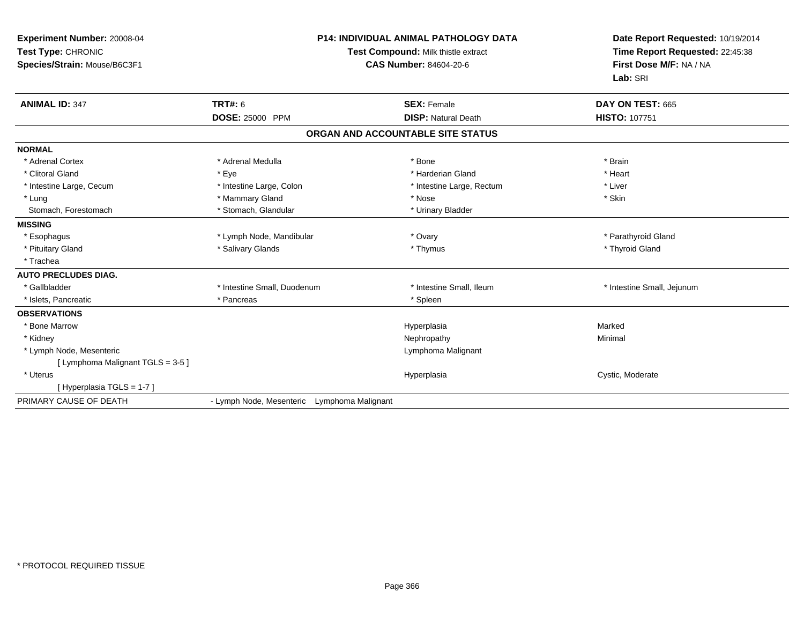| Experiment Number: 20008-04<br>Test Type: CHRONIC<br>Species/Strain: Mouse/B6C3F1 | <b>P14: INDIVIDUAL ANIMAL PATHOLOGY DATA</b><br>Test Compound: Milk thistle extract<br><b>CAS Number: 84604-20-6</b> |                                   | Date Report Requested: 10/19/2014<br>Time Report Requested: 22:45:38<br>First Dose M/F: NA / NA<br>Lab: SRI |
|-----------------------------------------------------------------------------------|----------------------------------------------------------------------------------------------------------------------|-----------------------------------|-------------------------------------------------------------------------------------------------------------|
| <b>ANIMAL ID: 347</b>                                                             | <b>TRT#: 6</b>                                                                                                       | <b>SEX: Female</b>                | DAY ON TEST: 665                                                                                            |
|                                                                                   | DOSE: 25000 PPM                                                                                                      | <b>DISP: Natural Death</b>        | <b>HISTO: 107751</b>                                                                                        |
|                                                                                   |                                                                                                                      | ORGAN AND ACCOUNTABLE SITE STATUS |                                                                                                             |
| <b>NORMAL</b>                                                                     |                                                                                                                      |                                   |                                                                                                             |
| * Adrenal Cortex                                                                  | * Adrenal Medulla                                                                                                    | * Bone                            | * Brain                                                                                                     |
| * Clitoral Gland                                                                  | * Eye                                                                                                                | * Harderian Gland                 | * Heart                                                                                                     |
| * Intestine Large, Cecum                                                          | * Intestine Large, Colon                                                                                             | * Intestine Large, Rectum         | * Liver                                                                                                     |
| * Lung                                                                            | * Mammary Gland                                                                                                      | * Nose                            | * Skin                                                                                                      |
| Stomach, Forestomach                                                              | * Stomach, Glandular                                                                                                 | * Urinary Bladder                 |                                                                                                             |
| <b>MISSING</b>                                                                    |                                                                                                                      |                                   |                                                                                                             |
| * Esophagus                                                                       | * Lymph Node, Mandibular                                                                                             | * Ovary                           | * Parathyroid Gland                                                                                         |
| * Pituitary Gland                                                                 | * Salivary Glands                                                                                                    | * Thymus                          | * Thyroid Gland                                                                                             |
| * Trachea                                                                         |                                                                                                                      |                                   |                                                                                                             |
| <b>AUTO PRECLUDES DIAG.</b>                                                       |                                                                                                                      |                                   |                                                                                                             |
| * Gallbladder                                                                     | * Intestine Small, Duodenum                                                                                          | * Intestine Small, Ileum          | * Intestine Small, Jejunum                                                                                  |
| * Islets, Pancreatic                                                              | * Pancreas                                                                                                           | * Spleen                          |                                                                                                             |
| <b>OBSERVATIONS</b>                                                               |                                                                                                                      |                                   |                                                                                                             |
| * Bone Marrow                                                                     |                                                                                                                      | Hyperplasia                       | Marked                                                                                                      |
| * Kidney                                                                          |                                                                                                                      | Nephropathy                       | Minimal                                                                                                     |
| * Lymph Node, Mesenteric                                                          |                                                                                                                      | Lymphoma Malignant                |                                                                                                             |
| [ Lymphoma Malignant TGLS = 3-5 ]                                                 |                                                                                                                      |                                   |                                                                                                             |
| * Uterus                                                                          |                                                                                                                      | Hyperplasia                       | Cystic, Moderate                                                                                            |
| [Hyperplasia TGLS = 1-7]                                                          |                                                                                                                      |                                   |                                                                                                             |
| PRIMARY CAUSE OF DEATH                                                            | - Lymph Node, Mesenteric Lymphoma Malignant                                                                          |                                   |                                                                                                             |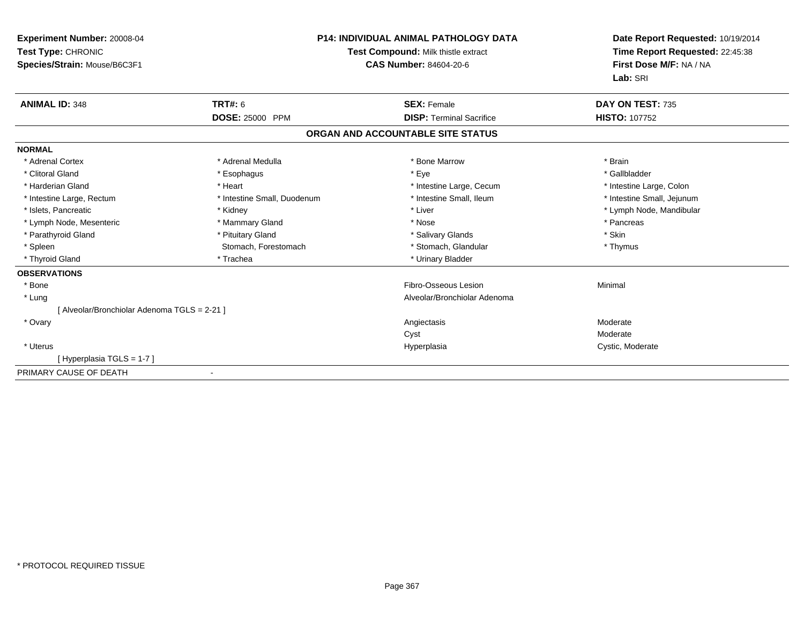| <b>Experiment Number: 20008-04</b><br>Test Type: CHRONIC<br>Species/Strain: Mouse/B6C3F1 |                             | <b>P14: INDIVIDUAL ANIMAL PATHOLOGY DATA</b><br>Test Compound: Milk thistle extract<br><b>CAS Number: 84604-20-6</b> | Date Report Requested: 10/19/2014<br>Time Report Requested: 22:45:38<br>First Dose M/F: NA / NA<br>Lab: SRI |
|------------------------------------------------------------------------------------------|-----------------------------|----------------------------------------------------------------------------------------------------------------------|-------------------------------------------------------------------------------------------------------------|
| <b>ANIMAL ID: 348</b>                                                                    | <b>TRT#: 6</b>              | <b>SEX: Female</b>                                                                                                   | DAY ON TEST: 735                                                                                            |
|                                                                                          | DOSE: 25000 PPM             | <b>DISP: Terminal Sacrifice</b>                                                                                      | <b>HISTO: 107752</b>                                                                                        |
|                                                                                          |                             | ORGAN AND ACCOUNTABLE SITE STATUS                                                                                    |                                                                                                             |
| <b>NORMAL</b>                                                                            |                             |                                                                                                                      |                                                                                                             |
| * Adrenal Cortex                                                                         | * Adrenal Medulla           | * Bone Marrow                                                                                                        | * Brain                                                                                                     |
| * Clitoral Gland                                                                         | * Esophagus                 | * Eye                                                                                                                | * Gallbladder                                                                                               |
| * Harderian Gland                                                                        | * Heart                     | * Intestine Large, Cecum                                                                                             | * Intestine Large, Colon                                                                                    |
| * Intestine Large, Rectum                                                                | * Intestine Small, Duodenum | * Intestine Small, Ileum                                                                                             | * Intestine Small, Jejunum                                                                                  |
| * Islets, Pancreatic                                                                     | * Kidney                    | * Liver                                                                                                              | * Lymph Node, Mandibular                                                                                    |
| * Lymph Node, Mesenteric                                                                 | * Mammary Gland             | * Nose                                                                                                               | * Pancreas                                                                                                  |
| * Parathyroid Gland                                                                      | * Pituitary Gland           | * Salivary Glands                                                                                                    | * Skin                                                                                                      |
| * Spleen                                                                                 | Stomach, Forestomach        | * Stomach, Glandular                                                                                                 | * Thymus                                                                                                    |
| * Thyroid Gland                                                                          | * Trachea                   | * Urinary Bladder                                                                                                    |                                                                                                             |
| <b>OBSERVATIONS</b>                                                                      |                             |                                                                                                                      |                                                                                                             |
| * Bone                                                                                   |                             | Fibro-Osseous Lesion                                                                                                 | Minimal                                                                                                     |
| * Lung                                                                                   |                             | Alveolar/Bronchiolar Adenoma                                                                                         |                                                                                                             |
| [ Alveolar/Bronchiolar Adenoma TGLS = 2-21 ]                                             |                             |                                                                                                                      |                                                                                                             |
| * Ovary                                                                                  |                             | Angiectasis                                                                                                          | Moderate                                                                                                    |
|                                                                                          |                             | Cyst                                                                                                                 | Moderate                                                                                                    |
| * Uterus                                                                                 |                             | Hyperplasia                                                                                                          | Cystic, Moderate                                                                                            |
| [Hyperplasia TGLS = 1-7]                                                                 |                             |                                                                                                                      |                                                                                                             |
| PRIMARY CAUSE OF DEATH                                                                   | $\blacksquare$              |                                                                                                                      |                                                                                                             |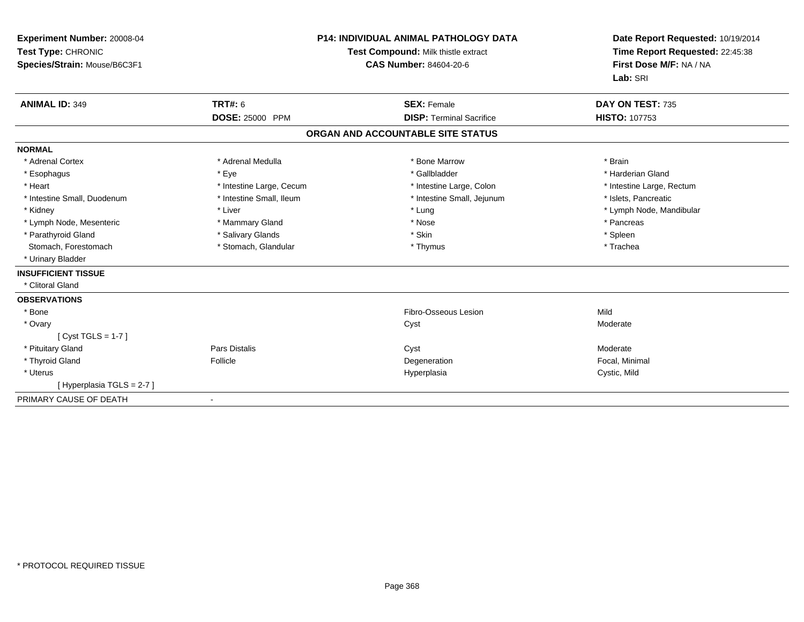| Experiment Number: 20008-04<br>Test Type: CHRONIC<br>Species/Strain: Mouse/B6C3F1 |                                          | <b>P14: INDIVIDUAL ANIMAL PATHOLOGY DATA</b><br>Test Compound: Milk thistle extract<br><b>CAS Number: 84604-20-6</b> | Date Report Requested: 10/19/2014<br>Time Report Requested: 22:45:38<br>First Dose M/F: NA / NA<br>Lab: SRI |  |
|-----------------------------------------------------------------------------------|------------------------------------------|----------------------------------------------------------------------------------------------------------------------|-------------------------------------------------------------------------------------------------------------|--|
| <b>ANIMAL ID: 349</b>                                                             | <b>TRT#: 6</b><br><b>DOSE: 25000 PPM</b> | <b>SEX: Female</b><br><b>DISP: Terminal Sacrifice</b>                                                                | DAY ON TEST: 735<br><b>HISTO: 107753</b>                                                                    |  |
|                                                                                   |                                          |                                                                                                                      |                                                                                                             |  |
|                                                                                   |                                          | ORGAN AND ACCOUNTABLE SITE STATUS                                                                                    |                                                                                                             |  |
| <b>NORMAL</b>                                                                     |                                          |                                                                                                                      |                                                                                                             |  |
| * Adrenal Cortex                                                                  | * Adrenal Medulla                        | * Bone Marrow                                                                                                        | * Brain                                                                                                     |  |
| * Esophagus                                                                       | * Eye                                    | * Gallbladder                                                                                                        | * Harderian Gland                                                                                           |  |
| * Heart                                                                           | * Intestine Large, Cecum                 | * Intestine Large, Colon                                                                                             | * Intestine Large, Rectum                                                                                   |  |
| * Intestine Small, Duodenum                                                       | * Intestine Small, Ileum                 | * Intestine Small, Jejunum                                                                                           | * Islets, Pancreatic                                                                                        |  |
| * Kidney                                                                          | * Liver                                  | * Lung                                                                                                               | * Lymph Node, Mandibular                                                                                    |  |
| * Lymph Node, Mesenteric                                                          | * Mammary Gland                          | * Nose                                                                                                               | * Pancreas                                                                                                  |  |
| * Parathyroid Gland                                                               | * Salivary Glands                        | * Skin                                                                                                               | * Spleen                                                                                                    |  |
| Stomach, Forestomach                                                              | * Stomach, Glandular                     | * Thymus                                                                                                             | * Trachea                                                                                                   |  |
| * Urinary Bladder                                                                 |                                          |                                                                                                                      |                                                                                                             |  |
| <b>INSUFFICIENT TISSUE</b>                                                        |                                          |                                                                                                                      |                                                                                                             |  |
| * Clitoral Gland                                                                  |                                          |                                                                                                                      |                                                                                                             |  |
| <b>OBSERVATIONS</b>                                                               |                                          |                                                                                                                      |                                                                                                             |  |
| * Bone                                                                            |                                          | Fibro-Osseous Lesion                                                                                                 | Mild                                                                                                        |  |
| * Ovary                                                                           |                                          | Cyst                                                                                                                 | Moderate                                                                                                    |  |
| [ $Cyst TGLS = 1-7$ ]                                                             |                                          |                                                                                                                      |                                                                                                             |  |
| * Pituitary Gland                                                                 | Pars Distalis                            | Cyst                                                                                                                 | Moderate                                                                                                    |  |
| * Thyroid Gland                                                                   | Follicle                                 | Degeneration                                                                                                         | Focal, Minimal                                                                                              |  |
| * Uterus                                                                          |                                          | Hyperplasia                                                                                                          | Cystic, Mild                                                                                                |  |
| [Hyperplasia TGLS = 2-7]                                                          |                                          |                                                                                                                      |                                                                                                             |  |
| PRIMARY CAUSE OF DEATH                                                            |                                          |                                                                                                                      |                                                                                                             |  |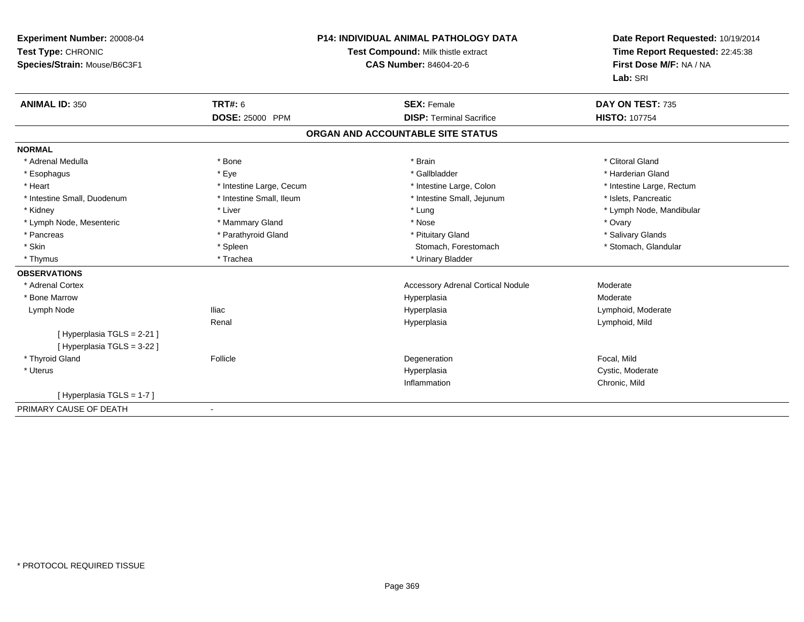| Experiment Number: 20008-04  | <b>P14: INDIVIDUAL ANIMAL PATHOLOGY DATA</b><br>Test Compound: Milk thistle extract |                                          | Date Report Requested: 10/19/2014 |
|------------------------------|-------------------------------------------------------------------------------------|------------------------------------------|-----------------------------------|
| Test Type: CHRONIC           |                                                                                     |                                          | Time Report Requested: 22:45:38   |
| Species/Strain: Mouse/B6C3F1 |                                                                                     | <b>CAS Number: 84604-20-6</b>            | First Dose M/F: NA / NA           |
|                              |                                                                                     |                                          | Lab: SRI                          |
| <b>ANIMAL ID: 350</b>        | TRT#: 6                                                                             | <b>SEX: Female</b>                       | DAY ON TEST: 735                  |
|                              | <b>DOSE: 25000 PPM</b>                                                              | <b>DISP: Terminal Sacrifice</b>          | <b>HISTO: 107754</b>              |
|                              |                                                                                     | ORGAN AND ACCOUNTABLE SITE STATUS        |                                   |
| <b>NORMAL</b>                |                                                                                     |                                          |                                   |
| * Adrenal Medulla            | * Bone                                                                              | * Brain                                  | * Clitoral Gland                  |
| * Esophagus                  | * Eye                                                                               | * Gallbladder                            | * Harderian Gland                 |
| * Heart                      | * Intestine Large, Cecum                                                            | * Intestine Large, Colon                 | * Intestine Large, Rectum         |
| * Intestine Small, Duodenum  | * Intestine Small, Ileum                                                            | * Intestine Small, Jejunum               | * Islets, Pancreatic              |
| * Kidney                     | * Liver                                                                             | * Lung                                   | * Lymph Node, Mandibular          |
| * Lymph Node, Mesenteric     | * Mammary Gland                                                                     | * Nose                                   | * Ovary                           |
| * Pancreas                   | * Parathyroid Gland                                                                 | * Pituitary Gland                        | * Salivary Glands                 |
| * Skin                       | * Spleen                                                                            | Stomach, Forestomach                     | * Stomach, Glandular              |
| * Thymus                     | * Trachea                                                                           | * Urinary Bladder                        |                                   |
| <b>OBSERVATIONS</b>          |                                                                                     |                                          |                                   |
| * Adrenal Cortex             |                                                                                     | <b>Accessory Adrenal Cortical Nodule</b> | Moderate                          |
| * Bone Marrow                |                                                                                     | Hyperplasia                              | Moderate                          |
| Lymph Node                   | <b>Iliac</b>                                                                        | Hyperplasia                              | Lymphoid, Moderate                |
|                              | Renal                                                                               | Hyperplasia                              | Lymphoid, Mild                    |
| [Hyperplasia TGLS = 2-21]    |                                                                                     |                                          |                                   |
| [ Hyperplasia TGLS = 3-22 ]  |                                                                                     |                                          |                                   |
| * Thyroid Gland              | Follicle                                                                            | Degeneration                             | Focal, Mild                       |
| * Uterus                     |                                                                                     | Hyperplasia                              | Cystic, Moderate                  |
|                              |                                                                                     | Inflammation                             | Chronic, Mild                     |
| [Hyperplasia TGLS = 1-7]     |                                                                                     |                                          |                                   |
| PRIMARY CAUSE OF DEATH       | $\overline{\phantom{a}}$                                                            |                                          |                                   |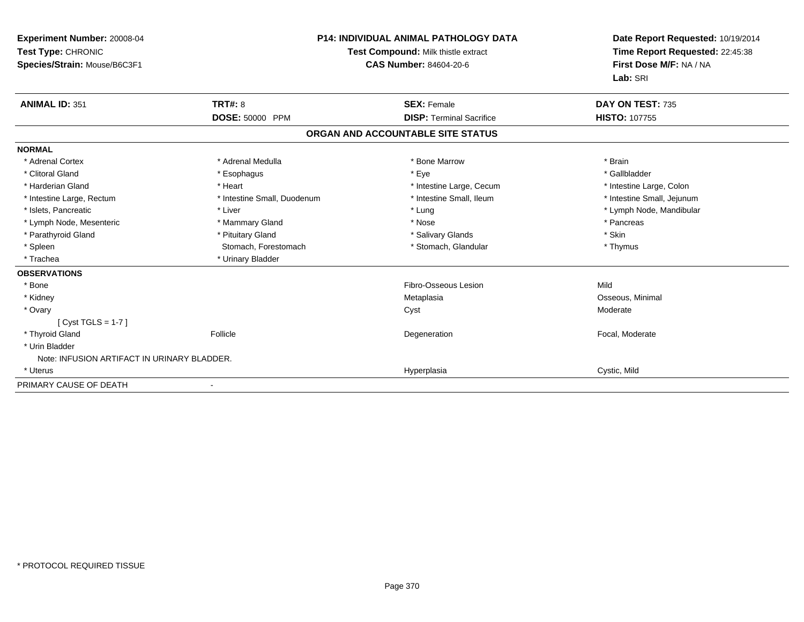| Experiment Number: 20008-04<br>Test Type: CHRONIC<br>Species/Strain: Mouse/B6C3F1 |                             | <b>P14: INDIVIDUAL ANIMAL PATHOLOGY DATA</b><br>Test Compound: Milk thistle extract<br><b>CAS Number: 84604-20-6</b> | Date Report Requested: 10/19/2014<br>Time Report Requested: 22:45:38<br>First Dose M/F: NA / NA<br>Lab: SRI |  |
|-----------------------------------------------------------------------------------|-----------------------------|----------------------------------------------------------------------------------------------------------------------|-------------------------------------------------------------------------------------------------------------|--|
| <b>ANIMAL ID: 351</b>                                                             | <b>TRT#: 8</b>              | <b>SEX: Female</b>                                                                                                   | DAY ON TEST: 735                                                                                            |  |
|                                                                                   | DOSE: 50000 PPM             | <b>DISP: Terminal Sacrifice</b>                                                                                      | <b>HISTO: 107755</b>                                                                                        |  |
|                                                                                   |                             | ORGAN AND ACCOUNTABLE SITE STATUS                                                                                    |                                                                                                             |  |
| <b>NORMAL</b>                                                                     |                             |                                                                                                                      |                                                                                                             |  |
| * Adrenal Cortex                                                                  | * Adrenal Medulla           | * Bone Marrow                                                                                                        | * Brain                                                                                                     |  |
| * Clitoral Gland                                                                  | * Esophagus                 | * Eye                                                                                                                | * Gallbladder                                                                                               |  |
| * Harderian Gland                                                                 | * Heart                     | * Intestine Large, Cecum                                                                                             | * Intestine Large, Colon                                                                                    |  |
| * Intestine Large, Rectum                                                         | * Intestine Small, Duodenum | * Intestine Small, Ileum                                                                                             | * Intestine Small, Jejunum                                                                                  |  |
| * Islets, Pancreatic                                                              | * Liver                     | * Lung                                                                                                               | * Lymph Node, Mandibular                                                                                    |  |
| * Lymph Node, Mesenteric                                                          | * Mammary Gland             | * Nose                                                                                                               | * Pancreas                                                                                                  |  |
| * Parathyroid Gland                                                               | * Pituitary Gland           | * Salivary Glands                                                                                                    | * Skin                                                                                                      |  |
| * Spleen                                                                          | Stomach, Forestomach        | * Stomach, Glandular                                                                                                 | * Thymus                                                                                                    |  |
| * Trachea                                                                         | * Urinary Bladder           |                                                                                                                      |                                                                                                             |  |
| <b>OBSERVATIONS</b>                                                               |                             |                                                                                                                      |                                                                                                             |  |
| * Bone                                                                            |                             | Fibro-Osseous Lesion                                                                                                 | Mild                                                                                                        |  |
| * Kidney                                                                          |                             | Metaplasia                                                                                                           | Osseous, Minimal                                                                                            |  |
| * Ovary                                                                           |                             | Cyst                                                                                                                 | Moderate                                                                                                    |  |
| $[Cyst TGLS = 1-7]$                                                               |                             |                                                                                                                      |                                                                                                             |  |
| * Thyroid Gland                                                                   | Follicle                    | Degeneration                                                                                                         | Focal, Moderate                                                                                             |  |
| * Urin Bladder                                                                    |                             |                                                                                                                      |                                                                                                             |  |
| Note: INFUSION ARTIFACT IN URINARY BLADDER.                                       |                             |                                                                                                                      |                                                                                                             |  |
| * Uterus                                                                          |                             | Hyperplasia                                                                                                          | Cystic, Mild                                                                                                |  |
| PRIMARY CAUSE OF DEATH                                                            |                             |                                                                                                                      |                                                                                                             |  |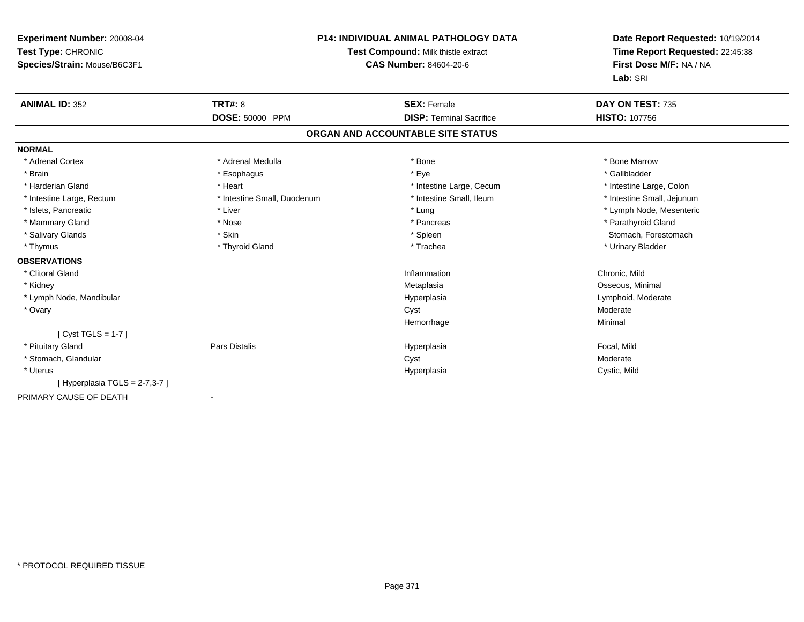| Experiment Number: 20008-04<br>Test Type: CHRONIC<br>Species/Strain: Mouse/B6C3F1 |                             | <b>P14: INDIVIDUAL ANIMAL PATHOLOGY DATA</b><br>Test Compound: Milk thistle extract<br><b>CAS Number: 84604-20-6</b> | Date Report Requested: 10/19/2014<br>Time Report Requested: 22:45:38<br>First Dose M/F: NA / NA<br>Lab: SRI |  |
|-----------------------------------------------------------------------------------|-----------------------------|----------------------------------------------------------------------------------------------------------------------|-------------------------------------------------------------------------------------------------------------|--|
| <b>ANIMAL ID: 352</b>                                                             | <b>TRT#: 8</b>              | <b>SEX: Female</b>                                                                                                   | DAY ON TEST: 735                                                                                            |  |
|                                                                                   | <b>DOSE: 50000 PPM</b>      | <b>DISP: Terminal Sacrifice</b>                                                                                      | <b>HISTO: 107756</b>                                                                                        |  |
|                                                                                   |                             | ORGAN AND ACCOUNTABLE SITE STATUS                                                                                    |                                                                                                             |  |
| <b>NORMAL</b>                                                                     |                             |                                                                                                                      |                                                                                                             |  |
| * Adrenal Cortex                                                                  | * Adrenal Medulla           | * Bone                                                                                                               | * Bone Marrow                                                                                               |  |
| * Brain                                                                           | * Esophagus                 | * Eye                                                                                                                | * Gallbladder                                                                                               |  |
| * Harderian Gland                                                                 | * Heart                     | * Intestine Large, Cecum                                                                                             | * Intestine Large, Colon                                                                                    |  |
| * Intestine Large, Rectum                                                         | * Intestine Small, Duodenum | * Intestine Small. Ileum                                                                                             | * Intestine Small, Jejunum                                                                                  |  |
| * Islets, Pancreatic                                                              | * Liver                     | * Lung                                                                                                               | * Lymph Node, Mesenteric                                                                                    |  |
| * Mammary Gland                                                                   | * Nose                      | * Pancreas                                                                                                           | * Parathyroid Gland                                                                                         |  |
| * Salivary Glands                                                                 | * Skin                      | * Spleen                                                                                                             | Stomach, Forestomach                                                                                        |  |
| * Thymus                                                                          | * Thyroid Gland             | * Trachea                                                                                                            | * Urinary Bladder                                                                                           |  |
| <b>OBSERVATIONS</b>                                                               |                             |                                                                                                                      |                                                                                                             |  |
| * Clitoral Gland                                                                  |                             | Inflammation                                                                                                         | Chronic, Mild                                                                                               |  |
| * Kidney                                                                          |                             | Metaplasia                                                                                                           | Osseous, Minimal                                                                                            |  |
| * Lymph Node, Mandibular                                                          |                             | Hyperplasia                                                                                                          | Lymphoid, Moderate                                                                                          |  |
| * Ovary                                                                           |                             | Cyst                                                                                                                 | Moderate                                                                                                    |  |
|                                                                                   |                             | Hemorrhage                                                                                                           | Minimal                                                                                                     |  |
| [ $Cyst TGLS = 1-7$ ]                                                             |                             |                                                                                                                      |                                                                                                             |  |
| * Pituitary Gland                                                                 | <b>Pars Distalis</b>        | Hyperplasia                                                                                                          | Focal, Mild                                                                                                 |  |
| * Stomach, Glandular                                                              |                             | Cyst                                                                                                                 | Moderate                                                                                                    |  |
| * Uterus                                                                          |                             | Hyperplasia                                                                                                          | Cystic, Mild                                                                                                |  |
| [Hyperplasia TGLS = 2-7,3-7 ]                                                     |                             |                                                                                                                      |                                                                                                             |  |
| PRIMARY CAUSE OF DEATH                                                            |                             |                                                                                                                      |                                                                                                             |  |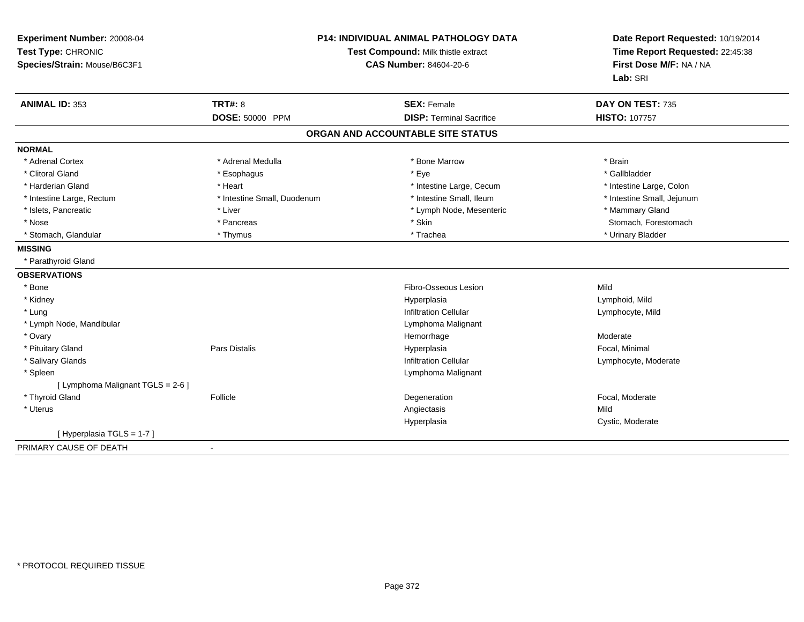| Experiment Number: 20008-04<br>Test Type: CHRONIC<br>Species/Strain: Mouse/B6C3F1 |                                   | <b>P14: INDIVIDUAL ANIMAL PATHOLOGY DATA</b><br>Test Compound: Milk thistle extract<br><b>CAS Number: 84604-20-6</b> | Date Report Requested: 10/19/2014<br>Time Report Requested: 22:45:38<br>First Dose M/F: NA / NA<br>Lab: SRI |
|-----------------------------------------------------------------------------------|-----------------------------------|----------------------------------------------------------------------------------------------------------------------|-------------------------------------------------------------------------------------------------------------|
| <b>ANIMAL ID: 353</b>                                                             | <b>TRT#: 8</b><br>DOSE: 50000 PPM | <b>SEX: Female</b><br><b>DISP: Terminal Sacrifice</b>                                                                | DAY ON TEST: 735<br><b>HISTO: 107757</b>                                                                    |
|                                                                                   |                                   |                                                                                                                      |                                                                                                             |
|                                                                                   |                                   | ORGAN AND ACCOUNTABLE SITE STATUS                                                                                    |                                                                                                             |
| <b>NORMAL</b>                                                                     |                                   |                                                                                                                      |                                                                                                             |
| * Adrenal Cortex                                                                  | * Adrenal Medulla                 | * Bone Marrow                                                                                                        | * Brain                                                                                                     |
| * Clitoral Gland                                                                  | * Esophagus                       | * Eye                                                                                                                | * Gallbladder                                                                                               |
| * Harderian Gland                                                                 | * Heart                           | * Intestine Large, Cecum                                                                                             | * Intestine Large, Colon                                                                                    |
| * Intestine Large, Rectum                                                         | * Intestine Small, Duodenum       | * Intestine Small, Ileum                                                                                             | * Intestine Small, Jejunum                                                                                  |
| * Islets, Pancreatic                                                              | * Liver                           | * Lymph Node, Mesenteric                                                                                             | * Mammary Gland                                                                                             |
| * Nose                                                                            | * Pancreas                        | * Skin                                                                                                               | Stomach, Forestomach                                                                                        |
| * Stomach, Glandular                                                              | * Thymus                          | * Trachea                                                                                                            | * Urinary Bladder                                                                                           |
| <b>MISSING</b>                                                                    |                                   |                                                                                                                      |                                                                                                             |
| * Parathyroid Gland                                                               |                                   |                                                                                                                      |                                                                                                             |
| <b>OBSERVATIONS</b>                                                               |                                   |                                                                                                                      |                                                                                                             |
| * Bone                                                                            |                                   | Fibro-Osseous Lesion                                                                                                 | Mild                                                                                                        |
| * Kidney                                                                          |                                   | Hyperplasia                                                                                                          | Lymphoid, Mild                                                                                              |
| * Lung                                                                            |                                   | <b>Infiltration Cellular</b>                                                                                         | Lymphocyte, Mild                                                                                            |
| * Lymph Node, Mandibular                                                          |                                   | Lymphoma Malignant                                                                                                   |                                                                                                             |
| * Ovary                                                                           |                                   | Hemorrhage                                                                                                           | Moderate                                                                                                    |
| * Pituitary Gland                                                                 | <b>Pars Distalis</b>              | Hyperplasia                                                                                                          | Focal, Minimal                                                                                              |
| * Salivary Glands                                                                 |                                   | <b>Infiltration Cellular</b>                                                                                         | Lymphocyte, Moderate                                                                                        |
| * Spleen                                                                          |                                   | Lymphoma Malignant                                                                                                   |                                                                                                             |
| [ Lymphoma Malignant TGLS = 2-6 ]                                                 |                                   |                                                                                                                      |                                                                                                             |
| * Thyroid Gland                                                                   | Follicle                          | Degeneration                                                                                                         | Focal, Moderate                                                                                             |
| * Uterus                                                                          |                                   | Angiectasis                                                                                                          | Mild                                                                                                        |
|                                                                                   |                                   | Hyperplasia                                                                                                          | Cystic, Moderate                                                                                            |
| [Hyperplasia TGLS = 1-7]                                                          |                                   |                                                                                                                      |                                                                                                             |
| PRIMARY CAUSE OF DEATH                                                            |                                   |                                                                                                                      |                                                                                                             |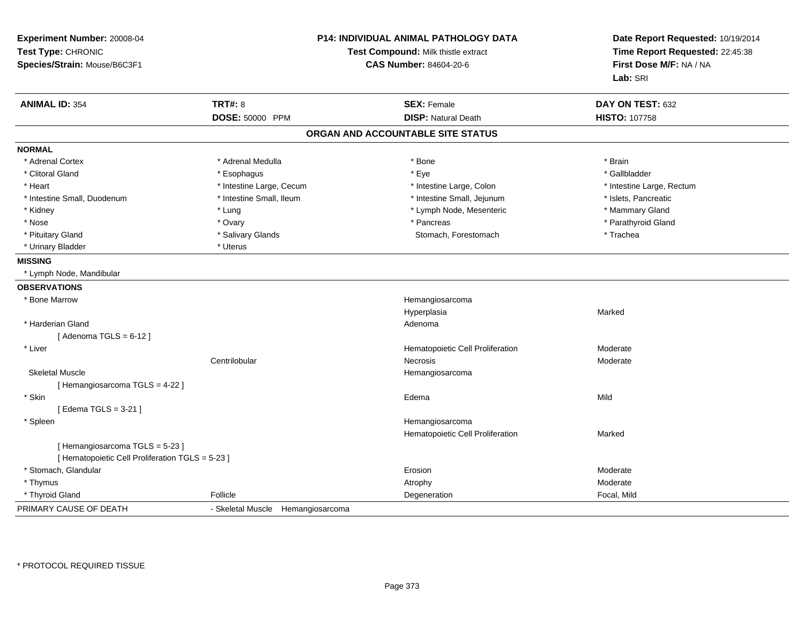| Experiment Number: 20008-04<br>Test Type: CHRONIC<br>Species/Strain: Mouse/B6C3F1 |                                   | <b>P14: INDIVIDUAL ANIMAL PATHOLOGY DATA</b><br>Test Compound: Milk thistle extract<br><b>CAS Number: 84604-20-6</b> | Date Report Requested: 10/19/2014<br>Time Report Requested: 22:45:38<br>First Dose M/F: NA / NA<br>Lab: SRI |
|-----------------------------------------------------------------------------------|-----------------------------------|----------------------------------------------------------------------------------------------------------------------|-------------------------------------------------------------------------------------------------------------|
| <b>ANIMAL ID: 354</b>                                                             | <b>TRT#: 8</b>                    | <b>SEX: Female</b>                                                                                                   | DAY ON TEST: 632                                                                                            |
|                                                                                   | DOSE: 50000 PPM                   | <b>DISP: Natural Death</b>                                                                                           | <b>HISTO: 107758</b>                                                                                        |
|                                                                                   |                                   | ORGAN AND ACCOUNTABLE SITE STATUS                                                                                    |                                                                                                             |
| <b>NORMAL</b>                                                                     |                                   |                                                                                                                      |                                                                                                             |
| * Adrenal Cortex                                                                  | * Adrenal Medulla                 | * Bone                                                                                                               | * Brain                                                                                                     |
| * Clitoral Gland                                                                  | * Esophagus                       | * Eye                                                                                                                | * Gallbladder                                                                                               |
| * Heart                                                                           | * Intestine Large, Cecum          | * Intestine Large, Colon                                                                                             | * Intestine Large, Rectum                                                                                   |
| * Intestine Small, Duodenum                                                       | * Intestine Small, Ileum          | * Intestine Small, Jejunum                                                                                           | * Islets, Pancreatic                                                                                        |
| * Kidney                                                                          | * Lung                            | * Lymph Node, Mesenteric                                                                                             | * Mammary Gland                                                                                             |
| * Nose                                                                            | * Ovary                           | * Pancreas                                                                                                           | * Parathyroid Gland                                                                                         |
| * Pituitary Gland                                                                 | * Salivary Glands                 | Stomach, Forestomach                                                                                                 | * Trachea                                                                                                   |
| * Urinary Bladder                                                                 | * Uterus                          |                                                                                                                      |                                                                                                             |
| <b>MISSING</b>                                                                    |                                   |                                                                                                                      |                                                                                                             |
| * Lymph Node, Mandibular                                                          |                                   |                                                                                                                      |                                                                                                             |
| <b>OBSERVATIONS</b>                                                               |                                   |                                                                                                                      |                                                                                                             |
| * Bone Marrow                                                                     |                                   | Hemangiosarcoma                                                                                                      |                                                                                                             |
|                                                                                   |                                   | Hyperplasia                                                                                                          | Marked                                                                                                      |
| * Harderian Gland                                                                 |                                   | Adenoma                                                                                                              |                                                                                                             |
| [Adenoma TGLS = $6-12$ ]                                                          |                                   |                                                                                                                      |                                                                                                             |
| * Liver                                                                           |                                   | Hematopoietic Cell Proliferation                                                                                     | Moderate                                                                                                    |
|                                                                                   | Centrilobular                     | Necrosis                                                                                                             | Moderate                                                                                                    |
| <b>Skeletal Muscle</b>                                                            |                                   | Hemangiosarcoma                                                                                                      |                                                                                                             |
| [Hemangiosarcoma TGLS = 4-22]                                                     |                                   |                                                                                                                      |                                                                                                             |
| * Skin                                                                            |                                   | Edema                                                                                                                | Mild                                                                                                        |
| [Edema TGLS = $3-21$ ]                                                            |                                   |                                                                                                                      |                                                                                                             |
| * Spleen                                                                          |                                   | Hemangiosarcoma                                                                                                      |                                                                                                             |
|                                                                                   |                                   | Hematopoietic Cell Proliferation                                                                                     | Marked                                                                                                      |
| [Hemangiosarcoma TGLS = 5-23]                                                     |                                   |                                                                                                                      |                                                                                                             |
| [ Hematopoietic Cell Proliferation TGLS = 5-23 ]                                  |                                   |                                                                                                                      |                                                                                                             |
| * Stomach, Glandular                                                              |                                   | Erosion                                                                                                              | Moderate                                                                                                    |
| * Thymus                                                                          |                                   | Atrophy                                                                                                              | Moderate                                                                                                    |
| * Thyroid Gland                                                                   | Follicle                          | Degeneration                                                                                                         | Focal, Mild                                                                                                 |
| PRIMARY CAUSE OF DEATH                                                            | - Skeletal Muscle Hemangiosarcoma |                                                                                                                      |                                                                                                             |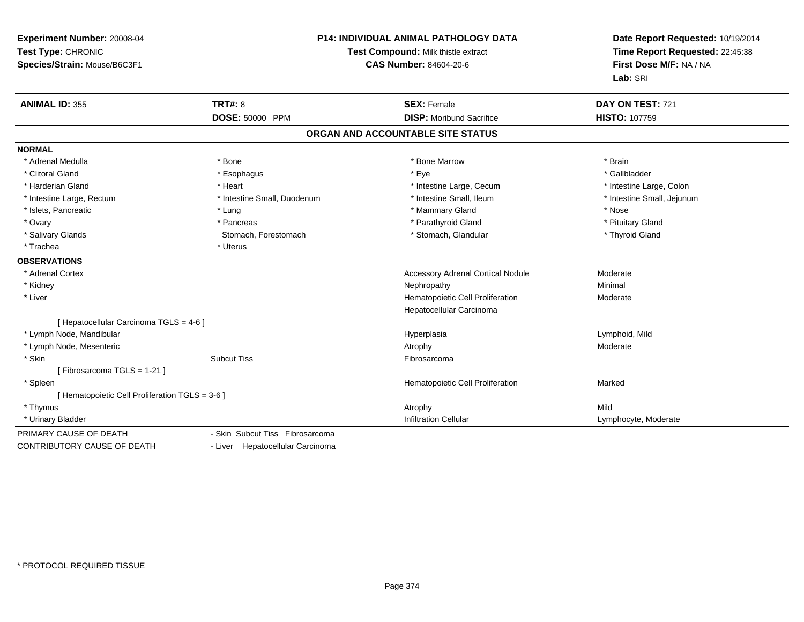| Experiment Number: 20008-04<br>Test Type: CHRONIC<br>Species/Strain: Mouse/B6C3F1 |                                  | P14: INDIVIDUAL ANIMAL PATHOLOGY DATA<br>Test Compound: Milk thistle extract<br><b>CAS Number: 84604-20-6</b> |                            |
|-----------------------------------------------------------------------------------|----------------------------------|---------------------------------------------------------------------------------------------------------------|----------------------------|
| <b>ANIMAL ID: 355</b>                                                             | <b>TRT#: 8</b>                   | <b>SEX: Female</b>                                                                                            | DAY ON TEST: 721           |
|                                                                                   | DOSE: 50000 PPM                  | <b>DISP:</b> Moribund Sacrifice                                                                               | <b>HISTO: 107759</b>       |
|                                                                                   |                                  | ORGAN AND ACCOUNTABLE SITE STATUS                                                                             |                            |
| <b>NORMAL</b>                                                                     |                                  |                                                                                                               |                            |
| * Adrenal Medulla                                                                 | * Bone                           | * Bone Marrow                                                                                                 | * Brain                    |
| * Clitoral Gland                                                                  | * Esophagus                      | * Eye                                                                                                         | * Gallbladder              |
| * Harderian Gland                                                                 | * Heart                          | * Intestine Large, Cecum                                                                                      | * Intestine Large, Colon   |
| * Intestine Large, Rectum                                                         | * Intestine Small, Duodenum      | * Intestine Small, Ileum                                                                                      | * Intestine Small, Jejunum |
| * Islets, Pancreatic                                                              | * Lung                           | * Mammary Gland                                                                                               | * Nose                     |
| * Ovary                                                                           | * Pancreas                       | * Parathyroid Gland                                                                                           | * Pituitary Gland          |
| * Salivary Glands                                                                 | Stomach, Forestomach             | * Stomach, Glandular                                                                                          | * Thyroid Gland            |
| * Trachea                                                                         | * Uterus                         |                                                                                                               |                            |
| <b>OBSERVATIONS</b>                                                               |                                  |                                                                                                               |                            |
| * Adrenal Cortex                                                                  |                                  | <b>Accessory Adrenal Cortical Nodule</b>                                                                      | Moderate                   |
| * Kidney                                                                          |                                  | Nephropathy                                                                                                   | Minimal                    |
| * Liver                                                                           |                                  | Hematopoietic Cell Proliferation                                                                              | Moderate                   |
|                                                                                   |                                  | Hepatocellular Carcinoma                                                                                      |                            |
| [ Hepatocellular Carcinoma TGLS = 4-6 ]                                           |                                  |                                                                                                               |                            |
| * Lymph Node, Mandibular                                                          |                                  | Hyperplasia                                                                                                   | Lymphoid, Mild             |
| * Lymph Node, Mesenteric                                                          |                                  | Atrophy                                                                                                       | Moderate                   |
| * Skin                                                                            | <b>Subcut Tiss</b>               | Fibrosarcoma                                                                                                  |                            |
| [Fibrosarcoma TGLS = 1-21]                                                        |                                  |                                                                                                               |                            |
| * Spleen                                                                          |                                  | Hematopoietic Cell Proliferation                                                                              | Marked                     |
| [ Hematopoietic Cell Proliferation TGLS = 3-6 ]                                   |                                  |                                                                                                               |                            |
| * Thymus                                                                          |                                  | Atrophy                                                                                                       | Mild                       |
| * Urinary Bladder                                                                 |                                  | <b>Infiltration Cellular</b>                                                                                  | Lymphocyte, Moderate       |
| PRIMARY CAUSE OF DEATH                                                            | - Skin Subcut Tiss Fibrosarcoma  |                                                                                                               |                            |
| <b>CONTRIBUTORY CAUSE OF DEATH</b>                                                | - Liver Hepatocellular Carcinoma |                                                                                                               |                            |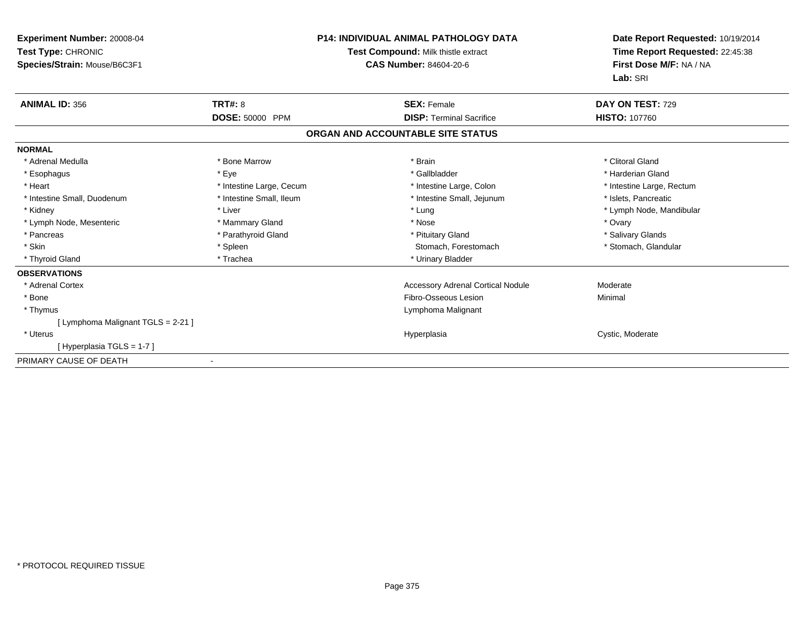| Experiment Number: 20008-04<br>Test Type: CHRONIC<br>Species/Strain: Mouse/B6C3F1 |                          | P14: INDIVIDUAL ANIMAL PATHOLOGY DATA<br><b>Test Compound: Milk thistle extract</b><br><b>CAS Number: 84604-20-6</b> | Date Report Requested: 10/19/2014<br>Time Report Requested: 22:45:38<br>First Dose M/F: NA / NA<br>Lab: SRI |
|-----------------------------------------------------------------------------------|--------------------------|----------------------------------------------------------------------------------------------------------------------|-------------------------------------------------------------------------------------------------------------|
| <b>ANIMAL ID: 356</b>                                                             | <b>TRT#: 8</b>           | <b>SEX: Female</b>                                                                                                   | DAY ON TEST: 729                                                                                            |
|                                                                                   | DOSE: 50000 PPM          | <b>DISP: Terminal Sacrifice</b>                                                                                      | <b>HISTO: 107760</b>                                                                                        |
|                                                                                   |                          | ORGAN AND ACCOUNTABLE SITE STATUS                                                                                    |                                                                                                             |
| <b>NORMAL</b>                                                                     |                          |                                                                                                                      |                                                                                                             |
| * Adrenal Medulla                                                                 | * Bone Marrow            | * Brain                                                                                                              | * Clitoral Gland                                                                                            |
| * Esophagus                                                                       | * Eye                    | * Gallbladder                                                                                                        | * Harderian Gland                                                                                           |
| * Heart                                                                           | * Intestine Large, Cecum | * Intestine Large, Colon                                                                                             | * Intestine Large, Rectum                                                                                   |
| * Intestine Small, Duodenum                                                       | * Intestine Small, Ileum | * Intestine Small, Jejunum                                                                                           | * Islets, Pancreatic                                                                                        |
| * Kidney                                                                          | * Liver                  | * Lung                                                                                                               | * Lymph Node, Mandibular                                                                                    |
| * Lymph Node, Mesenteric                                                          | * Mammary Gland          | * Nose                                                                                                               | * Ovary                                                                                                     |
| * Pancreas                                                                        | * Parathyroid Gland      | * Pituitary Gland                                                                                                    | * Salivary Glands                                                                                           |
| * Skin                                                                            | * Spleen                 | Stomach, Forestomach                                                                                                 | * Stomach, Glandular                                                                                        |
| * Thyroid Gland                                                                   | * Trachea                | * Urinary Bladder                                                                                                    |                                                                                                             |
| <b>OBSERVATIONS</b>                                                               |                          |                                                                                                                      |                                                                                                             |
| * Adrenal Cortex                                                                  |                          | <b>Accessory Adrenal Cortical Nodule</b>                                                                             | Moderate                                                                                                    |
| * Bone                                                                            |                          | Fibro-Osseous Lesion                                                                                                 | Minimal                                                                                                     |
| * Thymus                                                                          |                          | Lymphoma Malignant                                                                                                   |                                                                                                             |
| [ Lymphoma Malignant TGLS = 2-21 ]                                                |                          |                                                                                                                      |                                                                                                             |
| * Uterus                                                                          |                          | Hyperplasia                                                                                                          | Cystic, Moderate                                                                                            |
| [Hyperplasia TGLS = 1-7]                                                          |                          |                                                                                                                      |                                                                                                             |
| PRIMARY CAUSE OF DEATH                                                            |                          |                                                                                                                      |                                                                                                             |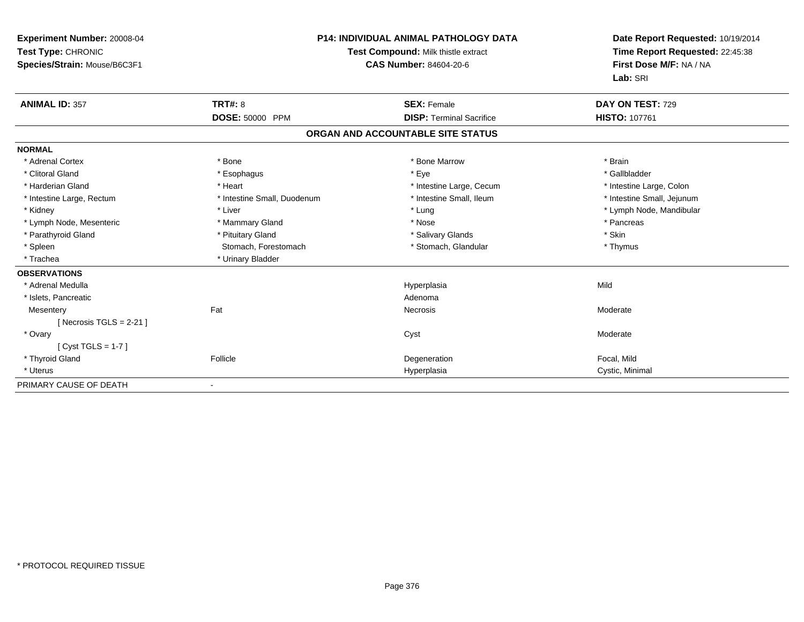| <b>Experiment Number: 20008-04</b><br>Test Type: CHRONIC<br>Species/Strain: Mouse/B6C3F1 |                             | <b>P14: INDIVIDUAL ANIMAL PATHOLOGY DATA</b><br>Test Compound: Milk thistle extract<br><b>CAS Number: 84604-20-6</b> | Date Report Requested: 10/19/2014<br>Time Report Requested: 22:45:38<br>First Dose M/F: NA / NA<br>Lab: SRI |
|------------------------------------------------------------------------------------------|-----------------------------|----------------------------------------------------------------------------------------------------------------------|-------------------------------------------------------------------------------------------------------------|
| <b>ANIMAL ID: 357</b>                                                                    | TRT#: 8                     | <b>SEX: Female</b>                                                                                                   | DAY ON TEST: 729                                                                                            |
|                                                                                          | DOSE: 50000 PPM             | <b>DISP: Terminal Sacrifice</b>                                                                                      | <b>HISTO: 107761</b>                                                                                        |
|                                                                                          |                             | ORGAN AND ACCOUNTABLE SITE STATUS                                                                                    |                                                                                                             |
| <b>NORMAL</b>                                                                            |                             |                                                                                                                      |                                                                                                             |
| * Adrenal Cortex                                                                         | * Bone                      | * Bone Marrow                                                                                                        | * Brain                                                                                                     |
| * Clitoral Gland                                                                         | * Esophagus                 | * Eye                                                                                                                | * Gallbladder                                                                                               |
| * Harderian Gland                                                                        | * Heart                     | * Intestine Large, Cecum                                                                                             | * Intestine Large, Colon                                                                                    |
| * Intestine Large, Rectum                                                                | * Intestine Small, Duodenum | * Intestine Small, Ileum                                                                                             | * Intestine Small, Jejunum                                                                                  |
| * Kidney                                                                                 | * Liver                     | * Lung                                                                                                               | * Lymph Node, Mandibular                                                                                    |
| * Lymph Node, Mesenteric                                                                 | * Mammary Gland             | * Nose                                                                                                               | * Pancreas                                                                                                  |
| * Parathyroid Gland                                                                      | * Pituitary Gland           | * Salivary Glands                                                                                                    | * Skin                                                                                                      |
| * Spleen                                                                                 | Stomach, Forestomach        | * Stomach, Glandular                                                                                                 | * Thymus                                                                                                    |
| * Trachea                                                                                | * Urinary Bladder           |                                                                                                                      |                                                                                                             |
| <b>OBSERVATIONS</b>                                                                      |                             |                                                                                                                      |                                                                                                             |
| * Adrenal Medulla                                                                        |                             | Hyperplasia                                                                                                          | Mild                                                                                                        |
| * Islets, Pancreatic                                                                     |                             | Adenoma                                                                                                              |                                                                                                             |
| Mesentery                                                                                | Fat                         | <b>Necrosis</b>                                                                                                      | Moderate                                                                                                    |
| [Necrosis TGLS = $2-21$ ]                                                                |                             |                                                                                                                      |                                                                                                             |
| * Ovary                                                                                  |                             | Cyst                                                                                                                 | Moderate                                                                                                    |
| [ $Cyst TGLS = 1-7$ ]                                                                    |                             |                                                                                                                      |                                                                                                             |
| * Thyroid Gland                                                                          | Follicle                    | Degeneration                                                                                                         | Focal, Mild                                                                                                 |
| * Uterus                                                                                 |                             | Hyperplasia                                                                                                          | Cystic, Minimal                                                                                             |
| PRIMARY CAUSE OF DEATH                                                                   |                             |                                                                                                                      |                                                                                                             |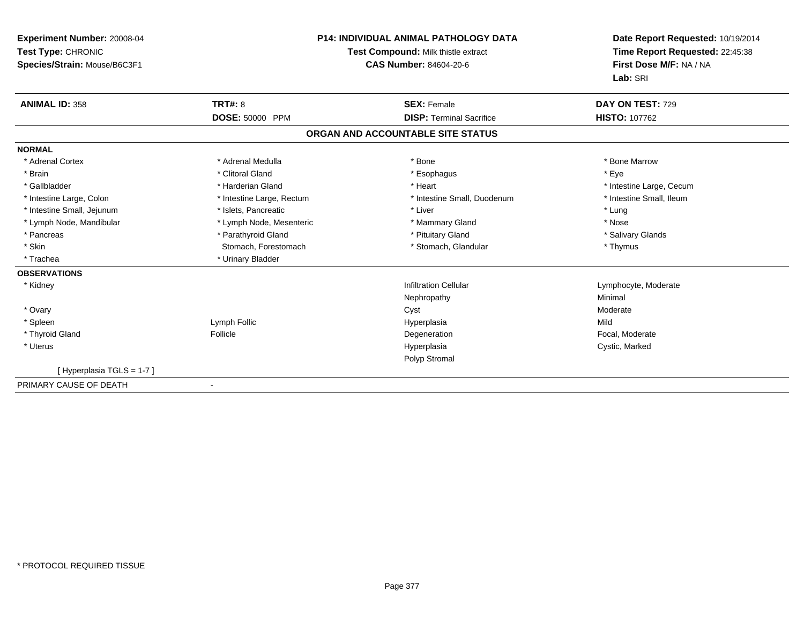| <b>Experiment Number: 20008-04</b><br>Test Type: CHRONIC<br>Species/Strain: Mouse/B6C3F1 | <b>P14: INDIVIDUAL ANIMAL PATHOLOGY DATA</b><br>Test Compound: Milk thistle extract<br>CAS Number: 84604-20-6 |                                   | Date Report Requested: 10/19/2014<br>Time Report Requested: 22:45:38<br>First Dose M/F: NA / NA<br>Lab: SRI |
|------------------------------------------------------------------------------------------|---------------------------------------------------------------------------------------------------------------|-----------------------------------|-------------------------------------------------------------------------------------------------------------|
| <b>ANIMAL ID: 358</b>                                                                    | <b>TRT#: 8</b>                                                                                                | <b>SEX: Female</b>                | DAY ON TEST: 729                                                                                            |
|                                                                                          | DOSE: 50000 PPM                                                                                               | <b>DISP: Terminal Sacrifice</b>   | <b>HISTO: 107762</b>                                                                                        |
|                                                                                          |                                                                                                               | ORGAN AND ACCOUNTABLE SITE STATUS |                                                                                                             |
| <b>NORMAL</b>                                                                            |                                                                                                               |                                   |                                                                                                             |
| * Adrenal Cortex                                                                         | * Adrenal Medulla                                                                                             | * Bone                            | * Bone Marrow                                                                                               |
| * Brain                                                                                  | * Clitoral Gland                                                                                              | * Esophagus                       | * Eye                                                                                                       |
| * Gallbladder                                                                            | * Harderian Gland                                                                                             | * Heart                           | * Intestine Large, Cecum                                                                                    |
| * Intestine Large, Colon                                                                 | * Intestine Large, Rectum                                                                                     | * Intestine Small, Duodenum       | * Intestine Small, Ileum                                                                                    |
| * Intestine Small, Jejunum                                                               | * Islets, Pancreatic                                                                                          | * Liver                           | * Lung                                                                                                      |
| * Lymph Node, Mandibular                                                                 | * Lymph Node, Mesenteric                                                                                      | * Mammary Gland                   | * Nose                                                                                                      |
| * Pancreas                                                                               | * Parathyroid Gland                                                                                           | * Pituitary Gland                 | * Salivary Glands                                                                                           |
| * Skin                                                                                   | Stomach, Forestomach                                                                                          | * Stomach, Glandular              | * Thymus                                                                                                    |
| * Trachea                                                                                | * Urinary Bladder                                                                                             |                                   |                                                                                                             |
| <b>OBSERVATIONS</b>                                                                      |                                                                                                               |                                   |                                                                                                             |
| * Kidney                                                                                 |                                                                                                               | <b>Infiltration Cellular</b>      | Lymphocyte, Moderate                                                                                        |
|                                                                                          |                                                                                                               | Nephropathy                       | Minimal                                                                                                     |
| * Ovary                                                                                  |                                                                                                               | Cyst                              | Moderate                                                                                                    |
| * Spleen                                                                                 | Lymph Follic                                                                                                  | Hyperplasia                       | Mild                                                                                                        |
| * Thyroid Gland                                                                          | Follicle                                                                                                      | Degeneration                      | Focal, Moderate                                                                                             |
| * Uterus                                                                                 |                                                                                                               | Hyperplasia                       | Cystic, Marked                                                                                              |
|                                                                                          |                                                                                                               | Polyp Stromal                     |                                                                                                             |
| [Hyperplasia TGLS = 1-7]                                                                 |                                                                                                               |                                   |                                                                                                             |
| PRIMARY CAUSE OF DEATH                                                                   |                                                                                                               |                                   |                                                                                                             |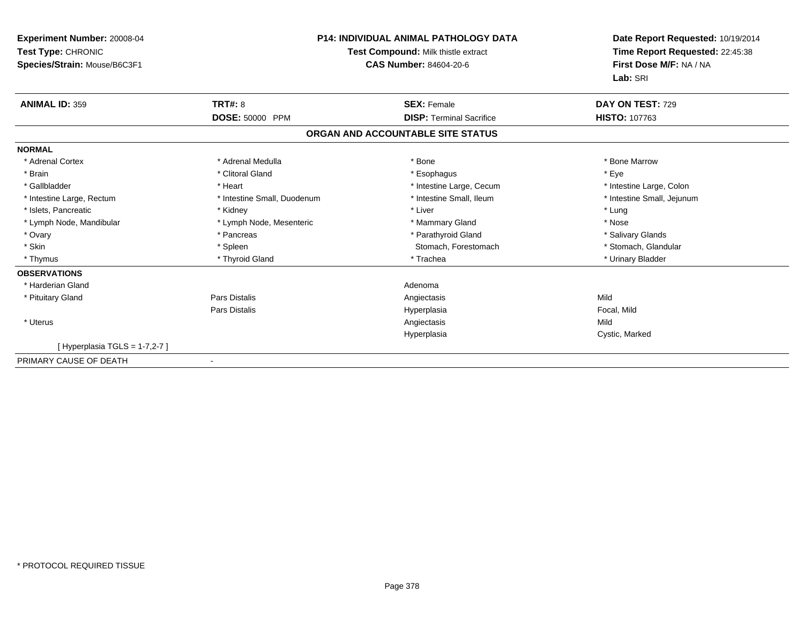| Experiment Number: 20008-04<br>Test Type: CHRONIC<br>Species/Strain: Mouse/B6C3F1 | <b>P14: INDIVIDUAL ANIMAL PATHOLOGY DATA</b><br>Test Compound: Milk thistle extract<br>CAS Number: 84604-20-6 |                                   | Date Report Requested: 10/19/2014<br>Time Report Requested: 22:45:38<br>First Dose M/F: NA / NA<br>Lab: SRI |
|-----------------------------------------------------------------------------------|---------------------------------------------------------------------------------------------------------------|-----------------------------------|-------------------------------------------------------------------------------------------------------------|
| <b>ANIMAL ID: 359</b>                                                             | <b>TRT#: 8</b>                                                                                                | <b>SEX: Female</b>                | DAY ON TEST: 729                                                                                            |
|                                                                                   | DOSE: 50000 PPM                                                                                               | <b>DISP: Terminal Sacrifice</b>   | <b>HISTO: 107763</b>                                                                                        |
|                                                                                   |                                                                                                               | ORGAN AND ACCOUNTABLE SITE STATUS |                                                                                                             |
| <b>NORMAL</b>                                                                     |                                                                                                               |                                   |                                                                                                             |
| * Adrenal Cortex                                                                  | * Adrenal Medulla                                                                                             | * Bone                            | * Bone Marrow                                                                                               |
| * Brain                                                                           | * Clitoral Gland                                                                                              | * Esophagus                       | * Eye                                                                                                       |
| * Gallbladder                                                                     | * Heart                                                                                                       | * Intestine Large, Cecum          | * Intestine Large, Colon                                                                                    |
| * Intestine Large, Rectum                                                         | * Intestine Small, Duodenum                                                                                   | * Intestine Small, Ileum          | * Intestine Small, Jejunum                                                                                  |
| * Islets, Pancreatic                                                              | * Kidney                                                                                                      | * Liver                           | * Lung                                                                                                      |
| * Lymph Node, Mandibular                                                          | * Lymph Node, Mesenteric                                                                                      | * Mammary Gland                   | * Nose                                                                                                      |
| * Ovary                                                                           | * Pancreas                                                                                                    | * Parathyroid Gland               | * Salivary Glands                                                                                           |
| * Skin                                                                            | * Spleen                                                                                                      | Stomach, Forestomach              | * Stomach, Glandular                                                                                        |
| * Thymus                                                                          | * Thyroid Gland                                                                                               | * Trachea                         | * Urinary Bladder                                                                                           |
| <b>OBSERVATIONS</b>                                                               |                                                                                                               |                                   |                                                                                                             |
| * Harderian Gland                                                                 |                                                                                                               | Adenoma                           |                                                                                                             |
| * Pituitary Gland                                                                 | <b>Pars Distalis</b>                                                                                          | Angiectasis                       | Mild                                                                                                        |
|                                                                                   | <b>Pars Distalis</b>                                                                                          | Hyperplasia                       | Focal, Mild                                                                                                 |
| * Uterus                                                                          |                                                                                                               | Angiectasis                       | Mild                                                                                                        |
|                                                                                   |                                                                                                               | Hyperplasia                       | Cystic, Marked                                                                                              |
| [Hyperplasia TGLS = $1-7,2-7$ ]                                                   |                                                                                                               |                                   |                                                                                                             |
| PRIMARY CAUSE OF DEATH                                                            |                                                                                                               |                                   |                                                                                                             |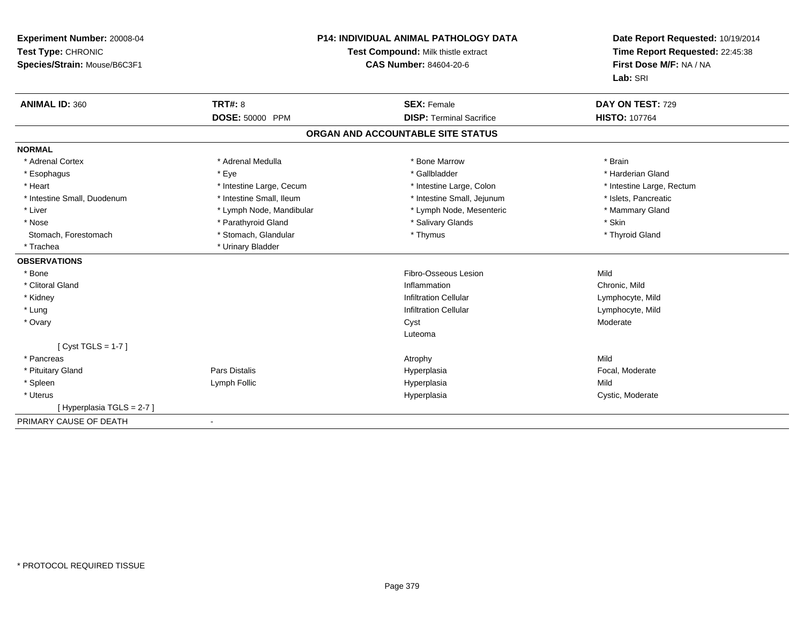| Experiment Number: 20008-04<br>Test Type: CHRONIC<br>Species/Strain: Mouse/B6C3F1 |                          | <b>P14: INDIVIDUAL ANIMAL PATHOLOGY DATA</b><br>Test Compound: Milk thistle extract<br><b>CAS Number: 84604-20-6</b> | Date Report Requested: 10/19/2014<br>Time Report Requested: 22:45:38<br>First Dose M/F: NA / NA<br>Lab: SRI |
|-----------------------------------------------------------------------------------|--------------------------|----------------------------------------------------------------------------------------------------------------------|-------------------------------------------------------------------------------------------------------------|
| <b>ANIMAL ID: 360</b>                                                             | <b>TRT#: 8</b>           | <b>SEX: Female</b>                                                                                                   | DAY ON TEST: 729                                                                                            |
|                                                                                   | DOSE: 50000 PPM          | <b>DISP: Terminal Sacrifice</b>                                                                                      | <b>HISTO: 107764</b>                                                                                        |
|                                                                                   |                          | ORGAN AND ACCOUNTABLE SITE STATUS                                                                                    |                                                                                                             |
| <b>NORMAL</b>                                                                     |                          |                                                                                                                      |                                                                                                             |
| * Adrenal Cortex                                                                  | * Adrenal Medulla        | * Bone Marrow                                                                                                        | * Brain                                                                                                     |
| * Esophagus                                                                       | * Eye                    | * Gallbladder                                                                                                        | * Harderian Gland                                                                                           |
| * Heart                                                                           | * Intestine Large, Cecum | * Intestine Large, Colon                                                                                             | * Intestine Large, Rectum                                                                                   |
| * Intestine Small, Duodenum                                                       | * Intestine Small, Ileum | * Intestine Small, Jejunum                                                                                           | * Islets, Pancreatic                                                                                        |
| * Liver                                                                           | * Lymph Node, Mandibular | * Lymph Node, Mesenteric                                                                                             | * Mammary Gland                                                                                             |
| * Nose                                                                            | * Parathyroid Gland      | * Salivary Glands                                                                                                    | * Skin                                                                                                      |
| Stomach, Forestomach                                                              | * Stomach, Glandular     | * Thymus                                                                                                             | * Thyroid Gland                                                                                             |
| * Trachea                                                                         | * Urinary Bladder        |                                                                                                                      |                                                                                                             |
| <b>OBSERVATIONS</b>                                                               |                          |                                                                                                                      |                                                                                                             |
| * Bone                                                                            |                          | Fibro-Osseous Lesion                                                                                                 | Mild                                                                                                        |
| * Clitoral Gland                                                                  |                          | Inflammation                                                                                                         | Chronic, Mild                                                                                               |
| * Kidney                                                                          |                          | <b>Infiltration Cellular</b>                                                                                         | Lymphocyte, Mild                                                                                            |
| * Lung                                                                            |                          | <b>Infiltration Cellular</b>                                                                                         | Lymphocyte, Mild                                                                                            |
| * Ovary                                                                           |                          | Cyst                                                                                                                 | Moderate                                                                                                    |
|                                                                                   |                          | Luteoma                                                                                                              |                                                                                                             |
| [ $Cyst TGLS = 1-7$ ]                                                             |                          |                                                                                                                      |                                                                                                             |
| * Pancreas                                                                        |                          | Atrophy                                                                                                              | Mild                                                                                                        |
| * Pituitary Gland                                                                 | Pars Distalis            | Hyperplasia                                                                                                          | Focal, Moderate                                                                                             |
| * Spleen                                                                          | Lymph Follic             | Hyperplasia                                                                                                          | Mild                                                                                                        |
| * Uterus                                                                          |                          | Hyperplasia                                                                                                          | Cystic, Moderate                                                                                            |
| [Hyperplasia TGLS = 2-7]                                                          |                          |                                                                                                                      |                                                                                                             |
| PRIMARY CAUSE OF DEATH                                                            | $\blacksquare$           |                                                                                                                      |                                                                                                             |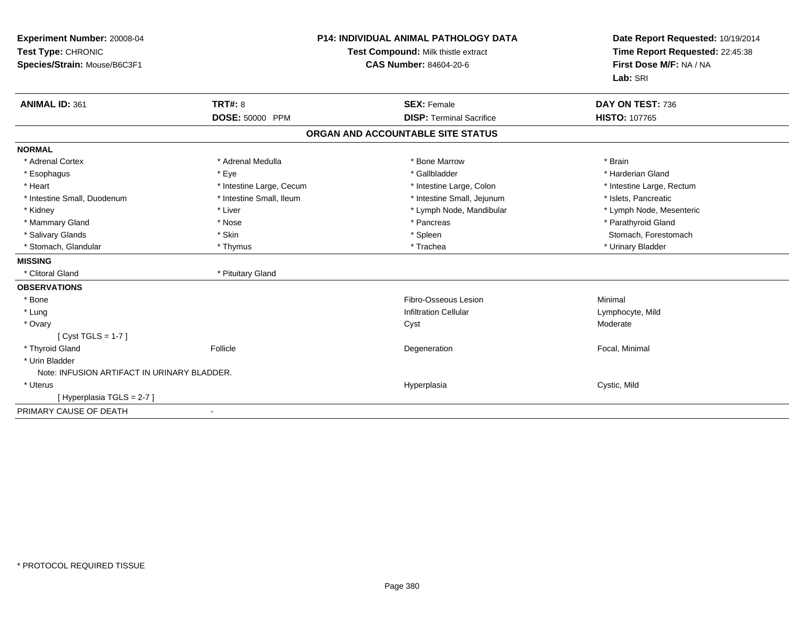| Experiment Number: 20008-04<br>Test Type: CHRONIC<br>Species/Strain: Mouse/B6C3F1 |                          | <b>P14: INDIVIDUAL ANIMAL PATHOLOGY DATA</b><br>Test Compound: Milk thistle extract<br><b>CAS Number: 84604-20-6</b> | Date Report Requested: 10/19/2014<br>Time Report Requested: 22:45:38<br>First Dose M/F: NA / NA<br>Lab: SRI |
|-----------------------------------------------------------------------------------|--------------------------|----------------------------------------------------------------------------------------------------------------------|-------------------------------------------------------------------------------------------------------------|
| <b>ANIMAL ID: 361</b>                                                             | <b>TRT#: 8</b>           | <b>SEX: Female</b>                                                                                                   | DAY ON TEST: 736                                                                                            |
|                                                                                   | DOSE: 50000 PPM          | <b>DISP: Terminal Sacrifice</b>                                                                                      | <b>HISTO: 107765</b>                                                                                        |
|                                                                                   |                          | ORGAN AND ACCOUNTABLE SITE STATUS                                                                                    |                                                                                                             |
| <b>NORMAL</b>                                                                     |                          |                                                                                                                      |                                                                                                             |
| * Adrenal Cortex                                                                  | * Adrenal Medulla        | * Bone Marrow                                                                                                        | * Brain                                                                                                     |
| * Esophagus                                                                       | * Eye                    | * Gallbladder                                                                                                        | * Harderian Gland                                                                                           |
| * Heart                                                                           | * Intestine Large, Cecum | * Intestine Large, Colon                                                                                             | * Intestine Large, Rectum                                                                                   |
| * Intestine Small, Duodenum                                                       | * Intestine Small, Ileum | * Intestine Small, Jejunum                                                                                           | * Islets, Pancreatic                                                                                        |
| * Kidney                                                                          | * Liver                  | * Lymph Node, Mandibular                                                                                             | * Lymph Node, Mesenteric                                                                                    |
| * Mammary Gland                                                                   | * Nose                   | * Pancreas                                                                                                           | * Parathyroid Gland                                                                                         |
| * Salivary Glands                                                                 | * Skin                   | * Spleen                                                                                                             | Stomach, Forestomach                                                                                        |
| * Stomach, Glandular                                                              | * Thymus                 | * Trachea                                                                                                            | * Urinary Bladder                                                                                           |
| <b>MISSING</b>                                                                    |                          |                                                                                                                      |                                                                                                             |
| * Clitoral Gland                                                                  | * Pituitary Gland        |                                                                                                                      |                                                                                                             |
| <b>OBSERVATIONS</b>                                                               |                          |                                                                                                                      |                                                                                                             |
| * Bone                                                                            |                          | Fibro-Osseous Lesion                                                                                                 | Minimal                                                                                                     |
| * Lung                                                                            |                          | <b>Infiltration Cellular</b>                                                                                         | Lymphocyte, Mild                                                                                            |
| * Ovary                                                                           |                          | Cyst                                                                                                                 | Moderate                                                                                                    |
| [Cyst TGLS = $1-7$ ]                                                              |                          |                                                                                                                      |                                                                                                             |
| * Thyroid Gland                                                                   | Follicle                 | Degeneration                                                                                                         | Focal, Minimal                                                                                              |
| * Urin Bladder                                                                    |                          |                                                                                                                      |                                                                                                             |
| Note: INFUSION ARTIFACT IN URINARY BLADDER.                                       |                          |                                                                                                                      |                                                                                                             |
| * Uterus                                                                          |                          | Hyperplasia                                                                                                          | Cystic, Mild                                                                                                |
| [Hyperplasia TGLS = 2-7]                                                          |                          |                                                                                                                      |                                                                                                             |
| PRIMARY CAUSE OF DEATH                                                            | $\blacksquare$           |                                                                                                                      |                                                                                                             |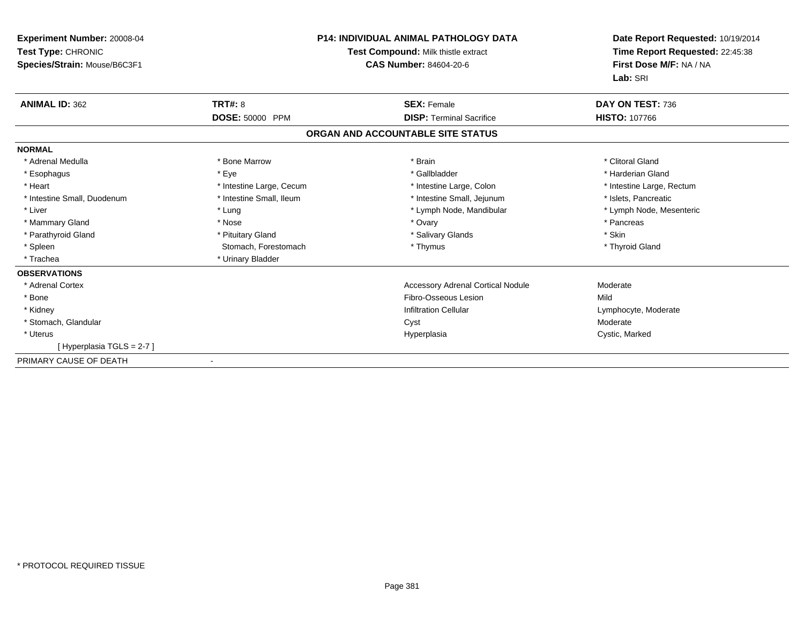| Experiment Number: 20008-04<br>Test Type: CHRONIC<br>Species/Strain: Mouse/B6C3F1 | <b>P14: INDIVIDUAL ANIMAL PATHOLOGY DATA</b><br>Test Compound: Milk thistle extract<br><b>CAS Number: 84604-20-6</b> |                                          | Date Report Requested: 10/19/2014<br>Time Report Requested: 22:45:38<br>First Dose M/F: NA / NA<br>Lab: SRI |
|-----------------------------------------------------------------------------------|----------------------------------------------------------------------------------------------------------------------|------------------------------------------|-------------------------------------------------------------------------------------------------------------|
| <b>ANIMAL ID: 362</b>                                                             | <b>TRT#: 8</b>                                                                                                       | <b>SEX: Female</b>                       | DAY ON TEST: 736                                                                                            |
|                                                                                   | <b>DOSE: 50000 PPM</b>                                                                                               | <b>DISP: Terminal Sacrifice</b>          | <b>HISTO: 107766</b>                                                                                        |
|                                                                                   |                                                                                                                      | ORGAN AND ACCOUNTABLE SITE STATUS        |                                                                                                             |
| <b>NORMAL</b>                                                                     |                                                                                                                      |                                          |                                                                                                             |
| * Adrenal Medulla                                                                 | * Bone Marrow                                                                                                        | * Brain                                  | * Clitoral Gland                                                                                            |
| * Esophagus                                                                       | * Eye                                                                                                                | * Gallbladder                            | * Harderian Gland                                                                                           |
| * Heart                                                                           | * Intestine Large, Cecum                                                                                             | * Intestine Large, Colon                 | * Intestine Large, Rectum                                                                                   |
| * Intestine Small, Duodenum                                                       | * Intestine Small, Ileum                                                                                             | * Intestine Small, Jejunum               | * Islets, Pancreatic                                                                                        |
| * Liver                                                                           | * Lung                                                                                                               | * Lymph Node, Mandibular                 | * Lymph Node, Mesenteric                                                                                    |
| * Mammary Gland                                                                   | * Nose                                                                                                               | * Ovary                                  | * Pancreas                                                                                                  |
| * Parathyroid Gland                                                               | * Pituitary Gland                                                                                                    | * Salivary Glands                        | * Skin                                                                                                      |
| * Spleen                                                                          | Stomach, Forestomach                                                                                                 | * Thymus                                 | * Thyroid Gland                                                                                             |
| * Trachea                                                                         | * Urinary Bladder                                                                                                    |                                          |                                                                                                             |
| <b>OBSERVATIONS</b>                                                               |                                                                                                                      |                                          |                                                                                                             |
| * Adrenal Cortex                                                                  |                                                                                                                      | <b>Accessory Adrenal Cortical Nodule</b> | Moderate                                                                                                    |
| * Bone                                                                            |                                                                                                                      | Fibro-Osseous Lesion                     | Mild                                                                                                        |
| * Kidney                                                                          |                                                                                                                      | <b>Infiltration Cellular</b>             | Lymphocyte, Moderate                                                                                        |
| * Stomach, Glandular                                                              |                                                                                                                      | Cyst                                     | Moderate                                                                                                    |
| * Uterus                                                                          |                                                                                                                      | Hyperplasia                              | Cystic, Marked                                                                                              |
| [Hyperplasia TGLS = 2-7]                                                          |                                                                                                                      |                                          |                                                                                                             |
| PRIMARY CAUSE OF DEATH                                                            | $\overline{\phantom{a}}$                                                                                             |                                          |                                                                                                             |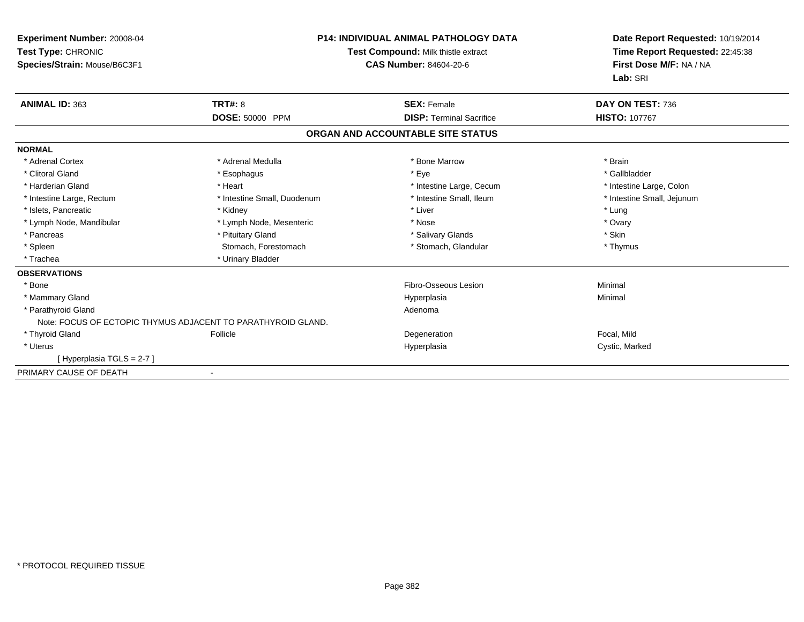| <b>Experiment Number: 20008-04</b><br>Test Type: CHRONIC<br>Species/Strain: Mouse/B6C3F1 | <b>P14: INDIVIDUAL ANIMAL PATHOLOGY DATA</b><br>Test Compound: Milk thistle extract<br><b>CAS Number: 84604-20-6</b> |                                   | Date Report Requested: 10/19/2014<br>Time Report Requested: 22:45:38<br>First Dose M/F: NA / NA<br>Lab: SRI |
|------------------------------------------------------------------------------------------|----------------------------------------------------------------------------------------------------------------------|-----------------------------------|-------------------------------------------------------------------------------------------------------------|
| <b>ANIMAL ID: 363</b>                                                                    | TRT#: 8                                                                                                              | <b>SEX: Female</b>                | DAY ON TEST: 736                                                                                            |
|                                                                                          | DOSE: 50000 PPM                                                                                                      | <b>DISP: Terminal Sacrifice</b>   | <b>HISTO: 107767</b>                                                                                        |
|                                                                                          |                                                                                                                      | ORGAN AND ACCOUNTABLE SITE STATUS |                                                                                                             |
| <b>NORMAL</b>                                                                            |                                                                                                                      |                                   |                                                                                                             |
| * Adrenal Cortex                                                                         | * Adrenal Medulla                                                                                                    | * Bone Marrow                     | * Brain                                                                                                     |
| * Clitoral Gland                                                                         | * Esophagus                                                                                                          | * Eye                             | * Gallbladder                                                                                               |
| * Harderian Gland                                                                        | * Heart                                                                                                              | * Intestine Large, Cecum          | * Intestine Large, Colon                                                                                    |
| * Intestine Large, Rectum                                                                | * Intestine Small, Duodenum                                                                                          | * Intestine Small. Ileum          | * Intestine Small, Jejunum                                                                                  |
| * Islets, Pancreatic                                                                     | * Kidney                                                                                                             | * Liver                           | * Lung                                                                                                      |
| * Lymph Node, Mandibular                                                                 | * Lymph Node, Mesenteric                                                                                             | * Nose                            | * Ovary                                                                                                     |
| * Pancreas                                                                               | * Pituitary Gland                                                                                                    | * Salivary Glands                 | * Skin                                                                                                      |
| * Spleen                                                                                 | Stomach, Forestomach                                                                                                 | * Stomach, Glandular              | * Thymus                                                                                                    |
| * Trachea                                                                                | * Urinary Bladder                                                                                                    |                                   |                                                                                                             |
| <b>OBSERVATIONS</b>                                                                      |                                                                                                                      |                                   |                                                                                                             |
| * Bone                                                                                   |                                                                                                                      | Fibro-Osseous Lesion              | Minimal                                                                                                     |
| * Mammary Gland                                                                          |                                                                                                                      | Hyperplasia                       | Minimal                                                                                                     |
| * Parathyroid Gland                                                                      |                                                                                                                      | Adenoma                           |                                                                                                             |
|                                                                                          | Note: FOCUS OF ECTOPIC THYMUS ADJACENT TO PARATHYROID GLAND.                                                         |                                   |                                                                                                             |
| * Thyroid Gland                                                                          | Follicle                                                                                                             | Degeneration                      | Focal, Mild                                                                                                 |
| * Uterus                                                                                 |                                                                                                                      | Hyperplasia                       | Cystic, Marked                                                                                              |
| [Hyperplasia TGLS = 2-7]                                                                 |                                                                                                                      |                                   |                                                                                                             |
| PRIMARY CAUSE OF DEATH                                                                   |                                                                                                                      |                                   |                                                                                                             |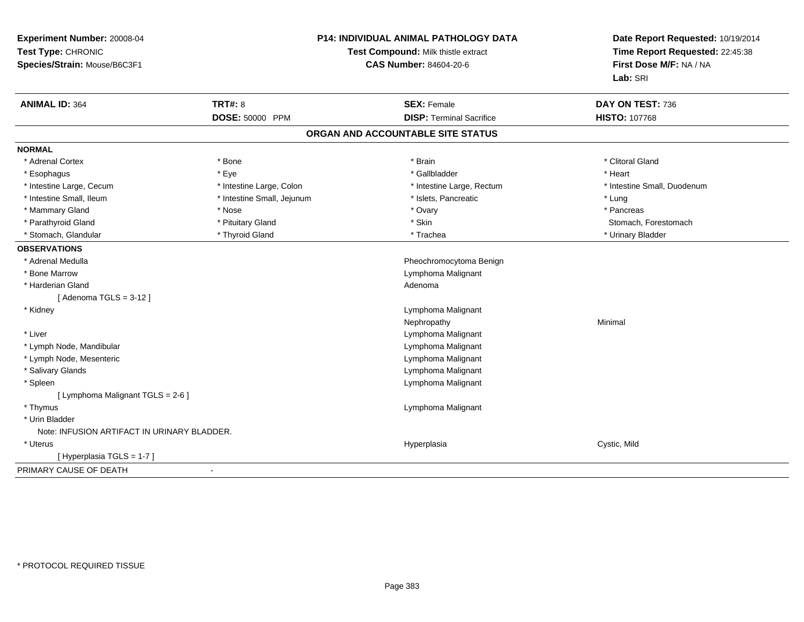| Experiment Number: 20008-04<br>Test Type: CHRONIC<br>Species/Strain: Mouse/B6C3F1 | <b>P14: INDIVIDUAL ANIMAL PATHOLOGY DATA</b><br>Test Compound: Milk thistle extract<br><b>CAS Number: 84604-20-6</b> |                                   | Date Report Requested: 10/19/2014<br>Time Report Requested: 22:45:38<br>First Dose M/F: NA / NA<br>Lab: SRI |
|-----------------------------------------------------------------------------------|----------------------------------------------------------------------------------------------------------------------|-----------------------------------|-------------------------------------------------------------------------------------------------------------|
| <b>ANIMAL ID: 364</b>                                                             | <b>TRT#: 8</b>                                                                                                       | <b>SEX: Female</b>                | DAY ON TEST: 736                                                                                            |
|                                                                                   | DOSE: 50000 PPM                                                                                                      | <b>DISP: Terminal Sacrifice</b>   | <b>HISTO: 107768</b>                                                                                        |
|                                                                                   |                                                                                                                      | ORGAN AND ACCOUNTABLE SITE STATUS |                                                                                                             |
| <b>NORMAL</b>                                                                     |                                                                                                                      |                                   |                                                                                                             |
| * Adrenal Cortex                                                                  | * Bone                                                                                                               | * Brain                           | * Clitoral Gland                                                                                            |
| * Esophagus                                                                       | * Eye                                                                                                                | * Gallbladder                     | * Heart                                                                                                     |
| * Intestine Large, Cecum                                                          | * Intestine Large, Colon                                                                                             | * Intestine Large, Rectum         | * Intestine Small, Duodenum                                                                                 |
| * Intestine Small, Ileum                                                          | * Intestine Small, Jejunum                                                                                           | * Islets, Pancreatic              | * Lung                                                                                                      |
| * Mammary Gland                                                                   | * Nose                                                                                                               | * Ovary                           | * Pancreas                                                                                                  |
| * Parathyroid Gland                                                               | * Pituitary Gland                                                                                                    | * Skin                            | Stomach, Forestomach                                                                                        |
| * Stomach, Glandular                                                              | * Thyroid Gland                                                                                                      | * Trachea                         | * Urinary Bladder                                                                                           |
| <b>OBSERVATIONS</b>                                                               |                                                                                                                      |                                   |                                                                                                             |
| * Adrenal Medulla                                                                 |                                                                                                                      | Pheochromocytoma Benign           |                                                                                                             |
| * Bone Marrow                                                                     |                                                                                                                      | Lymphoma Malignant                |                                                                                                             |
| * Harderian Gland                                                                 |                                                                                                                      | Adenoma                           |                                                                                                             |
| [Adenoma TGLS = $3-12$ ]                                                          |                                                                                                                      |                                   |                                                                                                             |
| * Kidney                                                                          |                                                                                                                      | Lymphoma Malignant                |                                                                                                             |
|                                                                                   |                                                                                                                      | Nephropathy                       | Minimal                                                                                                     |
| * Liver                                                                           |                                                                                                                      | Lymphoma Malignant                |                                                                                                             |
| * Lymph Node, Mandibular                                                          |                                                                                                                      | Lymphoma Malignant                |                                                                                                             |
| * Lymph Node, Mesenteric                                                          |                                                                                                                      | Lymphoma Malignant                |                                                                                                             |
| * Salivary Glands                                                                 |                                                                                                                      | Lymphoma Malignant                |                                                                                                             |
| * Spleen                                                                          |                                                                                                                      | Lymphoma Malignant                |                                                                                                             |
| [ Lymphoma Malignant TGLS = 2-6 ]                                                 |                                                                                                                      |                                   |                                                                                                             |
| * Thymus                                                                          |                                                                                                                      | Lymphoma Malignant                |                                                                                                             |
| * Urin Bladder                                                                    |                                                                                                                      |                                   |                                                                                                             |
| Note: INFUSION ARTIFACT IN URINARY BLADDER.                                       |                                                                                                                      |                                   |                                                                                                             |
| * Uterus                                                                          |                                                                                                                      | Hyperplasia                       | Cystic, Mild                                                                                                |
| [Hyperplasia TGLS = 1-7]                                                          |                                                                                                                      |                                   |                                                                                                             |
| PRIMARY CAUSE OF DEATH                                                            | $\blacksquare$                                                                                                       |                                   |                                                                                                             |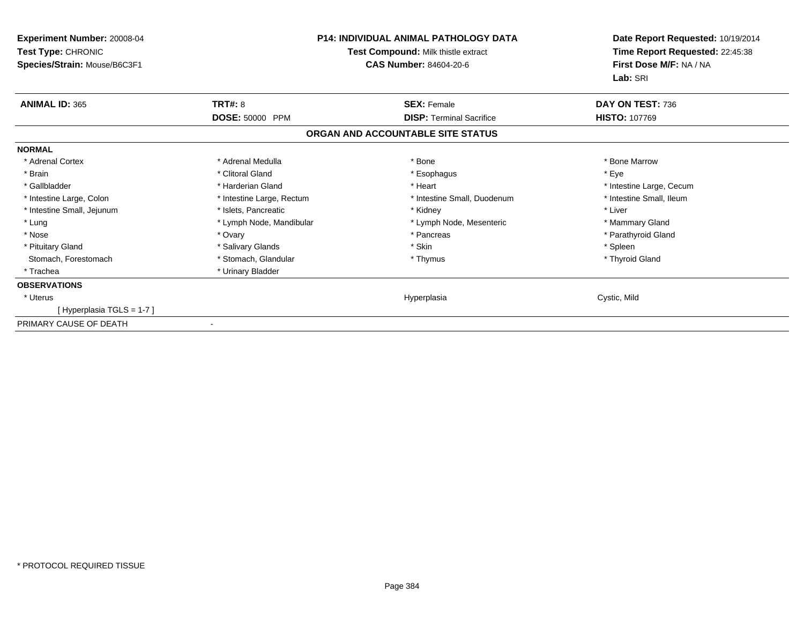| <b>Experiment Number: 20008-04</b><br>Test Type: CHRONIC<br>Species/Strain: Mouse/B6C3F1 | <b>P14: INDIVIDUAL ANIMAL PATHOLOGY DATA</b><br>Test Compound: Milk thistle extract<br><b>CAS Number: 84604-20-6</b> |                                   | Date Report Requested: 10/19/2014<br>Time Report Requested: 22:45:38<br>First Dose M/F: NA / NA<br>Lab: SRI |
|------------------------------------------------------------------------------------------|----------------------------------------------------------------------------------------------------------------------|-----------------------------------|-------------------------------------------------------------------------------------------------------------|
| <b>ANIMAL ID: 365</b>                                                                    | <b>TRT#: 8</b>                                                                                                       | <b>SEX: Female</b>                | DAY ON TEST: 736                                                                                            |
|                                                                                          | DOSE: 50000 PPM                                                                                                      | <b>DISP: Terminal Sacrifice</b>   | <b>HISTO: 107769</b>                                                                                        |
|                                                                                          |                                                                                                                      | ORGAN AND ACCOUNTABLE SITE STATUS |                                                                                                             |
| <b>NORMAL</b>                                                                            |                                                                                                                      |                                   |                                                                                                             |
| * Adrenal Cortex                                                                         | * Adrenal Medulla                                                                                                    | * Bone                            | * Bone Marrow                                                                                               |
| * Brain                                                                                  | * Clitoral Gland                                                                                                     | * Esophagus                       | * Eye                                                                                                       |
| * Gallbladder                                                                            | * Harderian Gland                                                                                                    | * Heart                           | * Intestine Large, Cecum                                                                                    |
| * Intestine Large, Colon                                                                 | * Intestine Large, Rectum                                                                                            | * Intestine Small, Duodenum       | * Intestine Small, Ileum                                                                                    |
| * Intestine Small, Jejunum                                                               | * Islets, Pancreatic                                                                                                 | * Kidney                          | * Liver                                                                                                     |
| * Lung                                                                                   | * Lymph Node, Mandibular                                                                                             | * Lymph Node, Mesenteric          | * Mammary Gland                                                                                             |
| * Nose                                                                                   | * Ovary                                                                                                              | * Pancreas                        | * Parathyroid Gland                                                                                         |
| * Pituitary Gland                                                                        | * Salivary Glands                                                                                                    | * Skin                            | * Spleen                                                                                                    |
| Stomach, Forestomach                                                                     | * Stomach, Glandular                                                                                                 | * Thymus                          | * Thyroid Gland                                                                                             |
| * Trachea                                                                                | * Urinary Bladder                                                                                                    |                                   |                                                                                                             |
| <b>OBSERVATIONS</b>                                                                      |                                                                                                                      |                                   |                                                                                                             |
| * Uterus                                                                                 |                                                                                                                      | Hyperplasia                       | Cystic, Mild                                                                                                |
| [Hyperplasia TGLS = 1-7]                                                                 |                                                                                                                      |                                   |                                                                                                             |
| PRIMARY CAUSE OF DEATH                                                                   |                                                                                                                      |                                   |                                                                                                             |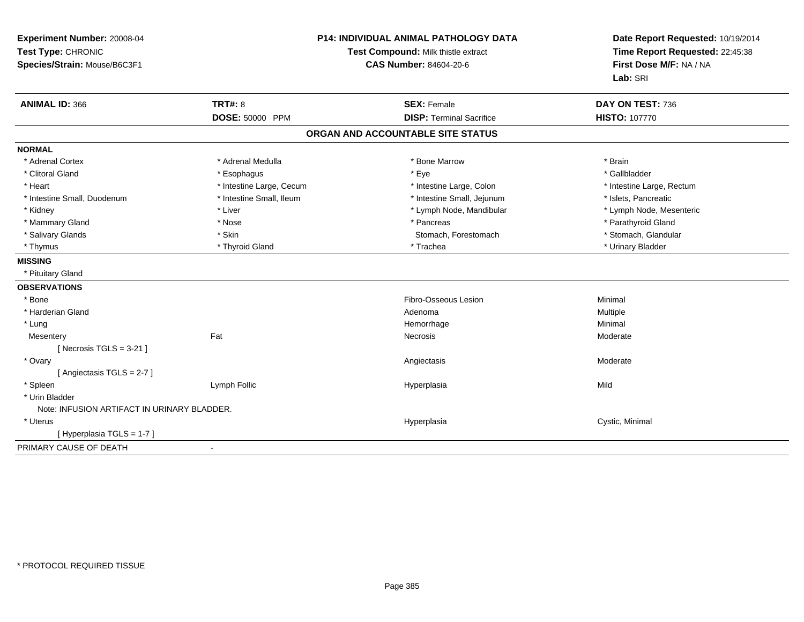| Experiment Number: 20008-04<br>Test Type: CHRONIC<br>Species/Strain: Mouse/B6C3F1 | <b>P14: INDIVIDUAL ANIMAL PATHOLOGY DATA</b><br>Test Compound: Milk thistle extract<br><b>CAS Number: 84604-20-6</b> |                                                       | Date Report Requested: 10/19/2014<br>Time Report Requested: 22:45:38<br>First Dose M/F: NA / NA<br>Lab: SRI |  |
|-----------------------------------------------------------------------------------|----------------------------------------------------------------------------------------------------------------------|-------------------------------------------------------|-------------------------------------------------------------------------------------------------------------|--|
| <b>ANIMAL ID: 366</b>                                                             | <b>TRT#: 8</b><br>DOSE: 50000 PPM                                                                                    | <b>SEX: Female</b><br><b>DISP: Terminal Sacrifice</b> | DAY ON TEST: 736<br><b>HISTO: 107770</b>                                                                    |  |
|                                                                                   |                                                                                                                      | ORGAN AND ACCOUNTABLE SITE STATUS                     |                                                                                                             |  |
| <b>NORMAL</b>                                                                     |                                                                                                                      |                                                       |                                                                                                             |  |
| * Adrenal Cortex                                                                  | * Adrenal Medulla                                                                                                    | * Bone Marrow                                         | * Brain                                                                                                     |  |
| * Clitoral Gland                                                                  | * Esophagus                                                                                                          | * Eye                                                 | * Gallbladder                                                                                               |  |
| * Heart                                                                           | * Intestine Large, Cecum                                                                                             | * Intestine Large, Colon                              | * Intestine Large, Rectum                                                                                   |  |
| * Intestine Small, Duodenum                                                       | * Intestine Small, Ileum                                                                                             | * Intestine Small, Jejunum                            | * Islets, Pancreatic                                                                                        |  |
| * Kidney                                                                          | * Liver                                                                                                              | * Lymph Node, Mandibular                              | * Lymph Node, Mesenteric                                                                                    |  |
| * Mammary Gland                                                                   | * Nose                                                                                                               | * Pancreas                                            | * Parathyroid Gland                                                                                         |  |
| * Salivary Glands                                                                 | * Skin                                                                                                               | Stomach, Forestomach                                  | * Stomach, Glandular                                                                                        |  |
| * Thymus                                                                          | * Thyroid Gland                                                                                                      | * Trachea                                             | * Urinary Bladder                                                                                           |  |
| <b>MISSING</b>                                                                    |                                                                                                                      |                                                       |                                                                                                             |  |
| * Pituitary Gland                                                                 |                                                                                                                      |                                                       |                                                                                                             |  |
| <b>OBSERVATIONS</b>                                                               |                                                                                                                      |                                                       |                                                                                                             |  |
| * Bone                                                                            |                                                                                                                      | Fibro-Osseous Lesion                                  | Minimal                                                                                                     |  |
| * Harderian Gland                                                                 |                                                                                                                      | Adenoma                                               | Multiple                                                                                                    |  |
| * Lung                                                                            |                                                                                                                      | Hemorrhage                                            | Minimal                                                                                                     |  |
| Mesentery                                                                         | Fat                                                                                                                  | Necrosis                                              | Moderate                                                                                                    |  |
| [Necrosis TGLS = $3-21$ ]                                                         |                                                                                                                      |                                                       |                                                                                                             |  |
| * Ovary                                                                           |                                                                                                                      | Angiectasis                                           | Moderate                                                                                                    |  |
| [Angiectasis TGLS = 2-7]                                                          |                                                                                                                      |                                                       |                                                                                                             |  |
| * Spleen                                                                          | Lymph Follic                                                                                                         | Hyperplasia                                           | Mild                                                                                                        |  |
| * Urin Bladder                                                                    |                                                                                                                      |                                                       |                                                                                                             |  |
| Note: INFUSION ARTIFACT IN URINARY BLADDER.                                       |                                                                                                                      |                                                       |                                                                                                             |  |
| * Uterus                                                                          |                                                                                                                      | Hyperplasia                                           | Cystic, Minimal                                                                                             |  |
| [Hyperplasia TGLS = 1-7]                                                          |                                                                                                                      |                                                       |                                                                                                             |  |
| PRIMARY CAUSE OF DEATH                                                            | $\overline{a}$                                                                                                       |                                                       |                                                                                                             |  |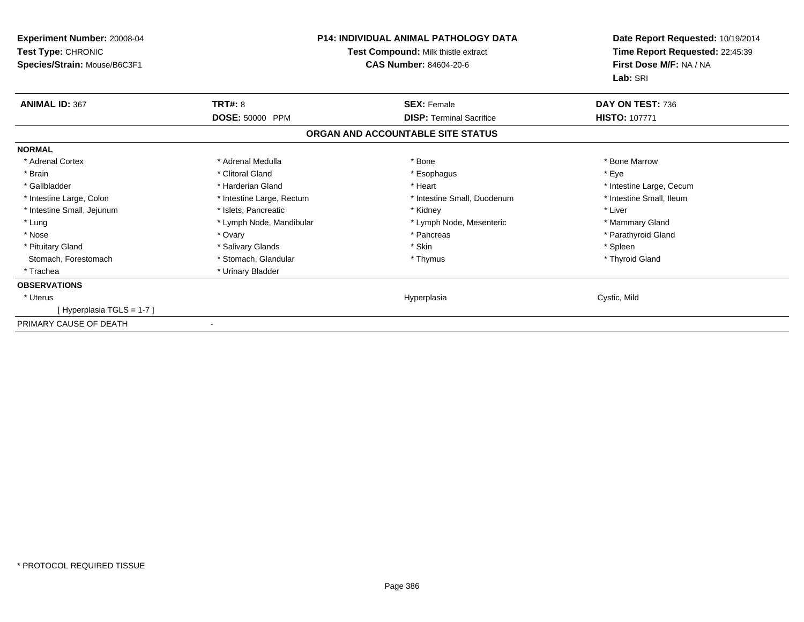| <b>Experiment Number: 20008-04</b><br>Test Type: CHRONIC<br>Species/Strain: Mouse/B6C3F1 |                           | <b>P14: INDIVIDUAL ANIMAL PATHOLOGY DATA</b><br>Test Compound: Milk thistle extract<br><b>CAS Number: 84604-20-6</b> | Date Report Requested: 10/19/2014<br>Time Report Requested: 22:45:39<br>First Dose M/F: NA / NA<br>Lab: SRI |
|------------------------------------------------------------------------------------------|---------------------------|----------------------------------------------------------------------------------------------------------------------|-------------------------------------------------------------------------------------------------------------|
| <b>ANIMAL ID: 367</b>                                                                    | <b>TRT#: 8</b>            | <b>SEX: Female</b>                                                                                                   | DAY ON TEST: 736                                                                                            |
|                                                                                          | <b>DOSE: 50000 PPM</b>    | <b>DISP: Terminal Sacrifice</b>                                                                                      | <b>HISTO: 107771</b>                                                                                        |
|                                                                                          |                           | ORGAN AND ACCOUNTABLE SITE STATUS                                                                                    |                                                                                                             |
| <b>NORMAL</b>                                                                            |                           |                                                                                                                      |                                                                                                             |
| * Adrenal Cortex                                                                         | * Adrenal Medulla         | * Bone                                                                                                               | * Bone Marrow                                                                                               |
| * Brain                                                                                  | * Clitoral Gland          | * Esophagus                                                                                                          | * Eye                                                                                                       |
| * Gallbladder                                                                            | * Harderian Gland         | * Heart                                                                                                              | * Intestine Large, Cecum                                                                                    |
| * Intestine Large, Colon                                                                 | * Intestine Large, Rectum | * Intestine Small, Duodenum                                                                                          | * Intestine Small, Ileum                                                                                    |
| * Intestine Small, Jejunum                                                               | * Islets, Pancreatic      | * Kidney                                                                                                             | * Liver                                                                                                     |
| * Lung                                                                                   | * Lymph Node, Mandibular  | * Lymph Node, Mesenteric                                                                                             | * Mammary Gland                                                                                             |
| * Nose                                                                                   | * Ovary                   | * Pancreas                                                                                                           | * Parathyroid Gland                                                                                         |
| * Pituitary Gland                                                                        | * Salivary Glands         | * Skin                                                                                                               | * Spleen                                                                                                    |
| Stomach, Forestomach                                                                     | * Stomach, Glandular      | * Thymus                                                                                                             | * Thyroid Gland                                                                                             |
| * Trachea                                                                                | * Urinary Bladder         |                                                                                                                      |                                                                                                             |
| <b>OBSERVATIONS</b>                                                                      |                           |                                                                                                                      |                                                                                                             |
| * Uterus                                                                                 |                           | Hyperplasia                                                                                                          | Cystic, Mild                                                                                                |
| [Hyperplasia TGLS = 1-7]                                                                 |                           |                                                                                                                      |                                                                                                             |
| PRIMARY CAUSE OF DEATH                                                                   |                           |                                                                                                                      |                                                                                                             |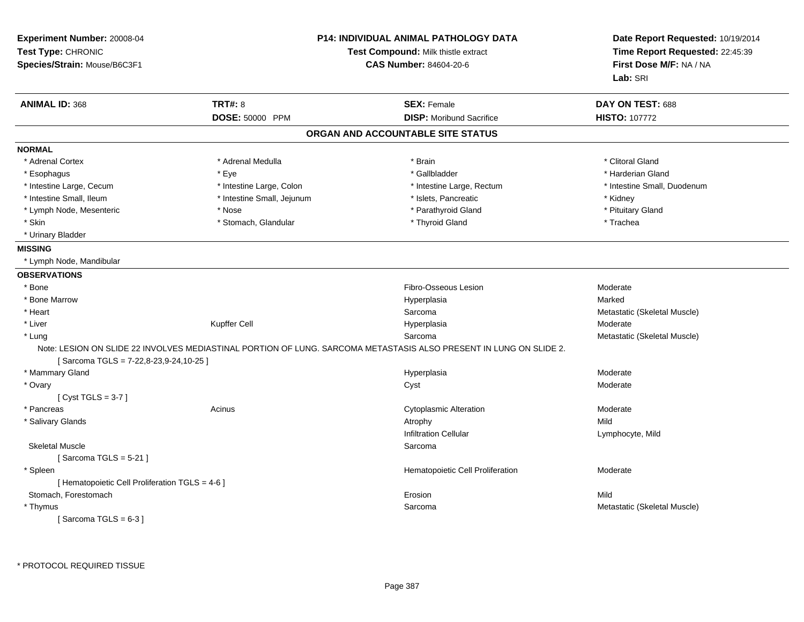| Experiment Number: 20008-04<br>Test Type: CHRONIC<br>Species/Strain: Mouse/B6C3F1 |                            | <b>P14: INDIVIDUAL ANIMAL PATHOLOGY DATA</b><br>Test Compound: Milk thistle extract<br><b>CAS Number: 84604-20-6</b> | Date Report Requested: 10/19/2014<br>Time Report Requested: 22:45:39<br>First Dose M/F: NA / NA<br>Lab: SRI |
|-----------------------------------------------------------------------------------|----------------------------|----------------------------------------------------------------------------------------------------------------------|-------------------------------------------------------------------------------------------------------------|
| <b>ANIMAL ID: 368</b>                                                             | <b>TRT#: 8</b>             | <b>SEX: Female</b>                                                                                                   | DAY ON TEST: 688                                                                                            |
|                                                                                   | DOSE: 50000 PPM            | <b>DISP:</b> Moribund Sacrifice                                                                                      | <b>HISTO: 107772</b>                                                                                        |
|                                                                                   |                            | ORGAN AND ACCOUNTABLE SITE STATUS                                                                                    |                                                                                                             |
| <b>NORMAL</b>                                                                     |                            |                                                                                                                      |                                                                                                             |
| * Adrenal Cortex                                                                  | * Adrenal Medulla          | * Brain                                                                                                              | * Clitoral Gland                                                                                            |
| * Esophagus                                                                       | * Eye                      | * Gallbladder                                                                                                        | * Harderian Gland                                                                                           |
| * Intestine Large, Cecum                                                          | * Intestine Large, Colon   | * Intestine Large, Rectum                                                                                            | * Intestine Small, Duodenum                                                                                 |
| * Intestine Small, Ileum                                                          | * Intestine Small, Jejunum | * Islets, Pancreatic                                                                                                 | * Kidney                                                                                                    |
| * Lymph Node, Mesenteric                                                          | * Nose                     | * Parathyroid Gland                                                                                                  | * Pituitary Gland                                                                                           |
| * Skin                                                                            | * Stomach, Glandular       | * Thyroid Gland                                                                                                      | * Trachea                                                                                                   |
| * Urinary Bladder                                                                 |                            |                                                                                                                      |                                                                                                             |
| <b>MISSING</b>                                                                    |                            |                                                                                                                      |                                                                                                             |
| * Lymph Node, Mandibular                                                          |                            |                                                                                                                      |                                                                                                             |
| <b>OBSERVATIONS</b>                                                               |                            |                                                                                                                      |                                                                                                             |
| * Bone                                                                            |                            | Fibro-Osseous Lesion                                                                                                 | Moderate                                                                                                    |
| * Bone Marrow                                                                     |                            | Hyperplasia                                                                                                          | Marked                                                                                                      |
| * Heart                                                                           |                            | Sarcoma                                                                                                              | Metastatic (Skeletal Muscle)                                                                                |
| * Liver                                                                           | Kupffer Cell               | Hyperplasia                                                                                                          | Moderate                                                                                                    |
| * Lung                                                                            |                            | Sarcoma                                                                                                              | Metastatic (Skeletal Muscle)                                                                                |
| Sarcoma TGLS = $7-22,8-23,9-24,10-25$                                             |                            | Note: LESION ON SLIDE 22 INVOLVES MEDIASTINAL PORTION OF LUNG. SARCOMA METASTASIS ALSO PRESENT IN LUNG ON SLIDE 2.   |                                                                                                             |
| * Mammary Gland                                                                   |                            | Hyperplasia                                                                                                          | Moderate                                                                                                    |
| * Ovary                                                                           |                            | Cyst                                                                                                                 | Moderate                                                                                                    |
| [Cyst TGLS = $3-7$ ]                                                              |                            |                                                                                                                      |                                                                                                             |
| * Pancreas                                                                        | Acinus                     | <b>Cytoplasmic Alteration</b>                                                                                        | Moderate                                                                                                    |
| * Salivary Glands                                                                 |                            | Atrophy                                                                                                              | Mild                                                                                                        |
|                                                                                   |                            | Infiltration Cellular                                                                                                | Lymphocyte, Mild                                                                                            |
| <b>Skeletal Muscle</b>                                                            |                            | Sarcoma                                                                                                              |                                                                                                             |
| [Sarcoma TGLS = $5-21$ ]                                                          |                            |                                                                                                                      |                                                                                                             |
| * Spleen                                                                          |                            | Hematopoietic Cell Proliferation                                                                                     | Moderate                                                                                                    |
| [ Hematopoietic Cell Proliferation TGLS = 4-6 ]                                   |                            |                                                                                                                      |                                                                                                             |
| Stomach, Forestomach                                                              |                            | Erosion                                                                                                              | Mild                                                                                                        |
| * Thymus                                                                          |                            | Sarcoma                                                                                                              | Metastatic (Skeletal Muscle)                                                                                |
| [Sarcoma TGLS = $6-3$ ]                                                           |                            |                                                                                                                      |                                                                                                             |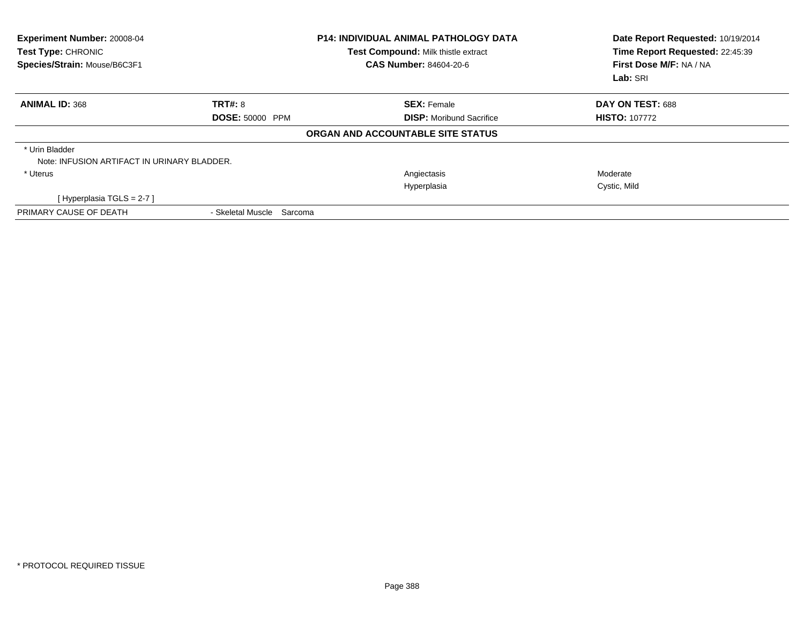| Experiment Number: 20008-04<br>Test Type: CHRONIC<br>Species/Strain: Mouse/B6C3F1 |                           | <b>P14: INDIVIDUAL ANIMAL PATHOLOGY DATA</b><br>Test Compound: Milk thistle extract<br><b>CAS Number: 84604-20-6</b> | Date Report Requested: 10/19/2014<br>Time Report Requested: 22:45:39<br>First Dose M/F: NA / NA<br>Lab: SRI |  |
|-----------------------------------------------------------------------------------|---------------------------|----------------------------------------------------------------------------------------------------------------------|-------------------------------------------------------------------------------------------------------------|--|
| <b>ANIMAL ID: 368</b>                                                             | <b>TRT#: 8</b>            | <b>SEX: Female</b>                                                                                                   | DAY ON TEST: 688                                                                                            |  |
|                                                                                   | <b>DOSE: 50000 PPM</b>    | <b>DISP:</b> Moribund Sacrifice                                                                                      | <b>HISTO: 107772</b>                                                                                        |  |
|                                                                                   |                           | ORGAN AND ACCOUNTABLE SITE STATUS                                                                                    |                                                                                                             |  |
| * Urin Bladder<br>Note: INFUSION ARTIFACT IN URINARY BLADDER.                     |                           |                                                                                                                      |                                                                                                             |  |
| * Uterus                                                                          |                           | Angiectasis                                                                                                          | Moderate                                                                                                    |  |
|                                                                                   |                           | Hyperplasia                                                                                                          | Cystic, Mild                                                                                                |  |
| [Hyperplasia TGLS = $2-7$ ]                                                       |                           |                                                                                                                      |                                                                                                             |  |
| PRIMARY CAUSE OF DEATH                                                            | - Skeletal Muscle Sarcoma |                                                                                                                      |                                                                                                             |  |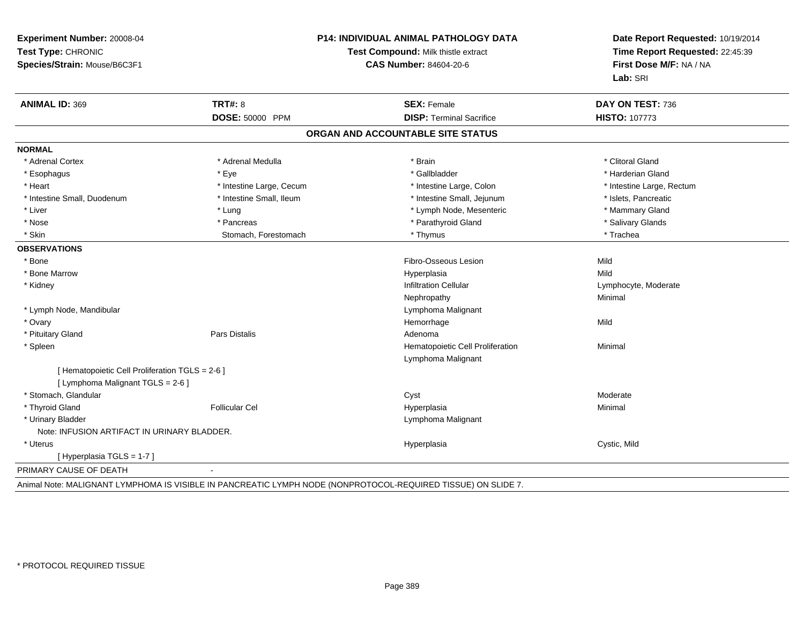| Experiment Number: 20008-04<br>Test Type: CHRONIC<br>Species/Strain: Mouse/B6C3F1 | P14: INDIVIDUAL ANIMAL PATHOLOGY DATA<br>Test Compound: Milk thistle extract<br><b>CAS Number: 84604-20-6</b> |                                   | Date Report Requested: 10/19/2014<br>Time Report Requested: 22:45:39<br>First Dose M/F: NA / NA<br>Lab: SRI |  |
|-----------------------------------------------------------------------------------|---------------------------------------------------------------------------------------------------------------|-----------------------------------|-------------------------------------------------------------------------------------------------------------|--|
| <b>ANIMAL ID: 369</b>                                                             | <b>TRT#: 8</b>                                                                                                | <b>SEX: Female</b>                | DAY ON TEST: 736                                                                                            |  |
|                                                                                   | <b>DOSE: 50000 PPM</b>                                                                                        | <b>DISP: Terminal Sacrifice</b>   | <b>HISTO: 107773</b>                                                                                        |  |
|                                                                                   |                                                                                                               | ORGAN AND ACCOUNTABLE SITE STATUS |                                                                                                             |  |
| <b>NORMAL</b>                                                                     |                                                                                                               |                                   |                                                                                                             |  |
| * Adrenal Cortex                                                                  | * Adrenal Medulla                                                                                             | * Brain                           | * Clitoral Gland                                                                                            |  |
| * Esophagus                                                                       | * Eye                                                                                                         | * Gallbladder                     | * Harderian Gland                                                                                           |  |
| * Heart                                                                           | * Intestine Large, Cecum                                                                                      | * Intestine Large, Colon          | * Intestine Large, Rectum                                                                                   |  |
| * Intestine Small, Duodenum                                                       | * Intestine Small, Ileum                                                                                      | * Intestine Small, Jejunum        | * Islets, Pancreatic                                                                                        |  |
| * Liver                                                                           | * Lung                                                                                                        | * Lymph Node, Mesenteric          | * Mammary Gland                                                                                             |  |
| * Nose                                                                            | * Pancreas                                                                                                    | * Parathyroid Gland               | * Salivary Glands                                                                                           |  |
| * Skin                                                                            | Stomach, Forestomach                                                                                          | * Thymus                          | * Trachea                                                                                                   |  |
| <b>OBSERVATIONS</b>                                                               |                                                                                                               |                                   |                                                                                                             |  |
| * Bone                                                                            |                                                                                                               | Fibro-Osseous Lesion              | Mild                                                                                                        |  |
| * Bone Marrow                                                                     |                                                                                                               | Hyperplasia                       | Mild                                                                                                        |  |
| * Kidney                                                                          |                                                                                                               | <b>Infiltration Cellular</b>      | Lymphocyte, Moderate                                                                                        |  |
|                                                                                   |                                                                                                               | Nephropathy                       | Minimal                                                                                                     |  |
| * Lymph Node, Mandibular                                                          |                                                                                                               | Lymphoma Malignant                |                                                                                                             |  |
| * Ovary                                                                           |                                                                                                               | Hemorrhage                        | Mild                                                                                                        |  |
| * Pituitary Gland                                                                 | Pars Distalis                                                                                                 | Adenoma                           |                                                                                                             |  |
| * Spleen                                                                          |                                                                                                               | Hematopoietic Cell Proliferation  | Minimal                                                                                                     |  |
|                                                                                   |                                                                                                               | Lymphoma Malignant                |                                                                                                             |  |
| [ Hematopoietic Cell Proliferation TGLS = 2-6 ]                                   |                                                                                                               |                                   |                                                                                                             |  |
| [ Lymphoma Malignant TGLS = 2-6 ]                                                 |                                                                                                               |                                   |                                                                                                             |  |
| * Stomach, Glandular                                                              |                                                                                                               | Cyst                              | Moderate                                                                                                    |  |
| * Thyroid Gland                                                                   | <b>Follicular Cel</b>                                                                                         | Hyperplasia                       | Minimal                                                                                                     |  |
| * Urinary Bladder                                                                 |                                                                                                               | Lymphoma Malignant                |                                                                                                             |  |
| Note: INFUSION ARTIFACT IN URINARY BLADDER.                                       |                                                                                                               |                                   |                                                                                                             |  |
| * Uterus                                                                          |                                                                                                               | Hyperplasia                       | Cystic, Mild                                                                                                |  |
| [Hyperplasia TGLS = 1-7]                                                          |                                                                                                               |                                   |                                                                                                             |  |
| PRIMARY CAUSE OF DEATH                                                            | $\blacksquare$                                                                                                |                                   |                                                                                                             |  |

Animal Note: MALIGNANT LYMPHOMA IS VISIBLE IN PANCREATIC LYMPH NODE (NONPROTOCOL-REQUIRED TISSUE) ON SLIDE 7.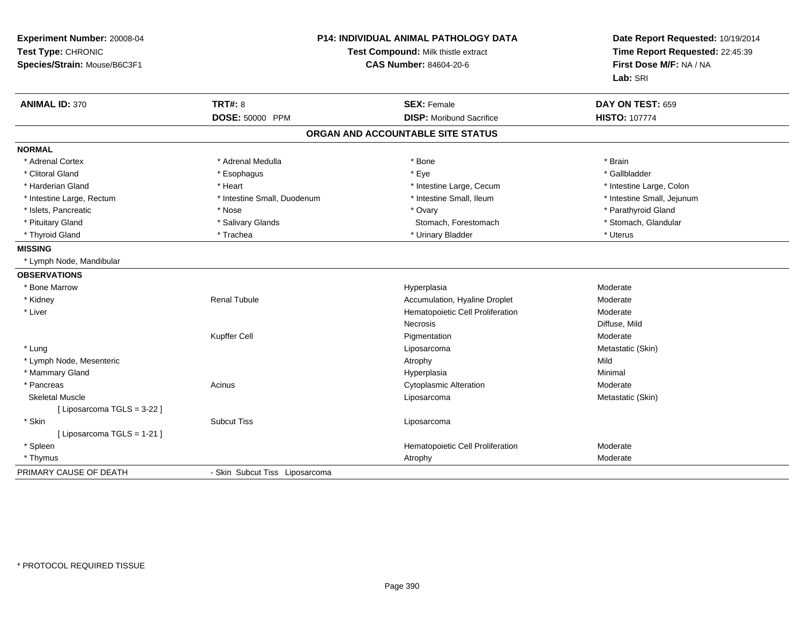| Experiment Number: 20008-04<br>Test Type: CHRONIC<br>Species/Strain: Mouse/B6C3F1 | P14: INDIVIDUAL ANIMAL PATHOLOGY DATA<br>Test Compound: Milk thistle extract<br><b>CAS Number: 84604-20-6</b> |                                   | Date Report Requested: 10/19/2014<br>Time Report Requested: 22:45:39<br>First Dose M/F: NA / NA<br>Lab: SRI |  |
|-----------------------------------------------------------------------------------|---------------------------------------------------------------------------------------------------------------|-----------------------------------|-------------------------------------------------------------------------------------------------------------|--|
| <b>ANIMAL ID: 370</b>                                                             | <b>TRT#: 8</b>                                                                                                | <b>SEX: Female</b>                | DAY ON TEST: 659                                                                                            |  |
|                                                                                   | DOSE: 50000 PPM                                                                                               | <b>DISP: Moribund Sacrifice</b>   | <b>HISTO: 107774</b>                                                                                        |  |
|                                                                                   |                                                                                                               | ORGAN AND ACCOUNTABLE SITE STATUS |                                                                                                             |  |
| <b>NORMAL</b>                                                                     |                                                                                                               |                                   |                                                                                                             |  |
| * Adrenal Cortex                                                                  | * Adrenal Medulla                                                                                             | * Bone                            | * Brain                                                                                                     |  |
| * Clitoral Gland                                                                  | * Esophagus                                                                                                   | * Eye                             | * Gallbladder                                                                                               |  |
| * Harderian Gland                                                                 | * Heart                                                                                                       | * Intestine Large, Cecum          | * Intestine Large, Colon                                                                                    |  |
| * Intestine Large, Rectum                                                         | * Intestine Small, Duodenum                                                                                   | * Intestine Small, Ileum          | * Intestine Small, Jejunum                                                                                  |  |
| * Islets, Pancreatic                                                              | * Nose                                                                                                        | * Ovary                           | * Parathyroid Gland                                                                                         |  |
| * Pituitary Gland                                                                 | * Salivary Glands                                                                                             | Stomach, Forestomach              | * Stomach, Glandular                                                                                        |  |
| * Thyroid Gland                                                                   | * Trachea                                                                                                     | * Urinary Bladder                 | * Uterus                                                                                                    |  |
| <b>MISSING</b>                                                                    |                                                                                                               |                                   |                                                                                                             |  |
| * Lymph Node, Mandibular                                                          |                                                                                                               |                                   |                                                                                                             |  |
| <b>OBSERVATIONS</b>                                                               |                                                                                                               |                                   |                                                                                                             |  |
| * Bone Marrow                                                                     |                                                                                                               | Hyperplasia                       | Moderate                                                                                                    |  |
| * Kidney                                                                          | <b>Renal Tubule</b>                                                                                           | Accumulation, Hyaline Droplet     | Moderate                                                                                                    |  |
| * Liver                                                                           |                                                                                                               | Hematopoietic Cell Proliferation  | Moderate                                                                                                    |  |
|                                                                                   |                                                                                                               | Necrosis                          | Diffuse, Mild                                                                                               |  |
|                                                                                   | Kupffer Cell                                                                                                  | Pigmentation                      | Moderate                                                                                                    |  |
| * Lung                                                                            |                                                                                                               | Liposarcoma                       | Metastatic (Skin)                                                                                           |  |
| * Lymph Node, Mesenteric                                                          |                                                                                                               | Atrophy                           | Mild                                                                                                        |  |
| * Mammary Gland                                                                   |                                                                                                               | Hyperplasia                       | Minimal                                                                                                     |  |
| * Pancreas                                                                        | Acinus                                                                                                        | <b>Cytoplasmic Alteration</b>     | Moderate                                                                                                    |  |
| <b>Skeletal Muscle</b>                                                            |                                                                                                               | Liposarcoma                       | Metastatic (Skin)                                                                                           |  |
| [ Liposarcoma TGLS = 3-22 ]                                                       |                                                                                                               |                                   |                                                                                                             |  |
| * Skin                                                                            | <b>Subcut Tiss</b>                                                                                            | Liposarcoma                       |                                                                                                             |  |
| [ Liposarcoma TGLS = 1-21 ]                                                       |                                                                                                               |                                   |                                                                                                             |  |
| * Spleen                                                                          |                                                                                                               | Hematopoietic Cell Proliferation  | Moderate                                                                                                    |  |
| * Thymus                                                                          |                                                                                                               | Atrophy                           | Moderate                                                                                                    |  |
| PRIMARY CAUSE OF DEATH                                                            | - Skin Subcut Tiss Liposarcoma                                                                                |                                   |                                                                                                             |  |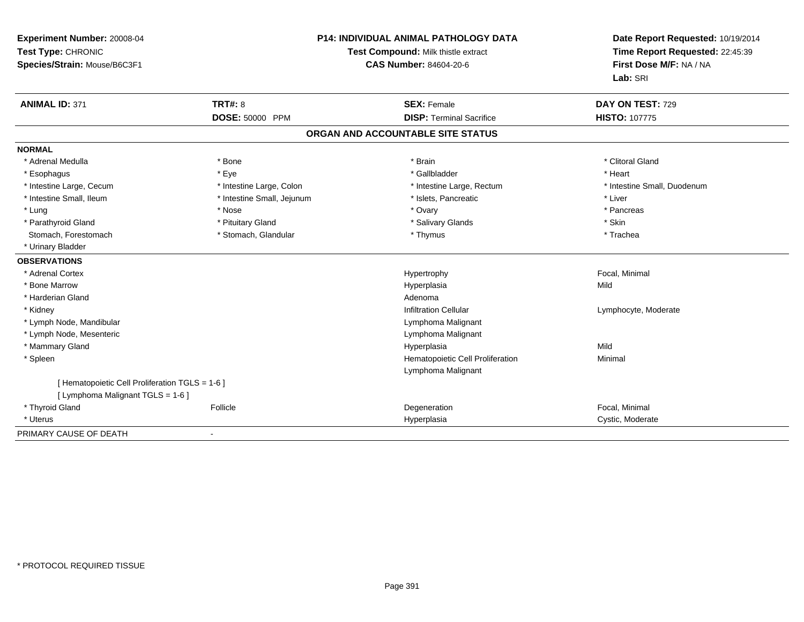| Experiment Number: 20008-04<br>Test Type: CHRONIC                                    |                            | P14: INDIVIDUAL ANIMAL PATHOLOGY DATA<br>Test Compound: Milk thistle extract | Date Report Requested: 10/19/2014<br>Time Report Requested: 22:45:39 |
|--------------------------------------------------------------------------------------|----------------------------|------------------------------------------------------------------------------|----------------------------------------------------------------------|
| Species/Strain: Mouse/B6C3F1                                                         |                            | <b>CAS Number: 84604-20-6</b>                                                | First Dose M/F: NA / NA<br>Lab: SRI                                  |
| <b>ANIMAL ID: 371</b>                                                                | <b>TRT#: 8</b>             | <b>SEX: Female</b>                                                           | DAY ON TEST: 729                                                     |
|                                                                                      | DOSE: 50000 PPM            | <b>DISP: Terminal Sacrifice</b>                                              | <b>HISTO: 107775</b>                                                 |
|                                                                                      |                            | ORGAN AND ACCOUNTABLE SITE STATUS                                            |                                                                      |
| <b>NORMAL</b>                                                                        |                            |                                                                              |                                                                      |
| * Adrenal Medulla                                                                    | * Bone                     | * Brain                                                                      | * Clitoral Gland                                                     |
| * Esophagus                                                                          | * Eye                      | * Gallbladder                                                                | * Heart                                                              |
| * Intestine Large, Cecum                                                             | * Intestine Large, Colon   | * Intestine Large, Rectum                                                    | * Intestine Small, Duodenum                                          |
| * Intestine Small, Ileum                                                             | * Intestine Small, Jejunum | * Islets, Pancreatic                                                         | * Liver                                                              |
| * Lung                                                                               | * Nose                     | * Ovary                                                                      | * Pancreas                                                           |
| * Parathyroid Gland                                                                  | * Pituitary Gland          | * Salivary Glands                                                            | * Skin                                                               |
| Stomach, Forestomach                                                                 | * Stomach, Glandular       | * Thymus                                                                     | * Trachea                                                            |
| * Urinary Bladder                                                                    |                            |                                                                              |                                                                      |
| <b>OBSERVATIONS</b>                                                                  |                            |                                                                              |                                                                      |
| * Adrenal Cortex                                                                     |                            | Hypertrophy                                                                  | Focal, Minimal                                                       |
| * Bone Marrow                                                                        |                            | Hyperplasia                                                                  | Mild                                                                 |
| * Harderian Gland                                                                    |                            | Adenoma                                                                      |                                                                      |
| * Kidney                                                                             |                            | <b>Infiltration Cellular</b>                                                 | Lymphocyte, Moderate                                                 |
| * Lymph Node, Mandibular                                                             |                            | Lymphoma Malignant                                                           |                                                                      |
| * Lymph Node, Mesenteric                                                             |                            | Lymphoma Malignant                                                           |                                                                      |
| * Mammary Gland                                                                      |                            | Hyperplasia                                                                  | Mild                                                                 |
| * Spleen                                                                             |                            | Hematopoietic Cell Proliferation                                             | Minimal                                                              |
|                                                                                      |                            | Lymphoma Malignant                                                           |                                                                      |
| [ Hematopoietic Cell Proliferation TGLS = 1-6 ]<br>[ Lymphoma Malignant TGLS = 1-6 ] |                            |                                                                              |                                                                      |
| * Thyroid Gland                                                                      | Follicle                   | Degeneration                                                                 | Focal, Minimal                                                       |
| * Uterus                                                                             |                            | Hyperplasia                                                                  | Cystic, Moderate                                                     |
| PRIMARY CAUSE OF DEATH                                                               |                            |                                                                              |                                                                      |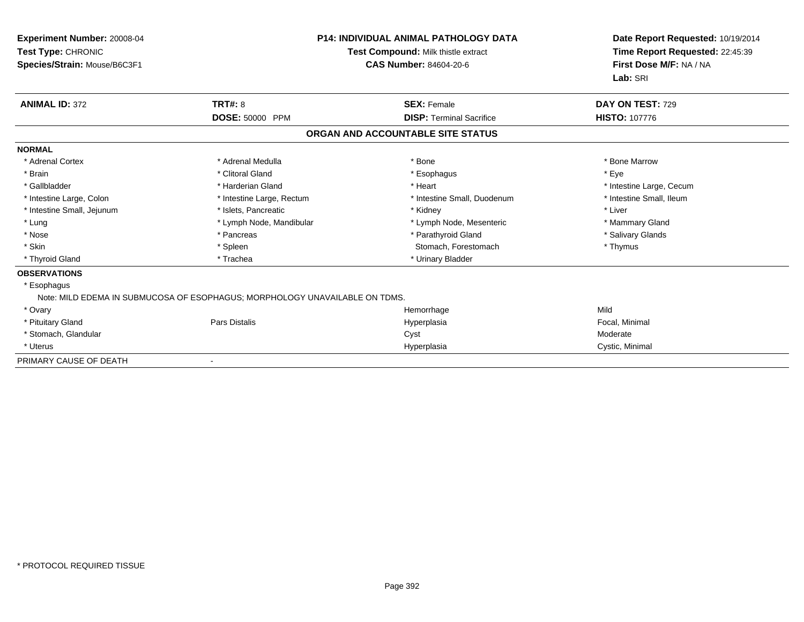| Experiment Number: 20008-04<br>Test Type: CHRONIC<br>Species/Strain: Mouse/B6C3F1 |                                                                             | <b>P14: INDIVIDUAL ANIMAL PATHOLOGY DATA</b><br>Test Compound: Milk thistle extract<br><b>CAS Number: 84604-20-6</b> | Date Report Requested: 10/19/2014<br>Time Report Requested: 22:45:39<br>First Dose M/F: NA / NA<br>Lab: SRI |
|-----------------------------------------------------------------------------------|-----------------------------------------------------------------------------|----------------------------------------------------------------------------------------------------------------------|-------------------------------------------------------------------------------------------------------------|
| <b>ANIMAL ID: 372</b>                                                             | <b>TRT#: 8</b>                                                              | <b>SEX: Female</b>                                                                                                   | DAY ON TEST: 729                                                                                            |
|                                                                                   | DOSE: 50000 PPM                                                             | <b>DISP: Terminal Sacrifice</b>                                                                                      | <b>HISTO: 107776</b>                                                                                        |
|                                                                                   |                                                                             | ORGAN AND ACCOUNTABLE SITE STATUS                                                                                    |                                                                                                             |
| <b>NORMAL</b>                                                                     |                                                                             |                                                                                                                      |                                                                                                             |
| * Adrenal Cortex                                                                  | * Adrenal Medulla                                                           | * Bone                                                                                                               | * Bone Marrow                                                                                               |
| * Brain                                                                           | * Clitoral Gland                                                            | * Esophagus                                                                                                          | * Eye                                                                                                       |
| * Gallbladder                                                                     | * Harderian Gland                                                           | * Heart                                                                                                              | * Intestine Large, Cecum                                                                                    |
| * Intestine Large, Colon                                                          | * Intestine Large, Rectum                                                   | * Intestine Small, Duodenum                                                                                          | * Intestine Small, Ileum                                                                                    |
| * Intestine Small, Jejunum                                                        | * Islets, Pancreatic                                                        | * Kidney                                                                                                             | * Liver                                                                                                     |
| * Lung                                                                            | * Lymph Node, Mandibular                                                    | * Lymph Node, Mesenteric                                                                                             | * Mammary Gland                                                                                             |
| * Nose                                                                            | * Pancreas                                                                  | * Parathyroid Gland                                                                                                  | * Salivary Glands                                                                                           |
| * Skin                                                                            | * Spleen                                                                    | Stomach, Forestomach                                                                                                 | * Thymus                                                                                                    |
| * Thyroid Gland                                                                   | * Trachea                                                                   | * Urinary Bladder                                                                                                    |                                                                                                             |
| <b>OBSERVATIONS</b>                                                               |                                                                             |                                                                                                                      |                                                                                                             |
| * Esophagus                                                                       |                                                                             |                                                                                                                      |                                                                                                             |
|                                                                                   | Note: MILD EDEMA IN SUBMUCOSA OF ESOPHAGUS; MORPHOLOGY UNAVAILABLE ON TDMS. |                                                                                                                      |                                                                                                             |
| * Ovary                                                                           |                                                                             | Hemorrhage                                                                                                           | Mild                                                                                                        |
| * Pituitary Gland                                                                 | Pars Distalis                                                               | Hyperplasia                                                                                                          | Focal, Minimal                                                                                              |
| * Stomach, Glandular                                                              |                                                                             | Cyst                                                                                                                 | Moderate                                                                                                    |
| * Uterus                                                                          |                                                                             | Hyperplasia                                                                                                          | Cystic, Minimal                                                                                             |
| PRIMARY CAUSE OF DEATH                                                            |                                                                             |                                                                                                                      |                                                                                                             |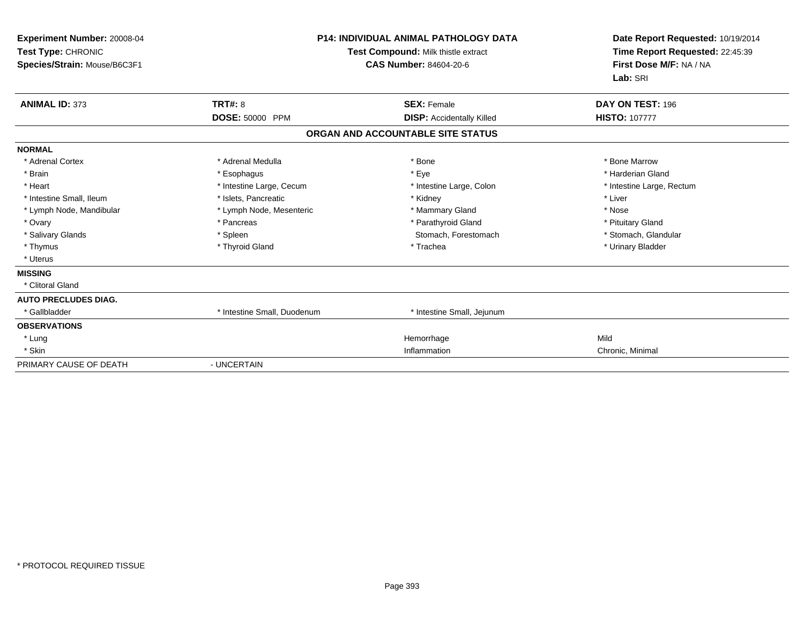| Experiment Number: 20008-04<br>Test Type: CHRONIC<br>Species/Strain: Mouse/B6C3F1 |                             | <b>P14: INDIVIDUAL ANIMAL PATHOLOGY DATA</b><br>Test Compound: Milk thistle extract<br><b>CAS Number: 84604-20-6</b> | Date Report Requested: 10/19/2014<br>Time Report Requested: 22:45:39<br>First Dose M/F: NA / NA<br>Lab: SRI |
|-----------------------------------------------------------------------------------|-----------------------------|----------------------------------------------------------------------------------------------------------------------|-------------------------------------------------------------------------------------------------------------|
| <b>ANIMAL ID: 373</b>                                                             | TRT#: 8                     | <b>SEX: Female</b>                                                                                                   | DAY ON TEST: 196                                                                                            |
|                                                                                   | DOSE: 50000 PPM             | <b>DISP:</b> Accidentally Killed                                                                                     | <b>HISTO: 107777</b>                                                                                        |
|                                                                                   |                             | ORGAN AND ACCOUNTABLE SITE STATUS                                                                                    |                                                                                                             |
| <b>NORMAL</b>                                                                     |                             |                                                                                                                      |                                                                                                             |
| * Adrenal Cortex                                                                  | * Adrenal Medulla           | * Bone                                                                                                               | * Bone Marrow                                                                                               |
| * Brain                                                                           | * Esophagus                 | * Eye                                                                                                                | * Harderian Gland                                                                                           |
| * Heart                                                                           | * Intestine Large, Cecum    | * Intestine Large, Colon                                                                                             | * Intestine Large, Rectum                                                                                   |
| * Intestine Small, Ileum                                                          | * Islets, Pancreatic        | * Kidney                                                                                                             | * Liver                                                                                                     |
| * Lymph Node, Mandibular                                                          | * Lymph Node, Mesenteric    | * Mammary Gland                                                                                                      | * Nose                                                                                                      |
| * Ovary                                                                           | * Pancreas                  | * Parathyroid Gland                                                                                                  | * Pituitary Gland                                                                                           |
| * Salivary Glands                                                                 | * Spleen                    | Stomach, Forestomach                                                                                                 | * Stomach, Glandular                                                                                        |
| * Thymus                                                                          | * Thyroid Gland             | * Trachea                                                                                                            | * Urinary Bladder                                                                                           |
| * Uterus                                                                          |                             |                                                                                                                      |                                                                                                             |
| <b>MISSING</b>                                                                    |                             |                                                                                                                      |                                                                                                             |
| * Clitoral Gland                                                                  |                             |                                                                                                                      |                                                                                                             |
| <b>AUTO PRECLUDES DIAG.</b>                                                       |                             |                                                                                                                      |                                                                                                             |
| * Gallbladder                                                                     | * Intestine Small, Duodenum | * Intestine Small, Jejunum                                                                                           |                                                                                                             |
| <b>OBSERVATIONS</b>                                                               |                             |                                                                                                                      |                                                                                                             |
| * Lung                                                                            |                             | Hemorrhage                                                                                                           | Mild                                                                                                        |
| * Skin                                                                            |                             | Inflammation                                                                                                         | Chronic, Minimal                                                                                            |
| PRIMARY CAUSE OF DEATH                                                            | - UNCERTAIN                 |                                                                                                                      |                                                                                                             |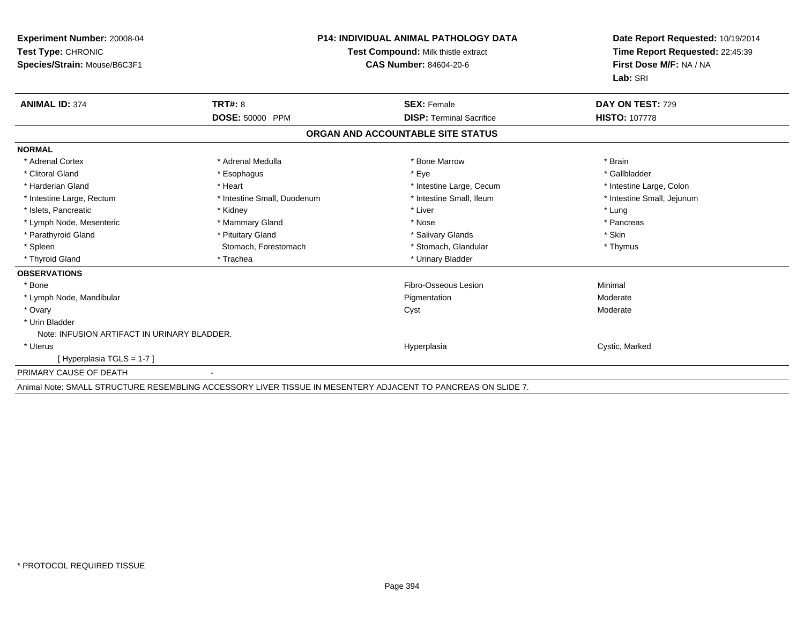| <b>Experiment Number: 20008-04</b><br>Test Type: CHRONIC<br>Species/Strain: Mouse/B6C3F1 |                             | <b>P14: INDIVIDUAL ANIMAL PATHOLOGY DATA</b><br>Test Compound: Milk thistle extract<br><b>CAS Number: 84604-20-6</b> | Date Report Requested: 10/19/2014<br>Time Report Requested: 22:45:39<br>First Dose M/F: NA / NA<br>Lab: SRI |
|------------------------------------------------------------------------------------------|-----------------------------|----------------------------------------------------------------------------------------------------------------------|-------------------------------------------------------------------------------------------------------------|
| <b>ANIMAL ID: 374</b>                                                                    | TRT#: 8                     | <b>SEX: Female</b>                                                                                                   | DAY ON TEST: 729                                                                                            |
|                                                                                          | <b>DOSE: 50000 PPM</b>      | <b>DISP:</b> Terminal Sacrifice                                                                                      | <b>HISTO: 107778</b>                                                                                        |
|                                                                                          |                             | ORGAN AND ACCOUNTABLE SITE STATUS                                                                                    |                                                                                                             |
| <b>NORMAL</b>                                                                            |                             |                                                                                                                      |                                                                                                             |
| * Adrenal Cortex                                                                         | * Adrenal Medulla           | * Bone Marrow                                                                                                        | * Brain                                                                                                     |
| * Clitoral Gland                                                                         | * Esophagus                 | * Eye                                                                                                                | * Gallbladder                                                                                               |
| * Harderian Gland                                                                        | * Heart                     | * Intestine Large, Cecum                                                                                             | * Intestine Large, Colon                                                                                    |
| * Intestine Large, Rectum                                                                | * Intestine Small, Duodenum | * Intestine Small, Ileum                                                                                             | * Intestine Small, Jejunum                                                                                  |
| * Islets, Pancreatic                                                                     | * Kidney                    | * Liver                                                                                                              | * Lung                                                                                                      |
| * Lymph Node, Mesenteric                                                                 | * Mammary Gland             | * Nose                                                                                                               | * Pancreas                                                                                                  |
| * Parathyroid Gland                                                                      | * Pituitary Gland           | * Salivary Glands                                                                                                    | * Skin                                                                                                      |
| * Spleen                                                                                 | Stomach, Forestomach        | * Stomach, Glandular                                                                                                 | * Thymus                                                                                                    |
| * Thyroid Gland                                                                          | * Trachea                   | * Urinary Bladder                                                                                                    |                                                                                                             |
| <b>OBSERVATIONS</b>                                                                      |                             |                                                                                                                      |                                                                                                             |
| * Bone                                                                                   |                             | Fibro-Osseous Lesion                                                                                                 | Minimal                                                                                                     |
| * Lymph Node, Mandibular                                                                 |                             | Pigmentation                                                                                                         | Moderate                                                                                                    |
| * Ovary                                                                                  |                             | Cyst                                                                                                                 | Moderate                                                                                                    |
| * Urin Bladder                                                                           |                             |                                                                                                                      |                                                                                                             |
| Note: INFUSION ARTIFACT IN URINARY BLADDER.                                              |                             |                                                                                                                      |                                                                                                             |
| * Uterus                                                                                 |                             | Hyperplasia                                                                                                          | Cystic, Marked                                                                                              |
| [Hyperplasia TGLS = 1-7]                                                                 |                             |                                                                                                                      |                                                                                                             |
| PRIMARY CAUSE OF DEATH                                                                   | $\blacksquare$              |                                                                                                                      |                                                                                                             |

Animal Note: SMALL STRUCTURE RESEMBLING ACCESSORY LIVER TISSUE IN MESENTERY ADJACENT TO PANCREAS ON SLIDE 7.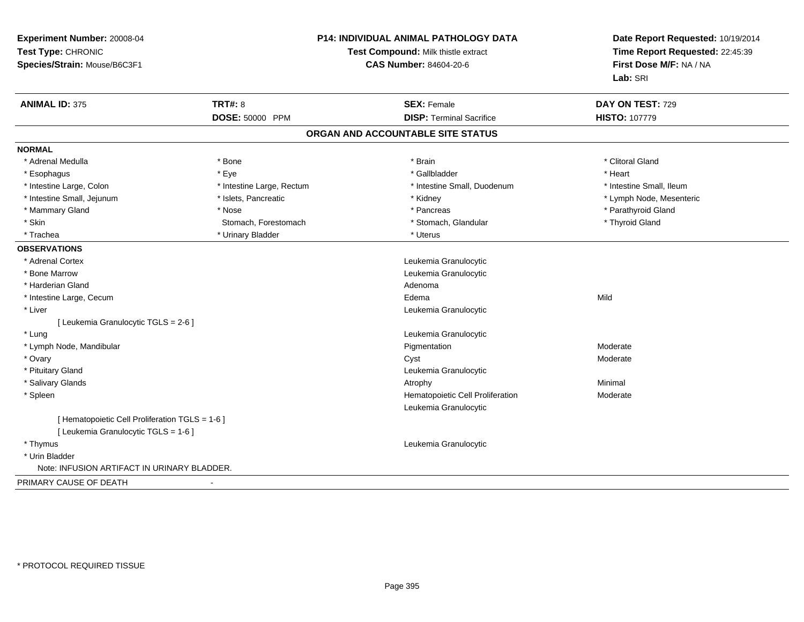| Experiment Number: 20008-04<br>Test Type: CHRONIC<br>Species/Strain: Mouse/B6C3F1 |                           | <b>P14: INDIVIDUAL ANIMAL PATHOLOGY DATA</b><br>Test Compound: Milk thistle extract<br><b>CAS Number: 84604-20-6</b> | Date Report Requested: 10/19/2014<br>Time Report Requested: 22:45:39<br>First Dose M/F: NA / NA<br>Lab: SRI |
|-----------------------------------------------------------------------------------|---------------------------|----------------------------------------------------------------------------------------------------------------------|-------------------------------------------------------------------------------------------------------------|
| <b>ANIMAL ID: 375</b>                                                             | <b>TRT#: 8</b>            | <b>SEX: Female</b>                                                                                                   | DAY ON TEST: 729                                                                                            |
|                                                                                   | DOSE: 50000 PPM           | <b>DISP: Terminal Sacrifice</b>                                                                                      | <b>HISTO: 107779</b>                                                                                        |
|                                                                                   |                           | ORGAN AND ACCOUNTABLE SITE STATUS                                                                                    |                                                                                                             |
| <b>NORMAL</b>                                                                     |                           |                                                                                                                      |                                                                                                             |
| * Adrenal Medulla                                                                 | * Bone                    | * Brain                                                                                                              | * Clitoral Gland                                                                                            |
| * Esophagus                                                                       | * Eye                     | * Gallbladder                                                                                                        | * Heart                                                                                                     |
| * Intestine Large, Colon                                                          | * Intestine Large, Rectum | * Intestine Small, Duodenum                                                                                          | * Intestine Small, Ileum                                                                                    |
| * Intestine Small, Jejunum                                                        | * Islets, Pancreatic      | * Kidney                                                                                                             | * Lymph Node, Mesenteric                                                                                    |
| * Mammary Gland                                                                   | * Nose                    | * Pancreas                                                                                                           | * Parathyroid Gland                                                                                         |
| * Skin                                                                            | Stomach, Forestomach      | * Stomach, Glandular                                                                                                 | * Thyroid Gland                                                                                             |
| * Trachea                                                                         | * Urinary Bladder         | * Uterus                                                                                                             |                                                                                                             |
| <b>OBSERVATIONS</b>                                                               |                           |                                                                                                                      |                                                                                                             |
| * Adrenal Cortex                                                                  |                           | Leukemia Granulocytic                                                                                                |                                                                                                             |
| * Bone Marrow                                                                     |                           | Leukemia Granulocytic                                                                                                |                                                                                                             |
| * Harderian Gland                                                                 |                           | Adenoma                                                                                                              |                                                                                                             |
| * Intestine Large, Cecum                                                          |                           | Edema                                                                                                                | Mild                                                                                                        |
| * Liver                                                                           |                           | Leukemia Granulocytic                                                                                                |                                                                                                             |
| [ Leukemia Granulocytic TGLS = 2-6 ]                                              |                           |                                                                                                                      |                                                                                                             |
| * Lung                                                                            |                           | Leukemia Granulocytic                                                                                                |                                                                                                             |
| * Lymph Node, Mandibular                                                          |                           | Pigmentation                                                                                                         | Moderate                                                                                                    |
| * Ovary                                                                           |                           | Cyst                                                                                                                 | Moderate                                                                                                    |
| * Pituitary Gland                                                                 |                           | Leukemia Granulocytic                                                                                                |                                                                                                             |
| * Salivary Glands                                                                 |                           | Atrophy                                                                                                              | Minimal                                                                                                     |
| * Spleen                                                                          |                           | Hematopoietic Cell Proliferation<br>Leukemia Granulocytic                                                            | Moderate                                                                                                    |
| [ Hematopoietic Cell Proliferation TGLS = 1-6 ]                                   |                           |                                                                                                                      |                                                                                                             |
| [ Leukemia Granulocytic TGLS = 1-6 ]                                              |                           |                                                                                                                      |                                                                                                             |
| * Thymus                                                                          |                           | Leukemia Granulocytic                                                                                                |                                                                                                             |
| * Urin Bladder                                                                    |                           |                                                                                                                      |                                                                                                             |
| Note: INFUSION ARTIFACT IN URINARY BLADDER.                                       |                           |                                                                                                                      |                                                                                                             |
| PRIMARY CAUSE OF DEATH                                                            |                           |                                                                                                                      |                                                                                                             |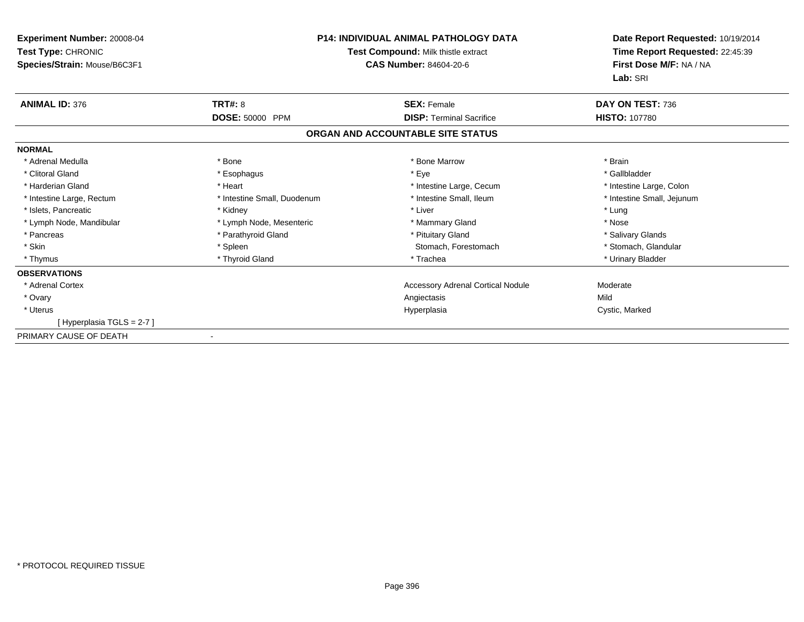| <b>Experiment Number: 20008-04</b><br>Test Type: CHRONIC<br>Species/Strain: Mouse/B6C3F1 | <b>P14: INDIVIDUAL ANIMAL PATHOLOGY DATA</b><br>Test Compound: Milk thistle extract<br><b>CAS Number: 84604-20-6</b> |                                          | Date Report Requested: 10/19/2014<br>Time Report Requested: 22:45:39<br>First Dose M/F: NA / NA<br>Lab: SRI |
|------------------------------------------------------------------------------------------|----------------------------------------------------------------------------------------------------------------------|------------------------------------------|-------------------------------------------------------------------------------------------------------------|
| <b>ANIMAL ID: 376</b>                                                                    | <b>TRT#: 8</b>                                                                                                       | <b>SEX: Female</b>                       | DAY ON TEST: 736                                                                                            |
|                                                                                          | DOSE: 50000 PPM                                                                                                      | <b>DISP: Terminal Sacrifice</b>          | <b>HISTO: 107780</b>                                                                                        |
|                                                                                          |                                                                                                                      | ORGAN AND ACCOUNTABLE SITE STATUS        |                                                                                                             |
| <b>NORMAL</b>                                                                            |                                                                                                                      |                                          |                                                                                                             |
| * Adrenal Medulla                                                                        | * Bone                                                                                                               | * Bone Marrow                            | * Brain                                                                                                     |
| * Clitoral Gland                                                                         | * Esophagus                                                                                                          | * Eye                                    | * Gallbladder                                                                                               |
| * Harderian Gland                                                                        | * Heart                                                                                                              | * Intestine Large, Cecum                 | * Intestine Large, Colon                                                                                    |
| * Intestine Large, Rectum                                                                | * Intestine Small, Duodenum                                                                                          | * Intestine Small, Ileum                 | * Intestine Small, Jejunum                                                                                  |
| * Islets, Pancreatic                                                                     | * Kidney                                                                                                             | * Liver                                  | * Lung                                                                                                      |
| * Lymph Node, Mandibular                                                                 | * Lymph Node, Mesenteric                                                                                             | * Mammary Gland                          | * Nose                                                                                                      |
| * Pancreas                                                                               | * Parathyroid Gland                                                                                                  | * Pituitary Gland                        | * Salivary Glands                                                                                           |
| * Skin                                                                                   | * Spleen                                                                                                             | Stomach, Forestomach                     | * Stomach, Glandular                                                                                        |
| * Thymus                                                                                 | * Thyroid Gland                                                                                                      | * Trachea                                | * Urinary Bladder                                                                                           |
| <b>OBSERVATIONS</b>                                                                      |                                                                                                                      |                                          |                                                                                                             |
| * Adrenal Cortex                                                                         |                                                                                                                      | <b>Accessory Adrenal Cortical Nodule</b> | Moderate                                                                                                    |
| * Ovary                                                                                  |                                                                                                                      | Angiectasis                              | Mild                                                                                                        |
| * Uterus                                                                                 |                                                                                                                      | Hyperplasia                              | Cystic, Marked                                                                                              |
| [Hyperplasia TGLS = 2-7]                                                                 |                                                                                                                      |                                          |                                                                                                             |
| PRIMARY CAUSE OF DEATH                                                                   | $\overline{\phantom{a}}$                                                                                             |                                          |                                                                                                             |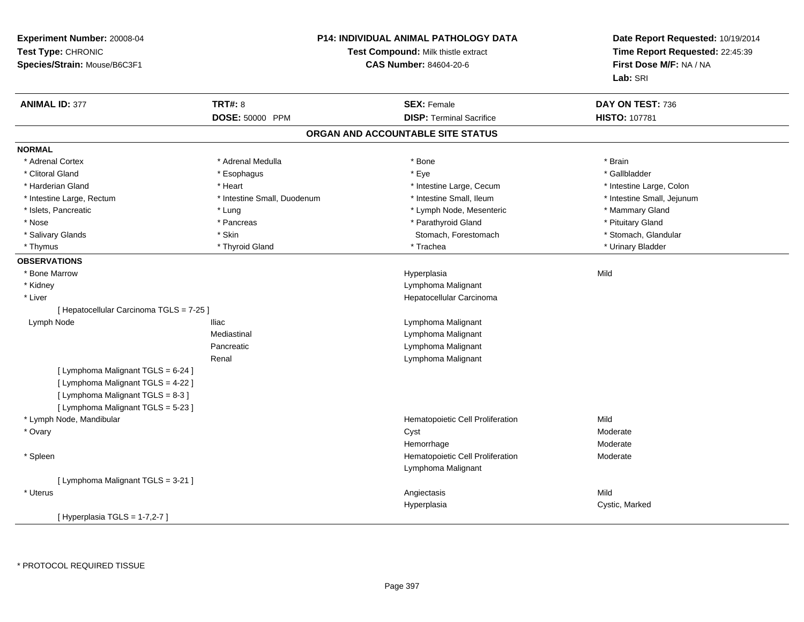| Experiment Number: 20008-04<br>Test Type: CHRONIC<br>Species/Strain: Mouse/B6C3F1 |                             | P14: INDIVIDUAL ANIMAL PATHOLOGY DATA<br>Test Compound: Milk thistle extract<br><b>CAS Number: 84604-20-6</b> | Date Report Requested: 10/19/2014<br>Time Report Requested: 22:45:39<br>First Dose M/F: NA / NA<br>Lab: SRI |  |
|-----------------------------------------------------------------------------------|-----------------------------|---------------------------------------------------------------------------------------------------------------|-------------------------------------------------------------------------------------------------------------|--|
| <b>ANIMAL ID: 377</b>                                                             | <b>TRT#: 8</b>              | <b>SEX: Female</b>                                                                                            | DAY ON TEST: 736                                                                                            |  |
|                                                                                   | DOSE: 50000 PPM             | <b>DISP: Terminal Sacrifice</b>                                                                               | HISTO: 107781                                                                                               |  |
|                                                                                   |                             | ORGAN AND ACCOUNTABLE SITE STATUS                                                                             |                                                                                                             |  |
| <b>NORMAL</b>                                                                     |                             |                                                                                                               |                                                                                                             |  |
| * Adrenal Cortex                                                                  | * Adrenal Medulla           | $*$ Bone                                                                                                      | * Brain                                                                                                     |  |
| * Clitoral Gland                                                                  | * Esophagus                 | * Eye                                                                                                         | * Gallbladder                                                                                               |  |
| * Harderian Gland                                                                 | * Heart                     | * Intestine Large, Cecum                                                                                      | * Intestine Large, Colon                                                                                    |  |
| * Intestine Large, Rectum                                                         | * Intestine Small, Duodenum | * Intestine Small, Ileum                                                                                      | * Intestine Small, Jejunum                                                                                  |  |
| * Islets, Pancreatic                                                              | * Lung                      | * Lymph Node, Mesenteric                                                                                      | * Mammary Gland                                                                                             |  |
| * Nose                                                                            | * Pancreas                  | * Parathyroid Gland                                                                                           | * Pituitary Gland                                                                                           |  |
| * Salivary Glands                                                                 | * Skin                      | Stomach, Forestomach                                                                                          | * Stomach, Glandular                                                                                        |  |
| * Thymus                                                                          | * Thyroid Gland             | * Trachea                                                                                                     | * Urinary Bladder                                                                                           |  |
| <b>OBSERVATIONS</b>                                                               |                             |                                                                                                               |                                                                                                             |  |
| * Bone Marrow                                                                     |                             | Hyperplasia                                                                                                   | Mild                                                                                                        |  |
| * Kidney                                                                          |                             | Lymphoma Malignant                                                                                            |                                                                                                             |  |
| * Liver                                                                           |                             | Hepatocellular Carcinoma                                                                                      |                                                                                                             |  |
| [ Hepatocellular Carcinoma TGLS = 7-25 ]                                          |                             |                                                                                                               |                                                                                                             |  |
| Lymph Node                                                                        | <b>Iliac</b>                | Lymphoma Malignant                                                                                            |                                                                                                             |  |
|                                                                                   | Mediastinal                 | Lymphoma Malignant                                                                                            |                                                                                                             |  |
|                                                                                   | Pancreatic                  | Lymphoma Malignant                                                                                            |                                                                                                             |  |
|                                                                                   | Renal                       | Lymphoma Malignant                                                                                            |                                                                                                             |  |
| [ Lymphoma Malignant TGLS = 6-24 ]                                                |                             |                                                                                                               |                                                                                                             |  |
| [ Lymphoma Malignant TGLS = 4-22 ]                                                |                             |                                                                                                               |                                                                                                             |  |
| [ Lymphoma Malignant TGLS = 8-3 ]                                                 |                             |                                                                                                               |                                                                                                             |  |
| [ Lymphoma Malignant TGLS = 5-23 ]                                                |                             |                                                                                                               |                                                                                                             |  |
| * Lymph Node, Mandibular                                                          |                             | Hematopoietic Cell Proliferation                                                                              | Mild                                                                                                        |  |
| * Ovary                                                                           |                             | Cyst                                                                                                          | Moderate                                                                                                    |  |
|                                                                                   |                             | Hemorrhage                                                                                                    | Moderate                                                                                                    |  |
| * Spleen                                                                          |                             | Hematopoietic Cell Proliferation                                                                              | Moderate                                                                                                    |  |
|                                                                                   |                             | Lymphoma Malignant                                                                                            |                                                                                                             |  |
| [ Lymphoma Malignant TGLS = 3-21 ]                                                |                             |                                                                                                               |                                                                                                             |  |
| * Uterus                                                                          |                             | Angiectasis                                                                                                   | Mild                                                                                                        |  |
|                                                                                   |                             | Hyperplasia                                                                                                   | Cystic, Marked                                                                                              |  |
| [ Hyperplasia TGLS = 1-7,2-7 ]                                                    |                             |                                                                                                               |                                                                                                             |  |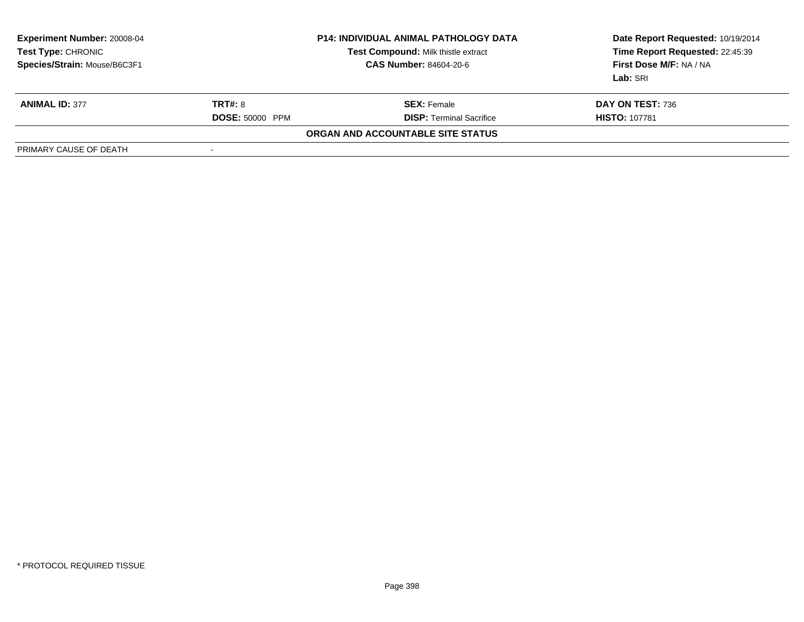| <b>Experiment Number: 20008-04</b><br>Test Type: CHRONIC<br>Species/Strain: Mouse/B6C3F1 | <b>P14: INDIVIDUAL ANIMAL PATHOLOGY DATA</b><br>Test Compound: Milk thistle extract<br><b>CAS Number: 84604-20-6</b> |                                   | Date Report Requested: 10/19/2014<br>Time Report Requested: 22:45:39<br>First Dose M/F: NA / NA<br>Lab: SRI |  |
|------------------------------------------------------------------------------------------|----------------------------------------------------------------------------------------------------------------------|-----------------------------------|-------------------------------------------------------------------------------------------------------------|--|
| <b>ANIMAL ID: 377</b>                                                                    | <b>TRT#: 8</b>                                                                                                       | <b>SEX:</b> Female                | DAY ON TEST: 736                                                                                            |  |
|                                                                                          | <b>DOSE: 50000 PPM</b>                                                                                               | <b>DISP: Terminal Sacrifice</b>   | <b>HISTO: 107781</b>                                                                                        |  |
|                                                                                          |                                                                                                                      | ORGAN AND ACCOUNTABLE SITE STATUS |                                                                                                             |  |
| PRIMARY CAUSE OF DEATH                                                                   | $\overline{\phantom{a}}$                                                                                             |                                   |                                                                                                             |  |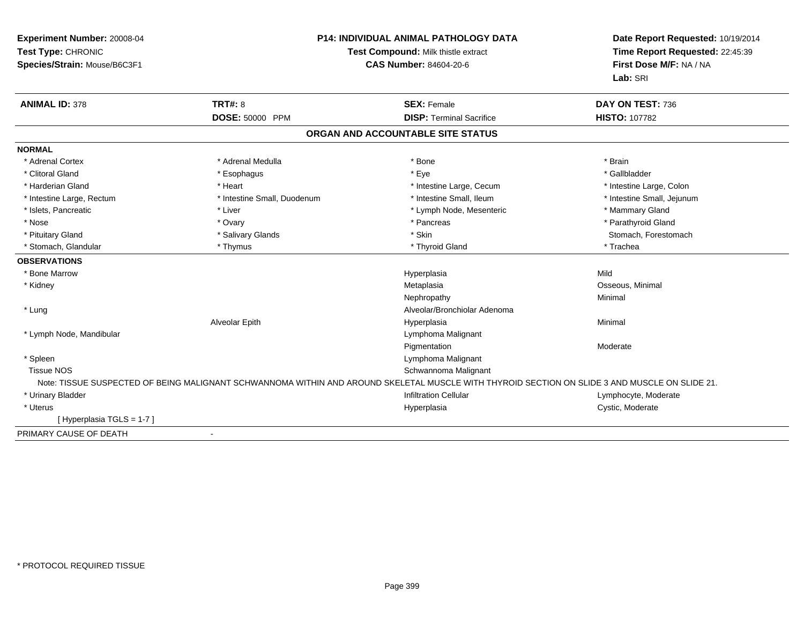| Experiment Number: 20008-04<br>Test Type: CHRONIC<br>Species/Strain: Mouse/B6C3F1 |                             | <b>P14: INDIVIDUAL ANIMAL PATHOLOGY DATA</b><br>Test Compound: Milk thistle extract<br><b>CAS Number: 84604-20-6</b>                           |                            |  |
|-----------------------------------------------------------------------------------|-----------------------------|------------------------------------------------------------------------------------------------------------------------------------------------|----------------------------|--|
| <b>ANIMAL ID: 378</b>                                                             | TRT#: 8                     | <b>SEX: Female</b>                                                                                                                             | DAY ON TEST: 736           |  |
|                                                                                   | DOSE: 50000 PPM             | <b>DISP: Terminal Sacrifice</b>                                                                                                                | <b>HISTO: 107782</b>       |  |
|                                                                                   |                             | ORGAN AND ACCOUNTABLE SITE STATUS                                                                                                              |                            |  |
| <b>NORMAL</b>                                                                     |                             |                                                                                                                                                |                            |  |
| * Adrenal Cortex                                                                  | * Adrenal Medulla           | * Bone                                                                                                                                         | * Brain                    |  |
| * Clitoral Gland                                                                  | * Esophagus                 | * Eye                                                                                                                                          | * Gallbladder              |  |
| * Harderian Gland                                                                 | * Heart                     | * Intestine Large, Cecum                                                                                                                       | * Intestine Large, Colon   |  |
| * Intestine Large, Rectum                                                         | * Intestine Small, Duodenum | * Intestine Small, Ileum                                                                                                                       | * Intestine Small, Jejunum |  |
| * Islets, Pancreatic                                                              | * Liver                     | * Lymph Node, Mesenteric                                                                                                                       | * Mammary Gland            |  |
| * Nose                                                                            | * Ovary                     | * Pancreas                                                                                                                                     | * Parathyroid Gland        |  |
| * Pituitary Gland                                                                 | * Salivary Glands           | * Skin                                                                                                                                         | Stomach, Forestomach       |  |
| * Stomach, Glandular                                                              | * Thymus                    | * Thyroid Gland                                                                                                                                | * Trachea                  |  |
| <b>OBSERVATIONS</b>                                                               |                             |                                                                                                                                                |                            |  |
| * Bone Marrow                                                                     |                             | Hyperplasia                                                                                                                                    | Mild                       |  |
| * Kidney                                                                          |                             | Metaplasia                                                                                                                                     | Osseous, Minimal           |  |
|                                                                                   |                             | Nephropathy                                                                                                                                    | Minimal                    |  |
| * Lung                                                                            |                             | Alveolar/Bronchiolar Adenoma                                                                                                                   |                            |  |
|                                                                                   | Alveolar Epith              | Hyperplasia                                                                                                                                    | Minimal                    |  |
| * Lymph Node, Mandibular                                                          |                             | Lymphoma Malignant                                                                                                                             |                            |  |
|                                                                                   |                             | Pigmentation                                                                                                                                   | Moderate                   |  |
| * Spleen                                                                          |                             | Lymphoma Malignant                                                                                                                             |                            |  |
| <b>Tissue NOS</b>                                                                 |                             | Schwannoma Malignant                                                                                                                           |                            |  |
|                                                                                   |                             | Note: TISSUE SUSPECTED OF BEING MALIGNANT SCHWANNOMA WITHIN AND AROUND SKELETAL MUSCLE WITH THYROID SECTION ON SLIDE 3 AND MUSCLE ON SLIDE 21. |                            |  |
| * Urinary Bladder                                                                 |                             | <b>Infiltration Cellular</b>                                                                                                                   | Lymphocyte, Moderate       |  |
| * Uterus                                                                          |                             | Hyperplasia                                                                                                                                    | Cystic, Moderate           |  |
| [Hyperplasia TGLS = 1-7]                                                          |                             |                                                                                                                                                |                            |  |
| PRIMARY CAUSE OF DEATH                                                            | $\overline{\phantom{a}}$    |                                                                                                                                                |                            |  |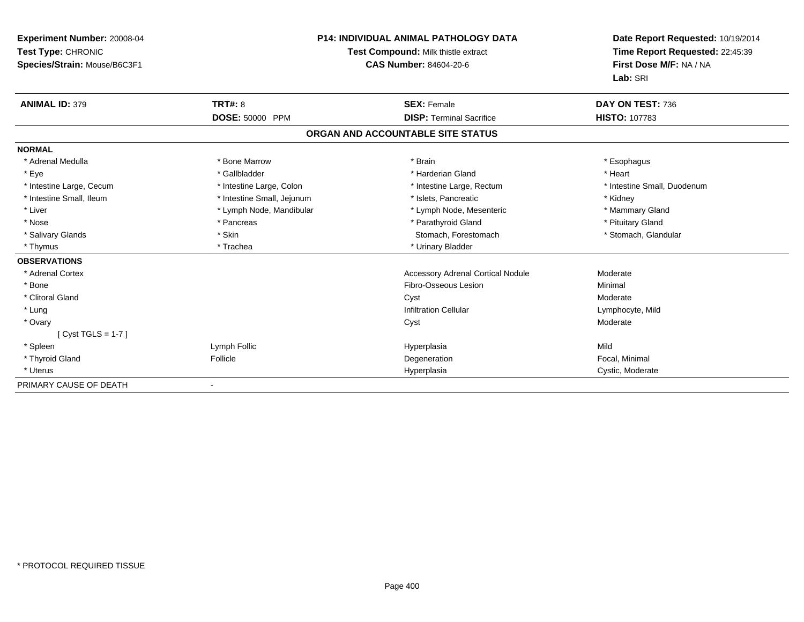| Experiment Number: 20008-04<br>Test Type: CHRONIC<br>Species/Strain: Mouse/B6C3F1 |                            | <b>P14: INDIVIDUAL ANIMAL PATHOLOGY DATA</b><br>Test Compound: Milk thistle extract<br><b>CAS Number: 84604-20-6</b> | Date Report Requested: 10/19/2014<br>Time Report Requested: 22:45:39<br>First Dose M/F: NA / NA<br>Lab: SRI |  |
|-----------------------------------------------------------------------------------|----------------------------|----------------------------------------------------------------------------------------------------------------------|-------------------------------------------------------------------------------------------------------------|--|
| <b>ANIMAL ID: 379</b>                                                             | <b>TRT#: 8</b>             | <b>SEX: Female</b>                                                                                                   | DAY ON TEST: 736                                                                                            |  |
|                                                                                   | <b>DOSE: 50000 PPM</b>     | <b>DISP: Terminal Sacrifice</b>                                                                                      | <b>HISTO: 107783</b>                                                                                        |  |
|                                                                                   |                            | ORGAN AND ACCOUNTABLE SITE STATUS                                                                                    |                                                                                                             |  |
| <b>NORMAL</b>                                                                     |                            |                                                                                                                      |                                                                                                             |  |
| * Adrenal Medulla                                                                 | * Bone Marrow              | * Brain                                                                                                              | * Esophagus                                                                                                 |  |
| * Eye                                                                             | * Gallbladder              | * Harderian Gland                                                                                                    | * Heart                                                                                                     |  |
| * Intestine Large, Cecum                                                          | * Intestine Large, Colon   | * Intestine Large, Rectum                                                                                            | * Intestine Small, Duodenum                                                                                 |  |
| * Intestine Small, Ileum                                                          | * Intestine Small, Jejunum | * Islets, Pancreatic                                                                                                 | * Kidney                                                                                                    |  |
| * Liver                                                                           | * Lymph Node, Mandibular   | * Lymph Node, Mesenteric                                                                                             | * Mammary Gland                                                                                             |  |
| * Nose                                                                            | * Pancreas                 | * Parathyroid Gland                                                                                                  | * Pituitary Gland                                                                                           |  |
| * Salivary Glands                                                                 | * Skin                     | Stomach, Forestomach                                                                                                 | * Stomach, Glandular                                                                                        |  |
| * Thymus                                                                          | * Trachea                  | * Urinary Bladder                                                                                                    |                                                                                                             |  |
| <b>OBSERVATIONS</b>                                                               |                            |                                                                                                                      |                                                                                                             |  |
| * Adrenal Cortex                                                                  |                            | <b>Accessory Adrenal Cortical Nodule</b>                                                                             | Moderate                                                                                                    |  |
| * Bone                                                                            |                            | Fibro-Osseous Lesion                                                                                                 | Minimal                                                                                                     |  |
| * Clitoral Gland                                                                  |                            | Cyst                                                                                                                 | Moderate                                                                                                    |  |
| * Lung                                                                            |                            | <b>Infiltration Cellular</b>                                                                                         | Lymphocyte, Mild                                                                                            |  |
| * Ovary                                                                           |                            | Cyst                                                                                                                 | Moderate                                                                                                    |  |
| [Cyst TGLS = $1-7$ ]                                                              |                            |                                                                                                                      |                                                                                                             |  |
| * Spleen                                                                          | Lymph Follic               | Hyperplasia                                                                                                          | Mild                                                                                                        |  |
| * Thyroid Gland                                                                   | Follicle                   | Degeneration                                                                                                         | Focal, Minimal                                                                                              |  |
| * Uterus                                                                          |                            | Hyperplasia                                                                                                          | Cystic, Moderate                                                                                            |  |
| PRIMARY CAUSE OF DEATH                                                            |                            |                                                                                                                      |                                                                                                             |  |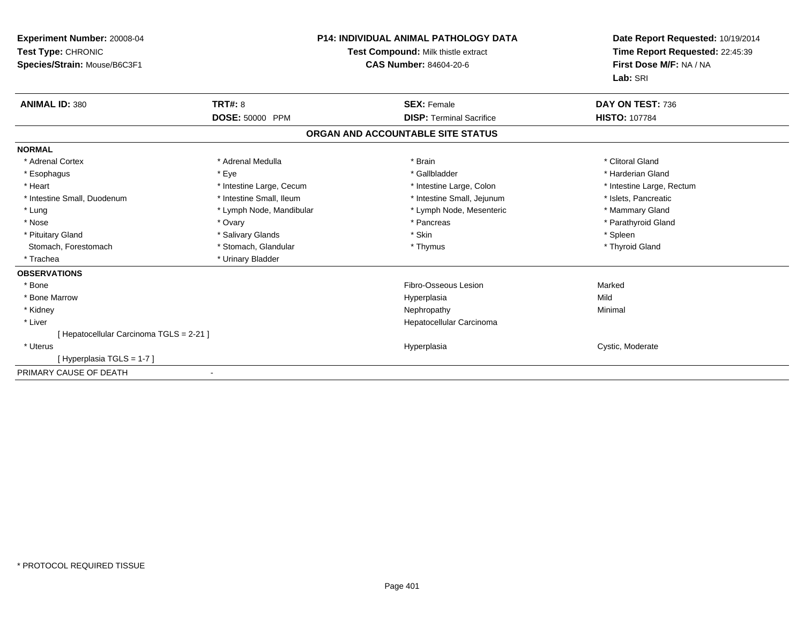| Experiment Number: 20008-04<br>Test Type: CHRONIC<br>Species/Strain: Mouse/B6C3F1 |                          | <b>P14: INDIVIDUAL ANIMAL PATHOLOGY DATA</b><br>Test Compound: Milk thistle extract<br><b>CAS Number: 84604-20-6</b> | Date Report Requested: 10/19/2014<br>Time Report Requested: 22:45:39<br>First Dose M/F: NA / NA<br>Lab: SRI |  |
|-----------------------------------------------------------------------------------|--------------------------|----------------------------------------------------------------------------------------------------------------------|-------------------------------------------------------------------------------------------------------------|--|
| <b>ANIMAL ID: 380</b>                                                             | TRT#: 8                  | <b>SEX: Female</b>                                                                                                   | DAY ON TEST: 736                                                                                            |  |
|                                                                                   | <b>DOSE: 50000 PPM</b>   | <b>DISP: Terminal Sacrifice</b>                                                                                      | <b>HISTO: 107784</b>                                                                                        |  |
|                                                                                   |                          | ORGAN AND ACCOUNTABLE SITE STATUS                                                                                    |                                                                                                             |  |
| <b>NORMAL</b>                                                                     |                          |                                                                                                                      |                                                                                                             |  |
| * Adrenal Cortex                                                                  | * Adrenal Medulla        | * Brain                                                                                                              | * Clitoral Gland                                                                                            |  |
| * Esophagus                                                                       | * Eye                    | * Gallbladder                                                                                                        | * Harderian Gland                                                                                           |  |
| * Heart                                                                           | * Intestine Large, Cecum | * Intestine Large, Colon                                                                                             | * Intestine Large, Rectum                                                                                   |  |
| * Intestine Small, Duodenum                                                       | * Intestine Small, Ileum | * Intestine Small, Jejunum                                                                                           | * Islets, Pancreatic                                                                                        |  |
| * Lung                                                                            | * Lymph Node, Mandibular | * Lymph Node, Mesenteric                                                                                             | * Mammary Gland                                                                                             |  |
| * Nose                                                                            | * Ovary                  | * Pancreas                                                                                                           | * Parathyroid Gland                                                                                         |  |
| * Pituitary Gland                                                                 | * Salivary Glands        | * Skin                                                                                                               | * Spleen                                                                                                    |  |
| Stomach, Forestomach                                                              | * Stomach, Glandular     | * Thymus                                                                                                             | * Thyroid Gland                                                                                             |  |
| * Trachea                                                                         | * Urinary Bladder        |                                                                                                                      |                                                                                                             |  |
| <b>OBSERVATIONS</b>                                                               |                          |                                                                                                                      |                                                                                                             |  |
| * Bone                                                                            |                          | Fibro-Osseous Lesion                                                                                                 | Marked                                                                                                      |  |
| * Bone Marrow                                                                     |                          | Hyperplasia                                                                                                          | Mild                                                                                                        |  |
| * Kidney                                                                          |                          | Nephropathy                                                                                                          | Minimal                                                                                                     |  |
| * Liver                                                                           |                          | Hepatocellular Carcinoma                                                                                             |                                                                                                             |  |
| [ Hepatocellular Carcinoma TGLS = 2-21 ]                                          |                          |                                                                                                                      |                                                                                                             |  |
| * Uterus                                                                          |                          | Hyperplasia                                                                                                          | Cystic, Moderate                                                                                            |  |
| [Hyperplasia TGLS = 1-7]                                                          |                          |                                                                                                                      |                                                                                                             |  |
| PRIMARY CAUSE OF DEATH                                                            |                          |                                                                                                                      |                                                                                                             |  |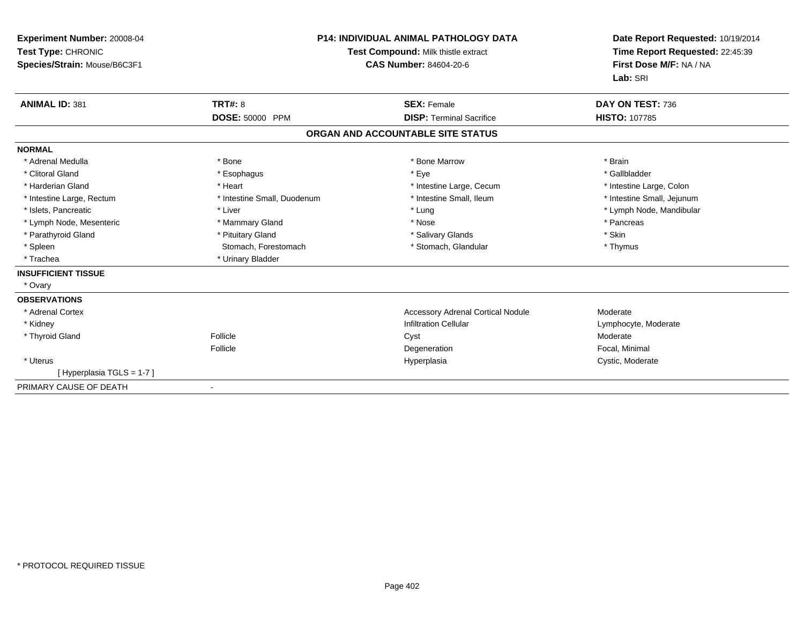| Experiment Number: 20008-04<br>Test Type: CHRONIC<br>Species/Strain: Mouse/B6C3F1<br><b>ANIMAL ID: 381</b> | <b>TRT#: 8</b>              | P14: INDIVIDUAL ANIMAL PATHOLOGY DATA<br>Test Compound: Milk thistle extract<br><b>CAS Number: 84604-20-6</b><br><b>SEX: Female</b> | Date Report Requested: 10/19/2014<br>Time Report Requested: 22:45:39<br>First Dose M/F: NA / NA<br>Lab: SRI<br>DAY ON TEST: 736 |
|------------------------------------------------------------------------------------------------------------|-----------------------------|-------------------------------------------------------------------------------------------------------------------------------------|---------------------------------------------------------------------------------------------------------------------------------|
|                                                                                                            | DOSE: 50000 PPM             | <b>DISP: Terminal Sacrifice</b>                                                                                                     | <b>HISTO: 107785</b>                                                                                                            |
|                                                                                                            |                             | ORGAN AND ACCOUNTABLE SITE STATUS                                                                                                   |                                                                                                                                 |
| <b>NORMAL</b>                                                                                              |                             |                                                                                                                                     |                                                                                                                                 |
| * Adrenal Medulla                                                                                          | * Bone                      | * Bone Marrow                                                                                                                       | * Brain                                                                                                                         |
| * Clitoral Gland                                                                                           | * Esophagus                 | * Eye                                                                                                                               | * Gallbladder                                                                                                                   |
| * Harderian Gland                                                                                          | * Heart                     | * Intestine Large, Cecum                                                                                                            | * Intestine Large, Colon                                                                                                        |
| * Intestine Large, Rectum                                                                                  | * Intestine Small, Duodenum | * Intestine Small, Ileum                                                                                                            | * Intestine Small, Jejunum                                                                                                      |
| * Islets, Pancreatic                                                                                       | * Liver                     | * Lung                                                                                                                              | * Lymph Node, Mandibular                                                                                                        |
| * Lymph Node, Mesenteric                                                                                   | * Mammary Gland             | * Nose                                                                                                                              | * Pancreas                                                                                                                      |
| * Parathyroid Gland                                                                                        | * Pituitary Gland           | * Salivary Glands                                                                                                                   | * Skin                                                                                                                          |
| * Spleen                                                                                                   | Stomach, Forestomach        | * Stomach, Glandular                                                                                                                | * Thymus                                                                                                                        |
| * Trachea                                                                                                  | * Urinary Bladder           |                                                                                                                                     |                                                                                                                                 |
| <b>INSUFFICIENT TISSUE</b>                                                                                 |                             |                                                                                                                                     |                                                                                                                                 |
| * Ovary                                                                                                    |                             |                                                                                                                                     |                                                                                                                                 |
| <b>OBSERVATIONS</b>                                                                                        |                             |                                                                                                                                     |                                                                                                                                 |
| * Adrenal Cortex                                                                                           |                             | <b>Accessory Adrenal Cortical Nodule</b>                                                                                            | Moderate                                                                                                                        |
| * Kidney                                                                                                   |                             | <b>Infiltration Cellular</b>                                                                                                        | Lymphocyte, Moderate                                                                                                            |
| * Thyroid Gland                                                                                            | Follicle                    | Cyst                                                                                                                                | Moderate                                                                                                                        |
|                                                                                                            | Follicle                    | Degeneration                                                                                                                        | Focal, Minimal                                                                                                                  |
| * Uterus                                                                                                   |                             | Hyperplasia                                                                                                                         | Cystic, Moderate                                                                                                                |
| [Hyperplasia TGLS = 1-7]                                                                                   |                             |                                                                                                                                     |                                                                                                                                 |
| PRIMARY CAUSE OF DEATH                                                                                     |                             |                                                                                                                                     |                                                                                                                                 |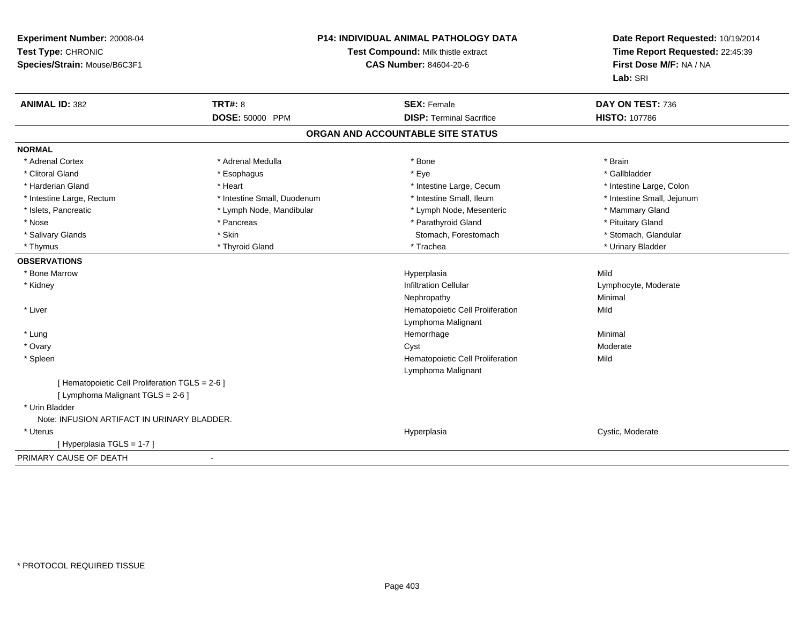| Experiment Number: 20008-04<br>Test Type: CHRONIC<br>Species/Strain: Mouse/B6C3F1 |                             | <b>P14: INDIVIDUAL ANIMAL PATHOLOGY DATA</b><br>Test Compound: Milk thistle extract<br><b>CAS Number: 84604-20-6</b> | Date Report Requested: 10/19/2014<br>Time Report Requested: 22:45:39<br>First Dose M/F: NA / NA<br>Lab: SRI |  |
|-----------------------------------------------------------------------------------|-----------------------------|----------------------------------------------------------------------------------------------------------------------|-------------------------------------------------------------------------------------------------------------|--|
| <b>ANIMAL ID: 382</b>                                                             | <b>TRT#: 8</b>              | <b>SEX: Female</b>                                                                                                   | DAY ON TEST: 736                                                                                            |  |
|                                                                                   | DOSE: 50000 PPM             | <b>DISP: Terminal Sacrifice</b>                                                                                      | <b>HISTO: 107786</b>                                                                                        |  |
|                                                                                   |                             | ORGAN AND ACCOUNTABLE SITE STATUS                                                                                    |                                                                                                             |  |
| <b>NORMAL</b>                                                                     |                             |                                                                                                                      |                                                                                                             |  |
| * Adrenal Cortex                                                                  | * Adrenal Medulla           | * Bone                                                                                                               | * Brain                                                                                                     |  |
| * Clitoral Gland                                                                  | * Esophagus                 | * Eye                                                                                                                | * Gallbladder                                                                                               |  |
| * Harderian Gland                                                                 | * Heart                     | * Intestine Large, Cecum                                                                                             | * Intestine Large, Colon                                                                                    |  |
| * Intestine Large, Rectum                                                         | * Intestine Small, Duodenum | * Intestine Small, Ileum                                                                                             | * Intestine Small, Jejunum                                                                                  |  |
| * Islets, Pancreatic                                                              | * Lymph Node, Mandibular    | * Lymph Node, Mesenteric                                                                                             | * Mammary Gland                                                                                             |  |
| * Nose                                                                            | * Pancreas                  | * Parathyroid Gland                                                                                                  | * Pituitary Gland                                                                                           |  |
| * Salivary Glands                                                                 | * Skin                      | Stomach, Forestomach                                                                                                 | * Stomach, Glandular                                                                                        |  |
| * Thymus                                                                          | * Thyroid Gland             | * Trachea                                                                                                            | * Urinary Bladder                                                                                           |  |
| <b>OBSERVATIONS</b>                                                               |                             |                                                                                                                      |                                                                                                             |  |
| * Bone Marrow                                                                     |                             | Hyperplasia                                                                                                          | Mild                                                                                                        |  |
| * Kidney                                                                          |                             | <b>Infiltration Cellular</b>                                                                                         | Lymphocyte, Moderate                                                                                        |  |
|                                                                                   |                             | Nephropathy                                                                                                          | Minimal                                                                                                     |  |
| * Liver                                                                           |                             | Hematopoietic Cell Proliferation                                                                                     | Mild                                                                                                        |  |
|                                                                                   |                             | Lymphoma Malignant                                                                                                   |                                                                                                             |  |
| * Lung                                                                            |                             | Hemorrhage                                                                                                           | Minimal                                                                                                     |  |
| * Ovary                                                                           |                             | Cyst                                                                                                                 | Moderate                                                                                                    |  |
| * Spleen                                                                          |                             | Hematopoietic Cell Proliferation<br>Lymphoma Malignant                                                               | Mild                                                                                                        |  |
| [ Hematopoietic Cell Proliferation TGLS = 2-6 ]                                   |                             |                                                                                                                      |                                                                                                             |  |
| [ Lymphoma Malignant TGLS = 2-6 ]                                                 |                             |                                                                                                                      |                                                                                                             |  |
| * Urin Bladder                                                                    |                             |                                                                                                                      |                                                                                                             |  |
| Note: INFUSION ARTIFACT IN URINARY BLADDER.                                       |                             |                                                                                                                      |                                                                                                             |  |
| * Uterus                                                                          |                             | Hyperplasia                                                                                                          | Cystic, Moderate                                                                                            |  |
| [Hyperplasia TGLS = 1-7]                                                          |                             |                                                                                                                      |                                                                                                             |  |
| PRIMARY CAUSE OF DEATH                                                            | $\overline{\phantom{a}}$    |                                                                                                                      |                                                                                                             |  |
|                                                                                   |                             |                                                                                                                      |                                                                                                             |  |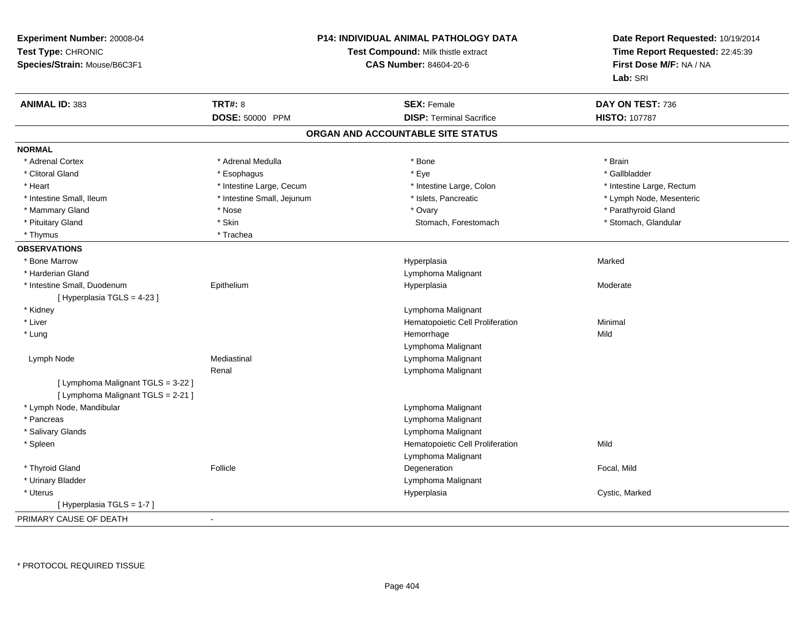| Experiment Number: 20008-04<br>Test Type: CHRONIC<br>Species/Strain: Mouse/B6C3F1 |                            | <b>P14: INDIVIDUAL ANIMAL PATHOLOGY DATA</b><br>Test Compound: Milk thistle extract<br><b>CAS Number: 84604-20-6</b> | Date Report Requested: 10/19/2014<br>Time Report Requested: 22:45:39<br>First Dose M/F: NA / NA<br>Lab: SRI |  |
|-----------------------------------------------------------------------------------|----------------------------|----------------------------------------------------------------------------------------------------------------------|-------------------------------------------------------------------------------------------------------------|--|
| <b>ANIMAL ID: 383</b>                                                             | <b>TRT#: 8</b>             | <b>SEX: Female</b>                                                                                                   | DAY ON TEST: 736                                                                                            |  |
|                                                                                   | DOSE: 50000 PPM            | <b>DISP: Terminal Sacrifice</b>                                                                                      | <b>HISTO: 107787</b>                                                                                        |  |
|                                                                                   |                            | ORGAN AND ACCOUNTABLE SITE STATUS                                                                                    |                                                                                                             |  |
| <b>NORMAL</b>                                                                     |                            |                                                                                                                      |                                                                                                             |  |
| * Adrenal Cortex                                                                  | * Adrenal Medulla          | $^{\star}$ Bone                                                                                                      | * Brain                                                                                                     |  |
| * Clitoral Gland                                                                  | * Esophagus                | * Eye                                                                                                                | * Gallbladder                                                                                               |  |
| * Heart                                                                           | * Intestine Large, Cecum   | * Intestine Large, Colon                                                                                             | * Intestine Large, Rectum                                                                                   |  |
| * Intestine Small, Ileum                                                          | * Intestine Small, Jejunum | * Islets, Pancreatic                                                                                                 | * Lymph Node, Mesenteric                                                                                    |  |
| * Mammary Gland                                                                   | * Nose                     | * Ovary                                                                                                              | * Parathyroid Gland                                                                                         |  |
| * Pituitary Gland                                                                 | * Skin                     | Stomach, Forestomach                                                                                                 | * Stomach, Glandular                                                                                        |  |
| * Thymus                                                                          | * Trachea                  |                                                                                                                      |                                                                                                             |  |
| <b>OBSERVATIONS</b>                                                               |                            |                                                                                                                      |                                                                                                             |  |
| * Bone Marrow                                                                     |                            | Hyperplasia                                                                                                          | Marked                                                                                                      |  |
| * Harderian Gland                                                                 |                            | Lymphoma Malignant                                                                                                   |                                                                                                             |  |
| * Intestine Small, Duodenum                                                       | Epithelium                 | Hyperplasia                                                                                                          | Moderate                                                                                                    |  |
| [ Hyperplasia TGLS = 4-23 ]                                                       |                            |                                                                                                                      |                                                                                                             |  |
| * Kidney                                                                          |                            | Lymphoma Malignant                                                                                                   |                                                                                                             |  |
| * Liver                                                                           |                            | Hematopoietic Cell Proliferation                                                                                     | Minimal                                                                                                     |  |
| * Lung                                                                            |                            | Hemorrhage                                                                                                           | Mild                                                                                                        |  |
|                                                                                   |                            | Lymphoma Malignant                                                                                                   |                                                                                                             |  |
| Lymph Node                                                                        | Mediastinal                | Lymphoma Malignant                                                                                                   |                                                                                                             |  |
|                                                                                   | Renal                      | Lymphoma Malignant                                                                                                   |                                                                                                             |  |
| [ Lymphoma Malignant TGLS = 3-22 ]                                                |                            |                                                                                                                      |                                                                                                             |  |
| [ Lymphoma Malignant TGLS = 2-21 ]                                                |                            |                                                                                                                      |                                                                                                             |  |
| * Lymph Node, Mandibular                                                          |                            | Lymphoma Malignant                                                                                                   |                                                                                                             |  |
| * Pancreas                                                                        |                            | Lymphoma Malignant                                                                                                   |                                                                                                             |  |
| * Salivary Glands                                                                 |                            | Lymphoma Malignant                                                                                                   |                                                                                                             |  |
| * Spleen                                                                          |                            | Hematopoietic Cell Proliferation                                                                                     | Mild                                                                                                        |  |
|                                                                                   |                            | Lymphoma Malignant                                                                                                   |                                                                                                             |  |
| * Thyroid Gland                                                                   | Follicle                   | Degeneration                                                                                                         | Focal, Mild                                                                                                 |  |
| * Urinary Bladder                                                                 |                            | Lymphoma Malignant                                                                                                   |                                                                                                             |  |
| * Uterus                                                                          |                            | Hyperplasia                                                                                                          | Cystic, Marked                                                                                              |  |
| [Hyperplasia TGLS = 1-7]                                                          |                            |                                                                                                                      |                                                                                                             |  |
| PRIMARY CAUSE OF DEATH                                                            |                            |                                                                                                                      |                                                                                                             |  |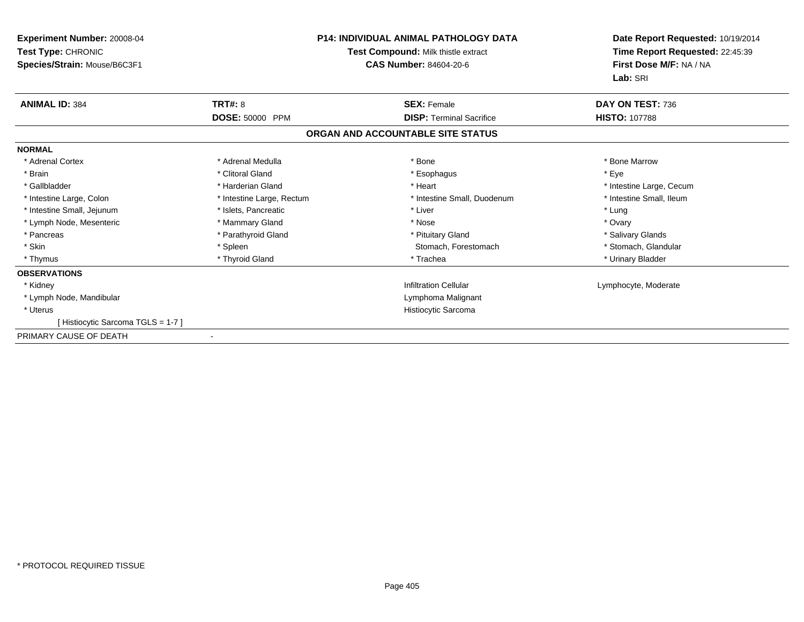| <b>Experiment Number: 20008-04</b><br>Test Type: CHRONIC<br>Species/Strain: Mouse/B6C3F1 |                           | <b>P14: INDIVIDUAL ANIMAL PATHOLOGY DATA</b><br>Test Compound: Milk thistle extract<br>CAS Number: 84604-20-6 | Date Report Requested: 10/19/2014<br>Time Report Requested: 22:45:39<br>First Dose M/F: NA / NA<br>Lab: SRI |
|------------------------------------------------------------------------------------------|---------------------------|---------------------------------------------------------------------------------------------------------------|-------------------------------------------------------------------------------------------------------------|
| <b>ANIMAL ID: 384</b>                                                                    | <b>TRT#: 8</b>            | <b>SEX: Female</b>                                                                                            | DAY ON TEST: 736                                                                                            |
|                                                                                          | <b>DOSE: 50000 PPM</b>    | <b>DISP:</b> Terminal Sacrifice                                                                               | <b>HISTO: 107788</b>                                                                                        |
|                                                                                          |                           | ORGAN AND ACCOUNTABLE SITE STATUS                                                                             |                                                                                                             |
| <b>NORMAL</b>                                                                            |                           |                                                                                                               |                                                                                                             |
| * Adrenal Cortex                                                                         | * Adrenal Medulla         | * Bone                                                                                                        | * Bone Marrow                                                                                               |
| * Brain                                                                                  | * Clitoral Gland          | * Esophagus                                                                                                   | * Eye                                                                                                       |
| * Gallbladder                                                                            | * Harderian Gland         | * Heart                                                                                                       | * Intestine Large, Cecum                                                                                    |
| * Intestine Large, Colon                                                                 | * Intestine Large, Rectum | * Intestine Small, Duodenum                                                                                   | * Intestine Small, Ileum                                                                                    |
| * Intestine Small, Jejunum                                                               | * Islets, Pancreatic      | * Liver                                                                                                       | * Lung                                                                                                      |
| * Lymph Node, Mesenteric                                                                 | * Mammary Gland           | * Nose                                                                                                        | * Ovary                                                                                                     |
| * Pancreas                                                                               | * Parathyroid Gland       | * Pituitary Gland                                                                                             | * Salivary Glands                                                                                           |
| * Skin                                                                                   | * Spleen                  | Stomach, Forestomach                                                                                          | * Stomach, Glandular                                                                                        |
| * Thymus                                                                                 | * Thyroid Gland           | * Trachea                                                                                                     | * Urinary Bladder                                                                                           |
| <b>OBSERVATIONS</b>                                                                      |                           |                                                                                                               |                                                                                                             |
| * Kidney                                                                                 |                           | <b>Infiltration Cellular</b>                                                                                  | Lymphocyte, Moderate                                                                                        |
| * Lymph Node, Mandibular                                                                 |                           | Lymphoma Malignant                                                                                            |                                                                                                             |
| * Uterus                                                                                 |                           | Histiocytic Sarcoma                                                                                           |                                                                                                             |
| [Histiocytic Sarcoma TGLS = 1-7]                                                         |                           |                                                                                                               |                                                                                                             |
| PRIMARY CAUSE OF DEATH                                                                   |                           |                                                                                                               |                                                                                                             |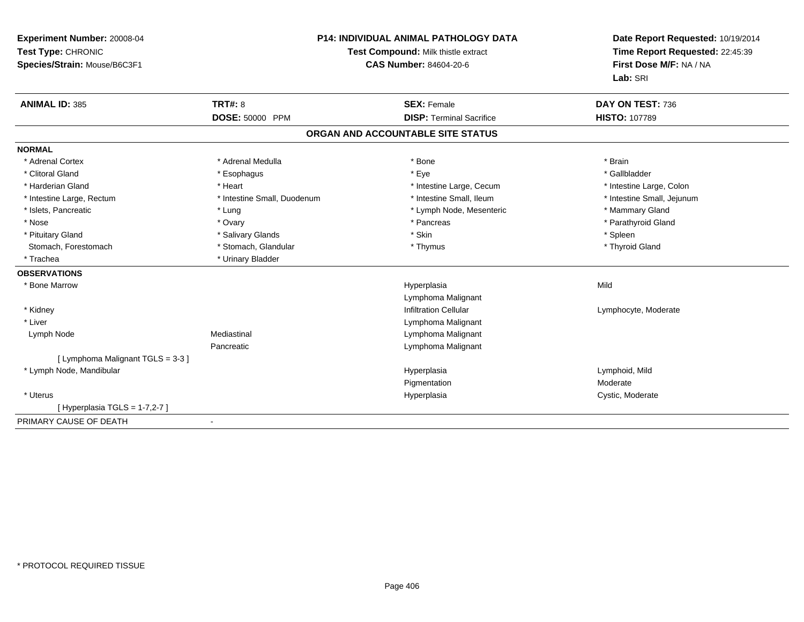| <b>Experiment Number: 20008-04</b><br>Test Type: CHRONIC<br>Species/Strain: Mouse/B6C3F1 | <b>P14: INDIVIDUAL ANIMAL PATHOLOGY DATA</b><br>Test Compound: Milk thistle extract<br><b>CAS Number: 84604-20-6</b> |                                   | Date Report Requested: 10/19/2014<br>Time Report Requested: 22:45:39<br>First Dose M/F: NA / NA<br>Lab: SRI |
|------------------------------------------------------------------------------------------|----------------------------------------------------------------------------------------------------------------------|-----------------------------------|-------------------------------------------------------------------------------------------------------------|
| <b>ANIMAL ID: 385</b>                                                                    | <b>TRT#: 8</b>                                                                                                       | <b>SEX: Female</b>                | DAY ON TEST: 736                                                                                            |
|                                                                                          | <b>DOSE: 50000 PPM</b>                                                                                               | <b>DISP: Terminal Sacrifice</b>   | <b>HISTO: 107789</b>                                                                                        |
|                                                                                          |                                                                                                                      | ORGAN AND ACCOUNTABLE SITE STATUS |                                                                                                             |
| <b>NORMAL</b>                                                                            |                                                                                                                      |                                   |                                                                                                             |
| * Adrenal Cortex                                                                         | * Adrenal Medulla                                                                                                    | * Bone                            | * Brain                                                                                                     |
| * Clitoral Gland                                                                         | * Esophagus                                                                                                          | * Eye                             | * Gallbladder                                                                                               |
| * Harderian Gland                                                                        | * Heart                                                                                                              | * Intestine Large, Cecum          | * Intestine Large, Colon                                                                                    |
| * Intestine Large, Rectum                                                                | * Intestine Small, Duodenum                                                                                          | * Intestine Small, Ileum          | * Intestine Small, Jejunum                                                                                  |
| * Islets, Pancreatic                                                                     | * Lung                                                                                                               | * Lymph Node, Mesenteric          | * Mammary Gland                                                                                             |
| * Nose                                                                                   | * Ovary                                                                                                              | * Pancreas                        | * Parathyroid Gland                                                                                         |
| * Pituitary Gland                                                                        | * Salivary Glands                                                                                                    | * Skin                            | * Spleen                                                                                                    |
| Stomach, Forestomach                                                                     | * Stomach, Glandular                                                                                                 | * Thymus                          | * Thyroid Gland                                                                                             |
| * Trachea                                                                                | * Urinary Bladder                                                                                                    |                                   |                                                                                                             |
| <b>OBSERVATIONS</b>                                                                      |                                                                                                                      |                                   |                                                                                                             |
| * Bone Marrow                                                                            |                                                                                                                      | Hyperplasia                       | Mild                                                                                                        |
|                                                                                          |                                                                                                                      | Lymphoma Malignant                |                                                                                                             |
| * Kidney                                                                                 |                                                                                                                      | <b>Infiltration Cellular</b>      | Lymphocyte, Moderate                                                                                        |
| * Liver                                                                                  |                                                                                                                      | Lymphoma Malignant                |                                                                                                             |
| Lymph Node                                                                               | Mediastinal                                                                                                          | Lymphoma Malignant                |                                                                                                             |
|                                                                                          | Pancreatic                                                                                                           | Lymphoma Malignant                |                                                                                                             |
| [ Lymphoma Malignant TGLS = 3-3 ]                                                        |                                                                                                                      |                                   |                                                                                                             |
| * Lymph Node, Mandibular                                                                 |                                                                                                                      | Hyperplasia                       | Lymphoid, Mild                                                                                              |
|                                                                                          |                                                                                                                      | Pigmentation                      | Moderate                                                                                                    |
| * Uterus                                                                                 |                                                                                                                      | Hyperplasia                       | Cystic, Moderate                                                                                            |
| [Hyperplasia TGLS = $1-7,2-7$ ]                                                          |                                                                                                                      |                                   |                                                                                                             |
| PRIMARY CAUSE OF DEATH                                                                   |                                                                                                                      |                                   |                                                                                                             |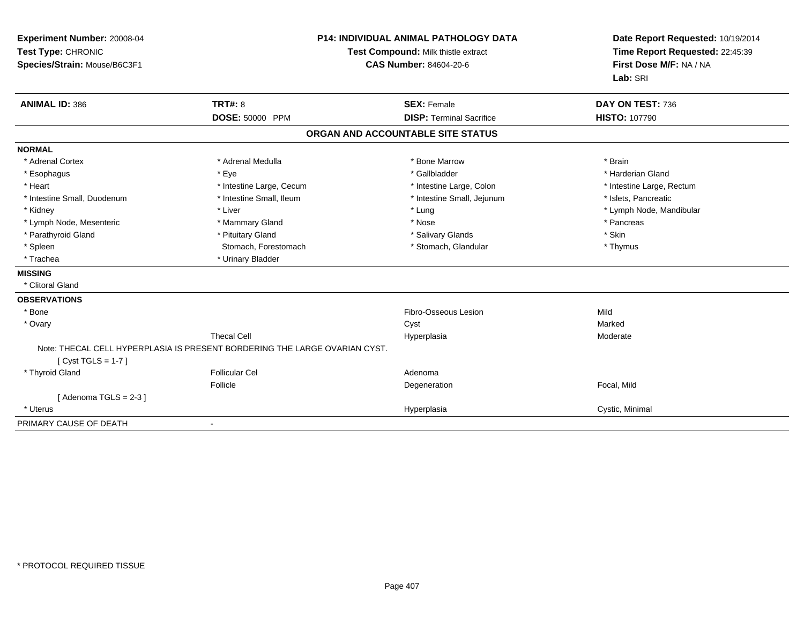| Experiment Number: 20008-04<br>Test Type: CHRONIC<br>Species/Strain: Mouse/B6C3F1 |                                                                            | <b>P14: INDIVIDUAL ANIMAL PATHOLOGY DATA</b><br>Test Compound: Milk thistle extract<br><b>CAS Number: 84604-20-6</b> | Date Report Requested: 10/19/2014<br>Time Report Requested: 22:45:39<br>First Dose M/F: NA / NA<br>Lab: SRI |  |
|-----------------------------------------------------------------------------------|----------------------------------------------------------------------------|----------------------------------------------------------------------------------------------------------------------|-------------------------------------------------------------------------------------------------------------|--|
| <b>ANIMAL ID: 386</b>                                                             | TRT#: 8                                                                    | <b>SEX: Female</b>                                                                                                   | DAY ON TEST: 736                                                                                            |  |
|                                                                                   | DOSE: 50000 PPM                                                            | <b>DISP: Terminal Sacrifice</b>                                                                                      | <b>HISTO: 107790</b>                                                                                        |  |
|                                                                                   |                                                                            | ORGAN AND ACCOUNTABLE SITE STATUS                                                                                    |                                                                                                             |  |
| <b>NORMAL</b>                                                                     |                                                                            |                                                                                                                      |                                                                                                             |  |
| * Adrenal Cortex                                                                  | * Adrenal Medulla                                                          | * Bone Marrow                                                                                                        | * Brain                                                                                                     |  |
| * Esophagus                                                                       | * Eye                                                                      | * Gallbladder                                                                                                        | * Harderian Gland                                                                                           |  |
| * Heart                                                                           | * Intestine Large, Cecum                                                   | * Intestine Large, Colon                                                                                             | * Intestine Large, Rectum                                                                                   |  |
| * Intestine Small, Duodenum                                                       | * Intestine Small, Ileum                                                   | * Intestine Small, Jejunum                                                                                           | * Islets, Pancreatic                                                                                        |  |
| * Kidney                                                                          | * Liver                                                                    | * Lung                                                                                                               | * Lymph Node, Mandibular                                                                                    |  |
| * Lymph Node, Mesenteric                                                          | * Mammary Gland                                                            | * Nose                                                                                                               | * Pancreas                                                                                                  |  |
| * Parathyroid Gland                                                               | * Pituitary Gland                                                          | * Salivary Glands                                                                                                    | * Skin                                                                                                      |  |
| * Spleen                                                                          | Stomach, Forestomach                                                       | * Stomach, Glandular                                                                                                 | * Thymus                                                                                                    |  |
| * Trachea                                                                         | * Urinary Bladder                                                          |                                                                                                                      |                                                                                                             |  |
| <b>MISSING</b>                                                                    |                                                                            |                                                                                                                      |                                                                                                             |  |
| * Clitoral Gland                                                                  |                                                                            |                                                                                                                      |                                                                                                             |  |
| <b>OBSERVATIONS</b>                                                               |                                                                            |                                                                                                                      |                                                                                                             |  |
| * Bone                                                                            |                                                                            | Fibro-Osseous Lesion                                                                                                 | Mild                                                                                                        |  |
| * Ovary                                                                           |                                                                            | Cyst                                                                                                                 | Marked                                                                                                      |  |
|                                                                                   | <b>Thecal Cell</b>                                                         | Hyperplasia                                                                                                          | Moderate                                                                                                    |  |
|                                                                                   | Note: THECAL CELL HYPERPLASIA IS PRESENT BORDERING THE LARGE OVARIAN CYST. |                                                                                                                      |                                                                                                             |  |
| [ $Cyst TGLS = 1-7$ ]                                                             |                                                                            |                                                                                                                      |                                                                                                             |  |
| * Thyroid Gland                                                                   | <b>Follicular Cel</b>                                                      | Adenoma                                                                                                              |                                                                                                             |  |
|                                                                                   | Follicle                                                                   | Degeneration                                                                                                         | Focal, Mild                                                                                                 |  |
| [Adenoma TGLS = $2-3$ ]                                                           |                                                                            |                                                                                                                      |                                                                                                             |  |
| * Uterus                                                                          |                                                                            | Hyperplasia                                                                                                          | Cystic, Minimal                                                                                             |  |
| PRIMARY CAUSE OF DEATH                                                            |                                                                            |                                                                                                                      |                                                                                                             |  |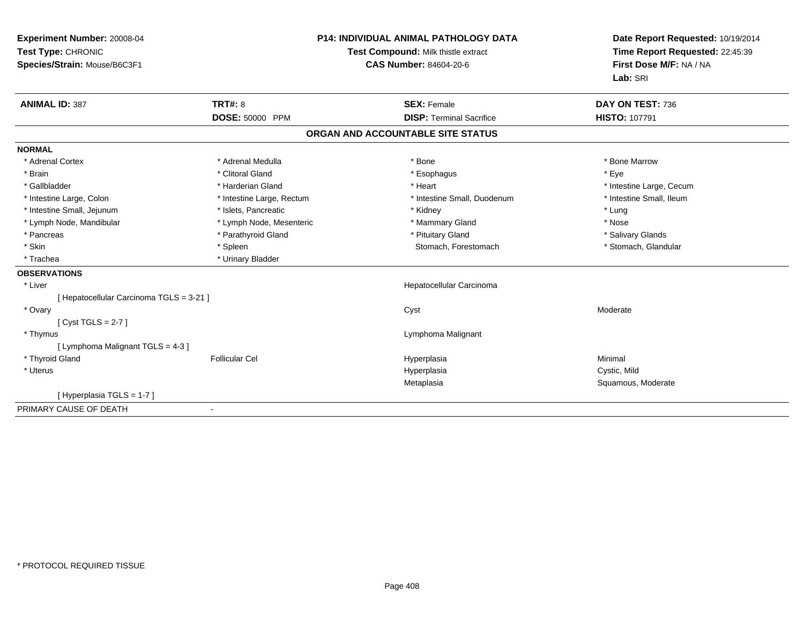| Experiment Number: 20008-04<br>Test Type: CHRONIC<br>Species/Strain: Mouse/B6C3F1 |                           | <b>P14: INDIVIDUAL ANIMAL PATHOLOGY DATA</b><br>Test Compound: Milk thistle extract<br><b>CAS Number: 84604-20-6</b> |                                   | Date Report Requested: 10/19/2014<br>Time Report Requested: 22:45:39<br>First Dose M/F: NA / NA<br>Lab: SRI |  |
|-----------------------------------------------------------------------------------|---------------------------|----------------------------------------------------------------------------------------------------------------------|-----------------------------------|-------------------------------------------------------------------------------------------------------------|--|
| <b>ANIMAL ID: 387</b>                                                             | <b>TRT#: 8</b>            |                                                                                                                      | <b>SEX: Female</b>                | DAY ON TEST: 736                                                                                            |  |
|                                                                                   | DOSE: 50000 PPM           |                                                                                                                      | <b>DISP: Terminal Sacrifice</b>   | <b>HISTO: 107791</b>                                                                                        |  |
|                                                                                   |                           |                                                                                                                      | ORGAN AND ACCOUNTABLE SITE STATUS |                                                                                                             |  |
| <b>NORMAL</b>                                                                     |                           |                                                                                                                      |                                   |                                                                                                             |  |
| * Adrenal Cortex                                                                  | * Adrenal Medulla         |                                                                                                                      | * Bone                            | * Bone Marrow                                                                                               |  |
| * Brain                                                                           | * Clitoral Gland          |                                                                                                                      | * Esophagus                       | * Eye                                                                                                       |  |
| * Gallbladder                                                                     | * Harderian Gland         |                                                                                                                      | * Heart                           | * Intestine Large, Cecum                                                                                    |  |
| * Intestine Large, Colon                                                          | * Intestine Large, Rectum |                                                                                                                      | * Intestine Small, Duodenum       | * Intestine Small, Ileum                                                                                    |  |
| * Intestine Small, Jejunum                                                        | * Islets, Pancreatic      |                                                                                                                      | * Kidney                          | * Lung                                                                                                      |  |
| * Lymph Node, Mandibular                                                          | * Lymph Node, Mesenteric  |                                                                                                                      | * Mammary Gland                   | * Nose                                                                                                      |  |
| * Pancreas                                                                        | * Parathyroid Gland       |                                                                                                                      | * Pituitary Gland                 | * Salivary Glands                                                                                           |  |
| * Skin                                                                            | * Spleen                  |                                                                                                                      | Stomach, Forestomach              | * Stomach, Glandular                                                                                        |  |
| * Trachea                                                                         | * Urinary Bladder         |                                                                                                                      |                                   |                                                                                                             |  |
| <b>OBSERVATIONS</b>                                                               |                           |                                                                                                                      |                                   |                                                                                                             |  |
| * Liver                                                                           |                           |                                                                                                                      | Hepatocellular Carcinoma          |                                                                                                             |  |
| [ Hepatocellular Carcinoma TGLS = 3-21 ]                                          |                           |                                                                                                                      |                                   |                                                                                                             |  |
| * Ovary                                                                           |                           |                                                                                                                      | Cyst                              | Moderate                                                                                                    |  |
| [Cyst TGLS = $2-7$ ]                                                              |                           |                                                                                                                      |                                   |                                                                                                             |  |
| * Thymus                                                                          |                           |                                                                                                                      | Lymphoma Malignant                |                                                                                                             |  |
| [ Lymphoma Malignant TGLS = 4-3 ]                                                 |                           |                                                                                                                      |                                   |                                                                                                             |  |
| * Thyroid Gland                                                                   | <b>Follicular Cel</b>     |                                                                                                                      | Hyperplasia                       | Minimal                                                                                                     |  |
| * Uterus                                                                          |                           |                                                                                                                      | Hyperplasia                       | Cystic, Mild                                                                                                |  |
|                                                                                   |                           |                                                                                                                      | Metaplasia                        | Squamous, Moderate                                                                                          |  |
| [Hyperplasia TGLS = 1-7]                                                          |                           |                                                                                                                      |                                   |                                                                                                             |  |
| PRIMARY CAUSE OF DEATH                                                            |                           |                                                                                                                      |                                   |                                                                                                             |  |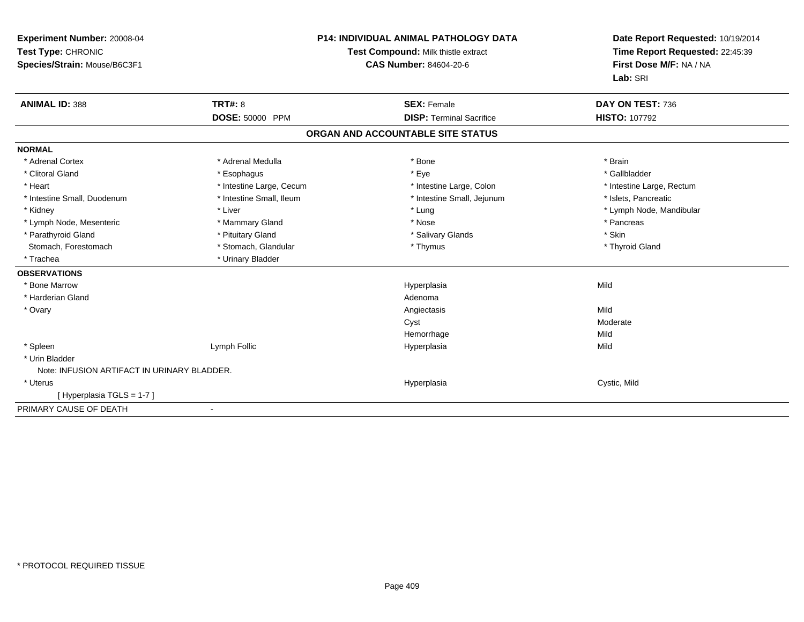| Experiment Number: 20008-04<br>Test Type: CHRONIC<br>Species/Strain: Mouse/B6C3F1 |                                          | <b>P14: INDIVIDUAL ANIMAL PATHOLOGY DATA</b><br>Test Compound: Milk thistle extract<br><b>CAS Number: 84604-20-6</b> | Date Report Requested: 10/19/2014<br>Time Report Requested: 22:45:39<br>First Dose M/F: NA / NA<br>Lab: SRI |  |
|-----------------------------------------------------------------------------------|------------------------------------------|----------------------------------------------------------------------------------------------------------------------|-------------------------------------------------------------------------------------------------------------|--|
| <b>ANIMAL ID: 388</b>                                                             | <b>TRT#: 8</b><br><b>DOSE: 50000 PPM</b> | <b>SEX: Female</b><br><b>DISP: Terminal Sacrifice</b>                                                                | DAY ON TEST: 736<br><b>HISTO: 107792</b>                                                                    |  |
|                                                                                   |                                          | ORGAN AND ACCOUNTABLE SITE STATUS                                                                                    |                                                                                                             |  |
| <b>NORMAL</b>                                                                     |                                          |                                                                                                                      |                                                                                                             |  |
| * Adrenal Cortex                                                                  | * Adrenal Medulla                        | * Bone                                                                                                               | * Brain                                                                                                     |  |
| * Clitoral Gland                                                                  | * Esophagus                              | * Eye                                                                                                                | * Gallbladder                                                                                               |  |
| * Heart                                                                           | * Intestine Large, Cecum                 | * Intestine Large, Colon                                                                                             | * Intestine Large, Rectum                                                                                   |  |
| * Intestine Small, Duodenum                                                       | * Intestine Small, Ileum                 | * Intestine Small, Jejunum                                                                                           | * Islets, Pancreatic                                                                                        |  |
| * Kidney                                                                          | * Liver                                  | * Lung                                                                                                               | * Lymph Node, Mandibular                                                                                    |  |
| * Lymph Node, Mesenteric                                                          | * Mammary Gland                          | * Nose                                                                                                               | * Pancreas                                                                                                  |  |
| * Parathyroid Gland                                                               | * Pituitary Gland                        | * Salivary Glands                                                                                                    | * Skin                                                                                                      |  |
| Stomach, Forestomach                                                              | * Stomach, Glandular                     | * Thymus                                                                                                             | * Thyroid Gland                                                                                             |  |
| * Trachea                                                                         | * Urinary Bladder                        |                                                                                                                      |                                                                                                             |  |
| <b>OBSERVATIONS</b>                                                               |                                          |                                                                                                                      |                                                                                                             |  |
| * Bone Marrow                                                                     |                                          | Hyperplasia                                                                                                          | Mild                                                                                                        |  |
| * Harderian Gland                                                                 |                                          | Adenoma                                                                                                              |                                                                                                             |  |
| * Ovary                                                                           |                                          | Angiectasis                                                                                                          | Mild                                                                                                        |  |
|                                                                                   |                                          | Cyst                                                                                                                 | Moderate                                                                                                    |  |
|                                                                                   |                                          | Hemorrhage                                                                                                           | Mild                                                                                                        |  |
| * Spleen                                                                          | Lymph Follic                             | Hyperplasia                                                                                                          | Mild                                                                                                        |  |
| * Urin Bladder                                                                    |                                          |                                                                                                                      |                                                                                                             |  |
| Note: INFUSION ARTIFACT IN URINARY BLADDER.                                       |                                          |                                                                                                                      |                                                                                                             |  |
| * Uterus                                                                          |                                          | Hyperplasia                                                                                                          | Cystic, Mild                                                                                                |  |
| [Hyperplasia TGLS = 1-7]                                                          |                                          |                                                                                                                      |                                                                                                             |  |
| PRIMARY CAUSE OF DEATH                                                            |                                          |                                                                                                                      |                                                                                                             |  |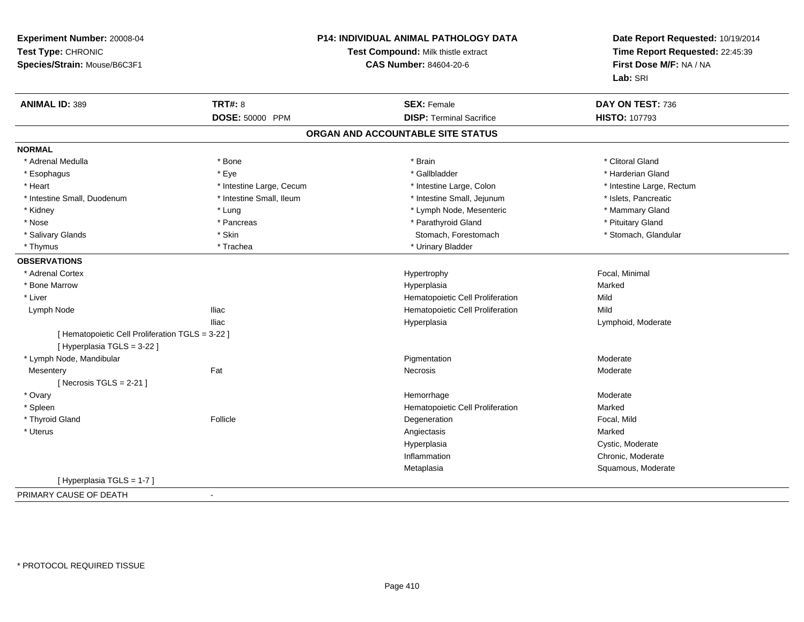| Experiment Number: 20008-04                        |                          | P14: INDIVIDUAL ANIMAL PATHOLOGY DATA | Date Report Requested: 10/19/2014<br>Time Report Requested: 22:45:39<br>First Dose M/F: NA / NA |
|----------------------------------------------------|--------------------------|---------------------------------------|-------------------------------------------------------------------------------------------------|
| Test Type: CHRONIC                                 |                          | Test Compound: Milk thistle extract   |                                                                                                 |
| Species/Strain: Mouse/B6C3F1                       |                          | <b>CAS Number: 84604-20-6</b>         |                                                                                                 |
|                                                    |                          |                                       | Lab: SRI                                                                                        |
| <b>ANIMAL ID: 389</b>                              | <b>TRT#: 8</b>           | <b>SEX: Female</b>                    | DAY ON TEST: 736                                                                                |
|                                                    | DOSE: 50000 PPM          | <b>DISP: Terminal Sacrifice</b>       | HISTO: 107793                                                                                   |
|                                                    |                          | ORGAN AND ACCOUNTABLE SITE STATUS     |                                                                                                 |
| <b>NORMAL</b>                                      |                          |                                       |                                                                                                 |
| * Adrenal Medulla                                  | * Bone                   | * Brain                               | * Clitoral Gland                                                                                |
| * Esophagus                                        | * Eye                    | * Gallbladder                         | * Harderian Gland                                                                               |
| * Heart                                            | * Intestine Large, Cecum | * Intestine Large, Colon              | * Intestine Large, Rectum                                                                       |
| * Intestine Small, Duodenum                        | * Intestine Small, Ileum | * Intestine Small, Jejunum            | * Islets, Pancreatic                                                                            |
| * Kidney                                           | * Lung                   | * Lymph Node, Mesenteric              | * Mammary Gland                                                                                 |
| * Nose                                             | * Pancreas               | * Parathyroid Gland                   | * Pituitary Gland                                                                               |
| * Salivary Glands                                  | * Skin                   | Stomach, Forestomach                  | * Stomach, Glandular                                                                            |
| * Thymus                                           | * Trachea                | * Urinary Bladder                     |                                                                                                 |
| <b>OBSERVATIONS</b>                                |                          |                                       |                                                                                                 |
| * Adrenal Cortex                                   |                          | Hypertrophy                           | Focal, Minimal                                                                                  |
| * Bone Marrow                                      |                          | Hyperplasia                           | Marked                                                                                          |
| * Liver                                            |                          | Hematopoietic Cell Proliferation      | Mild                                                                                            |
| <b>Iliac</b><br>Lymph Node                         |                          | Hematopoietic Cell Proliferation      | Mild                                                                                            |
| <b>Iliac</b>                                       |                          | Hyperplasia                           | Lymphoid, Moderate                                                                              |
| [ Hematopoietic Cell Proliferation TGLS = 3-22 ]   |                          |                                       |                                                                                                 |
| [ Hyperplasia TGLS = 3-22 ]                        |                          |                                       |                                                                                                 |
| * Lymph Node, Mandibular                           |                          | Pigmentation                          | Moderate                                                                                        |
| Fat<br>Mesentery                                   |                          | <b>Necrosis</b>                       | Moderate                                                                                        |
| [Necrosis TGLS = $2-21$ ]                          |                          |                                       |                                                                                                 |
| * Ovary                                            |                          | Hemorrhage                            | Moderate                                                                                        |
| * Spleen                                           |                          | Hematopoietic Cell Proliferation      | Marked                                                                                          |
| * Thyroid Gland                                    | Follicle                 | Degeneration                          | Focal, Mild                                                                                     |
| * Uterus                                           |                          | Angiectasis                           | Marked                                                                                          |
|                                                    |                          | Hyperplasia                           | Cystic, Moderate                                                                                |
|                                                    |                          | Inflammation                          | Chronic, Moderate                                                                               |
|                                                    |                          | Metaplasia                            | Squamous, Moderate                                                                              |
| [Hyperplasia TGLS = 1-7]                           |                          |                                       |                                                                                                 |
| PRIMARY CAUSE OF DEATH<br>$\overline{\phantom{a}}$ |                          |                                       |                                                                                                 |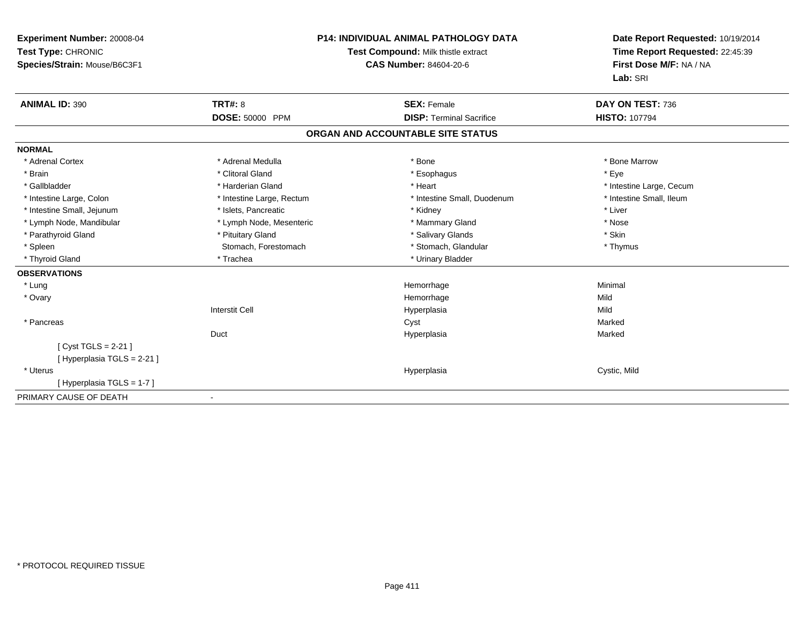| Experiment Number: 20008-04<br>Test Type: CHRONIC<br>Species/Strain: Mouse/B6C3F1 |                           | <b>P14: INDIVIDUAL ANIMAL PATHOLOGY DATA</b><br>Test Compound: Milk thistle extract<br><b>CAS Number: 84604-20-6</b> | Date Report Requested: 10/19/2014<br>Time Report Requested: 22:45:39<br>First Dose M/F: NA / NA<br>Lab: SRI |  |
|-----------------------------------------------------------------------------------|---------------------------|----------------------------------------------------------------------------------------------------------------------|-------------------------------------------------------------------------------------------------------------|--|
| <b>ANIMAL ID: 390</b>                                                             | <b>TRT#: 8</b>            | <b>SEX: Female</b>                                                                                                   | DAY ON TEST: 736                                                                                            |  |
|                                                                                   | DOSE: 50000 PPM           | <b>DISP: Terminal Sacrifice</b>                                                                                      | <b>HISTO: 107794</b>                                                                                        |  |
|                                                                                   |                           | ORGAN AND ACCOUNTABLE SITE STATUS                                                                                    |                                                                                                             |  |
| <b>NORMAL</b>                                                                     |                           |                                                                                                                      |                                                                                                             |  |
| * Adrenal Cortex                                                                  | * Adrenal Medulla         | * Bone                                                                                                               | * Bone Marrow                                                                                               |  |
| * Brain                                                                           | * Clitoral Gland          | * Esophagus                                                                                                          | * Eye                                                                                                       |  |
| * Gallbladder                                                                     | * Harderian Gland         | * Heart                                                                                                              | * Intestine Large, Cecum                                                                                    |  |
| * Intestine Large, Colon                                                          | * Intestine Large, Rectum | * Intestine Small, Duodenum                                                                                          | * Intestine Small, Ileum                                                                                    |  |
| * Intestine Small, Jejunum                                                        | * Islets, Pancreatic      | * Kidney                                                                                                             | * Liver                                                                                                     |  |
| * Lymph Node, Mandibular                                                          | * Lymph Node, Mesenteric  | * Mammary Gland                                                                                                      | * Nose                                                                                                      |  |
| * Parathyroid Gland                                                               | * Pituitary Gland         | * Salivary Glands                                                                                                    | * Skin                                                                                                      |  |
| * Spleen                                                                          | Stomach, Forestomach      | * Stomach, Glandular                                                                                                 | * Thymus                                                                                                    |  |
| * Thyroid Gland                                                                   | * Trachea                 | * Urinary Bladder                                                                                                    |                                                                                                             |  |
| <b>OBSERVATIONS</b>                                                               |                           |                                                                                                                      |                                                                                                             |  |
| * Lung                                                                            |                           | Hemorrhage                                                                                                           | Minimal                                                                                                     |  |
| * Ovary                                                                           |                           | Hemorrhage                                                                                                           | Mild                                                                                                        |  |
|                                                                                   | <b>Interstit Cell</b>     | Hyperplasia                                                                                                          | Mild                                                                                                        |  |
| * Pancreas                                                                        |                           | Cyst                                                                                                                 | Marked                                                                                                      |  |
|                                                                                   | Duct                      | Hyperplasia                                                                                                          | Marked                                                                                                      |  |
| [ Cyst TGLS = $2-21$ ]                                                            |                           |                                                                                                                      |                                                                                                             |  |
| [Hyperplasia TGLS = 2-21]                                                         |                           |                                                                                                                      |                                                                                                             |  |
| * Uterus                                                                          |                           | Hyperplasia                                                                                                          | Cystic, Mild                                                                                                |  |
| [Hyperplasia TGLS = 1-7]                                                          |                           |                                                                                                                      |                                                                                                             |  |
| PRIMARY CAUSE OF DEATH                                                            |                           |                                                                                                                      |                                                                                                             |  |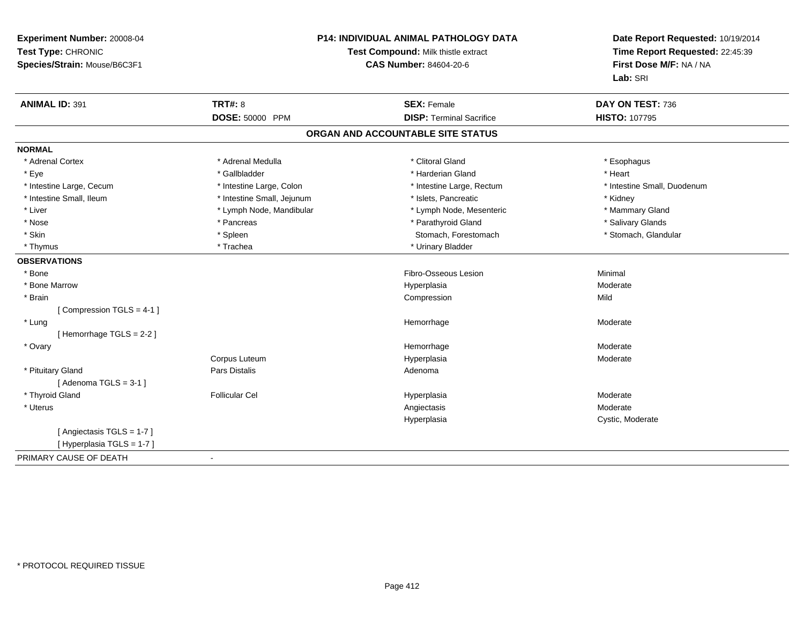| Experiment Number: 20008-04<br>Test Type: CHRONIC<br>Species/Strain: Mouse/B6C3F1 | P14: INDIVIDUAL ANIMAL PATHOLOGY DATA<br>Test Compound: Milk thistle extract<br><b>CAS Number: 84604-20-6</b> |                                   | Date Report Requested: 10/19/2014<br>Time Report Requested: 22:45:39<br>First Dose M/F: NA / NA<br>Lab: SRI |
|-----------------------------------------------------------------------------------|---------------------------------------------------------------------------------------------------------------|-----------------------------------|-------------------------------------------------------------------------------------------------------------|
| <b>ANIMAL ID: 391</b>                                                             | <b>TRT#: 8</b>                                                                                                | <b>SEX: Female</b>                | DAY ON TEST: 736                                                                                            |
|                                                                                   | DOSE: 50000 PPM                                                                                               | <b>DISP: Terminal Sacrifice</b>   | HISTO: 107795                                                                                               |
|                                                                                   |                                                                                                               | ORGAN AND ACCOUNTABLE SITE STATUS |                                                                                                             |
| <b>NORMAL</b>                                                                     |                                                                                                               |                                   |                                                                                                             |
| * Adrenal Cortex                                                                  | * Adrenal Medulla                                                                                             | * Clitoral Gland                  | * Esophagus                                                                                                 |
| * Eye                                                                             | * Gallbladder                                                                                                 | * Harderian Gland                 | * Heart                                                                                                     |
| * Intestine Large, Cecum                                                          | * Intestine Large, Colon                                                                                      | * Intestine Large, Rectum         | * Intestine Small, Duodenum                                                                                 |
| * Intestine Small, Ileum                                                          | * Intestine Small, Jejunum                                                                                    | * Islets, Pancreatic              | * Kidney                                                                                                    |
| * Liver                                                                           | * Lymph Node, Mandibular                                                                                      | * Lymph Node, Mesenteric          | * Mammary Gland                                                                                             |
| * Nose                                                                            | * Pancreas                                                                                                    | * Parathyroid Gland               | * Salivary Glands                                                                                           |
| * Skin                                                                            | * Spleen                                                                                                      | Stomach, Forestomach              | * Stomach, Glandular                                                                                        |
| * Thymus                                                                          | * Trachea                                                                                                     | * Urinary Bladder                 |                                                                                                             |
| <b>OBSERVATIONS</b>                                                               |                                                                                                               |                                   |                                                                                                             |
| * Bone                                                                            |                                                                                                               | Fibro-Osseous Lesion              | Minimal                                                                                                     |
| * Bone Marrow                                                                     |                                                                                                               | Hyperplasia                       | Moderate                                                                                                    |
| * Brain                                                                           |                                                                                                               | Compression                       | Mild                                                                                                        |
| [Compression TGLS = 4-1]                                                          |                                                                                                               |                                   |                                                                                                             |
| * Lung                                                                            |                                                                                                               | Hemorrhage                        | Moderate                                                                                                    |
| [Hemorrhage TGLS = 2-2]                                                           |                                                                                                               |                                   |                                                                                                             |
| * Ovary                                                                           |                                                                                                               | Hemorrhage                        | Moderate                                                                                                    |
|                                                                                   | Corpus Luteum                                                                                                 | Hyperplasia                       | Moderate                                                                                                    |
| * Pituitary Gland                                                                 | <b>Pars Distalis</b>                                                                                          | Adenoma                           |                                                                                                             |
| [Adenoma TGLS = $3-1$ ]                                                           |                                                                                                               |                                   |                                                                                                             |
| * Thyroid Gland                                                                   | <b>Follicular Cel</b>                                                                                         | Hyperplasia                       | Moderate                                                                                                    |
| * Uterus                                                                          |                                                                                                               | Angiectasis                       | Moderate                                                                                                    |
|                                                                                   |                                                                                                               | Hyperplasia                       | Cystic, Moderate                                                                                            |
| [Angiectasis TGLS = 1-7]                                                          |                                                                                                               |                                   |                                                                                                             |
| [Hyperplasia TGLS = 1-7]                                                          |                                                                                                               |                                   |                                                                                                             |
| PRIMARY CAUSE OF DEATH                                                            |                                                                                                               |                                   |                                                                                                             |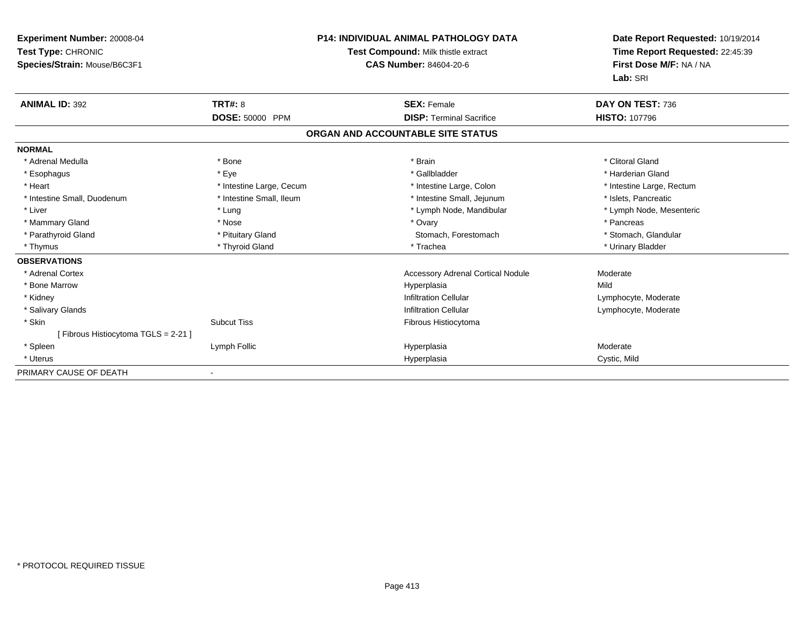| Experiment Number: 20008-04<br>Test Type: CHRONIC<br>Species/Strain: Mouse/B6C3F1 |                          | <b>P14: INDIVIDUAL ANIMAL PATHOLOGY DATA</b><br><b>Test Compound: Milk thistle extract</b><br><b>CAS Number: 84604-20-6</b> | Date Report Requested: 10/19/2014<br>Time Report Requested: 22:45:39<br>First Dose M/F: NA / NA<br>Lab: SRI |
|-----------------------------------------------------------------------------------|--------------------------|-----------------------------------------------------------------------------------------------------------------------------|-------------------------------------------------------------------------------------------------------------|
| <b>ANIMAL ID: 392</b>                                                             | <b>TRT#: 8</b>           | <b>SEX: Female</b>                                                                                                          | DAY ON TEST: 736                                                                                            |
|                                                                                   | DOSE: 50000 PPM          | <b>DISP: Terminal Sacrifice</b>                                                                                             | <b>HISTO: 107796</b>                                                                                        |
|                                                                                   |                          | ORGAN AND ACCOUNTABLE SITE STATUS                                                                                           |                                                                                                             |
| <b>NORMAL</b>                                                                     |                          |                                                                                                                             |                                                                                                             |
| * Adrenal Medulla                                                                 | * Bone                   | * Brain                                                                                                                     | * Clitoral Gland                                                                                            |
| * Esophagus                                                                       | * Eye                    | * Gallbladder                                                                                                               | * Harderian Gland                                                                                           |
| * Heart                                                                           | * Intestine Large, Cecum | * Intestine Large, Colon                                                                                                    | * Intestine Large, Rectum                                                                                   |
| * Intestine Small, Duodenum                                                       | * Intestine Small, Ileum | * Intestine Small, Jejunum                                                                                                  | * Islets, Pancreatic                                                                                        |
| * Liver                                                                           | * Lung                   | * Lymph Node, Mandibular                                                                                                    | * Lymph Node, Mesenteric                                                                                    |
| * Mammary Gland                                                                   | * Nose                   | * Ovary                                                                                                                     | * Pancreas                                                                                                  |
| * Parathyroid Gland                                                               | * Pituitary Gland        | Stomach, Forestomach                                                                                                        | * Stomach, Glandular                                                                                        |
| * Thymus                                                                          | * Thyroid Gland          | * Trachea                                                                                                                   | * Urinary Bladder                                                                                           |
| <b>OBSERVATIONS</b>                                                               |                          |                                                                                                                             |                                                                                                             |
| * Adrenal Cortex                                                                  |                          | <b>Accessory Adrenal Cortical Nodule</b>                                                                                    | Moderate                                                                                                    |
| * Bone Marrow                                                                     |                          | Hyperplasia                                                                                                                 | Mild                                                                                                        |
| * Kidney                                                                          |                          | <b>Infiltration Cellular</b>                                                                                                | Lymphocyte, Moderate                                                                                        |
| * Salivary Glands                                                                 |                          | <b>Infiltration Cellular</b>                                                                                                | Lymphocyte, Moderate                                                                                        |
| * Skin                                                                            | <b>Subcut Tiss</b>       | Fibrous Histiocytoma                                                                                                        |                                                                                                             |
| [Fibrous Histiocytoma TGLS = 2-21]                                                |                          |                                                                                                                             |                                                                                                             |
| * Spleen                                                                          | Lymph Follic             | Hyperplasia                                                                                                                 | Moderate                                                                                                    |
| * Uterus                                                                          |                          | Hyperplasia                                                                                                                 | Cystic, Mild                                                                                                |
| PRIMARY CAUSE OF DEATH                                                            |                          |                                                                                                                             |                                                                                                             |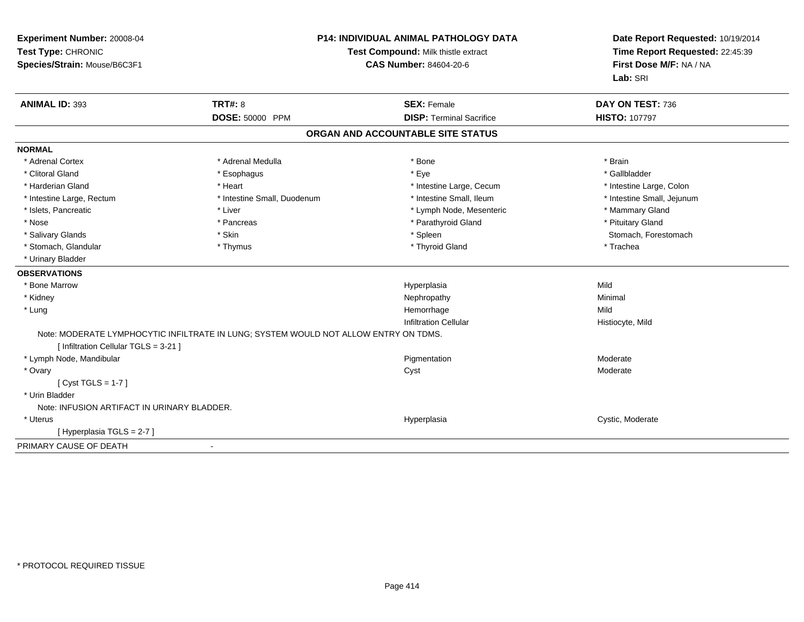| Experiment Number: 20008-04<br>Test Type: CHRONIC<br>Species/Strain: Mouse/B6C3F1 | <b>P14: INDIVIDUAL ANIMAL PATHOLOGY DATA</b><br>Test Compound: Milk thistle extract<br><b>CAS Number: 84604-20-6</b> |                                   |                            | Date Report Requested: 10/19/2014<br>Time Report Requested: 22:45:39<br>First Dose M/F: NA / NA<br>Lab: SRI |
|-----------------------------------------------------------------------------------|----------------------------------------------------------------------------------------------------------------------|-----------------------------------|----------------------------|-------------------------------------------------------------------------------------------------------------|
| <b>ANIMAL ID: 393</b>                                                             | TRT#: 8                                                                                                              | <b>SEX: Female</b>                | DAY ON TEST: 736           |                                                                                                             |
|                                                                                   | DOSE: 50000 PPM                                                                                                      | <b>DISP: Terminal Sacrifice</b>   | <b>HISTO: 107797</b>       |                                                                                                             |
|                                                                                   |                                                                                                                      | ORGAN AND ACCOUNTABLE SITE STATUS |                            |                                                                                                             |
| <b>NORMAL</b>                                                                     |                                                                                                                      |                                   |                            |                                                                                                             |
| * Adrenal Cortex                                                                  | * Adrenal Medulla                                                                                                    | * Bone                            | * Brain                    |                                                                                                             |
| * Clitoral Gland                                                                  | * Esophagus                                                                                                          | * Eye                             | * Gallbladder              |                                                                                                             |
| * Harderian Gland                                                                 | * Heart                                                                                                              | * Intestine Large, Cecum          | * Intestine Large, Colon   |                                                                                                             |
| * Intestine Large, Rectum                                                         | * Intestine Small, Duodenum                                                                                          | * Intestine Small, Ileum          | * Intestine Small, Jejunum |                                                                                                             |
| * Islets, Pancreatic                                                              | * Liver                                                                                                              | * Lymph Node, Mesenteric          | * Mammary Gland            |                                                                                                             |
| * Nose                                                                            | * Pancreas                                                                                                           | * Parathyroid Gland               | * Pituitary Gland          |                                                                                                             |
| * Salivary Glands                                                                 | * Skin                                                                                                               | * Spleen                          | Stomach, Forestomach       |                                                                                                             |
| * Stomach, Glandular                                                              | * Thymus                                                                                                             | * Thyroid Gland                   | * Trachea                  |                                                                                                             |
| * Urinary Bladder                                                                 |                                                                                                                      |                                   |                            |                                                                                                             |
| <b>OBSERVATIONS</b>                                                               |                                                                                                                      |                                   |                            |                                                                                                             |
| * Bone Marrow                                                                     |                                                                                                                      | Hyperplasia                       | Mild                       |                                                                                                             |
| * Kidney                                                                          |                                                                                                                      | Nephropathy                       | Minimal                    |                                                                                                             |
| * Lung                                                                            |                                                                                                                      | Hemorrhage                        | Mild                       |                                                                                                             |
|                                                                                   |                                                                                                                      | <b>Infiltration Cellular</b>      | Histiocyte, Mild           |                                                                                                             |
| [ Infiltration Cellular TGLS = 3-21 ]                                             | Note: MODERATE LYMPHOCYTIC INFILTRATE IN LUNG; SYSTEM WOULD NOT ALLOW ENTRY ON TDMS.                                 |                                   |                            |                                                                                                             |
| * Lymph Node, Mandibular                                                          |                                                                                                                      | Pigmentation                      | Moderate                   |                                                                                                             |
| * Ovary                                                                           |                                                                                                                      | Cyst                              | Moderate                   |                                                                                                             |
| [Cyst TGLS = $1-7$ ]                                                              |                                                                                                                      |                                   |                            |                                                                                                             |
| * Urin Bladder                                                                    |                                                                                                                      |                                   |                            |                                                                                                             |
| Note: INFUSION ARTIFACT IN URINARY BLADDER.                                       |                                                                                                                      |                                   |                            |                                                                                                             |
| * Uterus                                                                          |                                                                                                                      | Hyperplasia                       | Cystic, Moderate           |                                                                                                             |
| [ Hyperplasia TGLS = 2-7 ]                                                        |                                                                                                                      |                                   |                            |                                                                                                             |
| PRIMARY CAUSE OF DEATH                                                            | $\blacksquare$                                                                                                       |                                   |                            |                                                                                                             |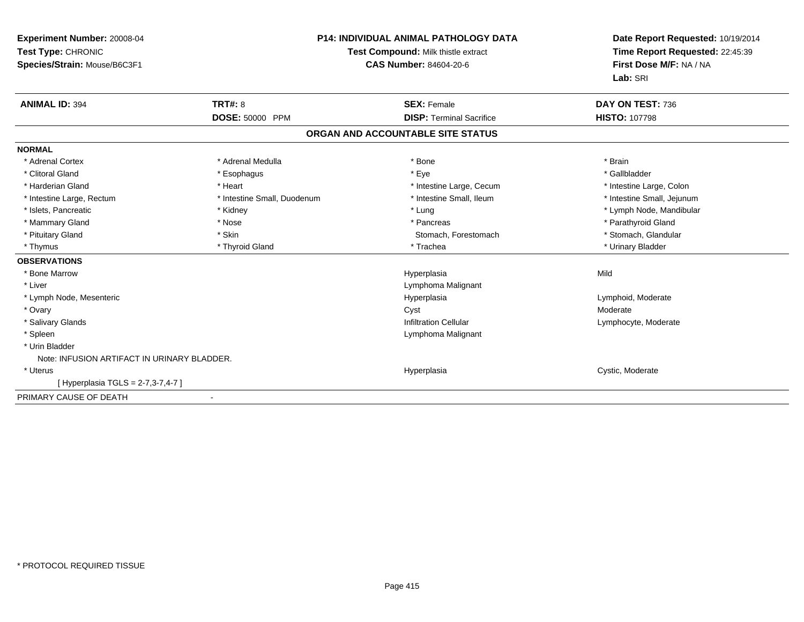| Experiment Number: 20008-04<br>Test Type: CHRONIC<br>Species/Strain: Mouse/B6C3F1<br><b>ANIMAL ID: 394</b> | TRT#: 8                     | <b>P14: INDIVIDUAL ANIMAL PATHOLOGY DATA</b><br>Test Compound: Milk thistle extract<br><b>CAS Number: 84604-20-6</b><br><b>SEX: Female</b> | Date Report Requested: 10/19/2014<br>Time Report Requested: 22:45:39<br>First Dose M/F: NA / NA<br>Lab: SRI<br>DAY ON TEST: 736 |
|------------------------------------------------------------------------------------------------------------|-----------------------------|--------------------------------------------------------------------------------------------------------------------------------------------|---------------------------------------------------------------------------------------------------------------------------------|
|                                                                                                            | DOSE: 50000 PPM             | <b>DISP: Terminal Sacrifice</b>                                                                                                            | <b>HISTO: 107798</b>                                                                                                            |
|                                                                                                            |                             | ORGAN AND ACCOUNTABLE SITE STATUS                                                                                                          |                                                                                                                                 |
| <b>NORMAL</b>                                                                                              |                             |                                                                                                                                            |                                                                                                                                 |
| * Adrenal Cortex                                                                                           | * Adrenal Medulla           | * Bone                                                                                                                                     | * Brain                                                                                                                         |
| * Clitoral Gland                                                                                           | * Esophagus                 | * Eye                                                                                                                                      | * Gallbladder                                                                                                                   |
| * Harderian Gland                                                                                          | * Heart                     | * Intestine Large, Cecum                                                                                                                   | * Intestine Large, Colon                                                                                                        |
| * Intestine Large, Rectum                                                                                  | * Intestine Small, Duodenum | * Intestine Small, Ileum                                                                                                                   | * Intestine Small, Jejunum                                                                                                      |
| * Islets, Pancreatic                                                                                       | * Kidney                    | * Lung                                                                                                                                     | * Lymph Node, Mandibular                                                                                                        |
| * Mammary Gland                                                                                            | * Nose                      | * Pancreas                                                                                                                                 | * Parathyroid Gland                                                                                                             |
| * Pituitary Gland                                                                                          | * Skin                      | Stomach, Forestomach                                                                                                                       | * Stomach, Glandular                                                                                                            |
| * Thymus                                                                                                   | * Thyroid Gland             | * Trachea                                                                                                                                  | * Urinary Bladder                                                                                                               |
| <b>OBSERVATIONS</b>                                                                                        |                             |                                                                                                                                            |                                                                                                                                 |
| * Bone Marrow                                                                                              |                             | Hyperplasia                                                                                                                                | Mild                                                                                                                            |
| * Liver                                                                                                    |                             | Lymphoma Malignant                                                                                                                         |                                                                                                                                 |
| * Lymph Node, Mesenteric                                                                                   |                             | Hyperplasia                                                                                                                                | Lymphoid, Moderate                                                                                                              |
| * Ovary                                                                                                    |                             | Cyst                                                                                                                                       | Moderate                                                                                                                        |
| * Salivary Glands                                                                                          |                             | <b>Infiltration Cellular</b>                                                                                                               | Lymphocyte, Moderate                                                                                                            |
| * Spleen                                                                                                   |                             | Lymphoma Malignant                                                                                                                         |                                                                                                                                 |
| * Urin Bladder                                                                                             |                             |                                                                                                                                            |                                                                                                                                 |
| Note: INFUSION ARTIFACT IN URINARY BLADDER.                                                                |                             |                                                                                                                                            |                                                                                                                                 |
| * Uterus                                                                                                   |                             | Hyperplasia                                                                                                                                | Cystic, Moderate                                                                                                                |
| [Hyperplasia TGLS = $2-7,3-7,4-7$ ]                                                                        |                             |                                                                                                                                            |                                                                                                                                 |
| PRIMARY CAUSE OF DEATH                                                                                     | $\blacksquare$              |                                                                                                                                            |                                                                                                                                 |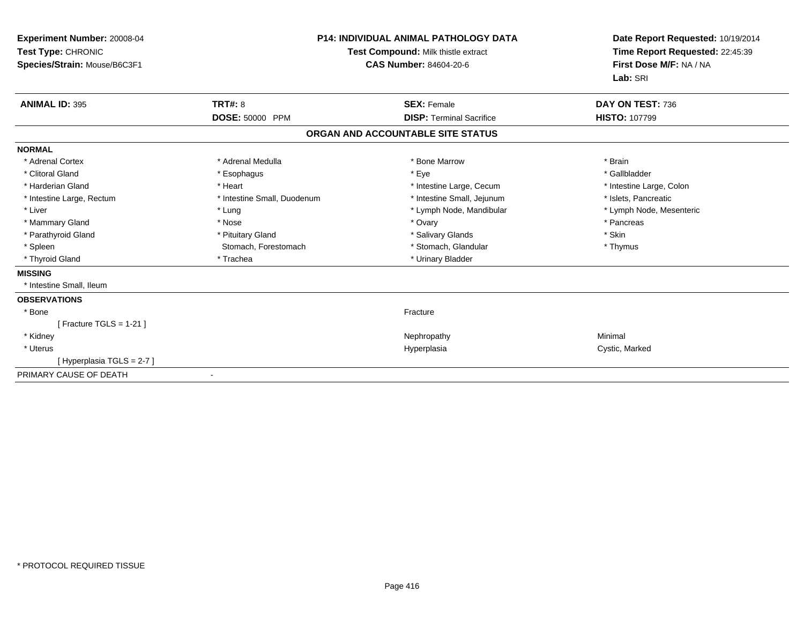| <b>Experiment Number: 20008-04</b><br>Test Type: CHRONIC<br>Species/Strain: Mouse/B6C3F1 | P14: INDIVIDUAL ANIMAL PATHOLOGY DATA<br><b>Test Compound: Milk thistle extract</b><br><b>CAS Number: 84604-20-6</b> |                                   | Date Report Requested: 10/19/2014<br>Time Report Requested: 22:45:39<br>First Dose M/F: NA / NA<br>Lab: SRI |
|------------------------------------------------------------------------------------------|----------------------------------------------------------------------------------------------------------------------|-----------------------------------|-------------------------------------------------------------------------------------------------------------|
| <b>ANIMAL ID: 395</b>                                                                    | <b>TRT#: 8</b>                                                                                                       | <b>SEX: Female</b>                | DAY ON TEST: 736                                                                                            |
|                                                                                          | DOSE: 50000 PPM                                                                                                      | <b>DISP: Terminal Sacrifice</b>   | <b>HISTO: 107799</b>                                                                                        |
|                                                                                          |                                                                                                                      | ORGAN AND ACCOUNTABLE SITE STATUS |                                                                                                             |
| <b>NORMAL</b>                                                                            |                                                                                                                      |                                   |                                                                                                             |
| * Adrenal Cortex                                                                         | * Adrenal Medulla                                                                                                    | * Bone Marrow                     | * Brain                                                                                                     |
| * Clitoral Gland                                                                         | * Esophagus                                                                                                          | * Eye                             | * Gallbladder                                                                                               |
| * Harderian Gland                                                                        | * Heart                                                                                                              | * Intestine Large, Cecum          | * Intestine Large, Colon                                                                                    |
| * Intestine Large, Rectum                                                                | * Intestine Small, Duodenum                                                                                          | * Intestine Small, Jejunum        | * Islets, Pancreatic                                                                                        |
| * Liver                                                                                  | * Lung                                                                                                               | * Lymph Node, Mandibular          | * Lymph Node, Mesenteric                                                                                    |
| * Mammary Gland                                                                          | * Nose                                                                                                               | * Ovary                           | * Pancreas                                                                                                  |
| * Parathyroid Gland                                                                      | * Pituitary Gland                                                                                                    | * Salivary Glands                 | * Skin                                                                                                      |
| * Spleen                                                                                 | Stomach, Forestomach                                                                                                 | * Stomach, Glandular              | * Thymus                                                                                                    |
| * Thyroid Gland                                                                          | * Trachea                                                                                                            | * Urinary Bladder                 |                                                                                                             |
| <b>MISSING</b>                                                                           |                                                                                                                      |                                   |                                                                                                             |
| * Intestine Small, Ileum                                                                 |                                                                                                                      |                                   |                                                                                                             |
| <b>OBSERVATIONS</b>                                                                      |                                                                                                                      |                                   |                                                                                                             |
| * Bone                                                                                   |                                                                                                                      | Fracture                          |                                                                                                             |
| [ Fracture TGLS = $1-21$ ]                                                               |                                                                                                                      |                                   |                                                                                                             |
| * Kidney                                                                                 |                                                                                                                      | Nephropathy                       | Minimal                                                                                                     |
| * Uterus                                                                                 |                                                                                                                      | Hyperplasia                       | Cystic, Marked                                                                                              |
| [Hyperplasia TGLS = $2-7$ ]                                                              |                                                                                                                      |                                   |                                                                                                             |
| PRIMARY CAUSE OF DEATH                                                                   |                                                                                                                      |                                   |                                                                                                             |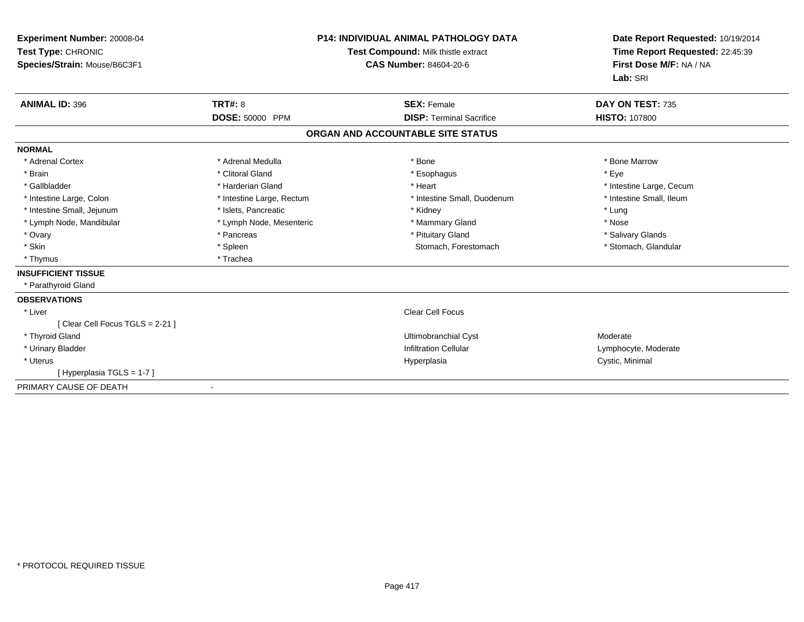| Experiment Number: 20008-04<br>Test Type: CHRONIC<br>Species/Strain: Mouse/B6C3F1 |                           | <b>P14: INDIVIDUAL ANIMAL PATHOLOGY DATA</b><br>Test Compound: Milk thistle extract<br><b>CAS Number: 84604-20-6</b> | Date Report Requested: 10/19/2014<br>Time Report Requested: 22:45:39<br>First Dose M/F: NA / NA<br>Lab: SRI |  |
|-----------------------------------------------------------------------------------|---------------------------|----------------------------------------------------------------------------------------------------------------------|-------------------------------------------------------------------------------------------------------------|--|
| <b>ANIMAL ID: 396</b>                                                             | <b>TRT#: 8</b>            | <b>SEX: Female</b>                                                                                                   | DAY ON TEST: 735                                                                                            |  |
|                                                                                   | <b>DOSE: 50000 PPM</b>    | <b>DISP: Terminal Sacrifice</b>                                                                                      | <b>HISTO: 107800</b>                                                                                        |  |
|                                                                                   |                           | ORGAN AND ACCOUNTABLE SITE STATUS                                                                                    |                                                                                                             |  |
| <b>NORMAL</b>                                                                     |                           |                                                                                                                      |                                                                                                             |  |
| * Adrenal Cortex                                                                  | * Adrenal Medulla         | * Bone                                                                                                               | * Bone Marrow                                                                                               |  |
| * Brain                                                                           | * Clitoral Gland          | * Esophagus                                                                                                          | * Eye                                                                                                       |  |
| * Gallbladder                                                                     | * Harderian Gland         | * Heart                                                                                                              | * Intestine Large, Cecum                                                                                    |  |
| * Intestine Large, Colon                                                          | * Intestine Large, Rectum | * Intestine Small, Duodenum                                                                                          | * Intestine Small. Ileum                                                                                    |  |
| * Intestine Small, Jejunum                                                        | * Islets, Pancreatic      | * Kidney                                                                                                             | * Lung                                                                                                      |  |
| * Lymph Node, Mandibular                                                          | * Lymph Node, Mesenteric  | * Mammary Gland                                                                                                      | * Nose                                                                                                      |  |
| * Ovary                                                                           | * Pancreas                | * Pituitary Gland                                                                                                    | * Salivary Glands                                                                                           |  |
| * Skin                                                                            | * Spleen                  | Stomach, Forestomach                                                                                                 | * Stomach, Glandular                                                                                        |  |
| * Thymus                                                                          | * Trachea                 |                                                                                                                      |                                                                                                             |  |
| <b>INSUFFICIENT TISSUE</b>                                                        |                           |                                                                                                                      |                                                                                                             |  |
| * Parathyroid Gland                                                               |                           |                                                                                                                      |                                                                                                             |  |
| <b>OBSERVATIONS</b>                                                               |                           |                                                                                                                      |                                                                                                             |  |
| * Liver                                                                           |                           | <b>Clear Cell Focus</b>                                                                                              |                                                                                                             |  |
| [Clear Cell Focus TGLS = 2-21]                                                    |                           |                                                                                                                      |                                                                                                             |  |
| * Thyroid Gland                                                                   |                           | <b>Ultimobranchial Cyst</b>                                                                                          | Moderate                                                                                                    |  |
| * Urinary Bladder                                                                 |                           | <b>Infiltration Cellular</b>                                                                                         | Lymphocyte, Moderate                                                                                        |  |
| * Uterus                                                                          |                           | Hyperplasia                                                                                                          | Cystic, Minimal                                                                                             |  |
| [Hyperplasia TGLS = 1-7]                                                          |                           |                                                                                                                      |                                                                                                             |  |
| PRIMARY CAUSE OF DEATH                                                            |                           |                                                                                                                      |                                                                                                             |  |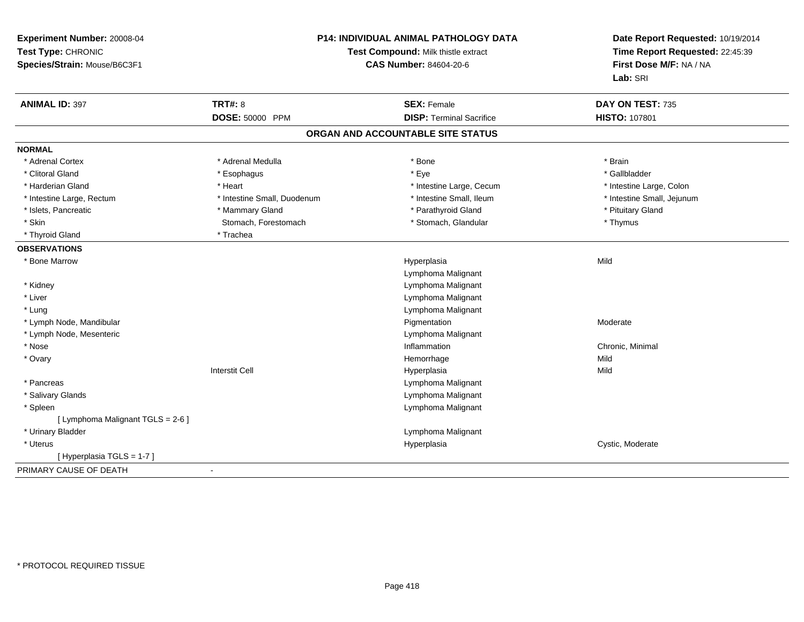| Experiment Number: 20008-04<br>Test Type: CHRONIC<br>Species/Strain: Mouse/B6C3F1 |                             | P14: INDIVIDUAL ANIMAL PATHOLOGY DATA<br>Test Compound: Milk thistle extract<br><b>CAS Number: 84604-20-6</b> | Date Report Requested: 10/19/2014<br>Time Report Requested: 22:45:39<br>First Dose M/F: NA / NA<br>Lab: SRI |
|-----------------------------------------------------------------------------------|-----------------------------|---------------------------------------------------------------------------------------------------------------|-------------------------------------------------------------------------------------------------------------|
| <b>ANIMAL ID: 397</b>                                                             | <b>TRT#: 8</b>              | <b>SEX: Female</b>                                                                                            | DAY ON TEST: 735                                                                                            |
|                                                                                   | <b>DOSE: 50000 PPM</b>      | <b>DISP: Terminal Sacrifice</b>                                                                               | <b>HISTO: 107801</b>                                                                                        |
|                                                                                   |                             | ORGAN AND ACCOUNTABLE SITE STATUS                                                                             |                                                                                                             |
| <b>NORMAL</b>                                                                     |                             |                                                                                                               |                                                                                                             |
| * Adrenal Cortex                                                                  | * Adrenal Medulla           | * Bone                                                                                                        | * Brain                                                                                                     |
| * Clitoral Gland                                                                  | * Esophagus                 | * Eye                                                                                                         | * Gallbladder                                                                                               |
| * Harderian Gland                                                                 | * Heart                     | * Intestine Large, Cecum                                                                                      | * Intestine Large, Colon                                                                                    |
| * Intestine Large, Rectum                                                         | * Intestine Small, Duodenum | * Intestine Small, Ileum                                                                                      | * Intestine Small, Jejunum                                                                                  |
| * Islets, Pancreatic                                                              | * Mammary Gland             | * Parathyroid Gland                                                                                           | * Pituitary Gland                                                                                           |
| * Skin                                                                            | Stomach, Forestomach        | * Stomach, Glandular                                                                                          | * Thymus                                                                                                    |
| * Thyroid Gland                                                                   | * Trachea                   |                                                                                                               |                                                                                                             |
| <b>OBSERVATIONS</b>                                                               |                             |                                                                                                               |                                                                                                             |
| * Bone Marrow                                                                     |                             | Hyperplasia                                                                                                   | Mild                                                                                                        |
|                                                                                   |                             | Lymphoma Malignant                                                                                            |                                                                                                             |
| * Kidney                                                                          |                             | Lymphoma Malignant                                                                                            |                                                                                                             |
| * Liver                                                                           |                             | Lymphoma Malignant                                                                                            |                                                                                                             |
| * Lung                                                                            |                             | Lymphoma Malignant                                                                                            |                                                                                                             |
| * Lymph Node, Mandibular                                                          |                             | Pigmentation                                                                                                  | Moderate                                                                                                    |
| * Lymph Node, Mesenteric                                                          |                             | Lymphoma Malignant                                                                                            |                                                                                                             |
| * Nose                                                                            |                             | Inflammation                                                                                                  | Chronic, Minimal                                                                                            |
| * Ovary                                                                           |                             | Hemorrhage                                                                                                    | Mild                                                                                                        |
|                                                                                   | <b>Interstit Cell</b>       | Hyperplasia                                                                                                   | Mild                                                                                                        |
| * Pancreas                                                                        |                             | Lymphoma Malignant                                                                                            |                                                                                                             |
| * Salivary Glands                                                                 |                             | Lymphoma Malignant                                                                                            |                                                                                                             |
| * Spleen                                                                          |                             | Lymphoma Malignant                                                                                            |                                                                                                             |
| [ Lymphoma Malignant TGLS = 2-6 ]                                                 |                             |                                                                                                               |                                                                                                             |
| * Urinary Bladder                                                                 |                             | Lymphoma Malignant                                                                                            |                                                                                                             |
| * Uterus                                                                          |                             | Hyperplasia                                                                                                   | Cystic, Moderate                                                                                            |
| [Hyperplasia TGLS = 1-7]                                                          |                             |                                                                                                               |                                                                                                             |
| PRIMARY CAUSE OF DEATH                                                            |                             |                                                                                                               |                                                                                                             |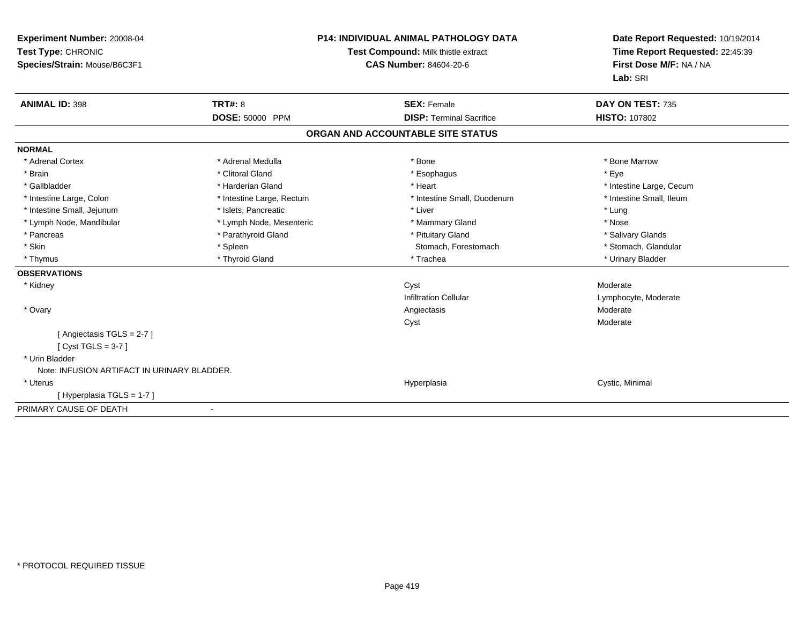| Experiment Number: 20008-04<br>Test Type: CHRONIC<br>Species/Strain: Mouse/B6C3F1<br><b>ANIMAL ID: 398</b> | <b>TRT#: 8</b>                                  | <b>P14: INDIVIDUAL ANIMAL PATHOLOGY DATA</b><br>Test Compound: Milk thistle extract<br><b>CAS Number: 84604-20-6</b><br><b>SEX: Female</b> | Date Report Requested: 10/19/2014<br>Time Report Requested: 22:45:39<br>First Dose M/F: NA / NA<br>Lab: SRI<br>DAY ON TEST: 735 |
|------------------------------------------------------------------------------------------------------------|-------------------------------------------------|--------------------------------------------------------------------------------------------------------------------------------------------|---------------------------------------------------------------------------------------------------------------------------------|
|                                                                                                            | <b>DOSE: 50000 PPM</b>                          | <b>DISP: Terminal Sacrifice</b>                                                                                                            | <b>HISTO: 107802</b>                                                                                                            |
|                                                                                                            |                                                 | ORGAN AND ACCOUNTABLE SITE STATUS                                                                                                          |                                                                                                                                 |
|                                                                                                            |                                                 |                                                                                                                                            |                                                                                                                                 |
| <b>NORMAL</b>                                                                                              |                                                 |                                                                                                                                            |                                                                                                                                 |
| * Adrenal Cortex                                                                                           | * Adrenal Medulla                               | * Bone                                                                                                                                     | * Bone Marrow                                                                                                                   |
| * Brain                                                                                                    | * Clitoral Gland                                | * Esophagus                                                                                                                                | * Eye                                                                                                                           |
| * Gallbladder                                                                                              | * Harderian Gland                               | * Heart                                                                                                                                    | * Intestine Large, Cecum                                                                                                        |
| * Intestine Large, Colon                                                                                   | * Intestine Large, Rectum                       | * Intestine Small, Duodenum                                                                                                                | * Intestine Small, Ileum                                                                                                        |
| * Intestine Small, Jejunum                                                                                 | * Islets, Pancreatic                            | * Liver                                                                                                                                    | * Lung<br>* Nose                                                                                                                |
| * Lymph Node, Mandibular<br>* Pancreas                                                                     | * Lymph Node, Mesenteric<br>* Parathyroid Gland | * Mammary Gland<br>* Pituitary Gland                                                                                                       |                                                                                                                                 |
| * Skin                                                                                                     |                                                 | Stomach, Forestomach                                                                                                                       | * Salivary Glands<br>* Stomach, Glandular                                                                                       |
| * Thymus                                                                                                   | * Spleen<br>* Thyroid Gland                     | * Trachea                                                                                                                                  | * Urinary Bladder                                                                                                               |
|                                                                                                            |                                                 |                                                                                                                                            |                                                                                                                                 |
| <b>OBSERVATIONS</b>                                                                                        |                                                 |                                                                                                                                            | Moderate                                                                                                                        |
| * Kidney                                                                                                   |                                                 | Cyst<br><b>Infiltration Cellular</b>                                                                                                       |                                                                                                                                 |
|                                                                                                            |                                                 |                                                                                                                                            | Lymphocyte, Moderate<br>Moderate                                                                                                |
| * Ovary                                                                                                    |                                                 | Angiectasis                                                                                                                                | Moderate                                                                                                                        |
| [Angiectasis TGLS = $2-7$ ]                                                                                |                                                 | Cyst                                                                                                                                       |                                                                                                                                 |
| [Cyst TGLS = $3-7$ ]                                                                                       |                                                 |                                                                                                                                            |                                                                                                                                 |
| * Urin Bladder                                                                                             |                                                 |                                                                                                                                            |                                                                                                                                 |
| Note: INFUSION ARTIFACT IN URINARY BLADDER.                                                                |                                                 |                                                                                                                                            |                                                                                                                                 |
| * Uterus                                                                                                   |                                                 | Hyperplasia                                                                                                                                | Cystic, Minimal                                                                                                                 |
| [Hyperplasia TGLS = 1-7]                                                                                   |                                                 |                                                                                                                                            |                                                                                                                                 |
| PRIMARY CAUSE OF DEATH                                                                                     |                                                 |                                                                                                                                            |                                                                                                                                 |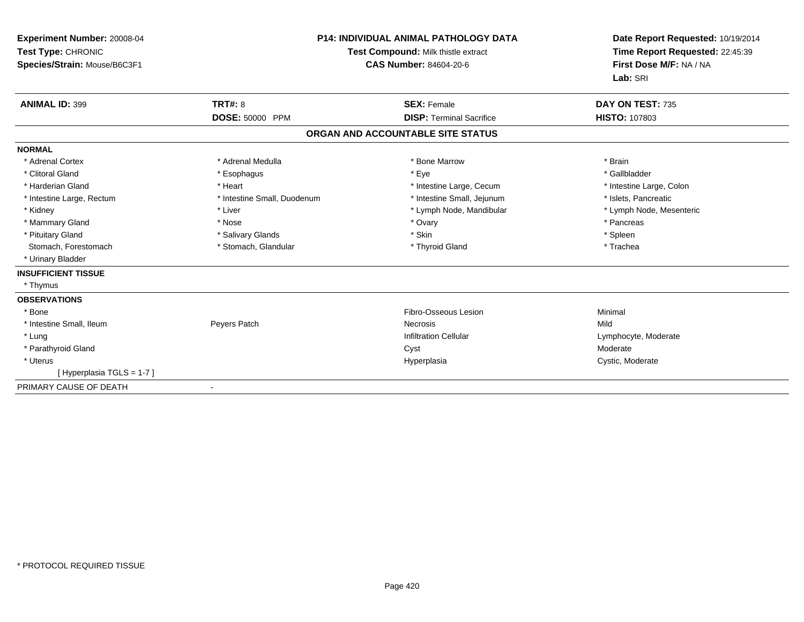| Experiment Number: 20008-04<br>Test Type: CHRONIC<br>Species/Strain: Mouse/B6C3F1 |                             | <b>P14: INDIVIDUAL ANIMAL PATHOLOGY DATA</b><br>Test Compound: Milk thistle extract<br><b>CAS Number: 84604-20-6</b> | Date Report Requested: 10/19/2014<br>Time Report Requested: 22:45:39<br>First Dose M/F: NA / NA<br>Lab: SRI |
|-----------------------------------------------------------------------------------|-----------------------------|----------------------------------------------------------------------------------------------------------------------|-------------------------------------------------------------------------------------------------------------|
| <b>ANIMAL ID: 399</b>                                                             | <b>TRT#: 8</b>              | <b>SEX: Female</b>                                                                                                   | DAY ON TEST: 735                                                                                            |
|                                                                                   | DOSE: 50000 PPM             | <b>DISP: Terminal Sacrifice</b>                                                                                      | <b>HISTO: 107803</b>                                                                                        |
|                                                                                   |                             | ORGAN AND ACCOUNTABLE SITE STATUS                                                                                    |                                                                                                             |
| <b>NORMAL</b>                                                                     |                             |                                                                                                                      |                                                                                                             |
| * Adrenal Cortex                                                                  | * Adrenal Medulla           | * Bone Marrow                                                                                                        | * Brain                                                                                                     |
| * Clitoral Gland                                                                  | * Esophagus                 | * Eye                                                                                                                | * Gallbladder                                                                                               |
| * Harderian Gland                                                                 | * Heart                     | * Intestine Large, Cecum                                                                                             | * Intestine Large, Colon                                                                                    |
| * Intestine Large, Rectum                                                         | * Intestine Small, Duodenum | * Intestine Small, Jejunum                                                                                           | * Islets, Pancreatic                                                                                        |
| * Kidney                                                                          | * Liver                     | * Lymph Node, Mandibular                                                                                             | * Lymph Node, Mesenteric                                                                                    |
| * Mammary Gland                                                                   | * Nose                      | * Ovary                                                                                                              | * Pancreas                                                                                                  |
| * Pituitary Gland                                                                 | * Salivary Glands           | * Skin                                                                                                               | * Spleen                                                                                                    |
| Stomach, Forestomach                                                              | * Stomach, Glandular        | * Thyroid Gland                                                                                                      | * Trachea                                                                                                   |
| * Urinary Bladder                                                                 |                             |                                                                                                                      |                                                                                                             |
| <b>INSUFFICIENT TISSUE</b>                                                        |                             |                                                                                                                      |                                                                                                             |
| * Thymus                                                                          |                             |                                                                                                                      |                                                                                                             |
| <b>OBSERVATIONS</b>                                                               |                             |                                                                                                                      |                                                                                                             |
| * Bone                                                                            |                             | Fibro-Osseous Lesion                                                                                                 | Minimal                                                                                                     |
| * Intestine Small, Ileum                                                          | Peyers Patch                | <b>Necrosis</b>                                                                                                      | Mild                                                                                                        |
| * Lung                                                                            |                             | <b>Infiltration Cellular</b>                                                                                         | Lymphocyte, Moderate                                                                                        |
| * Parathyroid Gland                                                               |                             | Cyst                                                                                                                 | Moderate                                                                                                    |
| * Uterus                                                                          |                             | Hyperplasia                                                                                                          | Cystic, Moderate                                                                                            |
| [Hyperplasia TGLS = 1-7]                                                          |                             |                                                                                                                      |                                                                                                             |
| PRIMARY CAUSE OF DEATH                                                            |                             |                                                                                                                      |                                                                                                             |